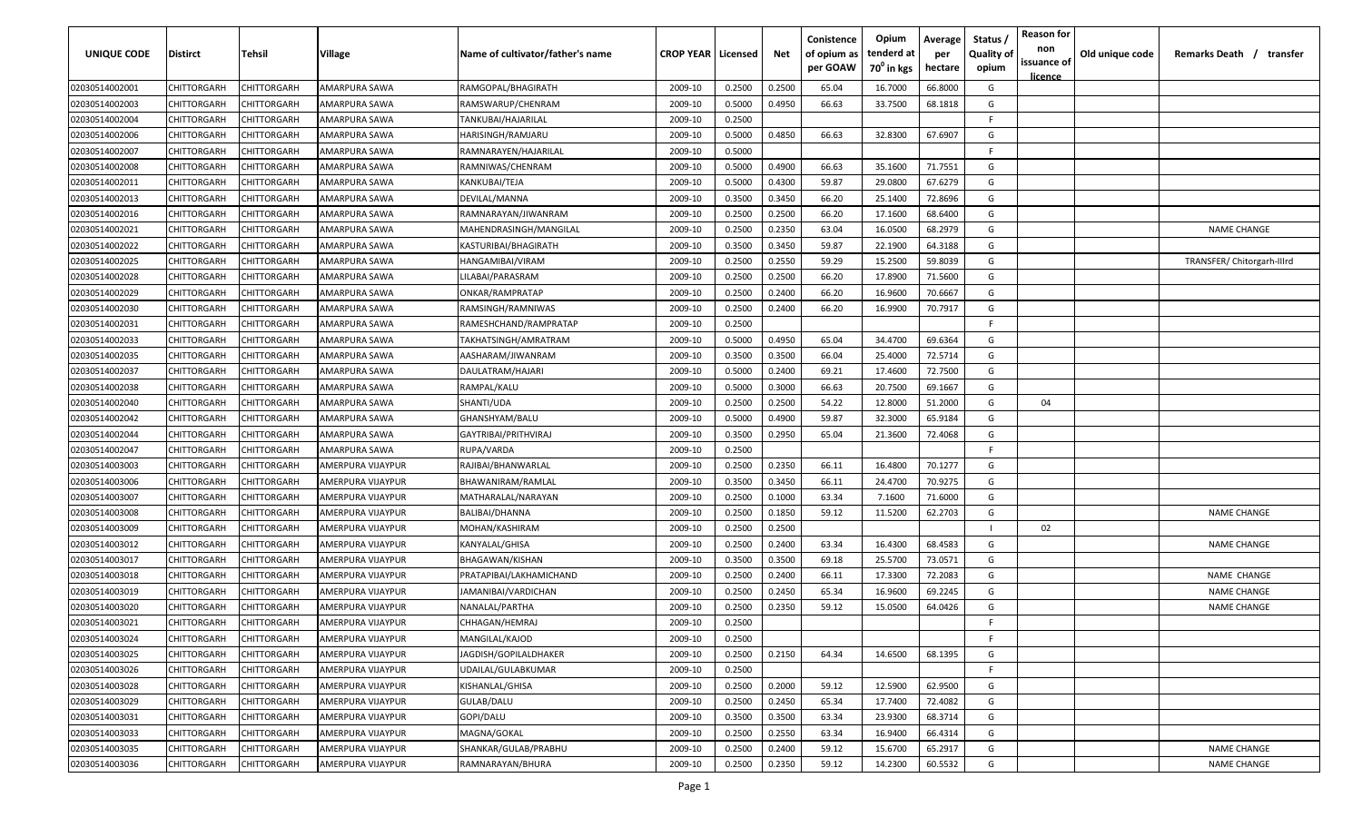| <b>UNIQUE CODE</b> | <b>Distirct</b>    | Tehsil             | Village              | Name of cultivator/father's name | <b>CROP YEAR   Licensed</b> |        | Net    | Conistence<br>of opium as<br>per GOAW | Opium<br>tenderd at<br>$70^0$ in kgs | Average<br>per<br>hectare | Status /<br><b>Quality of</b><br>opium | <b>Reason for</b><br>non<br>issuance of<br>licence | Old unique code | Remarks Death /<br>transfer |
|--------------------|--------------------|--------------------|----------------------|----------------------------------|-----------------------------|--------|--------|---------------------------------------|--------------------------------------|---------------------------|----------------------------------------|----------------------------------------------------|-----------------|-----------------------------|
| 02030514002001     | CHITTORGARH        | CHITTORGARH        | <b>AMARPURA SAWA</b> | RAMGOPAL/BHAGIRATH               | 2009-10                     | 0.2500 | 0.2500 | 65.04                                 | 16.7000                              | 66.8000                   | G                                      |                                                    |                 |                             |
| 02030514002003     | CHITTORGARH        | CHITTORGARH        | AMARPURA SAWA        | RAMSWARUP/CHENRAM                | 2009-10                     | 0.5000 | 0.4950 | 66.63                                 | 33.7500                              | 68.1818                   | G                                      |                                                    |                 |                             |
| 02030514002004     | CHITTORGARH        | CHITTORGARH        | AMARPURA SAWA        | TANKUBAI/HAJARILAL               | 2009-10                     | 0.2500 |        |                                       |                                      |                           | F.                                     |                                                    |                 |                             |
| 02030514002006     | CHITTORGARH        | CHITTORGARH        | AMARPURA SAWA        | HARISINGH/RAMJARU                | 2009-10                     | 0.5000 | 0.4850 | 66.63                                 | 32.8300                              | 67.6907                   | G                                      |                                                    |                 |                             |
| 02030514002007     | CHITTORGARH        | CHITTORGARH        | AMARPURA SAWA        | RAMNARAYEN/HAJARILAL             | 2009-10                     | 0.5000 |        |                                       |                                      |                           | F.                                     |                                                    |                 |                             |
| 02030514002008     | CHITTORGARH        | CHITTORGARH        | AMARPURA SAWA        | RAMNIWAS/CHENRAM                 | 2009-10                     | 0.5000 | 0.4900 | 66.63                                 | 35.1600                              | 71.7551                   | G                                      |                                                    |                 |                             |
| 02030514002011     | CHITTORGARH        | CHITTORGARH        | AMARPURA SAWA        | KANKUBAI/TEJA                    | 2009-10                     | 0.5000 | 0.4300 | 59.87                                 | 29.0800                              | 67.6279                   | G                                      |                                                    |                 |                             |
| 02030514002013     | CHITTORGARH        | <b>CHITTORGARF</b> | AMARPURA SAWA        | DEVILAL/MANNA                    | 2009-10                     | 0.3500 | 0.3450 | 66.20                                 | 25.1400                              | 72.8696                   | G                                      |                                                    |                 |                             |
| 02030514002016     | CHITTORGARH        | CHITTORGARH        | AMARPURA SAWA        | RAMNARAYAN/JIWANRAM              | 2009-10                     | 0.2500 | 0.2500 | 66.20                                 | 17.1600                              | 68.6400                   | G                                      |                                                    |                 |                             |
| 02030514002021     | CHITTORGARH        | CHITTORGARH        | AMARPURA SAWA        | MAHENDRASINGH/MANGILAL           | 2009-10                     | 0.2500 | 0.2350 | 63.04                                 | 16.0500                              | 68.2979                   | G                                      |                                                    |                 | <b>NAME CHANGE</b>          |
| 02030514002022     | CHITTORGARH        | CHITTORGARH        | AMARPURA SAWA        | KASTURIBAI/BHAGIRATH             | 2009-10                     | 0.3500 | 0.3450 | 59.87                                 | 22.1900                              | 64.3188                   | G                                      |                                                    |                 |                             |
| 02030514002025     | CHITTORGARH        | CHITTORGARH        | AMARPURA SAWA        | HANGAMIBAI/VIRAM                 | 2009-10                     | 0.2500 | 0.2550 | 59.29                                 | 15.2500                              | 59.8039                   | G                                      |                                                    |                 | TRANSFER/Chitorgarh-Illrd   |
| 02030514002028     | CHITTORGARH        | CHITTORGARH        | AMARPURA SAWA        | LILABAI/PARASRAM                 | 2009-10                     | 0.2500 | 0.2500 | 66.20                                 | 17.8900                              | 71.5600                   | G                                      |                                                    |                 |                             |
| 02030514002029     | CHITTORGARH        | CHITTORGARH        | AMARPURA SAWA        | ONKAR/RAMPRATAP                  | 2009-10                     | 0.2500 | 0.2400 | 66.20                                 | 16.9600                              | 70.6667                   | G                                      |                                                    |                 |                             |
| 02030514002030     | CHITTORGARH        | CHITTORGARH        | AMARPURA SAWA        | RAMSINGH/RAMNIWAS                | 2009-10                     | 0.2500 | 0.2400 | 66.20                                 | 16.9900                              | 70.7917                   | G                                      |                                                    |                 |                             |
| 02030514002031     | CHITTORGARH        | CHITTORGARH        | AMARPURA SAWA        | RAMESHCHAND/RAMPRATAP            | 2009-10                     | 0.2500 |        |                                       |                                      |                           | F.                                     |                                                    |                 |                             |
| 02030514002033     | CHITTORGARH        | CHITTORGARF        | AMARPURA SAWA        | TAKHATSINGH/AMRATRAM             | 2009-10                     | 0.5000 | 0.4950 | 65.04                                 | 34.4700                              | 69.6364                   | G                                      |                                                    |                 |                             |
| 02030514002035     | CHITTORGARH        | CHITTORGARH        | AMARPURA SAWA        | AASHARAM/JIWANRAM                | 2009-10                     | 0.3500 | 0.3500 | 66.04                                 | 25.4000                              | 72.5714                   | G                                      |                                                    |                 |                             |
| 02030514002037     | CHITTORGARH        | CHITTORGARH        | AMARPURA SAWA        | DAULATRAM/HAJARI                 | 2009-10                     | 0.5000 | 0.2400 | 69.21                                 | 17.4600                              | 72.7500                   | G                                      |                                                    |                 |                             |
| 02030514002038     | CHITTORGARH        | CHITTORGARH        | AMARPURA SAWA        | RAMPAL/KALU                      | 2009-10                     | 0.5000 | 0.3000 | 66.63                                 | 20.7500                              | 69.1667                   | G                                      |                                                    |                 |                             |
| 02030514002040     | CHITTORGARH        | CHITTORGARH        | AMARPURA SAWA        | SHANTI/UDA                       | 2009-10                     | 0.2500 | 0.2500 | 54.22                                 | 12.8000                              | 51.2000                   | G                                      | 04                                                 |                 |                             |
| 02030514002042     | CHITTORGARH        | CHITTORGARH        | AMARPURA SAWA        | GHANSHYAM/BALU                   | 2009-10                     | 0.5000 | 0.4900 | 59.87                                 | 32.3000                              | 65.9184                   | G                                      |                                                    |                 |                             |
| 02030514002044     | CHITTORGARH        | CHITTORGARH        | AMARPURA SAWA        | GAYTRIBAI/PRITHVIRAJ             | 2009-10                     | 0.3500 | 0.2950 | 65.04                                 | 21.3600                              | 72.4068                   | G                                      |                                                    |                 |                             |
| 02030514002047     | CHITTORGARH        | CHITTORGARH        | AMARPURA SAWA        | RUPA/VARDA                       | 2009-10                     | 0.2500 |        |                                       |                                      |                           | F.                                     |                                                    |                 |                             |
| 02030514003003     | CHITTORGARH        | <b>CHITTORGARF</b> | AMERPURA VIJAYPUR    | RAJIBAI/BHANWARLAL               | 2009-10                     | 0.2500 | 0.2350 | 66.11                                 | 16.4800                              | 70.1277                   | G                                      |                                                    |                 |                             |
| 02030514003006     | CHITTORGARH        | CHITTORGARH        | AMERPURA VIJAYPUR    | BHAWANIRAM/RAMLAL                | 2009-10                     | 0.3500 | 0.3450 | 66.11                                 | 24.4700                              | 70.9275                   | G                                      |                                                    |                 |                             |
| 02030514003007     | CHITTORGARH        | CHITTORGARH        | AMERPURA VIJAYPUR    | MATHARALAL/NARAYAN               | 2009-10                     | 0.2500 | 0.1000 | 63.34                                 | 7.1600                               | 71.6000                   | G                                      |                                                    |                 |                             |
| 02030514003008     | CHITTORGARH        | CHITTORGARH        | AMERPURA VIJAYPUR    | BALIBAI/DHANNA                   | 2009-10                     | 0.2500 | 0.1850 | 59.12                                 | 11.5200                              | 62.2703                   | G                                      |                                                    |                 | <b>NAME CHANGE</b>          |
| 02030514003009     | CHITTORGARH        | CHITTORGARH        | AMERPURA VIJAYPUR    | MOHAN/KASHIRAM                   | 2009-10                     | 0.2500 | 0.2500 |                                       |                                      |                           |                                        | 02                                                 |                 |                             |
| 02030514003012     | CHITTORGARH        | CHITTORGARH        | AMERPURA VIJAYPUR    | KANYALAL/GHISA                   | 2009-10                     | 0.2500 | 0.2400 | 63.34                                 | 16.4300                              | 68.4583                   | G                                      |                                                    |                 | <b>NAME CHANGE</b>          |
| 02030514003017     | CHITTORGARH        | CHITTORGARH        | AMERPURA VIJAYPUR    | BHAGAWAN/KISHAN                  | 2009-10                     | 0.3500 | 0.3500 | 69.18                                 | 25.5700                              | 73.0571                   | G                                      |                                                    |                 |                             |
| 02030514003018     | CHITTORGARH        | CHITTORGARH        | AMERPURA VIJAYPUR    | PRATAPIBAI/LAKHAMICHAND          | 2009-10                     | 0.2500 | 0.2400 | 66.11                                 | 17.3300                              | 72.2083                   | G                                      |                                                    |                 | NAME CHANGE                 |
| 02030514003019     | CHITTORGARH        | CHITTORGARH        | AMERPURA VIJAYPUR    | IAMANIBAI/VARDICHAN              | 2009-10                     | 0.2500 | 0.2450 | 65.34                                 | 16.9600                              | 69.2245                   | G                                      |                                                    |                 | <b>NAME CHANGE</b>          |
| 02030514003020     | CHITTORGARH        | CHITTORGARH        | AMERPURA VIJAYPUR    | NANALAL/PARTHA                   | 2009-10                     | 0.2500 | 0.2350 | 59.12                                 | 15.0500                              | 64.0426                   | G                                      |                                                    |                 | <b>NAME CHANGE</b>          |
| 02030514003021     | <b>CHITTORGARH</b> | CHITTORGARH        | AMERPURA VIJAYPUR    | CHHAGAN/HEMRAJ                   | 2009-10                     | 0.2500 |        |                                       |                                      |                           | F.                                     |                                                    |                 |                             |
| 02030514003024     | CHITTORGARH        | <b>CHITTORGARH</b> | AMERPURA VIJAYPUR    | MANGILAL/KAJOD                   | 2009-10                     | 0.2500 |        |                                       |                                      |                           | F.                                     |                                                    |                 |                             |
| 02030514003025     | <b>CHITTORGARH</b> | CHITTORGARH        | AMERPURA VIJAYPUR    | JAGDISH/GOPILALDHAKER            | 2009-10                     | 0.2500 | 0.2150 | 64.34                                 | 14.6500                              | 68.1395                   | G                                      |                                                    |                 |                             |
| 02030514003026     | CHITTORGARH        | CHITTORGARH        | AMERPURA VIJAYPUR    | UDAILAL/GULABKUMAR               | 2009-10                     | 0.2500 |        |                                       |                                      |                           | F                                      |                                                    |                 |                             |
| 02030514003028     | CHITTORGARH        | CHITTORGARH        | AMERPURA VIJAYPUR    | KISHANLAL/GHISA                  | 2009-10                     | 0.2500 | 0.2000 | 59.12                                 | 12.5900                              | 62.9500                   | G                                      |                                                    |                 |                             |
| 02030514003029     | <b>CHITTORGARH</b> | CHITTORGARH        | AMERPURA VIJAYPUR    | GULAB/DALU                       | 2009-10                     | 0.2500 | 0.2450 | 65.34                                 | 17.7400                              | 72.4082                   | G                                      |                                                    |                 |                             |
| 02030514003031     | CHITTORGARH        | CHITTORGARH        | AMERPURA VIJAYPUR    | GOPI/DALU                        | 2009-10                     | 0.3500 | 0.3500 | 63.34                                 | 23.9300                              | 68.3714                   | G                                      |                                                    |                 |                             |
| 02030514003033     | <b>CHITTORGARH</b> | CHITTORGARH        | AMERPURA VIJAYPUR    | MAGNA/GOKAL                      | 2009-10                     | 0.2500 | 0.2550 | 63.34                                 | 16.9400                              | 66.4314                   | G                                      |                                                    |                 |                             |
| 02030514003035     | <b>CHITTORGARH</b> | CHITTORGARH        | AMERPURA VIJAYPUR    | SHANKAR/GULAB/PRABHU             | 2009-10                     | 0.2500 | 0.2400 | 59.12                                 | 15.6700                              | 65.2917                   | G                                      |                                                    |                 | NAME CHANGE                 |
| 02030514003036     | <b>CHITTORGARH</b> | CHITTORGARH        | AMERPURA VIJAYPUR    | RAMNARAYAN/BHURA                 | 2009-10                     | 0.2500 | 0.2350 | 59.12                                 | 14.2300                              | 60.5532                   | G                                      |                                                    |                 | <b>NAME CHANGE</b>          |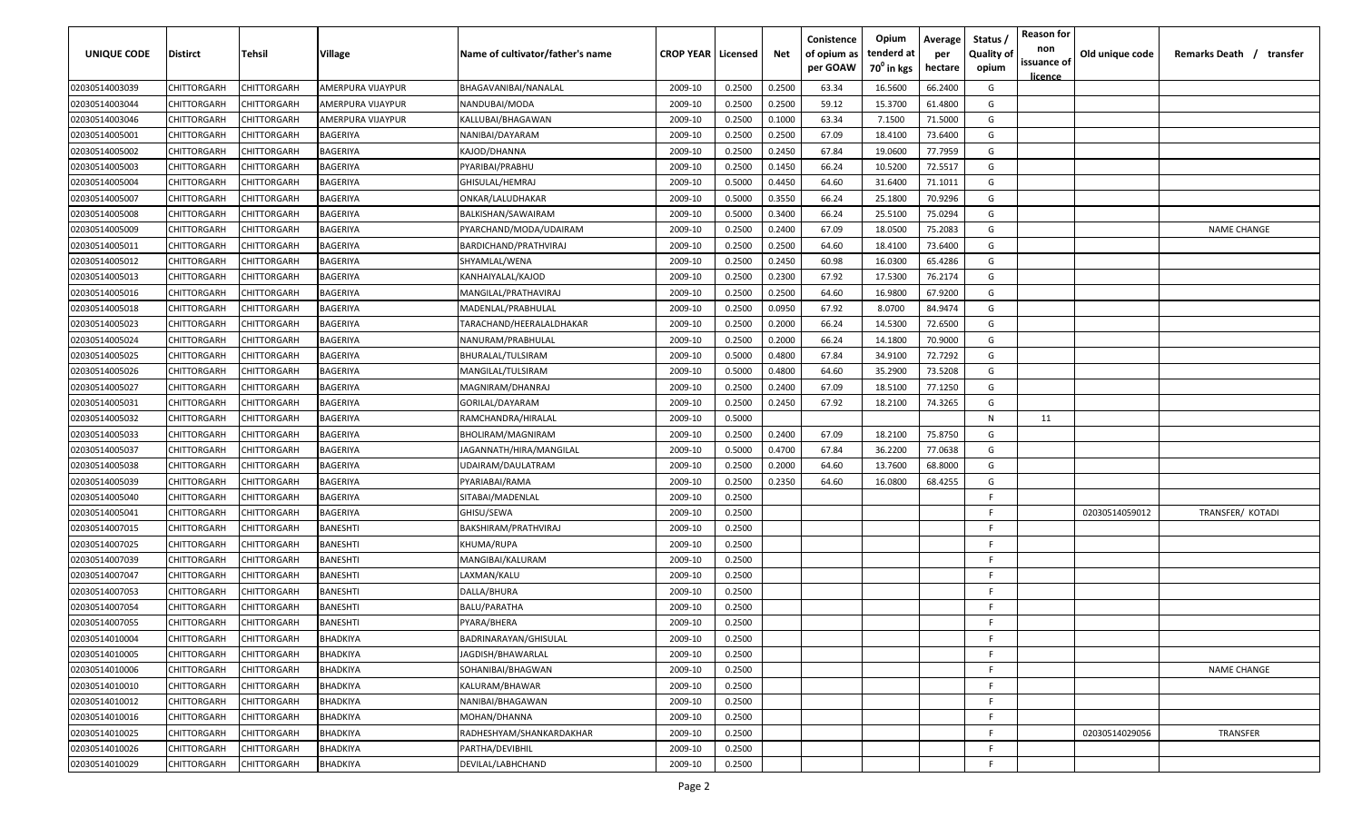| <b>UNIQUE CODE</b> | <b>Distirct</b>    | <b>Tehsil</b> | Village           | Name of cultivator/father's name | <b>CROP YEAR   Licensed</b> |        | Net    | Conistence<br>of opium as<br>per GOAW | Opium<br>tenderd at<br>70 <sup>0</sup> in kgs | Average<br>per<br>hectare | Status /<br><b>Quality of</b><br>opium | <b>Reason for</b><br>non<br>issuance of<br>licence | Old unique code | Remarks Death /<br>transfer |
|--------------------|--------------------|---------------|-------------------|----------------------------------|-----------------------------|--------|--------|---------------------------------------|-----------------------------------------------|---------------------------|----------------------------------------|----------------------------------------------------|-----------------|-----------------------------|
| 02030514003039     | CHITTORGARH        | CHITTORGARH   | AMERPURA VIJAYPUR | BHAGAVANIBAI/NANALAL             | 2009-10                     | 0.2500 | 0.2500 | 63.34                                 | 16.5600                                       | 66.2400                   | G                                      |                                                    |                 |                             |
| 02030514003044     | CHITTORGARH        | CHITTORGARH   | AMERPURA VIJAYPUR | NANDUBAI/MODA                    | 2009-10                     | 0.2500 | 0.2500 | 59.12                                 | 15.3700                                       | 61.4800                   | G                                      |                                                    |                 |                             |
| 02030514003046     | CHITTORGARH        | CHITTORGARH   | AMERPURA VIJAYPUR | KALLUBAI/BHAGAWAN                | 2009-10                     | 0.2500 | 0.1000 | 63.34                                 | 7.1500                                        | 71.5000                   | G                                      |                                                    |                 |                             |
| 02030514005001     | CHITTORGARH        | CHITTORGARH   | BAGERIYA          | NANIBAI/DAYARAM                  | 2009-10                     | 0.2500 | 0.2500 | 67.09                                 | 18.4100                                       | 73.6400                   | G                                      |                                                    |                 |                             |
| 02030514005002     | CHITTORGARH        | CHITTORGARH   | BAGERIYA          | KAJOD/DHANNA                     | 2009-10                     | 0.2500 | 0.2450 | 67.84                                 | 19.0600                                       | 77.7959                   | G                                      |                                                    |                 |                             |
| 02030514005003     | CHITTORGARH        | CHITTORGARH   | BAGERIYA          | PYARIBAI/PRABHU                  | 2009-10                     | 0.2500 | 0.1450 | 66.24                                 | 10.5200                                       | 72.5517                   | G                                      |                                                    |                 |                             |
| 02030514005004     | CHITTORGARH        | CHITTORGARH   | BAGERIYA          | GHISULAL/HEMRAJ                  | 2009-10                     | 0.5000 | 0.4450 | 64.60                                 | 31.6400                                       | 71.1011                   | G                                      |                                                    |                 |                             |
| 02030514005007     | CHITTORGARH        | CHITTORGARH   | BAGERIYA          | ONKAR/LALUDHAKAR                 | 2009-10                     | 0.5000 | 0.3550 | 66.24                                 | 25.1800                                       | 70.9296                   | G                                      |                                                    |                 |                             |
| 02030514005008     | CHITTORGARH        | CHITTORGARH   | BAGERIYA          | BALKISHAN/SAWAIRAM               | 2009-10                     | 0.5000 | 0.3400 | 66.24                                 | 25.5100                                       | 75.0294                   | G                                      |                                                    |                 |                             |
| 02030514005009     | CHITTORGARH        | CHITTORGARH   | BAGERIYA          | PYARCHAND/MODA/UDAIRAM           | 2009-10                     | 0.2500 | 0.2400 | 67.09                                 | 18.0500                                       | 75.2083                   | G                                      |                                                    |                 | <b>NAME CHANGE</b>          |
| 02030514005011     | CHITTORGARH        | CHITTORGARH   | BAGERIYA          | BARDICHAND/PRATHVIRAJ            | 2009-10                     | 0.2500 | 0.2500 | 64.60                                 | 18.4100                                       | 73.6400                   | G                                      |                                                    |                 |                             |
| 02030514005012     | CHITTORGARH        | CHITTORGARH   | BAGERIYA          | SHYAMLAL/WENA                    | 2009-10                     | 0.2500 | 0.2450 | 60.98                                 | 16.0300                                       | 65.4286                   | G                                      |                                                    |                 |                             |
| 02030514005013     | CHITTORGARH        | CHITTORGARH   | BAGERIYA          | KANHAIYALAL/KAJOD                | 2009-10                     | 0.2500 | 0.2300 | 67.92                                 | 17.5300                                       | 76.2174                   | G                                      |                                                    |                 |                             |
| 02030514005016     | CHITTORGARH        | CHITTORGARH   | BAGERIYA          | MANGILAL/PRATHAVIRAJ             | 2009-10                     | 0.2500 | 0.2500 | 64.60                                 | 16.9800                                       | 67.9200                   | G                                      |                                                    |                 |                             |
| 02030514005018     | CHITTORGARH        | CHITTORGARH   | BAGERIYA          | MADENLAL/PRABHULAL               | 2009-10                     | 0.2500 | 0.0950 | 67.92                                 | 8.0700                                        | 84.9474                   | G                                      |                                                    |                 |                             |
| 02030514005023     | CHITTORGARH        | CHITTORGARH   | BAGERIYA          | TARACHAND/HEERALALDHAKAR         | 2009-10                     | 0.2500 | 0.2000 | 66.24                                 | 14.5300                                       | 72.6500                   | G                                      |                                                    |                 |                             |
| 02030514005024     | CHITTORGARH        | CHITTORGARF   | BAGERIYA          | NANURAM/PRABHULAL                | 2009-10                     | 0.2500 | 0.2000 | 66.24                                 | 14.1800                                       | 70.9000                   | G                                      |                                                    |                 |                             |
| 02030514005025     | CHITTORGARH        | CHITTORGARH   | BAGERIYA          | BHURALAL/TULSIRAM                | 2009-10                     | 0.5000 | 0.4800 | 67.84                                 | 34.9100                                       | 72.7292                   | G                                      |                                                    |                 |                             |
| 02030514005026     | CHITTORGARH        | CHITTORGARH   | BAGERIYA          | MANGILAL/TULSIRAM                | 2009-10                     | 0.5000 | 0.4800 | 64.60                                 | 35.2900                                       | 73.5208                   | G                                      |                                                    |                 |                             |
| 02030514005027     | CHITTORGARH        | CHITTORGARH   | BAGERIYA          | MAGNIRAM/DHANRAJ                 | 2009-10                     | 0.2500 | 0.2400 | 67.09                                 | 18.5100                                       | 77.1250                   | G                                      |                                                    |                 |                             |
| 02030514005031     | CHITTORGARH        | CHITTORGARH   | BAGERIYA          | GORILAL/DAYARAM                  | 2009-10                     | 0.2500 | 0.2450 | 67.92                                 | 18.2100                                       | 74.3265                   | G                                      |                                                    |                 |                             |
| 02030514005032     | CHITTORGARH        | CHITTORGARH   | BAGERIYA          | RAMCHANDRA/HIRALAL               | 2009-10                     | 0.5000 |        |                                       |                                               |                           | N                                      | 11                                                 |                 |                             |
| 02030514005033     | CHITTORGARH        | CHITTORGARH   | BAGERIYA          | BHOLIRAM/MAGNIRAM                | 2009-10                     | 0.2500 | 0.2400 | 67.09                                 | 18.2100                                       | 75.8750                   | G                                      |                                                    |                 |                             |
| 02030514005037     | CHITTORGARH        | CHITTORGARH   | BAGERIYA          | JAGANNATH/HIRA/MANGILAL          | 2009-10                     | 0.5000 | 0.4700 | 67.84                                 | 36.2200                                       | 77.0638                   | G                                      |                                                    |                 |                             |
| 02030514005038     | CHITTORGARH        | CHITTORGARH   | BAGERIYA          | UDAIRAM/DAULATRAM                | 2009-10                     | 0.2500 | 0.2000 | 64.60                                 | 13.7600                                       | 68.8000                   | G                                      |                                                    |                 |                             |
| 02030514005039     | CHITTORGARH        | CHITTORGARH   | BAGERIYA          | PYARIABAI/RAMA                   | 2009-10                     | 0.2500 | 0.2350 | 64.60                                 | 16.0800                                       | 68.4255                   | G                                      |                                                    |                 |                             |
| 02030514005040     | CHITTORGARH        | CHITTORGARH   | BAGERIYA          | SITABAI/MADENLAL                 | 2009-10                     | 0.2500 |        |                                       |                                               |                           | -F.                                    |                                                    |                 |                             |
| 02030514005041     | CHITTORGARH        | CHITTORGARH   | BAGERIYA          | GHISU/SEWA                       | 2009-10                     | 0.2500 |        |                                       |                                               |                           | F                                      |                                                    | 02030514059012  | TRANSFER/ KOTADI            |
| 02030514007015     | CHITTORGARH        | CHITTORGARH   | BANESHTI          | BAKSHIRAM/PRATHVIRAJ             | 2009-10                     | 0.2500 |        |                                       |                                               |                           | -F.                                    |                                                    |                 |                             |
| 02030514007025     | CHITTORGARH        | CHITTORGARH   | BANESHTI          | KHUMA/RUPA                       | 2009-10                     | 0.2500 |        |                                       |                                               |                           | -F.                                    |                                                    |                 |                             |
| 02030514007039     | CHITTORGARH        | CHITTORGARH   | BANESHTI          | MANGIBAI/KALURAM                 | 2009-10                     | 0.2500 |        |                                       |                                               |                           | F.                                     |                                                    |                 |                             |
| 02030514007047     | CHITTORGARH        | CHITTORGARH   | BANESHTI          | LAXMAN/KALU                      | 2009-10                     | 0.2500 |        |                                       |                                               |                           | -F.                                    |                                                    |                 |                             |
| 02030514007053     | CHITTORGARH        | CHITTORGARH   | <b>BANESHTI</b>   | DALLA/BHURA                      | 2009-10                     | 0.2500 |        |                                       |                                               |                           | -F.                                    |                                                    |                 |                             |
| 02030514007054     | CHITTORGARH        | CHITTORGARH   | <b>BANESHTI</b>   | <b>BALU/PARATHA</b>              | 2009-10                     | 0.2500 |        |                                       |                                               |                           | E                                      |                                                    |                 |                             |
| 02030514007055     | <b>CHITTORGARH</b> | CHITTORGARH   | BANESHTI          | PYARA/BHERA                      | 2009-10                     | 0.2500 |        |                                       |                                               |                           | E                                      |                                                    |                 |                             |
| 02030514010004     | CHITTORGARH        | CHITTORGARH   | BHADKIYA          | BADRINARAYAN/GHISULAL            | 2009-10                     | 0.2500 |        |                                       |                                               |                           | F                                      |                                                    |                 |                             |
| 02030514010005     | <b>CHITTORGARH</b> | CHITTORGARH   | BHADKIYA          | JAGDISH/BHAWARLAL                | 2009-10                     | 0.2500 |        |                                       |                                               |                           | F                                      |                                                    |                 |                             |
| 02030514010006     | <b>CHITTORGARH</b> | CHITTORGARH   | BHADKIYA          | SOHANIBAI/BHAGWAN                | 2009-10                     | 0.2500 |        |                                       |                                               |                           | F.                                     |                                                    |                 | <b>NAME CHANGE</b>          |
| 02030514010010     | CHITTORGARH        | CHITTORGARH   | BHADKIYA          | KALURAM/BHAWAR                   | 2009-10                     | 0.2500 |        |                                       |                                               |                           | F.                                     |                                                    |                 |                             |
| 02030514010012     | CHITTORGARH        | CHITTORGARH   | BHADKIYA          | NANIBAI/BHAGAWAN                 | 2009-10                     | 0.2500 |        |                                       |                                               |                           | $\mathsf{F}$                           |                                                    |                 |                             |
| 02030514010016     | CHITTORGARH        | CHITTORGARH   | BHADKIYA          | MOHAN/DHANNA                     | 2009-10                     | 0.2500 |        |                                       |                                               |                           | F                                      |                                                    |                 |                             |
| 02030514010025     | CHITTORGARH        | CHITTORGARH   | BHADKIYA          | RADHESHYAM/SHANKARDAKHAR         | 2009-10                     | 0.2500 |        |                                       |                                               |                           | F.                                     |                                                    | 02030514029056  | TRANSFER                    |
| 02030514010026     | <b>CHITTORGARH</b> | CHITTORGARH   | BHADKIYA          | PARTHA/DEVIBHIL                  | 2009-10                     | 0.2500 |        |                                       |                                               |                           | F                                      |                                                    |                 |                             |
| 02030514010029     | CHITTORGARH        | CHITTORGARH   | BHADKIYA          | DEVILAL/LABHCHAND                | 2009-10                     | 0.2500 |        |                                       |                                               |                           | F.                                     |                                                    |                 |                             |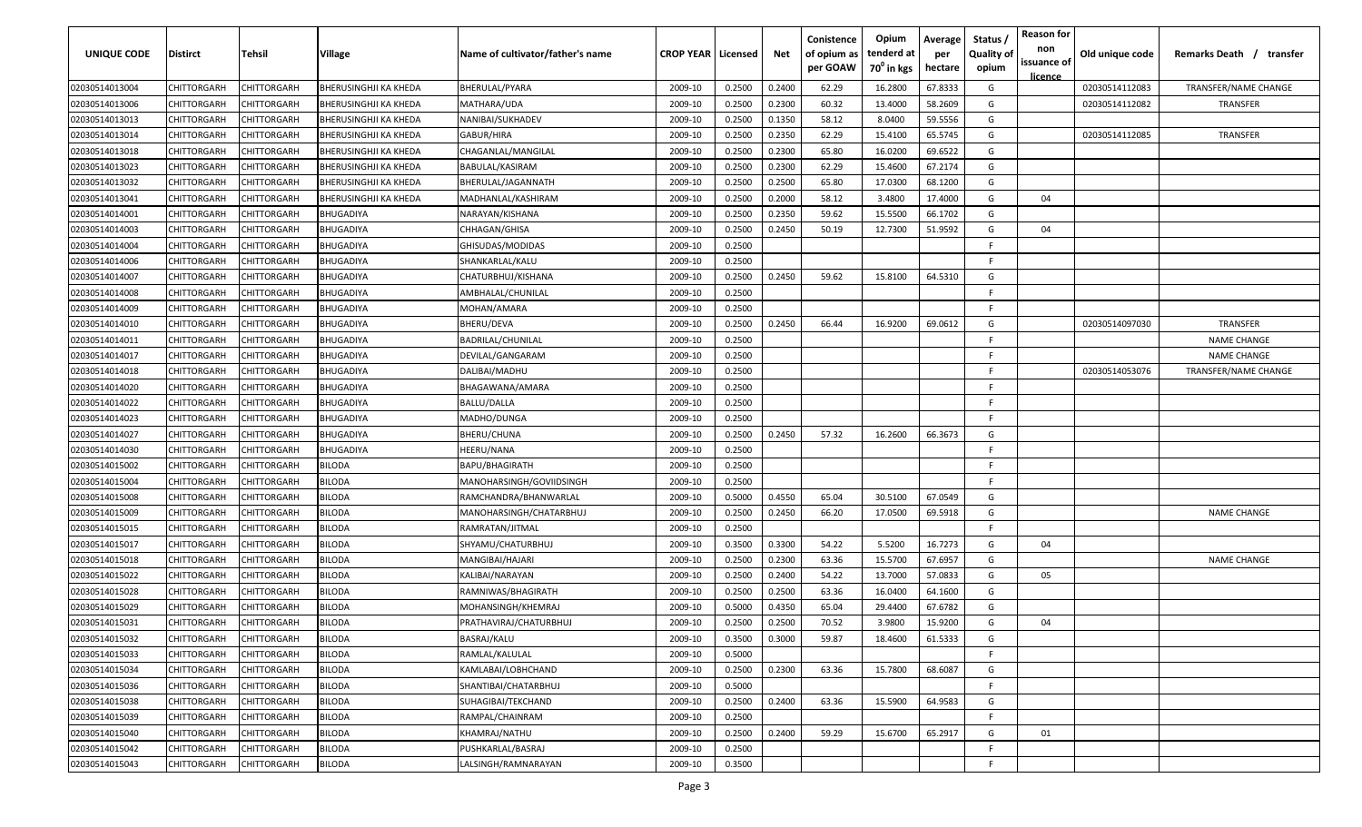| UNIQUE CODE    | <b>Distirct</b>    | Tehsil             | Village                      | Name of cultivator/father's name | <b>CROP YEAR   Licensed</b> |        | Net    | Conistence<br>of opium as<br>per GOAW | Opium<br>tenderd at<br>70 <sup>0</sup> in kgs | Average<br>per<br>hectare | Status<br><b>Quality of</b><br>opium | <b>Reason for</b><br>non<br>issuance of<br><u>licence</u> | Old unique code | Remarks Death / transfer |
|----------------|--------------------|--------------------|------------------------------|----------------------------------|-----------------------------|--------|--------|---------------------------------------|-----------------------------------------------|---------------------------|--------------------------------------|-----------------------------------------------------------|-----------------|--------------------------|
| 02030514013004 | CHITTORGARH        | CHITTORGARH        | <b>BHERUSINGHJI KA KHEDA</b> | BHERULAL/PYARA                   | 2009-10                     | 0.2500 | 0.2400 | 62.29                                 | 16.2800                                       | 67.8333                   | G                                    |                                                           | 02030514112083  | TRANSFER/NAME CHANGE     |
| 02030514013006 | CHITTORGARH        | CHITTORGARH        | <b>BHERUSINGHJI KA KHEDA</b> | MATHARA/UDA                      | 2009-10                     | 0.2500 | 0.2300 | 60.32                                 | 13.4000                                       | 58.2609                   | G                                    |                                                           | 02030514112082  | TRANSFER                 |
| 02030514013013 | CHITTORGARH        | CHITTORGARH        | <b>BHERUSINGHJI KA KHEDA</b> | NANIBAI/SUKHADEV                 | 2009-10                     | 0.2500 | 0.1350 | 58.12                                 | 8.0400                                        | 59.5556                   | G                                    |                                                           |                 |                          |
| 02030514013014 | CHITTORGARH        | CHITTORGARH        | <b>BHERUSINGHJI KA KHEDA</b> | GABUR/HIRA                       | 2009-10                     | 0.2500 | 0.2350 | 62.29                                 | 15.4100                                       | 65.5745                   | G                                    |                                                           | 02030514112085  | TRANSFER                 |
| 02030514013018 | CHITTORGARH        | CHITTORGARH        | <b>BHERUSINGHJI KA KHEDA</b> | CHAGANLAL/MANGILAL               | 2009-10                     | 0.2500 | 0.2300 | 65.80                                 | 16.0200                                       | 69.6522                   | G                                    |                                                           |                 |                          |
| 02030514013023 | CHITTORGARH        | CHITTORGARH        | <b>BHERUSINGHJI KA KHEDA</b> | BABULAL/KASIRAM                  | 2009-10                     | 0.2500 | 0.2300 | 62.29                                 | 15.4600                                       | 67.2174                   | G                                    |                                                           |                 |                          |
| 02030514013032 | CHITTORGARH        | CHITTORGARH        | <b>BHERUSINGHJI KA KHEDA</b> | BHERULAL/JAGANNATH               | 2009-10                     | 0.2500 | 0.2500 | 65.80                                 | 17.0300                                       | 68.1200                   | G                                    |                                                           |                 |                          |
| 02030514013041 | CHITTORGARH        | <b>CHITTORGARH</b> | <b>BHERUSINGHJI KA KHEDA</b> | MADHANLAL/KASHIRAM               | 2009-10                     | 0.2500 | 0.2000 | 58.12                                 | 3.4800                                        | 17.4000                   | G                                    | 04                                                        |                 |                          |
| 02030514014001 | CHITTORGARH        | CHITTORGARH        | <b>BHUGADIYA</b>             | NARAYAN/KISHANA                  | 2009-10                     | 0.2500 | 0.2350 | 59.62                                 | 15.5500                                       | 66.1702                   | G                                    |                                                           |                 |                          |
| 02030514014003 | CHITTORGARH        | CHITTORGARH        | <b>BHUGADIYA</b>             | CHHAGAN/GHISA                    | 2009-10                     | 0.2500 | 0.2450 | 50.19                                 | 12.7300                                       | 51.9592                   | G                                    | 04                                                        |                 |                          |
| 02030514014004 | CHITTORGARH        | CHITTORGARH        | <b>BHUGADIYA</b>             | GHISUDAS/MODIDAS                 | 2009-10                     | 0.2500 |        |                                       |                                               |                           | -F.                                  |                                                           |                 |                          |
| 02030514014006 | CHITTORGARH        | <b>CHITTORGARH</b> | BHUGADIYA                    | SHANKARLAL/KALU                  | 2009-10                     | 0.2500 |        |                                       |                                               |                           | -F                                   |                                                           |                 |                          |
| 02030514014007 | <b>CHITTORGARH</b> | <b>CHITTORGARH</b> | <b>BHUGADIYA</b>             | CHATURBHUJ/KISHANA               | 2009-10                     | 0.2500 | 0.2450 | 59.62                                 | 15.8100                                       | 64.5310                   | G                                    |                                                           |                 |                          |
| 02030514014008 | CHITTORGARH        | CHITTORGARH        | <b>BHUGADIYA</b>             | AMBHALAL/CHUNILAL                | 2009-10                     | 0.2500 |        |                                       |                                               |                           | F.                                   |                                                           |                 |                          |
| 02030514014009 | CHITTORGARH        | CHITTORGARH        | <b>BHUGADIYA</b>             | MOHAN/AMARA                      | 2009-10                     | 0.2500 |        |                                       |                                               |                           | F.                                   |                                                           |                 |                          |
| 02030514014010 | CHITTORGARH        | <b>CHITTORGARH</b> | <b>BHUGADIYA</b>             | BHERU/DEVA                       | 2009-10                     | 0.2500 | 0.2450 | 66.44                                 | 16.9200                                       | 69.0612                   | G                                    |                                                           | 02030514097030  | <b>TRANSFER</b>          |
| 02030514014011 | CHITTORGARH        | <b>CHITTORGARH</b> | <b>BHUGADIYA</b>             | BADRILAL/CHUNILAL                | 2009-10                     | 0.2500 |        |                                       |                                               |                           | F.                                   |                                                           |                 | <b>NAME CHANGE</b>       |
| 02030514014017 | CHITTORGARH        | CHITTORGARH        | <b>BHUGADIYA</b>             | DEVILAL/GANGARAM                 | 2009-10                     | 0.2500 |        |                                       |                                               |                           | F.                                   |                                                           |                 | <b>NAME CHANGE</b>       |
| 02030514014018 | CHITTORGARH        | CHITTORGARH        | <b>BHUGADIYA</b>             | DALIBAI/MADHU                    | 2009-10                     | 0.2500 |        |                                       |                                               |                           | F.                                   |                                                           | 02030514053076  | TRANSFER/NAME CHANGE     |
| 02030514014020 | CHITTORGARH        | CHITTORGARH        | <b>BHUGADIYA</b>             | BHAGAWANA/AMARA                  | 2009-10                     | 0.2500 |        |                                       |                                               |                           | -F                                   |                                                           |                 |                          |
| 02030514014022 | CHITTORGARH        | CHITTORGARH        | <b>BHUGADIYA</b>             | <b>BALLU/DALLA</b>               | 2009-10                     | 0.2500 |        |                                       |                                               |                           | -F                                   |                                                           |                 |                          |
| 02030514014023 | CHITTORGARH        | CHITTORGARH        | <b>BHUGADIYA</b>             | MADHO/DUNGA                      | 2009-10                     | 0.2500 |        |                                       |                                               |                           | -F                                   |                                                           |                 |                          |
| 02030514014027 | CHITTORGARH        | CHITTORGARH        | <b>BHUGADIYA</b>             | BHERU/CHUNA                      | 2009-10                     | 0.2500 | 0.2450 | 57.32                                 | 16.2600                                       | 66.3673                   | G                                    |                                                           |                 |                          |
| 02030514014030 | CHITTORGARH        | CHITTORGARH        | <b>BHUGADIYA</b>             | HEERU/NANA                       | 2009-10                     | 0.2500 |        |                                       |                                               |                           | -F                                   |                                                           |                 |                          |
| 02030514015002 | CHITTORGARH        | <b>CHITTORGARH</b> | <b>BILODA</b>                | BAPU/BHAGIRATH                   | 2009-10                     | 0.2500 |        |                                       |                                               |                           | -F                                   |                                                           |                 |                          |
| 02030514015004 | CHITTORGARH        | CHITTORGARH        | <b>BILODA</b>                | MANOHARSINGH/GOVIIDSINGH         | 2009-10                     | 0.2500 |        |                                       |                                               |                           | E.                                   |                                                           |                 |                          |
| 02030514015008 | CHITTORGARH        | CHITTORGARH        | <b>BILODA</b>                | RAMCHANDRA/BHANWARLAL            | 2009-10                     | 0.5000 | 0.4550 | 65.04                                 | 30.5100                                       | 67.0549                   | G                                    |                                                           |                 |                          |
| 02030514015009 | CHITTORGARH        | CHITTORGARH        | <b>BILODA</b>                | MANOHARSINGH/CHATARBHUJ          | 2009-10                     | 0.2500 | 0.2450 | 66.20                                 | 17.0500                                       | 69.5918                   | G                                    |                                                           |                 | <b>NAME CHANGE</b>       |
| 02030514015015 | CHITTORGARH        | CHITTORGARH        | <b>BILODA</b>                | RAMRATAN/JITMAL                  | 2009-10                     | 0.2500 |        |                                       |                                               |                           | E                                    |                                                           |                 |                          |
| 02030514015017 | <b>CHITTORGARH</b> | CHITTORGARH        | <b>BILODA</b>                | SHYAMU/CHATURBHUJ                | 2009-10                     | 0.3500 | 0.3300 | 54.22                                 | 5.5200                                        | 16.7273                   | G                                    | 04                                                        |                 |                          |
| 02030514015018 | CHITTORGARH        | CHITTORGARH        | <b>BILODA</b>                | MANGIBAI/HAJARI                  | 2009-10                     | 0.2500 | 0.2300 | 63.36                                 | 15.5700                                       | 67.6957                   | G                                    |                                                           |                 | <b>NAME CHANGE</b>       |
| 02030514015022 | CHITTORGARH        | CHITTORGARH        | <b>BILODA</b>                | KALIBAI/NARAYAN                  | 2009-10                     | 0.2500 | 0.2400 | 54.22                                 | 13.7000                                       | 57.0833                   | G                                    | 05                                                        |                 |                          |
| 02030514015028 | CHITTORGARH        | CHITTORGARH        | <b>BILODA</b>                | RAMNIWAS/BHAGIRATH               | 2009-10                     | 0.2500 | 0.2500 | 63.36                                 | 16.0400                                       | 64.1600                   | G                                    |                                                           |                 |                          |
| 02030514015029 | CHITTORGARH        | <b>CHITTORGARH</b> | <b>BILODA</b>                | MOHANSINGH/KHEMRAJ               | 2009-10                     | 0.5000 | 0.4350 | 65.04                                 | 29.4400                                       | 67.6782                   | G                                    |                                                           |                 |                          |
| 02030514015031 | CHITTORGARH        | CHITTORGARH        | <b>BILODA</b>                | PRATHAVIRAJ/CHATURBHUJ           | 2009-10                     | 0.2500 | 0.2500 | 70.52                                 | 3.9800                                        | 15.9200                   | G                                    | 04                                                        |                 |                          |
| 02030514015032 | CHITTORGARH        | <b>CHITTORGARH</b> | <b>BILODA</b>                | BASRAJ/KALU                      | 2009-10                     | 0.3500 | 0.3000 | 59.87                                 | 18.4600                                       | 61.5333                   | G                                    |                                                           |                 |                          |
| 02030514015033 | CHITTORGARH        | CHITTORGARH        | <b>BILODA</b>                | RAMLAL/KALULAL                   | 2009-10                     | 0.5000 |        |                                       |                                               |                           | F.                                   |                                                           |                 |                          |
| 02030514015034 | CHITTORGARH        | CHITTORGARH        | <b>BILODA</b>                | KAMLABAI/LOBHCHAND               | 2009-10                     | 0.2500 | 0.2300 | 63.36                                 | 15.7800                                       | 68.6087                   | G                                    |                                                           |                 |                          |
| 02030514015036 | CHITTORGARH        | CHITTORGARH        | <b>BILODA</b>                | SHANTIBAI/CHATARBHUJ             | 2009-10                     | 0.5000 |        |                                       |                                               |                           | F.                                   |                                                           |                 |                          |
| 02030514015038 | CHITTORGARH        | CHITTORGARH        | <b>BILODA</b>                | SUHAGIBAI/TEKCHAND               | 2009-10                     | 0.2500 | 0.2400 | 63.36                                 | 15.5900                                       | 64.9583                   | G                                    |                                                           |                 |                          |
| 02030514015039 | CHITTORGARH        | CHITTORGARH        | <b>BILODA</b>                | RAMPAL/CHAINRAM                  | 2009-10                     | 0.2500 |        |                                       |                                               |                           | F                                    |                                                           |                 |                          |
| 02030514015040 | CHITTORGARH        | CHITTORGARH        | <b>BILODA</b>                | KHAMRAJ/NATHU                    | 2009-10                     | 0.2500 | 0.2400 | 59.29                                 | 15.6700                                       | 65.2917                   | G                                    | 01                                                        |                 |                          |
| 02030514015042 | CHITTORGARH        | CHITTORGARH        | <b>BILODA</b>                | PUSHKARLAL/BASRAJ                | 2009-10                     | 0.2500 |        |                                       |                                               |                           | F.                                   |                                                           |                 |                          |
| 02030514015043 | CHITTORGARH        | CHITTORGARH        | <b>BILODA</b>                | LALSINGH/RAMNARAYAN              | 2009-10                     | 0.3500 |        |                                       |                                               |                           | F.                                   |                                                           |                 |                          |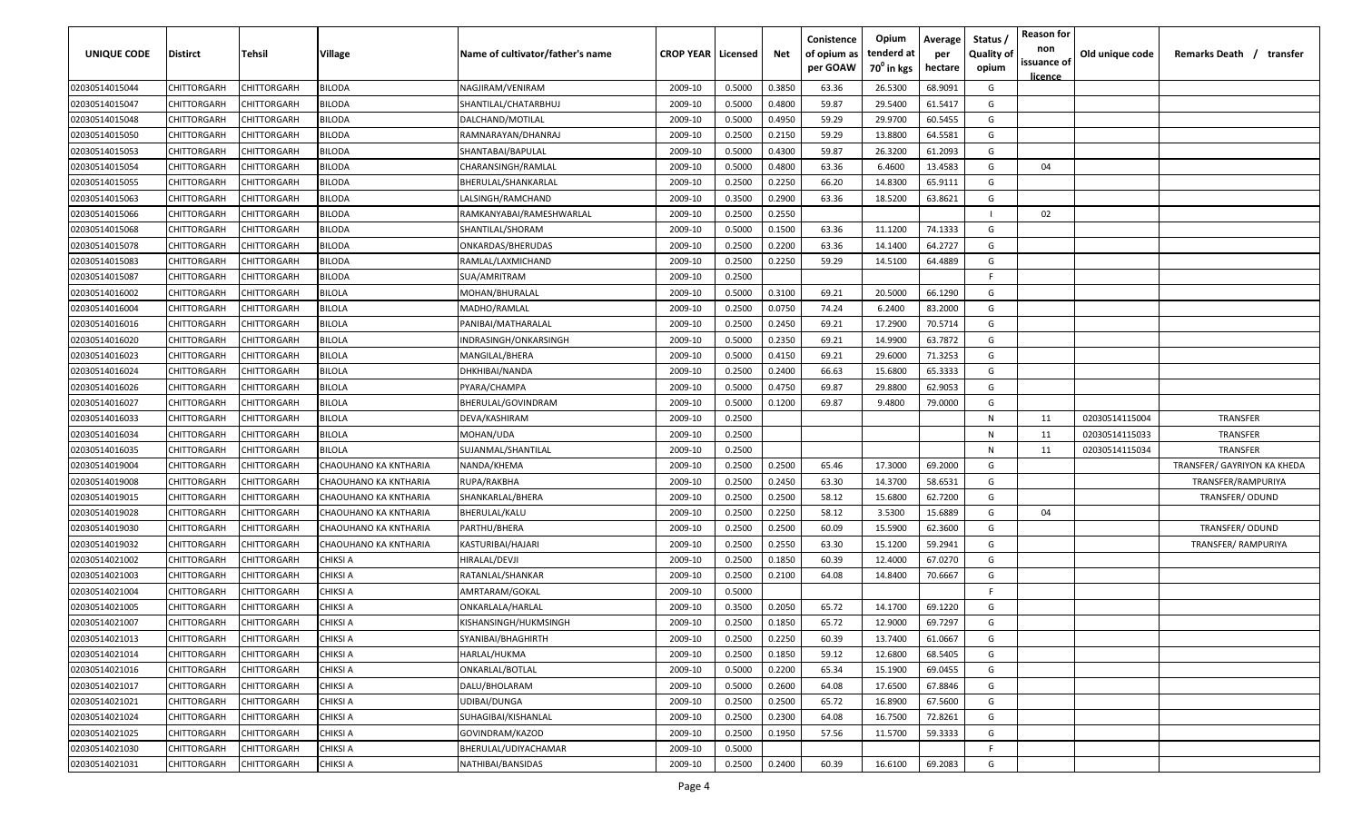| <b>UNIQUE CODE</b> | Distirct           | Tehsil             | Village               | Name of cultivator/father's name | <b>CROP YEAR   Licensed</b> |        | Net    | Conistence<br>of opium as<br>per GOAW | Opium<br>tenderd at<br>70 <sup>0</sup> in kgs | Average<br>per<br>hectare | Status /<br><b>Quality of</b><br>opium | <b>Reason for</b><br>non<br>issuance of<br><u>licence</u> | Old unique code | Remarks Death /<br>transfer |
|--------------------|--------------------|--------------------|-----------------------|----------------------------------|-----------------------------|--------|--------|---------------------------------------|-----------------------------------------------|---------------------------|----------------------------------------|-----------------------------------------------------------|-----------------|-----------------------------|
| 02030514015044     | CHITTORGARH        | CHITTORGARH        | <b>BILODA</b>         | NAGJIRAM/VENIRAM                 | 2009-10                     | 0.5000 | 0.3850 | 63.36                                 | 26.5300                                       | 68.9091                   | G                                      |                                                           |                 |                             |
| 02030514015047     | CHITTORGARH        | CHITTORGARH        | BILODA                | SHANTILAL/CHATARBHUJ             | 2009-10                     | 0.5000 | 0.4800 | 59.87                                 | 29.5400                                       | 61.5417                   | G                                      |                                                           |                 |                             |
| 02030514015048     | CHITTORGARH        | CHITTORGARH        | BILODA                | DALCHAND/MOTILAL                 | 2009-10                     | 0.5000 | 0.4950 | 59.29                                 | 29.9700                                       | 60.5455                   | G                                      |                                                           |                 |                             |
| 02030514015050     | CHITTORGARH        | CHITTORGARH        | BILODA                | RAMNARAYAN/DHANRAJ               | 2009-10                     | 0.2500 | 0.2150 | 59.29                                 | 13.8800                                       | 64.5581                   | G                                      |                                                           |                 |                             |
| 02030514015053     | CHITTORGARH        | CHITTORGARH        | BILODA                | SHANTABAI/BAPULAL                | 2009-10                     | 0.5000 | 0.4300 | 59.87                                 | 26.3200                                       | 61.2093                   | G                                      |                                                           |                 |                             |
| 02030514015054     | CHITTORGARH        | CHITTORGARH        | BILODA                | CHARANSINGH/RAMLAL               | 2009-10                     | 0.5000 | 0.4800 | 63.36                                 | 6.4600                                        | 13.4583                   | G                                      | 04                                                        |                 |                             |
| 02030514015055     | CHITTORGARH        | <b>CHITTORGARH</b> | BILODA                | BHERULAL/SHANKARLAL              | 2009-10                     | 0.2500 | 0.2250 | 66.20                                 | 14.8300                                       | 65.9111                   | G                                      |                                                           |                 |                             |
| 02030514015063     | CHITTORGARH        | CHITTORGARH        | BILODA                | LALSINGH/RAMCHAND                | 2009-10                     | 0.3500 | 0.2900 | 63.36                                 | 18.5200                                       | 63.8621                   | G                                      |                                                           |                 |                             |
| 02030514015066     | CHITTORGARH        | CHITTORGARH        | BILODA                | RAMKANYABAI/RAMESHWARLAL         | 2009-10                     | 0.2500 | 0.2550 |                                       |                                               |                           |                                        | 02                                                        |                 |                             |
| 02030514015068     | CHITTORGARH        | CHITTORGARH        | BILODA                | SHANTILAL/SHORAM                 | 2009-10                     | 0.5000 | 0.1500 | 63.36                                 | 11.1200                                       | 74.1333                   | G                                      |                                                           |                 |                             |
| 02030514015078     | CHITTORGARH        | CHITTORGARH        | BILODA                | ONKARDAS/BHERUDAS                | 2009-10                     | 0.2500 | 0.2200 | 63.36                                 | 14.1400                                       | 64.2727                   | G                                      |                                                           |                 |                             |
| 02030514015083     | CHITTORGARH        | CHITTORGARH        | BILODA                | RAMLAL/LAXMICHAND                | 2009-10                     | 0.2500 | 0.2250 | 59.29                                 | 14.5100                                       | 64.4889                   | G                                      |                                                           |                 |                             |
| 02030514015087     | CHITTORGARH        | CHITTORGARH        | BILODA                | SUA/AMRITRAM                     | 2009-10                     | 0.2500 |        |                                       |                                               |                           | -F.                                    |                                                           |                 |                             |
| 02030514016002     | CHITTORGARH        | CHITTORGARH        | BILOLA                | MOHAN/BHURALAL                   | 2009-10                     | 0.5000 | 0.3100 | 69.21                                 | 20.5000                                       | 66.1290                   | G                                      |                                                           |                 |                             |
| 02030514016004     | CHITTORGARH        | CHITTORGARH        | <b>BILOLA</b>         | MADHO/RAMLAL                     | 2009-10                     | 0.2500 | 0.0750 | 74.24                                 | 6.2400                                        | 83.2000                   | G                                      |                                                           |                 |                             |
| 02030514016016     | CHITTORGARH        | CHITTORGARH        | <b>BILOLA</b>         | PANIBAI/MATHARALAL               | 2009-10                     | 0.2500 | 0.2450 | 69.21                                 | 17.2900                                       | 70.5714                   | G                                      |                                                           |                 |                             |
| 02030514016020     | CHITTORGARH        | CHITTORGARH        | <b>BILOLA</b>         | INDRASINGH/ONKARSINGH            | 2009-10                     | 0.5000 | 0.2350 | 69.21                                 | 14.9900                                       | 63.7872                   | G                                      |                                                           |                 |                             |
| 02030514016023     | CHITTORGARH        | CHITTORGARH        | <b>BILOLA</b>         | MANGILAL/BHERA                   | 2009-10                     | 0.5000 | 0.4150 | 69.21                                 | 29.6000                                       | 71.3253                   | G                                      |                                                           |                 |                             |
| 02030514016024     | CHITTORGARH        | CHITTORGARH        | BILOLA                | DHKHIBAI/NANDA                   | 2009-10                     | 0.2500 | 0.2400 | 66.63                                 | 15.6800                                       | 65.3333                   | G                                      |                                                           |                 |                             |
| 02030514016026     | CHITTORGARH        | CHITTORGARH        | BILOLA                | PYARA/CHAMPA                     | 2009-10                     | 0.5000 | 0.4750 | 69.87                                 | 29.8800                                       | 62.9053                   | G                                      |                                                           |                 |                             |
| 02030514016027     | CHITTORGARH        | CHITTORGARH        | BILOLA                | BHERULAL/GOVINDRAM               | 2009-10                     | 0.5000 | 0.1200 | 69.87                                 | 9.4800                                        | 79.0000                   | G                                      |                                                           |                 |                             |
| 02030514016033     | CHITTORGARH        | CHITTORGARH        | BILOLA                | DEVA/KASHIRAM                    | 2009-10                     | 0.2500 |        |                                       |                                               |                           | N                                      | 11                                                        | 02030514115004  | <b>TRANSFER</b>             |
| 02030514016034     | CHITTORGARH        | CHITTORGARH        | BILOLA                | MOHAN/UDA                        | 2009-10                     | 0.2500 |        |                                       |                                               |                           | N                                      | 11                                                        | 02030514115033  | <b>TRANSFER</b>             |
| 02030514016035     | CHITTORGARH        | CHITTORGARH        | <b>BILOLA</b>         | SUJANMAL/SHANTILAL               | 2009-10                     | 0.2500 |        |                                       |                                               |                           | N                                      | 11                                                        | 02030514115034  | <b>TRANSFER</b>             |
| 02030514019004     | CHITTORGARH        | CHITTORGARH        | CHAOUHANO KA KNTHARIA | NANDA/KHEMA                      | 2009-10                     | 0.2500 | 0.2500 | 65.46                                 | 17.3000                                       | 69.2000                   | G                                      |                                                           |                 | TRANSFER/ GAYRIYON KA KHEDA |
| 02030514019008     | CHITTORGARH        | CHITTORGARH        | CHAOUHANO KA KNTHARIA | RUPA/RAKBHA                      | 2009-10                     | 0.2500 | 0.2450 | 63.30                                 | 14.3700                                       | 58.6531                   | G                                      |                                                           |                 | TRANSFER/RAMPURIYA          |
| 02030514019015     | CHITTORGARH        | CHITTORGARH        | CHAOUHANO KA KNTHARIA | SHANKARLAL/BHERA                 | 2009-10                     | 0.2500 | 0.2500 | 58.12                                 | 15.6800                                       | 62.7200                   | G                                      |                                                           |                 | TRANSFER/ ODUND             |
| 02030514019028     | CHITTORGARH        | CHITTORGARH        | CHAOUHANO KA KNTHARIA | BHERULAL/KALU                    | 2009-10                     | 0.2500 | 0.2250 | 58.12                                 | 3.5300                                        | 15.6889                   | G                                      | 04                                                        |                 |                             |
| 02030514019030     | CHITTORGARH        | CHITTORGARH        | CHAOUHANO KA KNTHARIA | PARTHU/BHERA                     | 2009-10                     | 0.2500 | 0.2500 | 60.09                                 | 15.5900                                       | 62.3600                   | G                                      |                                                           |                 | TRANSFER/ ODUND             |
| 02030514019032     | CHITTORGARH        | CHITTORGARH        | CHAOUHANO KA KNTHARIA | KASTURIBAI/HAJARI                | 2009-10                     | 0.2500 | 0.2550 | 63.30                                 | 15.1200                                       | 59.2941                   | G                                      |                                                           |                 | TRANSFER/RAMPURIYA          |
| 02030514021002     | CHITTORGARH        | CHITTORGARH        | CHIKSI A              | HIRALAL/DEVJI                    | 2009-10                     | 0.2500 | 0.1850 | 60.39                                 | 12.4000                                       | 67.0270                   | G                                      |                                                           |                 |                             |
| 02030514021003     | CHITTORGARH        | CHITTORGARH        | CHIKSI A              | RATANLAL/SHANKAR                 | 2009-10                     | 0.2500 | 0.2100 | 64.08                                 | 14.8400                                       | 70.6667                   | G                                      |                                                           |                 |                             |
| 02030514021004     | CHITTORGARH        | CHITTORGARH        | CHIKSI A              | AMRTARAM/GOKAL                   | 2009-10                     | 0.5000 |        |                                       |                                               |                           | -F.                                    |                                                           |                 |                             |
| 02030514021005     | CHITTORGARH        | CHITTORGARH        | <b>CHIKSI A</b>       | ONKARLALA/HARLAL                 | 2009-10                     | 0.3500 | 0.2050 | 65.72                                 | 14.1700                                       | 69.1220                   | G                                      |                                                           |                 |                             |
| 02030514021007     | CHITTORGARH        | CHITTORGARH        | CHIKSI A              | KISHANSINGH/HUKMSINGH            | 2009-10                     | 0.2500 | 0.1850 | 65.72                                 | 12.9000                                       | 69.7297                   | G                                      |                                                           |                 |                             |
| 02030514021013     | <b>CHITTORGARH</b> | CHITTORGARH        | <b>CHIKSI A</b>       | SYANIBAI/BHAGHIRTH               | 2009-10                     | 0.2500 | 0.2250 | 60.39                                 | 13.7400                                       | 61.0667                   | G                                      |                                                           |                 |                             |
| 02030514021014     | <b>CHITTORGARH</b> | CHITTORGARH        | <b>CHIKSI A</b>       | HARLAL/HUKMA                     | 2009-10                     | 0.2500 | 0.1850 | 59.12                                 | 12.6800                                       | 68.5405                   | G                                      |                                                           |                 |                             |
| 02030514021016     | <b>CHITTORGARH</b> | <b>CHITTORGARH</b> | <b>CHIKSI A</b>       | ONKARLAL/BOTLAL                  | 2009-10                     | 0.5000 | 0.2200 | 65.34                                 | 15.1900                                       | 69.0455                   | G                                      |                                                           |                 |                             |
| 02030514021017     | <b>CHITTORGARH</b> | CHITTORGARH        | <b>CHIKSI A</b>       | DALU/BHOLARAM                    | 2009-10                     | 0.5000 | 0.2600 | 64.08                                 | 17.6500                                       | 67.8846                   | G                                      |                                                           |                 |                             |
| 02030514021021     | CHITTORGARH        | CHITTORGARH        | CHIKSI A              | UDIBAI/DUNGA                     | 2009-10                     | 0.2500 | 0.2500 | 65.72                                 | 16.8900                                       | 67.5600                   | G                                      |                                                           |                 |                             |
| 02030514021024     | CHITTORGARH        | CHITTORGARH        | CHIKSI A              | SUHAGIBAI/KISHANLAL              | 2009-10                     | 0.2500 | 0.2300 | 64.08                                 | 16.7500                                       | 72.8261                   | G                                      |                                                           |                 |                             |
| 02030514021025     | <b>CHITTORGARH</b> | CHITTORGARH        | CHIKSI A              | GOVINDRAM/KAZOD                  | 2009-10                     | 0.2500 | 0.1950 | 57.56                                 | 11.5700                                       | 59.3333                   | G                                      |                                                           |                 |                             |
| 02030514021030     | CHITTORGARH        | CHITTORGARH        | CHIKSI A              | BHERULAL/UDIYACHAMAR             | 2009-10                     | 0.5000 |        |                                       |                                               |                           | F.                                     |                                                           |                 |                             |
| 02030514021031     | <b>CHITTORGARH</b> | CHITTORGARH        | CHIKSI A              | NATHIBAI/BANSIDAS                | 2009-10                     | 0.2500 | 0.2400 | 60.39                                 | 16.6100                                       | 69.2083                   | G                                      |                                                           |                 |                             |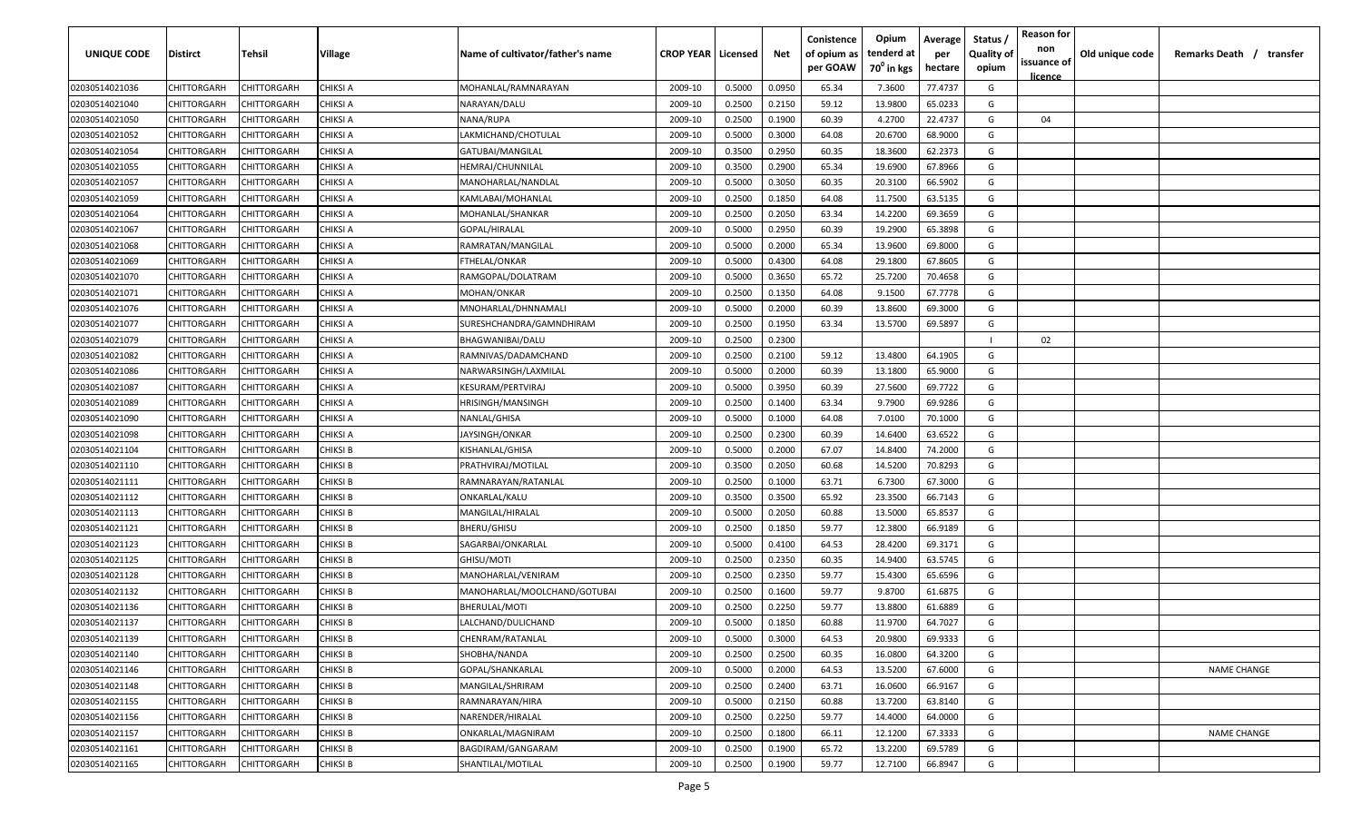| <b>UNIQUE CODE</b> | Distirct           | Tehsil      | Village         | Name of cultivator/father's name | <b>CROP YEAR   Licensed</b> |        | Net    | Conistence<br>of opium as<br>per GOAW | Opium<br>tenderd at<br>70 <sup>0</sup> in kgs | Average<br>per<br>hectare | Status /<br><b>Quality of</b><br>opium | <b>Reason for</b><br>non<br>issuance of | Old unique code | Remarks Death / transfer |
|--------------------|--------------------|-------------|-----------------|----------------------------------|-----------------------------|--------|--------|---------------------------------------|-----------------------------------------------|---------------------------|----------------------------------------|-----------------------------------------|-----------------|--------------------------|
|                    |                    |             |                 |                                  |                             |        |        |                                       |                                               |                           |                                        | <u>licence</u>                          |                 |                          |
| 02030514021036     | CHITTORGARH        | CHITTORGARH | <b>CHIKSI A</b> | MOHANLAL/RAMNARAYAN              | 2009-10                     | 0.5000 | 0.0950 | 65.34                                 | 7.3600                                        | 77.4737                   | G                                      |                                         |                 |                          |
| 02030514021040     | CHITTORGARH        | CHITTORGARH | CHIKSI A        | NARAYAN/DALU                     | 2009-10                     | 0.2500 | 0.2150 | 59.12                                 | 13.9800                                       | 65.0233                   | G                                      |                                         |                 |                          |
| 02030514021050     | CHITTORGARH        | CHITTORGARH | CHIKSI A        | NANA/RUPA                        | 2009-10                     | 0.2500 | 0.1900 | 60.39                                 | 4.2700                                        | 22.4737                   | G                                      | 04                                      |                 |                          |
| 02030514021052     | CHITTORGARH        | CHITTORGARH | <b>CHIKSI A</b> | LAKMICHAND/CHOTULAL              | 2009-10                     | 0.5000 | 0.3000 | 64.08                                 | 20.6700                                       | 68.9000                   | G                                      |                                         |                 |                          |
| 02030514021054     | CHITTORGARH        | CHITTORGARH | CHIKSI A        | GATUBAI/MANGILAL                 | 2009-10                     | 0.3500 | 0.2950 | 60.35                                 | 18.3600                                       | 62.2373                   | G                                      |                                         |                 |                          |
| 02030514021055     | CHITTORGARH        | CHITTORGARH | CHIKSI A        | HEMRAJ/CHUNNILAL                 | 2009-10                     | 0.3500 | 0.2900 | 65.34                                 | 19.6900                                       | 67.8966                   | G                                      |                                         |                 |                          |
| 02030514021057     | CHITTORGARH        | CHITTORGARH | CHIKSI A        | MANOHARLAL/NANDLAL               | 2009-10                     | 0.5000 | 0.3050 | 60.35                                 | 20.3100                                       | 66.5902                   | G                                      |                                         |                 |                          |
| 02030514021059     | CHITTORGARH        | CHITTORGARH | CHIKSI A        | KAMLABAI/MOHANLAL                | 2009-10                     | 0.2500 | 0.1850 | 64.08                                 | 11.7500                                       | 63.5135                   | G                                      |                                         |                 |                          |
| 02030514021064     | CHITTORGARH        | CHITTORGARH | CHIKSI A        | MOHANLAL/SHANKAR                 | 2009-10                     | 0.2500 | 0.2050 | 63.34                                 | 14.2200                                       | 69.3659                   | G                                      |                                         |                 |                          |
| 02030514021067     | CHITTORGARH        | CHITTORGARH | CHIKSI A        | GOPAL/HIRALAL                    | 2009-10                     | 0.5000 | 0.2950 | 60.39                                 | 19.2900                                       | 65.3898                   | G                                      |                                         |                 |                          |
| 02030514021068     | CHITTORGARH        | CHITTORGARH | CHIKSI A        | RAMRATAN/MANGILAL                | 2009-10                     | 0.5000 | 0.2000 | 65.34                                 | 13.9600                                       | 69.8000                   | G                                      |                                         |                 |                          |
| 02030514021069     | CHITTORGARH        | CHITTORGARH | CHIKSI A        | FTHELAL/ONKAR                    | 2009-10                     | 0.5000 | 0.4300 | 64.08                                 | 29.1800                                       | 67.8605                   | G                                      |                                         |                 |                          |
| 02030514021070     | CHITTORGARH        | CHITTORGARH | CHIKSI A        | RAMGOPAL/DOLATRAM                | 2009-10                     | 0.5000 | 0.3650 | 65.72                                 | 25.7200                                       | 70.4658                   | G                                      |                                         |                 |                          |
| 02030514021071     | CHITTORGARH        | CHITTORGARH | CHIKSI A        | MOHAN/ONKAR                      | 2009-10                     | 0.2500 | 0.1350 | 64.08                                 | 9.1500                                        | 67.7778                   | G                                      |                                         |                 |                          |
| 02030514021076     | CHITTORGARH        | CHITTORGARH | CHIKSI A        | MNOHARLAL/DHNNAMALI              | 2009-10                     | 0.5000 | 0.2000 | 60.39                                 | 13.8600                                       | 69.3000                   | G                                      |                                         |                 |                          |
| 02030514021077     | CHITTORGARH        | CHITTORGARH | CHIKSI A        | SURESHCHANDRA/GAMNDHIRAM         | 2009-10                     | 0.2500 | 0.1950 | 63.34                                 | 13.5700                                       | 69.5897                   | G                                      |                                         |                 |                          |
| 02030514021079     | CHITTORGARH        | CHITTORGARH | CHIKSI A        | BHAGWANIBAI/DALU                 | 2009-10                     | 0.2500 | 0.2300 |                                       |                                               |                           |                                        | 02                                      |                 |                          |
| 02030514021082     | CHITTORGARH        | CHITTORGARH | CHIKSI A        | RAMNIVAS/DADAMCHAND              | 2009-10                     | 0.2500 | 0.2100 | 59.12                                 | 13.4800                                       | 64.1905                   | G                                      |                                         |                 |                          |
| 02030514021086     | CHITTORGARH        | CHITTORGARH | CHIKSI A        | NARWARSINGH/LAXMILAL             | 2009-10                     | 0.5000 | 0.2000 | 60.39                                 | 13.1800                                       | 65.9000                   | G                                      |                                         |                 |                          |
| 02030514021087     | CHITTORGARH        | CHITTORGARH | CHIKSI A        | KESURAM/PERTVIRAJ                | 2009-10                     | 0.5000 | 0.3950 | 60.39                                 | 27.5600                                       | 69.7722                   | G                                      |                                         |                 |                          |
| 02030514021089     | CHITTORGARH        | CHITTORGARH | <b>CHIKSI A</b> | HRISINGH/MANSINGH                | 2009-10                     | 0.2500 | 0.1400 | 63.34                                 | 9.7900                                        | 69.9286                   | G                                      |                                         |                 |                          |
| 02030514021090     | CHITTORGARH        | CHITTORGARH | <b>CHIKSI A</b> | NANLAL/GHISA                     | 2009-10                     | 0.5000 | 0.1000 | 64.08                                 | 7.0100                                        | 70.1000                   | G                                      |                                         |                 |                          |
| 02030514021098     | CHITTORGARH        | CHITTORGARH | CHIKSI A        | IAYSINGH/ONKAR                   | 2009-10                     | 0.2500 | 0.2300 | 60.39                                 | 14.6400                                       | 63.6522                   | G                                      |                                         |                 |                          |
| 02030514021104     | CHITTORGARH        | CHITTORGARH | CHIKSI B        | KISHANLAL/GHISA                  | 2009-10                     | 0.5000 | 0.2000 | 67.07                                 | 14.8400                                       | 74.2000                   | G                                      |                                         |                 |                          |
| 02030514021110     | CHITTORGARH        | CHITTORGARH | CHIKSI B        | PRATHVIRAJ/MOTILAL               | 2009-10                     | 0.3500 | 0.2050 | 60.68                                 | 14.5200                                       | 70.8293                   | G                                      |                                         |                 |                          |
| 02030514021111     | CHITTORGARH        | CHITTORGARH | CHIKSI B        | RAMNARAYAN/RATANLAL              | 2009-10                     | 0.2500 | 0.1000 | 63.71                                 | 6.7300                                        | 67.3000                   | G                                      |                                         |                 |                          |
| 02030514021112     | CHITTORGARH        | CHITTORGARH | CHIKSI B        | ONKARLAL/KALU                    | 2009-10                     | 0.3500 | 0.3500 | 65.92                                 | 23.3500                                       | 66.7143                   | G                                      |                                         |                 |                          |
| 02030514021113     | CHITTORGARH        | CHITTORGARH | CHIKSI B        | MANGILAL/HIRALAL                 | 2009-10                     | 0.5000 | 0.2050 | 60.88                                 | 13.5000                                       | 65.8537                   | G                                      |                                         |                 |                          |
| 02030514021121     | CHITTORGARH        | CHITTORGARH | CHIKSI B        | BHERU/GHISU                      | 2009-10                     | 0.2500 | 0.1850 | 59.77                                 | 12.3800                                       | 66.9189                   | G                                      |                                         |                 |                          |
| 02030514021123     | CHITTORGARH        | CHITTORGARH | CHIKSI B        | SAGARBAI/ONKARLAL                | 2009-10                     | 0.5000 | 0.4100 | 64.53                                 | 28.4200                                       | 69.3171                   | G                                      |                                         |                 |                          |
| 02030514021125     | CHITTORGARH        | CHITTORGARH | <b>CHIKSI B</b> | GHISU/MOTI                       | 2009-10                     | 0.2500 | 0.2350 | 60.35                                 | 14.9400                                       | 63.5745                   | G                                      |                                         |                 |                          |
| 02030514021128     | CHITTORGARH        | CHITTORGARH | <b>CHIKSI B</b> | MANOHARLAL/VENIRAM               | 2009-10                     | 0.2500 | 0.2350 | 59.77                                 | 15.4300                                       | 65.6596                   | G                                      |                                         |                 |                          |
| 02030514021132     | CHITTORGARH        | CHITTORGARH | <b>CHIKSI B</b> | MANOHARLAL/MOOLCHAND/GOTUBAI     | 2009-10                     | 0.2500 | 0.1600 | 59.77                                 | 9.8700                                        | 61.6875                   | G                                      |                                         |                 |                          |
| 02030514021136     | CHITTORGARH        | CHITTORGARH | <b>CHIKSI B</b> | BHERULAL/MOTI                    | 2009-10                     | 0.2500 | 0.2250 | 59.77                                 | 13.8800                                       | 61.6889                   | G                                      |                                         |                 |                          |
| 02030514021137     | CHITTORGARH        | CHITTORGARH | <b>CHIKSI B</b> | LALCHAND/DULICHAND               | 2009-10                     | 0.5000 | 0.1850 | 60.88                                 | 11.9700                                       | 64.7027                   | G                                      |                                         |                 |                          |
| 02030514021139     | <b>CHITTORGARH</b> | CHITTORGARH | <b>CHIKSI B</b> | CHENRAM/RATANLAL                 | 2009-10                     | 0.5000 | 0.3000 | 64.53                                 | 20.9800                                       | 69.9333                   | G                                      |                                         |                 |                          |
| 02030514021140     | CHITTORGARH        | CHITTORGARH | <b>CHIKSI B</b> | SHOBHA/NANDA                     | 2009-10                     | 0.2500 | 0.2500 | 60.35                                 | 16.0800                                       | 64.3200                   | G                                      |                                         |                 |                          |
| 02030514021146     | CHITTORGARH        | CHITTORGARH | <b>CHIKSI B</b> | GOPAL/SHANKARLAL                 | 2009-10                     | 0.5000 | 0.2000 | 64.53                                 | 13.5200                                       | 67.6000                   | G                                      |                                         |                 | <b>NAME CHANGE</b>       |
| 02030514021148     | <b>CHITTORGARH</b> | CHITTORGARH | <b>CHIKSI B</b> | MANGILAL/SHRIRAM                 | 2009-10                     | 0.2500 | 0.2400 | 63.71                                 | 16.0600                                       | 66.9167                   | G                                      |                                         |                 |                          |
| 02030514021155     | CHITTORGARH        | CHITTORGARH | <b>CHIKSI B</b> | RAMNARAYAN/HIRA                  | 2009-10                     | 0.5000 | 0.2150 | 60.88                                 | 13.7200                                       | 63.8140                   | G                                      |                                         |                 |                          |
| 02030514021156     | CHITTORGARH        | CHITTORGARH | <b>CHIKSI B</b> | NARENDER/HIRALAL                 | 2009-10                     | 0.2500 | 0.2250 | 59.77                                 | 14.4000                                       | 64.0000                   | G                                      |                                         |                 |                          |
| 02030514021157     | CHITTORGARH        | CHITTORGARH | <b>CHIKSI B</b> | ONKARLAL/MAGNIRAM                | 2009-10                     | 0.2500 | 0.1800 | 66.11                                 | 12.1200                                       | 67.3333                   | G                                      |                                         |                 | <b>NAME CHANGE</b>       |
| 02030514021161     | CHITTORGARH        | CHITTORGARH | <b>CHIKSI B</b> | BAGDIRAM/GANGARAM                | 2009-10                     | 0.2500 | 0.1900 | 65.72                                 | 13.2200                                       | 69.5789                   | G                                      |                                         |                 |                          |
| 02030514021165     | CHITTORGARH        | CHITTORGARH | <b>CHIKSI B</b> | SHANTILAL/MOTILAL                | 2009-10                     | 0.2500 | 0.1900 | 59.77                                 | 12.7100                                       | 66.8947                   | G                                      |                                         |                 |                          |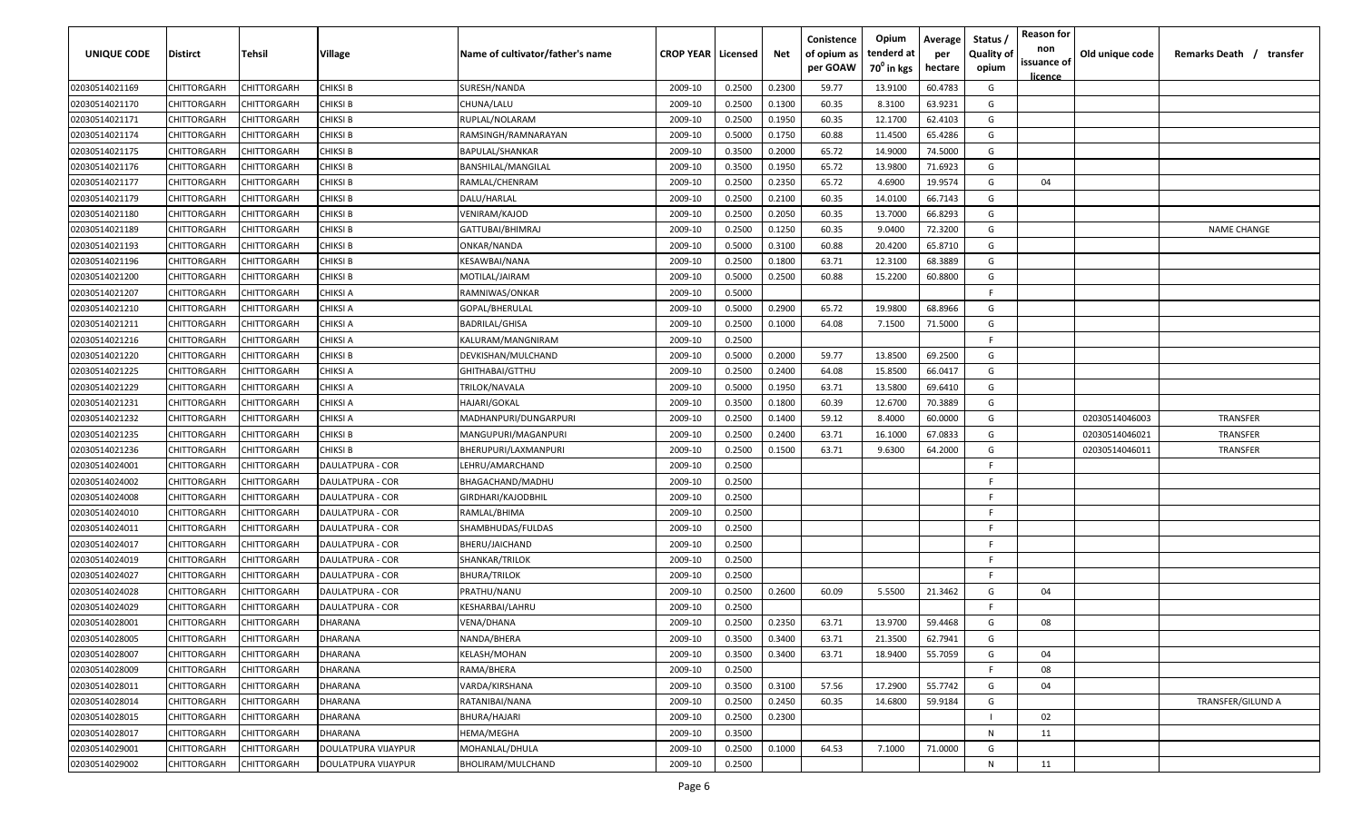| UNIQUE CODE    | Distirct           | Tehsil             | Village             | Name of cultivator/father's name | <b>CROP YEAR   Licensed</b> |        | Net    | Conistence<br>of opium as<br>per GOAW | Opium<br>tenderd at<br>70 <sup>0</sup> in kgs | Average<br>per<br>hectare | Status /<br><b>Quality of</b><br>opium | <b>Reason for</b><br>non<br>issuance of | Old unique code | Remarks Death / transfer |
|----------------|--------------------|--------------------|---------------------|----------------------------------|-----------------------------|--------|--------|---------------------------------------|-----------------------------------------------|---------------------------|----------------------------------------|-----------------------------------------|-----------------|--------------------------|
| 02030514021169 | CHITTORGARH        | CHITTORGARH        | <b>CHIKSI B</b>     | SURESH/NANDA                     | 2009-10                     | 0.2500 | 0.2300 | 59.77                                 | 13.9100                                       | 60.4783                   | G                                      | <u>licence</u>                          |                 |                          |
| 02030514021170 | CHITTORGARH        | CHITTORGARH        | CHIKSI B            | CHUNA/LALU                       | 2009-10                     | 0.2500 | 0.1300 | 60.35                                 | 8.3100                                        | 63.9231                   | G                                      |                                         |                 |                          |
| 02030514021171 | CHITTORGARH        | CHITTORGARH        | <b>CHIKSI B</b>     | RUPLAL/NOLARAM                   | 2009-10                     | 0.2500 | 0.1950 | 60.35                                 | 12.1700                                       | 62.4103                   | G                                      |                                         |                 |                          |
| 02030514021174 | CHITTORGARH        | CHITTORGARH        | <b>CHIKSI B</b>     | RAMSINGH/RAMNARAYAN              | 2009-10                     | 0.5000 | 0.1750 | 60.88                                 | 11.4500                                       | 65.4286                   | G                                      |                                         |                 |                          |
| 02030514021175 | CHITTORGARH        | CHITTORGARH        | <b>CHIKSI B</b>     | <b>BAPULAL/SHANKAR</b>           | 2009-10                     | 0.3500 | 0.2000 | 65.72                                 | 14.9000                                       | 74.5000                   | G                                      |                                         |                 |                          |
| 02030514021176 | CHITTORGARH        | CHITTORGARH        | CHIKSI B            | BANSHILAL/MANGILAL               | 2009-10                     | 0.3500 | 0.1950 | 65.72                                 | 13.9800                                       | 71.6923                   | G                                      |                                         |                 |                          |
| 02030514021177 | CHITTORGARH        | <b>CHITTORGARH</b> | CHIKSI B            | RAMLAL/CHENRAM                   | 2009-10                     | 0.2500 | 0.2350 | 65.72                                 | 4.6900                                        | 19.9574                   | G                                      | 04                                      |                 |                          |
| 02030514021179 | CHITTORGARH        | CHITTORGARH        | CHIKSI B            | DALU/HARLAL                      | 2009-10                     | 0.2500 | 0.2100 | 60.35                                 | 14.0100                                       | 66.7143                   | G                                      |                                         |                 |                          |
| 02030514021180 | CHITTORGARH        | CHITTORGARH        | CHIKSI B            | VENIRAM/KAJOD                    | 2009-10                     | 0.2500 | 0.2050 | 60.35                                 | 13.7000                                       | 66.8293                   | G                                      |                                         |                 |                          |
| 02030514021189 | CHITTORGARH        | CHITTORGARH        | CHIKSI B            | GATTUBAI/BHIMRAJ                 | 2009-10                     | 0.2500 | 0.1250 | 60.35                                 | 9.0400                                        | 72.3200                   | G                                      |                                         |                 | <b>NAME CHANGE</b>       |
| 02030514021193 | CHITTORGARH        | CHITTORGARH        | CHIKSI B            | ONKAR/NANDA                      | 2009-10                     | 0.5000 | 0.3100 | 60.88                                 | 20.4200                                       | 65.8710                   | G                                      |                                         |                 |                          |
| 02030514021196 | CHITTORGARH        | CHITTORGARH        | CHIKSI B            | KESAWBAI/NANA                    | 2009-10                     | 0.2500 | 0.1800 | 63.71                                 | 12.3100                                       | 68.3889                   | G                                      |                                         |                 |                          |
| 02030514021200 | CHITTORGARH        | CHITTORGARH        | CHIKSI B            | MOTILAL/JAIRAM                   | 2009-10                     | 0.5000 | 0.2500 | 60.88                                 | 15.2200                                       | 60.8800                   | G                                      |                                         |                 |                          |
| 02030514021207 | CHITTORGARH        | CHITTORGARH        | CHIKSI A            | RAMNIWAS/ONKAR                   | 2009-10                     | 0.5000 |        |                                       |                                               |                           | F.                                     |                                         |                 |                          |
| 02030514021210 | CHITTORGARH        | CHITTORGARH        | CHIKSI A            | GOPAL/BHERULAL                   | 2009-10                     | 0.5000 | 0.2900 | 65.72                                 | 19.9800                                       | 68.8966                   | G                                      |                                         |                 |                          |
| 02030514021211 | CHITTORGARH        | CHITTORGARH        | CHIKSI A            | <b>BADRILAL/GHISA</b>            | 2009-10                     | 0.2500 | 0.1000 | 64.08                                 | 7.1500                                        | 71.5000                   | G                                      |                                         |                 |                          |
| 02030514021216 | CHITTORGARH        | CHITTORGARH        | CHIKSI A            | KALURAM/MANGNIRAM                | 2009-10                     | 0.2500 |        |                                       |                                               |                           | -F.                                    |                                         |                 |                          |
| 02030514021220 | CHITTORGARH        | CHITTORGARH        | <b>CHIKSI B</b>     | DEVKISHAN/MULCHAND               | 2009-10                     | 0.5000 | 0.2000 | 59.77                                 | 13.8500                                       | 69.2500                   | G                                      |                                         |                 |                          |
| 02030514021225 | CHITTORGARH        | CHITTORGARH        | CHIKSI A            | GHITHABAI/GTTHU                  | 2009-10                     | 0.2500 | 0.2400 | 64.08                                 | 15.8500                                       | 66.0417                   | G                                      |                                         |                 |                          |
| 02030514021229 | CHITTORGARH        | CHITTORGARH        | CHIKSI A            | TRILOK/NAVALA                    | 2009-10                     | 0.5000 | 0.1950 | 63.71                                 | 13.5800                                       | 69.6410                   | G                                      |                                         |                 |                          |
| 02030514021231 | CHITTORGARH        | CHITTORGARH        | <b>CHIKSI A</b>     | <b>HAJARI/GOKAL</b>              | 2009-10                     | 0.3500 | 0.1800 | 60.39                                 | 12.6700                                       | 70.3889                   | G                                      |                                         |                 |                          |
| 02030514021232 | CHITTORGARH        | CHITTORGARH        | <b>CHIKSI A</b>     | MADHANPURI/DUNGARPURI            | 2009-10                     | 0.2500 | 0.1400 | 59.12                                 | 8.4000                                        | 60.0000                   | G                                      |                                         | 02030514046003  | <b>TRANSFER</b>          |
| 02030514021235 | CHITTORGARH        | CHITTORGARH        | CHIKSI B            | MANGUPURI/MAGANPURI              | 2009-10                     | 0.2500 | 0.2400 | 63.71                                 | 16.1000                                       | 67.0833                   | G                                      |                                         | 02030514046021  | <b>TRANSFER</b>          |
| 02030514021236 | CHITTORGARH        | CHITTORGARH        | CHIKSI B            | BHERUPURI/LAXMANPURI             | 2009-10                     | 0.2500 | 0.1500 | 63.71                                 | 9.6300                                        | 64.2000                   | G                                      |                                         | 02030514046011  | <b>TRANSFER</b>          |
| 02030514024001 | CHITTORGARH        | CHITTORGARH        | DAULATPURA - COR    | LEHRU/AMARCHAND                  | 2009-10                     | 0.2500 |        |                                       |                                               |                           | -F                                     |                                         |                 |                          |
| 02030514024002 | CHITTORGARH        | CHITTORGARH        | DAULATPURA - COR    | BHAGACHAND/MADHU                 | 2009-10                     | 0.2500 |        |                                       |                                               |                           | -F.                                    |                                         |                 |                          |
| 02030514024008 | CHITTORGARH        | CHITTORGARH        | DAULATPURA - COR    | GIRDHARI/KAJODBHIL               | 2009-10                     | 0.2500 |        |                                       |                                               |                           | -F.                                    |                                         |                 |                          |
| 02030514024010 | CHITTORGARH        | CHITTORGARH        | DAULATPURA - COR    | RAMLAL/BHIMA                     | 2009-10                     | 0.2500 |        |                                       |                                               |                           | -F.                                    |                                         |                 |                          |
| 02030514024011 | CHITTORGARH        | CHITTORGARH        | DAULATPURA - COR    | SHAMBHUDAS/FULDAS                | 2009-10                     | 0.2500 |        |                                       |                                               |                           | -F.                                    |                                         |                 |                          |
| 02030514024017 | CHITTORGARH        | CHITTORGARH        | DAULATPURA - COR    | BHERU/JAICHAND                   | 2009-10                     | 0.2500 |        |                                       |                                               |                           | -F.                                    |                                         |                 |                          |
| 02030514024019 | CHITTORGARH        | CHITTORGARH        | DAULATPURA - COR    | SHANKAR/TRILOK                   | 2009-10                     | 0.2500 |        |                                       |                                               |                           | -F.                                    |                                         |                 |                          |
| 02030514024027 | CHITTORGARH        | CHITTORGARH        | DAULATPURA - COR    | <b>BHURA/TRILOK</b>              | 2009-10                     | 0.2500 |        |                                       |                                               |                           | -F.                                    |                                         |                 |                          |
| 02030514024028 | CHITTORGARH        | CHITTORGARH        | DAULATPURA - COR    | PRATHU/NANU                      | 2009-10                     | 0.2500 | 0.2600 | 60.09                                 | 5.5500                                        | 21.3462                   | G                                      | 04                                      |                 |                          |
| 02030514024029 | CHITTORGARH        | CHITTORGARH        | DAULATPURA - COR    | KESHARBAI/LAHRU                  | 2009-10                     | 0.2500 |        |                                       |                                               |                           | -F.                                    |                                         |                 |                          |
| 02030514028001 | CHITTORGARH        | CHITTORGARH        | DHARANA             | VENA/DHANA                       | 2009-10                     | 0.2500 | 0.2350 | 63.71                                 | 13.9700                                       | 59.4468                   | G                                      | 08                                      |                 |                          |
| 02030514028005 | <b>CHITTORGARH</b> | CHITTORGARH        | DHARANA             | NANDA/BHERA                      | 2009-10                     | 0.3500 | 0.3400 | 63.71                                 | 21.3500                                       | 62.7941                   | G                                      |                                         |                 |                          |
| 02030514028007 | CHITTORGARH        | CHITTORGARH        | DHARANA             | KELASH/MOHAN                     | 2009-10                     | 0.3500 | 0.3400 | 63.71                                 | 18.9400                                       | 55.7059                   | G                                      | 04                                      |                 |                          |
| 02030514028009 | CHITTORGARH        | CHITTORGARH        | DHARANA             | RAMA/BHERA                       | 2009-10                     | 0.2500 |        |                                       |                                               |                           | F.                                     | 08                                      |                 |                          |
| 02030514028011 | <b>CHITTORGARH</b> | CHITTORGARH        | DHARANA             | VARDA/KIRSHANA                   | 2009-10                     | 0.3500 | 0.3100 | 57.56                                 | 17.2900                                       | 55.7742                   | G                                      | 04                                      |                 |                          |
| 02030514028014 | CHITTORGARH        | CHITTORGARH        | DHARANA             | RATANIBAI/NANA                   | 2009-10                     | 0.2500 | 0.2450 | 60.35                                 | 14.6800                                       | 59.9184                   | G                                      |                                         |                 | TRANSFER/GILUND A        |
| 02030514028015 | CHITTORGARH        | CHITTORGARH        | DHARANA             | BHURA/HAJARI                     | 2009-10                     | 0.2500 | 0.2300 |                                       |                                               |                           |                                        | 02                                      |                 |                          |
| 02030514028017 | CHITTORGARH        | CHITTORGARH        | DHARANA             | HEMA/MEGHA                       | 2009-10                     | 0.3500 |        |                                       |                                               |                           | N                                      | 11                                      |                 |                          |
| 02030514029001 | CHITTORGARH        | CHITTORGARH        | DOULATPURA VIJAYPUR | MOHANLAL/DHULA                   | 2009-10                     | 0.2500 | 0.1000 | 64.53                                 | 7.1000                                        | 71.0000                   | G                                      |                                         |                 |                          |
| 02030514029002 | CHITTORGARH        | CHITTORGARH        | DOULATPURA VIJAYPUR | BHOLIRAM/MULCHAND                | 2009-10                     | 0.2500 |        |                                       |                                               |                           | N                                      | 11                                      |                 |                          |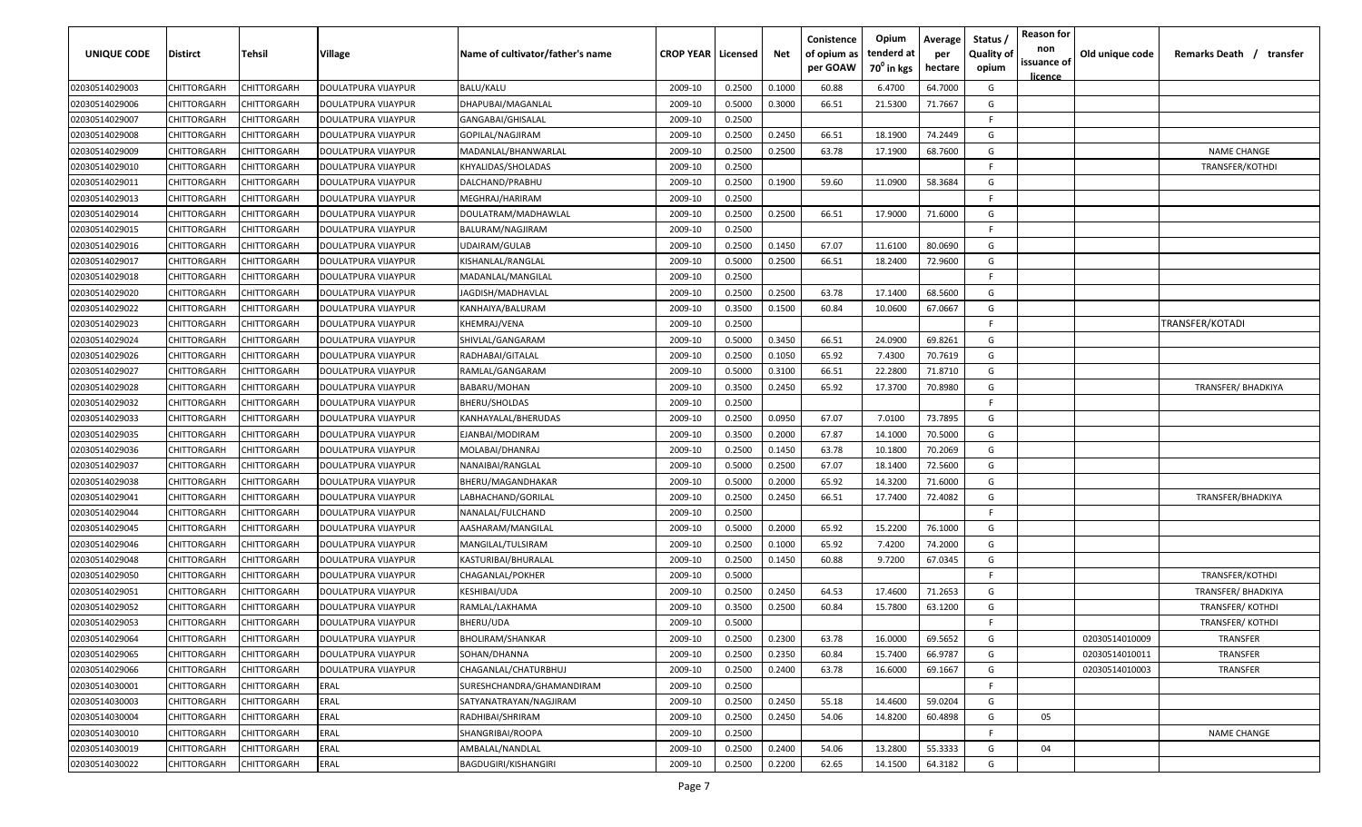| UNIQUE CODE    | <b>Distirct</b>    | Tehsil             | Village                    | Name of cultivator/father's name | <b>CROP YEAR   Licensed</b> |        | Net    | Conistence<br>of opium as<br>per GOAW | Opium<br>tenderd at<br>70 <sup>°</sup> in kgs | Average<br>per<br>hectare | Status<br><b>Quality of</b><br>opium | <b>Reason for</b><br>non<br>issuance of<br>licence | Old unique code | Remarks Death / transfer  |
|----------------|--------------------|--------------------|----------------------------|----------------------------------|-----------------------------|--------|--------|---------------------------------------|-----------------------------------------------|---------------------------|--------------------------------------|----------------------------------------------------|-----------------|---------------------------|
| 02030514029003 | CHITTORGARH        | CHITTORGARH        | <b>DOULATPURA VIJAYPUR</b> | BALU/KALU                        | 2009-10                     | 0.2500 | 0.1000 | 60.88                                 | 6.4700                                        | 64.7000                   | G                                    |                                                    |                 |                           |
| 02030514029006 | CHITTORGARH        | CHITTORGARH        | <b>DOULATPURA VIJAYPUR</b> | DHAPUBAI/MAGANLAL                | 2009-10                     | 0.5000 | 0.3000 | 66.51                                 | 21.5300                                       | 71.7667                   | G                                    |                                                    |                 |                           |
| 02030514029007 | CHITTORGARH        | CHITTORGARH        | <b>DOULATPURA VIJAYPUR</b> | GANGABAI/GHISALAL                | 2009-10                     | 0.2500 |        |                                       |                                               |                           | F.                                   |                                                    |                 |                           |
| 02030514029008 | CHITTORGARH        | CHITTORGARH        | <b>DOULATPURA VIJAYPUR</b> | GOPILAL/NAGJIRAM                 | 2009-10                     | 0.2500 | 0.2450 | 66.51                                 | 18.1900                                       | 74.2449                   | G                                    |                                                    |                 |                           |
| 02030514029009 | CHITTORGARH        | CHITTORGARH        | <b>DOULATPURA VIJAYPUR</b> | MADANLAL/BHANWARLAL              | 2009-10                     | 0.2500 | 0.2500 | 63.78                                 | 17.1900                                       | 68.7600                   | G                                    |                                                    |                 | <b>NAME CHANGE</b>        |
| 02030514029010 | CHITTORGARH        | CHITTORGARH        | <b>DOULATPURA VIJAYPUR</b> | KHYALIDAS/SHOLADAS               | 2009-10                     | 0.2500 |        |                                       |                                               |                           | -F                                   |                                                    |                 | TRANSFER/KOTHDI           |
| 02030514029011 | CHITTORGARH        | CHITTORGARH        | <b>DOULATPURA VIJAYPUR</b> | DALCHAND/PRABHU                  | 2009-10                     | 0.2500 | 0.1900 | 59.60                                 | 11.0900                                       | 58.3684                   | G                                    |                                                    |                 |                           |
| 02030514029013 | CHITTORGARH        | <b>CHITTORGARH</b> | <b>DOULATPURA VIJAYPUR</b> | MEGHRAJ/HARIRAM                  | 2009-10                     | 0.2500 |        |                                       |                                               |                           | -F                                   |                                                    |                 |                           |
| 02030514029014 | CHITTORGARH        | CHITTORGARH        | <b>DOULATPURA VIJAYPUR</b> | DOULATRAM/MADHAWLAL              | 2009-10                     | 0.2500 | 0.2500 | 66.51                                 | 17.9000                                       | 71.6000                   | G                                    |                                                    |                 |                           |
| 02030514029015 | CHITTORGARH        | CHITTORGARH        | DOULATPURA VIJAYPUR        | BALURAM/NAGJIRAM                 | 2009-10                     | 0.2500 |        |                                       |                                               |                           | F.                                   |                                                    |                 |                           |
| 02030514029016 | CHITTORGARH        | CHITTORGARH        | DOULATPURA VIJAYPUR        | UDAIRAM/GULAB                    | 2009-10                     | 0.2500 | 0.1450 | 67.07                                 | 11.6100                                       | 80.0690                   | G                                    |                                                    |                 |                           |
| 02030514029017 | CHITTORGARH        | <b>CHITTORGARH</b> | DOULATPURA VIJAYPUR        | KISHANLAL/RANGLAL                | 2009-10                     | 0.5000 | 0.2500 | 66.51                                 | 18.2400                                       | 72.9600                   | G                                    |                                                    |                 |                           |
| 02030514029018 | <b>CHITTORGARH</b> | CHITTORGARH        | DOULATPURA VIJAYPUR        | MADANLAL/MANGILAL                | 2009-10                     | 0.2500 |        |                                       |                                               |                           | -F                                   |                                                    |                 |                           |
| 02030514029020 | CHITTORGARH        | CHITTORGARH        | DOULATPURA VIJAYPUR        | JAGDISH/MADHAVLAL                | 2009-10                     | 0.2500 | 0.2500 | 63.78                                 | 17.1400                                       | 68.5600                   | G                                    |                                                    |                 |                           |
| 02030514029022 | CHITTORGARH        | CHITTORGARH        | DOULATPURA VIJAYPUR        | KANHAIYA/BALURAM                 | 2009-10                     | 0.3500 | 0.1500 | 60.84                                 | 10.0600                                       | 67.0667                   | G                                    |                                                    |                 |                           |
| 02030514029023 | CHITTORGARH        | <b>CHITTORGARH</b> | <b>DOULATPURA VIJAYPUR</b> | KHEMRAJ/VENA                     | 2009-10                     | 0.2500 |        |                                       |                                               |                           | -F                                   |                                                    |                 | TRANSFER/KOTADI           |
| 02030514029024 | CHITTORGARH        | CHITTORGARH        | <b>DOULATPURA VIJAYPUR</b> | SHIVLAL/GANGARAM                 | 2009-10                     | 0.5000 | 0.3450 | 66.51                                 | 24.0900                                       | 69.8261                   | G                                    |                                                    |                 |                           |
| 02030514029026 | CHITTORGARH        | CHITTORGARH        | <b>DOULATPURA VIJAYPUR</b> | RADHABAI/GITALAL                 | 2009-10                     | 0.2500 | 0.1050 | 65.92                                 | 7.4300                                        | 70.7619                   | G                                    |                                                    |                 |                           |
| 02030514029027 | CHITTORGARH        | CHITTORGARH        | DOULATPURA VIJAYPUR        | RAMLAL/GANGARAM                  | 2009-10                     | 0.5000 | 0.3100 | 66.51                                 | 22.2800                                       | 71.8710                   | G                                    |                                                    |                 |                           |
| 02030514029028 | CHITTORGARH        | CHITTORGARH        | <b>DOULATPURA VIJAYPUR</b> | BABARU/MOHAN                     | 2009-10                     | 0.3500 | 0.2450 | 65.92                                 | 17.3700                                       | 70.8980                   | G                                    |                                                    |                 | TRANSFER/ BHADKIYA        |
| 02030514029032 | CHITTORGARH        | CHITTORGARH        | <b>DOULATPURA VIJAYPUR</b> | <b>BHERU/SHOLDAS</b>             | 2009-10                     | 0.2500 |        |                                       |                                               |                           | -F                                   |                                                    |                 |                           |
| 02030514029033 | CHITTORGARH        | CHITTORGARH        | <b>DOULATPURA VIJAYPUR</b> | KANHAYALAL/BHERUDAS              | 2009-10                     | 0.2500 | 0.0950 | 67.07                                 | 7.0100                                        | 73.7895                   | G                                    |                                                    |                 |                           |
| 02030514029035 | CHITTORGARH        | CHITTORGARH        | <b>DOULATPURA VIJAYPUR</b> | EJANBAI/MODIRAM                  | 2009-10                     | 0.3500 | 0.2000 | 67.87                                 | 14.1000                                       | 70.5000                   | G                                    |                                                    |                 |                           |
| 02030514029036 | CHITTORGARH        | CHITTORGARH        | <b>DOULATPURA VIJAYPUR</b> | MOLABAI/DHANRAJ                  | 2009-10                     | 0.2500 | 0.1450 | 63.78                                 | 10.1800                                       | 70.2069                   | G                                    |                                                    |                 |                           |
| 02030514029037 | CHITTORGARH        | <b>CHITTORGARH</b> | <b>DOULATPURA VIJAYPUR</b> | NANAIBAI/RANGLAL                 | 2009-10                     | 0.5000 | 0.2500 | 67.07                                 | 18.1400                                       | 72.5600                   | G                                    |                                                    |                 |                           |
| 02030514029038 | CHITTORGARH        | CHITTORGARH        | DOULATPURA VIJAYPUR        | BHERU/MAGANDHAKAR                | 2009-10                     | 0.5000 | 0.2000 | 65.92                                 | 14.3200                                       | 71.6000                   | G                                    |                                                    |                 |                           |
| 02030514029041 | CHITTORGARH        | CHITTORGARH        | DOULATPURA VIJAYPUR        | LABHACHAND/GORILAL               | 2009-10                     | 0.2500 | 0.2450 | 66.51                                 | 17.7400                                       | 72.4082                   | G                                    |                                                    |                 | TRANSFER/BHADKIYA         |
| 02030514029044 | CHITTORGARH        | CHITTORGARH        | DOULATPURA VIJAYPUR        | NANALAL/FULCHAND                 | 2009-10                     | 0.2500 |        |                                       |                                               |                           | F.                                   |                                                    |                 |                           |
| 02030514029045 | CHITTORGARH        | CHITTORGARH        | DOULATPURA VIJAYPUR        | AASHARAM/MANGILAL                | 2009-10                     | 0.5000 | 0.2000 | 65.92                                 | 15.2200                                       | 76.1000                   | G                                    |                                                    |                 |                           |
| 02030514029046 | <b>CHITTORGARH</b> | CHITTORGARH        | DOULATPURA VIJAYPUR        | MANGILAL/TULSIRAM                | 2009-10                     | 0.2500 | 0.1000 | 65.92                                 | 7.4200                                        | 74.2000                   | G                                    |                                                    |                 |                           |
| 02030514029048 | CHITTORGARH        | CHITTORGARH        | DOULATPURA VIJAYPUR        | KASTURIBAI/BHURALAL              | 2009-10                     | 0.2500 | 0.1450 | 60.88                                 | 9.7200                                        | 67.0345                   | G                                    |                                                    |                 |                           |
| 02030514029050 | CHITTORGARH        | CHITTORGARH        | <b>DOULATPURA VIJAYPUR</b> | CHAGANLAL/POKHER                 | 2009-10                     | 0.5000 |        |                                       |                                               |                           | E                                    |                                                    |                 | TRANSFER/KOTHDI           |
| 02030514029051 | CHITTORGARH        | CHITTORGARH        | DOULATPURA VIJAYPUR        | KESHIBAI/UDA                     | 2009-10                     | 0.2500 | 0.2450 | 64.53                                 | 17.4600                                       | 71.2653                   | G                                    |                                                    |                 | <b>TRANSFER/ BHADKIYA</b> |
| 02030514029052 | CHITTORGARH        | CHITTORGARH        | DOULATPURA VIJAYPUR        | RAMLAL/LAKHAMA                   | 2009-10                     | 0.3500 | 0.2500 | 60.84                                 | 15.7800                                       | 63.1200                   | G                                    |                                                    |                 | TRANSFER/KOTHDI           |
| 02030514029053 | CHITTORGARH        | CHITTORGARH        | DOULATPURA VIJAYPUR        | BHERU/UDA                        | 2009-10                     | 0.5000 |        |                                       |                                               |                           | F                                    |                                                    |                 | <b>TRANSFER/ KOTHDI</b>   |
| 02030514029064 | CHITTORGARH        | <b>CHITTORGARH</b> | <b>DOULATPURA VIJAYPUR</b> | BHOLIRAM/SHANKAR                 | 2009-10                     | 0.2500 | 0.2300 | 63.78                                 | 16.0000                                       | 69.5652                   | G                                    |                                                    | 02030514010009  | TRANSFER                  |
| 02030514029065 | CHITTORGARH        | CHITTORGARH        | <b>DOULATPURA VIJAYPUR</b> | SOHAN/DHANNA                     | 2009-10                     | 0.2500 | 0.2350 | 60.84                                 | 15.7400                                       | 66.9787                   | G                                    |                                                    | 02030514010011  | TRANSFER                  |
| 02030514029066 | CHITTORGARH        | CHITTORGARH        | <b>DOULATPURA VIJAYPUR</b> | CHAGANLAL/CHATURBHUJ             | 2009-10                     | 0.2500 | 0.2400 | 63.78                                 | 16.6000                                       | 69.1667                   | G                                    |                                                    | 02030514010003  | TRANSFER                  |
| 02030514030001 | CHITTORGARH        | CHITTORGARH        | ERAL                       | SURESHCHANDRA/GHAMANDIRAM        | 2009-10                     | 0.2500 |        |                                       |                                               |                           | E                                    |                                                    |                 |                           |
| 02030514030003 | CHITTORGARH        | CHITTORGARH        | ERAL                       | SATYANATRAYAN/NAGJIRAM           | 2009-10                     | 0.2500 | 0.2450 | 55.18                                 | 14.4600                                       | 59.0204                   | G                                    |                                                    |                 |                           |
| 02030514030004 | CHITTORGARH        | CHITTORGARH        | ERAL                       | RADHIBAI/SHRIRAM                 | 2009-10                     | 0.2500 | 0.2450 | 54.06                                 | 14.8200                                       | 60.4898                   | G                                    | 05                                                 |                 |                           |
| 02030514030010 | CHITTORGARH        | CHITTORGARH        | ERAL                       | SHANGRIBAI/ROOPA                 | 2009-10                     | 0.2500 |        |                                       |                                               |                           | F.                                   |                                                    |                 | NAME CHANGE               |
| 02030514030019 | CHITTORGARH        | CHITTORGARH        | ERAL                       | AMBALAL/NANDLAL                  | 2009-10                     | 0.2500 | 0.2400 | 54.06                                 | 13.2800                                       | 55.3333                   | G                                    | 04                                                 |                 |                           |
| 02030514030022 | CHITTORGARH        | CHITTORGARH        | ERAL                       | BAGDUGIRI/KISHANGIRI             | 2009-10                     | 0.2500 | 0.2200 | 62.65                                 | 14.1500                                       | 64.3182                   | G                                    |                                                    |                 |                           |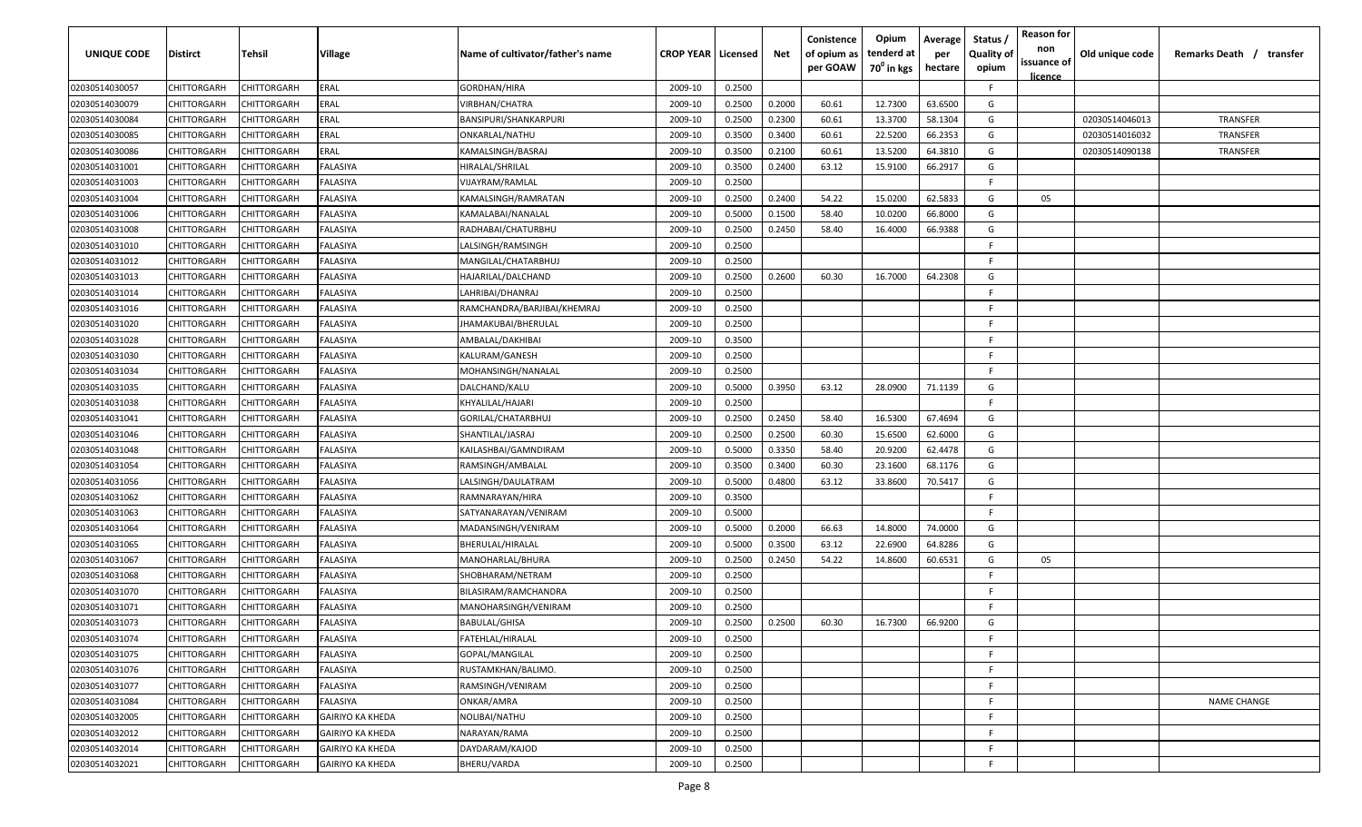| UNIQUE CODE    | Distirct           | Tehsil      | Village                 | Name of cultivator/father's name | <b>CROP YEAR   Licensed</b> |        | Net    | Conistence<br>of opium as<br>per GOAW | Opium<br>tenderd at<br>70 <sup>0</sup> in kgs | Average<br>per<br>hectare | Status /<br><b>Quality of</b><br>opium | <b>Reason for</b><br>non<br>issuance of<br><u>licence</u> | Old unique code | Remarks Death / transfer |
|----------------|--------------------|-------------|-------------------------|----------------------------------|-----------------------------|--------|--------|---------------------------------------|-----------------------------------------------|---------------------------|----------------------------------------|-----------------------------------------------------------|-----------------|--------------------------|
| 02030514030057 | CHITTORGARH        | CHITTORGARH | ERAL                    | GORDHAN/HIRA                     | 2009-10                     | 0.2500 |        |                                       |                                               |                           | F.                                     |                                                           |                 |                          |
| 02030514030079 | CHITTORGARH        | CHITTORGARH | ERAL                    | VIRBHAN/CHATRA                   | 2009-10                     | 0.2500 | 0.2000 | 60.61                                 | 12.7300                                       | 63.6500                   | G                                      |                                                           |                 |                          |
| 02030514030084 | CHITTORGARH        | CHITTORGARH | ERAL                    | BANSIPURI/SHANKARPURI            | 2009-10                     | 0.2500 | 0.2300 | 60.61                                 | 13.3700                                       | 58.1304                   | G                                      |                                                           | 02030514046013  | TRANSFER                 |
| 02030514030085 | CHITTORGARH        | CHITTORGARH | ERAL                    | ONKARLAL/NATHU                   | 2009-10                     | 0.3500 | 0.3400 | 60.61                                 | 22.5200                                       | 66.2353                   | G                                      |                                                           | 02030514016032  | TRANSFER                 |
| 02030514030086 | CHITTORGARH        | CHITTORGARH | ERAL                    | KAMALSINGH/BASRAJ                | 2009-10                     | 0.3500 | 0.2100 | 60.61                                 | 13.5200                                       | 64.3810                   | G                                      |                                                           | 02030514090138  | TRANSFER                 |
| 02030514031001 | CHITTORGARH        | CHITTORGARH | FALASIYA                | HIRALAL/SHRILAL                  | 2009-10                     | 0.3500 | 0.2400 | 63.12                                 | 15.9100                                       | 66.2917                   | G                                      |                                                           |                 |                          |
| 02030514031003 | CHITTORGARH        | CHITTORGARH | FALASIYA                | VIJAYRAM/RAMLAL                  | 2009-10                     | 0.2500 |        |                                       |                                               |                           | -F.                                    |                                                           |                 |                          |
| 02030514031004 | CHITTORGARH        | CHITTORGARH | FALASIYA                | KAMALSINGH/RAMRATAN              | 2009-10                     | 0.2500 | 0.2400 | 54.22                                 | 15.0200                                       | 62.5833                   | G                                      | 05                                                        |                 |                          |
| 02030514031006 | CHITTORGARH        | CHITTORGARH | FALASIYA                | KAMALABAI/NANALAL                | 2009-10                     | 0.5000 | 0.1500 | 58.40                                 | 10.0200                                       | 66.8000                   | G                                      |                                                           |                 |                          |
| 02030514031008 | CHITTORGARH        | CHITTORGARH | FALASIYA                | RADHABAI/CHATURBHU               | 2009-10                     | 0.2500 | 0.2450 | 58.40                                 | 16.4000                                       | 66.9388                   | G                                      |                                                           |                 |                          |
| 02030514031010 | CHITTORGARH        | CHITTORGARH | <b>ALASIYA</b>          | LALSINGH/RAMSINGH                | 2009-10                     | 0.2500 |        |                                       |                                               |                           | -F.                                    |                                                           |                 |                          |
| 02030514031012 | CHITTORGARH        | CHITTORGARH | FALASIYA                | MANGILAL/CHATARBHUJ              | 2009-10                     | 0.2500 |        |                                       |                                               |                           | F.                                     |                                                           |                 |                          |
| 02030514031013 | CHITTORGARH        | CHITTORGARH | FALASIYA                | HAJARILAL/DALCHAND               | 2009-10                     | 0.2500 | 0.2600 | 60.30                                 | 16.7000                                       | 64.2308                   | G                                      |                                                           |                 |                          |
| 02030514031014 | CHITTORGARH        | CHITTORGARH | FALASIYA                | LAHRIBAI/DHANRAJ                 | 2009-10                     | 0.2500 |        |                                       |                                               |                           | F                                      |                                                           |                 |                          |
| 02030514031016 | CHITTORGARH        | CHITTORGARH | FALASIYA                | RAMCHANDRA/BARJIBAI/KHEMRAJ      | 2009-10                     | 0.2500 |        |                                       |                                               |                           | -F.                                    |                                                           |                 |                          |
| 02030514031020 | CHITTORGARH        | CHITTORGARH | FALASIYA                | JHAMAKUBAI/BHERULAL              | 2009-10                     | 0.2500 |        |                                       |                                               |                           | E                                      |                                                           |                 |                          |
| 02030514031028 | CHITTORGARH        | CHITTORGARH | FALASIYA                | AMBALAL/DAKHIBAI                 | 2009-10                     | 0.3500 |        |                                       |                                               |                           | -F.                                    |                                                           |                 |                          |
| 02030514031030 | CHITTORGARH        | CHITTORGARH | FALASIYA                | KALURAM/GANESH                   | 2009-10                     | 0.2500 |        |                                       |                                               |                           | F                                      |                                                           |                 |                          |
| 02030514031034 | CHITTORGARH        | CHITTORGARH | FALASIYA                | MOHANSINGH/NANALAL               | 2009-10                     | 0.2500 |        |                                       |                                               |                           | F.                                     |                                                           |                 |                          |
| 02030514031035 | CHITTORGARH        | CHITTORGARH | FALASIYA                | DALCHAND/KALU                    | 2009-10                     | 0.5000 | 0.3950 | 63.12                                 | 28.0900                                       | 71.1139                   | G                                      |                                                           |                 |                          |
| 02030514031038 | CHITTORGARH        | CHITTORGARH | FALASIYA                | KHYALILAL/HAJARI                 | 2009-10                     | 0.2500 |        |                                       |                                               |                           | -F.                                    |                                                           |                 |                          |
| 02030514031041 | CHITTORGARH        | CHITTORGARH | FALASIYA                | GORILAL/CHATARBHUJ               | 2009-10                     | 0.2500 | 0.2450 | 58.40                                 | 16.5300                                       | 67.4694                   | G                                      |                                                           |                 |                          |
| 02030514031046 | CHITTORGARH        | CHITTORGARH | FALASIYA                | SHANTILAL/JASRAJ                 | 2009-10                     | 0.2500 | 0.2500 | 60.30                                 | 15.6500                                       | 62.6000                   | G                                      |                                                           |                 |                          |
| 02030514031048 | CHITTORGARH        | CHITTORGARH | FALASIYA                | KAILASHBAI/GAMNDIRAM             | 2009-10                     | 0.5000 | 0.3350 | 58.40                                 | 20.9200                                       | 62.4478                   | G                                      |                                                           |                 |                          |
| 02030514031054 | CHITTORGARH        | CHITTORGARH | FALASIYA                | RAMSINGH/AMBALAL                 | 2009-10                     | 0.3500 | 0.3400 | 60.30                                 | 23.1600                                       | 68.1176                   | G                                      |                                                           |                 |                          |
| 02030514031056 | CHITTORGARH        | CHITTORGARH | FALASIYA                | LALSINGH/DAULATRAM               | 2009-10                     | 0.5000 | 0.4800 | 63.12                                 | 33.8600                                       | 70.5417                   | G                                      |                                                           |                 |                          |
| 02030514031062 | CHITTORGARH        | CHITTORGARH | FALASIYA                | RAMNARAYAN/HIRA                  | 2009-10                     | 0.3500 |        |                                       |                                               |                           | -F.                                    |                                                           |                 |                          |
| 02030514031063 | CHITTORGARH        | CHITTORGARH | <b>ALASIYA</b>          | SATYANARAYAN/VENIRAM             | 2009-10                     | 0.5000 |        |                                       |                                               |                           | -F.                                    |                                                           |                 |                          |
| 02030514031064 | CHITTORGARH        | CHITTORGARH | FALASIYA                | MADANSINGH/VENIRAM               | 2009-10                     | 0.5000 | 0.2000 | 66.63                                 | 14.8000                                       | 74.0000                   | G                                      |                                                           |                 |                          |
| 02030514031065 | CHITTORGARH        | CHITTORGARH | FALASIYA                | BHERULAL/HIRALAL                 | 2009-10                     | 0.5000 | 0.3500 | 63.12                                 | 22.6900                                       | 64.8286                   | G                                      |                                                           |                 |                          |
| 02030514031067 | CHITTORGARH        | CHITTORGARH | FALASIYA                | MANOHARLAL/BHURA                 | 2009-10                     | 0.2500 | 0.2450 | 54.22                                 | 14.8600                                       | 60.6531                   | G                                      | 05                                                        |                 |                          |
| 02030514031068 | CHITTORGARH        | CHITTORGARH | FALASIYA                | SHOBHARAM/NETRAM                 | 2009-10                     | 0.2500 |        |                                       |                                               |                           | -F.                                    |                                                           |                 |                          |
| 02030514031070 | CHITTORGARH        | CHITTORGARH | FALASIYA                | BILASIRAM/RAMCHANDRA             | 2009-10                     | 0.2500 |        |                                       |                                               |                           | -F.                                    |                                                           |                 |                          |
| 02030514031071 | CHITTORGARH        | CHITTORGARH | FALASIYA                | MANOHARSINGH/VENIRAM             | 2009-10                     | 0.2500 |        |                                       |                                               |                           | -F.                                    |                                                           |                 |                          |
| 02030514031073 | CHITTORGARH        | CHITTORGARH | FALASIYA                | <b>BABULAL/GHISA</b>             | 2009-10                     | 0.2500 | 0.2500 | 60.30                                 | 16.7300                                       | 66.9200                   | G                                      |                                                           |                 |                          |
| 02030514031074 | <b>CHITTORGARH</b> | CHITTORGARH | FALASIYA                | FATEHLAL/HIRALAL                 | 2009-10                     | 0.2500 |        |                                       |                                               |                           | -F                                     |                                                           |                 |                          |
| 02030514031075 | <b>CHITTORGARH</b> | CHITTORGARH | FALASIYA                | GOPAL/MANGILAL                   | 2009-10                     | 0.2500 |        |                                       |                                               |                           | F.                                     |                                                           |                 |                          |
| 02030514031076 | <b>CHITTORGARH</b> | CHITTORGARH | FALASIYA                | RUSTAMKHAN/BALIMO.               | 2009-10                     | 0.2500 |        |                                       |                                               |                           | -F                                     |                                                           |                 |                          |
| 02030514031077 | CHITTORGARH        | CHITTORGARH | FALASIYA                | RAMSINGH/VENIRAM                 | 2009-10                     | 0.2500 |        |                                       |                                               |                           | -F                                     |                                                           |                 |                          |
| 02030514031084 | CHITTORGARH        | CHITTORGARH | FALASIYA                | ONKAR/AMRA                       | 2009-10                     | 0.2500 |        |                                       |                                               |                           | -F                                     |                                                           |                 | <b>NAME CHANGE</b>       |
| 02030514032005 | CHITTORGARH        | CHITTORGARH | <b>GAIRIYO KA KHEDA</b> | NOLIBAI/NATHU                    | 2009-10                     | 0.2500 |        |                                       |                                               |                           | -F.                                    |                                                           |                 |                          |
| 02030514032012 | CHITTORGARH        | CHITTORGARH | <b>GAIRIYO KA KHEDA</b> | NARAYAN/RAMA                     | 2009-10                     | 0.2500 |        |                                       |                                               |                           | -F                                     |                                                           |                 |                          |
| 02030514032014 | CHITTORGARH        | CHITTORGARH | <b>GAIRIYO KA KHEDA</b> | DAYDARAM/KAJOD                   | 2009-10                     | 0.2500 |        |                                       |                                               |                           | -F                                     |                                                           |                 |                          |
| 02030514032021 | CHITTORGARH        | CHITTORGARH | <b>GAIRIYO KA KHEDA</b> | <b>BHERU/VARDA</b>               | 2009-10                     | 0.2500 |        |                                       |                                               |                           | -F                                     |                                                           |                 |                          |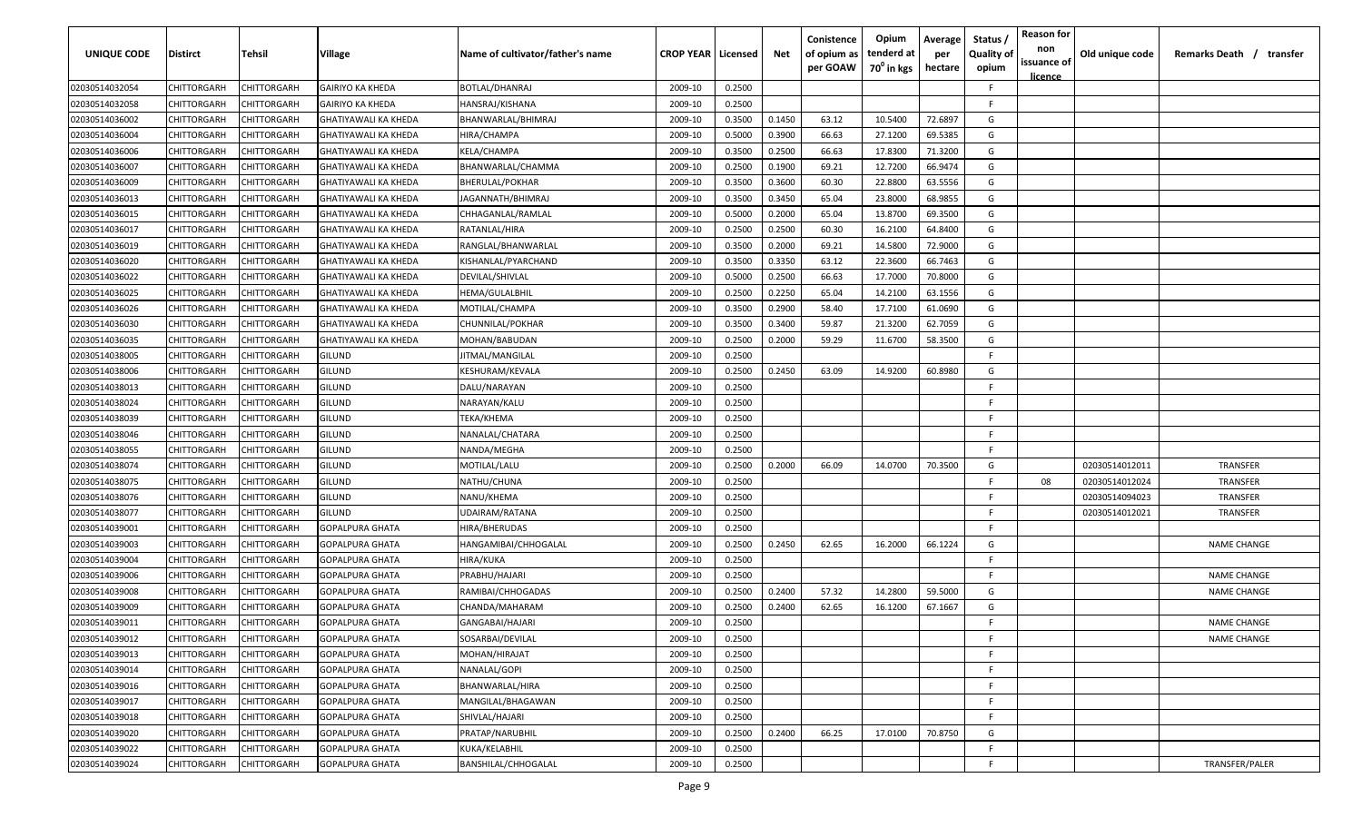| UNIQUE CODE    | Distirct           | Tehsil      | Village                     | Name of cultivator/father's name | <b>CROP YEAR   Licensed</b> |        | Net    | Conistence<br>of opium as | Opium<br>tenderd at    | Average<br>per | Status /<br><b>Quality of</b> | <b>Reason for</b><br>non<br>issuance of | Old unique code | Remarks Death / transfer |
|----------------|--------------------|-------------|-----------------------------|----------------------------------|-----------------------------|--------|--------|---------------------------|------------------------|----------------|-------------------------------|-----------------------------------------|-----------------|--------------------------|
|                |                    |             |                             |                                  |                             |        |        | per GOAW                  | 70 <sup>°</sup> in kgs | hectare        | opium                         | <u>licence</u>                          |                 |                          |
| 02030514032054 | CHITTORGARH        | CHITTORGARH | <b>GAIRIYO KA KHEDA</b>     | BOTLAL/DHANRAJ                   | 2009-10                     | 0.2500 |        |                           |                        |                | -F.                           |                                         |                 |                          |
| 02030514032058 | CHITTORGARH        | CHITTORGARH | <b>GAIRIYO KA KHEDA</b>     | HANSRAJ/KISHANA                  | 2009-10                     | 0.2500 |        |                           |                        |                | -F.                           |                                         |                 |                          |
| 02030514036002 | CHITTORGARH        | CHITTORGARH | <b>GHATIYAWALI KA KHEDA</b> | BHANWARLAL/BHIMRAJ               | 2009-10                     | 0.3500 | 0.1450 | 63.12                     | 10.5400                | 72.6897        | G                             |                                         |                 |                          |
| 02030514036004 | CHITTORGARH        | CHITTORGARH | GHATIYAWALI KA KHEDA        | HIRA/CHAMPA                      | 2009-10                     | 0.5000 | 0.3900 | 66.63                     | 27.1200                | 69.5385        | G                             |                                         |                 |                          |
| 02030514036006 | CHITTORGARH        | CHITTORGARH | GHATIYAWALI KA KHEDA        | KELA/CHAMPA                      | 2009-10                     | 0.3500 | 0.2500 | 66.63                     | 17.8300                | 71.3200        | G                             |                                         |                 |                          |
| 02030514036007 | CHITTORGARH        | CHITTORGARH | GHATIYAWALI KA KHEDA        | BHANWARLAL/CHAMMA                | 2009-10                     | 0.2500 | 0.1900 | 69.21                     | 12.7200                | 66.9474        | G                             |                                         |                 |                          |
| 02030514036009 | CHITTORGARH        | CHITTORGARH | <b>GHATIYAWALI KA KHEDA</b> | BHERULAL/POKHAR                  | 2009-10                     | 0.3500 | 0.3600 | 60.30                     | 22.8800                | 63.5556        | G                             |                                         |                 |                          |
| 02030514036013 | CHITTORGARH        | CHITTORGARH | GHATIYAWALI KA KHEDA        | JAGANNATH/BHIMRAJ                | 2009-10                     | 0.3500 | 0.3450 | 65.04                     | 23.8000                | 68.9855        | G                             |                                         |                 |                          |
| 02030514036015 | CHITTORGARH        | CHITTORGARH | GHATIYAWALI KA KHEDA        | CHHAGANLAL/RAMLAL                | 2009-10                     | 0.5000 | 0.2000 | 65.04                     | 13.8700                | 69.3500        | G                             |                                         |                 |                          |
| 02030514036017 | CHITTORGARH        | CHITTORGARH | GHATIYAWALI KA KHEDA        | RATANLAL/HIRA                    | 2009-10                     | 0.2500 | 0.2500 | 60.30                     | 16.2100                | 64.8400        | G                             |                                         |                 |                          |
| 02030514036019 | CHITTORGARH        | CHITTORGARH | GHATIYAWALI KA KHEDA        | RANGLAL/BHANWARLAL               | 2009-10                     | 0.3500 | 0.2000 | 69.21                     | 14.5800                | 72.9000        | G                             |                                         |                 |                          |
| 02030514036020 | CHITTORGARH        | CHITTORGARH | GHATIYAWALI KA KHEDA        | KISHANLAL/PYARCHAND              | 2009-10                     | 0.3500 | 0.3350 | 63.12                     | 22.3600                | 66.7463        | G                             |                                         |                 |                          |
| 02030514036022 | CHITTORGARH        | CHITTORGARH | GHATIYAWALI KA KHEDA        | DEVILAL/SHIVLAL                  | 2009-10                     | 0.5000 | 0.2500 | 66.63                     | 17.7000                | 70.8000        | G                             |                                         |                 |                          |
| 02030514036025 | CHITTORGARH        | CHITTORGARH | <b>GHATIYAWALI KA KHEDA</b> | HEMA/GULALBHIL                   | 2009-10                     | 0.2500 | 0.2250 | 65.04                     | 14.2100                | 63.1556        | G                             |                                         |                 |                          |
| 02030514036026 | CHITTORGARH        | CHITTORGARH | <b>GHATIYAWALI KA KHEDA</b> | MOTILAL/CHAMPA                   | 2009-10                     | 0.3500 | 0.2900 | 58.40                     | 17.7100                | 61.0690        | G                             |                                         |                 |                          |
| 02030514036030 | CHITTORGARH        | CHITTORGARH | <b>GHATIYAWALI KA KHEDA</b> | CHUNNILAL/POKHAR                 | 2009-10                     | 0.3500 | 0.3400 | 59.87                     | 21.3200                | 62.7059        | G                             |                                         |                 |                          |
| 02030514036035 | CHITTORGARH        | CHITTORGARH | <b>GHATIYAWALI KA KHEDA</b> | MOHAN/BABUDAN                    | 2009-10                     | 0.2500 | 0.2000 | 59.29                     | 11.6700                | 58.3500        | G                             |                                         |                 |                          |
| 02030514038005 | CHITTORGARH        | CHITTORGARH | <b>GILUND</b>               | JITMAL/MANGILAL                  | 2009-10                     | 0.2500 |        |                           |                        |                | F                             |                                         |                 |                          |
| 02030514038006 | CHITTORGARH        | CHITTORGARH | GILUND                      | KESHURAM/KEVALA                  | 2009-10                     | 0.2500 | 0.2450 | 63.09                     | 14.9200                | 60.8980        | G                             |                                         |                 |                          |
| 02030514038013 | CHITTORGARH        | CHITTORGARH | <b>GILUND</b>               | DALU/NARAYAN                     | 2009-10                     | 0.2500 |        |                           |                        |                | E                             |                                         |                 |                          |
| 02030514038024 | CHITTORGARH        | CHITTORGARH | <b>GILUND</b>               | NARAYAN/KALU                     | 2009-10                     | 0.2500 |        |                           |                        |                | -F.                           |                                         |                 |                          |
| 02030514038039 | CHITTORGARH        | CHITTORGARH | <b>GILUND</b>               | ТЕКА/КНЕМА                       | 2009-10                     | 0.2500 |        |                           |                        |                | -F.                           |                                         |                 |                          |
| 02030514038046 | CHITTORGARH        | CHITTORGARH | GILUND                      | NANALAL/CHATARA                  | 2009-10                     | 0.2500 |        |                           |                        |                | -F.                           |                                         |                 |                          |
| 02030514038055 | CHITTORGARH        | CHITTORGARH | GILUND                      | NANDA/MEGHA                      | 2009-10                     | 0.2500 |        |                           |                        |                | -F.                           |                                         |                 |                          |
| 02030514038074 | CHITTORGARH        | CHITTORGARH | <b>GILUND</b>               | MOTILAL/LALU                     | 2009-10                     | 0.2500 | 0.2000 | 66.09                     | 14.0700                | 70.3500        | G                             |                                         | 02030514012011  | TRANSFER                 |
| 02030514038075 | CHITTORGARH        | CHITTORGARH | GILUND                      | NATHU/CHUNA                      | 2009-10                     | 0.2500 |        |                           |                        |                | -F.                           | 08                                      | 02030514012024  | TRANSFER                 |
|                | CHITTORGARH        | CHITTORGARH | GILUND                      | NANU/KHEMA                       | 2009-10                     | 0.2500 |        |                           |                        |                | -F.                           |                                         | 02030514094023  | TRANSFER                 |
| 02030514038076 |                    |             |                             |                                  |                             |        |        |                           |                        |                | -F.                           |                                         |                 | <b>TRANSFER</b>          |
| 02030514038077 | CHITTORGARH        | CHITTORGARH | GILUND                      | UDAIRAM/RATANA                   | 2009-10                     | 0.2500 |        |                           |                        |                | -F.                           |                                         | 02030514012021  |                          |
| 02030514039001 | CHITTORGARH        | CHITTORGARH | GOPALPURA GHATA             | HIRA/BHERUDAS                    | 2009-10                     | 0.2500 |        |                           |                        |                |                               |                                         |                 |                          |
| 02030514039003 | CHITTORGARH        | CHITTORGARH | <b>GOPALPURA GHATA</b>      | HANGAMIBAI/CHHOGALAL             | 2009-10                     | 0.2500 | 0.2450 | 62.65                     | 16.2000                | 66.1224        | G<br>-F.                      |                                         |                 | <b>NAME CHANGE</b>       |
| 02030514039004 | CHITTORGARH        | CHITTORGARH | <b>GOPALPURA GHATA</b>      | HIRA/KUKA                        | 2009-10                     | 0.2500 |        |                           |                        |                |                               |                                         |                 |                          |
| 02030514039006 | CHITTORGARH        | CHITTORGARH | <b>GOPALPURA GHATA</b>      | PRABHU/HAJARI                    | 2009-10                     | 0.2500 |        |                           |                        |                | -F.                           |                                         |                 | <b>NAME CHANGE</b>       |
| 02030514039008 | CHITTORGARH        | CHITTORGARH | <b>GOPALPURA GHATA</b>      | RAMIBAI/CHHOGADAS                | 2009-10                     | 0.2500 | 0.2400 | 57.32                     | 14.2800                | 59.5000        | G                             |                                         |                 | <b>NAME CHANGE</b>       |
| 02030514039009 | CHITTORGARH        | CHITTORGARH | <b>GOPALPURA GHATA</b>      | CHANDA/MAHARAM                   | 2009-10                     | 0.2500 | 0.2400 | 62.65                     | 16.1200                | 67.1667        | G                             |                                         |                 |                          |
| 02030514039011 | <b>CHITTORGARH</b> | CHITTORGARH | <b>GOPALPURA GHATA</b>      | GANGABAI/HAJARI                  | 2009-10                     | 0.2500 |        |                           |                        |                | E                             |                                         |                 | <b>NAME CHANGE</b>       |
| 02030514039012 | <b>CHITTORGARH</b> | CHITTORGARH | <b>GOPALPURA GHATA</b>      | SOSARBAI/DEVILAL                 | 2009-10                     | 0.2500 |        |                           |                        |                | -F                            |                                         |                 | NAME CHANGE              |
| 02030514039013 | <b>CHITTORGARH</b> | CHITTORGARH | <b>GOPALPURA GHATA</b>      | MOHAN/HIRAJAT                    | 2009-10                     | 0.2500 |        |                           |                        |                | F                             |                                         |                 |                          |
| 02030514039014 | CHITTORGARH        | CHITTORGARH | <b>GOPALPURA GHATA</b>      | NANALAL/GOPI                     | 2009-10                     | 0.2500 |        |                           |                        |                | F.                            |                                         |                 |                          |
| 02030514039016 | <b>CHITTORGARH</b> | CHITTORGARH | <b>GOPALPURA GHATA</b>      | BHANWARLAL/HIRA                  | 2009-10                     | 0.2500 |        |                           |                        |                | F.                            |                                         |                 |                          |
| 02030514039017 | CHITTORGARH        | CHITTORGARH | <b>GOPALPURA GHATA</b>      | MANGILAL/BHAGAWAN                | 2009-10                     | 0.2500 |        |                           |                        |                | F.                            |                                         |                 |                          |
| 02030514039018 | CHITTORGARH        | CHITTORGARH | <b>GOPALPURA GHATA</b>      | SHIVLAL/HAJARI                   | 2009-10                     | 0.2500 |        |                           |                        |                | F.                            |                                         |                 |                          |
| 02030514039020 | CHITTORGARH        | CHITTORGARH | <b>GOPALPURA GHATA</b>      | PRATAP/NARUBHIL                  | 2009-10                     | 0.2500 | 0.2400 | 66.25                     | 17.0100                | 70.8750        | G                             |                                         |                 |                          |
| 02030514039022 | CHITTORGARH        | CHITTORGARH | <b>GOPALPURA GHATA</b>      | KUKA/KELABHIL                    | 2009-10                     | 0.2500 |        |                           |                        |                | F.                            |                                         |                 |                          |
| 02030514039024 | CHITTORGARH        | CHITTORGARH | <b>GOPALPURA GHATA</b>      | <b>BANSHILAL/CHHOGALAL</b>       | 2009-10                     | 0.2500 |        |                           |                        |                | F                             |                                         |                 | TRANSFER/PALER           |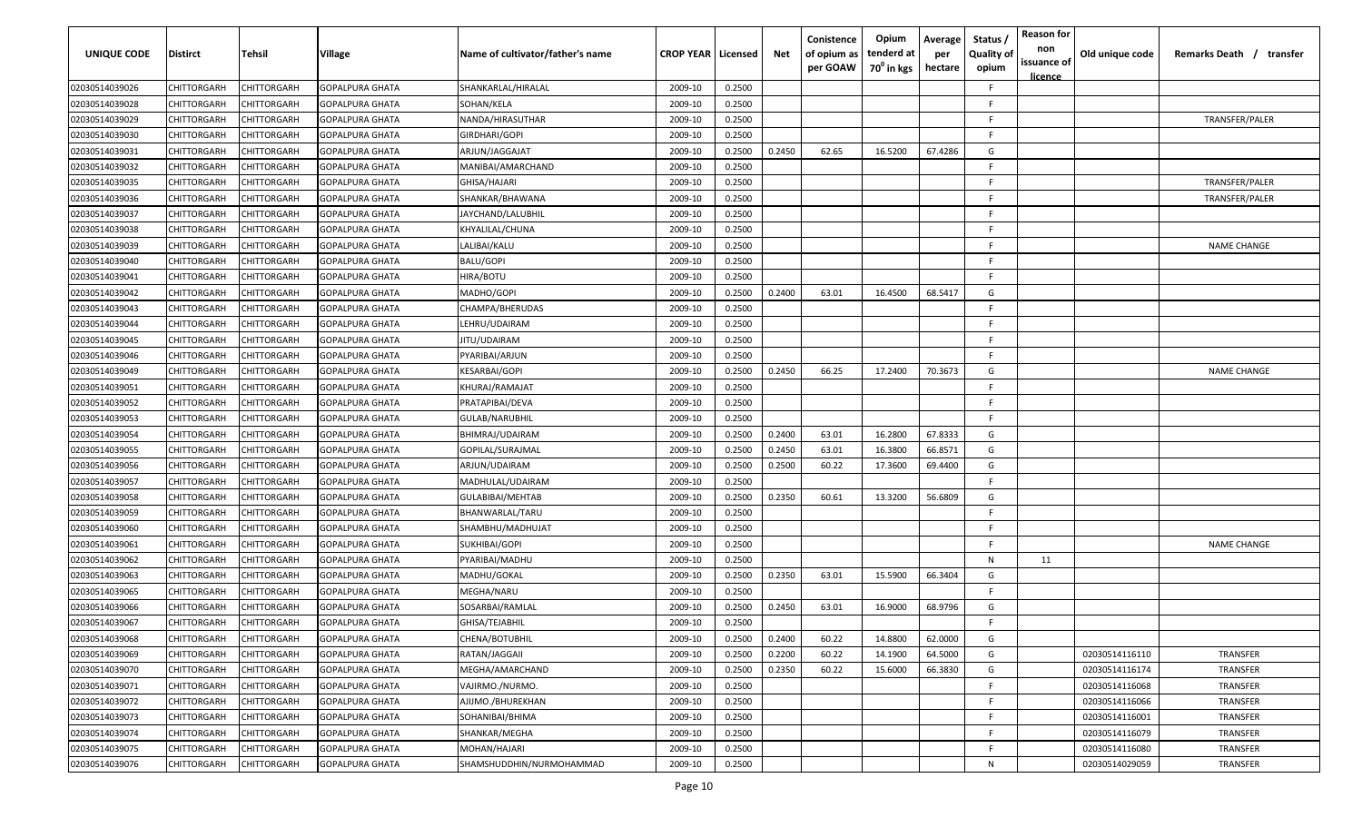| UNIQUE CODE    | Distirct           | Tehsil      | Village                | Name of cultivator/father's name | <b>CROP YEAR   Licensed</b> |        | Net    | Conistence<br>of opium as<br>per GOAW | Opium<br>tenderd at<br>70 <sup>0</sup> in kgs | Average<br>per<br>hectare | Status /<br><b>Quality of</b><br>opium | <b>Reason for</b><br>non<br>issuance of<br><u>licence</u> | Old unique code | Remarks Death / transfer |
|----------------|--------------------|-------------|------------------------|----------------------------------|-----------------------------|--------|--------|---------------------------------------|-----------------------------------------------|---------------------------|----------------------------------------|-----------------------------------------------------------|-----------------|--------------------------|
| 02030514039026 | CHITTORGARH        | CHITTORGARH | <b>GOPALPURA GHATA</b> | SHANKARLAL/HIRALAL               | 2009-10                     | 0.2500 |        |                                       |                                               |                           | F.                                     |                                                           |                 |                          |
| 02030514039028 | CHITTORGARH        | CHITTORGARH | <b>GOPALPURA GHATA</b> | SOHAN/KELA                       | 2009-10                     | 0.2500 |        |                                       |                                               |                           | -F.                                    |                                                           |                 |                          |
| 02030514039029 | CHITTORGARH        | CHITTORGARH | GOPALPURA GHATA        | NANDA/HIRASUTHAR                 | 2009-10                     | 0.2500 |        |                                       |                                               |                           | -F.                                    |                                                           |                 | <b>TRANSFER/PALER</b>    |
| 02030514039030 | CHITTORGARH        | CHITTORGARH | GOPALPURA GHATA        | GIRDHARI/GOPI                    | 2009-10                     | 0.2500 |        |                                       |                                               |                           | -F.                                    |                                                           |                 |                          |
| 02030514039031 | CHITTORGARH        | CHITTORGARH | GOPALPURA GHATA        | ARJUN/JAGGAJAT                   | 2009-10                     | 0.2500 | 0.2450 | 62.65                                 | 16.5200                                       | 67.4286                   | G                                      |                                                           |                 |                          |
| 02030514039032 | CHITTORGARH        | CHITTORGARH | GOPALPURA GHATA        | MANIBAI/AMARCHAND                | 2009-10                     | 0.2500 |        |                                       |                                               |                           | -F.                                    |                                                           |                 |                          |
| 02030514039035 | CHITTORGARH        | CHITTORGARH | GOPALPURA GHATA        | GHISA/HAJARI                     | 2009-10                     | 0.2500 |        |                                       |                                               |                           | -F.                                    |                                                           |                 | TRANSFER/PALER           |
| 02030514039036 | CHITTORGARH        | CHITTORGARH | GOPALPURA GHATA        | SHANKAR/BHAWANA                  | 2009-10                     | 0.2500 |        |                                       |                                               |                           | -F.                                    |                                                           |                 | TRANSFER/PALER           |
| 02030514039037 | CHITTORGARH        | CHITTORGARH | GOPALPURA GHATA        | JAYCHAND/LALUBHIL                | 2009-10                     | 0.2500 |        |                                       |                                               |                           | -F.                                    |                                                           |                 |                          |
| 02030514039038 | CHITTORGARH        | CHITTORGARH | GOPALPURA GHATA        | KHYALILAL/CHUNA                  | 2009-10                     | 0.2500 |        |                                       |                                               |                           | F.                                     |                                                           |                 |                          |
| 02030514039039 | CHITTORGARH        | CHITTORGARH | GOPALPURA GHATA        | LALIBAI/KALU                     | 2009-10                     | 0.2500 |        |                                       |                                               |                           | -F.                                    |                                                           |                 | <b>NAME CHANGE</b>       |
| 02030514039040 | CHITTORGARH        | CHITTORGARH | GOPALPURA GHATA        | <b>BALU/GOPI</b>                 | 2009-10                     | 0.2500 |        |                                       |                                               |                           | F.                                     |                                                           |                 |                          |
| 02030514039041 | CHITTORGARH        | CHITTORGARH | GOPALPURA GHATA        | HIRA/BOTU                        | 2009-10                     | 0.2500 |        |                                       |                                               |                           | -F.                                    |                                                           |                 |                          |
| 02030514039042 | CHITTORGARH        | CHITTORGARH | GOPALPURA GHATA        | MADHO/GOPI                       | 2009-10                     | 0.2500 | 0.2400 | 63.01                                 | 16.4500                                       | 68.5417                   | G                                      |                                                           |                 |                          |
| 02030514039043 | CHITTORGARH        | CHITTORGARH | <b>GOPALPURA GHATA</b> | CHAMPA/BHERUDAS                  | 2009-10                     | 0.2500 |        |                                       |                                               |                           | -F.                                    |                                                           |                 |                          |
| 02030514039044 | CHITTORGARH        | CHITTORGARH | <b>GOPALPURA GHATA</b> | LEHRU/UDAIRAM                    | 2009-10                     | 0.2500 |        |                                       |                                               |                           | -F.                                    |                                                           |                 |                          |
| 02030514039045 | CHITTORGARH        | CHITTORGARH | <b>GOPALPURA GHATA</b> | JITU/UDAIRAM                     | 2009-10                     | 0.2500 |        |                                       |                                               |                           | -F.                                    |                                                           |                 |                          |
| 02030514039046 | CHITTORGARH        | CHITTORGARH | <b>GOPALPURA GHATA</b> | PYARIBAI/ARJUN                   | 2009-10                     | 0.2500 |        |                                       |                                               |                           | F.                                     |                                                           |                 |                          |
| 02030514039049 | CHITTORGARH        | CHITTORGARH | GOPALPURA GHATA        | KESARBAI/GOPI                    | 2009-10                     | 0.2500 | 0.2450 | 66.25                                 | 17.2400                                       | 70.3673                   | G                                      |                                                           |                 | <b>NAME CHANGE</b>       |
| 02030514039051 | CHITTORGARH        | CHITTORGARH | GOPALPURA GHATA        | KHURAJ/RAMAJAT                   | 2009-10                     | 0.2500 |        |                                       |                                               |                           | -F.                                    |                                                           |                 |                          |
| 02030514039052 | CHITTORGARH        | CHITTORGARH | GOPALPURA GHATA        | PRATAPIBAI/DEVA                  | 2009-10                     | 0.2500 |        |                                       |                                               |                           | -F.                                    |                                                           |                 |                          |
| 02030514039053 | CHITTORGARH        | CHITTORGARH | GOPALPURA GHATA        | GULAB/NARUBHIL                   | 2009-10                     | 0.2500 |        |                                       |                                               |                           | -F.                                    |                                                           |                 |                          |
| 02030514039054 | CHITTORGARH        | CHITTORGARH | GOPALPURA GHATA        | BHIMRAJ/UDAIRAM                  | 2009-10                     | 0.2500 | 0.2400 | 63.01                                 | 16.2800                                       | 67.8333                   | G                                      |                                                           |                 |                          |
| 02030514039055 | CHITTORGARH        | CHITTORGARH | GOPALPURA GHATA        | GOPILAL/SURAJMAL                 | 2009-10                     | 0.2500 | 0.2450 | 63.01                                 | 16.3800                                       | 66.8571                   | G                                      |                                                           |                 |                          |
| 02030514039056 | CHITTORGARH        | CHITTORGARH | GOPALPURA GHATA        | ARJUN/UDAIRAM                    | 2009-10                     | 0.2500 | 0.2500 | 60.22                                 | 17.3600                                       | 69.4400                   | G                                      |                                                           |                 |                          |
| 02030514039057 | CHITTORGARH        | CHITTORGARH | GOPALPURA GHATA        | MADHULAL/UDAIRAM                 | 2009-10                     | 0.2500 |        |                                       |                                               |                           | -F.                                    |                                                           |                 |                          |
| 02030514039058 | CHITTORGARH        | CHITTORGARH | GOPALPURA GHATA        | GULABIBAI/MEHTAB                 | 2009-10                     | 0.2500 | 0.2350 | 60.61                                 | 13.3200                                       | 56.6809                   | G                                      |                                                           |                 |                          |
| 02030514039059 | CHITTORGARH        | CHITTORGARH | GOPALPURA GHATA        | BHANWARLAL/TARU                  | 2009-10                     | 0.2500 |        |                                       |                                               |                           | -F.                                    |                                                           |                 |                          |
| 02030514039060 | CHITTORGARH        | CHITTORGARH | GOPALPURA GHATA        | SHAMBHU/MADHUJAT                 | 2009-10                     | 0.2500 |        |                                       |                                               |                           | -F.                                    |                                                           |                 |                          |
| 02030514039061 | CHITTORGARH        | CHITTORGARH | <b>GOPALPURA GHATA</b> | SUKHIBAI/GOPI                    | 2009-10                     | 0.2500 |        |                                       |                                               |                           | -F.                                    |                                                           |                 | <b>NAME CHANGE</b>       |
| 02030514039062 | CHITTORGARH        | CHITTORGARH | <b>GOPALPURA GHATA</b> | PYARIBAI/MADHU                   | 2009-10                     | 0.2500 |        |                                       |                                               |                           | N                                      | 11                                                        |                 |                          |
| 02030514039063 | CHITTORGARH        | CHITTORGARH | <b>GOPALPURA GHATA</b> | MADHU/GOKAL                      | 2009-10                     | 0.2500 | 0.2350 | 63.01                                 | 15.5900                                       | 66.3404                   | G                                      |                                                           |                 |                          |
| 02030514039065 | CHITTORGARH        | CHITTORGARH | <b>GOPALPURA GHATA</b> | MEGHA/NARU                       | 2009-10                     | 0.2500 |        |                                       |                                               |                           | -F.                                    |                                                           |                 |                          |
| 02030514039066 | CHITTORGARH        | CHITTORGARH | <b>GOPALPURA GHATA</b> | SOSARBAI/RAMLAL                  | 2009-10                     | 0.2500 | 0.2450 | 63.01                                 | 16.9000                                       | 68.9796                   | G                                      |                                                           |                 |                          |
| 02030514039067 | CHITTORGARH        | CHITTORGARH | <b>GOPALPURA GHATA</b> | GHISA/TEJABHIL                   | 2009-10                     | 0.2500 |        |                                       |                                               |                           | E                                      |                                                           |                 |                          |
| 02030514039068 | <b>CHITTORGARH</b> | CHITTORGARH | <b>GOPALPURA GHATA</b> | CHENA/BOTUBHIL                   | 2009-10                     | 0.2500 | 0.2400 | 60.22                                 | 14.8800                                       | 62.0000                   | G                                      |                                                           |                 |                          |
| 02030514039069 | <b>CHITTORGARH</b> | CHITTORGARH | <b>GOPALPURA GHATA</b> | RATAN/JAGGAII                    | 2009-10                     | 0.2500 | 0.2200 | 60.22                                 | 14.1900                                       | 64.5000                   | G                                      |                                                           | 02030514116110  | <b>TRANSFER</b>          |
| 02030514039070 | <b>CHITTORGARH</b> | CHITTORGARH | <b>GOPALPURA GHATA</b> | MEGHA/AMARCHAND                  | 2009-10                     | 0.2500 | 0.2350 | 60.22                                 | 15.6000                                       | 66.3830                   | G                                      |                                                           | 02030514116174  | TRANSFER                 |
| 02030514039071 | <b>CHITTORGARH</b> | CHITTORGARH | <b>GOPALPURA GHATA</b> | VAJIRMO./NURMO.                  | 2009-10                     | 0.2500 |        |                                       |                                               |                           | -F                                     |                                                           | 02030514116068  | TRANSFER                 |
| 02030514039072 | CHITTORGARH        | CHITTORGARH | GOPALPURA GHATA        | AJIJMO./BHUREKHAN                | 2009-10                     | 0.2500 |        |                                       |                                               |                           | -F.                                    |                                                           | 02030514116066  | TRANSFER                 |
| 02030514039073 | CHITTORGARH        | CHITTORGARH | GOPALPURA GHATA        | SOHANIBAI/BHIMA                  | 2009-10                     | 0.2500 |        |                                       |                                               |                           | -F.                                    |                                                           | 02030514116001  | TRANSFER                 |
| 02030514039074 | CHITTORGARH        | CHITTORGARH | GOPALPURA GHATA        | SHANKAR/MEGHA                    | 2009-10                     | 0.2500 |        |                                       |                                               |                           | -F.                                    |                                                           | 02030514116079  | TRANSFER                 |
| 02030514039075 | CHITTORGARH        | CHITTORGARH | <b>GOPALPURA GHATA</b> | MOHAN/HAJARI                     | 2009-10                     | 0.2500 |        |                                       |                                               |                           | -F                                     |                                                           | 02030514116080  | TRANSFER                 |
| 02030514039076 | CHITTORGARH        | CHITTORGARH | <b>GOPALPURA GHATA</b> | SHAMSHUDDHIN/NURMOHAMMAD         | 2009-10                     | 0.2500 |        |                                       |                                               |                           | N                                      |                                                           | 02030514029059  | TRANSFER                 |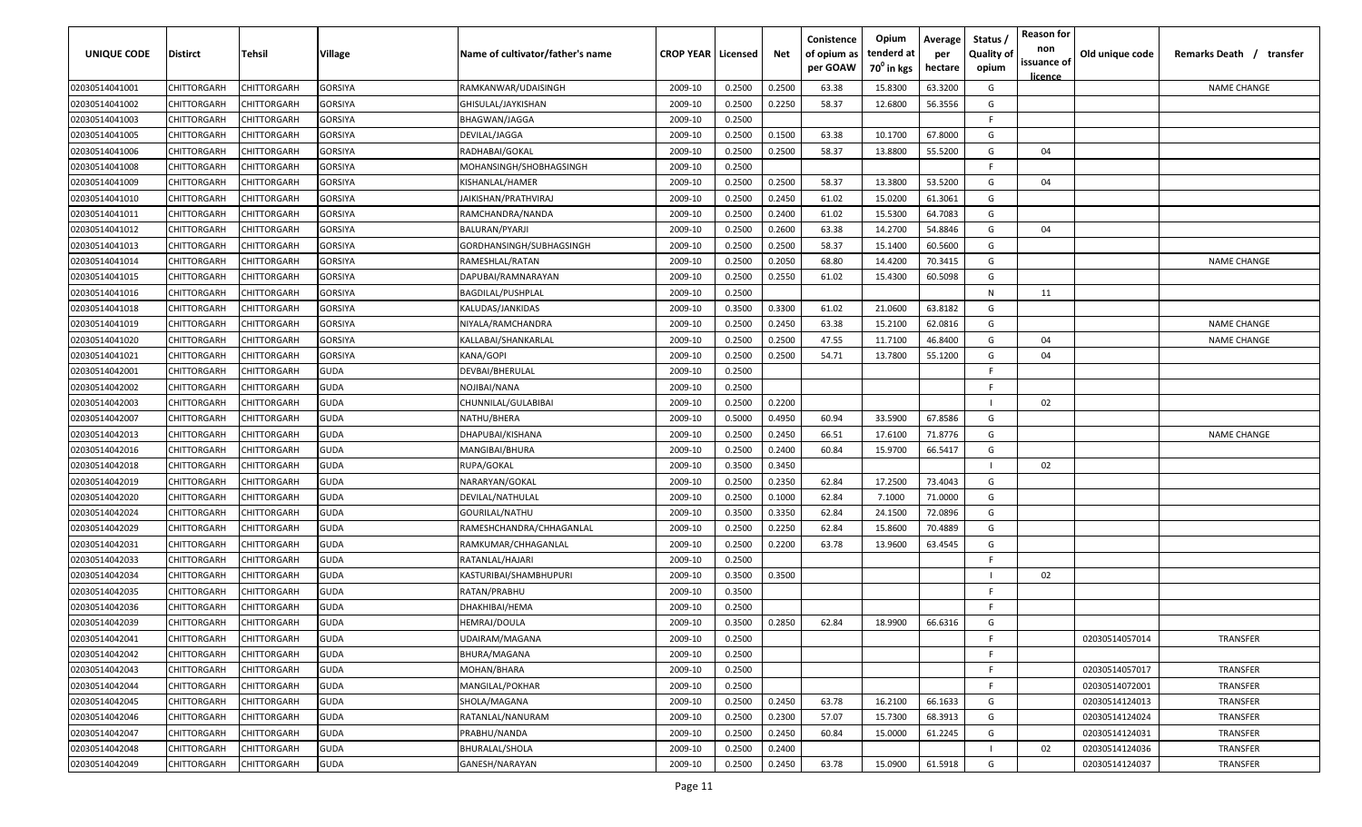| UNIQUE CODE    | <b>Distirct</b>    | Tehsil      | <b>Village</b> | Name of cultivator/father's name | <b>CROP YEAR   Licensed</b> |        | Net    | Conistence<br>of opium as<br>per GOAW | Opium<br>tenderd at<br>$70^0$ in kgs | Average<br>per<br>hectare | Status /<br><b>Quality of</b><br>opium | <b>Reason for</b><br>non<br>issuance of | Old unique code | Remarks Death /<br>transfer |
|----------------|--------------------|-------------|----------------|----------------------------------|-----------------------------|--------|--------|---------------------------------------|--------------------------------------|---------------------------|----------------------------------------|-----------------------------------------|-----------------|-----------------------------|
| 02030514041001 | CHITTORGARH        | CHITTORGARH | <b>GORSIYA</b> | RAMKANWAR/UDAISINGH              | 2009-10                     | 0.2500 | 0.2500 | 63.38                                 | 15.8300                              | 63.3200                   | G                                      | licence                                 |                 | <b>NAME CHANGE</b>          |
| 02030514041002 | CHITTORGARH        | CHITTORGARH | <b>GORSIYA</b> | GHISULAL/JAYKISHAN               | 2009-10                     | 0.2500 | 0.2250 | 58.37                                 | 12.6800                              | 56.3556                   | G                                      |                                         |                 |                             |
| 02030514041003 | CHITTORGARH        | CHITTORGARH | GORSIYA        | BHAGWAN/JAGGA                    | 2009-10                     | 0.2500 |        |                                       |                                      |                           | F.                                     |                                         |                 |                             |
| 02030514041005 | CHITTORGARH        | CHITTORGARH | <b>GORSIYA</b> | DEVILAL/JAGGA                    | 2009-10                     | 0.2500 | 0.1500 | 63.38                                 | 10.1700                              | 67.8000                   | G                                      |                                         |                 |                             |
| 02030514041006 | CHITTORGARH        | CHITTORGARH | <b>GORSIYA</b> | RADHABAI/GOKAL                   | 2009-10                     | 0.2500 | 0.2500 | 58.37                                 | 13.8800                              | 55.5200                   | G                                      | 04                                      |                 |                             |
| 02030514041008 | CHITTORGARH        | CHITTORGARH | GORSIYA        | MOHANSINGH/SHOBHAGSINGH          | 2009-10                     | 0.2500 |        |                                       |                                      |                           |                                        |                                         |                 |                             |
| 02030514041009 | CHITTORGARH        | CHITTORGARH | GORSIYA        | KISHANLAL/HAMER                  | 2009-10                     | 0.2500 | 0.2500 | 58.37                                 | 13.3800                              | 53.5200                   | G                                      | 04                                      |                 |                             |
| 02030514041010 | CHITTORGARH        | CHITTORGARH | GORSIYA        | JAIKISHAN/PRATHVIRAJ             | 2009-10                     | 0.2500 | 0.2450 | 61.02                                 | 15.0200                              | 61.3061                   | G                                      |                                         |                 |                             |
| 02030514041011 | CHITTORGARH        | CHITTORGARH | GORSIYA        | RAMCHANDRA/NANDA                 | 2009-10                     | 0.2500 | 0.2400 | 61.02                                 | 15.5300                              | 64.7083                   | G                                      |                                         |                 |                             |
| 02030514041012 | CHITTORGARH        | CHITTORGARH | GORSIYA        | BALURAN/PYARJI                   | 2009-10                     | 0.2500 | 0.2600 | 63.38                                 | 14.2700                              | 54.8846                   | G                                      | 04                                      |                 |                             |
| 02030514041013 | CHITTORGARH        | CHITTORGARH | GORSIYA        | GORDHANSINGH/SUBHAGSINGH         | 2009-10                     | 0.2500 | 0.2500 | 58.37                                 | 15.1400                              | 60.5600                   | G                                      |                                         |                 |                             |
| 02030514041014 | CHITTORGARH        | CHITTORGARH | <b>GORSIYA</b> | RAMESHLAL/RATAN                  | 2009-10                     | 0.2500 | 0.2050 | 68.80                                 | 14.4200                              | 70.3415                   | G                                      |                                         |                 | <b>NAME CHANGE</b>          |
| 02030514041015 | CHITTORGARH        | CHITTORGARH | GORSIYA        | DAPUBAI/RAMNARAYAN               | 2009-10                     | 0.2500 | 0.2550 | 61.02                                 | 15.4300                              | 60.5098                   | G                                      |                                         |                 |                             |
| 02030514041016 | CHITTORGARH        | CHITTORGARH | <b>GORSIYA</b> | BAGDILAL/PUSHPLAL                | 2009-10                     | 0.2500 |        |                                       |                                      |                           | N                                      | 11                                      |                 |                             |
| 02030514041018 | CHITTORGARH        | CHITTORGARH | <b>GORSIYA</b> | KALUDAS/JANKIDAS                 | 2009-10                     | 0.3500 | 0.3300 | 61.02                                 | 21.0600                              | 63.8182                   | G                                      |                                         |                 |                             |
| 02030514041019 | CHITTORGARH        | CHITTORGARH | <b>GORSIYA</b> | NIYALA/RAMCHANDRA                | 2009-10                     | 0.2500 | 0.2450 | 63.38                                 | 15.2100                              | 62.0816                   | G                                      |                                         |                 | <b>NAME CHANGE</b>          |
| 02030514041020 | CHITTORGARH        | CHITTORGARH | <b>GORSIYA</b> | KALLABAI/SHANKARLAL              | 2009-10                     | 0.2500 | 0.2500 | 47.55                                 | 11.7100                              | 46.8400                   | G                                      | 04                                      |                 | <b>NAME CHANGE</b>          |
| 02030514041021 | CHITTORGARH        | CHITTORGARH | <b>GORSIYA</b> | KANA/GOPI                        | 2009-10                     | 0.2500 | 0.2500 | 54.71                                 | 13.7800                              | 55.1200                   | G                                      | 04                                      |                 |                             |
| 02030514042001 | CHITTORGARH        | CHITTORGARH | <b>GUDA</b>    | DEVBAI/BHERULAL                  | 2009-10                     | 0.2500 |        |                                       |                                      |                           |                                        |                                         |                 |                             |
| 02030514042002 | CHITTORGARH        | CHITTORGARH | <b>GUDA</b>    | NOJIBAI/NANA                     | 2009-10                     | 0.2500 |        |                                       |                                      |                           |                                        |                                         |                 |                             |
| 02030514042003 | CHITTORGARH        | CHITTORGARH | <b>GUDA</b>    | CHUNNILAL/GULABIBAI              | 2009-10                     | 0.2500 | 0.2200 |                                       |                                      |                           |                                        | 02                                      |                 |                             |
| 02030514042007 | CHITTORGARH        | CHITTORGARH | <b>GUDA</b>    | NATHU/BHERA                      | 2009-10                     | 0.5000 | 0.4950 | 60.94                                 | 33.5900                              | 67.8586                   | G                                      |                                         |                 |                             |
| 02030514042013 | <b>CHITTORGARH</b> | CHITTORGARH | <b>GUDA</b>    | DHAPUBAI/KISHANA                 | 2009-10                     | 0.2500 | 0.2450 | 66.51                                 | 17.6100                              | 71.8776                   | G                                      |                                         |                 | <b>NAME CHANGE</b>          |
| 02030514042016 | CHITTORGARH        | CHITTORGARH | <b>GUDA</b>    | MANGIBAI/BHURA                   | 2009-10                     | 0.2500 | 0.2400 | 60.84                                 | 15.9700                              | 66.5417                   | G                                      |                                         |                 |                             |
| 02030514042018 | CHITTORGARH        | CHITTORGARH | <b>GUDA</b>    | RUPA/GOKAL                       | 2009-10                     | 0.3500 | 0.3450 |                                       |                                      |                           |                                        | 02                                      |                 |                             |
| 02030514042019 | CHITTORGARH        | CHITTORGARH | <b>GUDA</b>    | NARARYAN/GOKAL                   | 2009-10                     | 0.2500 | 0.2350 | 62.84                                 | 17.2500                              | 73.4043                   | G                                      |                                         |                 |                             |
| 02030514042020 | CHITTORGARH        | CHITTORGARH | <b>GUDA</b>    | DEVILAL/NATHULAL                 | 2009-10                     | 0.2500 | 0.1000 | 62.84                                 | 7.1000                               | 71.0000                   | G                                      |                                         |                 |                             |
| 02030514042024 | CHITTORGARH        | CHITTORGARH | <b>GUDA</b>    | GOURILAL/NATHU                   | 2009-10                     | 0.3500 | 0.3350 | 62.84                                 | 24.1500                              | 72.0896                   | G                                      |                                         |                 |                             |
| 02030514042029 | CHITTORGARH        | CHITTORGARH | <b>GUDA</b>    | RAMESHCHANDRA/CHHAGANLAL         | 2009-10                     | 0.2500 | 0.2250 | 62.84                                 | 15.8600                              | 70.4889                   | G                                      |                                         |                 |                             |
| 02030514042031 | CHITTORGARH        | CHITTORGARH | <b>GUDA</b>    | RAMKUMAR/CHHAGANLAL              | 2009-10                     | 0.2500 | 0.2200 | 63.78                                 | 13.9600                              | 63.4545                   | G                                      |                                         |                 |                             |
| 02030514042033 | CHITTORGARH        | CHITTORGARH | <b>GUDA</b>    | RATANLAL/HAJARI                  | 2009-10                     | 0.2500 |        |                                       |                                      |                           | F.                                     |                                         |                 |                             |
| 02030514042034 | CHITTORGARH        | CHITTORGARH | <b>GUDA</b>    | KASTURIBAI/SHAMBHUPURI           | 2009-10                     | 0.3500 | 0.3500 |                                       |                                      |                           |                                        | 02                                      |                 |                             |
| 02030514042035 | CHITTORGARH        | CHITTORGARH | <b>GUDA</b>    | RATAN/PRABHU                     | 2009-10                     | 0.3500 |        |                                       |                                      |                           |                                        |                                         |                 |                             |
| 02030514042036 | CHITTORGARH        | CHITTORGARH | <b>GUDA</b>    | DHAKHIBAI/HEMA                   | 2009-10                     | 0.2500 |        |                                       |                                      |                           | F.                                     |                                         |                 |                             |
| 02030514042039 | CHITTORGARH        | CHITTORGARH | <b>GUDA</b>    | HEMRAJ/DOULA                     | 2009-10                     | 0.3500 | 0.2850 | 62.84                                 | 18.9900                              | 66.6316                   | G                                      |                                         |                 |                             |
| 02030514042041 | CHITTORGARH        | CHITTORGARH | <b>GUDA</b>    | UDAIRAM/MAGANA                   | 2009-10                     | 0.2500 |        |                                       |                                      |                           | F.                                     |                                         | 02030514057014  | TRANSFER                    |
| 02030514042042 | <b>CHITTORGARH</b> | CHITTORGARH | <b>GUDA</b>    | <b>BHURA/MAGANA</b>              | 2009-10                     | 0.2500 |        |                                       |                                      |                           | F.                                     |                                         |                 |                             |
| 02030514042043 | CHITTORGARH        | CHITTORGARH | <b>GUDA</b>    | MOHAN/BHARA                      | 2009-10                     | 0.2500 |        |                                       |                                      |                           | F.                                     |                                         | 02030514057017  | TRANSFER                    |
| 02030514042044 | CHITTORGARH        | CHITTORGARH | <b>GUDA</b>    | MANGILAL/POKHAR                  | 2009-10                     | 0.2500 |        |                                       |                                      |                           | F.                                     |                                         | 02030514072001  | <b>TRANSFER</b>             |
| 02030514042045 | CHITTORGARH        | CHITTORGARH | <b>GUDA</b>    | SHOLA/MAGANA                     | 2009-10                     | 0.2500 | 0.2450 | 63.78                                 | 16.2100                              | 66.1633                   | G                                      |                                         | 02030514124013  | <b>TRANSFER</b>             |
| 02030514042046 | CHITTORGARH        | CHITTORGARH | <b>GUDA</b>    | RATANLAL/NANURAM                 | 2009-10                     | 0.2500 | 0.2300 | 57.07                                 | 15.7300                              | 68.3913                   | G                                      |                                         | 02030514124024  | TRANSFER                    |
| 02030514042047 | CHITTORGARH        | CHITTORGARH | <b>GUDA</b>    | PRABHU/NANDA                     | 2009-10                     | 0.2500 | 0.2450 | 60.84                                 | 15.0000                              | 61.2245                   | G                                      |                                         | 02030514124031  | TRANSFER                    |
| 02030514042048 | CHITTORGARH        | CHITTORGARH | <b>GUDA</b>    | <b>BHURALAL/SHOLA</b>            | 2009-10                     | 0.2500 | 0.2400 |                                       |                                      |                           |                                        | 02                                      | 02030514124036  | <b>TRANSFER</b>             |
| 02030514042049 | CHITTORGARH        | CHITTORGARH | <b>GUDA</b>    | GANESH/NARAYAN                   | 2009-10                     | 0.2500 | 0.2450 | 63.78                                 | 15.0900                              | 61.5918                   | G                                      |                                         | 02030514124037  | TRANSFER                    |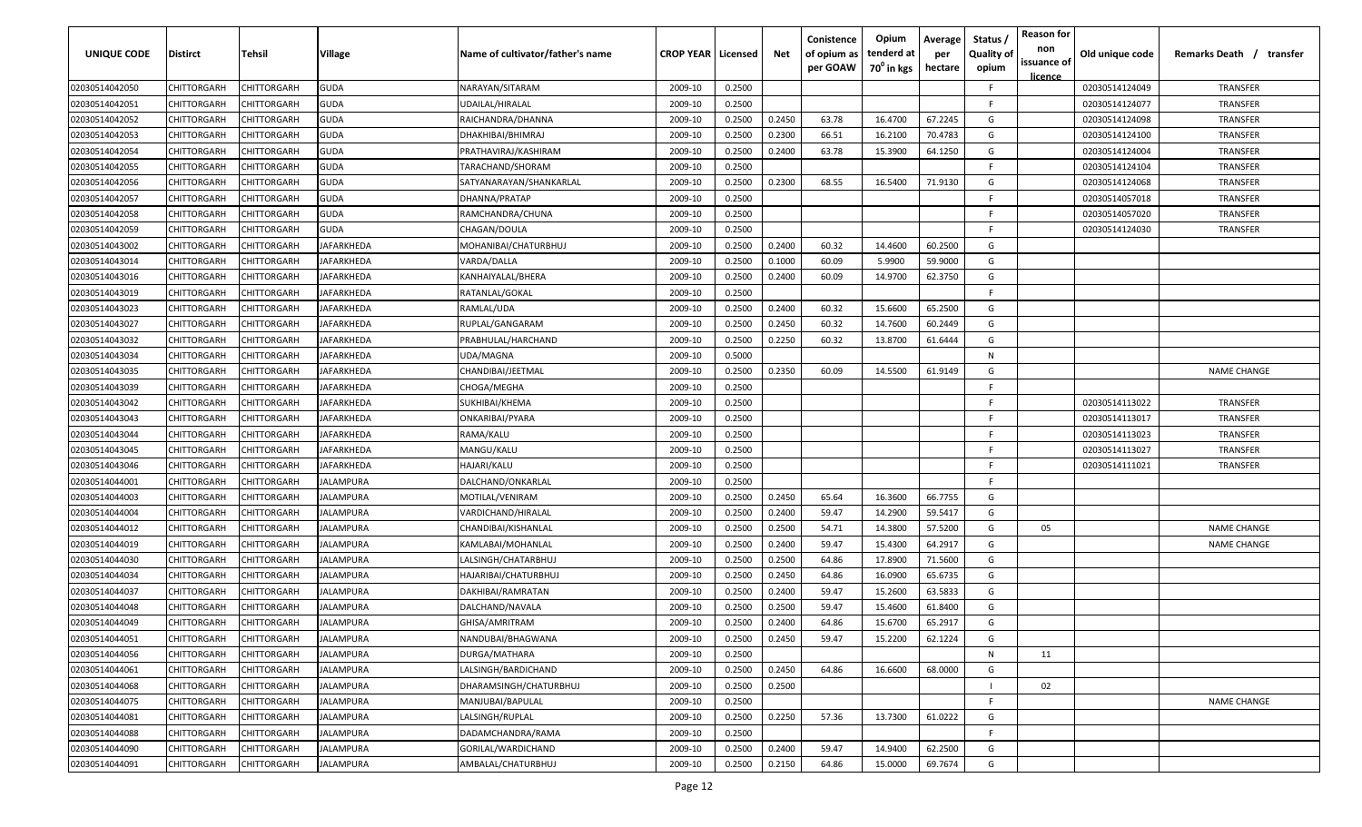| UNIQUE CODE    | Distirct           | Tehsil             | Village           | Name of cultivator/father's name | <b>CROP YEAR   Licensed</b> |        | Net    | Conistence<br>of opium as<br>per GOAW | Opium<br>tenderd at<br>70 <sup>°</sup> in kgs | Average<br>per<br>hectare | Status,<br><b>Quality of</b><br>opium | <b>Reason for</b><br>non<br>issuance of<br><u>licence</u> | Old unique code | Remarks Death / transfer |
|----------------|--------------------|--------------------|-------------------|----------------------------------|-----------------------------|--------|--------|---------------------------------------|-----------------------------------------------|---------------------------|---------------------------------------|-----------------------------------------------------------|-----------------|--------------------------|
| 02030514042050 | CHITTORGARH        | CHITTORGARH        | <b>GUDA</b>       | NARAYAN/SITARAM                  | 2009-10                     | 0.2500 |        |                                       |                                               |                           | F.                                    |                                                           | 02030514124049  | TRANSFER                 |
| 02030514042051 | CHITTORGARH        | CHITTORGARH        | <b>GUDA</b>       | UDAILAL/HIRALAL                  | 2009-10                     | 0.2500 |        |                                       |                                               |                           | -F.                                   |                                                           | 02030514124077  | TRANSFER                 |
| 02030514042052 | CHITTORGARH        | CHITTORGARH        | <b>GUDA</b>       | RAICHANDRA/DHANNA                | 2009-10                     | 0.2500 | 0.2450 | 63.78                                 | 16.4700                                       | 67.2245                   | G                                     |                                                           | 02030514124098  | TRANSFER                 |
| 02030514042053 | CHITTORGARH        | CHITTORGARH        | GUDA              | DHAKHIBAI/BHIMRAJ                | 2009-10                     | 0.2500 | 0.2300 | 66.51                                 | 16.2100                                       | 70.4783                   | G                                     |                                                           | 02030514124100  | TRANSFER                 |
| 02030514042054 | CHITTORGARH        | CHITTORGARH        | <b>GUDA</b>       | PRATHAVIRAJ/KASHIRAM             | 2009-10                     | 0.2500 | 0.2400 | 63.78                                 | 15.3900                                       | 64.1250                   | G                                     |                                                           | 02030514124004  | TRANSFER                 |
| 02030514042055 | CHITTORGARH        | CHITTORGARH        | <b>GUDA</b>       | TARACHAND/SHORAM                 | 2009-10                     | 0.2500 |        |                                       |                                               |                           | E                                     |                                                           | 02030514124104  | <b>TRANSFER</b>          |
| 02030514042056 | <b>CHITTORGARH</b> | <b>CHITTORGARH</b> | GUDA              | SATYANARAYAN/SHANKARLAL          | 2009-10                     | 0.2500 | 0.2300 | 68.55                                 | 16.5400                                       | 71.9130                   | G                                     |                                                           | 02030514124068  | <b>TRANSFER</b>          |
| 02030514042057 | CHITTORGARH        | CHITTORGARH        | GUDA              | DHANNA/PRATAP                    | 2009-10                     | 0.2500 |        |                                       |                                               |                           | -F.                                   |                                                           | 02030514057018  | TRANSFER                 |
| 02030514042058 | CHITTORGARH        | CHITTORGARH        | GUDA              | RAMCHANDRA/CHUNA                 | 2009-10                     | 0.2500 |        |                                       |                                               |                           | F.                                    |                                                           | 02030514057020  | TRANSFER                 |
| 02030514042059 | CHITTORGARH        | CHITTORGARH        | GUDA              | CHAGAN/DOULA                     | 2009-10                     | 0.2500 |        |                                       |                                               |                           | F.                                    |                                                           | 02030514124030  | TRANSFER                 |
| 02030514043002 | CHITTORGARH        | CHITTORGARH        | <b>IAFARKHEDA</b> | MOHANIBAI/CHATURBHUJ             | 2009-10                     | 0.2500 | 0.2400 | 60.32                                 | 14.4600                                       | 60.2500                   | G                                     |                                                           |                 |                          |
| 02030514043014 | CHITTORGARH        | CHITTORGARH        | JAFARKHEDA        | VARDA/DALLA                      | 2009-10                     | 0.2500 | 0.1000 | 60.09                                 | 5.9900                                        | 59.9000                   | G                                     |                                                           |                 |                          |
| 02030514043016 | CHITTORGARH        | CHITTORGARH        | JAFARKHEDA        | KANHAIYALAL/BHERA                | 2009-10                     | 0.2500 | 0.2400 | 60.09                                 | 14.9700                                       | 62.3750                   | G                                     |                                                           |                 |                          |
| 02030514043019 | CHITTORGARH        | CHITTORGARH        | JAFARKHEDA        | RATANLAL/GOKAL                   | 2009-10                     | 0.2500 |        |                                       |                                               |                           | F.                                    |                                                           |                 |                          |
| 02030514043023 | CHITTORGARH        | CHITTORGARH        | JAFARKHEDA        | RAMLAL/UDA                       | 2009-10                     | 0.2500 | 0.2400 | 60.32                                 | 15.6600                                       | 65.2500                   | G                                     |                                                           |                 |                          |
| 02030514043027 | CHITTORGARH        | CHITTORGARH        | JAFARKHEDA        | RUPLAL/GANGARAM                  | 2009-10                     | 0.2500 | 0.2450 | 60.32                                 | 14.7600                                       | 60.2449                   | G                                     |                                                           |                 |                          |
| 02030514043032 | CHITTORGARH        | CHITTORGARH        | JAFARKHEDA        | PRABHULAL/HARCHAND               | 2009-10                     | 0.2500 | 0.2250 | 60.32                                 | 13.8700                                       | 61.6444                   | G                                     |                                                           |                 |                          |
| 02030514043034 | CHITTORGARH        | CHITTORGARH        | JAFARKHEDA        | UDA/MAGNA                        | 2009-10                     | 0.5000 |        |                                       |                                               |                           | N                                     |                                                           |                 |                          |
| 02030514043035 | CHITTORGARH        | CHITTORGARH        | JAFARKHEDA        | CHANDIBAI/JEETMAL                | 2009-10                     | 0.2500 | 0.2350 | 60.09                                 | 14.5500                                       | 61.9149                   | G                                     |                                                           |                 | <b>NAME CHANGE</b>       |
| 02030514043039 | CHITTORGARH        | CHITTORGARH        | <b>IAFARKHEDA</b> | CHOGA/MEGHA                      | 2009-10                     | 0.2500 |        |                                       |                                               |                           | F.                                    |                                                           |                 |                          |
| 02030514043042 | CHITTORGARH        | CHITTORGARH        | JAFARKHEDA        | SUKHIBAI/KHEMA                   | 2009-10                     | 0.2500 |        |                                       |                                               |                           | F.                                    |                                                           | 02030514113022  | TRANSFER                 |
| 02030514043043 | CHITTORGARH        | CHITTORGARH        | JAFARKHEDA        | ONKARIBAI/PYARA                  | 2009-10                     | 0.2500 |        |                                       |                                               |                           | F.                                    |                                                           | 02030514113017  | TRANSFER                 |
| 02030514043044 | CHITTORGARH        | CHITTORGARH        | <b>IAFARKHEDA</b> | RAMA/KALU                        | 2009-10                     | 0.2500 |        |                                       |                                               |                           | -F.                                   |                                                           | 02030514113023  | <b>TRANSFER</b>          |
| 02030514043045 | CHITTORGARH        | CHITTORGARH        | IAFARKHEDA        | MANGU/KALU                       | 2009-10                     | 0.2500 |        |                                       |                                               |                           | -F.                                   |                                                           | 02030514113027  | <b>TRANSFER</b>          |
| 02030514043046 | CHITTORGARH        | CHITTORGARH        | IAFARKHEDA        | HAJARI/KALU                      | 2009-10                     | 0.2500 |        |                                       |                                               |                           | -F.                                   |                                                           | 02030514111021  | TRANSFER                 |
| 02030514044001 | CHITTORGARH        | CHITTORGARH        | IALAMPURA         | DALCHAND/ONKARLAL                | 2009-10                     | 0.2500 |        |                                       |                                               |                           | -F.                                   |                                                           |                 |                          |
| 02030514044003 | CHITTORGARH        | CHITTORGARH        | IALAMPURA         | MOTILAL/VENIRAM                  | 2009-10                     | 0.2500 | 0.2450 | 65.64                                 | 16.3600                                       | 66.7755                   | G                                     |                                                           |                 |                          |
| 02030514044004 | CHITTORGARH        | CHITTORGARH        | IALAMPURA         | VARDICHAND/HIRALAL               | 2009-10                     | 0.2500 | 0.2400 | 59.47                                 | 14.2900                                       | 59.5417                   | G                                     |                                                           |                 |                          |
| 02030514044012 | CHITTORGARH        | CHITTORGARH        | JALAMPURA         | CHANDIBAI/KISHANLAL              | 2009-10                     | 0.2500 | 0.2500 | 54.71                                 | 14.3800                                       | 57.5200                   | G                                     | 05                                                        |                 | <b>NAME CHANGE</b>       |
| 02030514044019 | CHITTORGARH        | CHITTORGARH        | JALAMPURA         | KAMLABAI/MOHANLAL                | 2009-10                     | 0.2500 | 0.2400 | 59.47                                 | 15.4300                                       | 64.2917                   | G                                     |                                                           |                 | <b>NAME CHANGE</b>       |
| 02030514044030 | CHITTORGARH        | CHITTORGARH        | JALAMPURA         | LALSINGH/CHATARBHUJ              | 2009-10                     | 0.2500 | 0.2500 | 64.86                                 | 17.8900                                       | 71.5600                   | G                                     |                                                           |                 |                          |
| 02030514044034 | CHITTORGARH        | CHITTORGARH        | JALAMPURA         | HAJARIBAI/CHATURBHUJ             | 2009-10                     | 0.2500 | 0.2450 | 64.86                                 | 16.0900                                       | 65.6735                   | G                                     |                                                           |                 |                          |
| 02030514044037 | CHITTORGARH        | CHITTORGARH        | JALAMPURA         | DAKHIBAI/RAMRATAN                | 2009-10                     | 0.2500 | 0.2400 | 59.47                                 | 15.2600                                       | 63.5833                   | G                                     |                                                           |                 |                          |
| 02030514044048 | CHITTORGARH        | CHITTORGARH        | JALAMPURA         | DALCHAND/NAVALA                  | 2009-10                     | 0.2500 | 0.2500 | 59.47                                 | 15.4600                                       | 61.8400                   | G                                     |                                                           |                 |                          |
| 02030514044049 | CHITTORGARH        | CHITTORGARH        | JALAMPURA         | GHISA/AMRITRAM                   | 2009-10                     | 0.2500 | 0.2400 | 64.86                                 | 15.6700                                       | 65.2917                   | G                                     |                                                           |                 |                          |
| 02030514044051 | <b>CHITTORGARH</b> | CHITTORGARH        | <b>JALAMPURA</b>  | NANDUBAI/BHAGWANA                | 2009-10                     | 0.2500 | 0.2450 | 59.47                                 | 15.2200                                       | 62.1224                   | G                                     |                                                           |                 |                          |
| 02030514044056 | CHITTORGARH        | CHITTORGARH        | <b>JALAMPURA</b>  | DURGA/MATHARA                    | 2009-10                     | 0.2500 |        |                                       |                                               |                           | $\mathsf{N}$                          | 11                                                        |                 |                          |
| 02030514044061 | <b>CHITTORGARH</b> | CHITTORGARH        | <b>JALAMPURA</b>  | LALSINGH/BARDICHAND              | 2009-10                     | 0.2500 | 0.2450 | 64.86                                 | 16.6600                                       | 68.0000                   | G                                     |                                                           |                 |                          |
| 02030514044068 | <b>CHITTORGARH</b> | CHITTORGARH        | <b>JALAMPURA</b>  | DHARAMSINGH/CHATURBHUJ           | 2009-10                     | 0.2500 | 0.2500 |                                       |                                               |                           |                                       | 02                                                        |                 |                          |
| 02030514044075 | CHITTORGARH        | CHITTORGARH        | JALAMPURA         | MANJUBAI/BAPULAL                 | 2009-10                     | 0.2500 |        |                                       |                                               |                           | F.                                    |                                                           |                 | <b>NAME CHANGE</b>       |
| 02030514044081 | CHITTORGARH        | CHITTORGARH        | JALAMPURA         | LALSINGH/RUPLAL                  | 2009-10                     | 0.2500 | 0.2250 | 57.36                                 | 13.7300                                       | 61.0222                   | G                                     |                                                           |                 |                          |
| 02030514044088 | CHITTORGARH        | CHITTORGARH        | <b>JALAMPURA</b>  | DADAMCHANDRA/RAMA                | 2009-10                     | 0.2500 |        |                                       |                                               |                           | F.                                    |                                                           |                 |                          |
| 02030514044090 | CHITTORGARH        | CHITTORGARH        | JALAMPURA         | GORILAL/WARDICHAND               | 2009-10                     | 0.2500 | 0.2400 | 59.47                                 | 14.9400                                       | 62.2500                   | G                                     |                                                           |                 |                          |
| 02030514044091 | <b>CHITTORGARH</b> | CHITTORGARH        | JALAMPURA         | AMBALAL/CHATURBHUJ               | 2009-10                     | 0.2500 | 0.2150 | 64.86                                 | 15.0000                                       | 69.7674                   | G                                     |                                                           |                 |                          |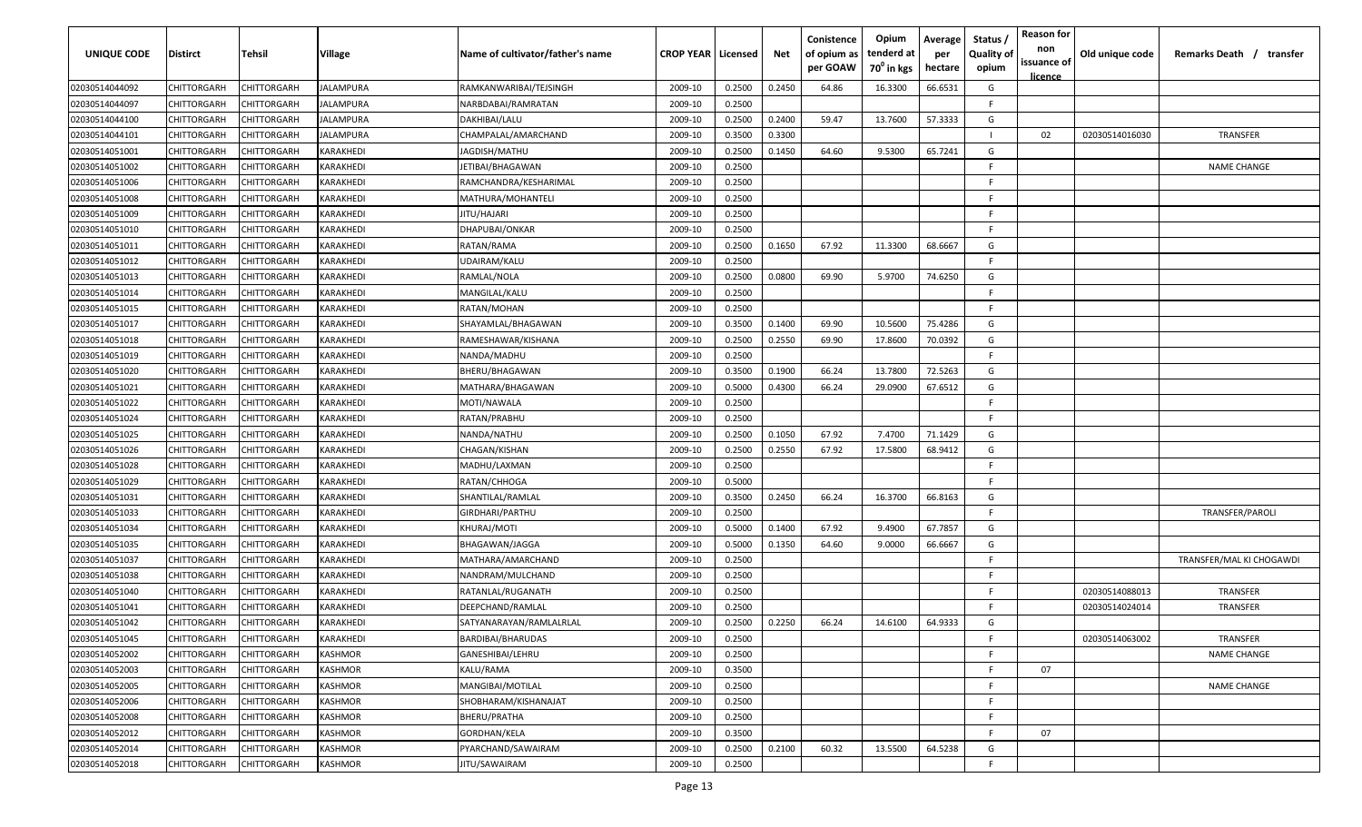| UNIQUE CODE    | <b>Distirct</b> | Tehsil      | Village          | Name of cultivator/father's name | <b>CROP YEAR   Licensed</b> |        | Net    | Conistence<br>of opium as<br>per GOAW | Opium<br>tenderd at<br>70 <sup>°</sup> in kgs | Average<br>per<br>hectare | Status /<br><b>Quality of</b><br>opium | <b>Reason for</b><br>non<br>issuance of<br>licence | Old unique code | Remarks Death / transfer |
|----------------|-----------------|-------------|------------------|----------------------------------|-----------------------------|--------|--------|---------------------------------------|-----------------------------------------------|---------------------------|----------------------------------------|----------------------------------------------------|-----------------|--------------------------|
| 02030514044092 | CHITTORGARH     | CHITTORGARH | <b>JALAMPURA</b> | RAMKANWARIBAI/TEJSINGH           | 2009-10                     | 0.2500 | 0.2450 | 64.86                                 | 16.3300                                       | 66.6531                   | G                                      |                                                    |                 |                          |
| 02030514044097 | CHITTORGARH     | CHITTORGARH | JALAMPURA        | NARBDABAI/RAMRATAN               | 2009-10                     | 0.2500 |        |                                       |                                               |                           | F.                                     |                                                    |                 |                          |
| 02030514044100 | CHITTORGARH     | CHITTORGARH | JALAMPURA        | DAKHIBAI/LALU                    | 2009-10                     | 0.2500 | 0.2400 | 59.47                                 | 13.7600                                       | 57.3333                   | G                                      |                                                    |                 |                          |
| 02030514044101 | CHITTORGARH     | CHITTORGARH | <b>JALAMPURA</b> | CHAMPALAL/AMARCHAND              | 2009-10                     | 0.3500 | 0.3300 |                                       |                                               |                           |                                        | 02                                                 | 02030514016030  | <b>TRANSFER</b>          |
| 02030514051001 | CHITTORGARH     | CHITTORGARH | KARAKHEDI        | JAGDISH/MATHU                    | 2009-10                     | 0.2500 | 0.1450 | 64.60                                 | 9.5300                                        | 65.7241                   | G                                      |                                                    |                 |                          |
| 02030514051002 | CHITTORGARH     | CHITTORGARH | KARAKHEDI        | JETIBAI/BHAGAWAN                 | 2009-10                     | 0.2500 |        |                                       |                                               |                           | F.                                     |                                                    |                 | <b>NAME CHANGE</b>       |
| 02030514051006 | CHITTORGARH     | CHITTORGARH | KARAKHEDI        | RAMCHANDRA/KESHARIMAL            | 2009-10                     | 0.2500 |        |                                       |                                               |                           | -F.                                    |                                                    |                 |                          |
| 02030514051008 | CHITTORGARH     | CHITTORGARH | KARAKHEDI        | MATHURA/MOHANTELI                | 2009-10                     | 0.2500 |        |                                       |                                               |                           | F                                      |                                                    |                 |                          |
| 02030514051009 | CHITTORGARH     | CHITTORGARH | KARAKHEDI        | JITU/HAJARI                      | 2009-10                     | 0.2500 |        |                                       |                                               |                           | F.                                     |                                                    |                 |                          |
| 02030514051010 | CHITTORGARH     | CHITTORGARH | KARAKHEDI        | DHAPUBAI/ONKAR                   | 2009-10                     | 0.2500 |        |                                       |                                               |                           | F.                                     |                                                    |                 |                          |
| 02030514051011 | CHITTORGARH     | CHITTORGARH | KARAKHEDI        | RATAN/RAMA                       | 2009-10                     | 0.2500 | 0.1650 | 67.92                                 | 11.3300                                       | 68.6667                   | G                                      |                                                    |                 |                          |
| 02030514051012 | CHITTORGARH     | CHITTORGARH | KARAKHEDI        | UDAIRAM/KALU                     | 2009-10                     | 0.2500 |        |                                       |                                               |                           | F.                                     |                                                    |                 |                          |
| 02030514051013 | CHITTORGARH     | CHITTORGARH | KARAKHEDI        | RAMLAL/NOLA                      | 2009-10                     | 0.2500 | 0.0800 | 69.90                                 | 5.9700                                        | 74.6250                   | G                                      |                                                    |                 |                          |
| 02030514051014 | CHITTORGARH     | CHITTORGARF | KARAKHEDI        | MANGILAL/KALU                    | 2009-10                     | 0.2500 |        |                                       |                                               |                           | F                                      |                                                    |                 |                          |
| 02030514051015 | CHITTORGARH     | CHITTORGARF | KARAKHEDI        | RATAN/MOHAN                      | 2009-10                     | 0.2500 |        |                                       |                                               |                           | -F.                                    |                                                    |                 |                          |
| 02030514051017 | CHITTORGARH     | CHITTORGARF | KARAKHEDI        | SHAYAMLAL/BHAGAWAN               | 2009-10                     | 0.3500 | 0.1400 | 69.90                                 | 10.5600                                       | 75.4286                   | G                                      |                                                    |                 |                          |
| 02030514051018 | CHITTORGARH     | CHITTORGARH | KARAKHEDI        | RAMESHAWAR/KISHANA               | 2009-10                     | 0.2500 | 0.2550 | 69.90                                 | 17.8600                                       | 70.0392                   | G                                      |                                                    |                 |                          |
| 02030514051019 | CHITTORGARH     | CHITTORGARH | KARAKHEDI        | NANDA/MADHU                      | 2009-10                     | 0.2500 |        |                                       |                                               |                           | F                                      |                                                    |                 |                          |
| 02030514051020 | CHITTORGARH     | CHITTORGARH | KARAKHEDI        | BHERU/BHAGAWAN                   | 2009-10                     | 0.3500 | 0.1900 | 66.24                                 | 13.7800                                       | 72.5263                   | G                                      |                                                    |                 |                          |
| 02030514051021 | CHITTORGARH     | CHITTORGARH | KARAKHEDI        | MATHARA/BHAGAWAN                 | 2009-10                     | 0.5000 | 0.4300 | 66.24                                 | 29.0900                                       | 67.6512                   | G                                      |                                                    |                 |                          |
| 02030514051022 | CHITTORGARH     | CHITTORGARH | KARAKHEDI        | MOTI/NAWALA                      | 2009-10                     | 0.2500 |        |                                       |                                               |                           | F.                                     |                                                    |                 |                          |
| 02030514051024 | CHITTORGARH     | CHITTORGARH | KARAKHEDI        | RATAN/PRABHU                     | 2009-10                     | 0.2500 |        |                                       |                                               |                           | F.                                     |                                                    |                 |                          |
| 02030514051025 | CHITTORGARH     | CHITTORGARF | KARAKHEDI        | NANDA/NATHU                      | 2009-10                     | 0.2500 | 0.1050 | 67.92                                 | 7.4700                                        | 71.1429                   | G                                      |                                                    |                 |                          |
| 02030514051026 | CHITTORGARH     | CHITTORGARF | KARAKHEDI        | CHAGAN/KISHAN                    | 2009-10                     | 0.2500 | 0.2550 | 67.92                                 | 17.5800                                       | 68.9412                   | G                                      |                                                    |                 |                          |
| 02030514051028 | CHITTORGARH     | CHITTORGARH | KARAKHEDI        | MADHU/LAXMAN                     | 2009-10                     | 0.2500 |        |                                       |                                               |                           | F.                                     |                                                    |                 |                          |
| 02030514051029 | CHITTORGARH     | CHITTORGARH | KARAKHEDI        | RATAN/CHHOGA                     | 2009-10                     | 0.5000 |        |                                       |                                               |                           | F.                                     |                                                    |                 |                          |
| 02030514051031 | CHITTORGARH     | CHITTORGARH | KARAKHEDI        | SHANTILAL/RAMLAL                 | 2009-10                     | 0.3500 | 0.2450 | 66.24                                 | 16.3700                                       | 66.8163                   | G                                      |                                                    |                 |                          |
| 02030514051033 | CHITTORGARH     | CHITTORGARH | KARAKHEDI        | GIRDHARI/PARTHU                  | 2009-10                     | 0.2500 |        |                                       |                                               |                           | -F.                                    |                                                    |                 | TRANSFER/PAROL           |
| 02030514051034 | CHITTORGARH     | CHITTORGARH | KARAKHEDI        | KHURAJ/MOTI                      | 2009-10                     | 0.5000 | 0.1400 | 67.92                                 | 9.4900                                        | 67.7857                   | G                                      |                                                    |                 |                          |
| 02030514051035 | CHITTORGARH     | CHITTORGARH | KARAKHEDI        | BHAGAWAN/JAGGA                   | 2009-10                     | 0.5000 | 0.1350 | 64.60                                 | 9.0000                                        | 66.6667                   | G                                      |                                                    |                 |                          |
| 02030514051037 | CHITTORGARH     | CHITTORGARF | KARAKHEDI        | MATHARA/AMARCHAND                | 2009-10                     | 0.2500 |        |                                       |                                               |                           | F.                                     |                                                    |                 | TRANSFER/MAL KI CHOGAWDI |
| 02030514051038 | CHITTORGARH     | CHITTORGARF | KARAKHEDI        | NANDRAM/MULCHAND                 | 2009-10                     | 0.2500 |        |                                       |                                               |                           | -F                                     |                                                    |                 |                          |
| 02030514051040 | CHITTORGARH     | CHITTORGARH | KARAKHEDI        | RATANLAL/RUGANATH                | 2009-10                     | 0.2500 |        |                                       |                                               |                           | E                                      |                                                    | 02030514088013  | TRANSFER                 |
| 02030514051041 | CHITTORGARH     | CHITTORGARH | KARAKHEDI        | DEEPCHAND/RAMLAL                 | 2009-10                     | 0.2500 |        |                                       |                                               |                           | F.                                     |                                                    | 02030514024014  | TRANSFER                 |
| 02030514051042 | CHITTORGARH     | CHITTORGARH | KARAKHEDI        | SATYANARAYAN/RAMLALRLAL          | 2009-10                     | 0.2500 | 0.2250 | 66.24                                 | 14.6100                                       | 64.9333                   | G                                      |                                                    |                 |                          |
| 02030514051045 | CHITTORGARH     | CHITTORGARH | KARAKHEDI        | BARDIBAI/BHARUDAS                | 2009-10                     | 0.2500 |        |                                       |                                               |                           | F.                                     |                                                    | 02030514063002  | TRANSFER                 |
| 02030514052002 | CHITTORGARH     | CHITTORGARH | <b>KASHMOR</b>   | GANESHIBAI/LEHRU                 | 2009-10                     | 0.2500 |        |                                       |                                               |                           | F.                                     |                                                    |                 | <b>NAME CHANGE</b>       |
| 02030514052003 | CHITTORGARH     | CHITTORGARH | <b>KASHMOR</b>   | KALU/RAMA                        | 2009-10                     | 0.3500 |        |                                       |                                               |                           | F.                                     | 07                                                 |                 |                          |
| 02030514052005 | CHITTORGARH     | CHITTORGARH | <b>KASHMOR</b>   | MANGIBAI/MOTILAL                 | 2009-10                     | 0.2500 |        |                                       |                                               |                           | F.                                     |                                                    |                 | <b>NAME CHANGE</b>       |
| 02030514052006 | CHITTORGARH     | CHITTORGARH | <b>KASHMOR</b>   | SHOBHARAM/KISHANAJAT             | 2009-10                     | 0.2500 |        |                                       |                                               |                           | F.                                     |                                                    |                 |                          |
| 02030514052008 | CHITTORGARH     | CHITTORGARH | <b>KASHMOR</b>   | BHERU/PRATHA                     | 2009-10                     | 0.2500 |        |                                       |                                               |                           | F.                                     |                                                    |                 |                          |
| 02030514052012 | CHITTORGARH     | CHITTORGARH | <b>KASHMOR</b>   | GORDHAN/KELA                     | 2009-10                     | 0.3500 |        |                                       |                                               |                           | F.                                     | 07                                                 |                 |                          |
| 02030514052014 | CHITTORGARH     | CHITTORGARH | <b>KASHMOR</b>   | PYARCHAND/SAWAIRAM               | 2009-10                     | 0.2500 | 0.2100 | 60.32                                 | 13.5500                                       | 64.5238                   | G                                      |                                                    |                 |                          |
| 02030514052018 | CHITTORGARH     | CHITTORGARH | KASHMOR          | JITU/SAWAIRAM                    | 2009-10                     | 0.2500 |        |                                       |                                               |                           | F.                                     |                                                    |                 |                          |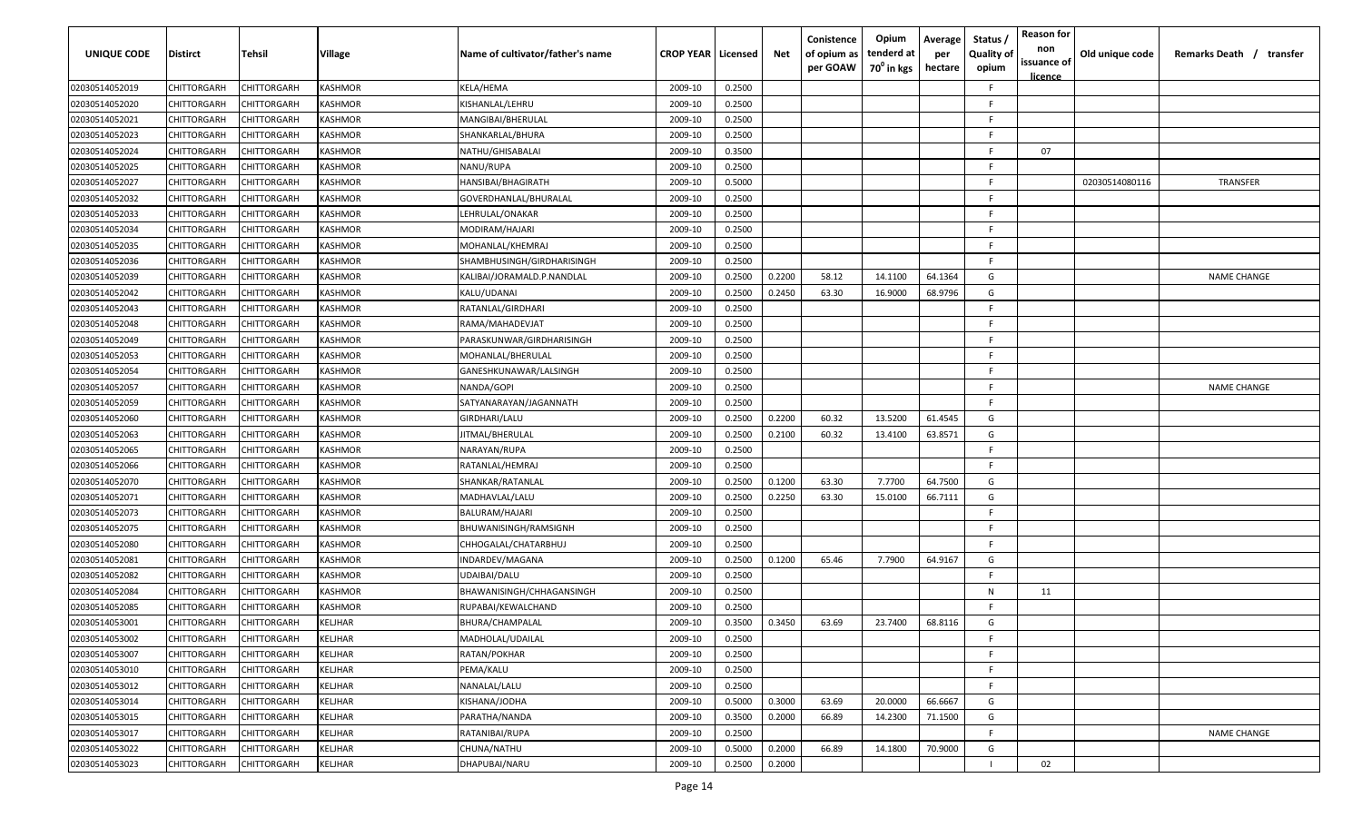| UNIQUE CODE    | <b>Distirct</b> | Tehsil             | <b>Village</b> | Name of cultivator/father's name | <b>CROP YEAR</b> | Licensed | Net    | Conistence<br>of opium as<br>per GOAW | Opium<br>tenderd at<br>70 <sup>0</sup> in kgs | Average<br>per<br>hectare | Status /<br><b>Quality of</b><br>opium | <b>Reason for</b><br>non<br>issuance of<br>licence | Old unique code | Remarks Death /<br>transfer |
|----------------|-----------------|--------------------|----------------|----------------------------------|------------------|----------|--------|---------------------------------------|-----------------------------------------------|---------------------------|----------------------------------------|----------------------------------------------------|-----------------|-----------------------------|
| 02030514052019 | CHITTORGARH     | CHITTORGARH        | <b>KASHMOR</b> | KELA/HEMA                        | 2009-10          | 0.2500   |        |                                       |                                               |                           | F.                                     |                                                    |                 |                             |
| 02030514052020 | CHITTORGARH     | CHITTORGARF        | <b>KASHMOR</b> | KISHANLAL/LEHRU                  | 2009-10          | 0.2500   |        |                                       |                                               |                           | F.                                     |                                                    |                 |                             |
| 02030514052021 | CHITTORGARH     | CHITTORGARH        | <b>KASHMOR</b> | MANGIBAI/BHERULAL                | 2009-10          | 0.2500   |        |                                       |                                               |                           | F.                                     |                                                    |                 |                             |
| 02030514052023 | CHITTORGARH     | CHITTORGARH        | <b>KASHMOR</b> | SHANKARLAL/BHURA                 | 2009-10          | 0.2500   |        |                                       |                                               |                           | F                                      |                                                    |                 |                             |
| 02030514052024 | CHITTORGARH     | CHITTORGARH        | <b>KASHMOR</b> | NATHU/GHISABALAI                 | 2009-10          | 0.3500   |        |                                       |                                               |                           | F.                                     | 07                                                 |                 |                             |
| 02030514052025 | CHITTORGARH     | CHITTORGARF        | KASHMOR        | NANU/RUPA                        | 2009-10          | 0.2500   |        |                                       |                                               |                           | -F.                                    |                                                    |                 |                             |
| 02030514052027 | CHITTORGARH     | CHITTORGARH        | KASHMOR        | HANSIBAI/BHAGIRATH               | 2009-10          | 0.5000   |        |                                       |                                               |                           | F.                                     |                                                    | 02030514080116  | TRANSFER                    |
| 02030514052032 | CHITTORGARH     | CHITTORGARH        | KASHMOR        | GOVERDHANLAL/BHURALAL            | 2009-10          | 0.2500   |        |                                       |                                               |                           | F.                                     |                                                    |                 |                             |
| 02030514052033 | CHITTORGARH     | CHITTORGARH        | KASHMOR        | LEHRULAL/ONAKAR                  | 2009-10          | 0.2500   |        |                                       |                                               |                           | F.                                     |                                                    |                 |                             |
| 02030514052034 | CHITTORGARH     | CHITTORGARH        | KASHMOR        | MODIRAM/HAJARI                   | 2009-10          | 0.2500   |        |                                       |                                               |                           | -F                                     |                                                    |                 |                             |
| 02030514052035 | CHITTORGARH     | CHITTORGARH        | KASHMOR        | MOHANLAL/KHEMRAJ                 | 2009-10          | 0.2500   |        |                                       |                                               |                           | -F                                     |                                                    |                 |                             |
| 02030514052036 | CHITTORGARH     | CHITTORGARH        | <b>KASHMOR</b> | SHAMBHUSINGH/GIRDHARISINGH       | 2009-10          | 0.2500   |        |                                       |                                               |                           | -F                                     |                                                    |                 |                             |
| 02030514052039 | CHITTORGARH     | CHITTORGARH        | <b>KASHMOR</b> | KALIBAI/JORAMALD.P.NANDLAL       | 2009-10          | 0.2500   | 0.2200 | 58.12                                 | 14.1100                                       | 64.1364                   | G                                      |                                                    |                 | <b>NAME CHANGE</b>          |
| 02030514052042 | CHITTORGARH     | CHITTORGARF        | <b>KASHMOR</b> | KALU/UDANAI                      | 2009-10          | 0.2500   | 0.2450 | 63.30                                 | 16.9000                                       | 68.9796                   | G                                      |                                                    |                 |                             |
| 02030514052043 | CHITTORGARH     | CHITTORGARH        | <b>KASHMOR</b> | RATANLAL/GIRDHARI                | 2009-10          | 0.2500   |        |                                       |                                               |                           | F.                                     |                                                    |                 |                             |
| 02030514052048 | CHITTORGARH     | CHITTORGARH        | <b>KASHMOR</b> | RAMA/MAHADEVJAT                  | 2009-10          | 0.2500   |        |                                       |                                               |                           | F.                                     |                                                    |                 |                             |
| 02030514052049 | CHITTORGARH     | CHITTORGARH        | <b>KASHMOR</b> | PARASKUNWAR/GIRDHARISINGH        | 2009-10          | 0.2500   |        |                                       |                                               |                           | F.                                     |                                                    |                 |                             |
| 02030514052053 | CHITTORGARH     | CHITTORGARH        | <b>KASHMOR</b> | MOHANLAL/BHERULAL                | 2009-10          | 0.2500   |        |                                       |                                               |                           | F.                                     |                                                    |                 |                             |
| 02030514052054 | CHITTORGARH     | CHITTORGARF        | <b>KASHMOR</b> | GANESHKUNAWAR/LALSINGH           | 2009-10          | 0.2500   |        |                                       |                                               |                           | F.                                     |                                                    |                 |                             |
| 02030514052057 | CHITTORGARH     | CHITTORGARH        | <b>KASHMOR</b> | NANDA/GOPI                       | 2009-10          | 0.2500   |        |                                       |                                               |                           | F.                                     |                                                    |                 | <b>NAME CHANGE</b>          |
| 02030514052059 | CHITTORGARH     | CHITTORGARH        | <b>KASHMOR</b> | SATYANARAYAN/JAGANNATH           | 2009-10          | 0.2500   |        |                                       |                                               |                           | F.                                     |                                                    |                 |                             |
| 02030514052060 | CHITTORGARH     | CHITTORGARH        | <b>KASHMOR</b> | GIRDHARI/LALU                    | 2009-10          | 0.2500   | 0.2200 | 60.32                                 | 13.5200                                       | 61.4545                   | G                                      |                                                    |                 |                             |
| 02030514052063 | CHITTORGARH     | CHITTORGARF        | KASHMOR        | IITMAL/BHERULAL                  | 2009-10          | 0.2500   | 0.2100 | 60.32                                 | 13.4100                                       | 63.8571                   | G                                      |                                                    |                 |                             |
| 02030514052065 | CHITTORGARH     | CHITTORGARH        | KASHMOR        | NARAYAN/RUPA                     | 2009-10          | 0.2500   |        |                                       |                                               |                           | F.                                     |                                                    |                 |                             |
| 02030514052066 | CHITTORGARH     | CHITTORGARH        | KASHMOR        | RATANLAL/HEMRAJ                  | 2009-10          | 0.2500   |        |                                       |                                               |                           | F.                                     |                                                    |                 |                             |
| 02030514052070 | CHITTORGARH     | CHITTORGARH        | KASHMOR        | SHANKAR/RATANLAL                 | 2009-10          | 0.2500   | 0.1200 | 63.30                                 | 7.7700                                        | 64.7500                   | G                                      |                                                    |                 |                             |
| 02030514052071 | CHITTORGARH     | CHITTORGARH        | KASHMOR        | MADHAVLAL/LALU                   | 2009-10          | 0.2500   | 0.2250 | 63.30                                 | 15.0100                                       | 66.7111                   | G                                      |                                                    |                 |                             |
| 02030514052073 | CHITTORGARH     | CHITTORGARH        | KASHMOR        | BALURAM/HAJARI                   | 2009-10          | 0.2500   |        |                                       |                                               |                           | E                                      |                                                    |                 |                             |
| 02030514052075 | CHITTORGARH     | CHITTORGARH        | <b>KASHMOR</b> | BHUWANISINGH/RAMSIGNH            | 2009-10          | 0.2500   |        |                                       |                                               |                           | F                                      |                                                    |                 |                             |
| 02030514052080 | CHITTORGARH     | CHITTORGARH        | <b>KASHMOR</b> | CHHOGALAL/CHATARBHUJ             | 2009-10          | 0.2500   |        |                                       |                                               |                           | F.                                     |                                                    |                 |                             |
| 02030514052081 | CHITTORGARH     | CHITTORGARH        | <b>KASHMOR</b> | INDARDEV/MAGANA                  | 2009-10          | 0.2500   | 0.1200 | 65.46                                 | 7.7900                                        | 64.9167                   | G                                      |                                                    |                 |                             |
| 02030514052082 | CHITTORGARH     | CHITTORGARH        | <b>KASHMOR</b> | UDAIBAI/DALU                     | 2009-10          | 0.2500   |        |                                       |                                               |                           | F                                      |                                                    |                 |                             |
| 02030514052084 | CHITTORGARH     | CHITTORGARH        | <b>KASHMOR</b> | BHAWANISINGH/CHHAGANSINGH        | 2009-10          | 0.2500   |        |                                       |                                               |                           | N                                      | 11                                                 |                 |                             |
| 02030514052085 | CHITTORGARH     | CHITTORGARF        | KASHMOR        | RUPABAI/KEWALCHAND               | 2009-10          | 0.2500   |        |                                       |                                               |                           | F                                      |                                                    |                 |                             |
| 02030514053001 | CHITTORGARH     | CHITTORGARH        | KELJHAR        | BHURA/CHAMPALAL                  | 2009-10          | 0.3500   | 0.3450 | 63.69                                 | 23.7400                                       | 68.8116                   | G                                      |                                                    |                 |                             |
| 02030514053002 | CHITTORGARH     | <b>CHITTORGARH</b> | <b>KELJHAR</b> | MADHOLAL/UDAILAL                 | 2009-10          | 0.2500   |        |                                       |                                               |                           | F.                                     |                                                    |                 |                             |
| 02030514053007 | CHITTORGARH     | CHITTORGARH        | <b>KELJHAR</b> | RATAN/POKHAR                     | 2009-10          | 0.2500   |        |                                       |                                               |                           | F.                                     |                                                    |                 |                             |
| 02030514053010 | CHITTORGARH     | CHITTORGARH        | <b>KELJHAR</b> | PEMA/KALU                        | 2009-10          | 0.2500   |        |                                       |                                               |                           | F.                                     |                                                    |                 |                             |
| 02030514053012 | CHITTORGARH     | CHITTORGARH        | KELJHAR        | NANALAL/LALU                     | 2009-10          | 0.2500   |        |                                       |                                               |                           | F.                                     |                                                    |                 |                             |
| 02030514053014 | CHITTORGARH     | CHITTORGARH        | <b>KELJHAR</b> | KISHANA/JODHA                    | 2009-10          | 0.5000   | 0.3000 | 63.69                                 | 20.0000                                       | 66.6667                   | G                                      |                                                    |                 |                             |
| 02030514053015 | CHITTORGARH     | CHITTORGARH        | KELJHAR        | PARATHA/NANDA                    | 2009-10          | 0.3500   | 0.2000 | 66.89                                 | 14.2300                                       | 71.1500                   | G                                      |                                                    |                 |                             |
| 02030514053017 | CHITTORGARH     | CHITTORGARH        | KELJHAR        | RATANIBAI/RUPA                   | 2009-10          | 0.2500   |        |                                       |                                               |                           | F.                                     |                                                    |                 | <b>NAME CHANGE</b>          |
| 02030514053022 | CHITTORGARH     | CHITTORGARH        | KELJHAR        | CHUNA/NATHU                      | 2009-10          | 0.5000   | 0.2000 | 66.89                                 | 14.1800                                       | 70.9000                   | G                                      |                                                    |                 |                             |
| 02030514053023 | CHITTORGARH     | CHITTORGARH        | KELJHAR        | DHAPUBAI/NARU                    | 2009-10          | 0.2500   | 0.2000 |                                       |                                               |                           |                                        | 02                                                 |                 |                             |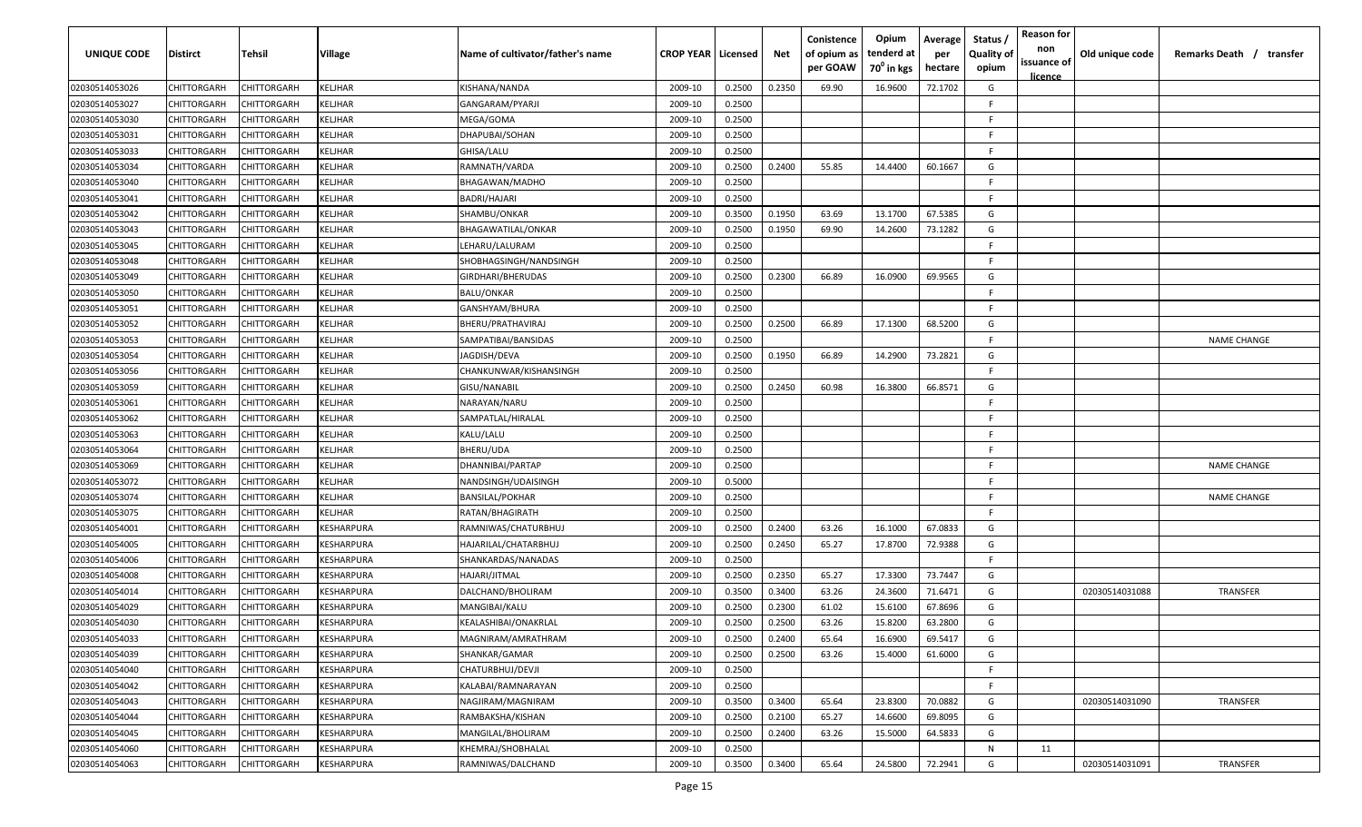| UNIQUE CODE    | <b>Distirct</b>    | Tehsil             | <b>Village</b>    | Name of cultivator/father's name | <b>CROP YEAR   Licensed</b> |        | Net    | Conistence<br>of opium as<br>per GOAW | Opium<br>tenderd at<br>70 <sup>0</sup> in kgs | Average<br>per<br>hectare | Status<br><b>Quality of</b><br>opium | <b>Reason for</b><br>non<br>issuance of<br><u>licence</u> | Old unique code | Remarks Death / transfer |
|----------------|--------------------|--------------------|-------------------|----------------------------------|-----------------------------|--------|--------|---------------------------------------|-----------------------------------------------|---------------------------|--------------------------------------|-----------------------------------------------------------|-----------------|--------------------------|
| 02030514053026 | CHITTORGARH        | CHITTORGARH        | KELJHAR           | KISHANA/NANDA                    | 2009-10                     | 0.2500 | 0.2350 | 69.90                                 | 16.9600                                       | 72.1702                   | G                                    |                                                           |                 |                          |
| 02030514053027 | CHITTORGARH        | CHITTORGARH        | KELJHAR           | GANGARAM/PYARJI                  | 2009-10                     | 0.2500 |        |                                       |                                               |                           | F                                    |                                                           |                 |                          |
| 02030514053030 | CHITTORGARH        | CHITTORGARH        | KELJHAR           | MEGA/GOMA                        | 2009-10                     | 0.2500 |        |                                       |                                               |                           | F.                                   |                                                           |                 |                          |
| 02030514053031 | CHITTORGARH        | CHITTORGARH        | KELJHAR           | DHAPUBAI/SOHAN                   | 2009-10                     | 0.2500 |        |                                       |                                               |                           | -F                                   |                                                           |                 |                          |
| 02030514053033 | CHITTORGARH        | CHITTORGARH        | KELJHAR           | GHISA/LALU                       | 2009-10                     | 0.2500 |        |                                       |                                               |                           | -F                                   |                                                           |                 |                          |
| 02030514053034 | CHITTORGARH        | <b>CHITTORGARH</b> | KELJHAR           | RAMNATH/VARDA                    | 2009-10                     | 0.2500 | 0.2400 | 55.85                                 | 14.4400                                       | 60.1667                   | G                                    |                                                           |                 |                          |
| 02030514053040 | CHITTORGARH        | CHITTORGARH        | KELJHAR           | BHAGAWAN/MADHO                   | 2009-10                     | 0.2500 |        |                                       |                                               |                           | E                                    |                                                           |                 |                          |
| 02030514053041 | CHITTORGARH        | CHITTORGARH        | KELJHAR           | BADRI/HAJARI                     | 2009-10                     | 0.2500 |        |                                       |                                               |                           | -F.                                  |                                                           |                 |                          |
| 02030514053042 | CHITTORGARH        | CHITTORGARH        | KELJHAR           | SHAMBU/ONKAR                     | 2009-10                     | 0.3500 | 0.1950 | 63.69                                 | 13.1700                                       | 67.5385                   | G                                    |                                                           |                 |                          |
| 02030514053043 | <b>CHITTORGARH</b> | <b>CHITTORGARH</b> | KELJHAR           | BHAGAWATILAL/ONKAR               | 2009-10                     | 0.2500 | 0.1950 | 69.90                                 | 14.2600                                       | 73.1282                   | G                                    |                                                           |                 |                          |
| 02030514053045 | <b>CHITTORGARH</b> | <b>CHITTORGARH</b> | KELJHAR           | LEHARU/LALURAM                   | 2009-10                     | 0.2500 |        |                                       |                                               |                           | -F                                   |                                                           |                 |                          |
| 02030514053048 | CHITTORGARH        | CHITTORGARH        | KELJHAR           | SHOBHAGSINGH/NANDSINGH           | 2009-10                     | 0.2500 |        |                                       |                                               |                           | -F                                   |                                                           |                 |                          |
| 02030514053049 | CHITTORGARH        | CHITTORGARH        | KELJHAR           | GIRDHARI/BHERUDAS                | 2009-10                     | 0.2500 | 0.2300 | 66.89                                 | 16.0900                                       | 69.9565                   | G                                    |                                                           |                 |                          |
| 02030514053050 | CHITTORGARH        | <b>CHITTORGARH</b> | KELJHAR           | BALU/ONKAR                       | 2009-10                     | 0.2500 |        |                                       |                                               |                           | E                                    |                                                           |                 |                          |
| 02030514053051 | CHITTORGARH        | CHITTORGARH        | KELJHAR           | GANSHYAM/BHURA                   | 2009-10                     | 0.2500 |        |                                       |                                               |                           | F.                                   |                                                           |                 |                          |
| 02030514053052 | CHITTORGARH        | CHITTORGARH        | KELJHAR           | BHERU/PRATHAVIRAJ                | 2009-10                     | 0.2500 | 0.2500 | 66.89                                 | 17.1300                                       | 68.5200                   | G                                    |                                                           |                 |                          |
| 02030514053053 | CHITTORGARH        | CHITTORGARH        | KELJHAR           | SAMPATIBAI/BANSIDAS              | 2009-10                     | 0.2500 |        |                                       |                                               |                           | -F.                                  |                                                           |                 | <b>NAME CHANGE</b>       |
| 02030514053054 | CHITTORGARH        | CHITTORGARH        | KELJHAR           | JAGDISH/DEVA                     | 2009-10                     | 0.2500 | 0.1950 | 66.89                                 | 14.2900                                       | 73.2821                   | G                                    |                                                           |                 |                          |
| 02030514053056 | CHITTORGARH        | CHITTORGARH        | KELJHAR           | CHANKUNWAR/KISHANSINGH           | 2009-10                     | 0.2500 |        |                                       |                                               |                           | -F                                   |                                                           |                 |                          |
| 02030514053059 | CHITTORGARH        | CHITTORGARH        | KELJHAR           | GISU/NANABIL                     | 2009-10                     | 0.2500 | 0.2450 | 60.98                                 | 16.3800                                       | 66.8571                   | G                                    |                                                           |                 |                          |
| 02030514053061 | CHITTORGARH        | CHITTORGARH        | KELJHAR           | NARAYAN/NARU                     | 2009-10                     | 0.2500 |        |                                       |                                               |                           | -F                                   |                                                           |                 |                          |
| 02030514053062 | CHITTORGARH        | CHITTORGARH        | KELJHAR           | SAMPATLAL/HIRALAL                | 2009-10                     | 0.2500 |        |                                       |                                               |                           | E                                    |                                                           |                 |                          |
| 02030514053063 | CHITTORGARH        | <b>CHITTORGARH</b> | KELJHAR           | KALU/LALU                        | 2009-10                     | 0.2500 |        |                                       |                                               |                           | -F                                   |                                                           |                 |                          |
| 02030514053064 | CHITTORGARH        | <b>CHITTORGARH</b> | KELJHAR           | BHERU/UDA                        | 2009-10                     | 0.2500 |        |                                       |                                               |                           | F.                                   |                                                           |                 |                          |
| 02030514053069 | CHITTORGARH        | CHITTORGARH        | KELJHAR           | DHANNIBAI/PARTAP                 | 2009-10                     | 0.2500 |        |                                       |                                               |                           | F.                                   |                                                           |                 | <b>NAME CHANGE</b>       |
| 02030514053072 | CHITTORGARH        | CHITTORGARH        | KELJHAR           | NANDSINGH/UDAISINGH              | 2009-10                     | 0.5000 |        |                                       |                                               |                           | F                                    |                                                           |                 |                          |
| 02030514053074 | <b>CHITTORGARH</b> | <b>CHITTORGARH</b> | KELJHAR           | BANSILAL/POKHAR                  | 2009-10                     | 0.2500 |        |                                       |                                               |                           | -F                                   |                                                           |                 | <b>NAME CHANGE</b>       |
| 02030514053075 | <b>CHITTORGARH</b> | <b>CHITTORGARH</b> | KELJHAR           | RATAN/BHAGIRATH                  | 2009-10                     | 0.2500 |        |                                       |                                               |                           | -F                                   |                                                           |                 |                          |
| 02030514054001 | CHITTORGARH        | CHITTORGARH        | KESHARPURA        | RAMNIWAS/CHATURBHUJ              | 2009-10                     | 0.2500 | 0.2400 | 63.26                                 | 16.1000                                       | 67.0833                   | G                                    |                                                           |                 |                          |
| 02030514054005 | CHITTORGARH        | CHITTORGARH        | KESHARPURA        | HAJARILAL/CHATARBHUJ             | 2009-10                     | 0.2500 | 0.2450 | 65.27                                 | 17.8700                                       | 72.9388                   | G                                    |                                                           |                 |                          |
| 02030514054006 | CHITTORGARH        | <b>CHITTORGARH</b> | KESHARPURA        | SHANKARDAS/NANADAS               | 2009-10                     | 0.2500 |        |                                       |                                               |                           | E                                    |                                                           |                 |                          |
| 02030514054008 | CHITTORGARH        | CHITTORGARH        | KESHARPURA        | HAJARI/JITMAL                    | 2009-10                     | 0.2500 | 0.2350 | 65.27                                 | 17.3300                                       | 73.7447                   | G                                    |                                                           |                 |                          |
| 02030514054014 | CHITTORGARH        | CHITTORGARH        | KESHARPURA        | DALCHAND/BHOLIRAM                | 2009-10                     | 0.3500 | 0.3400 | 63.26                                 | 24.3600                                       | 71.6471                   | G                                    |                                                           | 02030514031088  | TRANSFER                 |
| 02030514054029 | CHITTORGARH        | CHITTORGARH        | KESHARPURA        | MANGIBAI/KALU                    | 2009-10                     | 0.2500 | 0.2300 | 61.02                                 | 15.6100                                       | 67.8696                   | G                                    |                                                           |                 |                          |
| 02030514054030 | CHITTORGARH        | CHITTORGARH        | KESHARPURA        | KEALASHIBAI/ONAKRLAL             | 2009-10                     | 0.2500 | 0.2500 | 63.26                                 | 15.8200                                       | 63.2800                   | G                                    |                                                           |                 |                          |
| 02030514054033 | CHITTORGARH        | <b>CHITTORGARH</b> | <b>KESHARPURA</b> | MAGNIRAM/AMRATHRAM               | 2009-10                     | 0.2500 | 0.2400 | 65.64                                 | 16.6900                                       | 69.5417                   | G                                    |                                                           |                 |                          |
| 02030514054039 | CHITTORGARH        | CHITTORGARH        | <b>KESHARPURA</b> | SHANKAR/GAMAR                    | 2009-10                     | 0.2500 | 0.2500 | 63.26                                 | 15.4000                                       | 61.6000                   | G                                    |                                                           |                 |                          |
| 02030514054040 | CHITTORGARH        | CHITTORGARH        | <b>KESHARPURA</b> | CHATURBHUJ/DEVJI                 | 2009-10                     | 0.2500 |        |                                       |                                               |                           | F.                                   |                                                           |                 |                          |
| 02030514054042 | CHITTORGARH        | CHITTORGARH        | KESHARPURA        | KALABAI/RAMNARAYAN               | 2009-10                     | 0.2500 |        |                                       |                                               |                           | -F                                   |                                                           |                 |                          |
| 02030514054043 | CHITTORGARH        | CHITTORGARH        | <b>KESHARPURA</b> | NAGJIRAM/MAGNIRAM                | 2009-10                     | 0.3500 | 0.3400 | 65.64                                 | 23.8300                                       | 70.0882                   | G                                    |                                                           | 02030514031090  | TRANSFER                 |
| 02030514054044 | CHITTORGARH        | CHITTORGARH        | KESHARPURA        | RAMBAKSHA/KISHAN                 | 2009-10                     | 0.2500 | 0.2100 | 65.27                                 | 14.6600                                       | 69.8095                   | G                                    |                                                           |                 |                          |
| 02030514054045 | CHITTORGARH        | CHITTORGARH        | KESHARPURA        | MANGILAL/BHOLIRAM                | 2009-10                     | 0.2500 | 0.2400 | 63.26                                 | 15.5000                                       | 64.5833                   | G                                    |                                                           |                 |                          |
| 02030514054060 | CHITTORGARH        | CHITTORGARH        | KESHARPURA        | KHEMRAJ/SHOBHALAL                | 2009-10                     | 0.2500 |        |                                       |                                               |                           | N                                    | 11                                                        |                 |                          |
| 02030514054063 | CHITTORGARH        | CHITTORGARH        | KESHARPURA        | RAMNIWAS/DALCHAND                | 2009-10                     | 0.3500 | 0.3400 | 65.64                                 | 24.5800                                       | 72.2941                   | G                                    |                                                           | 02030514031091  | TRANSFER                 |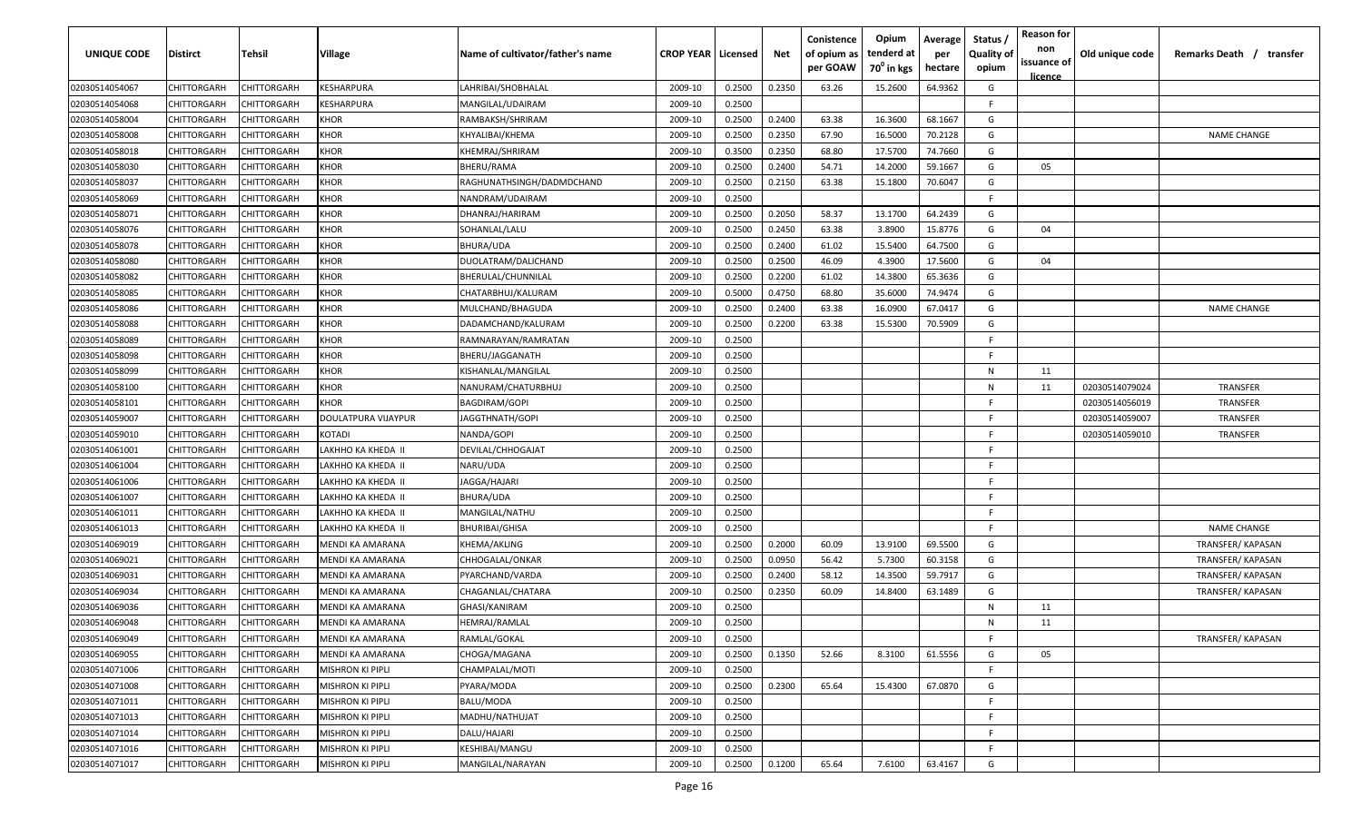| UNIQUE CODE    | Distirct           | Tehsil             | Village                 | Name of cultivator/father's name | <b>CROP YEAR   Licensed</b> |        | Net    | Conistence<br>of opium as<br>per GOAW | Opium<br>tenderd at<br>70 <sup>°</sup> in kgs | Average<br>per<br>hectare | Status,<br>Quality of<br>opium | <b>Reason for</b><br>non<br>issuance of<br>licence | Old unique code | Remarks Death /<br>transfer |
|----------------|--------------------|--------------------|-------------------------|----------------------------------|-----------------------------|--------|--------|---------------------------------------|-----------------------------------------------|---------------------------|--------------------------------|----------------------------------------------------|-----------------|-----------------------------|
| 02030514054067 | CHITTORGARH        | CHITTORGARH        | KESHARPURA              | LAHRIBAI/SHOBHALAL               | 2009-10                     | 0.2500 | 0.2350 | 63.26                                 | 15.2600                                       | 64.9362                   | G                              |                                                    |                 |                             |
| 02030514054068 | CHITTORGARH        | CHITTORGARH        | KESHARPURA              | MANGILAL/UDAIRAM                 | 2009-10                     | 0.2500 |        |                                       |                                               |                           | -F.                            |                                                    |                 |                             |
| 02030514058004 | CHITTORGARH        | CHITTORGARH        | KHOR                    | RAMBAKSH/SHRIRAM                 | 2009-10                     | 0.2500 | 0.2400 | 63.38                                 | 16.3600                                       | 68.1667                   | G                              |                                                    |                 |                             |
| 02030514058008 | CHITTORGARH        | CHITTORGARH        | KHOR                    | KHYALIBAI/KHEMA                  | 2009-10                     | 0.2500 | 0.2350 | 67.90                                 | 16.5000                                       | 70.2128                   | G                              |                                                    |                 | <b>NAME CHANGE</b>          |
| 02030514058018 | CHITTORGARH        | CHITTORGARH        | KHOR                    | KHEMRAJ/SHRIRAM                  | 2009-10                     | 0.3500 | 0.2350 | 68.80                                 | 17.5700                                       | 74.7660                   | G                              |                                                    |                 |                             |
| 02030514058030 | CHITTORGARH        | CHITTORGARH        | KHOR                    | BHERU/RAMA                       | 2009-10                     | 0.2500 | 0.2400 | 54.71                                 | 14.2000                                       | 59.1667                   | G                              | 05                                                 |                 |                             |
| 02030514058037 | <b>CHITTORGARH</b> | <b>CHITTORGARH</b> | KHOR                    | RAGHUNATHSINGH/DADMDCHAND        | 2009-10                     | 0.2500 | 0.2150 | 63.38                                 | 15.1800                                       | 70.6047                   | G                              |                                                    |                 |                             |
| 02030514058069 | CHITTORGARH        | CHITTORGARH        | KHOR                    | NANDRAM/UDAIRAM                  | 2009-10                     | 0.2500 |        |                                       |                                               |                           | -F.                            |                                                    |                 |                             |
| 02030514058071 | CHITTORGARH        | CHITTORGARH        | KHOR                    | DHANRAJ/HARIRAM                  | 2009-10                     | 0.2500 | 0.2050 | 58.37                                 | 13.1700                                       | 64.2439                   | G                              |                                                    |                 |                             |
| 02030514058076 | CHITTORGARH        | CHITTORGARH        | KHOR                    | SOHANLAL/LALU                    | 2009-10                     | 0.2500 | 0.2450 | 63.38                                 | 3.8900                                        | 15.8776                   | G                              | 04                                                 |                 |                             |
| 02030514058078 | CHITTORGARH        | CHITTORGARH        | KHOR                    | BHURA/UDA                        | 2009-10                     | 0.2500 | 0.2400 | 61.02                                 | 15.5400                                       | 64.7500                   | G                              |                                                    |                 |                             |
| 02030514058080 | CHITTORGARH        | CHITTORGARH        | KHOR                    | DUOLATRAM/DALICHAND              | 2009-10                     | 0.2500 | 0.2500 | 46.09                                 | 4.3900                                        | 17.5600                   | G                              | 04                                                 |                 |                             |
| 02030514058082 | CHITTORGARH        | CHITTORGARH        | KHOR                    | BHERULAL/CHUNNILAL               | 2009-10                     | 0.2500 | 0.2200 | 61.02                                 | 14.3800                                       | 65.3636                   | G                              |                                                    |                 |                             |
| 02030514058085 | CHITTORGARH        | CHITTORGARH        | KHOR                    | CHATARBHUJ/KALURAM               | 2009-10                     | 0.5000 | 0.4750 | 68.80                                 | 35.6000                                       | 74.9474                   | G                              |                                                    |                 |                             |
| 02030514058086 | CHITTORGARH        | CHITTORGARH        | KHOR                    | MULCHAND/BHAGUDA                 | 2009-10                     | 0.2500 | 0.2400 | 63.38                                 | 16.0900                                       | 67.0417                   | G                              |                                                    |                 | <b>NAME CHANGE</b>          |
| 02030514058088 | CHITTORGARH        | CHITTORGARH        | <b>KHOR</b>             | DADAMCHAND/KALURAM               | 2009-10                     | 0.2500 | 0.2200 | 63.38                                 | 15.5300                                       | 70.5909                   | G                              |                                                    |                 |                             |
| 02030514058089 | CHITTORGARH        | CHITTORGARH        | <b>KHOR</b>             | RAMNARAYAN/RAMRATAN              | 2009-10                     | 0.2500 |        |                                       |                                               |                           | -F.                            |                                                    |                 |                             |
| 02030514058098 | CHITTORGARH        | CHITTORGARH        | <b>KHOR</b>             | BHERU/JAGGANATH                  | 2009-10                     | 0.2500 |        |                                       |                                               |                           | F                              |                                                    |                 |                             |
| 02030514058099 | CHITTORGARH        | CHITTORGARH        | KHOR                    | KISHANLAL/MANGILAL               | 2009-10                     | 0.2500 |        |                                       |                                               |                           | N                              | 11                                                 |                 |                             |
| 02030514058100 | CHITTORGARH        | CHITTORGARH        | KHOR                    | NANURAM/CHATURBHUJ               | 2009-10                     | 0.2500 |        |                                       |                                               |                           | N                              | 11                                                 | 02030514079024  | <b>TRANSFER</b>             |
| 02030514058101 | CHITTORGARH        | CHITTORGARH        | KHOR                    | <b>BAGDIRAM/GOPI</b>             | 2009-10                     | 0.2500 |        |                                       |                                               |                           | -F.                            |                                                    | 02030514056019  | TRANSFER                    |
| 02030514059007 | CHITTORGARH        | CHITTORGARH        | DOULATPURA VIJAYPUR     | JAGGTHNATH/GOPI                  | 2009-10                     | 0.2500 |        |                                       |                                               |                           | F.                             |                                                    | 02030514059007  | <b>TRANSFER</b>             |
| 02030514059010 | CHITTORGARH        | CHITTORGARH        | KOTADI                  | NANDA/GOPI                       | 2009-10                     | 0.2500 |        |                                       |                                               |                           | -F.                            |                                                    | 02030514059010  | TRANSFER                    |
| 02030514061001 | CHITTORGARH        | CHITTORGARF        | LAKHHO KA KHEDA II      | DEVILAL/CHHOGAJAT                | 2009-10                     | 0.2500 |        |                                       |                                               |                           | -F.                            |                                                    |                 |                             |
| 02030514061004 | CHITTORGARH        | CHITTORGARH        | LAKHHO KA KHEDA II      | NARU/UDA                         | 2009-10                     | 0.2500 |        |                                       |                                               |                           | -F.                            |                                                    |                 |                             |
| 02030514061006 | CHITTORGARH        | CHITTORGARH        | LAKHHO KA KHEDA II      | JAGGA/HAJARI                     | 2009-10                     | 0.2500 |        |                                       |                                               |                           | F.                             |                                                    |                 |                             |
| 02030514061007 | CHITTORGARH        | CHITTORGARH        | LAKHHO KA KHEDA II      | BHURA/UDA                        | 2009-10                     | 0.2500 |        |                                       |                                               |                           | -F.                            |                                                    |                 |                             |
| 02030514061011 | CHITTORGARH        | CHITTORGARH        | LAKHHO KA KHEDA II      | MANGILAL/NATHU                   | 2009-10                     | 0.2500 |        |                                       |                                               |                           | -F.                            |                                                    |                 |                             |
| 02030514061013 | CHITTORGARH        | CHITTORGARH        | LAKHHO KA KHEDA II      | <b>BHURIBAI/GHISA</b>            | 2009-10                     | 0.2500 |        |                                       |                                               |                           | -F.                            |                                                    |                 | <b>NAME CHANGE</b>          |
| 02030514069019 | CHITTORGARH        | CHITTORGARH        | MENDI KA AMARANA        | KHEMA/AKLING                     | 2009-10                     | 0.2500 | 0.2000 | 60.09                                 | 13.9100                                       | 69.5500                   | G                              |                                                    |                 | TRANSFER/KAPASAN            |
| 02030514069021 | CHITTORGARH        | CHITTORGARH        | MENDI KA AMARANA        | CHHOGALAL/ONKAR                  | 2009-10                     | 0.2500 | 0.0950 | 56.42                                 | 5.7300                                        | 60.3158                   | G                              |                                                    |                 | TRANSFER/KAPASAN            |
| 02030514069031 | CHITTORGARH        | CHITTORGARH        | MENDI KA AMARANA        | PYARCHAND/VARDA                  | 2009-10                     | 0.2500 | 0.2400 | 58.12                                 | 14.3500                                       | 59.7917                   | G                              |                                                    |                 | <b>TRANSFER/ KAPASAN</b>    |
| 02030514069034 | CHITTORGARH        | CHITTORGARH        | MENDI KA AMARANA        | CHAGANLAL/CHATARA                | 2009-10                     | 0.2500 | 0.2350 | 60.09                                 | 14.8400                                       | 63.1489                   | G                              |                                                    |                 | <b>TRANSFER/KAPASAN</b>     |
| 02030514069036 | CHITTORGARH        | CHITTORGARH        | MENDI KA AMARANA        | GHASI/KANIRAM                    | 2009-10                     | 0.2500 |        |                                       |                                               |                           | N                              | 11                                                 |                 |                             |
| 02030514069048 | CHITTORGARH        | CHITTORGARH        | MENDI KA AMARANA        | HEMRAJ/RAMLAL                    | 2009-10                     | 0.2500 |        |                                       |                                               |                           | N                              | 11                                                 |                 |                             |
| 02030514069049 | <b>CHITTORGARH</b> | CHITTORGARH        | MENDI KA AMARANA        | RAMLAL/GOKAL                     | 2009-10                     | 0.2500 |        |                                       |                                               |                           | -F.                            |                                                    |                 | TRANSFER/KAPASAN            |
| 02030514069055 | <b>CHITTORGARH</b> | CHITTORGARH        | MENDI KA AMARANA        | CHOGA/MAGANA                     | 2009-10                     | 0.2500 | 0.1350 | 52.66                                 | 8.3100                                        | 61.5556                   | G                              | 05                                                 |                 |                             |
| 02030514071006 | <b>CHITTORGARH</b> | CHITTORGARH        | <b>MISHRON KI PIPLI</b> | CHAMPALAL/MOTI                   | 2009-10                     | 0.2500 |        |                                       |                                               |                           | F.                             |                                                    |                 |                             |
| 02030514071008 | <b>CHITTORGARH</b> | CHITTORGARH        | <b>MISHRON KI PIPLI</b> | PYARA/MODA                       | 2009-10                     | 0.2500 | 0.2300 | 65.64                                 | 15.4300                                       | 67.0870                   | G                              |                                                    |                 |                             |
| 02030514071011 | CHITTORGARH        | CHITTORGARH        | <b>MISHRON KI PIPLI</b> | BALU/MODA                        | 2009-10                     | 0.2500 |        |                                       |                                               |                           | F.                             |                                                    |                 |                             |
| 02030514071013 | CHITTORGARH        | CHITTORGARH        | MISHRON KI PIPLI        | MADHU/NATHUJAT                   | 2009-10                     | 0.2500 |        |                                       |                                               |                           | F.                             |                                                    |                 |                             |
| 02030514071014 | CHITTORGARH        | CHITTORGARH        | MISHRON KI PIPLI        | DALU/HAJARI                      | 2009-10                     | 0.2500 |        |                                       |                                               |                           | -F                             |                                                    |                 |                             |
| 02030514071016 | CHITTORGARH        | CHITTORGARH        | MISHRON KI PIPLI        | KESHIBAI/MANGU                   | 2009-10                     | 0.2500 |        |                                       |                                               |                           | -F.                            |                                                    |                 |                             |
| 02030514071017 | CHITTORGARH        | CHITTORGARH        | MISHRON KI PIPLI        | MANGILAL/NARAYAN                 | 2009-10                     | 0.2500 | 0.1200 | 65.64                                 | 7.6100                                        | 63.4167                   | G                              |                                                    |                 |                             |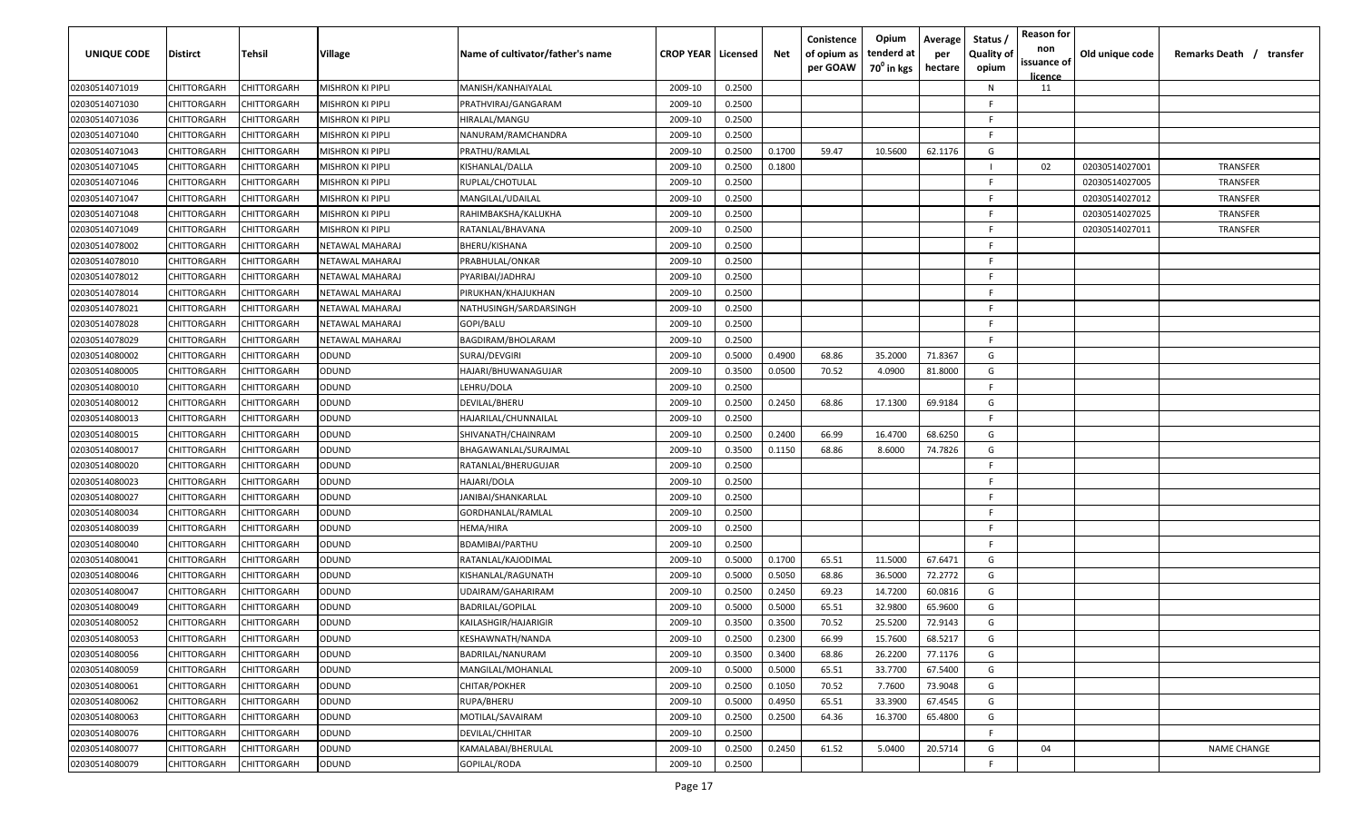| <b>UNIQUE CODE</b> | Distirct           | Tehsil             | Village          | Name of cultivator/father's name | <b>CROP YEAR   Licensed</b> |        | Net    | Conistence<br>of opium as<br>per GOAW | Opium<br>tenderd at<br>70 <sup>0</sup> in kgs | Average<br>per<br>hectare | Status /<br><b>Quality of</b><br>opium | <b>Reason for</b><br>non<br>issuance of<br><u>licence</u> | Old unique code | Remarks Death / transfer |
|--------------------|--------------------|--------------------|------------------|----------------------------------|-----------------------------|--------|--------|---------------------------------------|-----------------------------------------------|---------------------------|----------------------------------------|-----------------------------------------------------------|-----------------|--------------------------|
| 02030514071019     | CHITTORGARH        | CHITTORGARH        | MISHRON KI PIPLI | MANISH/KANHAIYALAL               | 2009-10                     | 0.2500 |        |                                       |                                               |                           | N                                      | 11                                                        |                 |                          |
| 02030514071030     | CHITTORGARH        | CHITTORGARH        | MISHRON KI PIPLI | PRATHVIRAJ/GANGARAM              | 2009-10                     | 0.2500 |        |                                       |                                               |                           | -F.                                    |                                                           |                 |                          |
| 02030514071036     | CHITTORGARH        | CHITTORGARH        | MISHRON KI PIPLI | HIRALAL/MANGU                    | 2009-10                     | 0.2500 |        |                                       |                                               |                           | -F.                                    |                                                           |                 |                          |
| 02030514071040     | CHITTORGARH        | CHITTORGARH        | MISHRON KI PIPLI | NANURAM/RAMCHANDRA               | 2009-10                     | 0.2500 |        |                                       |                                               |                           | -F.                                    |                                                           |                 |                          |
| 02030514071043     | CHITTORGARH        | CHITTORGARH        | MISHRON KI PIPLI | PRATHU/RAMLAL                    | 2009-10                     | 0.2500 | 0.1700 | 59.47                                 | 10.5600                                       | 62.1176                   | G                                      |                                                           |                 |                          |
| 02030514071045     | CHITTORGARH        | CHITTORGARH        | MISHRON KI PIPLI | KISHANLAL/DALLA                  | 2009-10                     | 0.2500 | 0.1800 |                                       |                                               |                           |                                        | 02                                                        | 02030514027001  | TRANSFER                 |
| 02030514071046     | CHITTORGARH        | <b>CHITTORGARH</b> | MISHRON KI PIPLI | RUPLAL/CHOTULAL                  | 2009-10                     | 0.2500 |        |                                       |                                               |                           | -F.                                    |                                                           | 02030514027005  | <b>TRANSFER</b>          |
| 02030514071047     | CHITTORGARH        | CHITTORGARH        | MISHRON KI PIPLI | MANGILAL/UDAILAL                 | 2009-10                     | 0.2500 |        |                                       |                                               |                           | -F.                                    |                                                           | 02030514027012  | TRANSFER                 |
| 02030514071048     | CHITTORGARH        | CHITTORGARH        | MISHRON KI PIPLI | RAHIMBAKSHA/KALUKHA              | 2009-10                     | 0.2500 |        |                                       |                                               |                           | -F.                                    |                                                           | 02030514027025  | TRANSFER                 |
| 02030514071049     | CHITTORGARH        | CHITTORGARH        | MISHRON KI PIPLI | RATANLAL/BHAVANA                 | 2009-10                     | 0.2500 |        |                                       |                                               |                           | F                                      |                                                           | 02030514027011  | TRANSFER                 |
| 02030514078002     | CHITTORGARH        | CHITTORGARH        | NETAWAL MAHARAJ  | BHERU/KISHANA                    | 2009-10                     | 0.2500 |        |                                       |                                               |                           | -F.                                    |                                                           |                 |                          |
| 02030514078010     | CHITTORGARH        | CHITTORGARH        | NETAWAL MAHARAJ  | PRABHULAL/ONKAR                  | 2009-10                     | 0.2500 |        |                                       |                                               |                           | F.                                     |                                                           |                 |                          |
| 02030514078012     | CHITTORGARH        | CHITTORGARH        | NETAWAL MAHARAJ  | PYARIBAI/JADHRAJ                 | 2009-10                     | 0.2500 |        |                                       |                                               |                           | F.                                     |                                                           |                 |                          |
| 02030514078014     | CHITTORGARH        | CHITTORGARH        | NETAWAL MAHARAJ  | PIRUKHAN/KHAJUKHAN               | 2009-10                     | 0.2500 |        |                                       |                                               |                           | F                                      |                                                           |                 |                          |
| 02030514078021     | CHITTORGARH        | CHITTORGARH        | NETAWAL MAHARAJ  | NATHUSINGH/SARDARSINGH           | 2009-10                     | 0.2500 |        |                                       |                                               |                           | -F.                                    |                                                           |                 |                          |
| 02030514078028     | CHITTORGARH        | CHITTORGARH        | NETAWAL MAHARAJ  | GOPI/BALU                        | 2009-10                     | 0.2500 |        |                                       |                                               |                           | -F.                                    |                                                           |                 |                          |
| 02030514078029     | CHITTORGARH        | CHITTORGARH        | NETAWAL MAHARAJ  | BAGDIRAM/BHOLARAM                | 2009-10                     | 0.2500 |        |                                       |                                               |                           | -F.                                    |                                                           |                 |                          |
| 02030514080002     | CHITTORGARH        | CHITTORGARH        | ODUND            | SURAJ/DEVGIRI                    | 2009-10                     | 0.5000 | 0.4900 | 68.86                                 | 35.2000                                       | 71.8367                   | G                                      |                                                           |                 |                          |
| 02030514080005     | CHITTORGARH        | CHITTORGARH        | ODUND            | HAJARI/BHUWANAGUJAR              | 2009-10                     | 0.3500 | 0.0500 | 70.52                                 | 4.0900                                        | 81.8000                   | G                                      |                                                           |                 |                          |
| 02030514080010     | CHITTORGARH        | CHITTORGARH        | ODUND            | LEHRU/DOLA                       | 2009-10                     | 0.2500 |        |                                       |                                               |                           | F.                                     |                                                           |                 |                          |
| 02030514080012     | CHITTORGARH        | CHITTORGARH        | ODUND            | DEVILAL/BHERU                    | 2009-10                     | 0.2500 | 0.2450 | 68.86                                 | 17.1300                                       | 69.9184                   | G                                      |                                                           |                 |                          |
| 02030514080013     | CHITTORGARH        | CHITTORGARH        | ODUND            | HAJARILAL/CHUNNAILAL             | 2009-10                     | 0.2500 |        |                                       |                                               |                           | -F.                                    |                                                           |                 |                          |
| 02030514080015     | CHITTORGARH        | CHITTORGARH        | ODUND            | SHIVANATH/CHAINRAM               | 2009-10                     | 0.2500 | 0.2400 | 66.99                                 | 16.4700                                       | 68.6250                   | G                                      |                                                           |                 |                          |
| 02030514080017     | CHITTORGARH        | CHITTORGARH        | ODUND            | BHAGAWANLAL/SURAJMAL             | 2009-10                     | 0.3500 | 0.1150 | 68.86                                 | 8.6000                                        | 74.7826                   | G                                      |                                                           |                 |                          |
| 02030514080020     | CHITTORGARH        | CHITTORGARH        | ODUND            | RATANLAL/BHERUGUJAR              | 2009-10                     | 0.2500 |        |                                       |                                               |                           | -F                                     |                                                           |                 |                          |
| 02030514080023     | CHITTORGARH        | CHITTORGARH        | ODUND            | HAJARI/DOLA                      | 2009-10                     | 0.2500 |        |                                       |                                               |                           | -F.                                    |                                                           |                 |                          |
| 02030514080027     | CHITTORGARH        | CHITTORGARH        | ODUND            | JANIBAI/SHANKARLAL               | 2009-10                     | 0.2500 |        |                                       |                                               |                           | -F.                                    |                                                           |                 |                          |
| 02030514080034     | CHITTORGARH        | CHITTORGARH        | ODUND            | GORDHANLAL/RAMLAL                | 2009-10                     | 0.2500 |        |                                       |                                               |                           | -F.                                    |                                                           |                 |                          |
| 02030514080039     | CHITTORGARH        | CHITTORGARH        | ODUND            | HEMA/HIRA                        | 2009-10                     | 0.2500 |        |                                       |                                               |                           | -F.                                    |                                                           |                 |                          |
| 02030514080040     | CHITTORGARH        | CHITTORGARH        | ODUND            | <b>BDAMIBAI/PARTHU</b>           | 2009-10                     | 0.2500 |        |                                       |                                               |                           | -F.                                    |                                                           |                 |                          |
| 02030514080041     | CHITTORGARH        | CHITTORGARH        | ODUND            | RATANLAL/KAJODIMAL               | 2009-10                     | 0.5000 | 0.1700 | 65.51                                 | 11.5000                                       | 67.6471                   | G                                      |                                                           |                 |                          |
| 02030514080046     | CHITTORGARH        | CHITTORGARH        | ODUND            | KISHANLAL/RAGUNATH               | 2009-10                     | 0.5000 | 0.5050 | 68.86                                 | 36.5000                                       | 72.2772                   | G                                      |                                                           |                 |                          |
| 02030514080047     | CHITTORGARH        | CHITTORGARH        | ODUND            | UDAIRAM/GAHARIRAM                | 2009-10                     | 0.2500 | 0.2450 | 69.23                                 | 14.7200                                       | 60.0816                   | G                                      |                                                           |                 |                          |
| 02030514080049     | CHITTORGARH        | CHITTORGARH        | ODUND            | <b>BADRILAL/GOPILAL</b>          | 2009-10                     | 0.5000 | 0.5000 | 65.51                                 | 32.9800                                       | 65.9600                   | G                                      |                                                           |                 |                          |
| 02030514080052     | CHITTORGARH        | CHITTORGARH        | ODUND            | KAILASHGIR/HAJARIGIR             | 2009-10                     | 0.3500 | 0.3500 | 70.52                                 | 25.5200                                       | 72.9143                   | G                                      |                                                           |                 |                          |
| 02030514080053     | <b>CHITTORGARH</b> | CHITTORGARH        | <b>ODUND</b>     | KESHAWNATH/NANDA                 | 2009-10                     | 0.2500 | 0.2300 | 66.99                                 | 15.7600                                       | 68.5217                   | G                                      |                                                           |                 |                          |
| 02030514080056     | CHITTORGARH        | CHITTORGARH        | ODUND            | BADRILAL/NANURAM                 | 2009-10                     | 0.3500 | 0.3400 | 68.86                                 | 26.2200                                       | 77.1176                   | G                                      |                                                           |                 |                          |
| 02030514080059     | CHITTORGARH        | CHITTORGARH        | ODUND            | MANGILAL/MOHANLAL                | 2009-10                     | 0.5000 | 0.5000 | 65.51                                 | 33.7700                                       | 67.5400                   | G                                      |                                                           |                 |                          |
| 02030514080061     | <b>CHITTORGARH</b> | CHITTORGARH        | ODUND            | CHITAR/POKHER                    | 2009-10                     | 0.2500 | 0.1050 | 70.52                                 | 7.7600                                        | 73.9048                   | G                                      |                                                           |                 |                          |
| 02030514080062     | CHITTORGARH        | CHITTORGARH        | ODUND            | RUPA/BHERU                       | 2009-10                     | 0.5000 | 0.4950 | 65.51                                 | 33.3900                                       | 67.4545                   | G                                      |                                                           |                 |                          |
| 02030514080063     | CHITTORGARH        | CHITTORGARH        | ODUND            | MOTILAL/SAVAIRAM                 | 2009-10                     | 0.2500 | 0.2500 | 64.36                                 | 16.3700                                       | 65.4800                   | G                                      |                                                           |                 |                          |
| 02030514080076     | CHITTORGARH        | CHITTORGARH        | ODUND            | <b>DEVILAL/CHHITAR</b>           | 2009-10                     | 0.2500 |        |                                       |                                               |                           | F.                                     |                                                           |                 |                          |
| 02030514080077     | CHITTORGARH        | CHITTORGARH        | ODUND            | KAMALABAI/BHERULAL               | 2009-10                     | 0.2500 | 0.2450 | 61.52                                 | 5.0400                                        | 20.5714                   | G                                      | 04                                                        |                 | <b>NAME CHANGE</b>       |
| 02030514080079     | <b>CHITTORGARH</b> | CHITTORGARH        | <b>ODUND</b>     | GOPILAL/RODA                     | 2009-10                     | 0.2500 |        |                                       |                                               |                           | F.                                     |                                                           |                 |                          |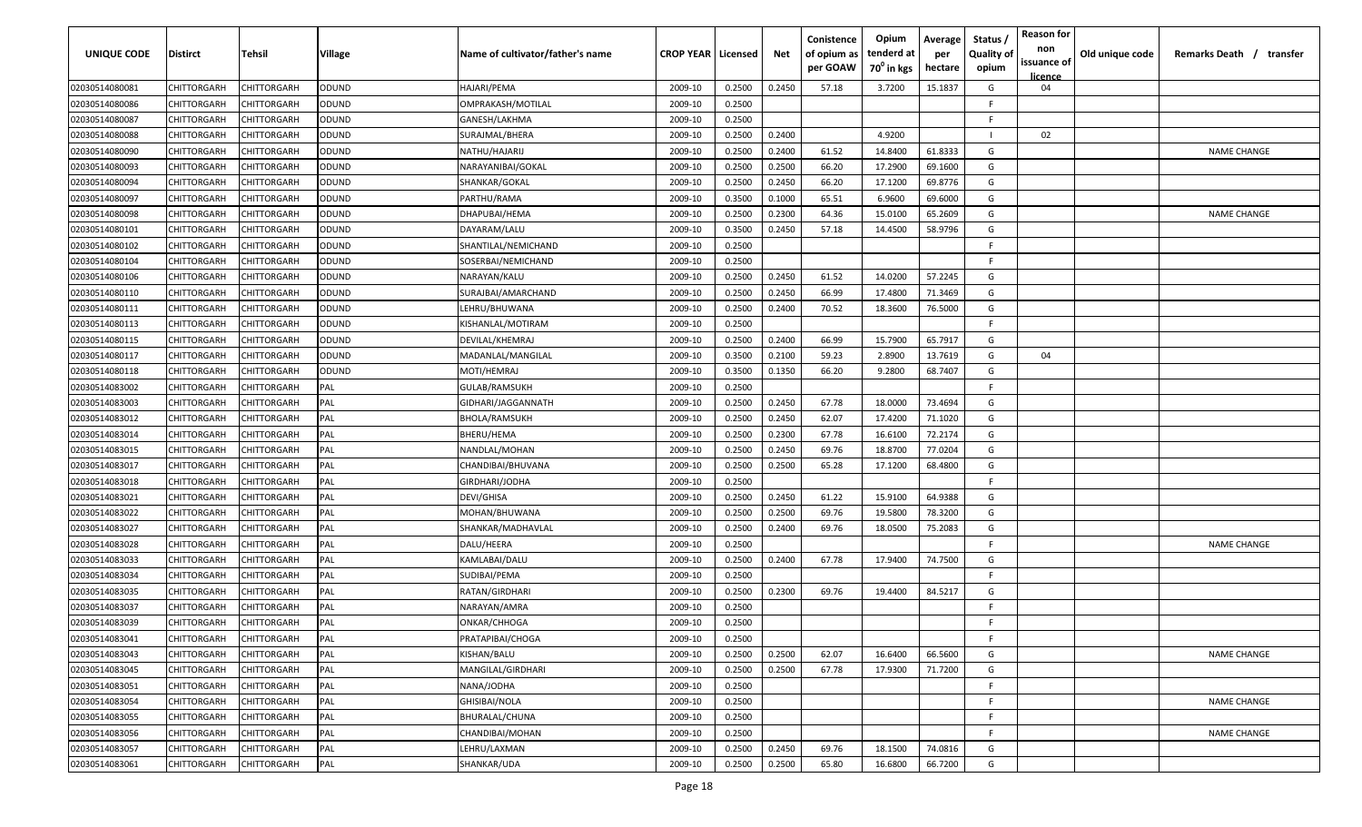| <b>UNIQUE CODE</b> | Distirct           | Tehsil             | Village      | Name of cultivator/father's name | <b>CROP YEAR   Licensed</b> |        | Net    | Conistence<br>of opium as<br>per GOAW | Opium<br>tenderd at<br>70 <sup>o</sup> in kgs | Average<br>per<br>hectare | Status,<br><b>Quality of</b><br>opium | <b>Reason for</b><br>non<br>issuance of<br>licence | Old unique code | Remarks Death / transfer |
|--------------------|--------------------|--------------------|--------------|----------------------------------|-----------------------------|--------|--------|---------------------------------------|-----------------------------------------------|---------------------------|---------------------------------------|----------------------------------------------------|-----------------|--------------------------|
| 02030514080081     | CHITTORGARH        | CHITTORGARH        | ODUND        | HAJARI/PEMA                      | 2009-10                     | 0.2500 | 0.2450 | 57.18                                 | 3.7200                                        | 15.1837                   | G                                     | 04                                                 |                 |                          |
| 02030514080086     | CHITTORGARH        | CHITTORGARH        | ODUND        | OMPRAKASH/MOTILAL                | 2009-10                     | 0.2500 |        |                                       |                                               |                           | F                                     |                                                    |                 |                          |
| 02030514080087     | CHITTORGARH        | CHITTORGARH        | ODUND        | GANESH/LAKHMA                    | 2009-10                     | 0.2500 |        |                                       |                                               |                           | E                                     |                                                    |                 |                          |
| 02030514080088     | CHITTORGARH        | CHITTORGARH        | ODUND        | SURAJMAL/BHERA                   | 2009-10                     | 0.2500 | 0.2400 |                                       | 4.9200                                        |                           |                                       | 02                                                 |                 |                          |
| 02030514080090     | CHITTORGARH        | CHITTORGARH        | ODUND        | NATHU/HAJARIJ                    | 2009-10                     | 0.2500 | 0.2400 | 61.52                                 | 14.8400                                       | 61.8333                   | G                                     |                                                    |                 | <b>NAME CHANGE</b>       |
| 02030514080093     | CHITTORGARH        | CHITTORGARH        | ODUND        | NARAYANIBAI/GOKAL                | 2009-10                     | 0.2500 | 0.2500 | 66.20                                 | 17.2900                                       | 69.1600                   | G                                     |                                                    |                 |                          |
| 02030514080094     | CHITTORGARH        | CHITTORGARH        | ODUND        | SHANKAR/GOKAL                    | 2009-10                     | 0.2500 | 0.2450 | 66.20                                 | 17.1200                                       | 69.8776                   | G                                     |                                                    |                 |                          |
| 02030514080097     | CHITTORGARH        | CHITTORGARH        | ODUND        | PARTHU/RAMA                      | 2009-10                     | 0.3500 | 0.1000 | 65.51                                 | 6.9600                                        | 69.6000                   | G                                     |                                                    |                 |                          |
| 02030514080098     | CHITTORGARH        | CHITTORGARH        | ODUND        | DHAPUBAI/HEMA                    | 2009-10                     | 0.2500 | 0.2300 | 64.36                                 | 15.0100                                       | 65.2609                   | G                                     |                                                    |                 | <b>NAME CHANGE</b>       |
| 02030514080101     | CHITTORGARH        | CHITTORGARH        | ODUND        | DAYARAM/LALU                     | 2009-10                     | 0.3500 | 0.2450 | 57.18                                 | 14.4500                                       | 58.9796                   | G                                     |                                                    |                 |                          |
| 02030514080102     | CHITTORGARH        | CHITTORGARH        | ODUND        | SHANTILAL/NEMICHAND              | 2009-10                     | 0.2500 |        |                                       |                                               |                           | F                                     |                                                    |                 |                          |
| 02030514080104     | CHITTORGARH        | CHITTORGARH        | <b>ONUDC</b> | SOSERBAI/NEMICHAND               | 2009-10                     | 0.2500 |        |                                       |                                               |                           | F                                     |                                                    |                 |                          |
| 02030514080106     | CHITTORGARH        | CHITTORGARH        | ODUND        | NARAYAN/KALU                     | 2009-10                     | 0.2500 | 0.2450 | 61.52                                 | 14.0200                                       | 57.2245                   | G                                     |                                                    |                 |                          |
| 02030514080110     | CHITTORGARH        | CHITTORGARH        | ODUND        | SURAJBAI/AMARCHAND               | 2009-10                     | 0.2500 | 0.2450 | 66.99                                 | 17.4800                                       | 71.3469                   | G                                     |                                                    |                 |                          |
| 02030514080111     | CHITTORGARH        | CHITTORGARH        | ODUND        | LEHRU/BHUWANA                    | 2009-10                     | 0.2500 | 0.2400 | 70.52                                 | 18.3600                                       | 76.5000                   | G                                     |                                                    |                 |                          |
| 02030514080113     | CHITTORGARH        | CHITTORGARH        | ODUND        | KISHANLAL/MOTIRAM                | 2009-10                     | 0.2500 |        |                                       |                                               |                           | F                                     |                                                    |                 |                          |
| 02030514080115     | CHITTORGARH        | CHITTORGARH        | ODUND        | DEVILAL/KHEMRAJ                  | 2009-10                     | 0.2500 | 0.2400 | 66.99                                 | 15.7900                                       | 65.7917                   | G                                     |                                                    |                 |                          |
| 02030514080117     | CHITTORGARH        | CHITTORGARH        | ODUND        | MADANLAL/MANGILAL                | 2009-10                     | 0.3500 | 0.2100 | 59.23                                 | 2.8900                                        | 13.7619                   | G                                     | 04                                                 |                 |                          |
| 02030514080118     | CHITTORGARH        | CHITTORGARH        | ODUND        | MOTI/HEMRAJ                      | 2009-10                     | 0.3500 | 0.1350 | 66.20                                 | 9.2800                                        | 68.7407                   | G                                     |                                                    |                 |                          |
| 02030514083002     | CHITTORGARH        | CHITTORGARH        | PAL          | GULAB/RAMSUKH                    | 2009-10                     | 0.2500 |        |                                       |                                               |                           | E                                     |                                                    |                 |                          |
| 02030514083003     | CHITTORGARH        | CHITTORGARH        | PAL          | GIDHARI/JAGGANNATH               | 2009-10                     | 0.2500 | 0.2450 | 67.78                                 | 18.0000                                       | 73.4694                   | G                                     |                                                    |                 |                          |
| 02030514083012     | CHITTORGARH        | CHITTORGARH        | PAL          | BHOLA/RAMSUKH                    | 2009-10                     | 0.2500 | 0.2450 | 62.07                                 | 17.4200                                       | 71.1020                   | G                                     |                                                    |                 |                          |
| 02030514083014     | CHITTORGARH        | CHITTORGARH        | PAL          | BHERU/HEMA                       | 2009-10                     | 0.2500 | 0.2300 | 67.78                                 | 16.6100                                       | 72.2174                   | G                                     |                                                    |                 |                          |
| 02030514083015     | CHITTORGARH        | CHITTORGARH        | PAL          | NANDLAL/MOHAN                    | 2009-10                     | 0.2500 | 0.2450 | 69.76                                 | 18.8700                                       | 77.0204                   | G                                     |                                                    |                 |                          |
| 02030514083017     | CHITTORGARH        | <b>CHITTORGARH</b> | PAL          | CHANDIBAI/BHUVANA                | 2009-10                     | 0.2500 | 0.2500 | 65.28                                 | 17.1200                                       | 68.4800                   | G                                     |                                                    |                 |                          |
| 02030514083018     | CHITTORGARH        | CHITTORGARH        | PAL          | GIRDHARI/JODHA                   | 2009-10                     | 0.2500 |        |                                       |                                               |                           | E                                     |                                                    |                 |                          |
| 02030514083021     | CHITTORGARH        | CHITTORGARH        | PAL          | DEVI/GHISA                       | 2009-10                     | 0.2500 | 0.2450 | 61.22                                 | 15.9100                                       | 64.9388                   | G                                     |                                                    |                 |                          |
| 02030514083022     | CHITTORGARH        | CHITTORGARH        | PAL          | MOHAN/BHUWANA                    | 2009-10                     | 0.2500 | 0.2500 | 69.76                                 | 19.5800                                       | 78.3200                   | G                                     |                                                    |                 |                          |
| 02030514083027     | CHITTORGARH        | CHITTORGARH        | PAL          | SHANKAR/MADHAVLAL                | 2009-10                     | 0.2500 | 0.2400 | 69.76                                 | 18.0500                                       | 75.2083                   | G                                     |                                                    |                 |                          |
| 02030514083028     | CHITTORGARH        | CHITTORGARH        | PAL          | DALU/HEERA                       | 2009-10                     | 0.2500 |        |                                       |                                               |                           | E                                     |                                                    |                 | <b>NAME CHANGE</b>       |
| 02030514083033     | CHITTORGARH        | CHITTORGARH        | PAL          | KAMLABAI/DALU                    | 2009-10                     | 0.2500 | 0.2400 | 67.78                                 | 17.9400                                       | 74.7500                   | G                                     |                                                    |                 |                          |
| 02030514083034     | CHITTORGARH        | CHITTORGARH        | PAL          | SUDIBAI/PEMA                     | 2009-10                     | 0.2500 |        |                                       |                                               |                           | E                                     |                                                    |                 |                          |
| 02030514083035     | CHITTORGARH        | CHITTORGARH        | PAL          | RATAN/GIRDHARI                   | 2009-10                     | 0.2500 | 0.2300 | 69.76                                 | 19.4400                                       | 84.5217                   | G                                     |                                                    |                 |                          |
| 02030514083037     | CHITTORGARH        | CHITTORGARH        | PAL          | NARAYAN/AMRA                     | 2009-10                     | 0.2500 |        |                                       |                                               |                           | E                                     |                                                    |                 |                          |
| 02030514083039     | <b>CHITTORGARH</b> | CHITTORGARH        | PAL          | ONKAR/CHHOGA                     | 2009-10                     | 0.2500 |        |                                       |                                               |                           | F                                     |                                                    |                 |                          |
| 02030514083041     | CHITTORGARH        | <b>CHITTORGARH</b> | PAL          | PRATAPIBAI/CHOGA                 | 2009-10                     | 0.2500 |        |                                       |                                               |                           | F.                                    |                                                    |                 |                          |
| 02030514083043     | <b>CHITTORGARH</b> | CHITTORGARH        | PAL          | KISHAN/BALU                      | 2009-10                     | 0.2500 | 0.2500 | 62.07                                 | 16.6400                                       | 66.5600                   | G                                     |                                                    |                 | <b>NAME CHANGE</b>       |
| 02030514083045     | CHITTORGARH        | <b>CHITTORGARH</b> | PAL          | MANGILAL/GIRDHARI                | 2009-10                     | 0.2500 | 0.2500 | 67.78                                 | 17.9300                                       | 71.7200                   | G                                     |                                                    |                 |                          |
| 02030514083051     | <b>CHITTORGARH</b> | CHITTORGARH        | PAL          | NANA/JODHA                       | 2009-10                     | 0.2500 |        |                                       |                                               |                           | F.                                    |                                                    |                 |                          |
| 02030514083054     | CHITTORGARH        | CHITTORGARH        | PAL          | GHISIBAI/NOLA                    | 2009-10                     | 0.2500 |        |                                       |                                               |                           | F.                                    |                                                    |                 | <b>NAME CHANGE</b>       |
| 02030514083055     | CHITTORGARH        | CHITTORGARH        | PAL          | BHURALAL/CHUNA                   | 2009-10                     | 0.2500 |        |                                       |                                               |                           | F                                     |                                                    |                 |                          |
| 02030514083056     | CHITTORGARH        | CHITTORGARH        | PAL          | CHANDIBAI/MOHAN                  | 2009-10                     | 0.2500 |        |                                       |                                               |                           | F.                                    |                                                    |                 | <b>NAME CHANGE</b>       |
| 02030514083057     | CHITTORGARH        | CHITTORGARH        | PAL          | LEHRU/LAXMAN                     | 2009-10                     | 0.2500 | 0.2450 | 69.76                                 | 18.1500                                       | 74.0816                   | G                                     |                                                    |                 |                          |
| 02030514083061     | <b>CHITTORGARH</b> | <b>CHITTORGARH</b> | PAL          | SHANKAR/UDA                      | 2009-10                     | 0.2500 | 0.2500 | 65.80                                 | 16.6800                                       | 66.7200                   | G                                     |                                                    |                 |                          |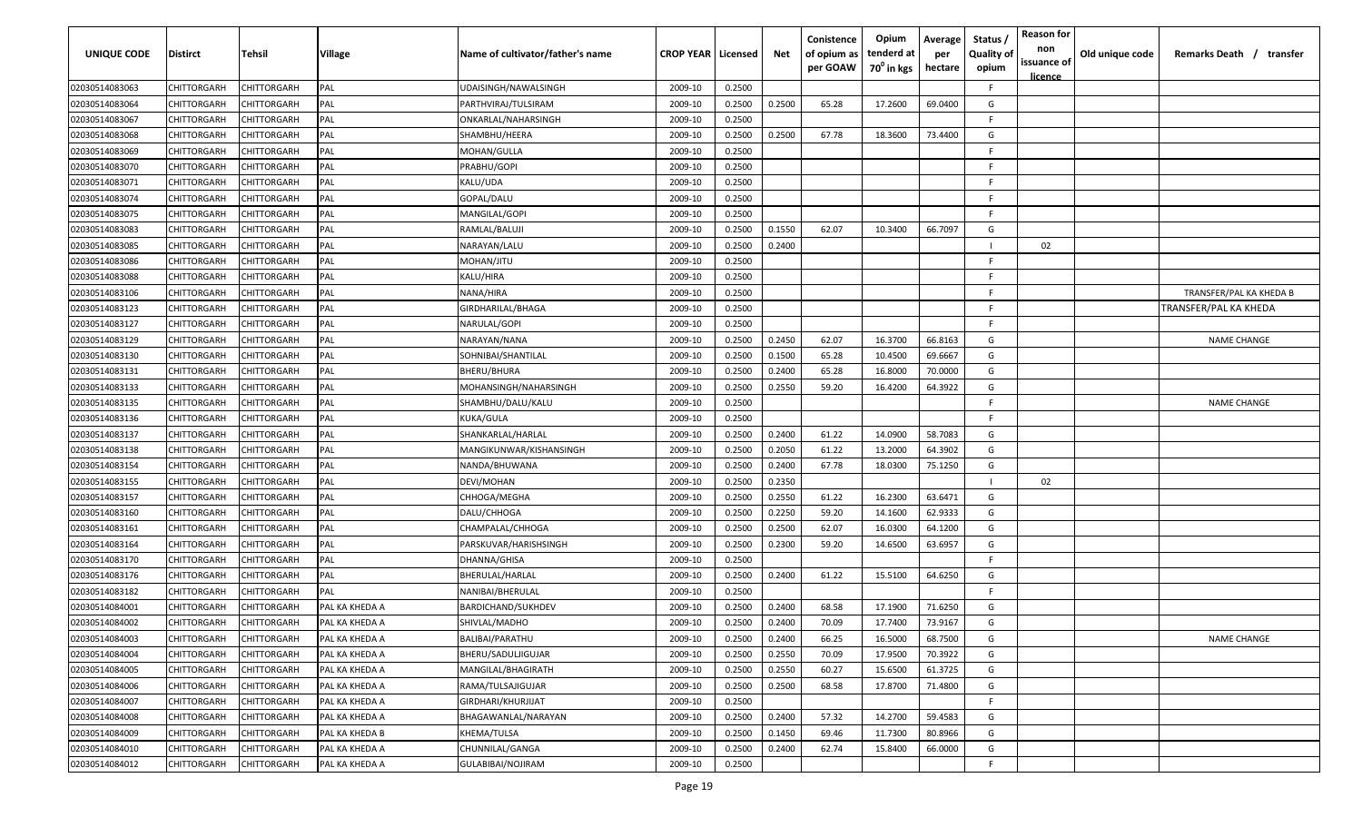| UNIQUE CODE    | <b>Distirct</b>    | Tehsil             | Village        | Name of cultivator/father's name | <b>CROP YEAR   Licensed</b> |        | Net    | Conistence<br>of opium as<br>per GOAW | Opium<br>tenderd at<br>70 <sup>0</sup> in kgs | Average<br>per<br>hectare | Status<br><b>Quality of</b><br>opium | <b>Reason for</b><br>non<br>issuance of<br><u>licence</u> | Old unique code | Remarks Death / transfer |
|----------------|--------------------|--------------------|----------------|----------------------------------|-----------------------------|--------|--------|---------------------------------------|-----------------------------------------------|---------------------------|--------------------------------------|-----------------------------------------------------------|-----------------|--------------------------|
| 02030514083063 | CHITTORGARH        | CHITTORGARH        | PAL            | UDAISINGH/NAWALSINGH             | 2009-10                     | 0.2500 |        |                                       |                                               |                           | F.                                   |                                                           |                 |                          |
| 02030514083064 | <b>CHITTORGARH</b> | CHITTORGARH        | PAL            | PARTHVIRAJ/TULSIRAM              | 2009-10                     | 0.2500 | 0.2500 | 65.28                                 | 17.2600                                       | 69.0400                   | G                                    |                                                           |                 |                          |
| 02030514083067 | <b>CHITTORGARH</b> | CHITTORGARH        | <b>PAL</b>     | ONKARLAL/NAHARSINGH              | 2009-10                     | 0.2500 |        |                                       |                                               |                           | -F                                   |                                                           |                 |                          |
| 02030514083068 | <b>CHITTORGARH</b> | CHITTORGARH        | PAL            | SHAMBHU/HEERA                    | 2009-10                     | 0.2500 | 0.2500 | 67.78                                 | 18.3600                                       | 73.4400                   | G                                    |                                                           |                 |                          |
| 02030514083069 | <b>CHITTORGARH</b> | CHITTORGARH        | PAL            | MOHAN/GULLA                      | 2009-10                     | 0.2500 |        |                                       |                                               |                           | -F.                                  |                                                           |                 |                          |
| 02030514083070 | <b>CHITTORGARH</b> | CHITTORGARH        | PAL            | PRABHU/GOPI                      | 2009-10                     | 0.2500 |        |                                       |                                               |                           | -F.                                  |                                                           |                 |                          |
| 02030514083071 | <b>CHITTORGARH</b> | <b>CHITTORGARH</b> | PAL            | KALU/UDA                         | 2009-10                     | 0.2500 |        |                                       |                                               |                           | -F                                   |                                                           |                 |                          |
| 02030514083074 | <b>CHITTORGARH</b> | CHITTORGARH        | PAL            | GOPAL/DALU                       | 2009-10                     | 0.2500 |        |                                       |                                               |                           | -F.                                  |                                                           |                 |                          |
| 02030514083075 | CHITTORGARH        | CHITTORGARH        | PAL            | MANGILAL/GOPI                    | 2009-10                     | 0.2500 |        |                                       |                                               |                           | -F.                                  |                                                           |                 |                          |
| 02030514083083 | <b>CHITTORGARH</b> | CHITTORGARH        | PAL            | RAMLAL/BALUJI                    | 2009-10                     | 0.2500 | 0.1550 | 62.07                                 | 10.3400                                       | 66.7097                   | G                                    |                                                           |                 |                          |
| 02030514083085 | CHITTORGARH        | CHITTORGARH        | PAL            | NARAYAN/LALU                     | 2009-10                     | 0.2500 | 0.2400 |                                       |                                               |                           | $\blacksquare$                       | 02                                                        |                 |                          |
| 02030514083086 | CHITTORGARH        | CHITTORGARH        | PAL            | MOHAN/JITU                       | 2009-10                     | 0.2500 |        |                                       |                                               |                           | F.                                   |                                                           |                 |                          |
| 02030514083088 | CHITTORGARH        | CHITTORGARH        | PAL            | KALU/HIRA                        | 2009-10                     | 0.2500 |        |                                       |                                               |                           | -F.                                  |                                                           |                 |                          |
| 02030514083106 | CHITTORGARH        | CHITTORGARH        | PAL            | NANA/HIRA                        | 2009-10                     | 0.2500 |        |                                       |                                               |                           | F.                                   |                                                           |                 | TRANSFER/PAL KA KHEDA B  |
| 02030514083123 | <b>CHITTORGARH</b> | CHITTORGARH        | PAL            | GIRDHARILAL/BHAGA                | 2009-10                     | 0.2500 |        |                                       |                                               |                           | -F.                                  |                                                           |                 | TRANSFER/PAL KA KHEDA    |
| 02030514083127 | <b>CHITTORGARH</b> | CHITTORGARH        | <b>PAL</b>     | NARULAL/GOPI                     | 2009-10                     | 0.2500 |        |                                       |                                               |                           | F.                                   |                                                           |                 |                          |
| 02030514083129 | <b>CHITTORGARH</b> | CHITTORGARH        | PAL            | NARAYAN/NANA                     | 2009-10                     | 0.2500 | 0.2450 | 62.07                                 | 16.3700                                       | 66.8163                   | G                                    |                                                           |                 | <b>NAME CHANGE</b>       |
| 02030514083130 | <b>CHITTORGARH</b> | CHITTORGARH        | PAL            | SOHNIBAI/SHANTILAL               | 2009-10                     | 0.2500 | 0.1500 | 65.28                                 | 10.4500                                       | 69.6667                   | G                                    |                                                           |                 |                          |
| 02030514083131 | <b>CHITTORGARH</b> | CHITTORGARH        | PAL            | BHERU/BHURA                      | 2009-10                     | 0.2500 | 0.2400 | 65.28                                 | 16.8000                                       | 70.0000                   | G                                    |                                                           |                 |                          |
| 02030514083133 | <b>CHITTORGARH</b> | CHITTORGARH        | <b>PAL</b>     | MOHANSINGH/NAHARSINGH            | 2009-10                     | 0.2500 | 0.2550 | 59.20                                 | 16.4200                                       | 64.3922                   | G                                    |                                                           |                 |                          |
| 02030514083135 | <b>CHITTORGARH</b> | CHITTORGARH        | PAL            | SHAMBHU/DALU/KALU                | 2009-10                     | 0.2500 |        |                                       |                                               |                           | -F.                                  |                                                           |                 | <b>NAME CHANGE</b>       |
| 02030514083136 | <b>CHITTORGARH</b> | CHITTORGARH        | PAL            | KUKA/GULA                        | 2009-10                     | 0.2500 |        |                                       |                                               |                           | -F.                                  |                                                           |                 |                          |
| 02030514083137 | CHITTORGARH        | CHITTORGARH        | PAL            | SHANKARLAL/HARLAL                | 2009-10                     | 0.2500 | 0.2400 | 61.22                                 | 14.0900                                       | 58.7083                   | G                                    |                                                           |                 |                          |
| 02030514083138 | CHITTORGARH        | CHITTORGARH        | PAL            | MANGIKUNWAR/KISHANSINGH          | 2009-10                     | 0.2500 | 0.2050 | 61.22                                 | 13.2000                                       | 64.3902                   | G                                    |                                                           |                 |                          |
| 02030514083154 | <b>CHITTORGARH</b> | CHITTORGARH        | PAL            | NANDA/BHUWANA                    | 2009-10                     | 0.2500 | 0.2400 | 67.78                                 | 18.0300                                       | 75.1250                   | G                                    |                                                           |                 |                          |
| 02030514083155 | <b>CHITTORGARH</b> | CHITTORGARH        | PAL            | DEVI/MOHAN                       | 2009-10                     | 0.2500 | 0.2350 |                                       |                                               |                           | $\blacksquare$                       | 02                                                        |                 |                          |
| 02030514083157 | <b>CHITTORGARH</b> | CHITTORGARH        | PAL            | CHHOGA/MEGHA                     | 2009-10                     | 0.2500 | 0.2550 | 61.22                                 | 16.2300                                       | 63.6471                   | G                                    |                                                           |                 |                          |
| 02030514083160 | CHITTORGARH        | CHITTORGARH        | PAL            | DALU/CHHOGA                      | 2009-10                     | 0.2500 | 0.2250 | 59.20                                 | 14.1600                                       | 62.9333                   | G                                    |                                                           |                 |                          |
| 02030514083161 | CHITTORGARH        | CHITTORGARH        | PAL            | CHAMPALAL/CHHOGA                 | 2009-10                     | 0.2500 | 0.2500 | 62.07                                 | 16.0300                                       | 64.1200                   | G                                    |                                                           |                 |                          |
| 02030514083164 | <b>CHITTORGARH</b> | CHITTORGARH        | PAL            | PARSKUVAR/HARISHSINGH            | 2009-10                     | 0.2500 | 0.2300 | 59.20                                 | 14.6500                                       | 63.6957                   | G                                    |                                                           |                 |                          |
| 02030514083170 | <b>CHITTORGARH</b> | CHITTORGARH        | PAL            | DHANNA/GHISA                     | 2009-10                     | 0.2500 |        |                                       |                                               |                           | F.                                   |                                                           |                 |                          |
| 02030514083176 | <b>CHITTORGARH</b> | CHITTORGARH        | PAL            | BHERULAL/HARLAL                  | 2009-10                     | 0.2500 | 0.2400 | 61.22                                 | 15.5100                                       | 64.6250                   | G                                    |                                                           |                 |                          |
| 02030514083182 | <b>CHITTORGARH</b> | CHITTORGARH        | PAL            | NANIBAI/BHERULAL                 | 2009-10                     | 0.2500 |        |                                       |                                               |                           | F.                                   |                                                           |                 |                          |
| 02030514084001 | <b>CHITTORGARH</b> | CHITTORGARF        | PAL KA KHEDA A | BARDICHAND/SUKHDEV               | 2009-10                     | 0.2500 | 0.2400 | 68.58                                 | 17.1900                                       | 71.6250                   | G                                    |                                                           |                 |                          |
| 02030514084002 | <b>CHITTORGARH</b> | CHITTORGARH        | PAL KA KHEDA A | SHIVLAL/MADHO                    | 2009-10                     | 0.2500 | 0.2400 | 70.09                                 | 17.7400                                       | 73.9167                   | G                                    |                                                           |                 |                          |
| 02030514084003 | CHITTORGARH        | <b>CHITTORGARH</b> | PAL KA KHEDA A | <b>BALIBAI/PARATHU</b>           | 2009-10                     | 0.2500 | 0.2400 | 66.25                                 | 16.5000                                       | 68.7500                   | G                                    |                                                           |                 | NAME CHANGE              |
| 02030514084004 | CHITTORGARH        | <b>CHITTORGARH</b> | PAL KA KHEDA A | BHERU/SADULJIGUJAR               | 2009-10                     | 0.2500 | 0.2550 | 70.09                                 | 17.9500                                       | 70.3922                   | G                                    |                                                           |                 |                          |
| 02030514084005 | <b>CHITTORGARH</b> | <b>CHITTORGARH</b> | PAL KA KHEDA A | MANGILAL/BHAGIRATH               | 2009-10                     | 0.2500 | 0.2550 | 60.27                                 | 15.6500                                       | 61.3725                   | G                                    |                                                           |                 |                          |
| 02030514084006 | CHITTORGARH        | <b>CHITTORGARH</b> | PAL KA KHEDA A | RAMA/TULSAJIGUJAR                | 2009-10                     | 0.2500 | 0.2500 | 68.58                                 | 17.8700                                       | 71.4800                   | G                                    |                                                           |                 |                          |
| 02030514084007 | <b>CHITTORGARH</b> | CHITTORGARH        | PAL KA KHEDA A | GIRDHARI/KHURJIJAT               | 2009-10                     | 0.2500 |        |                                       |                                               |                           | F.                                   |                                                           |                 |                          |
| 02030514084008 | <b>CHITTORGARH</b> | CHITTORGARH        | PAL KA KHEDA A | BHAGAWANLAL/NARAYAN              | 2009-10                     | 0.2500 | 0.2400 | 57.32                                 | 14.2700                                       | 59.4583                   | G                                    |                                                           |                 |                          |
| 02030514084009 | <b>CHITTORGARH</b> | CHITTORGARH        | PAL KA KHEDA B | KHEMA/TULSA                      | 2009-10                     | 0.2500 | 0.1450 | 69.46                                 | 11.7300                                       | 80.8966                   | G                                    |                                                           |                 |                          |
| 02030514084010 | CHITTORGARH        | CHITTORGARH        | PAL KA KHEDA A | CHUNNILAL/GANGA                  | 2009-10                     | 0.2500 | 0.2400 | 62.74                                 | 15.8400                                       | 66.0000                   | G                                    |                                                           |                 |                          |
| 02030514084012 | CHITTORGARH        | CHITTORGARH        | PAL KA KHEDA A | GULABIBAI/NOJIRAM                | 2009-10                     | 0.2500 |        |                                       |                                               |                           | F.                                   |                                                           |                 |                          |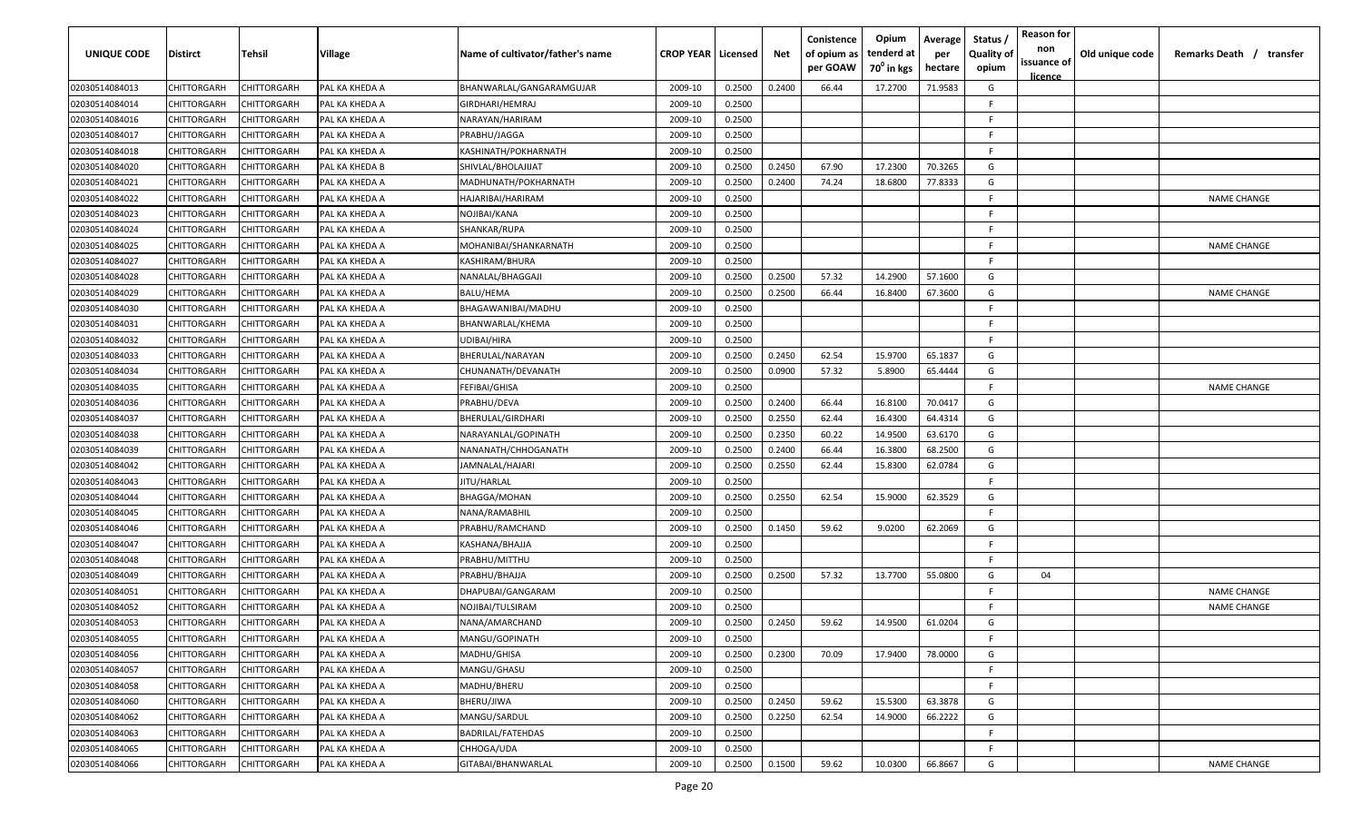| <b>UNIQUE CODE</b> | Distirct           | Tehsil             | Village        | Name of cultivator/father's name | <b>CROP YEAR   Licensed</b> |        | Net    | Conistence<br>of opium as<br>per GOAW | Opium<br>tenderd at<br>70 <sup>°</sup> in kgs | Average<br>per<br>hectare | Status /<br>Quality of<br>opium | <b>Reason for</b><br>non<br>issuance of<br><u>licence</u> | Old unique code | Remarks Death / transfer |
|--------------------|--------------------|--------------------|----------------|----------------------------------|-----------------------------|--------|--------|---------------------------------------|-----------------------------------------------|---------------------------|---------------------------------|-----------------------------------------------------------|-----------------|--------------------------|
| 02030514084013     | CHITTORGARH        | CHITTORGARH        | PAL KA KHEDA A | BHANWARLAL/GANGARAMGUJAR         | 2009-10                     | 0.2500 | 0.2400 | 66.44                                 | 17.2700                                       | 71.9583                   | G                               |                                                           |                 |                          |
| 02030514084014     | CHITTORGARH        | CHITTORGARH        | PAL KA KHEDA A | GIRDHARI/HEMRAJ                  | 2009-10                     | 0.2500 |        |                                       |                                               |                           | E                               |                                                           |                 |                          |
| 02030514084016     | CHITTORGARH        | CHITTORGARH        | PAL KA KHEDA A | NARAYAN/HARIRAM                  | 2009-10                     | 0.2500 |        |                                       |                                               |                           | -F.                             |                                                           |                 |                          |
| 02030514084017     | CHITTORGARH        | CHITTORGARH        | PAL KA KHEDA A | PRABHU/JAGGA                     | 2009-10                     | 0.2500 |        |                                       |                                               |                           | -F.                             |                                                           |                 |                          |
| 02030514084018     | CHITTORGARH        | CHITTORGARH        | PAL KA KHEDA A | KASHINATH/POKHARNATH             | 2009-10                     | 0.2500 |        |                                       |                                               |                           | -F.                             |                                                           |                 |                          |
| 02030514084020     | CHITTORGARH        | CHITTORGARH        | PAL KA KHEDA B | SHIVLAL/BHOLAJIJAT               | 2009-10                     | 0.2500 | 0.2450 | 67.90                                 | 17.2300                                       | 70.3265                   | G                               |                                                           |                 |                          |
| 02030514084021     | <b>CHITTORGARH</b> | <b>CHITTORGARH</b> | PAL KA KHEDA A | MADHUNATH/POKHARNATH             | 2009-10                     | 0.2500 | 0.2400 | 74.24                                 | 18.6800                                       | 77.8333                   | G                               |                                                           |                 |                          |
| 02030514084022     | CHITTORGARH        | CHITTORGARH        | PAL KA KHEDA A | HAJARIBAI/HARIRAM                | 2009-10                     | 0.2500 |        |                                       |                                               |                           | -F.                             |                                                           |                 | <b>NAME CHANGE</b>       |
| 02030514084023     | CHITTORGARH        | CHITTORGARH        | PAL KA KHEDA A | NOJIBAI/KANA                     | 2009-10                     | 0.2500 |        |                                       |                                               |                           | -F.                             |                                                           |                 |                          |
| 02030514084024     | CHITTORGARH        | CHITTORGARH        | PAL KA KHEDA A | SHANKAR/RUPA                     | 2009-10                     | 0.2500 |        |                                       |                                               |                           | F.                              |                                                           |                 |                          |
| 02030514084025     | CHITTORGARH        | CHITTORGARH        | PAL KA KHEDA A | MOHANIBAI/SHANKARNATH            | 2009-10                     | 0.2500 |        |                                       |                                               |                           | -F.                             |                                                           |                 | <b>NAME CHANGE</b>       |
| 02030514084027     | CHITTORGARH        | CHITTORGARH        | PAL KA KHEDA A | KASHIRAM/BHURA                   | 2009-10                     | 0.2500 |        |                                       |                                               |                           | F.                              |                                                           |                 |                          |
| 02030514084028     | CHITTORGARH        | CHITTORGARH        | PAL KA KHEDA A | NANALAL/BHAGGAJI                 | 2009-10                     | 0.2500 | 0.2500 | 57.32                                 | 14.2900                                       | 57.1600                   | G                               |                                                           |                 |                          |
| 02030514084029     | CHITTORGARH        | CHITTORGARH        | PAL KA KHEDA A | BALU/HEMA                        | 2009-10                     | 0.2500 | 0.2500 | 66.44                                 | 16.8400                                       | 67.3600                   | G                               |                                                           |                 | <b>NAME CHANGE</b>       |
| 02030514084030     | CHITTORGARH        | CHITTORGARH        | PAL KA KHEDA A | BHAGAWANIBAI/MADHU               | 2009-10                     | 0.2500 |        |                                       |                                               |                           | -F.                             |                                                           |                 |                          |
| 02030514084031     | CHITTORGARH        | CHITTORGARH        | PAL KA KHEDA A | BHANWARLAL/KHEMA                 | 2009-10                     | 0.2500 |        |                                       |                                               |                           | -F.                             |                                                           |                 |                          |
| 02030514084032     | CHITTORGARH        | CHITTORGARH        | PAL KA KHEDA A | UDIBAI/HIRA                      | 2009-10                     | 0.2500 |        |                                       |                                               |                           | -F.                             |                                                           |                 |                          |
| 02030514084033     | CHITTORGARH        | CHITTORGARH        | PAL KA KHEDA A | BHERULAL/NARAYAN                 | 2009-10                     | 0.2500 | 0.2450 | 62.54                                 | 15.9700                                       | 65.1837                   | G                               |                                                           |                 |                          |
| 02030514084034     | CHITTORGARH        | CHITTORGARH        | PAL KA KHEDA A | CHUNANATH/DEVANATH               | 2009-10                     | 0.2500 | 0.0900 | 57.32                                 | 5.8900                                        | 65.4444                   | G                               |                                                           |                 |                          |
| 02030514084035     | CHITTORGARH        | CHITTORGARH        | PAL KA KHEDA A | FEFIBAI/GHISA                    | 2009-10                     | 0.2500 |        |                                       |                                               |                           | E                               |                                                           |                 | <b>NAME CHANGE</b>       |
| 02030514084036     | CHITTORGARH        | CHITTORGARH        | PAL KA KHEDA A | PRABHU/DEVA                      | 2009-10                     | 0.2500 | 0.2400 | 66.44                                 | 16.8100                                       | 70.0417                   | G                               |                                                           |                 |                          |
| 02030514084037     | CHITTORGARH        | CHITTORGARH        | PAL KA KHEDA A | BHERULAL/GIRDHARI                | 2009-10                     | 0.2500 | 0.2550 | 62.44                                 | 16.4300                                       | 64.4314                   | G                               |                                                           |                 |                          |
| 02030514084038     | CHITTORGARH        | CHITTORGARH        | PAL KA KHEDA A | NARAYANLAL/GOPINATH              | 2009-10                     | 0.2500 | 0.2350 | 60.22                                 | 14.9500                                       | 63.6170                   | G                               |                                                           |                 |                          |
| 02030514084039     | CHITTORGARH        | CHITTORGARH        | PAL KA KHEDA A | NANANATH/CHHOGANATH              | 2009-10                     | 0.2500 | 0.2400 | 66.44                                 | 16.3800                                       | 68.2500                   | G                               |                                                           |                 |                          |
| 02030514084042     | CHITTORGARH        | CHITTORGARH        | PAL KA KHEDA A | JAMNALAL/HAJARI                  | 2009-10                     | 0.2500 | 0.2550 | 62.44                                 | 15.8300                                       | 62.0784                   | G                               |                                                           |                 |                          |
| 02030514084043     | CHITTORGARH        | CHITTORGARH        | PAL KA KHEDA A | JITU/HARLAL                      | 2009-10                     | 0.2500 |        |                                       |                                               |                           | -F.                             |                                                           |                 |                          |
| 02030514084044     | CHITTORGARH        | CHITTORGARH        | PAL KA KHEDA A | BHAGGA/MOHAN                     | 2009-10                     | 0.2500 | 0.2550 | 62.54                                 | 15.9000                                       | 62.3529                   | G                               |                                                           |                 |                          |
| 02030514084045     | CHITTORGARH        | CHITTORGARH        | PAL KA KHEDA A | NANA/RAMABHIL                    | 2009-10                     | 0.2500 |        |                                       |                                               |                           | -F.                             |                                                           |                 |                          |
| 02030514084046     | CHITTORGARH        | CHITTORGARH        | PAL KA KHEDA A | PRABHU/RAMCHAND                  | 2009-10                     | 0.2500 | 0.1450 | 59.62                                 | 9.0200                                        | 62.2069                   | G                               |                                                           |                 |                          |
| 02030514084047     | CHITTORGARH        | CHITTORGARH        | PAL KA KHEDA A | KASHANA/BHAJJA                   | 2009-10                     | 0.2500 |        |                                       |                                               |                           | -F.                             |                                                           |                 |                          |
| 02030514084048     | CHITTORGARH        | CHITTORGARH        | PAL KA KHEDA A | PRABHU/MITTHU                    | 2009-10                     | 0.2500 |        |                                       |                                               |                           | -F.                             |                                                           |                 |                          |
| 02030514084049     | CHITTORGARH        | CHITTORGARH        | PAL KA KHEDA A | PRABHU/BHAJJA                    | 2009-10                     | 0.2500 | 0.2500 | 57.32                                 | 13.7700                                       | 55.0800                   | G                               | 04                                                        |                 |                          |
| 02030514084051     | CHITTORGARH        | CHITTORGARH        | PAL KA KHEDA A | DHAPUBAI/GANGARAM                | 2009-10                     | 0.2500 |        |                                       |                                               |                           | -F.                             |                                                           |                 | <b>NAME CHANGE</b>       |
| 02030514084052     | CHITTORGARH        | CHITTORGARH        | PAL KA KHEDA A | NOJIBAI/TULSIRAM                 | 2009-10                     | 0.2500 |        |                                       |                                               |                           | -F.                             |                                                           |                 | <b>NAME CHANGE</b>       |
| 02030514084053     | <b>CHITTORGARH</b> | CHITTORGARH        | PAL KA KHEDA A | NANA/AMARCHAND                   | 2009-10                     | 0.2500 | 0.2450 | 59.62                                 | 14.9500                                       | 61.0204                   | G                               |                                                           |                 |                          |
| 02030514084055     | <b>CHITTORGARH</b> | CHITTORGARH        | PAL KA KHEDA A | MANGU/GOPINATH                   | 2009-10                     | 0.2500 |        |                                       |                                               |                           | -F.                             |                                                           |                 |                          |
| 02030514084056     | CHITTORGARH        | CHITTORGARH        | PAL KA KHEDA A | MADHU/GHISA                      | 2009-10                     | 0.2500 | 0.2300 | 70.09                                 | 17.9400                                       | 78.0000                   | G                               |                                                           |                 |                          |
| 02030514084057     | <b>CHITTORGARH</b> | CHITTORGARH        | PAL KA KHEDA A | MANGU/GHASU                      | 2009-10                     | 0.2500 |        |                                       |                                               |                           | F.                              |                                                           |                 |                          |
| 02030514084058     | <b>CHITTORGARH</b> | CHITTORGARH        | PAL KA KHEDA A | MADHU/BHERU                      | 2009-10                     | 0.2500 |        |                                       |                                               |                           | F.                              |                                                           |                 |                          |
| 02030514084060     | CHITTORGARH        | CHITTORGARH        | PAL KA KHEDA A | BHERU/JIWA                       | 2009-10                     | 0.2500 | 0.2450 | 59.62                                 | 15.5300                                       | 63.3878                   | G                               |                                                           |                 |                          |
| 02030514084062     | CHITTORGARH        | CHITTORGARH        | PAL KA KHEDA A | MANGU/SARDUL                     | 2009-10                     | 0.2500 | 0.2250 | 62.54                                 | 14.9000                                       | 66.2222                   | G                               |                                                           |                 |                          |
| 02030514084063     | CHITTORGARH        | CHITTORGARH        | PAL KA KHEDA A | <b>BADRILAL/FATEHDAS</b>         | 2009-10                     | 0.2500 |        |                                       |                                               |                           | F.                              |                                                           |                 |                          |
| 02030514084065     | CHITTORGARH        |                    | PAL KA KHEDA A |                                  | 2009-10                     | 0.2500 |        |                                       |                                               |                           | -F.                             |                                                           |                 |                          |
|                    |                    | CHITTORGARH        |                | CHHOGA/UDA                       |                             |        |        |                                       |                                               |                           |                                 |                                                           |                 |                          |
| 02030514084066     | <b>CHITTORGARH</b> | CHITTORGARH        | PAL KA KHEDA A | GITABAI/BHANWARLAL               | 2009-10                     | 0.2500 | 0.1500 | 59.62                                 | 10.0300                                       | 66.8667                   | G                               |                                                           |                 | <b>NAME CHANGE</b>       |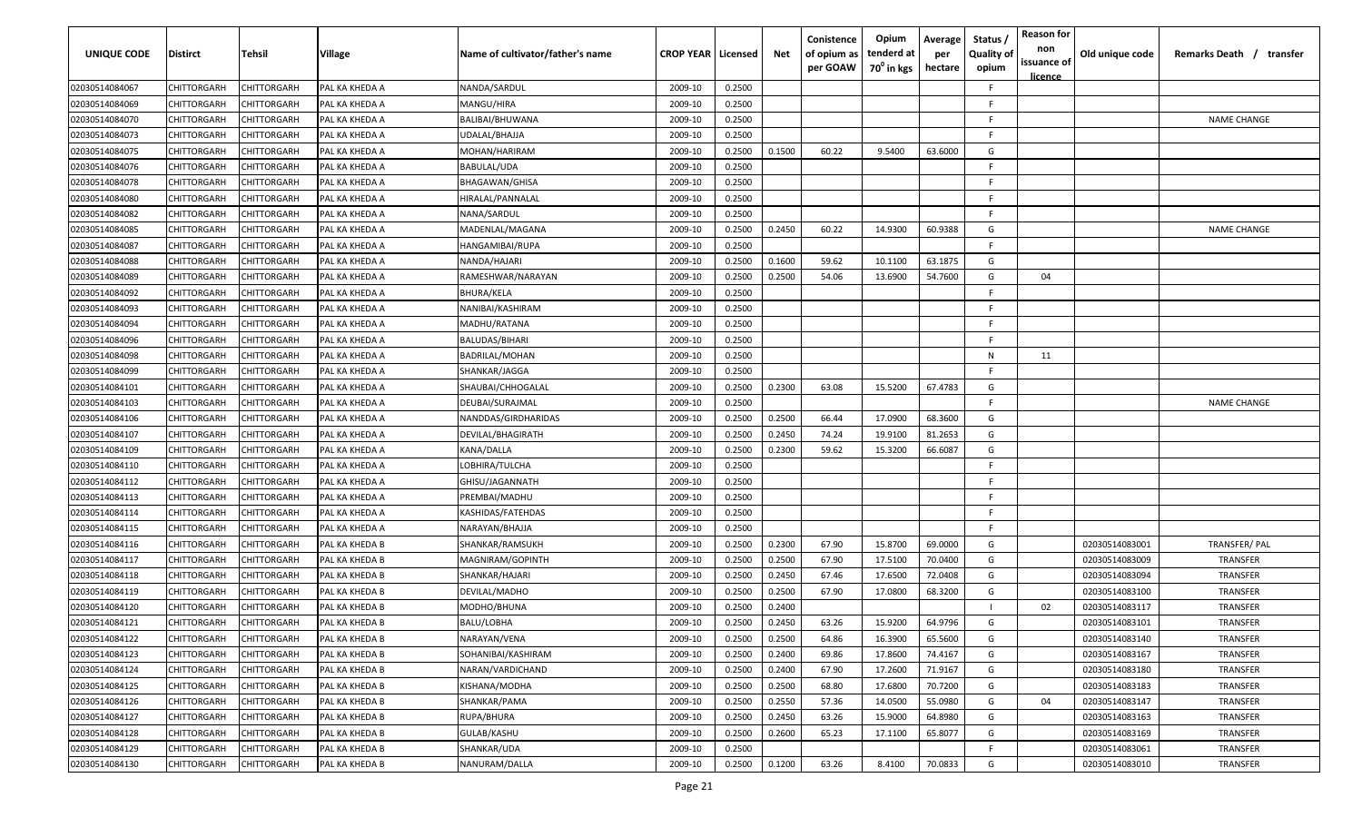| UNIQUE CODE    | <b>Distirct</b>    | Tehsil             | <b>Village</b> | Name of cultivator/father's name | <b>CROP YEAR   Licensed</b> |        | Net    | Conistence<br>of opium as<br>per GOAW | Opium<br>tenderd at<br>$70^0$ in kgs | Average<br>per<br>hectare | Status /<br><b>Quality of</b><br>opium | <b>Reason for</b><br>non<br>issuance of<br>licence | Old unique code | Remarks Death /<br>transfer |
|----------------|--------------------|--------------------|----------------|----------------------------------|-----------------------------|--------|--------|---------------------------------------|--------------------------------------|---------------------------|----------------------------------------|----------------------------------------------------|-----------------|-----------------------------|
| 02030514084067 | CHITTORGARH        | CHITTORGARH        | PAL KA KHEDA A | NANDA/SARDUL                     | 2009-10                     | 0.2500 |        |                                       |                                      |                           | F.                                     |                                                    |                 |                             |
| 02030514084069 | CHITTORGARH        | CHITTORGARH        | PAL KA KHEDA A | MANGU/HIRA                       | 2009-10                     | 0.2500 |        |                                       |                                      |                           | F.                                     |                                                    |                 |                             |
| 02030514084070 | CHITTORGARH        | CHITTORGARH        | PAL KA KHEDA A | BALIBAI/BHUWANA                  | 2009-10                     | 0.2500 |        |                                       |                                      |                           | F.                                     |                                                    |                 | <b>NAME CHANGE</b>          |
| 02030514084073 | CHITTORGARH        | CHITTORGARH        | PAL KA KHEDA A | UDALAL/BHAJJA                    | 2009-10                     | 0.2500 |        |                                       |                                      |                           |                                        |                                                    |                 |                             |
| 02030514084075 | CHITTORGARH        | CHITTORGARH        | PAL KA KHEDA A | MOHAN/HARIRAM                    | 2009-10                     | 0.2500 | 0.1500 | 60.22                                 | 9.5400                               | 63.6000                   | G                                      |                                                    |                 |                             |
| 02030514084076 | CHITTORGARH        | CHITTORGARH        | PAL KA KHEDA A | BABULAL/UDA                      | 2009-10                     | 0.2500 |        |                                       |                                      |                           |                                        |                                                    |                 |                             |
| 02030514084078 | CHITTORGARH        | CHITTORGARH        | PAL KA KHEDA A | <b>BHAGAWAN/GHISA</b>            | 2009-10                     | 0.2500 |        |                                       |                                      |                           |                                        |                                                    |                 |                             |
| 02030514084080 | CHITTORGARH        | CHITTORGARH        | PAL KA KHEDA A | HIRALAL/PANNALAL                 | 2009-10                     | 0.2500 |        |                                       |                                      |                           |                                        |                                                    |                 |                             |
| 02030514084082 | CHITTORGARH        | CHITTORGARH        | PAL KA KHEDA A | NANA/SARDUL                      | 2009-10                     | 0.2500 |        |                                       |                                      |                           | E.                                     |                                                    |                 |                             |
| 02030514084085 | CHITTORGARH        | CHITTORGARH        | PAL KA KHEDA A | MADENLAL/MAGANA                  | 2009-10                     | 0.2500 | 0.2450 | 60.22                                 | 14.9300                              | 60.9388                   | G                                      |                                                    |                 | <b>NAME CHANGE</b>          |
| 02030514084087 | CHITTORGARH        | CHITTORGARH        | PAL KA KHEDA A | HANGAMIBAI/RUPA                  | 2009-10                     | 0.2500 |        |                                       |                                      |                           | F.                                     |                                                    |                 |                             |
| 02030514084088 | CHITTORGARH        | CHITTORGARH        | PAL KA KHEDA A | NANDA/HAJARI                     | 2009-10                     | 0.2500 | 0.1600 | 59.62                                 | 10.1100                              | 63.1875                   | G                                      |                                                    |                 |                             |
| 02030514084089 | CHITTORGARH        | CHITTORGARH        | PAL KA KHEDA A | RAMESHWAR/NARAYAN                | 2009-10                     | 0.2500 | 0.2500 | 54.06                                 | 13.6900                              | 54.7600                   | G                                      | 04                                                 |                 |                             |
| 02030514084092 | CHITTORGARH        | CHITTORGARH        | PAL KA KHEDA A | <b>BHURA/KELA</b>                | 2009-10                     | 0.2500 |        |                                       |                                      |                           |                                        |                                                    |                 |                             |
| 02030514084093 | CHITTORGARH        | CHITTORGARH        | PAL KA KHEDA A | NANIBAI/KASHIRAM                 | 2009-10                     | 0.2500 |        |                                       |                                      |                           |                                        |                                                    |                 |                             |
| 02030514084094 | CHITTORGARH        | CHITTORGARH        | PAL KA KHEDA A | MADHU/RATANA                     | 2009-10                     | 0.2500 |        |                                       |                                      |                           |                                        |                                                    |                 |                             |
| 02030514084096 | CHITTORGARH        | CHITTORGARH        | PAL KA KHEDA A | <b>BALUDAS/BIHARI</b>            | 2009-10                     | 0.2500 |        |                                       |                                      |                           |                                        |                                                    |                 |                             |
| 02030514084098 | CHITTORGARH        | CHITTORGARH        | PAL KA KHEDA A | <b>BADRILAL/MOHAN</b>            | 2009-10                     | 0.2500 |        |                                       |                                      |                           | N                                      | 11                                                 |                 |                             |
| 02030514084099 | CHITTORGARH        | CHITTORGARH        | PAL KA KHEDA A | SHANKAR/JAGGA                    | 2009-10                     | 0.2500 |        |                                       |                                      |                           | F.                                     |                                                    |                 |                             |
| 02030514084101 | CHITTORGARH        | CHITTORGARH        | PAL KA KHEDA A | SHAUBAI/CHHOGALAL                | 2009-10                     | 0.2500 | 0.2300 | 63.08                                 | 15.5200                              | 67.4783                   | G                                      |                                                    |                 |                             |
| 02030514084103 | CHITTORGARH        | CHITTORGARH        | PAL KA KHEDA A | DEUBAI/SURAJMAL                  | 2009-10                     | 0.2500 |        |                                       |                                      |                           |                                        |                                                    |                 | <b>NAME CHANGE</b>          |
| 02030514084106 | CHITTORGARH        | CHITTORGARH        | PAL KA KHEDA A | NANDDAS/GIRDHARIDAS              | 2009-10                     | 0.2500 | 0.2500 | 66.44                                 | 17.0900                              | 68.3600                   | G                                      |                                                    |                 |                             |
| 02030514084107 | <b>CHITTORGARH</b> | CHITTORGARH        | PAL KA KHEDA A | DEVILAL/BHAGIRATH                | 2009-10                     | 0.2500 | 0.2450 | 74.24                                 | 19.9100                              | 81.2653                   | G                                      |                                                    |                 |                             |
| 02030514084109 | <b>CHITTORGARH</b> | CHITTORGARH        | PAL KA KHEDA A | KANA/DALLA                       | 2009-10                     | 0.2500 | 0.2300 | 59.62                                 | 15.3200                              | 66.6087                   | G                                      |                                                    |                 |                             |
| 02030514084110 | CHITTORGARH        | CHITTORGARH        | PAL KA KHEDA A | LOBHIRA/TULCHA                   | 2009-10                     | 0.2500 |        |                                       |                                      |                           |                                        |                                                    |                 |                             |
| 02030514084112 | CHITTORGARH        | CHITTORGARH        | PAL KA KHEDA A | GHISU/JAGANNATH                  | 2009-10                     | 0.2500 |        |                                       |                                      |                           | F.                                     |                                                    |                 |                             |
| 02030514084113 | CHITTORGARH        | CHITTORGARH        | PAL KA KHEDA A | PREMBAI/MADHU                    | 2009-10                     | 0.2500 |        |                                       |                                      |                           | F.                                     |                                                    |                 |                             |
| 02030514084114 | CHITTORGARH        | CHITTORGARH        | PAL KA KHEDA A | KASHIDAS/FATEHDAS                | 2009-10                     | 0.2500 |        |                                       |                                      |                           | F.                                     |                                                    |                 |                             |
| 02030514084115 | CHITTORGARH        | CHITTORGARH        | PAL KA KHEDA A | NARAYAN/BHAJJA                   | 2009-10                     | 0.2500 |        |                                       |                                      |                           | F.                                     |                                                    |                 |                             |
| 02030514084116 | CHITTORGARH        | CHITTORGARH        | PAL KA KHEDA B | SHANKAR/RAMSUKH                  | 2009-10                     | 0.2500 | 0.2300 | 67.90                                 | 15.8700                              | 69.0000                   | G                                      |                                                    | 02030514083001  | TRANSFER/ PAL               |
| 02030514084117 | CHITTORGARH        | CHITTORGARH        | PAL KA KHEDA B | MAGNIRAM/GOPINTH                 | 2009-10                     | 0.2500 | 0.2500 | 67.90                                 | 17.5100                              | 70.0400                   | G                                      |                                                    | 02030514083009  | <b>TRANSFER</b>             |
| 02030514084118 | CHITTORGARH        | CHITTORGARH        | PAL KA KHEDA B | SHANKAR/HAJARI                   | 2009-10                     | 0.2500 | 0.2450 | 67.46                                 | 17.6500                              | 72.0408                   | G                                      |                                                    | 02030514083094  | TRANSFER                    |
| 02030514084119 | CHITTORGARH        | CHITTORGARH        | PAL KA KHEDA B | DEVILAL/MADHO                    | 2009-10                     | 0.2500 | 0.2500 | 67.90                                 | 17.0800                              | 68.3200                   | G                                      |                                                    | 02030514083100  | TRANSFER                    |
| 02030514084120 | CHITTORGARH        | CHITTORGARH        | PAL KA KHEDA B | MODHO/BHUNA                      | 2009-10                     | 0.2500 | 0.2400 |                                       |                                      |                           |                                        | 02                                                 | 02030514083117  | <b>TRANSFER</b>             |
| 02030514084121 | CHITTORGARH        | CHITTORGARH        | PAL KA KHEDA B | BALU/LOBHA                       | 2009-10                     | 0.2500 | 0.2450 | 63.26                                 | 15.9200                              | 64.9796                   | G                                      |                                                    | 02030514083101  | <b>TRANSFER</b>             |
| 02030514084122 | CHITTORGARH        | <b>CHITTORGARH</b> | PAL KA KHEDA B | NARAYAN/VENA                     | 2009-10                     | 0.2500 | 0.2500 | 64.86                                 | 16.3900                              | 65.5600                   | G                                      |                                                    | 02030514083140  | TRANSFER                    |
| 02030514084123 | CHITTORGARH        | CHITTORGARH        | PAL KA KHEDA B | SOHANIBAI/KASHIRAM               | 2009-10                     | 0.2500 | 0.2400 | 69.86                                 | 17.8600                              | 74.4167                   | G                                      |                                                    | 02030514083167  | TRANSFER                    |
| 02030514084124 | CHITTORGARH        | CHITTORGARH        | PAL KA KHEDA B | NARAN/VARDICHAND                 | 2009-10                     | 0.2500 | 0.2400 | 67.90                                 | 17.2600                              | 71.9167                   | G                                      |                                                    | 02030514083180  | TRANSFER                    |
| 02030514084125 | CHITTORGARH        | CHITTORGARH        | PAL KA KHEDA B | KISHANA/MODHA                    | 2009-10                     | 0.2500 | 0.2500 | 68.80                                 | 17.6800                              | 70.7200                   | G                                      |                                                    | 02030514083183  | TRANSFER                    |
| 02030514084126 | CHITTORGARH        | CHITTORGARH        | PAL KA KHEDA B | SHANKAR/PAMA                     | 2009-10                     | 0.2500 | 0.2550 | 57.36                                 | 14.0500                              | 55.0980                   | G                                      | 04                                                 | 02030514083147  | <b>TRANSFER</b>             |
| 02030514084127 | CHITTORGARH        | CHITTORGARH        | PAL KA KHEDA B | RUPA/BHURA                       | 2009-10                     | 0.2500 | 0.2450 | 63.26                                 | 15.9000                              | 64.8980                   | G                                      |                                                    | 02030514083163  | TRANSFER                    |
| 02030514084128 | CHITTORGARH        | CHITTORGARH        | PAL KA KHEDA B | GULAB/KASHU                      | 2009-10                     | 0.2500 | 0.2600 | 65.23                                 | 17.1100                              | 65.8077                   | G                                      |                                                    | 02030514083169  | TRANSFER                    |
| 02030514084129 | CHITTORGARH        | CHITTORGARH        | PAL KA KHEDA B | SHANKAR/UDA                      | 2009-10                     | 0.2500 |        |                                       |                                      |                           | F.                                     |                                                    | 02030514083061  | TRANSFER                    |
| 02030514084130 | CHITTORGARH        | CHITTORGARH        | PAL KA KHEDA B | NANURAM/DALLA                    | 2009-10                     | 0.2500 | 0.1200 | 63.26                                 | 8.4100                               | 70.0833                   | G                                      |                                                    | 02030514083010  | TRANSFER                    |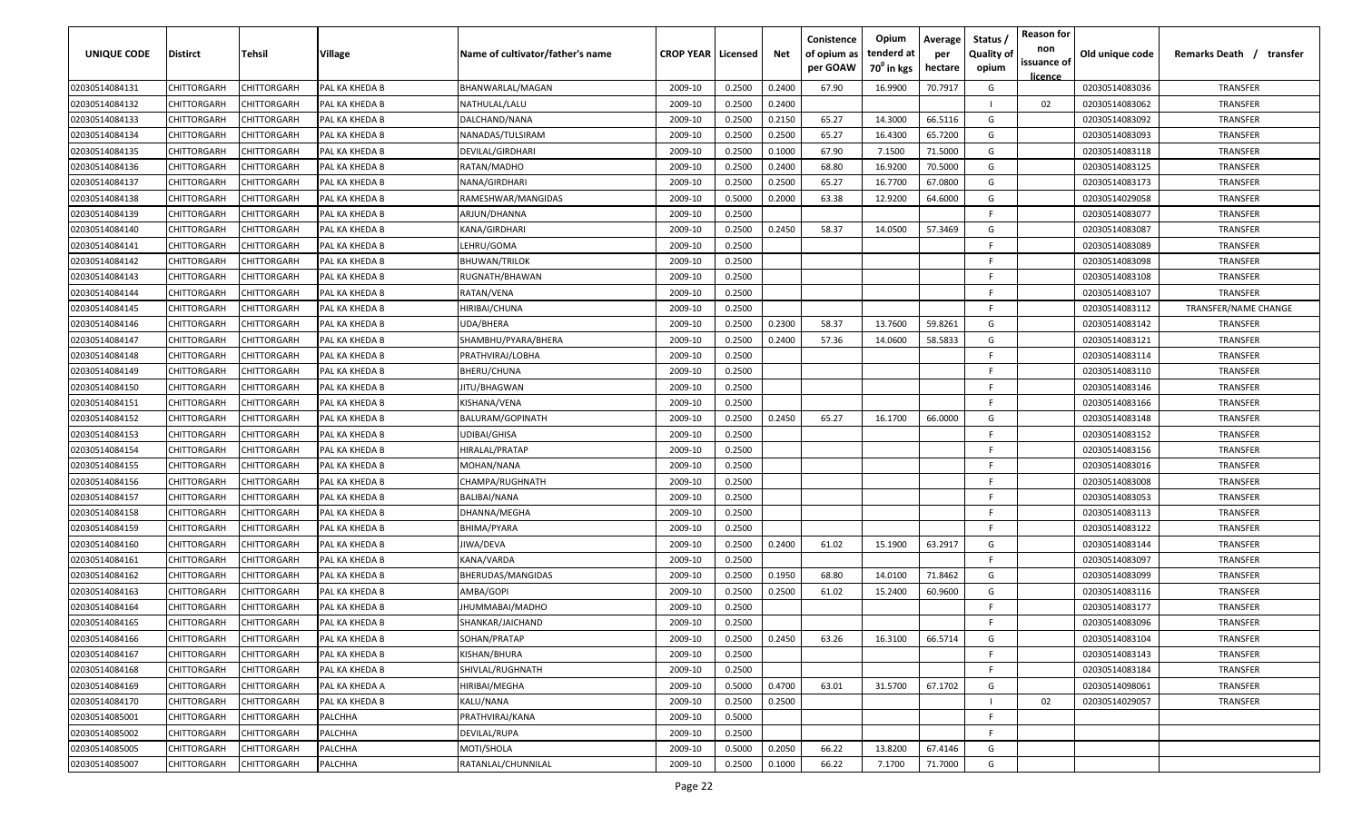| UNIQUE CODE    | <b>Distirct</b>    | Tehsil             | Village        | Name of cultivator/father's name | <b>CROP YEAR   Licensed</b> |        | Net    | Conistence<br>of opium as<br>per GOAW | Opium<br>tenderd at<br>70 <sup>0</sup> in kgs | Average<br>per<br>hectare | Status /<br><b>Quality of</b><br>opium | <b>Reason for</b><br>non<br>issuance of<br>licence | Old unique code | Remarks Death /<br>transfer |
|----------------|--------------------|--------------------|----------------|----------------------------------|-----------------------------|--------|--------|---------------------------------------|-----------------------------------------------|---------------------------|----------------------------------------|----------------------------------------------------|-----------------|-----------------------------|
| 02030514084131 | CHITTORGARH        | CHITTORGARH        | PAL KA KHEDA B | BHANWARLAL/MAGAN                 | 2009-10                     | 0.2500 | 0.2400 | 67.90                                 | 16.9900                                       | 70.7917                   | G                                      |                                                    | 02030514083036  | TRANSFER                    |
| 02030514084132 | CHITTORGARH        | CHITTORGARH        | PAL KA KHEDA B | NATHULAL/LALU                    | 2009-10                     | 0.2500 | 0.2400 |                                       |                                               |                           |                                        | 02                                                 | 02030514083062  | <b>TRANSFER</b>             |
| 02030514084133 | CHITTORGARH        | CHITTORGARH        | PAL KA KHEDA B | DALCHAND/NANA                    | 2009-10                     | 0.2500 | 0.2150 | 65.27                                 | 14.3000                                       | 66.5116                   | G                                      |                                                    | 02030514083092  | <b>TRANSFER</b>             |
| 02030514084134 | <b>CHITTORGARH</b> | CHITTORGARH        | PAL KA KHEDA B | NANADAS/TULSIRAM                 | 2009-10                     | 0.2500 | 0.2500 | 65.27                                 | 16.4300                                       | 65.7200                   | G                                      |                                                    | 02030514083093  | <b>TRANSFER</b>             |
| 02030514084135 | CHITTORGARH        | CHITTORGARH        | PAL KA KHEDA B | DEVILAL/GIRDHARI                 | 2009-10                     | 0.2500 | 0.1000 | 67.90                                 | 7.1500                                        | 71.5000                   | G                                      |                                                    | 02030514083118  | TRANSFER                    |
| 02030514084136 | CHITTORGARH        | CHITTORGARH        | PAL KA KHEDA B | RATAN/MADHO                      | 2009-10                     | 0.2500 | 0.2400 | 68.80                                 | 16.9200                                       | 70.5000                   | G                                      |                                                    | 02030514083125  | TRANSFER                    |
| 02030514084137 | CHITTORGARH        | CHITTORGARF        | PAL KA KHEDA B | NANA/GIRDHARI                    | 2009-10                     | 0.2500 | 0.2500 | 65.27                                 | 16.7700                                       | 67.0800                   | G                                      |                                                    | 02030514083173  | TRANSFER                    |
| 02030514084138 | CHITTORGARH        | <b>CHITTORGARF</b> | PAL KA KHEDA B | RAMESHWAR/MANGIDAS               | 2009-10                     | 0.5000 | 0.2000 | 63.38                                 | 12.9200                                       | 64.6000                   | G                                      |                                                    | 02030514029058  | TRANSFER                    |
| 02030514084139 | CHITTORGARH        | CHITTORGARH        | PAL KA KHEDA B | ARJUN/DHANNA                     | 2009-10                     | 0.2500 |        |                                       |                                               |                           | F.                                     |                                                    | 02030514083077  | TRANSFER                    |
| 02030514084140 | CHITTORGARH        | CHITTORGARH        | PAL KA KHEDA B | KANA/GIRDHARI                    | 2009-10                     | 0.2500 | 0.2450 | 58.37                                 | 14.0500                                       | 57.3469                   | G                                      |                                                    | 02030514083087  | <b>TRANSFER</b>             |
| 02030514084141 | CHITTORGARH        | CHITTORGARH        | PAL KA KHEDA B | LEHRU/GOMA                       | 2009-10                     | 0.2500 |        |                                       |                                               |                           | F.                                     |                                                    | 02030514083089  | <b>TRANSFER</b>             |
| 02030514084142 | CHITTORGARH        | :HITTORGARH        | PAL KA KHEDA B | BHUWAN/TRILOK                    | 2009-10                     | 0.2500 |        |                                       |                                               |                           | F.                                     |                                                    | 02030514083098  | <b>TRANSFER</b>             |
| 02030514084143 | CHITTORGARH        | CHITTORGARH        | PAL KA KHEDA B | RUGNATH/BHAWAN                   | 2009-10                     | 0.2500 |        |                                       |                                               |                           | F.                                     |                                                    | 02030514083108  | TRANSFER                    |
| 02030514084144 | CHITTORGARH        | CHITTORGARH        | PAL KA KHEDA B | RATAN/VENA                       | 2009-10                     | 0.2500 |        |                                       |                                               |                           | F.                                     |                                                    | 02030514083107  | TRANSFER                    |
| 02030514084145 | CHITTORGARH        | CHITTORGARH        | PAL KA KHEDA B | HIRIBAI/CHUNA                    | 2009-10                     | 0.2500 |        |                                       |                                               |                           | F.                                     |                                                    | 02030514083112  | TRANSFER/NAME CHANGE        |
| 02030514084146 | CHITTORGARH        | CHITTORGARH        | PAL KA KHEDA B | JDA/BHERA                        | 2009-10                     | 0.2500 | 0.2300 | 58.37                                 | 13.7600                                       | 59.8261                   | G                                      |                                                    | 02030514083142  | <b>TRANSFER</b>             |
| 02030514084147 | CHITTORGARH        | CHITTORGARF        | PAL KA KHEDA B | SHAMBHU/PYARA/BHERA              | 2009-10                     | 0.2500 | 0.2400 | 57.36                                 | 14.0600                                       | 58.5833                   | G                                      |                                                    | 02030514083121  | TRANSFER                    |
| 02030514084148 | CHITTORGARH        | CHITTORGARH        | PAL KA KHEDA B | PRATHVIRAJ/LOBHA                 | 2009-10                     | 0.2500 |        |                                       |                                               |                           | F.                                     |                                                    | 02030514083114  | TRANSFER                    |
| 02030514084149 | CHITTORGARH        | CHITTORGARH        | PAL KA KHEDA B | BHERU/CHUNA                      | 2009-10                     | 0.2500 |        |                                       |                                               |                           | F.                                     |                                                    | 02030514083110  | TRANSFER                    |
| 02030514084150 | CHITTORGARH        | CHITTORGARH        | PAL KA KHEDA B | JITU/BHAGWAN                     | 2009-10                     | 0.2500 |        |                                       |                                               |                           | F.                                     |                                                    | 02030514083146  | <b>TRANSFER</b>             |
| 02030514084151 | CHITTORGARH        | <b>CHITTORGARF</b> | PAL KA KHEDA B | KISHANA/VENA                     | 2009-10                     | 0.2500 |        |                                       |                                               |                           | F.                                     |                                                    | 02030514083166  | TRANSFER                    |
| 02030514084152 | CHITTORGARH        | CHITTORGARH        | PAL KA KHEDA B | BALURAM/GOPINATH                 | 2009-10                     | 0.2500 | 0.2450 | 65.27                                 | 16.1700                                       | 66.0000                   | G                                      |                                                    | 02030514083148  | TRANSFER                    |
| 02030514084153 | CHITTORGARH        | CHITTORGARH        | PAL KA KHEDA B | UDIBAI/GHISA                     | 2009-10                     | 0.2500 |        |                                       |                                               |                           | F.                                     |                                                    | 02030514083152  | TRANSFER                    |
| 02030514084154 | CHITTORGARH        | CHITTORGARH        | PAL KA KHEDA B | <b>HIRALAL/PRATAP</b>            | 2009-10                     | 0.2500 |        |                                       |                                               |                           |                                        |                                                    | 02030514083156  | TRANSFER                    |
| 02030514084155 | CHITTORGARH        | <b>CHITTORGARF</b> | PAL KA KHEDA B | MOHAN/NANA                       | 2009-10                     | 0.2500 |        |                                       |                                               |                           |                                        |                                                    | 02030514083016  | TRANSFER                    |
| 02030514084156 | CHITTORGARH        | CHITTORGARH        | PAL KA KHEDA B | CHAMPA/RUGHNATH                  | 2009-10                     | 0.2500 |        |                                       |                                               |                           |                                        |                                                    | 02030514083008  | TRANSFER                    |
| 02030514084157 | CHITTORGARH        | CHITTORGARH        | PAL KA KHEDA B | BALIBAI/NANA                     | 2009-10                     | 0.2500 |        |                                       |                                               |                           | F.                                     |                                                    | 02030514083053  | <b>TRANSFER</b>             |
| 02030514084158 | CHITTORGARH        | CHITTORGARH        | PAL KA KHEDA B | DHANNA/MEGHA                     | 2009-10                     | 0.2500 |        |                                       |                                               |                           | F.                                     |                                                    | 02030514083113  | <b>TRANSFER</b>             |
| 02030514084159 | CHITTORGARH        | CHITTORGARH        | PAL KA KHEDA B | BHIMA/PYARA                      | 2009-10                     | 0.2500 |        |                                       |                                               |                           | E                                      |                                                    | 02030514083122  | TRANSFER                    |
| 02030514084160 | CHITTORGARH        | CHITTORGARH        | PAL KA KHEDA B | IIWA/DEVA                        | 2009-10                     | 0.2500 | 0.2400 | 61.02                                 | 15.1900                                       | 63.2917                   | G                                      |                                                    | 02030514083144  | TRANSFER                    |
| 02030514084161 | CHITTORGARH        | CHITTORGARH        | PAL KA KHEDA B | KANA/VARDA                       | 2009-10                     | 0.2500 |        |                                       |                                               |                           | F.                                     |                                                    | 02030514083097  | TRANSFER                    |
| 02030514084162 | CHITTORGARH        | CHITTORGARH        | PAL KA KHEDA B | BHERUDAS/MANGIDAS                | 2009-10                     | 0.2500 | 0.1950 | 68.80                                 | 14.0100                                       | 71.8462                   | G                                      |                                                    | 02030514083099  | TRANSFER                    |
| 02030514084163 | CHITTORGARH        | CHITTORGARH        | PAL KA KHEDA B | AMBA/GOPI                        | 2009-10                     | 0.2500 | 0.2500 | 61.02                                 | 15.2400                                       | 60.9600                   | G                                      |                                                    | 02030514083116  | TRANSFER                    |
| 02030514084164 | <b>CHITTORGARH</b> | CHITTORGARH        | PAL KA KHEDA B | JHUMMABAI/MADHO                  | 2009-10                     | 0.2500 |        |                                       |                                               |                           | F.                                     |                                                    | 02030514083177  | TRANSFER                    |
| 02030514084165 | <b>CHITTORGARH</b> | CHITTORGARH        | PAL KA KHEDA B | SHANKAR/JAICHAND                 | 2009-10                     | 0.2500 |        |                                       |                                               |                           |                                        |                                                    | 02030514083096  | <b>TRANSFER</b>             |
| 02030514084166 | CHITTORGARH        | CHITTORGARH        | PAL KA KHEDA B | SOHAN/PRATAP                     | 2009-10                     | 0.2500 | 0.2450 | 63.26                                 | 16.3100                                       | 66.5714                   | G                                      |                                                    | 02030514083104  | TRANSFER                    |
| 02030514084167 | <b>CHITTORGARH</b> | CHITTORGARH        | PAL KA KHEDA B | KISHAN/BHURA                     | 2009-10                     | 0.2500 |        |                                       |                                               |                           | E                                      |                                                    | 02030514083143  | TRANSFER                    |
| 02030514084168 | CHITTORGARH        | CHITTORGARH        | PAL KA KHEDA B | SHIVLAL/RUGHNATH                 | 2009-10                     | 0.2500 |        |                                       |                                               |                           | F                                      |                                                    | 02030514083184  | TRANSFER                    |
| 02030514084169 | CHITTORGARH        | CHITTORGARH        | PAL KA KHEDA A | HIRIBAI/MEGHA                    | 2009-10                     | 0.5000 | 0.4700 | 63.01                                 | 31.5700                                       | 67.1702                   | G                                      |                                                    | 02030514098061  | TRANSFER                    |
| 02030514084170 | CHITTORGARH        | CHITTORGARH        | PAL KA KHEDA B | KALU/NANA                        | 2009-10                     | 0.2500 | 0.2500 |                                       |                                               |                           |                                        | 02                                                 | 02030514029057  | TRANSFER                    |
| 02030514085001 | CHITTORGARH        | CHITTORGARH        | <b>PALCHHA</b> | PRATHVIRAJ/KANA                  | 2009-10                     | 0.5000 |        |                                       |                                               |                           | F.                                     |                                                    |                 |                             |
| 02030514085002 | CHITTORGARH        | CHITTORGARH        | <b>PALCHHA</b> | DEVILAL/RUPA                     | 2009-10                     | 0.2500 |        |                                       |                                               |                           | F.                                     |                                                    |                 |                             |
| 02030514085005 | CHITTORGARH        | CHITTORGARH        | <b>PALCHHA</b> | MOTI/SHOLA                       | 2009-10                     | 0.5000 | 0.2050 | 66.22                                 | 13.8200                                       | 67.4146                   | G                                      |                                                    |                 |                             |
| 02030514085007 | <b>CHITTORGARH</b> | CHITTORGARH        | <b>PALCHHA</b> | RATANLAL/CHUNNILAL               | 2009-10                     | 0.2500 | 0.1000 | 66.22                                 | 7.1700                                        | 71.7000                   | G                                      |                                                    |                 |                             |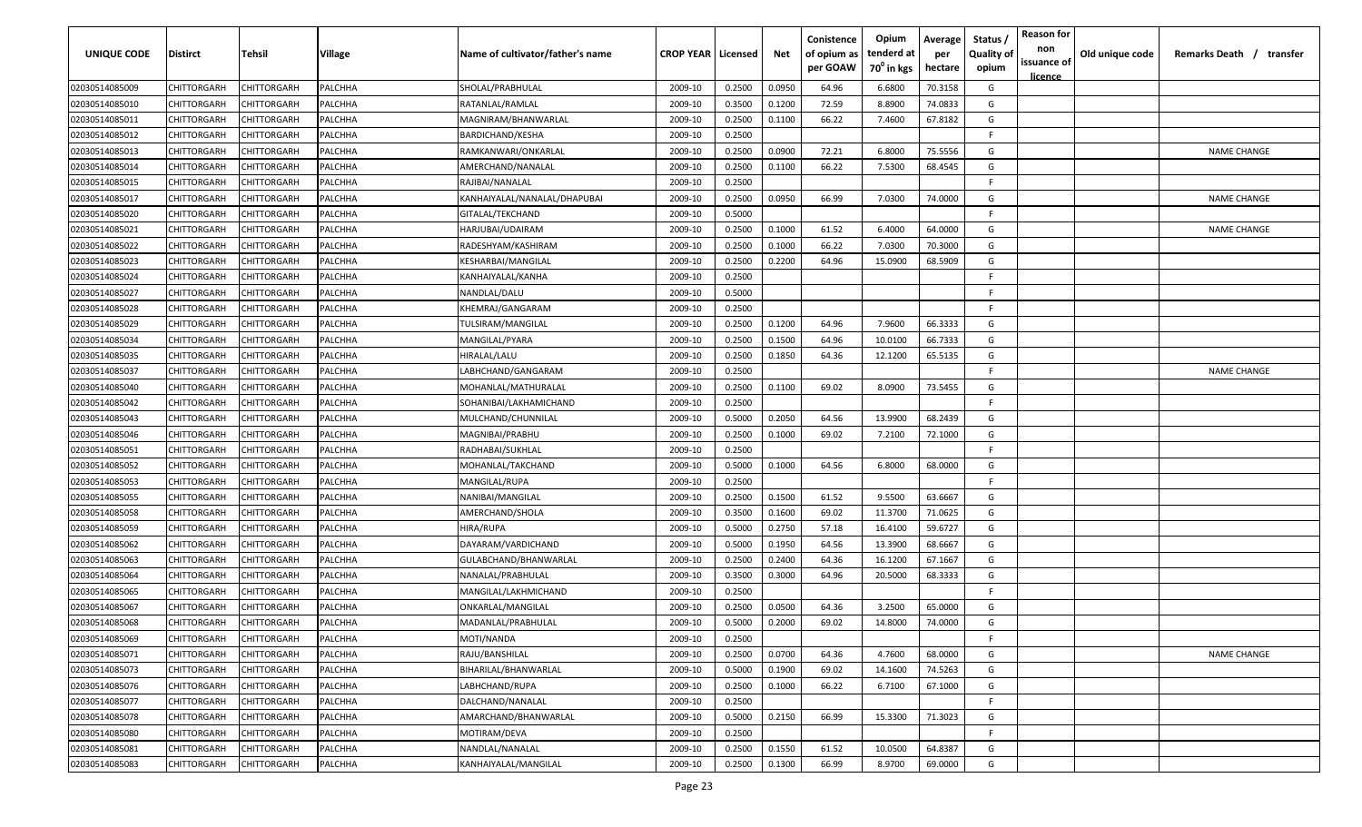| <b>UNIQUE CODE</b> | Distirct           | Tehsil             | Village | Name of cultivator/father's name | <b>CROP YEAR   Licensed</b> |        | Net    | Conistence<br>of opium as<br>per GOAW | Opium<br>tenderd at<br>70 <sup>0</sup> in kgs | Average<br>per<br>hectare | Status /<br><b>Quality of</b><br>opium | <b>Reason for</b><br>non<br>issuance of<br><u>licence</u> | Old unique code | Remarks Death / transfer |
|--------------------|--------------------|--------------------|---------|----------------------------------|-----------------------------|--------|--------|---------------------------------------|-----------------------------------------------|---------------------------|----------------------------------------|-----------------------------------------------------------|-----------------|--------------------------|
| 02030514085009     | CHITTORGARH        | CHITTORGARH        | PALCHHA | SHOLAL/PRABHULAL                 | 2009-10                     | 0.2500 | 0.0950 | 64.96                                 | 6.6800                                        | 70.3158                   | G                                      |                                                           |                 |                          |
| 02030514085010     | CHITTORGARH        | CHITTORGARH        | PALCHHA | RATANLAL/RAMLAL                  | 2009-10                     | 0.3500 | 0.1200 | 72.59                                 | 8.8900                                        | 74.0833                   | G                                      |                                                           |                 |                          |
| 02030514085011     | CHITTORGARH        | CHITTORGARH        | PALCHHA | MAGNIRAM/BHANWARLAL              | 2009-10                     | 0.2500 | 0.1100 | 66.22                                 | 7.4600                                        | 67.8182                   | G                                      |                                                           |                 |                          |
| 02030514085012     | CHITTORGARH        | CHITTORGARH        | PALCHHA | BARDICHAND/KESHA                 | 2009-10                     | 0.2500 |        |                                       |                                               |                           | -F.                                    |                                                           |                 |                          |
| 02030514085013     | CHITTORGARH        | CHITTORGARH        | PALCHHA | RAMKANWARI/ONKARLAL              | 2009-10                     | 0.2500 | 0.0900 | 72.21                                 | 6.8000                                        | 75.5556                   | G                                      |                                                           |                 | <b>NAME CHANGE</b>       |
| 02030514085014     | CHITTORGARH        | CHITTORGARH        | PALCHHA | AMERCHAND/NANALAL                | 2009-10                     | 0.2500 | 0.1100 | 66.22                                 | 7.5300                                        | 68.4545                   | G                                      |                                                           |                 |                          |
| 02030514085015     | CHITTORGARH        | CHITTORGARH        | PALCHHA | RAJIBAI/NANALAL                  | 2009-10                     | 0.2500 |        |                                       |                                               |                           | -F.                                    |                                                           |                 |                          |
| 02030514085017     | CHITTORGARH        | CHITTORGARH        | PALCHHA | KANHAIYALAL/NANALAL/DHAPUBAI     | 2009-10                     | 0.2500 | 0.0950 | 66.99                                 | 7.0300                                        | 74.0000                   | G                                      |                                                           |                 | <b>NAME CHANGE</b>       |
| 02030514085020     | CHITTORGARH        | CHITTORGARH        | PALCHHA | GITALAL/TEKCHAND                 | 2009-10                     | 0.5000 |        |                                       |                                               |                           | -F.                                    |                                                           |                 |                          |
| 02030514085021     | CHITTORGARH        | CHITTORGARH        | PALCHHA | HARJUBAI/UDAIRAM                 | 2009-10                     | 0.2500 | 0.1000 | 61.52                                 | 6.4000                                        | 64.0000                   | G                                      |                                                           |                 | <b>NAME CHANGE</b>       |
| 02030514085022     | CHITTORGARH        | CHITTORGARH        | PALCHHA | RADESHYAM/KASHIRAM               | 2009-10                     | 0.2500 | 0.1000 | 66.22                                 | 7.0300                                        | 70.3000                   | G                                      |                                                           |                 |                          |
| 02030514085023     | CHITTORGARH        | CHITTORGARH        | PALCHHA | KESHARBAI/MANGILAL               | 2009-10                     | 0.2500 | 0.2200 | 64.96                                 | 15.0900                                       | 68.5909                   | G                                      |                                                           |                 |                          |
| 02030514085024     | CHITTORGARH        | CHITTORGARH        | PALCHHA | KANHAIYALAL/KANHA                | 2009-10                     | 0.2500 |        |                                       |                                               |                           | -F.                                    |                                                           |                 |                          |
| 02030514085027     | CHITTORGARH        | CHITTORGARH        | PALCHHA | NANDLAL/DALU                     | 2009-10                     | 0.5000 |        |                                       |                                               |                           | F.                                     |                                                           |                 |                          |
| 02030514085028     | CHITTORGARH        | CHITTORGARH        | PALCHHA | KHEMRAJ/GANGARAM                 | 2009-10                     | 0.2500 |        |                                       |                                               |                           | -F.                                    |                                                           |                 |                          |
| 02030514085029     | CHITTORGARH        | CHITTORGARH        | PALCHHA | TULSIRAM/MANGILAL                | 2009-10                     | 0.2500 | 0.1200 | 64.96                                 | 7.9600                                        | 66.3333                   | G                                      |                                                           |                 |                          |
| 02030514085034     | CHITTORGARH        | CHITTORGARH        | PALCHHA | MANGILAL/PYARA                   | 2009-10                     | 0.2500 | 0.1500 | 64.96                                 | 10.0100                                       | 66.7333                   | G                                      |                                                           |                 |                          |
| 02030514085035     | CHITTORGARH        | CHITTORGARH        | PALCHHA | HIRALAL/LALU                     | 2009-10                     | 0.2500 | 0.1850 | 64.36                                 | 12.1200                                       | 65.5135                   | G                                      |                                                           |                 |                          |
| 02030514085037     | CHITTORGARH        | CHITTORGARH        | PALCHHA | LABHCHAND/GANGARAM               | 2009-10                     | 0.2500 |        |                                       |                                               |                           | F                                      |                                                           |                 | <b>NAME CHANGE</b>       |
| 02030514085040     | CHITTORGARH        | CHITTORGARH        | PALCHHA | MOHANLAL/MATHURALAL              | 2009-10                     | 0.2500 | 0.1100 | 69.02                                 | 8.0900                                        | 73.5455                   | G                                      |                                                           |                 |                          |
| 02030514085042     | CHITTORGARH        | CHITTORGARH        | PALCHHA | SOHANIBAI/LAKHAMICHAND           | 2009-10                     | 0.2500 |        |                                       |                                               |                           | -F.                                    |                                                           |                 |                          |
| 02030514085043     | CHITTORGARH        | CHITTORGARH        | PALCHHA | MULCHAND/CHUNNILAL               | 2009-10                     | 0.5000 | 0.2050 | 64.56                                 | 13.9900                                       | 68.2439                   | G                                      |                                                           |                 |                          |
| 02030514085046     | CHITTORGARH        | CHITTORGARH        | PALCHHA | MAGNIBAI/PRABHU                  | 2009-10                     | 0.2500 | 0.1000 | 69.02                                 | 7.2100                                        | 72.1000                   | G                                      |                                                           |                 |                          |
| 02030514085051     | CHITTORGARH        | CHITTORGARH        | PALCHHA | RADHABAI/SUKHLAL                 | 2009-10                     | 0.2500 |        |                                       |                                               |                           | -F.                                    |                                                           |                 |                          |
| 02030514085052     | CHITTORGARH        | CHITTORGARH        | PALCHHA | MOHANLAL/TAKCHAND                | 2009-10                     | 0.5000 | 0.1000 | 64.56                                 | 6.8000                                        | 68.0000                   | G                                      |                                                           |                 |                          |
| 02030514085053     | CHITTORGARH        | CHITTORGARH        | PALCHHA | MANGILAL/RUPA                    | 2009-10                     | 0.2500 |        |                                       |                                               |                           | -F.                                    |                                                           |                 |                          |
| 02030514085055     | CHITTORGARH        | CHITTORGARH        | PALCHHA | NANIBAI/MANGILAL                 | 2009-10                     | 0.2500 | 0.1500 | 61.52                                 | 9.5500                                        | 63.6667                   | G                                      |                                                           |                 |                          |
| 02030514085058     | CHITTORGARH        | CHITTORGARH        | PALCHHA | AMERCHAND/SHOLA                  | 2009-10                     | 0.3500 | 0.1600 | 69.02                                 | 11.3700                                       | 71.0625                   | G                                      |                                                           |                 |                          |
| 02030514085059     | CHITTORGARH        | CHITTORGARH        | PALCHHA | HIRA/RUPA                        | 2009-10                     | 0.5000 | 0.2750 | 57.18                                 | 16.4100                                       | 59.6727                   | G                                      |                                                           |                 |                          |
| 02030514085062     | CHITTORGARH        | CHITTORGARH        | PALCHHA | DAYARAM/VARDICHAND               | 2009-10                     | 0.5000 | 0.1950 | 64.56                                 | 13.3900                                       | 68.6667                   | G                                      |                                                           |                 |                          |
| 02030514085063     | CHITTORGARH        | CHITTORGARH        | PALCHHA | GULABCHAND/BHANWARLAL            | 2009-10                     | 0.2500 | 0.2400 | 64.36                                 | 16.1200                                       | 67.1667                   | G                                      |                                                           |                 |                          |
| 02030514085064     | CHITTORGARH        | CHITTORGARH        | PALCHHA | NANALAL/PRABHULAL                | 2009-10                     | 0.3500 | 0.3000 | 64.96                                 | 20.5000                                       | 68.3333                   | G                                      |                                                           |                 |                          |
| 02030514085065     | CHITTORGARH        | CHITTORGARH        | PALCHHA | MANGILAL/LAKHMICHAND             | 2009-10                     | 0.2500 |        |                                       |                                               |                           | -F                                     |                                                           |                 |                          |
| 02030514085067     | CHITTORGARH        | CHITTORGARH        | PALCHHA | ONKARLAL/MANGILAL                | 2009-10                     | 0.2500 | 0.0500 | 64.36                                 | 3.2500                                        | 65.0000                   | G                                      |                                                           |                 |                          |
| 02030514085068     | CHITTORGARH        | CHITTORGARH        | PALCHHA | MADANLAL/PRABHULAL               | 2009-10                     | 0.5000 | 0.2000 | 69.02                                 | 14.8000                                       | 74.0000                   | G                                      |                                                           |                 |                          |
| 02030514085069     | <b>CHITTORGARH</b> | CHITTORGARH        | PALCHHA | MOTI/NANDA                       | 2009-10                     | 0.2500 |        |                                       |                                               |                           | F.                                     |                                                           |                 |                          |
| 02030514085071     | CHITTORGARH        | CHITTORGARH        | PALCHHA | RAJU/BANSHILAL                   | 2009-10                     | 0.2500 | 0.0700 | 64.36                                 | 4.7600                                        | 68.0000                   | G                                      |                                                           |                 | <b>NAME CHANGE</b>       |
| 02030514085073     | <b>CHITTORGARH</b> | CHITTORGARH        | PALCHHA | BIHARILAL/BHANWARLAL             | 2009-10                     | 0.5000 | 0.1900 | 69.02                                 | 14.1600                                       | 74.5263                   | G                                      |                                                           |                 |                          |
| 02030514085076     | <b>CHITTORGARH</b> | CHITTORGARH        | PALCHHA | LABHCHAND/RUPA                   | 2009-10                     | 0.2500 | 0.1000 | 66.22                                 | 6.7100                                        | 67.1000                   | G                                      |                                                           |                 |                          |
| 02030514085077     | CHITTORGARH        | CHITTORGARH        | PALCHHA | DALCHAND/NANALAL                 | 2009-10                     | 0.2500 |        |                                       |                                               |                           | F.                                     |                                                           |                 |                          |
| 02030514085078     | CHITTORGARH        | CHITTORGARH        | PALCHHA | AMARCHAND/BHANWARLAL             | 2009-10                     | 0.5000 | 0.2150 | 66.99                                 | 15.3300                                       | 71.3023                   | G                                      |                                                           |                 |                          |
| 02030514085080     | CHITTORGARH        | CHITTORGARH        | PALCHHA | MOTIRAM/DEVA                     | 2009-10                     | 0.2500 |        |                                       |                                               |                           | F.                                     |                                                           |                 |                          |
| 02030514085081     | CHITTORGARH        | CHITTORGARH        | PALCHHA | NANDLAL/NANALAL                  | 2009-10                     | 0.2500 | 0.1550 | 61.52                                 | 10.0500                                       | 64.8387                   | G                                      |                                                           |                 |                          |
| 02030514085083     | CHITTORGARH        | <b>CHITTORGARH</b> | PALCHHA | KANHAIYALAL/MANGILAL             | 2009-10                     | 0.2500 | 0.1300 | 66.99                                 | 8.9700                                        | 69.0000                   | G                                      |                                                           |                 |                          |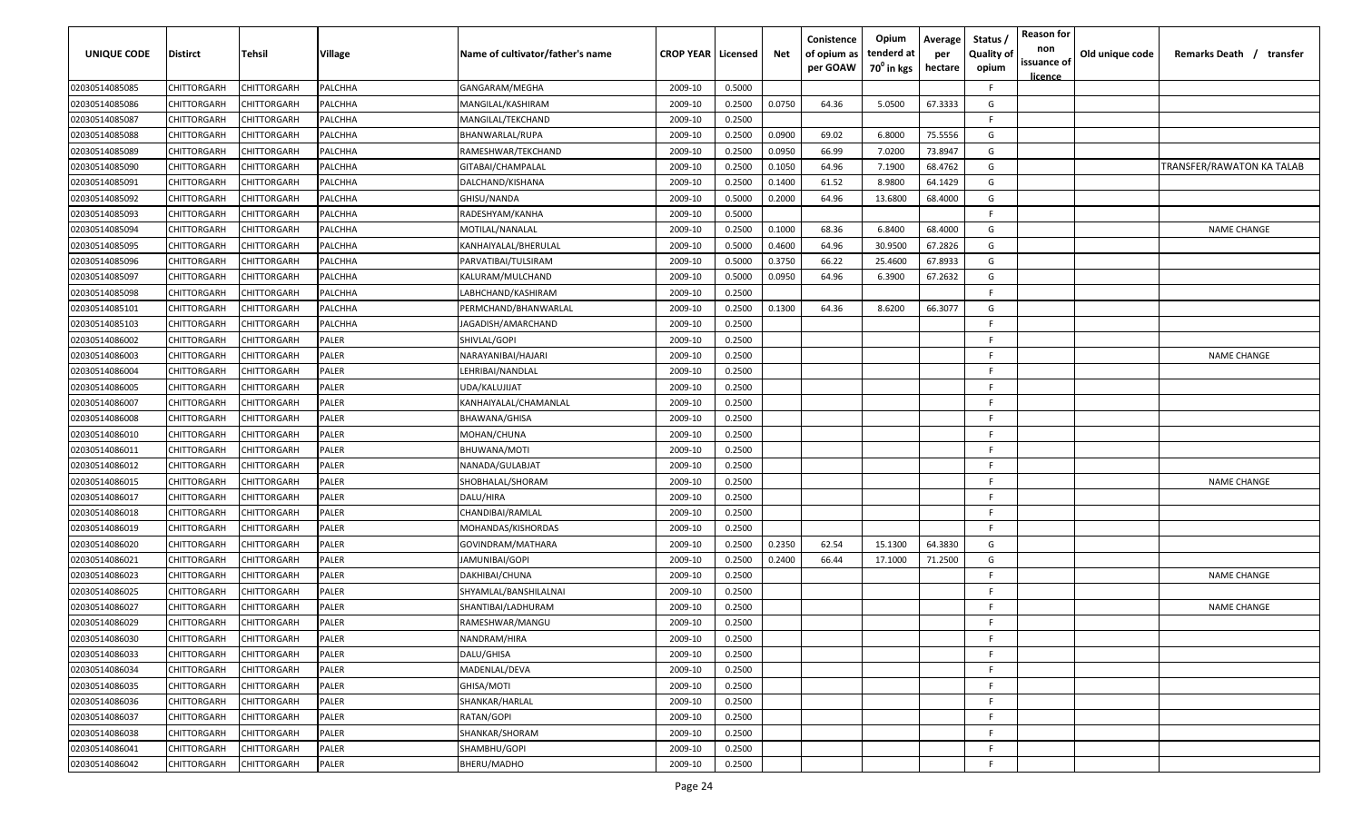| UNIQUE CODE    | <b>Distirct</b> | Tehsil      | Village        | Name of cultivator/father's name | <b>CROP YEAR   Licensed</b> |        | Net    | Conistence<br>of opium as<br>per GOAW | Opium<br>tenderd at<br>70 <sup>0</sup> in kgs | Average<br>per<br>hectare | Status /<br><b>Quality of</b><br>opium | <b>Reason for</b><br>non<br>issuance of<br>licence | Old unique code | Remarks Death /<br>transfer |
|----------------|-----------------|-------------|----------------|----------------------------------|-----------------------------|--------|--------|---------------------------------------|-----------------------------------------------|---------------------------|----------------------------------------|----------------------------------------------------|-----------------|-----------------------------|
| 02030514085085 | CHITTORGARH     | CHITTORGARH | <b>PALCHHA</b> | GANGARAM/MEGHA                   | 2009-10                     | 0.5000 |        |                                       |                                               |                           | F.                                     |                                                    |                 |                             |
| 02030514085086 | CHITTORGARH     | CHITTORGARH | PALCHHA        | MANGILAL/KASHIRAM                | 2009-10                     | 0.2500 | 0.0750 | 64.36                                 | 5.0500                                        | 67.3333                   | G                                      |                                                    |                 |                             |
| 02030514085087 | CHITTORGARH     | CHITTORGARH | PALCHHA        | MANGILAL/TEKCHAND                | 2009-10                     | 0.2500 |        |                                       |                                               |                           | F.                                     |                                                    |                 |                             |
| 02030514085088 | CHITTORGARH     | CHITTORGARH | PALCHHA        | BHANWARLAL/RUPA                  | 2009-10                     | 0.2500 | 0.0900 | 69.02                                 | 6.8000                                        | 75.5556                   | G                                      |                                                    |                 |                             |
| 02030514085089 | CHITTORGARH     | CHITTORGARH | PALCHHA        | RAMESHWAR/TEKCHAND               | 2009-10                     | 0.2500 | 0.0950 | 66.99                                 | 7.0200                                        | 73.8947                   | G                                      |                                                    |                 |                             |
| 02030514085090 | CHITTORGARH     | CHITTORGARH | PALCHHA        | GITABAI/CHAMPALAL                | 2009-10                     | 0.2500 | 0.1050 | 64.96                                 | 7.1900                                        | 68.4762                   | G                                      |                                                    |                 | TRANSFER/RAWATON KA TALAB   |
| 02030514085091 | CHITTORGARH     | CHITTORGARH | PALCHHA        | DALCHAND/KISHANA                 | 2009-10                     | 0.2500 | 0.1400 | 61.52                                 | 8.9800                                        | 64.1429                   | G                                      |                                                    |                 |                             |
| 02030514085092 | CHITTORGARH     | CHITTORGARH | PALCHHA        | GHISU/NANDA                      | 2009-10                     | 0.5000 | 0.2000 | 64.96                                 | 13.6800                                       | 68.4000                   | G                                      |                                                    |                 |                             |
| 02030514085093 | CHITTORGARH     | CHITTORGARH | PALCHHA        | RADESHYAM/KANHA                  | 2009-10                     | 0.5000 |        |                                       |                                               |                           | F.                                     |                                                    |                 |                             |
| 02030514085094 | CHITTORGARH     | CHITTORGARH | PALCHHA        | MOTILAL/NANALAL                  | 2009-10                     | 0.2500 | 0.1000 | 68.36                                 | 6.8400                                        | 68.4000                   | G                                      |                                                    |                 | <b>NAME CHANGE</b>          |
| 02030514085095 | CHITTORGARH     | CHITTORGARH | PALCHHA        | KANHAIYALAL/BHERULAL             | 2009-10                     | 0.5000 | 0.4600 | 64.96                                 | 30.9500                                       | 67.2826                   | G                                      |                                                    |                 |                             |
| 02030514085096 | CHITTORGARH     | CHITTORGARH | PALCHHA        | PARVATIBAI/TULSIRAM              | 2009-10                     | 0.5000 | 0.3750 | 66.22                                 | 25.4600                                       | 67.8933                   | G                                      |                                                    |                 |                             |
| 02030514085097 | CHITTORGARH     | CHITTORGARH | PALCHHA        | KALURAM/MULCHAND                 | 2009-10                     | 0.5000 | 0.0950 | 64.96                                 | 6.3900                                        | 67.2632                   | G                                      |                                                    |                 |                             |
| 02030514085098 | CHITTORGARH     | CHITTORGARH | PALCHHA        | LABHCHAND/KASHIRAM               | 2009-10                     | 0.2500 |        |                                       |                                               |                           | F.                                     |                                                    |                 |                             |
| 02030514085101 | CHITTORGARH     | CHITTORGARH | PALCHHA        | PERMCHAND/BHANWARLAL             | 2009-10                     | 0.2500 | 0.1300 | 64.36                                 | 8.6200                                        | 66.3077                   | G                                      |                                                    |                 |                             |
| 02030514085103 | CHITTORGARH     | CHITTORGARH | PALCHHA        | JAGADISH/AMARCHAND               | 2009-10                     | 0.2500 |        |                                       |                                               |                           | F.                                     |                                                    |                 |                             |
| 02030514086002 | CHITTORGARH     | CHITTORGARH | <b>PALER</b>   | SHIVLAL/GOPI                     | 2009-10                     | 0.2500 |        |                                       |                                               |                           | E                                      |                                                    |                 |                             |
| 02030514086003 | CHITTORGARH     | CHITTORGARH | <b>PALER</b>   | NARAYANIBAI/HAJARI               | 2009-10                     | 0.2500 |        |                                       |                                               |                           | E                                      |                                                    |                 | <b>NAME CHANGE</b>          |
| 02030514086004 | CHITTORGARH     | CHITTORGARH | PALER          | LEHRIBAI/NANDLAL                 | 2009-10                     | 0.2500 |        |                                       |                                               |                           | E                                      |                                                    |                 |                             |
| 02030514086005 | CHITTORGARH     | CHITTORGARH | <b>PALER</b>   | UDA/KALUJIJAT                    | 2009-10                     | 0.2500 |        |                                       |                                               |                           | E                                      |                                                    |                 |                             |
| 02030514086007 | CHITTORGARH     | CHITTORGARH | <b>PALER</b>   | KANHAIYALAL/CHAMANLAL            | 2009-10                     | 0.2500 |        |                                       |                                               |                           | F.                                     |                                                    |                 |                             |
| 02030514086008 | CHITTORGARH     | CHITTORGARH | <b>PALER</b>   | BHAWANA/GHISA                    | 2009-10                     | 0.2500 |        |                                       |                                               |                           | F.                                     |                                                    |                 |                             |
| 02030514086010 | CHITTORGARH     | CHITTORGARH | <b>PALER</b>   | MOHAN/CHUNA                      | 2009-10                     | 0.2500 |        |                                       |                                               |                           | -F.                                    |                                                    |                 |                             |
| 02030514086011 | CHITTORGARH     | CHITTORGARH | <b>PALER</b>   | BHUWANA/MOTI                     | 2009-10                     | 0.2500 |        |                                       |                                               |                           | F.                                     |                                                    |                 |                             |
| 02030514086012 | CHITTORGARH     | CHITTORGARH | <b>PALER</b>   | NANADA/GULABJAT                  | 2009-10                     | 0.2500 |        |                                       |                                               |                           | F.                                     |                                                    |                 |                             |
| 02030514086015 | CHITTORGARH     | CHITTORGARH | PALER          | SHOBHALAL/SHORAM                 | 2009-10                     | 0.2500 |        |                                       |                                               |                           | F.                                     |                                                    |                 | <b>NAME CHANGE</b>          |
| 02030514086017 | CHITTORGARH     | CHITTORGARH | PALER          | DALU/HIRA                        | 2009-10                     | 0.2500 |        |                                       |                                               |                           | F.                                     |                                                    |                 |                             |
| 02030514086018 | CHITTORGARH     | CHITTORGARH | PALER          | CHANDIBAI/RAMLAL                 | 2009-10                     | 0.2500 |        |                                       |                                               |                           | F.                                     |                                                    |                 |                             |
| 02030514086019 | CHITTORGARH     | CHITTORGARH | PALER          | MOHANDAS/KISHORDAS               | 2009-10                     | 0.2500 |        |                                       |                                               |                           | F.                                     |                                                    |                 |                             |
| 02030514086020 | CHITTORGARH     | CHITTORGARH | <b>PALER</b>   | GOVINDRAM/MATHARA                | 2009-10                     | 0.2500 | 0.2350 | 62.54                                 | 15.1300                                       | 64.3830                   | G                                      |                                                    |                 |                             |
| 02030514086021 | CHITTORGARH     | CHITTORGARH | <b>PALER</b>   | JAMUNIBAI/GOPI                   | 2009-10                     | 0.2500 | 0.2400 | 66.44                                 | 17.1000                                       | 71.2500                   | G                                      |                                                    |                 |                             |
| 02030514086023 | CHITTORGARH     | CHITTORGARF | <b>PALER</b>   | DAKHIBAI/CHUNA                   | 2009-10                     | 0.2500 |        |                                       |                                               |                           | F.                                     |                                                    |                 | <b>NAME CHANGE</b>          |
| 02030514086025 | CHITTORGARH     | CHITTORGARH | <b>PALER</b>   | SHYAMLAL/BANSHILALNAI            | 2009-10                     | 0.2500 |        |                                       |                                               |                           | F                                      |                                                    |                 |                             |
| 02030514086027 | CHITTORGARH     | CHITTORGARH | PALER          | SHANTIBAI/LADHURAM               | 2009-10                     | 0.2500 |        |                                       |                                               |                           | F.                                     |                                                    |                 | <b>NAME CHANGE</b>          |
| 02030514086029 | CHITTORGARH     | CHITTORGARH | <b>PALER</b>   | RAMESHWAR/MANGU                  | 2009-10                     | 0.2500 |        |                                       |                                               |                           | F.                                     |                                                    |                 |                             |
| 02030514086030 | CHITTORGARH     | CHITTORGARH | <b>PALER</b>   | NANDRAM/HIRA                     | 2009-10                     | 0.2500 |        |                                       |                                               |                           | F.                                     |                                                    |                 |                             |
| 02030514086033 | CHITTORGARH     | CHITTORGARH | PALER          | DALU/GHISA                       | 2009-10                     | 0.2500 |        |                                       |                                               |                           | F.                                     |                                                    |                 |                             |
| 02030514086034 | CHITTORGARH     | CHITTORGARH | PALER          | MADENLAL/DEVA                    | 2009-10                     | 0.2500 |        |                                       |                                               |                           | F.                                     |                                                    |                 |                             |
| 02030514086035 | CHITTORGARH     | CHITTORGARH | <b>PALER</b>   | GHISA/MOTI                       | 2009-10                     | 0.2500 |        |                                       |                                               |                           | F.                                     |                                                    |                 |                             |
| 02030514086036 | CHITTORGARH     | CHITTORGARH | <b>PALER</b>   | SHANKAR/HARLAL                   | 2009-10                     | 0.2500 |        |                                       |                                               |                           | F.                                     |                                                    |                 |                             |
| 02030514086037 | CHITTORGARH     | CHITTORGARH | <b>PALER</b>   | RATAN/GOPI                       | 2009-10                     | 0.2500 |        |                                       |                                               |                           | F.                                     |                                                    |                 |                             |
| 02030514086038 | CHITTORGARH     | CHITTORGARH | <b>PALER</b>   | SHANKAR/SHORAM                   | 2009-10                     | 0.2500 |        |                                       |                                               |                           | F.                                     |                                                    |                 |                             |
| 02030514086041 | CHITTORGARH     | CHITTORGARH | <b>PALER</b>   | SHAMBHU/GOPI                     | 2009-10                     | 0.2500 |        |                                       |                                               |                           | F.                                     |                                                    |                 |                             |
| 02030514086042 | CHITTORGARH     | CHITTORGARH | PALER          | BHERU/MADHO                      | 2009-10                     | 0.2500 |        |                                       |                                               |                           | F.                                     |                                                    |                 |                             |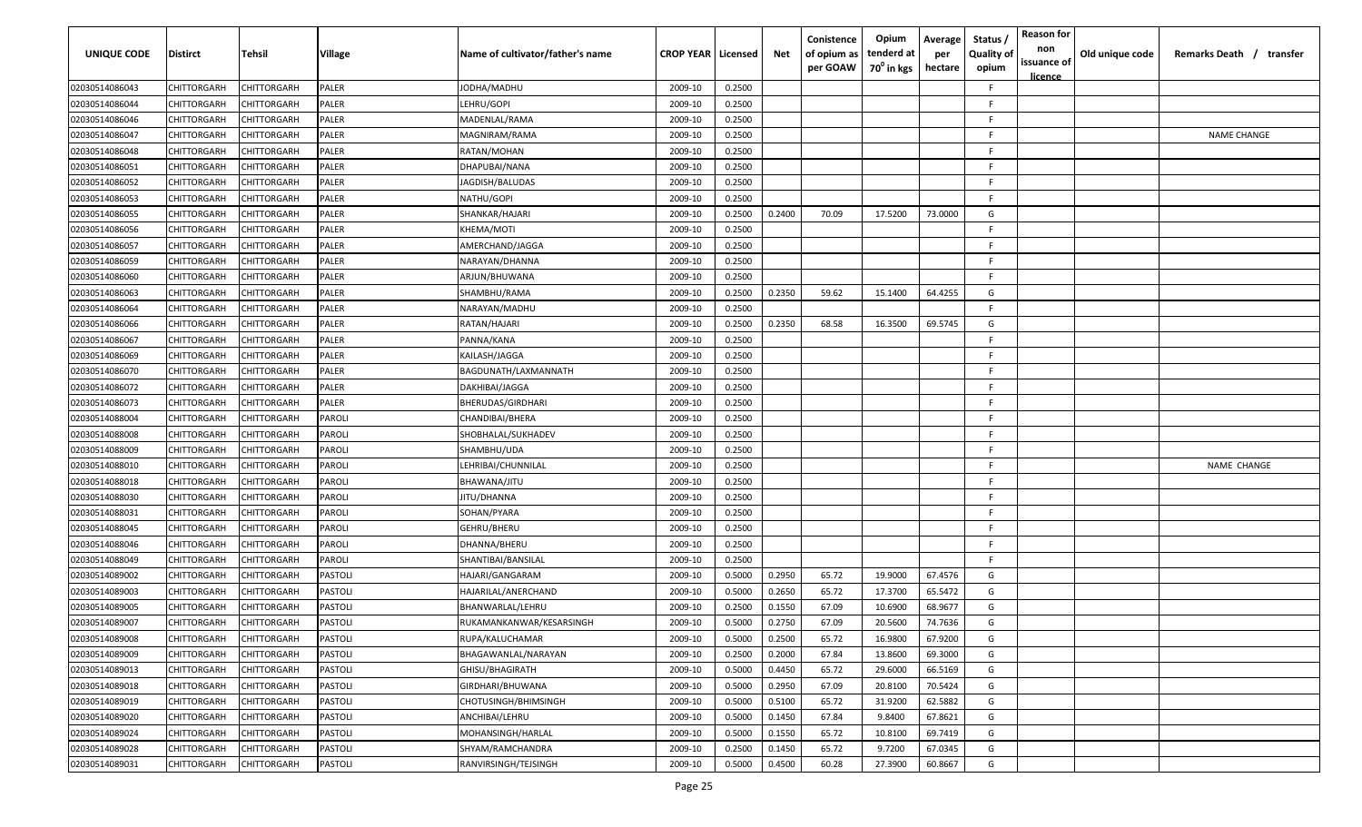| <b>UNIQUE CODE</b> | Distirct           | Tehsil             | Village        | Name of cultivator/father's name | <b>CROP YEAR   Licensed</b> |        | Net    | Conistence<br>of opium as<br>per GOAW | Opium<br>tenderd at<br>70 <sup>0</sup> in kgs | Average<br>per<br>hectare | Status /<br><b>Quality of</b><br>opium | <b>Reason for</b><br>non<br>issuance of<br>licence | Old unique code | Remarks Death / transfer |
|--------------------|--------------------|--------------------|----------------|----------------------------------|-----------------------------|--------|--------|---------------------------------------|-----------------------------------------------|---------------------------|----------------------------------------|----------------------------------------------------|-----------------|--------------------------|
| 02030514086043     | CHITTORGARH        | CHITTORGARH        | PALER          | JODHA/MADHU                      | 2009-10                     | 0.2500 |        |                                       |                                               |                           | E                                      |                                                    |                 |                          |
| 02030514086044     | CHITTORGARH        | CHITTORGARH        | PALER          | LEHRU/GOPI                       | 2009-10                     | 0.2500 |        |                                       |                                               |                           | E                                      |                                                    |                 |                          |
| 02030514086046     | CHITTORGARH        | CHITTORGARH        | PALER          | MADENLAL/RAMA                    | 2009-10                     | 0.2500 |        |                                       |                                               |                           | F                                      |                                                    |                 |                          |
| 02030514086047     | CHITTORGARH        | CHITTORGARH        | PALER          | MAGNIRAM/RAMA                    | 2009-10                     | 0.2500 |        |                                       |                                               |                           | F                                      |                                                    |                 | <b>NAME CHANGE</b>       |
| 02030514086048     | CHITTORGARH        | <b>HITTORGARH</b>  | PALER          | RATAN/MOHAN                      | 2009-10                     | 0.2500 |        |                                       |                                               |                           | F                                      |                                                    |                 |                          |
| 02030514086051     | CHITTORGARH        | CHITTORGARH        | PALER          | DHAPUBAI/NANA                    | 2009-10                     | 0.2500 |        |                                       |                                               |                           | E                                      |                                                    |                 |                          |
| 02030514086052     | CHITTORGARH        | <b>CHITTORGARH</b> | PALER          | IAGDISH/BALUDAS                  | 2009-10                     | 0.2500 |        |                                       |                                               |                           | E                                      |                                                    |                 |                          |
| 02030514086053     | CHITTORGARH        | CHITTORGARH        | <b>ALER</b>    | NATHU/GOPI                       | 2009-10                     | 0.2500 |        |                                       |                                               |                           | E                                      |                                                    |                 |                          |
| 02030514086055     | CHITTORGARH        | <b>CHITTORGARH</b> | <b>ALER</b>    | SHANKAR/HAJARI                   | 2009-10                     | 0.2500 | 0.2400 | 70.09                                 | 17.5200                                       | 73.0000                   | G                                      |                                                    |                 |                          |
| 02030514086056     | CHITTORGARH        | CHITTORGARH        | PALER          | KHEMA/MOTI                       | 2009-10                     | 0.2500 |        |                                       |                                               |                           | F                                      |                                                    |                 |                          |
| 02030514086057     | CHITTORGARH        | CHITTORGARH        | PALER          | AMERCHAND/JAGGA                  | 2009-10                     | 0.2500 |        |                                       |                                               |                           | F                                      |                                                    |                 |                          |
| 02030514086059     | CHITTORGARH        | CHITTORGARH        | PALER          | NARAYAN/DHANNA                   | 2009-10                     | 0.2500 |        |                                       |                                               |                           | F                                      |                                                    |                 |                          |
| 02030514086060     | CHITTORGARH        | CHITTORGARH        | PALER          | ARJUN/BHUWANA                    | 2009-10                     | 0.2500 |        |                                       |                                               |                           | E                                      |                                                    |                 |                          |
| 02030514086063     | CHITTORGARH        | CHITTORGARH        | PALER          | SHAMBHU/RAMA                     | 2009-10                     | 0.2500 | 0.2350 | 59.62                                 | 15.1400                                       | 64.4255                   | G                                      |                                                    |                 |                          |
| 02030514086064     | CHITTORGARH        | CHITTORGARH        | PALER          | NARAYAN/MADHU                    | 2009-10                     | 0.2500 |        |                                       |                                               |                           | E                                      |                                                    |                 |                          |
| 02030514086066     | CHITTORGARH        | CHITTORGARH        | PALER          | RATAN/HAJARI                     | 2009-10                     | 0.2500 | 0.2350 | 68.58                                 | 16.3500                                       | 69.5745                   | G                                      |                                                    |                 |                          |
| 02030514086067     | CHITTORGARH        | CHITTORGARH        | PALER          | PANNA/KANA                       | 2009-10                     | 0.2500 |        |                                       |                                               |                           | E                                      |                                                    |                 |                          |
| 02030514086069     | CHITTORGARH        | CHITTORGARH        | PALER          | KAILASH/JAGGA                    | 2009-10                     | 0.2500 |        |                                       |                                               |                           | F                                      |                                                    |                 |                          |
| 02030514086070     | CHITTORGARH        | CHITTORGARH        | PALER          | BAGDUNATH/LAXMANNATH             | 2009-10                     | 0.2500 |        |                                       |                                               |                           | F                                      |                                                    |                 |                          |
| 02030514086072     | CHITTORGARH        | CHITTORGARH        | PALER          | DAKHIBAI/JAGGA                   | 2009-10                     | 0.2500 |        |                                       |                                               |                           | F                                      |                                                    |                 |                          |
| 02030514086073     | CHITTORGARH        | CHITTORGARH        | PALER          | BHERUDAS/GIRDHARI                | 2009-10                     | 0.2500 |        |                                       |                                               |                           | F                                      |                                                    |                 |                          |
| 02030514088004     | CHITTORGARH        | <b>HITTORGARH</b>  | PAROLI         | CHANDIBAI/BHERA                  | 2009-10                     | 0.2500 |        |                                       |                                               |                           |                                        |                                                    |                 |                          |
| 02030514088008     | CHITTORGARH        | CHITTORGARH        | PAROLI         | SHOBHALAL/SUKHADEV               | 2009-10                     | 0.2500 |        |                                       |                                               |                           | E                                      |                                                    |                 |                          |
| 02030514088009     | CHITTORGARH        | CHITTORGARH        | PAROLI         | SHAMBHU/UDA                      | 2009-10                     | 0.2500 |        |                                       |                                               |                           | F.                                     |                                                    |                 |                          |
| 02030514088010     | CHITTORGARH        | CHITTORGARH        | PAROLI         | LEHRIBAI/CHUNNILAL               | 2009-10                     | 0.2500 |        |                                       |                                               |                           | E                                      |                                                    |                 | NAME CHANGE              |
| 02030514088018     | CHITTORGARH        | CHITTORGARH        | <b>AROLI</b>   | BHAWANA/JITU                     | 2009-10                     | 0.2500 |        |                                       |                                               |                           | F.                                     |                                                    |                 |                          |
| 02030514088030     | CHITTORGARH        | CHITTORGARH        | PAROLI         | ITU/DHANNA                       | 2009-10                     | 0.2500 |        |                                       |                                               |                           | E                                      |                                                    |                 |                          |
| 02030514088031     | CHITTORGARH        | CHITTORGARH        | PAROLI         | SOHAN/PYARA                      | 2009-10                     | 0.2500 |        |                                       |                                               |                           | E                                      |                                                    |                 |                          |
| 02030514088045     | CHITTORGARH        | CHITTORGARH        | PAROLI         | GEHRU/BHERU                      | 2009-10                     | 0.2500 |        |                                       |                                               |                           | E                                      |                                                    |                 |                          |
| 02030514088046     | CHITTORGARH        | CHITTORGARH        | PAROLI         | DHANNA/BHERU                     | 2009-10                     | 0.2500 |        |                                       |                                               |                           | F                                      |                                                    |                 |                          |
| 02030514088049     | CHITTORGARH        | CHITTORGARH        | PAROLI         | SHANTIBAI/BANSILAL               | 2009-10                     | 0.2500 |        |                                       |                                               |                           | E                                      |                                                    |                 |                          |
| 02030514089002     | CHITTORGARH        | CHITTORGARH        | PASTOLI        | HAJARI/GANGARAM                  | 2009-10                     | 0.5000 | 0.2950 | 65.72                                 | 19.9000                                       | 67.4576                   | G                                      |                                                    |                 |                          |
| 02030514089003     | CHITTORGARH        | CHITTORGARH        | PASTOLI        | HAJARILAL/ANERCHAND              | 2009-10                     | 0.5000 | 0.2650 | 65.72                                 | 17.3700                                       | 65.5472                   | G                                      |                                                    |                 |                          |
| 02030514089005     | CHITTORGARH        | CHITTORGARH        | <b>ASTOLI</b>  | BHANWARLAL/LEHRU                 | 2009-10                     | 0.2500 | 0.1550 | 67.09                                 | 10.6900                                       | 68.9677                   | G                                      |                                                    |                 |                          |
| 02030514089007     | CHITTORGARH        | CHITTORGARH        | <b>ASTOLI</b>  | RUKAMANKANWAR/KESARSINGH         | 2009-10                     | 0.5000 | 0.2750 | 67.09                                 | 20.5600                                       | 74.7636                   | G                                      |                                                    |                 |                          |
| 02030514089008     | <b>CHITTORGARH</b> | <b>CHITTORGARH</b> | <b>PASTOLI</b> | RUPA/KALUCHAMAR                  | 2009-10                     | 0.5000 | 0.2500 | 65.72                                 | 16.9800                                       | 67.9200                   | G                                      |                                                    |                 |                          |
| 02030514089009     | CHITTORGARH        | <b>CHITTORGARH</b> | PASTOLI        | BHAGAWANLAL/NARAYAN              | 2009-10                     | 0.2500 | 0.2000 | 67.84                                 | 13.8600                                       | 69.3000                   | G                                      |                                                    |                 |                          |
| 02030514089013     | CHITTORGARH        | CHITTORGARH        | PASTOLI        | GHISU/BHAGIRATH                  | 2009-10                     | 0.5000 | 0.4450 | 65.72                                 | 29.6000                                       | 66.5169                   | G                                      |                                                    |                 |                          |
| 02030514089018     | CHITTORGARH        | CHITTORGARH        | PASTOLI        | GIRDHARI/BHUWANA                 | 2009-10                     | 0.5000 | 0.2950 | 67.09                                 | 20.8100                                       | 70.5424                   | G                                      |                                                    |                 |                          |
| 02030514089019     | CHITTORGARH        | CHITTORGARH        | PASTOLI        | CHOTUSINGH/BHIMSINGH             | 2009-10                     | 0.5000 | 0.5100 | 65.72                                 | 31.9200                                       | 62.5882                   | G                                      |                                                    |                 |                          |
| 02030514089020     | CHITTORGARH        | CHITTORGARH        | PASTOLI        | ANCHIBAI/LEHRU                   | 2009-10                     | 0.5000 | 0.1450 | 67.84                                 | 9.8400                                        | 67.8621                   | G                                      |                                                    |                 |                          |
| 02030514089024     | CHITTORGARH        | CHITTORGARH        | PASTOLI        | MOHANSINGH/HARLAL                | 2009-10                     | 0.5000 | 0.1550 | 65.72                                 | 10.8100                                       | 69.7419                   | G                                      |                                                    |                 |                          |
| 02030514089028     | CHITTORGARH        | CHITTORGARH        | PASTOLI        | SHYAM/RAMCHANDRA                 | 2009-10                     | 0.2500 | 0.1450 | 65.72                                 | 9.7200                                        | 67.0345                   | G                                      |                                                    |                 |                          |
| 02030514089031     | CHITTORGARH        | <b>CHITTORGARH</b> | PASTOLI        | RANVIRSINGH/TEJSINGH             | 2009-10                     | 0.5000 | 0.4500 | 60.28                                 | 27.3900                                       | 60.8667                   | G                                      |                                                    |                 |                          |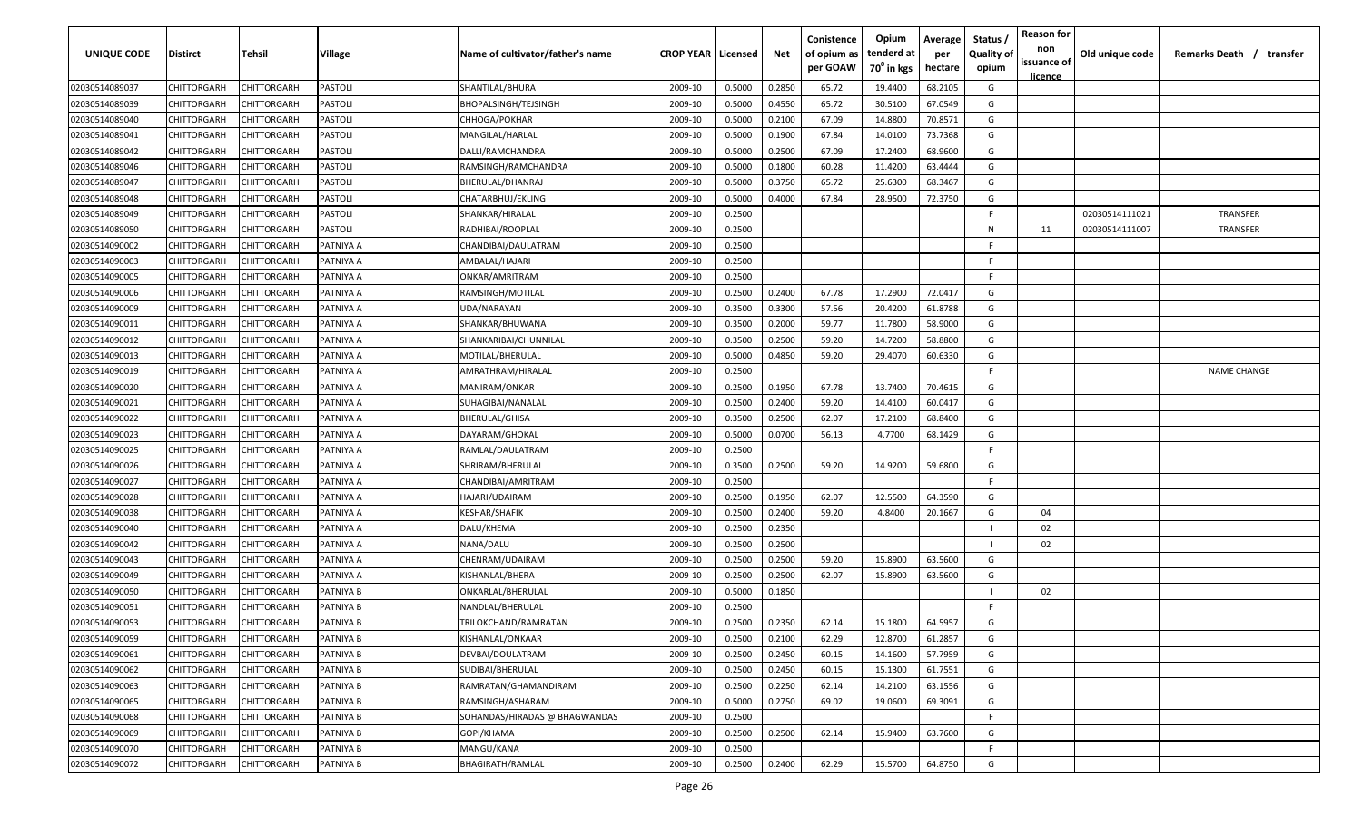| <b>UNIQUE CODE</b> | Distirct           | Tehsil      | Village   | Name of cultivator/father's name | <b>CROP YEAR   Licensed</b> |        | Net    | Conistence<br>of opium as<br>per GOAW | Opium<br>tenderd at<br>70 <sup>0</sup> in kgs | Average<br>per<br>hectare | Status /<br><b>Quality of</b><br>opium | <b>Reason for</b><br>non<br>issuance of | Old unique code | Remarks Death /<br>transfer |
|--------------------|--------------------|-------------|-----------|----------------------------------|-----------------------------|--------|--------|---------------------------------------|-----------------------------------------------|---------------------------|----------------------------------------|-----------------------------------------|-----------------|-----------------------------|
| 02030514089037     | CHITTORGARH        | CHITTORGARH | PASTOLI   | SHANTILAL/BHURA                  | 2009-10                     | 0.5000 | 0.2850 | 65.72                                 | 19.4400                                       | 68.2105                   | G                                      | <u>licence</u>                          |                 |                             |
| 02030514089039     | CHITTORGARH        | CHITTORGARH | PASTOLI   | <b>BHOPALSINGH/TEJSINGH</b>      | 2009-10                     | 0.5000 | 0.4550 | 65.72                                 | 30.5100                                       | 67.0549                   | G                                      |                                         |                 |                             |
| 02030514089040     | CHITTORGARH        | CHITTORGARH | PASTOLI   | CHHOGA/POKHAR                    | 2009-10                     | 0.5000 | 0.2100 | 67.09                                 | 14.8800                                       | 70.8571                   | G                                      |                                         |                 |                             |
| 02030514089041     | CHITTORGARH        | CHITTORGARH | PASTOLI   | MANGILAL/HARLAL                  | 2009-10                     | 0.5000 | 0.1900 | 67.84                                 | 14.0100                                       | 73.7368                   | G                                      |                                         |                 |                             |
| 02030514089042     | CHITTORGARH        | CHITTORGARH | PASTOLI   | DALLI/RAMCHANDRA                 | 2009-10                     | 0.5000 | 0.2500 | 67.09                                 | 17.2400                                       | 68.9600                   | G                                      |                                         |                 |                             |
| 02030514089046     | CHITTORGARH        | CHITTORGARH | PASTOLI   | RAMSINGH/RAMCHANDRA              | 2009-10                     | 0.5000 | 0.1800 | 60.28                                 | 11.4200                                       | 63.4444                   | G                                      |                                         |                 |                             |
| 02030514089047     | CHITTORGARH        | CHITTORGARH | PASTOLI   | BHERULAL/DHANRAJ                 | 2009-10                     | 0.5000 | 0.3750 | 65.72                                 | 25.6300                                       | 68.3467                   | G                                      |                                         |                 |                             |
| 02030514089048     | CHITTORGARH        | CHITTORGARH | PASTOLI   | CHATARBHUJ/EKLING                | 2009-10                     | 0.5000 | 0.4000 | 67.84                                 | 28.9500                                       | 72.3750                   | G                                      |                                         |                 |                             |
| 02030514089049     | CHITTORGARH        | CHITTORGARH | PASTOLI   | SHANKAR/HIRALAL                  | 2009-10                     | 0.2500 |        |                                       |                                               |                           | F.                                     |                                         | 02030514111021  | TRANSFER                    |
| 02030514089050     | CHITTORGARH        | CHITTORGARH | PASTOLI   | RADHIBAI/ROOPLAL                 | 2009-10                     | 0.2500 |        |                                       |                                               |                           | N                                      | 11                                      | 02030514111007  | TRANSFER                    |
| 02030514090002     | CHITTORGARH        | CHITTORGARH | PATNIYA A | CHANDIBAI/DAULATRAM              | 2009-10                     | 0.2500 |        |                                       |                                               |                           | -F.                                    |                                         |                 |                             |
| 02030514090003     | CHITTORGARH        | CHITTORGARH | PATNIYA A | AMBALAL/HAJARI                   | 2009-10                     | 0.2500 |        |                                       |                                               |                           | F.                                     |                                         |                 |                             |
| 02030514090005     | CHITTORGARH        | CHITTORGARH | PATNIYA A | ONKAR/AMRITRAM                   | 2009-10                     | 0.2500 |        |                                       |                                               |                           | F.                                     |                                         |                 |                             |
| 02030514090006     | CHITTORGARH        | CHITTORGARH | PATNIYA A | RAMSINGH/MOTILAL                 | 2009-10                     | 0.2500 | 0.2400 | 67.78                                 | 17.2900                                       | 72.0417                   | G                                      |                                         |                 |                             |
| 02030514090009     | CHITTORGARH        | CHITTORGARH | PATNIYA A | UDA/NARAYAN                      | 2009-10                     | 0.3500 | 0.3300 | 57.56                                 | 20.4200                                       | 61.8788                   | G                                      |                                         |                 |                             |
| 02030514090011     | CHITTORGARH        | CHITTORGARH | PATNIYA A | SHANKAR/BHUWANA                  | 2009-10                     | 0.3500 | 0.2000 | 59.77                                 | 11.7800                                       | 58.9000                   | G                                      |                                         |                 |                             |
| 02030514090012     | CHITTORGARH        | CHITTORGARH | PATNIYA A | SHANKARIBAI/CHUNNILAL            | 2009-10                     | 0.3500 | 0.2500 | 59.20                                 | 14.7200                                       | 58.8800                   | G                                      |                                         |                 |                             |
| 02030514090013     | CHITTORGARH        | CHITTORGARH | PATNIYA A | MOTILAL/BHERULAL                 | 2009-10                     | 0.5000 | 0.4850 | 59.20                                 | 29.4070                                       | 60.6330                   | G                                      |                                         |                 |                             |
| 02030514090019     | CHITTORGARH        | CHITTORGARH | PATNIYA A | AMRATHRAM/HIRALAL                | 2009-10                     | 0.2500 |        |                                       |                                               |                           | F.                                     |                                         |                 | <b>NAME CHANGE</b>          |
| 02030514090020     | CHITTORGARH        | CHITTORGARH | PATNIYA A | MANIRAM/ONKAR                    | 2009-10                     | 0.2500 | 0.1950 | 67.78                                 | 13.7400                                       | 70.4615                   | G                                      |                                         |                 |                             |
| 02030514090021     | CHITTORGARH        | CHITTORGARH | PATNIYA A | SUHAGIBAI/NANALAL                | 2009-10                     | 0.2500 | 0.2400 | 59.20                                 | 14.4100                                       | 60.0417                   | G                                      |                                         |                 |                             |
| 02030514090022     | CHITTORGARH        | CHITTORGARH | PATNIYA A | BHERULAL/GHISA                   | 2009-10                     | 0.3500 | 0.2500 | 62.07                                 | 17.2100                                       | 68.8400                   | G                                      |                                         |                 |                             |
| 02030514090023     | CHITTORGARH        | CHITTORGARH | PATNIYA A | DAYARAM/GHOKAL                   | 2009-10                     | 0.5000 | 0.0700 | 56.13                                 | 4.7700                                        | 68.1429                   | G                                      |                                         |                 |                             |
| 02030514090025     | CHITTORGARH        | CHITTORGARH | PATNIYA A | RAMLAL/DAULATRAM                 | 2009-10                     | 0.2500 |        |                                       |                                               |                           | -F.                                    |                                         |                 |                             |
| 02030514090026     | CHITTORGARH        | CHITTORGARH | PATNIYA A | SHRIRAM/BHERULAL                 | 2009-10                     | 0.3500 | 0.2500 | 59.20                                 | 14.9200                                       | 59.6800                   | G                                      |                                         |                 |                             |
| 02030514090027     | CHITTORGARH        | CHITTORGARH | PATNIYA A | CHANDIBAI/AMRITRAM               | 2009-10                     | 0.2500 |        |                                       |                                               |                           | -F.                                    |                                         |                 |                             |
| 02030514090028     | CHITTORGARH        | CHITTORGARH | PATNIYA A | HAJARI/UDAIRAM                   | 2009-10                     | 0.2500 | 0.1950 | 62.07                                 | 12.5500                                       | 64.3590                   | G                                      |                                         |                 |                             |
| 02030514090038     | CHITTORGARH        | CHITTORGARH | PATNIYA A | KESHAR/SHAFIK                    | 2009-10                     | 0.2500 | 0.2400 | 59.20                                 | 4.8400                                        | 20.1667                   | G                                      | 04                                      |                 |                             |
| 02030514090040     | CHITTORGARH        | CHITTORGARH | PATNIYA A | DALU/KHEMA                       | 2009-10                     | 0.2500 | 0.2350 |                                       |                                               |                           |                                        | 02                                      |                 |                             |
| 02030514090042     | CHITTORGARH        | CHITTORGARH | PATNIYA A | NANA/DALU                        | 2009-10                     | 0.2500 | 0.2500 |                                       |                                               |                           |                                        | 02                                      |                 |                             |
| 02030514090043     | CHITTORGARH        | CHITTORGARH | PATNIYA A | CHENRAM/UDAIRAM                  | 2009-10                     | 0.2500 | 0.2500 | 59.20                                 | 15.8900                                       | 63.5600                   | G                                      |                                         |                 |                             |
| 02030514090049     | CHITTORGARH        | CHITTORGARH | PATNIYA A | KISHANLAL/BHERA                  | 2009-10                     | 0.2500 | 0.2500 | 62.07                                 | 15.8900                                       | 63.5600                   | G                                      |                                         |                 |                             |
| 02030514090050     | CHITTORGARH        | CHITTORGARH | PATNIYA B | ONKARLAL/BHERULAL                | 2009-10                     | 0.5000 | 0.1850 |                                       |                                               |                           |                                        | 02                                      |                 |                             |
| 02030514090051     | CHITTORGARH        | CHITTORGARH | PATNIYA B | NANDLAL/BHERULAL                 | 2009-10                     | 0.2500 |        |                                       |                                               |                           | -F.                                    |                                         |                 |                             |
| 02030514090053     | CHITTORGARH        | CHITTORGARH | PATNIYA B | TRILOKCHAND/RAMRATAN             | 2009-10                     | 0.2500 | 0.2350 | 62.14                                 | 15.1800                                       | 64.5957                   | G                                      |                                         |                 |                             |
| 02030514090059     | <b>CHITTORGARH</b> | CHITTORGARH | PATNIYA B | KISHANLAL/ONKAAR                 | 2009-10                     | 0.2500 | 0.2100 | 62.29                                 | 12.8700                                       | 61.2857                   | G                                      |                                         |                 |                             |
| 02030514090061     | CHITTORGARH        | CHITTORGARH | PATNIYA B | DEVBAI/DOULATRAM                 | 2009-10                     | 0.2500 | 0.2450 | 60.15                                 | 14.1600                                       | 57.7959                   | G                                      |                                         |                 |                             |
| 02030514090062     | <b>CHITTORGARH</b> | CHITTORGARH | PATNIYA B | SUDIBAI/BHERULAL                 | 2009-10                     | 0.2500 | 0.2450 | 60.15                                 | 15.1300                                       | 61.7551                   | G                                      |                                         |                 |                             |
| 02030514090063     | <b>CHITTORGARH</b> | CHITTORGARH | PATNIYA B | RAMRATAN/GHAMANDIRAM             | 2009-10                     | 0.2500 | 0.2250 | 62.14                                 | 14.2100                                       | 63.1556                   | G                                      |                                         |                 |                             |
| 02030514090065     | CHITTORGARH        | CHITTORGARH | PATNIYA B | RAMSINGH/ASHARAM                 | 2009-10                     | 0.5000 | 0.2750 | 69.02                                 | 19.0600                                       | 69.3091                   | G                                      |                                         |                 |                             |
| 02030514090068     | CHITTORGARH        | CHITTORGARH | PATNIYA B | SOHANDAS/HIRADAS @ BHAGWANDAS    | 2009-10                     | 0.2500 |        |                                       |                                               |                           | F.                                     |                                         |                 |                             |
| 02030514090069     | CHITTORGARH        | CHITTORGARH | PATNIYA B | GOPI/KHAMA                       | 2009-10                     | 0.2500 | 0.2500 | 62.14                                 | 15.9400                                       | 63.7600                   | G                                      |                                         |                 |                             |
| 02030514090070     | CHITTORGARH        | CHITTORGARH | PATNIYA B | MANGU/KANA                       | 2009-10                     | 0.2500 |        |                                       |                                               |                           | F.                                     |                                         |                 |                             |
| 02030514090072     | <b>CHITTORGARH</b> | CHITTORGARH | PATNIYA B | BHAGIRATH/RAMLAL                 | 2009-10                     | 0.2500 | 0.2400 | 62.29                                 | 15.5700                                       | 64.8750                   | G                                      |                                         |                 |                             |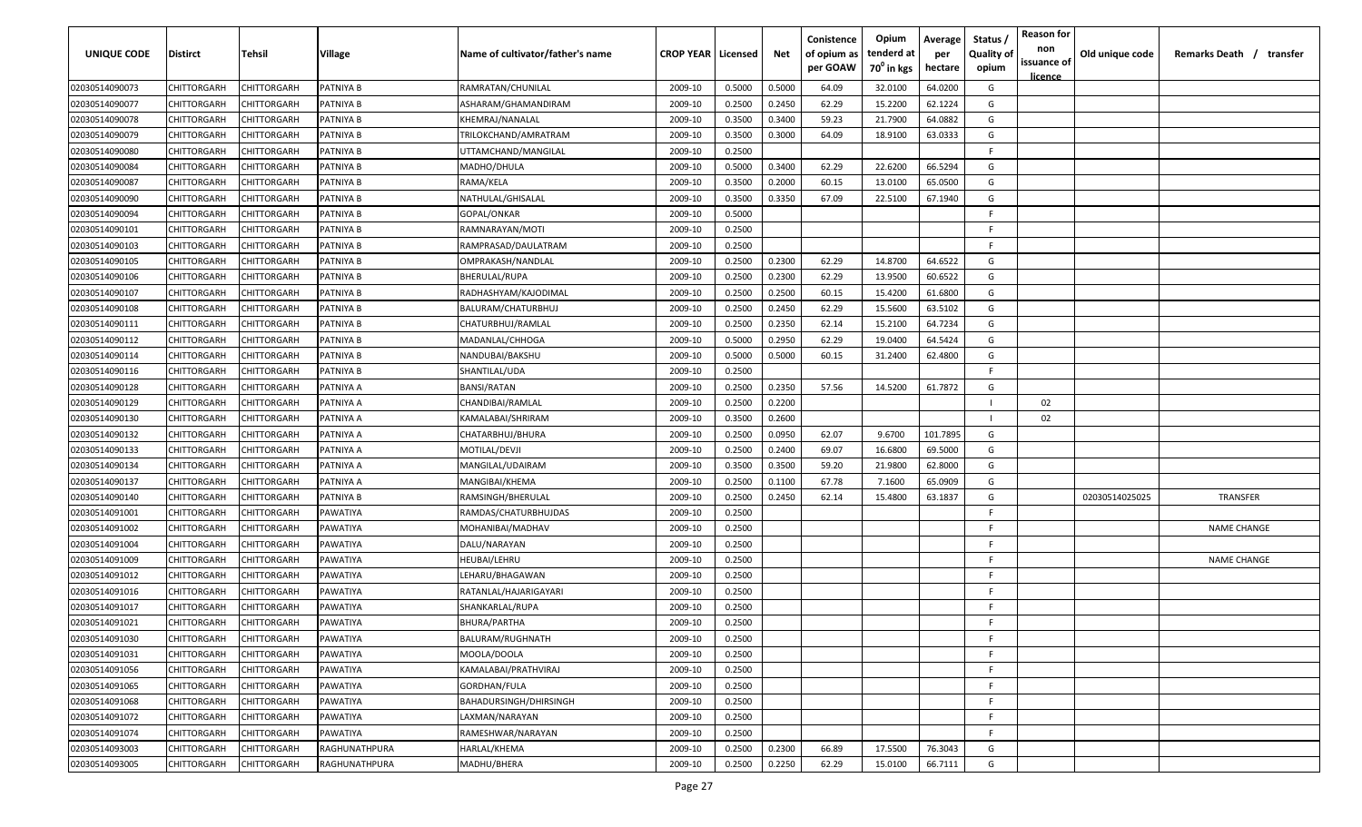| UNIQUE CODE                      | <b>Distirct</b> | Tehsil      | Village          | Name of cultivator/father's name | <b>CROP YEAR   Licensed</b> |        | Net    | Conistence<br>of opium as<br>per GOAW | Opium<br>tenderd at<br>70 <sup>0</sup> in kgs | Average<br>per<br>hectare | Status /<br><b>Quality of</b><br>opium | <b>Reason for</b><br>non<br>issuance of<br>licence | Old unique code | Remarks Death / transfer |
|----------------------------------|-----------------|-------------|------------------|----------------------------------|-----------------------------|--------|--------|---------------------------------------|-----------------------------------------------|---------------------------|----------------------------------------|----------------------------------------------------|-----------------|--------------------------|
| 02030514090073                   | CHITTORGARH     | CHITTORGARH | <b>PATNIYA B</b> | RAMRATAN/CHUNILAL                | 2009-10                     | 0.5000 | 0.5000 | 64.09                                 | 32.0100                                       | 64.0200                   | G                                      |                                                    |                 |                          |
| 02030514090077                   | CHITTORGARH     | CHITTORGARH | PATNIYA B        | ASHARAM/GHAMANDIRAM              | 2009-10                     | 0.2500 | 0.2450 | 62.29                                 | 15.2200                                       | 62.1224                   | G                                      |                                                    |                 |                          |
| 02030514090078                   | CHITTORGARH     | CHITTORGARH | PATNIYA B        | KHEMRAJ/NANALAL                  | 2009-10                     | 0.3500 | 0.3400 | 59.23                                 | 21.7900                                       | 64.0882                   | G                                      |                                                    |                 |                          |
| 02030514090079                   | CHITTORGARH     | CHITTORGARH | PATNIYA B        | TRILOKCHAND/AMRATRAM             | 2009-10                     | 0.3500 | 0.3000 | 64.09                                 | 18.9100                                       | 63.0333                   | G                                      |                                                    |                 |                          |
| 02030514090080                   | CHITTORGARH     | CHITTORGARH | PATNIYA B        | UTTAMCHAND/MANGILAL              | 2009-10                     | 0.2500 |        |                                       |                                               |                           | E                                      |                                                    |                 |                          |
| 02030514090084                   | CHITTORGARH     | CHITTORGARH | PATNIYA B        | MADHO/DHULA                      | 2009-10                     | 0.5000 | 0.3400 | 62.29                                 | 22.6200                                       | 66.5294                   | G                                      |                                                    |                 |                          |
| 02030514090087                   | CHITTORGARH     | CHITTORGARH | PATNIYA B        | RAMA/KELA                        | 2009-10                     | 0.3500 | 0.2000 | 60.15                                 | 13.0100                                       | 65.0500                   | G                                      |                                                    |                 |                          |
| 02030514090090                   | CHITTORGARH     | CHITTORGARH | PATNIYA B        | NATHULAL/GHISALAL                | 2009-10                     | 0.3500 | 0.3350 | 67.09                                 | 22.5100                                       | 67.1940                   | G                                      |                                                    |                 |                          |
| 02030514090094                   | CHITTORGARH     | CHITTORGARH | PATNIYA B        | GOPAL/ONKAR                      | 2009-10                     | 0.5000 |        |                                       |                                               |                           | F.                                     |                                                    |                 |                          |
| 02030514090101                   | CHITTORGARH     | CHITTORGARH | PATNIYA B        | RAMNARAYAN/MOTI                  | 2009-10                     | 0.2500 |        |                                       |                                               |                           | F.                                     |                                                    |                 |                          |
| 02030514090103                   | CHITTORGARH     | CHITTORGARH | PATNIYA B        | RAMPRASAD/DAULATRAM              | 2009-10                     | 0.2500 |        |                                       |                                               |                           | F.                                     |                                                    |                 |                          |
| 02030514090105                   | CHITTORGARH     | CHITTORGARH | PATNIYA B        | OMPRAKASH/NANDLAL                | 2009-10                     | 0.2500 | 0.2300 | 62.29                                 | 14.8700                                       | 64.6522                   | G                                      |                                                    |                 |                          |
| 02030514090106                   | CHITTORGARH     | CHITTORGARH | PATNIYA B        | BHERULAL/RUPA                    | 2009-10                     | 0.2500 | 0.2300 | 62.29                                 | 13.9500                                       | 60.6522                   | G                                      |                                                    |                 |                          |
| 02030514090107                   | CHITTORGARH     | CHITTORGARF | PATNIYA B        | RADHASHYAM/KAJODIMAL             | 2009-10                     | 0.2500 | 0.2500 | 60.15                                 | 15.4200                                       | 61.6800                   | G                                      |                                                    |                 |                          |
| 02030514090108                   | CHITTORGARH     | CHITTORGARF | PATNIYA B        | BALURAM/CHATURBHUJ               | 2009-10                     | 0.2500 | 0.2450 | 62.29                                 | 15.5600                                       | 63.5102                   | G                                      |                                                    |                 |                          |
| 02030514090111                   | CHITTORGARH     | CHITTORGARH | PATNIYA B        | CHATURBHUJ/RAMLAL                | 2009-10                     | 0.2500 | 0.2350 | 62.14                                 | 15.2100                                       | 64.7234                   | G                                      |                                                    |                 |                          |
| 02030514090112                   | CHITTORGARH     | CHITTORGARH | PATNIYA B        | MADANLAL/CHHOGA                  | 2009-10                     | 0.5000 | 0.2950 | 62.29                                 | 19.0400                                       | 64.5424                   | G                                      |                                                    |                 |                          |
| 02030514090114                   | CHITTORGARH     | CHITTORGARH | PATNIYA B        | NANDUBAI/BAKSHU                  | 2009-10                     | 0.5000 | 0.5000 | 60.15                                 | 31.2400                                       | 62.4800                   | G                                      |                                                    |                 |                          |
| 02030514090116                   | CHITTORGARH     | CHITTORGARH | PATNIYA B        | SHANTILAL/UDA                    | 2009-10                     | 0.2500 |        |                                       |                                               |                           | F.                                     |                                                    |                 |                          |
| 02030514090128                   | CHITTORGARH     | CHITTORGARF | PATNIYA A        | BANSI/RATAN                      | 2009-10                     | 0.2500 | 0.2350 | 57.56                                 | 14.5200                                       | 61.7872                   | G                                      |                                                    |                 |                          |
| 02030514090129                   | CHITTORGARH     | CHITTORGARH | PATNIYA A        | CHANDIBAI/RAMLAL                 | 2009-10                     | 0.2500 | 0.2200 |                                       |                                               |                           |                                        | 02                                                 |                 |                          |
| 02030514090130                   | CHITTORGARH     | CHITTORGARH | PATNIYA A        | KAMALABAI/SHRIRAM                | 2009-10                     | 0.3500 | 0.2600 |                                       |                                               |                           |                                        | 02                                                 |                 |                          |
| 02030514090132                   | CHITTORGARH     | CHITTORGARF | PATNIYA A        | CHATARBHUJ/BHURA                 | 2009-10                     | 0.2500 | 0.0950 | 62.07                                 | 9.6700                                        | 101.7895                  | G                                      |                                                    |                 |                          |
| 02030514090133                   | CHITTORGARH     | CHITTORGARF | PATNIYA A        | MOTILAL/DEVJI                    | 2009-10                     | 0.2500 | 0.2400 | 69.07                                 | 16.6800                                       | 69.5000                   | G                                      |                                                    |                 |                          |
| 02030514090134                   | CHITTORGARH     | CHITTORGARH | PATNIYA A        | MANGILAL/UDAIRAM                 | 2009-10                     | 0.3500 | 0.3500 | 59.20                                 | 21.9800                                       | 62.8000                   | G                                      |                                                    |                 |                          |
| 02030514090137                   | CHITTORGARH     | CHITTORGARH | PATNIYA A        | MANGIBAI/KHEMA                   | 2009-10                     | 0.2500 | 0.1100 | 67.78                                 | 7.1600                                        | 65.0909                   | G                                      |                                                    |                 |                          |
| 02030514090140                   | CHITTORGARH     | CHITTORGARH | PATNIYA B        | RAMSINGH/BHERULAL                | 2009-10                     | 0.2500 | 0.2450 | 62.14                                 | 15.4800                                       | 63.1837                   | G                                      |                                                    | 02030514025025  | TRANSFER                 |
| 02030514091001                   | CHITTORGARH     | CHITTORGARH | PAWATIYA         | RAMDAS/CHATURBHUJDAS             | 2009-10                     | 0.2500 |        |                                       |                                               |                           | F.                                     |                                                    |                 |                          |
| 02030514091002                   | CHITTORGARH     | CHITTORGARH | PAWATIYA         | MOHANIBAI/MADHAV                 | 2009-10                     | 0.2500 |        |                                       |                                               |                           | F.                                     |                                                    |                 | <b>NAME CHANGE</b>       |
| 02030514091004                   | CHITTORGARH     | CHITTORGARH | PAWATIYA         | DALU/NARAYAN                     | 2009-10                     | 0.2500 |        |                                       |                                               |                           | F.                                     |                                                    |                 |                          |
| 02030514091009                   | CHITTORGARH     | CHITTORGARF | PAWATIYA         | HEUBAI/LEHRU                     | 2009-10                     | 0.2500 |        |                                       |                                               |                           | F.                                     |                                                    |                 | <b>NAME CHANGE</b>       |
| 02030514091012                   | CHITTORGARH     | CHITTORGARF | PAWATIYA         | LEHARU/BHAGAWAN                  | 2009-10                     | 0.2500 |        |                                       |                                               |                           | F.                                     |                                                    |                 |                          |
| 02030514091016                   | CHITTORGARH     | CHITTORGARH | PAWATIYA         | RATANLAL/HAJARIGAYARI            | 2009-10                     | 0.2500 |        |                                       |                                               |                           | F                                      |                                                    |                 |                          |
| 02030514091017                   | CHITTORGARH     | CHITTORGARH | PAWATIYA         | SHANKARLAL/RUPA                  | 2009-10                     | 0.2500 |        |                                       |                                               |                           | F.<br>F.                               |                                                    |                 |                          |
| 02030514091021                   | CHITTORGARH     | CHITTORGARH | PAWATIYA         | BHURA/PARTHA                     | 2009-10                     | 0.2500 |        |                                       |                                               |                           |                                        |                                                    |                 |                          |
| 02030514091030                   | CHITTORGARH     | CHITTORGARH | PAWATIYA         | BALURAM/RUGHNATH                 | 2009-10                     | 0.2500 |        |                                       |                                               |                           | F.                                     |                                                    |                 |                          |
| 02030514091031                   | CHITTORGARH     | CHITTORGARH | PAWATIYA         | MOOLA/DOOLA                      | 2009-10                     | 0.2500 |        |                                       |                                               |                           | F.<br>F.                               |                                                    |                 |                          |
| 02030514091056                   | CHITTORGARH     | CHITTORGARH | PAWATIYA         | KAMALABAI/PRATHVIRAJ             | 2009-10                     | 0.2500 |        |                                       |                                               |                           |                                        |                                                    |                 |                          |
| 02030514091065                   | CHITTORGARH     | CHITTORGARH | PAWATIYA         | GORDHAN/FULA                     | 2009-10                     | 0.2500 |        |                                       |                                               |                           | F.<br>F.                               |                                                    |                 |                          |
| 02030514091068                   | CHITTORGARH     | CHITTORGARH | PAWATIYA         | BAHADURSINGH/DHIRSINGH           | 2009-10                     | 0.2500 |        |                                       |                                               |                           | F.                                     |                                                    |                 |                          |
| 02030514091072<br>02030514091074 | CHITTORGARH     | CHITTORGARH | PAWATIYA         | LAXMAN/NARAYAN                   | 2009-10                     | 0.2500 |        |                                       |                                               |                           | F.                                     |                                                    |                 |                          |
|                                  | CHITTORGARH     | CHITTORGARH | PAWATIYA         | RAMESHWAR/NARAYAN                | 2009-10                     | 0.2500 |        |                                       |                                               |                           |                                        |                                                    |                 |                          |
| 02030514093003                   | CHITTORGARH     | CHITTORGARH | RAGHUNATHPURA    | HARLAL/KHEMA                     | 2009-10                     | 0.2500 | 0.2300 | 66.89                                 | 17.5500                                       | 76.3043                   | G                                      |                                                    |                 |                          |
| 02030514093005                   | CHITTORGARH     | CHITTORGARH | RAGHUNATHPURA    | MADHU/BHERA                      | 2009-10                     | 0.2500 | 0.2250 | 62.29                                 | 15.0100                                       | 66.7111                   | G                                      |                                                    |                 |                          |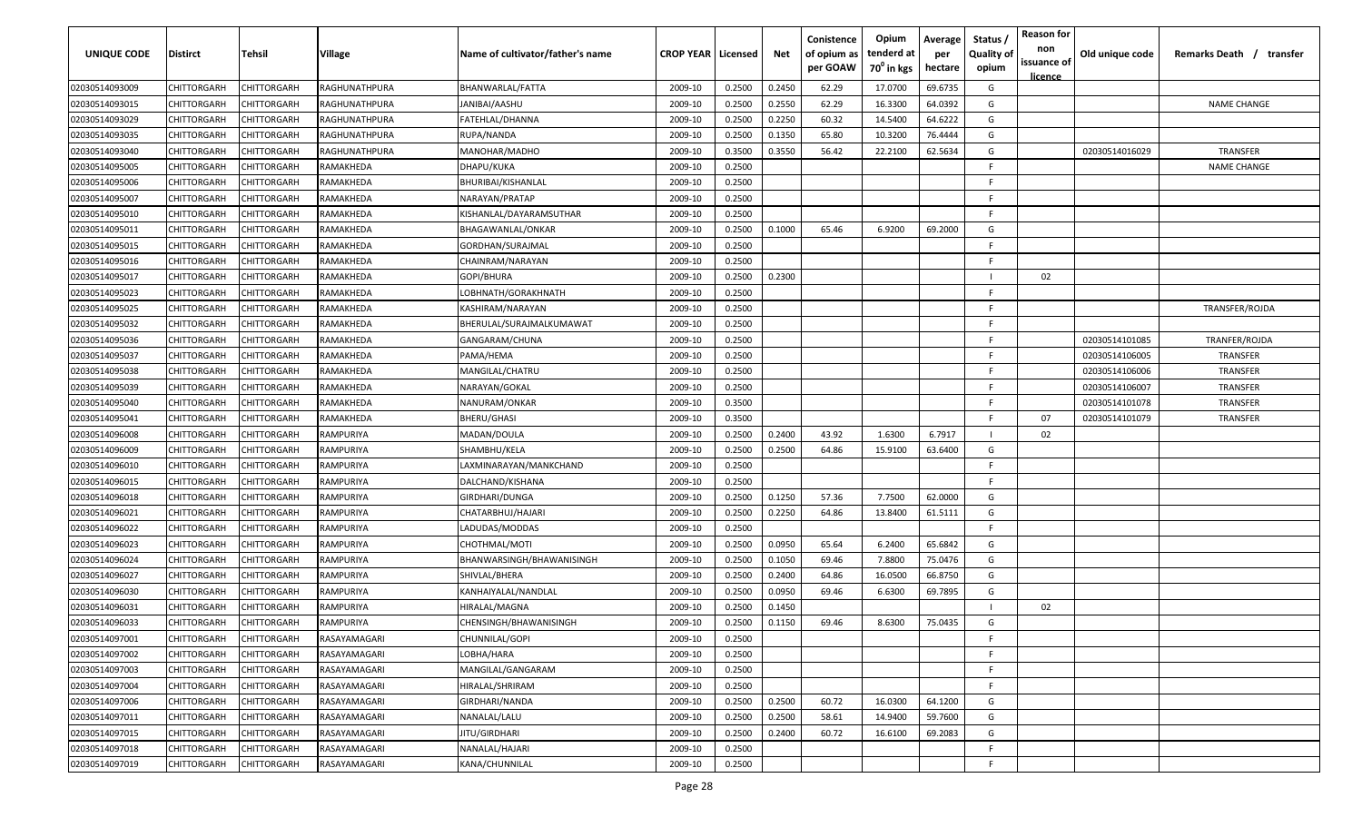| <b>UNIQUE CODE</b> | Distirct           | Tehsil             | Village       | Name of cultivator/father's name | <b>CROP YEAR   Licensed</b> |        | Net    | Conistence<br>of opium as<br>per GOAW | Opium<br>tenderd at<br>$70^0$ in kgs | Average<br>per<br>hectare | Status /<br><b>Quality of</b><br>opium | <b>Reason for</b><br>non<br>issuance of<br>licence | Old unique code | Remarks Death /<br>transfer |
|--------------------|--------------------|--------------------|---------------|----------------------------------|-----------------------------|--------|--------|---------------------------------------|--------------------------------------|---------------------------|----------------------------------------|----------------------------------------------------|-----------------|-----------------------------|
| 02030514093009     | CHITTORGARH        | CHITTORGARH        | RAGHUNATHPURA | BHANWARLAL/FATTA                 | 2009-10                     | 0.2500 | 0.2450 | 62.29                                 | 17.0700                              | 69.6735                   | G                                      |                                                    |                 |                             |
| 02030514093015     | CHITTORGARH        | CHITTORGARH        | RAGHUNATHPURA | JANIBAI/AASHU                    | 2009-10                     | 0.2500 | 0.2550 | 62.29                                 | 16.3300                              | 64.0392                   | G                                      |                                                    |                 | <b>NAME CHANGE</b>          |
| 02030514093029     | CHITTORGARH        | CHITTORGARH        | RAGHUNATHPURA | FATEHLAL/DHANNA                  | 2009-10                     | 0.2500 | 0.2250 | 60.32                                 | 14.5400                              | 64.6222                   | G                                      |                                                    |                 |                             |
| 02030514093035     | CHITTORGARH        | CHITTORGARH        | RAGHUNATHPURA | RUPA/NANDA                       | 2009-10                     | 0.2500 | 0.1350 | 65.80                                 | 10.3200                              | 76.4444                   | G                                      |                                                    |                 |                             |
| 02030514093040     | CHITTORGARH        | CHITTORGARH        | RAGHUNATHPURA | MANOHAR/MADHO                    | 2009-10                     | 0.3500 | 0.3550 | 56.42                                 | 22.2100                              | 62.5634                   | G                                      |                                                    | 02030514016029  | <b>TRANSFER</b>             |
| 02030514095005     | CHITTORGARH        | CHITTORGARH        | RAMAKHEDA     | DHAPU/KUKA                       | 2009-10                     | 0.2500 |        |                                       |                                      |                           | F.                                     |                                                    |                 | <b>NAME CHANGE</b>          |
| 02030514095006     | CHITTORGARH        | CHITTORGARH        | RAMAKHEDA     | BHURIBAI/KISHANLAL               | 2009-10                     | 0.2500 |        |                                       |                                      |                           | F.                                     |                                                    |                 |                             |
| 02030514095007     | CHITTORGARH        | CHITTORGARH        | RAMAKHEDA     | NARAYAN/PRATAP                   | 2009-10                     | 0.2500 |        |                                       |                                      |                           | E                                      |                                                    |                 |                             |
| 02030514095010     | CHITTORGARH        | <b>CHITTORGARH</b> | RAMAKHEDA     | KISHANLAL/DAYARAMSUTHAR          | 2009-10                     | 0.2500 |        |                                       |                                      |                           | -F.                                    |                                                    |                 |                             |
| 02030514095011     | CHITTORGARH        | CHITTORGARH        | RAMAKHEDA     | BHAGAWANLAL/ONKAR                | 2009-10                     | 0.2500 | 0.1000 | 65.46                                 | 6.9200                               | 69.2000                   | G                                      |                                                    |                 |                             |
| 02030514095015     | CHITTORGARH        | CHITTORGARH        | RAMAKHEDA     | GORDHAN/SURAJMAL                 | 2009-10                     | 0.2500 |        |                                       |                                      |                           | F.                                     |                                                    |                 |                             |
| 02030514095016     | CHITTORGARH        | CHITTORGARH        | RAMAKHEDA     | CHAINRAM/NARAYAN                 | 2009-10                     | 0.2500 |        |                                       |                                      |                           | F.                                     |                                                    |                 |                             |
| 02030514095017     | CHITTORGARH        | CHITTORGARH        | RAMAKHEDA     | GOPI/BHURA                       | 2009-10                     | 0.2500 | 0.2300 |                                       |                                      |                           |                                        | 02                                                 |                 |                             |
| 02030514095023     | CHITTORGARH        | CHITTORGARH        | RAMAKHEDA     | LOBHNATH/GORAKHNATH              | 2009-10                     | 0.2500 |        |                                       |                                      |                           | F.                                     |                                                    |                 |                             |
| 02030514095025     | CHITTORGARH        | CHITTORGARH        | RAMAKHEDA     | KASHIRAM/NARAYAN                 | 2009-10                     | 0.2500 |        |                                       |                                      |                           | F.                                     |                                                    |                 | TRANSFER/ROJDA              |
| 02030514095032     | CHITTORGARH        | CHITTORGARH        | RAMAKHEDA     | BHERULAL/SURAJMALKUMAWAT         | 2009-10                     | 0.2500 |        |                                       |                                      |                           | F                                      |                                                    |                 |                             |
| 02030514095036     | CHITTORGARH        | CHITTORGARH        | RAMAKHEDA     | GANGARAM/CHUNA                   | 2009-10                     | 0.2500 |        |                                       |                                      |                           | E                                      |                                                    | 02030514101085  | TRANFER/ROJDA               |
| 02030514095037     | CHITTORGARH        | CHITTORGARH        | RAMAKHEDA     | PAMA/HEMA                        | 2009-10                     | 0.2500 |        |                                       |                                      |                           | E                                      |                                                    | 02030514106005  | <b>TRANSFER</b>             |
| 02030514095038     | CHITTORGARH        | CHITTORGARH        | RAMAKHEDA     | MANGILAL/CHATRU                  | 2009-10                     | 0.2500 |        |                                       |                                      |                           | F                                      |                                                    | 02030514106006  | TRANSFER                    |
| 02030514095039     | CHITTORGARH        | CHITTORGARH        | RAMAKHEDA     | NARAYAN/GOKAL                    | 2009-10                     | 0.2500 |        |                                       |                                      |                           | E                                      |                                                    | 02030514106007  | TRANSFER                    |
| 02030514095040     | CHITTORGARH        | CHITTORGARH        | RAMAKHEDA     | NANURAM/ONKAR                    | 2009-10                     | 0.3500 |        |                                       |                                      |                           | F.                                     |                                                    | 02030514101078  | TRANSFER                    |
| 02030514095041     | CHITTORGARH        | CHITTORGARH        | RAMAKHEDA     | BHERU/GHASI                      | 2009-10                     | 0.3500 |        |                                       |                                      |                           | F.                                     | 07                                                 | 02030514101079  | TRANSFER                    |
| 02030514096008     | CHITTORGARH        | CHITTORGARH        | RAMPURIYA     | MADAN/DOULA                      | 2009-10                     | 0.2500 | 0.2400 | 43.92                                 | 1.6300                               | 6.7917                    |                                        | 02                                                 |                 |                             |
| 02030514096009     | CHITTORGARH        | CHITTORGARH        | RAMPURIYA     | SHAMBHU/KELA                     | 2009-10                     | 0.2500 | 0.2500 | 64.86                                 | 15.9100                              | 63.6400                   | G                                      |                                                    |                 |                             |
| 02030514096010     | CHITTORGARH        | CHITTORGARH        | RAMPURIYA     | LAXMINARAYAN/MANKCHAND           | 2009-10                     | 0.2500 |        |                                       |                                      |                           | -F.                                    |                                                    |                 |                             |
| 02030514096015     | CHITTORGARH        | CHITTORGARH        | RAMPURIYA     | DALCHAND/KISHANA                 | 2009-10                     | 0.2500 |        |                                       |                                      |                           | -F.                                    |                                                    |                 |                             |
| 02030514096018     | CHITTORGARH        | CHITTORGARH        | RAMPURIYA     | GIRDHARI/DUNGA                   | 2009-10                     | 0.2500 | 0.1250 | 57.36                                 | 7.7500                               | 62.0000                   | G                                      |                                                    |                 |                             |
| 02030514096021     | CHITTORGARH        | CHITTORGARH        | RAMPURIYA     | CHATARBHUJ/HAJARI                | 2009-10                     | 0.2500 | 0.2250 | 64.86                                 | 13.8400                              | 61.5111                   | G                                      |                                                    |                 |                             |
| 02030514096022     | CHITTORGARH        | CHITTORGARH        | RAMPURIYA     | LADUDAS/MODDAS                   | 2009-10                     | 0.2500 |        |                                       |                                      |                           | -F.                                    |                                                    |                 |                             |
| 02030514096023     | CHITTORGARH        | CHITTORGARH        | RAMPURIYA     | CHOTHMAL/MOTI                    | 2009-10                     | 0.2500 | 0.0950 | 65.64                                 | 6.2400                               | 65.6842                   | G                                      |                                                    |                 |                             |
| 02030514096024     | CHITTORGARH        | CHITTORGARH        | RAMPURIYA     | BHANWARSINGH/BHAWANISINGH        | 2009-10                     | 0.2500 | 0.1050 | 69.46                                 | 7.8800                               | 75.0476                   | G                                      |                                                    |                 |                             |
| 02030514096027     | CHITTORGARH        | CHITTORGARH        | RAMPURIYA     | SHIVLAL/BHERA                    | 2009-10                     | 0.2500 | 0.2400 | 64.86                                 | 16.0500                              | 66.8750                   | G                                      |                                                    |                 |                             |
| 02030514096030     | CHITTORGARH        | CHITTORGARH        | RAMPURIYA     | KANHAIYALAL/NANDLAL              | 2009-10                     | 0.2500 | 0.0950 | 69.46                                 | 6.6300                               | 69.7895                   | G                                      |                                                    |                 |                             |
| 02030514096031     | CHITTORGARH        | CHITTORGARF        | RAMPURIYA     | HIRALAL/MAGNA                    | 2009-10                     | 0.2500 | 0.1450 |                                       |                                      |                           |                                        | 02                                                 |                 |                             |
| 02030514096033     | CHITTORGARH        | CHITTORGARH        | RAMPURIYA     | CHENSINGH/BHAWANISINGH           | 2009-10                     | 0.2500 | 0.1150 | 69.46                                 | 8.6300                               | 75.0435                   | G                                      |                                                    |                 |                             |
| 02030514097001     | CHITTORGARH        | <b>CHITTORGARH</b> | RASAYAMAGARI  | CHUNNILAL/GOPI                   | 2009-10                     | 0.2500 |        |                                       |                                      |                           | F                                      |                                                    |                 |                             |
| 02030514097002     | <b>CHITTORGARH</b> | CHITTORGARH        | RASAYAMAGARI  | LOBHA/HARA                       | 2009-10                     | 0.2500 |        |                                       |                                      |                           | F                                      |                                                    |                 |                             |
| 02030514097003     | <b>CHITTORGARH</b> | CHITTORGARH        | RASAYAMAGARI  | MANGILAL/GANGARAM                | 2009-10                     | 0.2500 |        |                                       |                                      |                           | F                                      |                                                    |                 |                             |
| 02030514097004     | CHITTORGARH        | CHITTORGARH        | RASAYAMAGARI  | HIRALAL/SHRIRAM                  | 2009-10                     | 0.2500 |        |                                       |                                      |                           | F                                      |                                                    |                 |                             |
| 02030514097006     | CHITTORGARH        | CHITTORGARH        | RASAYAMAGARI  | GIRDHARI/NANDA                   | 2009-10                     | 0.2500 | 0.2500 | 60.72                                 | 16.0300                              | 64.1200                   | G                                      |                                                    |                 |                             |
| 02030514097011     | CHITTORGARH        | CHITTORGARH        | RASAYAMAGARI  | NANALAL/LALU                     | 2009-10                     | 0.2500 | 0.2500 | 58.61                                 | 14.9400                              | 59.7600                   | G                                      |                                                    |                 |                             |
| 02030514097015     | CHITTORGARH        | CHITTORGARH        | RASAYAMAGARI  | JITU/GIRDHARI                    | 2009-10                     | 0.2500 | 0.2400 | 60.72                                 | 16.6100                              | 69.2083                   | G                                      |                                                    |                 |                             |
| 02030514097018     | CHITTORGARH        | CHITTORGARH        | RASAYAMAGARI  | NANALAL/HAJARI                   | 2009-10                     | 0.2500 |        |                                       |                                      |                           | -F                                     |                                                    |                 |                             |
| 02030514097019     | <b>CHITTORGARH</b> | CHITTORGARH        | RASAYAMAGARI  | KANA/CHUNNILAL                   | 2009-10                     | 0.2500 |        |                                       |                                      |                           | F.                                     |                                                    |                 |                             |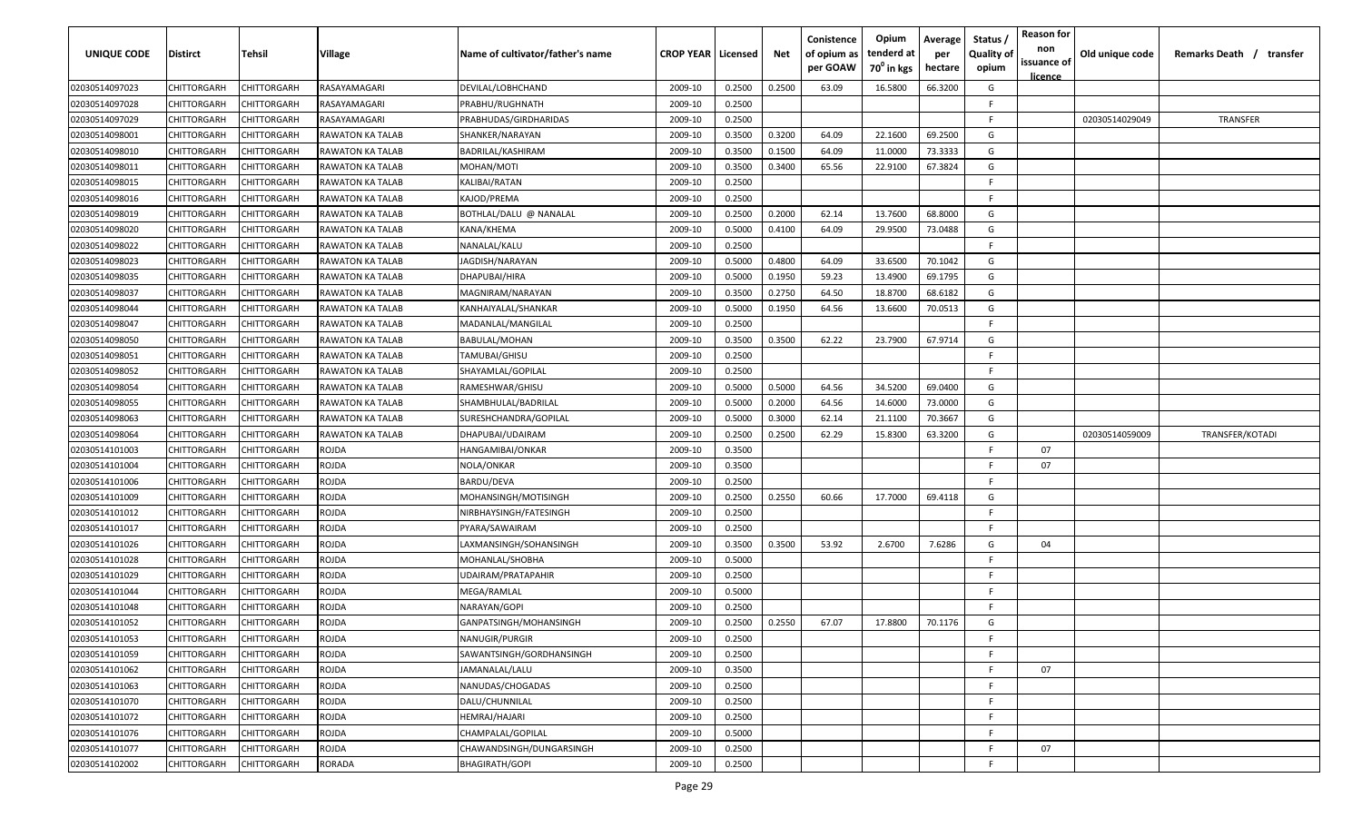| <b>UNIQUE CODE</b> | <b>Distirct</b>    | <b>Tehsil</b>      | Village                 | Name of cultivator/father's name | <b>CROP YEAR   Licensed</b> |        | Net    | Conistence<br>of opium as<br>per GOAW | Opium<br>tenderd at<br>70 <sup>0</sup> in kgs | Average<br>per<br>hectare | Status /<br><b>Quality of</b><br>opium | <b>Reason for</b><br>non<br>issuance of<br><u>licence</u> | Old unique code | Remarks Death /<br>transfer |
|--------------------|--------------------|--------------------|-------------------------|----------------------------------|-----------------------------|--------|--------|---------------------------------------|-----------------------------------------------|---------------------------|----------------------------------------|-----------------------------------------------------------|-----------------|-----------------------------|
| 02030514097023     | CHITTORGARH        | CHITTORGARH        | RASAYAMAGARI            | DEVILAL/LOBHCHAND                | 2009-10                     | 0.2500 | 0.2500 | 63.09                                 | 16.5800                                       | 66.3200                   | G                                      |                                                           |                 |                             |
| 02030514097028     | CHITTORGARH        | CHITTORGARH        | RASAYAMAGARI            | PRABHU/RUGHNATH                  | 2009-10                     | 0.2500 |        |                                       |                                               |                           | -F.                                    |                                                           |                 |                             |
| 02030514097029     | CHITTORGARH        | CHITTORGARH        | RASAYAMAGARI            | PRABHUDAS/GIRDHARIDAS            | 2009-10                     | 0.2500 |        |                                       |                                               |                           | -F.                                    |                                                           | 02030514029049  | TRANSFER                    |
| 02030514098001     | CHITTORGARH        | CHITTORGARH        | RAWATON KA TALAB        | SHANKER/NARAYAN                  | 2009-10                     | 0.3500 | 0.3200 | 64.09                                 | 22.1600                                       | 69.2500                   | G                                      |                                                           |                 |                             |
| 02030514098010     | CHITTORGARH        | CHITTORGARH        | RAWATON KA TALAB        | BADRILAL/KASHIRAM                | 2009-10                     | 0.3500 | 0.1500 | 64.09                                 | 11.0000                                       | 73.3333                   | G                                      |                                                           |                 |                             |
| 02030514098011     | CHITTORGARH        | CHITTORGARH        | <b>RAWATON KA TALAB</b> | MOHAN/MOTI                       | 2009-10                     | 0.3500 | 0.3400 | 65.56                                 | 22.9100                                       | 67.3824                   | G                                      |                                                           |                 |                             |
| 02030514098015     | CHITTORGARH        | CHITTORGARH        | <b>RAWATON KA TALAB</b> | KALIBAI/RATAN                    | 2009-10                     | 0.2500 |        |                                       |                                               |                           | -F                                     |                                                           |                 |                             |
| 02030514098016     | CHITTORGARH        | CHITTORGARH        | RAWATON KA TALAB        | KAJOD/PREMA                      | 2009-10                     | 0.2500 |        |                                       |                                               |                           | -F.                                    |                                                           |                 |                             |
| 02030514098019     | CHITTORGARH        | CHITTORGARH        | RAWATON KA TALAB        | BOTHLAL/DALU @ NANALAL           | 2009-10                     | 0.2500 | 0.2000 | 62.14                                 | 13.7600                                       | 68.8000                   | G                                      |                                                           |                 |                             |
| 02030514098020     | CHITTORGARH        | CHITTORGARH        | RAWATON KA TALAB        | KANA/KHEMA                       | 2009-10                     | 0.5000 | 0.4100 | 64.09                                 | 29.9500                                       | 73.0488                   | G                                      |                                                           |                 |                             |
| 02030514098022     | CHITTORGARH        | CHITTORGARH        | RAWATON KA TALAB        | NANALAL/KALU                     | 2009-10                     | 0.2500 |        |                                       |                                               |                           | F.                                     |                                                           |                 |                             |
| 02030514098023     | CHITTORGARH        | CHITTORGARH        | RAWATON KA TALAB        | IAGDISH/NARAYAN                  | 2009-10                     | 0.5000 | 0.4800 | 64.09                                 | 33.6500                                       | 70.1042                   | G                                      |                                                           |                 |                             |
| 02030514098035     | CHITTORGARH        | CHITTORGARH        | RAWATON KA TALAB        | DHAPUBAI/HIRA                    | 2009-10                     | 0.5000 | 0.1950 | 59.23                                 | 13.4900                                       | 69.1795                   | G                                      |                                                           |                 |                             |
| 02030514098037     | CHITTORGARH        | CHITTORGARH        | RAWATON KA TALAB        | MAGNIRAM/NARAYAN                 | 2009-10                     | 0.3500 | 0.2750 | 64.50                                 | 18.8700                                       | 68.6182                   | G                                      |                                                           |                 |                             |
| 02030514098044     | CHITTORGARH        | CHITTORGARH        | RAWATON KA TALAB        | KANHAIYALAL/SHANKAR              | 2009-10                     | 0.5000 | 0.1950 | 64.56                                 | 13.6600                                       | 70.0513                   | G                                      |                                                           |                 |                             |
| 02030514098047     | CHITTORGARH        | CHITTORGARH        | RAWATON KA TALAB        | MADANLAL/MANGILAL                | 2009-10                     | 0.2500 |        |                                       |                                               |                           | -F.                                    |                                                           |                 |                             |
| 02030514098050     | CHITTORGARH        | CHITTORGARH        | RAWATON KA TALAB        | BABULAL/MOHAN                    | 2009-10                     | 0.3500 | 0.3500 | 62.22                                 | 23.7900                                       | 67.9714                   | G                                      |                                                           |                 |                             |
| 02030514098051     | CHITTORGARH        | CHITTORGARH        | RAWATON KA TALAB        | TAMUBAI/GHISU                    | 2009-10                     | 0.2500 |        |                                       |                                               |                           | -F.                                    |                                                           |                 |                             |
| 02030514098052     | CHITTORGARH        | CHITTORGARH        | RAWATON KA TALAB        | SHAYAMLAL/GOPILAL                | 2009-10                     | 0.2500 |        |                                       |                                               |                           | -F.                                    |                                                           |                 |                             |
| 02030514098054     | CHITTORGARH        | CHITTORGARH        | RAWATON KA TALAB        | RAMESHWAR/GHISU                  | 2009-10                     | 0.5000 | 0.5000 | 64.56                                 | 34.5200                                       | 69.0400                   | G                                      |                                                           |                 |                             |
| 02030514098055     | CHITTORGARH        | CHITTORGARH        | RAWATON KA TALAB        | SHAMBHULAL/BADRILAL              | 2009-10                     | 0.5000 | 0.2000 | 64.56                                 | 14.6000                                       | 73.0000                   | G                                      |                                                           |                 |                             |
| 02030514098063     | CHITTORGARH        | CHITTORGARH        | RAWATON KA TALAB        | SURESHCHANDRA/GOPILAL            | 2009-10                     | 0.5000 | 0.3000 | 62.14                                 | 21.1100                                       | 70.3667                   | G                                      |                                                           |                 |                             |
| 02030514098064     | CHITTORGARH        | CHITTORGARH        | RAWATON KA TALAB        | DHAPUBAI/UDAIRAM                 | 2009-10                     | 0.2500 | 0.2500 | 62.29                                 | 15.8300                                       | 63.3200                   | G                                      |                                                           | 02030514059009  | TRANSFER/KOTADI             |
| 02030514101003     | CHITTORGARH        | CHITTORGARH        | ROJDA                   | HANGAMIBAI/ONKAR                 | 2009-10                     | 0.3500 |        |                                       |                                               |                           | F.                                     | 07                                                        |                 |                             |
| 02030514101004     | CHITTORGARH        | CHITTORGARH        | rojda                   | NOLA/ONKAR                       | 2009-10                     | 0.3500 |        |                                       |                                               |                           | -F                                     | 07                                                        |                 |                             |
| 02030514101006     | CHITTORGARH        | CHITTORGARH        | ROJDA                   | BARDU/DEVA                       | 2009-10                     | 0.2500 |        |                                       |                                               |                           | -F.                                    |                                                           |                 |                             |
| 02030514101009     | CHITTORGARH        | CHITTORGARH        | ROJDA                   | MOHANSINGH/MOTISINGH             | 2009-10                     | 0.2500 | 0.2550 | 60.66                                 | 17.7000                                       | 69.4118                   | G                                      |                                                           |                 |                             |
| 02030514101012     | CHITTORGARH        | CHITTORGARH        | ROJDA                   | NIRBHAYSINGH/FATESINGH           | 2009-10                     | 0.2500 |        |                                       |                                               |                           | F.                                     |                                                           |                 |                             |
| 02030514101017     | CHITTORGARH        | CHITTORGARH        | ROJDA                   | PYARA/SAWAIRAM                   | 2009-10                     | 0.2500 |        |                                       |                                               |                           | -F.                                    |                                                           |                 |                             |
| 02030514101026     | CHITTORGARH        | CHITTORGARH        | rojda                   | LAXMANSINGH/SOHANSINGH           | 2009-10                     | 0.3500 | 0.3500 | 53.92                                 | 2.6700                                        | 7.6286                    | G                                      | 04                                                        |                 |                             |
| 02030514101028     | CHITTORGARH        | CHITTORGARH        | ROJDA                   | MOHANLAL/SHOBHA                  | 2009-10                     | 0.5000 |        |                                       |                                               |                           | -F.                                    |                                                           |                 |                             |
| 02030514101029     | CHITTORGARH        | CHITTORGARH        | rojda                   | UDAIRAM/PRATAPAHIR               | 2009-10                     | 0.2500 |        |                                       |                                               |                           | -F.                                    |                                                           |                 |                             |
| 02030514101044     | CHITTORGARH        | CHITTORGARH        | ROJDA                   | MEGA/RAMLAL                      | 2009-10                     | 0.5000 |        |                                       |                                               |                           | -F.                                    |                                                           |                 |                             |
| 02030514101048     | CHITTORGARH        | CHITTORGARH        | ROJDA                   | NARAYAN/GOPI                     | 2009-10                     | 0.2500 |        |                                       |                                               |                           | -F.                                    |                                                           |                 |                             |
| 02030514101052     | <b>CHITTORGARH</b> | CHITTORGARH        | ROJDA                   | GANPATSINGH/MOHANSINGH           | 2009-10                     | 0.2500 | 0.2550 | 67.07                                 | 17.8800                                       | 70.1176                   | G                                      |                                                           |                 |                             |
| 02030514101053     | CHITTORGARH        | <b>CHITTORGARH</b> | ROJDA                   | NANUGIR/PURGIR                   | 2009-10                     | 0.2500 |        |                                       |                                               |                           | F                                      |                                                           |                 |                             |
| 02030514101059     | <b>CHITTORGARH</b> | CHITTORGARH        | ROJDA                   | SAWANTSINGH/GORDHANSINGH         | 2009-10                     | 0.2500 |        |                                       |                                               |                           | F.                                     |                                                           |                 |                             |
| 02030514101062     | <b>CHITTORGARH</b> | CHITTORGARH        | ROJDA                   | JAMANALAL/LALU                   | 2009-10                     | 0.3500 |        |                                       |                                               |                           | F.                                     | 07                                                        |                 |                             |
| 02030514101063     | <b>CHITTORGARH</b> | CHITTORGARH        | ROJDA                   | NANUDAS/CHOGADAS                 | 2009-10                     | 0.2500 |        |                                       |                                               |                           | F                                      |                                                           |                 |                             |
| 02030514101070     | CHITTORGARH        | CHITTORGARH        | ROJDA                   | DALU/CHUNNILAL                   | 2009-10                     | 0.2500 |        |                                       |                                               |                           | F.                                     |                                                           |                 |                             |
| 02030514101072     | CHITTORGARH        | CHITTORGARH        | ROJDA                   | HEMRAJ/HAJARI                    | 2009-10                     | 0.2500 |        |                                       |                                               |                           | F                                      |                                                           |                 |                             |
| 02030514101076     | CHITTORGARH        | CHITTORGARH        | ROJDA                   | CHAMPALAL/GOPILAL                | 2009-10                     | 0.5000 |        |                                       |                                               |                           | F.                                     |                                                           |                 |                             |
| 02030514101077     | <b>CHITTORGARH</b> | CHITTORGARH        | ROJDA                   | CHAWANDSINGH/DUNGARSINGH         | 2009-10                     | 0.2500 |        |                                       |                                               |                           | F.                                     | 07                                                        |                 |                             |
| 02030514102002     | CHITTORGARH        | CHITTORGARH        | RORADA                  | BHAGIRATH/GOPI                   | 2009-10                     | 0.2500 |        |                                       |                                               |                           | F.                                     |                                                           |                 |                             |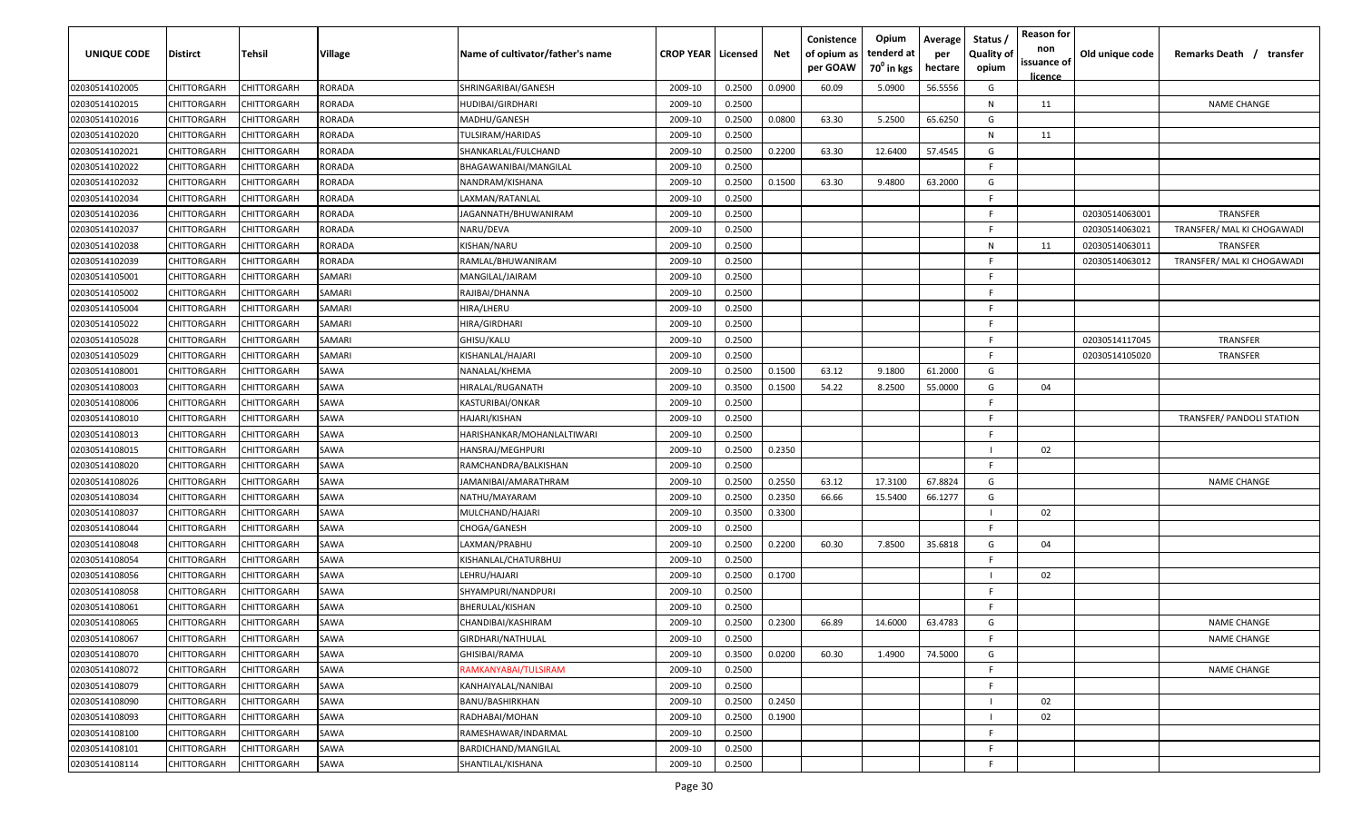| UNIQUE CODE    | Distirct    | Tehsil             | Village | Name of cultivator/father's name | <b>CROP YEAR   Licensed</b> |        | Net    | Conistence<br>of opium as<br>per GOAW | Opium<br>tenderd at<br>70 <sup>0</sup> in kgs | Average<br>per<br>hectare | Status,<br><b>Quality of</b><br>opium | <b>Reason for</b><br>non<br>issuance of<br><u>licence</u> | Old unique code | Remarks Death /<br>transfer      |
|----------------|-------------|--------------------|---------|----------------------------------|-----------------------------|--------|--------|---------------------------------------|-----------------------------------------------|---------------------------|---------------------------------------|-----------------------------------------------------------|-----------------|----------------------------------|
| 02030514102005 | CHITTORGARH | CHITTORGARH        | RORADA  | SHRINGARIBAI/GANESH              | 2009-10                     | 0.2500 | 0.0900 | 60.09                                 | 5.0900                                        | 56.5556                   | G                                     |                                                           |                 |                                  |
| 02030514102015 | CHITTORGARH | CHITTORGARH        | RORADA  | <b>HUDIBAI/GIRDHARI</b>          | 2009-10                     | 0.2500 |        |                                       |                                               |                           | N                                     | 11                                                        |                 | <b>NAME CHANGE</b>               |
| 02030514102016 | CHITTORGARH | CHITTORGARH        | RORADA  | MADHU/GANESH                     | 2009-10                     | 0.2500 | 0.0800 | 63.30                                 | 5.2500                                        | 65.6250                   | G                                     |                                                           |                 |                                  |
| 02030514102020 | CHITTORGARH | CHITTORGARH        | RORADA  | TULSIRAM/HARIDAS                 | 2009-10                     | 0.2500 |        |                                       |                                               |                           | N                                     | 11                                                        |                 |                                  |
| 02030514102021 | CHITTORGARH | CHITTORGARH        | RORADA  | SHANKARLAL/FULCHAND              | 2009-10                     | 0.2500 | 0.2200 | 63.30                                 | 12.6400                                       | 57.4545                   | G                                     |                                                           |                 |                                  |
| 02030514102022 | CHITTORGARH | CHITTORGARH        | RORADA  | BHAGAWANIBAI/MANGILAL            | 2009-10                     | 0.2500 |        |                                       |                                               |                           | -F                                    |                                                           |                 |                                  |
| 02030514102032 | CHITTORGARH | <b>CHITTORGARH</b> | RORADA  | NANDRAM/KISHANA                  | 2009-10                     | 0.2500 | 0.1500 | 63.30                                 | 9.4800                                        | 63.2000                   | G                                     |                                                           |                 |                                  |
| 02030514102034 | CHITTORGARH | <b>CHITTORGARH</b> | RORADA  | LAXMAN/RATANLAL                  | 2009-10                     | 0.2500 |        |                                       |                                               |                           | E.                                    |                                                           |                 |                                  |
| 02030514102036 | CHITTORGARH | CHITTORGARH        | RORADA  | JAGANNATH/BHUWANIRAM             | 2009-10                     | 0.2500 |        |                                       |                                               |                           | -F                                    |                                                           | 02030514063001  | TRANSFER                         |
| 02030514102037 | CHITTORGARH | CHITTORGARH        | RORADA  | NARU/DEVA                        | 2009-10                     | 0.2500 |        |                                       |                                               |                           | F.                                    |                                                           | 02030514063021  | TRANSFER/ MAL KI CHOGAWADI       |
| 02030514102038 | CHITTORGARH | CHITTORGARH        | RORADA  | KISHAN/NARU                      | 2009-10                     | 0.2500 |        |                                       |                                               |                           | N                                     | 11                                                        | 02030514063011  | TRANSFER                         |
| 02030514102039 | CHITTORGARH | CHITTORGARH        | RORADA  | RAMLAL/BHUWANIRAM                | 2009-10                     | 0.2500 |        |                                       |                                               |                           | F.                                    |                                                           | 02030514063012  | TRANSFER/ MAL KI CHOGAWADI       |
| 02030514105001 | CHITTORGARH | CHITTORGARH        | SAMARI  | MANGILAL/JAIRAM                  | 2009-10                     | 0.2500 |        |                                       |                                               |                           | -F                                    |                                                           |                 |                                  |
| 02030514105002 | CHITTORGARH | CHITTORGARH        | SAMARI  | RAJIBAI/DHANNA                   | 2009-10                     | 0.2500 |        |                                       |                                               |                           | F.                                    |                                                           |                 |                                  |
| 02030514105004 | CHITTORGARH | CHITTORGARH        | SAMARI  | HIRA/LHERU                       | 2009-10                     | 0.2500 |        |                                       |                                               |                           | -F                                    |                                                           |                 |                                  |
| 02030514105022 | CHITTORGARH | CHITTORGARH        | SAMARI  | HIRA/GIRDHARI                    | 2009-10                     | 0.2500 |        |                                       |                                               |                           | -F                                    |                                                           |                 |                                  |
| 02030514105028 | CHITTORGARH | CHITTORGARH        | SAMARI  | GHISU/KALU                       | 2009-10                     | 0.2500 |        |                                       |                                               |                           | E                                     |                                                           | 02030514117045  | TRANSFER                         |
| 02030514105029 | CHITTORGARH | CHITTORGARH        | SAMARI  | KISHANLAL/HAJARI                 | 2009-10                     | 0.2500 |        |                                       |                                               |                           | F.                                    |                                                           | 02030514105020  | TRANSFER                         |
| 02030514108001 | CHITTORGARH | CHITTORGARH        | SAWA    | NANALAL/KHEMA                    | 2009-10                     | 0.2500 | 0.1500 | 63.12                                 | 9.1800                                        | 61.2000                   | G                                     |                                                           |                 |                                  |
| 02030514108003 | CHITTORGARH | CHITTORGARH        | SAWA    | HIRALAL/RUGANATH                 | 2009-10                     | 0.3500 | 0.1500 | 54.22                                 | 8.2500                                        | 55.0000                   | G                                     | 04                                                        |                 |                                  |
| 02030514108006 | CHITTORGARH | CHITTORGARH        | SAWA    | KASTURIBAI/ONKAR                 | 2009-10                     | 0.2500 |        |                                       |                                               |                           | -F                                    |                                                           |                 |                                  |
| 02030514108010 | CHITTORGARH | CHITTORGARH        | SAWA    | HAJARI/KISHAN                    | 2009-10                     | 0.2500 |        |                                       |                                               |                           | -F                                    |                                                           |                 | <b>TRANSFER/ PANDOLI STATION</b> |
| 02030514108013 | CHITTORGARH | CHITTORGARH        | SAWA    | HARISHANKAR/MOHANLALTIWARI       | 2009-10                     | 0.2500 |        |                                       |                                               |                           | -F                                    |                                                           |                 |                                  |
| 02030514108015 | CHITTORGARH | CHITTORGARH        | SAWA    | HANSRAJ/MEGHPURI                 | 2009-10                     | 0.2500 | 0.2350 |                                       |                                               |                           |                                       | 02                                                        |                 |                                  |
| 02030514108020 | CHITTORGARH | <b>CHITTORGARH</b> | SAWA    | RAMCHANDRA/BALKISHAN             | 2009-10                     | 0.2500 |        |                                       |                                               |                           | F.                                    |                                                           |                 |                                  |
| 02030514108026 | CHITTORGARH | CHITTORGARH        | SAWA    | JAMANIBAI/AMARATHRAM             | 2009-10                     | 0.2500 | 0.2550 | 63.12                                 | 17.3100                                       | 67.8824                   | G                                     |                                                           |                 | <b>NAME CHANGE</b>               |
| 02030514108034 | CHITTORGARH | CHITTORGARH        | SAWA    | NATHU/MAYARAM                    | 2009-10                     | 0.2500 | 0.2350 | 66.66                                 | 15.5400                                       | 66.1277                   | G                                     |                                                           |                 |                                  |
| 02030514108037 | CHITTORGARH | CHITTORGARH        | SAWA    | MULCHAND/HAJARI                  | 2009-10                     | 0.3500 | 0.3300 |                                       |                                               |                           |                                       | 02                                                        |                 |                                  |
| 02030514108044 | CHITTORGARH | CHITTORGARH        | SAWA    | CHOGA/GANESH                     | 2009-10                     | 0.2500 |        |                                       |                                               |                           | F.                                    |                                                           |                 |                                  |
| 02030514108048 | CHITTORGARH | CHITTORGARH        | SAWA    | LAXMAN/PRABHU                    | 2009-10                     | 0.2500 | 0.2200 | 60.30                                 | 7.8500                                        | 35.6818                   | G                                     | 04                                                        |                 |                                  |
| 02030514108054 | CHITTORGARH | CHITTORGARH        | SAWA    | KISHANLAL/CHATURBHUJ             | 2009-10                     | 0.2500 |        |                                       |                                               |                           | -F                                    |                                                           |                 |                                  |
| 02030514108056 | CHITTORGARH | <b>CHITTORGARH</b> | SAWA    | LEHRU/HAJARI                     | 2009-10                     | 0.2500 | 0.1700 |                                       |                                               |                           |                                       | 02                                                        |                 |                                  |
| 02030514108058 | CHITTORGARH | CHITTORGARH        | SAWA    | SHYAMPURI/NANDPURI               | 2009-10                     | 0.2500 |        |                                       |                                               |                           | -F                                    |                                                           |                 |                                  |
| 02030514108061 | CHITTORGARH | CHITTORGARH        | SAWA    | BHERULAL/KISHAN                  | 2009-10                     | 0.2500 |        |                                       |                                               |                           | F.                                    |                                                           |                 |                                  |
| 02030514108065 | CHITTORGARH | CHITTORGARH        | SAWA    | CHANDIBAI/KASHIRAM               | 2009-10                     | 0.2500 | 0.2300 | 66.89                                 | 14.6000                                       | 63.4783                   | G                                     |                                                           |                 | <b>NAME CHANGE</b>               |
| 02030514108067 | CHITTORGARH | CHITTORGARH        | SAWA    | GIRDHARI/NATHULAL                | 2009-10                     | 0.2500 |        |                                       |                                               |                           | -F                                    |                                                           |                 | <b>NAME CHANGE</b>               |
| 02030514108070 | CHITTORGARH | CHITTORGARH        | SAWA    | <b>GHISIBAI/RAMA</b>             | 2009-10                     | 0.3500 | 0.0200 | 60.30                                 | 1.4900                                        | 74.5000                   | G                                     |                                                           |                 |                                  |
| 02030514108072 | CHITTORGARH | CHITTORGARH        | SAWA    | RAMKANYABAI/TULSIRAM             | 2009-10                     | 0.2500 |        |                                       |                                               |                           | F.                                    |                                                           |                 | <b>NAME CHANGE</b>               |
| 02030514108079 | CHITTORGARH | CHITTORGARH        | SAWA    | KANHAIYALAL/NANIBAI              | 2009-10                     | 0.2500 |        |                                       |                                               |                           | F.                                    |                                                           |                 |                                  |
| 02030514108090 | CHITTORGARH | CHITTORGARH        | SAWA    | BANU/BASHIRKHAN                  | 2009-10                     | 0.2500 | 0.2450 |                                       |                                               |                           |                                       | 02                                                        |                 |                                  |
| 02030514108093 | CHITTORGARH | CHITTORGARH        | SAWA    | RADHABAI/MOHAN                   | 2009-10                     | 0.2500 | 0.1900 |                                       |                                               |                           |                                       | 02                                                        |                 |                                  |
| 02030514108100 | CHITTORGARH | CHITTORGARH        | SAWA    | RAMESHAWAR/INDARMAL              | 2009-10                     | 0.2500 |        |                                       |                                               |                           | F.                                    |                                                           |                 |                                  |
| 02030514108101 | CHITTORGARH | CHITTORGARH        | SAWA    | BARDICHAND/MANGILAL              | 2009-10                     | 0.2500 |        |                                       |                                               |                           | F.                                    |                                                           |                 |                                  |
| 02030514108114 | CHITTORGARH | CHITTORGARH        | SAWA    | SHANTILAL/KISHANA                | 2009-10                     | 0.2500 |        |                                       |                                               |                           | E                                     |                                                           |                 |                                  |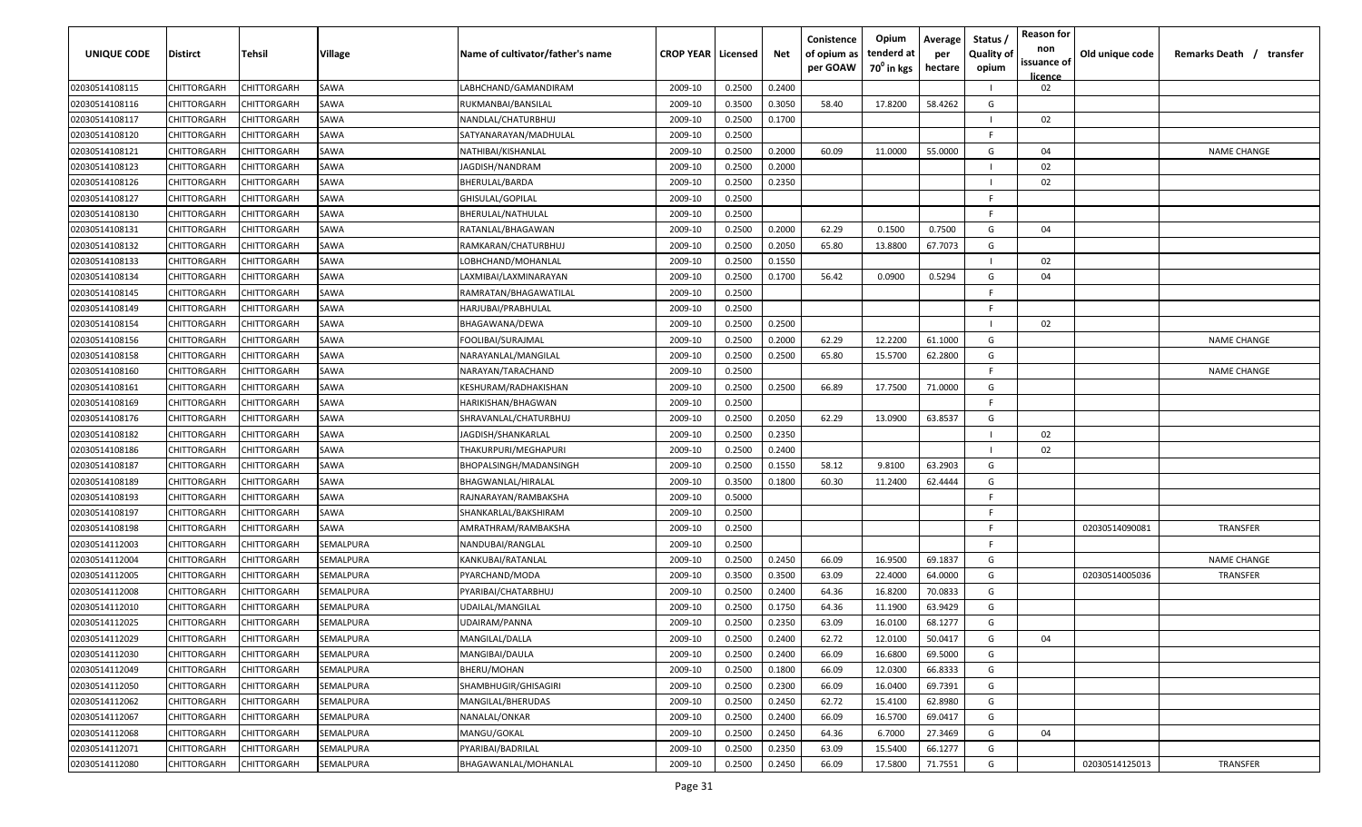| UNIQUE CODE    | Distirct           | Tehsil             | Village   | Name of cultivator/father's name | <b>CROP YEAR   Licensed</b> |        | Net    | Conistence<br>of opium as<br>per GOAW | Opium<br>tenderd at<br>70 <sup>o</sup> in kgs | Average<br>per<br>hectare | Status,<br><b>Quality of</b><br>opium | <b>Reason for</b><br>non<br>issuance of<br>licence | Old unique code | Remarks Death / transfer |
|----------------|--------------------|--------------------|-----------|----------------------------------|-----------------------------|--------|--------|---------------------------------------|-----------------------------------------------|---------------------------|---------------------------------------|----------------------------------------------------|-----------------|--------------------------|
| 02030514108115 | CHITTORGARH        | CHITTORGARH        | SAWA      | LABHCHAND/GAMANDIRAM             | 2009-10                     | 0.2500 | 0.2400 |                                       |                                               |                           |                                       | 02                                                 |                 |                          |
| 02030514108116 | CHITTORGARH        | CHITTORGARH        | SAWA      | RUKMANBAI/BANSILAL               | 2009-10                     | 0.3500 | 0.3050 | 58.40                                 | 17.8200                                       | 58.4262                   | G                                     |                                                    |                 |                          |
| 02030514108117 | CHITTORGARH        | CHITTORGARH        | SAWA      | NANDLAL/CHATURBHUJ               | 2009-10                     | 0.2500 | 0.1700 |                                       |                                               |                           |                                       | 02                                                 |                 |                          |
| 02030514108120 | CHITTORGARH        | CHITTORGARH        | SAWA      | SATYANARAYAN/MADHULAL            | 2009-10                     | 0.2500 |        |                                       |                                               |                           | E                                     |                                                    |                 |                          |
| 02030514108121 | CHITTORGARH        | CHITTORGARH        | SAWA      | NATHIBAI/KISHANLAL               | 2009-10                     | 0.2500 | 0.2000 | 60.09                                 | 11.0000                                       | 55.0000                   | G                                     | 04                                                 |                 | <b>NAME CHANGE</b>       |
| 02030514108123 | CHITTORGARH        | CHITTORGARH        | SAWA      | JAGDISH/NANDRAM                  | 2009-10                     | 0.2500 | 0.2000 |                                       |                                               |                           |                                       | 02                                                 |                 |                          |
| 02030514108126 | CHITTORGARH        | CHITTORGARH        | SAWA      | BHERULAL/BARDA                   | 2009-10                     | 0.2500 | 0.2350 |                                       |                                               |                           |                                       | 02                                                 |                 |                          |
| 02030514108127 | CHITTORGARH        | CHITTORGARH        | SAWA      | GHISULAL/GOPILAL                 | 2009-10                     | 0.2500 |        |                                       |                                               |                           | E                                     |                                                    |                 |                          |
| 02030514108130 | CHITTORGARH        | CHITTORGARH        | SAWA      | BHERULAL/NATHULAL                | 2009-10                     | 0.2500 |        |                                       |                                               |                           | E                                     |                                                    |                 |                          |
| 02030514108131 | CHITTORGARH        | CHITTORGARH        | SAWA      | RATANLAL/BHAGAWAN                | 2009-10                     | 0.2500 | 0.2000 | 62.29                                 | 0.1500                                        | 0.7500                    | G                                     | 04                                                 |                 |                          |
| 02030514108132 | CHITTORGARH        | CHITTORGARH        | SAWA      | RAMKARAN/CHATURBHUJ              | 2009-10                     | 0.2500 | 0.2050 | 65.80                                 | 13.8800                                       | 67.7073                   | G                                     |                                                    |                 |                          |
| 02030514108133 | CHITTORGARH        | CHITTORGARH        | SAWA      | LOBHCHAND/MOHANLAL               | 2009-10                     | 0.2500 | 0.1550 |                                       |                                               |                           |                                       | 02                                                 |                 |                          |
| 02030514108134 | CHITTORGARH        | CHITTORGARH        | SAWA      | LAXMIBAI/LAXMINARAYAN            | 2009-10                     | 0.2500 | 0.1700 | 56.42                                 | 0.0900                                        | 0.5294                    | G                                     | 04                                                 |                 |                          |
| 02030514108145 | CHITTORGARH        | CHITTORGARH        | SAWA      | RAMRATAN/BHAGAWATILAL            | 2009-10                     | 0.2500 |        |                                       |                                               |                           | F                                     |                                                    |                 |                          |
| 02030514108149 | CHITTORGARH        | CHITTORGARH        | SAWA      | HARJUBAI/PRABHULAL               | 2009-10                     | 0.2500 |        |                                       |                                               |                           | E                                     |                                                    |                 |                          |
| 02030514108154 | CHITTORGARH        | CHITTORGARH        | SAWA      | BHAGAWANA/DEWA                   | 2009-10                     | 0.2500 | 0.2500 |                                       |                                               |                           |                                       | 02                                                 |                 |                          |
| 02030514108156 | CHITTORGARH        | CHITTORGARH        | SAWA      | FOOLIBAI/SURAJMAL                | 2009-10                     | 0.2500 | 0.2000 | 62.29                                 | 12.2200                                       | 61.1000                   | G                                     |                                                    |                 | <b>NAME CHANGE</b>       |
| 02030514108158 | CHITTORGARH        | CHITTORGARH        | SAWA      | NARAYANLAL/MANGILAL              | 2009-10                     | 0.2500 | 0.2500 | 65.80                                 | 15.5700                                       | 62.2800                   | G                                     |                                                    |                 |                          |
| 02030514108160 | CHITTORGARH        | CHITTORGARH        | SAWA      | NARAYAN/TARACHAND                | 2009-10                     | 0.2500 |        |                                       |                                               |                           | F                                     |                                                    |                 | <b>NAME CHANGE</b>       |
| 02030514108161 | CHITTORGARH        | CHITTORGARH        | SAWA      | KESHURAM/RADHAKISHAN             | 2009-10                     | 0.2500 | 0.2500 | 66.89                                 | 17.7500                                       | 71.0000                   | G                                     |                                                    |                 |                          |
| 02030514108169 | CHITTORGARH        | CHITTORGARH        | SAWA      | HARIKISHAN/BHAGWAN               | 2009-10                     | 0.2500 |        |                                       |                                               |                           | E                                     |                                                    |                 |                          |
| 02030514108176 | CHITTORGARH        | CHITTORGARH        | SAWA      | SHRAVANLAL/CHATURBHUJ            | 2009-10                     | 0.2500 | 0.2050 | 62.29                                 | 13.0900                                       | 63.8537                   | G                                     |                                                    |                 |                          |
| 02030514108182 | CHITTORGARH        | CHITTORGARH        | SAWA      | JAGDISH/SHANKARLAL               | 2009-10                     | 0.2500 | 0.2350 |                                       |                                               |                           |                                       | 02                                                 |                 |                          |
| 02030514108186 | CHITTORGARH        | CHITTORGARH        | SAWA      | THAKURPURI/MEGHAPURI             | 2009-10                     | 0.2500 | 0.2400 |                                       |                                               |                           |                                       | 02                                                 |                 |                          |
| 02030514108187 | CHITTORGARH        | CHITTORGARH        | SAWA      | BHOPALSINGH/MADANSINGH           | 2009-10                     | 0.2500 | 0.1550 | 58.12                                 | 9.8100                                        | 63.2903                   | G                                     |                                                    |                 |                          |
| 02030514108189 | CHITTORGARH        | CHITTORGARH        | SAWA      | BHAGWANLAL/HIRALAL               | 2009-10                     | 0.3500 | 0.1800 | 60.30                                 | 11.2400                                       | 62.4444                   | G                                     |                                                    |                 |                          |
| 02030514108193 | CHITTORGARH        | CHITTORGARH        | SAWA      | RAJNARAYAN/RAMBAKSHA             | 2009-10                     | 0.5000 |        |                                       |                                               |                           | E                                     |                                                    |                 |                          |
| 02030514108197 | CHITTORGARH        | CHITTORGARH        | SAWA      | SHANKARLAL/BAKSHIRAM             | 2009-10                     | 0.2500 |        |                                       |                                               |                           | F.                                    |                                                    |                 |                          |
| 02030514108198 | CHITTORGARH        | CHITTORGARH        | SAWA      | AMRATHRAM/RAMBAKSHA              | 2009-10                     | 0.2500 |        |                                       |                                               |                           | E                                     |                                                    | 02030514090081  | <b>TRANSFER</b>          |
| 02030514112003 | CHITTORGARH        | CHITTORGARH        | SEMALPURA | NANDUBAI/RANGLAL                 | 2009-10                     | 0.2500 |        |                                       |                                               |                           | E                                     |                                                    |                 |                          |
| 02030514112004 | CHITTORGARH        | CHITTORGARH        | SEMALPURA | KANKUBAI/RATANLAL                | 2009-10                     | 0.2500 | 0.2450 | 66.09                                 | 16.9500                                       | 69.1837                   | G                                     |                                                    |                 | <b>NAME CHANGE</b>       |
| 02030514112005 | CHITTORGARH        | CHITTORGARH        | SEMALPURA | PYARCHAND/MODA                   | 2009-10                     | 0.3500 | 0.3500 | 63.09                                 | 22.4000                                       | 64.0000                   | G                                     |                                                    | 02030514005036  | <b>TRANSFER</b>          |
| 02030514112008 | CHITTORGARH        | CHITTORGARH        | SEMALPURA | PYARIBAI/CHATARBHUJ              | 2009-10                     | 0.2500 | 0.2400 | 64.36                                 | 16.8200                                       | 70.0833                   | G                                     |                                                    |                 |                          |
| 02030514112010 | CHITTORGARH        | CHITTORGARH        | SEMALPURA | UDAILAL/MANGILAL                 | 2009-10                     | 0.2500 | 0.1750 | 64.36                                 | 11.1900                                       | 63.9429                   | G                                     |                                                    |                 |                          |
| 02030514112025 | <b>CHITTORGARH</b> | CHITTORGARH        | SEMALPURA | UDAIRAM/PANNA                    | 2009-10                     | 0.2500 | 0.2350 | 63.09                                 | 16.0100                                       | 68.1277                   | G                                     |                                                    |                 |                          |
| 02030514112029 | <b>CHITTORGARH</b> | <b>CHITTORGARH</b> | SEMALPURA | MANGILAL/DALLA                   | 2009-10                     | 0.2500 | 0.2400 | 62.72                                 | 12.0100                                       | 50.0417                   | G                                     | 04                                                 |                 |                          |
| 02030514112030 | CHITTORGARH        | CHITTORGARH        | SEMALPURA | MANGIBAI/DAULA                   | 2009-10                     | 0.2500 | 0.2400 | 66.09                                 | 16.6800                                       | 69.5000                   | G                                     |                                                    |                 |                          |
| 02030514112049 | <b>CHITTORGARH</b> | <b>CHITTORGARH</b> | SEMALPURA | BHERU/MOHAN                      | 2009-10                     | 0.2500 | 0.1800 | 66.09                                 | 12.0300                                       | 66.8333                   | G                                     |                                                    |                 |                          |
| 02030514112050 | CHITTORGARH        | CHITTORGARH        | SEMALPURA | SHAMBHUGIR/GHISAGIRI             | 2009-10                     | 0.2500 | 0.2300 | 66.09                                 | 16.0400                                       | 69.7391                   | G                                     |                                                    |                 |                          |
| 02030514112062 | CHITTORGARH        | CHITTORGARH        | SEMALPURA | MANGILAL/BHERUDAS                | 2009-10                     | 0.2500 | 0.2450 | 62.72                                 | 15.4100                                       | 62.8980                   | G                                     |                                                    |                 |                          |
| 02030514112067 | CHITTORGARH        | CHITTORGARH        | SEMALPURA | NANALAL/ONKAR                    | 2009-10                     | 0.2500 | 0.2400 | 66.09                                 | 16.5700                                       | 69.0417                   | G                                     |                                                    |                 |                          |
| 02030514112068 | CHITTORGARH        | CHITTORGARH        | SEMALPURA | MANGU/GOKAL                      | 2009-10                     | 0.2500 | 0.2450 | 64.36                                 | 6.7000                                        | 27.3469                   | G                                     | 04                                                 |                 |                          |
| 02030514112071 | CHITTORGARH        | CHITTORGARH        | SEMALPURA | PYARIBAI/BADRILAL                | 2009-10                     | 0.2500 | 0.2350 | 63.09                                 | 15.5400                                       | 66.1277                   | G                                     |                                                    |                 |                          |
| 02030514112080 | CHITTORGARH        | <b>CHITTORGARH</b> | SEMALPURA | BHAGAWANLAL/MOHANLAL             | 2009-10                     | 0.2500 | 0.2450 | 66.09                                 | 17.5800                                       | 71.7551                   | G                                     |                                                    | 02030514125013  | TRANSFER                 |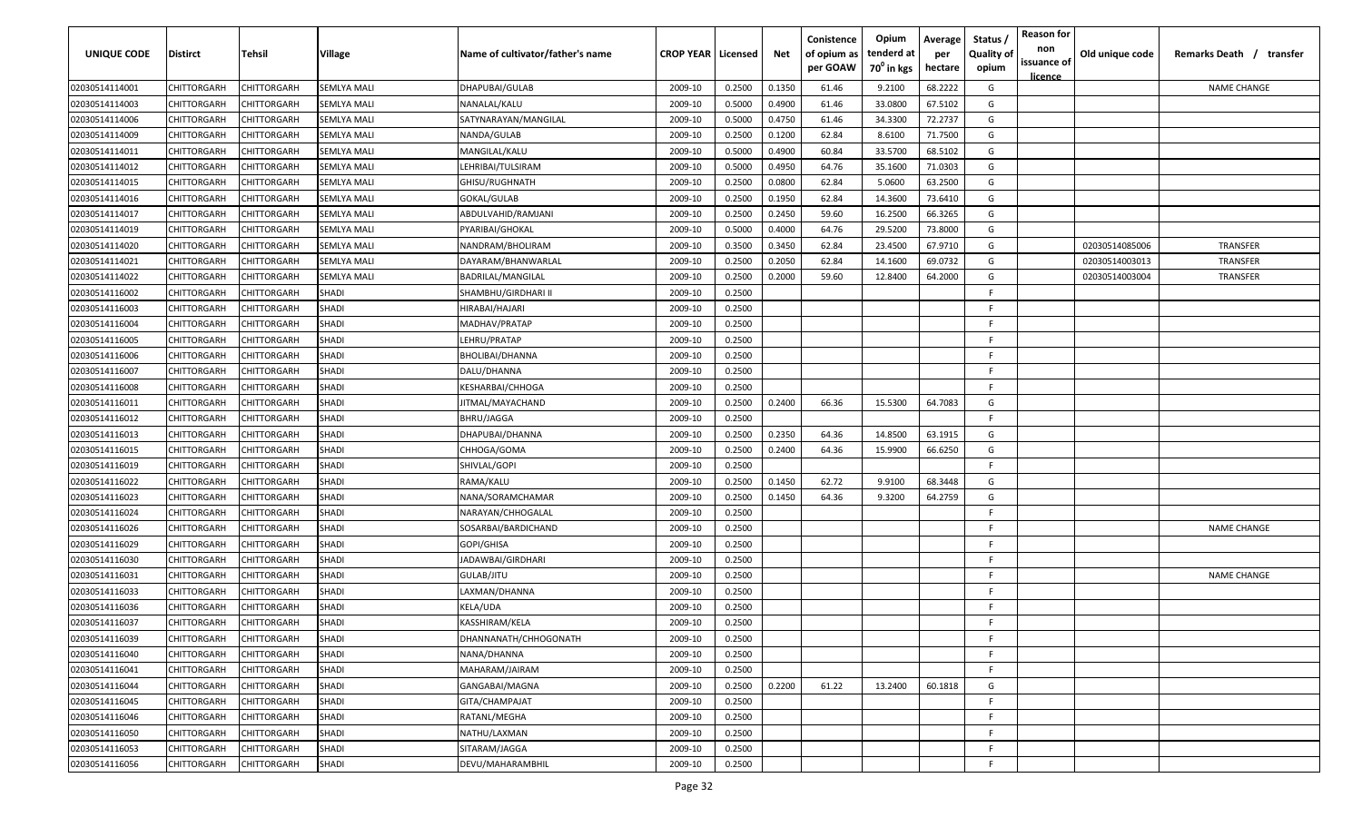| <b>UNIQUE CODE</b> | Distirct           | Tehsil             | Village            | Name of cultivator/father's name | <b>CROP YEAR   Licensed</b> |        | Net    | Conistence<br>of opium as<br>per GOAW | Opium<br>tenderd at<br>70 <sup>0</sup> in kgs | Average<br>per<br>hectare | Status /<br><b>Quality of</b><br>opium | <b>Reason for</b><br>non<br>issuance of | Old unique code | Remarks Death /<br>transfer |
|--------------------|--------------------|--------------------|--------------------|----------------------------------|-----------------------------|--------|--------|---------------------------------------|-----------------------------------------------|---------------------------|----------------------------------------|-----------------------------------------|-----------------|-----------------------------|
| 02030514114001     | CHITTORGARH        | CHITTORGARH        | <b>SEMLYA MALI</b> | DHAPUBAI/GULAB                   | 2009-10                     | 0.2500 | 0.1350 | 61.46                                 | 9.2100                                        | 68.2222                   | G                                      | licence                                 |                 | <b>NAME CHANGE</b>          |
| 02030514114003     | CHITTORGARH        | CHITTORGARH        | <b>SEMLYA MALI</b> | NANALAL/KALU                     | 2009-10                     | 0.5000 | 0.4900 | 61.46                                 | 33.0800                                       | 67.5102                   | G                                      |                                         |                 |                             |
| 02030514114006     | CHITTORGARH        | CHITTORGARH        | SEMLYA MALI        | SATYNARAYAN/MANGILAL             | 2009-10                     | 0.5000 | 0.4750 | 61.46                                 | 34.3300                                       | 72.2737                   | G                                      |                                         |                 |                             |
| 02030514114009     | CHITTORGARH        | CHITTORGARH        | <b>SEMLYA MALI</b> | NANDA/GULAB                      | 2009-10                     | 0.2500 | 0.1200 | 62.84                                 | 8.6100                                        | 71.7500                   | G                                      |                                         |                 |                             |
| 02030514114011     | CHITTORGARH        | CHITTORGARH        | <b>SEMLYA MALI</b> | MANGILAL/KALU                    | 2009-10                     | 0.5000 | 0.4900 | 60.84                                 | 33.5700                                       | 68.5102                   | G                                      |                                         |                 |                             |
| 02030514114012     | CHITTORGARH        | CHITTORGARH        | <b>SEMLYA MALI</b> | LEHRIBAI/TULSIRAM                | 2009-10                     | 0.5000 | 0.4950 | 64.76                                 | 35.1600                                       | 71.0303                   | G                                      |                                         |                 |                             |
| 02030514114015     | CHITTORGARH        | <b>CHITTORGARH</b> | SEMLYA MALI        | GHISU/RUGHNATH                   | 2009-10                     | 0.2500 | 0.0800 | 62.84                                 | 5.0600                                        | 63.2500                   | G                                      |                                         |                 |                             |
| 02030514114016     | CHITTORGARH        | CHITTORGARH        | SEMLYA MALI        | GOKAL/GULAB                      | 2009-10                     | 0.2500 | 0.1950 | 62.84                                 | 14.3600                                       | 73.6410                   | G                                      |                                         |                 |                             |
| 02030514114017     | CHITTORGARH        | CHITTORGARH        | SEMLYA MALI        | ABDULVAHID/RAMJANI               | 2009-10                     | 0.2500 | 0.2450 | 59.60                                 | 16.2500                                       | 66.3265                   | G                                      |                                         |                 |                             |
| 02030514114019     | CHITTORGARH        | CHITTORGARH        | SEMLYA MALI        | PYARIBAI/GHOKAL                  | 2009-10                     | 0.5000 | 0.4000 | 64.76                                 | 29.5200                                       | 73.8000                   | G                                      |                                         |                 |                             |
| 02030514114020     | CHITTORGARH        | CHITTORGARH        | SEMLYA MALI        | NANDRAM/BHOLIRAM                 | 2009-10                     | 0.3500 | 0.3450 | 62.84                                 | 23.4500                                       | 67.9710                   | G                                      |                                         | 02030514085006  | <b>TRANSFER</b>             |
| 02030514114021     | CHITTORGARH        | CHITTORGARH        | SEMLYA MALI        | DAYARAM/BHANWARLAL               | 2009-10                     | 0.2500 | 0.2050 | 62.84                                 | 14.1600                                       | 69.0732                   | G                                      |                                         | 02030514003013  | TRANSFER                    |
| 02030514114022     | CHITTORGARH        | CHITTORGARH        | <b>SEMLYA MALI</b> | BADRILAL/MANGILAL                | 2009-10                     | 0.2500 | 0.2000 | 59.60                                 | 12.8400                                       | 64.2000                   | G                                      |                                         | 02030514003004  | TRANSFER                    |
| 02030514116002     | CHITTORGARH        | CHITTORGARH        | SHADI              | SHAMBHU/GIRDHARI II              | 2009-10                     | 0.2500 |        |                                       |                                               |                           | F                                      |                                         |                 |                             |
| 02030514116003     | CHITTORGARH        | CHITTORGARH        | <b>SHADI</b>       | HIRABAI/HAJARI                   | 2009-10                     | 0.2500 |        |                                       |                                               |                           | -F.                                    |                                         |                 |                             |
| 02030514116004     | CHITTORGARH        | CHITTORGARH        | SHADI              | MADHAV/PRATAP                    | 2009-10                     | 0.2500 |        |                                       |                                               |                           | E                                      |                                         |                 |                             |
| 02030514116005     | CHITTORGARH        | CHITTORGARH        | SHADI              | LEHRU/PRATAP                     | 2009-10                     | 0.2500 |        |                                       |                                               |                           | F.                                     |                                         |                 |                             |
| 02030514116006     | CHITTORGARH        | CHITTORGARH        | <b>SHADI</b>       | BHOLIBAI/DHANNA                  | 2009-10                     | 0.2500 |        |                                       |                                               |                           | F                                      |                                         |                 |                             |
| 02030514116007     | CHITTORGARH        | CHITTORGARH        | <b>SHADI</b>       | DALU/DHANNA                      | 2009-10                     | 0.2500 |        |                                       |                                               |                           | F.                                     |                                         |                 |                             |
| 02030514116008     | CHITTORGARH        | CHITTORGARH        | <b>SHADI</b>       | KESHARBAI/CHHOGA                 | 2009-10                     | 0.2500 |        |                                       |                                               |                           | F.                                     |                                         |                 |                             |
| 02030514116011     | CHITTORGARH        | CHITTORGARH        | <b>SHADI</b>       | JITMAL/MAYACHAND                 | 2009-10                     | 0.2500 | 0.2400 | 66.36                                 | 15.5300                                       | 64.7083                   | G                                      |                                         |                 |                             |
| 02030514116012     | CHITTORGARH        | CHITTORGARH        | <b>SHADI</b>       | <b>BHRU/JAGGA</b>                | 2009-10                     | 0.2500 |        |                                       |                                               |                           | -F.                                    |                                         |                 |                             |
| 02030514116013     | CHITTORGARH        | CHITTORGARH        | SHADI              | DHAPUBAI/DHANNA                  | 2009-10                     | 0.2500 | 0.2350 | 64.36                                 | 14.8500                                       | 63.1915                   | G                                      |                                         |                 |                             |
| 02030514116015     | CHITTORGARH        | CHITTORGARH        | SHADI              | CHHOGA/GOMA                      | 2009-10                     | 0.2500 | 0.2400 | 64.36                                 | 15.9900                                       | 66.6250                   | G                                      |                                         |                 |                             |
| 02030514116019     | CHITTORGARH        | CHITTORGARH        | SHADI              | SHIVLAL/GOPI                     | 2009-10                     | 0.2500 |        |                                       |                                               |                           | -F                                     |                                         |                 |                             |
| 02030514116022     | CHITTORGARH        | CHITTORGARH        | SHADI              | RAMA/KALU                        | 2009-10                     | 0.2500 | 0.1450 | 62.72                                 | 9.9100                                        | 68.3448                   | G                                      |                                         |                 |                             |
| 02030514116023     | CHITTORGARH        | CHITTORGARH        | <b>SHADI</b>       | NANA/SORAMCHAMAR                 | 2009-10                     | 0.2500 | 0.1450 | 64.36                                 | 9.3200                                        | 64.2759                   | G                                      |                                         |                 |                             |
| 02030514116024     | CHITTORGARH        | CHITTORGARH        | SHADI              | NARAYAN/CHHOGALAL                | 2009-10                     | 0.2500 |        |                                       |                                               |                           | -F.                                    |                                         |                 |                             |
| 02030514116026     | CHITTORGARH        | CHITTORGARH        | SHADI              | SOSARBAI/BARDICHAND              | 2009-10                     | 0.2500 |        |                                       |                                               |                           | -F.                                    |                                         |                 | <b>NAME CHANGE</b>          |
| 02030514116029     | CHITTORGARH        | CHITTORGARH        | SHADI              | GOPI/GHISA                       | 2009-10                     | 0.2500 |        |                                       |                                               |                           | -F.                                    |                                         |                 |                             |
| 02030514116030     | CHITTORGARH        | CHITTORGARH        | SHADI              | JADAWBAI/GIRDHARI                | 2009-10                     | 0.2500 |        |                                       |                                               |                           | -F.                                    |                                         |                 |                             |
| 02030514116031     | CHITTORGARH        | CHITTORGARH        | SHADI              | GULAB/JITU                       | 2009-10                     | 0.2500 |        |                                       |                                               |                           | -F.                                    |                                         |                 | <b>NAME CHANGE</b>          |
| 02030514116033     | CHITTORGARH        | CHITTORGARH        | SHADI              | LAXMAN/DHANNA                    | 2009-10                     | 0.2500 |        |                                       |                                               |                           | -F.                                    |                                         |                 |                             |
| 02030514116036     | CHITTORGARH        | CHITTORGARH        | SHADI              | KELA/UDA                         | 2009-10                     | 0.2500 |        |                                       |                                               |                           | -F.                                    |                                         |                 |                             |
| 02030514116037     | CHITTORGARH        | CHITTORGARH        | SHADI              | KASSHIRAM/KELA                   | 2009-10                     | 0.2500 |        |                                       |                                               |                           | F                                      |                                         |                 |                             |
| 02030514116039     | <b>CHITTORGARH</b> | <b>CHITTORGARH</b> | <b>SHADI</b>       | DHANNANATH/CHHOGONATH            | 2009-10                     | 0.2500 |        |                                       |                                               |                           | -F.                                    |                                         |                 |                             |
| 02030514116040     | CHITTORGARH        | CHITTORGARH        | <b>SHADI</b>       | NANA/DHANNA                      | 2009-10                     | 0.2500 |        |                                       |                                               |                           | F.                                     |                                         |                 |                             |
| 02030514116041     | <b>CHITTORGARH</b> | CHITTORGARH        | <b>SHADI</b>       | MAHARAM/JAIRAM                   | 2009-10                     | 0.2500 |        |                                       |                                               |                           | F.                                     |                                         |                 |                             |
| 02030514116044     | CHITTORGARH        | CHITTORGARH        | <b>SHADI</b>       | GANGABAI/MAGNA                   | 2009-10                     | 0.2500 | 0.2200 | 61.22                                 | 13.2400                                       | 60.1818                   | G                                      |                                         |                 |                             |
| 02030514116045     | CHITTORGARH        | CHITTORGARH        | <b>SHADI</b>       | GITA/CHAMPAJAT                   | 2009-10                     | 0.2500 |        |                                       |                                               |                           | F.                                     |                                         |                 |                             |
| 02030514116046     | CHITTORGARH        | CHITTORGARH        | <b>SHADI</b>       | RATANL/MEGHA                     | 2009-10                     | 0.2500 |        |                                       |                                               |                           | -F.                                    |                                         |                 |                             |
| 02030514116050     | CHITTORGARH        | CHITTORGARH        | SHADI              | NATHU/LAXMAN                     | 2009-10                     | 0.2500 |        |                                       |                                               |                           | -F                                     |                                         |                 |                             |
| 02030514116053     | CHITTORGARH        | CHITTORGARH        | SHADI              | SITARAM/JAGGA                    | 2009-10                     | 0.2500 |        |                                       |                                               |                           | -F                                     |                                         |                 |                             |
| 02030514116056     | CHITTORGARH        | CHITTORGARH        | SHADI              | DEVU/MAHARAMBHIL                 | 2009-10                     | 0.2500 |        |                                       |                                               |                           | -F                                     |                                         |                 |                             |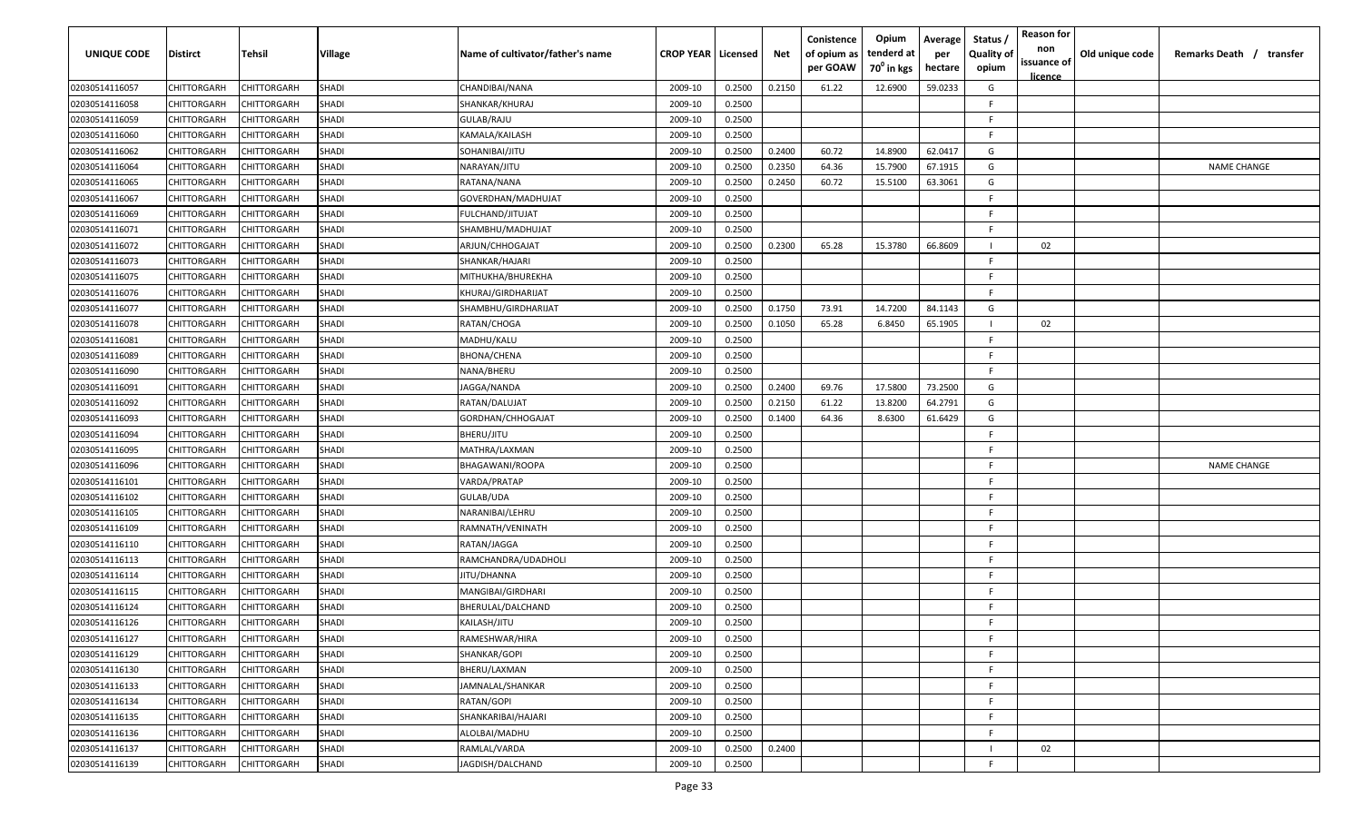| UNIQUE CODE    | Distirct           | Tehsil             | Village      | Name of cultivator/father's name | <b>CROP YEAR   Licensed</b> |        | Net    | Conistence<br>of opium as<br>per GOAW | Opium<br>tenderd at<br>70 <sup>0</sup> in kgs | Average<br>per<br>hectare | Status,<br><b>Quality of</b><br>opium | <b>Reason for</b><br>non<br>issuance of<br><u>licence</u> | Old unique code | Remarks Death / transfer |
|----------------|--------------------|--------------------|--------------|----------------------------------|-----------------------------|--------|--------|---------------------------------------|-----------------------------------------------|---------------------------|---------------------------------------|-----------------------------------------------------------|-----------------|--------------------------|
| 02030514116057 | CHITTORGARH        | CHITTORGARH        | SHADI        | CHANDIBAI/NANA                   | 2009-10                     | 0.2500 | 0.2150 | 61.22                                 | 12.6900                                       | 59.0233                   | G                                     |                                                           |                 |                          |
| 02030514116058 | CHITTORGARH        | CHITTORGARH        | <b>SHADI</b> | SHANKAR/KHURAJ                   | 2009-10                     | 0.2500 |        |                                       |                                               |                           | F                                     |                                                           |                 |                          |
| 02030514116059 | CHITTORGARH        | CHITTORGARH        | SHADI        | GULAB/RAJU                       | 2009-10                     | 0.2500 |        |                                       |                                               |                           | F                                     |                                                           |                 |                          |
| 02030514116060 | CHITTORGARH        | CHITTORGARH        | SHADI        | KAMALA/KAILASH                   | 2009-10                     | 0.2500 |        |                                       |                                               |                           | E                                     |                                                           |                 |                          |
| 02030514116062 | CHITTORGARH        | CHITTORGARH        | SHADI        | SOHANIBAI/JITU                   | 2009-10                     | 0.2500 | 0.2400 | 60.72                                 | 14.8900                                       | 62.0417                   | G                                     |                                                           |                 |                          |
| 02030514116064 | CHITTORGARH        | CHITTORGARH        | <b>SHADI</b> | NARAYAN/JITU                     | 2009-10                     | 0.2500 | 0.2350 | 64.36                                 | 15.7900                                       | 67.1915                   | G                                     |                                                           |                 | <b>NAME CHANGE</b>       |
| 02030514116065 | CHITTORGARH        | CHITTORGARH        | SHADI        | RATANA/NANA                      | 2009-10                     | 0.2500 | 0.2450 | 60.72                                 | 15.5100                                       | 63.3061                   | G                                     |                                                           |                 |                          |
| 02030514116067 | CHITTORGARH        | CHITTORGARH        | <b>SHADI</b> | GOVERDHAN/MADHUJAT               | 2009-10                     | 0.2500 |        |                                       |                                               |                           | E                                     |                                                           |                 |                          |
| 02030514116069 | CHITTORGARH        | CHITTORGARH        | SHADI        | FULCHAND/JITUJAT                 | 2009-10                     | 0.2500 |        |                                       |                                               |                           | E                                     |                                                           |                 |                          |
| 02030514116071 | CHITTORGARH        | CHITTORGARH        | <b>SHADI</b> | SHAMBHU/MADHUJAT                 | 2009-10                     | 0.2500 |        |                                       |                                               |                           | F                                     |                                                           |                 |                          |
| 02030514116072 | CHITTORGARH        | <b>CHITTORGARH</b> | SHADI        | ARJUN/CHHOGAJAT                  | 2009-10                     | 0.2500 | 0.2300 | 65.28                                 | 15.3780                                       | 66.8609                   |                                       | 02                                                        |                 |                          |
| 02030514116073 | CHITTORGARH        | CHITTORGARH        | SHADI        | SHANKAR/HAJARI                   | 2009-10                     | 0.2500 |        |                                       |                                               |                           | F                                     |                                                           |                 |                          |
| 02030514116075 | CHITTORGARH        | CHITTORGARH        | SHADI        | MITHUKHA/BHUREKHA                | 2009-10                     | 0.2500 |        |                                       |                                               |                           | E                                     |                                                           |                 |                          |
| 02030514116076 | CHITTORGARH        | CHITTORGARH        | <b>SHADI</b> | KHURAJ/GIRDHARIJAT               | 2009-10                     | 0.2500 |        |                                       |                                               |                           | F                                     |                                                           |                 |                          |
| 02030514116077 | CHITTORGARH        | CHITTORGARH        | SHADI        | SHAMBHU/GIRDHARIJAT              | 2009-10                     | 0.2500 | 0.1750 | 73.91                                 | 14.7200                                       | 84.1143                   | G                                     |                                                           |                 |                          |
| 02030514116078 | CHITTORGARH        | CHITTORGARH        | <b>SHADI</b> | RATAN/CHOGA                      | 2009-10                     | 0.2500 | 0.1050 | 65.28                                 | 6.8450                                        | 65.1905                   |                                       | 02                                                        |                 |                          |
| 02030514116081 | CHITTORGARH        | CHITTORGARH        | <b>SHADI</b> | MADHU/KALU                       | 2009-10                     | 0.2500 |        |                                       |                                               |                           | F                                     |                                                           |                 |                          |
| 02030514116089 | CHITTORGARH        | CHITTORGARH        | <b>SHADI</b> | BHONA/CHENA                      | 2009-10                     | 0.2500 |        |                                       |                                               |                           | E                                     |                                                           |                 |                          |
| 02030514116090 | CHITTORGARH        | CHITTORGARH        | <b>SHADI</b> | NANA/BHERU                       | 2009-10                     | 0.2500 |        |                                       |                                               |                           | F.                                    |                                                           |                 |                          |
| 02030514116091 | CHITTORGARH        | CHITTORGARH        | <b>SHADI</b> | IAGGA/NANDA                      | 2009-10                     | 0.2500 | 0.2400 | 69.76                                 | 17.5800                                       | 73.2500                   | G                                     |                                                           |                 |                          |
| 02030514116092 | CHITTORGARH        | CHITTORGARH        | <b>SHADI</b> | RATAN/DALUJAT                    | 2009-10                     | 0.2500 | 0.2150 | 61.22                                 | 13.8200                                       | 64.2791                   | G                                     |                                                           |                 |                          |
| 02030514116093 | CHITTORGARH        | CHITTORGARH        | <b>SHADI</b> | GORDHAN/CHHOGAJAT                | 2009-10                     | 0.2500 | 0.1400 | 64.36                                 | 8.6300                                        | 61.6429                   | G                                     |                                                           |                 |                          |
| 02030514116094 | CHITTORGARH        | CHITTORGARH        | <b>SHADI</b> | BHERU/JITU                       | 2009-10                     | 0.2500 |        |                                       |                                               |                           |                                       |                                                           |                 |                          |
| 02030514116095 | CHITTORGARH        | <b>HITTORGARH</b>  | SHADI        | MATHRA/LAXMAN                    | 2009-10                     | 0.2500 |        |                                       |                                               |                           |                                       |                                                           |                 |                          |
| 02030514116096 | CHITTORGARH        | CHITTORGARH        | <b>SHADI</b> | BHAGAWANI/ROOPA                  | 2009-10                     | 0.2500 |        |                                       |                                               |                           | E                                     |                                                           |                 | <b>NAME CHANGE</b>       |
| 02030514116101 | CHITTORGARH        | CHITTORGARH        | SHADI        | VARDA/PRATAP                     | 2009-10                     | 0.2500 |        |                                       |                                               |                           | E                                     |                                                           |                 |                          |
| 02030514116102 | CHITTORGARH        | CHITTORGARH        | <b>SHADI</b> | GULAB/UDA                        | 2009-10                     | 0.2500 |        |                                       |                                               |                           | E                                     |                                                           |                 |                          |
| 02030514116105 | CHITTORGARH        | CHITTORGARH        | SHADI        | VARANIBAI/LEHRU                  | 2009-10                     | 0.2500 |        |                                       |                                               |                           | F.                                    |                                                           |                 |                          |
| 02030514116109 | CHITTORGARH        | CHITTORGARH        | SHADI        | RAMNATH/VENINATH                 | 2009-10                     | 0.2500 |        |                                       |                                               |                           | E                                     |                                                           |                 |                          |
| 02030514116110 | CHITTORGARH        | CHITTORGARH        | SHADI        | RATAN/JAGGA                      | 2009-10                     | 0.2500 |        |                                       |                                               |                           | E                                     |                                                           |                 |                          |
| 02030514116113 | CHITTORGARH        | CHITTORGARH        | <b>SHADI</b> | RAMCHANDRA/UDADHOLI              | 2009-10                     | 0.2500 |        |                                       |                                               |                           | F                                     |                                                           |                 |                          |
| 02030514116114 | CHITTORGARH        | CHITTORGARH        | <b>SHADI</b> | <b>ITU/DHANNA</b>                | 2009-10                     | 0.2500 |        |                                       |                                               |                           | E                                     |                                                           |                 |                          |
| 02030514116115 | CHITTORGARH        | CHITTORGARH        | <b>SHADI</b> | MANGIBAI/GIRDHARI                | 2009-10                     | 0.2500 |        |                                       |                                               |                           | E                                     |                                                           |                 |                          |
| 02030514116124 | CHITTORGARH        | CHITTORGARH        | SHADI        | BHERULAL/DALCHAND                | 2009-10                     | 0.2500 |        |                                       |                                               |                           | E                                     |                                                           |                 |                          |
| 02030514116126 | <b>CHITTORGARH</b> | CHITTORGARH        | <b>SHADI</b> | KAILASH/JITU                     | 2009-10                     | 0.2500 |        |                                       |                                               |                           | E                                     |                                                           |                 |                          |
| 02030514116127 | CHITTORGARH        | CHITTORGARH        | <b>SHADI</b> | RAMESHWAR/HIRA                   | 2009-10                     | 0.2500 |        |                                       |                                               |                           | F                                     |                                                           |                 |                          |
| 02030514116129 | <b>CHITTORGARH</b> | <b>CHITTORGARH</b> | SHADI        | SHANKAR/GOPI                     | 2009-10                     | 0.2500 |        |                                       |                                               |                           | F                                     |                                                           |                 |                          |
| 02030514116130 | CHITTORGARH        | <b>CHITTORGARH</b> | SHADI        | BHERU/LAXMAN                     | 2009-10                     | 0.2500 |        |                                       |                                               |                           | F                                     |                                                           |                 |                          |
| 02030514116133 | CHITTORGARH        | CHITTORGARH        | SHADI        | JAMNALAL/SHANKAR                 | 2009-10                     | 0.2500 |        |                                       |                                               |                           | F                                     |                                                           |                 |                          |
| 02030514116134 | CHITTORGARH        | CHITTORGARH        | SHADI        | RATAN/GOPI                       | 2009-10                     | 0.2500 |        |                                       |                                               |                           | E                                     |                                                           |                 |                          |
| 02030514116135 | CHITTORGARH        | CHITTORGARH        | SHADI        | SHANKARIBAI/HAJARI               | 2009-10                     | 0.2500 |        |                                       |                                               |                           | F                                     |                                                           |                 |                          |
| 02030514116136 | CHITTORGARH        | CHITTORGARH        | SHADI        | ALOLBAI/MADHU                    | 2009-10                     | 0.2500 |        |                                       |                                               |                           | F                                     |                                                           |                 |                          |
| 02030514116137 | CHITTORGARH        | CHITTORGARH        | SHADI        | RAMLAL/VARDA                     | 2009-10                     | 0.2500 | 0.2400 |                                       |                                               |                           |                                       | 02                                                        |                 |                          |
| 02030514116139 | <b>CHITTORGARH</b> | <b>CHITTORGARH</b> | SHADI        | JAGDISH/DALCHAND                 | 2009-10                     | 0.2500 |        |                                       |                                               |                           | E                                     |                                                           |                 |                          |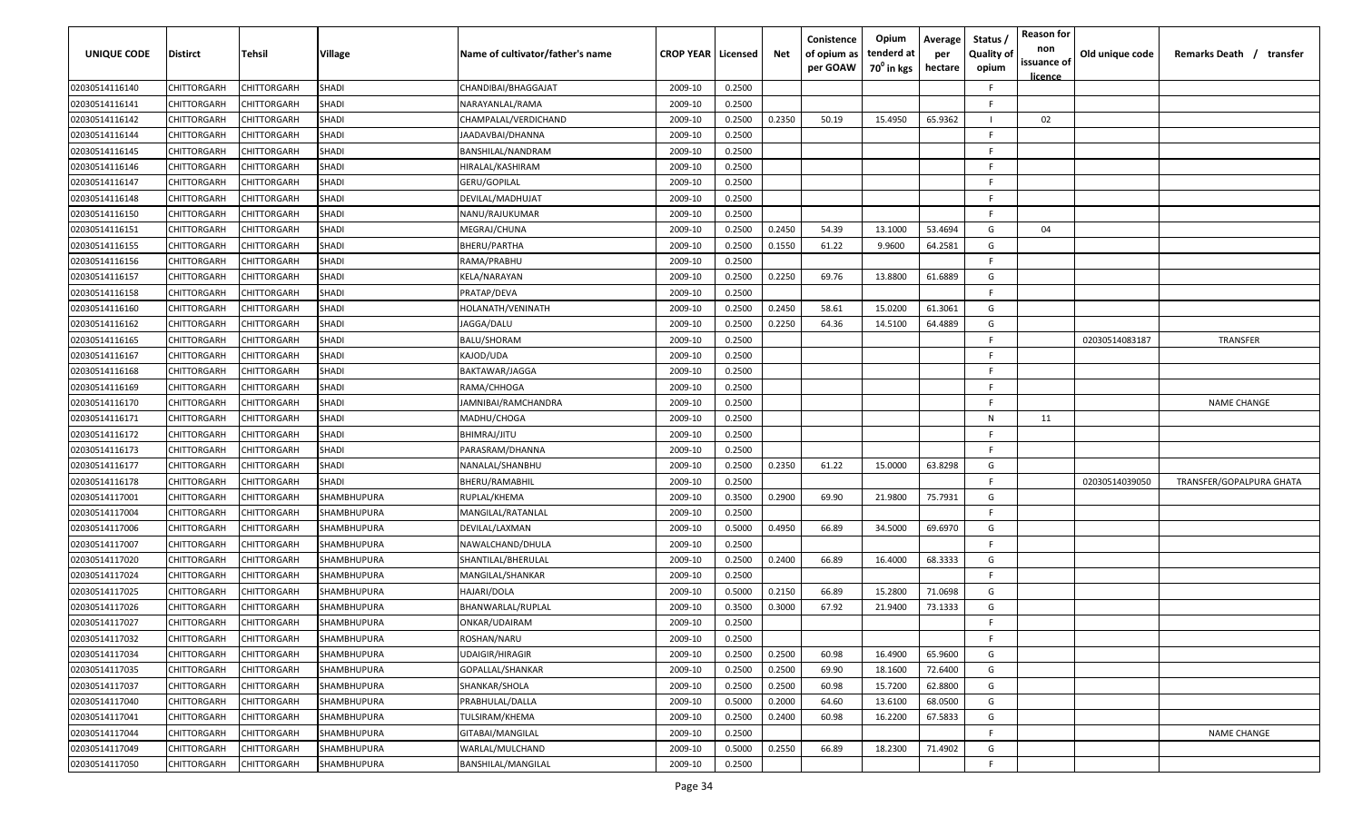| <b>UNIQUE CODE</b> | Distirct           | Tehsil             | Village      | Name of cultivator/father's name | <b>CROP YEAR   Licensed</b> |        | Net    | Conistence<br>of opium as<br>per GOAW | Opium<br>tenderd at<br>70 <sup>0</sup> in kgs | Average<br>per<br>hectare | Status /<br><b>Quality of</b><br>opium | <b>Reason for</b><br>non<br>issuance of<br><u>licence</u> | Old unique code | Remarks Death / transfer |
|--------------------|--------------------|--------------------|--------------|----------------------------------|-----------------------------|--------|--------|---------------------------------------|-----------------------------------------------|---------------------------|----------------------------------------|-----------------------------------------------------------|-----------------|--------------------------|
| 02030514116140     | CHITTORGARH        | CHITTORGARH        | SHADI        | CHANDIBAI/BHAGGAJAT              | 2009-10                     | 0.2500 |        |                                       |                                               |                           | F.                                     |                                                           |                 |                          |
| 02030514116141     | CHITTORGARH        | CHITTORGARH        | <b>SHADI</b> | NARAYANLAL/RAMA                  | 2009-10                     | 0.2500 |        |                                       |                                               |                           | -F.                                    |                                                           |                 |                          |
| 02030514116142     | CHITTORGARH        | CHITTORGARH        | <b>SHADI</b> | CHAMPALAL/VERDICHAND             | 2009-10                     | 0.2500 | 0.2350 | 50.19                                 | 15.4950                                       | 65.9362                   |                                        | 02                                                        |                 |                          |
| 02030514116144     | CHITTORGARH        | CHITTORGARH        | SHADI        | JAADAVBAI/DHANNA                 | 2009-10                     | 0.2500 |        |                                       |                                               |                           | -F.                                    |                                                           |                 |                          |
| 02030514116145     | CHITTORGARH        | CHITTORGARH        | SHADI        | BANSHILAL/NANDRAM                | 2009-10                     | 0.2500 |        |                                       |                                               |                           | -F.                                    |                                                           |                 |                          |
| 02030514116146     | CHITTORGARH        | CHITTORGARH        | SHADI        | HIRALAL/KASHIRAM                 | 2009-10                     | 0.2500 |        |                                       |                                               |                           | -F.                                    |                                                           |                 |                          |
| 02030514116147     | CHITTORGARH        | <b>CHITTORGARH</b> | SHADI        | GERU/GOPILAL                     | 2009-10                     | 0.2500 |        |                                       |                                               |                           | -F.                                    |                                                           |                 |                          |
| 02030514116148     | CHITTORGARH        | CHITTORGARH        | SHADI        | DEVILAL/MADHUJAT                 | 2009-10                     | 0.2500 |        |                                       |                                               |                           | -F.                                    |                                                           |                 |                          |
| 02030514116150     | CHITTORGARH        | CHITTORGARH        | SHADI        | NANU/RAJUKUMAR                   | 2009-10                     | 0.2500 |        |                                       |                                               |                           | -F.                                    |                                                           |                 |                          |
| 02030514116151     | CHITTORGARH        | CHITTORGARH        | <b>SHADI</b> | MEGRAJ/CHUNA                     | 2009-10                     | 0.2500 | 0.2450 | 54.39                                 | 13.1000                                       | 53.4694                   | G                                      | 04                                                        |                 |                          |
| 02030514116155     | CHITTORGARH        | CHITTORGARH        | SHADI        | BHERU/PARTHA                     | 2009-10                     | 0.2500 | 0.1550 | 61.22                                 | 9.9600                                        | 64.2581                   | G                                      |                                                           |                 |                          |
| 02030514116156     | CHITTORGARH        | CHITTORGARH        | SHADI        | RAMA/PRABHU                      | 2009-10                     | 0.2500 |        |                                       |                                               |                           | F.                                     |                                                           |                 |                          |
| 02030514116157     | CHITTORGARH        | CHITTORGARH        | SHADI        | KELA/NARAYAN                     | 2009-10                     | 0.2500 | 0.2250 | 69.76                                 | 13.8800                                       | 61.6889                   | G                                      |                                                           |                 |                          |
| 02030514116158     | CHITTORGARH        | CHITTORGARH        | SHADI        | PRATAP/DEVA                      | 2009-10                     | 0.2500 |        |                                       |                                               |                           | F.                                     |                                                           |                 |                          |
| 02030514116160     | CHITTORGARH        | CHITTORGARH        | SHADI        | HOLANATH/VENINATH                | 2009-10                     | 0.2500 | 0.2450 | 58.61                                 | 15.0200                                       | 61.3061                   | G                                      |                                                           |                 |                          |
| 02030514116162     | CHITTORGARH        | CHITTORGARH        | SHADI        | JAGGA/DALU                       | 2009-10                     | 0.2500 | 0.2250 | 64.36                                 | 14.5100                                       | 64.4889                   | G                                      |                                                           |                 |                          |
| 02030514116165     | CHITTORGARH        | CHITTORGARH        | <b>SHADI</b> | <b>BALU/SHORAM</b>               | 2009-10                     | 0.2500 |        |                                       |                                               |                           | -F.                                    |                                                           | 02030514083187  | TRANSFER                 |
| 02030514116167     | CHITTORGARH        | CHITTORGARH        | <b>SHADI</b> | KAJOD/UDA                        | 2009-10                     | 0.2500 |        |                                       |                                               |                           | F                                      |                                                           |                 |                          |
| 02030514116168     | CHITTORGARH        | CHITTORGARH        | <b>SHADI</b> | BAKTAWAR/JAGGA                   | 2009-10                     | 0.2500 |        |                                       |                                               |                           | F.                                     |                                                           |                 |                          |
| 02030514116169     | CHITTORGARH        | CHITTORGARH        | SHADI        | RAMA/CHHOGA                      | 2009-10                     | 0.2500 |        |                                       |                                               |                           | F.                                     |                                                           |                 |                          |
| 02030514116170     | CHITTORGARH        | CHITTORGARH        | <b>SHADI</b> | JAMNIBAI/RAMCHANDRA              | 2009-10                     | 0.2500 |        |                                       |                                               |                           | -F.                                    |                                                           |                 | <b>NAME CHANGE</b>       |
| 02030514116171     | CHITTORGARH        | CHITTORGARH        | <b>SHADI</b> | MADHU/CHOGA                      | 2009-10                     | 0.2500 |        |                                       |                                               |                           | N                                      | 11                                                        |                 |                          |
| 02030514116172     | CHITTORGARH        | CHITTORGARH        | SHADI        | BHIMRAJ/JITU                     | 2009-10                     | 0.2500 |        |                                       |                                               |                           | -F.                                    |                                                           |                 |                          |
| 02030514116173     | CHITTORGARH        | CHITTORGARH        | <b>SHADI</b> | PARASRAM/DHANNA                  | 2009-10                     | 0.2500 |        |                                       |                                               |                           | -F.                                    |                                                           |                 |                          |
| 02030514116177     | CHITTORGARH        | CHITTORGARH        | SHADI        | NANALAL/SHANBHU                  | 2009-10                     | 0.2500 | 0.2350 | 61.22                                 | 15.0000                                       | 63.8298                   | G                                      |                                                           |                 |                          |
| 02030514116178     | CHITTORGARH        | CHITTORGARH        | SHADI        | BHERU/RAMABHIL                   | 2009-10                     | 0.2500 |        |                                       |                                               |                           | -F.                                    |                                                           | 02030514039050  | TRANSFER/GOPALPURA GHATA |
| 02030514117001     | CHITTORGARH        | CHITTORGARH        | SHAMBHUPURA  | RUPLAL/KHEMA                     | 2009-10                     | 0.3500 | 0.2900 | 69.90                                 | 21.9800                                       | 75.7931                   | G                                      |                                                           |                 |                          |
| 02030514117004     | CHITTORGARH        | CHITTORGARH        | SHAMBHUPURA  | MANGILAL/RATANLAL                | 2009-10                     | 0.2500 |        |                                       |                                               |                           | -F.                                    |                                                           |                 |                          |
| 02030514117006     | CHITTORGARH        | CHITTORGARH        | SHAMBHUPURA  | DEVILAL/LAXMAN                   | 2009-10                     | 0.5000 | 0.4950 | 66.89                                 | 34.5000                                       | 69.6970                   | G                                      |                                                           |                 |                          |
| 02030514117007     | CHITTORGARH        | CHITTORGARH        | SHAMBHUPURA  | NAWALCHAND/DHULA                 | 2009-10                     | 0.2500 |        |                                       |                                               |                           | -F.                                    |                                                           |                 |                          |
| 02030514117020     | CHITTORGARH        | CHITTORGARH        | SHAMBHUPURA  | SHANTILAL/BHERULAL               | 2009-10                     | 0.2500 | 0.2400 | 66.89                                 | 16.4000                                       | 68.3333                   | G                                      |                                                           |                 |                          |
| 02030514117024     | CHITTORGARH        | CHITTORGARH        | SHAMBHUPURA  | MANGILAL/SHANKAR                 | 2009-10                     | 0.2500 |        |                                       |                                               |                           | -F.                                    |                                                           |                 |                          |
| 02030514117025     | CHITTORGARH        | CHITTORGARH        | SHAMBHUPURA  | HAJARI/DOLA                      | 2009-10                     | 0.5000 | 0.2150 | 66.89                                 | 15.2800                                       | 71.0698                   | G                                      |                                                           |                 |                          |
| 02030514117026     | CHITTORGARH        | CHITTORGARH        | SHAMBHUPURA  | BHANWARLAL/RUPLAL                | 2009-10                     | 0.3500 | 0.3000 | 67.92                                 | 21.9400                                       | 73.1333                   | G                                      |                                                           |                 |                          |
| 02030514117027     | CHITTORGARH        | CHITTORGARH        | SHAMBHUPURA  | ONKAR/UDAIRAM                    | 2009-10                     | 0.2500 |        |                                       |                                               |                           | F                                      |                                                           |                 |                          |
| 02030514117032     | <b>CHITTORGARH</b> | <b>CHITTORGARH</b> | SHAMBHUPURA  | ROSHAN/NARU                      | 2009-10                     | 0.2500 |        |                                       |                                               |                           | F.                                     |                                                           |                 |                          |
| 02030514117034     | CHITTORGARH        | CHITTORGARH        | SHAMBHUPURA  | UDAIGIR/HIRAGIR                  | 2009-10                     | 0.2500 | 0.2500 | 60.98                                 | 16.4900                                       | 65.9600                   | G                                      |                                                           |                 |                          |
| 02030514117035     | <b>CHITTORGARH</b> | CHITTORGARH        | SHAMBHUPURA  | GOPALLAL/SHANKAR                 | 2009-10                     | 0.2500 | 0.2500 | 69.90                                 | 18.1600                                       | 72.6400                   | G                                      |                                                           |                 |                          |
| 02030514117037     | <b>CHITTORGARH</b> | CHITTORGARH        | SHAMBHUPURA  | SHANKAR/SHOLA                    | 2009-10                     | 0.2500 | 0.2500 | 60.98                                 | 15.7200                                       | 62.8800                   | G                                      |                                                           |                 |                          |
| 02030514117040     | CHITTORGARH        | CHITTORGARH        | SHAMBHUPURA  | PRABHULAL/DALLA                  | 2009-10                     | 0.5000 | 0.2000 | 64.60                                 | 13.6100                                       | 68.0500                   | G                                      |                                                           |                 |                          |
| 02030514117041     | CHITTORGARH        | CHITTORGARH        | SHAMBHUPURA  | TULSIRAM/KHEMA                   | 2009-10                     | 0.2500 | 0.2400 | 60.98                                 | 16.2200                                       | 67.5833                   | G                                      |                                                           |                 |                          |
| 02030514117044     | CHITTORGARH        | CHITTORGARH        | SHAMBHUPURA  | GITABAI/MANGILAL                 | 2009-10                     | 0.2500 |        |                                       |                                               |                           | F.                                     |                                                           |                 | <b>NAME CHANGE</b>       |
| 02030514117049     | CHITTORGARH        | CHITTORGARH        | SHAMBHUPURA  | WARLAL/MULCHAND                  | 2009-10                     | 0.5000 | 0.2550 | 66.89                                 | 18.2300                                       | 71.4902                   | G                                      |                                                           |                 |                          |
| 02030514117050     | <b>CHITTORGARH</b> | CHITTORGARH        | SHAMBHUPURA  | <b>BANSHILAL/MANGILAL</b>        | 2009-10                     | 0.2500 |        |                                       |                                               |                           | F.                                     |                                                           |                 |                          |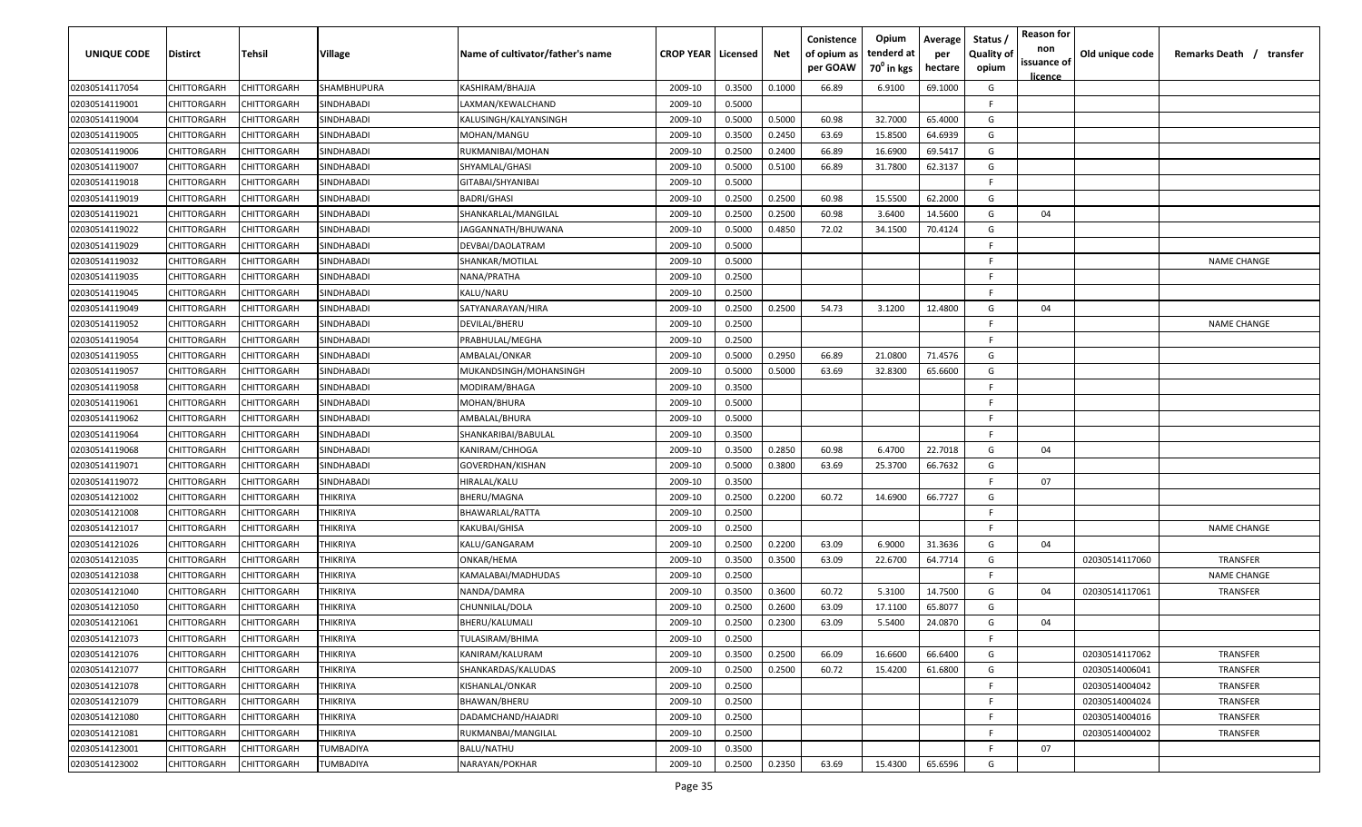| UNIQUE CODE    | Distirct    | Tehsil             | Village           | Name of cultivator/father's name | <b>CROP YEAR   Licensed</b> |        | Net    | Conistence<br>of opium as<br>per GOAW | Opium<br>tenderd at<br>70 <sup>0</sup> in kgs | Average<br>per<br>hectare | Status /<br><b>Quality of</b><br>opium | <b>Reason for</b><br>non<br>issuance of<br><u>licence</u> | Old unique code | Remarks Death /<br>transfer |
|----------------|-------------|--------------------|-------------------|----------------------------------|-----------------------------|--------|--------|---------------------------------------|-----------------------------------------------|---------------------------|----------------------------------------|-----------------------------------------------------------|-----------------|-----------------------------|
| 02030514117054 | CHITTORGARH | CHITTORGARH        | SHAMBHUPURA       | KASHIRAM/BHAJJA                  | 2009-10                     | 0.3500 | 0.1000 | 66.89                                 | 6.9100                                        | 69.1000                   | G                                      |                                                           |                 |                             |
| 02030514119001 | CHITTORGARH | CHITTORGARH        | SINDHABADI        | LAXMAN/KEWALCHAND                | 2009-10                     | 0.5000 |        |                                       |                                               |                           | -F                                     |                                                           |                 |                             |
| 02030514119004 | CHITTORGARH | CHITTORGARH        | SINDHABADI        | KALUSINGH/KALYANSINGH            | 2009-10                     | 0.5000 | 0.5000 | 60.98                                 | 32.7000                                       | 65.4000                   | G                                      |                                                           |                 |                             |
| 02030514119005 | CHITTORGARH | CHITTORGARH        | SINDHABADI        | MOHAN/MANGU                      | 2009-10                     | 0.3500 | 0.2450 | 63.69                                 | 15.8500                                       | 64.6939                   | G                                      |                                                           |                 |                             |
| 02030514119006 | CHITTORGARH | CHITTORGARH        | SINDHABADI        | RUKMANIBAI/MOHAN                 | 2009-10                     | 0.2500 | 0.2400 | 66.89                                 | 16.6900                                       | 69.5417                   | G                                      |                                                           |                 |                             |
| 02030514119007 | CHITTORGARH | CHITTORGARH        | SINDHABADI        | SHYAMLAL/GHASI                   | 2009-10                     | 0.5000 | 0.5100 | 66.89                                 | 31.7800                                       | 62.3137                   | G                                      |                                                           |                 |                             |
| 02030514119018 | CHITTORGARH | <b>CHITTORGARH</b> | SINDHABADI        | GITABAI/SHYANIBAI                | 2009-10                     | 0.5000 |        |                                       |                                               |                           | -F                                     |                                                           |                 |                             |
| 02030514119019 | CHITTORGARH | <b>CHITTORGARH</b> | SINDHABADI        | <b>BADRI/GHASI</b>               | 2009-10                     | 0.2500 | 0.2500 | 60.98                                 | 15.5500                                       | 62.2000                   | G                                      |                                                           |                 |                             |
| 02030514119021 | CHITTORGARH | CHITTORGARH        | SINDHABADI        | SHANKARLAL/MANGILAL              | 2009-10                     | 0.2500 | 0.2500 | 60.98                                 | 3.6400                                        | 14.5600                   | G                                      | 04                                                        |                 |                             |
| 02030514119022 | CHITTORGARH | CHITTORGARH        | SINDHABADI        | JAGGANNATH/BHUWANA               | 2009-10                     | 0.5000 | 0.4850 | 72.02                                 | 34.1500                                       | 70.4124                   | G                                      |                                                           |                 |                             |
| 02030514119029 | CHITTORGARH | CHITTORGARH        | SINDHABADI        | DEVBAI/DAOLATRAM                 | 2009-10                     | 0.5000 |        |                                       |                                               |                           | F.                                     |                                                           |                 |                             |
| 02030514119032 | CHITTORGARH | CHITTORGARH        | SINDHABADI        | SHANKAR/MOTILAL                  | 2009-10                     | 0.5000 |        |                                       |                                               |                           | F.                                     |                                                           |                 | <b>NAME CHANGE</b>          |
| 02030514119035 | CHITTORGARH | CHITTORGARH        | SINDHABADI        | NANA/PRATHA                      | 2009-10                     | 0.2500 |        |                                       |                                               |                           | F.                                     |                                                           |                 |                             |
| 02030514119045 | CHITTORGARH | CHITTORGARH        | SINDHABADI        | KALU/NARU                        | 2009-10                     | 0.2500 |        |                                       |                                               |                           | F.                                     |                                                           |                 |                             |
| 02030514119049 | CHITTORGARH | CHITTORGARH        | SINDHABADI        | SATYANARAYAN/HIRA                | 2009-10                     | 0.2500 | 0.2500 | 54.73                                 | 3.1200                                        | 12.4800                   | G                                      | 04                                                        |                 |                             |
| 02030514119052 | CHITTORGARH | CHITTORGARH        | <b>SINDHABADI</b> | DEVILAL/BHERU                    | 2009-10                     | 0.2500 |        |                                       |                                               |                           | F.                                     |                                                           |                 | <b>NAME CHANGE</b>          |
| 02030514119054 | CHITTORGARH | CHITTORGARH        | SINDHABADI        | PRABHULAL/MEGHA                  | 2009-10                     | 0.2500 |        |                                       |                                               |                           | E.                                     |                                                           |                 |                             |
| 02030514119055 | CHITTORGARH | CHITTORGARH        | SINDHABADI        | AMBALAL/ONKAR                    | 2009-10                     | 0.5000 | 0.2950 | 66.89                                 | 21.0800                                       | 71.4576                   | G                                      |                                                           |                 |                             |
| 02030514119057 | CHITTORGARH | CHITTORGARH        | <b>SINDHABADI</b> | MUKANDSINGH/MOHANSINGH           | 2009-10                     | 0.5000 | 0.5000 | 63.69                                 | 32.8300                                       | 65.6600                   | G                                      |                                                           |                 |                             |
| 02030514119058 | CHITTORGARH | CHITTORGARH        | SINDHABADI        | MODIRAM/BHAGA                    | 2009-10                     | 0.3500 |        |                                       |                                               |                           | E.                                     |                                                           |                 |                             |
| 02030514119061 | CHITTORGARH | CHITTORGARH        | SINDHABADI        | MOHAN/BHURA                      | 2009-10                     | 0.5000 |        |                                       |                                               |                           | F.                                     |                                                           |                 |                             |
| 02030514119062 | CHITTORGARH | CHITTORGARH        | SINDHABADI        | AMBALAL/BHURA                    | 2009-10                     | 0.5000 |        |                                       |                                               |                           | -F                                     |                                                           |                 |                             |
| 02030514119064 | CHITTORGARH | CHITTORGARH        | SINDHABADI        | SHANKARIBAI/BABULAL              | 2009-10                     | 0.3500 |        |                                       |                                               |                           | -F                                     |                                                           |                 |                             |
| 02030514119068 | CHITTORGARH | CHITTORGARH        | SINDHABADI        | KANIRAM/CHHOGA                   | 2009-10                     | 0.3500 | 0.2850 | 60.98                                 | 6.4700                                        | 22.7018                   | G                                      | 04                                                        |                 |                             |
| 02030514119071 | CHITTORGARH | CHITTORGARH        | SINDHABADI        | GOVERDHAN/KISHAN                 | 2009-10                     | 0.5000 | 0.3800 | 63.69                                 | 25.3700                                       | 66.7632                   | G                                      |                                                           |                 |                             |
| 02030514119072 | CHITTORGARH | CHITTORGARH        | SINDHABADI        | HIRALAL/KALU                     | 2009-10                     | 0.3500 |        |                                       |                                               |                           | F.                                     | 07                                                        |                 |                             |
| 02030514121002 | CHITTORGARH | CHITTORGARH        | THIKRIYA          | BHERU/MAGNA                      | 2009-10                     | 0.2500 | 0.2200 | 60.72                                 | 14.6900                                       | 66.7727                   | G                                      |                                                           |                 |                             |
| 02030514121008 | CHITTORGARH | CHITTORGARH        | THIKRIYA          | BHAWARLAL/RATTA                  | 2009-10                     | 0.2500 |        |                                       |                                               |                           | -F                                     |                                                           |                 |                             |
| 02030514121017 | CHITTORGARH | CHITTORGARH        | THIKRIYA          | KAKUBAI/GHISA                    | 2009-10                     | 0.2500 |        |                                       |                                               |                           | F.                                     |                                                           |                 | <b>NAME CHANGE</b>          |
| 02030514121026 | CHITTORGARH | CHITTORGARH        | THIKRIYA          | KALU/GANGARAM                    | 2009-10                     | 0.2500 | 0.2200 | 63.09                                 | 6.9000                                        | 31.3636                   | G                                      | 04                                                        |                 |                             |
| 02030514121035 | CHITTORGARH | CHITTORGARH        | THIKRIYA          | ONKAR/HEMA                       | 2009-10                     | 0.3500 | 0.3500 | 63.09                                 | 22.6700                                       | 64.7714                   | G                                      |                                                           | 02030514117060  | TRANSFER                    |
| 02030514121038 | CHITTORGARH | <b>CHITTORGARH</b> | THIKRIYA          | KAMALABAI/MADHUDAS               | 2009-10                     | 0.2500 |        |                                       |                                               |                           | -F                                     |                                                           |                 | <b>NAME CHANGE</b>          |
| 02030514121040 | CHITTORGARH | CHITTORGARH        | THIKRIYA          | NANDA/DAMRA                      | 2009-10                     | 0.3500 | 0.3600 | 60.72                                 | 5.3100                                        | 14.7500                   | G                                      | 04                                                        | 02030514117061  | TRANSFER                    |
| 02030514121050 | CHITTORGARH | CHITTORGARH        | THIKRIYA          | CHUNNILAL/DOLA                   | 2009-10                     | 0.2500 | 0.2600 | 63.09                                 | 17.1100                                       | 65.8077                   | G                                      |                                                           |                 |                             |
| 02030514121061 | CHITTORGARH | CHITTORGARH        | THIKRIYA          | BHERU/KALUMALI                   | 2009-10                     | 0.2500 | 0.2300 | 63.09                                 | 5.5400                                        | 24.0870                   | G                                      | 04                                                        |                 |                             |
| 02030514121073 | CHITTORGARH | CHITTORGARH        | THIKRIYA          | <b>TULASIRAM/BHIMA</b>           | 2009-10                     | 0.2500 |        |                                       |                                               |                           | -F                                     |                                                           |                 |                             |
| 02030514121076 | CHITTORGARH | <b>CHITTORGARH</b> | THIKRIYA          | KANIRAM/KALURAM                  | 2009-10                     | 0.3500 | 0.2500 | 66.09                                 | 16.6600                                       | 66.6400                   | G                                      |                                                           | 02030514117062  | TRANSFER                    |
| 02030514121077 | CHITTORGARH | CHITTORGARH        | THIKRIYA          | SHANKARDAS/KALUDAS               | 2009-10                     | 0.2500 | 0.2500 | 60.72                                 | 15.4200                                       | 61.6800                   | G                                      |                                                           | 02030514006041  | TRANSFER                    |
| 02030514121078 | CHITTORGARH | CHITTORGARH        | THIKRIYA          | KISHANLAL/ONKAR                  | 2009-10                     | 0.2500 |        |                                       |                                               |                           | E                                      |                                                           | 02030514004042  | TRANSFER                    |
| 02030514121079 | CHITTORGARH | CHITTORGARH        | THIKRIYA          | BHAWAN/BHERU                     | 2009-10                     | 0.2500 |        |                                       |                                               |                           | -F                                     |                                                           | 02030514004024  | TRANSFER                    |
| 02030514121080 | CHITTORGARH | CHITTORGARH        | THIKRIYA          | DADAMCHAND/HAJADRI               | 2009-10                     | 0.2500 |        |                                       |                                               |                           | F.                                     |                                                           | 02030514004016  | TRANSFER                    |
| 02030514121081 | CHITTORGARH | CHITTORGARH        | THIKRIYA          | RUKMANBAI/MANGILAL               | 2009-10                     | 0.2500 |        |                                       |                                               |                           | F.                                     |                                                           | 02030514004002  | TRANSFER                    |
| 02030514123001 | CHITTORGARH | CHITTORGARH        | TUMBADIYA         | BALU/NATHU                       | 2009-10                     | 0.3500 |        |                                       |                                               |                           | E                                      | 07                                                        |                 |                             |
| 02030514123002 | CHITTORGARH | CHITTORGARH        | TUMBADIYA         | NARAYAN/POKHAR                   | 2009-10                     | 0.2500 | 0.2350 | 63.69                                 | 15.4300                                       | 65.6596                   | G                                      |                                                           |                 |                             |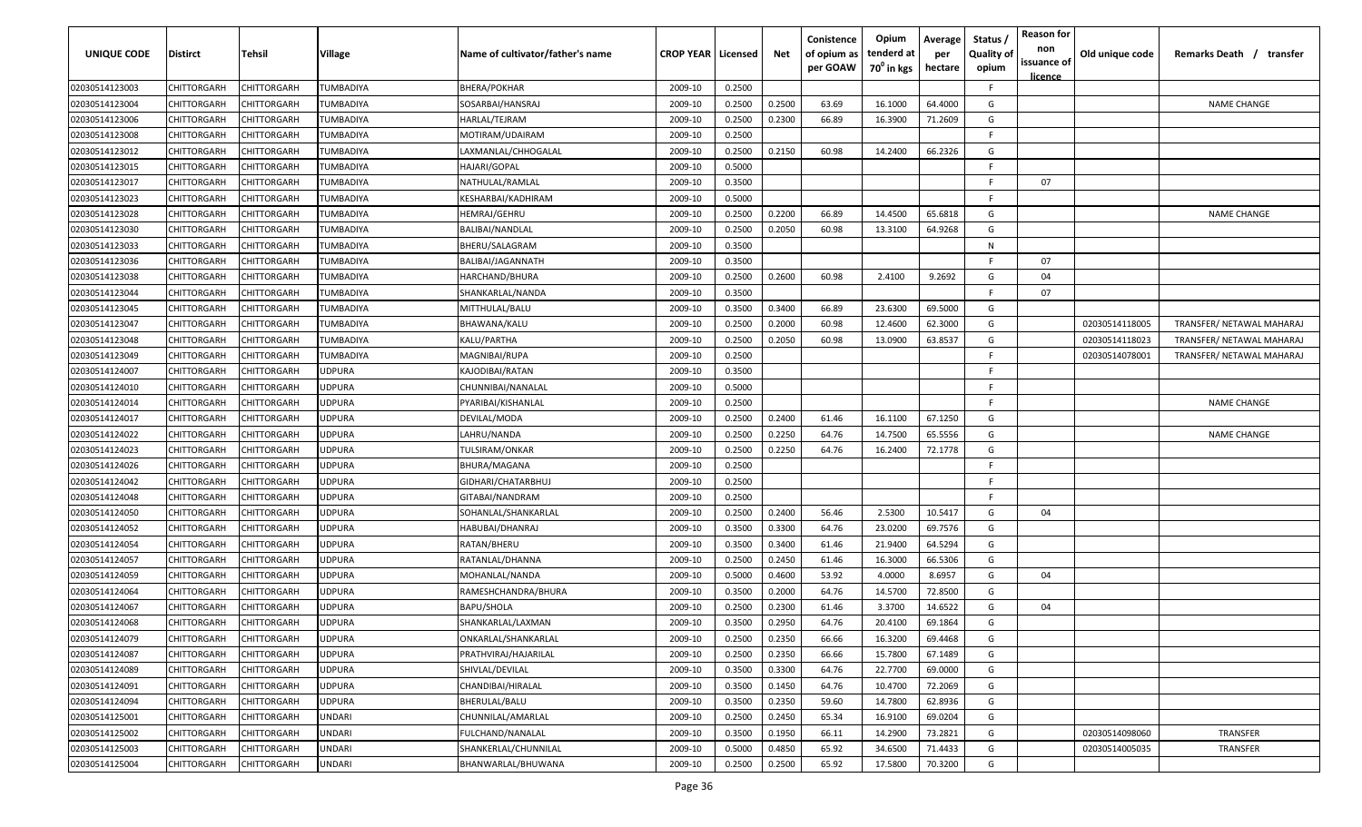| <b>UNIQUE CODE</b> | Distirct           | Tehsil             | Village       | Name of cultivator/father's name | <b>CROP YEAR   Licensed</b> |        | Net    | Conistence<br>of opium as<br>per GOAW | Opium<br>tenderd at<br>70 <sup>0</sup> in kgs | Average<br>per<br>hectare | Status /<br><b>Quality of</b><br>opium | <b>Reason for</b><br>non<br>issuance of<br><u>licence</u> | Old unique code | Remarks Death / transfer  |
|--------------------|--------------------|--------------------|---------------|----------------------------------|-----------------------------|--------|--------|---------------------------------------|-----------------------------------------------|---------------------------|----------------------------------------|-----------------------------------------------------------|-----------------|---------------------------|
| 02030514123003     | CHITTORGARH        | CHITTORGARH        | TUMBADIYA     | <b>BHERA/POKHAR</b>              | 2009-10                     | 0.2500 |        |                                       |                                               |                           | F.                                     |                                                           |                 |                           |
| 02030514123004     | CHITTORGARH        | CHITTORGARH        | TUMBADIYA     | SOSARBAI/HANSRAJ                 | 2009-10                     | 0.2500 | 0.2500 | 63.69                                 | 16.1000                                       | 64.4000                   | G                                      |                                                           |                 | <b>NAME CHANGE</b>        |
| 02030514123006     | CHITTORGARH        | CHITTORGARH        | TUMBADIYA     | HARLAL/TEJRAM                    | 2009-10                     | 0.2500 | 0.2300 | 66.89                                 | 16.3900                                       | 71.2609                   | G                                      |                                                           |                 |                           |
| 02030514123008     | CHITTORGARH        | CHITTORGARH        | TUMBADIYA     | MOTIRAM/UDAIRAM                  | 2009-10                     | 0.2500 |        |                                       |                                               |                           | -F.                                    |                                                           |                 |                           |
| 02030514123012     | CHITTORGARH        | CHITTORGARH        | TUMBADIYA     | LAXMANLAL/CHHOGALAL              | 2009-10                     | 0.2500 | 0.2150 | 60.98                                 | 14.2400                                       | 66.2326                   | G                                      |                                                           |                 |                           |
| 02030514123015     | CHITTORGARH        | CHITTORGARH        | TUMBADIYA     | HAJARI/GOPAL                     | 2009-10                     | 0.5000 |        |                                       |                                               |                           | E                                      |                                                           |                 |                           |
| 02030514123017     | CHITTORGARH        | <b>CHITTORGARH</b> | TUMBADIYA     | NATHULAL/RAMLAL                  | 2009-10                     | 0.3500 |        |                                       |                                               |                           | -F.                                    | 07                                                        |                 |                           |
| 02030514123023     | CHITTORGARH        | CHITTORGARH        | TUMBADIYA     | KESHARBAI/KADHIRAM               | 2009-10                     | 0.5000 |        |                                       |                                               |                           | -F.                                    |                                                           |                 |                           |
| 02030514123028     | CHITTORGARH        | CHITTORGARH        | TUMBADIYA     | HEMRAJ/GEHRU                     | 2009-10                     | 0.2500 | 0.2200 | 66.89                                 | 14.4500                                       | 65.6818                   | G                                      |                                                           |                 | <b>NAME CHANGE</b>        |
| 02030514123030     | CHITTORGARH        | CHITTORGARH        | TUMBADIYA     | BALIBAI/NANDLAL                  | 2009-10                     | 0.2500 | 0.2050 | 60.98                                 | 13.3100                                       | 64.9268                   | G                                      |                                                           |                 |                           |
| 02030514123033     | CHITTORGARH        | CHITTORGARH        | TUMBADIYA     | BHERU/SALAGRAM                   | 2009-10                     | 0.3500 |        |                                       |                                               |                           | N                                      |                                                           |                 |                           |
| 02030514123036     | CHITTORGARH        | CHITTORGARH        | TUMBADIYA     | BALIBAI/JAGANNATH                | 2009-10                     | 0.3500 |        |                                       |                                               |                           | F.                                     | 07                                                        |                 |                           |
| 02030514123038     | CHITTORGARH        | CHITTORGARH        | TUMBADIYA     | HARCHAND/BHURA                   | 2009-10                     | 0.2500 | 0.2600 | 60.98                                 | 2.4100                                        | 9.2692                    | G                                      | 04                                                        |                 |                           |
| 02030514123044     | CHITTORGARH        | CHITTORGARH        | TUMBADIYA     | SHANKARLAL/NANDA                 | 2009-10                     | 0.3500 |        |                                       |                                               |                           | F.                                     | 07                                                        |                 |                           |
| 02030514123045     | CHITTORGARH        | CHITTORGARF        | TUMBADIYA     | MITTHULAL/BALU                   | 2009-10                     | 0.3500 | 0.3400 | 66.89                                 | 23.6300                                       | 69.5000                   | G                                      |                                                           |                 |                           |
| 02030514123047     | CHITTORGARH        | CHITTORGARH        | TUMBADIYA     | BHAWANA/KALU                     | 2009-10                     | 0.2500 | 0.2000 | 60.98                                 | 12.4600                                       | 62.3000                   | G                                      |                                                           | 02030514118005  | TRANSFER/ NETAWAL MAHARAJ |
| 02030514123048     | CHITTORGARH        | CHITTORGARH        | TUMBADIYA     | KALU/PARTHA                      | 2009-10                     | 0.2500 | 0.2050 | 60.98                                 | 13.0900                                       | 63.8537                   | G                                      |                                                           | 02030514118023  | TRANSFER/ NETAWAL MAHARAJ |
| 02030514123049     | CHITTORGARH        | CHITTORGARH        | TUMBADIYA     | MAGNIBAI/RUPA                    | 2009-10                     | 0.2500 |        |                                       |                                               |                           | E                                      |                                                           | 02030514078001  | TRANSFER/ NETAWAL MAHARAJ |
| 02030514124007     | CHITTORGARH        | CHITTORGARH        | JDPURA        | KAJODIBAI/RATAN                  | 2009-10                     | 0.3500 |        |                                       |                                               |                           | F.                                     |                                                           |                 |                           |
| 02030514124010     | CHITTORGARH        | CHITTORGARH        | <b>JDPURA</b> | CHUNNIBAI/NANALAL                | 2009-10                     | 0.5000 |        |                                       |                                               |                           | F.                                     |                                                           |                 |                           |
| 02030514124014     | CHITTORGARH        | CHITTORGARH        | <b>JDPURA</b> | PYARIBAI/KISHANLAL               | 2009-10                     | 0.2500 |        |                                       |                                               |                           | -F.                                    |                                                           |                 | <b>NAME CHANGE</b>        |
| 02030514124017     | CHITTORGARH        | CHITTORGARH        | <b>JDPURA</b> | DEVILAL/MODA                     | 2009-10                     | 0.2500 | 0.2400 | 61.46                                 | 16.1100                                       | 67.1250                   | G                                      |                                                           |                 |                           |
| 02030514124022     | CHITTORGARH        | CHITTORGARH        | <b>JDPURA</b> | LAHRU/NANDA                      | 2009-10                     | 0.2500 | 0.2250 | 64.76                                 | 14.7500                                       | 65.5556                   | G                                      |                                                           |                 | <b>NAME CHANGE</b>        |
| 02030514124023     | CHITTORGARH        | CHITTORGARH        | <b>JDPURA</b> | TULSIRAM/ONKAR                   | 2009-10                     | 0.2500 | 0.2250 | 64.76                                 | 16.2400                                       | 72.1778                   | G                                      |                                                           |                 |                           |
| 02030514124026     | CHITTORGARH        | CHITTORGARH        | <b>JDPURA</b> | BHURA/MAGANA                     | 2009-10                     | 0.2500 |        |                                       |                                               |                           | -F                                     |                                                           |                 |                           |
| 02030514124042     | CHITTORGARH        | CHITTORGARH        | <b>JDPURA</b> | GIDHARI/CHATARBHUJ               | 2009-10                     | 0.2500 |        |                                       |                                               |                           | -F.                                    |                                                           |                 |                           |
| 02030514124048     | CHITTORGARH        | CHITTORGARH        | JDPURA        | GITABAI/NANDRAM                  | 2009-10                     | 0.2500 |        |                                       |                                               |                           | F.                                     |                                                           |                 |                           |
| 02030514124050     | CHITTORGARH        | CHITTORGARH        | JDPURA        | SOHANLAL/SHANKARLAL              | 2009-10                     | 0.2500 | 0.2400 | 56.46                                 | 2.5300                                        | 10.5417                   | G                                      | 04                                                        |                 |                           |
| 02030514124052     | CHITTORGARH        | CHITTORGARH        | JDPURA        | HABUBAI/DHANRAJ                  | 2009-10                     | 0.3500 | 0.3300 | 64.76                                 | 23.0200                                       | 69.7576                   | G                                      |                                                           |                 |                           |
| 02030514124054     | CHITTORGARH        | CHITTORGARH        | <b>JDPURA</b> | RATAN/BHERU                      | 2009-10                     | 0.3500 | 0.3400 | 61.46                                 | 21.9400                                       | 64.5294                   | G                                      |                                                           |                 |                           |
| 02030514124057     | CHITTORGARH        | CHITTORGARH        | <b>JDPURA</b> | RATANLAL/DHANNA                  | 2009-10                     | 0.2500 | 0.2450 | 61.46                                 | 16.3000                                       | 66.5306                   | G                                      |                                                           |                 |                           |
| 02030514124059     | CHITTORGARH        | CHITTORGARH        | <b>JDPURA</b> | MOHANLAL/NANDA                   | 2009-10                     | 0.5000 | 0.4600 | 53.92                                 | 4.0000                                        | 8.6957                    | G                                      | 04                                                        |                 |                           |
| 02030514124064     | CHITTORGARH        | CHITTORGARH        | <b>JDPURA</b> | RAMESHCHANDRA/BHURA              | 2009-10                     | 0.3500 | 0.2000 | 64.76                                 | 14.5700                                       | 72.8500                   | G                                      |                                                           |                 |                           |
| 02030514124067     | CHITTORGARH        | CHITTORGARH        | <b>JDPURA</b> | <b>BAPU/SHOLA</b>                | 2009-10                     | 0.2500 | 0.2300 | 61.46                                 | 3.3700                                        | 14.6522                   | G                                      | 04                                                        |                 |                           |
| 02030514124068     | CHITTORGARH        | CHITTORGARH        | JDPURA        | SHANKARLAL/LAXMAN                | 2009-10                     | 0.3500 | 0.2950 | 64.76                                 | 20.4100                                       | 69.1864                   | G                                      |                                                           |                 |                           |
| 02030514124079     | <b>CHITTORGARH</b> | <b>CHITTORGARH</b> | UDPURA        | ONKARLAL/SHANKARLAL              | 2009-10                     | 0.2500 | 0.2350 | 66.66                                 | 16.3200                                       | 69.4468                   | G                                      |                                                           |                 |                           |
| 02030514124087     | CHITTORGARH        | CHITTORGARH        | <b>JDPURA</b> | PRATHVIRAJ/HAJARILAL             | 2009-10                     | 0.2500 | 0.2350 | 66.66                                 | 15.7800                                       | 67.1489                   | G                                      |                                                           |                 |                           |
| 02030514124089     | <b>CHITTORGARH</b> | CHITTORGARH        | JDPURA        | SHIVLAL/DEVILAL                  | 2009-10                     | 0.3500 | 0.3300 | 64.76                                 | 22.7700                                       | 69.0000                   | G                                      |                                                           |                 |                           |
| 02030514124091     | <b>CHITTORGARH</b> | CHITTORGARH        | JDPURA        | CHANDIBAI/HIRALAL                | 2009-10                     | 0.3500 | 0.1450 | 64.76                                 | 10.4700                                       | 72.2069                   | G                                      |                                                           |                 |                           |
| 02030514124094     | CHITTORGARH        | CHITTORGARH        | <b>JDPURA</b> | BHERULAL/BALU                    | 2009-10                     | 0.3500 | 0.2350 | 59.60                                 | 14.7800                                       | 62.8936                   | G                                      |                                                           |                 |                           |
| 02030514125001     | CHITTORGARH        | CHITTORGARH        | <b>JNDARI</b> | CHUNNILAL/AMARLAL                | 2009-10                     | 0.2500 | 0.2450 | 65.34                                 | 16.9100                                       | 69.0204                   | G                                      |                                                           |                 |                           |
| 02030514125002     | <b>CHITTORGARH</b> | CHITTORGARH        | <b>JNDARI</b> | FULCHAND/NANALAL                 | 2009-10                     | 0.3500 | 0.1950 | 66.11                                 | 14.2900                                       | 73.2821                   | G                                      |                                                           | 02030514098060  | TRANSFER                  |
| 02030514125003     | CHITTORGARH        | CHITTORGARH        | JNDARI        | SHANKERLAL/CHUNNILAL             | 2009-10                     | 0.5000 | 0.4850 | 65.92                                 | 34.6500                                       | 71.4433                   | G                                      |                                                           | 02030514005035  | TRANSFER                  |
| 02030514125004     | CHITTORGARH        | CHITTORGARH        | UNDARI        | BHANWARLAL/BHUWANA               | 2009-10                     | 0.2500 | 0.2500 | 65.92                                 | 17.5800                                       | 70.3200                   | G                                      |                                                           |                 |                           |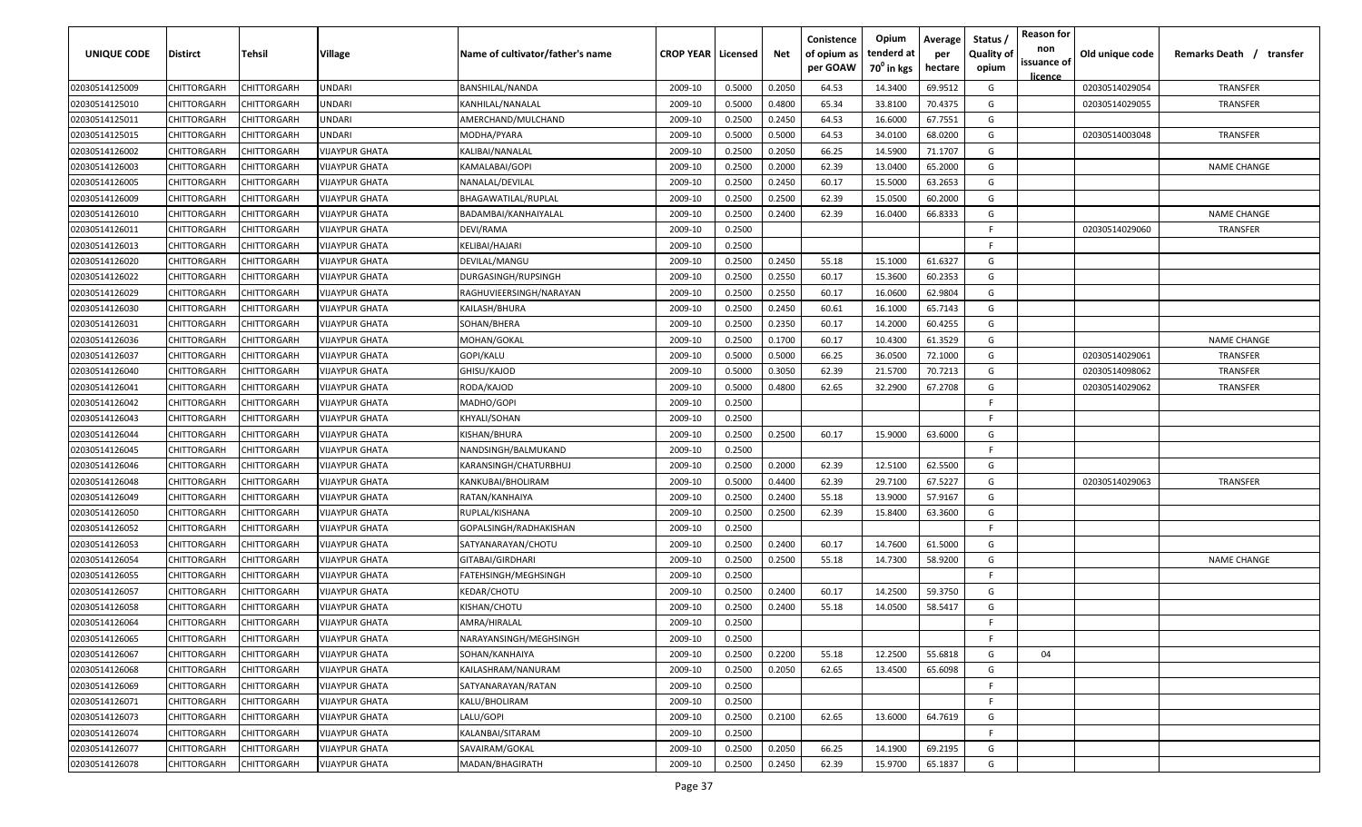| <b>UNIQUE CODE</b> | <b>Distirct</b>    | <b>Tehsil</b>      | Village               | Name of cultivator/father's name | <b>CROP YEAR Licensed</b> |        | Net    | Conistence<br>of opium as<br>per GOAW | Opium<br>tenderd at<br>70 <sup>0</sup> in kgs | Average<br>per<br>hectare | Status /<br><b>Quality of</b><br>opium | <b>Reason for</b><br>non<br>issuance of<br><u>licence</u> | Old unique code | Remarks Death /<br>transfer |
|--------------------|--------------------|--------------------|-----------------------|----------------------------------|---------------------------|--------|--------|---------------------------------------|-----------------------------------------------|---------------------------|----------------------------------------|-----------------------------------------------------------|-----------------|-----------------------------|
| 02030514125009     | CHITTORGARH        | CHITTORGARH        | <b>JNDARI</b>         | <b>BANSHILAL/NANDA</b>           | 2009-10                   | 0.5000 | 0.2050 | 64.53                                 | 14.3400                                       | 69.9512                   | G                                      |                                                           | 02030514029054  | TRANSFER                    |
| 02030514125010     | CHITTORGARH        | CHITTORGARH        | <b>JNDARI</b>         | KANHILAL/NANALAL                 | 2009-10                   | 0.5000 | 0.4800 | 65.34                                 | 33.8100                                       | 70.4375                   | G                                      |                                                           | 02030514029055  | TRANSFER                    |
| 02030514125011     | CHITTORGARH        | CHITTORGARH        | JNDARI                | AMERCHAND/MULCHAND               | 2009-10                   | 0.2500 | 0.2450 | 64.53                                 | 16.6000                                       | 67.7551                   | G                                      |                                                           |                 |                             |
| 02030514125015     | CHITTORGARH        | CHITTORGARH        | JNDARI                | MODHA/PYARA                      | 2009-10                   | 0.5000 | 0.5000 | 64.53                                 | 34.0100                                       | 68.0200                   | G                                      |                                                           | 02030514003048  | <b>TRANSFER</b>             |
| 02030514126002     | CHITTORGARH        | CHITTORGARH        | <b>VIJAYPUR GHATA</b> | KALIBAI/NANALAL                  | 2009-10                   | 0.2500 | 0.2050 | 66.25                                 | 14.5900                                       | 71.1707                   | G                                      |                                                           |                 |                             |
| 02030514126003     | CHITTORGARH        | CHITTORGARH        | <b>VIJAYPUR GHATA</b> | KAMALABAI/GOPI                   | 2009-10                   | 0.2500 | 0.2000 | 62.39                                 | 13.0400                                       | 65.2000                   | G                                      |                                                           |                 | <b>NAME CHANGE</b>          |
| 02030514126005     | CHITTORGARH        | CHITTORGARH        | <b>VIJAYPUR GHATA</b> | NANALAL/DEVILAL                  | 2009-10                   | 0.2500 | 0.2450 | 60.17                                 | 15.5000                                       | 63.2653                   | G                                      |                                                           |                 |                             |
| 02030514126009     | CHITTORGARH        | CHITTORGARF        | VIJAYPUR GHATA        | BHAGAWATILAL/RUPLAL              | 2009-10                   | 0.2500 | 0.2500 | 62.39                                 | 15.0500                                       | 60.2000                   | G                                      |                                                           |                 |                             |
| 02030514126010     | CHITTORGARH        | CHITTORGARH        | <b>VIJAYPUR GHATA</b> | BADAMBAI/KANHAIYALAL             | 2009-10                   | 0.2500 | 0.2400 | 62.39                                 | 16.0400                                       | 66.8333                   | G                                      |                                                           |                 | <b>NAME CHANGE</b>          |
| 02030514126011     | CHITTORGARH        | CHITTORGARH        | VIJAYPUR GHATA        | DEVI/RAMA                        | 2009-10                   | 0.2500 |        |                                       |                                               |                           | -F.                                    |                                                           | 02030514029060  | TRANSFER                    |
| 02030514126013     | CHITTORGARH        | CHITTORGARH        | VIJAYPUR GHATA        | KELIBAI/HAJARI                   | 2009-10                   | 0.2500 |        |                                       |                                               |                           | F.                                     |                                                           |                 |                             |
| 02030514126020     | CHITTORGARH        | CHITTORGARH        | VIJAYPUR GHATA        | DEVILAL/MANGU                    | 2009-10                   | 0.2500 | 0.2450 | 55.18                                 | 15.1000                                       | 61.6327                   | G                                      |                                                           |                 |                             |
| 02030514126022     | CHITTORGARH        | CHITTORGARH        | VIJAYPUR GHATA        | DURGASINGH/RUPSINGH              | 2009-10                   | 0.2500 | 0.2550 | 60.17                                 | 15.3600                                       | 60.2353                   | G                                      |                                                           |                 |                             |
| 02030514126029     | CHITTORGARH        | CHITTORGARH        | VIJAYPUR GHATA        | RAGHUVIEERSINGH/NARAYAN          | 2009-10                   | 0.2500 | 0.2550 | 60.17                                 | 16.0600                                       | 62.9804                   | G                                      |                                                           |                 |                             |
| 02030514126030     | CHITTORGARH        | CHITTORGARH        | VIJAYPUR GHATA        | KAILASH/BHURA                    | 2009-10                   | 0.2500 | 0.2450 | 60.61                                 | 16.1000                                       | 65.7143                   | G                                      |                                                           |                 |                             |
| 02030514126031     | CHITTORGARH        | CHITTORGARH        | VIJAYPUR GHATA        | SOHAN/BHERA                      | 2009-10                   | 0.2500 | 0.2350 | 60.17                                 | 14.2000                                       | 60.4255                   | G                                      |                                                           |                 |                             |
| 02030514126036     | CHITTORGARH        | CHITTORGARF        | <b>VIJAYPUR GHATA</b> | MOHAN/GOKAL                      | 2009-10                   | 0.2500 | 0.1700 | 60.17                                 | 10.4300                                       | 61.3529                   | G                                      |                                                           |                 | <b>NAME CHANGE</b>          |
| 02030514126037     | CHITTORGARH        | CHITTORGARH        | VIJAYPUR GHATA        | GOPI/KALU                        | 2009-10                   | 0.5000 | 0.5000 | 66.25                                 | 36.0500                                       | 72.1000                   | G                                      |                                                           | 02030514029061  | TRANSFER                    |
| 02030514126040     | CHITTORGARH        | CHITTORGARH        | VIJAYPUR GHATA        | GHISU/KAJOD                      | 2009-10                   | 0.5000 | 0.3050 | 62.39                                 | 21.5700                                       | 70.7213                   | G                                      |                                                           | 02030514098062  | TRANSFER                    |
| 02030514126041     | CHITTORGARH        | CHITTORGARH        | VIJAYPUR GHATA        | RODA/KAJOD                       | 2009-10                   | 0.5000 | 0.4800 | 62.65                                 | 32.2900                                       | 67.2708                   | G                                      |                                                           | 02030514029062  | TRANSFER                    |
| 02030514126042     | CHITTORGARH        | CHITTORGARH        | <b>VIJAYPUR GHATA</b> | MADHO/GOPI                       | 2009-10                   | 0.2500 |        |                                       |                                               |                           | -F.                                    |                                                           |                 |                             |
| 02030514126043     | CHITTORGARH        | CHITTORGARH        | <b>VIJAYPUR GHATA</b> | KHYALI/SOHAN                     | 2009-10                   | 0.2500 |        |                                       |                                               |                           | -F.                                    |                                                           |                 |                             |
| 02030514126044     | CHITTORGARH        | CHITTORGARH        | <b>VIJAYPUR GHATA</b> | KISHAN/BHURA                     | 2009-10                   | 0.2500 | 0.2500 | 60.17                                 | 15.9000                                       | 63.6000                   | G                                      |                                                           |                 |                             |
| 02030514126045     | CHITTORGARH        | CHITTORGARH        | VIJAYPUR GHATA        | NANDSINGH/BALMUKAND              | 2009-10                   | 0.2500 |        |                                       |                                               |                           | -F.                                    |                                                           |                 |                             |
| 02030514126046     | CHITTORGARH        | <b>CHITTORGARF</b> | VIJAYPUR GHATA        | KARANSINGH/CHATURBHUJ            | 2009-10                   | 0.2500 | 0.2000 | 62.39                                 | 12.5100                                       | 62.5500                   | G                                      |                                                           |                 |                             |
| 02030514126048     | CHITTORGARH        | CHITTORGARH        | VIJAYPUR GHATA        | KANKUBAI/BHOLIRAM                | 2009-10                   | 0.5000 | 0.4400 | 62.39                                 | 29.7100                                       | 67.5227                   | G                                      |                                                           | 02030514029063  | <b>TRANSFER</b>             |
| 02030514126049     | CHITTORGARH        | CHITTORGARH        | VIJAYPUR GHATA        | RATAN/KANHAIYA                   | 2009-10                   | 0.2500 | 0.2400 | 55.18                                 | 13.9000                                       | 57.9167                   | G                                      |                                                           |                 |                             |
| 02030514126050     | CHITTORGARH        | CHITTORGARH        | VIJAYPUR GHATA        | RUPLAL/KISHANA                   | 2009-10                   | 0.2500 | 0.2500 | 62.39                                 | 15.8400                                       | 63.3600                   | G                                      |                                                           |                 |                             |
| 02030514126052     | CHITTORGARH        | CHITTORGARH        | VIJAYPUR GHATA        | GOPALSINGH/RADHAKISHAN           | 2009-10                   | 0.2500 |        |                                       |                                               |                           | -F.                                    |                                                           |                 |                             |
| 02030514126053     | CHITTORGARH        | CHITTORGARH        | VIJAYPUR GHATA        | SATYANARAYAN/CHOTU               | 2009-10                   | 0.2500 | 0.2400 | 60.17                                 | 14.7600                                       | 61.5000                   | G                                      |                                                           |                 |                             |
| 02030514126054     | CHITTORGARH        | CHITTORGARH        | VIJAYPUR GHATA        | GITABAI/GIRDHARI                 | 2009-10                   | 0.2500 | 0.2500 | 55.18                                 | 14.7300                                       | 58.9200                   | G                                      |                                                           |                 | <b>NAME CHANGE</b>          |
| 02030514126055     | CHITTORGARH        | CHITTORGARH        | VIJAYPUR GHATA        | FATEHSINGH/MEGHSINGH             | 2009-10                   | 0.2500 |        |                                       |                                               |                           | F.                                     |                                                           |                 |                             |
| 02030514126057     | CHITTORGARH        | CHITTORGARH        | <b>VIJAYPUR GHATA</b> | KEDAR/CHOTU                      | 2009-10                   | 0.2500 | 0.2400 | 60.17                                 | 14.2500                                       | 59.3750                   | G                                      |                                                           |                 |                             |
| 02030514126058     | CHITTORGARH        | CHITTORGARH        | VIJAYPUR GHATA        | KISHAN/CHOTU                     | 2009-10                   | 0.2500 | 0.2400 | 55.18                                 | 14.0500                                       | 58.5417                   | G                                      |                                                           |                 |                             |
| 02030514126064     | <b>CHITTORGARH</b> | CHITTORGARH        | VIJAYPUR GHATA        | AMRA/HIRALAL                     | 2009-10                   | 0.2500 |        |                                       |                                               |                           | E                                      |                                                           |                 |                             |
| 02030514126065     | CHITTORGARH        | <b>CHITTORGARH</b> | <b>VIJAYPUR GHATA</b> | NARAYANSINGH/MEGHSINGH           | 2009-10                   | 0.2500 |        |                                       |                                               |                           | -F.                                    |                                                           |                 |                             |
| 02030514126067     | <b>CHITTORGARH</b> | CHITTORGARH        | VIJAYPUR GHATA        | SOHAN/KANHAIYA                   | 2009-10                   | 0.2500 | 0.2200 | 55.18                                 | 12.2500                                       | 55.6818                   | G                                      | 04                                                        |                 |                             |
| 02030514126068     | CHITTORGARH        | CHITTORGARH        | VIJAYPUR GHATA        | KAILASHRAM/NANURAM               | 2009-10                   | 0.2500 | 0.2050 | 62.65                                 | 13.4500                                       | 65.6098                   | G                                      |                                                           |                 |                             |
| 02030514126069     | CHITTORGARH        | <b>CHITTORGARH</b> | <b>VIJAYPUR GHATA</b> | SATYANARAYAN/RATAN               | 2009-10                   | 0.2500 |        |                                       |                                               |                           | F                                      |                                                           |                 |                             |
| 02030514126071     | CHITTORGARH        | <b>CHITTORGARH</b> | <b>VIJAYPUR GHATA</b> | KALU/BHOLIRAM                    | 2009-10                   | 0.2500 |        |                                       |                                               |                           | $\mathsf{F}$                           |                                                           |                 |                             |
| 02030514126073     | CHITTORGARH        | CHITTORGARH        | VIJAYPUR GHATA        | LALU/GOPI                        | 2009-10                   | 0.2500 | 0.2100 | 62.65                                 | 13.6000                                       | 64.7619                   | G                                      |                                                           |                 |                             |
| 02030514126074     | CHITTORGARH        | CHITTORGARH        | <b>VIJAYPUR GHATA</b> | KALANBAI/SITARAM                 | 2009-10                   | 0.2500 |        |                                       |                                               |                           | F.                                     |                                                           |                 |                             |
| 02030514126077     | CHITTORGARH        | CHITTORGARH        | VIJAYPUR GHATA        | SAVAIRAM/GOKAL                   | 2009-10                   | 0.2500 | 0.2050 | 66.25                                 | 14.1900                                       | 69.2195                   | G                                      |                                                           |                 |                             |
| 02030514126078     | <b>CHITTORGARH</b> | CHITTORGARH        | <b>VIJAYPUR GHATA</b> | MADAN/BHAGIRATH                  | 2009-10                   | 0.2500 | 0.2450 | 62.39                                 | 15.9700                                       | 65.1837                   | G                                      |                                                           |                 |                             |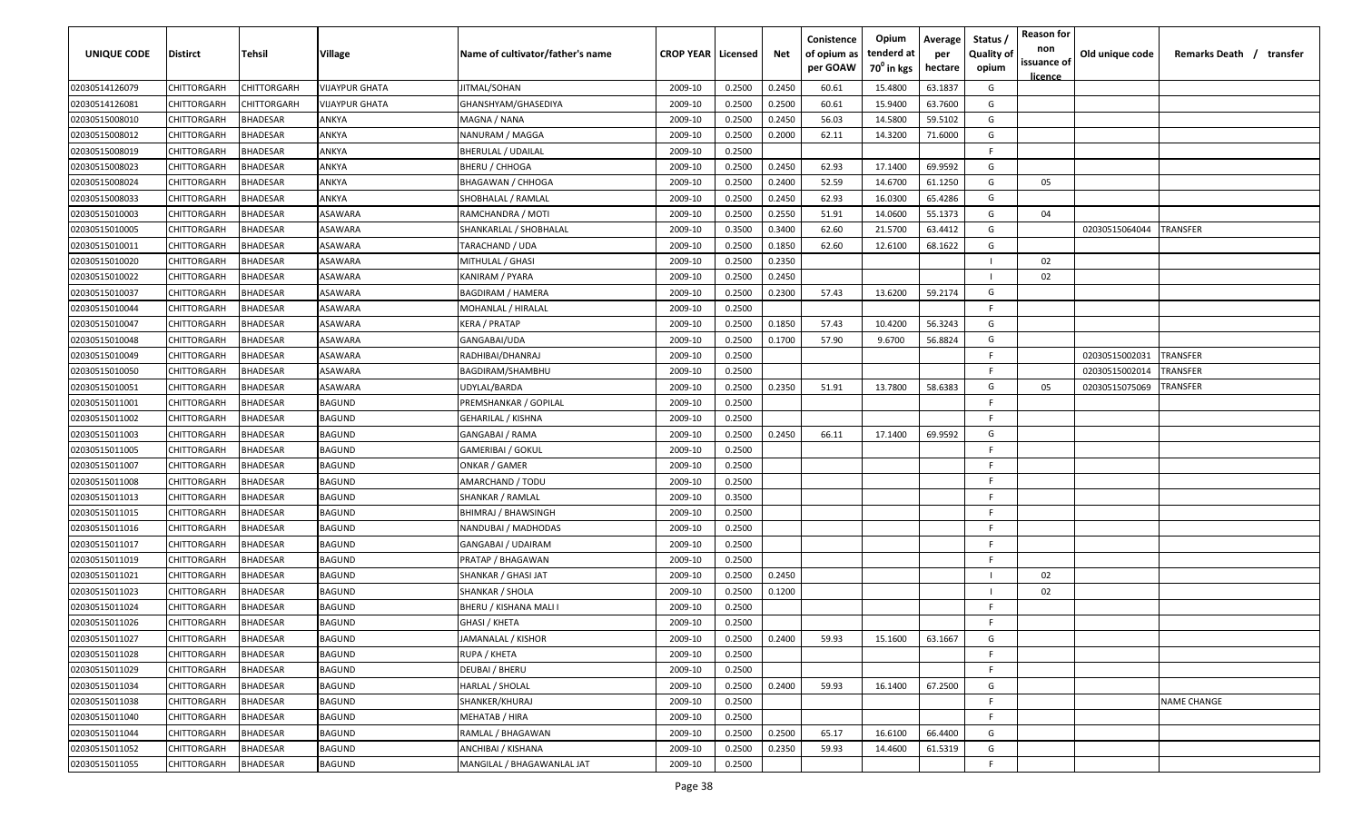| <b>UNIQUE CODE</b> | Distirct           | Tehsil          | Village               | Name of cultivator/father's name | <b>CROP YEAR   Licensed</b> |        | Net    | Conistence<br>of opium as<br>per GOAW | Opium<br>tenderd at<br>70 <sup>0</sup> in kgs | Average<br>per<br>hectare | Status /<br><b>Quality of</b><br>opium | <b>Reason for</b><br>non<br>issuance of | Old unique code | Remarks Death / transfer |
|--------------------|--------------------|-----------------|-----------------------|----------------------------------|-----------------------------|--------|--------|---------------------------------------|-----------------------------------------------|---------------------------|----------------------------------------|-----------------------------------------|-----------------|--------------------------|
| 02030514126079     | CHITTORGARH        | CHITTORGARH     | <b>VIJAYPUR GHATA</b> | JITMAL/SOHAN                     | 2009-10                     | 0.2500 | 0.2450 | 60.61                                 | 15.4800                                       | 63.1837                   | G                                      | <u>licence</u>                          |                 |                          |
| 02030514126081     | CHITTORGARH        | CHITTORGARH     | VIJAYPUR GHATA        | GHANSHYAM/GHASEDIYA              | 2009-10                     | 0.2500 | 0.2500 | 60.61                                 | 15.9400                                       | 63.7600                   | G                                      |                                         |                 |                          |
| 02030515008010     | CHITTORGARH        | BHADESAR        | ANKYA                 | MAGNA / NANA                     | 2009-10                     | 0.2500 | 0.2450 | 56.03                                 | 14.5800                                       | 59.5102                   | G                                      |                                         |                 |                          |
| 02030515008012     | CHITTORGARH        | <b>BHADESAR</b> | ANKYA                 | NANURAM / MAGGA                  | 2009-10                     | 0.2500 | 0.2000 | 62.11                                 | 14.3200                                       | 71.6000                   | G                                      |                                         |                 |                          |
| 02030515008019     | CHITTORGARH        | BHADESAR        | ANKYA                 | <b>BHERULAL / UDAILAL</b>        | 2009-10                     | 0.2500 |        |                                       |                                               |                           | -F.                                    |                                         |                 |                          |
| 02030515008023     | CHITTORGARH        | <b>BHADESAR</b> | ANKYA                 | <b>BHERU / CHHOGA</b>            | 2009-10                     | 0.2500 | 0.2450 | 62.93                                 | 17.1400                                       | 69.9592                   | G                                      |                                         |                 |                          |
| 02030515008024     | CHITTORGARH        | <b>BHADESAR</b> | ANKYA                 | <b>BHAGAWAN / CHHOGA</b>         | 2009-10                     | 0.2500 | 0.2400 | 52.59                                 | 14.6700                                       | 61.1250                   | G                                      | 05                                      |                 |                          |
| 02030515008033     | CHITTORGARH        | BHADESAR        | ANKYA                 | SHOBHALAL / RAMLAL               | 2009-10                     | 0.2500 | 0.2450 | 62.93                                 | 16.0300                                       | 65.4286                   | G                                      |                                         |                 |                          |
| 02030515010003     | CHITTORGARH        | BHADESAR        | ASAWARA               | RAMCHANDRA / MOTI                | 2009-10                     | 0.2500 | 0.2550 | 51.91                                 | 14.0600                                       | 55.1373                   | G                                      | 04                                      |                 |                          |
| 02030515010005     | CHITTORGARH        | BHADESAR        | ASAWARA               | SHANKARLAL / SHOBHALAL           | 2009-10                     | 0.3500 | 0.3400 | 62.60                                 | 21.5700                                       | 63.4412                   | G                                      |                                         | 02030515064044  | TRANSFER                 |
| 02030515010011     | CHITTORGARH        | BHADESAR        | ASAWARA               | TARACHAND / UDA                  | 2009-10                     | 0.2500 | 0.1850 | 62.60                                 | 12.6100                                       | 68.1622                   | G                                      |                                         |                 |                          |
| 02030515010020     | CHITTORGARH        | BHADESAR        | ASAWARA               | MITHULAL / GHASI                 | 2009-10                     | 0.2500 | 0.2350 |                                       |                                               |                           |                                        | 02                                      |                 |                          |
| 02030515010022     | CHITTORGARH        | BHADESAR        | ASAWARA               | KANIRAM / PYARA                  | 2009-10                     | 0.2500 | 0.2450 |                                       |                                               |                           |                                        | 02                                      |                 |                          |
| 02030515010037     | CHITTORGARH        | <b>BHADESAR</b> | ASAWARA               | BAGDIRAM / HAMERA                | 2009-10                     | 0.2500 | 0.2300 | 57.43                                 | 13.6200                                       | 59.2174                   | G                                      |                                         |                 |                          |
| 02030515010044     | CHITTORGARH        | BHADESAR        | ASAWARA               | MOHANLAL / HIRALAL               | 2009-10                     | 0.2500 |        |                                       |                                               |                           | -F.                                    |                                         |                 |                          |
| 02030515010047     | CHITTORGARH        | <b>BHADESAR</b> | ASAWARA               | <b>KERA / PRATAP</b>             | 2009-10                     | 0.2500 | 0.1850 | 57.43                                 | 10.4200                                       | 56.3243                   | G                                      |                                         |                 |                          |
| 02030515010048     | CHITTORGARH        | BHADESAR        | ASAWARA               | GANGABAI/UDA                     | 2009-10                     | 0.2500 | 0.1700 | 57.90                                 | 9.6700                                        | 56.8824                   | G                                      |                                         |                 |                          |
| 02030515010049     | CHITTORGARH        | BHADESAR        | ASAWARA               | RADHIBAI/DHANRAJ                 | 2009-10                     | 0.2500 |        |                                       |                                               |                           | F                                      |                                         | 02030515002031  | TRANSFER                 |
| 02030515010050     | CHITTORGARH        | BHADESAR        | ASAWARA               | BAGDIRAM/SHAMBHU                 | 2009-10                     | 0.2500 |        |                                       |                                               |                           | F.                                     |                                         | 02030515002014  | <b><i>FRANSFER</i></b>   |
| 02030515010051     | CHITTORGARH        | <b>BHADESAR</b> | ASAWARA               | UDYLAL/BARDA                     | 2009-10                     | 0.2500 | 0.2350 | 51.91                                 | 13.7800                                       | 58.6383                   | G                                      | 05                                      | 02030515075069  | TRANSFER                 |
| 02030515011001     | CHITTORGARH        | <b>BHADESAR</b> | BAGUND                | PREMSHANKAR / GOPILAL            | 2009-10                     | 0.2500 |        |                                       |                                               |                           | -F                                     |                                         |                 |                          |
| 02030515011002     | CHITTORGARH        | <b>BHADESAR</b> | BAGUND                | GEHARILAL / KISHNA               | 2009-10                     | 0.2500 |        |                                       |                                               |                           | -F                                     |                                         |                 |                          |
| 02030515011003     | CHITTORGARH        | <b>BHADESAR</b> | BAGUND                | GANGABAI / RAMA                  | 2009-10                     | 0.2500 | 0.2450 | 66.11                                 | 17.1400                                       | 69.9592                   | G                                      |                                         |                 |                          |
| 02030515011005     | CHITTORGARH        | <b>BHADESAR</b> | BAGUND                | GAMERIBAI / GOKUL                | 2009-10                     | 0.2500 |        |                                       |                                               |                           | -F.                                    |                                         |                 |                          |
| 02030515011007     | CHITTORGARH        | BHADESAR        | BAGUND                | ONKAR / GAMER                    | 2009-10                     | 0.2500 |        |                                       |                                               |                           | -F                                     |                                         |                 |                          |
| 02030515011008     | CHITTORGARH        | BHADESAR        | BAGUND                | AMARCHAND / TODU                 | 2009-10                     | 0.2500 |        |                                       |                                               |                           | -F.                                    |                                         |                 |                          |
| 02030515011013     | CHITTORGARH        | BHADESAR        | BAGUND                | SHANKAR / RAMLAL                 | 2009-10                     | 0.3500 |        |                                       |                                               |                           | -F.                                    |                                         |                 |                          |
| 02030515011015     | CHITTORGARH        | <b>BHADESAR</b> | BAGUND                | BHIMRAJ / BHAWSINGH              | 2009-10                     | 0.2500 |        |                                       |                                               |                           | -F.                                    |                                         |                 |                          |
| 02030515011016     | CHITTORGARH        | BHADESAR        | BAGUND                | NANDUBAI / MADHODAS              | 2009-10                     | 0.2500 |        |                                       |                                               |                           | -F.                                    |                                         |                 |                          |
| 02030515011017     | CHITTORGARH        | BHADESAR        | BAGUND                | GANGABAI / UDAIRAM               | 2009-10                     | 0.2500 |        |                                       |                                               |                           | -F.                                    |                                         |                 |                          |
| 02030515011019     | CHITTORGARH        | BHADESAR        | BAGUND                | PRATAP / BHAGAWAN                | 2009-10                     | 0.2500 |        |                                       |                                               |                           | -F.                                    |                                         |                 |                          |
| 02030515011021     | CHITTORGARH        | BHADESAR        | BAGUND                | SHANKAR / GHASI JAT              | 2009-10                     | 0.2500 | 0.2450 |                                       |                                               |                           |                                        | 02                                      |                 |                          |
| 02030515011023     | CHITTORGARH        | BHADESAR        | BAGUND                | SHANKAR / SHOLA                  | 2009-10                     | 0.2500 | 0.1200 |                                       |                                               |                           |                                        | 02                                      |                 |                          |
| 02030515011024     | CHITTORGARH        | BHADESAR        | BAGUND                | BHERU / KISHANA MALI I           | 2009-10                     | 0.2500 |        |                                       |                                               |                           | -F.                                    |                                         |                 |                          |
| 02030515011026     | <b>CHITTORGARH</b> | BHADESAR        | BAGUND                | GHASI / KHETA                    | 2009-10                     | 0.2500 |        |                                       |                                               |                           | F                                      |                                         |                 |                          |
| 02030515011027     | CHITTORGARH        | <b>BHADESAR</b> | BAGUND                | JAMANALAL / KISHOR               | 2009-10                     | 0.2500 | 0.2400 | 59.93                                 | 15.1600                                       | 63.1667                   | G                                      |                                         |                 |                          |
| 02030515011028     | CHITTORGARH        | <b>BHADESAR</b> | <b>BAGUND</b>         | RUPA / KHETA                     | 2009-10                     | 0.2500 |        |                                       |                                               |                           | F.                                     |                                         |                 |                          |
| 02030515011029     | CHITTORGARH        | <b>BHADESAR</b> | <b>BAGUND</b>         | DEUBAI / BHERU                   | 2009-10                     | 0.2500 |        |                                       |                                               |                           | F.                                     |                                         |                 |                          |
| 02030515011034     | CHITTORGARH        | <b>BHADESAR</b> | BAGUND                | HARLAL / SHOLAL                  | 2009-10                     | 0.2500 | 0.2400 | 59.93                                 | 16.1400                                       | 67.2500                   | G                                      |                                         |                 |                          |
| 02030515011038     | CHITTORGARH        | <b>BHADESAR</b> | BAGUND                | SHANKER/KHURAJ                   | 2009-10                     | 0.2500 |        |                                       |                                               |                           | F.                                     |                                         |                 | <b>NAME CHANGE</b>       |
| 02030515011040     | CHITTORGARH        | <b>BHADESAR</b> | <b>BAGUND</b>         | MEHATAB / HIRA                   | 2009-10                     | 0.2500 |        |                                       |                                               |                           | F.                                     |                                         |                 |                          |
| 02030515011044     | <b>CHITTORGARH</b> | BHADESAR        | <b>BAGUND</b>         | RAMLAL / BHAGAWAN                | 2009-10                     | 0.2500 | 0.2500 | 65.17                                 | 16.6100                                       | 66.4400                   | G                                      |                                         |                 |                          |
| 02030515011052     | CHITTORGARH        | BHADESAR        | BAGUND                | ANCHIBAI / KISHANA               | 2009-10                     | 0.2500 | 0.2350 | 59.93                                 | 14.4600                                       | 61.5319                   | G                                      |                                         |                 |                          |
| 02030515011055     | CHITTORGARH        | <b>BHADESAR</b> | BAGUND                | MANGILAL / BHAGAWANLAL JAT       | 2009-10                     | 0.2500 |        |                                       |                                               |                           | F.                                     |                                         |                 |                          |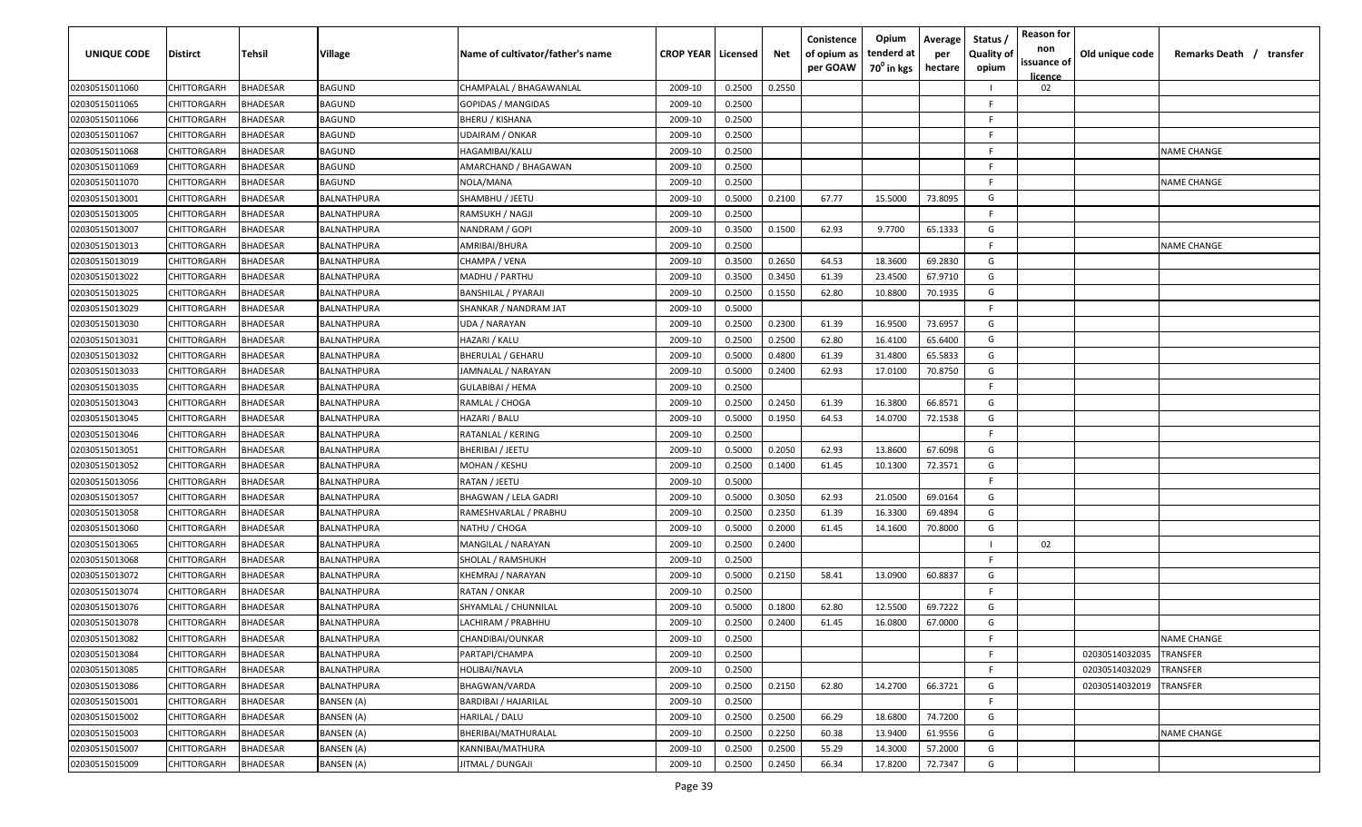| UNIQUE CODE    | Distirct           | Tehsil          | Village       | Name of cultivator/father's name | <b>CROP YEAR   Licensed</b> |        | Net    | Conistence<br>of opium as<br>per GOAW | Opium<br>tenderd at<br>70 <sup>0</sup> in kgs | Average<br>per<br>hectare | Status,<br><b>Quality of</b><br>opium | <b>Reason for</b><br>non<br>issuance of<br>licence | Old unique code | Remarks Death / transfer |
|----------------|--------------------|-----------------|---------------|----------------------------------|-----------------------------|--------|--------|---------------------------------------|-----------------------------------------------|---------------------------|---------------------------------------|----------------------------------------------------|-----------------|--------------------------|
| 02030515011060 | CHITTORGARH        | <b>BHADESAR</b> | <b>BAGUND</b> | CHAMPALAL / BHAGAWANLAL          | 2009-10                     | 0.2500 | 0.2550 |                                       |                                               |                           |                                       | 02                                                 |                 |                          |
| 02030515011065 | CHITTORGARH        | <b>BHADESAR</b> | BAGUND        | <b>GOPIDAS / MANGIDAS</b>        | 2009-10                     | 0.2500 |        |                                       |                                               |                           | E                                     |                                                    |                 |                          |
| 02030515011066 | CHITTORGARH        | <b>BHADESAR</b> | BAGUND        | BHERU / KISHANA                  | 2009-10                     | 0.2500 |        |                                       |                                               |                           | F.                                    |                                                    |                 |                          |
| 02030515011067 | CHITTORGARH        | <b>BHADESAR</b> | BAGUND        | UDAIRAM / ONKAR                  | 2009-10                     | 0.2500 |        |                                       |                                               |                           | E                                     |                                                    |                 |                          |
| 02030515011068 | CHITTORGARH        | <b>BHADESAR</b> | BAGUND        | HAGAMIBAI/KALU                   | 2009-10                     | 0.2500 |        |                                       |                                               |                           | E                                     |                                                    |                 | <b>NAME CHANGE</b>       |
| 02030515011069 | CHITTORGARH        | <b>BHADESAR</b> | BAGUND        | AMARCHAND / BHAGAWAN             | 2009-10                     | 0.2500 |        |                                       |                                               |                           | F                                     |                                                    |                 |                          |
| 02030515011070 | CHITTORGARH        | BHADESAR        | BAGUND        | NOLA/MANA                        | 2009-10                     | 0.2500 |        |                                       |                                               |                           | E                                     |                                                    |                 | <b>NAME CHANGE</b>       |
| 02030515013001 | CHITTORGARH        | <b>BHADESAR</b> | BALNATHPURA   | SHAMBHU / JEETU                  | 2009-10                     | 0.5000 | 0.2100 | 67.77                                 | 15.5000                                       | 73.8095                   | G                                     |                                                    |                 |                          |
| 02030515013005 | CHITTORGARH        | <b>BHADESAR</b> | BALNATHPURA   | RAMSUKH / NAGJI                  | 2009-10                     | 0.2500 |        |                                       |                                               |                           | E                                     |                                                    |                 |                          |
| 02030515013007 | CHITTORGARH        | BHADESAR        | BALNATHPURA   | NANDRAM / GOPI                   | 2009-10                     | 0.3500 | 0.1500 | 62.93                                 | 9.7700                                        | 65.1333                   | G                                     |                                                    |                 |                          |
| 02030515013013 | CHITTORGARH        | BHADESAR        | 3ALNATHPURA   | AMRIBAI/BHURA                    | 2009-10                     | 0.2500 |        |                                       |                                               |                           | F                                     |                                                    |                 | <b>NAME CHANGE</b>       |
| 02030515013019 | CHITTORGARH        | <b>BHADESAR</b> | BALNATHPURA   | CHAMPA / VENA                    | 2009-10                     | 0.3500 | 0.2650 | 64.53                                 | 18.3600                                       | 69.2830                   | G                                     |                                                    |                 |                          |
| 02030515013022 | CHITTORGARH        | <b>BHADESAR</b> | BALNATHPURA   | MADHU / PARTHU                   | 2009-10                     | 0.3500 | 0.3450 | 61.39                                 | 23.4500                                       | 67.9710                   | G                                     |                                                    |                 |                          |
| 02030515013025 | CHITTORGARH        | <b>BHADESAR</b> | BALNATHPURA   | BANSHILAL / PYARAJI              | 2009-10                     | 0.2500 | 0.1550 | 62.80                                 | 10.8800                                       | 70.1935                   | G                                     |                                                    |                 |                          |
| 02030515013029 | CHITTORGARH        | <b>BHADESAR</b> | BALNATHPURA   | SHANKAR / NANDRAM JAT            | 2009-10                     | 0.5000 |        |                                       |                                               |                           | F                                     |                                                    |                 |                          |
| 02030515013030 | CHITTORGARH        | <b>BHADESAR</b> | BALNATHPURA   | UDA / NARAYAN                    | 2009-10                     | 0.2500 | 0.2300 | 61.39                                 | 16.9500                                       | 73.6957                   | G                                     |                                                    |                 |                          |
| 02030515013031 | CHITTORGARH        | <b>BHADESAR</b> | BALNATHPURA   | HAZARI / KALU                    | 2009-10                     | 0.2500 | 0.2500 | 62.80                                 | 16.4100                                       | 65.6400                   | G                                     |                                                    |                 |                          |
| 02030515013032 | CHITTORGARH        | <b>BHADESAR</b> | BALNATHPURA   | <b>BHERULAL / GEHARU</b>         | 2009-10                     | 0.5000 | 0.4800 | 61.39                                 | 31.4800                                       | 65.5833                   | G                                     |                                                    |                 |                          |
| 02030515013033 | CHITTORGARH        | <b>BHADESAR</b> | BALNATHPURA   | JAMNALAL / NARAYAN               | 2009-10                     | 0.5000 | 0.2400 | 62.93                                 | 17.0100                                       | 70.8750                   | G                                     |                                                    |                 |                          |
| 02030515013035 | CHITTORGARH        | <b>BHADESAR</b> | BALNATHPURA   | GULABIBAI / HEMA                 | 2009-10                     | 0.2500 |        |                                       |                                               |                           | F                                     |                                                    |                 |                          |
| 02030515013043 | CHITTORGARH        | <b>BHADESAR</b> | BALNATHPURA   | RAMLAL / CHOGA                   | 2009-10                     | 0.2500 | 0.2450 | 61.39                                 | 16.3800                                       | 66.8571                   | G                                     |                                                    |                 |                          |
| 02030515013045 | CHITTORGARH        | <b>BHADESAR</b> | BALNATHPURA   | HAZARI / BALU                    | 2009-10                     | 0.5000 | 0.1950 | 64.53                                 | 14.0700                                       | 72.1538                   | G                                     |                                                    |                 |                          |
| 02030515013046 | CHITTORGARH        | BHADESAR        | BALNATHPURA   | RATANLAL / KERING                | 2009-10                     | 0.2500 |        |                                       |                                               |                           | E                                     |                                                    |                 |                          |
| 02030515013051 | CHITTORGARH        | BHADESAR        | BALNATHPURA   | BHERIBAI / JEETU                 | 2009-10                     | 0.5000 | 0.2050 | 62.93                                 | 13.8600                                       | 67.6098                   | G                                     |                                                    |                 |                          |
| 02030515013052 | CHITTORGARH        | <b>BHADESAR</b> | BALNATHPURA   | MOHAN / KESHU                    | 2009-10                     | 0.2500 | 0.1400 | 61.45                                 | 10.1300                                       | 72.3571                   | G                                     |                                                    |                 |                          |
| 02030515013056 | CHITTORGARH        | <b>BHADESAR</b> | BALNATHPURA   | RATAN / JEETU                    | 2009-10                     | 0.5000 |        |                                       |                                               |                           | F.                                    |                                                    |                 |                          |
| 02030515013057 | CHITTORGARH        | <b>BHADESAR</b> | BALNATHPURA   | BHAGWAN / LELA GADRI             | 2009-10                     | 0.5000 | 0.3050 | 62.93                                 | 21.0500                                       | 69.0164                   | G                                     |                                                    |                 |                          |
| 02030515013058 | CHITTORGARH        | BHADESAR        | 3ALNATHPURA   | RAMESHVARLAL / PRABHU            | 2009-10                     | 0.2500 | 0.2350 | 61.39                                 | 16.3300                                       | 69.4894                   | G                                     |                                                    |                 |                          |
| 02030515013060 | CHITTORGARH        | <b>BHADESAR</b> | BALNATHPURA   | NATHU / CHOGA                    | 2009-10                     | 0.5000 | 0.2000 | 61.45                                 | 14.1600                                       | 70.8000                   | G                                     |                                                    |                 |                          |
| 02030515013065 | CHITTORGARH        | <b>BHADESAR</b> | BALNATHPURA   | MANGILAL / NARAYAN               | 2009-10                     | 0.2500 | 0.2400 |                                       |                                               |                           |                                       | 02                                                 |                 |                          |
| 02030515013068 | CHITTORGARH        | <b>BHADESAR</b> | BALNATHPURA   | SHOLAL / RAMSHUKH                | 2009-10                     | 0.2500 |        |                                       |                                               |                           | E                                     |                                                    |                 |                          |
| 02030515013072 | CHITTORGARH        | <b>BHADESAR</b> | BALNATHPURA   | KHEMRAJ / NARAYAN                | 2009-10                     | 0.5000 | 0.2150 | 58.41                                 | 13.0900                                       | 60.8837                   | G                                     |                                                    |                 |                          |
| 02030515013074 | CHITTORGARH        | <b>BHADESAR</b> | BALNATHPURA   | RATAN / ONKAR                    | 2009-10                     | 0.2500 |        |                                       |                                               |                           | E                                     |                                                    |                 |                          |
| 02030515013076 | CHITTORGARH        | <b>BHADESAR</b> | BALNATHPURA   | SHYAMLAL / CHUNNILAL             | 2009-10                     | 0.5000 | 0.1800 | 62.80                                 | 12.5500                                       | 69.7222                   | G                                     |                                                    |                 |                          |
| 02030515013078 | <b>CHITTORGARH</b> | <b>BHADESAR</b> | BALNATHPURA   | LACHIRAM / PRABHHU               | 2009-10                     | 0.2500 | 0.2400 | 61.45                                 | 16.0800                                       | 67.0000                   | G                                     |                                                    |                 |                          |
| 02030515013082 | CHITTORGARH        | <b>BHADESAR</b> | BALNATHPURA   | CHANDIBAI/OUNKAR                 | 2009-10                     | 0.2500 |        |                                       |                                               |                           | F.                                    |                                                    |                 | <b>NAME CHANGE</b>       |
| 02030515013084 | <b>CHITTORGARH</b> | <b>BHADESAR</b> | BALNATHPURA   | PARTAPI/CHAMPA                   | 2009-10                     | 0.2500 |        |                                       |                                               |                           | F                                     |                                                    | 02030514032035  | TRANSFER                 |
| 02030515013085 | <b>CHITTORGARH</b> | <b>BHADESAR</b> | BALNATHPURA   | HOLIBAI/NAVLA                    | 2009-10                     | 0.2500 |        |                                       |                                               |                           | F                                     |                                                    | 02030514032029  | TRANSFER                 |
| 02030515013086 | <b>CHITTORGARH</b> | <b>BHADESAR</b> | BALNATHPURA   | BHAGWAN/VARDA                    | 2009-10                     | 0.2500 | 0.2150 | 62.80                                 | 14.2700                                       | 66.3721                   | G                                     |                                                    | 02030514032019  | TRANSFER                 |
| 02030515015001 | CHITTORGARH        | <b>BHADESAR</b> | BANSEN (A)    | <b>BARDIBAI / HAJARILAL</b>      | 2009-10                     | 0.2500 |        |                                       |                                               |                           | F.                                    |                                                    |                 |                          |
| 02030515015002 | CHITTORGARH        | <b>BHADESAR</b> | BANSEN (A)    | HARILAL / DALU                   | 2009-10                     | 0.2500 | 0.2500 | 66.29                                 | 18.6800                                       | 74.7200                   | G                                     |                                                    |                 |                          |
| 02030515015003 | CHITTORGARH        | <b>BHADESAR</b> | BANSEN (A)    | BHERIBAI/MATHURALAL              | 2009-10                     | 0.2500 | 0.2250 | 60.38                                 | 13.9400                                       | 61.9556                   | G                                     |                                                    |                 | <b>NAME CHANGE</b>       |
| 02030515015007 | CHITTORGARH        | <b>BHADESAR</b> | BANSEN (A)    | KANNIBAI/MATHURA                 | 2009-10                     | 0.2500 | 0.2500 | 55.29                                 | 14.3000                                       | 57.2000                   | G                                     |                                                    |                 |                          |
| 02030515015009 | <b>CHITTORGARH</b> | <b>BHADESAR</b> | BANSEN (A)    | JITMAL / DUNGAJI                 | 2009-10                     | 0.2500 | 0.2450 | 66.34                                 | 17.8200                                       | 72.7347                   | G                                     |                                                    |                 |                          |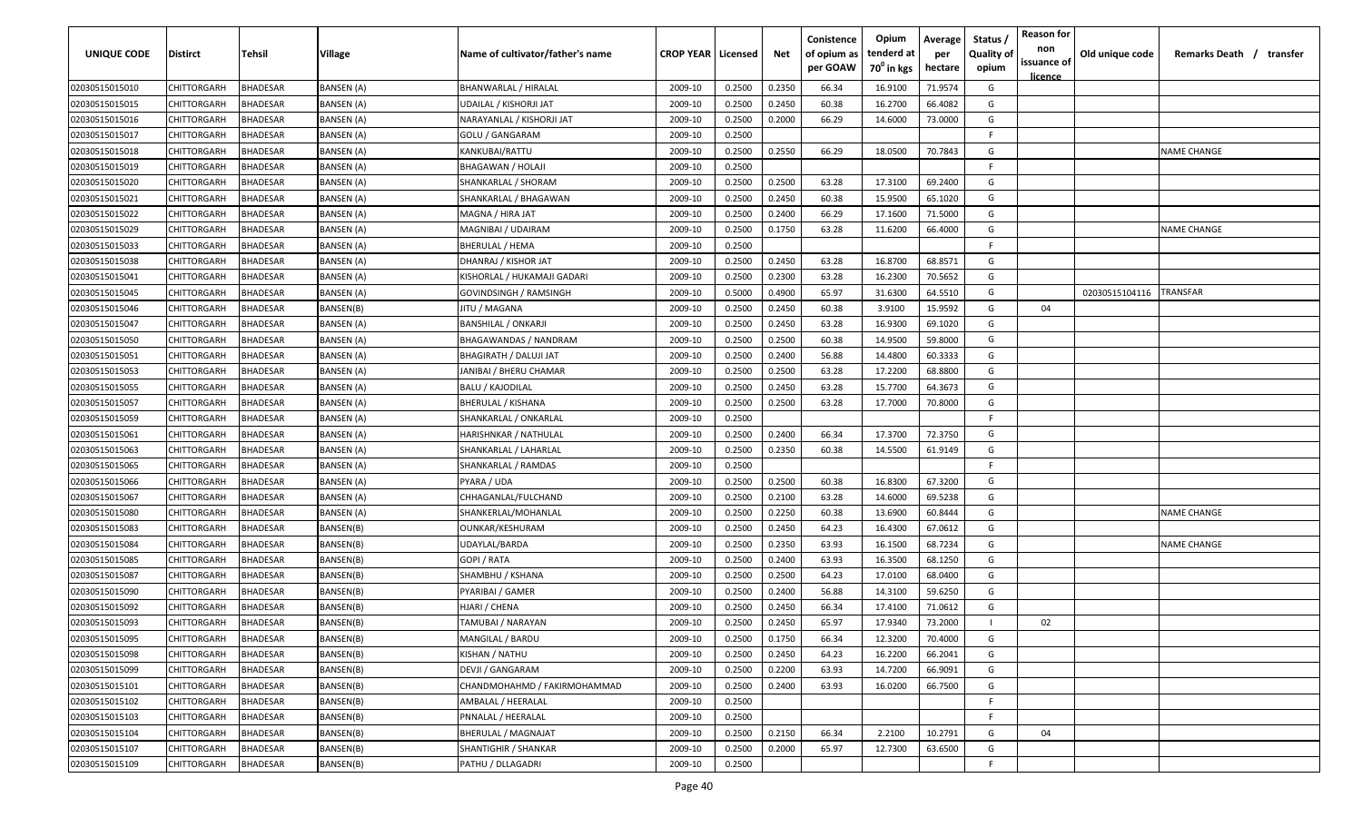| UNIQUE CODE    | <b>Distirct</b>    | Tehsil          | Village           | Name of cultivator/father's name | <b>CROP YEAR   Licensed</b> |        | Net    | Conistence<br>of opium as<br>per GOAW | Opium<br>tenderd at<br>70 <sup>0</sup> in kgs | Average<br>per<br>hectare | Status,<br><b>Quality of</b><br>opium | <b>Reason for</b><br>non<br>issuance of<br><u>licence</u> | Old unique code | Remarks Death / transfer |
|----------------|--------------------|-----------------|-------------------|----------------------------------|-----------------------------|--------|--------|---------------------------------------|-----------------------------------------------|---------------------------|---------------------------------------|-----------------------------------------------------------|-----------------|--------------------------|
| 02030515015010 | <b>CHITTORGARH</b> | <b>BHADESAR</b> | <b>BANSEN (A)</b> | BHANWARLAL / HIRALAL             | 2009-10                     | 0.2500 | 0.2350 | 66.34                                 | 16.9100                                       | 71.9574                   | G                                     |                                                           |                 |                          |
| 02030515015015 | CHITTORGARH        | <b>BHADESAR</b> | BANSEN (A)        | UDAILAL / KISHORJI JAT           | 2009-10                     | 0.2500 | 0.2450 | 60.38                                 | 16.2700                                       | 66.4082                   | G                                     |                                                           |                 |                          |
| 02030515015016 | CHITTORGARH        | <b>BHADESAR</b> | BANSEN (A)        | NARAYANLAL / KISHORJI JAT        | 2009-10                     | 0.2500 | 0.2000 | 66.29                                 | 14.6000                                       | 73.0000                   | G                                     |                                                           |                 |                          |
| 02030515015017 | CHITTORGARH        | <b>BHADESAR</b> | BANSEN (A)        | GOLU / GANGARAM                  | 2009-10                     | 0.2500 |        |                                       |                                               |                           | E                                     |                                                           |                 |                          |
| 02030515015018 | CHITTORGARH        | <b>BHADESAR</b> | BANSEN (A)        | KANKUBAI/RATTU                   | 2009-10                     | 0.2500 | 0.2550 | 66.29                                 | 18.0500                                       | 70.7843                   | G                                     |                                                           |                 | <b>NAME CHANGE</b>       |
| 02030515015019 | CHITTORGARH        | <b>BHADESAR</b> | BANSEN (A)        | <b>BHAGAWAN / HOLAJI</b>         | 2009-10                     | 0.2500 |        |                                       |                                               |                           | E                                     |                                                           |                 |                          |
| 02030515015020 | CHITTORGARH        | <b>BHADESAR</b> | BANSEN (A)        | SHANKARLAL / SHORAM              | 2009-10                     | 0.2500 | 0.2500 | 63.28                                 | 17.3100                                       | 69.2400                   | G                                     |                                                           |                 |                          |
| 02030515015021 | CHITTORGARH        | BHADESAR        | BANSEN (A)        | SHANKARLAL / BHAGAWAN            | 2009-10                     | 0.2500 | 0.2450 | 60.38                                 | 15.9500                                       | 65.1020                   | G                                     |                                                           |                 |                          |
| 02030515015022 | CHITTORGARH        | <b>BHADESAR</b> | BANSEN (A)        | MAGNA / HIRA JAT                 | 2009-10                     | 0.2500 | 0.2400 | 66.29                                 | 17.1600                                       | 71.5000                   | G                                     |                                                           |                 |                          |
| 02030515015029 | CHITTORGARH        | <b>BHADESAR</b> | BANSEN (A)        | MAGNIBAI / UDAIRAM               | 2009-10                     | 0.2500 | 0.1750 | 63.28                                 | 11.6200                                       | 66.4000                   | G                                     |                                                           |                 | <b>NAME CHANGE</b>       |
| 02030515015033 | CHITTORGARH        | BHADESAR        | BANSEN (A)        | BHERULAL / HEMA                  | 2009-10                     | 0.2500 |        |                                       |                                               |                           | E                                     |                                                           |                 |                          |
| 02030515015038 | CHITTORGARH        | <b>BHADESAR</b> | BANSEN (A)        | DHANRAJ / KISHOR JAT             | 2009-10                     | 0.2500 | 0.2450 | 63.28                                 | 16.8700                                       | 68.8571                   | G                                     |                                                           |                 |                          |
| 02030515015041 | CHITTORGARH        | <b>BHADESAR</b> | BANSEN (A)        | KISHORLAL / HUKAMAJI GADARI      | 2009-10                     | 0.2500 | 0.2300 | 63.28                                 | 16.2300                                       | 70.5652                   | G                                     |                                                           |                 |                          |
| 02030515015045 | CHITTORGARH        | <b>BHADESAR</b> | BANSEN (A)        | GOVINDSINGH / RAMSINGH           | 2009-10                     | 0.5000 | 0.4900 | 65.97                                 | 31.6300                                       | 64.5510                   | G                                     |                                                           | 02030515104116  | TRANSFAR                 |
| 02030515015046 | CHITTORGARH        | <b>BHADESAR</b> | BANSEN(B)         | IITU / MAGANA                    | 2009-10                     | 0.2500 | 0.2450 | 60.38                                 | 3.9100                                        | 15.9592                   | G                                     | 04                                                        |                 |                          |
| 02030515015047 | CHITTORGARH        | <b>BHADESAR</b> | BANSEN (A)        | BANSHILAL / ONKARJI              | 2009-10                     | 0.2500 | 0.2450 | 63.28                                 | 16.9300                                       | 69.1020                   | G                                     |                                                           |                 |                          |
| 02030515015050 | CHITTORGARH        | <b>BHADESAR</b> | BANSEN (A)        | BHAGAWANDAS / NANDRAM            | 2009-10                     | 0.2500 | 0.2500 | 60.38                                 | 14.9500                                       | 59.8000                   | G                                     |                                                           |                 |                          |
| 02030515015051 | CHITTORGARH        | <b>BHADESAR</b> | BANSEN (A)        | BHAGIRATH / DALUJI JAT           | 2009-10                     | 0.2500 | 0.2400 | 56.88                                 | 14.4800                                       | 60.3333                   | G                                     |                                                           |                 |                          |
| 02030515015053 | CHITTORGARH        | <b>BHADESAR</b> | BANSEN (A)        | JANIBAI / BHERU CHAMAR           | 2009-10                     | 0.2500 | 0.2500 | 63.28                                 | 17.2200                                       | 68.8800                   | G                                     |                                                           |                 |                          |
| 02030515015055 | CHITTORGARH        | <b>BHADESAR</b> | BANSEN (A)        | <b>BALU / KAJODILAL</b>          | 2009-10                     | 0.2500 | 0.2450 | 63.28                                 | 15.7700                                       | 64.3673                   | G                                     |                                                           |                 |                          |
| 02030515015057 | CHITTORGARH        | <b>BHADESAR</b> | BANSEN (A)        | BHERULAL / KISHANA               | 2009-10                     | 0.2500 | 0.2500 | 63.28                                 | 17.7000                                       | 70.8000                   | G                                     |                                                           |                 |                          |
| 02030515015059 | CHITTORGARH        | <b>BHADESAR</b> | BANSEN (A)        | SHANKARLAL / ONKARLAL            | 2009-10                     | 0.2500 |        |                                       |                                               |                           | E                                     |                                                           |                 |                          |
| 02030515015061 | CHITTORGARH        | <b>BHADESAR</b> | BANSEN (A)        | HARISHNKAR / NATHULAL            | 2009-10                     | 0.2500 | 0.2400 | 66.34                                 | 17.3700                                       | 72.3750                   | G                                     |                                                           |                 |                          |
| 02030515015063 | CHITTORGARH        | <b>BHADESAR</b> | BANSEN (A)        | SHANKARLAL / LAHARLAL            | 2009-10                     | 0.2500 | 0.2350 | 60.38                                 | 14.5500                                       | 61.9149                   | G                                     |                                                           |                 |                          |
| 02030515015065 | CHITTORGARH        | <b>BHADESAR</b> | BANSEN (A)        | SHANKARLAL / RAMDAS              | 2009-10                     | 0.2500 |        |                                       |                                               |                           | F                                     |                                                           |                 |                          |
| 02030515015066 | CHITTORGARH        | <b>BHADESAR</b> | BANSEN (A)        | PYARA / UDA                      | 2009-10                     | 0.2500 | 0.2500 | 60.38                                 | 16.8300                                       | 67.3200                   | G                                     |                                                           |                 |                          |
| 02030515015067 | CHITTORGARH        | <b>BHADESAR</b> | BANSEN (A)        | CHHAGANLAL/FULCHAND              | 2009-10                     | 0.2500 | 0.2100 | 63.28                                 | 14.6000                                       | 69.5238                   | G                                     |                                                           |                 |                          |
| 02030515015080 | CHITTORGARH        | <b>BHADESAR</b> | BANSEN (A)        | SHANKERLAL/MOHANLAL              | 2009-10                     | 0.2500 | 0.2250 | 60.38                                 | 13.6900                                       | 60.8444                   | G                                     |                                                           |                 | <b>NAME CHANGE</b>       |
| 02030515015083 | CHITTORGARH        | <b>BHADESAR</b> | BANSEN(B)         | OUNKAR/KESHURAM                  | 2009-10                     | 0.2500 | 0.2450 | 64.23                                 | 16.4300                                       | 67.0612                   | G                                     |                                                           |                 |                          |
| 02030515015084 | CHITTORGARH        | <b>BHADESAR</b> | BANSEN(B)         | JDAYLAL/BARDA                    | 2009-10                     | 0.2500 | 0.2350 | 63.93                                 | 16.1500                                       | 68.7234                   | G                                     |                                                           |                 | <b>NAME CHANGE</b>       |
| 02030515015085 | CHITTORGARH        | <b>BHADESAR</b> | BANSEN(B)         | GOPI / RATA                      | 2009-10                     | 0.2500 | 0.2400 | 63.93                                 | 16.3500                                       | 68.1250                   | G                                     |                                                           |                 |                          |
| 02030515015087 | CHITTORGARH        | <b>BHADESAR</b> | BANSEN(B)         | SHAMBHU / KSHANA                 | 2009-10                     | 0.2500 | 0.2500 | 64.23                                 | 17.0100                                       | 68.0400                   | G                                     |                                                           |                 |                          |
| 02030515015090 | CHITTORGARH        | <b>BHADESAR</b> | BANSEN(B)         | PYARIBAI / GAMER                 | 2009-10                     | 0.2500 | 0.2400 | 56.88                                 | 14.3100                                       | 59.6250                   | G                                     |                                                           |                 |                          |
| 02030515015092 | CHITTORGARH        | <b>BHADESAR</b> | BANSEN(B)         | HJARI / CHENA                    | 2009-10                     | 0.2500 | 0.2450 | 66.34                                 | 17.4100                                       | 71.0612                   | G                                     |                                                           |                 |                          |
| 02030515015093 | CHITTORGARH        | <b>BHADESAR</b> | BANSEN(B)         | TAMUBAI / NARAYAN                | 2009-10                     | 0.2500 | 0.2450 | 65.97                                 | 17.9340                                       | 73.2000                   |                                       | 02                                                        |                 |                          |
| 02030515015095 | CHITTORGARH        | <b>BHADESAR</b> | BANSEN(B)         | MANGILAL / BARDU                 | 2009-10                     | 0.2500 | 0.1750 | 66.34                                 | 12.3200                                       | 70.4000                   | G                                     |                                                           |                 |                          |
| 02030515015098 | <b>CHITTORGARH</b> | <b>BHADESAR</b> | BANSEN(B)         | KISHAN / NATHU                   | 2009-10                     | 0.2500 | 0.2450 | 64.23                                 | 16.2200                                       | 66.2041                   | G                                     |                                                           |                 |                          |
| 02030515015099 | CHITTORGARH        | <b>BHADESAR</b> | BANSEN(B)         | DEVJI / GANGARAM                 | 2009-10                     | 0.2500 | 0.2200 | 63.93                                 | 14.7200                                       | 66.9091                   | G                                     |                                                           |                 |                          |
| 02030515015101 | CHITTORGARH        | <b>BHADESAR</b> | BANSEN(B)         | CHANDMOHAHMD / FAKIRMOHAMMAD     | 2009-10                     | 0.2500 | 0.2400 | 63.93                                 | 16.0200                                       | 66.7500                   | G                                     |                                                           |                 |                          |
| 02030515015102 | CHITTORGARH        | <b>BHADESAR</b> | BANSEN(B)         | AMBALAL / HEERALAL               | 2009-10                     | 0.2500 |        |                                       |                                               |                           | F.                                    |                                                           |                 |                          |
| 02030515015103 | CHITTORGARH        | <b>BHADESAR</b> | BANSEN(B)         | PNNALAL / HEERALAL               | 2009-10                     | 0.2500 |        |                                       |                                               |                           | E                                     |                                                           |                 |                          |
| 02030515015104 | CHITTORGARH        | BHADESAR        | BANSEN(B)         | BHERULAL / MAGNAJAT              | 2009-10                     | 0.2500 | 0.2150 | 66.34                                 | 2.2100                                        | 10.2791                   | G                                     | 04                                                        |                 |                          |
| 02030515015107 | CHITTORGARH        | <b>BHADESAR</b> | BANSEN(B)         | SHANTIGHIR / SHANKAR             | 2009-10                     | 0.2500 | 0.2000 | 65.97                                 | 12.7300                                       | 63.6500                   | G                                     |                                                           |                 |                          |
| 02030515015109 | <b>CHITTORGARH</b> | <b>BHADESAR</b> | BANSEN(B)         | PATHU / DLLAGADRI                | 2009-10                     | 0.2500 |        |                                       |                                               |                           | F.                                    |                                                           |                 |                          |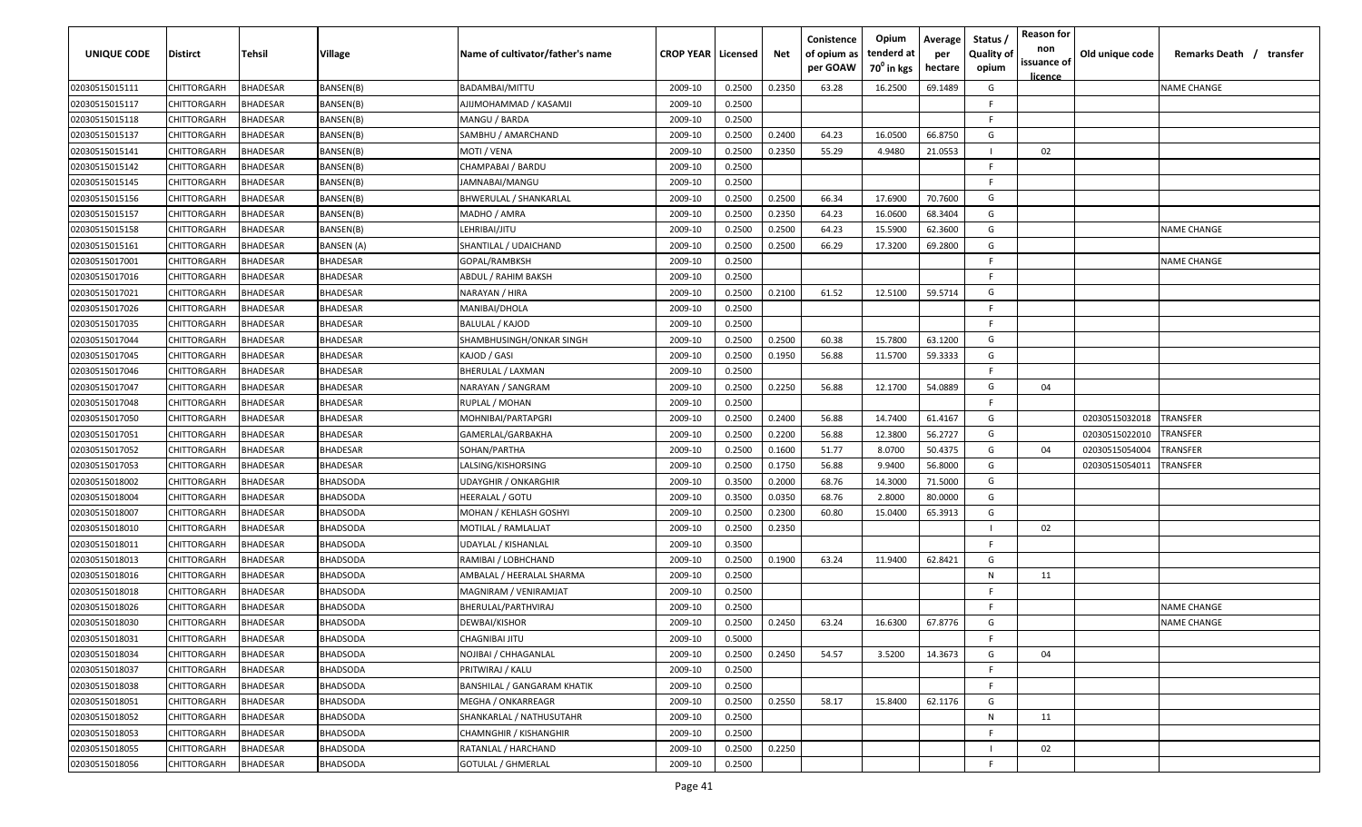| UNIQUE CODE    | Distirct           | Tehsil          | Village         | Name of cultivator/father's name   | <b>CROP YEAR   Licensed</b> |        | Net    | Conistence<br>of opium as<br>per GOAW | Opium<br>tenderd at<br>70 <sup>°</sup> in kgs | Average<br>per<br>hectare | Status /<br><b>Quality of</b><br>opium | <b>Reason for</b><br>non<br>issuance of<br>licence | Old unique code | Remarks Death / transfer |
|----------------|--------------------|-----------------|-----------------|------------------------------------|-----------------------------|--------|--------|---------------------------------------|-----------------------------------------------|---------------------------|----------------------------------------|----------------------------------------------------|-----------------|--------------------------|
| 02030515015111 | CHITTORGARH        | <b>BHADESAR</b> | BANSEN(B)       | BADAMBAI/MITTU                     | 2009-10                     | 0.2500 | 0.2350 | 63.28                                 | 16.2500                                       | 69.1489                   | G                                      |                                                    |                 | <b>NAME CHANGE</b>       |
| 02030515015117 | CHITTORGARH        | BHADESAR        | BANSEN(B)       | AJIJMOHAMMAD / KASAMJI             | 2009-10                     | 0.2500 |        |                                       |                                               |                           | -F.                                    |                                                    |                 |                          |
| 02030515015118 | CHITTORGARH        | BHADESAR        | BANSEN(B)       | MANGU / BARDA                      | 2009-10                     | 0.2500 |        |                                       |                                               |                           | -F.                                    |                                                    |                 |                          |
| 02030515015137 | CHITTORGARH        | BHADESAR        | BANSEN(B)       | SAMBHU / AMARCHAND                 | 2009-10                     | 0.2500 | 0.2400 | 64.23                                 | 16.0500                                       | 66.8750                   | G                                      |                                                    |                 |                          |
| 02030515015141 | CHITTORGARH        | BHADESAR        | BANSEN(B)       | MOTI / VENA                        | 2009-10                     | 0.2500 | 0.2350 | 55.29                                 | 4.9480                                        | 21.0553                   |                                        | 02                                                 |                 |                          |
| 02030515015142 | CHITTORGARH        | <b>BHADESAR</b> | BANSEN(B)       | CHAMPABAI / BARDU                  | 2009-10                     | 0.2500 |        |                                       |                                               |                           | -F.                                    |                                                    |                 |                          |
| 02030515015145 | <b>CHITTORGARH</b> | <b>BHADESAR</b> | BANSEN(B)       | JAMNABAI/MANGU                     | 2009-10                     | 0.2500 |        |                                       |                                               |                           | -F.                                    |                                                    |                 |                          |
| 02030515015156 | CHITTORGARH        | BHADESAR        | BANSEN(B)       | <b>BHWERULAL / SHANKARLAL</b>      | 2009-10                     | 0.2500 | 0.2500 | 66.34                                 | 17.6900                                       | 70.7600                   | G                                      |                                                    |                 |                          |
| 02030515015157 | CHITTORGARH        | BHADESAR        | BANSEN(B)       | MADHO / AMRA                       | 2009-10                     | 0.2500 | 0.2350 | 64.23                                 | 16.0600                                       | 68.3404                   | G                                      |                                                    |                 |                          |
| 02030515015158 | CHITTORGARH        | BHADESAR        | BANSEN(B)       | LEHRIBAI/JITU                      | 2009-10                     | 0.2500 | 0.2500 | 64.23                                 | 15.5900                                       | 62.3600                   | G                                      |                                                    |                 | NAME CHANGE              |
| 02030515015161 | CHITTORGARH        | BHADESAR        | BANSEN (A)      | SHANTILAL / UDAICHAND              | 2009-10                     | 0.2500 | 0.2500 | 66.29                                 | 17.3200                                       | 69.2800                   | G                                      |                                                    |                 |                          |
| 02030515017001 | CHITTORGARH        | BHADESAR        | BHADESAR        | GOPAL/RAMBKSH                      | 2009-10                     | 0.2500 |        |                                       |                                               |                           | F.                                     |                                                    |                 | NAME CHANGE              |
| 02030515017016 | CHITTORGARH        | BHADESAR        | BHADESAR        | ABDUL / RAHIM BAKSH                | 2009-10                     | 0.2500 |        |                                       |                                               |                           | F.                                     |                                                    |                 |                          |
| 02030515017021 | CHITTORGARH        | <b>BHADESAR</b> | BHADESAR        | NARAYAN / HIRA                     | 2009-10                     | 0.2500 | 0.2100 | 61.52                                 | 12.5100                                       | 59.5714                   | G                                      |                                                    |                 |                          |
| 02030515017026 | CHITTORGARH        | <b>BHADESAR</b> | BHADESAR        | MANIBAI/DHOLA                      | 2009-10                     | 0.2500 |        |                                       |                                               |                           | -F.                                    |                                                    |                 |                          |
| 02030515017035 | CHITTORGARH        | <b>BHADESAR</b> | BHADESAR        | <b>BALULAL / KAJOD</b>             | 2009-10                     | 0.2500 |        |                                       |                                               |                           | -F                                     |                                                    |                 |                          |
| 02030515017044 | CHITTORGARH        | BHADESAR        | BHADESAR        | SHAMBHUSINGH/ONKAR SINGH           | 2009-10                     | 0.2500 | 0.2500 | 60.38                                 | 15.7800                                       | 63.1200                   | G                                      |                                                    |                 |                          |
| 02030515017045 | CHITTORGARH        | BHADESAR        | BHADESAR        | KAJOD / GASI                       | 2009-10                     | 0.2500 | 0.1950 | 56.88                                 | 11.5700                                       | 59.3333                   | G                                      |                                                    |                 |                          |
| 02030515017046 | CHITTORGARH        | <b>BHADESAR</b> | BHADESAR        | BHERULAL / LAXMAN                  | 2009-10                     | 0.2500 |        |                                       |                                               |                           | -F.                                    |                                                    |                 |                          |
| 02030515017047 | CHITTORGARH        | <b>BHADESAR</b> | BHADESAR        | NARAYAN / SANGRAM                  | 2009-10                     | 0.2500 | 0.2250 | 56.88                                 | 12.1700                                       | 54.0889                   | G                                      | 04                                                 |                 |                          |
| 02030515017048 | CHITTORGARH        | <b>BHADESAR</b> | BHADESAR        | RUPLAL / MOHAN                     | 2009-10                     | 0.2500 |        |                                       |                                               |                           | -F                                     |                                                    |                 |                          |
| 02030515017050 | CHITTORGARH        | <b>BHADESAR</b> | BHADESAR        | MOHNIBAI/PARTAPGRI                 | 2009-10                     | 0.2500 | 0.2400 | 56.88                                 | 14.7400                                       | 61.4167                   | G                                      |                                                    | 02030515032018  | TRANSFER                 |
| 02030515017051 | CHITTORGARH        | <b>BHADESAR</b> | BHADESAR        | GAMERLAL/GARBAKHA                  | 2009-10                     | 0.2500 | 0.2200 | 56.88                                 | 12.3800                                       | 56.2727                   | G                                      |                                                    | 02030515022010  | <b><i>FRANSFER</i></b>   |
| 02030515017052 | CHITTORGARH        | <b>BHADESAR</b> | <b>BHADESAR</b> | SOHAN/PARTHA                       | 2009-10                     | 0.2500 | 0.1600 | 51.77                                 | 8.0700                                        | 50.4375                   | G                                      | 04                                                 | 02030515054004  | <b><i>FRANSFER</i></b>   |
| 02030515017053 | CHITTORGARH        | BHADESAR        | BHADESAR        | LALSING/KISHORSING                 | 2009-10                     | 0.2500 | 0.1750 | 56.88                                 | 9.9400                                        | 56.8000                   | G                                      |                                                    | 02030515054011  | <b><i>FRANSFER</i></b>   |
| 02030515018002 | CHITTORGARH        | BHADESAR        | BHADSODA        | UDAYGHIR / ONKARGHIR               | 2009-10                     | 0.3500 | 0.2000 | 68.76                                 | 14.3000                                       | 71.5000                   | G                                      |                                                    |                 |                          |
| 02030515018004 | CHITTORGARH        | BHADESAR        | BHADSODA        | HEERALAL / GOTU                    | 2009-10                     | 0.3500 | 0.0350 | 68.76                                 | 2.8000                                        | 80.0000                   | G                                      |                                                    |                 |                          |
| 02030515018007 | CHITTORGARH        | BHADESAR        | BHADSODA        | MOHAN / KEHLASH GOSHYI             | 2009-10                     | 0.2500 | 0.2300 | 60.80                                 | 15.0400                                       | 65.3913                   | G                                      |                                                    |                 |                          |
| 02030515018010 | CHITTORGARH        | BHADESAR        | BHADSODA        | MOTILAL / RAMLALJAT                | 2009-10                     | 0.2500 | 0.2350 |                                       |                                               |                           |                                        | 02                                                 |                 |                          |
| 02030515018011 | CHITTORGARH        | BHADESAR        | BHADSODA        | UDAYLAL / KISHANLAL                | 2009-10                     | 0.3500 |        |                                       |                                               |                           | -F.                                    |                                                    |                 |                          |
| 02030515018013 | CHITTORGARH        | BHADESAR        | BHADSODA        | RAMIBAI / LOBHCHAND                | 2009-10                     | 0.2500 | 0.1900 | 63.24                                 | 11.9400                                       | 62.8421                   | G                                      |                                                    |                 |                          |
| 02030515018016 | CHITTORGARH        | <b>BHADESAR</b> | BHADSODA        | AMBALAL / HEERALAL SHARMA          | 2009-10                     | 0.2500 |        |                                       |                                               |                           | N                                      | 11                                                 |                 |                          |
| 02030515018018 | CHITTORGARH        | BHADESAR        | <b>BHADSODA</b> | MAGNIRAM / VENIRAMJAT              | 2009-10                     | 0.2500 |        |                                       |                                               |                           | -F.                                    |                                                    |                 |                          |
| 02030515018026 | CHITTORGARH        | BHADESAR        | BHADSODA        | BHERULAL/PARTHVIRAJ                | 2009-10                     | 0.2500 |        |                                       |                                               |                           | -F.                                    |                                                    |                 | <b>NAME CHANGE</b>       |
| 02030515018030 | <b>CHITTORGARH</b> | BHADESAR        | <b>BHADSODA</b> | DEWBAI/KISHOR                      | 2009-10                     | 0.2500 | 0.2450 | 63.24                                 | 16.6300                                       | 67.8776                   | G                                      |                                                    |                 | <b>NAME CHANGE</b>       |
| 02030515018031 | <b>CHITTORGARH</b> | <b>BHADESAR</b> | <b>BHADSODA</b> | CHAGNIBAI JITU                     | 2009-10                     | 0.5000 |        |                                       |                                               |                           | -F.                                    |                                                    |                 |                          |
| 02030515018034 | CHITTORGARH        | <b>BHADESAR</b> | <b>BHADSODA</b> | NOJIBAI / CHHAGANLAL               | 2009-10                     | 0.2500 | 0.2450 | 54.57                                 | 3.5200                                        | 14.3673                   | G                                      | 04                                                 |                 |                          |
| 02030515018037 | CHITTORGARH        | <b>BHADESAR</b> | <b>BHADSODA</b> | PRITWIRAJ / KALU                   | 2009-10                     | 0.2500 |        |                                       |                                               |                           | F.                                     |                                                    |                 |                          |
| 02030515018038 | CHITTORGARH        | <b>BHADESAR</b> | <b>BHADSODA</b> | <b>BANSHILAL / GANGARAM KHATIK</b> | 2009-10                     | 0.2500 |        |                                       |                                               |                           | F.                                     |                                                    |                 |                          |
| 02030515018051 | <b>CHITTORGARH</b> | <b>BHADESAR</b> | <b>BHADSODA</b> | MEGHA / ONKARREAGR                 | 2009-10                     | 0.2500 | 0.2550 | 58.17                                 | 15.8400                                       | 62.1176                   | G                                      |                                                    |                 |                          |
| 02030515018052 | <b>CHITTORGARH</b> | BHADESAR        | <b>BHADSODA</b> | SHANKARLAL / NATHUSUTAHR           | 2009-10                     | 0.2500 |        |                                       |                                               |                           | N                                      | 11                                                 |                 |                          |
| 02030515018053 | CHITTORGARH        | BHADESAR        | <b>BHADSODA</b> | <b>CHAMNGHIR / KISHANGHIR</b>      | 2009-10                     | 0.2500 |        |                                       |                                               |                           | F.                                     |                                                    |                 |                          |
| 02030515018055 | CHITTORGARH        | BHADESAR        | <b>BHADSODA</b> | RATANLAL / HARCHAND                | 2009-10                     | 0.2500 | 0.2250 |                                       |                                               |                           |                                        | 02                                                 |                 |                          |
| 02030515018056 | CHITTORGARH        | <b>BHADESAR</b> | <b>BHADSODA</b> | <b>GOTULAL / GHMERLAL</b>          | 2009-10                     | 0.2500 |        |                                       |                                               |                           | F                                      |                                                    |                 |                          |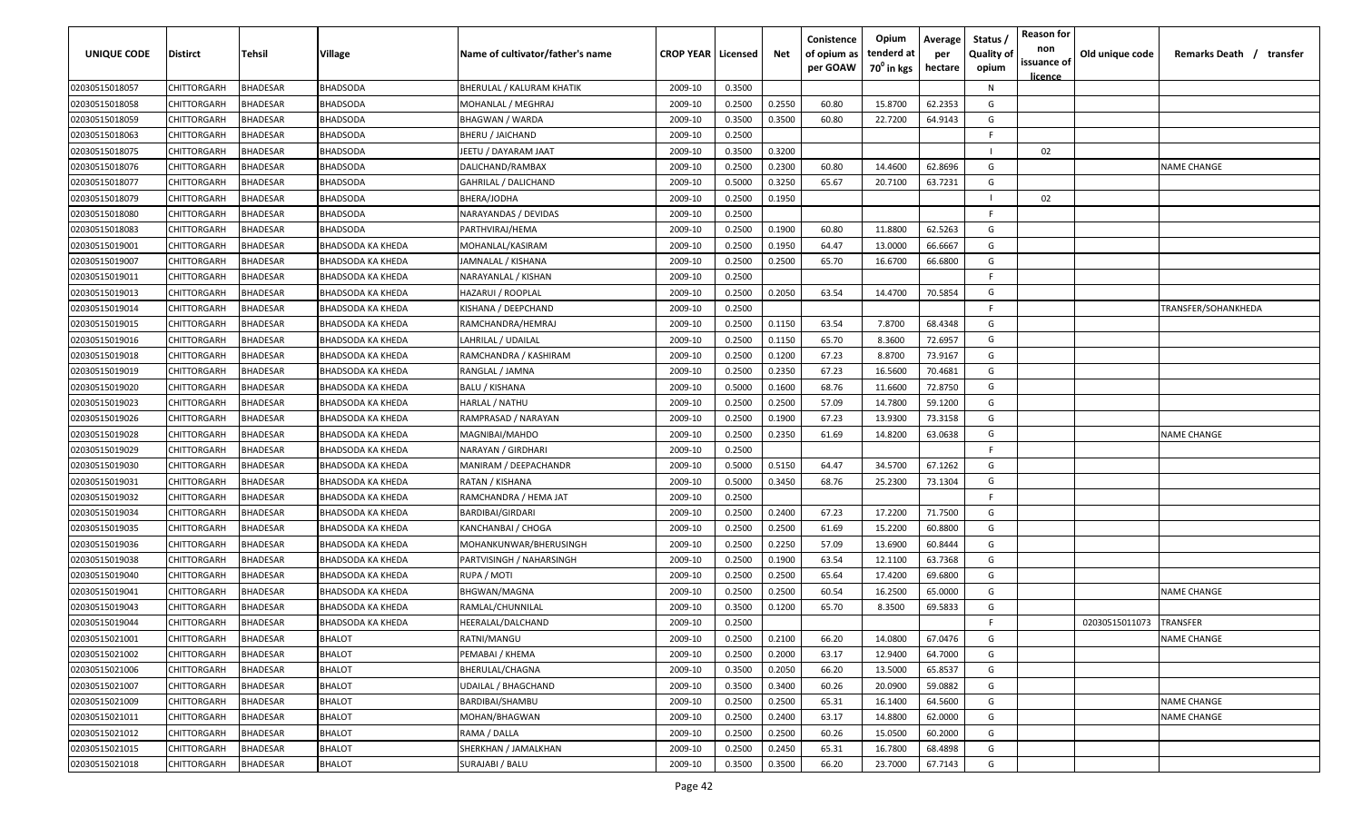| UNIQUE CODE    | Distirct           | Tehsil          | Village                  | Name of cultivator/father's name | <b>CROP YEAR   Licensed</b> |        | Net    | Conistence<br>of opium as<br>per GOAW | Opium<br>tenderd at<br>70 <sup>°</sup> in kgs | Average<br>per<br>hectare | Status,<br><b>Quality of</b><br>opium | <b>Reason for</b><br>non<br>issuance of | Old unique code | Remarks Death / transfer |
|----------------|--------------------|-----------------|--------------------------|----------------------------------|-----------------------------|--------|--------|---------------------------------------|-----------------------------------------------|---------------------------|---------------------------------------|-----------------------------------------|-----------------|--------------------------|
| 02030515018057 | CHITTORGARH        | <b>BHADESAR</b> | <b>BHADSODA</b>          | BHERULAL / KALURAM KHATIK        | 2009-10                     | 0.3500 |        |                                       |                                               |                           | N                                     | licence                                 |                 |                          |
| 02030515018058 | CHITTORGARH        | <b>BHADESAR</b> | BHADSODA                 | MOHANLAL / MEGHRAJ               | 2009-10                     | 0.2500 | 0.2550 | 60.80                                 | 15.8700                                       | 62.2353                   | G                                     |                                         |                 |                          |
| 02030515018059 | CHITTORGARH        | <b>BHADESAR</b> | <b>BHADSODA</b>          | <b>BHAGWAN / WARDA</b>           | 2009-10                     | 0.3500 | 0.3500 | 60.80                                 | 22.7200                                       | 64.9143                   | G                                     |                                         |                 |                          |
| 02030515018063 | CHITTORGARH        | <b>BHADESAR</b> | BHADSODA                 | <b>BHERU / JAICHAND</b>          | 2009-10                     | 0.2500 |        |                                       |                                               |                           | F                                     |                                         |                 |                          |
| 02030515018075 | CHITTORGARH        | <b>BHADESAR</b> | BHADSODA                 | JEETU / DAYARAM JAAT             | 2009-10                     | 0.3500 | 0.3200 |                                       |                                               |                           |                                       | 02                                      |                 |                          |
| 02030515018076 | CHITTORGARH        | <b>BHADESAR</b> | BHADSODA                 | DALICHAND/RAMBAX                 | 2009-10                     | 0.2500 | 0.2300 | 60.80                                 | 14.4600                                       | 62.8696                   | G                                     |                                         |                 | <b>NAME CHANGE</b>       |
| 02030515018077 | CHITTORGARH        | BHADESAR        | BHADSODA                 | GAHRILAL / DALICHAND             | 2009-10                     | 0.5000 | 0.3250 | 65.67                                 | 20.7100                                       | 63.7231                   | G                                     |                                         |                 |                          |
| 02030515018079 | CHITTORGARH        | <b>BHADESAR</b> | BHADSODA                 | BHERA/JODHA                      | 2009-10                     | 0.2500 | 0.1950 |                                       |                                               |                           |                                       | 02                                      |                 |                          |
| 02030515018080 | CHITTORGARH        | <b>BHADESAR</b> | BHADSODA                 | NARAYANDAS / DEVIDAS             | 2009-10                     | 0.2500 |        |                                       |                                               |                           | F.                                    |                                         |                 |                          |
| 02030515018083 | CHITTORGARH        | BHADESAR        | BHADSODA                 | PARTHVIRAJ/HEMA                  | 2009-10                     | 0.2500 | 0.1900 | 60.80                                 | 11.8800                                       | 62.5263                   | G                                     |                                         |                 |                          |
| 02030515019001 | CHITTORGARH        | BHADESAR        | BHADSODA KA KHEDA        | MOHANLAL/KASIRAM                 | 2009-10                     | 0.2500 | 0.1950 | 64.47                                 | 13.0000                                       | 66.6667                   | G                                     |                                         |                 |                          |
| 02030515019007 | CHITTORGARH        | <b>BHADESAR</b> | BHADSODA KA KHEDA        | IAMNALAL / KISHANA               | 2009-10                     | 0.2500 | 0.2500 | 65.70                                 | 16.6700                                       | 66.6800                   | G                                     |                                         |                 |                          |
| 02030515019011 | CHITTORGARH        | <b>BHADESAR</b> | BHADSODA KA KHEDA        | NARAYANLAL / KISHAN              | 2009-10                     | 0.2500 |        |                                       |                                               |                           | E                                     |                                         |                 |                          |
| 02030515019013 | CHITTORGARH        | <b>BHADESAR</b> | BHADSODA KA KHEDA        | HAZARUI / ROOPLAL                | 2009-10                     | 0.2500 | 0.2050 | 63.54                                 | 14.4700                                       | 70.5854                   | G                                     |                                         |                 |                          |
| 02030515019014 | CHITTORGARH        | <b>BHADESAR</b> | BHADSODA KA KHEDA        | KISHANA / DEEPCHAND              | 2009-10                     | 0.2500 |        |                                       |                                               |                           | F                                     |                                         |                 | TRANSFER/SOHANKHEDA      |
| 02030515019015 | CHITTORGARH        | <b>BHADESAR</b> | BHADSODA KA KHEDA        | RAMCHANDRA/HEMRAJ                | 2009-10                     | 0.2500 | 0.1150 | 63.54                                 | 7.8700                                        | 68.4348                   | G                                     |                                         |                 |                          |
| 02030515019016 | CHITTORGARH        | <b>BHADESAR</b> | BHADSODA KA KHEDA        | LAHRILAL / UDAILAL               | 2009-10                     | 0.2500 | 0.1150 | 65.70                                 | 8.3600                                        | 72.6957                   | G                                     |                                         |                 |                          |
| 02030515019018 | CHITTORGARH        | <b>BHADESAR</b> | <b>BHADSODA KA KHEDA</b> | RAMCHANDRA / KASHIRAM            | 2009-10                     | 0.2500 | 0.1200 | 67.23                                 | 8.8700                                        | 73.9167                   | G                                     |                                         |                 |                          |
| 02030515019019 | CHITTORGARH        | <b>BHADESAR</b> | BHADSODA KA KHEDA        | RANGLAL / JAMNA                  | 2009-10                     | 0.2500 | 0.2350 | 67.23                                 | 16.5600                                       | 70.4681                   | G                                     |                                         |                 |                          |
| 02030515019020 | CHITTORGARH        | <b>BHADESAR</b> | BHADSODA KA KHEDA        | <b>BALU / KISHANA</b>            | 2009-10                     | 0.5000 | 0.1600 | 68.76                                 | 11.6600                                       | 72.8750                   | G                                     |                                         |                 |                          |
| 02030515019023 | CHITTORGARH        | <b>BHADESAR</b> | BHADSODA KA KHEDA        | HARLAL / NATHU                   | 2009-10                     | 0.2500 | 0.2500 | 57.09                                 | 14.7800                                       | 59.1200                   | G                                     |                                         |                 |                          |
| 02030515019026 | CHITTORGARH        | <b>BHADESAR</b> | BHADSODA KA KHEDA        | RAMPRASAD / NARAYAN              | 2009-10                     | 0.2500 | 0.1900 | 67.23                                 | 13.9300                                       | 73.3158                   | G                                     |                                         |                 |                          |
| 02030515019028 | CHITTORGARH        | <b>BHADESAR</b> | BHADSODA KA KHEDA        | MAGNIBAI/MAHDO                   | 2009-10                     | 0.2500 | 0.2350 | 61.69                                 | 14.8200                                       | 63.0638                   | G                                     |                                         |                 | <b>NAME CHANGE</b>       |
| 02030515019029 | CHITTORGARH        | BHADESAR        | BHADSODA KA KHEDA        | NARAYAN / GIRDHARI               | 2009-10                     | 0.2500 |        |                                       |                                               |                           | F                                     |                                         |                 |                          |
| 02030515019030 | CHITTORGARH        | <b>BHADESAR</b> | BHADSODA KA KHEDA        | MANIRAM / DEEPACHANDR            | 2009-10                     | 0.5000 | 0.5150 | 64.47                                 | 34.5700                                       | 67.1262                   | G                                     |                                         |                 |                          |
| 02030515019031 | CHITTORGARH        | <b>BHADESAR</b> | BHADSODA KA KHEDA        | RATAN / KISHANA                  | 2009-10                     | 0.5000 | 0.3450 | 68.76                                 | 25.2300                                       | 73.1304                   | G                                     |                                         |                 |                          |
| 02030515019032 | CHITTORGARH        | <b>BHADESAR</b> | BHADSODA KA KHEDA        | RAMCHANDRA / HEMA JAT            | 2009-10                     | 0.2500 |        |                                       |                                               |                           | E                                     |                                         |                 |                          |
| 02030515019034 | CHITTORGARH        | BHADESAR        | BHADSODA KA KHEDA        | BARDIBAI/GIRDARI                 | 2009-10                     | 0.2500 | 0.2400 | 67.23                                 | 17.2200                                       | 71.7500                   | G                                     |                                         |                 |                          |
| 02030515019035 | CHITTORGARH        | <b>BHADESAR</b> | BHADSODA KA KHEDA        | KANCHANBAI / CHOGA               | 2009-10                     | 0.2500 | 0.2500 | 61.69                                 | 15.2200                                       | 60.8800                   | G                                     |                                         |                 |                          |
| 02030515019036 | CHITTORGARH        | <b>BHADESAR</b> | BHADSODA KA KHEDA        | MOHANKUNWAR/BHERUSINGH           | 2009-10                     | 0.2500 | 0.2250 | 57.09                                 | 13.6900                                       | 60.8444                   | G                                     |                                         |                 |                          |
| 02030515019038 | CHITTORGARH        | <b>BHADESAR</b> | BHADSODA KA KHEDA        | PARTVISINGH / NAHARSINGH         | 2009-10                     | 0.2500 | 0.1900 | 63.54                                 | 12.1100                                       | 63.7368                   | G                                     |                                         |                 |                          |
| 02030515019040 | CHITTORGARH        | <b>BHADESAR</b> | BHADSODA KA KHEDA        | RUPA / MOTI                      | 2009-10                     | 0.2500 | 0.2500 | 65.64                                 | 17.4200                                       | 69.6800                   | G                                     |                                         |                 |                          |
| 02030515019041 | CHITTORGARH        | <b>BHADESAR</b> | BHADSODA KA KHEDA        | <b>BHGWAN/MAGNA</b>              | 2009-10                     | 0.2500 | 0.2500 | 60.54                                 | 16.2500                                       | 65.0000                   | G                                     |                                         |                 | <b>NAME CHANGE</b>       |
| 02030515019043 | CHITTORGARH        | <b>BHADESAR</b> | BHADSODA KA KHEDA        | RAMLAL/CHUNNILAL                 | 2009-10                     | 0.3500 | 0.1200 | 65.70                                 | 8.3500                                        | 69.5833                   | G                                     |                                         |                 |                          |
| 02030515019044 | <b>CHITTORGARH</b> | <b>BHADESAR</b> | <b>BHADSODA KA KHEDA</b> | HEERALAL/DALCHAND                | 2009-10                     | 0.2500 |        |                                       |                                               |                           | F                                     |                                         | 02030515011073  | <b>TRANSFER</b>          |
| 02030515021001 | CHITTORGARH        | <b>BHADESAR</b> | <b>BHALOT</b>            | RATNI/MANGU                      | 2009-10                     | 0.2500 | 0.2100 | 66.20                                 | 14.0800                                       | 67.0476                   | G                                     |                                         |                 | <b>NAME CHANGE</b>       |
| 02030515021002 | <b>CHITTORGARH</b> | <b>BHADESAR</b> | <b>BHALOT</b>            | PEMABAI / KHEMA                  | 2009-10                     | 0.2500 | 0.2000 | 63.17                                 | 12.9400                                       | 64.7000                   | G                                     |                                         |                 |                          |
| 02030515021006 | <b>CHITTORGARH</b> | <b>BHADESAR</b> | <b>BHALOT</b>            | BHERULAL/CHAGNA                  | 2009-10                     | 0.3500 | 0.2050 | 66.20                                 | 13.5000                                       | 65.8537                   | G                                     |                                         |                 |                          |
| 02030515021007 | <b>CHITTORGARH</b> | <b>BHADESAR</b> | <b>BHALOT</b>            | <b>UDAILAL / BHAGCHAND</b>       | 2009-10                     | 0.3500 | 0.3400 | 60.26                                 | 20.0900                                       | 59.0882                   | G                                     |                                         |                 |                          |
| 02030515021009 | CHITTORGARH        | <b>BHADESAR</b> | BHALOT                   | BARDIBAI/SHAMBU                  | 2009-10                     | 0.2500 | 0.2500 | 65.31                                 | 16.1400                                       | 64.5600                   | G                                     |                                         |                 | <b>NAME CHANGE</b>       |
| 02030515021011 | CHITTORGARH        | <b>BHADESAR</b> | <b>BHALOT</b>            | MOHAN/BHAGWAN                    | 2009-10                     | 0.2500 | 0.2400 | 63.17                                 | 14.8800                                       | 62.0000                   | G                                     |                                         |                 | <b>NAME CHANGE</b>       |
| 02030515021012 | CHITTORGARH        | <b>BHADESAR</b> | <b>BHALOT</b>            | RAMA / DALLA                     | 2009-10                     | 0.2500 | 0.2500 | 60.26                                 | 15.0500                                       | 60.2000                   | G                                     |                                         |                 |                          |
| 02030515021015 | CHITTORGARH        | <b>BHADESAR</b> | <b>BHALOT</b>            | SHERKHAN / JAMALKHAN             | 2009-10                     | 0.2500 | 0.2450 | 65.31                                 | 16.7800                                       | 68.4898                   | G                                     |                                         |                 |                          |
| 02030515021018 | <b>CHITTORGARH</b> | <b>BHADESAR</b> | BHALOT                   | SURAJABI / BALU                  | 2009-10                     | 0.3500 | 0.3500 | 66.20                                 | 23.7000                                       | 67.7143                   | G                                     |                                         |                 |                          |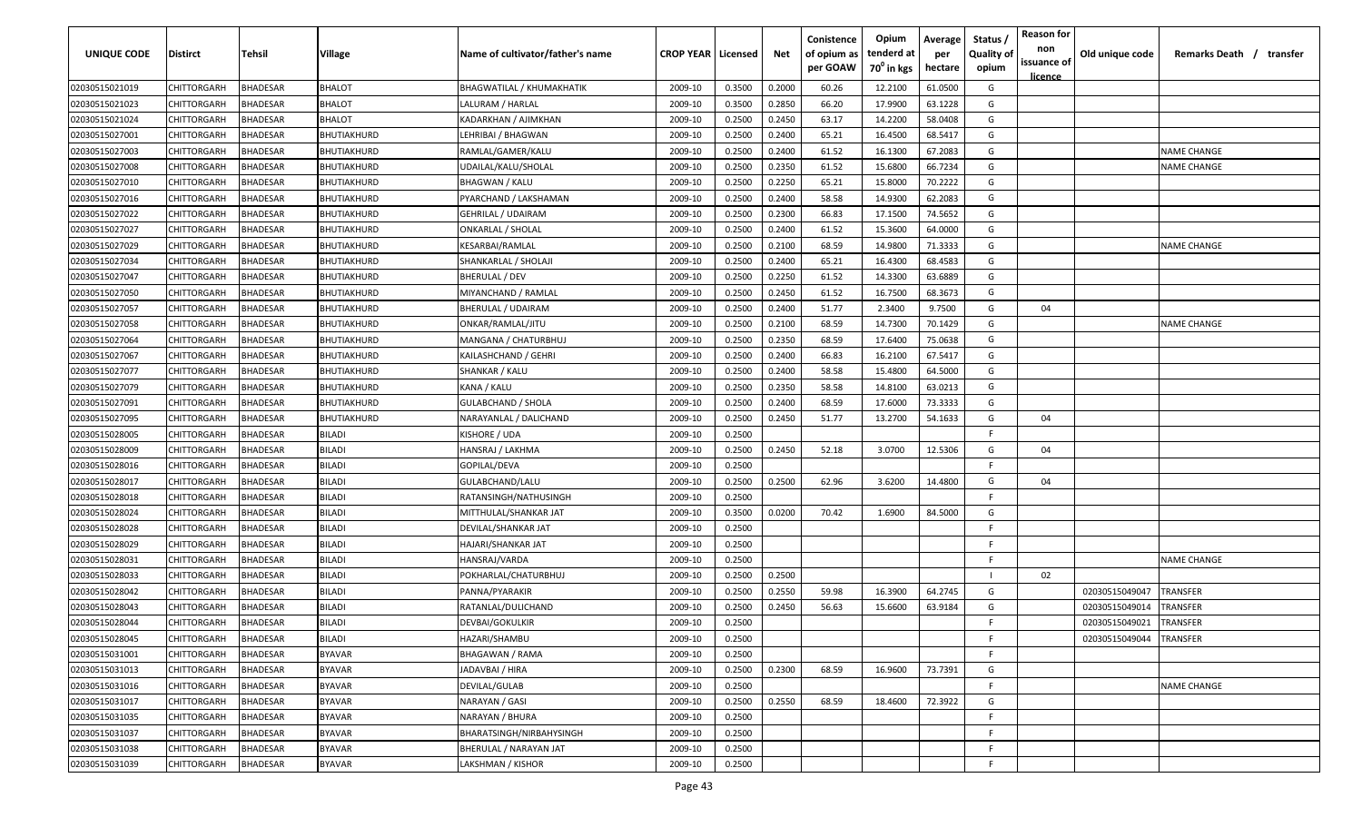| UNIQUE CODE    | <b>Distirct</b>    | Tehsil          | Village            | Name of cultivator/father's name | <b>CROP YEAR   Licensed</b> |        | Net    | Conistence<br>of opium as<br>per GOAW | Opium<br>tenderd at<br>$70^0$ in kgs | Average<br>per<br>hectare | Status<br><b>Quality of</b><br>opium | <b>Reason for</b><br>non<br>issuance of<br>licence | Old unique code | Remarks Death / transfer |
|----------------|--------------------|-----------------|--------------------|----------------------------------|-----------------------------|--------|--------|---------------------------------------|--------------------------------------|---------------------------|--------------------------------------|----------------------------------------------------|-----------------|--------------------------|
| 02030515021019 | <b>CHITTORGARH</b> | <b>BHADESAR</b> | <b>BHALOT</b>      | <b>BHAGWATILAL / KHUMAKHATIK</b> | 2009-10                     | 0.3500 | 0.2000 | 60.26                                 | 12.2100                              | 61.0500                   | G                                    |                                                    |                 |                          |
| 02030515021023 | CHITTORGARH        | <b>BHADESAR</b> | <b>BHALOT</b>      | LALURAM / HARLAL                 | 2009-10                     | 0.3500 | 0.2850 | 66.20                                 | 17.9900                              | 63.1228                   | G                                    |                                                    |                 |                          |
| 02030515021024 | CHITTORGARH        | <b>BHADESAR</b> | BHALOT             | KADARKHAN / AJIMKHAN             | 2009-10                     | 0.2500 | 0.2450 | 63.17                                 | 14.2200                              | 58.0408                   | G                                    |                                                    |                 |                          |
| 02030515027001 | CHITTORGARH        | <b>BHADESAR</b> | BHUTIAKHURD        | LEHRIBAI / BHAGWAN               | 2009-10                     | 0.2500 | 0.2400 | 65.21                                 | 16.4500                              | 68.5417                   | G                                    |                                                    |                 |                          |
| 02030515027003 | CHITTORGARH        | <b>BHADESAR</b> | BHUTIAKHURD        | RAMLAL/GAMER/KALU                | 2009-10                     | 0.2500 | 0.2400 | 61.52                                 | 16.1300                              | 67.2083                   | G                                    |                                                    |                 | <b>NAME CHANGE</b>       |
| 02030515027008 | CHITTORGARH        | <b>BHADESAR</b> | BHUTIAKHURD        | UDAILAL/KALU/SHOLAL              | 2009-10                     | 0.2500 | 0.2350 | 61.52                                 | 15.6800                              | 66.7234                   | G                                    |                                                    |                 | <b>NAME CHANGE</b>       |
| 02030515027010 | CHITTORGARH        | <b>BHADESAR</b> | BHUTIAKHURD        | <b>BHAGWAN / KALU</b>            | 2009-10                     | 0.2500 | 0.2250 | 65.21                                 | 15.8000                              | 70.2222                   | G                                    |                                                    |                 |                          |
| 02030515027016 | CHITTORGARH        | <b>BHADESAR</b> | BHUTIAKHURD        | PYARCHAND / LAKSHAMAN            | 2009-10                     | 0.2500 | 0.2400 | 58.58                                 | 14.9300                              | 62.2083                   | G                                    |                                                    |                 |                          |
| 02030515027022 | CHITTORGARH        | <b>BHADESAR</b> | <b>BHUTIAKHURD</b> | GEHRILAL / UDAIRAM               | 2009-10                     | 0.2500 | 0.2300 | 66.83                                 | 17.1500                              | 74.5652                   | G                                    |                                                    |                 |                          |
| 02030515027027 | CHITTORGARH        | <b>BHADESAR</b> | BHUTIAKHURD        | ONKARLAL / SHOLAL                | 2009-10                     | 0.2500 | 0.2400 | 61.52                                 | 15.3600                              | 64.0000                   | G                                    |                                                    |                 |                          |
| 02030515027029 | CHITTORGARH        | <b>BHADESAR</b> | BHUTIAKHURD        | KESARBAI/RAMLAL                  | 2009-10                     | 0.2500 | 0.2100 | 68.59                                 | 14.9800                              | 71.3333                   | G                                    |                                                    |                 | <b>NAME CHANGE</b>       |
| 02030515027034 | CHITTORGARH        | <b>BHADESAR</b> | BHUTIAKHURD        | SHANKARLAL / SHOLAJI             | 2009-10                     | 0.2500 | 0.2400 | 65.21                                 | 16.4300                              | 68.4583                   | G                                    |                                                    |                 |                          |
| 02030515027047 | CHITTORGARH        | <b>BHADESAR</b> | BHUTIAKHURD        | BHERULAL / DEV                   | 2009-10                     | 0.2500 | 0.2250 | 61.52                                 | 14.3300                              | 63.6889                   | G                                    |                                                    |                 |                          |
| 02030515027050 | CHITTORGARH        | <b>BHADESAR</b> | BHUTIAKHURD        | MIYANCHAND / RAMLAL              | 2009-10                     | 0.2500 | 0.2450 | 61.52                                 | 16.7500                              | 68.3673                   | G                                    |                                                    |                 |                          |
| 02030515027057 | CHITTORGARH        | <b>BHADESAR</b> | BHUTIAKHURD        | BHERULAL / UDAIRAM               | 2009-10                     | 0.2500 | 0.2400 | 51.77                                 | 2.3400                               | 9.7500                    | G                                    | 04                                                 |                 |                          |
| 02030515027058 | CHITTORGARH        | <b>BHADESAR</b> | BHUTIAKHURD        | ONKAR/RAMLAL/JITU                | 2009-10                     | 0.2500 | 0.2100 | 68.59                                 | 14.7300                              | 70.1429                   | G                                    |                                                    |                 | <b>NAME CHANGE</b>       |
| 02030515027064 | CHITTORGARH        | <b>BHADESAR</b> | BHUTIAKHURD        | MANGANA / CHATURBHUJ             | 2009-10                     | 0.2500 | 0.2350 | 68.59                                 | 17.6400                              | 75.0638                   | G                                    |                                                    |                 |                          |
| 02030515027067 | CHITTORGARH        | <b>BHADESAR</b> | BHUTIAKHURD        | KAILASHCHAND / GEHRI             | 2009-10                     | 0.2500 | 0.2400 | 66.83                                 | 16.2100                              | 67.5417                   | G                                    |                                                    |                 |                          |
| 02030515027077 | CHITTORGARH        | <b>BHADESAR</b> | BHUTIAKHURD        | SHANKAR / KALU                   | 2009-10                     | 0.2500 | 0.2400 | 58.58                                 | 15.4800                              | 64.5000                   | G                                    |                                                    |                 |                          |
| 02030515027079 | CHITTORGARH        | <b>BHADESAR</b> | BHUTIAKHURD        | KANA / KALU                      | 2009-10                     | 0.2500 | 0.2350 | 58.58                                 | 14.8100                              | 63.0213                   | G                                    |                                                    |                 |                          |
| 02030515027091 | CHITTORGARH        | <b>BHADESAR</b> | BHUTIAKHURD        | <b>GULABCHAND / SHOLA</b>        | 2009-10                     | 0.2500 | 0.2400 | 68.59                                 | 17.6000                              | 73.3333                   | G                                    |                                                    |                 |                          |
| 02030515027095 | CHITTORGARH        | <b>BHADESAR</b> | BHUTIAKHURD        | NARAYANLAL / DALICHAND           | 2009-10                     | 0.2500 | 0.2450 | 51.77                                 | 13.2700                              | 54.1633                   | G                                    | 04                                                 |                 |                          |
| 02030515028005 | CHITTORGARH        | <b>BHADESAR</b> | <b>BILADI</b>      | KISHORE / UDA                    | 2009-10                     | 0.2500 |        |                                       |                                      |                           | F                                    |                                                    |                 |                          |
| 02030515028009 | CHITTORGARH        | <b>BHADESAR</b> | BILADI             | HANSRAJ / LAKHMA                 | 2009-10                     | 0.2500 | 0.2450 | 52.18                                 | 3.0700                               | 12.5306                   | G                                    | 04                                                 |                 |                          |
| 02030515028016 | CHITTORGARH        | <b>BHADESAR</b> | BILADI             | GOPILAL/DEVA                     | 2009-10                     | 0.2500 |        |                                       |                                      |                           | E                                    |                                                    |                 |                          |
| 02030515028017 | CHITTORGARH        | <b>BHADESAR</b> | BILADI             | GULABCHAND/LALU                  | 2009-10                     | 0.2500 | 0.2500 | 62.96                                 | 3.6200                               | 14.4800                   | G                                    | 04                                                 |                 |                          |
| 02030515028018 | CHITTORGARH        | <b>BHADESAR</b> | BILADI             | RATANSINGH/NATHUSINGH            | 2009-10                     | 0.2500 |        |                                       |                                      |                           | F.                                   |                                                    |                 |                          |
| 02030515028024 | CHITTORGARH        | <b>BHADESAR</b> | BILADI             | MITTHULAL/SHANKAR JAT            | 2009-10                     | 0.3500 | 0.0200 | 70.42                                 | 1.6900                               | 84.5000                   | G                                    |                                                    |                 |                          |
| 02030515028028 | CHITTORGARH        | <b>BHADESAR</b> | BILADI             | DEVILAL/SHANKAR JAT              | 2009-10                     | 0.2500 |        |                                       |                                      |                           | E                                    |                                                    |                 |                          |
| 02030515028029 | CHITTORGARH        | <b>BHADESAR</b> | BILADI             | HAJARI/SHANKAR JAT               | 2009-10                     | 0.2500 |        |                                       |                                      |                           | F                                    |                                                    |                 |                          |
| 02030515028031 | CHITTORGARH        | <b>BHADESAR</b> | BILADI             | HANSRAJ/VARDA                    | 2009-10                     | 0.2500 |        |                                       |                                      |                           | F                                    |                                                    |                 | <b>NAME CHANGE</b>       |
| 02030515028033 | CHITTORGARH        | <b>BHADESAR</b> | BILADI             | POKHARLAL/CHATURBHUJ             | 2009-10                     | 0.2500 | 0.2500 |                                       |                                      |                           |                                      | 02                                                 |                 |                          |
| 02030515028042 | CHITTORGARH        | <b>BHADESAR</b> | BILADI             | PANNA/PYARAKIR                   | 2009-10                     | 0.2500 | 0.2550 | 59.98                                 | 16.3900                              | 64.2745                   | G                                    |                                                    | 02030515049047  | TRANSFER                 |
| 02030515028043 | CHITTORGARH        | <b>BHADESAR</b> | BILADI             | RATANLAL/DULICHAND               | 2009-10                     | 0.2500 | 0.2450 | 56.63                                 | 15.6600                              | 63.9184                   | G                                    |                                                    | 02030515049014  | TRANSFER                 |
| 02030515028044 | CHITTORGARH        | <b>BHADESAR</b> | BILADI             | DEVBAI/GOKULKIR                  | 2009-10                     | 0.2500 |        |                                       |                                      |                           | F.                                   |                                                    | 02030515049021  | TRANSFER                 |
| 02030515028045 | <b>CHITTORGARH</b> | <b>BHADESAR</b> | <b>BILADI</b>      | HAZARI/SHAMBU                    | 2009-10                     | 0.2500 |        |                                       |                                      |                           | F                                    |                                                    | 02030515049044  | <b>TRANSFER</b>          |
| 02030515031001 | <b>CHITTORGARH</b> | <b>BHADESAR</b> | <b>BYAVAR</b>      | BHAGAWAN / RAMA                  | 2009-10                     | 0.2500 |        |                                       |                                      |                           | E.                                   |                                                    |                 |                          |
| 02030515031013 | CHITTORGARH        | <b>BHADESAR</b> | <b>BYAVAR</b>      | JADAVBAI / HIRA                  | 2009-10                     | 0.2500 | 0.2300 | 68.59                                 | 16.9600                              | 73.7391                   | G                                    |                                                    |                 |                          |
| 02030515031016 | CHITTORGARH        | <b>BHADESAR</b> | <b>BYAVAR</b>      | DEVILAL/GULAB                    | 2009-10                     | 0.2500 |        |                                       |                                      |                           | F                                    |                                                    |                 | <b>NAME CHANGE</b>       |
| 02030515031017 | CHITTORGARH        | <b>BHADESAR</b> | <b>BYAVAR</b>      | NARAYAN / GASI                   | 2009-10                     | 0.2500 | 0.2550 | 68.59                                 | 18.4600                              | 72.3922                   | G                                    |                                                    |                 |                          |
| 02030515031035 | CHITTORGARH        | <b>BHADESAR</b> | <b>BYAVAR</b>      | NARAYAN / BHURA                  | 2009-10                     | 0.2500 |        |                                       |                                      |                           | F                                    |                                                    |                 |                          |
| 02030515031037 | CHITTORGARH        | <b>BHADESAR</b> | <b>BYAVAR</b>      | BHARATSINGH/NIRBAHYSINGH         | 2009-10                     | 0.2500 |        |                                       |                                      |                           | F.                                   |                                                    |                 |                          |
| 02030515031038 | CHITTORGARH        | <b>BHADESAR</b> | <b>BYAVAR</b>      | BHERULAL / NARAYAN JAT           | 2009-10                     | 0.2500 |        |                                       |                                      |                           | F.                                   |                                                    |                 |                          |
| 02030515031039 | <b>CHITTORGARH</b> | <b>BHADESAR</b> | <b>BYAVAR</b>      | LAKSHMAN / KISHOR                | 2009-10                     | 0.2500 |        |                                       |                                      |                           | F                                    |                                                    |                 |                          |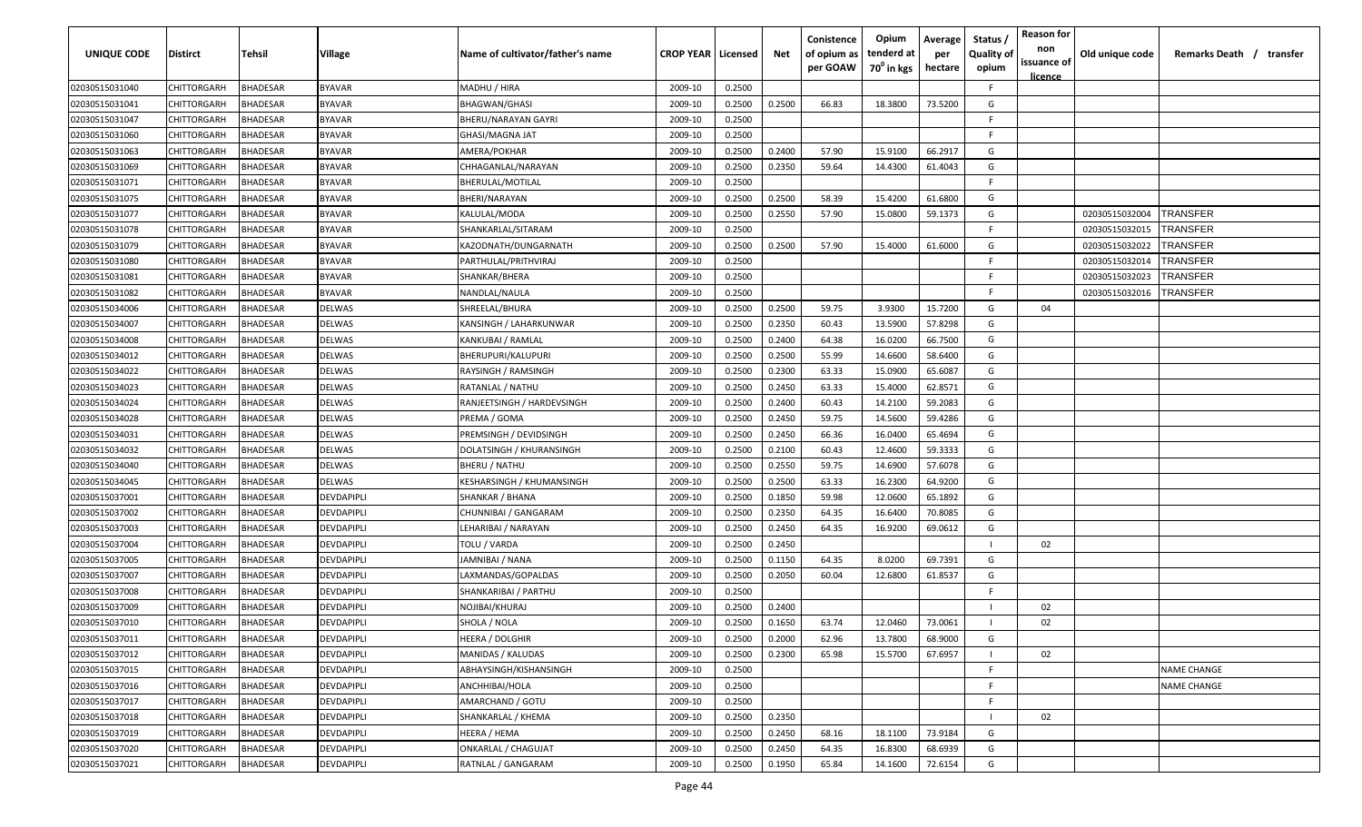| UNIQUE CODE    | Distirct           | Tehsil          | Village       | Name of cultivator/father's name | <b>CROP YEAR   Licensed</b> |        | Net    | Conistence<br>of opium as<br>per GOAW | Opium<br>tenderd at<br>70 <sup>0</sup> in kgs | Average<br>per<br>hectare | Status /<br><b>Quality of</b><br>opium | <b>Reason for</b><br>non<br>issuance of<br><u>licence</u> | Old unique code | Remarks Death / transfer |
|----------------|--------------------|-----------------|---------------|----------------------------------|-----------------------------|--------|--------|---------------------------------------|-----------------------------------------------|---------------------------|----------------------------------------|-----------------------------------------------------------|-----------------|--------------------------|
| 02030515031040 | CHITTORGARH        | <b>BHADESAR</b> | <b>BYAVAR</b> | MADHU / HIRA                     | 2009-10                     | 0.2500 |        |                                       |                                               |                           | F.                                     |                                                           |                 |                          |
| 02030515031041 | CHITTORGARH        | BHADESAR        | <b>BYAVAR</b> | <b>BHAGWAN/GHASI</b>             | 2009-10                     | 0.2500 | 0.2500 | 66.83                                 | 18.3800                                       | 73.5200                   | G                                      |                                                           |                 |                          |
| 02030515031047 | CHITTORGARH        | BHADESAR        | <b>BYAVAR</b> | BHERU/NARAYAN GAYRI              | 2009-10                     | 0.2500 |        |                                       |                                               |                           | -F.                                    |                                                           |                 |                          |
| 02030515031060 | CHITTORGARH        | BHADESAR        | <b>BYAVAR</b> | GHASI/MAGNA JAT                  | 2009-10                     | 0.2500 |        |                                       |                                               |                           | -F.                                    |                                                           |                 |                          |
| 02030515031063 | CHITTORGARH        | BHADESAR        | <b>BYAVAR</b> | AMERA/POKHAR                     | 2009-10                     | 0.2500 | 0.2400 | 57.90                                 | 15.9100                                       | 66.2917                   | G                                      |                                                           |                 |                          |
| 02030515031069 | CHITTORGARH        | <b>BHADESAR</b> | <b>BYAVAR</b> | CHHAGANLAL/NARAYAN               | 2009-10                     | 0.2500 | 0.2350 | 59.64                                 | 14.4300                                       | 61.4043                   | G                                      |                                                           |                 |                          |
| 02030515031071 | <b>CHITTORGARH</b> | BHADESAR        | <b>BYAVAR</b> | BHERULAL/MOTILAL                 | 2009-10                     | 0.2500 |        |                                       |                                               |                           | -F.                                    |                                                           |                 |                          |
| 02030515031075 | CHITTORGARH        | BHADESAR        | <b>BYAVAR</b> | BHERI/NARAYAN                    | 2009-10                     | 0.2500 | 0.2500 | 58.39                                 | 15.4200                                       | 61.6800                   | G                                      |                                                           |                 |                          |
| 02030515031077 | CHITTORGARH        | BHADESAR        | <b>BYAVAR</b> | KALULAL/MODA                     | 2009-10                     | 0.2500 | 0.2550 | 57.90                                 | 15.0800                                       | 59.1373                   | G                                      |                                                           | 02030515032004  | TRANSFER                 |
| 02030515031078 | CHITTORGARH        | BHADESAR        | <b>BYAVAR</b> | SHANKARLAL/SITARAM               | 2009-10                     | 0.2500 |        |                                       |                                               |                           | F                                      |                                                           | 02030515032015  | <b>TRANSFER</b>          |
| 02030515031079 | CHITTORGARH        | BHADESAR        | BYAVAR        | KAZODNATH/DUNGARNATH             | 2009-10                     | 0.2500 | 0.2500 | 57.90                                 | 15.4000                                       | 61.6000                   | G                                      |                                                           | 02030515032022  | TRANSFER                 |
| 02030515031080 | CHITTORGARH        | BHADESAR        | <b>BYAVAR</b> | PARTHULAL/PRITHVIRAJ             | 2009-10                     | 0.2500 |        |                                       |                                               |                           | F.                                     |                                                           | 02030515032014  | TRANSFER                 |
| 02030515031081 | CHITTORGARH        | BHADESAR        | <b>BYAVAR</b> | SHANKAR/BHERA                    | 2009-10                     | 0.2500 |        |                                       |                                               |                           | F.                                     |                                                           | 02030515032023  | <b>TRANSFER</b>          |
| 02030515031082 | CHITTORGARH        | BHADESAR        | <b>BYAVAR</b> | NANDLAL/NAULA                    | 2009-10                     | 0.2500 |        |                                       |                                               |                           | F.                                     |                                                           | 02030515032016  | TRANSFER                 |
| 02030515034006 | CHITTORGARH        | BHADESAR        | DELWAS        | SHREELAL/BHURA                   | 2009-10                     | 0.2500 | 0.2500 | 59.75                                 | 3.9300                                        | 15.7200                   | G                                      | 04                                                        |                 |                          |
| 02030515034007 | CHITTORGARH        | <b>BHADESAR</b> | DELWAS        | KANSINGH / LAHARKUNWAR           | 2009-10                     | 0.2500 | 0.2350 | 60.43                                 | 13.5900                                       | 57.8298                   | G                                      |                                                           |                 |                          |
| 02030515034008 | CHITTORGARH        | BHADESAR        | DELWAS        | KANKUBAI / RAMLAL                | 2009-10                     | 0.2500 | 0.2400 | 64.38                                 | 16.0200                                       | 66.7500                   | G                                      |                                                           |                 |                          |
| 02030515034012 | CHITTORGARH        | BHADESAR        | DELWAS        | <b>BHERUPURI/KALUPURI</b>        | 2009-10                     | 0.2500 | 0.2500 | 55.99                                 | 14.6600                                       | 58.6400                   | G                                      |                                                           |                 |                          |
| 02030515034022 | CHITTORGARH        | BHADESAR        | DELWAS        | RAYSINGH / RAMSINGH              | 2009-10                     | 0.2500 | 0.2300 | 63.33                                 | 15.0900                                       | 65.6087                   | G                                      |                                                           |                 |                          |
| 02030515034023 | CHITTORGARH        | BHADESAR        | DELWAS        | RATANLAL / NATHU                 | 2009-10                     | 0.2500 | 0.2450 | 63.33                                 | 15.4000                                       | 62.8571                   | G                                      |                                                           |                 |                          |
| 02030515034024 | CHITTORGARH        | <b>BHADESAR</b> | DELWAS        | RANJEETSINGH / HARDEVSINGH       | 2009-10                     | 0.2500 | 0.2400 | 60.43                                 | 14.2100                                       | 59.2083                   | G                                      |                                                           |                 |                          |
| 02030515034028 | CHITTORGARH        | <b>BHADESAR</b> | DELWAS        | PREMA / GOMA                     | 2009-10                     | 0.2500 | 0.2450 | 59.75                                 | 14.5600                                       | 59.4286                   | G                                      |                                                           |                 |                          |
| 02030515034031 | CHITTORGARH        | <b>BHADESAR</b> | DELWAS        | PREMSINGH / DEVIDSINGH           | 2009-10                     | 0.2500 | 0.2450 | 66.36                                 | 16.0400                                       | 65.4694                   | G                                      |                                                           |                 |                          |
| 02030515034032 | CHITTORGARH        | BHADESAR        | DELWAS        | DOLATSINGH / KHURANSINGH         | 2009-10                     | 0.2500 | 0.2100 | 60.43                                 | 12.4600                                       | 59.3333                   | G                                      |                                                           |                 |                          |
| 02030515034040 | CHITTORGARH        | BHADESAR        | DELWAS        | <b>BHERU / NATHU</b>             | 2009-10                     | 0.2500 | 0.2550 | 59.75                                 | 14.6900                                       | 57.6078                   | G                                      |                                                           |                 |                          |
| 02030515034045 | CHITTORGARH        | BHADESAR        | DELWAS        | KESHARSINGH / KHUMANSINGH        | 2009-10                     | 0.2500 | 0.2500 | 63.33                                 | 16.2300                                       | 64.9200                   | G                                      |                                                           |                 |                          |
| 02030515037001 | CHITTORGARH        | BHADESAR        | DEVDAPIPLI    | SHANKAR / BHANA                  | 2009-10                     | 0.2500 | 0.1850 | 59.98                                 | 12.0600                                       | 65.1892                   | G                                      |                                                           |                 |                          |
| 02030515037002 | CHITTORGARH        | BHADESAR        | DEVDAPIPLI    | CHUNNIBAI / GANGARAM             | 2009-10                     | 0.2500 | 0.2350 | 64.35                                 | 16.6400                                       | 70.8085                   | G                                      |                                                           |                 |                          |
| 02030515037003 | CHITTORGARH        | BHADESAR        | DEVDAPIPLI    | LEHARIBAI / NARAYAN              | 2009-10                     | 0.2500 | 0.2450 | 64.35                                 | 16.9200                                       | 69.0612                   | G                                      |                                                           |                 |                          |
| 02030515037004 | CHITTORGARH        | BHADESAR        | DEVDAPIPLI    | TOLU / VARDA                     | 2009-10                     | 0.2500 | 0.2450 |                                       |                                               |                           |                                        | 02                                                        |                 |                          |
| 02030515037005 | CHITTORGARH        | BHADESAR        | DEVDAPIPLI    | JAMNIBAI / NANA                  | 2009-10                     | 0.2500 | 0.1150 | 64.35                                 | 8.0200                                        | 69.7391                   | G                                      |                                                           |                 |                          |
| 02030515037007 | CHITTORGARH        | BHADESAR        | DEVDAPIPLI    | LAXMANDAS/GOPALDAS               | 2009-10                     | 0.2500 | 0.2050 | 60.04                                 | 12.6800                                       | 61.8537                   | G                                      |                                                           |                 |                          |
| 02030515037008 | CHITTORGARH        | BHADESAR        | DEVDAPIPLI    | SHANKARIBAI / PARTHU             | 2009-10                     | 0.2500 |        |                                       |                                               |                           | -F.                                    |                                                           |                 |                          |
| 02030515037009 | CHITTORGARH        | BHADESAR        | DEVDAPIPLI    | NOJIBAI/KHURAJ                   | 2009-10                     | 0.2500 | 0.2400 |                                       |                                               |                           |                                        | 02                                                        |                 |                          |
| 02030515037010 | <b>CHITTORGARH</b> | BHADESAR        | DEVDAPIPLI    | SHOLA / NOLA                     | 2009-10                     | 0.2500 | 0.1650 | 63.74                                 | 12.0460                                       | 73.0061                   |                                        | 02                                                        |                 |                          |
| 02030515037011 | CHITTORGARH        | <b>BHADESAR</b> | DEVDAPIPLI    | HEERA / DOLGHIR                  | 2009-10                     | 0.2500 | 0.2000 | 62.96                                 | 13.7800                                       | 68.9000                   | G                                      |                                                           |                 |                          |
| 02030515037012 | CHITTORGARH        | <b>BHADESAR</b> | DEVDAPIPLI    | MANIDAS / KALUDAS                | 2009-10                     | 0.2500 | 0.2300 | 65.98                                 | 15.5700                                       | 67.6957                   |                                        | 02                                                        |                 |                          |
| 02030515037015 | CHITTORGARH        | <b>BHADESAR</b> | DEVDAPIPLI    | ABHAYSINGH/KISHANSINGH           | 2009-10                     | 0.2500 |        |                                       |                                               |                           | F.                                     |                                                           |                 | <b>NAME CHANGE</b>       |
| 02030515037016 | <b>CHITTORGARH</b> | <b>BHADESAR</b> | DEVDAPIPLI    | ANCHHIBAI/HOLA                   | 2009-10                     | 0.2500 |        |                                       |                                               |                           | F.                                     |                                                           |                 | <b>NAME CHANGE</b>       |
| 02030515037017 | CHITTORGARH        | <b>BHADESAR</b> | DEVDAPIPLI    | AMARCHAND / GOTU                 | 2009-10                     | 0.2500 |        |                                       |                                               |                           | F.                                     |                                                           |                 |                          |
| 02030515037018 | CHITTORGARH        | BHADESAR        | DEVDAPIPLI    | SHANKARLAL / KHEMA               | 2009-10                     | 0.2500 | 0.2350 |                                       |                                               |                           |                                        | 02                                                        |                 |                          |
| 02030515037019 | CHITTORGARH        | BHADESAR        | DEVDAPIPLI    | HEERA / HEMA                     | 2009-10                     | 0.2500 | 0.2450 | 68.16                                 | 18.1100                                       | 73.9184                   | G                                      |                                                           |                 |                          |
| 02030515037020 | CHITTORGARH        | BHADESAR        | DEVDAPIPLI    | <b>ONKARLAL / CHAGUJAT</b>       | 2009-10                     | 0.2500 | 0.2450 | 64.35                                 | 16.8300                                       | 68.6939                   | G                                      |                                                           |                 |                          |
| 02030515037021 | <b>CHITTORGARH</b> | <b>BHADESAR</b> | DEVDAPIPLI    | RATNLAL / GANGARAM               | 2009-10                     | 0.2500 | 0.1950 | 65.84                                 | 14.1600                                       | 72.6154                   | G                                      |                                                           |                 |                          |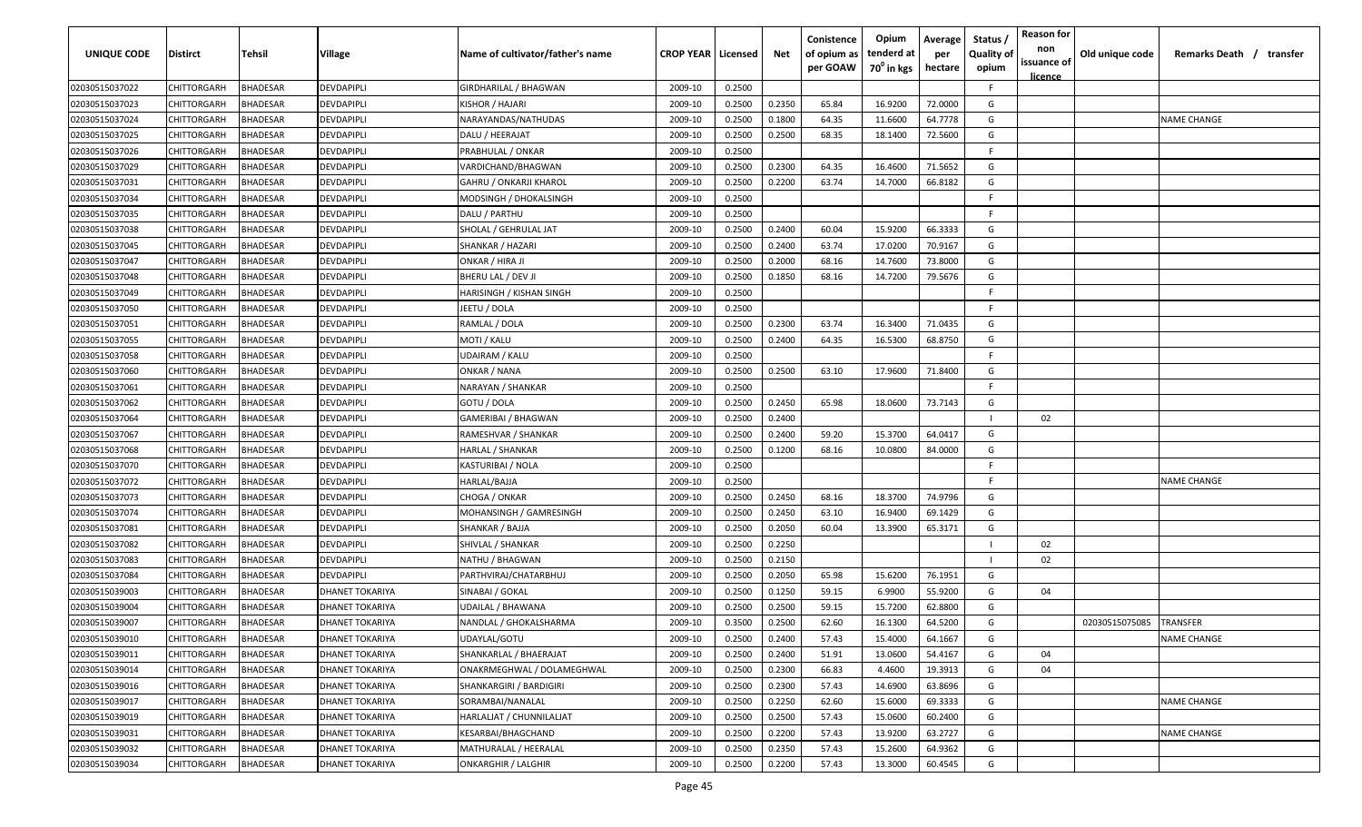| UNIQUE CODE    | Distirct           | Tehsil          | Village                | Name of cultivator/father's name | <b>CROP YEAR   Licensed</b> |        | Net    | Conistence<br>of opium as<br>per GOAW | Opium<br>tenderd at<br>70 <sup>0</sup> in kgs | Average<br>per<br>hectare | Status,<br><b>Quality of</b><br>opium | <b>Reason for</b><br>non<br>issuance of<br>licence | Old unique code | Remarks Death / transfer |
|----------------|--------------------|-----------------|------------------------|----------------------------------|-----------------------------|--------|--------|---------------------------------------|-----------------------------------------------|---------------------------|---------------------------------------|----------------------------------------------------|-----------------|--------------------------|
| 02030515037022 | CHITTORGARH        | <b>BHADESAR</b> | DEVDAPIPLI             | GIRDHARILAL / BHAGWAN            | 2009-10                     | 0.2500 |        |                                       |                                               |                           | F.                                    |                                                    |                 |                          |
| 02030515037023 | CHITTORGARH        | <b>BHADESAR</b> | DEVDAPIPLI             | KISHOR / HAJARI                  | 2009-10                     | 0.2500 | 0.2350 | 65.84                                 | 16.9200                                       | 72.0000                   | G                                     |                                                    |                 |                          |
| 02030515037024 | CHITTORGARH        | <b>BHADESAR</b> | DEVDAPIPLI             | NARAYANDAS/NATHUDAS              | 2009-10                     | 0.2500 | 0.1800 | 64.35                                 | 11.6600                                       | 64.7778                   | G                                     |                                                    |                 | <b>NAME CHANGE</b>       |
| 02030515037025 | CHITTORGARH        | <b>BHADESAR</b> | DEVDAPIPLI             | DALU / HEERAJAT                  | 2009-10                     | 0.2500 | 0.2500 | 68.35                                 | 18.1400                                       | 72.5600                   | G                                     |                                                    |                 |                          |
| 02030515037026 | CHITTORGARH        | <b>BHADESAR</b> | DEVDAPIPLI             | PRABHULAL / ONKAR                | 2009-10                     | 0.2500 |        |                                       |                                               |                           | E                                     |                                                    |                 |                          |
| 02030515037029 | CHITTORGARH        | <b>BHADESAR</b> | DEVDAPIPLI             | VARDICHAND/BHAGWAN               | 2009-10                     | 0.2500 | 0.2300 | 64.35                                 | 16.4600                                       | 71.5652                   | G                                     |                                                    |                 |                          |
| 02030515037031 | CHITTORGARH        | BHADESAR        | DEVDAPIPLI             | GAHRU / ONKARJI KHAROL           | 2009-10                     | 0.2500 | 0.2200 | 63.74                                 | 14.7000                                       | 66.8182                   | G                                     |                                                    |                 |                          |
| 02030515037034 | CHITTORGARH        | <b>BHADESAR</b> | DEVDAPIPLI             | MODSINGH / DHOKALSINGH           | 2009-10                     | 0.2500 |        |                                       |                                               |                           | E                                     |                                                    |                 |                          |
| 02030515037035 | CHITTORGARH        | <b>BHADESAR</b> | DEVDAPIPLI             | DALU / PARTHU                    | 2009-10                     | 0.2500 |        |                                       |                                               |                           | F.                                    |                                                    |                 |                          |
| 02030515037038 | CHITTORGARH        | BHADESAR        | DEVDAPIPLI             | SHOLAL / GEHRULAL JAT            | 2009-10                     | 0.2500 | 0.2400 | 60.04                                 | 15.9200                                       | 66.3333                   | G                                     |                                                    |                 |                          |
| 02030515037045 | CHITTORGARH        | BHADESAR        | DEVDAPIPLI             | SHANKAR / HAZARI                 | 2009-10                     | 0.2500 | 0.2400 | 63.74                                 | 17.0200                                       | 70.9167                   | G                                     |                                                    |                 |                          |
| 02030515037047 | CHITTORGARH        | <b>BHADESAR</b> | DEVDAPIPLI             | ONKAR / HIRA JI                  | 2009-10                     | 0.2500 | 0.2000 | 68.16                                 | 14.7600                                       | 73.8000                   | G                                     |                                                    |                 |                          |
| 02030515037048 | CHITTORGARH        | <b>BHADESAR</b> | DEVDAPIPLI             | BHERU LAL / DEV JI               | 2009-10                     | 0.2500 | 0.1850 | 68.16                                 | 14.7200                                       | 79.5676                   | G                                     |                                                    |                 |                          |
| 02030515037049 | CHITTORGARH        | <b>BHADESAR</b> | DEVDAPIPLI             | HARISINGH / KISHAN SINGH         | 2009-10                     | 0.2500 |        |                                       |                                               |                           | F                                     |                                                    |                 |                          |
| 02030515037050 | CHITTORGARH        | <b>BHADESAR</b> | DEVDAPIPLI             | EETU / DOLA                      | 2009-10                     | 0.2500 |        |                                       |                                               |                           | F                                     |                                                    |                 |                          |
| 02030515037051 | CHITTORGARH        | <b>BHADESAR</b> | DEVDAPIPLI             | RAMLAL / DOLA                    | 2009-10                     | 0.2500 | 0.2300 | 63.74                                 | 16.3400                                       | 71.0435                   | G                                     |                                                    |                 |                          |
| 02030515037055 | CHITTORGARH        | <b>BHADESAR</b> | DEVDAPIPLI             | MOTI / KALU                      | 2009-10                     | 0.2500 | 0.2400 | 64.35                                 | 16.5300                                       | 68.8750                   | G                                     |                                                    |                 |                          |
| 02030515037058 | CHITTORGARH        | <b>BHADESAR</b> | DEVDAPIPLI             | UDAIRAM / KALU                   | 2009-10                     | 0.2500 |        |                                       |                                               |                           | F                                     |                                                    |                 |                          |
| 02030515037060 | CHITTORGARH        | <b>BHADESAR</b> | DEVDAPIPLI             | ONKAR / NANA                     | 2009-10                     | 0.2500 | 0.2500 | 63.10                                 | 17.9600                                       | 71.8400                   | G                                     |                                                    |                 |                          |
| 02030515037061 | CHITTORGARH        | <b>BHADESAR</b> | DEVDAPIPLI             | NARAYAN / SHANKAR                | 2009-10                     | 0.2500 |        |                                       |                                               |                           | F                                     |                                                    |                 |                          |
| 02030515037062 | CHITTORGARH        | <b>BHADESAR</b> | DEVDAPIPLI             | GOTU / DOLA                      | 2009-10                     | 0.2500 | 0.2450 | 65.98                                 | 18.0600                                       | 73.7143                   | G                                     |                                                    |                 |                          |
| 02030515037064 | CHITTORGARH        | <b>BHADESAR</b> | DEVDAPIPLI             | GAMERIBAI / BHAGWAN              | 2009-10                     | 0.2500 | 0.2400 |                                       |                                               |                           |                                       | 02                                                 |                 |                          |
| 02030515037067 | CHITTORGARH        | <b>BHADESAR</b> | DEVDAPIPLI             | RAMESHVAR / SHANKAR              | 2009-10                     | 0.2500 | 0.2400 | 59.20                                 | 15.3700                                       | 64.0417                   | G                                     |                                                    |                 |                          |
| 02030515037068 | CHITTORGARH        | BHADESAR        | DEVDAPIPLI             | HARLAL / SHANKAR                 | 2009-10                     | 0.2500 | 0.1200 | 68.16                                 | 10.0800                                       | 84.0000                   | G                                     |                                                    |                 |                          |
| 02030515037070 | CHITTORGARH        | <b>BHADESAR</b> | DEVDAPIPLI             | KASTURIBAI / NOLA                | 2009-10                     | 0.2500 |        |                                       |                                               |                           | E                                     |                                                    |                 |                          |
| 02030515037072 | CHITTORGARH        | <b>BHADESAR</b> | DEVDAPIPLI             | HARLAL/BAJJA                     | 2009-10                     | 0.2500 |        |                                       |                                               |                           | F.                                    |                                                    |                 | <b>NAME CHANGE</b>       |
| 02030515037073 | CHITTORGARH        | <b>BHADESAR</b> | DEVDAPIPLI             | CHOGA / ONKAR                    | 2009-10                     | 0.2500 | 0.2450 | 68.16                                 | 18.3700                                       | 74.9796                   | G                                     |                                                    |                 |                          |
| 02030515037074 | CHITTORGARH        | BHADESAR        | DEVDAPIPLI             | MOHANSINGH / GAMRESINGH          | 2009-10                     | 0.2500 | 0.2450 | 63.10                                 | 16.9400                                       | 69.1429                   | G                                     |                                                    |                 |                          |
| 02030515037081 | CHITTORGARH        | <b>BHADESAR</b> | DEVDAPIPLI             | SHANKAR / BAJJA                  | 2009-10                     | 0.2500 | 0.2050 | 60.04                                 | 13.3900                                       | 65.3171                   | G                                     |                                                    |                 |                          |
| 02030515037082 | CHITTORGARH        | <b>BHADESAR</b> | DEVDAPIPLI             | SHIVLAL / SHANKAR                | 2009-10                     | 0.2500 | 0.2250 |                                       |                                               |                           |                                       | 02                                                 |                 |                          |
| 02030515037083 | CHITTORGARH        | <b>BHADESAR</b> | DEVDAPIPLI             | NATHU / BHAGWAN                  | 2009-10                     | 0.2500 | 0.2150 |                                       |                                               |                           |                                       | 02                                                 |                 |                          |
| 02030515037084 | CHITTORGARH        | <b>BHADESAR</b> | DEVDAPIPLI             | PARTHVIRAJ/CHATARBHUJ            | 2009-10                     | 0.2500 | 0.2050 | 65.98                                 | 15.6200                                       | 76.1951                   | G                                     |                                                    |                 |                          |
| 02030515039003 | CHITTORGARH        | <b>BHADESAR</b> | DHANET TOKARIYA        | SINABAI / GOKAL                  | 2009-10                     | 0.2500 | 0.1250 | 59.15                                 | 6.9900                                        | 55.9200                   | G                                     | 04                                                 |                 |                          |
| 02030515039004 | CHITTORGARH        | <b>BHADESAR</b> | DHANET TOKARIYA        | UDAILAL / BHAWANA                | 2009-10                     | 0.2500 | 0.2500 | 59.15                                 | 15.7200                                       | 62.8800                   | G                                     |                                                    |                 |                          |
| 02030515039007 | <b>CHITTORGARH</b> | <b>BHADESAR</b> | <b>DHANET TOKARIYA</b> | NANDLAL / GHOKALSHARMA           | 2009-10                     | 0.3500 | 0.2500 | 62.60                                 | 16.1300                                       | 64.5200                   | G                                     |                                                    | 02030515075085  | <b>TRANSFER</b>          |
| 02030515039010 | <b>CHITTORGARH</b> | <b>BHADESAR</b> | DHANET TOKARIYA        | UDAYLAL/GOTU                     | 2009-10                     | 0.2500 | 0.2400 | 57.43                                 | 15.4000                                       | 64.1667                   | G                                     |                                                    |                 | <b>NAME CHANGE</b>       |
| 02030515039011 | CHITTORGARH        | <b>BHADESAR</b> | DHANET TOKARIYA        | SHANKARLAL / BHAERAJAT           | 2009-10                     | 0.2500 | 0.2400 | 51.91                                 | 13.0600                                       | 54.4167                   | G                                     | 04                                                 |                 |                          |
| 02030515039014 | <b>CHITTORGARH</b> | <b>BHADESAR</b> | DHANET TOKARIYA        | ONAKRMEGHWAL / DOLAMEGHWAL       | 2009-10                     | 0.2500 | 0.2300 | 66.83                                 | 4.4600                                        | 19.3913                   | G                                     | 04                                                 |                 |                          |
| 02030515039016 | CHITTORGARH        | <b>BHADESAR</b> | DHANET TOKARIYA        | SHANKARGIRI / BARDIGIRI          | 2009-10                     | 0.2500 | 0.2300 | 57.43                                 | 14.6900                                       | 63.8696                   | G                                     |                                                    |                 |                          |
| 02030515039017 | CHITTORGARH        | <b>BHADESAR</b> | DHANET TOKARIYA        | SORAMBAI/NANALAL                 | 2009-10                     | 0.2500 | 0.2250 | 62.60                                 | 15.6000                                       | 69.3333                   | G                                     |                                                    |                 | <b>NAME CHANGE</b>       |
| 02030515039019 | CHITTORGARH        | <b>BHADESAR</b> | <b>DHANET TOKARIYA</b> | HARLALJAT / CHUNNILALJAT         | 2009-10                     | 0.2500 | 0.2500 | 57.43                                 | 15.0600                                       | 60.2400                   | G                                     |                                                    |                 |                          |
| 02030515039031 | CHITTORGARH        | <b>BHADESAR</b> | <b>DHANET TOKARIYA</b> | KESARBAI/BHAGCHAND               | 2009-10                     | 0.2500 | 0.2200 | 57.43                                 | 13.9200                                       | 63.2727                   | G                                     |                                                    |                 | <b>NAME CHANGE</b>       |
| 02030515039032 | CHITTORGARH        | <b>BHADESAR</b> | DHANET TOKARIYA        | MATHURALAL / HEERALAL            | 2009-10                     | 0.2500 | 0.2350 | 57.43                                 | 15.2600                                       | 64.9362                   | G                                     |                                                    |                 |                          |
| 02030515039034 | CHITTORGARH        | <b>BHADESAR</b> | DHANET TOKARIYA        | ONKARGHIR / LALGHIR              | 2009-10                     | 0.2500 | 0.2200 | 57.43                                 | 13.3000                                       | 60.4545                   | G                                     |                                                    |                 |                          |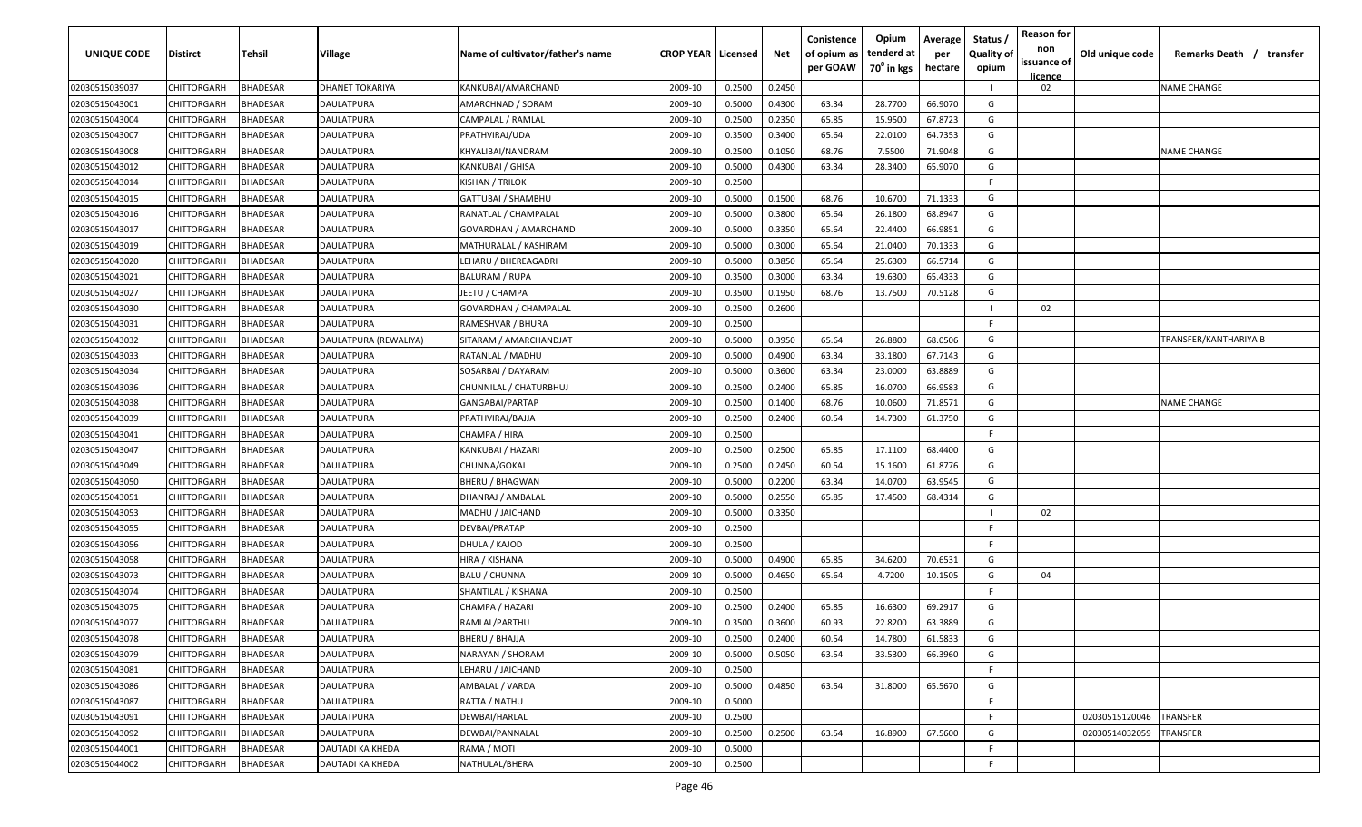| UNIQUE CODE                      | <b>Distirct</b>            | Tehsil                             | Village               | Name of cultivator/father's name            | <b>CROP YEAR   Licensed</b> |                  | Net              | Conistence<br>of opium as<br>per GOAW | Opium<br>tenderd at<br>70 <sup>0</sup> in kgs | Average<br>per<br>hectare | Status /<br><b>Quality of</b><br>opium | <b>Reason for</b><br>non<br>issuance of | Old unique code | Remarks Death / transfer |
|----------------------------------|----------------------------|------------------------------------|-----------------------|---------------------------------------------|-----------------------------|------------------|------------------|---------------------------------------|-----------------------------------------------|---------------------------|----------------------------------------|-----------------------------------------|-----------------|--------------------------|
|                                  |                            |                                    |                       |                                             |                             |                  |                  |                                       |                                               |                           |                                        | <u>licence</u>                          |                 |                          |
| 02030515039037                   | <b>CHITTORGARH</b>         | <b>BHADESAR</b>                    | DHANET TOKARIYA       | KANKUBAI/AMARCHAND                          | 2009-10                     | 0.2500           | 0.2450           |                                       |                                               |                           |                                        | 02                                      |                 | <b>NAME CHANGE</b>       |
| 02030515043001                   | CHITTORGARH                | <b>BHADESAR</b>                    | DAULATPURA            | AMARCHNAD / SORAM                           | 2009-10                     | 0.5000           | 0.4300           | 63.34                                 | 28.7700                                       | 66.9070                   | G                                      |                                         |                 |                          |
| 02030515043004                   | CHITTORGARH                | <b>BHADESAR</b>                    | DAULATPURA            | CAMPALAL / RAMLAL                           | 2009-10                     | 0.2500           | 0.2350           | 65.85                                 | 15.9500                                       | 67.8723                   | G                                      |                                         |                 |                          |
| 02030515043007                   | CHITTORGARH                | <b>BHADESAR</b>                    | DAULATPURA            | PRATHVIRAJ/UDA                              | 2009-10                     | 0.3500           | 0.3400           | 65.64                                 | 22.0100                                       | 64.7353                   | G                                      |                                         |                 |                          |
| 02030515043008                   | CHITTORGARH                | <b>BHADESAR</b>                    | DAULATPURA            | KHYALIBAI/NANDRAM                           | 2009-10                     | 0.2500           | 0.1050           | 68.76                                 | 7.5500                                        | 71.9048                   | G                                      |                                         |                 | <b>NAME CHANGE</b>       |
| 02030515043012                   | CHITTORGARH                | <b>BHADESAR</b>                    | DAULATPURA            | KANKUBAI / GHISA                            | 2009-10                     | 0.5000           | 0.4300           | 63.34                                 | 28.3400                                       | 65.9070                   | G<br>E                                 |                                         |                 |                          |
| 02030515043014                   | CHITTORGARH                | <b>BHADESAR</b>                    | DAULATPURA            | KISHAN / TRILOK                             | 2009-10                     | 0.2500           |                  |                                       |                                               |                           |                                        |                                         |                 |                          |
| 02030515043015                   | CHITTORGARH                | BHADESAR                           | DAULATPURA            | GATTUBAI / SHAMBHU                          | 2009-10                     | 0.5000           | 0.1500           | 68.76                                 | 10.6700                                       | 71.1333                   | G                                      |                                         |                 |                          |
| 02030515043016                   | CHITTORGARH                | <b>BHADESAR</b>                    | DAULATPURA            | RANATLAL / CHAMPALAL                        | 2009-10                     | 0.5000           | 0.3800           | 65.64                                 | 26.1800                                       | 68.8947                   | G                                      |                                         |                 |                          |
| 02030515043017                   | CHITTORGARH                | <b>BHADESAR</b>                    | DAULATPURA            | GOVARDHAN / AMARCHAND                       | 2009-10                     | 0.5000           | 0.3350           | 65.64                                 | 22.4400                                       | 66.9851                   | G                                      |                                         |                 |                          |
| 02030515043019                   | CHITTORGARH                | BHADESAR                           | DAULATPURA            | MATHURALAL / KASHIRAM                       | 2009-10                     | 0.5000           | 0.3000           | 65.64                                 | 21.0400                                       | 70.1333                   | G                                      |                                         |                 |                          |
| 02030515043020                   | CHITTORGARH                | BHADESAR                           | DAULATPURA            | LEHARU / BHEREAGADRI                        | 2009-10                     | 0.5000           | 0.3850           | 65.64                                 | 25.6300                                       | 66.5714                   | G                                      |                                         |                 |                          |
| 02030515043021                   | CHITTORGARH                | <b>BHADESAR</b>                    | DAULATPURA            | BALURAM / RUPA                              | 2009-10                     | 0.3500           | 0.3000           | 63.34                                 | 19.6300                                       | 65.4333                   | G                                      |                                         |                 |                          |
| 02030515043027                   | CHITTORGARH                | <b>BHADESAR</b>                    | DAULATPURA            | IEETU / CHAMPA                              | 2009-10                     | 0.3500           | 0.1950           | 68.76                                 | 13.7500                                       | 70.5128                   | G                                      | 02                                      |                 |                          |
| 02030515043030                   | CHITTORGARH                | <b>BHADESAR</b>                    | DAULATPURA            | GOVARDHAN / CHAMPALAL                       | 2009-10                     | 0.2500           | 0.2600           |                                       |                                               |                           | F.                                     |                                         |                 |                          |
| 02030515043031                   | CHITTORGARH                | <b>BHADESAR</b>                    | DAULATPURA            | RAMESHVAR / BHURA                           | 2009-10                     | 0.2500           |                  |                                       |                                               |                           |                                        |                                         |                 |                          |
| 02030515043032                   | CHITTORGARH                | <b>BHADESAR</b>                    | DAULATPURA (REWALIYA) | SITARAM / AMARCHANDJAT                      | 2009-10                     | 0.5000           | 0.3950           | 65.64                                 | 26.8800                                       | 68.0506                   | G<br>G                                 |                                         |                 | TRANSFER/KANTHARIYA B    |
| 02030515043033                   | CHITTORGARH                | <b>BHADESAR</b>                    | DAULATPURA            | RATANLAL / MADHU                            | 2009-10                     | 0.5000           | 0.4900           | 63.34                                 | 33.1800                                       | 67.7143                   | G                                      |                                         |                 |                          |
| 02030515043034                   | CHITTORGARH                | <b>BHADESAR</b>                    | DAULATPURA            | SOSARBAI / DAYARAM                          | 2009-10                     | 0.5000           | 0.3600           | 63.34                                 | 23.0000                                       | 63.8889                   | G                                      |                                         |                 |                          |
| 02030515043036                   | CHITTORGARH                | <b>BHADESAR</b>                    | DAULATPURA            | CHUNNILAL / CHATURBHUJ                      | 2009-10                     | 0.2500           | 0.2400           | 65.85                                 | 16.0700                                       | 66.9583                   | G                                      |                                         |                 | <b>NAME CHANGE</b>       |
| 02030515043038                   | CHITTORGARH                | <b>BHADESAR</b>                    | DAULATPURA            | GANGABAI/PARTAP                             | 2009-10                     | 0.2500           | 0.1400           | 68.76                                 | 10.0600                                       | 71.8571                   | G                                      |                                         |                 |                          |
| 02030515043039                   | CHITTORGARH                | <b>BHADESAR</b>                    | DAULATPURA            | PRATHVIRAJ/BAJJA                            | 2009-10                     | 0.2500           | 0.2400           | 60.54                                 | 14.7300                                       | 61.3750                   | F                                      |                                         |                 |                          |
| 02030515043041                   | CHITTORGARH                | <b>BHADESAR</b>                    | DAULATPURA            | CHAMPA / HIRA                               | 2009-10                     | 0.2500           |                  |                                       |                                               |                           |                                        |                                         |                 |                          |
| 02030515043047                   | CHITTORGARH                | <b>BHADESAR</b>                    | DAULATPURA            | KANKUBAI / HAZARI                           | 2009-10                     | 0.2500           | 0.2500           | 65.85                                 | 17.1100                                       | 68.4400                   | G                                      |                                         |                 |                          |
| 02030515043049                   | CHITTORGARH                | <b>BHADESAR</b>                    | DAULATPURA            | CHUNNA/GOKAL                                | 2009-10                     | 0.2500           | 0.2450           | 60.54                                 | 15.1600                                       | 61.8776                   | G                                      |                                         |                 |                          |
| 02030515043050                   | CHITTORGARH                | <b>BHADESAR</b>                    | DAULATPURA            | BHERU / BHAGWAN                             | 2009-10                     | 0.5000           | 0.2200           | 63.34                                 | 14.0700                                       | 63.9545                   | G                                      |                                         |                 |                          |
| 02030515043051                   | CHITTORGARH                | <b>BHADESAR</b>                    | DAULATPURA            | DHANRAJ / AMBALAL                           | 2009-10                     | 0.5000           | 0.2550           | 65.85                                 | 17.4500                                       | 68.4314                   | G                                      |                                         |                 |                          |
| 02030515043053                   | CHITTORGARH                | <b>BHADESAR</b>                    | DAULATPURA            | MADHU / JAICHAND                            | 2009-10                     | 0.5000           | 0.3350           |                                       |                                               |                           | F.                                     | 02                                      |                 |                          |
| 02030515043055                   | CHITTORGARH                | <b>BHADESAR</b>                    | DAULATPURA            | DEVBAI/PRATAP                               | 2009-10                     | 0.2500           |                  |                                       |                                               |                           | F                                      |                                         |                 |                          |
| 02030515043056                   | CHITTORGARH                | <b>BHADESAR</b>                    | DAULATPURA            | DHULA / KAJOD                               | 2009-10                     | 0.2500           |                  |                                       |                                               |                           |                                        |                                         |                 |                          |
| 02030515043058                   | CHITTORGARH                | <b>BHADESAR</b>                    | DAULATPURA            | HIRA / KISHANA                              | 2009-10                     | 0.5000           | 0.4900           | 65.85                                 | 34.6200                                       | 70.6531                   | G<br>G                                 |                                         |                 |                          |
| 02030515043073                   | CHITTORGARH                | <b>BHADESAR</b>                    | DAULATPURA            | <b>BALU / CHUNNA</b><br>SHANTILAL / KISHANA | 2009-10                     | 0.5000<br>0.2500 | 0.4650           | 65.64                                 | 4.7200                                        | 10.1505                   | E                                      | 04                                      |                 |                          |
| 02030515043074                   | CHITTORGARH                | <b>BHADESAR</b><br><b>BHADESAR</b> | DAULATPURA            |                                             | 2009-10                     |                  | 0.2400           |                                       |                                               |                           | G                                      |                                         |                 |                          |
| 02030515043075                   | CHITTORGARH<br>CHITTORGARH | <b>BHADESAR</b>                    | DAULATPURA            | CHAMPA / HAZARI                             | 2009-10                     | 0.2500           |                  | 65.85<br>60.93                        | 16.6300                                       | 69.2917                   | G                                      |                                         |                 |                          |
| 02030515043077                   |                            |                                    | DAULATPURA            | RAMLAL/PARTHU                               | 2009-10                     | 0.3500           | 0.3600<br>0.2400 |                                       | 22.8200                                       | 63.3889                   |                                        |                                         |                 |                          |
| 02030515043078                   | CHITTORGARH                | <b>BHADESAR</b>                    | DAULATPURA            | <b>BHERU / BHAJJA</b>                       | 2009-10                     | 0.2500           |                  | 60.54                                 | 14.7800                                       | 61.5833                   | G<br>G                                 |                                         |                 |                          |
| 02030515043079                   | <b>CHITTORGARH</b>         | <b>BHADESAR</b>                    | DAULATPURA            | NARAYAN / SHORAM                            | 2009-10                     | 0.5000           | 0.5050           | 63.54                                 | 33.5300                                       | 66.3960                   | F                                      |                                         |                 |                          |
| 02030515043081                   | CHITTORGARH                | <b>BHADESAR</b>                    | DAULATPURA            | LEHARU / JAICHAND                           | 2009-10                     | 0.2500           |                  |                                       |                                               |                           | G                                      |                                         |                 |                          |
| 02030515043086                   | <b>CHITTORGARH</b>         | <b>BHADESAR</b><br><b>BHADESAR</b> | DAULATPURA            | AMBALAL / VARDA<br>RATTA / NATHU            | 2009-10                     | 0.5000           | 0.4850           | 63.54                                 | 31.8000                                       | 65.5670                   | F                                      |                                         |                 |                          |
| 02030515043087<br>02030515043091 | CHITTORGARH<br>CHITTORGARH |                                    | DAULATPURA            | DEWBAI/HARLAL                               | 2009-10                     | 0.5000           |                  |                                       |                                               |                           | F                                      |                                         |                 | TRANSFER                 |
|                                  |                            | <b>BHADESAR</b>                    | DAULATPURA            | DEWBAI/PANNALAL                             | 2009-10                     | 0.2500           | 0.2500           |                                       |                                               |                           | G                                      |                                         | 02030515120046  | TRANSFER                 |
| 02030515043092                   | CHITTORGARH                | <b>BHADESAR</b>                    | DAULATPURA            |                                             | 2009-10                     | 0.2500           |                  | 63.54                                 | 16.8900                                       | 67.5600                   | F.                                     |                                         | 02030514032059  |                          |
| 02030515044001                   | CHITTORGARH                | <b>BHADESAR</b>                    | DAUTADI KA KHEDA      | RAMA / MOTI                                 | 2009-10                     | 0.5000           |                  |                                       |                                               |                           | F.                                     |                                         |                 |                          |
| 02030515044002                   | <b>CHITTORGARH</b>         | <b>BHADESAR</b>                    | DAUTADI KA KHEDA      | NATHULAL/BHERA                              | 2009-10                     | 0.2500           |                  |                                       |                                               |                           |                                        |                                         |                 |                          |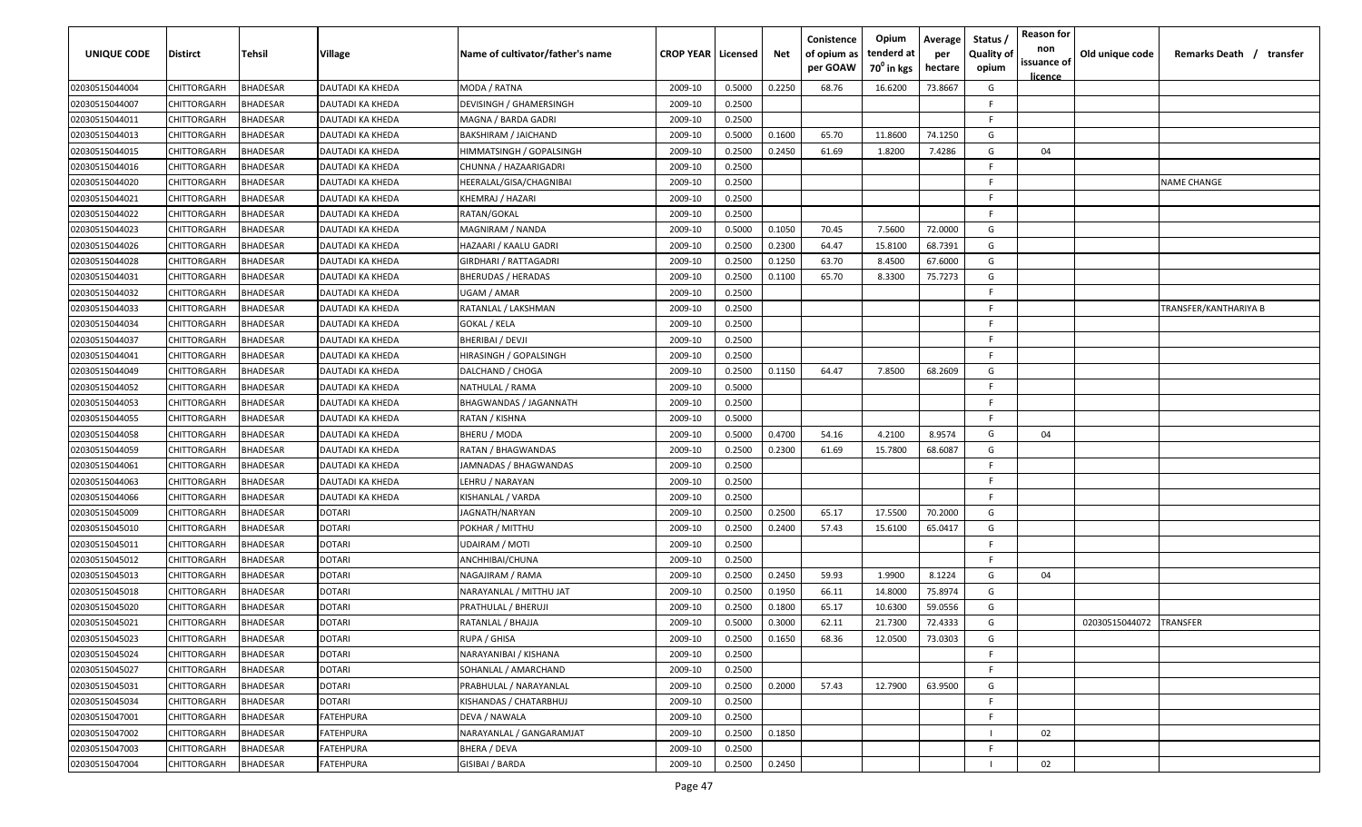| UNIQUE CODE    | <b>Distirct</b> | Tehsil          | Village          | Name of cultivator/father's name | <b>CROP YEAR   Licensed</b> |        | Net    | Conistence<br>of opium as<br>per GOAW | Opium<br>tenderd at<br>70 <sup>0</sup> in kgs | Average<br>per<br>hectare | Status /<br><b>Quality of</b><br>opium | <b>Reason for</b><br>non<br>issuance of<br>licence | Old unique code | Remarks Death / transfer |
|----------------|-----------------|-----------------|------------------|----------------------------------|-----------------------------|--------|--------|---------------------------------------|-----------------------------------------------|---------------------------|----------------------------------------|----------------------------------------------------|-----------------|--------------------------|
| 02030515044004 | CHITTORGARH     | <b>BHADESAR</b> | DAUTADI KA KHEDA | MODA / RATNA                     | 2009-10                     | 0.5000 | 0.2250 | 68.76                                 | 16.6200                                       | 73.8667                   | G                                      |                                                    |                 |                          |
| 02030515044007 | CHITTORGARH     | 3HADESAR        | DAUTADI KA KHEDA | DEVISINGH / GHAMERSINGH          | 2009-10                     | 0.2500 |        |                                       |                                               |                           | -F.                                    |                                                    |                 |                          |
| 02030515044011 | CHITTORGARH     | <b>HADESAR</b>  | DAUTADI KA KHEDA | MAGNA / BARDA GADRI              | 2009-10                     | 0.2500 |        |                                       |                                               |                           | F.                                     |                                                    |                 |                          |
| 02030515044013 | CHITTORGARH     | <b>BHADESAR</b> | DAUTADI KA KHEDA | BAKSHIRAM / JAICHAND             | 2009-10                     | 0.5000 | 0.1600 | 65.70                                 | 11.8600                                       | 74.1250                   | G                                      |                                                    |                 |                          |
| 02030515044015 | CHITTORGARH     | <b>BHADESAR</b> | DAUTADI KA KHEDA | HIMMATSINGH / GOPALSINGH         | 2009-10                     | 0.2500 | 0.2450 | 61.69                                 | 1.8200                                        | 7.4286                    | G                                      | 04                                                 |                 |                          |
| 02030515044016 | CHITTORGARH     | <b>BHADESAR</b> | DAUTADI KA KHEDA | CHUNNA / HAZAARIGADRI            | 2009-10                     | 0.2500 |        |                                       |                                               |                           | E                                      |                                                    |                 |                          |
| 02030515044020 | CHITTORGARH     | <b>HADESAR</b>  | DAUTADI KA KHEDA | HEERALAL/GISA/CHAGNIBAI          | 2009-10                     | 0.2500 |        |                                       |                                               |                           | F.                                     |                                                    |                 | <b>NAME CHANGE</b>       |
| 02030515044021 | CHITTORGARH     | <b>HADESAR</b>  | DAUTADI KA KHEDA | KHEMRAJ / HAZARI                 | 2009-10                     | 0.2500 |        |                                       |                                               |                           | F.                                     |                                                    |                 |                          |
| 02030515044022 | CHITTORGARH     | <b>BHADESAR</b> | DAUTADI KA KHEDA | RATAN/GOKAL                      | 2009-10                     | 0.2500 |        |                                       |                                               |                           | F.                                     |                                                    |                 |                          |
| 02030515044023 | CHITTORGARH     | 3HADESAR        | DAUTADI KA KHEDA | MAGNIRAM / NANDA                 | 2009-10                     | 0.5000 | 0.1050 | 70.45                                 | 7.5600                                        | 72.0000                   | G                                      |                                                    |                 |                          |
| 02030515044026 | CHITTORGARH     | <b>HADESAR</b>  | DAUTADI KA KHEDA | HAZAARI / KAALU GADRI            | 2009-10                     | 0.2500 | 0.2300 | 64.47                                 | 15.8100                                       | 68.7391                   | G                                      |                                                    |                 |                          |
| 02030515044028 | CHITTORGARH     | <b>BHADESAR</b> | DAUTADI KA KHEDA | GIRDHARI / RATTAGADRI            | 2009-10                     | 0.2500 | 0.1250 | 63.70                                 | 8.4500                                        | 67.6000                   | G                                      |                                                    |                 |                          |
| 02030515044031 | CHITTORGARH     | <b>BHADESAR</b> | DAUTADI KA KHEDA | BHERUDAS / HERADAS               | 2009-10                     | 0.2500 | 0.1100 | 65.70                                 | 8.3300                                        | 75.7273                   | G                                      |                                                    |                 |                          |
| 02030515044032 | CHITTORGARH     | <b>BHADESAR</b> | DAUTADI KA KHEDA | UGAM / AMAR                      | 2009-10                     | 0.2500 |        |                                       |                                               |                           | F                                      |                                                    |                 |                          |
| 02030515044033 | CHITTORGARH     | <b>BHADESAR</b> | DAUTADI KA KHEDA | RATANLAL / LAKSHMAN              | 2009-10                     | 0.2500 |        |                                       |                                               |                           | F.                                     |                                                    |                 | TRANSFER/KANTHARIYA B    |
| 02030515044034 | CHITTORGARH     | <b>BHADESAR</b> | DAUTADI KA KHEDA | GOKAL / KELA                     | 2009-10                     | 0.2500 |        |                                       |                                               |                           | F.                                     |                                                    |                 |                          |
| 02030515044037 | CHITTORGARH     | <b>BHADESAR</b> | DAUTADI KA KHEDA | BHERIBAI / DEVJI                 | 2009-10                     | 0.2500 |        |                                       |                                               |                           | F.                                     |                                                    |                 |                          |
| 02030515044041 | CHITTORGARH     | <b>BHADESAR</b> | DAUTADI KA KHEDA | HIRASINGH / GOPALSINGH           | 2009-10                     | 0.2500 |        |                                       |                                               |                           | F.                                     |                                                    |                 |                          |
| 02030515044049 | CHITTORGARH     | 3HADESAR        | DAUTADI KA KHEDA | DALCHAND / CHOGA                 | 2009-10                     | 0.2500 | 0.1150 | 64.47                                 | 7.8500                                        | 68.2609                   | G                                      |                                                    |                 |                          |
| 02030515044052 | CHITTORGARH     | <b>BHADESAR</b> | DAUTADI KA KHEDA | NATHULAL / RAMA                  | 2009-10                     | 0.5000 |        |                                       |                                               |                           | F.                                     |                                                    |                 |                          |
| 02030515044053 | CHITTORGARH     | <b>BHADESAR</b> | DAUTADI KA KHEDA | BHAGWANDAS / JAGANNATH           | 2009-10                     | 0.2500 |        |                                       |                                               |                           | F.                                     |                                                    |                 |                          |
| 02030515044055 | CHITTORGARH     | <b>BHADESAR</b> | DAUTADI KA KHEDA | RATAN / KISHNA                   | 2009-10                     | 0.5000 |        |                                       |                                               |                           | F.                                     |                                                    |                 |                          |
| 02030515044058 | CHITTORGARH     | <b>HADESAR</b>  | DAUTADI KA KHEDA | BHERU / MODA                     | 2009-10                     | 0.5000 | 0.4700 | 54.16                                 | 4.2100                                        | 8.9574                    | G                                      | 04                                                 |                 |                          |
| 02030515044059 | CHITTORGARH     | <b>BHADESAR</b> | DAUTADI KA KHEDA | RATAN / BHAGWANDAS               | 2009-10                     | 0.2500 | 0.2300 | 61.69                                 | 15.7800                                       | 68.6087                   | G                                      |                                                    |                 |                          |
| 02030515044061 | CHITTORGARH     | <b>BHADESAR</b> | DAUTADI KA KHEDA | JAMNADAS / BHAGWANDAS            | 2009-10                     | 0.2500 |        |                                       |                                               |                           | F.                                     |                                                    |                 |                          |
| 02030515044063 | CHITTORGARH     | <b>BHADESAR</b> | DAUTADI KA KHEDA | LEHRU / NARAYAN                  | 2009-10                     | 0.2500 |        |                                       |                                               |                           | F.                                     |                                                    |                 |                          |
| 02030515044066 | CHITTORGARH     | 3HADESAR        | DAUTADI KA KHEDA | KISHANLAL / VARDA                | 2009-10                     | 0.2500 |        |                                       |                                               |                           | F.                                     |                                                    |                 |                          |
| 02030515045009 | CHITTORGARH     | <b>BHADESAR</b> | DOTARI           | IAGNATH/NARYAN                   | 2009-10                     | 0.2500 | 0.2500 | 65.17                                 | 17.5500                                       | 70.2000                   | G                                      |                                                    |                 |                          |
| 02030515045010 | CHITTORGARH     | <b>BHADESAR</b> | DOTARI           | POKHAR / MITTHU                  | 2009-10                     | 0.2500 | 0.2400 | 57.43                                 | 15.6100                                       | 65.0417                   | G                                      |                                                    |                 |                          |
| 02030515045011 | CHITTORGARH     | <b>BHADESAR</b> | <b>DOTARI</b>    | UDAIRAM / MOTI                   | 2009-10                     | 0.2500 |        |                                       |                                               |                           | F.                                     |                                                    |                 |                          |
| 02030515045012 | CHITTORGARH     | <b>BHADESAR</b> | <b>DOTARI</b>    | ANCHHIBAI/CHUNA                  | 2009-10                     | 0.2500 |        |                                       |                                               |                           | F.                                     |                                                    |                 |                          |
| 02030515045013 | CHITTORGARH     | <b>HADESAR</b>  | <b>DOTARI</b>    | NAGAJIRAM / RAMA                 | 2009-10                     | 0.2500 | 0.2450 | 59.93                                 | 1.9900                                        | 8.1224                    | G                                      | 04                                                 |                 |                          |
| 02030515045018 | CHITTORGARH     | <b>BHADESAR</b> | <b>DOTARI</b>    | NARAYANLAL / MITTHU JAT          | 2009-10                     | 0.2500 | 0.1950 | 66.11                                 | 14.8000                                       | 75.8974                   | G                                      |                                                    |                 |                          |
| 02030515045020 | CHITTORGARH     | <b>BHADESAR</b> | <b>DOTARI</b>    | PRATHULAL / BHERUJI              | 2009-10                     | 0.2500 | 0.1800 | 65.17                                 | 10.6300                                       | 59.0556                   | G                                      |                                                    |                 |                          |
| 02030515045021 | CHITTORGARH     | 3HADESAR        | <b>DOTARI</b>    | RATANLAL / BHAJJA                | 2009-10                     | 0.5000 | 0.3000 | 62.11                                 | 21.7300                                       | 72.4333                   | G                                      |                                                    | 02030515044072  | <b>TRANSFER</b>          |
| 02030515045023 | CHITTORGARH     | BHADESAR        | <b>DOTARI</b>    | RUPA / GHISA                     | 2009-10                     | 0.2500 | 0.1650 | 68.36                                 | 12.0500                                       | 73.0303                   | G                                      |                                                    |                 |                          |
| 02030515045024 | CHITTORGARH     | BHADESAR        | <b>DOTARI</b>    | NARAYANIBAI / KISHANA            | 2009-10                     | 0.2500 |        |                                       |                                               |                           | F.                                     |                                                    |                 |                          |
| 02030515045027 | CHITTORGARH     | BHADESAR        | <b>DOTARI</b>    | SOHANLAL / AMARCHAND             | 2009-10                     | 0.2500 |        |                                       |                                               |                           | F.                                     |                                                    |                 |                          |
| 02030515045031 | CHITTORGARH     | BHADESAR        | <b>DOTARI</b>    | PRABHULAL / NARAYANLAL           | 2009-10                     | 0.2500 | 0.2000 | 57.43                                 | 12.7900                                       | 63.9500                   | G                                      |                                                    |                 |                          |
| 02030515045034 | CHITTORGARH     | <b>BHADESAR</b> | <b>DOTARI</b>    | KISHANDAS / CHATARBHUJ           | 2009-10                     | 0.2500 |        |                                       |                                               |                           | F.                                     |                                                    |                 |                          |
| 02030515047001 | CHITTORGARH     | <b>BHADESAR</b> | <b>FATEHPURA</b> | DEVA / NAWALA                    | 2009-10                     | 0.2500 |        |                                       |                                               |                           | F.                                     |                                                    |                 |                          |
| 02030515047002 | CHITTORGARH     | <b>BHADESAR</b> | <b>FATEHPURA</b> | NARAYANLAL / GANGARAMJAT         | 2009-10                     | 0.2500 | 0.1850 |                                       |                                               |                           |                                        | 02                                                 |                 |                          |
| 02030515047003 | CHITTORGARH     | <b>BHADESAR</b> | <b>FATEHPURA</b> | BHERA / DEVA                     | 2009-10                     | 0.2500 |        |                                       |                                               |                           | F.                                     |                                                    |                 |                          |
| 02030515047004 | CHITTORGARH     | BHADESAR        | <b>FATEHPURA</b> | GISIBAI / BARDA                  | 2009-10                     | 0.2500 | 0.2450 |                                       |                                               |                           |                                        | 02                                                 |                 |                          |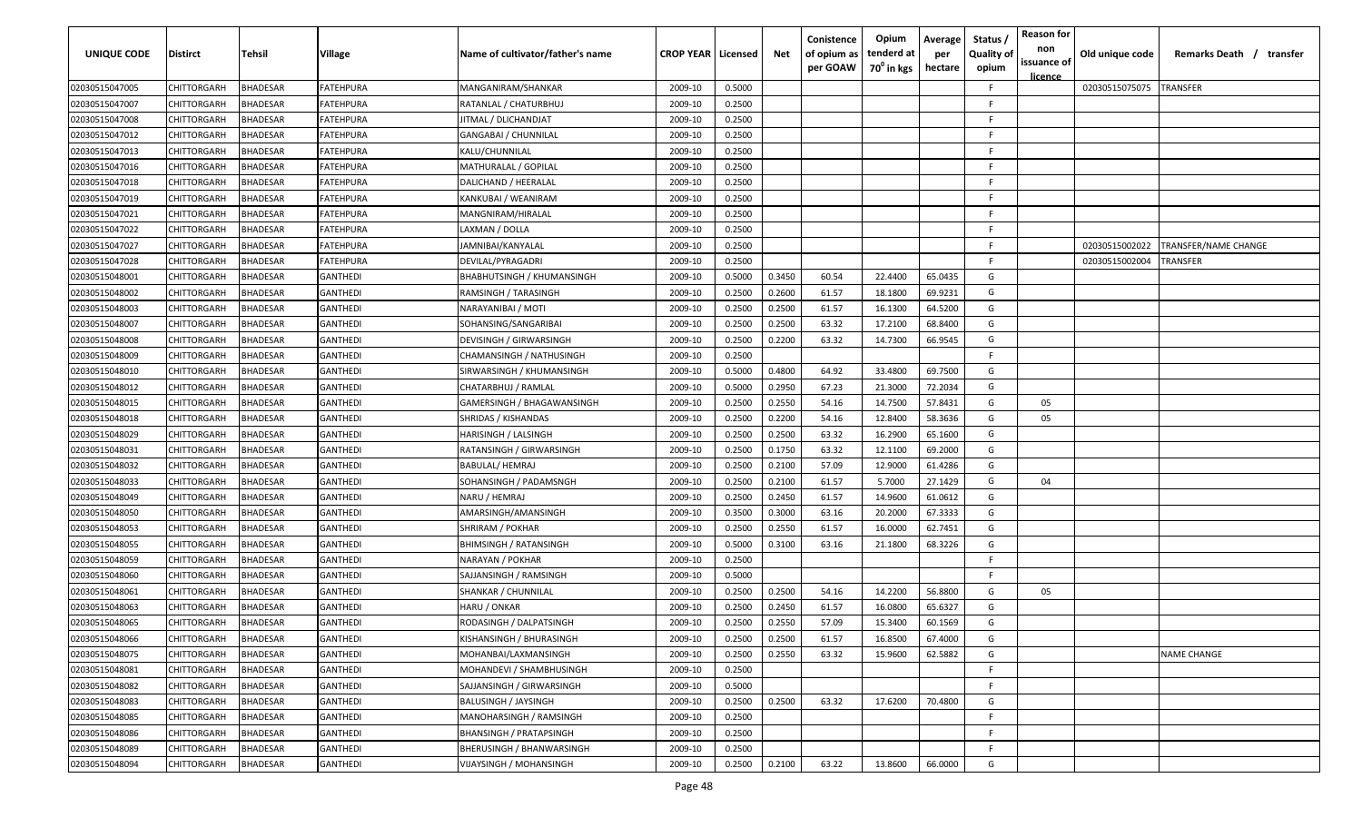| <b>UNIQUE CODE</b> | Distirct           | Tehsil          | Village         | Name of cultivator/father's name  | <b>CROP YEAR Licensed</b> |        | Net    | Conistence<br>of opium as<br>per GOAW | Opium<br>tenderd at<br>70 <sup>0</sup> in kgs | Average<br>per<br>hectare | Status /<br><b>Quality of</b><br>opium | <b>Reason for</b><br>non<br>issuance of<br><u>licence</u> | Old unique code | Remarks Death / transfer |
|--------------------|--------------------|-----------------|-----------------|-----------------------------------|---------------------------|--------|--------|---------------------------------------|-----------------------------------------------|---------------------------|----------------------------------------|-----------------------------------------------------------|-----------------|--------------------------|
| 02030515047005     | CHITTORGARH        | <b>BHADESAR</b> | FATEHPURA       | MANGANIRAM/SHANKAR                | 2009-10                   | 0.5000 |        |                                       |                                               |                           | F                                      |                                                           | 02030515075075  | <b>TRANSFER</b>          |
| 02030515047007     | CHITTORGARH        | BHADESAR        | FATEHPURA       | RATANLAL / CHATURBHUJ             | 2009-10                   | 0.2500 |        |                                       |                                               |                           | -F.                                    |                                                           |                 |                          |
| 02030515047008     | CHITTORGARH        | BHADESAR        | FATEHPURA       | JITMAL / DLICHANDJAT              | 2009-10                   | 0.2500 |        |                                       |                                               |                           | -F.                                    |                                                           |                 |                          |
| 02030515047012     | CHITTORGARH        | BHADESAR        | FATEHPURA       | <b>GANGABAI / CHUNNILAL</b>       | 2009-10                   | 0.2500 |        |                                       |                                               |                           | -F.                                    |                                                           |                 |                          |
| 02030515047013     | CHITTORGARH        | BHADESAR        | FATEHPURA       | KALU/CHUNNILAL                    | 2009-10                   | 0.2500 |        |                                       |                                               |                           | -F.                                    |                                                           |                 |                          |
| 02030515047016     | CHITTORGARH        | <b>BHADESAR</b> | FATEHPURA       | MATHURALAL / GOPILAL              | 2009-10                   | 0.2500 |        |                                       |                                               |                           | -F.                                    |                                                           |                 |                          |
| 02030515047018     | CHITTORGARH        | <b>BHADESAR</b> | FATEHPURA       | DALICHAND / HEERALAL              | 2009-10                   | 0.2500 |        |                                       |                                               |                           | -F.                                    |                                                           |                 |                          |
| 02030515047019     | <b>CHITTORGARH</b> | BHADESAR        | FATEHPURA       | KANKUBAI / WEANIRAM               | 2009-10                   | 0.2500 |        |                                       |                                               |                           | -F.                                    |                                                           |                 |                          |
| 02030515047021     | CHITTORGARH        | BHADESAR        | FATEHPURA       | MANGNIRAM/HIRALAL                 | 2009-10                   | 0.2500 |        |                                       |                                               |                           | -F.                                    |                                                           |                 |                          |
| 02030515047022     | CHITTORGARH        | BHADESAR        | FATEHPURA       | LAXMAN / DOLLA                    | 2009-10                   | 0.2500 |        |                                       |                                               |                           | F.                                     |                                                           |                 |                          |
| 02030515047027     | CHITTORGARH        | BHADESAR        | FATEHPURA       | IAMNIBAI/KANYALAL                 | 2009-10                   | 0.2500 |        |                                       |                                               |                           | -F.                                    |                                                           | 02030515002022  | TRANSFER/NAME CHANGE     |
| 02030515047028     | CHITTORGARH        | BHADESAR        | FATEHPURA       | DEVILAL/PYRAGADRI                 | 2009-10                   | 0.2500 |        |                                       |                                               |                           | F.                                     |                                                           | 02030515002004  | TRANSFER                 |
| 02030515048001     | CHITTORGARH        | BHADESAR        | GANTHEDI        | <b>BHABHUTSINGH / KHUMANSINGH</b> | 2009-10                   | 0.5000 | 0.3450 | 60.54                                 | 22.4400                                       | 65.0435                   | G                                      |                                                           |                 |                          |
| 02030515048002     | CHITTORGARH        | <b>BHADESAR</b> | GANTHEDI        | RAMSINGH / TARASINGH              | 2009-10                   | 0.2500 | 0.2600 | 61.57                                 | 18.1800                                       | 69.9231                   | G                                      |                                                           |                 |                          |
| 02030515048003     | CHITTORGARH        | <b>BHADESAR</b> | <b>GANTHEDI</b> | NARAYANIBAI / MOTI                | 2009-10                   | 0.2500 | 0.2500 | 61.57                                 | 16.1300                                       | 64.5200                   | G                                      |                                                           |                 |                          |
| 02030515048007     | CHITTORGARH        | <b>BHADESAR</b> | <b>GANTHEDI</b> | SOHANSING/SANGARIBAI              | 2009-10                   | 0.2500 | 0.2500 | 63.32                                 | 17.2100                                       | 68.8400                   | G                                      |                                                           |                 |                          |
| 02030515048008     | CHITTORGARH        | BHADESAR        | <b>GANTHEDI</b> | DEVISINGH / GIRWARSINGH           | 2009-10                   | 0.2500 | 0.2200 | 63.32                                 | 14.7300                                       | 66.9545                   | G                                      |                                                           |                 |                          |
| 02030515048009     | CHITTORGARH        | BHADESAR        | <b>GANTHEDI</b> | CHAMANSINGH / NATHUSINGH          | 2009-10                   | 0.2500 |        |                                       |                                               |                           | F.                                     |                                                           |                 |                          |
| 02030515048010     | CHITTORGARH        | BHADESAR        | <b>GANTHEDI</b> | SIRWARSINGH / KHUMANSINGH         | 2009-10                   | 0.5000 | 0.4800 | 64.92                                 | 33.4800                                       | 69.7500                   | G                                      |                                                           |                 |                          |
| 02030515048012     | CHITTORGARH        | BHADESAR        | <b>GANTHEDI</b> | CHATARBHUJ / RAMLAL               | 2009-10                   | 0.5000 | 0.2950 | 67.23                                 | 21.3000                                       | 72.2034                   | G                                      |                                                           |                 |                          |
| 02030515048015     | CHITTORGARH        | <b>BHADESAR</b> | GANTHEDI        | GAMERSINGH / BHAGAWANSINGH        | 2009-10                   | 0.2500 | 0.2550 | 54.16                                 | 14.7500                                       | 57.8431                   | G                                      | 05                                                        |                 |                          |
| 02030515048018     | CHITTORGARH        | <b>BHADESAR</b> | <b>GANTHEDI</b> | SHRIDAS / KISHANDAS               | 2009-10                   | 0.2500 | 0.2200 | 54.16                                 | 12.8400                                       | 58.3636                   | G                                      | 05                                                        |                 |                          |
| 02030515048029     | CHITTORGARH        | <b>BHADESAR</b> | GANTHEDI        | HARISINGH / LALSINGH              | 2009-10                   | 0.2500 | 0.2500 | 63.32                                 | 16.2900                                       | 65.1600                   | G                                      |                                                           |                 |                          |
| 02030515048031     | CHITTORGARH        | BHADESAR        | <b>GANTHEDI</b> | RATANSINGH / GIRWARSINGH          | 2009-10                   | 0.2500 | 0.1750 | 63.32                                 | 12.1100                                       | 69.2000                   | G                                      |                                                           |                 |                          |
| 02030515048032     | CHITTORGARH        | BHADESAR        | <b>GANTHEDI</b> | <b>BABULAL/ HEMRAJ</b>            | 2009-10                   | 0.2500 | 0.2100 | 57.09                                 | 12.9000                                       | 61.4286                   | G                                      |                                                           |                 |                          |
| 02030515048033     | CHITTORGARH        | BHADESAR        | <b>GANTHEDI</b> | SOHANSINGH / PADAMSNGH            | 2009-10                   | 0.2500 | 0.2100 | 61.57                                 | 5.7000                                        | 27.1429                   | G                                      | 04                                                        |                 |                          |
| 02030515048049     | CHITTORGARH        | BHADESAR        | GANTHEDI        | NARU / HEMRAJ                     | 2009-10                   | 0.2500 | 0.2450 | 61.57                                 | 14.9600                                       | 61.0612                   | G                                      |                                                           |                 |                          |
| 02030515048050     | CHITTORGARH        | BHADESAR        | GANTHEDI        | AMARSINGH/AMANSINGH               | 2009-10                   | 0.3500 | 0.3000 | 63.16                                 | 20.2000                                       | 67.3333                   | G                                      |                                                           |                 |                          |
| 02030515048053     | CHITTORGARH        | BHADESAR        | GANTHEDI        | SHRIRAM / POKHAR                  | 2009-10                   | 0.2500 | 0.2550 | 61.57                                 | 16.0000                                       | 62.7451                   | G                                      |                                                           |                 |                          |
| 02030515048055     | CHITTORGARH        | BHADESAR        | GANTHEDI        | <b>BHIMSINGH / RATANSINGH</b>     | 2009-10                   | 0.5000 | 0.3100 | 63.16                                 | 21.1800                                       | 68.3226                   | G                                      |                                                           |                 |                          |
| 02030515048059     | CHITTORGARH        | BHADESAR        | GANTHEDI        | NARAYAN / POKHAR                  | 2009-10                   | 0.2500 |        |                                       |                                               |                           | -F.                                    |                                                           |                 |                          |
| 02030515048060     | CHITTORGARH        | <b>BHADESAR</b> | <b>GANTHEDI</b> | SAJJANSINGH / RAMSINGH            | 2009-10                   | 0.5000 |        |                                       |                                               |                           | -F.                                    |                                                           |                 |                          |
| 02030515048061     | CHITTORGARH        | BHADESAR        | <b>GANTHEDI</b> | SHANKAR / CHUNNILAL               | 2009-10                   | 0.2500 | 0.2500 | 54.16                                 | 14.2200                                       | 56.8800                   | G                                      | 05                                                        |                 |                          |
| 02030515048063     | CHITTORGARH        | BHADESAR        | <b>GANTHEDI</b> | HARU / ONKAR                      | 2009-10                   | 0.2500 | 0.2450 | 61.57                                 | 16.0800                                       | 65.6327                   | G                                      |                                                           |                 |                          |
| 02030515048065     | <b>CHITTORGARH</b> | BHADESAR        | <b>GANTHEDI</b> | RODASINGH / DALPATSINGH           | 2009-10                   | 0.2500 | 0.2550 | 57.09                                 | 15.3400                                       | 60.1569                   | G                                      |                                                           |                 |                          |
| 02030515048066     | <b>CHITTORGARH</b> | <b>BHADESAR</b> | GANTHEDI        | KISHANSINGH / BHURASINGH          | 2009-10                   | 0.2500 | 0.2500 | 61.57                                 | 16.8500                                       | 67.4000                   | G                                      |                                                           |                 |                          |
| 02030515048075     | CHITTORGARH        | <b>BHADESAR</b> | <b>GANTHEDI</b> | MOHANBAI/LAXMANSINGH              | 2009-10                   | 0.2500 | 0.2550 | 63.32                                 | 15.9600                                       | 62.5882                   | G                                      |                                                           |                 | <b>NAME CHANGE</b>       |
| 02030515048081     | CHITTORGARH        | <b>BHADESAR</b> | GANTHEDI        | MOHANDEVI / SHAMBHUSINGH          | 2009-10                   | 0.2500 |        |                                       |                                               |                           | F.                                     |                                                           |                 |                          |
| 02030515048082     | CHITTORGARH        | <b>BHADESAR</b> | GANTHEDI        | SAJJANSINGH / GIRWARSINGH         | 2009-10                   | 0.5000 |        |                                       |                                               |                           | F.                                     |                                                           |                 |                          |
| 02030515048083     | CHITTORGARH        | <b>BHADESAR</b> | <b>GANTHEDI</b> | <b>BALUSINGH / JAYSINGH</b>       | 2009-10                   | 0.2500 | 0.2500 | 63.32                                 | 17.6200                                       | 70.4800                   | G                                      |                                                           |                 |                          |
| 02030515048085     | CHITTORGARH        | BHADESAR        | <b>GANTHEDI</b> | MANOHARSINGH / RAMSINGH           | 2009-10                   | 0.2500 |        |                                       |                                               |                           | F.                                     |                                                           |                 |                          |
| 02030515048086     | CHITTORGARH        | BHADESAR        | GANTHEDI        | <b>BHANSINGH / PRATAPSINGH</b>    | 2009-10                   | 0.2500 |        |                                       |                                               |                           | F.                                     |                                                           |                 |                          |
| 02030515048089     | CHITTORGARH        | BHADESAR        | GANTHEDI        | BHERUSINGH / BHANWARSINGH         | 2009-10                   | 0.2500 |        |                                       |                                               |                           | F                                      |                                                           |                 |                          |
| 02030515048094     | CHITTORGARH        | <b>BHADESAR</b> | GANTHEDI        | VIJAYSINGH / MOHANSINGH           | 2009-10                   | 0.2500 | 0.2100 | 63.22                                 | 13.8600                                       | 66.0000                   | G                                      |                                                           |                 |                          |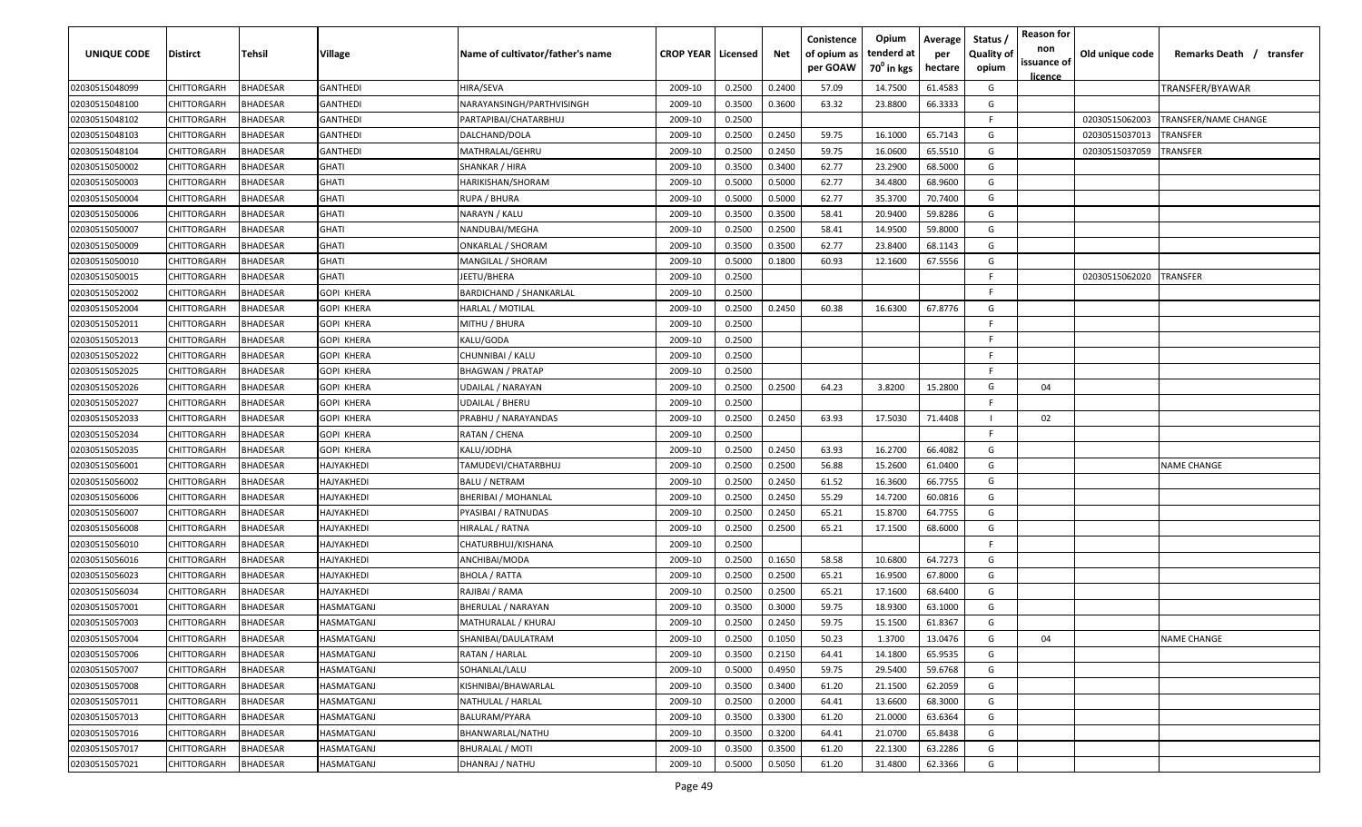| <b>UNIQUE CODE</b> | <b>Distirct</b>    | <b>Tehsil</b>   | Village           | Name of cultivator/father's name | <b>CROP YEAR   Licensed</b> |        | Net    | Conistence<br>of opium as<br>per GOAW | Opium<br>tenderd at<br>$70^0$ in kgs | Average<br>per<br>hectare | Status /<br><b>Quality of</b><br>opium | <b>Reason for</b><br>non<br>issuance of<br>licence | Old unique code | Remarks Death /<br>transfer |
|--------------------|--------------------|-----------------|-------------------|----------------------------------|-----------------------------|--------|--------|---------------------------------------|--------------------------------------|---------------------------|----------------------------------------|----------------------------------------------------|-----------------|-----------------------------|
| 02030515048099     | CHITTORGARH        | <b>BHADESAR</b> | <b>GANTHEDI</b>   | HIRA/SEVA                        | 2009-10                     | 0.2500 | 0.2400 | 57.09                                 | 14.7500                              | 61.4583                   | G                                      |                                                    |                 | TRANSFER/BYAWAR             |
| 02030515048100     | CHITTORGARH        | BHADESAR        | <b>GANTHEDI</b>   | NARAYANSINGH/PARTHVISINGH        | 2009-10                     | 0.3500 | 0.3600 | 63.32                                 | 23.8800                              | 66.3333                   | G                                      |                                                    |                 |                             |
| 02030515048102     | CHITTORGARH        | BHADESAR        | <b>GANTHEDI</b>   | PARTAPIBAI/CHATARBHUJ            | 2009-10                     | 0.2500 |        |                                       |                                      |                           | F.                                     |                                                    | 02030515062003  | TRANSFER/NAME CHANGE        |
| 02030515048103     | CHITTORGARH        | BHADESAR        | <b>GANTHEDI</b>   | DALCHAND/DOLA                    | 2009-10                     | 0.2500 | 0.2450 | 59.75                                 | 16.1000                              | 65.7143                   | G                                      |                                                    | 02030515037013  | TRANSFER                    |
| 02030515048104     | CHITTORGARH        | BHADESAR        | <b>GANTHEDI</b>   | MATHRALAL/GEHRU                  | 2009-10                     | 0.2500 | 0.2450 | 59.75                                 | 16.0600                              | 65.5510                   | G                                      |                                                    | 02030515037059  | TRANSFER                    |
| 02030515050002     | CHITTORGARH        | BHADESAR        | <b>GHATI</b>      | SHANKAR / HIRA                   | 2009-10                     | 0.3500 | 0.3400 | 62.77                                 | 23.2900                              | 68.5000                   | G                                      |                                                    |                 |                             |
| 02030515050003     | CHITTORGARH        | BHADESAR        | <b>GHATI</b>      | HARIKISHAN/SHORAM                | 2009-10                     | 0.5000 | 0.5000 | 62.77                                 | 34.4800                              | 68.9600                   | G                                      |                                                    |                 |                             |
| 02030515050004     | CHITTORGARH        | BHADESAR        | <b>GHATI</b>      | RUPA / BHURA                     | 2009-10                     | 0.5000 | 0.5000 | 62.77                                 | 35.3700                              | 70.7400                   | G                                      |                                                    |                 |                             |
| 02030515050006     | CHITTORGARH        | BHADESAR        | <b>GHATI</b>      | NARAYN / KALU                    | 2009-10                     | 0.3500 | 0.3500 | 58.41                                 | 20.9400                              | 59.8286                   | G                                      |                                                    |                 |                             |
| 02030515050007     | CHITTORGARH        | BHADESAR        | <b>GHATI</b>      | NANDUBAI/MEGHA                   | 2009-10                     | 0.2500 | 0.2500 | 58.41                                 | 14.9500                              | 59.8000                   | G                                      |                                                    |                 |                             |
| 02030515050009     | CHITTORGARH        | BHADESAR        | <b>GHATI</b>      | ONKARLAL / SHORAM                | 2009-10                     | 0.3500 | 0.3500 | 62.77                                 | 23.8400                              | 68.1143                   | G                                      |                                                    |                 |                             |
| 02030515050010     | CHITTORGARH        | BHADESAR        | GHATI             | MANGILAL / SHORAM                | 2009-10                     | 0.5000 | 0.1800 | 60.93                                 | 12.1600                              | 67.5556                   | G                                      |                                                    |                 |                             |
| 02030515050015     | CHITTORGARH        | BHADESAR        | GHATI             | JEETU/BHERA                      | 2009-10                     | 0.2500 |        |                                       |                                      |                           | -F.                                    |                                                    | 02030515062020  | TRANSFER                    |
| 02030515052002     | CHITTORGARH        | BHADESAR        | GOPI KHERA        | <b>BARDICHAND / SHANKARLAL</b>   | 2009-10                     | 0.2500 |        |                                       |                                      |                           | -F.                                    |                                                    |                 |                             |
| 02030515052004     | CHITTORGARH        | BHADESAR        | GOPI KHERA        | HARLAL / MOTILAL                 | 2009-10                     | 0.2500 | 0.2450 | 60.38                                 | 16.6300                              | 67.8776                   | G                                      |                                                    |                 |                             |
| 02030515052011     | CHITTORGARH        | BHADESAR        | GOPI KHERA        | MITHU / BHURA                    | 2009-10                     | 0.2500 |        |                                       |                                      |                           | -F.                                    |                                                    |                 |                             |
| 02030515052013     | CHITTORGARH        | <b>BHADESAR</b> | GOPI KHERA        | KALU/GODA                        | 2009-10                     | 0.2500 |        |                                       |                                      |                           | -F.                                    |                                                    |                 |                             |
| 02030515052022     | CHITTORGARH        | BHADESAR        | <b>GOPI KHERA</b> | CHUNNIBAI / KALU                 | 2009-10                     | 0.2500 |        |                                       |                                      |                           | -F.                                    |                                                    |                 |                             |
| 02030515052025     | CHITTORGARH        | BHADESAR        | <b>GOPI KHERA</b> | <b>BHAGWAN / PRATAP</b>          | 2009-10                     | 0.2500 |        |                                       |                                      |                           | F.                                     |                                                    |                 |                             |
| 02030515052026     | CHITTORGARH        | BHADESAR        | <b>GOPI KHERA</b> | UDAILAL / NARAYAN                | 2009-10                     | 0.2500 | 0.2500 | 64.23                                 | 3.8200                               | 15.2800                   | G                                      | 04                                                 |                 |                             |
| 02030515052027     | CHITTORGARH        | BHADESAR        | GOPI KHERA        | UDAILAL / BHERU                  | 2009-10                     | 0.2500 |        |                                       |                                      |                           | F                                      |                                                    |                 |                             |
| 02030515052033     | CHITTORGARH        | BHADESAR        | GOPI KHERA        | PRABHU / NARAYANDAS              | 2009-10                     | 0.2500 | 0.2450 | 63.93                                 | 17.5030                              | 71.4408                   |                                        | 02                                                 |                 |                             |
| 02030515052034     | CHITTORGARH        | BHADESAR        | GOPI KHERA        | RATAN / CHENA                    | 2009-10                     | 0.2500 |        |                                       |                                      |                           | F.                                     |                                                    |                 |                             |
| 02030515052035     | CHITTORGARH        | BHADESAR        | GOPI KHERA        | KALU/JODHA                       | 2009-10                     | 0.2500 | 0.2450 | 63.93                                 | 16.2700                              | 66.4082                   | G                                      |                                                    |                 |                             |
| 02030515056001     | CHITTORGARH        | BHADESAR        | HAJYAKHEDI        | TAMUDEVI/CHATARBHUJ              | 2009-10                     | 0.2500 | 0.2500 | 56.88                                 | 15.2600                              | 61.0400                   | G                                      |                                                    |                 | <b>NAME CHANGE</b>          |
| 02030515056002     | CHITTORGARH        | BHADESAR        | HAJYAKHEDI        | <b>BALU / NETRAM</b>             | 2009-10                     | 0.2500 | 0.2450 | 61.52                                 | 16.3600                              | 66.7755                   | G                                      |                                                    |                 |                             |
| 02030515056006     | CHITTORGARH        | BHADESAR        | HAJYAKHEDI        | BHERIBAI / MOHANLAL              | 2009-10                     | 0.2500 | 0.2450 | 55.29                                 | 14.7200                              | 60.0816                   | G                                      |                                                    |                 |                             |
| 02030515056007     | CHITTORGARH        | BHADESAR        | HAJYAKHEDI        | PYASIBAI / RATNUDAS              | 2009-10                     | 0.2500 | 0.2450 | 65.21                                 | 15.8700                              | 64.7755                   | G                                      |                                                    |                 |                             |
| 02030515056008     | CHITTORGARH        | BHADESAR        | HAJYAKHEDI        | HIRALAL / RATNA                  | 2009-10                     | 0.2500 | 0.2500 | 65.21                                 | 17.1500                              | 68.6000                   | G                                      |                                                    |                 |                             |
| 02030515056010     | CHITTORGARH        | BHADESAR        | HAJYAKHEDI        | CHATURBHUJ/KISHANA               | 2009-10                     | 0.2500 |        |                                       |                                      |                           | -F.                                    |                                                    |                 |                             |
| 02030515056016     | CHITTORGARH        | BHADESAR        | HAJYAKHEDI        | ANCHIBAI/MODA                    | 2009-10                     | 0.2500 | 0.1650 | 58.58                                 | 10.6800                              | 64.7273                   | G                                      |                                                    |                 |                             |
| 02030515056023     | CHITTORGARH        | <b>BHADESAR</b> | HAJYAKHEDI        | BHOLA / RATTA                    | 2009-10                     | 0.2500 | 0.2500 | 65.21                                 | 16.9500                              | 67.8000                   | G                                      |                                                    |                 |                             |
| 02030515056034     | CHITTORGARH        | BHADESAR        | HAJYAKHEDI        | RAJIBAI / RAMA                   | 2009-10                     | 0.2500 | 0.2500 | 65.21                                 | 17.1600                              | 68.6400                   | G                                      |                                                    |                 |                             |
| 02030515057001     | CHITTORGARH        | BHADESAR        | HASMATGANJ        | <b>BHERULAL / NARAYAN</b>        | 2009-10                     | 0.3500 | 0.3000 | 59.75                                 | 18.9300                              | 63.1000                   | G                                      |                                                    |                 |                             |
| 02030515057003     | CHITTORGARH        | BHADESAR        | HASMATGANJ        | MATHURALAL / KHURAJ              | 2009-10                     | 0.2500 | 0.2450 | 59.75                                 | 15.1500                              | 61.8367                   | G                                      |                                                    |                 |                             |
| 02030515057004     | CHITTORGARH        | <b>BHADESAR</b> | HASMATGANJ        | SHANIBAI/DAULATRAM               | 2009-10                     | 0.2500 | 0.1050 | 50.23                                 | 1.3700                               | 13.0476                   | G                                      | 04                                                 |                 | <b>NAME CHANGE</b>          |
| 02030515057006     | <b>CHITTORGARH</b> | <b>BHADESAR</b> | HASMATGANJ        | RATAN / HARLAL                   | 2009-10                     | 0.3500 | 0.2150 | 64.41                                 | 14.1800                              | 65.9535                   | G                                      |                                                    |                 |                             |
| 02030515057007     | CHITTORGARH        | <b>BHADESAR</b> | HASMATGANJ        | SOHANLAL/LALU                    | 2009-10                     | 0.5000 | 0.4950 | 59.75                                 | 29.5400                              | 59.6768                   | G                                      |                                                    |                 |                             |
| 02030515057008     | <b>CHITTORGARH</b> | <b>BHADESAR</b> | HASMATGANJ        | KISHNIBAI/BHAWARLAL              | 2009-10                     | 0.3500 | 0.3400 | 61.20                                 | 21.1500                              | 62.2059                   | G                                      |                                                    |                 |                             |
| 02030515057011     | CHITTORGARH        | <b>BHADESAR</b> | HASMATGANJ        | NATHULAL / HARLAL                | 2009-10                     | 0.2500 | 0.2000 | 64.41                                 | 13.6600                              | 68.3000                   | G                                      |                                                    |                 |                             |
| 02030515057013     | CHITTORGARH        | BHADESAR        | HASMATGANJ        | BALURAM/PYARA                    | 2009-10                     | 0.3500 | 0.3300 | 61.20                                 | 21.0000                              | 63.6364                   | G                                      |                                                    |                 |                             |
| 02030515057016     | CHITTORGARH        | <b>BHADESAR</b> | HASMATGANJ        | BHANWARLAL/NATHU                 | 2009-10                     | 0.3500 | 0.3200 | 64.41                                 | 21.0700                              | 65.8438                   | G                                      |                                                    |                 |                             |
| 02030515057017     | CHITTORGARH        | <b>BHADESAR</b> | HASMATGANJ        | <b>BHURALAL / MOTI</b>           | 2009-10                     | 0.3500 | 0.3500 | 61.20                                 | 22.1300                              | 63.2286                   | G                                      |                                                    |                 |                             |
| 02030515057021     | CHITTORGARH        | BHADESAR        | HASMATGANJ        | DHANRAJ / NATHU                  | 2009-10                     | 0.5000 | 0.5050 | 61.20                                 | 31.4800                              | 62.3366                   | G                                      |                                                    |                 |                             |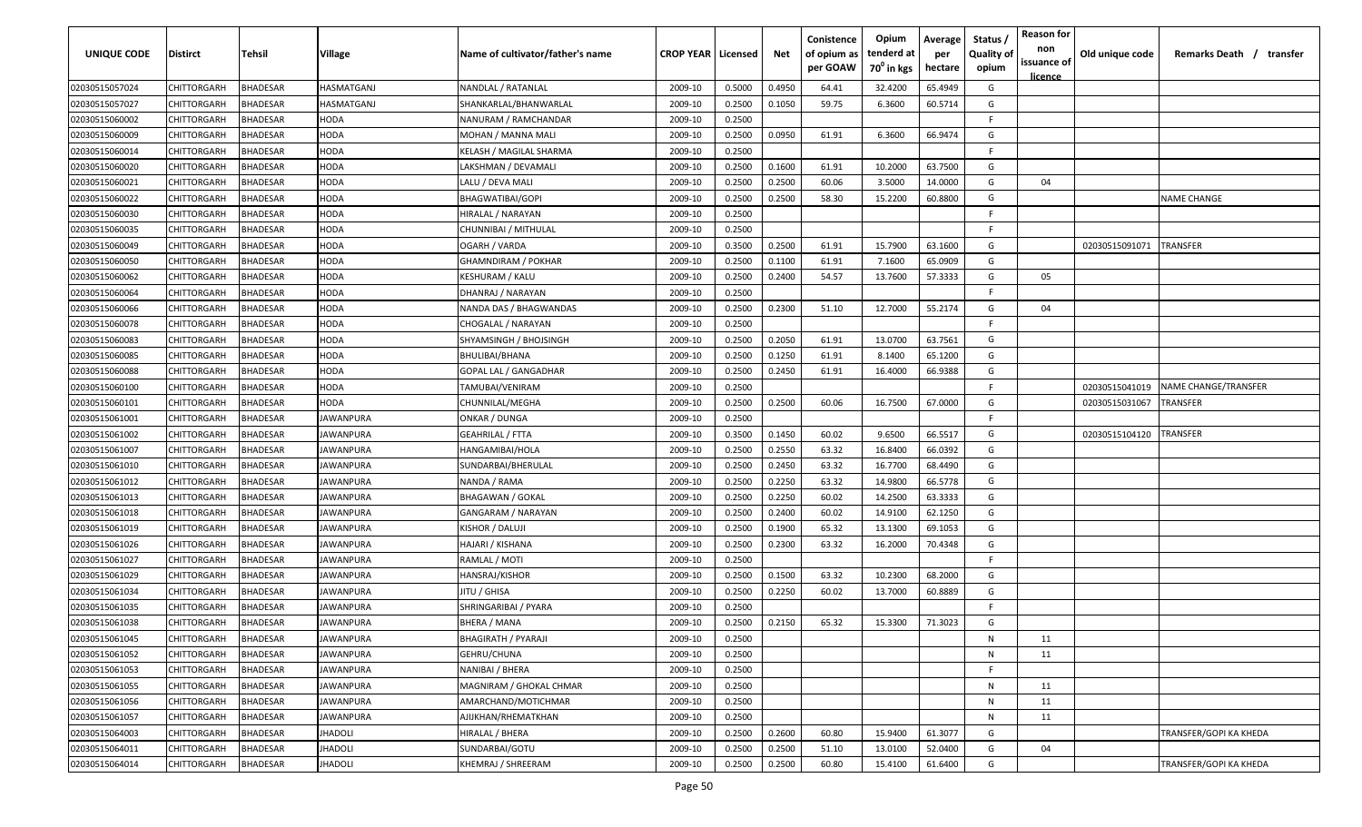| <b>UNIQUE CODE</b> | Distirct    | Tehsil          | Village          | Name of cultivator/father's name | <b>CROP YEAR Licensed</b> |        | Net    | Conistence<br>of opium as<br>per GOAW | Opium<br>tenderd at<br>70 <sup>0</sup> in kgs | Average<br>per<br>hectare | Status /<br><b>Quality of</b><br>opium | <b>Reason for</b><br>non<br>issuance of<br><u>licence</u> | Old unique code | Remarks Death / transfer |
|--------------------|-------------|-----------------|------------------|----------------------------------|---------------------------|--------|--------|---------------------------------------|-----------------------------------------------|---------------------------|----------------------------------------|-----------------------------------------------------------|-----------------|--------------------------|
| 02030515057024     | CHITTORGARH | <b>BHADESAR</b> | HASMATGANJ       | NANDLAL / RATANLAL               | 2009-10                   | 0.5000 | 0.4950 | 64.41                                 | 32.4200                                       | 65.4949                   | G                                      |                                                           |                 |                          |
| 02030515057027     | CHITTORGARH | BHADESAR        | HASMATGANJ       | SHANKARLAL/BHANWARLAL            | 2009-10                   | 0.2500 | 0.1050 | 59.75                                 | 6.3600                                        | 60.5714                   | G                                      |                                                           |                 |                          |
| 02030515060002     | CHITTORGARH | BHADESAR        | HODA             | NANURAM / RAMCHANDAR             | 2009-10                   | 0.2500 |        |                                       |                                               |                           | -F.                                    |                                                           |                 |                          |
| 02030515060009     | CHITTORGARH | <b>BHADESAR</b> | HODA             | MOHAN / MANNA MALI               | 2009-10                   | 0.2500 | 0.0950 | 61.91                                 | 6.3600                                        | 66.9474                   | G                                      |                                                           |                 |                          |
| 02030515060014     | CHITTORGARH | BHADESAR        | HODA             | KELASH / MAGILAL SHARMA          | 2009-10                   | 0.2500 |        |                                       |                                               |                           | -F.                                    |                                                           |                 |                          |
| 02030515060020     | CHITTORGARH | <b>BHADESAR</b> | HODA             | LAKSHMAN / DEVAMALI              | 2009-10                   | 0.2500 | 0.1600 | 61.91                                 | 10.2000                                       | 63.7500                   | G                                      |                                                           |                 |                          |
| 02030515060021     | CHITTORGARH | <b>BHADESAR</b> | HODA             | LALU / DEVA MALI                 | 2009-10                   | 0.2500 | 0.2500 | 60.06                                 | 3.5000                                        | 14.0000                   | G                                      | 04                                                        |                 |                          |
| 02030515060022     | CHITTORGARH | BHADESAR        | HODA             | <b>BHAGWATIBAI/GOPI</b>          | 2009-10                   | 0.2500 | 0.2500 | 58.30                                 | 15.2200                                       | 60.8800                   | G                                      |                                                           |                 | <b>NAME CHANGE</b>       |
| 02030515060030     | CHITTORGARH | BHADESAR        | HODA             | HIRALAL / NARAYAN                | 2009-10                   | 0.2500 |        |                                       |                                               |                           | -F.                                    |                                                           |                 |                          |
| 02030515060035     | CHITTORGARH | BHADESAR        | HODA             | CHUNNIBAI / MITHULAL             | 2009-10                   | 0.2500 |        |                                       |                                               |                           | F.                                     |                                                           |                 |                          |
| 02030515060049     | CHITTORGARH | BHADESAR        | HODA             | OGARH / VARDA                    | 2009-10                   | 0.3500 | 0.2500 | 61.91                                 | 15.7900                                       | 63.1600                   | G                                      |                                                           | 02030515091071  | TRANSFER                 |
| 02030515060050     | CHITTORGARH | BHADESAR        | HODA             | GHAMNDIRAM / POKHAR              | 2009-10                   | 0.2500 | 0.1100 | 61.91                                 | 7.1600                                        | 65.0909                   | G                                      |                                                           |                 |                          |
| 02030515060062     | CHITTORGARH | BHADESAR        | HODA             | KESHURAM / KALU                  | 2009-10                   | 0.2500 | 0.2400 | 54.57                                 | 13.7600                                       | 57.3333                   | G                                      | 05                                                        |                 |                          |
| 02030515060064     | CHITTORGARH | <b>BHADESAR</b> | HODA             | DHANRAJ / NARAYAN                | 2009-10                   | 0.2500 |        |                                       |                                               |                           | F.                                     |                                                           |                 |                          |
| 02030515060066     | CHITTORGARH | BHADESAR        | HODA             | NANDA DAS / BHAGWANDAS           | 2009-10                   | 0.2500 | 0.2300 | 51.10                                 | 12.7000                                       | 55.2174                   | G                                      | 04                                                        |                 |                          |
| 02030515060078     | CHITTORGARH | <b>BHADESAR</b> | HODA             | CHOGALAL / NARAYAN               | 2009-10                   | 0.2500 |        |                                       |                                               |                           | F                                      |                                                           |                 |                          |
| 02030515060083     | CHITTORGARH | BHADESAR        | HODA             | SHYAMSINGH / BHOJSINGH           | 2009-10                   | 0.2500 | 0.2050 | 61.91                                 | 13.0700                                       | 63.7561                   | G                                      |                                                           |                 |                          |
| 02030515060085     | CHITTORGARH | BHADESAR        | HODA             | BHULIBAI/BHANA                   | 2009-10                   | 0.2500 | 0.1250 | 61.91                                 | 8.1400                                        | 65.1200                   | G                                      |                                                           |                 |                          |
| 02030515060088     | CHITTORGARH | BHADESAR        | HODA             | <b>GOPAL LAL / GANGADHAR</b>     | 2009-10                   | 0.2500 | 0.2450 | 61.91                                 | 16.4000                                       | 66.9388                   | G                                      |                                                           |                 |                          |
| 02030515060100     | CHITTORGARH | BHADESAR        | HODA             | TAMUBAI/VENIRAM                  | 2009-10                   | 0.2500 |        |                                       |                                               |                           | F                                      |                                                           | 02030515041019  | NAME CHANGE/TRANSFER     |
| 02030515060101     | CHITTORGARH | <b>BHADESAR</b> | HODA             | CHUNNILAL/MEGHA                  | 2009-10                   | 0.2500 | 0.2500 | 60.06                                 | 16.7500                                       | 67.0000                   | G                                      |                                                           | 02030515031067  | TRANSFER                 |
| 02030515061001     | CHITTORGARH | <b>BHADESAR</b> | <b>IAWANPURA</b> | ONKAR / DUNGA                    | 2009-10                   | 0.2500 |        |                                       |                                               |                           | -F                                     |                                                           |                 |                          |
| 02030515061002     | CHITTORGARH | <b>BHADESAR</b> | <b>IAWANPURA</b> | GEAHRILAL / FTTA                 | 2009-10                   | 0.3500 | 0.1450 | 60.02                                 | 9.6500                                        | 66.5517                   | G                                      |                                                           | 02030515104120  | <b><i>FRANSFER</i></b>   |
| 02030515061007     | CHITTORGARH | <b>BHADESAR</b> | <b>IAWANPURA</b> | HANGAMIBAI/HOLA                  | 2009-10                   | 0.2500 | 0.2550 | 63.32                                 | 16.8400                                       | 66.0392                   | G                                      |                                                           |                 |                          |
| 02030515061010     | CHITTORGARH | BHADESAR        | JAWANPURA        | SUNDARBAI/BHERULAL               | 2009-10                   | 0.2500 | 0.2450 | 63.32                                 | 16.7700                                       | 68.4490                   | G                                      |                                                           |                 |                          |
| 02030515061012     | CHITTORGARH | BHADESAR        | IAWANPURA        | NANDA / RAMA                     | 2009-10                   | 0.2500 | 0.2250 | 63.32                                 | 14.9800                                       | 66.5778                   | G                                      |                                                           |                 |                          |
| 02030515061013     | CHITTORGARH | BHADESAR        | IAWANPURA        | <b>BHAGAWAN / GOKAL</b>          | 2009-10                   | 0.2500 | 0.2250 | 60.02                                 | 14.2500                                       | 63.3333                   | G                                      |                                                           |                 |                          |
| 02030515061018     | CHITTORGARH | BHADESAR        | IAWANPURA        | GANGARAM / NARAYAN               | 2009-10                   | 0.2500 | 0.2400 | 60.02                                 | 14.9100                                       | 62.1250                   | G                                      |                                                           |                 |                          |
| 02030515061019     | CHITTORGARH | BHADESAR        | IAWANPURA        | KISHOR / DALUJI                  | 2009-10                   | 0.2500 | 0.1900 | 65.32                                 | 13.1300                                       | 69.1053                   | G                                      |                                                           |                 |                          |
| 02030515061026     | CHITTORGARH | BHADESAR        | JAWANPURA        | HAJARI / KISHANA                 | 2009-10                   | 0.2500 | 0.2300 | 63.32                                 | 16.2000                                       | 70.4348                   | G                                      |                                                           |                 |                          |
| 02030515061027     | CHITTORGARH | BHADESAR        | JAWANPURA        | RAMLAL / MOTI                    | 2009-10                   | 0.2500 |        |                                       |                                               |                           | F                                      |                                                           |                 |                          |
| 02030515061029     | CHITTORGARH | BHADESAR        | <b>JAWANPURA</b> | HANSRAJ/KISHOR                   | 2009-10                   | 0.2500 | 0.1500 | 63.32                                 | 10.2300                                       | 68.2000                   | G                                      |                                                           |                 |                          |
| 02030515061034     | CHITTORGARH | BHADESAR        | JAWANPURA        | JITU / GHISA                     | 2009-10                   | 0.2500 | 0.2250 | 60.02                                 | 13.7000                                       | 60.8889                   | G                                      |                                                           |                 |                          |
| 02030515061035     | CHITTORGARH | BHADESAR        | JAWANPURA        | SHRINGARIBAI / PYARA             | 2009-10                   | 0.2500 |        |                                       |                                               |                           | -F.                                    |                                                           |                 |                          |
| 02030515061038     | CHITTORGARH | BHADESAR        | JAWANPURA        | <b>BHERA / MANA</b>              | 2009-10                   | 0.2500 | 0.2150 | 65.32                                 | 15.3300                                       | 71.3023                   | G                                      |                                                           |                 |                          |
| 02030515061045     | CHITTORGARH | <b>BHADESAR</b> | <b>JAWANPURA</b> | BHAGIRATH / PYARAJI              | 2009-10                   | 0.2500 |        |                                       |                                               |                           | N                                      | 11                                                        |                 |                          |
| 02030515061052     | CHITTORGARH | <b>BHADESAR</b> | <b>JAWANPURA</b> | GEHRU/CHUNA                      | 2009-10                   | 0.2500 |        |                                       |                                               |                           | N                                      | 11                                                        |                 |                          |
| 02030515061053     | CHITTORGARH | <b>BHADESAR</b> | JAWANPURA        | NANIBAI / BHERA                  | 2009-10                   | 0.2500 |        |                                       |                                               |                           | -F                                     |                                                           |                 |                          |
| 02030515061055     | CHITTORGARH | <b>BHADESAR</b> | JAWANPURA        | MAGNIRAM / GHOKAL CHMAR          | 2009-10                   | 0.2500 |        |                                       |                                               |                           | N                                      | 11                                                        |                 |                          |
| 02030515061056     | CHITTORGARH | <b>BHADESAR</b> | JAWANPURA        | AMARCHAND/MOTICHMAR              | 2009-10                   | 0.2500 |        |                                       |                                               |                           | N                                      | 11                                                        |                 |                          |
| 02030515061057     | CHITTORGARH | <b>BHADESAR</b> | JAWANPURA        | AJIJKHAN/RHEMATKHAN              | 2009-10                   | 0.2500 |        |                                       |                                               |                           | N                                      | 11                                                        |                 |                          |
| 02030515064003     | CHITTORGARH | BHADESAR        | JHADOLI          | HIRALAL / BHERA                  | 2009-10                   | 0.2500 | 0.2600 | 60.80                                 | 15.9400                                       | 61.3077                   | G                                      |                                                           |                 | TRANSFER/GOPI KA KHEDA   |
| 02030515064011     | CHITTORGARH | BHADESAR        | IHADOLI          | SUNDARBAI/GOTU                   | 2009-10                   | 0.2500 | 0.2500 | 51.10                                 | 13.0100                                       | 52.0400                   | G                                      | 04                                                        |                 |                          |
| 02030515064014     | CHITTORGARH | <b>BHADESAR</b> | IHADOLI          | KHEMRAJ / SHREERAM               | 2009-10                   | 0.2500 | 0.2500 | 60.80                                 | 15.4100                                       | 61.6400                   | G                                      |                                                           |                 | TRANSFER/GOPI KA KHEDA   |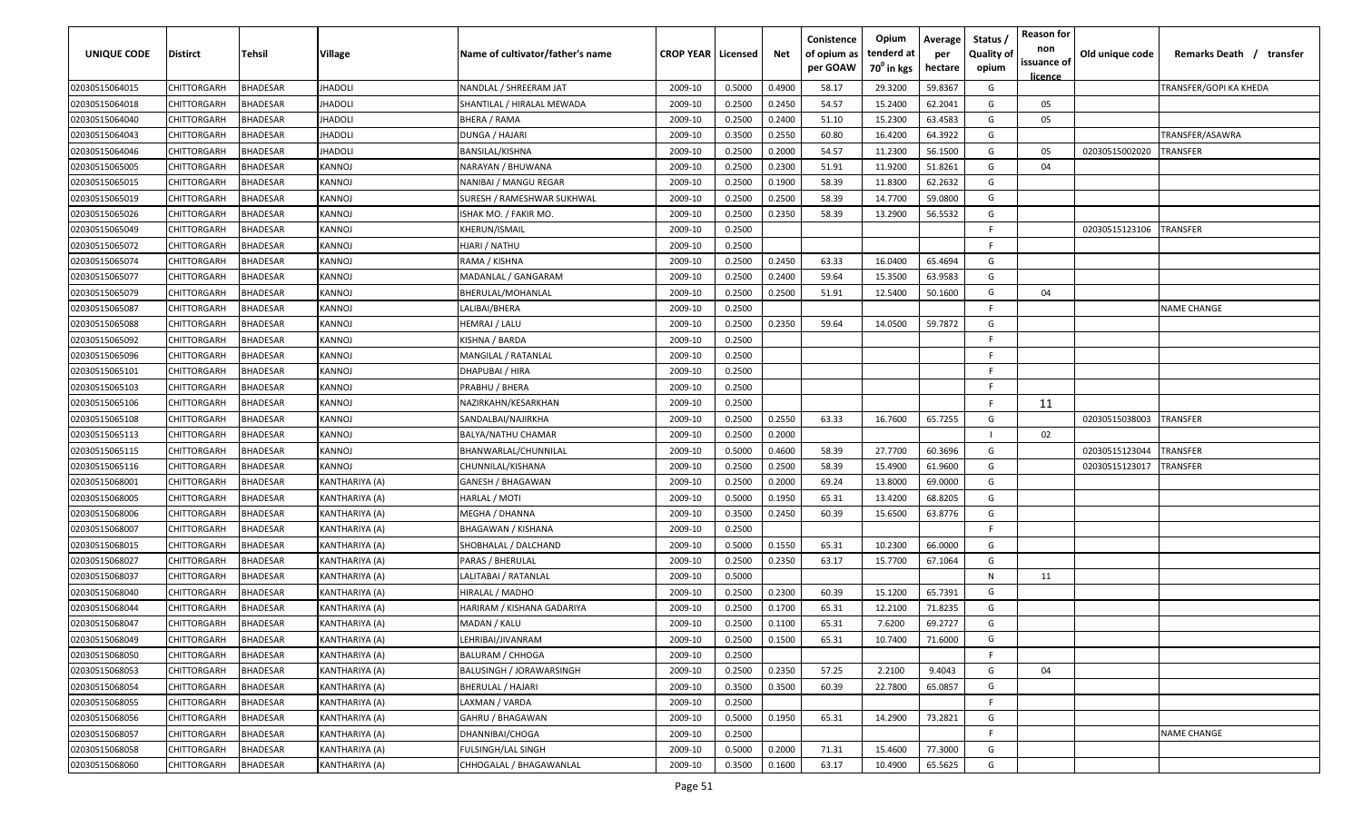| <b>UNIQUE CODE</b> | Distirct           | Tehsil          | Village        | Name of cultivator/father's name | <b>CROP YEAR   Licensed</b> |        | Net    | Conistence<br>of opium as<br>per GOAW | Opium<br>tenderd at<br>70 <sup>0</sup> in kgs | Average<br>per<br>hectare | Status /<br><b>Quality of</b><br>opium | <b>Reason for</b><br>non<br>issuance of | Old unique code | Remarks Death / transfer |
|--------------------|--------------------|-----------------|----------------|----------------------------------|-----------------------------|--------|--------|---------------------------------------|-----------------------------------------------|---------------------------|----------------------------------------|-----------------------------------------|-----------------|--------------------------|
| 02030515064015     | CHITTORGARH        | <b>BHADESAR</b> | <b>JHADOLI</b> | NANDLAL / SHREERAM JAT           | 2009-10                     | 0.5000 | 0.4900 | 58.17                                 | 29.3200                                       | 59.8367                   | G                                      | <u>licence</u>                          |                 | TRANSFER/GOPI KA KHEDA   |
| 02030515064018     | CHITTORGARH        | BHADESAR        | IHADOLI        | SHANTILAL / HIRALAL MEWADA       | 2009-10                     | 0.2500 | 0.2450 | 54.57                                 | 15.2400                                       | 62.2041                   | G                                      | 05                                      |                 |                          |
| 02030515064040     | CHITTORGARH        | BHADESAR        | <b>IHADOLI</b> | BHERA / RAMA                     | 2009-10                     | 0.2500 | 0.2400 | 51.10                                 | 15.2300                                       | 63.4583                   | G                                      | 05                                      |                 |                          |
| 02030515064043     | CHITTORGARH        | <b>BHADESAR</b> | <b>IHADOLI</b> | DUNGA / HAJARI                   | 2009-10                     | 0.3500 | 0.2550 | 60.80                                 | 16.4200                                       | 64.3922                   | G                                      |                                         |                 | TRANSFER/ASAWRA          |
| 02030515064046     | CHITTORGARH        | <b>BHADESAR</b> | <b>IHADOLI</b> | BANSILAL/KISHNA                  | 2009-10                     | 0.2500 | 0.2000 | 54.57                                 | 11.2300                                       | 56.1500                   | G                                      | 05                                      | 02030515002020  | <b>TRANSFER</b>          |
| 02030515065005     | CHITTORGARH        | <b>BHADESAR</b> | KANNOJ         | NARAYAN / BHUWANA                | 2009-10                     | 0.2500 | 0.2300 | 51.91                                 | 11.9200                                       | 51.8261                   | G                                      | 04                                      |                 |                          |
| 02030515065015     | <b>CHITTORGARH</b> | <b>BHADESAR</b> | KANNOJ         | NANIBAI / MANGU REGAR            | 2009-10                     | 0.2500 | 0.1900 | 58.39                                 | 11.8300                                       | 62.2632                   | G                                      |                                         |                 |                          |
| 02030515065019     | CHITTORGARH        | BHADESAR        | KANNOJ         | SURESH / RAMESHWAR SUKHWAL       | 2009-10                     | 0.2500 | 0.2500 | 58.39                                 | 14.7700                                       | 59.0800                   | G                                      |                                         |                 |                          |
| 02030515065026     | CHITTORGARH        | BHADESAR        | KANNOJ         | ISHAK MO. / FAKIR MO.            | 2009-10                     | 0.2500 | 0.2350 | 58.39                                 | 13.2900                                       | 56.5532                   | G                                      |                                         |                 |                          |
| 02030515065049     | CHITTORGARH        | BHADESAR        | KANNOJ         | KHERUN/ISMAIL                    | 2009-10                     | 0.2500 |        |                                       |                                               |                           | F.                                     |                                         | 02030515123106  | TRANSFER                 |
| 02030515065072     | CHITTORGARH        | BHADESAR        | KANNOJ         | HJARI / NATHU                    | 2009-10                     | 0.2500 |        |                                       |                                               |                           | F.                                     |                                         |                 |                          |
| 02030515065074     | CHITTORGARH        | BHADESAR        | KANNOJ         | RAMA / KISHNA                    | 2009-10                     | 0.2500 | 0.2450 | 63.33                                 | 16.0400                                       | 65.4694                   | G                                      |                                         |                 |                          |
| 02030515065077     | CHITTORGARH        | BHADESAR        | KANNOJ         | MADANLAL / GANGARAM              | 2009-10                     | 0.2500 | 0.2400 | 59.64                                 | 15.3500                                       | 63.9583                   | G                                      |                                         |                 |                          |
| 02030515065079     | CHITTORGARH        | <b>BHADESAR</b> | KANNOJ         | BHERULAL/MOHANLAL                | 2009-10                     | 0.2500 | 0.2500 | 51.91                                 | 12.5400                                       | 50.1600                   | G                                      | 04                                      |                 |                          |
| 02030515065087     | CHITTORGARH        | BHADESAR        | KANNOJ         | LALIBAI/BHERA                    | 2009-10                     | 0.2500 |        |                                       |                                               |                           | -F.                                    |                                         |                 | NAME CHANGE              |
| 02030515065088     | CHITTORGARH        | <b>BHADESAR</b> | KANNOJ         | HEMRAJ / LALU                    | 2009-10                     | 0.2500 | 0.2350 | 59.64                                 | 14.0500                                       | 59.7872                   | G                                      |                                         |                 |                          |
| 02030515065092     | CHITTORGARH        | BHADESAR        | KANNOJ         | KISHNA / BARDA                   | 2009-10                     | 0.2500 |        |                                       |                                               |                           | -F.                                    |                                         |                 |                          |
| 02030515065096     | CHITTORGARH        | BHADESAR        | <b>KANNOJ</b>  | MANGILAL / RATANLAL              | 2009-10                     | 0.2500 |        |                                       |                                               |                           | F.                                     |                                         |                 |                          |
| 02030515065101     | CHITTORGARH        | BHADESAR        | KANNOJ         | DHAPUBAI / HIRA                  | 2009-10                     | 0.2500 |        |                                       |                                               |                           | -F.                                    |                                         |                 |                          |
| 02030515065103     | CHITTORGARH        | <b>BHADESAR</b> | KANNOJ         | PRABHU / BHERA                   | 2009-10                     | 0.2500 |        |                                       |                                               |                           | -F.                                    |                                         |                 |                          |
| 02030515065106     | CHITTORGARH        | <b>BHADESAR</b> | KANNOJ         | NAZIRKAHN/KESARKHAN              | 2009-10                     | 0.2500 |        |                                       |                                               |                           | F.                                     | 11                                      |                 |                          |
| 02030515065108     | CHITTORGARH        | BHADESAR        | KANNOJ         | SANDALBAI/NAJIRKHA               | 2009-10                     | 0.2500 | 0.2550 | 63.33                                 | 16.7600                                       | 65.7255                   | G                                      |                                         | 02030515038003  | <b>TRANSFER</b>          |
| 02030515065113     | CHITTORGARH        | BHADESAR        | KANNOJ         | <b>BALYA/NATHU CHAMAR</b>        | 2009-10                     | 0.2500 | 0.2000 |                                       |                                               |                           |                                        | 02                                      |                 |                          |
| 02030515065115     | CHITTORGARH        | <b>BHADESAR</b> | KANNOJ         | BHANWARLAL/CHUNNILAL             | 2009-10                     | 0.5000 | 0.4600 | 58.39                                 | 27.7700                                       | 60.3696                   | G                                      |                                         | 02030515123044  | TRANSFER                 |
| 02030515065116     | CHITTORGARH        | <b>BHADESAR</b> | KANNOJ         | CHUNNILAL/KISHANA                | 2009-10                     | 0.2500 | 0.2500 | 58.39                                 | 15.4900                                       | 61.9600                   | G                                      |                                         | 02030515123017  | <b>RANSFER</b>           |
| 02030515068001     | CHITTORGARH        | <b>BHADESAR</b> | KANTHARIYA (A) | GANESH / BHAGAWAN                | 2009-10                     | 0.2500 | 0.2000 | 69.24                                 | 13.8000                                       | 69.0000                   | G                                      |                                         |                 |                          |
| 02030515068005     | CHITTORGARH        | BHADESAR        | KANTHARIYA (A) | HARLAL / MOTI                    | 2009-10                     | 0.5000 | 0.1950 | 65.31                                 | 13.4200                                       | 68.8205                   | G                                      |                                         |                 |                          |
| 02030515068006     | CHITTORGARH        | BHADESAR        | KANTHARIYA (A) | MEGHA / DHANNA                   | 2009-10                     | 0.3500 | 0.2450 | 60.39                                 | 15.6500                                       | 63.8776                   | G                                      |                                         |                 |                          |
| 02030515068007     | CHITTORGARH        | BHADESAR        | KANTHARIYA (A) | BHAGAWAN / KISHANA               | 2009-10                     | 0.2500 |        |                                       |                                               |                           | -F.                                    |                                         |                 |                          |
| 02030515068015     | CHITTORGARH        | BHADESAR        | KANTHARIYA (A) | SHOBHALAL / DALCHAND             | 2009-10                     | 0.5000 | 0.1550 | 65.31                                 | 10.2300                                       | 66.0000                   | G                                      |                                         |                 |                          |
| 02030515068027     | CHITTORGARH        | BHADESAR        | KANTHARIYA (A) | PARAS / BHERULAL                 | 2009-10                     | 0.2500 | 0.2350 | 63.17                                 | 15.7700                                       | 67.1064                   | G                                      |                                         |                 |                          |
| 02030515068037     | CHITTORGARH        | BHADESAR        | KANTHARIYA (A) | LALITABAI / RATANLAL             | 2009-10                     | 0.5000 |        |                                       |                                               |                           | N                                      | 11                                      |                 |                          |
| 02030515068040     | CHITTORGARH        | BHADESAR        | KANTHARIYA (A) | HIRALAL / MADHO                  | 2009-10                     | 0.2500 | 0.2300 | 60.39                                 | 15.1200                                       | 65.7391                   | G                                      |                                         |                 |                          |
| 02030515068044     | CHITTORGARH        | BHADESAR        | KANTHARIYA (A) | HARIRAM / KISHANA GADARIYA       | 2009-10                     | 0.2500 | 0.1700 | 65.31                                 | 12.2100                                       | 71.8235                   | G                                      |                                         |                 |                          |
| 02030515068047     | CHITTORGARH        | <b>BHADESAR</b> | KANTHARIYA (A) | MADAN / KALU                     | 2009-10                     | 0.2500 | 0.1100 | 65.31                                 | 7.6200                                        | 69.2727                   | G                                      |                                         |                 |                          |
| 02030515068049     | CHITTORGARH        | <b>BHADESAR</b> | KANTHARIYA (A) | LEHRIBAI/JIVANRAM                | 2009-10                     | 0.2500 | 0.1500 | 65.31                                 | 10.7400                                       | 71.6000                   | G                                      |                                         |                 |                          |
| 02030515068050     | <b>CHITTORGARH</b> | <b>BHADESAR</b> | KANTHARIYA (A) | <b>BALURAM / CHHOGA</b>          | 2009-10                     | 0.2500 |        |                                       |                                               |                           | F                                      |                                         |                 |                          |
| 02030515068053     | <b>CHITTORGARH</b> | <b>BHADESAR</b> | KANTHARIYA (A) | BALUSINGH / JORAWARSINGH         | 2009-10                     | 0.2500 | 0.2350 | 57.25                                 | 2.2100                                        | 9.4043                    | G                                      | 04                                      |                 |                          |
| 02030515068054     | CHITTORGARH        | <b>BHADESAR</b> | KANTHARIYA (A) | <b>BHERULAL / HAJARI</b>         | 2009-10                     | 0.3500 | 0.3500 | 60.39                                 | 22.7800                                       | 65.0857                   | G                                      |                                         |                 |                          |
| 02030515068055     | CHITTORGARH        | <b>BHADESAR</b> | KANTHARIYA (A) | LAXMAN / VARDA                   | 2009-10                     | 0.2500 |        |                                       |                                               |                           | F.                                     |                                         |                 |                          |
| 02030515068056     | CHITTORGARH        | <b>BHADESAR</b> | KANTHARIYA (A) | GAHRU / BHAGAWAN                 | 2009-10                     | 0.5000 | 0.1950 | 65.31                                 | 14.2900                                       | 73.2821                   | G                                      |                                         |                 |                          |
| 02030515068057     | CHITTORGARH        | <b>BHADESAR</b> | KANTHARIYA (A) | DHANNIBAI/CHOGA                  | 2009-10                     | 0.2500 |        |                                       |                                               |                           | F.                                     |                                         |                 | <b>NAME CHANGE</b>       |
| 02030515068058     | CHITTORGARH        | <b>BHADESAR</b> | KANTHARIYA (A) | FULSINGH/LAL SINGH               | 2009-10                     | 0.5000 | 0.2000 | 71.31                                 | 15.4600                                       | 77.3000                   | G                                      |                                         |                 |                          |
| 02030515068060     | CHITTORGARH        | BHADESAR        | KANTHARIYA (A) | CHHOGALAL / BHAGAWANLAL          | 2009-10                     | 0.3500 | 0.1600 | 63.17                                 | 10.4900                                       | 65.5625                   | G                                      |                                         |                 |                          |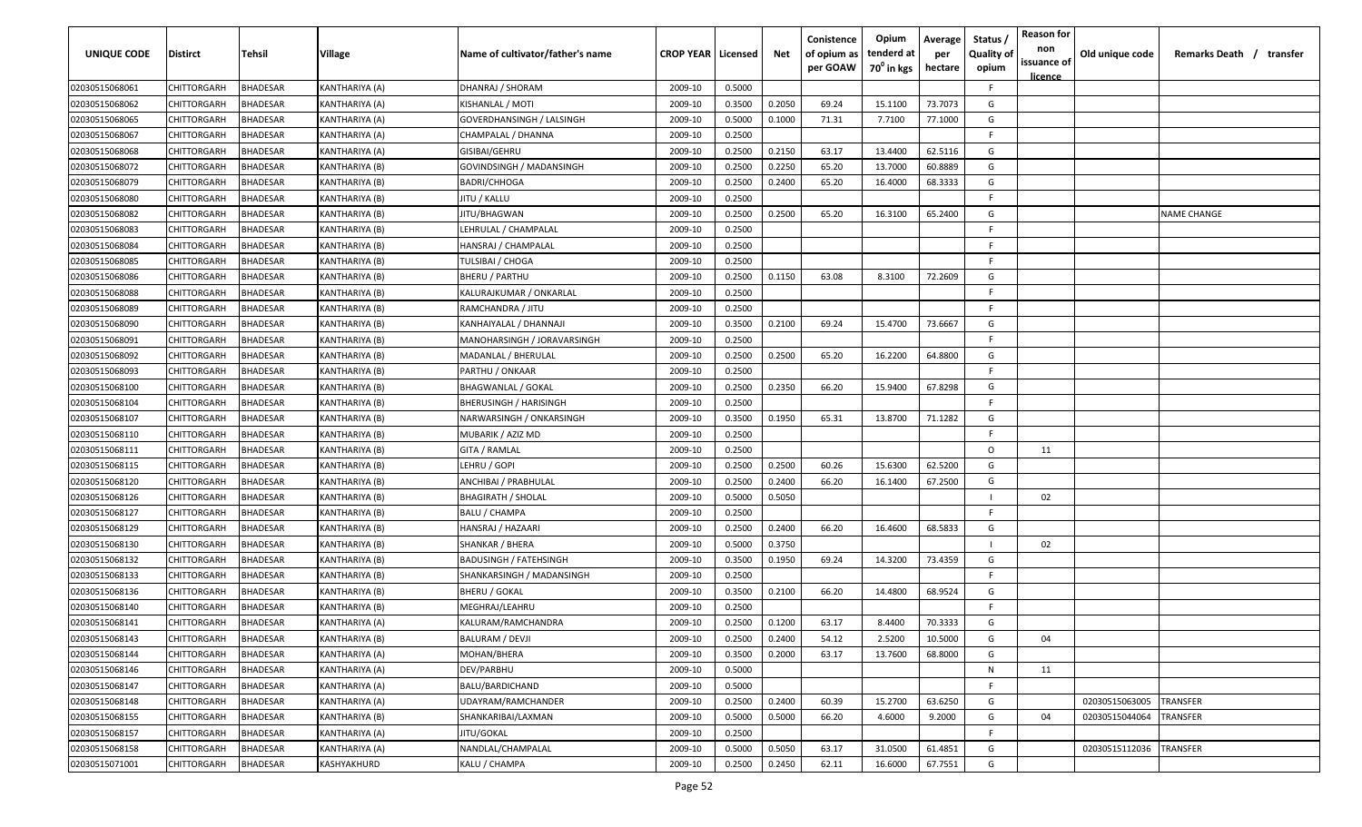| UNIQUE CODE                      | Distirct                   | Tehsil               | Village                          | Name of cultivator/father's name         | <b>CROP YEAR   Licensed</b> |                  | Net              | Conistence<br>of opium as<br>per GOAW | Opium<br>tenderd at<br>70 <sup>0</sup> in kgs | Average<br>per<br>hectare | Status /<br><b>Quality of</b><br>opium | <b>Reason for</b><br>non<br>issuance of | Old unique code | Remarks Death / transfer |
|----------------------------------|----------------------------|----------------------|----------------------------------|------------------------------------------|-----------------------------|------------------|------------------|---------------------------------------|-----------------------------------------------|---------------------------|----------------------------------------|-----------------------------------------|-----------------|--------------------------|
|                                  |                            |                      |                                  |                                          |                             |                  |                  |                                       |                                               |                           |                                        | <u>licence</u>                          |                 |                          |
| 02030515068061                   | CHITTORGARH                | <b>BHADESAR</b>      | KANTHARIYA (A)                   | DHANRAJ / SHORAM                         | 2009-10                     | 0.5000           |                  |                                       |                                               |                           | F.                                     |                                         |                 |                          |
| 02030515068062                   | CHITTORGARH                | BHADESAR             | KANTHARIYA (A)                   | KISHANLAL / MOTI                         | 2009-10                     | 0.3500           | 0.2050           | 69.24                                 | 15.1100                                       | 73.7073                   | G                                      |                                         |                 |                          |
| 02030515068065                   | CHITTORGARH                | BHADESAR             | KANTHARIYA (A)                   | GOVERDHANSINGH / LALSINGH                | 2009-10                     | 0.5000           | 0.1000           | 71.31                                 | 7.7100                                        | 77.1000                   | G<br>-F.                               |                                         |                 |                          |
| 02030515068067                   | CHITTORGARH                | BHADESAR             | KANTHARIYA (A)                   | CHAMPALAL / DHANNA                       | 2009-10                     | 0.2500           |                  |                                       |                                               |                           |                                        |                                         |                 |                          |
| 02030515068068<br>02030515068072 | CHITTORGARH                | BHADESAR             | KANTHARIYA (A)                   | GISIBAI/GEHRU                            | 2009-10                     | 0.2500<br>0.2500 | 0.2150<br>0.2250 | 63.17<br>65.20                        | 13.4400<br>13.7000                            | 62.5116                   | G<br>G                                 |                                         |                 |                          |
| 02030515068079                   | CHITTORGARH<br>CHITTORGARH | BHADESAR<br>BHADESAR | KANTHARIYA (B)<br>KANTHARIYA (B) | GOVINDSINGH / MADANSINGH<br>BADRI/CHHOGA | 2009-10<br>2009-10          | 0.2500           | 0.2400           | 65.20                                 | 16.4000                                       | 60.8889<br>68.3333        | G                                      |                                         |                 |                          |
| 02030515068080                   | CHITTORGARH                | BHADESAR             | KANTHARIYA (B)                   | JITU / KALLU                             | 2009-10                     | 0.2500           |                  |                                       |                                               |                           | -F.                                    |                                         |                 |                          |
| 02030515068082                   | CHITTORGARH                | BHADESAR             | KANTHARIYA (B)                   | JITU/BHAGWAN                             | 2009-10                     | 0.2500           | 0.2500           | 65.20                                 | 16.3100                                       | 65.2400                   | G                                      |                                         |                 | <b>NAME CHANGE</b>       |
| 02030515068083                   | CHITTORGARH                | BHADESAR             | KANTHARIYA (B)                   | LEHRULAL / CHAMPALAL                     | 2009-10                     | 0.2500           |                  |                                       |                                               |                           | F                                      |                                         |                 |                          |
| 02030515068084                   | CHITTORGARH                | BHADESAR             | <b>KANTHARIYA (B)</b>            | HANSRAJ / CHAMPALAL                      | 2009-10                     | 0.2500           |                  |                                       |                                               |                           | -F.                                    |                                         |                 |                          |
| 02030515068085                   | CHITTORGARH                | BHADESAR             | KANTHARIYA (B)                   | TULSIBAI / CHOGA                         | 2009-10                     | 0.2500           |                  |                                       |                                               |                           | F.                                     |                                         |                 |                          |
| 02030515068086                   | CHITTORGARH                | BHADESAR             | KANTHARIYA (B)                   | <b>BHERU / PARTHU</b>                    | 2009-10                     | 0.2500           | 0.1150           | 63.08                                 | 8.3100                                        | 72.2609                   | G                                      |                                         |                 |                          |
| 02030515068088                   | CHITTORGARH                | BHADESAR             | KANTHARIYA (B)                   | KALURAJKUMAR / ONKARLAL                  | 2009-10                     | 0.2500           |                  |                                       |                                               |                           | F                                      |                                         |                 |                          |
| 02030515068089                   | CHITTORGARH                | BHADESAR             | KANTHARIYA (B)                   | RAMCHANDRA / JITU                        | 2009-10                     | 0.2500           |                  |                                       |                                               |                           | -F.                                    |                                         |                 |                          |
| 02030515068090                   | CHITTORGARH                | BHADESAR             | KANTHARIYA (B)                   | KANHAIYALAL / DHANNAJI                   | 2009-10                     | 0.3500           | 0.2100           | 69.24                                 | 15.4700                                       | 73.6667                   | G                                      |                                         |                 |                          |
| 02030515068091                   | CHITTORGARH                | <b>BHADESAR</b>      | KANTHARIYA (B)                   | MANOHARSINGH / JORAVARSINGH              | 2009-10                     | 0.2500           |                  |                                       |                                               |                           | F.                                     |                                         |                 |                          |
| 02030515068092                   | CHITTORGARH                | <b>BHADESAR</b>      | KANTHARIYA (B)                   | MADANLAL / BHERULAL                      | 2009-10                     | 0.2500           | 0.2500           | 65.20                                 | 16.2200                                       | 64.8800                   | G                                      |                                         |                 |                          |
| 02030515068093                   | CHITTORGARH                | BHADESAR             | KANTHARIYA (B)                   | PARTHU / ONKAAR                          | 2009-10                     | 0.2500           |                  |                                       |                                               |                           | -F.                                    |                                         |                 |                          |
| 02030515068100                   | CHITTORGARH                | BHADESAR             | KANTHARIYA (B)                   | <b>BHAGWANLAL / GOKAL</b>                | 2009-10                     | 0.2500           | 0.2350           | 66.20                                 | 15.9400                                       | 67.8298                   | G                                      |                                         |                 |                          |
| 02030515068104                   | CHITTORGARH                | BHADESAR             | KANTHARIYA (B)                   | <b>BHERUSINGH / HARISINGH</b>            | 2009-10                     | 0.2500           |                  |                                       |                                               |                           | -F                                     |                                         |                 |                          |
| 02030515068107                   | CHITTORGARH                | <b>BHADESAR</b>      | KANTHARIYA (B)                   | NARWARSINGH / ONKARSINGH                 | 2009-10                     | 0.3500           | 0.1950           | 65.31                                 | 13.8700                                       | 71.1282                   | G                                      |                                         |                 |                          |
| 02030515068110                   | CHITTORGARH                | <b>BHADESAR</b>      | KANTHARIYA (B)                   | MUBARIK / AZIZ MD                        | 2009-10                     | 0.2500           |                  |                                       |                                               |                           | -F                                     |                                         |                 |                          |
| 02030515068111                   | CHITTORGARH                | BHADESAR             | KANTHARIYA (B)                   | GITA / RAMLAL                            | 2009-10                     | 0.2500           |                  |                                       |                                               |                           | $\circ$                                | 11                                      |                 |                          |
| 02030515068115                   | CHITTORGARH                | BHADESAR             | KANTHARIYA (B)                   | LEHRU / GOPI                             | 2009-10                     | 0.2500           | 0.2500           | 60.26                                 | 15.6300                                       | 62.5200                   | G                                      |                                         |                 |                          |
| 02030515068120                   | CHITTORGARH                | BHADESAR             | KANTHARIYA (B)                   | ANCHIBAI / PRABHULAL                     | 2009-10                     | 0.2500           | 0.2400           | 66.20                                 | 16.1400                                       | 67.2500                   | G                                      |                                         |                 |                          |
| 02030515068126                   | CHITTORGARH                | BHADESAR             | KANTHARIYA (B)                   | <b>BHAGIRATH / SHOLAL</b>                | 2009-10                     | 0.5000           | 0.5050           |                                       |                                               |                           |                                        | 02                                      |                 |                          |
| 02030515068127                   | CHITTORGARH                | BHADESAR             | KANTHARIYA (B)                   | BALU / CHAMPA                            | 2009-10                     | 0.2500           |                  |                                       |                                               |                           | -F.                                    |                                         |                 |                          |
| 02030515068129                   | CHITTORGARH                | BHADESAR             | KANTHARIYA (B)                   | HANSRAJ / HAZAARI                        | 2009-10                     | 0.2500           | 0.2400           | 66.20                                 | 16.4600                                       | 68.5833                   | G                                      |                                         |                 |                          |
| 02030515068130                   | CHITTORGARH                | BHADESAR             | KANTHARIYA (B)                   | SHANKAR / BHERA                          | 2009-10                     | 0.5000           | 0.3750           |                                       |                                               |                           |                                        | 02                                      |                 |                          |
| 02030515068132                   | CHITTORGARH                | BHADESAR             | KANTHARIYA (B)                   | <b>BADUSINGH / FATEHSINGH</b>            | 2009-10                     | 0.3500           | 0.1950           | 69.24                                 | 14.3200                                       | 73.4359                   | G                                      |                                         |                 |                          |
| 02030515068133                   | CHITTORGARH                | BHADESAR             | KANTHARIYA (B)                   | SHANKARSINGH / MADANSINGH                | 2009-10                     | 0.2500           |                  |                                       |                                               |                           | -F.                                    |                                         |                 |                          |
| 02030515068136                   | CHITTORGARH                | BHADESAR             | KANTHARIYA (B)                   | <b>BHERU / GOKAL</b>                     | 2009-10                     | 0.3500           | 0.2100           | 66.20                                 | 14.4800                                       | 68.9524                   | G                                      |                                         |                 |                          |
| 02030515068140                   | CHITTORGARH                | BHADESAR             | KANTHARIYA (B)                   | MEGHRAJ/LEAHRU                           | 2009-10                     | 0.2500           |                  |                                       |                                               |                           | -F.                                    |                                         |                 |                          |
| 02030515068141                   | <b>CHITTORGARH</b>         | BHADESAR             | KANTHARIYA (A)                   | KALURAM/RAMCHANDRA                       | 2009-10                     | 0.2500           | 0.1200           | 63.17                                 | 8.4400                                        | 70.3333                   | G                                      |                                         |                 |                          |
| 02030515068143                   | CHITTORGARH                | <b>BHADESAR</b>      | KANTHARIYA (B)                   | BALURAM / DEVJI                          | 2009-10                     | 0.2500           | 0.2400           | 54.12                                 | 2.5200                                        | 10.5000                   | G                                      | 04                                      |                 |                          |
| 02030515068144                   | CHITTORGARH                | <b>BHADESAR</b>      | KANTHARIYA (A)                   | MOHAN/BHERA                              | 2009-10                     | 0.3500           | 0.2000           | 63.17                                 | 13.7600                                       | 68.8000                   | G                                      |                                         |                 |                          |
| 02030515068146                   | CHITTORGARH                | <b>BHADESAR</b>      | KANTHARIYA (A)                   | DEV/PARBHU                               | 2009-10                     | 0.5000           |                  |                                       |                                               |                           | N                                      | 11                                      |                 |                          |
| 02030515068147                   | <b>CHITTORGARH</b>         | <b>BHADESAR</b>      | KANTHARIYA (A)                   | BALU/BARDICHAND                          | 2009-10                     | 0.5000           |                  |                                       |                                               |                           | F.                                     |                                         |                 |                          |
| 02030515068148                   | CHITTORGARH                | <b>BHADESAR</b>      | KANTHARIYA (A)                   | UDAYRAM/RAMCHANDER                       | 2009-10                     | 0.2500           | 0.2400           | 60.39                                 | 15.2700                                       | 63.6250                   | G                                      |                                         | 02030515063005  | TRANSFER                 |
| 02030515068155                   | <b>CHITTORGARH</b>         | BHADESAR             | KANTHARIYA (B)                   | SHANKARIBAI/LAXMAN                       | 2009-10                     | 0.5000           | 0.5000           | 66.20                                 | 4.6000                                        | 9.2000                    | G                                      | 04                                      | 02030515044064  | TRANSFER                 |
| 02030515068157                   | CHITTORGARH                | BHADESAR             | KANTHARIYA (A)                   | JITU/GOKAL                               | 2009-10                     | 0.2500           |                  |                                       |                                               |                           | F.                                     |                                         |                 |                          |
| 02030515068158                   | CHITTORGARH                | BHADESAR             | KANTHARIYA (A)                   | NANDLAL/CHAMPALAL                        | 2009-10                     | 0.5000           | 0.5050           | 63.17                                 | 31.0500                                       | 61.4851                   | G                                      |                                         | 02030515112036  | TRANSFER                 |
| 02030515071001                   | <b>CHITTORGARH</b>         | <b>BHADESAR</b>      | KASHYAKHURD                      | KALU / CHAMPA                            | 2009-10                     | 0.2500           | 0.2450           | 62.11                                 | 16.6000                                       | 67.7551                   | G                                      |                                         |                 |                          |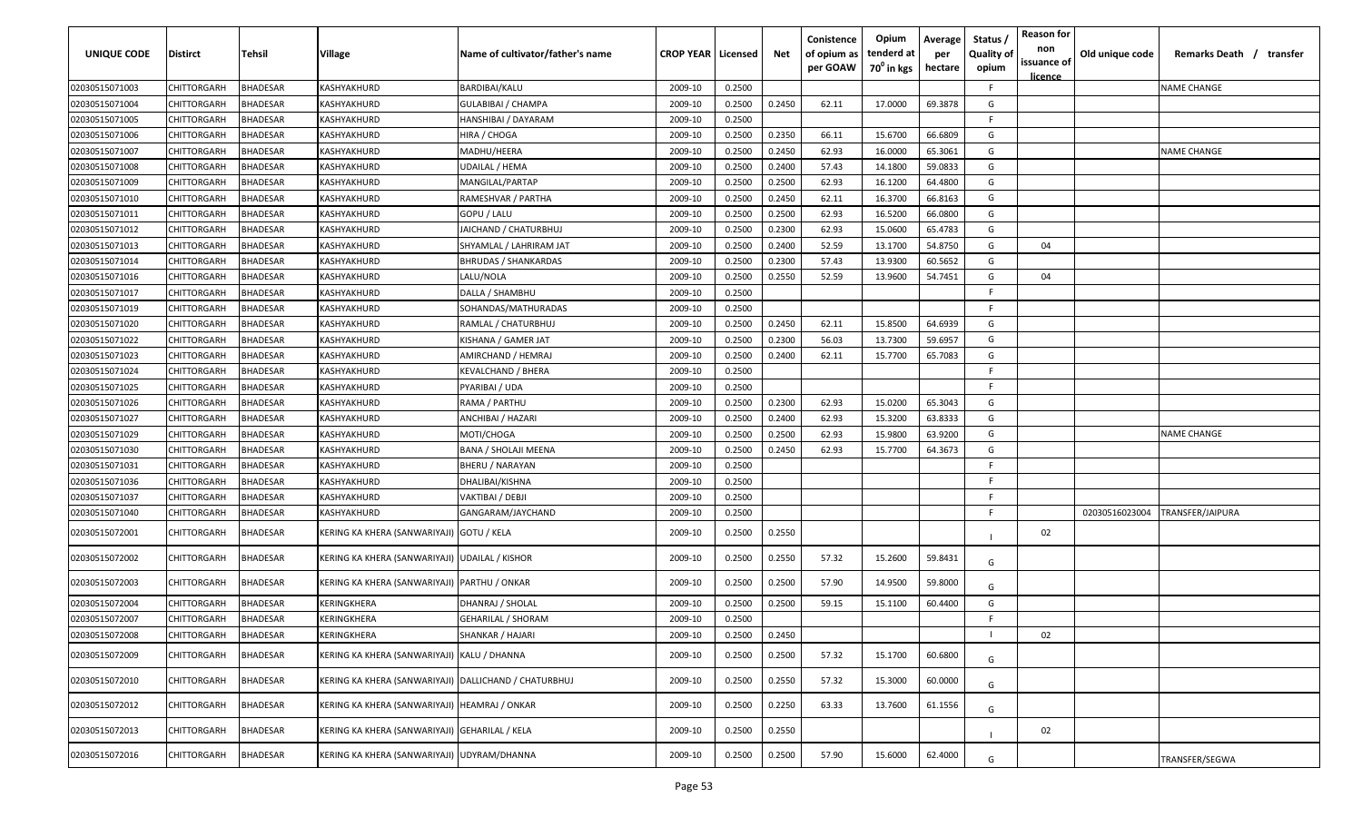| UNIQUE CODE    | <b>Distirct</b> | <b>Tehsil</b>   | Village                                                 | Name of cultivator/father's name | <b>CROP YEAR   Licensed</b> |        | Net    | Conistence<br>of opium as<br>per GOAW | Opium<br>tenderd at<br>$70^0$ in kgs | Average<br>per<br>hectare | Status /<br><b>Quality of</b><br>opium | <b>Reason for</b><br>non<br>issuance of<br><u>licence</u> | Old unique code | Remarks Death / transfer |
|----------------|-----------------|-----------------|---------------------------------------------------------|----------------------------------|-----------------------------|--------|--------|---------------------------------------|--------------------------------------|---------------------------|----------------------------------------|-----------------------------------------------------------|-----------------|--------------------------|
| 02030515071003 | CHITTORGARH     | BHADESAR        | KASHYAKHURD                                             | BARDIBAI/KALU                    | 2009-10                     | 0.2500 |        |                                       |                                      |                           | F.                                     |                                                           |                 | <b>NAME CHANGE</b>       |
| 02030515071004 | CHITTORGARH     | <b>BHADESAR</b> | KASHYAKHURD                                             | GULABIBAI / CHAMPA               | 2009-10                     | 0.2500 | 0.2450 | 62.11                                 | 17.0000                              | 69.3878                   | G                                      |                                                           |                 |                          |
| 02030515071005 | CHITTORGARH     | 3HADESAR        | KASHYAKHURD                                             | HANSHIBAI / DAYARAM              | 2009-10                     | 0.2500 |        |                                       |                                      |                           | F.                                     |                                                           |                 |                          |
| 02030515071006 | CHITTORGARH     | <b>HADESAR</b>  | KASHYAKHURD                                             | HIRA / CHOGA                     | 2009-10                     | 0.2500 | 0.2350 | 66.11                                 | 15.6700                              | 66.6809                   | G                                      |                                                           |                 |                          |
| 02030515071007 | CHITTORGARH     | <b>BHADESAR</b> | KASHYAKHURD                                             | MADHU/HEERA                      | 2009-10                     | 0.2500 | 0.2450 | 62.93                                 | 16.0000                              | 65.3061                   | G                                      |                                                           |                 | <b>NAME CHANGE</b>       |
| 02030515071008 | CHITTORGARH     | <b>BHADESAR</b> | KASHYAKHURD                                             | UDAILAL / HEMA                   | 2009-10                     | 0.2500 | 0.2400 | 57.43                                 | 14.1800                              | 59.0833                   | G                                      |                                                           |                 |                          |
| 02030515071009 | CHITTORGARH     | <b>BHADESAR</b> | KASHYAKHURD                                             | MANGILAL/PARTAP                  | 2009-10                     | 0.2500 | 0.2500 | 62.93                                 | 16.1200                              | 64.4800                   | G                                      |                                                           |                 |                          |
| 02030515071010 | CHITTORGARH     | <b>HADESAR</b>  | KASHYAKHURD                                             | RAMESHVAR / PARTHA               | 2009-10                     | 0.2500 | 0.2450 | 62.11                                 | 16.3700                              | 66.8163                   | G                                      |                                                           |                 |                          |
| 02030515071011 | CHITTORGARH     | <b>HADESAR</b>  | KASHYAKHURD                                             | GOPU / LALU                      | 2009-10                     | 0.2500 | 0.2500 | 62.93                                 | 16.5200                              | 66.0800                   | G                                      |                                                           |                 |                          |
| 02030515071012 | CHITTORGARH     | <b>BHADESAR</b> | KASHYAKHURD                                             | JAICHAND / CHATURBHUJ            | 2009-10                     | 0.2500 | 0.2300 | 62.93                                 | 15.0600                              | 65.4783                   | G                                      |                                                           |                 |                          |
| 02030515071013 | CHITTORGARH     | 3HADESAR        | KASHYAKHURD                                             | SHYAMLAL / LAHRIRAM JAT          | 2009-10                     | 0.2500 | 0.2400 | 52.59                                 | 13.1700                              | 54.8750                   | G                                      | 04                                                        |                 |                          |
| 02030515071014 | CHITTORGARH     | 3HADESAR        | KASHYAKHURD                                             | BHRUDAS / SHANKARDAS             | 2009-10                     | 0.2500 | 0.2300 | 57.43                                 | 13.9300                              | 60.5652                   | G                                      |                                                           |                 |                          |
| 02030515071016 | CHITTORGARH     | <b>HADESAR</b>  | KASHYAKHURD                                             | LALU/NOLA                        | 2009-10                     | 0.2500 | 0.2550 | 52.59                                 | 13.9600                              | 54.7451                   | G                                      | 04                                                        |                 |                          |
| 02030515071017 | CHITTORGARH     | <b>BHADESAR</b> | KASHYAKHURD                                             | DALLA / SHAMBHU                  | 2009-10                     | 0.2500 |        |                                       |                                      |                           | F.                                     |                                                           |                 |                          |
| 02030515071019 | CHITTORGARH     | <b>BHADESAR</b> | KASHYAKHURD                                             | SOHANDAS/MATHURADAS              | 2009-10                     | 0.2500 |        |                                       |                                      |                           | F.                                     |                                                           |                 |                          |
| 02030515071020 | CHITTORGARH     | <b>HADESAR</b>  | KASHYAKHURD                                             | RAMLAL / CHATURBHUJ              | 2009-10                     | 0.2500 | 0.2450 | 62.11                                 | 15.8500                              | 64.6939                   | G                                      |                                                           |                 |                          |
| 02030515071022 | CHITTORGARH     | <b>HADESAR</b>  | KASHYAKHURD                                             | KISHANA / GAMER JAT              | 2009-10                     | 0.2500 | 0.2300 | 56.03                                 | 13.7300                              | 59.6957                   | G                                      |                                                           |                 |                          |
| 02030515071023 | CHITTORGARH     | <b>BHADESAR</b> | KASHYAKHURD                                             | AMIRCHAND / HEMRAJ               | 2009-10                     | 0.2500 | 0.2400 | 62.11                                 | 15.7700                              | 65.7083                   | G                                      |                                                           |                 |                          |
| 02030515071024 | CHITTORGARH     | <b>BHADESAR</b> | KASHYAKHURD                                             | KEVALCHAND / BHERA               | 2009-10                     | 0.2500 |        |                                       |                                      |                           | F.                                     |                                                           |                 |                          |
| 02030515071025 | CHITTORGARH     | 3HADESAR        | KASHYAKHURD                                             | PYARIBAI / UDA                   | 2009-10                     | 0.2500 |        |                                       |                                      |                           | F.                                     |                                                           |                 |                          |
| 02030515071026 | CHITTORGARH     | <b>HADESAR</b>  | KASHYAKHURD                                             | RAMA / PARTHU                    | 2009-10                     | 0.2500 | 0.2300 | 62.93                                 | 15.0200                              | 65.3043                   | G                                      |                                                           |                 |                          |
| 02030515071027 | CHITTORGARH     | <b>BHADESAR</b> | KASHYAKHURD                                             | ANCHIBAI / HAZARI                | 2009-10                     | 0.2500 | 0.2400 | 62.93                                 | 15.3200                              | 63.8333                   | G                                      |                                                           |                 |                          |
| 02030515071029 | CHITTORGARH     | <b>BHADESAR</b> | KASHYAKHURD                                             | MOTI/CHOGA                       | 2009-10                     | 0.2500 | 0.2500 | 62.93                                 | 15.9800                              | 63.9200                   | G                                      |                                                           |                 | <b>NAME CHANGE</b>       |
| 02030515071030 | CHITTORGARH     | <b>BHADESAR</b> | KASHYAKHURD                                             | BANA / SHOLAJI MEENA             | 2009-10                     | 0.2500 | 0.2450 | 62.93                                 | 15.7700                              | 64.3673                   | G                                      |                                                           |                 |                          |
| 02030515071031 | CHITTORGARH     | <b>HADESAR</b>  | KASHYAKHURD                                             | BHERU / NARAYAN                  | 2009-10                     | 0.2500 |        |                                       |                                      |                           | F.                                     |                                                           |                 |                          |
| 02030515071036 | CHITTORGARH     | <b>BHADESAR</b> | KASHYAKHURD                                             | DHALIBAI/KISHNA                  | 2009-10                     | 0.2500 |        |                                       |                                      |                           | F.                                     |                                                           |                 |                          |
| 02030515071037 | CHITTORGARH     | <b>BHADESAR</b> | KASHYAKHURD                                             | VAKTIBAI / DEBJI                 | 2009-10                     | 0.2500 |        |                                       |                                      |                           | F.                                     |                                                           |                 |                          |
| 02030515071040 | CHITTORGARH     | 3HADESAR        | KASHYAKHURD                                             | GANGARAM/JAYCHAND                | 2009-10                     | 0.2500 |        |                                       |                                      |                           | F.                                     |                                                           | 02030516023004  | TRANSFER/JAIPURA         |
| 02030515072001 | CHITTORGARH     | 3HADESAR        | KERING KA KHERA (SANWARIYAJI)  GOTU / KELA              |                                  | 2009-10                     | 0.2500 | 0.2550 |                                       |                                      |                           |                                        | 02                                                        |                 |                          |
| 02030515072002 | CHITTORGARH     | BHADESAR        | KERING KA KHERA (SANWARIYAJI) UDAILAL / KISHOR          |                                  | 2009-10                     | 0.2500 | 0.2550 | 57.32                                 | 15.2600                              | 59.8431                   | G                                      |                                                           |                 |                          |
| 02030515072003 | CHITTORGARH     | <b>BHADESAR</b> | KERING KA KHERA (SANWARIYAJI)  PARTHU / ONKAR           |                                  | 2009-10                     | 0.2500 | 0.2500 | 57.90                                 | 14.9500                              | 59.8000                   | G                                      |                                                           |                 |                          |
| 02030515072004 | CHITTORGARH     | <b>HADESAR</b>  | KERINGKHERA                                             | DHANRAJ / SHOLAL                 | 2009-10                     | 0.2500 | 0.2500 | 59.15                                 | 15.1100                              | 60.4400                   | G                                      |                                                           |                 |                          |
| 02030515072007 | CHITTORGARH     | <b>HADESAR</b>  | KERINGKHERA                                             | GEHARILAL / SHORAM               | 2009-10                     | 0.2500 |        |                                       |                                      |                           | F                                      |                                                           |                 |                          |
| 02030515072008 | CHITTORGARH     | BHADESAR        | KERINGKHERA                                             | SHANKAR / HAJARI                 | 2009-10                     | 0.2500 | 0.2450 |                                       |                                      |                           |                                        | 02                                                        |                 |                          |
| 02030515072009 | CHITTORGARH     | BHADESAR        | KERING KA KHERA (SANWARIYAJI) KALU / DHANNA             |                                  | 2009-10                     | 0.2500 | 0.2500 | 57.32                                 | 15.1700                              | 60.6800                   | G                                      |                                                           |                 |                          |
| 02030515072010 | CHITTORGARH     | BHADESAR        | KERING KA KHERA (SANWARIYAJI)   DALLICHAND / CHATURBHUJ |                                  | 2009-10                     | 0.2500 | 0.2550 | 57.32                                 | 15.3000                              | 60.0000                   | G                                      |                                                           |                 |                          |
| 02030515072012 | CHITTORGARH     | BHADESAR        | KERING KA KHERA (SANWARIYAJI)   HEAMRAJ / ONKAR         |                                  | 2009-10                     | 0.2500 | 0.2250 | 63.33                                 | 13.7600                              | 61.1556                   | G                                      |                                                           |                 |                          |
| 02030515072013 | CHITTORGARH     | BHADESAR        | KERING KA KHERA (SANWARIYAJI) GEHARILAL / KELA          |                                  | 2009-10                     | 0.2500 | 0.2550 |                                       |                                      |                           |                                        | 02                                                        |                 |                          |
| 02030515072016 | CHITTORGARH     | <b>BHADESAR</b> | KERING KA KHERA (SANWARIYAJI) UDYRAM/DHANNA             |                                  | 2009-10                     | 0.2500 | 0.2500 | 57.90                                 | 15.6000                              | 62.4000                   | G                                      |                                                           |                 | TRANSFER/SEGWA           |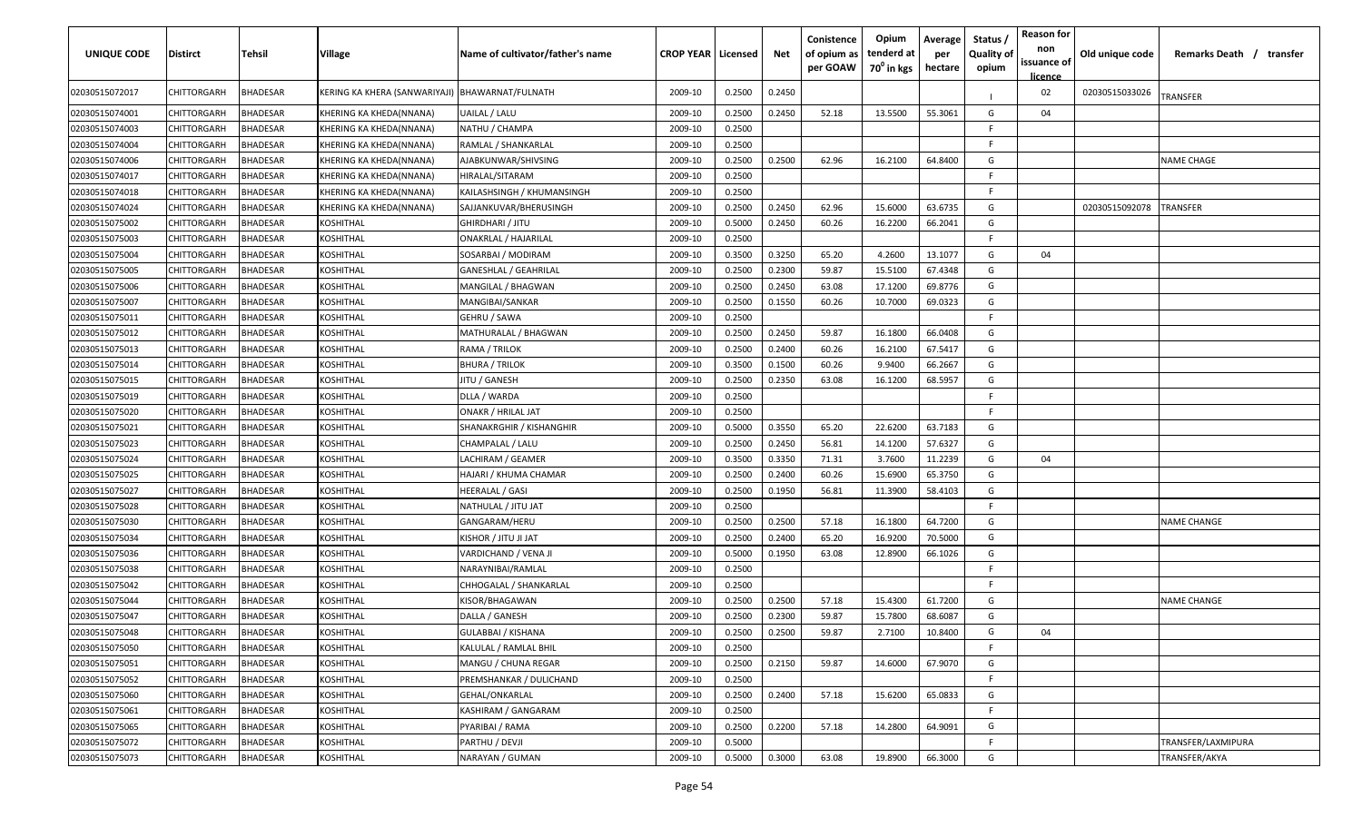| UNIQUE CODE    | <b>Distirct</b>    | Tehsil          | Village                                          | Name of cultivator/father's name | <b>CROP YEAR   Licensed</b> |                 | Net    | Conistence<br>of opium as<br>per GOAW | Opium<br>tenderd at<br>70 <sup>0</sup> in kgs | Average<br>per<br>hectare | Status /<br><b>Quality of</b><br>opium | <b>Reason for</b><br>non<br>issuance of<br><u>licence</u> | Old unique code | Remarks Death / transfer |
|----------------|--------------------|-----------------|--------------------------------------------------|----------------------------------|-----------------------------|-----------------|--------|---------------------------------------|-----------------------------------------------|---------------------------|----------------------------------------|-----------------------------------------------------------|-----------------|--------------------------|
| 02030515072017 | CHITTORGARH        | BHADESAR        | KERING KA KHERA (SANWARIYAJI)  BHAWARNAT/FULNATH |                                  | 2009-10                     | 0.2500          | 0.2450 |                                       |                                               |                           |                                        | 02                                                        | 02030515033026  | TRANSFER                 |
| 02030515074001 | CHITTORGARH        | BHADESAR        | KHERING KA KHEDA(NNANA)                          | UAILAL / LALU                    | 2009-10                     | 0.2500          | 0.2450 | 52.18                                 | 13.5500                                       | 55.3061                   | G                                      | 04                                                        |                 |                          |
| 02030515074003 | CHITTORGARH        | BHADESAR        | KHERING KA KHEDA(NNANA)                          | NATHU / CHAMPA                   | 2009-10                     | 0.2500          |        |                                       |                                               |                           | F.                                     |                                                           |                 |                          |
| 02030515074004 | CHITTORGARH        | <b>BHADESAR</b> | KHERING KA KHEDA(NNANA)                          | RAMLAL / SHANKARLAL              | 2009-10                     | 0.2500          |        |                                       |                                               |                           | F                                      |                                                           |                 |                          |
| 02030515074006 | CHITTORGARH        | <b>BHADESAR</b> | KHERING KA KHEDA(NNANA)                          | AJABKUNWAR/SHIVSING              | 2009-10                     | 0.2500          | 0.2500 | 62.96                                 | 16.2100                                       | 64.8400                   | G                                      |                                                           |                 | <b>NAME CHAGE</b>        |
| 02030515074017 | CHITTORGARH        | <b>BHADESAR</b> | KHERING KA KHEDA(NNANA)                          | HIRALAL/SITARAM                  | 2009-10                     | 0.2500          |        |                                       |                                               |                           | F.                                     |                                                           |                 |                          |
| 02030515074018 | CHITTORGARH        | <b>BHADESAR</b> | KHERING KA KHEDA(NNANA)                          | KAILASHSINGH / KHUMANSINGH       | 2009-10                     | 0.2500          |        |                                       |                                               |                           | F.                                     |                                                           |                 |                          |
| 02030515074024 | CHITTORGARH        | <b>BHADESAR</b> | KHERING KA KHEDA(NNANA)                          | SAJJANKUVAR/BHERUSINGH           | 2009-10                     | 0.2500          | 0.2450 | 62.96                                 | 15.6000                                       | 63.6735                   | G                                      |                                                           | 02030515092078  | TRANSFER                 |
| 02030515075002 | CHITTORGARH        | <b>HADESAR</b>  | <b>KOSHITHAL</b>                                 | GHIRDHARI / JITU                 | 2009-10                     | 0.5000          | 0.2450 | 60.26                                 | 16.2200                                       | 66.2041                   | G                                      |                                                           |                 |                          |
| 02030515075003 | CHITTORGARH        | <b>BHADESAR</b> | KOSHITHAL                                        | <b>ONAKRLAL / HAJARILAL</b>      | 2009-10                     | 0.2500          |        |                                       |                                               |                           | F.                                     |                                                           |                 |                          |
| 02030515075004 | CHITTORGARH        | <b>HADESAR</b>  | KOSHITHAL                                        | SOSARBAI / MODIRAM               | 2009-10                     | 0.3500          | 0.3250 | 65.20                                 | 4.2600                                        | 13.1077                   | G                                      | 04                                                        |                 |                          |
| 02030515075005 | CHITTORGARH        | <b>BHADESAR</b> | KOSHITHAL                                        | GANESHLAL / GEAHRILAL            | 2009-10                     | 0.2500          | 0.2300 | 59.87                                 | 15.5100                                       | 67.4348                   | G                                      |                                                           |                 |                          |
| 02030515075006 | CHITTORGARH        | 3HADESAR        | KOSHITHAL                                        | MANGILAL / BHAGWAN               | 2009-10                     | 0.2500          | 0.2450 | 63.08                                 | 17.1200                                       | 69.8776                   | G                                      |                                                           |                 |                          |
| 02030515075007 | CHITTORGARH        | <b>BHADESAR</b> | KOSHITHAL                                        | MANGIBAI/SANKAR                  | 2009-10                     | 0.2500          | 0.1550 | 60.26                                 | 10.7000                                       | 69.0323                   | G                                      |                                                           |                 |                          |
| 02030515075011 | CHITTORGARH        | <b>BHADESAR</b> | KOSHITHAL                                        | GEHRU / SAWA                     | 2009-10                     | 0.2500          |        |                                       |                                               |                           | F.                                     |                                                           |                 |                          |
| 02030515075012 | CHITTORGARH        | <b>BHADESAR</b> | KOSHITHAL                                        | MATHURALAL / BHAGWAN             | 2009-10                     | 0.2500          | 0.2450 | 59.87                                 | 16.1800                                       | 66.0408                   | G                                      |                                                           |                 |                          |
| 02030515075013 | CHITTORGARH        | <b>HADESAR</b>  | KOSHITHAL                                        | RAMA / TRILOK                    | 2009-10                     | 0.2500          | 0.2400 | 60.26                                 | 16.2100                                       | 67.5417                   | G                                      |                                                           |                 |                          |
| 02030515075014 | CHITTORGARH        | <b>BHADESAR</b> | KOSHITHAL                                        | BHURA / TRILOK                   | 2009-10                     | 0.3500          | 0.1500 | 60.26                                 | 9.9400                                        | 66.2667                   | G                                      |                                                           |                 |                          |
| 02030515075015 | CHITTORGARH        | <b>BHADESAR</b> | <b>KOSHITHAL</b>                                 | JITU / GANESH                    | 2009-10                     | 0.2500          | 0.2350 | 63.08                                 | 16.1200                                       | 68.5957                   | G                                      |                                                           |                 |                          |
| 02030515075019 | CHITTORGARH        | <b>BHADESAR</b> | <b>KOSHITHAL</b>                                 | DLLA / WARDA                     | 2009-10                     | 0.2500          |        |                                       |                                               |                           | F.                                     |                                                           |                 |                          |
| 02030515075020 | CHITTORGARH        | 3HADESAR        | KOSHITHAL                                        | ONAKR / HRILAL JAT               | 2009-10                     | 0.2500          |        |                                       |                                               |                           | F.                                     |                                                           |                 |                          |
| 02030515075021 | CHITTORGARH        | <b>BHADESAR</b> | KOSHITHAL                                        | SHANAKRGHIR / KISHANGHIR         | 2009-10                     | 0.5000          | 0.3550 | 65.20                                 | 22.6200                                       | 63.7183                   | G                                      |                                                           |                 |                          |
| 02030515075023 | CHITTORGARH        | <b>BHADESAR</b> | KOSHITHAL                                        | CHAMPALAL / LALU                 | 2009-10                     | 0.2500          | 0.2450 | 56.81                                 | 14.1200                                       | 57.6327                   | G                                      |                                                           |                 |                          |
| 02030515075024 | CHITTORGARH        | <b>BHADESAR</b> | KOSHITHAL                                        | LACHIRAM / GEAMER                | 2009-10                     | 0.3500          | 0.3350 | 71.31                                 | 3.7600                                        | 11.2239                   | G                                      | 04                                                        |                 |                          |
| 02030515075025 | CHITTORGARH        | <b>BHADESAR</b> | KOSHITHAL                                        | HAJARI / KHUMA CHAMAR            | 2009-10                     | 0.2500          | 0.2400 | 60.26                                 | 15.6900                                       | 65.3750                   | G                                      |                                                           |                 |                          |
| 02030515075027 | CHITTORGARH        | <b>HADESAR</b>  | KOSHITHAL                                        | HEERALAL / GASI                  | 2009-10                     | 0.2500          | 0.1950 | 56.81                                 | 11.3900                                       | 58.4103                   | G                                      |                                                           |                 |                          |
| 02030515075028 | CHITTORGARH        | <b>HADESAR</b>  | KOSHITHAL                                        | NATHULAL / JITU JAT              | 2009-10                     | 0.2500          |        |                                       |                                               |                           | E                                      |                                                           |                 |                          |
| 02030515075030 | CHITTORGARH        | <b>BHADESAR</b> | KOSHITHAL                                        | GANGARAM/HERU                    | 2009-10                     | 0.2500          | 0.2500 | 57.18                                 | 16.1800                                       | 64.7200                   | G                                      |                                                           |                 | <b>NAME CHANGE</b>       |
| 02030515075034 | CHITTORGARH        | 3HADESAR        | KOSHITHAL                                        | KISHOR / JITU JI JAT             | 2009-10                     | 0.2500          | 0.2400 | 65.20                                 | 16.9200                                       | 70.5000                   | G                                      |                                                           |                 |                          |
| 02030515075036 | CHITTORGARH        | 3HADESAR        | KOSHITHAL                                        | VARDICHAND / VENA JI             | 2009-10                     | 0.5000          | 0.1950 | 63.08                                 | 12.8900                                       | 66.1026                   | G                                      |                                                           |                 |                          |
| 02030515075038 | CHITTORGARH        | <b>BHADESAR</b> | KOSHITHAL                                        | NARAYNIBAI/RAMLAL                | 2009-10                     | 0.2500          |        |                                       |                                               |                           | F.                                     |                                                           |                 |                          |
| 02030515075042 | CHITTORGARH        | <b>BHADESAR</b> | KOSHITHAL                                        | CHHOGALAL / SHANKARLAL           | 2009-10                     | 0.2500          |        |                                       |                                               |                           | F.                                     |                                                           |                 |                          |
| 02030515075044 | CHITTORGARH        | <b>BHADESAR</b> | KOSHITHAL                                        | KISOR/BHAGAWAN                   | 2009-10                     | 0.2500          | 0.2500 | 57.18                                 | 15.4300                                       | 61.7200                   | G                                      |                                                           |                 | NAME CHANGE              |
| 02030515075047 | CHITTORGARH        | BHADESAR        | KOSHITHAL                                        | DALLA / GANESH                   | 2009-10                     | 0.2500          | 0.2300 | 59.87                                 | 15.7800                                       | 68.6087                   | G                                      |                                                           |                 |                          |
| 02030515075048 | <b>CHITTORGARH</b> | <b>BHADESAR</b> | <b>KOSHITHAL</b>                                 | GULABBAI / KISHANA               | 2009-10                     | 0.2500   0.2500 |        | 59.87                                 | 2.7100                                        | 10.8400                   | G                                      | 04                                                        |                 |                          |
| 02030515075050 | <b>CHITTORGARH</b> | <b>BHADESAR</b> | <b>KOSHITHAL</b>                                 | KALULAL / RAMLAL BHIL            | 2009-10                     | 0.2500          |        |                                       |                                               |                           | F.                                     |                                                           |                 |                          |
| 02030515075051 | CHITTORGARH        | BHADESAR        | <b>KOSHITHAL</b>                                 | MANGU / CHUNA REGAR              | 2009-10                     | 0.2500          | 0.2150 | 59.87                                 | 14.6000                                       | 67.9070                   | G                                      |                                                           |                 |                          |
| 02030515075052 | CHITTORGARH        | BHADESAR        | <b>KOSHITHAL</b>                                 | PREMSHANKAR / DULICHAND          | 2009-10                     | 0.2500          |        |                                       |                                               |                           | F.                                     |                                                           |                 |                          |
| 02030515075060 | <b>CHITTORGARH</b> | <b>BHADESAR</b> | <b>KOSHITHAL</b>                                 | GEHAL/ONKARLAL                   | 2009-10                     | 0.2500          | 0.2400 | 57.18                                 | 15.6200                                       | 65.0833                   | G                                      |                                                           |                 |                          |
| 02030515075061 | CHITTORGARH        | <b>BHADESAR</b> | <b>KOSHITHAL</b>                                 | KASHIRAM / GANGARAM              | 2009-10                     | 0.2500          |        |                                       |                                               |                           | F.                                     |                                                           |                 |                          |
| 02030515075065 | CHITTORGARH        | <b>BHADESAR</b> | <b>KOSHITHAL</b>                                 | PYARIBAI / RAMA                  | 2009-10                     | 0.2500          | 0.2200 | 57.18                                 | 14.2800                                       | 64.9091                   | G                                      |                                                           |                 |                          |
| 02030515075072 | CHITTORGARH        | BHADESAR        | <b>KOSHITHAL</b>                                 | PARTHU / DEVJI                   | 2009-10                     | 0.5000          |        |                                       |                                               |                           | E                                      |                                                           |                 | TRANSFER/LAXMIPURA       |
| 02030515075073 | CHITTORGARH        | BHADESAR        | <b>KOSHITHAL</b>                                 | NARAYAN / GUMAN                  | 2009-10                     | 0.5000          | 0.3000 | 63.08                                 | 19.8900                                       | 66.3000                   | G                                      |                                                           |                 | TRANSFER/AKYA            |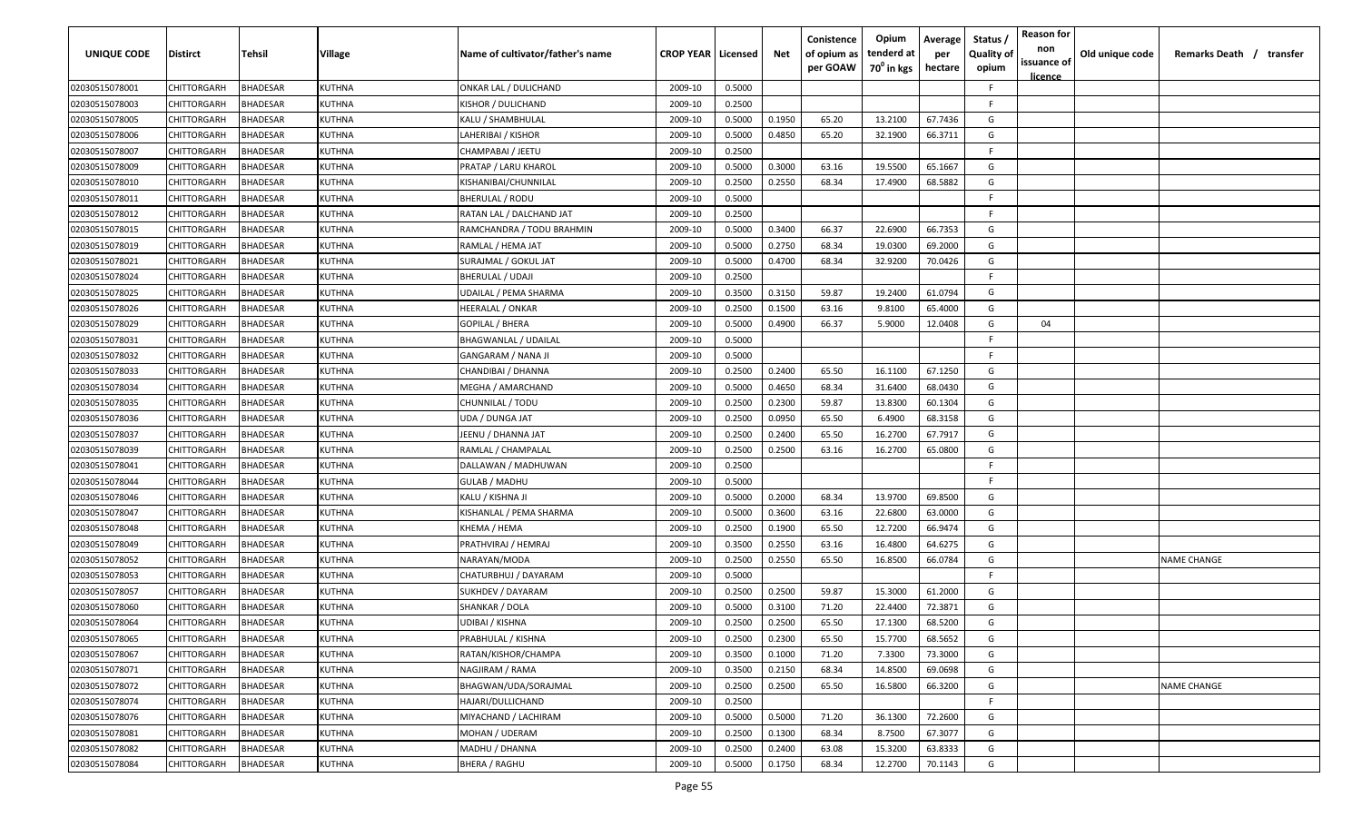| <b>UNIQUE CODE</b> | <b>Distirct</b>    | <b>Tehsil</b>   | Village       | Name of cultivator/father's name | <b>CROP YEAR Licensed</b> |        | Net    | Conistence<br>of opium as | Opium<br>tenderd at    | Average<br>per | Status /<br><b>Quality of</b> | <b>Reason for</b><br>non      | Old unique code | Remarks Death / transfer |
|--------------------|--------------------|-----------------|---------------|----------------------------------|---------------------------|--------|--------|---------------------------|------------------------|----------------|-------------------------------|-------------------------------|-----------------|--------------------------|
|                    |                    |                 |               |                                  |                           |        |        | per GOAW                  | 70 <sup>0</sup> in kgs | hectare        | opium                         | issuance of<br><u>licence</u> |                 |                          |
| 02030515078001     | CHITTORGARH        | BHADESAR        | KUTHNA        | ONKAR LAL / DULICHAND            | 2009-10                   | 0.5000 |        |                           |                        |                | F.                            |                               |                 |                          |
| 02030515078003     | CHITTORGARH        | <b>BHADESAR</b> | KUTHNA        | KISHOR / DULICHAND               | 2009-10                   | 0.2500 |        |                           |                        |                | F.                            |                               |                 |                          |
| 02030515078005     | CHITTORGARH        | <b>BHADESAR</b> | KUTHNA        | KALU / SHAMBHULAL                | 2009-10                   | 0.5000 | 0.1950 | 65.20                     | 13.2100                | 67.7436        | G                             |                               |                 |                          |
| 02030515078006     | CHITTORGARH        | <b>BHADESAR</b> | KUTHNA        | LAHERIBAI / KISHOR               | 2009-10                   | 0.5000 | 0.4850 | 65.20                     | 32.1900                | 66.3711        | G                             |                               |                 |                          |
| 02030515078007     | CHITTORGARH        | <b>BHADESAR</b> | KUTHNA        | CHAMPABAI / JEETU                | 2009-10                   | 0.2500 |        |                           |                        |                | F                             |                               |                 |                          |
| 02030515078009     | CHITTORGARH        | BHADESAR        | KUTHNA        | PRATAP / LARU KHAROL             | 2009-10                   | 0.5000 | 0.3000 | 63.16                     | 19.5500                | 65.1667        | G                             |                               |                 |                          |
| 02030515078010     | CHITTORGARH        | BHADESAR        | KUTHNA        | KISHANIBAI/CHUNNILAL             | 2009-10                   | 0.2500 | 0.2550 | 68.34                     | 17.4900                | 68.5882        | G                             |                               |                 |                          |
| 02030515078011     | CHITTORGARH        | BHADESAR        | KUTHNA        | <b>BHERULAL / RODU</b>           | 2009-10                   | 0.5000 |        |                           |                        |                | F.                            |                               |                 |                          |
| 02030515078012     | CHITTORGARH        | BHADESAR        | KUTHNA        | RATAN LAL / DALCHAND JAT         | 2009-10                   | 0.2500 |        |                           |                        |                | F.                            |                               |                 |                          |
| 02030515078015     | CHITTORGARH        | BHADESAR        | KUTHNA        | RAMCHANDRA / TODU BRAHMIN        | 2009-10                   | 0.5000 | 0.3400 | 66.37                     | 22.6900                | 66.7353        | G                             |                               |                 |                          |
| 02030515078019     | CHITTORGARH        | BHADESAR        | KUTHNA        | RAMLAL / HEMA JAT                | 2009-10                   | 0.5000 | 0.2750 | 68.34                     | 19.0300                | 69.2000        | G                             |                               |                 |                          |
| 02030515078021     | CHITTORGARH        | BHADESAR        | KUTHNA        | SURAJMAL / GOKUL JAT             | 2009-10                   | 0.5000 | 0.4700 | 68.34                     | 32.9200                | 70.0426        | G                             |                               |                 |                          |
| 02030515078024     | CHITTORGARH        | BHADESAR        | KUTHNA        | BHERULAL / UDAJI                 | 2009-10                   | 0.2500 |        |                           |                        |                | F                             |                               |                 |                          |
| 02030515078025     | CHITTORGARH        | BHADESAR        | KUTHNA        | UDAILAL / PEMA SHARMA            | 2009-10                   | 0.3500 | 0.3150 | 59.87                     | 19.2400                | 61.0794        | G                             |                               |                 |                          |
| 02030515078026     | CHITTORGARH        | <b>BHADESAR</b> | KUTHNA        | HEERALAL / ONKAR                 | 2009-10                   | 0.2500 | 0.1500 | 63.16                     | 9.8100                 | 65.4000        | G                             |                               |                 |                          |
| 02030515078029     | CHITTORGARH        | <b>BHADESAR</b> | KUTHNA        | <b>GOPILAL / BHERA</b>           | 2009-10                   | 0.5000 | 0.4900 | 66.37                     | 5.9000                 | 12.0408        | G                             | 04                            |                 |                          |
| 02030515078031     | CHITTORGARH        | BHADESAR        | KUTHNA        | <b>BHAGWANLAL / UDAILAL</b>      | 2009-10                   | 0.5000 |        |                           |                        |                | F.                            |                               |                 |                          |
| 02030515078032     | CHITTORGARH        | BHADESAR        | KUTHNA        | <b>GANGARAM / NANA JI</b>        | 2009-10                   | 0.5000 |        |                           |                        |                | -F.                           |                               |                 |                          |
| 02030515078033     | CHITTORGARH        | BHADESAR        | KUTHNA        | CHANDIBAI / DHANNA               | 2009-10                   | 0.2500 | 0.2400 | 65.50                     | 16.1100                | 67.1250        | G                             |                               |                 |                          |
| 02030515078034     | CHITTORGARH        | BHADESAR        | KUTHNA        | MEGHA / AMARCHAND                | 2009-10                   | 0.5000 | 0.4650 | 68.34                     | 31.6400                | 68.0430        | G                             |                               |                 |                          |
| 02030515078035     | CHITTORGARH        | BHADESAR        | KUTHNA        | CHUNNILAL / TODU                 | 2009-10                   | 0.2500 | 0.2300 | 59.87                     | 13.8300                | 60.1304        | G                             |                               |                 |                          |
| 02030515078036     | CHITTORGARH        | BHADESAR        | KUTHNA        | UDA / DUNGA JAT                  | 2009-10                   | 0.2500 | 0.0950 | 65.50                     | 6.4900                 | 68.3158        | G                             |                               |                 |                          |
| 02030515078037     | CHITTORGARH        | BHADESAR        | KUTHNA        | JEENU / DHANNA JAT               | 2009-10                   | 0.2500 | 0.2400 | 65.50                     | 16.2700                | 67.7917        | G                             |                               |                 |                          |
| 02030515078039     | CHITTORGARH        | BHADESAR        | KUTHNA        | RAMLAL / CHAMPALAL               | 2009-10                   | 0.2500 | 0.2500 | 63.16                     | 16.2700                | 65.0800        | G                             |                               |                 |                          |
| 02030515078041     | CHITTORGARH        | BHADESAR        | KUTHNA        | DALLAWAN / MADHUWAN              | 2009-10                   | 0.2500 |        |                           |                        |                | -F                            |                               |                 |                          |
| 02030515078044     | CHITTORGARH        | BHADESAR        | KUTHNA        | GULAB / MADHU                    | 2009-10                   | 0.5000 |        |                           |                        |                | F.                            |                               |                 |                          |
| 02030515078046     | CHITTORGARH        | BHADESAR        | KUTHNA        | KALU / KISHNA JI                 | 2009-10                   | 0.5000 | 0.2000 | 68.34                     | 13.9700                | 69.8500        | G                             |                               |                 |                          |
| 02030515078047     | CHITTORGARH        | BHADESAR        | KUTHNA        | KISHANLAL / PEMA SHARMA          | 2009-10                   | 0.5000 | 0.3600 | 63.16                     | 22.6800                | 63.0000        | G                             |                               |                 |                          |
| 02030515078048     | CHITTORGARH        | BHADESAR        | KUTHNA        | KHEMA / HEMA                     | 2009-10                   | 0.2500 | 0.1900 | 65.50                     | 12.7200                | 66.9474        | G                             |                               |                 |                          |
| 02030515078049     | CHITTORGARH        | BHADESAR        | KUTHNA        | PRATHVIRAJ / HEMRAJ              | 2009-10                   | 0.3500 | 0.2550 | 63.16                     | 16.4800                | 64.6275        | G                             |                               |                 |                          |
| 02030515078052     | CHITTORGARH        | BHADESAR        | KUTHNA        | NARAYAN/MODA                     | 2009-10                   | 0.2500 | 0.2550 | 65.50                     | 16.8500                | 66.0784        | G                             |                               |                 | <b>NAME CHANGE</b>       |
| 02030515078053     | CHITTORGARH        | BHADESAR        | <b>KUTHNA</b> | CHATURBHUJ / DAYARAM             | 2009-10                   | 0.5000 |        |                           |                        |                | F                             |                               |                 |                          |
| 02030515078057     | CHITTORGARH        | BHADESAR        | KUTHNA        | SUKHDEV / DAYARAM                | 2009-10                   | 0.2500 | 0.2500 | 59.87                     | 15.3000                | 61.2000        | G                             |                               |                 |                          |
| 02030515078060     | CHITTORGARH        | BHADESAR        | KUTHNA        | SHANKAR / DOLA                   | 2009-10                   | 0.5000 | 0.3100 | 71.20                     | 22.4400                | 72.3871        | G                             |                               |                 |                          |
| 02030515078064     | CHITTORGARH        | BHADESAR        | KUTHNA        | UDIBAI / KISHNA                  | 2009-10                   | 0.2500 | 0.2500 | 65.50                     | 17.1300                | 68.5200        | G                             |                               |                 |                          |
| 02030515078065     | <b>CHITTORGARH</b> | <b>BHADESAR</b> | KUTHNA        | PRABHULAL / KISHNA               | 2009-10                   | 0.2500 | 0.2300 | 65.50                     | 15.7700                | 68.5652        | G                             |                               |                 |                          |
| 02030515078067     | <b>CHITTORGARH</b> | <b>BHADESAR</b> | KUTHNA        | RATAN/KISHOR/CHAMPA              | 2009-10                   | 0.3500 | 0.1000 | 71.20                     | 7.3300                 | 73.3000        | G                             |                               |                 |                          |
| 02030515078071     | CHITTORGARH        | <b>BHADESAR</b> | KUTHNA        | NAGJIRAM / RAMA                  | 2009-10                   | 0.3500 | 0.2150 | 68.34                     | 14.8500                | 69.0698        | G                             |                               |                 |                          |
| 02030515078072     | <b>CHITTORGARH</b> | <b>BHADESAR</b> | KUTHNA        | BHAGWAN/UDA/SORAJMAL             | 2009-10                   | 0.2500 | 0.2500 | 65.50                     | 16.5800                | 66.3200        | G                             |                               |                 | <b>NAME CHANGE</b>       |
| 02030515078074     | CHITTORGARH        | <b>BHADESAR</b> | KUTHNA        | HAJARI/DULLICHAND                | 2009-10                   | 0.2500 |        |                           |                        |                | F.                            |                               |                 |                          |
| 02030515078076     | <b>CHITTORGARH</b> | <b>BHADESAR</b> | KUTHNA        | MIYACHAND / LACHIRAM             | 2009-10                   | 0.5000 | 0.5000 | 71.20                     | 36.1300                | 72.2600        | G                             |                               |                 |                          |
| 02030515078081     | CHITTORGARH        | <b>BHADESAR</b> | KUTHNA        | MOHAN / UDERAM                   | 2009-10                   | 0.2500 | 0.1300 | 68.34                     | 8.7500                 | 67.3077        | G                             |                               |                 |                          |
| 02030515078082     | CHITTORGARH        | BHADESAR        | KUTHNA        | MADHU / DHANNA                   | 2009-10                   | 0.2500 | 0.2400 | 63.08                     | 15.3200                | 63.8333        | G                             |                               |                 |                          |
| 02030515078084     | CHITTORGARH        | <b>BHADESAR</b> | KUTHNA        | <b>BHERA / RAGHU</b>             | 2009-10                   | 0.5000 | 0.1750 | 68.34                     | 12.2700                | 70.1143        | G                             |                               |                 |                          |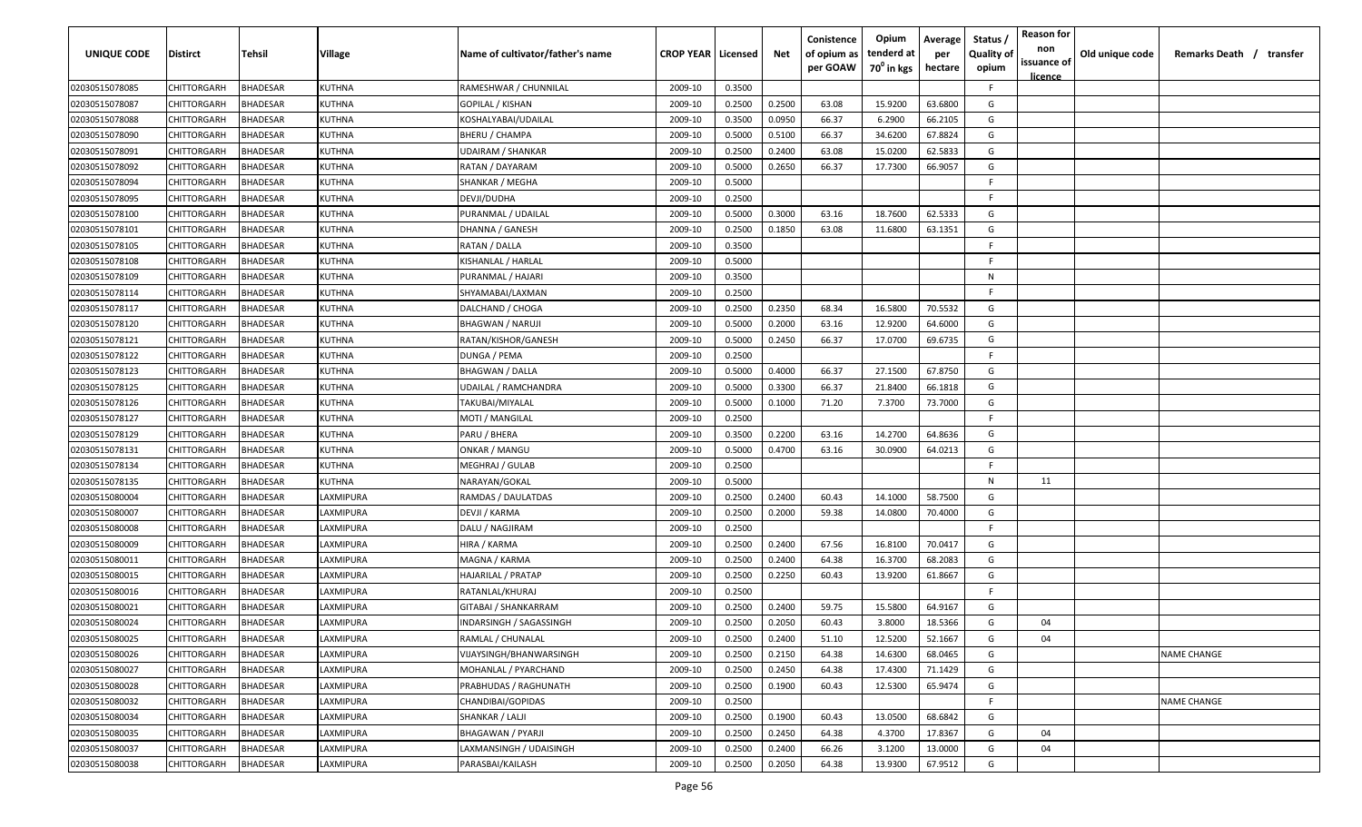| <b>UNIQUE CODE</b> | Distirct           | Tehsil          | Village       | Name of cultivator/father's name | <b>CROP YEAR Licensed</b> |        | Net    | Conistence<br>of opium as | Opium<br>tenderd at    | Average<br>per | Status /<br><b>Quality of</b> | <b>Reason for</b><br>non      | Old unique code | Remarks Death / transfer |
|--------------------|--------------------|-----------------|---------------|----------------------------------|---------------------------|--------|--------|---------------------------|------------------------|----------------|-------------------------------|-------------------------------|-----------------|--------------------------|
|                    |                    |                 |               |                                  |                           |        |        | per GOAW                  | 70 <sup>0</sup> in kgs | hectare        | opium                         | issuance of<br><u>licence</u> |                 |                          |
| 02030515078085     | CHITTORGARH        | <b>BHADESAR</b> | <b>KUTHNA</b> | RAMESHWAR / CHUNNILAL            | 2009-10                   | 0.3500 |        |                           |                        |                | F.                            |                               |                 |                          |
| 02030515078087     | CHITTORGARH        | BHADESAR        | KUTHNA        | GOPILAL / KISHAN                 | 2009-10                   | 0.2500 | 0.2500 | 63.08                     | 15.9200                | 63.6800        | G                             |                               |                 |                          |
| 02030515078088     | CHITTORGARH        | BHADESAR        | KUTHNA        | KOSHALYABAI/UDAILAL              | 2009-10                   | 0.3500 | 0.0950 | 66.37                     | 6.2900                 | 66.2105        | G                             |                               |                 |                          |
| 02030515078090     | CHITTORGARH        | <b>BHADESAR</b> | KUTHNA        | BHERU / CHAMPA                   | 2009-10                   | 0.5000 | 0.5100 | 66.37                     | 34.6200                | 67.8824        | G                             |                               |                 |                          |
| 02030515078091     | CHITTORGARH        | BHADESAR        | KUTHNA        | <b>UDAIRAM / SHANKAR</b>         | 2009-10                   | 0.2500 | 0.2400 | 63.08                     | 15.0200                | 62.5833        | G                             |                               |                 |                          |
| 02030515078092     | CHITTORGARH        | <b>BHADESAR</b> | KUTHNA        | RATAN / DAYARAM                  | 2009-10                   | 0.5000 | 0.2650 | 66.37                     | 17.7300                | 66.9057        | G                             |                               |                 |                          |
| 02030515078094     | CHITTORGARH        | <b>BHADESAR</b> | KUTHNA        | SHANKAR / MEGHA                  | 2009-10                   | 0.5000 |        |                           |                        |                | -F                            |                               |                 |                          |
| 02030515078095     | CHITTORGARH        | BHADESAR        | KUTHNA        | DEVJI/DUDHA                      | 2009-10                   | 0.2500 |        |                           |                        |                | -F.                           |                               |                 |                          |
| 02030515078100     | CHITTORGARH        | BHADESAR        | KUTHNA        | PURANMAL / UDAILAL               | 2009-10                   | 0.5000 | 0.3000 | 63.16                     | 18.7600                | 62.5333        | G                             |                               |                 |                          |
| 02030515078101     | CHITTORGARH        | BHADESAR        | KUTHNA        | DHANNA / GANESH                  | 2009-10                   | 0.2500 | 0.1850 | 63.08                     | 11.6800                | 63.1351        | G                             |                               |                 |                          |
| 02030515078105     | CHITTORGARH        | BHADESAR        | KUTHNA        | RATAN / DALLA                    | 2009-10                   | 0.3500 |        |                           |                        |                | -F.                           |                               |                 |                          |
| 02030515078108     | CHITTORGARH        | BHADESAR        | KUTHNA        | KISHANLAL / HARLAL               | 2009-10                   | 0.5000 |        |                           |                        |                | F.                            |                               |                 |                          |
| 02030515078109     | CHITTORGARH        | BHADESAR        | KUTHNA        | PURANMAL / HAJARI                | 2009-10                   | 0.3500 |        |                           |                        |                | N                             |                               |                 |                          |
| 02030515078114     | CHITTORGARH        | <b>BHADESAR</b> | KUTHNA        | SHYAMABAI/LAXMAN                 | 2009-10                   | 0.2500 |        |                           |                        |                | F.                            |                               |                 |                          |
| 02030515078117     | CHITTORGARH        | BHADESAR        | KUTHNA        | DALCHAND / CHOGA                 | 2009-10                   | 0.2500 | 0.2350 | 68.34                     | 16.5800                | 70.5532        | G                             |                               |                 |                          |
| 02030515078120     | CHITTORGARH        | <b>BHADESAR</b> | KUTHNA        | <b>BHAGWAN / NARUJI</b>          | 2009-10                   | 0.5000 | 0.2000 | 63.16                     | 12.9200                | 64.6000        | G                             |                               |                 |                          |
| 02030515078121     | CHITTORGARH        | BHADESAR        | KUTHNA        | RATAN/KISHOR/GANESH              | 2009-10                   | 0.5000 | 0.2450 | 66.37                     | 17.0700                | 69.6735        | G                             |                               |                 |                          |
| 02030515078122     | CHITTORGARH        | BHADESAR        | <b>KUTHNA</b> | DUNGA / PEMA                     | 2009-10                   | 0.2500 |        |                           |                        |                | F.                            |                               |                 |                          |
| 02030515078123     | CHITTORGARH        | BHADESAR        | KUTHNA        | <b>BHAGWAN / DALLA</b>           | 2009-10                   | 0.5000 | 0.4000 | 66.37                     | 27.1500                | 67.8750        | G                             |                               |                 |                          |
| 02030515078125     | CHITTORGARH        | BHADESAR        | KUTHNA        | UDAILAL / RAMCHANDRA             | 2009-10                   | 0.5000 | 0.3300 | 66.37                     | 21.8400                | 66.1818        | G                             |                               |                 |                          |
| 02030515078126     | CHITTORGARH        | <b>BHADESAR</b> | KUTHNA        | TAKUBAI/MIYALAL                  | 2009-10                   | 0.5000 | 0.1000 | 71.20                     | 7.3700                 | 73.7000        | G                             |                               |                 |                          |
| 02030515078127     | CHITTORGARH        | <b>BHADESAR</b> | KUTHNA        | MOTI / MANGILAL                  | 2009-10                   | 0.2500 |        |                           |                        |                | -F                            |                               |                 |                          |
| 02030515078129     | CHITTORGARH        | <b>BHADESAR</b> | KUTHNA        | PARU / BHERA                     | 2009-10                   | 0.3500 | 0.2200 | 63.16                     | 14.2700                | 64.8636        | G                             |                               |                 |                          |
| 02030515078131     | CHITTORGARH        | <b>BHADESAR</b> | KUTHNA        | ONKAR / MANGU                    | 2009-10                   | 0.5000 | 0.4700 | 63.16                     | 30.0900                | 64.0213        | G                             |                               |                 |                          |
| 02030515078134     | CHITTORGARH        | BHADESAR        | KUTHNA        | <b>MEGHRAJ / GULAB</b>           | 2009-10                   | 0.2500 |        |                           |                        |                | -F                            |                               |                 |                          |
| 02030515078135     | CHITTORGARH        | BHADESAR        | KUTHNA        | NARAYAN/GOKAL                    | 2009-10                   | 0.5000 |        |                           |                        |                | N                             | 11                            |                 |                          |
| 02030515080004     | CHITTORGARH        | BHADESAR        | LAXMIPURA     | RAMDAS / DAULATDAS               | 2009-10                   | 0.2500 | 0.2400 | 60.43                     | 14.1000                | 58.7500        | G                             |                               |                 |                          |
| 02030515080007     | CHITTORGARH        | BHADESAR        | AXMIPURA      | DEVJI / KARMA                    | 2009-10                   | 0.2500 | 0.2000 | 59.38                     | 14.0800                | 70.4000        | G                             |                               |                 |                          |
| 02030515080008     | CHITTORGARH        | BHADESAR        | AXMIPURA      | DALU / NAGJIRAM                  | 2009-10                   | 0.2500 |        |                           |                        |                | -F.                           |                               |                 |                          |
| 02030515080009     | CHITTORGARH        | BHADESAR        | LAXMIPURA     | HIRA / KARMA                     | 2009-10                   | 0.2500 | 0.2400 | 67.56                     | 16.8100                | 70.0417        | G                             |                               |                 |                          |
| 02030515080011     | CHITTORGARH        | BHADESAR        | LAXMIPURA     | MAGNA / KARMA                    | 2009-10                   | 0.2500 | 0.2400 | 64.38                     | 16.3700                | 68.2083        | G                             |                               |                 |                          |
| 02030515080015     | CHITTORGARH        | BHADESAR        | LAXMIPURA     | HAJARILAL / PRATAP               | 2009-10                   | 0.2500 | 0.2250 | 60.43                     | 13.9200                | 61.8667        | G                             |                               |                 |                          |
| 02030515080016     | CHITTORGARH        | BHADESAR        | LAXMIPURA     | RATANLAL/KHURAJ                  | 2009-10                   | 0.2500 |        |                           |                        |                | -F                            |                               |                 |                          |
| 02030515080021     | CHITTORGARH        | BHADESAR        | LAXMIPURA     | GITABAI / SHANKARRAM             | 2009-10                   | 0.2500 | 0.2400 | 59.75                     | 15.5800                | 64.9167        | G                             |                               |                 |                          |
| 02030515080024     | CHITTORGARH        | BHADESAR        | LAXMIPURA     | INDARSINGH / SAGASSINGH          | 2009-10                   | 0.2500 | 0.2050 | 60.43                     | 3.8000                 | 18.5366        | G                             | 04                            |                 |                          |
| 02030515080025     | <b>CHITTORGARH</b> | <b>BHADESAR</b> | LAXMIPURA     | RAMLAL / CHUNALAL                | 2009-10                   | 0.2500 | 0.2400 | 51.10                     | 12.5200                | 52.1667        | G                             | 04                            |                 |                          |
| 02030515080026     | CHITTORGARH        | <b>BHADESAR</b> | LAXMIPURA     | VIJAYSINGH/BHANWARSINGH          | 2009-10                   | 0.2500 | 0.2150 | 64.38                     | 14.6300                | 68.0465        | G                             |                               |                 | <b>NAME CHANGE</b>       |
| 02030515080027     | CHITTORGARH        | <b>BHADESAR</b> | LAXMIPURA     | MOHANLAL / PYARCHAND             | 2009-10                   | 0.2500 | 0.2450 | 64.38                     | 17.4300                | 71.1429        | G                             |                               |                 |                          |
| 02030515080028     | <b>CHITTORGARH</b> | <b>BHADESAR</b> | LAXMIPURA     | PRABHUDAS / RAGHUNATH            | 2009-10                   | 0.2500 | 0.1900 | 60.43                     | 12.5300                | 65.9474        | G                             |                               |                 |                          |
| 02030515080032     | CHITTORGARH        | <b>BHADESAR</b> | LAXMIPURA     | CHANDIBAI/GOPIDAS                | 2009-10                   | 0.2500 |        |                           |                        |                | F.                            |                               |                 | <b>NAME CHANGE</b>       |
| 02030515080034     | <b>CHITTORGARH</b> | BHADESAR        | LAXMIPURA     | SHANKAR / LALJI                  | 2009-10                   | 0.2500 | 0.1900 | 60.43                     | 13.0500                | 68.6842        | G                             |                               |                 |                          |
| 02030515080035     | CHITTORGARH        | BHADESAR        | LAXMIPURA     | <b>BHAGAWAN / PYARJI</b>         | 2009-10                   | 0.2500 | 0.2450 | 64.38                     | 4.3700                 | 17.8367        | G                             | 04                            |                 |                          |
| 02030515080037     | CHITTORGARH        | BHADESAR        | LAXMIPURA     | LAXMANSINGH / UDAISINGH          | 2009-10                   | 0.2500 | 0.2400 | 66.26                     | 3.1200                 | 13.0000        | G                             | 04                            |                 |                          |
| 02030515080038     | <b>CHITTORGARH</b> | <b>BHADESAR</b> | LAXMIPURA     | PARASBAI/KAILASH                 | 2009-10                   | 0.2500 | 0.2050 | 64.38                     | 13.9300                | 67.9512        | G                             |                               |                 |                          |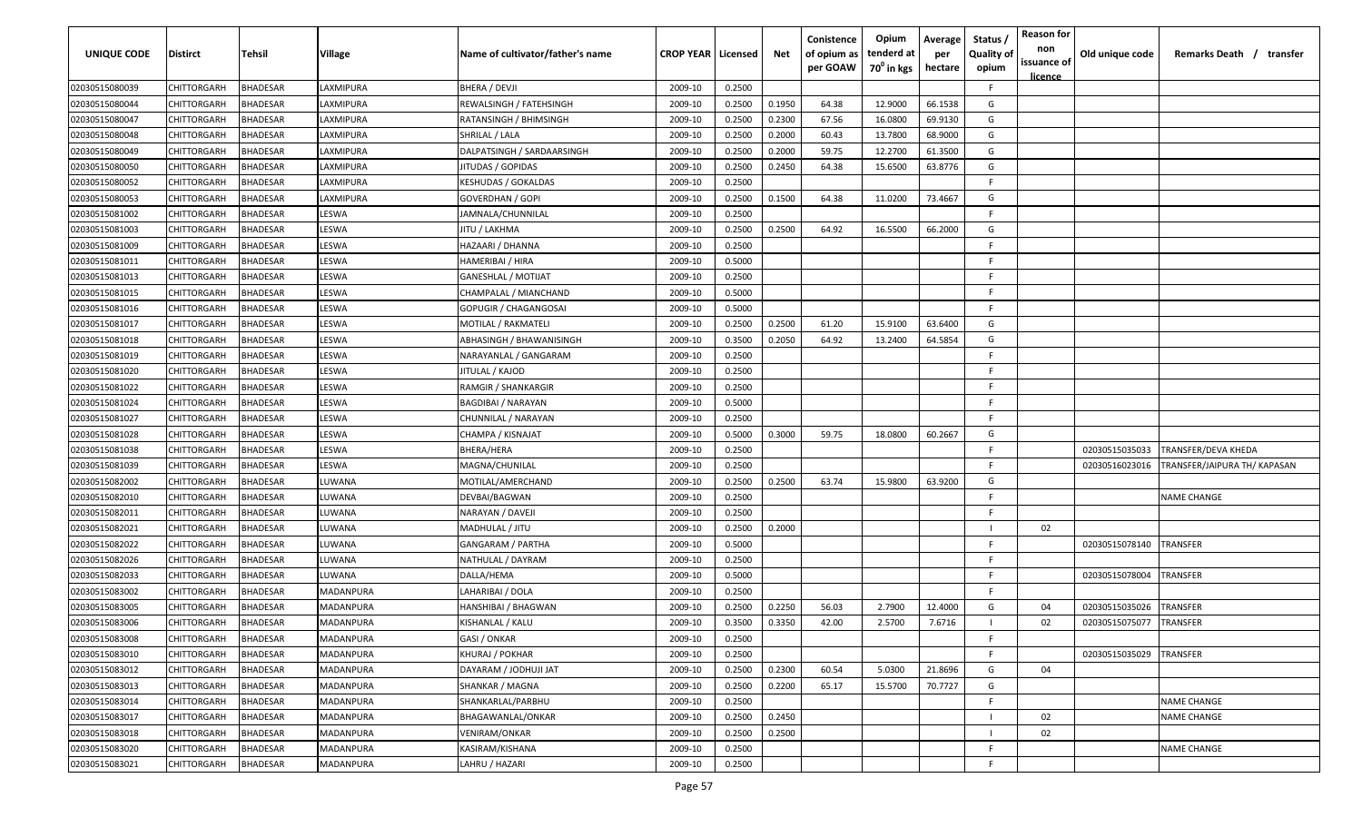| Conistence<br>Opium<br>Average<br><b>UNIQUE CODE</b><br>tenderd at<br>Distirct<br>Tehsil<br>Village<br>Name of cultivator/father's name<br><b>CROP YEAR Licensed</b><br>Net<br>of opium as<br>per<br>70 <sup>0</sup> in kgs<br>per GOAW<br>hectare | <b>Reason for</b><br>Status /<br>non<br><b>Quality of</b><br>issuance of<br>opium | Old unique code<br>Remarks Death / transfer    |
|----------------------------------------------------------------------------------------------------------------------------------------------------------------------------------------------------------------------------------------------------|-----------------------------------------------------------------------------------|------------------------------------------------|
|                                                                                                                                                                                                                                                    | <u>licence</u>                                                                    |                                                |
| 02030515080039<br>CHITTORGARH<br><b>BHADESAR</b><br>LAXMIPURA<br>BHERA / DEVJI<br>2009-10<br>0.2500                                                                                                                                                | F.                                                                                |                                                |
| 02030515080044<br>BHADESAR<br>0.1950<br>64.38<br>12.9000<br>66.1538<br>CHITTORGARH<br>LAXMIPURA<br>REWALSINGH / FATEHSINGH<br>2009-10<br>0.2500                                                                                                    | G                                                                                 |                                                |
| 02030515080047<br>CHITTORGARH<br>BHADESAR<br>2009-10<br>0.2500<br>0.2300<br>67.56<br>16.0800<br>69.9130<br>LAXMIPURA<br>RATANSINGH / BHIMSINGH                                                                                                     | G                                                                                 |                                                |
| BHADESAR<br>68.9000<br>02030515080048<br>CHITTORGARH<br>LAXMIPURA<br>SHRILAL / LALA<br>2009-10<br>0.2500<br>0.2000<br>60.43<br>13.7800                                                                                                             | G                                                                                 |                                                |
| 12.2700<br>02030515080049<br>CHITTORGARH<br>BHADESAR<br>LAXMIPURA<br>DALPATSINGH / SARDAARSINGH<br>2009-10<br>0.2500<br>0.2000<br>59.75<br>61.3500                                                                                                 | G                                                                                 |                                                |
| 02030515080050<br><b>BHADESAR</b><br>2009-10<br>0.2500<br>64.38<br>15.6500<br>63.8776<br>CHITTORGARH<br>LAXMIPURA<br>JITUDAS / GOPIDAS<br>0.2450                                                                                                   | G                                                                                 |                                                |
| 02030515080052<br>CHITTORGARH<br><b>BHADESAR</b><br>KESHUDAS / GOKALDAS<br>0.2500<br>LAXMIPURA<br>2009-10                                                                                                                                          | -F.                                                                               |                                                |
| 02030515080053<br>0.2500<br>0.1500<br>73.4667<br>CHITTORGARH<br>BHADESAR<br><b>AXMIPURA</b><br>GOVERDHAN / GOPI<br>2009-10<br>64.38<br>11.0200                                                                                                     | G                                                                                 |                                                |
| 02030515081002<br>CHITTORGARH<br>BHADESAR<br>JAMNALA/CHUNNILAL<br>2009-10<br>0.2500<br>LESWA                                                                                                                                                       | -F.                                                                               |                                                |
| 0.2500<br>64.92<br>16.5500<br>02030515081003<br>BHADESAR<br>LESWA<br>2009-10<br>0.2500<br>66.2000<br>CHITTORGARH<br>JITU / LAKHMA                                                                                                                  | G                                                                                 |                                                |
| CHITTORGARH<br>BHADESAR<br>LESWA<br>2009-10<br>0.2500<br>02030515081009<br>HAZAARI / DHANNA                                                                                                                                                        | -F.                                                                               |                                                |
| 02030515081011<br>CHITTORGARH<br>BHADESAR<br>LESWA<br>2009-10<br>0.5000<br>HAMERIBAI / HIRA                                                                                                                                                        | F.                                                                                |                                                |
| 02030515081013<br>CHITTORGARH<br>BHADESAR<br>LESWA<br>2009-10<br>0.2500<br><b>GANESHLAL / MOTIJAT</b>                                                                                                                                              | F.                                                                                |                                                |
| <b>BHADESAR</b><br>LESWA<br>0.5000<br>02030515081015<br>CHITTORGARH<br>2009-10<br>CHAMPALAL / MIANCHAND                                                                                                                                            | F.                                                                                |                                                |
| LESWA<br>0.5000<br>02030515081016<br>CHITTORGARH<br>BHADESAR<br>2009-10<br>GOPUGIR / CHAGANGOSAI                                                                                                                                                   | -F.                                                                               |                                                |
| CHITTORGARH<br><b>BHADESAR</b><br>LESWA<br>0.2500<br>0.2500<br>61.20<br>15.9100<br>63.6400<br>02030515081017<br>2009-10<br>MOTILAL / RAKMATELI                                                                                                     | G                                                                                 |                                                |
| 64.5854<br>02030515081018<br>CHITTORGARH<br>BHADESAR<br>LESWA<br>ABHASINGH / BHAWANISINGH<br>2009-10<br>0.3500<br>0.2050<br>64.92<br>13.2400                                                                                                       | G                                                                                 |                                                |
| 02030515081019<br>CHITTORGARH<br>BHADESAR<br>LESWA<br>2009-10<br>0.2500<br>NARAYANLAL / GANGARAM                                                                                                                                                   | -F.                                                                               |                                                |
| CHITTORGARH<br>BHADESAR<br>LESWA<br>02030515081020<br>JITULAL / KAJOD<br>2009-10<br>0.2500                                                                                                                                                         | -F.                                                                               |                                                |
| <b>BHADESAR</b><br>02030515081022<br>CHITTORGARH<br>LESWA<br>RAMGIR / SHANKARGIR<br>2009-10<br>0.2500                                                                                                                                              | -F.                                                                               |                                                |
| 02030515081024<br>CHITTORGARH<br><b>BHADESAR</b><br>LESWA<br><b>BAGDIBAI / NARAYAN</b><br>2009-10<br>0.5000                                                                                                                                        | -F                                                                                |                                                |
| 02030515081027<br>CHITTORGARH<br><b>BHADESAR</b><br>LESWA<br>2009-10<br>0.2500<br>CHUNNILAL / NARAYAN                                                                                                                                              | -F                                                                                |                                                |
| 02030515081028<br>CHITTORGARH<br><b>BHADESAR</b><br>LESWA<br>0.5000<br>CHAMPA / KISNAJAT<br>2009-10<br>0.3000<br>59.75<br>18.0800<br>60.2667                                                                                                       | G                                                                                 |                                                |
| 02030515081038<br>CHITTORGARH<br><b>BHADESAR</b><br>LESWA<br>0.2500<br>BHERA/HERA<br>2009-10                                                                                                                                                       | -F.                                                                               | 02030515035033<br>TRANSFER/DEVA KHEDA          |
| 02030515081039<br>CHITTORGARH<br>BHADESAR<br>LESWA<br>MAGNA/CHUNILAL<br>2009-10<br>0.2500                                                                                                                                                          | -F                                                                                | 02030516023016<br>TRANSFER/JAIPURA TH/ KAPASAN |
| 02030515082002<br>CHITTORGARH<br>BHADESAR<br>LUWANA<br>2009-10<br>0.2500<br>0.2500<br>63.74<br>15.9800<br>63.9200<br>MOTILAL/AMERCHAND                                                                                                             | G                                                                                 |                                                |
| BHADESAR<br>0.2500<br>02030515082010<br>CHITTORGARH<br>LUWANA<br>DEVBAI/BAGWAN<br>2009-10                                                                                                                                                          | F.                                                                                | NAME CHANGE                                    |
| 02030515082011<br>BHADESAR<br>0.2500<br>CHITTORGARH<br>LUWANA<br>NARAYAN / DAVEJI<br>2009-10                                                                                                                                                       | -F.                                                                               |                                                |
| 02030515082021<br>CHITTORGARH<br>BHADESAR<br>2009-10<br>0.2500<br>0.2000<br>UWANA.<br>MADHULAL / JITU                                                                                                                                              | 02                                                                                |                                                |
| 02030515082022<br>CHITTORGARH<br>BHADESAR<br>2009-10<br>0.5000<br>LUWANA<br><b>GANGARAM / PARTHA</b>                                                                                                                                               | -F.                                                                               | 02030515078140<br>TRANSFER                     |
| 0.2500<br>02030515082026<br>CHITTORGARH<br>BHADESAR<br>2009-10<br>LUWANA<br>NATHULAL / DAYRAM                                                                                                                                                      | F.                                                                                |                                                |
| 02030515082033<br>CHITTORGARH<br>BHADESAR<br>DALLA/HEMA<br>2009-10<br>0.5000<br>LUWANA                                                                                                                                                             | -F.                                                                               | 02030515078004<br>TRANSFER                     |
| 02030515083002<br>CHITTORGARH<br>BHADESAR<br>MADANPURA<br>LAHARIBAI / DOLA<br>2009-10<br>0.2500                                                                                                                                                    | -F                                                                                |                                                |
| 02030515083005<br>BHADESAR<br>MADANPURA<br>2009-10<br>0.2500<br>0.2250<br>2.7900<br>12.4000<br>CHITTORGARH<br>HANSHIBAI / BHAGWAN<br>56.03                                                                                                         | G<br>04                                                                           | 02030515035026<br>TRANSFER                     |
| 02030515083006<br>BHADESAR<br>2009-10<br>0.3500<br>0.3350<br>42.00<br>2.5700<br>7.6716<br><b>CHITTORGARH</b><br>MADANPURA<br>KISHANLAL / KALU                                                                                                      | 02                                                                                | 02030515075077<br>TRANSFER                     |
| 02030515083008<br>CHITTORGARH<br><b>BHADESAR</b><br>MADANPURA<br>GASI / ONKAR<br>0.2500<br>2009-10                                                                                                                                                 | F.                                                                                |                                                |
| 02030515083010<br>CHITTORGARH<br><b>BHADESAR</b><br>MADANPURA<br><b>KHURAJ / POKHAR</b><br>0.2500<br>2009-10                                                                                                                                       | F.                                                                                | 02030515035029<br><b>TRANSFER</b>              |
| 02030515083012<br><b>CHITTORGARH</b><br><b>BHADESAR</b><br>MADANPURA<br>DAYARAM / JODHUJI JAT<br>0.2500<br>0.2300<br>60.54<br>5.0300<br>21.8696<br>2009-10                                                                                         | G<br>04                                                                           |                                                |
| 02030515083013<br><b>BHADESAR</b><br>2009-10<br>0.2500<br>0.2200<br>65.17<br>15.5700<br>70.7727<br>CHITTORGARH<br>MADANPURA<br>SHANKAR / MAGNA                                                                                                     | G                                                                                 |                                                |
| 02030515083014<br><b>BHADESAR</b><br>0.2500<br>CHITTORGARH<br>MADANPURA<br>SHANKARLAL/PARBHU<br>2009-10                                                                                                                                            | -F                                                                                | NAME CHANGE                                    |
| 02030515083017<br>CHITTORGARH<br><b>BHADESAR</b><br>BHAGAWANLAL/ONKAR<br>0.2500<br>0.2450<br><b>MADANPURA</b><br>2009-10                                                                                                                           | 02                                                                                | <b>NAME CHANGE</b>                             |
| 0.2500<br>02030515083018<br>CHITTORGARH<br>BHADESAR<br>MADANPURA<br>VENIRAM/ONKAR<br>2009-10<br>0.2500                                                                                                                                             | 02                                                                                |                                                |
| 02030515083020<br>BHADESAR<br>KASIRAM/KISHANA<br>2009-10<br>0.2500<br>CHITTORGARH<br>MADANPURA                                                                                                                                                     | F                                                                                 | <b>NAME CHANGE</b>                             |
| 02030515083021<br>0.2500<br>CHITTORGARH<br><b>BHADESAR</b><br>MADANPURA<br>LAHRU / HAZARI<br>2009-10                                                                                                                                               | F                                                                                 |                                                |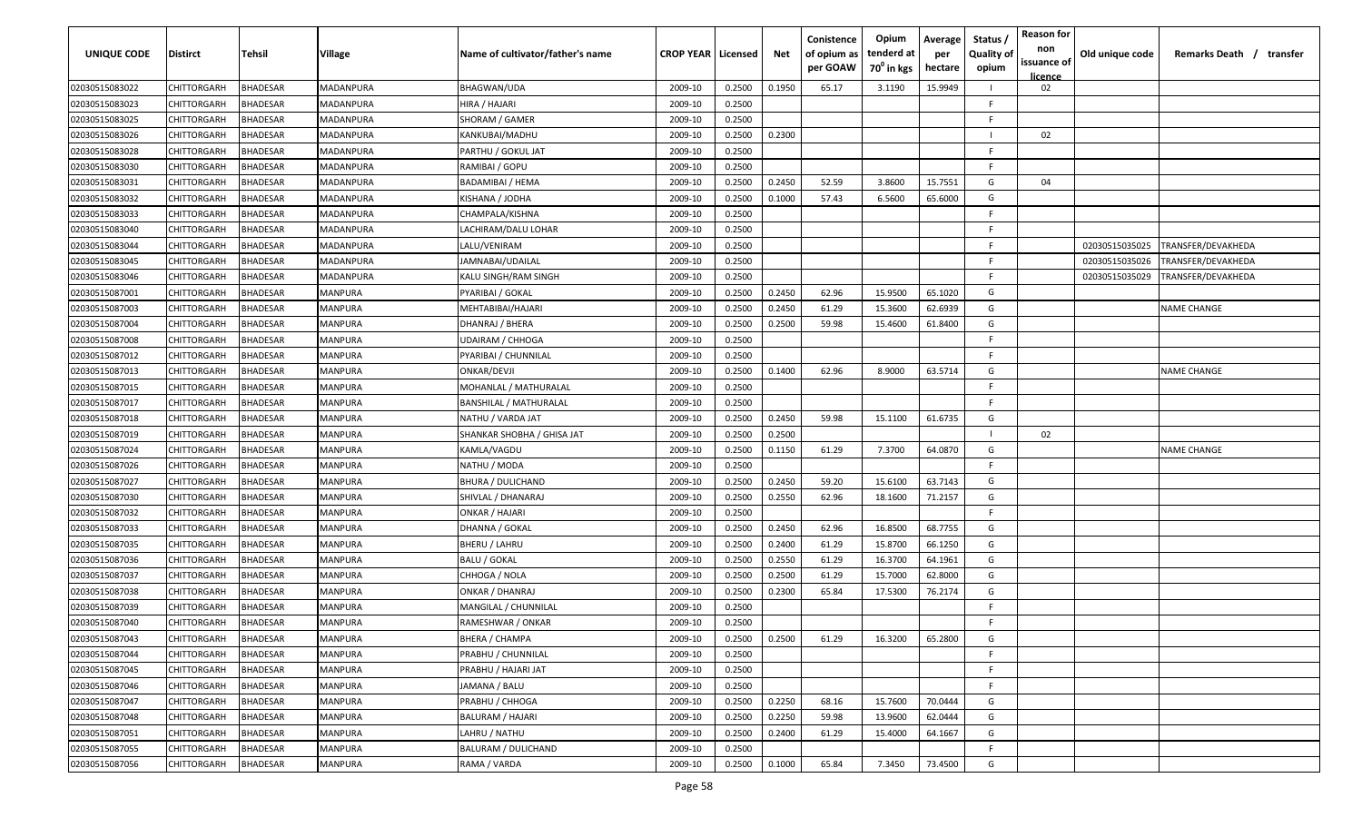| <b>UNIQUE CODE</b> | Distirct           | Tehsil          | Village   | Name of cultivator/father's name | <b>CROP YEAR   Licensed</b> |        | Net    | Conistence<br>of opium as<br>per GOAW | Opium<br>tenderd at<br>70 <sup>0</sup> in kgs | Average<br>per<br>hectare | Status /<br><b>Quality of</b><br>opium | <b>Reason for</b><br>non<br>issuance of<br><u>licence</u> | Old unique code | Remarks Death / transfer |
|--------------------|--------------------|-----------------|-----------|----------------------------------|-----------------------------|--------|--------|---------------------------------------|-----------------------------------------------|---------------------------|----------------------------------------|-----------------------------------------------------------|-----------------|--------------------------|
| 02030515083022     | CHITTORGARH        | <b>BHADESAR</b> | MADANPURA | <b>BHAGWAN/UDA</b>               | 2009-10                     | 0.2500 | 0.1950 | 65.17                                 | 3.1190                                        | 15.9949                   |                                        | 02                                                        |                 |                          |
| 02030515083023     | CHITTORGARH        | BHADESAR        | MADANPURA | HIRA / HAJARI                    | 2009-10                     | 0.2500 |        |                                       |                                               |                           | -F.                                    |                                                           |                 |                          |
| 02030515083025     | CHITTORGARH        | BHADESAR        | MADANPURA | SHORAM / GAMER                   | 2009-10                     | 0.2500 |        |                                       |                                               |                           | -F.                                    |                                                           |                 |                          |
| 02030515083026     | CHITTORGARH        | <b>BHADESAR</b> | MADANPURA | KANKUBAI/MADHU                   | 2009-10                     | 0.2500 | 0.2300 |                                       |                                               |                           |                                        | 02                                                        |                 |                          |
| 02030515083028     | CHITTORGARH        | BHADESAR        | MADANPURA | PARTHU / GOKUL JAT               | 2009-10                     | 0.2500 |        |                                       |                                               |                           | -F.                                    |                                                           |                 |                          |
| 02030515083030     | CHITTORGARH        | <b>BHADESAR</b> | MADANPURA | RAMIBAI / GOPU                   | 2009-10                     | 0.2500 |        |                                       |                                               |                           | -F.                                    |                                                           |                 |                          |
| 02030515083031     | CHITTORGARH        | <b>BHADESAR</b> | MADANPURA | BADAMIBAI / HEMA                 | 2009-10                     | 0.2500 | 0.2450 | 52.59                                 | 3.8600                                        | 15.7551                   | G                                      | 04                                                        |                 |                          |
| 02030515083032     | CHITTORGARH        | BHADESAR        | MADANPURA | KISHANA / JODHA                  | 2009-10                     | 0.2500 | 0.1000 | 57.43                                 | 6.5600                                        | 65.6000                   | G                                      |                                                           |                 |                          |
| 02030515083033     | CHITTORGARH        | BHADESAR        | MADANPURA | CHAMPALA/KISHNA                  | 2009-10                     | 0.2500 |        |                                       |                                               |                           | -F.                                    |                                                           |                 |                          |
| 02030515083040     | CHITTORGARH        | BHADESAR        | MADANPURA | LACHIRAM/DALU LOHAR              | 2009-10                     | 0.2500 |        |                                       |                                               |                           | F.                                     |                                                           |                 |                          |
| 02030515083044     | CHITTORGARH        | BHADESAR        | MADANPURA | LALU/VENIRAM                     | 2009-10                     | 0.2500 |        |                                       |                                               |                           | F.                                     |                                                           | 02030515035025  | TRANSFER/DEVAKHEDA       |
| 02030515083045     | CHITTORGARH        | BHADESAR        | MADANPURA | JAMNABAI/UDAILAL                 | 2009-10                     | 0.2500 |        |                                       |                                               |                           | F.                                     |                                                           | 02030515035026  | TRANSFER/DEVAKHEDA       |
| 02030515083046     | CHITTORGARH        | BHADESAR        | MADANPURA | KALU SINGH/RAM SINGH             | 2009-10                     | 0.2500 |        |                                       |                                               |                           | -F.                                    |                                                           | 02030515035029  | TRANSFER/DEVAKHEDA       |
| 02030515087001     | CHITTORGARH        | <b>BHADESAR</b> | MANPURA   | PYARIBAI / GOKAL                 | 2009-10                     | 0.2500 | 0.2450 | 62.96                                 | 15.9500                                       | 65.1020                   | G                                      |                                                           |                 |                          |
| 02030515087003     | CHITTORGARH        | BHADESAR        | MANPURA   | MEHTABIBAI/HAJARI                | 2009-10                     | 0.2500 | 0.2450 | 61.29                                 | 15.3600                                       | 62.6939                   | G                                      |                                                           |                 | NAME CHANGE              |
| 02030515087004     | CHITTORGARH        | <b>BHADESAR</b> | MANPURA   | DHANRAJ / BHERA                  | 2009-10                     | 0.2500 | 0.2500 | 59.98                                 | 15.4600                                       | 61.8400                   | G                                      |                                                           |                 |                          |
| 02030515087008     | CHITTORGARH        | <b>BHADESAR</b> | MANPURA   | <b>UDAIRAM / CHHOGA</b>          | 2009-10                     | 0.2500 |        |                                       |                                               |                           | -F.                                    |                                                           |                 |                          |
| 02030515087012     | CHITTORGARH        | BHADESAR        | MANPURA   | PYARIBAI / CHUNNILAL             | 2009-10                     | 0.2500 |        |                                       |                                               |                           | -F.                                    |                                                           |                 |                          |
| 02030515087013     | CHITTORGARH        | BHADESAR        | MANPURA   | ONKAR/DEVJI                      | 2009-10                     | 0.2500 | 0.1400 | 62.96                                 | 8.9000                                        | 63.5714                   | G                                      |                                                           |                 | NAME CHANGE              |
| 02030515087015     | CHITTORGARH        | BHADESAR        | MANPURA   | MOHANLAL / MATHURALAL            | 2009-10                     | 0.2500 |        |                                       |                                               |                           | -F.                                    |                                                           |                 |                          |
| 02030515087017     | CHITTORGARH        | <b>BHADESAR</b> | MANPURA   | <b>BANSHILAL / MATHURALAL</b>    | 2009-10                     | 0.2500 |        |                                       |                                               |                           | -F                                     |                                                           |                 |                          |
| 02030515087018     | CHITTORGARH        | <b>BHADESAR</b> | MANPURA   | NATHU / VARDA JAT                | 2009-10                     | 0.2500 | 0.2450 | 59.98                                 | 15.1100                                       | 61.6735                   | G                                      |                                                           |                 |                          |
| 02030515087019     | CHITTORGARH        | <b>BHADESAR</b> | MANPURA   | SHANKAR SHOBHA / GHISA JAT       | 2009-10                     | 0.2500 | 0.2500 |                                       |                                               |                           |                                        | 02                                                        |                 |                          |
| 02030515087024     | CHITTORGARH        | BHADESAR        | MANPURA   | KAMLA/VAGDU                      | 2009-10                     | 0.2500 | 0.1150 | 61.29                                 | 7.3700                                        | 64.0870                   | G                                      |                                                           |                 | <b>NAME CHANGE</b>       |
| 02030515087026     | CHITTORGARH        | BHADESAR        | MANPURA   | NATHU / MODA                     | 2009-10                     | 0.2500 |        |                                       |                                               |                           | -F                                     |                                                           |                 |                          |
| 02030515087027     | CHITTORGARH        | BHADESAR        | MANPURA   | BHURA / DULICHAND                | 2009-10                     | 0.2500 | 0.2450 | 59.20                                 | 15.6100                                       | 63.7143                   | G                                      |                                                           |                 |                          |
| 02030515087030     | CHITTORGARH        | BHADESAR        | MANPURA   | SHIVLAL / DHANARAJ               | 2009-10                     | 0.2500 | 0.2550 | 62.96                                 | 18.1600                                       | 71.2157                   | G                                      |                                                           |                 |                          |
| 02030515087032     | CHITTORGARH        | BHADESAR        | MANPURA   | ONKAR / HAJARI                   | 2009-10                     | 0.2500 |        |                                       |                                               |                           | -F.                                    |                                                           |                 |                          |
| 02030515087033     | CHITTORGARH        | BHADESAR        | MANPURA   | DHANNA / GOKAL                   | 2009-10                     | 0.2500 | 0.2450 | 62.96                                 | 16.8500                                       | 68.7755                   | G                                      |                                                           |                 |                          |
| 02030515087035     | CHITTORGARH        | BHADESAR        | MANPURA   | BHERU / LAHRU                    | 2009-10                     | 0.2500 | 0.2400 | 61.29                                 | 15.8700                                       | 66.1250                   | G                                      |                                                           |                 |                          |
| 02030515087036     | CHITTORGARH        | BHADESAR        | MANPURA   | <b>BALU / GOKAL</b>              | 2009-10                     | 0.2500 | 0.2550 | 61.29                                 | 16.3700                                       | 64.1961                   | G                                      |                                                           |                 |                          |
| 02030515087037     | CHITTORGARH        | BHADESAR        | MANPURA   | CHHOGA / NOLA                    | 2009-10                     | 0.2500 | 0.2500 | 61.29                                 | 15.7000                                       | 62.8000                   | G                                      |                                                           |                 |                          |
| 02030515087038     | CHITTORGARH        | BHADESAR        | MANPURA   | ONKAR / DHANRAJ                  | 2009-10                     | 0.2500 | 0.2300 | 65.84                                 | 17.5300                                       | 76.2174                   | G                                      |                                                           |                 |                          |
| 02030515087039     | CHITTORGARH        | BHADESAR        | MANPURA   | MANGILAL / CHUNNILAL             | 2009-10                     | 0.2500 |        |                                       |                                               |                           | -F.                                    |                                                           |                 |                          |
| 02030515087040     | <b>CHITTORGARH</b> | BHADESAR        | MANPURA   | RAMESHWAR / ONKAR                | 2009-10                     | 0.2500 |        |                                       |                                               |                           | F                                      |                                                           |                 |                          |
| 02030515087043     | CHITTORGARH        | <b>BHADESAR</b> | MANPURA   | BHERA / CHAMPA                   | 2009-10                     | 0.2500 | 0.2500 | 61.29                                 | 16.3200                                       | 65.2800                   | G                                      |                                                           |                 |                          |
| 02030515087044     | CHITTORGARH        | <b>BHADESAR</b> | MANPURA   | PRABHU / CHUNNILAL               | 2009-10                     | 0.2500 |        |                                       |                                               |                           | F.                                     |                                                           |                 |                          |
| 02030515087045     | <b>CHITTORGARH</b> | <b>BHADESAR</b> | MANPURA   | PRABHU / HAJARI JAT              | 2009-10                     | 0.2500 |        |                                       |                                               |                           | F.                                     |                                                           |                 |                          |
| 02030515087046     | <b>CHITTORGARH</b> | <b>BHADESAR</b> | MANPURA   | JAMANA / BALU                    | 2009-10                     | 0.2500 |        |                                       |                                               |                           | F.                                     |                                                           |                 |                          |
| 02030515087047     | CHITTORGARH        | <b>BHADESAR</b> | MANPURA   | PRABHU / CHHOGA                  | 2009-10                     | 0.2500 | 0.2250 | 68.16                                 | 15.7600                                       | 70.0444                   | G                                      |                                                           |                 |                          |
| 02030515087048     | CHITTORGARH        | BHADESAR        | MANPURA   | <b>BALURAM / HAJARI</b>          | 2009-10                     | 0.2500 | 0.2250 | 59.98                                 | 13.9600                                       | 62.0444                   | G                                      |                                                           |                 |                          |
| 02030515087051     | CHITTORGARH        | BHADESAR        | MANPURA   | LAHRU / NATHU                    | 2009-10                     | 0.2500 | 0.2400 | 61.29                                 | 15.4000                                       | 64.1667                   | G                                      |                                                           |                 |                          |
| 02030515087055     | CHITTORGARH        | BHADESAR        | MANPURA   | <b>BALURAM / DULICHAND</b>       | 2009-10                     | 0.2500 |        |                                       |                                               |                           | $\mathsf{F}$                           |                                                           |                 |                          |
| 02030515087056     | <b>CHITTORGARH</b> | <b>BHADESAR</b> | MANPURA   | RAMA / VARDA                     | 2009-10                     | 0.2500 | 0.1000 | 65.84                                 | 7.3450                                        | 73.4500                   | G                                      |                                                           |                 |                          |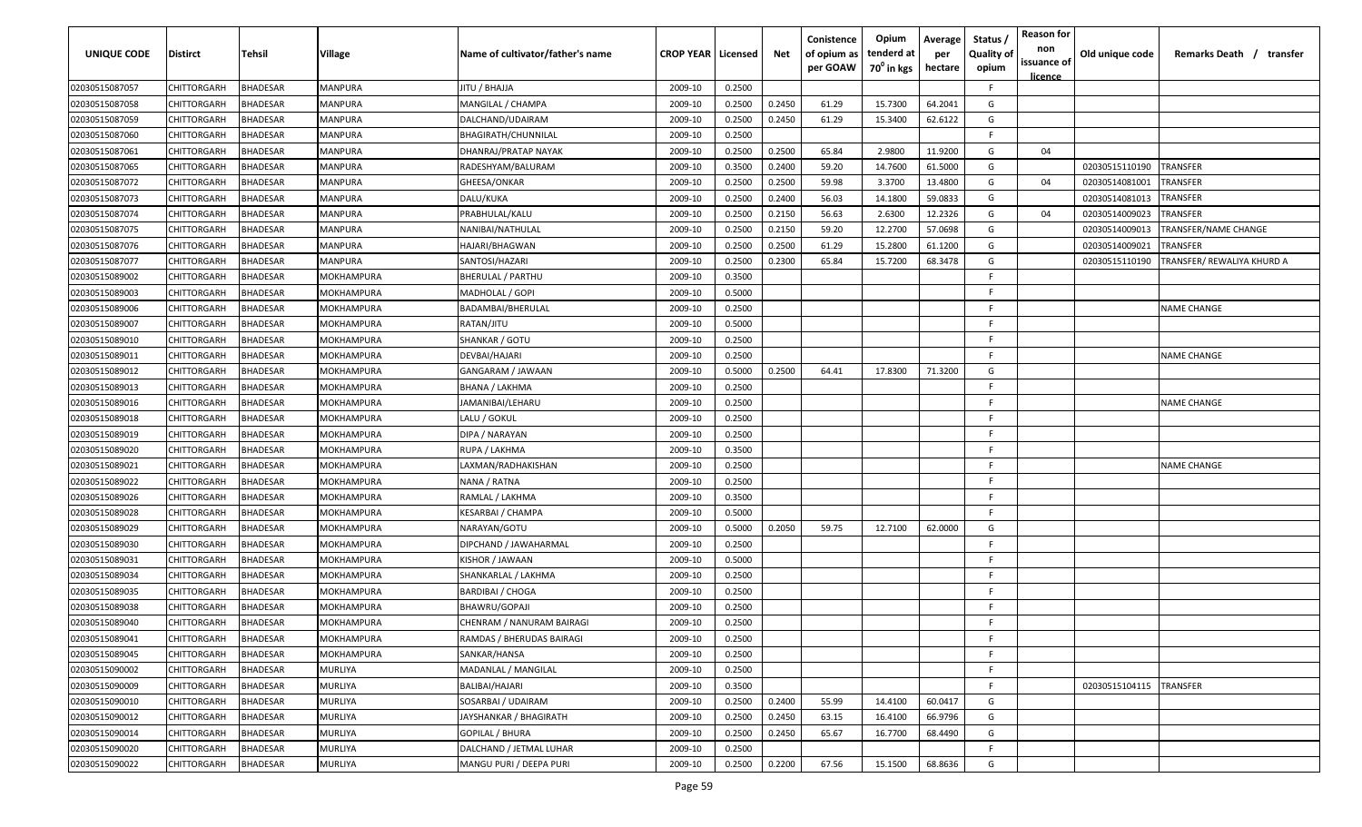| UNIQUE CODE                      | <b>Distirct</b> | Tehsil          | Village           | Name of cultivator/father's name | <b>CROP YEAR   Licensed</b> |        | Net    | Conistence<br>of opium as<br>per GOAW | Opium<br>tenderd at<br>$70^0$ in kgs | Average<br>per<br>hectare | Status /<br><b>Quality of</b><br>opium | <b>Reason for</b><br>non<br>issuance of | Old unique code | Remarks Death / transfer   |
|----------------------------------|-----------------|-----------------|-------------------|----------------------------------|-----------------------------|--------|--------|---------------------------------------|--------------------------------------|---------------------------|----------------------------------------|-----------------------------------------|-----------------|----------------------------|
|                                  | CHITTORGARH     | <b>BHADESAR</b> | <b>MANPURA</b>    | <b>JITU / BHAJJA</b>             | 2009-10                     | 0.2500 |        |                                       |                                      |                           | F.                                     | licence                                 |                 |                            |
| 02030515087057<br>02030515087058 | CHITTORGARH     | 3HADESAR        | <b>MANPURA</b>    | MANGILAL / CHAMPA                | 2009-10                     | 0.2500 | 0.2450 | 61.29                                 | 15.7300                              | 64.2041                   | G                                      |                                         |                 |                            |
| 02030515087059                   | CHITTORGARH     | <b>HADESAR</b>  | <b>MANPURA</b>    | DALCHAND/UDAIRAM                 | 2009-10                     | 0.2500 | 0.2450 | 61.29                                 | 15.3400                              | 62.6122                   | G                                      |                                         |                 |                            |
| 02030515087060                   | CHITTORGARH     | <b>BHADESAR</b> | <b>MANPURA</b>    | BHAGIRATH/CHUNNILAL              | 2009-10                     | 0.2500 |        |                                       |                                      |                           | F.                                     |                                         |                 |                            |
| 02030515087061                   | CHITTORGARH     | 3HADESAR        | <b>MANPURA</b>    | DHANRAJ/PRATAP NAYAK             | 2009-10                     | 0.2500 | 0.2500 | 65.84                                 | 2.9800                               | 11.9200                   | G                                      | 04                                      |                 |                            |
| 02030515087065                   | CHITTORGARH     | <b>BHADESAR</b> | <b>MANPURA</b>    | RADESHYAM/BALURAM                | 2009-10                     | 0.3500 | 0.2400 | 59.20                                 | 14.7600                              | 61.5000                   | G                                      |                                         | 02030515110190  | TRANSFER                   |
| 02030515087072                   | CHITTORGARH     | <b>HADESAR</b>  | <b>MANPURA</b>    | GHEESA/ONKAR                     | 2009-10                     | 0.2500 | 0.2500 | 59.98                                 | 3.3700                               | 13.4800                   | G                                      | 04                                      | 02030514081001  | TRANSFER                   |
| 02030515087073                   | CHITTORGARH     | <b>HADESAR</b>  | <b>MANPURA</b>    | DALU/KUKA                        | 2009-10                     | 0.2500 | 0.2400 | 56.03                                 | 14.1800                              | 59.0833                   | G                                      |                                         | 02030514081013  | TRANSFER                   |
| 02030515087074                   | CHITTORGARH     | <b>HADESAR</b>  | <b>MANPURA</b>    | PRABHULAL/KALU                   | 2009-10                     | 0.2500 | 0.2150 | 56.63                                 | 2.6300                               | 12.2326                   | G                                      | 04                                      | 02030514009023  | TRANSFER                   |
| 02030515087075                   | CHITTORGARH     | 3HADESAR        | <b>MANPURA</b>    | NANIBAI/NATHULAL                 | 2009-10                     | 0.2500 | 0.2150 | 59.20                                 | 12.2700                              | 57.0698                   | G                                      |                                         | 02030514009013  | TRANSFER/NAME CHANGE       |
| 02030515087076                   | CHITTORGARH     | <b>HADESAR</b>  | MANPURA           | HAJARI/BHAGWAN                   | 2009-10                     | 0.2500 | 0.2500 | 61.29                                 | 15.2800                              | 61.1200                   | G                                      |                                         | 02030514009021  | TRANSFER                   |
| 02030515087077                   | CHITTORGARH     | <b>BHADESAR</b> | <b>MANPURA</b>    | SANTOSI/HAZARI                   | 2009-10                     | 0.2500 | 0.2300 | 65.84                                 | 15.7200                              | 68.3478                   | G                                      |                                         | 02030515110190  | TRANSFER/ REWALIYA KHURD A |
| 02030515089002                   | CHITTORGARH     | <b>BHADESAR</b> | MOKHAMPURA        | BHERULAL / PARTHU                | 2009-10                     | 0.3500 |        |                                       |                                      |                           | F.                                     |                                         |                 |                            |
| 02030515089003                   | CHITTORGARH     | <b>BHADESAR</b> | MOKHAMPURA        | MADHOLAL / GOPI                  | 2009-10                     | 0.5000 |        |                                       |                                      |                           | F                                      |                                         |                 |                            |
| 02030515089006                   | CHITTORGARH     | <b>BHADESAR</b> | MOKHAMPURA        | BADAMBAI/BHERULAL                | 2009-10                     | 0.2500 |        |                                       |                                      |                           | F.                                     |                                         |                 | NAME CHANGE                |
| 02030515089007                   | CHITTORGARH     | <b>BHADESAR</b> | MOKHAMPURA        | RATAN/JITU                       | 2009-10                     | 0.5000 |        |                                       |                                      |                           | F.                                     |                                         |                 |                            |
| 02030515089010                   | CHITTORGARH     | <b>BHADESAR</b> | MOKHAMPURA        | SHANKAR / GOTU                   | 2009-10                     | 0.2500 |        |                                       |                                      |                           | F.                                     |                                         |                 |                            |
| 02030515089011                   | CHITTORGARH     | <b>BHADESAR</b> | MOKHAMPURA        | DEVBAI/HAJARI                    | 2009-10                     | 0.2500 |        |                                       |                                      |                           | F.                                     |                                         |                 | <b>NAME CHANGE</b>         |
| 02030515089012                   | CHITTORGARH     | <b>BHADESAR</b> | MOKHAMPURA        | GANGARAM / JAWAAN                | 2009-10                     | 0.5000 | 0.2500 | 64.41                                 | 17.8300                              | 71.3200                   | G                                      |                                         |                 |                            |
| 02030515089013                   | CHITTORGARH     | <b>BHADESAR</b> | MOKHAMPURA        | BHANA / LAKHMA                   | 2009-10                     | 0.2500 |        |                                       |                                      |                           | F.                                     |                                         |                 |                            |
| 02030515089016                   | CHITTORGARH     | <b>BHADESAR</b> | MOKHAMPURA        | JAMANIBAI/LEHARU                 | 2009-10                     | 0.2500 |        |                                       |                                      |                           | -F.                                    |                                         |                 | <b>NAME CHANGE</b>         |
| 02030515089018                   | CHITTORGARH     | <b>BHADESAR</b> | MOKHAMPURA        | LALU / GOKUL                     | 2009-10                     | 0.2500 |        |                                       |                                      |                           | F.                                     |                                         |                 |                            |
| 02030515089019                   | CHITTORGARH     | <b>HADESAR</b>  | MOKHAMPURA        | DIPA / NARAYAN                   | 2009-10                     | 0.2500 |        |                                       |                                      |                           | F.                                     |                                         |                 |                            |
| 02030515089020                   | CHITTORGARH     | <b>BHADESAR</b> | MOKHAMPURA        | RUPA / LAKHMA                    | 2009-10                     | 0.3500 |        |                                       |                                      |                           | E                                      |                                         |                 |                            |
| 02030515089021                   | CHITTORGARH     | <b>BHADESAR</b> | MOKHAMPURA        | LAXMAN/RADHAKISHAN               | 2009-10                     | 0.2500 |        |                                       |                                      |                           | F.                                     |                                         |                 | <b>NAME CHANGE</b>         |
| 02030515089022                   | CHITTORGARH     | 3HADESAR        | MOKHAMPURA        | NANA / RATNA                     | 2009-10                     | 0.2500 |        |                                       |                                      |                           | F.                                     |                                         |                 |                            |
| 02030515089026                   | CHITTORGARH     | 3HADESAR        | MOKHAMPURA        | RAMLAL / LAKHMA                  | 2009-10                     | 0.3500 |        |                                       |                                      |                           | F.                                     |                                         |                 |                            |
| 02030515089028                   | CHITTORGARH     | 3HADESAR        | MOKHAMPURA        | KESARBAI / CHAMPA                | 2009-10                     | 0.5000 |        |                                       |                                      |                           | F.                                     |                                         |                 |                            |
| 02030515089029                   | CHITTORGARH     | <b>BHADESAR</b> | MOKHAMPURA        | NARAYAN/GOTU                     | 2009-10                     | 0.5000 | 0.2050 | 59.75                                 | 12.7100                              | 62.0000                   | G                                      |                                         |                 |                            |
| 02030515089030                   | CHITTORGARH     | <b>BHADESAR</b> | MOKHAMPURA        | DIPCHAND / JAWAHARMAL            | 2009-10                     | 0.2500 |        |                                       |                                      |                           | F.                                     |                                         |                 |                            |
| 02030515089031                   | CHITTORGARH     | <b>BHADESAR</b> | MOKHAMPURA        | KISHOR / JAWAAN                  | 2009-10                     | 0.5000 |        |                                       |                                      |                           | F.                                     |                                         |                 |                            |
| 02030515089034                   | CHITTORGARH     | <b>HADESAR</b>  | <b>MOKHAMPURA</b> | SHANKARLAL / LAKHMA              | 2009-10                     | 0.2500 |        |                                       |                                      |                           | F.                                     |                                         |                 |                            |
| 02030515089035                   | CHITTORGARH     | <b>HADESAR</b>  | MOKHAMPURA        | BARDIBAI / CHOGA                 | 2009-10                     | 0.2500 |        |                                       |                                      |                           | F.                                     |                                         |                 |                            |
| 02030515089038                   | CHITTORGARH     | <b>HADESAR</b>  | MOKHAMPURA        | BHAWRU/GOPAJI                    | 2009-10                     | 0.2500 |        |                                       |                                      |                           | F.                                     |                                         |                 |                            |
| 02030515089040                   | CHITTORGARH     | 3HADESAR        | MOKHAMPURA        | CHENRAM / NANURAM BAIRAGI        | 2009-10                     | 0.2500 |        |                                       |                                      |                           | F                                      |                                         |                 |                            |
| 02030515089041                   | CHITTORGARH     | BHADESAR        | <b>MOKHAMPURA</b> | RAMDAS / BHERUDAS BAIRAGI        | 2009-10                     | 0.2500 |        |                                       |                                      |                           | F.                                     |                                         |                 |                            |
| 02030515089045                   | CHITTORGARH     | <b>BHADESAR</b> | MOKHAMPURA        | SANKAR/HANSA                     | 2009-10                     | 0.2500 |        |                                       |                                      |                           | F.                                     |                                         |                 |                            |
| 02030515090002                   | CHITTORGARH     | BHADESAR        | <b>MURLIYA</b>    | MADANLAL / MANGILAL              | 2009-10                     | 0.2500 |        |                                       |                                      |                           | F.                                     |                                         |                 |                            |
| 02030515090009                   | CHITTORGARH     | BHADESAR        | <b>MURLIYA</b>    | BALIBAI/HAJARI                   | 2009-10                     | 0.3500 |        |                                       |                                      |                           | F.                                     |                                         | 02030515104115  | TRANSFER                   |
| 02030515090010                   | CHITTORGARH     | <b>BHADESAR</b> | MURLIYA           | SOSARBAI / UDAIRAM               | 2009-10                     | 0.2500 | 0.2400 | 55.99                                 | 14.4100                              | 60.0417                   | G                                      |                                         |                 |                            |
| 02030515090012                   | CHITTORGARH     | <b>BHADESAR</b> | MURLIYA           | JAYSHANKAR / BHAGIRATH           | 2009-10                     | 0.2500 | 0.2450 | 63.15                                 | 16.4100                              | 66.9796                   | G                                      |                                         |                 |                            |
| 02030515090014                   | CHITTORGARH     | <b>BHADESAR</b> | MURLIYA           | <b>GOPILAL / BHURA</b>           | 2009-10                     | 0.2500 | 0.2450 | 65.67                                 | 16.7700                              | 68.4490                   | G                                      |                                         |                 |                            |
| 02030515090020                   | CHITTORGARH     | <b>BHADESAR</b> | MURLIYA           | DALCHAND / JETMAL LUHAR          | 2009-10                     | 0.2500 |        |                                       |                                      |                           | F.                                     |                                         |                 |                            |
| 02030515090022                   | CHITTORGARH     | 3HADESAR        | <b>MURLIYA</b>    | MANGU PURI / DEEPA PURI          | 2009-10                     | 0.2500 | 0.2200 | 67.56                                 | 15.1500                              | 68.8636                   | G                                      |                                         |                 |                            |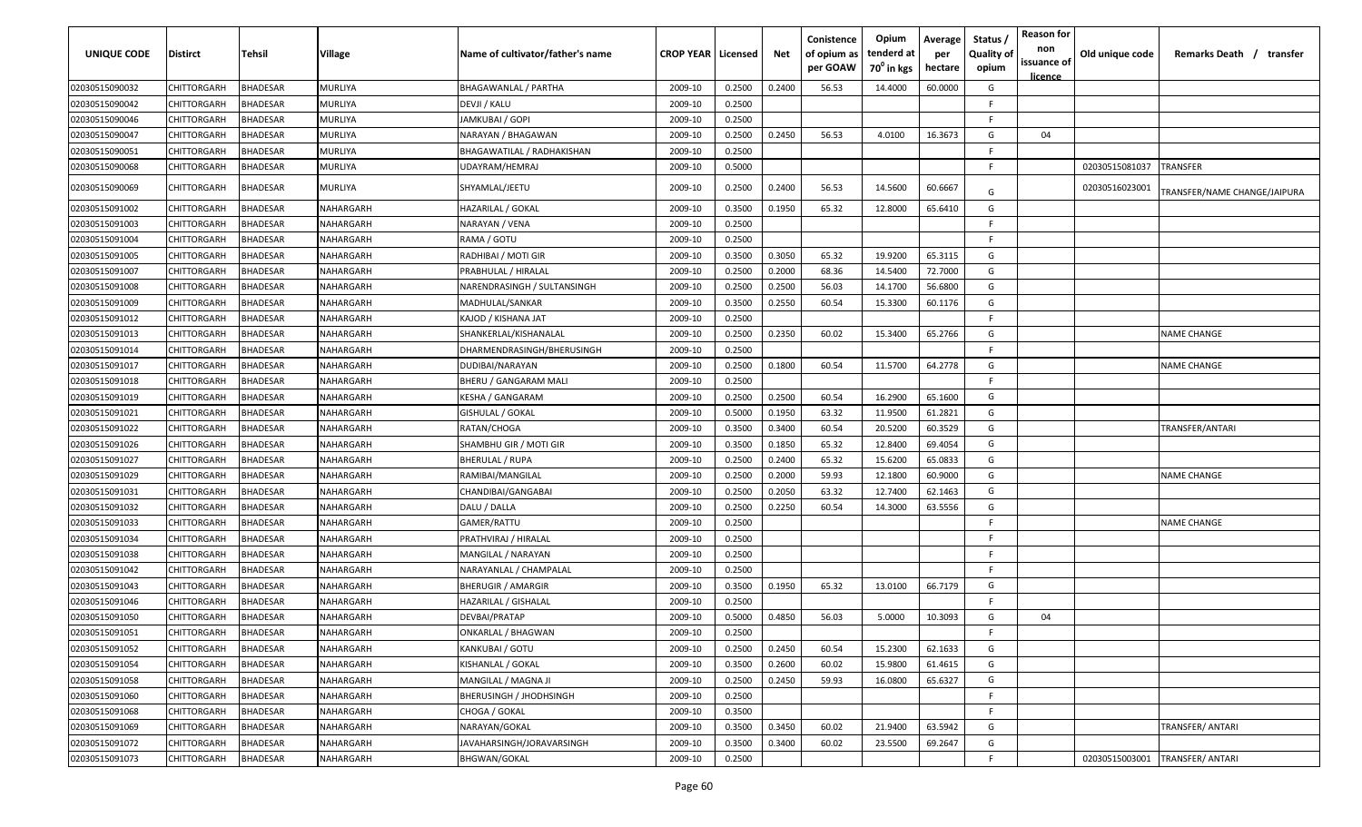| <b>UNIQUE CODE</b> | <b>Distirct</b>    | Tehsil          | Village          | Name of cultivator/father's name | <b>CROP YEAR   Licensed</b> |        | Net    | Conistence<br>of opium as<br>per GOAW | Opium<br>tenderd at<br>70 <sup>0</sup> in kgs | Average<br>per<br>hectare | Status /<br><b>Quality of</b><br>opium | <b>Reason for</b><br>non<br>issuance of<br><u>licence</u> | Old unique code | Remarks Death / transfer     |
|--------------------|--------------------|-----------------|------------------|----------------------------------|-----------------------------|--------|--------|---------------------------------------|-----------------------------------------------|---------------------------|----------------------------------------|-----------------------------------------------------------|-----------------|------------------------------|
| 02030515090032     | CHITTORGARH        | <b>BHADESAR</b> | MURLIYA          | BHAGAWANLAL / PARTHA             | 2009-10                     | 0.2500 | 0.2400 | 56.53                                 | 14.4000                                       | 60.0000                   | G                                      |                                                           |                 |                              |
| 02030515090042     | CHITTORGARH        | <b>BHADESAR</b> | MURLIYA          | DEVJI / KALU                     | 2009-10                     | 0.2500 |        |                                       |                                               |                           | F                                      |                                                           |                 |                              |
| 02030515090046     | CHITTORGARH        | <b>BHADESAR</b> | MURLIYA          | JAMKUBAI / GOPI                  | 2009-10                     | 0.2500 |        |                                       |                                               |                           | F                                      |                                                           |                 |                              |
| 02030515090047     | CHITTORGARH        | <b>BHADESAR</b> | MURLIYA          | NARAYAN / BHAGAWAN               | 2009-10                     | 0.2500 | 0.2450 | 56.53                                 | 4.0100                                        | 16.3673                   | G                                      | 04                                                        |                 |                              |
| 02030515090051     | CHITTORGARH        | <b>BHADESAR</b> | MURLIYA          | BHAGAWATILAL / RADHAKISHAN       | 2009-10                     | 0.2500 |        |                                       |                                               |                           | E                                      |                                                           |                 |                              |
| 02030515090068     | CHITTORGARH        | BHADESAR        | MURLIYA          | UDAYRAM/HEMRAJ                   | 2009-10                     | 0.5000 |        |                                       |                                               |                           | E                                      |                                                           | 02030515081037  | TRANSFER                     |
| 02030515090069     | CHITTORGARH        | BHADESAR        | MURLIYA          | SHYAMLAL/JEETU                   | 2009-10                     | 0.2500 | 0.2400 | 56.53                                 | 14.5600                                       | 60.6667                   | G                                      |                                                           | 02030516023001  | TRANSFER/NAME CHANGE/JAIPURA |
| 02030515091002     | CHITTORGARH        | <b>BHADESAR</b> | NAHARGARH        | HAZARILAL / GOKAL                | 2009-10                     | 0.3500 | 0.1950 | 65.32                                 | 12.8000                                       | 65.6410                   | G                                      |                                                           |                 |                              |
| 02030515091003     | CHITTORGARH        | <b>BHADESAR</b> | <b>VAHARGARH</b> | NARAYAN / VENA                   | 2009-10                     | 0.2500 |        |                                       |                                               |                           | F                                      |                                                           |                 |                              |
| 02030515091004     | CHITTORGARH        | <b>BHADESAR</b> | <b>VAHARGARH</b> | RAMA / GOTU                      | 2009-10                     | 0.2500 |        |                                       |                                               |                           | E                                      |                                                           |                 |                              |
| 02030515091005     | CHITTORGARH        | <b>BHADESAR</b> | NAHARGARH        | RADHIBAI / MOTI GIR              | 2009-10                     | 0.3500 | 0.3050 | 65.32                                 | 19.9200                                       | 65.3115                   | G                                      |                                                           |                 |                              |
| 02030515091007     | CHITTORGARH        | <b>BHADESAR</b> | NAHARGARH        | PRABHULAL / HIRALAL              | 2009-10                     | 0.2500 | 0.2000 | 68.36                                 | 14.5400                                       | 72.7000                   | G                                      |                                                           |                 |                              |
| 02030515091008     | CHITTORGARH        | BHADESAR        | VAHARGARH        | NARENDRASINGH / SULTANSINGH      | 2009-10                     | 0.2500 | 0.2500 | 56.03                                 | 14.1700                                       | 56.6800                   | G                                      |                                                           |                 |                              |
| 02030515091009     | CHITTORGARH        | BHADESAR        | VAHARGARH        | MADHULAL/SANKAR                  | 2009-10                     | 0.3500 | 0.2550 | 60.54                                 | 15.3300                                       | 60.1176                   | G                                      |                                                           |                 |                              |
| 02030515091012     | CHITTORGARH        | <b>BHADESAR</b> | <b>VAHARGARH</b> | KAJOD / KISHANA JAT              | 2009-10                     | 0.2500 |        |                                       |                                               |                           | F                                      |                                                           |                 |                              |
| 02030515091013     | CHITTORGARH        | <b>BHADESAR</b> | <b>VAHARGARH</b> | SHANKERLAL/KISHANALAL            | 2009-10                     | 0.2500 | 0.2350 | 60.02                                 | 15.3400                                       | 65.2766                   | G                                      |                                                           |                 | <b>NAME CHANGE</b>           |
| 02030515091014     | CHITTORGARH        | <b>BHADESAR</b> | <b>VAHARGARH</b> | DHARMENDRASINGH/BHERUSINGH       | 2009-10                     | 0.2500 |        |                                       |                                               |                           | E                                      |                                                           |                 |                              |
| 02030515091017     | CHITTORGARH        | <b>BHADESAR</b> | NAHARGARH        | DUDIBAI/NARAYAN                  | 2009-10                     | 0.2500 | 0.1800 | 60.54                                 | 11.5700                                       | 64.2778                   | G                                      |                                                           |                 | <b>NAME CHANGE</b>           |
| 02030515091018     | CHITTORGARH        | <b>BHADESAR</b> | NAHARGARH        | BHERU / GANGARAM MALI            | 2009-10                     | 0.2500 |        |                                       |                                               |                           | F                                      |                                                           |                 |                              |
| 02030515091019     | CHITTORGARH        | <b>BHADESAR</b> | NAHARGARH        | KESHA / GANGARAM                 | 2009-10                     | 0.2500 | 0.2500 | 60.54                                 | 16.2900                                       | 65.1600                   | G                                      |                                                           |                 |                              |
| 02030515091021     | CHITTORGARH        | <b>BHADESAR</b> | NAHARGARH        | <b>GISHULAL / GOKAL</b>          | 2009-10                     | 0.5000 | 0.1950 | 63.32                                 | 11.9500                                       | 61.2821                   | G                                      |                                                           |                 |                              |
| 02030515091022     | CHITTORGARH        | <b>BHADESAR</b> | NAHARGARH        | RATAN/CHOGA                      | 2009-10                     | 0.3500 | 0.3400 | 60.54                                 | 20.5200                                       | 60.3529                   | G                                      |                                                           |                 | TRANSFER/ANTARI              |
| 02030515091026     | CHITTORGARH        | <b>BHADESAR</b> | NAHARGARH        | SHAMBHU GIR / MOTI GIR           | 2009-10                     | 0.3500 | 0.1850 | 65.32                                 | 12.8400                                       | 69.4054                   | G                                      |                                                           |                 |                              |
| 02030515091027     | CHITTORGARH        | <b>BHADESAR</b> | NAHARGARH        | <b>BHERULAL / RUPA</b>           | 2009-10                     | 0.2500 | 0.2400 | 65.32                                 | 15.6200                                       | 65.0833                   | G                                      |                                                           |                 |                              |
| 02030515091029     | CHITTORGARH        | <b>BHADESAR</b> | NAHARGARH        | RAMIBAI/MANGILAL                 | 2009-10                     | 0.2500 | 0.2000 | 59.93                                 | 12.1800                                       | 60.9000                   | G                                      |                                                           |                 | <b>NAME CHANGE</b>           |
| 02030515091031     | CHITTORGARH        | BHADESAR        | VAHARGARH        | CHANDIBAI/GANGABAI               | 2009-10                     | 0.2500 | 0.2050 | 63.32                                 | 12.7400                                       | 62.1463                   | G                                      |                                                           |                 |                              |
| 02030515091032     | CHITTORGARH        | BHADESAR        | <b>VAHARGARH</b> | DALU / DALLA                     | 2009-10                     | 0.2500 | 0.2250 | 60.54                                 | 14.3000                                       | 63.5556                   | G                                      |                                                           |                 |                              |
| 02030515091033     | CHITTORGARH        | <b>BHADESAR</b> | NAHARGARH        | GAMER/RATTU                      | 2009-10                     | 0.2500 |        |                                       |                                               |                           | E                                      |                                                           |                 | <b>NAME CHANGE</b>           |
| 02030515091034     | CHITTORGARH        | <b>BHADESAR</b> | NAHARGARH        | PRATHVIRAJ / HIRALAL             | 2009-10                     | 0.2500 |        |                                       |                                               |                           | F.                                     |                                                           |                 |                              |
| 02030515091038     | CHITTORGARH        | BHADESAR        | VAHARGARH        | MANGILAL / NARAYAN               | 2009-10                     | 0.2500 |        |                                       |                                               |                           | F.                                     |                                                           |                 |                              |
| 02030515091042     | CHITTORGARH        | <b>BHADESAR</b> | VAHARGARH        | NARAYANLAL / CHAMPALAL           | 2009-10                     | 0.2500 |        |                                       |                                               |                           | -F                                     |                                                           |                 |                              |
| 02030515091043     | CHITTORGARH        | <b>BHADESAR</b> | <b>VAHARGARH</b> | BHERUGIR / AMARGIR               | 2009-10                     | 0.3500 | 0.1950 | 65.32                                 | 13.0100                                       | 66.7179                   | G                                      |                                                           |                 |                              |
| 02030515091046     | CHITTORGARH        | <b>BHADESAR</b> | <b>VAHARGARH</b> | HAZARILAL / GISHALAL             | 2009-10                     | 0.2500 |        |                                       |                                               |                           | F                                      |                                                           |                 |                              |
| 02030515091050     | CHITTORGARH        | <b>BHADESAR</b> | NAHARGARH        | DEVBAI/PRATAP                    | 2009-10                     | 0.5000 | 0.4850 | 56.03                                 | 5.0000                                        | 10.3093                   | G                                      | 04                                                        |                 |                              |
| 02030515091051     | CHITTORGARH        | <b>BHADESAR</b> | NAHARGARH        | <b>ONKARLAL / BHAGWAN</b>        | 2009-10                     | 0.2500 |        |                                       |                                               |                           | E                                      |                                                           |                 |                              |
| 02030515091052     | CHITTORGARH        | <b>BHADESAR</b> | NAHARGARH        | KANKUBAI / GOTU                  | 2009-10                     | 0.2500 | 0.2450 | 60.54                                 | 15.2300                                       | 62.1633                   | G                                      |                                                           |                 |                              |
| 02030515091054     | CHITTORGARH        | <b>BHADESAR</b> | NAHARGARH        | KISHANLAL / GOKAL                | 2009-10                     | 0.3500 | 0.2600 | 60.02                                 | 15.9800                                       | 61.4615                   | G                                      |                                                           |                 |                              |
| 02030515091058     | <b>CHITTORGARH</b> | <b>BHADESAR</b> | NAHARGARH        | MANGILAL / MAGNA JI              | 2009-10                     | 0.2500 | 0.2450 | 59.93                                 | 16.0800                                       | 65.6327                   | G                                      |                                                           |                 |                              |
| 02030515091060     | CHITTORGARH        | <b>BHADESAR</b> | NAHARGARH        | BHERUSINGH / JHODHSINGH          | 2009-10                     | 0.2500 |        |                                       |                                               |                           | F                                      |                                                           |                 |                              |
| 02030515091068     | CHITTORGARH        | <b>BHADESAR</b> | NAHARGARH        | CHOGA / GOKAL                    | 2009-10                     | 0.3500 |        |                                       |                                               |                           | F.                                     |                                                           |                 |                              |
| 02030515091069     | CHITTORGARH        | <b>BHADESAR</b> | NAHARGARH        | NARAYAN/GOKAL                    | 2009-10                     | 0.3500 | 0.3450 | 60.02                                 | 21.9400                                       | 63.5942                   | G                                      |                                                           |                 | TRANSFER/ ANTARI             |
| 02030515091072     | CHITTORGARH        | <b>BHADESAR</b> | NAHARGARH        | JAVAHARSINGH/JORAVARSINGH        | 2009-10                     | 0.3500 | 0.3400 | 60.02                                 | 23.5500                                       | 69.2647                   | G                                      |                                                           |                 |                              |
| 02030515091073     | <b>CHITTORGARH</b> | <b>BHADESAR</b> | NAHARGARH        | BHGWAN/GOKAL                     | 2009-10                     | 0.2500 |        |                                       |                                               |                           | F.                                     |                                                           | 02030515003001  | TRANSFER/ ANTARI             |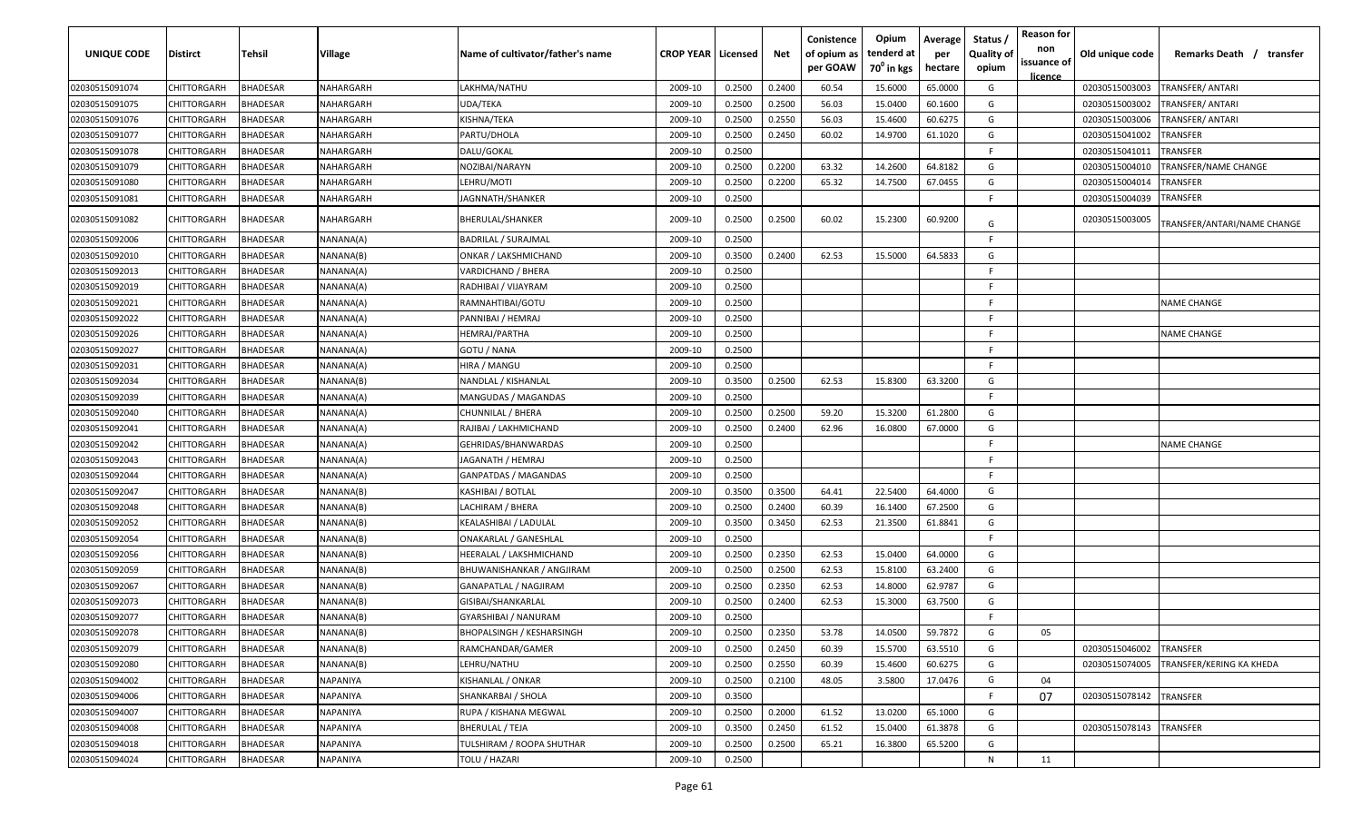| UNIQUE CODE    | <b>Distirct</b>    | <b>Tehsil</b>   | Village   | Name of cultivator/father's name | <b>CROP YEAR   Licensed</b> |        | Net    | Conistence<br>of opium as<br>per GOAW | Opium<br>tenderd at<br>70 <sup>0</sup> in kgs | Average<br>per<br>hectare | Status /<br><b>Quality of</b><br>opium | <b>Reason for</b><br>non<br>issuance of<br>licence | Old unique code | Remarks Death /<br>transfer |
|----------------|--------------------|-----------------|-----------|----------------------------------|-----------------------------|--------|--------|---------------------------------------|-----------------------------------------------|---------------------------|----------------------------------------|----------------------------------------------------|-----------------|-----------------------------|
| 02030515091074 | CHITTORGARH        | BHADESAR        | NAHARGARH | LAKHMA/NATHU                     | 2009-10                     | 0.2500 | 0.2400 | 60.54                                 | 15.6000                                       | 65.0000                   | G                                      |                                                    | 02030515003003  | TRANSFER/ ANTARI            |
| 02030515091075 | CHITTORGARH        | <b>BHADESAR</b> | NAHARGARH | UDA/TEKA                         | 2009-10                     | 0.2500 | 0.2500 | 56.03                                 | 15.0400                                       | 60.1600                   | G                                      |                                                    | 02030515003002  | TRANSFER/ ANTARI            |
| 02030515091076 | CHITTORGARH        | 3HADESAR        | NAHARGARH | KISHNA/TEKA                      | 2009-10                     | 0.2500 | 0.2550 | 56.03                                 | 15.4600                                       | 60.6275                   | G                                      |                                                    | 02030515003006  | TRANSFER/ ANTARI            |
| 02030515091077 | CHITTORGARH        | <b>BHADESAR</b> | NAHARGARH | PARTU/DHOLA                      | 2009-10                     | 0.2500 | 0.2450 | 60.02                                 | 14.9700                                       | 61.1020                   | G                                      |                                                    | 02030515041002  | TRANSFER                    |
| 02030515091078 | CHITTORGARH        | <b>BHADESAR</b> | NAHARGARH | DALU/GOKAL                       | 2009-10                     | 0.2500 |        |                                       |                                               |                           | F.                                     |                                                    | 02030515041011  | TRANSFER                    |
| 02030515091079 | CHITTORGARH        | <b>BHADESAR</b> | NAHARGARH | NOZIBAI/NARAYN                   | 2009-10                     | 0.2500 | 0.2200 | 63.32                                 | 14.2600                                       | 64.8182                   | G                                      |                                                    | 02030515004010  | TRANSFER/NAME CHANGE        |
| 02030515091080 | CHITTORGARH        | <b>BHADESAR</b> | NAHARGARH | LEHRU/MOTI                       | 2009-10                     | 0.2500 | 0.2200 | 65.32                                 | 14.7500                                       | 67.0455                   | G                                      |                                                    | 02030515004014  | TRANSFER                    |
| 02030515091081 | <b>CHITTORGARH</b> | <b>HADESAR</b>  | NAHARGARH | IAGNNATH/SHANKER                 | 2009-10                     | 0.2500 |        |                                       |                                               |                           | F.                                     |                                                    | 02030515004039  | TRANSFER                    |
| 02030515091082 | CHITTORGARH        | 3HADESAR        | NAHARGARH | BHERULAL/SHANKER                 | 2009-10                     | 0.2500 | 0.2500 | 60.02                                 | 15.2300                                       | 60.9200                   | G                                      |                                                    | 02030515003005  | TRANSFER/ANTARI/NAME CHANGE |
| 02030515092006 | CHITTORGARH        | <b>BHADESAR</b> | NANANA(A) | BADRILAL / SURAJMAL              | 2009-10                     | 0.2500 |        |                                       |                                               |                           | F.                                     |                                                    |                 |                             |
| 02030515092010 | CHITTORGARH        | <b>BHADESAR</b> | NANANA(B) | ONKAR / LAKSHMICHAND             | 2009-10                     | 0.3500 | 0.2400 | 62.53                                 | 15.5000                                       | 64.5833                   | G                                      |                                                    |                 |                             |
| 02030515092013 | CHITTORGARH        | <b>BHADESAR</b> | NANANA(A) | VARDICHAND / BHERA               | 2009-10                     | 0.2500 |        |                                       |                                               |                           | E                                      |                                                    |                 |                             |
| 02030515092019 | CHITTORGARH        | <b>BHADESAR</b> | NANANA(A) | RADHIBAI / VIJAYRAM              | 2009-10                     | 0.2500 |        |                                       |                                               |                           | F.                                     |                                                    |                 |                             |
| 02030515092021 | CHITTORGARH        | <b>BHADESAR</b> | NANANA(A) | RAMNAHTIBAI/GOTU                 | 2009-10                     | 0.2500 |        |                                       |                                               |                           | F.                                     |                                                    |                 | NAME CHANGE                 |
| 02030515092022 | CHITTORGARH        | 3HADESAR        | NANANA(A) | PANNIBAI / HEMRAJ                | 2009-10                     | 0.2500 |        |                                       |                                               |                           | F.                                     |                                                    |                 |                             |
| 02030515092026 | CHITTORGARH        | <b>BHADESAR</b> | NANANA(A) | HEMRAJ/PARTHA                    | 2009-10                     | 0.2500 |        |                                       |                                               |                           | F.                                     |                                                    |                 | NAME CHANGE                 |
| 02030515092027 | CHITTORGARH        | <b>BHADESAR</b> | NANANA(A) | GOTU / NANA                      | 2009-10                     | 0.2500 |        |                                       |                                               |                           | F.                                     |                                                    |                 |                             |
| 02030515092031 | CHITTORGARH        | <b>BHADESAR</b> | NANANA(A) | HIRA / MANGU                     | 2009-10                     | 0.2500 |        |                                       |                                               |                           | F.                                     |                                                    |                 |                             |
| 02030515092034 | CHITTORGARH        | <b>BHADESAR</b> | NANANA(B) | NANDLAL / KISHANLAL              | 2009-10                     | 0.3500 | 0.2500 | 62.53                                 | 15.8300                                       | 63.3200                   | G                                      |                                                    |                 |                             |
| 02030515092039 | CHITTORGARH        | <b>BHADESAR</b> | NANANA(A) | MANGUDAS / MAGANDAS              | 2009-10                     | 0.2500 |        |                                       |                                               |                           | F.                                     |                                                    |                 |                             |
| 02030515092040 | CHITTORGARH        | <b>BHADESAR</b> | NANANA(A) | CHUNNILAL / BHERA                | 2009-10                     | 0.2500 | 0.2500 | 59.20                                 | 15.3200                                       | 61.2800                   | G                                      |                                                    |                 |                             |
| 02030515092041 | CHITTORGARH        | <b>BHADESAR</b> | NANANA(A) | RAJIBAI / LAKHMICHAND            | 2009-10                     | 0.2500 | 0.2400 | 62.96                                 | 16.0800                                       | 67.0000                   | G                                      |                                                    |                 |                             |
| 02030515092042 | CHITTORGARH        | <b>BHADESAR</b> | NANANA(A) | GEHRIDAS/BHANWARDAS              | 2009-10                     | 0.2500 |        |                                       |                                               |                           | F.                                     |                                                    |                 | <b>NAME CHANGE</b>          |
| 02030515092043 | CHITTORGARH        | 3HADESAR        | NANANA(A) | JAGANATH / HEMRAJ                | 2009-10                     | 0.2500 |        |                                       |                                               |                           | F.                                     |                                                    |                 |                             |
| 02030515092044 | CHITTORGARH        | <b>BHADESAR</b> | NANANA(A) | GANPATDAS / MAGANDAS             | 2009-10                     | 0.2500 |        |                                       |                                               |                           | F.                                     |                                                    |                 |                             |
| 02030515092047 | CHITTORGARH        | <b>BHADESAR</b> | NANANA(B) | KASHIBAI / BOTLAL                | 2009-10                     | 0.3500 | 0.3500 | 64.41                                 | 22.5400                                       | 64.4000                   | G                                      |                                                    |                 |                             |
| 02030515092048 | CHITTORGARH        | <b>BHADESAR</b> | NANANA(B) | LACHIRAM / BHERA                 | 2009-10                     | 0.2500 | 0.2400 | 60.39                                 | 16.1400                                       | 67.2500                   | G                                      |                                                    |                 |                             |
| 02030515092052 | CHITTORGARH        | <b>BHADESAR</b> | NANANA(B) | KEALASHIBAI / LADULAL            | 2009-10                     | 0.3500 | 0.3450 | 62.53                                 | 21.3500                                       | 61.8841                   | G                                      |                                                    |                 |                             |
| 02030515092054 | CHITTORGARH        | <b>HADESAR</b>  | NANANA(B) | ONAKARLAL / GANESHLAL            | 2009-10                     | 0.2500 |        |                                       |                                               |                           | F.                                     |                                                    |                 |                             |
| 02030515092056 | CHITTORGARH        | <b>BHADESAR</b> | NANANA(B) | HEERALAL / LAKSHMICHAND          | 2009-10                     | 0.2500 | 0.2350 | 62.53                                 | 15.0400                                       | 64.0000                   | G                                      |                                                    |                 |                             |
| 02030515092059 | CHITTORGARH        | <b>BHADESAR</b> | NANANA(B) | BHUWANISHANKAR / ANGJIRAM        | 2009-10                     | 0.2500 | 0.2500 | 62.53                                 | 15.8100                                       | 63.2400                   | G                                      |                                                    |                 |                             |
| 02030515092067 | CHITTORGARH        | 3HADESAR        | NANANA(B) | GANAPATLAL / NAGJIRAM            | 2009-10                     | 0.2500 | 0.2350 | 62.53                                 | 14.8000                                       | 62.9787                   | G                                      |                                                    |                 |                             |
| 02030515092073 | CHITTORGARH        | <b>BHADESAR</b> | NANANA(B) | GISIBAI/SHANKARLAL               | 2009-10                     | 0.2500 | 0.2400 | 62.53                                 | 15.3000                                       | 63.7500                   | G                                      |                                                    |                 |                             |
| 02030515092077 | CHITTORGARH        | 3HADESAR        | NANANA(B) | GYARSHIBAI / NANURAM             | 2009-10                     | 0.2500 |        |                                       |                                               |                           | F                                      |                                                    |                 |                             |
| 02030515092078 | CHITTORGARH        | <b>BHADESAR</b> | NANANA(B) | <b>BHOPALSINGH / KESHARSINGH</b> | 2009-10                     | 0.2500 | 0.2350 | 53.78                                 | 14.0500                                       | 59.7872                   | G                                      | 05                                                 |                 |                             |
| 02030515092079 | CHITTORGARH        | <b>BHADESAR</b> | NANANA(B) | RAMCHANDAR/GAMER                 | 2009-10                     | 0.2500 | 0.2450 | 60.39                                 | 15.5700                                       | 63.5510                   | G                                      |                                                    | 02030515046002  | TRANSFER                    |
| 02030515092080 | CHITTORGARH        | BHADESAR        | NANANA(B) | LEHRU/NATHU                      | 2009-10                     | 0.2500 | 0.2550 | 60.39                                 | 15.4600                                       | 60.6275                   | G                                      |                                                    | 02030515074005  | TRANSFER/KERING KA KHEDA    |
| 02030515094002 | CHITTORGARH        | BHADESAR        | NAPANIYA  | KISHANLAL / ONKAR                | 2009-10                     | 0.2500 | 0.2100 | 48.05                                 | 3.5800                                        | 17.0476                   | G                                      | 04                                                 |                 |                             |
| 02030515094006 | CHITTORGARH        | BHADESAR        | NAPANIYA  | SHANKARBAI / SHOLA               | 2009-10                     | 0.3500 |        |                                       |                                               |                           | F.                                     | 07                                                 | 02030515078142  | <b>TRANSFER</b>             |
| 02030515094007 | CHITTORGARH        | BHADESAR        | NAPANIYA  | RUPA / KISHANA MEGWAL            | 2009-10                     | 0.2500 | 0.2000 | 61.52                                 | 13.0200                                       | 65.1000                   | G                                      |                                                    |                 |                             |
| 02030515094008 | CHITTORGARH        | <b>BHADESAR</b> | NAPANIYA  | BHERULAL / TEJA                  | 2009-10                     | 0.3500 | 0.2450 | 61.52                                 | 15.0400                                       | 61.3878                   | G                                      |                                                    | 02030515078143  | <b>TRANSFER</b>             |
| 02030515094018 | CHITTORGARH        | BHADESAR        | NAPANIYA  | TULSHIRAM / ROOPA SHUTHAR        | 2009-10                     | 0.2500 | 0.2500 | 65.21                                 | 16.3800                                       | 65.5200                   | G                                      |                                                    |                 |                             |
| 02030515094024 | CHITTORGARH        | BHADESAR        | NAPANIYA  | TOLU / HAZARI                    | 2009-10                     | 0.2500 |        |                                       |                                               |                           | $\mathsf{N}$                           | 11                                                 |                 |                             |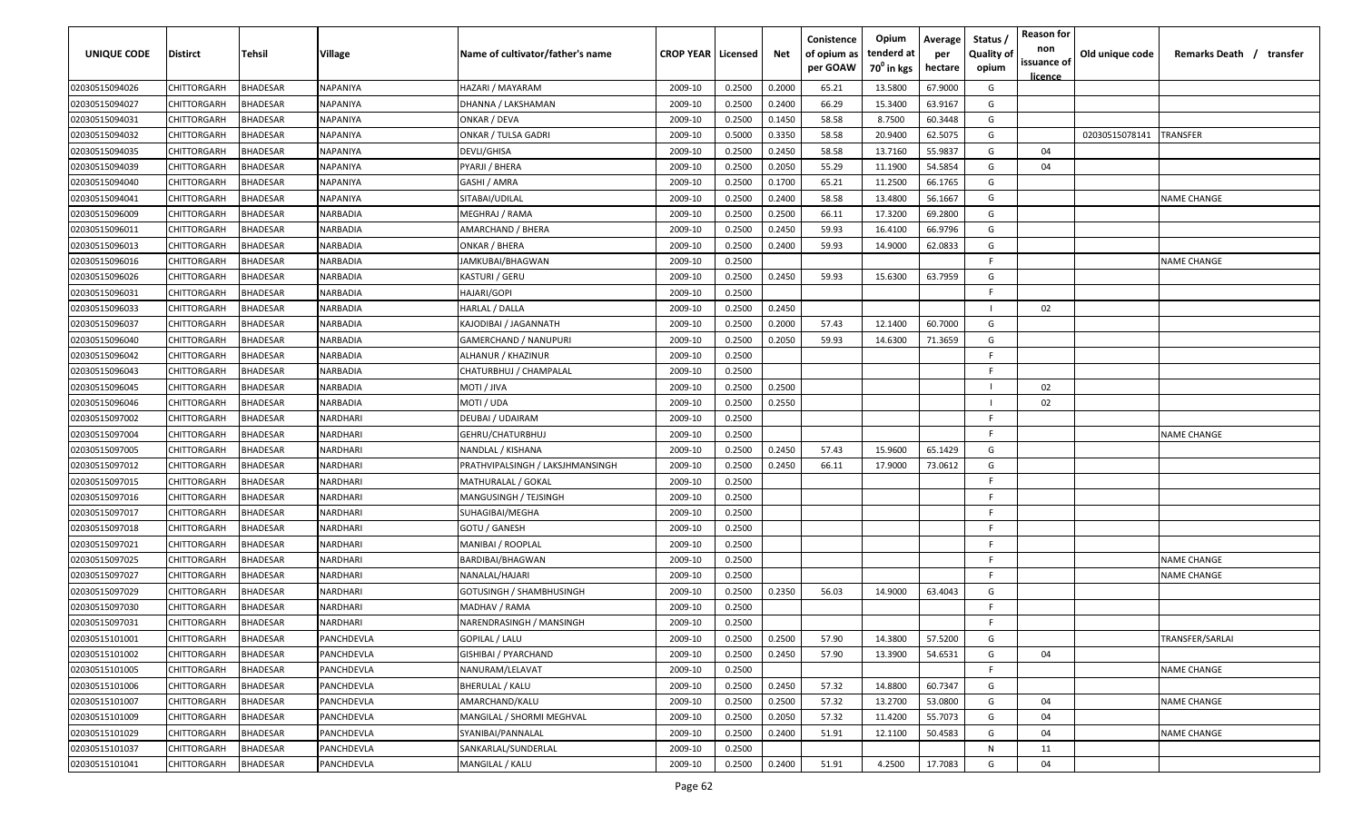| UNIQUE CODE    | <b>Distirct</b>    | Tehsil          | <b>Village</b>  | Name of cultivator/father's name | <b>CROP YEAR   Licensed</b> |        | Net    | Conistence<br>of opium as<br>per GOAW | Opium<br>tenderd at<br>70 <sup>0</sup> in kgs | Average<br>per<br>hectare | Status<br><b>Quality of</b><br>opium | <b>Reason for</b><br>non<br>issuance of<br>licence | Old unique code | Remarks Death / transfer |
|----------------|--------------------|-----------------|-----------------|----------------------------------|-----------------------------|--------|--------|---------------------------------------|-----------------------------------------------|---------------------------|--------------------------------------|----------------------------------------------------|-----------------|--------------------------|
| 02030515094026 | <b>CHITTORGARH</b> | <b>BHADESAR</b> | NAPANIYA        | HAZARI / MAYARAM                 | 2009-10                     | 0.2500 | 0.2000 | 65.21                                 | 13.5800                                       | 67.9000                   | G                                    |                                                    |                 |                          |
| 02030515094027 | CHITTORGARH        | <b>BHADESAR</b> | NAPANIYA        | DHANNA / LAKSHAMAN               | 2009-10                     | 0.2500 | 0.2400 | 66.29                                 | 15.3400                                       | 63.9167                   | G                                    |                                                    |                 |                          |
| 02030515094031 | CHITTORGARH        | <b>BHADESAR</b> | NAPANIYA        | ONKAR / DEVA                     | 2009-10                     | 0.2500 | 0.1450 | 58.58                                 | 8.7500                                        | 60.3448                   | G                                    |                                                    |                 |                          |
| 02030515094032 | CHITTORGARH        | <b>BHADESAR</b> | NAPANIYA        | ONKAR / TULSA GADRI              | 2009-10                     | 0.5000 | 0.3350 | 58.58                                 | 20.9400                                       | 62.5075                   | G                                    |                                                    | 02030515078141  | <b>TRANSFER</b>          |
| 02030515094035 | CHITTORGARH        | <b>BHADESAR</b> | NAPANIYA        | DEVLI/GHISA                      | 2009-10                     | 0.2500 | 0.2450 | 58.58                                 | 13.7160                                       | 55.9837                   | G                                    | 04                                                 |                 |                          |
| 02030515094039 | CHITTORGARH        | <b>BHADESAR</b> | NAPANIYA        | PYARJI / BHERA                   | 2009-10                     | 0.2500 | 0.2050 | 55.29                                 | 11.1900                                       | 54.5854                   | G                                    | 04                                                 |                 |                          |
| 02030515094040 | CHITTORGARH        | <b>BHADESAR</b> | NAPANIYA        | GASHI / AMRA                     | 2009-10                     | 0.2500 | 0.1700 | 65.21                                 | 11.2500                                       | 66.1765                   | G                                    |                                                    |                 |                          |
| 02030515094041 | CHITTORGARH        | BHADESAR        | NAPANIYA        | SITABAI/UDILAL                   | 2009-10                     | 0.2500 | 0.2400 | 58.58                                 | 13.4800                                       | 56.1667                   | G                                    |                                                    |                 | <b>NAME CHANGE</b>       |
| 02030515096009 | CHITTORGARH        | <b>BHADESAR</b> | NARBADIA        | MEGHRAJ / RAMA                   | 2009-10                     | 0.2500 | 0.2500 | 66.11                                 | 17.3200                                       | 69.2800                   | G                                    |                                                    |                 |                          |
| 02030515096011 | CHITTORGARH        | <b>BHADESAR</b> | NARBADIA        | AMARCHAND / BHERA                | 2009-10                     | 0.2500 | 0.2450 | 59.93                                 | 16.4100                                       | 66.9796                   | G                                    |                                                    |                 |                          |
| 02030515096013 | CHITTORGARH        | <b>BHADESAR</b> | VARBADIA        | ONKAR / BHERA                    | 2009-10                     | 0.2500 | 0.2400 | 59.93                                 | 14.9000                                       | 62.0833                   | G                                    |                                                    |                 |                          |
| 02030515096016 | CHITTORGARH        | BHADESAR        | <b>NARBADIA</b> | IAMKUBAI/BHAGWAN                 | 2009-10                     | 0.2500 |        |                                       |                                               |                           | F                                    |                                                    |                 | <b>NAME CHANGE</b>       |
| 02030515096026 | CHITTORGARH        | <b>BHADESAR</b> | <b>VARBADIA</b> | KASTURI / GERU                   | 2009-10                     | 0.2500 | 0.2450 | 59.93                                 | 15.6300                                       | 63.7959                   | G                                    |                                                    |                 |                          |
| 02030515096031 | CHITTORGARH        | <b>BHADESAR</b> | NARBADIA        | HAJARI/GOPI                      | 2009-10                     | 0.2500 |        |                                       |                                               |                           | F                                    |                                                    |                 |                          |
| 02030515096033 | CHITTORGARH        | <b>BHADESAR</b> | NARBADIA        | HARLAL / DALLA                   | 2009-10                     | 0.2500 | 0.2450 |                                       |                                               |                           |                                      | 02                                                 |                 |                          |
| 02030515096037 | CHITTORGARH        | <b>BHADESAR</b> | NARBADIA        | KAJODIBAI / JAGANNATH            | 2009-10                     | 0.2500 | 0.2000 | 57.43                                 | 12.1400                                       | 60.7000                   | G                                    |                                                    |                 |                          |
| 02030515096040 | CHITTORGARH        | <b>BHADESAR</b> | NARBADIA        | GAMERCHAND / NANUPURI            | 2009-10                     | 0.2500 | 0.2050 | 59.93                                 | 14.6300                                       | 71.3659                   | G                                    |                                                    |                 |                          |
| 02030515096042 | CHITTORGARH        | <b>BHADESAR</b> | NARBADIA        | ALHANUR / KHAZINUR               | 2009-10                     | 0.2500 |        |                                       |                                               |                           | E                                    |                                                    |                 |                          |
| 02030515096043 | CHITTORGARH        | <b>BHADESAR</b> | NARBADIA        | CHATURBHUJ / CHAMPALAL           | 2009-10                     | 0.2500 |        |                                       |                                               |                           | E                                    |                                                    |                 |                          |
| 02030515096045 | CHITTORGARH        | <b>BHADESAR</b> | NARBADIA        | MOTI / JIVA                      | 2009-10                     | 0.2500 | 0.2500 |                                       |                                               |                           |                                      | 02                                                 |                 |                          |
| 02030515096046 | CHITTORGARH        | <b>BHADESAR</b> | NARBADIA        | MOTI / UDA                       | 2009-10                     | 0.2500 | 0.2550 |                                       |                                               |                           |                                      | 02                                                 |                 |                          |
| 02030515097002 | CHITTORGARH        | <b>BHADESAR</b> | NARDHARI        | DEUBAI / UDAIRAM                 | 2009-10                     | 0.2500 |        |                                       |                                               |                           | E                                    |                                                    |                 |                          |
| 02030515097004 | CHITTORGARH        | <b>BHADESAR</b> | NARDHARI        | GEHRU/CHATURBHUJ                 | 2009-10                     | 0.2500 |        |                                       |                                               |                           | E                                    |                                                    |                 | <b>NAME CHANGE</b>       |
| 02030515097005 | CHITTORGARH        | <b>BHADESAR</b> | NARDHARI        | NANDLAL / KISHANA                | 2009-10                     | 0.2500 | 0.2450 | 57.43                                 | 15.9600                                       | 65.1429                   | G                                    |                                                    |                 |                          |
| 02030515097012 | CHITTORGARH        | <b>BHADESAR</b> | NARDHARI        | PRATHVIPALSINGH / LAKSJHMANSINGH | 2009-10                     | 0.2500 | 0.2450 | 66.11                                 | 17.9000                                       | 73.0612                   | G                                    |                                                    |                 |                          |
| 02030515097015 | CHITTORGARH        | <b>BHADESAR</b> | NARDHARI        | MATHURALAL / GOKAL               | 2009-10                     | 0.2500 |        |                                       |                                               |                           | F                                    |                                                    |                 |                          |
| 02030515097016 | CHITTORGARH        | <b>BHADESAR</b> | NARDHARI        | MANGUSINGH / TEJSINGH            | 2009-10                     | 0.2500 |        |                                       |                                               |                           | F                                    |                                                    |                 |                          |
| 02030515097017 | CHITTORGARH        | <b>BHADESAR</b> | VARDHARI        | SUHAGIBAI/MEGHA                  | 2009-10                     | 0.2500 |        |                                       |                                               |                           | F                                    |                                                    |                 |                          |
| 02030515097018 | CHITTORGARH        | <b>BHADESAR</b> | VARDHARI        | GOTU / GANESH                    | 2009-10                     | 0.2500 |        |                                       |                                               |                           | E                                    |                                                    |                 |                          |
| 02030515097021 | CHITTORGARH        | <b>BHADESAR</b> | NARDHARI        | MANIBAI / ROOPLAL                | 2009-10                     | 0.2500 |        |                                       |                                               |                           | F                                    |                                                    |                 |                          |
| 02030515097025 | CHITTORGARH        | <b>BHADESAR</b> | NARDHARI        | BARDIBAI/BHAGWAN                 | 2009-10                     | 0.2500 |        |                                       |                                               |                           | F                                    |                                                    |                 | <b>NAME CHANGE</b>       |
| 02030515097027 | CHITTORGARH        | <b>BHADESAR</b> | NARDHARI        | NANALAL/HAJARI                   | 2009-10                     | 0.2500 |        |                                       |                                               |                           | F                                    |                                                    |                 | <b>NAME CHANGE</b>       |
| 02030515097029 | CHITTORGARH        | <b>BHADESAR</b> | NARDHARI        | GOTUSINGH / SHAMBHUSINGH         | 2009-10                     | 0.2500 | 0.2350 | 56.03                                 | 14.9000                                       | 63.4043                   | G                                    |                                                    |                 |                          |
| 02030515097030 | CHITTORGARH        | <b>BHADESAR</b> | NARDHARI        | MADHAV / RAMA                    | 2009-10                     | 0.2500 |        |                                       |                                               |                           | F                                    |                                                    |                 |                          |
| 02030515097031 | CHITTORGARH        | <b>BHADESAR</b> | NARDHARI        | NARENDRASINGH / MANSINGH         | 2009-10                     | 0.2500 |        |                                       |                                               |                           | F.                                   |                                                    |                 |                          |
| 02030515101001 | CHITTORGARH        | <b>BHADESAR</b> | PANCHDEVLA      | <b>GOPILAL / LALU</b>            | 2009-10                     | 0.2500 | 0.2500 | 57.90                                 | 14.3800                                       | 57.5200                   | G                                    |                                                    |                 | TRANSFER/SARLAI          |
| 02030515101002 | <b>CHITTORGARH</b> | <b>BHADESAR</b> | PANCHDEVLA      | <b>GISHIBAI / PYARCHAND</b>      | 2009-10                     | 0.2500 | 0.2450 | 57.90                                 | 13.3900                                       | 54.6531                   | G                                    | 04                                                 |                 |                          |
| 02030515101005 | CHITTORGARH        | <b>BHADESAR</b> | PANCHDEVLA      | NANURAM/LELAVAT                  | 2009-10                     | 0.2500 |        |                                       |                                               |                           | F.                                   |                                                    |                 | <b>NAME CHANGE</b>       |
| 02030515101006 | CHITTORGARH        | <b>BHADESAR</b> | PANCHDEVLA      | <b>BHERULAL / KALU</b>           | 2009-10                     | 0.2500 | 0.2450 | 57.32                                 | 14.8800                                       | 60.7347                   | G                                    |                                                    |                 |                          |
| 02030515101007 | CHITTORGARH        | <b>BHADESAR</b> | PANCHDEVLA      | AMARCHAND/KALU                   | 2009-10                     | 0.2500 | 0.2500 | 57.32                                 | 13.2700                                       | 53.0800                   | G                                    | 04                                                 |                 | <b>NAME CHANGE</b>       |
| 02030515101009 | CHITTORGARH        | <b>BHADESAR</b> | PANCHDEVLA      | MANGILAL / SHORMI MEGHVAL        | 2009-10                     | 0.2500 | 0.2050 | 57.32                                 | 11.4200                                       | 55.7073                   | G                                    | 04                                                 |                 |                          |
| 02030515101029 | CHITTORGARH        | BHADESAR        | PANCHDEVLA      | SYANIBAI/PANNALAL                | 2009-10                     | 0.2500 | 0.2400 | 51.91                                 | 12.1100                                       | 50.4583                   | G                                    | 04                                                 |                 | <b>NAME CHANGE</b>       |
| 02030515101037 | CHITTORGARH        | BHADESAR        | PANCHDEVLA      | SANKARLAL/SUNDERLAL              | 2009-10                     | 0.2500 |        |                                       |                                               |                           | N                                    | 11                                                 |                 |                          |
| 02030515101041 | CHITTORGARH        | <b>BHADESAR</b> | PANCHDEVLA      | MANGILAL / KALU                  | 2009-10                     | 0.2500 | 0.2400 | 51.91                                 | 4.2500                                        | 17.7083                   | G                                    | 04                                                 |                 |                          |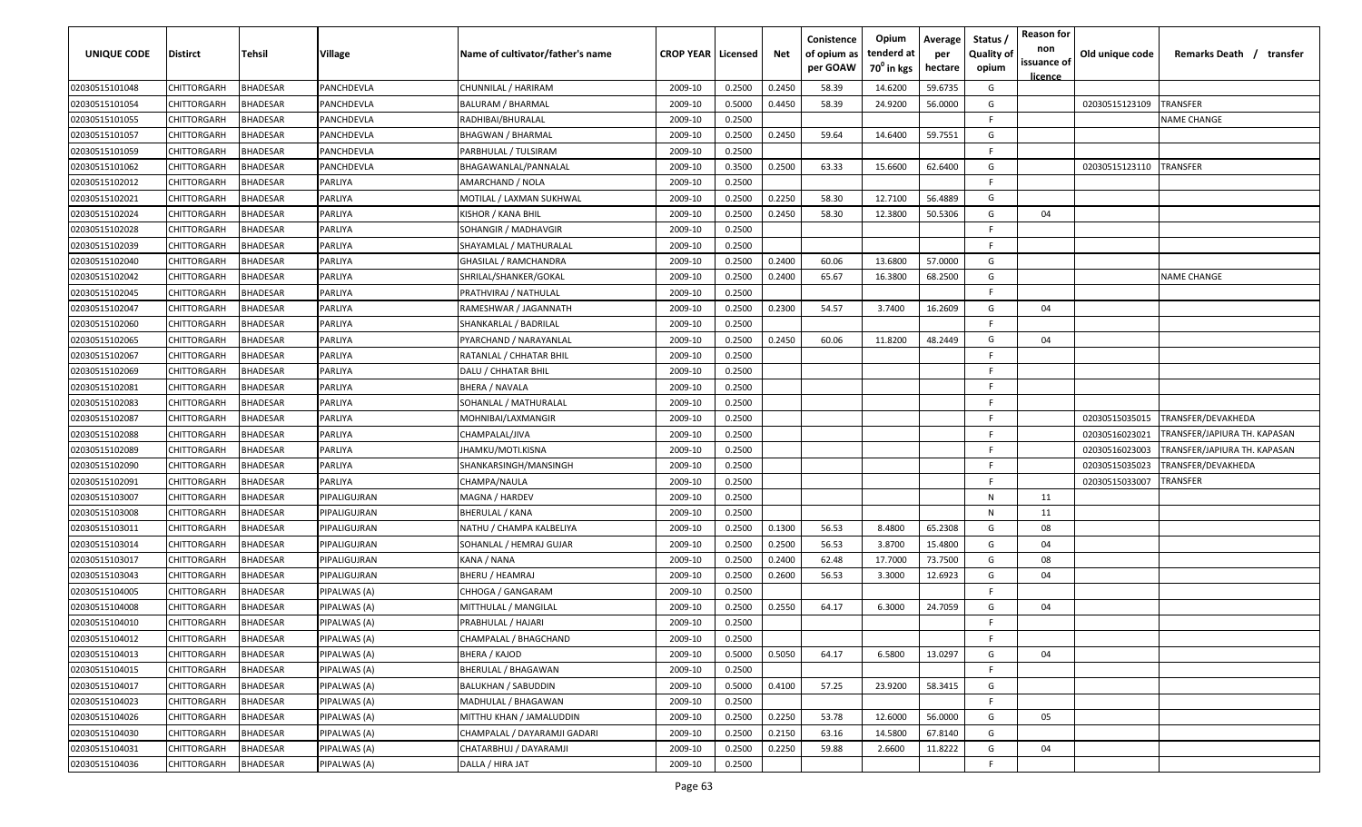| UNIQUE CODE    | <b>Distirct</b>    | Tehsil          | Village      | Name of cultivator/father's name | <b>CROP YEAR   Licensed</b> |        | Net    | Conistence<br>of opium as<br>per GOAW | Opium<br>tenderd at<br>$70^0$ in kgs | Average<br>per<br>hectare | Status,<br><b>Quality of</b><br>opium | <b>Reason for</b><br>non<br>issuance of<br>licence | Old unique code | Remarks Death / transfer     |
|----------------|--------------------|-----------------|--------------|----------------------------------|-----------------------------|--------|--------|---------------------------------------|--------------------------------------|---------------------------|---------------------------------------|----------------------------------------------------|-----------------|------------------------------|
| 02030515101048 | <b>CHITTORGARH</b> | <b>BHADESAR</b> | PANCHDEVLA   | CHUNNILAL / HARIRAM              | 2009-10                     | 0.2500 | 0.2450 | 58.39                                 | 14.6200                              | 59.6735                   | G                                     |                                                    |                 |                              |
| 02030515101054 | CHITTORGARH        | <b>BHADESAR</b> | PANCHDEVLA   | <b>BALURAM / BHARMAL</b>         | 2009-10                     | 0.5000 | 0.4450 | 58.39                                 | 24.9200                              | 56.0000                   | G                                     |                                                    | 02030515123109  | TRANSFER                     |
| 02030515101055 | CHITTORGARH        | <b>BHADESAR</b> | PANCHDEVLA   | RADHIBAI/BHURALAL                | 2009-10                     | 0.2500 |        |                                       |                                      |                           | F                                     |                                                    |                 | <b>NAME CHANGE</b>           |
| 02030515101057 | CHITTORGARH        | <b>BHADESAR</b> | PANCHDEVLA   | <b>BHAGWAN / BHARMAL</b>         | 2009-10                     | 0.2500 | 0.2450 | 59.64                                 | 14.6400                              | 59.7551                   | G                                     |                                                    |                 |                              |
| 02030515101059 | CHITTORGARH        | <b>BHADESAR</b> | PANCHDEVLA   | PARBHULAL / TULSIRAM             | 2009-10                     | 0.2500 |        |                                       |                                      |                           | F                                     |                                                    |                 |                              |
| 02030515101062 | CHITTORGARH        | <b>BHADESAR</b> | PANCHDEVLA   | BHAGAWANLAL/PANNALAL             | 2009-10                     | 0.3500 | 0.2500 | 63.33                                 | 15.6600                              | 62.6400                   | G                                     |                                                    | 02030515123110  | <b>TRANSFER</b>              |
| 02030515102012 | CHITTORGARH        | <b>BHADESAR</b> | PARLIYA      | AMARCHAND / NOLA                 | 2009-10                     | 0.2500 |        |                                       |                                      |                           | E                                     |                                                    |                 |                              |
| 02030515102021 | CHITTORGARH        | <b>BHADESAR</b> | PARLIYA      | MOTILAL / LAXMAN SUKHWAL         | 2009-10                     | 0.2500 | 0.2250 | 58.30                                 | 12.7100                              | 56.4889                   | G                                     |                                                    |                 |                              |
| 02030515102024 | CHITTORGARH        | <b>BHADESAR</b> | PARLIYA      | KISHOR / KANA BHIL               | 2009-10                     | 0.2500 | 0.2450 | 58.30                                 | 12.3800                              | 50.5306                   | G                                     | 04                                                 |                 |                              |
| 02030515102028 | CHITTORGARH        | <b>BHADESAR</b> | PARLIYA      | SOHANGIR / MADHAVGIR             | 2009-10                     | 0.2500 |        |                                       |                                      |                           | F.                                    |                                                    |                 |                              |
| 02030515102039 | CHITTORGARH        | BHADESAR        | PARLIYA      | SHAYAMLAL / MATHURALAL           | 2009-10                     | 0.2500 |        |                                       |                                      |                           | F                                     |                                                    |                 |                              |
| 02030515102040 | CHITTORGARH        | <b>BHADESAR</b> | PARLIYA      | GHASILAL / RAMCHANDRA            | 2009-10                     | 0.2500 | 0.2400 | 60.06                                 | 13.6800                              | 57.0000                   | G                                     |                                                    |                 |                              |
| 02030515102042 | CHITTORGARH        | <b>BHADESAR</b> | PARLIYA      | SHRILAL/SHANKER/GOKAL            | 2009-10                     | 0.2500 | 0.2400 | 65.67                                 | 16.3800                              | 68.2500                   | G                                     |                                                    |                 | <b>NAME CHANGE</b>           |
| 02030515102045 | CHITTORGARH        | <b>BHADESAR</b> | PARLIYA      | PRATHVIRAJ / NATHULAL            | 2009-10                     | 0.2500 |        |                                       |                                      |                           | E                                     |                                                    |                 |                              |
| 02030515102047 | CHITTORGARH        | <b>BHADESAR</b> | PARLIYA      | RAMESHWAR / JAGANNATH            | 2009-10                     | 0.2500 | 0.2300 | 54.57                                 | 3.7400                               | 16.2609                   | G                                     | 04                                                 |                 |                              |
| 02030515102060 | CHITTORGARH        | <b>BHADESAR</b> | PARLIYA      | SHANKARLAL / BADRILAL            | 2009-10                     | 0.2500 |        |                                       |                                      |                           | E                                     |                                                    |                 |                              |
| 02030515102065 | CHITTORGARH        | <b>BHADESAR</b> | PARLIYA      | PYARCHAND / NARAYANLAL           | 2009-10                     | 0.2500 | 0.2450 | 60.06                                 | 11.8200                              | 48.2449                   | G                                     | 04                                                 |                 |                              |
| 02030515102067 | CHITTORGARH        | <b>BHADESAR</b> | PARLIYA      | RATANLAL / CHHATAR BHIL          | 2009-10                     | 0.2500 |        |                                       |                                      |                           | E                                     |                                                    |                 |                              |
| 02030515102069 | CHITTORGARH        | <b>BHADESAR</b> | PARLIYA      | DALU / CHHATAR BHIL              | 2009-10                     | 0.2500 |        |                                       |                                      |                           | E                                     |                                                    |                 |                              |
| 02030515102081 | CHITTORGARH        | <b>BHADESAR</b> | PARLIYA      | BHERA / NAVALA                   | 2009-10                     | 0.2500 |        |                                       |                                      |                           | F.                                    |                                                    |                 |                              |
| 02030515102083 | CHITTORGARH        | <b>BHADESAR</b> | PARLIYA      | SOHANLAL / MATHURALAL            | 2009-10                     | 0.2500 |        |                                       |                                      |                           | F                                     |                                                    |                 |                              |
| 02030515102087 | CHITTORGARH        | <b>BHADESAR</b> | PARLIYA      | MOHNIBAI/LAXMANGIR               | 2009-10                     | 0.2500 |        |                                       |                                      |                           | E                                     |                                                    | 02030515035015  | TRANSFER/DEVAKHEDA           |
| 02030515102088 | CHITTORGARH        | <b>BHADESAR</b> | PARLIYA      | CHAMPALAL/JIVA                   | 2009-10                     | 0.2500 |        |                                       |                                      |                           | E                                     |                                                    | 02030516023021  | TRANSFER/JAPIURA TH. KAPASAN |
| 02030515102089 | CHITTORGARH        | <b>BHADESAR</b> | PARLIYA      | IHAMKU/MOTI.KISNA                | 2009-10                     | 0.2500 |        |                                       |                                      |                           |                                       |                                                    | 02030516023003  | TRANSFER/JAPIURA TH. KAPASAN |
| 02030515102090 | CHITTORGARH        | <b>BHADESAR</b> | PARLIYA      | SHANKARSINGH/MANSINGH            | 2009-10                     | 0.2500 |        |                                       |                                      |                           | F                                     |                                                    | 02030515035023  | TRANSFER/DEVAKHEDA           |
| 02030515102091 | CHITTORGARH        | <b>BHADESAR</b> | PARLIYA      | CHAMPA/NAULA                     | 2009-10                     | 0.2500 |        |                                       |                                      |                           | F                                     |                                                    | 02030515033007  | TRANSFER                     |
| 02030515103007 | CHITTORGARH        | <b>BHADESAR</b> | PIPALIGUJRAN | MAGNA / HARDEV                   | 2009-10                     | 0.2500 |        |                                       |                                      |                           | N                                     | 11                                                 |                 |                              |
| 02030515103008 | CHITTORGARH        | <b>BHADESAR</b> | PIPALIGUJRAN | BHERULAL / KANA                  | 2009-10                     | 0.2500 |        |                                       |                                      |                           | $\mathsf{N}$                          | 11                                                 |                 |                              |
| 02030515103011 | CHITTORGARH        | <b>BHADESAR</b> | PIPALIGUJRAN | NATHU / CHAMPA KALBELIYA         | 2009-10                     | 0.2500 | 0.1300 | 56.53                                 | 8.4800                               | 65.2308                   | G                                     | 08                                                 |                 |                              |
| 02030515103014 | CHITTORGARH        | <b>BHADESAR</b> | PIPALIGUJRAN | SOHANLAL / HEMRAJ GUJAR          | 2009-10                     | 0.2500 | 0.2500 | 56.53                                 | 3.8700                               | 15.4800                   | G                                     | 04                                                 |                 |                              |
| 02030515103017 | CHITTORGARH        | <b>BHADESAR</b> | PIPALIGUJRAN | KANA / NANA                      | 2009-10                     | 0.2500 | 0.2400 | 62.48                                 | 17.7000                              | 73.7500                   | G                                     | 08                                                 |                 |                              |
| 02030515103043 | CHITTORGARH        | <b>BHADESAR</b> | PIPALIGUJRAN | BHERU / HEAMRAJ                  | 2009-10                     | 0.2500 | 0.2600 | 56.53                                 | 3.3000                               | 12.6923                   | G                                     | 04                                                 |                 |                              |
| 02030515104005 | CHITTORGARH        | <b>BHADESAR</b> | PIPALWAS (A) | CHHOGA / GANGARAM                | 2009-10                     | 0.2500 |        |                                       |                                      |                           | F                                     |                                                    |                 |                              |
| 02030515104008 | CHITTORGARH        | <b>BHADESAR</b> | PIPALWAS (A) | MITTHULAL / MANGILAL             | 2009-10                     | 0.2500 | 0.2550 | 64.17                                 | 6.3000                               | 24.7059                   | G                                     | 04                                                 |                 |                              |
| 02030515104010 | CHITTORGARH        | <b>BHADESAR</b> | PIPALWAS (A) | PRABHULAL / HAJARI               | 2009-10                     | 0.2500 |        |                                       |                                      |                           | E                                     |                                                    |                 |                              |
| 02030515104012 | CHITTORGARH        | <b>BHADESAR</b> | PIPALWAS (A) | CHAMPALAL / BHAGCHAND            | 2009-10                     | 0.2500 |        |                                       |                                      |                           | F.                                    |                                                    |                 |                              |
| 02030515104013 | <b>CHITTORGARH</b> | <b>BHADESAR</b> | PIPALWAS (A) | BHERA / KAJOD                    | 2009-10                     | 0.5000 | 0.5050 | 64.17                                 | 6.5800                               | 13.0297                   | G                                     | 04                                                 |                 |                              |
| 02030515104015 | CHITTORGARH        | <b>BHADESAR</b> | PIPALWAS (A) | BHERULAL / BHAGAWAN              | 2009-10                     | 0.2500 |        |                                       |                                      |                           | F                                     |                                                    |                 |                              |
| 02030515104017 | CHITTORGARH        | <b>BHADESAR</b> | PIPALWAS (A) | <b>BALUKHAN / SABUDDIN</b>       | 2009-10                     | 0.5000 | 0.4100 | 57.25                                 | 23.9200                              | 58.3415                   | G                                     |                                                    |                 |                              |
| 02030515104023 | CHITTORGARH        | <b>BHADESAR</b> | PIPALWAS (A) | MADHULAL / BHAGAWAN              | 2009-10                     | 0.2500 |        |                                       |                                      |                           | F                                     |                                                    |                 |                              |
| 02030515104026 | CHITTORGARH        | <b>BHADESAR</b> | PIPALWAS (A) | MITTHU KHAN / JAMALUDDIN         | 2009-10                     | 0.2500 | 0.2250 | 53.78                                 | 12.6000                              | 56.0000                   | G                                     | 05                                                 |                 |                              |
| 02030515104030 | CHITTORGARH        | BHADESAR        | PIPALWAS (A) | CHAMPALAL / DAYARAMJI GADARI     | 2009-10                     | 0.2500 | 0.2150 | 63.16                                 | 14.5800                              | 67.8140                   | G                                     |                                                    |                 |                              |
| 02030515104031 | CHITTORGARH        | <b>BHADESAR</b> | PIPALWAS (A) | CHATARBHUJ / DAYARAMJI           | 2009-10                     | 0.2500 | 0.2250 | 59.88                                 | 2.6600                               | 11.8222                   | G                                     | 04                                                 |                 |                              |
| 02030515104036 | <b>CHITTORGARH</b> | <b>BHADESAR</b> | PIPALWAS (A) | DALLA / HIRA JAT                 | 2009-10                     | 0.2500 |        |                                       |                                      |                           | F.                                    |                                                    |                 |                              |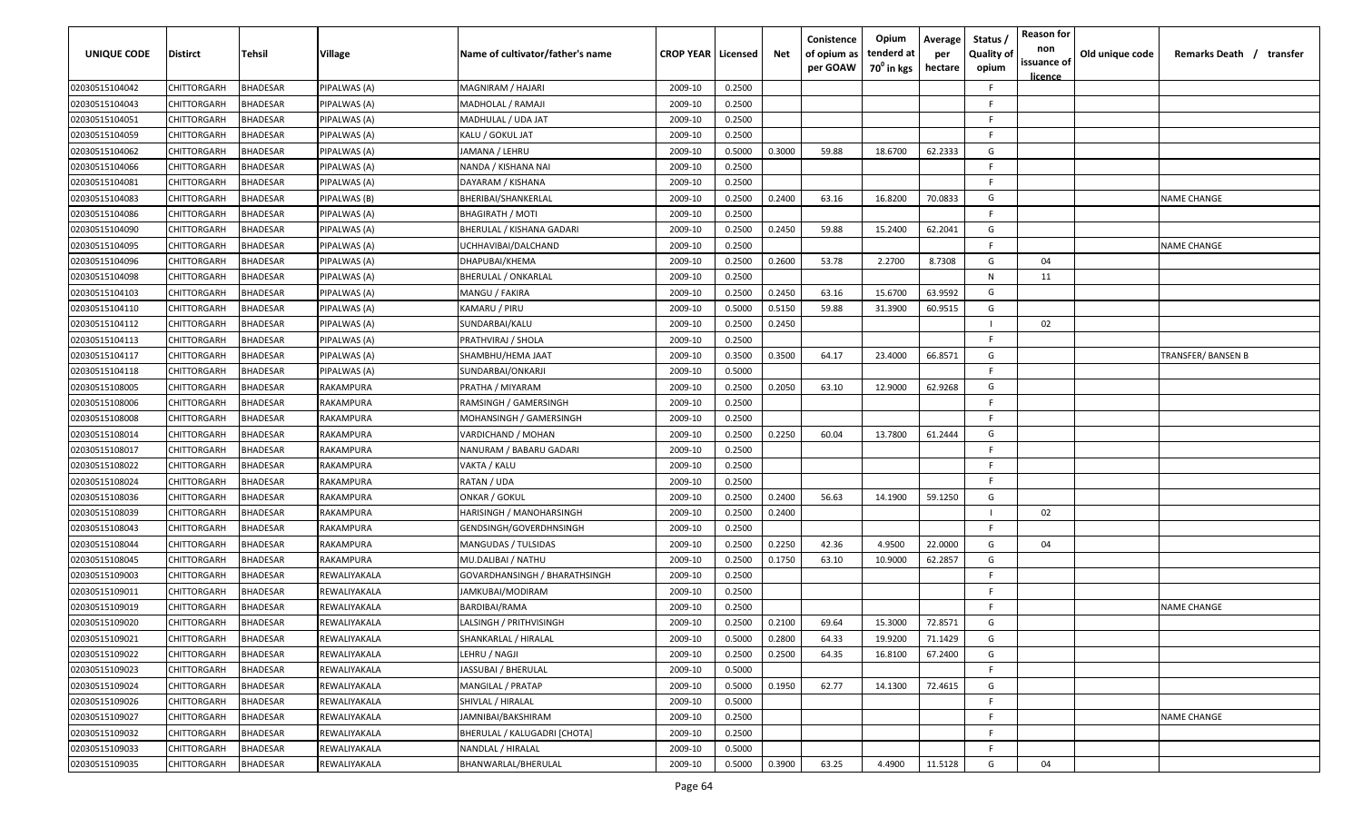| UNIQUE CODE    | <b>Distirct</b>    | Tehsil          | <b>Village</b> | Name of cultivator/father's name | <b>CROP YEAR   Licensed</b> |        | Net    | Conistence<br>of opium as<br>per GOAW | Opium<br>tenderd at<br>70 <sup>0</sup> in kgs | Average<br>per<br>hectare | Status /<br><b>Quality of</b><br>opium | <b>Reason for</b><br>non<br>issuance of<br><u>licence</u> | Old unique code | Remarks Death / transfer |
|----------------|--------------------|-----------------|----------------|----------------------------------|-----------------------------|--------|--------|---------------------------------------|-----------------------------------------------|---------------------------|----------------------------------------|-----------------------------------------------------------|-----------------|--------------------------|
| 02030515104042 | CHITTORGARH        | <b>BHADESAR</b> | PIPALWAS (A)   | MAGNIRAM / HAJARI                | 2009-10                     | 0.2500 |        |                                       |                                               |                           | F                                      |                                                           |                 |                          |
| 02030515104043 | CHITTORGARH        | <b>BHADESAR</b> | PIPALWAS (A)   | MADHOLAL / RAMAJI                | 2009-10                     | 0.2500 |        |                                       |                                               |                           | F                                      |                                                           |                 |                          |
| 02030515104051 | CHITTORGARH        | <b>BHADESAR</b> | PIPALWAS (A)   | MADHULAL / UDA JAT               | 2009-10                     | 0.2500 |        |                                       |                                               |                           | F                                      |                                                           |                 |                          |
| 02030515104059 | CHITTORGARH        | <b>BHADESAR</b> | PIPALWAS (A)   | KALU / GOKUL JAT                 | 2009-10                     | 0.2500 |        |                                       |                                               |                           | F                                      |                                                           |                 |                          |
| 02030515104062 | CHITTORGARH        | <b>BHADESAR</b> | PIPALWAS (A)   | JAMANA / LEHRU                   | 2009-10                     | 0.5000 | 0.3000 | 59.88                                 | 18.6700                                       | 62.2333                   | G                                      |                                                           |                 |                          |
| 02030515104066 | CHITTORGARH        | <b>BHADESAR</b> | PIPALWAS (A)   | NANDA / KISHANA NAI              | 2009-10                     | 0.2500 |        |                                       |                                               |                           | E                                      |                                                           |                 |                          |
| 02030515104081 | CHITTORGARH        | <b>BHADESAR</b> | PIPALWAS (A)   | DAYARAM / KISHANA                | 2009-10                     | 0.2500 |        |                                       |                                               |                           | F                                      |                                                           |                 |                          |
| 02030515104083 | CHITTORGARH        | <b>BHADESAR</b> | PIPALWAS (B)   | BHERIBAI/SHANKERLAL              | 2009-10                     | 0.2500 | 0.2400 | 63.16                                 | 16.8200                                       | 70.0833                   | G                                      |                                                           |                 | <b>NAME CHANGE</b>       |
| 02030515104086 | CHITTORGARH        | <b>BHADESAR</b> | PIPALWAS (A)   | <b>BHAGIRATH / MOTI</b>          | 2009-10                     | 0.2500 |        |                                       |                                               |                           | F                                      |                                                           |                 |                          |
| 02030515104090 | CHITTORGARH        | <b>BHADESAR</b> | 이PALWAS (A)    | BHERULAL / KISHANA GADARI        | 2009-10                     | 0.2500 | 0.2450 | 59.88                                 | 15.2400                                       | 62.2041                   | G                                      |                                                           |                 |                          |
| 02030515104095 | CHITTORGARH        | <b>BHADESAR</b> | PIPALWAS (A)   | JCHHAVIBAI/DALCHAND              | 2009-10                     | 0.2500 |        |                                       |                                               |                           | F                                      |                                                           |                 | <b>NAME CHANGE</b>       |
| 02030515104096 | CHITTORGARH        | <b>BHADESAR</b> | PIPALWAS (A)   | DHAPUBAI/KHEMA                   | 2009-10                     | 0.2500 | 0.2600 | 53.78                                 | 2.2700                                        | 8.7308                    | G                                      | 04                                                        |                 |                          |
| 02030515104098 | CHITTORGARH        | <b>BHADESAR</b> | PIPALWAS (A)   | <b>BHERULAL / ONKARLAL</b>       | 2009-10                     | 0.2500 |        |                                       |                                               |                           | $\mathsf{N}$                           | 11                                                        |                 |                          |
| 02030515104103 | CHITTORGARH        | <b>BHADESAR</b> | PIPALWAS (A)   | MANGU / FAKIRA                   | 2009-10                     | 0.2500 | 0.2450 | 63.16                                 | 15.6700                                       | 63.9592                   | G                                      |                                                           |                 |                          |
| 02030515104110 | CHITTORGARH        | <b>BHADESAR</b> | PIPALWAS (A)   | KAMARU / PIRU                    | 2009-10                     | 0.5000 | 0.5150 | 59.88                                 | 31.3900                                       | 60.9515                   | G                                      |                                                           |                 |                          |
| 02030515104112 | CHITTORGARH        | <b>BHADESAR</b> | PIPALWAS (A)   | SUNDARBAI/KALU                   | 2009-10                     | 0.2500 | 0.2450 |                                       |                                               |                           |                                        | 02                                                        |                 |                          |
| 02030515104113 | CHITTORGARH        | <b>BHADESAR</b> | PIPALWAS (A)   | PRATHVIRAJ / SHOLA               | 2009-10                     | 0.2500 |        |                                       |                                               |                           | E                                      |                                                           |                 |                          |
| 02030515104117 | CHITTORGARH        | BHADESAR        | PIPALWAS (A)   | SHAMBHU/HEMA JAAT                | 2009-10                     | 0.3500 | 0.3500 | 64.17                                 | 23.4000                                       | 66.8571                   | G                                      |                                                           |                 | TRANSFER/ BANSEN B       |
| 02030515104118 | CHITTORGARH        | <b>BHADESAR</b> | PIPALWAS (A)   | SUNDARBAI/ONKARJI                | 2009-10                     | 0.5000 |        |                                       |                                               |                           | F                                      |                                                           |                 |                          |
| 02030515108005 | CHITTORGARH        | <b>BHADESAR</b> | RAKAMPURA      | PRATHA / MIYARAM                 | 2009-10                     | 0.2500 | 0.2050 | 63.10                                 | 12.9000                                       | 62.9268                   | G                                      |                                                           |                 |                          |
| 02030515108006 | CHITTORGARH        | <b>BHADESAR</b> | RAKAMPURA      | RAMSINGH / GAMERSINGH            | 2009-10                     | 0.2500 |        |                                       |                                               |                           | F                                      |                                                           |                 |                          |
| 02030515108008 | CHITTORGARH        | <b>BHADESAR</b> | RAKAMPURA      | MOHANSINGH / GAMERSINGH          | 2009-10                     | 0.2500 |        |                                       |                                               |                           | F                                      |                                                           |                 |                          |
| 02030515108014 | CHITTORGARH        | <b>BHADESAR</b> | RAKAMPURA      | VARDICHAND / MOHAN               | 2009-10                     | 0.2500 | 0.2250 | 60.04                                 | 13.7800                                       | 61.2444                   | G                                      |                                                           |                 |                          |
| 02030515108017 | CHITTORGARH        | <b>BHADESAR</b> | RAKAMPURA      | NANURAM / BABARU GADARI          | 2009-10                     | 0.2500 |        |                                       |                                               |                           | F                                      |                                                           |                 |                          |
| 02030515108022 | CHITTORGARH        | <b>BHADESAR</b> | RAKAMPURA      | VAKTA / KALU                     | 2009-10                     | 0.2500 |        |                                       |                                               |                           | E                                      |                                                           |                 |                          |
| 02030515108024 | CHITTORGARH        | <b>BHADESAR</b> | RAKAMPURA      | RATAN / UDA                      | 2009-10                     | 0.2500 |        |                                       |                                               |                           | F                                      |                                                           |                 |                          |
| 02030515108036 | CHITTORGARH        | <b>BHADESAR</b> | RAKAMPURA      | ONKAR / GOKUL                    | 2009-10                     | 0.2500 | 0.2400 | 56.63                                 | 14.1900                                       | 59.1250                   | G                                      |                                                           |                 |                          |
| 02030515108039 | CHITTORGARH        | <b>BHADESAR</b> | RAKAMPURA      | HARISINGH / MANOHARSINGH         | 2009-10                     | 0.2500 | 0.2400 |                                       |                                               |                           |                                        | 02                                                        |                 |                          |
| 02030515108043 | CHITTORGARH        | <b>BHADESAR</b> | RAKAMPURA      | GENDSINGH/GOVERDHNSINGH          | 2009-10                     | 0.2500 |        |                                       |                                               |                           | E                                      |                                                           |                 |                          |
| 02030515108044 | CHITTORGARH        | <b>BHADESAR</b> | RAKAMPURA      | MANGUDAS / TULSIDAS              | 2009-10                     | 0.2500 | 0.2250 | 42.36                                 | 4.9500                                        | 22.0000                   | G                                      | 04                                                        |                 |                          |
| 02030515108045 | CHITTORGARH        | <b>BHADESAR</b> | RAKAMPURA      | MU.DALIBAI / NATHU               | 2009-10                     | 0.2500 | 0.1750 | 63.10                                 | 10.9000                                       | 62.2857                   | G                                      |                                                           |                 |                          |
| 02030515109003 | CHITTORGARH        | <b>BHADESAR</b> | REWALIYAKALA   | GOVARDHANSINGH / BHARATHSINGH    | 2009-10                     | 0.2500 |        |                                       |                                               |                           | F                                      |                                                           |                 |                          |
| 02030515109011 | CHITTORGARH        | <b>BHADESAR</b> | REWALIYAKALA   | JAMKUBAI/MODIRAM                 | 2009-10                     | 0.2500 |        |                                       |                                               |                           | E                                      |                                                           |                 |                          |
| 02030515109019 | CHITTORGARH        | BHADESAR        | REWALIYAKALA   | BARDIBAI/RAMA                    | 2009-10                     | 0.2500 |        |                                       |                                               |                           | F                                      |                                                           |                 | <b>NAME CHANGE</b>       |
| 02030515109020 | CHITTORGARH        | <b>BHADESAR</b> | REWALIYAKALA   | LALSINGH / PRITHVISINGH          | 2009-10                     | 0.2500 | 0.2100 | 69.64                                 | 15.3000                                       | 72.8571                   | G                                      |                                                           |                 |                          |
| 02030515109021 | CHITTORGARH        | <b>BHADESAR</b> | REWALIYAKALA   | SHANKARLAL / HIRALAL             | 2009-10                     | 0.5000 | 0.2800 | 64.33                                 | 19.9200                                       | 71.1429                   | G                                      |                                                           |                 |                          |
| 02030515109022 | <b>CHITTORGARH</b> | <b>BHADESAR</b> | REWALIYAKALA   | LEHRU / NAGJI                    | 2009-10                     | 0.2500 | 0.2500 | 64.35                                 | 16.8100                                       | 67.2400                   | G                                      |                                                           |                 |                          |
| 02030515109023 | CHITTORGARH        | <b>BHADESAR</b> | REWALIYAKALA   | JASSUBAI / BHERULAL              | 2009-10                     | 0.5000 |        |                                       |                                               |                           | F                                      |                                                           |                 |                          |
| 02030515109024 | CHITTORGARH        | <b>BHADESAR</b> | REWALIYAKALA   | MANGILAL / PRATAP                | 2009-10                     | 0.5000 | 0.1950 | 62.77                                 | 14.1300                                       | 72.4615                   | G                                      |                                                           |                 |                          |
| 02030515109026 | CHITTORGARH        | <b>BHADESAR</b> | REWALIYAKALA   | SHIVLAL / HIRALAL                | 2009-10                     | 0.5000 |        |                                       |                                               |                           | F.                                     |                                                           |                 |                          |
| 02030515109027 | CHITTORGARH        | <b>BHADESAR</b> | REWALIYAKALA   | JAMNIBAI/BAKSHIRAM               | 2009-10                     | 0.2500 |        |                                       |                                               |                           | F.                                     |                                                           |                 | <b>NAME CHANGE</b>       |
| 02030515109032 | CHITTORGARH        | <b>BHADESAR</b> | REWALIYAKALA   | BHERULAL / KALUGADRI [CHOTA]     | 2009-10                     | 0.2500 |        |                                       |                                               |                           | F                                      |                                                           |                 |                          |
| 02030515109033 | CHITTORGARH        | <b>BHADESAR</b> | REWALIYAKALA   | NANDLAL / HIRALAL                | 2009-10                     | 0.5000 |        |                                       |                                               |                           | F                                      |                                                           |                 |                          |
| 02030515109035 | CHITTORGARH        | <b>BHADESAR</b> | REWALIYAKALA   | BHANWARLAL/BHERULAL              | 2009-10                     | 0.5000 | 0.3900 | 63.25                                 | 4.4900                                        | 11.5128                   | G                                      | 04                                                        |                 |                          |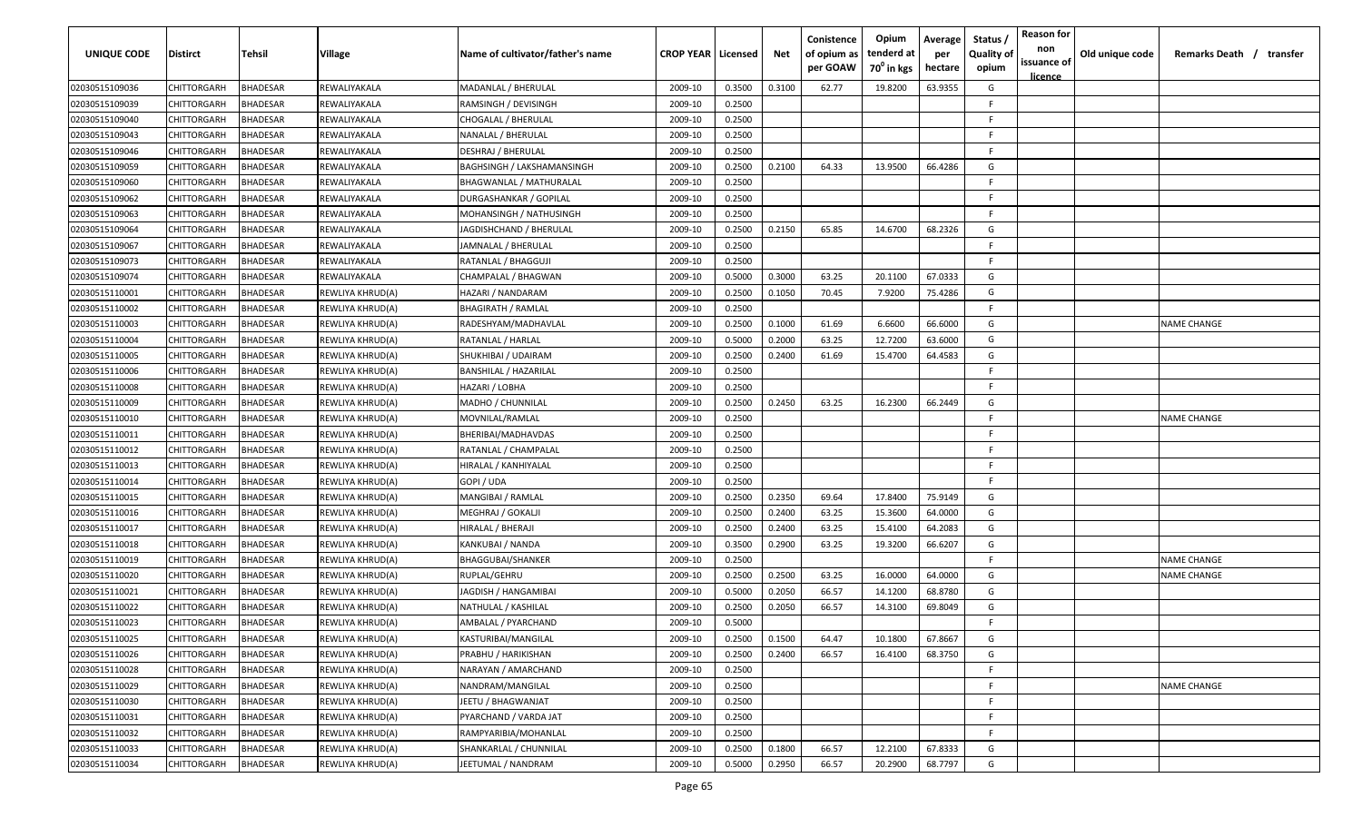| UNIQUE CODE    | <b>Distirct</b> | Tehsil          | Village          | Name of cultivator/father's name  | <b>CROP YEAR   Licensed</b> |        | Net    | Conistence<br>of opium as<br>per GOAW | Opium<br>tenderd at<br>70 <sup>°</sup> in kgs | Average<br>per<br>hectare | Status<br><b>Quality of</b><br>opium | <b>Reason for</b><br>non<br>issuance of<br><u>licence</u> | Old unique code | Remarks Death / transfer |
|----------------|-----------------|-----------------|------------------|-----------------------------------|-----------------------------|--------|--------|---------------------------------------|-----------------------------------------------|---------------------------|--------------------------------------|-----------------------------------------------------------|-----------------|--------------------------|
| 02030515109036 | CHITTORGARH     | <b>BHADESAR</b> | REWALIYAKALA     | MADANLAL / BHERULAL               | 2009-10                     | 0.3500 | 0.3100 | 62.77                                 | 19.8200                                       | 63.9355                   | G                                    |                                                           |                 |                          |
| 02030515109039 | CHITTORGARH     | <b>BHADESAR</b> | REWALIYAKALA     | RAMSINGH / DEVISINGH              | 2009-10                     | 0.2500 |        |                                       |                                               |                           | -F                                   |                                                           |                 |                          |
| 02030515109040 | CHITTORGARH     | BHADESAR        | REWALIYAKALA     | CHOGALAL / BHERULAL               | 2009-10                     | 0.2500 |        |                                       |                                               |                           | -F                                   |                                                           |                 |                          |
| 02030515109043 | CHITTORGARH     | BHADESAR        | REWALIYAKALA     | NANALAL / BHERULAL                | 2009-10                     | 0.2500 |        |                                       |                                               |                           | F.                                   |                                                           |                 |                          |
| 02030515109046 | CHITTORGARH     | BHADESAR        | REWALIYAKALA     | DESHRAJ / BHERULAL                | 2009-10                     | 0.2500 |        |                                       |                                               |                           | -F                                   |                                                           |                 |                          |
| 02030515109059 | CHITTORGARH     | <b>BHADESAR</b> | REWALIYAKALA     | <b>BAGHSINGH / LAKSHAMANSINGH</b> | 2009-10                     | 0.2500 | 0.2100 | 64.33                                 | 13.9500                                       | 66.4286                   | G                                    |                                                           |                 |                          |
| 02030515109060 | CHITTORGARH     | <b>BHADESAR</b> | REWALIYAKALA     | BHAGWANLAL / MATHURALAL           | 2009-10                     | 0.2500 |        |                                       |                                               |                           | E                                    |                                                           |                 |                          |
| 02030515109062 | CHITTORGARH     | <b>BHADESAR</b> | REWALIYAKALA     | DURGASHANKAR / GOPILAL            | 2009-10                     | 0.2500 |        |                                       |                                               |                           | F.                                   |                                                           |                 |                          |
| 02030515109063 | CHITTORGARH     | <b>BHADESAR</b> | REWALIYAKALA     | MOHANSINGH / NATHUSINGH           | 2009-10                     | 0.2500 |        |                                       |                                               |                           | F.                                   |                                                           |                 |                          |
| 02030515109064 | CHITTORGARH     | <b>BHADESAR</b> | REWALIYAKALA     | IAGDISHCHAND / BHERULAL           | 2009-10                     | 0.2500 | 0.2150 | 65.85                                 | 14.6700                                       | 68.2326                   | G                                    |                                                           |                 |                          |
| 02030515109067 | CHITTORGARH     | <b>BHADESAR</b> | REWALIYAKALA     | IAMNALAL / BHERULAL               | 2009-10                     | 0.2500 |        |                                       |                                               |                           | E                                    |                                                           |                 |                          |
| 02030515109073 | CHITTORGARH     | BHADESAR        | REWALIYAKALA     | RATANLAL / BHAGGUJI               | 2009-10                     | 0.2500 |        |                                       |                                               |                           | F.                                   |                                                           |                 |                          |
| 02030515109074 | CHITTORGARH     | BHADESAR        | REWALIYAKALA     | CHAMPALAL / BHAGWAN               | 2009-10                     | 0.5000 | 0.3000 | 63.25                                 | 20.1100                                       | 67.0333                   | G                                    |                                                           |                 |                          |
| 02030515110001 | CHITTORGARH     | <b>BHADESAR</b> | REWLIYA KHRUD(A) | HAZARI / NANDARAM                 | 2009-10                     | 0.2500 | 0.1050 | 70.45                                 | 7.9200                                        | 75.4286                   | G                                    |                                                           |                 |                          |
| 02030515110002 | CHITTORGARH     | <b>BHADESAR</b> | REWLIYA KHRUD(A) | <b>BHAGIRATH / RAMLAL</b>         | 2009-10                     | 0.2500 |        |                                       |                                               |                           | F.                                   |                                                           |                 |                          |
| 02030515110003 | CHITTORGARH     | <b>BHADESAR</b> | REWLIYA KHRUD(A) | RADESHYAM/MADHAVLAL               | 2009-10                     | 0.2500 | 0.1000 | 61.69                                 | 6.6600                                        | 66.6000                   | G                                    |                                                           |                 | <b>NAME CHANGE</b>       |
| 02030515110004 | CHITTORGARH     | BHADESAR        | REWLIYA KHRUD(A) | RATANLAL / HARLAL                 | 2009-10                     | 0.5000 | 0.2000 | 63.25                                 | 12.7200                                       | 63.6000                   | G                                    |                                                           |                 |                          |
| 02030515110005 | CHITTORGARH     | BHADESAR        | REWLIYA KHRUD(A) | SHUKHIBAI / UDAIRAM               | 2009-10                     | 0.2500 | 0.2400 | 61.69                                 | 15.4700                                       | 64.4583                   | G                                    |                                                           |                 |                          |
| 02030515110006 | CHITTORGARH     | BHADESAR        | REWLIYA KHRUD(A) | BANSHILAL / HAZARILAL             | 2009-10                     | 0.2500 |        |                                       |                                               |                           | -F                                   |                                                           |                 |                          |
| 02030515110008 | CHITTORGARH     | BHADESAR        | REWLIYA KHRUD(A) | HAZARI / LOBHA                    | 2009-10                     | 0.2500 |        |                                       |                                               |                           | E                                    |                                                           |                 |                          |
| 02030515110009 | CHITTORGARH     | <b>BHADESAR</b> | REWLIYA KHRUD(A) | MADHO / CHUNNILAL                 | 2009-10                     | 0.2500 | 0.2450 | 63.25                                 | 16.2300                                       | 66.2449                   | G                                    |                                                           |                 |                          |
| 02030515110010 | CHITTORGARH     | BHADESAR        | REWLIYA KHRUD(A) | MOVNILAL/RAMLAL                   | 2009-10                     | 0.2500 |        |                                       |                                               |                           | -F                                   |                                                           |                 | NAME CHANGE              |
| 02030515110011 | CHITTORGARH     | <b>BHADESAR</b> | REWLIYA KHRUD(A) | BHERIBAI/MADHAVDAS                | 2009-10                     | 0.2500 |        |                                       |                                               |                           | -F                                   |                                                           |                 |                          |
| 02030515110012 | CHITTORGARH     | <b>BHADESAR</b> | REWLIYA KHRUD(A) | RATANLAL / CHAMPALAL              | 2009-10                     | 0.2500 |        |                                       |                                               |                           | F                                    |                                                           |                 |                          |
| 02030515110013 | CHITTORGARH     | BHADESAR        | REWLIYA KHRUD(A) | HIRALAL / KANHIYALAL              | 2009-10                     | 0.2500 |        |                                       |                                               |                           | F.                                   |                                                           |                 |                          |
| 02030515110014 | CHITTORGARH     | BHADESAR        | REWLIYA KHRUD(A) | GOPI / UDA                        | 2009-10                     | 0.2500 |        |                                       |                                               |                           | F.                                   |                                                           |                 |                          |
| 02030515110015 | CHITTORGARH     | 3HADESAR        | REWLIYA KHRUD(A) | MANGIBAI / RAMLAL                 | 2009-10                     | 0.2500 | 0.2350 | 69.64                                 | 17.8400                                       | 75.9149                   | G                                    |                                                           |                 |                          |
| 02030515110016 | CHITTORGARH     | <b>BHADESAR</b> | REWLIYA KHRUD(A) | MEGHRAJ / GOKALJI                 | 2009-10                     | 0.2500 | 0.2400 | 63.25                                 | 15.3600                                       | 64.0000                   | G                                    |                                                           |                 |                          |
| 02030515110017 | CHITTORGARH     | BHADESAR        | REWLIYA KHRUD(A) | HIRALAL / BHERAJI                 | 2009-10                     | 0.2500 | 0.2400 | 63.25                                 | 15.4100                                       | 64.2083                   | G                                    |                                                           |                 |                          |
| 02030515110018 | CHITTORGARH     | BHADESAR        | REWLIYA KHRUD(A) | KANKUBAI / NANDA                  | 2009-10                     | 0.3500 | 0.2900 | 63.25                                 | 19.3200                                       | 66.6207                   | G                                    |                                                           |                 |                          |
| 02030515110019 | CHITTORGARH     | BHADESAR        | REWLIYA KHRUD(A) | <b>BHAGGUBAI/SHANKER</b>          | 2009-10                     | 0.2500 |        |                                       |                                               |                           | -F                                   |                                                           |                 | NAME CHANGE              |
| 02030515110020 | CHITTORGARH     | <b>BHADESAR</b> | REWLIYA KHRUD(A) | RUPLAL/GEHRU                      | 2009-10                     | 0.2500 | 0.2500 | 63.25                                 | 16.0000                                       | 64.0000                   | G                                    |                                                           |                 | NAME CHANGE              |
| 02030515110021 | CHITTORGARH     | BHADESAR        | REWLIYA KHRUD(A) | JAGDISH / HANGAMIBAI              | 2009-10                     | 0.5000 | 0.2050 | 66.57                                 | 14.1200                                       | 68.8780                   | G                                    |                                                           |                 |                          |
| 02030515110022 | CHITTORGARH     | BHADESAR        | REWLIYA KHRUD(A) | NATHULAL / KASHILAL               | 2009-10                     | 0.2500 | 0.2050 | 66.57                                 | 14.3100                                       | 69.8049                   | G                                    |                                                           |                 |                          |
| 02030515110023 | CHITTORGARH     | BHADESAR        | REWLIYA KHRUD(A) | AMBALAL / PYARCHAND               | 2009-10                     | 0.5000 |        |                                       |                                               |                           | F                                    |                                                           |                 |                          |
| 02030515110025 | CHITTORGARH     | <b>BHADESAR</b> | REWLIYA KHRUD(A) | KASTURIBAI/MANGILAL               | 2009-10                     | 0.2500 | 0.1500 | 64.47                                 | 10.1800                                       | 67.8667                   | G                                    |                                                           |                 |                          |
| 02030515110026 | CHITTORGARH     | <b>BHADESAR</b> | REWLIYA KHRUD(A) | PRABHU / HARIKISHAN               | 2009-10                     | 0.2500 | 0.2400 | 66.57                                 | 16.4100                                       | 68.3750                   | G                                    |                                                           |                 |                          |
| 02030515110028 | CHITTORGARH     | <b>BHADESAR</b> | REWLIYA KHRUD(A) | NARAYAN / AMARCHAND               | 2009-10                     | 0.2500 |        |                                       |                                               |                           | E                                    |                                                           |                 |                          |
| 02030515110029 | CHITTORGARH     | <b>BHADESAR</b> | REWLIYA KHRUD(A) | NANDRAM/MANGILAL                  | 2009-10                     | 0.2500 |        |                                       |                                               |                           | F                                    |                                                           |                 | <b>NAME CHANGE</b>       |
| 02030515110030 | CHITTORGARH     | <b>BHADESAR</b> | REWLIYA KHRUD(A) | IEETU / BHAGWANJAT                | 2009-10                     | 0.2500 |        |                                       |                                               |                           | F.                                   |                                                           |                 |                          |
| 02030515110031 | CHITTORGARH     | <b>BHADESAR</b> | REWLIYA KHRUD(A) | PYARCHAND / VARDA JAT             | 2009-10                     | 0.2500 |        |                                       |                                               |                           | F.                                   |                                                           |                 |                          |
| 02030515110032 | CHITTORGARH     | <b>BHADESAR</b> | REWLIYA KHRUD(A) | RAMPYARIBIA/MOHANLAL              | 2009-10                     | 0.2500 |        |                                       |                                               |                           | F.                                   |                                                           |                 |                          |
| 02030515110033 | CHITTORGARH     | BHADESAR        | REWLIYA KHRUD(A) | SHANKARLAL / CHUNNILAL            | 2009-10                     | 0.2500 | 0.1800 | 66.57                                 | 12.2100                                       | 67.8333                   | G                                    |                                                           |                 |                          |
| 02030515110034 | CHITTORGARH     | BHADESAR        | REWLIYA KHRUD(A) | IEETUMAL / NANDRAM                | 2009-10                     | 0.5000 | 0.2950 | 66.57                                 | 20.2900                                       | 68.7797                   | G                                    |                                                           |                 |                          |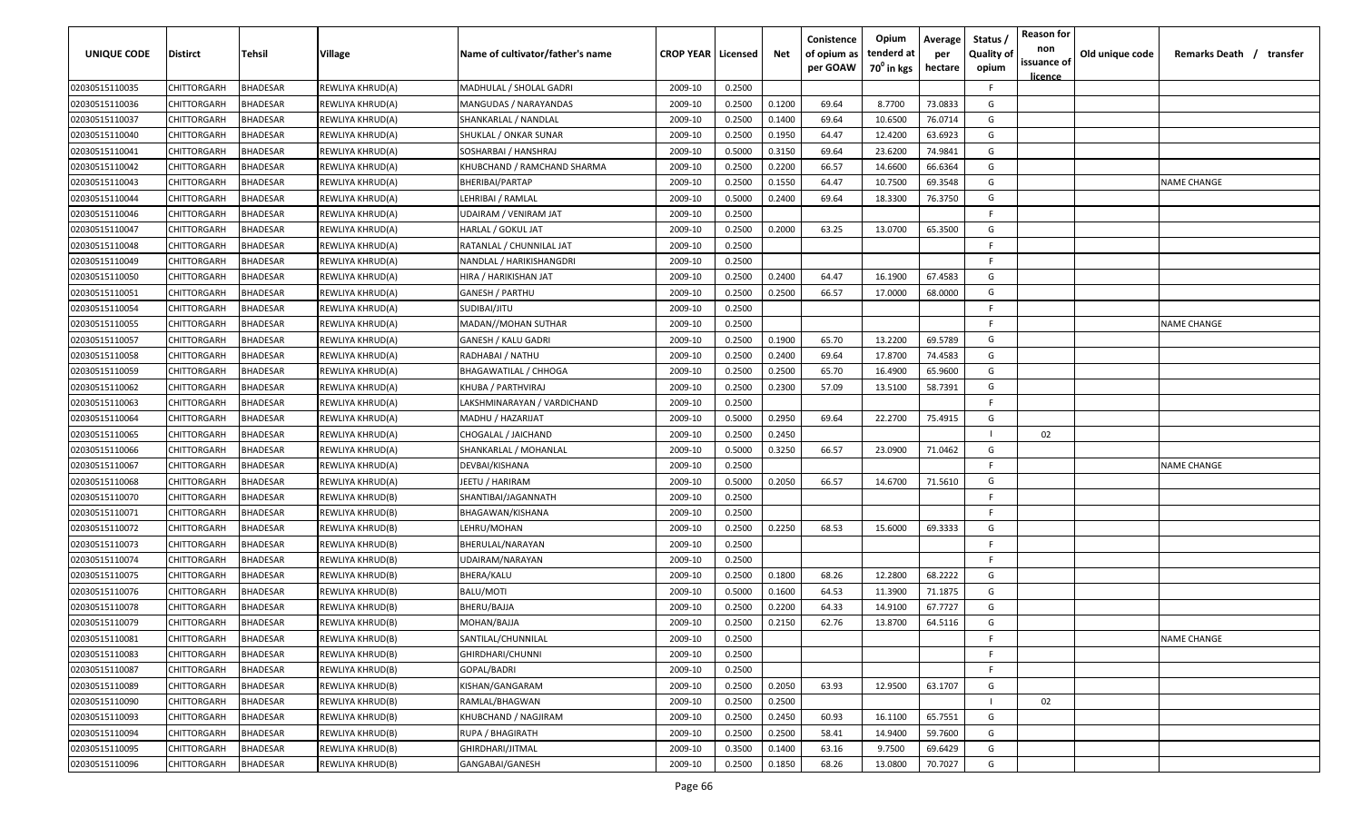| <b>UNIQUE CODE</b> | <b>Distirct</b>    | <b>Tehsil</b>   | Village                 | Name of cultivator/father's name | <b>CROP YEAR   Licensed</b> |        | Net    | Conistence<br>of opium as<br>per GOAW | Opium<br>tenderd at<br>70 <sup>0</sup> in kgs | Average<br>per<br>hectare | Status /<br><b>Quality of</b><br>opium | <b>Reason for</b><br>non<br>issuance of<br><u>licence</u> | Old unique code | Remarks Death / transfer |
|--------------------|--------------------|-----------------|-------------------------|----------------------------------|-----------------------------|--------|--------|---------------------------------------|-----------------------------------------------|---------------------------|----------------------------------------|-----------------------------------------------------------|-----------------|--------------------------|
| 02030515110035     | CHITTORGARH        | <b>BHADESAR</b> | REWLIYA KHRUD(A)        | MADHULAL / SHOLAL GADRI          | 2009-10                     | 0.2500 |        |                                       |                                               |                           | F.                                     |                                                           |                 |                          |
| 02030515110036     | CHITTORGARH        | BHADESAR        | REWLIYA KHRUD(A)        | MANGUDAS / NARAYANDAS            | 2009-10                     | 0.2500 | 0.1200 | 69.64                                 | 8.7700                                        | 73.0833                   | G                                      |                                                           |                 |                          |
| 02030515110037     | CHITTORGARH        | BHADESAR        | REWLIYA KHRUD(A)        | SHANKARLAL / NANDLAL             | 2009-10                     | 0.2500 | 0.1400 | 69.64                                 | 10.6500                                       | 76.0714                   | G                                      |                                                           |                 |                          |
| 02030515110040     | CHITTORGARH        | BHADESAR        | REWLIYA KHRUD(A)        | SHUKLAL / ONKAR SUNAR            | 2009-10                     | 0.2500 | 0.1950 | 64.47                                 | 12.4200                                       | 63.6923                   | G                                      |                                                           |                 |                          |
| 02030515110041     | CHITTORGARH        | BHADESAR        | REWLIYA KHRUD(A)        | SOSHARBAI / HANSHRAJ             | 2009-10                     | 0.5000 | 0.3150 | 69.64                                 | 23.6200                                       | 74.9841                   | G                                      |                                                           |                 |                          |
| 02030515110042     | CHITTORGARH        | BHADESAR        | REWLIYA KHRUD(A)        | KHUBCHAND / RAMCHAND SHARMA      | 2009-10                     | 0.2500 | 0.2200 | 66.57                                 | 14.6600                                       | 66.6364                   | G                                      |                                                           |                 |                          |
| 02030515110043     | CHITTORGARH        | BHADESAR        | REWLIYA KHRUD(A)        | BHERIBAI/PARTAP                  | 2009-10                     | 0.2500 | 0.1550 | 64.47                                 | 10.7500                                       | 69.3548                   | G                                      |                                                           |                 | <b>NAME CHANGE</b>       |
| 02030515110044     | CHITTORGARH        | BHADESAR        | REWLIYA KHRUD(A)        | LEHRIBAI / RAMLAL                | 2009-10                     | 0.5000 | 0.2400 | 69.64                                 | 18.3300                                       | 76.3750                   | G                                      |                                                           |                 |                          |
| 02030515110046     | CHITTORGARH        | BHADESAR        | REWLIYA KHRUD(A)        | UDAIRAM / VENIRAM JAT            | 2009-10                     | 0.2500 |        |                                       |                                               |                           | -F                                     |                                                           |                 |                          |
| 02030515110047     | CHITTORGARH        | BHADESAR        | REWLIYA KHRUD(A)        | HARLAL / GOKUL JAT               | 2009-10                     | 0.2500 | 0.2000 | 63.25                                 | 13.0700                                       | 65.3500                   | G                                      |                                                           |                 |                          |
| 02030515110048     | CHITTORGARH        | BHADESAR        | REWLIYA KHRUD(A)        | RATANLAL / CHUNNILAL JAT         | 2009-10                     | 0.2500 |        |                                       |                                               |                           | F                                      |                                                           |                 |                          |
| 02030515110049     | CHITTORGARH        | BHADESAR        | REWLIYA KHRUD(A)        | NANDLAL / HARIKISHANGDRI         | 2009-10                     | 0.2500 |        |                                       |                                               |                           | -F.                                    |                                                           |                 |                          |
| 02030515110050     | CHITTORGARH        | BHADESAR        | REWLIYA KHRUD(A)        | HIRA / HARIKISHAN JAT            | 2009-10                     | 0.2500 | 0.2400 | 64.47                                 | 16.1900                                       | 67.4583                   | G                                      |                                                           |                 |                          |
| 02030515110051     | CHITTORGARH        | BHADESAR        | REWLIYA KHRUD(A)        | <b>GANESH / PARTHU</b>           | 2009-10                     | 0.2500 | 0.2500 | 66.57                                 | 17.0000                                       | 68.0000                   | G                                      |                                                           |                 |                          |
| 02030515110054     | CHITTORGARH        | BHADESAR        | REWLIYA KHRUD(A)        | SUDIBAI/JITU                     | 2009-10                     | 0.2500 |        |                                       |                                               |                           | F.                                     |                                                           |                 |                          |
| 02030515110055     | CHITTORGARH        | BHADESAR        | REWLIYA KHRUD(A)        | MADAN//MOHAN SUTHAR              | 2009-10                     | 0.2500 |        |                                       |                                               |                           | -F.                                    |                                                           |                 | NAME CHANGE              |
| 02030515110057     | CHITTORGARH        | BHADESAR        | REWLIYA KHRUD(A)        | <b>GANESH / KALU GADRI</b>       | 2009-10                     | 0.2500 | 0.1900 | 65.70                                 | 13.2200                                       | 69.5789                   | G                                      |                                                           |                 |                          |
| 02030515110058     | CHITTORGARH        | BHADESAR        | REWLIYA KHRUD(A)        | RADHABAI / NATHU                 | 2009-10                     | 0.2500 | 0.2400 | 69.64                                 | 17.8700                                       | 74.4583                   | G                                      |                                                           |                 |                          |
| 02030515110059     | CHITTORGARH        | BHADESAR        | REWLIYA KHRUD(A)        | <b>BHAGAWATILAL / CHHOGA</b>     | 2009-10                     | 0.2500 | 0.2500 | 65.70                                 | 16.4900                                       | 65.9600                   | G                                      |                                                           |                 |                          |
| 02030515110062     | CHITTORGARH        | BHADESAR        | REWLIYA KHRUD(A)        | KHUBA / PARTHVIRAJ               | 2009-10                     | 0.2500 | 0.2300 | 57.09                                 | 13.5100                                       | 58.7391                   | G                                      |                                                           |                 |                          |
| 02030515110063     | CHITTORGARH        | BHADESAR        | REWLIYA KHRUD(A)        | LAKSHMINARAYAN / VARDICHAND      | 2009-10                     | 0.2500 |        |                                       |                                               |                           | -F.                                    |                                                           |                 |                          |
| 02030515110064     | CHITTORGARH        | BHADESAR        | REWLIYA KHRUD(A)        | MADHU / HAZARIJAT                | 2009-10                     | 0.5000 | 0.2950 | 69.64                                 | 22.2700                                       | 75.4915                   | G                                      |                                                           |                 |                          |
| 02030515110065     | CHITTORGARH        | BHADESAR        | REWLIYA KHRUD(A)        | CHOGALAL / JAICHAND              | 2009-10                     | 0.2500 | 0.2450 |                                       |                                               |                           |                                        | 02                                                        |                 |                          |
| 02030515110066     | CHITTORGARH        | BHADESAR        | REWLIYA KHRUD(A)        | SHANKARLAL / MOHANLAL            | 2009-10                     | 0.5000 | 0.3250 | 66.57                                 | 23.0900                                       | 71.0462                   | G                                      |                                                           |                 |                          |
| 02030515110067     | CHITTORGARH        | BHADESAR        | REWLIYA KHRUD(A)        | DEVBAI/KISHANA                   | 2009-10                     | 0.2500 |        |                                       |                                               |                           | -F                                     |                                                           |                 | <b>NAME CHANGE</b>       |
| 02030515110068     | CHITTORGARH        | BHADESAR        | REWLIYA KHRUD(A)        | JEETU / HARIRAM                  | 2009-10                     | 0.5000 | 0.2050 | 66.57                                 | 14.6700                                       | 71.5610                   | G                                      |                                                           |                 |                          |
| 02030515110070     | CHITTORGARH        | BHADESAR        | REWLIYA KHRUD(B)        | SHANTIBAI/JAGANNATH              | 2009-10                     | 0.2500 |        |                                       |                                               |                           | -F.                                    |                                                           |                 |                          |
| 02030515110071     | CHITTORGARH        | BHADESAR        | REWLIYA KHRUD(B)        | BHAGAWAN/KISHANA                 | 2009-10                     | 0.2500 |        |                                       |                                               |                           | F.                                     |                                                           |                 |                          |
| 02030515110072     | CHITTORGARH        | BHADESAR        | REWLIYA KHRUD(B)        | LEHRU/MOHAN                      | 2009-10                     | 0.2500 | 0.2250 | 68.53                                 | 15.6000                                       | 69.3333                   | G                                      |                                                           |                 |                          |
| 02030515110073     | CHITTORGARH        | BHADESAR        | REWLIYA KHRUD(B)        | BHERULAL/NARAYAN                 | 2009-10                     | 0.2500 |        |                                       |                                               |                           | -F.                                    |                                                           |                 |                          |
| 02030515110074     | CHITTORGARH        | BHADESAR        | REWLIYA KHRUD(B)        | UDAIRAM/NARAYAN                  | 2009-10                     | 0.2500 |        |                                       |                                               |                           | -F.                                    |                                                           |                 |                          |
| 02030515110075     | CHITTORGARH        | <b>BHADESAR</b> | REWLIYA KHRUD(B)        | BHERA/KALU                       | 2009-10                     | 0.2500 | 0.1800 | 68.26                                 | 12.2800                                       | 68.2222                   | G                                      |                                                           |                 |                          |
| 02030515110076     | CHITTORGARH        | BHADESAR        | REWLIYA KHRUD(B)        | BALU/MOTI                        | 2009-10                     | 0.5000 | 0.1600 | 64.53                                 | 11.3900                                       | 71.1875                   | G                                      |                                                           |                 |                          |
| 02030515110078     | CHITTORGARH        | BHADESAR        | REWLIYA KHRUD(B)        | BHERU/BAJJA                      | 2009-10                     | 0.2500 | 0.2200 | 64.33                                 | 14.9100                                       | 67.7727                   | G                                      |                                                           |                 |                          |
| 02030515110079     | <b>CHITTORGARH</b> | BHADESAR        | <b>REWLIYA KHRUD(B)</b> | MOHAN/BAJJA                      | 2009-10                     | 0.2500 | 0.2150 | 62.76                                 | 13.8700                                       | 64.5116                   | G                                      |                                                           |                 |                          |
| 02030515110081     | <b>CHITTORGARH</b> | <b>BHADESAR</b> | REWLIYA KHRUD(B)        | SANTILAL/CHUNNILAL               | 2009-10                     | 0.2500 |        |                                       |                                               |                           | F                                      |                                                           |                 | <b>NAME CHANGE</b>       |
| 02030515110083     | <b>CHITTORGARH</b> | <b>BHADESAR</b> | REWLIYA KHRUD(B)        | GHIRDHARI/CHUNNI                 | 2009-10                     | 0.2500 |        |                                       |                                               |                           | F.                                     |                                                           |                 |                          |
| 02030515110087     | CHITTORGARH        | <b>BHADESAR</b> | REWLIYA KHRUD(B)        | GOPAL/BADRI                      | 2009-10                     | 0.2500 |        |                                       |                                               |                           | $\mathsf{F}$                           |                                                           |                 |                          |
| 02030515110089     | CHITTORGARH        | <b>BHADESAR</b> | REWLIYA KHRUD(B)        | KISHAN/GANGARAM                  | 2009-10                     | 0.2500 | 0.2050 | 63.93                                 | 12.9500                                       | 63.1707                   | G                                      |                                                           |                 |                          |
| 02030515110090     | CHITTORGARH        | <b>BHADESAR</b> | REWLIYA KHRUD(B)        | RAMLAL/BHAGWAN                   | 2009-10                     | 0.2500 | 0.2500 |                                       |                                               |                           |                                        | 02                                                        |                 |                          |
| 02030515110093     | CHITTORGARH        | <b>BHADESAR</b> | REWLIYA KHRUD(B)        | KHUBCHAND / NAGJIRAM             | 2009-10                     | 0.2500 | 0.2450 | 60.93                                 | 16.1100                                       | 65.7551                   | G                                      |                                                           |                 |                          |
| 02030515110094     | CHITTORGARH        | <b>BHADESAR</b> | REWLIYA KHRUD(B)        | RUPA / BHAGIRATH                 | 2009-10                     | 0.2500 | 0.2500 | 58.41                                 | 14.9400                                       | 59.7600                   | G                                      |                                                           |                 |                          |
| 02030515110095     | <b>CHITTORGARH</b> | <b>BHADESAR</b> | REWLIYA KHRUD(B)        | GHIRDHARI/JITMAL                 | 2009-10                     | 0.3500 | 0.1400 | 63.16                                 | 9.7500                                        | 69.6429                   | G                                      |                                                           |                 |                          |
| 02030515110096     | CHITTORGARH        | <b>BHADESAR</b> | REWLIYA KHRUD(B)        | GANGABAI/GANESH                  | 2009-10                     | 0.2500 | 0.1850 | 68.26                                 | 13.0800                                       | 70.7027                   | G                                      |                                                           |                 |                          |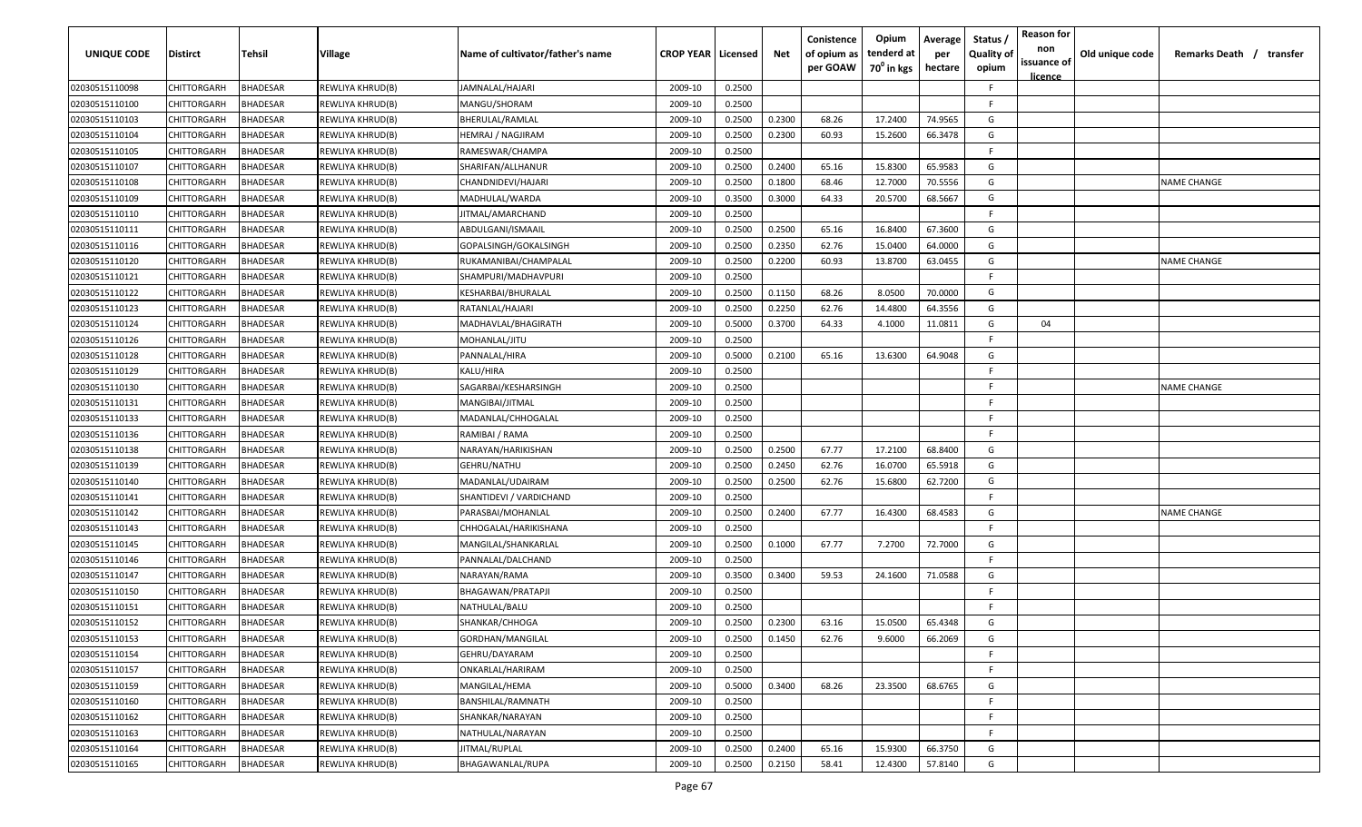| <b>UNIQUE CODE</b> | <b>Distirct</b>    | <b>Tehsil</b>   | Village          | Name of cultivator/father's name | <b>CROP YEAR   Licensed</b> |        | Net    | Conistence<br>of opium as<br>per GOAW | Opium<br>tenderd at<br>70 <sup>0</sup> in kgs | Average<br>per<br>hectare | Status /<br><b>Quality of</b><br>opium | <b>Reason for</b><br>non<br>issuance of<br><u>licence</u> | Old unique code | Remarks Death /<br>transfer |
|--------------------|--------------------|-----------------|------------------|----------------------------------|-----------------------------|--------|--------|---------------------------------------|-----------------------------------------------|---------------------------|----------------------------------------|-----------------------------------------------------------|-----------------|-----------------------------|
| 02030515110098     | CHITTORGARH        | <b>BHADESAR</b> | REWLIYA KHRUD(B) | JAMNALAL/HAJARI                  | 2009-10                     | 0.2500 |        |                                       |                                               |                           | -F                                     |                                                           |                 |                             |
| 02030515110100     | CHITTORGARH        | BHADESAR        | REWLIYA KHRUD(B) | MANGU/SHORAM                     | 2009-10                     | 0.2500 |        |                                       |                                               |                           | -F.                                    |                                                           |                 |                             |
| 02030515110103     | CHITTORGARH        | BHADESAR        | REWLIYA KHRUD(B) | BHERULAL/RAMLAL                  | 2009-10                     | 0.2500 | 0.2300 | 68.26                                 | 17.2400                                       | 74.9565                   | G                                      |                                                           |                 |                             |
| 02030515110104     | CHITTORGARH        | BHADESAR        | REWLIYA KHRUD(B) | HEMRAJ / NAGJIRAM                | 2009-10                     | 0.2500 | 0.2300 | 60.93                                 | 15.2600                                       | 66.3478                   | G                                      |                                                           |                 |                             |
| 02030515110105     | CHITTORGARH        | BHADESAR        | REWLIYA KHRUD(B) | RAMESWAR/CHAMPA                  | 2009-10                     | 0.2500 |        |                                       |                                               |                           | -F.                                    |                                                           |                 |                             |
| 02030515110107     | CHITTORGARH        | BHADESAR        | REWLIYA KHRUD(B) | SHARIFAN/ALLHANUR                | 2009-10                     | 0.2500 | 0.2400 | 65.16                                 | 15.8300                                       | 65.9583                   | G                                      |                                                           |                 |                             |
| 02030515110108     | CHITTORGARH        | BHADESAR        | REWLIYA KHRUD(B) | CHANDNIDEVI/HAJARI               | 2009-10                     | 0.2500 | 0.1800 | 68.46                                 | 12.7000                                       | 70.5556                   | G                                      |                                                           |                 | <b>NAME CHANGE</b>          |
| 02030515110109     | CHITTORGARH        | BHADESAR        | REWLIYA KHRUD(B) | MADHULAL/WARDA                   | 2009-10                     | 0.3500 | 0.3000 | 64.33                                 | 20.5700                                       | 68.5667                   | G                                      |                                                           |                 |                             |
| 02030515110110     | CHITTORGARH        | BHADESAR        | REWLIYA KHRUD(B) | JITMAL/AMARCHAND                 | 2009-10                     | 0.2500 |        |                                       |                                               |                           | -F                                     |                                                           |                 |                             |
| 02030515110111     | CHITTORGARH        | BHADESAR        | REWLIYA KHRUD(B) | ABDULGANI/ISMAAIL                | 2009-10                     | 0.2500 | 0.2500 | 65.16                                 | 16.8400                                       | 67.3600                   | G                                      |                                                           |                 |                             |
| 02030515110116     | CHITTORGARH        | BHADESAR        | REWLIYA KHRUD(B) | GOPALSINGH/GOKALSINGH            | 2009-10                     | 0.2500 | 0.2350 | 62.76                                 | 15.0400                                       | 64.0000                   | G                                      |                                                           |                 |                             |
| 02030515110120     | CHITTORGARH        | BHADESAR        | REWLIYA KHRUD(B) | RUKAMANIBAI/CHAMPALAL            | 2009-10                     | 0.2500 | 0.2200 | 60.93                                 | 13.8700                                       | 63.0455                   | G                                      |                                                           |                 | NAME CHANGE                 |
| 02030515110121     | CHITTORGARH        | BHADESAR        | REWLIYA KHRUD(B) | SHAMPURI/MADHAVPURI              | 2009-10                     | 0.2500 |        |                                       |                                               |                           | -F.                                    |                                                           |                 |                             |
| 02030515110122     | CHITTORGARH        | BHADESAR        | REWLIYA KHRUD(B) | KESHARBAI/BHURALAL               | 2009-10                     | 0.2500 | 0.1150 | 68.26                                 | 8.0500                                        | 70.0000                   | G                                      |                                                           |                 |                             |
| 02030515110123     | CHITTORGARH        | BHADESAR        | REWLIYA KHRUD(B) | RATANLAL/HAJARI                  | 2009-10                     | 0.2500 | 0.2250 | 62.76                                 | 14.4800                                       | 64.3556                   | G                                      |                                                           |                 |                             |
| 02030515110124     | CHITTORGARH        | BHADESAR        | REWLIYA KHRUD(B) | MADHAVLAL/BHAGIRATH              | 2009-10                     | 0.5000 | 0.3700 | 64.33                                 | 4.1000                                        | 11.0811                   | G                                      | 04                                                        |                 |                             |
| 02030515110126     | CHITTORGARH        | <b>BHADESAR</b> | REWLIYA KHRUD(B) | MOHANLAL/JITU                    | 2009-10                     | 0.2500 |        |                                       |                                               |                           | -F.                                    |                                                           |                 |                             |
| 02030515110128     | CHITTORGARH        | BHADESAR        | REWLIYA KHRUD(B) | PANNALAL/HIRA                    | 2009-10                     | 0.5000 | 0.2100 | 65.16                                 | 13.6300                                       | 64.9048                   | G                                      |                                                           |                 |                             |
| 02030515110129     | CHITTORGARH        | BHADESAR        | REWLIYA KHRUD(B) | KALU/HIRA                        | 2009-10                     | 0.2500 |        |                                       |                                               |                           | F                                      |                                                           |                 |                             |
| 02030515110130     | CHITTORGARH        | BHADESAR        | REWLIYA KHRUD(B) | SAGARBAI/KESHARSINGH             | 2009-10                     | 0.2500 |        |                                       |                                               |                           | -F.                                    |                                                           |                 | NAME CHANGE                 |
| 02030515110131     | CHITTORGARH        | BHADESAR        | REWLIYA KHRUD(B) | MANGIBAI/JITMAL                  | 2009-10                     | 0.2500 |        |                                       |                                               |                           | -F.                                    |                                                           |                 |                             |
| 02030515110133     | CHITTORGARH        | BHADESAR        | REWLIYA KHRUD(B) | MADANLAL/CHHOGALAL               | 2009-10                     | 0.2500 |        |                                       |                                               |                           | -F.                                    |                                                           |                 |                             |
| 02030515110136     | CHITTORGARH        | BHADESAR        | REWLIYA KHRUD(B) | RAMIBAI / RAMA                   | 2009-10                     | 0.2500 |        |                                       |                                               |                           | -F.                                    |                                                           |                 |                             |
| 02030515110138     | CHITTORGARH        | BHADESAR        | REWLIYA KHRUD(B) | NARAYAN/HARIKISHAN               | 2009-10                     | 0.2500 | 0.2500 | 67.77                                 | 17.2100                                       | 68.8400                   | G                                      |                                                           |                 |                             |
| 02030515110139     | CHITTORGARH        | BHADESAR        | REWLIYA KHRUD(B) | <b>GEHRU/NATHU</b>               | 2009-10                     | 0.2500 | 0.2450 | 62.76                                 | 16.0700                                       | 65.5918                   | G                                      |                                                           |                 |                             |
| 02030515110140     | CHITTORGARH        | BHADESAR        | REWLIYA KHRUD(B) | MADANLAL/UDAIRAM                 | 2009-10                     | 0.2500 | 0.2500 | 62.76                                 | 15.6800                                       | 62.7200                   | G                                      |                                                           |                 |                             |
| 02030515110141     | CHITTORGARH        | BHADESAR        | REWLIYA KHRUD(B) | SHANTIDEVI / VARDICHAND          | 2009-10                     | 0.2500 |        |                                       |                                               |                           | -F.                                    |                                                           |                 |                             |
| 02030515110142     | CHITTORGARH        | BHADESAR        | REWLIYA KHRUD(B) | PARASBAI/MOHANLAL                | 2009-10                     | 0.2500 | 0.2400 | 67.77                                 | 16.4300                                       | 68.4583                   | G                                      |                                                           |                 | NAME CHANGE                 |
| 02030515110143     | CHITTORGARH        | BHADESAR        | REWLIYA KHRUD(B) | CHHOGALAL/HARIKISHANA            | 2009-10                     | 0.2500 |        |                                       |                                               |                           | -F.                                    |                                                           |                 |                             |
| 02030515110145     | CHITTORGARH        | BHADESAR        | REWLIYA KHRUD(B) | MANGILAL/SHANKARLAL              | 2009-10                     | 0.2500 | 0.1000 | 67.77                                 | 7.2700                                        | 72.7000                   | G                                      |                                                           |                 |                             |
| 02030515110146     | CHITTORGARH        | BHADESAR        | REWLIYA KHRUD(B) | PANNALAL/DALCHAND                | 2009-10                     | 0.2500 |        |                                       |                                               |                           | -F.                                    |                                                           |                 |                             |
| 02030515110147     | CHITTORGARH        | <b>BHADESAR</b> | REWLIYA KHRUD(B) | NARAYAN/RAMA                     | 2009-10                     | 0.3500 | 0.3400 | 59.53                                 | 24.1600                                       | 71.0588                   | G                                      |                                                           |                 |                             |
| 02030515110150     | CHITTORGARH        | BHADESAR        | REWLIYA KHRUD(B) | BHAGAWAN/PRATAPJI                | 2009-10                     | 0.2500 |        |                                       |                                               |                           | -F.                                    |                                                           |                 |                             |
| 02030515110151     | CHITTORGARH        | BHADESAR        | REWLIYA KHRUD(B) | NATHULAL/BALU                    | 2009-10                     | 0.2500 |        |                                       |                                               |                           | E                                      |                                                           |                 |                             |
| 02030515110152     | <b>CHITTORGARH</b> | BHADESAR        | REWLIYA KHRUD(B) | SHANKAR/CHHOGA                   | 2009-10                     | 0.2500 | 0.2300 | 63.16                                 | 15.0500                                       | 65.4348                   | G                                      |                                                           |                 |                             |
| 02030515110153     | <b>CHITTORGARH</b> | <b>BHADESAR</b> | REWLIYA KHRUD(B) | GORDHAN/MANGILAL                 | 2009-10                     | 0.2500 | 0.1450 | 62.76                                 | 9.6000                                        | 66.2069                   | G                                      |                                                           |                 |                             |
| 02030515110154     | <b>CHITTORGARH</b> | <b>BHADESAR</b> | REWLIYA KHRUD(B) | GEHRU/DAYARAM                    | 2009-10                     | 0.2500 |        |                                       |                                               |                           | F.                                     |                                                           |                 |                             |
| 02030515110157     | CHITTORGARH        | <b>BHADESAR</b> | REWLIYA KHRUD(B) | ONKARLAL/HARIRAM                 | 2009-10                     | 0.2500 |        |                                       |                                               |                           | F                                      |                                                           |                 |                             |
| 02030515110159     | CHITTORGARH        | <b>BHADESAR</b> | REWLIYA KHRUD(B) | MANGILAL/HEMA                    | 2009-10                     | 0.5000 | 0.3400 | 68.26                                 | 23.3500                                       | 68.6765                   | G                                      |                                                           |                 |                             |
| 02030515110160     | CHITTORGARH        | <b>BHADESAR</b> | REWLIYA KHRUD(B) | BANSHILAL/RAMNATH                | 2009-10                     | 0.2500 |        |                                       |                                               |                           | F.                                     |                                                           |                 |                             |
| 02030515110162     | <b>CHITTORGARH</b> | <b>BHADESAR</b> | REWLIYA KHRUD(B) | SHANKAR/NARAYAN                  | 2009-10                     | 0.2500 |        |                                       |                                               |                           | F.                                     |                                                           |                 |                             |
| 02030515110163     | <b>CHITTORGARH</b> | <b>BHADESAR</b> | REWLIYA KHRUD(B) | NATHULAL/NARAYAN                 | 2009-10                     | 0.2500 |        |                                       |                                               |                           | F.                                     |                                                           |                 |                             |
| 02030515110164     | <b>CHITTORGARH</b> | <b>BHADESAR</b> | REWLIYA KHRUD(B) | JITMAL/RUPLAL                    | 2009-10                     | 0.2500 | 0.2400 | 65.16                                 | 15.9300                                       | 66.3750                   | G                                      |                                                           |                 |                             |
| 02030515110165     | CHITTORGARH        | <b>BHADESAR</b> | REWLIYA KHRUD(B) | BHAGAWANLAL/RUPA                 | 2009-10                     | 0.2500 | 0.2150 | 58.41                                 | 12.4300                                       | 57.8140                   | G                                      |                                                           |                 |                             |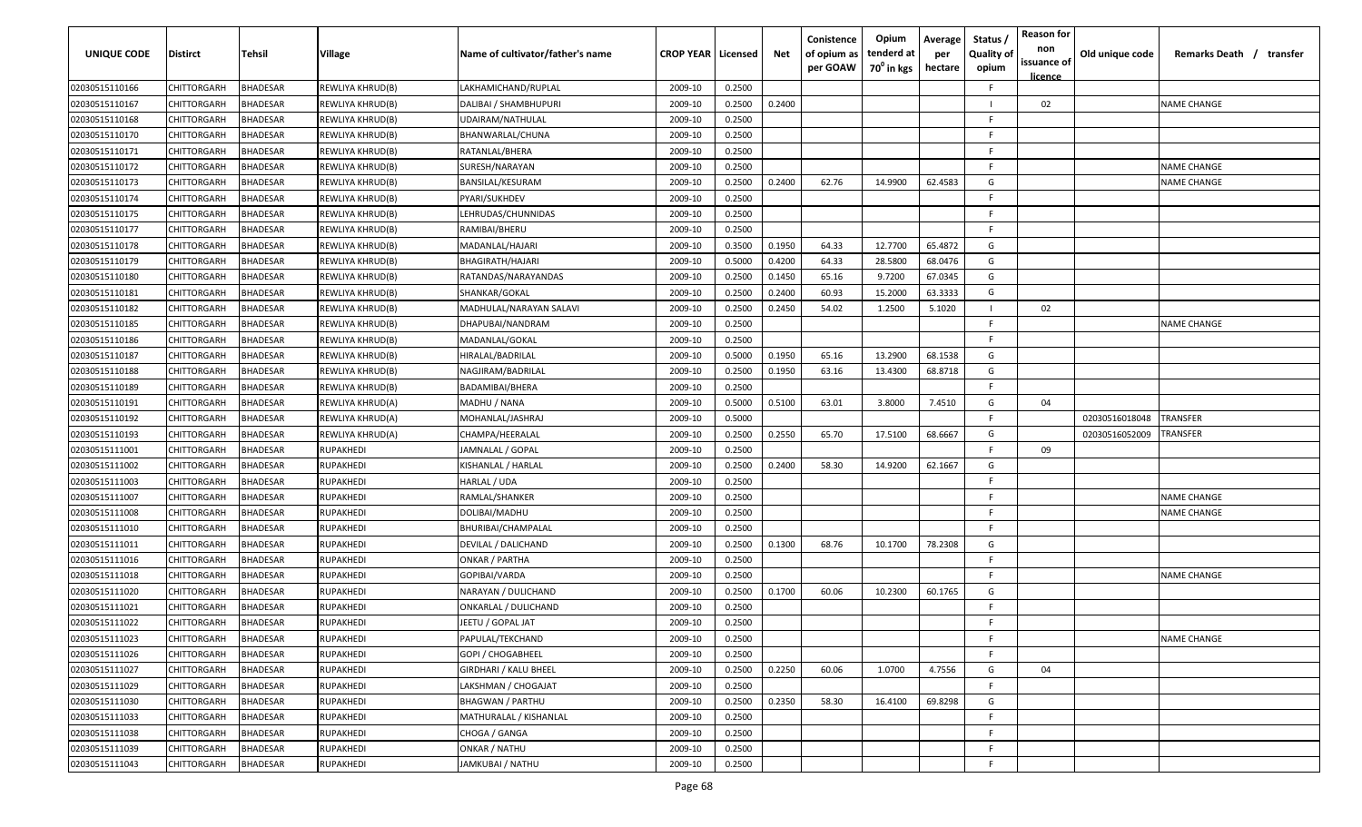| <b>UNIQUE CODE</b> | <b>Distirct</b>    | Tehsil          | Village          | Name of cultivator/father's name | <b>CROP YEAR   Licensed</b> |        | Net    | Conistence<br>of opium as<br>per GOAW | Opium<br>tenderd at<br>70 <sup>0</sup> in kgs | Average<br>per<br>hectare | Status<br><b>Quality of</b><br>opium | <b>Reason for</b><br>non<br>issuance of<br>licence | Old unique code | Remarks Death / transfer |
|--------------------|--------------------|-----------------|------------------|----------------------------------|-----------------------------|--------|--------|---------------------------------------|-----------------------------------------------|---------------------------|--------------------------------------|----------------------------------------------------|-----------------|--------------------------|
| 02030515110166     | <b>CHITTORGARH</b> | <b>BHADESAR</b> | REWLIYA KHRUD(B) | LAKHAMICHAND/RUPLAL              | 2009-10                     | 0.2500 |        |                                       |                                               |                           | F                                    |                                                    |                 |                          |
| 02030515110167     | CHITTORGARH        | <b>BHADESAR</b> | REWLIYA KHRUD(B) | DALIBAI / SHAMBHUPURI            | 2009-10                     | 0.2500 | 0.2400 |                                       |                                               |                           |                                      | 02                                                 |                 | <b>NAME CHANGE</b>       |
| 02030515110168     | CHITTORGARH        | <b>BHADESAR</b> | REWLIYA KHRUD(B) | UDAIRAM/NATHULAL                 | 2009-10                     | 0.2500 |        |                                       |                                               |                           | F                                    |                                                    |                 |                          |
| 02030515110170     | CHITTORGARH        | <b>BHADESAR</b> | REWLIYA KHRUD(B) | BHANWARLAL/CHUNA                 | 2009-10                     | 0.2500 |        |                                       |                                               |                           | E                                    |                                                    |                 |                          |
| 02030515110171     | CHITTORGARH        | <b>BHADESAR</b> | REWLIYA KHRUD(B) | RATANLAL/BHERA                   | 2009-10                     | 0.2500 |        |                                       |                                               |                           | F                                    |                                                    |                 |                          |
| 02030515110172     | CHITTORGARH        | <b>BHADESAR</b> | REWLIYA KHRUD(B) | SURESH/NARAYAN                   | 2009-10                     | 0.2500 |        |                                       |                                               |                           | E                                    |                                                    |                 | <b>NAME CHANGE</b>       |
| 02030515110173     | CHITTORGARH        | <b>BHADESAR</b> | REWLIYA KHRUD(B) | BANSILAL/KESURAM                 | 2009-10                     | 0.2500 | 0.2400 | 62.76                                 | 14.9900                                       | 62.4583                   | G                                    |                                                    |                 | <b>NAME CHANGE</b>       |
| 02030515110174     | CHITTORGARH        | <b>BHADESAR</b> | REWLIYA KHRUD(B) | PYARI/SUKHDEV                    | 2009-10                     | 0.2500 |        |                                       |                                               |                           | F                                    |                                                    |                 |                          |
| 02030515110175     | CHITTORGARH        | <b>BHADESAR</b> | REWLIYA KHRUD(B) | LEHRUDAS/CHUNNIDAS               | 2009-10                     | 0.2500 |        |                                       |                                               |                           | F                                    |                                                    |                 |                          |
| 02030515110177     | CHITTORGARH        | <b>BHADESAR</b> | REWLIYA KHRUD(B) | RAMIBAI/BHERU                    | 2009-10                     | 0.2500 |        |                                       |                                               |                           | E                                    |                                                    |                 |                          |
| 02030515110178     | CHITTORGARH        | <b>BHADESAR</b> | REWLIYA KHRUD(B) | MADANLAL/HAJARI                  | 2009-10                     | 0.3500 | 0.1950 | 64.33                                 | 12.7700                                       | 65.4872                   | G                                    |                                                    |                 |                          |
| 02030515110179     | CHITTORGARH        | <b>BHADESAR</b> | REWLIYA KHRUD(B) | BHAGIRATH/HAJARI                 | 2009-10                     | 0.5000 | 0.4200 | 64.33                                 | 28.5800                                       | 68.0476                   | G                                    |                                                    |                 |                          |
| 02030515110180     | CHITTORGARH        | <b>BHADESAR</b> | REWLIYA KHRUD(B) | RATANDAS/NARAYANDAS              | 2009-10                     | 0.2500 | 0.1450 | 65.16                                 | 9.7200                                        | 67.0345                   | G                                    |                                                    |                 |                          |
| 02030515110181     | CHITTORGARH        | <b>BHADESAR</b> | REWLIYA KHRUD(B) | SHANKAR/GOKAL                    | 2009-10                     | 0.2500 | 0.2400 | 60.93                                 | 15.2000                                       | 63.3333                   | G                                    |                                                    |                 |                          |
| 02030515110182     | CHITTORGARH        | <b>BHADESAR</b> | REWLIYA KHRUD(B) | MADHULAL/NARAYAN SALAVI          | 2009-10                     | 0.2500 | 0.2450 | 54.02                                 | 1.2500                                        | 5.1020                    |                                      | 02                                                 |                 |                          |
| 02030515110185     | CHITTORGARH        | <b>BHADESAR</b> | REWLIYA KHRUD(B) | DHAPUBAI/NANDRAM                 | 2009-10                     | 0.2500 |        |                                       |                                               |                           | E                                    |                                                    |                 | <b>NAME CHANGE</b>       |
| 02030515110186     | CHITTORGARH        | <b>BHADESAR</b> | REWLIYA KHRUD(B) | MADANLAL/GOKAL                   | 2009-10                     | 0.2500 |        |                                       |                                               |                           | F                                    |                                                    |                 |                          |
| 02030515110187     | CHITTORGARH        | <b>BHADESAR</b> | REWLIYA KHRUD(B) | HIRALAL/BADRILAL                 | 2009-10                     | 0.5000 | 0.1950 | 65.16                                 | 13.2900                                       | 68.1538                   | G                                    |                                                    |                 |                          |
| 02030515110188     | CHITTORGARH        | <b>BHADESAR</b> | REWLIYA KHRUD(B) | NAGJIRAM/BADRILAL                | 2009-10                     | 0.2500 | 0.1950 | 63.16                                 | 13.4300                                       | 68.8718                   | G                                    |                                                    |                 |                          |
| 02030515110189     | CHITTORGARH        | <b>BHADESAR</b> | REWLIYA KHRUD(B) | BADAMIBAI/BHERA                  | 2009-10                     | 0.2500 |        |                                       |                                               |                           | F.                                   |                                                    |                 |                          |
| 02030515110191     | CHITTORGARH        | <b>BHADESAR</b> | REWLIYA KHRUD(A) | MADHU / NANA                     | 2009-10                     | 0.5000 | 0.5100 | 63.01                                 | 3.8000                                        | 7.4510                    | G                                    | 04                                                 |                 |                          |
| 02030515110192     | CHITTORGARH        | <b>BHADESAR</b> | REWLIYA KHRUD(A) | MOHANLAL/JASHRAJ                 | 2009-10                     | 0.5000 |        |                                       |                                               |                           | E                                    |                                                    | 02030516018048  | TRANSFER                 |
| 02030515110193     | CHITTORGARH        | <b>BHADESAR</b> | REWLIYA KHRUD(A) | CHAMPA/HEERALAL                  | 2009-10                     | 0.2500 | 0.2550 | 65.70                                 | 17.5100                                       | 68.6667                   | G                                    |                                                    | 02030516052009  | TRANSFER                 |
| 02030515111001     | CHITTORGARH        | <b>BHADESAR</b> | RUPAKHEDI        | JAMNALAL / GOPAL                 | 2009-10                     | 0.2500 |        |                                       |                                               |                           |                                      | 09                                                 |                 |                          |
| 02030515111002     | CHITTORGARH        | <b>BHADESAR</b> | RUPAKHEDI        | KISHANLAL / HARLAL               | 2009-10                     | 0.2500 | 0.2400 | 58.30                                 | 14.9200                                       | 62.1667                   | G                                    |                                                    |                 |                          |
| 02030515111003     | CHITTORGARH        | <b>BHADESAR</b> | RUPAKHEDI        | HARLAL / UDA                     | 2009-10                     | 0.2500 |        |                                       |                                               |                           | F                                    |                                                    |                 |                          |
| 02030515111007     | CHITTORGARH        | <b>BHADESAR</b> | RUPAKHEDI        | RAMLAL/SHANKER                   | 2009-10                     | 0.2500 |        |                                       |                                               |                           | E                                    |                                                    |                 | <b>NAME CHANGE</b>       |
| 02030515111008     | CHITTORGARH        | <b>BHADESAR</b> | RUPAKHEDI        | DOLIBAI/MADHU                    | 2009-10                     | 0.2500 |        |                                       |                                               |                           | E                                    |                                                    |                 | <b>NAME CHANGE</b>       |
| 02030515111010     | CHITTORGARH        | <b>BHADESAR</b> | RUPAKHEDI        | BHURIBAI/CHAMPALAL               | 2009-10                     | 0.2500 |        |                                       |                                               |                           | F.                                   |                                                    |                 |                          |
| 02030515111011     | CHITTORGARH        | <b>BHADESAR</b> | RUPAKHEDI        | DEVILAL / DALICHAND              | 2009-10                     | 0.2500 | 0.1300 | 68.76                                 | 10.1700                                       | 78.2308                   | G                                    |                                                    |                 |                          |
| 02030515111016     | CHITTORGARH        | <b>BHADESAR</b> | RUPAKHEDI        | ONKAR / PARTHA                   | 2009-10                     | 0.2500 |        |                                       |                                               |                           | E                                    |                                                    |                 |                          |
| 02030515111018     | CHITTORGARH        | <b>BHADESAR</b> | RUPAKHEDI        | GOPIBAI/VARDA                    | 2009-10                     | 0.2500 |        |                                       |                                               |                           | F                                    |                                                    |                 | <b>NAME CHANGE</b>       |
| 02030515111020     | CHITTORGARH        | <b>BHADESAR</b> | RUPAKHEDI        | NARAYAN / DULICHAND              | 2009-10                     | 0.2500 | 0.1700 | 60.06                                 | 10.2300                                       | 60.1765                   | G                                    |                                                    |                 |                          |
| 02030515111021     | CHITTORGARH        | <b>BHADESAR</b> | RUPAKHEDI        | ONKARLAL / DULICHAND             | 2009-10                     | 0.2500 |        |                                       |                                               |                           | F                                    |                                                    |                 |                          |
| 02030515111022     | CHITTORGARH        | <b>BHADESAR</b> | RUPAKHEDI        | <b>IEETU / GOPAL JAT</b>         | 2009-10                     | 0.2500 |        |                                       |                                               |                           | F.                                   |                                                    |                 |                          |
| 02030515111023     | CHITTORGARH        | <b>BHADESAR</b> | <b>RUPAKHEDI</b> | PAPULAL/TEKCHAND                 | 2009-10                     | 0.2500 |        |                                       |                                               |                           | F                                    |                                                    |                 | <b>NAME CHANGE</b>       |
| 02030515111026     | <b>CHITTORGARH</b> | <b>BHADESAR</b> | RUPAKHEDI        | GOPI / CHOGABHEEL                | 2009-10                     | 0.2500 |        |                                       |                                               |                           | E.                                   |                                                    |                 |                          |
| 02030515111027     | CHITTORGARH        | <b>BHADESAR</b> | RUPAKHEDI        | <b>GIRDHARI / KALU BHEEL</b>     | 2009-10                     | 0.2500 | 0.2250 | 60.06                                 | 1.0700                                        | 4.7556                    | G                                    | 04                                                 |                 |                          |
| 02030515111029     | CHITTORGARH        | <b>BHADESAR</b> | RUPAKHEDI        | LAKSHMAN / CHOGAJAT              | 2009-10                     | 0.2500 |        |                                       |                                               |                           | F                                    |                                                    |                 |                          |
| 02030515111030     | CHITTORGARH        | <b>BHADESAR</b> | RUPAKHEDI        | <b>BHAGWAN / PARTHU</b>          | 2009-10                     | 0.2500 | 0.2350 | 58.30                                 | 16.4100                                       | 69.8298                   | G                                    |                                                    |                 |                          |
| 02030515111033     | CHITTORGARH        | <b>BHADESAR</b> | RUPAKHEDI        | MATHURALAL / KISHANLAL           | 2009-10                     | 0.2500 |        |                                       |                                               |                           | E                                    |                                                    |                 |                          |
| 02030515111038     | CHITTORGARH        | <b>BHADESAR</b> | RUPAKHEDI        | CHOGA / GANGA                    | 2009-10                     | 0.2500 |        |                                       |                                               |                           | F.                                   |                                                    |                 |                          |
| 02030515111039     | CHITTORGARH        | <b>BHADESAR</b> | RUPAKHEDI        | ONKAR / NATHU                    | 2009-10                     | 0.2500 |        |                                       |                                               |                           | F.                                   |                                                    |                 |                          |
| 02030515111043     | <b>CHITTORGARH</b> | <b>BHADESAR</b> | RUPAKHEDI        | JAMKUBAI / NATHU                 | 2009-10                     | 0.2500 |        |                                       |                                               |                           | E                                    |                                                    |                 |                          |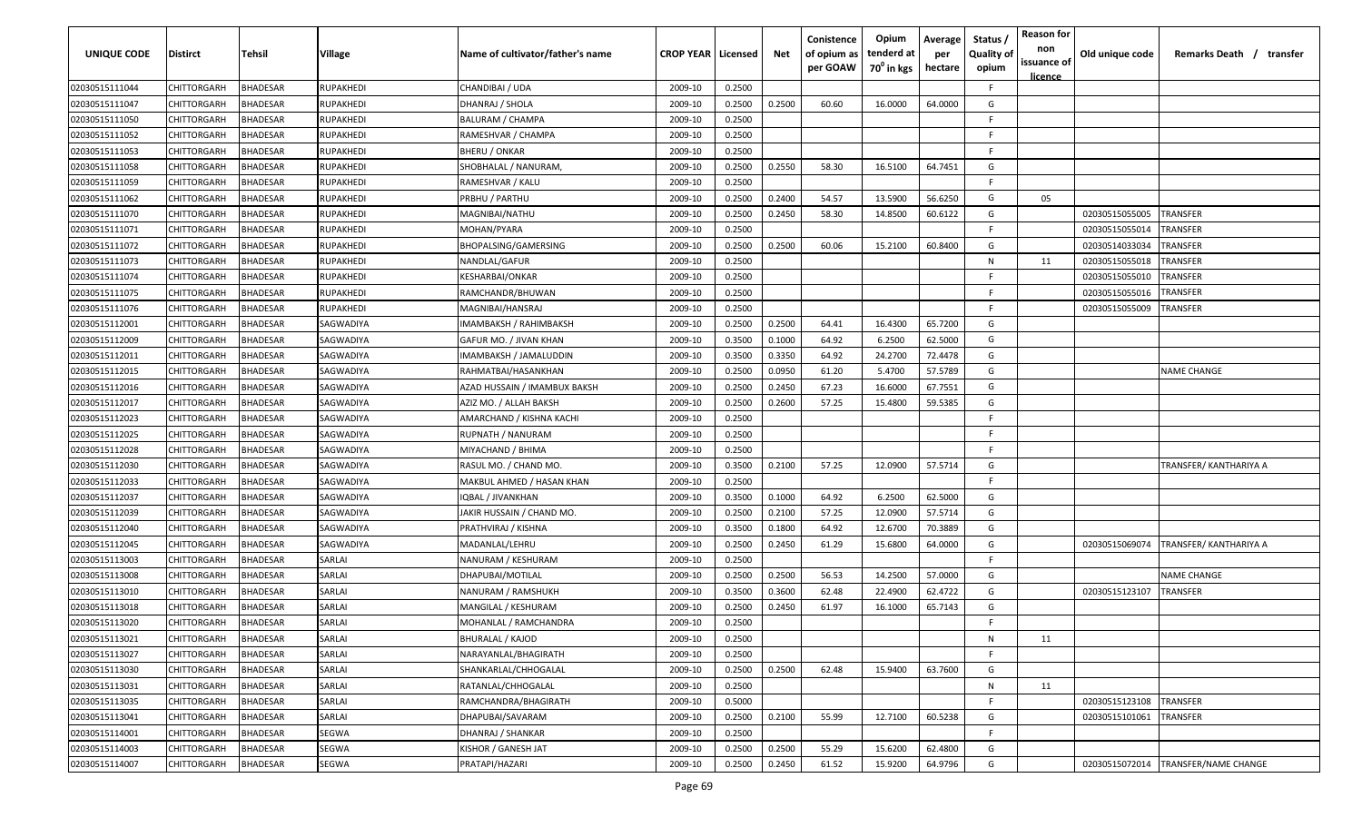| <b>UNIQUE CODE</b> | Distirct           | Tehsil          | Village   | Name of cultivator/father's name | <b>CROP YEAR   Licensed</b> |        | Net    | Conistence<br>of opium as<br>per GOAW | Opium<br>tenderd at<br>70 <sup>0</sup> in kgs | Average<br>per<br>hectare | Status /<br><b>Quality of</b><br>opium | <b>Reason for</b><br>non<br>issuance of<br><u>licence</u> | Old unique code | Remarks Death / transfer    |
|--------------------|--------------------|-----------------|-----------|----------------------------------|-----------------------------|--------|--------|---------------------------------------|-----------------------------------------------|---------------------------|----------------------------------------|-----------------------------------------------------------|-----------------|-----------------------------|
| 02030515111044     | CHITTORGARH        | <b>BHADESAR</b> | RUPAKHEDI | CHANDIBAI / UDA                  | 2009-10                     | 0.2500 |        |                                       |                                               |                           | F.                                     |                                                           |                 |                             |
| 02030515111047     | CHITTORGARH        | BHADESAR        | RUPAKHEDI | DHANRAJ / SHOLA                  | 2009-10                     | 0.2500 | 0.2500 | 60.60                                 | 16.0000                                       | 64.0000                   | G                                      |                                                           |                 |                             |
| 02030515111050     | CHITTORGARH        | BHADESAR        | RUPAKHEDI | <b>BALURAM / CHAMPA</b>          | 2009-10                     | 0.2500 |        |                                       |                                               |                           | -F.                                    |                                                           |                 |                             |
| 02030515111052     | CHITTORGARH        | BHADESAR        | RUPAKHEDI | RAMESHVAR / CHAMPA               | 2009-10                     | 0.2500 |        |                                       |                                               |                           | -F.                                    |                                                           |                 |                             |
| 02030515111053     | CHITTORGARH        | BHADESAR        | RUPAKHEDI | <b>BHERU / ONKAR</b>             | 2009-10                     | 0.2500 |        |                                       |                                               |                           | -F.                                    |                                                           |                 |                             |
| 02030515111058     | CHITTORGARH        | BHADESAR        | RUPAKHEDI | SHOBHALAL / NANURAM,             | 2009-10                     | 0.2500 | 0.2550 | 58.30                                 | 16.5100                                       | 64.7451                   | G                                      |                                                           |                 |                             |
| 02030515111059     | <b>CHITTORGARH</b> | BHADESAR        | RUPAKHEDI | RAMESHVAR / KALU                 | 2009-10                     | 0.2500 |        |                                       |                                               |                           | -F.                                    |                                                           |                 |                             |
| 02030515111062     | CHITTORGARH        | BHADESAR        | RUPAKHEDI | PRBHU / PARTHU                   | 2009-10                     | 0.2500 | 0.2400 | 54.57                                 | 13.5900                                       | 56.6250                   | G                                      | 05                                                        |                 |                             |
| 02030515111070     | CHITTORGARH        | BHADESAR        | RUPAKHEDI | MAGNIBAI/NATHU                   | 2009-10                     | 0.2500 | 0.2450 | 58.30                                 | 14.8500                                       | 60.6122                   | G                                      |                                                           | 02030515055005  | TRANSFER                    |
| 02030515111071     | CHITTORGARH        | BHADESAR        | RUPAKHEDI | MOHAN/PYARA                      | 2009-10                     | 0.2500 |        |                                       |                                               |                           | F.                                     |                                                           | 02030515055014  | TRANSFER                    |
| 02030515111072     | CHITTORGARH        | BHADESAR        | RUPAKHEDI | BHOPALSING/GAMERSING             | 2009-10                     | 0.2500 | 0.2500 | 60.06                                 | 15.2100                                       | 60.8400                   | G                                      |                                                           | 02030514033034  | TRANSFER                    |
| 02030515111073     | CHITTORGARH        | BHADESAR        | RUPAKHEDI | NANDLAL/GAFUR                    | 2009-10                     | 0.2500 |        |                                       |                                               |                           | N                                      | 11                                                        | 02030515055018  | TRANSFER                    |
| 02030515111074     | CHITTORGARH        | BHADESAR        | RUPAKHEDI | <b>KESHARBAI/ONKAR</b>           | 2009-10                     | 0.2500 |        |                                       |                                               |                           | F.                                     |                                                           | 02030515055010  | TRANSFER                    |
| 02030515111075     | CHITTORGARH        | <b>BHADESAR</b> | RUPAKHEDI | RAMCHANDR/BHUWAN                 | 2009-10                     | 0.2500 |        |                                       |                                               |                           | F                                      |                                                           | 02030515055016  | TRANSFER                    |
| 02030515111076     | CHITTORGARH        | BHADESAR        | RUPAKHEDI | MAGNIBAI/HANSRAJ                 | 2009-10                     | 0.2500 |        |                                       |                                               |                           | -F.                                    |                                                           | 02030515055009  | TRANSFER                    |
| 02030515112001     | CHITTORGARH        | <b>BHADESAR</b> | SAGWADIYA | IMAMBAKSH / RAHIMBAKSH           | 2009-10                     | 0.2500 | 0.2500 | 64.41                                 | 16.4300                                       | 65.7200                   | G                                      |                                                           |                 |                             |
| 02030515112009     | CHITTORGARH        | <b>BHADESAR</b> | SAGWADIYA | GAFUR MO. / JIVAN KHAN           | 2009-10                     | 0.3500 | 0.1000 | 64.92                                 | 6.2500                                        | 62.5000                   | G                                      |                                                           |                 |                             |
| 02030515112011     | CHITTORGARH        | <b>BHADESAR</b> | SAGWADIYA | IMAMBAKSH / JAMALUDDIN           | 2009-10                     | 0.3500 | 0.3350 | 64.92                                 | 24.2700                                       | 72.4478                   | G                                      |                                                           |                 |                             |
| 02030515112015     | CHITTORGARH        | BHADESAR        | SAGWADIYA | RAHMATBAI/HASANKHAN              | 2009-10                     | 0.2500 | 0.0950 | 61.20                                 | 5.4700                                        | 57.5789                   | G                                      |                                                           |                 | NAME CHANGE                 |
| 02030515112016     | CHITTORGARH        | <b>BHADESAR</b> | SAGWADIYA | AZAD HUSSAIN / IMAMBUX BAKSH     | 2009-10                     | 0.2500 | 0.2450 | 67.23                                 | 16.6000                                       | 67.7551                   | G                                      |                                                           |                 |                             |
| 02030515112017     | CHITTORGARH        | <b>BHADESAR</b> | SAGWADIYA | AZIZ MO. / ALLAH BAKSH           | 2009-10                     | 0.2500 | 0.2600 | 57.25                                 | 15.4800                                       | 59.5385                   | G                                      |                                                           |                 |                             |
| 02030515112023     | CHITTORGARH        | <b>BHADESAR</b> | SAGWADIYA | AMARCHAND / KISHNA KACHI         | 2009-10                     | 0.2500 |        |                                       |                                               |                           | -F                                     |                                                           |                 |                             |
| 02030515112025     | CHITTORGARH        | <b>BHADESAR</b> | SAGWADIYA | RUPNATH / NANURAM                | 2009-10                     | 0.2500 |        |                                       |                                               |                           | -F                                     |                                                           |                 |                             |
| 02030515112028     | CHITTORGARH        | BHADESAR        | SAGWADIYA | MIYACHAND / BHIMA                | 2009-10                     | 0.2500 |        |                                       |                                               |                           | -F.                                    |                                                           |                 |                             |
| 02030515112030     | CHITTORGARH        | BHADESAR        | SAGWADIYA | RASUL MO. / CHAND MO.            | 2009-10                     | 0.3500 | 0.2100 | 57.25                                 | 12.0900                                       | 57.5714                   | G                                      |                                                           |                 | TRANSFER/ KANTHARIYA A      |
| 02030515112033     | CHITTORGARH        | BHADESAR        | SAGWADIYA | MAKBUL AHMED / HASAN KHAN        | 2009-10                     | 0.2500 |        |                                       |                                               |                           | -F.                                    |                                                           |                 |                             |
| 02030515112037     | CHITTORGARH        | BHADESAR        | SAGWADIYA | IQBAL / JIVANKHAN                | 2009-10                     | 0.3500 | 0.1000 | 64.92                                 | 6.2500                                        | 62.5000                   | G                                      |                                                           |                 |                             |
| 02030515112039     | CHITTORGARH        | BHADESAR        | SAGWADIYA | IAKIR HUSSAIN / CHAND MO.        | 2009-10                     | 0.2500 | 0.2100 | 57.25                                 | 12.0900                                       | 57.5714                   | G                                      |                                                           |                 |                             |
| 02030515112040     | CHITTORGARH        | BHADESAR        | SAGWADIYA | PRATHVIRAJ / KISHNA              | 2009-10                     | 0.3500 | 0.1800 | 64.92                                 | 12.6700                                       | 70.3889                   | G                                      |                                                           |                 |                             |
| 02030515112045     | CHITTORGARH        | BHADESAR        | SAGWADIYA | MADANLAL/LEHRU                   | 2009-10                     | 0.2500 | 0.2450 | 61.29                                 | 15.6800                                       | 64.0000                   | G                                      |                                                           | 02030515069074  | TRANSFER/ KANTHARIYA A      |
| 02030515113003     | CHITTORGARH        | BHADESAR        | SARLAI    | NANURAM / KESHURAM               | 2009-10                     | 0.2500 |        |                                       |                                               |                           | -F.                                    |                                                           |                 |                             |
| 02030515113008     | CHITTORGARH        | <b>BHADESAR</b> | SARLAI    | DHAPUBAI/MOTILAL                 | 2009-10                     | 0.2500 | 0.2500 | 56.53                                 | 14.2500                                       | 57.0000                   | G                                      |                                                           |                 | NAME CHANGE                 |
| 02030515113010     | CHITTORGARH        | BHADESAR        | SARLAI    | NANURAM / RAMSHUKH               | 2009-10                     | 0.3500 | 0.3600 | 62.48                                 | 22.4900                                       | 62.4722                   | G                                      |                                                           | 02030515123107  | TRANSFER                    |
| 02030515113018     | CHITTORGARH        | BHADESAR        | SARLAI    | MANGILAL / KESHURAM              | 2009-10                     | 0.2500 | 0.2450 | 61.97                                 | 16.1000                                       | 65.7143                   | G                                      |                                                           |                 |                             |
| 02030515113020     | <b>CHITTORGARH</b> | BHADESAR        | SARLAI    | MOHANLAL / RAMCHANDRA            | 2009-10                     | 0.2500 |        |                                       |                                               |                           | F                                      |                                                           |                 |                             |
| 02030515113021     | CHITTORGARH        | <b>BHADESAR</b> | SARLAI    | <b>BHURALAL / KAJOD</b>          | 2009-10                     | 0.2500 |        |                                       |                                               |                           | N                                      | 11                                                        |                 |                             |
| 02030515113027     | CHITTORGARH        | <b>BHADESAR</b> | SARLAI    | NARAYANLAL/BHAGIRATH             | 2009-10                     | 0.2500 |        |                                       |                                               |                           | F.                                     |                                                           |                 |                             |
| 02030515113030     | CHITTORGARH        | <b>BHADESAR</b> | SARLAI    | SHANKARLAL/CHHOGALAL             | 2009-10                     | 0.2500 | 0.2500 | 62.48                                 | 15.9400                                       | 63.7600                   | G                                      |                                                           |                 |                             |
| 02030515113031     | <b>CHITTORGARH</b> | <b>BHADESAR</b> | SARLAI    | RATANLAL/CHHOGALAL               | 2009-10                     | 0.2500 |        |                                       |                                               |                           | ${\sf N}$                              | 11                                                        |                 |                             |
| 02030515113035     | CHITTORGARH        | <b>BHADESAR</b> | SARLAI    | RAMCHANDRA/BHAGIRATH             | 2009-10                     | 0.5000 |        |                                       |                                               |                           | F.                                     |                                                           | 02030515123108  | TRANSFER                    |
| 02030515113041     | CHITTORGARH        | <b>BHADESAR</b> | SARLAI    | DHAPUBAI/SAVARAM                 | 2009-10                     | 0.2500 | 0.2100 | 55.99                                 | 12.7100                                       | 60.5238                   | G                                      |                                                           | 02030515101061  | TRANSFER                    |
| 02030515114001     | CHITTORGARH        | BHADESAR        | SEGWA     | <b>DHANRAJ / SHANKAR</b>         | 2009-10                     | 0.2500 |        |                                       |                                               |                           | F.                                     |                                                           |                 |                             |
| 02030515114003     | CHITTORGARH        | BHADESAR        | SEGWA     | KISHOR / GANESH JAT              | 2009-10                     | 0.2500 | 0.2500 | 55.29                                 | 15.6200                                       | 62.4800                   | G                                      |                                                           |                 |                             |
| 02030515114007     | CHITTORGARH        | <b>BHADESAR</b> | SEGWA     | PRATAPI/HAZARI                   | 2009-10                     | 0.2500 | 0.2450 | 61.52                                 | 15.9200                                       | 64.9796                   | G                                      |                                                           | 02030515072014  | <b>TRANSFER/NAME CHANGE</b> |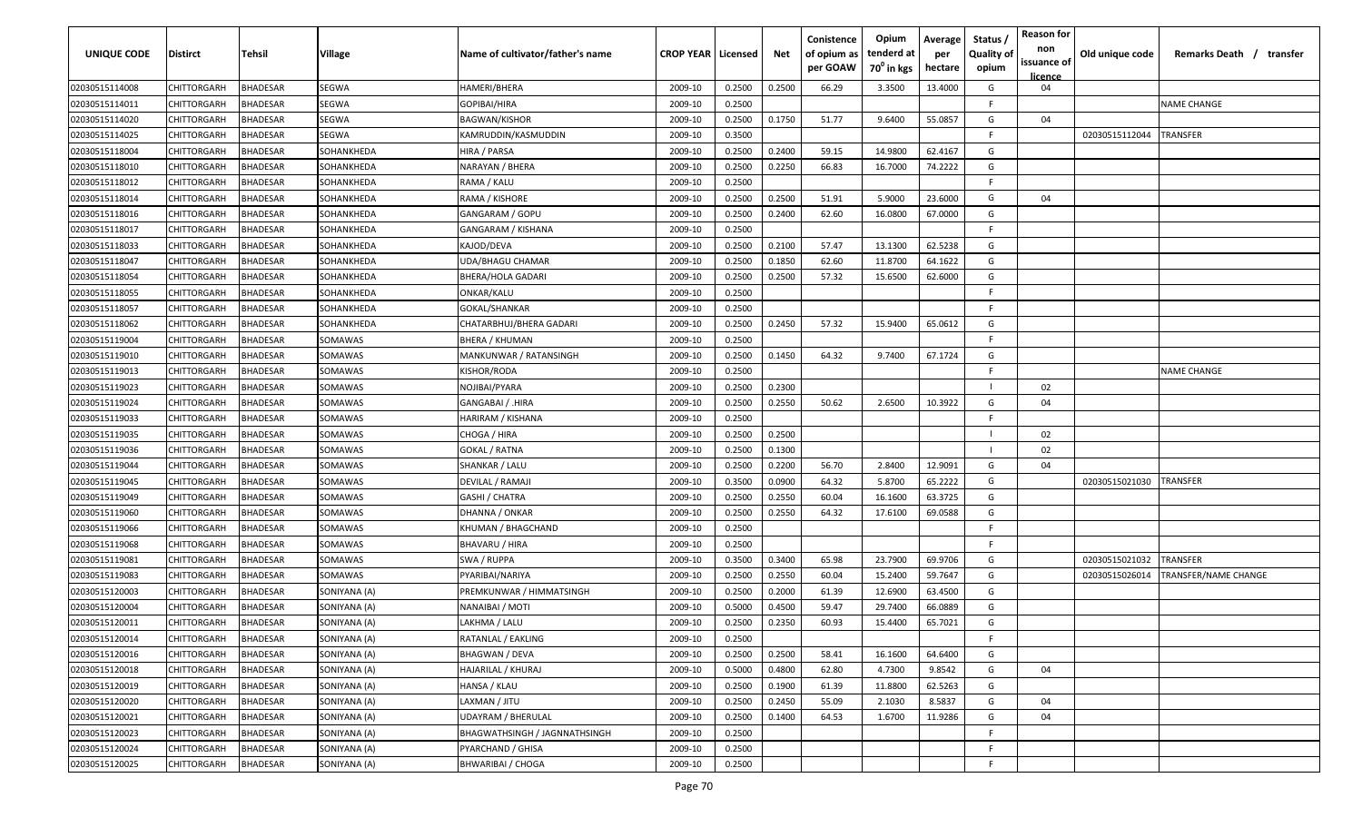| UNIQUE CODE    | <b>Distirct</b>    | Tehsil          | Village      | Name of cultivator/father's name | <b>CROP YEAR   Licensed</b> |        | Net    | Conistence<br>of opium as<br>per GOAW | Opium<br>tenderd at<br>70 <sup>0</sup> in kgs | Average<br>per<br>hectare | Status<br><b>Quality of</b><br>opium | <b>Reason for</b><br>non<br>issuance of<br>licence | Old unique code | Remarks Death / transfer    |
|----------------|--------------------|-----------------|--------------|----------------------------------|-----------------------------|--------|--------|---------------------------------------|-----------------------------------------------|---------------------------|--------------------------------------|----------------------------------------------------|-----------------|-----------------------------|
| 02030515114008 | CHITTORGARH        | <b>BHADESAR</b> | <b>SEGWA</b> | HAMERI/BHERA                     | 2009-10                     | 0.2500 | 0.2500 | 66.29                                 | 3.3500                                        | 13.4000                   | G                                    | 04                                                 |                 |                             |
| 02030515114011 | CHITTORGARH        | <b>BHADESAR</b> | <b>SEGWA</b> | GOPIBAI/HIRA                     | 2009-10                     | 0.2500 |        |                                       |                                               |                           | F.                                   |                                                    |                 | <b>NAME CHANGE</b>          |
| 02030515114020 | CHITTORGARH        | BHADESAR        | <b>SEGWA</b> | BAGWAN/KISHOR                    | 2009-10                     | 0.2500 | 0.1750 | 51.77                                 | 9.6400                                        | 55.0857                   | G                                    | 04                                                 |                 |                             |
| 02030515114025 | CHITTORGARH        | BHADESAR        | SEGWA        | KAMRUDDIN/KASMUDDIN              | 2009-10                     | 0.3500 |        |                                       |                                               |                           | -F                                   |                                                    | 02030515112044  | TRANSFER                    |
| 02030515118004 | CHITTORGARH        | <b>BHADESAR</b> | SOHANKHEDA   | HIRA / PARSA                     | 2009-10                     | 0.2500 | 0.2400 | 59.15                                 | 14.9800                                       | 62.4167                   | G                                    |                                                    |                 |                             |
| 02030515118010 | CHITTORGARH        | <b>BHADESAR</b> | SOHANKHEDA   | NARAYAN / BHERA                  | 2009-10                     | 0.2500 | 0.2250 | 66.83                                 | 16.7000                                       | 74.2222                   | G                                    |                                                    |                 |                             |
| 02030515118012 | CHITTORGARH        | BHADESAR        | SOHANKHEDA   | RAMA / KALU                      | 2009-10                     | 0.2500 |        |                                       |                                               |                           | -F                                   |                                                    |                 |                             |
| 02030515118014 | CHITTORGARH        | <b>BHADESAR</b> | SOHANKHEDA   | RAMA / KISHORE                   | 2009-10                     | 0.2500 | 0.2500 | 51.91                                 | 5.9000                                        | 23.6000                   | G                                    | 04                                                 |                 |                             |
| 02030515118016 | CHITTORGARH        | BHADESAR        | SOHANKHEDA   | GANGARAM / GOPU                  | 2009-10                     | 0.2500 | 0.2400 | 62.60                                 | 16.0800                                       | 67.0000                   | G                                    |                                                    |                 |                             |
| 02030515118017 | CHITTORGARH        | BHADESAR        | SOHANKHEDA   | GANGARAM / KISHANA               | 2009-10                     | 0.2500 |        |                                       |                                               |                           | F.                                   |                                                    |                 |                             |
| 02030515118033 | CHITTORGARH        | 3HADESAR        | SOHANKHEDA   | KAJOD/DEVA                       | 2009-10                     | 0.2500 | 0.2100 | 57.47                                 | 13.1300                                       | 62.5238                   | G                                    |                                                    |                 |                             |
| 02030515118047 | <b>CHITTORGARH</b> | <b>HADESAR</b>  | SOHANKHEDA   | JDA/BHAGU CHAMAR                 | 2009-10                     | 0.2500 | 0.1850 | 62.60                                 | 11.8700                                       | 64.1622                   | G                                    |                                                    |                 |                             |
| 02030515118054 | <b>CHITTORGARH</b> | <b>BHADESAR</b> | SOHANKHEDA   | BHERA/HOLA GADARI                | 2009-10                     | 0.2500 | 0.2500 | 57.32                                 | 15.6500                                       | 62.6000                   | G                                    |                                                    |                 |                             |
| 02030515118055 | CHITTORGARH        | <b>BHADESAR</b> | SOHANKHEDA   | ONKAR/KALU                       | 2009-10                     | 0.2500 |        |                                       |                                               |                           | F.                                   |                                                    |                 |                             |
| 02030515118057 | CHITTORGARH        | <b>BHADESAR</b> | SOHANKHEDA   | GOKAL/SHANKAR                    | 2009-10                     | 0.2500 |        |                                       |                                               |                           | F.                                   |                                                    |                 |                             |
| 02030515118062 | CHITTORGARH        | <b>BHADESAR</b> | SOHANKHEDA   | CHATARBHUJ/BHERA GADARI          | 2009-10                     | 0.2500 | 0.2450 | 57.32                                 | 15.9400                                       | 65.0612                   | G                                    |                                                    |                 |                             |
| 02030515119004 | CHITTORGARH        | <b>BHADESAR</b> | SOMAWAS      | BHERA / KHUMAN                   | 2009-10                     | 0.2500 |        |                                       |                                               |                           | F.                                   |                                                    |                 |                             |
| 02030515119010 | CHITTORGARH        | BHADESAR        | SOMAWAS      | MANKUNWAR / RATANSINGH           | 2009-10                     | 0.2500 | 0.1450 | 64.32                                 | 9.7400                                        | 67.1724                   | G                                    |                                                    |                 |                             |
| 02030515119013 | CHITTORGARH        | <b>BHADESAR</b> | SOMAWAS      | KISHOR/RODA                      | 2009-10                     | 0.2500 |        |                                       |                                               |                           | F.                                   |                                                    |                 | <b>NAME CHANGE</b>          |
| 02030515119023 | CHITTORGARH        | <b>BHADESAR</b> | SOMAWAS      | NOJIBAI/PYARA                    | 2009-10                     | 0.2500 | 0.2300 |                                       |                                               |                           | - 1                                  | 02                                                 |                 |                             |
| 02030515119024 | CHITTORGARH        | <b>BHADESAR</b> | SOMAWAS      | GANGABAI / .HIRA                 | 2009-10                     | 0.2500 | 0.2550 | 50.62                                 | 2.6500                                        | 10.3922                   | G                                    | 04                                                 |                 |                             |
| 02030515119033 | CHITTORGARH        | BHADESAR        | SOMAWAS      | HARIRAM / KISHANA                | 2009-10                     | 0.2500 |        |                                       |                                               |                           | F                                    |                                                    |                 |                             |
| 02030515119035 | CHITTORGARH        | BHADESAR        | SOMAWAS      | CHOGA / HIRA                     | 2009-10                     | 0.2500 | 0.2500 |                                       |                                               |                           |                                      | 02                                                 |                 |                             |
| 02030515119036 | CHITTORGARH        | BHADESAR        | SOMAWAS      | GOKAL / RATNA                    | 2009-10                     | 0.2500 | 0.1300 |                                       |                                               |                           |                                      | 02                                                 |                 |                             |
| 02030515119044 | CHITTORGARH        | <b>BHADESAR</b> | SOMAWAS      | SHANKAR / LALU                   | 2009-10                     | 0.2500 | 0.2200 | 56.70                                 | 2.8400                                        | 12.9091                   | G                                    | 04                                                 |                 |                             |
| 02030515119045 | CHITTORGARH        | BHADESAR        | SOMAWAS      | DEVILAL / RAMAJI                 | 2009-10                     | 0.3500 | 0.0900 | 64.32                                 | 5.8700                                        | 65.2222                   | G                                    |                                                    | 02030515021030  | TRANSFER                    |
| 02030515119049 | CHITTORGARH        | BHADESAR        | SOMAWAS      | GASHI / CHATRA                   | 2009-10                     | 0.2500 | 0.2550 | 60.04                                 | 16.1600                                       | 63.3725                   | G                                    |                                                    |                 |                             |
| 02030515119060 | CHITTORGARH        | <b>BHADESAR</b> | SOMAWAS      | DHANNA / ONKAR                   | 2009-10                     | 0.2500 | 0.2550 | 64.32                                 | 17.6100                                       | 69.0588                   | G                                    |                                                    |                 |                             |
| 02030515119066 | <b>CHITTORGARH</b> | <b>BHADESAR</b> | SOMAWAS      | KHUMAN / BHAGCHAND               | 2009-10                     | 0.2500 |        |                                       |                                               |                           | E                                    |                                                    |                 |                             |
| 02030515119068 | <b>CHITTORGARH</b> | <b>BHADESAR</b> | SOMAWAS      | BHAVARU / HIRA                   | 2009-10                     | 0.2500 |        |                                       |                                               |                           | F.                                   |                                                    |                 |                             |
| 02030515119081 | CHITTORGARH        | <b>BHADESAR</b> | SOMAWAS      | SWA / RUPPA                      | 2009-10                     | 0.3500 | 0.3400 | 65.98                                 | 23.7900                                       | 69.9706                   | G                                    |                                                    | 02030515021032  | TRANSFER                    |
| 02030515119083 | CHITTORGARH        | <b>BHADESAR</b> | SOMAWAS      | PYARIBAI/NARIYA                  | 2009-10                     | 0.2500 | 0.2550 | 60.04                                 | 15.2400                                       | 59.7647                   | G                                    |                                                    | 02030515026014  | <b>FRANSFER/NAME CHANGE</b> |
| 02030515120003 | CHITTORGARH        | <b>BHADESAR</b> | SONIYANA (A) | PREMKUNWAR / HIMMATSINGH         | 2009-10                     | 0.2500 | 0.2000 | 61.39                                 | 12.6900                                       | 63.4500                   | G                                    |                                                    |                 |                             |
| 02030515120004 | CHITTORGARH        | <b>BHADESAR</b> | SONIYANA (A) | NANAIBAI / MOTI                  | 2009-10                     | 0.5000 | 0.4500 | 59.47                                 | 29.7400                                       | 66.0889                   | G                                    |                                                    |                 |                             |
| 02030515120011 | CHITTORGARH        | <b>BHADESAR</b> | SONIYANA (A) | LAKHMA / LALU                    | 2009-10                     | 0.2500 | 0.2350 | 60.93                                 | 15.4400                                       | 65.7021                   | G                                    |                                                    |                 |                             |
| 02030515120014 | CHITTORGARH        | <b>BHADESAR</b> | SONIYANA (A) | RATANLAL / EAKLING               | 2009-10                     | 0.2500 |        |                                       |                                               |                           | F.                                   |                                                    |                 |                             |
| 02030515120016 | CHITTORGARH        | BHADESAR        | SONIYANA (A) | BHAGWAN / DEVA                   | 2009-10                     | 0.2500 | 0.2500 | 58.41                                 | 16.1600                                       | 64.6400                   | G                                    |                                                    |                 |                             |
| 02030515120018 | CHITTORGARH        | <b>BHADESAR</b> | SONIYANA (A) | HAJARILAL / KHURAJ               | 2009-10                     | 0.5000 | 0.4800 | 62.80                                 | 4.7300                                        | 9.8542                    | G                                    | 04                                                 |                 |                             |
| 02030515120019 | CHITTORGARH        | BHADESAR        | SONIYANA (A) | HANSA / KLAU                     | 2009-10                     | 0.2500 | 0.1900 | 61.39                                 | 11.8800                                       | 62.5263                   | G                                    |                                                    |                 |                             |
| 02030515120020 | CHITTORGARH        | BHADESAR        | SONIYANA (A) | LAXMAN / JITU                    | 2009-10                     | 0.2500 | 0.2450 | 55.09                                 | 2.1030                                        | 8.5837                    | G                                    | 04                                                 |                 |                             |
| 02030515120021 | CHITTORGARH        | BHADESAR        | SONIYANA (A) | <b>UDAYRAM / BHERULAL</b>        | 2009-10                     | 0.2500 | 0.1400 | 64.53                                 | 1.6700                                        | 11.9286                   | G                                    | 04                                                 |                 |                             |
| 02030515120023 | CHITTORGARH        | BHADESAR        | SONIYANA (A) | BHAGWATHSINGH / JAGNNATHSINGH    | 2009-10                     | 0.2500 |        |                                       |                                               |                           | F                                    |                                                    |                 |                             |
| 02030515120024 | CHITTORGARH        | BHADESAR        | SONIYANA (A) | PYARCHAND / GHISA                | 2009-10                     | 0.2500 |        |                                       |                                               |                           | -F.                                  |                                                    |                 |                             |
| 02030515120025 | CHITTORGARH        | BHADESAR        | SONIYANA (A) | <b>BHWARIBAI / CHOGA</b>         | 2009-10                     | 0.2500 |        |                                       |                                               |                           | F.                                   |                                                    |                 |                             |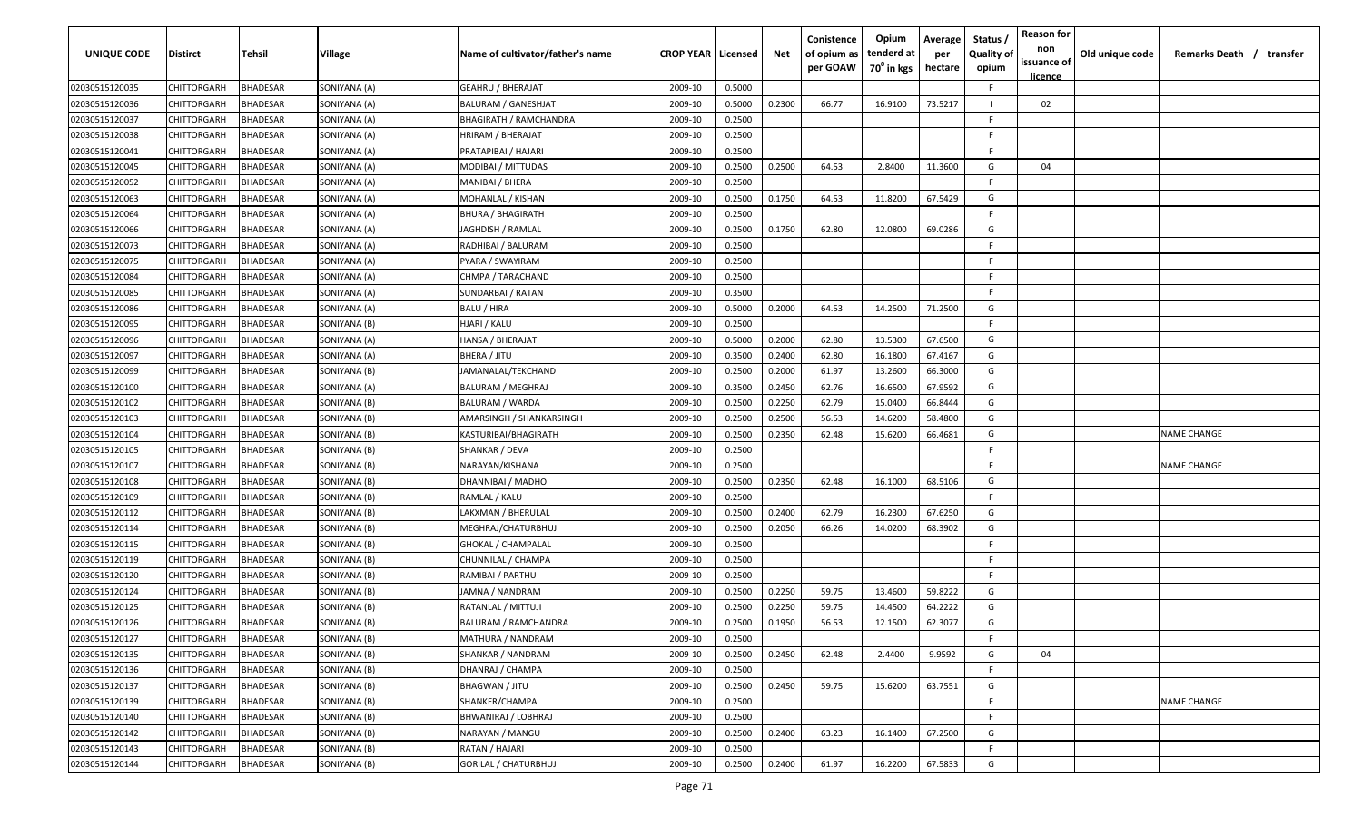| <b>UNIQUE CODE</b> | Distirct           | Tehsil          | Village      | Name of cultivator/father's name | <b>CROP YEAR   Licensed</b> |        | Net    | Conistence<br>of opium as<br>per GOAW | Opium<br>tenderd at<br>70 <sup>0</sup> in kgs | Average<br>per<br>hectare | Status,<br><b>Quality of</b><br>opium | <b>Reason for</b><br>non<br>issuance of<br><u>licence</u> | Old unique code | Remarks Death / transfer |
|--------------------|--------------------|-----------------|--------------|----------------------------------|-----------------------------|--------|--------|---------------------------------------|-----------------------------------------------|---------------------------|---------------------------------------|-----------------------------------------------------------|-----------------|--------------------------|
| 02030515120035     | CHITTORGARH        | <b>BHADESAR</b> | SONIYANA (A) | <b>GEAHRU / BHERAJAT</b>         | 2009-10                     | 0.5000 |        |                                       |                                               |                           | F.                                    |                                                           |                 |                          |
| 02030515120036     | CHITTORGARH        | <b>BHADESAR</b> | SONIYANA (A) | BALURAM / GANESHJAT              | 2009-10                     | 0.5000 | 0.2300 | 66.77                                 | 16.9100                                       | 73.5217                   |                                       | 02                                                        |                 |                          |
| 02030515120037     | CHITTORGARH        | <b>BHADESAR</b> | SONIYANA (A) | <b>BHAGIRATH / RAMCHANDRA</b>    | 2009-10                     | 0.2500 |        |                                       |                                               |                           | F                                     |                                                           |                 |                          |
| 02030515120038     | CHITTORGARH        | <b>BHADESAR</b> | SONIYANA (A) | HRIRAM / BHERAJAT                | 2009-10                     | 0.2500 |        |                                       |                                               |                           | F.                                    |                                                           |                 |                          |
| 02030515120041     | CHITTORGARH        | <b>BHADESAR</b> | SONIYANA (A) | PRATAPIBAI / HAJARI              | 2009-10                     | 0.2500 |        |                                       |                                               |                           | E                                     |                                                           |                 |                          |
| 02030515120045     | CHITTORGARH        | <b>BHADESAR</b> | SONIYANA (A) | MODIBAI / MITTUDAS               | 2009-10                     | 0.2500 | 0.2500 | 64.53                                 | 2.8400                                        | 11.3600                   | G                                     | 04                                                        |                 |                          |
| 02030515120052     | CHITTORGARH        | BHADESAR        | SONIYANA (A) | MANIBAI / BHERA                  | 2009-10                     | 0.2500 |        |                                       |                                               |                           | F                                     |                                                           |                 |                          |
| 02030515120063     | CHITTORGARH        | <b>BHADESAR</b> | SONIYANA (A) | MOHANLAL / KISHAN                | 2009-10                     | 0.2500 | 0.1750 | 64.53                                 | 11.8200                                       | 67.5429                   | G                                     |                                                           |                 |                          |
| 02030515120064     | CHITTORGARH        | <b>BHADESAR</b> | SONIYANA (A) | BHURA / BHAGIRATH                | 2009-10                     | 0.2500 |        |                                       |                                               |                           | E                                     |                                                           |                 |                          |
| 02030515120066     | CHITTORGARH        | BHADESAR        | SONIYANA (A) | JAGHDISH / RAMLAL                | 2009-10                     | 0.2500 | 0.1750 | 62.80                                 | 12.0800                                       | 69.0286                   | G                                     |                                                           |                 |                          |
| 02030515120073     | CHITTORGARH        | BHADESAR        | SONIYANA (A) | RADHIBAI / BALURAM               | 2009-10                     | 0.2500 |        |                                       |                                               |                           | E                                     |                                                           |                 |                          |
| 02030515120075     | CHITTORGARH        | <b>BHADESAR</b> | SONIYANA (A) | PYARA / SWAYIRAM                 | 2009-10                     | 0.2500 |        |                                       |                                               |                           | F                                     |                                                           |                 |                          |
| 02030515120084     | CHITTORGARH        | <b>BHADESAR</b> | SONIYANA (A) | CHMPA / TARACHAND                | 2009-10                     | 0.2500 |        |                                       |                                               |                           | E                                     |                                                           |                 |                          |
| 02030515120085     | CHITTORGARH        | <b>BHADESAR</b> | SONIYANA (A) | SUNDARBAI / RATAN                | 2009-10                     | 0.3500 |        |                                       |                                               |                           | E                                     |                                                           |                 |                          |
| 02030515120086     | CHITTORGARH        | <b>BHADESAR</b> | SONIYANA (A) | BALU / HIRA                      | 2009-10                     | 0.5000 | 0.2000 | 64.53                                 | 14.2500                                       | 71.2500                   | G                                     |                                                           |                 |                          |
| 02030515120095     | CHITTORGARH        | <b>BHADESAR</b> | SONIYANA (B) | HJARI / KALU                     | 2009-10                     | 0.2500 |        |                                       |                                               |                           | F                                     |                                                           |                 |                          |
| 02030515120096     | CHITTORGARH        | <b>BHADESAR</b> | SONIYANA (A) | HANSA / BHERAJAT                 | 2009-10                     | 0.5000 | 0.2000 | 62.80                                 | 13.5300                                       | 67.6500                   | G                                     |                                                           |                 |                          |
| 02030515120097     | CHITTORGARH        | <b>BHADESAR</b> | SONIYANA (A) | BHERA / JITU                     | 2009-10                     | 0.3500 | 0.2400 | 62.80                                 | 16.1800                                       | 67.4167                   | G                                     |                                                           |                 |                          |
| 02030515120099     | CHITTORGARH        | <b>BHADESAR</b> | SONIYANA (B) | JAMANALAL/TEKCHAND               | 2009-10                     | 0.2500 | 0.2000 | 61.97                                 | 13.2600                                       | 66.3000                   | G                                     |                                                           |                 |                          |
| 02030515120100     | CHITTORGARH        | <b>BHADESAR</b> | SONIYANA (A) | <b>BALURAM / MEGHRAJ</b>         | 2009-10                     | 0.3500 | 0.2450 | 62.76                                 | 16.6500                                       | 67.9592                   | G                                     |                                                           |                 |                          |
| 02030515120102     | CHITTORGARH        | <b>BHADESAR</b> | SONIYANA (B) | <b>BALURAM / WARDA</b>           | 2009-10                     | 0.2500 | 0.2250 | 62.79                                 | 15.0400                                       | 66.8444                   | G                                     |                                                           |                 |                          |
| 02030515120103     | CHITTORGARH        | <b>BHADESAR</b> | SONIYANA (B) | AMARSINGH / SHANKARSINGH         | 2009-10                     | 0.2500 | 0.2500 | 56.53                                 | 14.6200                                       | 58.4800                   | G                                     |                                                           |                 |                          |
| 02030515120104     | CHITTORGARH        | <b>BHADESAR</b> | SONIYANA (B) | KASTURIBAI/BHAGIRATH             | 2009-10                     | 0.2500 | 0.2350 | 62.48                                 | 15.6200                                       | 66.4681                   | G                                     |                                                           |                 | <b>NAME CHANGE</b>       |
| 02030515120105     | CHITTORGARH        | BHADESAR        | SONIYANA (B) | SHANKAR / DEVA                   | 2009-10                     | 0.2500 |        |                                       |                                               |                           | F                                     |                                                           |                 |                          |
| 02030515120107     | CHITTORGARH        | <b>BHADESAR</b> | SONIYANA (B) | NARAYAN/KISHANA                  | 2009-10                     | 0.2500 |        |                                       |                                               |                           | E                                     |                                                           |                 | <b>NAME CHANGE</b>       |
| 02030515120108     | CHITTORGARH        | <b>BHADESAR</b> | SONIYANA (B) | DHANNIBAI / MADHO                | 2009-10                     | 0.2500 | 0.2350 | 62.48                                 | 16.1000                                       | 68.5106                   | G                                     |                                                           |                 |                          |
| 02030515120109     | CHITTORGARH        | BHADESAR        | SONIYANA (B) | RAMLAL / KALU                    | 2009-10                     | 0.2500 |        |                                       |                                               |                           | E                                     |                                                           |                 |                          |
| 02030515120112     | CHITTORGARH        | BHADESAR        | SONIYANA (B) | LAKXMAN / BHERULAL               | 2009-10                     | 0.2500 | 0.2400 | 62.79                                 | 16.2300                                       | 67.6250                   | G                                     |                                                           |                 |                          |
| 02030515120114     | CHITTORGARH        | <b>BHADESAR</b> | SONIYANA (B) | MEGHRAJ/CHATURBHUJ               | 2009-10                     | 0.2500 | 0.2050 | 66.26                                 | 14.0200                                       | 68.3902                   | G                                     |                                                           |                 |                          |
| 02030515120115     | CHITTORGARH        | <b>BHADESAR</b> | SONIYANA (B) | <b>GHOKAL / CHAMPALAL</b>        | 2009-10                     | 0.2500 |        |                                       |                                               |                           | E                                     |                                                           |                 |                          |
| 02030515120119     | CHITTORGARH        | <b>BHADESAR</b> | SONIYANA (B) | CHUNNILAL / CHAMPA               | 2009-10                     | 0.2500 |        |                                       |                                               |                           | E                                     |                                                           |                 |                          |
| 02030515120120     | CHITTORGARH        | <b>BHADESAR</b> | SONIYANA (B) | RAMIBAI / PARTHU                 | 2009-10                     | 0.2500 |        |                                       |                                               |                           | F.                                    |                                                           |                 |                          |
| 02030515120124     | CHITTORGARH        | <b>BHADESAR</b> | SONIYANA (B) | JAMNA / NANDRAM                  | 2009-10                     | 0.2500 | 0.2250 | 59.75                                 | 13.4600                                       | 59.8222                   | G                                     |                                                           |                 |                          |
| 02030515120125     | CHITTORGARH        | <b>BHADESAR</b> | SONIYANA (B) | RATANLAL / MITTUJI               | 2009-10                     | 0.2500 | 0.2250 | 59.75                                 | 14.4500                                       | 64.2222                   | G                                     |                                                           |                 |                          |
| 02030515120126     | <b>CHITTORGARH</b> | <b>BHADESAR</b> | SONIYANA (B) | BALURAM / RAMCHANDRA             | 2009-10                     | 0.2500 | 0.1950 | 56.53                                 | 12.1500                                       | 62.3077                   | G                                     |                                                           |                 |                          |
| 02030515120127     | CHITTORGARH        | <b>BHADESAR</b> | SONIYANA (B) | MATHURA / NANDRAM                | 2009-10                     | 0.2500 |        |                                       |                                               |                           | F.                                    |                                                           |                 |                          |
| 02030515120135     | CHITTORGARH        | <b>BHADESAR</b> | SONIYANA (B) | SHANKAR / NANDRAM                | 2009-10                     | 0.2500 | 0.2450 | 62.48                                 | 2.4400                                        | 9.9592                    | G                                     | 04                                                        |                 |                          |
| 02030515120136     | <b>CHITTORGARH</b> | <b>BHADESAR</b> | SONIYANA (B) | DHANRAJ / CHAMPA                 | 2009-10                     | 0.2500 |        |                                       |                                               |                           | E                                     |                                                           |                 |                          |
| 02030515120137     | CHITTORGARH        | <b>BHADESAR</b> | SONIYANA (B) | BHAGWAN / JITU                   | 2009-10                     | 0.2500 | 0.2450 | 59.75                                 | 15.6200                                       | 63.7551                   | G                                     |                                                           |                 |                          |
| 02030515120139     | CHITTORGARH        | <b>BHADESAR</b> | SONIYANA (B) | SHANKER/CHAMPA                   | 2009-10                     | 0.2500 |        |                                       |                                               |                           | F.                                    |                                                           |                 | <b>NAME CHANGE</b>       |
| 02030515120140     | CHITTORGARH        | <b>BHADESAR</b> | SONIYANA (B) | BHWANIRAJ / LOBHRAJ              | 2009-10                     | 0.2500 |        |                                       |                                               |                           | F.                                    |                                                           |                 |                          |
| 02030515120142     | CHITTORGARH        | <b>BHADESAR</b> | SONIYANA (B) | NARAYAN / MANGU                  | 2009-10                     | 0.2500 | 0.2400 | 63.23                                 | 16.1400                                       | 67.2500                   | G                                     |                                                           |                 |                          |
| 02030515120143     | CHITTORGARH        | <b>BHADESAR</b> | SONIYANA (B) | RATAN / HAJARI                   | 2009-10                     | 0.2500 |        |                                       |                                               |                           | F.                                    |                                                           |                 |                          |
| 02030515120144     | <b>CHITTORGARH</b> | <b>BHADESAR</b> | SONIYANA (B) | GORILAL / CHATURBHUJ             | 2009-10                     | 0.2500 | 0.2400 | 61.97                                 | 16.2200                                       | 67.5833                   | G                                     |                                                           |                 |                          |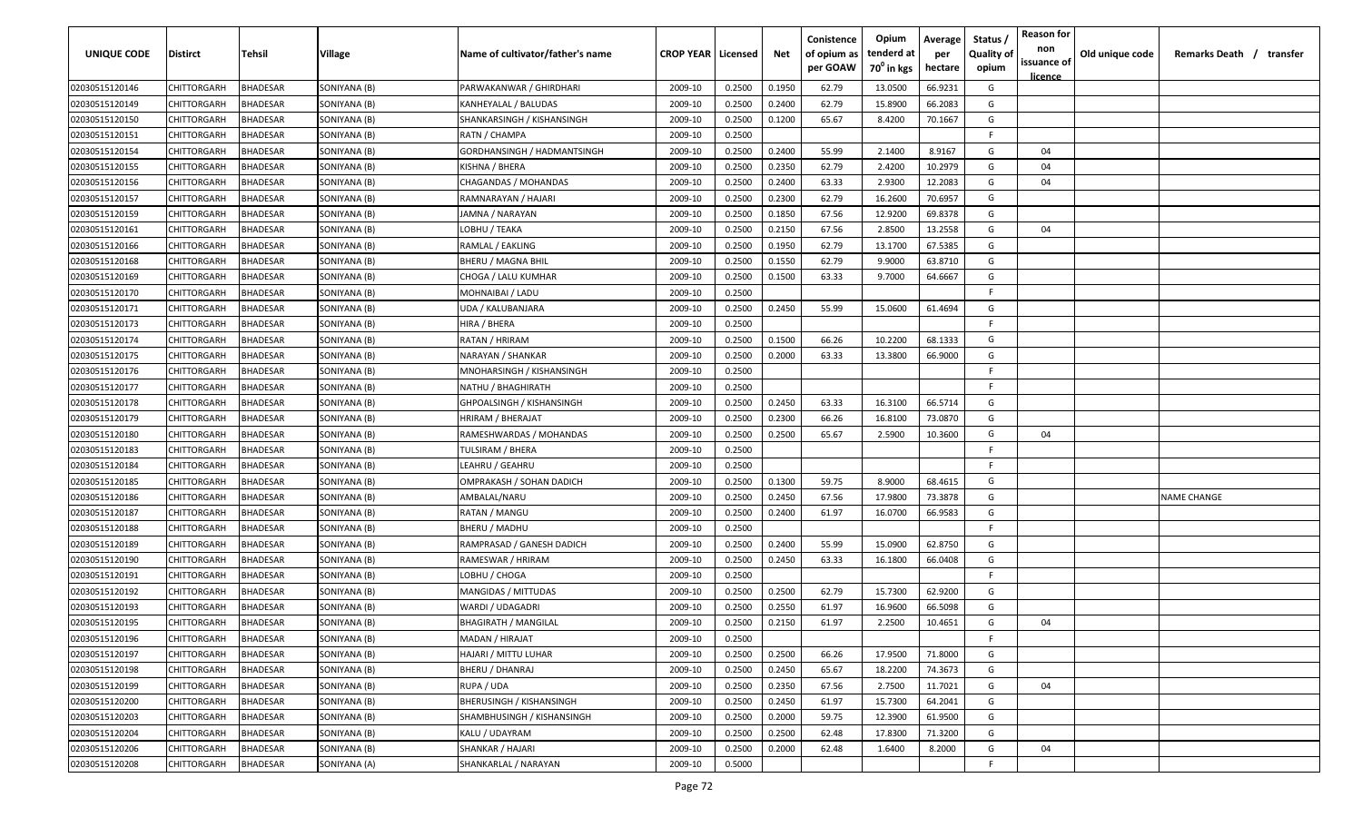| UNIQUE CODE    | Distirct           | Tehsil          | Village      | Name of cultivator/father's name | <b>CROP YEAR   Licensed</b> |        | Net    | Conistence<br>of opium as<br>per GOAW | Opium<br>tenderd at<br>70 <sup>0</sup> in kgs | Average<br>per<br>hectare | Status /<br><b>Quality of</b><br>opium | <b>Reason for</b><br>non<br>issuance of | Old unique code | Remarks Death / transfer |
|----------------|--------------------|-----------------|--------------|----------------------------------|-----------------------------|--------|--------|---------------------------------------|-----------------------------------------------|---------------------------|----------------------------------------|-----------------------------------------|-----------------|--------------------------|
| 02030515120146 | CHITTORGARH        | <b>BHADESAR</b> | SONIYANA (B) | PARWAKANWAR / GHIRDHARI          | 2009-10                     | 0.2500 | 0.1950 | 62.79                                 | 13.0500                                       | 66.9231                   | G                                      | <u>licence</u>                          |                 |                          |
| 02030515120149 | CHITTORGARH        | BHADESAR        | SONIYANA (B) | KANHEYALAL / BALUDAS             | 2009-10                     | 0.2500 | 0.2400 | 62.79                                 | 15.8900                                       | 66.2083                   | G                                      |                                         |                 |                          |
| 02030515120150 | CHITTORGARH        | BHADESAR        | SONIYANA (B) | SHANKARSINGH / KISHANSINGH       | 2009-10                     | 0.2500 | 0.1200 | 65.67                                 | 8.4200                                        | 70.1667                   | G                                      |                                         |                 |                          |
| 02030515120151 | CHITTORGARH        | BHADESAR        | SONIYANA (B) | RATN / CHAMPA                    | 2009-10                     | 0.2500 |        |                                       |                                               |                           | -F.                                    |                                         |                 |                          |
| 02030515120154 | CHITTORGARH        | BHADESAR        | SONIYANA (B) | GORDHANSINGH / HADMANTSINGH      | 2009-10                     | 0.2500 | 0.2400 | 55.99                                 | 2.1400                                        | 8.9167                    | G                                      | 04                                      |                 |                          |
| 02030515120155 | CHITTORGARH        | <b>BHADESAR</b> | SONIYANA (B) | KISHNA / BHERA                   | 2009-10                     | 0.2500 | 0.2350 | 62.79                                 | 2.4200                                        | 10.2979                   | G                                      | 04                                      |                 |                          |
| 02030515120156 | CHITTORGARH        | <b>BHADESAR</b> | SONIYANA (B) | CHAGANDAS / MOHANDAS             | 2009-10                     | 0.2500 | 0.2400 | 63.33                                 | 2.9300                                        | 12.2083                   | G                                      | 04                                      |                 |                          |
| 02030515120157 | CHITTORGARH        | BHADESAR        | SONIYANA (B) | RAMNARAYAN / HAJARI              | 2009-10                     | 0.2500 | 0.2300 | 62.79                                 | 16.2600                                       | 70.6957                   | G                                      |                                         |                 |                          |
| 02030515120159 | CHITTORGARH        | BHADESAR        | SONIYANA (B) | JAMNA / NARAYAN                  | 2009-10                     | 0.2500 | 0.1850 | 67.56                                 | 12.9200                                       | 69.8378                   | G                                      |                                         |                 |                          |
| 02030515120161 | CHITTORGARH        | BHADESAR        | SONIYANA (B) | LOBHU / TEAKA                    | 2009-10                     | 0.2500 | 0.2150 | 67.56                                 | 2.8500                                        | 13.2558                   | G                                      | 04                                      |                 |                          |
| 02030515120166 | CHITTORGARH        | BHADESAR        | SONIYANA (B) | RAMLAL / EAKLING                 | 2009-10                     | 0.2500 | 0.1950 | 62.79                                 | 13.1700                                       | 67.5385                   | G                                      |                                         |                 |                          |
| 02030515120168 | CHITTORGARH        | BHADESAR        | SONIYANA (B) | BHERU / MAGNA BHIL               | 2009-10                     | 0.2500 | 0.1550 | 62.79                                 | 9.9000                                        | 63.8710                   | G                                      |                                         |                 |                          |
| 02030515120169 | CHITTORGARH        | BHADESAR        | SONIYANA (B) | CHOGA / LALU KUMHAR              | 2009-10                     | 0.2500 | 0.1500 | 63.33                                 | 9.7000                                        | 64.6667                   | G                                      |                                         |                 |                          |
| 02030515120170 | CHITTORGARH        | <b>BHADESAR</b> | SONIYANA (B) | MOHNAIBAI / LADU                 | 2009-10                     | 0.2500 |        |                                       |                                               |                           | F                                      |                                         |                 |                          |
| 02030515120171 | CHITTORGARH        | BHADESAR        | SONIYANA (B) | UDA / KALUBANJARA                | 2009-10                     | 0.2500 | 0.2450 | 55.99                                 | 15.0600                                       | 61.4694                   | G                                      |                                         |                 |                          |
| 02030515120173 | CHITTORGARH        | <b>BHADESAR</b> | SONIYANA (B) | HIRA / BHERA                     | 2009-10                     | 0.2500 |        |                                       |                                               |                           | F                                      |                                         |                 |                          |
| 02030515120174 | CHITTORGARH        | <b>BHADESAR</b> | SONIYANA (B) | RATAN / HRIRAM                   | 2009-10                     | 0.2500 | 0.1500 | 66.26                                 | 10.2200                                       | 68.1333                   | G                                      |                                         |                 |                          |
| 02030515120175 | CHITTORGARH        | <b>BHADESAR</b> | SONIYANA (B) | NARAYAN / SHANKAR                | 2009-10                     | 0.2500 | 0.2000 | 63.33                                 | 13.3800                                       | 66.9000                   | G                                      |                                         |                 |                          |
| 02030515120176 | CHITTORGARH        | BHADESAR        | SONIYANA (B) | MNOHARSINGH / KISHANSINGH        | 2009-10                     | 0.2500 |        |                                       |                                               |                           | -F.                                    |                                         |                 |                          |
| 02030515120177 | CHITTORGARH        | BHADESAR        | SONIYANA (B) | NATHU / BHAGHIRATH               | 2009-10                     | 0.2500 |        |                                       |                                               |                           | -F                                     |                                         |                 |                          |
| 02030515120178 | CHITTORGARH        | <b>BHADESAR</b> | SONIYANA (B) | GHPOALSINGH / KISHANSINGH        | 2009-10                     | 0.2500 | 0.2450 | 63.33                                 | 16.3100                                       | 66.5714                   | G                                      |                                         |                 |                          |
| 02030515120179 | CHITTORGARH        | <b>BHADESAR</b> | SONIYANA (B) | HRIRAM / BHERAJAT                | 2009-10                     | 0.2500 | 0.2300 | 66.26                                 | 16.8100                                       | 73.0870                   | G                                      |                                         |                 |                          |
| 02030515120180 | CHITTORGARH        | <b>BHADESAR</b> | SONIYANA (B) | RAMESHWARDAS / MOHANDAS          | 2009-10                     | 0.2500 | 0.2500 | 65.67                                 | 2.5900                                        | 10.3600                   | G                                      | 04                                      |                 |                          |
| 02030515120183 | CHITTORGARH        | BHADESAR        | SONIYANA (B) | TULSIRAM / BHERA                 | 2009-10                     | 0.2500 |        |                                       |                                               |                           | -F                                     |                                         |                 |                          |
| 02030515120184 | CHITTORGARH        | BHADESAR        | SONIYANA (B) | LEAHRU / GEAHRU                  | 2009-10                     | 0.2500 |        |                                       |                                               |                           | -F                                     |                                         |                 |                          |
| 02030515120185 | CHITTORGARH        | BHADESAR        | SONIYANA (B) | OMPRAKASH / SOHAN DADICH         | 2009-10                     | 0.2500 | 0.1300 | 59.75                                 | 8.9000                                        | 68.4615                   | G                                      |                                         |                 |                          |
| 02030515120186 | CHITTORGARH        | BHADESAR        | SONIYANA (B) | AMBALAL/NARU                     | 2009-10                     | 0.2500 | 0.2450 | 67.56                                 | 17.9800                                       | 73.3878                   | G                                      |                                         |                 | NAME CHANGE              |
| 02030515120187 | CHITTORGARH        | BHADESAR        | SONIYANA (B) | RATAN / MANGU                    | 2009-10                     | 0.2500 | 0.2400 | 61.97                                 | 16.0700                                       | 66.9583                   | G                                      |                                         |                 |                          |
| 02030515120188 | CHITTORGARH        | BHADESAR        | SONIYANA (B) | BHERU / MADHU                    | 2009-10                     | 0.2500 |        |                                       |                                               |                           | -F.                                    |                                         |                 |                          |
| 02030515120189 | CHITTORGARH        | BHADESAR        | SONIYANA (B) | RAMPRASAD / GANESH DADICH        | 2009-10                     | 0.2500 | 0.2400 | 55.99                                 | 15.0900                                       | 62.8750                   | G                                      |                                         |                 |                          |
| 02030515120190 | CHITTORGARH        | BHADESAR        | SONIYANA (B) | RAMESWAR / HRIRAM                | 2009-10                     | 0.2500 | 0.2450 | 63.33                                 | 16.1800                                       | 66.0408                   | G                                      |                                         |                 |                          |
| 02030515120191 | CHITTORGARH        | BHADESAR        | SONIYANA (B) | LOBHU / CHOGA                    | 2009-10                     | 0.2500 |        |                                       |                                               |                           | -F.                                    |                                         |                 |                          |
| 02030515120192 | CHITTORGARH        | BHADESAR        | SONIYANA (B) | <b>MANGIDAS / MITTUDAS</b>       | 2009-10                     | 0.2500 | 0.2500 | 62.79                                 | 15.7300                                       | 62.9200                   | G                                      |                                         |                 |                          |
| 02030515120193 | CHITTORGARH        | BHADESAR        | SONIYANA (B) | WARDI / UDAGADRI                 | 2009-10                     | 0.2500 | 0.2550 | 61.97                                 | 16.9600                                       | 66.5098                   | G                                      |                                         |                 |                          |
| 02030515120195 | <b>CHITTORGARH</b> | BHADESAR        | SONIYANA (B) | <b>BHAGIRATH / MANGILAL</b>      | 2009-10                     | 0.2500 | 0.2150 | 61.97                                 | 2.2500                                        | 10.4651                   | G                                      | 04                                      |                 |                          |
| 02030515120196 | <b>CHITTORGARH</b> | <b>BHADESAR</b> | SONIYANA (B) | MADAN / HIRAJAT                  | 2009-10                     | 0.2500 |        |                                       |                                               |                           | F.                                     |                                         |                 |                          |
| 02030515120197 | CHITTORGARH        | <b>BHADESAR</b> | SONIYANA (B) | HAJARI / MITTU LUHAR             | 2009-10                     | 0.2500 | 0.2500 | 66.26                                 | 17.9500                                       | 71.8000                   | G                                      |                                         |                 |                          |
| 02030515120198 | CHITTORGARH        | <b>BHADESAR</b> | SONIYANA (B) | <b>BHERU / DHANRAJ</b>           | 2009-10                     | 0.2500 | 0.2450 | 65.67                                 | 18.2200                                       | 74.3673                   | G                                      |                                         |                 |                          |
| 02030515120199 | <b>CHITTORGARH</b> | <b>BHADESAR</b> | SONIYANA (B) | RUPA / UDA                       | 2009-10                     | 0.2500 | 0.2350 | 67.56                                 | 2.7500                                        | 11.7021                   | G                                      | 04                                      |                 |                          |
| 02030515120200 | <b>CHITTORGARH</b> | BHADESAR        | SONIYANA (B) | BHERUSINGH / KISHANSINGH         | 2009-10                     | 0.2500 | 0.2450 | 61.97                                 | 15.7300                                       | 64.2041                   | G                                      |                                         |                 |                          |
| 02030515120203 | CHITTORGARH        | BHADESAR        | SONIYANA (B) | SHAMBHUSINGH / KISHANSINGH       | 2009-10                     | 0.2500 | 0.2000 | 59.75                                 | 12.3900                                       | 61.9500                   | G                                      |                                         |                 |                          |
| 02030515120204 | CHITTORGARH        | BHADESAR        | SONIYANA (B) | KALU / UDAYRAM                   | 2009-10                     | 0.2500 | 0.2500 | 62.48                                 | 17.8300                                       | 71.3200                   | G                                      |                                         |                 |                          |
| 02030515120206 | CHITTORGARH        | BHADESAR        | SONIYANA (B) | SHANKAR / HAJARI                 | 2009-10                     | 0.2500 | 0.2000 | 62.48                                 | 1.6400                                        | 8.2000                    | G                                      | 04                                      |                 |                          |
| 02030515120208 | <b>CHITTORGARH</b> | <b>BHADESAR</b> | SONIYANA (A) | SHANKARLAL / NARAYAN             | 2009-10                     | 0.5000 |        |                                       |                                               |                           | F.                                     |                                         |                 |                          |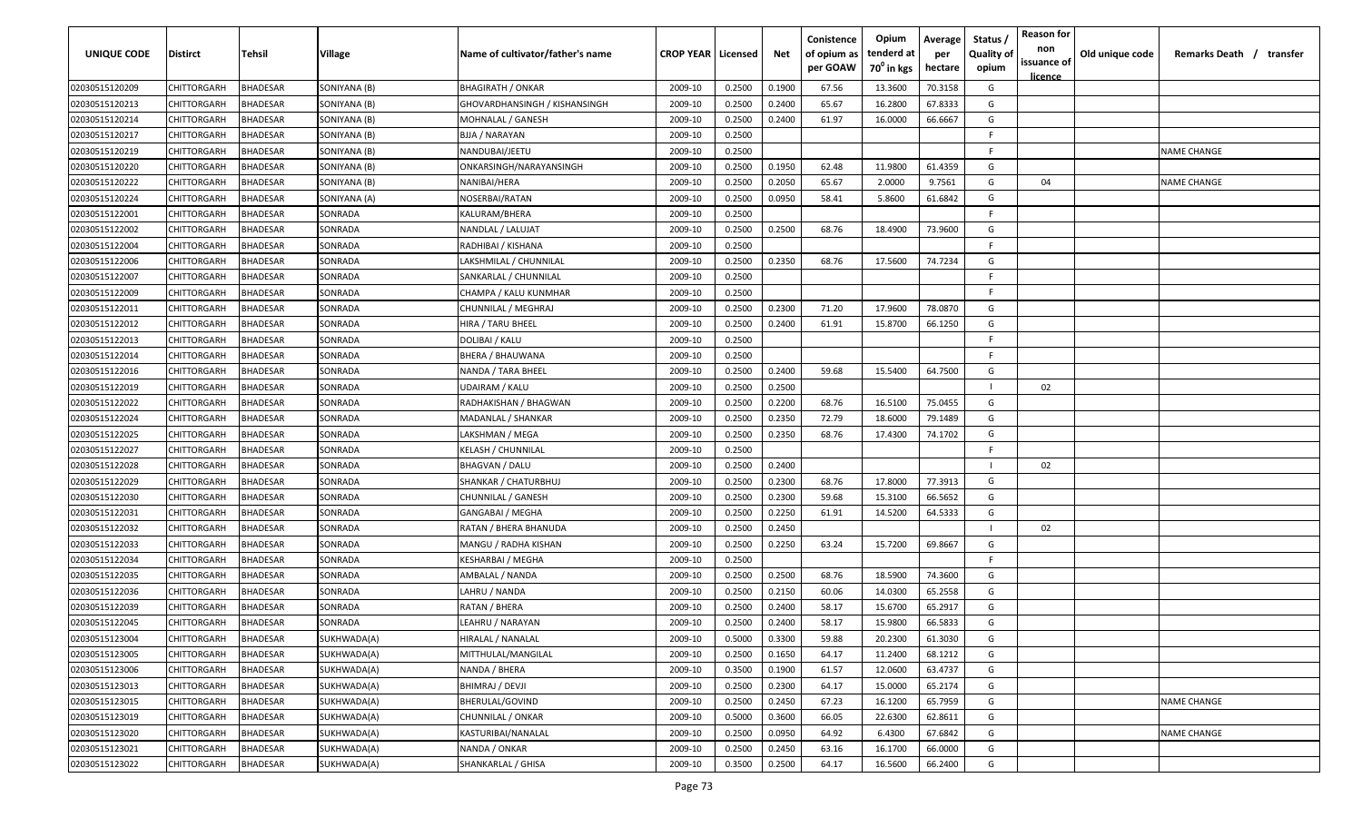| UNIQUE CODE    | Distirct           | Tehsil          | Village      | Name of cultivator/father's name | <b>CROP YEAR   Licensed</b> |        | Net    | Conistence<br>of opium as<br>per GOAW | Opium<br>tenderd at<br>70 <sup>°</sup> in kgs | Average<br>per<br>hectare | Status,<br><b>Quality of</b><br>opium | <b>Reason for</b><br>non<br>issuance of<br>licence | Old unique code | Remarks Death / transfer |
|----------------|--------------------|-----------------|--------------|----------------------------------|-----------------------------|--------|--------|---------------------------------------|-----------------------------------------------|---------------------------|---------------------------------------|----------------------------------------------------|-----------------|--------------------------|
| 02030515120209 | CHITTORGARH        | <b>BHADESAR</b> | SONIYANA (B) | <b>BHAGIRATH / ONKAR</b>         | 2009-10                     | 0.2500 | 0.1900 | 67.56                                 | 13.3600                                       | 70.3158                   | G                                     |                                                    |                 |                          |
| 02030515120213 | CHITTORGARH        | <b>BHADESAR</b> | SONIYANA (B) | GHOVARDHANSINGH / KISHANSINGH    | 2009-10                     | 0.2500 | 0.2400 | 65.67                                 | 16.2800                                       | 67.8333                   | G                                     |                                                    |                 |                          |
| 02030515120214 | CHITTORGARH        | <b>BHADESAR</b> | SONIYANA (B) | MOHNALAL / GANESH                | 2009-10                     | 0.2500 | 0.2400 | 61.97                                 | 16.0000                                       | 66.6667                   | G                                     |                                                    |                 |                          |
| 02030515120217 | CHITTORGARH        | <b>BHADESAR</b> | SONIYANA (B) | BJJA / NARAYAN                   | 2009-10                     | 0.2500 |        |                                       |                                               |                           | F                                     |                                                    |                 |                          |
| 02030515120219 | CHITTORGARH        | <b>BHADESAR</b> | SONIYANA (B) | NANDUBAI/JEETU                   | 2009-10                     | 0.2500 |        |                                       |                                               |                           | E                                     |                                                    |                 | <b>NAME CHANGE</b>       |
| 02030515120220 | CHITTORGARH        | <b>BHADESAR</b> | SONIYANA (B) | ONKARSINGH/NARAYANSINGH          | 2009-10                     | 0.2500 | 0.1950 | 62.48                                 | 11.9800                                       | 61.4359                   | G                                     |                                                    |                 |                          |
| 02030515120222 | CHITTORGARH        | BHADESAR        | SONIYANA (B) | NANIBAI/HERA                     | 2009-10                     | 0.2500 | 0.2050 | 65.67                                 | 2.0000                                        | 9.7561                    | G                                     | 04                                                 |                 | <b>NAME CHANGE</b>       |
| 02030515120224 | CHITTORGARH        | <b>BHADESAR</b> | SONIYANA (A) | NOSERBAI/RATAN                   | 2009-10                     | 0.2500 | 0.0950 | 58.41                                 | 5.8600                                        | 61.6842                   | G                                     |                                                    |                 |                          |
| 02030515122001 | CHITTORGARH        | <b>BHADESAR</b> | SONRADA      | KALURAM/BHERA                    | 2009-10                     | 0.2500 |        |                                       |                                               |                           | F.                                    |                                                    |                 |                          |
| 02030515122002 | CHITTORGARH        | BHADESAR        | SONRADA      | NANDLAL / LALUJAT                | 2009-10                     | 0.2500 | 0.2500 | 68.76                                 | 18.4900                                       | 73.9600                   | G                                     |                                                    |                 |                          |
| 02030515122004 | CHITTORGARH        | BHADESAR        | SONRADA      | RADHIBAI / KISHANA               | 2009-10                     | 0.2500 |        |                                       |                                               |                           | E                                     |                                                    |                 |                          |
| 02030515122006 | CHITTORGARH        | <b>BHADESAR</b> | SONRADA      | LAKSHMILAL / CHUNNILAL           | 2009-10                     | 0.2500 | 0.2350 | 68.76                                 | 17.5600                                       | 74.7234                   | G                                     |                                                    |                 |                          |
| 02030515122007 | CHITTORGARH        | <b>BHADESAR</b> | SONRADA      | SANKARLAL / CHUNNILAL            | 2009-10                     | 0.2500 |        |                                       |                                               |                           | E                                     |                                                    |                 |                          |
| 02030515122009 | CHITTORGARH        | <b>BHADESAR</b> | SONRADA      | CHAMPA / KALU KUNMHAR            | 2009-10                     | 0.2500 |        |                                       |                                               |                           | E                                     |                                                    |                 |                          |
| 02030515122011 | CHITTORGARH        | <b>BHADESAR</b> | SONRADA      | CHUNNILAL / MEGHRAJ              | 2009-10                     | 0.2500 | 0.2300 | 71.20                                 | 17.9600                                       | 78.0870                   | G                                     |                                                    |                 |                          |
| 02030515122012 | CHITTORGARH        | <b>BHADESAR</b> | SONRADA      | HIRA / TARU BHEEL                | 2009-10                     | 0.2500 | 0.2400 | 61.91                                 | 15.8700                                       | 66.1250                   | G                                     |                                                    |                 |                          |
| 02030515122013 | CHITTORGARH        | <b>BHADESAR</b> | SONRADA      | DOLIBAI / KALU                   | 2009-10                     | 0.2500 |        |                                       |                                               |                           | E                                     |                                                    |                 |                          |
| 02030515122014 | CHITTORGARH        | <b>BHADESAR</b> | SONRADA      | BHERA / BHAUWANA                 | 2009-10                     | 0.2500 |        |                                       |                                               |                           | F                                     |                                                    |                 |                          |
| 02030515122016 | CHITTORGARH        | <b>BHADESAR</b> | SONRADA      | NANDA / TARA BHEEL               | 2009-10                     | 0.2500 | 0.2400 | 59.68                                 | 15.5400                                       | 64.7500                   | G                                     |                                                    |                 |                          |
| 02030515122019 | CHITTORGARH        | <b>BHADESAR</b> | SONRADA      | UDAIRAM / KALU                   | 2009-10                     | 0.2500 | 0.2500 |                                       |                                               |                           |                                       | 02                                                 |                 |                          |
| 02030515122022 | CHITTORGARH        | <b>BHADESAR</b> | SONRADA      | RADHAKISHAN / BHAGWAN            | 2009-10                     | 0.2500 | 0.2200 | 68.76                                 | 16.5100                                       | 75.0455                   | G                                     |                                                    |                 |                          |
| 02030515122024 | CHITTORGARH        | <b>BHADESAR</b> | SONRADA      | MADANLAL / SHANKAR               | 2009-10                     | 0.2500 | 0.2350 | 72.79                                 | 18.6000                                       | 79.1489                   | G                                     |                                                    |                 |                          |
| 02030515122025 | CHITTORGARH        | <b>BHADESAR</b> | SONRADA      | LAKSHMAN / MEGA                  | 2009-10                     | 0.2500 | 0.2350 | 68.76                                 | 17.4300                                       | 74.1702                   | G                                     |                                                    |                 |                          |
| 02030515122027 | CHITTORGARH        | BHADESAR        | SONRADA      | KELASH / CHUNNILAL               | 2009-10                     | 0.2500 |        |                                       |                                               |                           |                                       |                                                    |                 |                          |
| 02030515122028 | CHITTORGARH        | <b>BHADESAR</b> | SONRADA      | BHAGVAN / DALU                   | 2009-10                     | 0.2500 | 0.2400 |                                       |                                               |                           |                                       | 02                                                 |                 |                          |
| 02030515122029 | CHITTORGARH        | <b>BHADESAR</b> | SONRADA      | SHANKAR / CHATURBHUJ             | 2009-10                     | 0.2500 | 0.2300 | 68.76                                 | 17.8000                                       | 77.3913                   | G                                     |                                                    |                 |                          |
| 02030515122030 | CHITTORGARH        | <b>BHADESAR</b> | SONRADA      | CHUNNILAL / GANESH               | 2009-10                     | 0.2500 | 0.2300 | 59.68                                 | 15.3100                                       | 66.5652                   | G                                     |                                                    |                 |                          |
| 02030515122031 | CHITTORGARH        | <b>BHADESAR</b> | SONRADA      | GANGABAI / MEGHA                 | 2009-10                     | 0.2500 | 0.2250 | 61.91                                 | 14.5200                                       | 64.5333                   | G                                     |                                                    |                 |                          |
| 02030515122032 | CHITTORGARH        | <b>BHADESAR</b> | SONRADA      | RATAN / BHERA BHANUDA            | 2009-10                     | 0.2500 | 0.2450 |                                       |                                               |                           |                                       | 02                                                 |                 |                          |
| 02030515122033 | CHITTORGARH        | <b>BHADESAR</b> | SONRADA      | MANGU / RADHA KISHAN             | 2009-10                     | 0.2500 | 0.2250 | 63.24                                 | 15.7200                                       | 69.8667                   | G                                     |                                                    |                 |                          |
| 02030515122034 | CHITTORGARH        | <b>BHADESAR</b> | SONRADA      | KESHARBAI / MEGHA                | 2009-10                     | 0.2500 |        |                                       |                                               |                           | E                                     |                                                    |                 |                          |
| 02030515122035 | CHITTORGARH        | <b>BHADESAR</b> | SONRADA      | AMBALAL / NANDA                  | 2009-10                     | 0.2500 | 0.2500 | 68.76                                 | 18.5900                                       | 74.3600                   | G                                     |                                                    |                 |                          |
| 02030515122036 | CHITTORGARH        | <b>BHADESAR</b> | SONRADA      | AHRU / NANDA                     | 2009-10                     | 0.2500 | 0.2150 | 60.06                                 | 14.0300                                       | 65.2558                   | G                                     |                                                    |                 |                          |
| 02030515122039 | CHITTORGARH        | <b>BHADESAR</b> | SONRADA      | RATAN / BHERA                    | 2009-10                     | 0.2500 | 0.2400 | 58.17                                 | 15.6700                                       | 65.2917                   | G                                     |                                                    |                 |                          |
| 02030515122045 | <b>CHITTORGARH</b> | <b>BHADESAR</b> | SONRADA      | LEAHRU / NARAYAN                 | 2009-10                     | 0.2500 | 0.2400 | 58.17                                 | 15.9800                                       | 66.5833                   | G                                     |                                                    |                 |                          |
| 02030515123004 | CHITTORGARH        | <b>BHADESAR</b> | SUKHWADA(A)  | HIRALAL / NANALAL                | 2009-10                     | 0.5000 | 0.3300 | 59.88                                 | 20.2300                                       | 61.3030                   | G                                     |                                                    |                 |                          |
| 02030515123005 | <b>CHITTORGARH</b> | <b>BHADESAR</b> | SUKHWADA(A)  | MITTHULAL/MANGILAL               | 2009-10                     | 0.2500 | 0.1650 | 64.17                                 | 11.2400                                       | 68.1212                   | G                                     |                                                    |                 |                          |
| 02030515123006 | <b>CHITTORGARH</b> | <b>BHADESAR</b> | SUKHWADA(A)  | NANDA / BHERA                    | 2009-10                     | 0.3500 | 0.1900 | 61.57                                 | 12.0600                                       | 63.4737                   | G                                     |                                                    |                 |                          |
| 02030515123013 | CHITTORGARH        | <b>BHADESAR</b> | SUKHWADA(A)  | BHIMRAJ / DEVJI                  | 2009-10                     | 0.2500 | 0.2300 | 64.17                                 | 15.0000                                       | 65.2174                   | G                                     |                                                    |                 |                          |
| 02030515123015 | CHITTORGARH        | <b>BHADESAR</b> | SUKHWADA(A)  | BHERULAL/GOVIND                  | 2009-10                     | 0.2500 | 0.2450 | 67.23                                 | 16.1200                                       | 65.7959                   | G                                     |                                                    |                 | <b>NAME CHANGE</b>       |
| 02030515123019 | CHITTORGARH        | <b>BHADESAR</b> | SUKHWADA(A)  | CHUNNILAL / ONKAR                | 2009-10                     | 0.5000 | 0.3600 | 66.05                                 | 22.6300                                       | 62.8611                   | G                                     |                                                    |                 |                          |
| 02030515123020 | CHITTORGARH        | <b>BHADESAR</b> | SUKHWADA(A)  | KASTURIBAI/NANALAL               | 2009-10                     | 0.2500 | 0.0950 | 64.92                                 | 6.4300                                        | 67.6842                   | G                                     |                                                    |                 | <b>NAME CHANGE</b>       |
| 02030515123021 | CHITTORGARH        | <b>BHADESAR</b> | SUKHWADA(A)  | NANDA / ONKAR                    | 2009-10                     | 0.2500 | 0.2450 | 63.16                                 | 16.1700                                       | 66.0000                   | G                                     |                                                    |                 |                          |
| 02030515123022 | <b>CHITTORGARH</b> | <b>BHADESAR</b> | SUKHWADA(A)  | SHANKARLAL / GHISA               | 2009-10                     | 0.3500 | 0.2500 | 64.17                                 | 16.5600                                       | 66.2400                   | G                                     |                                                    |                 |                          |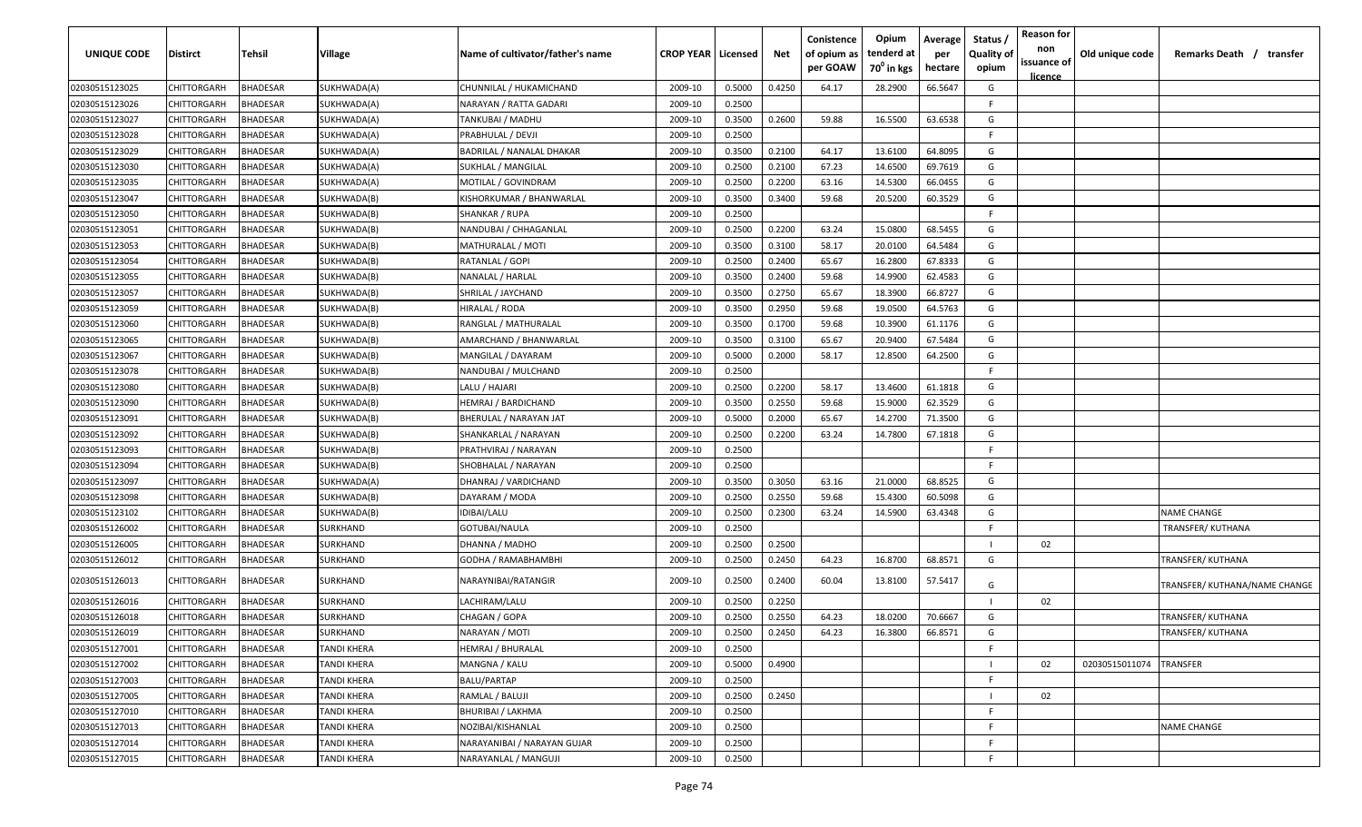| <b>UNIQUE CODE</b> | Distirct           | <b>Tehsil</b>   | Village            | Name of cultivator/father's name | <b>CROP YEAR   Licensed</b> |        | Net    | Conistence<br>of opium as<br>per GOAW | Opium<br>tenderd at<br>70 <sup>0</sup> in kgs | Average<br>per<br>hectare | Status /<br><b>Quality of</b><br>opium | <b>Reason for</b><br>non<br>issuance of<br><u>licence</u> | Old unique code | Remarks Death /<br>transfer   |
|--------------------|--------------------|-----------------|--------------------|----------------------------------|-----------------------------|--------|--------|---------------------------------------|-----------------------------------------------|---------------------------|----------------------------------------|-----------------------------------------------------------|-----------------|-------------------------------|
| 02030515123025     | CHITTORGARH        | <b>BHADESAR</b> | SUKHWADA(A)        | CHUNNILAL / HUKAMICHAND          | 2009-10                     | 0.5000 | 0.4250 | 64.17                                 | 28.2900                                       | 66.5647                   | G                                      |                                                           |                 |                               |
| 02030515123026     | CHITTORGARH        | BHADESAR        | SUKHWADA(A)        | NARAYAN / RATTA GADARI           | 2009-10                     | 0.2500 |        |                                       |                                               |                           | F.                                     |                                                           |                 |                               |
| 02030515123027     | CHITTORGARH        | BHADESAR        | SUKHWADA(A)        | TANKUBAI / MADHU                 | 2009-10                     | 0.3500 | 0.2600 | 59.88                                 | 16.5500                                       | 63.6538                   | G                                      |                                                           |                 |                               |
| 02030515123028     | CHITTORGARH        | BHADESAR        | SUKHWADA(A)        | PRABHULAL / DEVJI                | 2009-10                     | 0.2500 |        |                                       |                                               |                           | -F.                                    |                                                           |                 |                               |
| 02030515123029     | CHITTORGARH        | BHADESAR        | SUKHWADA(A)        | BADRILAL / NANALAL DHAKAR        | 2009-10                     | 0.3500 | 0.2100 | 64.17                                 | 13.6100                                       | 64.8095                   | G                                      |                                                           |                 |                               |
| 02030515123030     | CHITTORGARH        | BHADESAR        | SUKHWADA(A)        | SUKHLAL / MANGILAL               | 2009-10                     | 0.2500 | 0.2100 | 67.23                                 | 14.6500                                       | 69.7619                   | G                                      |                                                           |                 |                               |
| 02030515123035     | CHITTORGARH        | BHADESAR        | SUKHWADA(A)        | MOTILAL / GOVINDRAM              | 2009-10                     | 0.2500 | 0.2200 | 63.16                                 | 14.5300                                       | 66.0455                   | G                                      |                                                           |                 |                               |
| 02030515123047     | CHITTORGARH        | BHADESAR        | SUKHWADA(B)        | KISHORKUMAR / BHANWARLAL         | 2009-10                     | 0.3500 | 0.3400 | 59.68                                 | 20.5200                                       | 60.3529                   | G                                      |                                                           |                 |                               |
| 02030515123050     | CHITTORGARH        | BHADESAR        | SUKHWADA(B)        | SHANKAR / RUPA                   | 2009-10                     | 0.2500 |        |                                       |                                               |                           | -F                                     |                                                           |                 |                               |
| 02030515123051     | CHITTORGARH        | BHADESAR        | SUKHWADA(B)        | NANDUBAI / CHHAGANLAL            | 2009-10                     | 0.2500 | 0.2200 | 63.24                                 | 15.0800                                       | 68.5455                   | G                                      |                                                           |                 |                               |
| 02030515123053     | CHITTORGARH        | BHADESAR        | SUKHWADA(B)        | MATHURALAL / MOTI                | 2009-10                     | 0.3500 | 0.3100 | 58.17                                 | 20.0100                                       | 64.5484                   | G                                      |                                                           |                 |                               |
| 02030515123054     | CHITTORGARH        | BHADESAR        | SUKHWADA(B)        | RATANLAL / GOPI                  | 2009-10                     | 0.2500 | 0.2400 | 65.67                                 | 16.2800                                       | 67.8333                   | G                                      |                                                           |                 |                               |
| 02030515123055     | CHITTORGARH        | BHADESAR        | SUKHWADA(B)        | NANALAL / HARLAL                 | 2009-10                     | 0.3500 | 0.2400 | 59.68                                 | 14.9900                                       | 62.4583                   | G                                      |                                                           |                 |                               |
| 02030515123057     | CHITTORGARH        | BHADESAR        | SUKHWADA(B)        | SHRILAL / JAYCHAND               | 2009-10                     | 0.3500 | 0.2750 | 65.67                                 | 18.3900                                       | 66.8727                   | G                                      |                                                           |                 |                               |
| 02030515123059     | CHITTORGARH        | BHADESAR        | SUKHWADA(B)        | HIRALAL / RODA                   | 2009-10                     | 0.3500 | 0.2950 | 59.68                                 | 19.0500                                       | 64.5763                   | G                                      |                                                           |                 |                               |
| 02030515123060     | CHITTORGARH        | BHADESAR        | SUKHWADA(B)        | RANGLAL / MATHURALAL             | 2009-10                     | 0.3500 | 0.1700 | 59.68                                 | 10.3900                                       | 61.1176                   | G                                      |                                                           |                 |                               |
| 02030515123065     | CHITTORGARH        | <b>BHADESAR</b> | SUKHWADA(B)        | AMARCHAND / BHANWARLAL           | 2009-10                     | 0.3500 | 0.3100 | 65.67                                 | 20.9400                                       | 67.5484                   | G                                      |                                                           |                 |                               |
| 02030515123067     | CHITTORGARH        | BHADESAR        | SUKHWADA(B)        | MANGILAL / DAYARAM               | 2009-10                     | 0.5000 | 0.2000 | 58.17                                 | 12.8500                                       | 64.2500                   | G                                      |                                                           |                 |                               |
| 02030515123078     | CHITTORGARH        | BHADESAR        | SUKHWADA(B)        | NANDUBAI / MULCHAND              | 2009-10                     | 0.2500 |        |                                       |                                               |                           | F.                                     |                                                           |                 |                               |
| 02030515123080     | CHITTORGARH        | BHADESAR        | SUKHWADA(B)        | LALU / HAJARI                    | 2009-10                     | 0.2500 | 0.2200 | 58.17                                 | 13.4600                                       | 61.1818                   | G                                      |                                                           |                 |                               |
| 02030515123090     | CHITTORGARH        | BHADESAR        | SUKHWADA(B)        | HEMRAJ / BARDICHAND              | 2009-10                     | 0.3500 | 0.2550 | 59.68                                 | 15.9000                                       | 62.3529                   | G                                      |                                                           |                 |                               |
| 02030515123091     | CHITTORGARH        | <b>BHADESAR</b> | SUKHWADA(B)        | BHERULAL / NARAYAN JAT           | 2009-10                     | 0.5000 | 0.2000 | 65.67                                 | 14.2700                                       | 71.3500                   | G                                      |                                                           |                 |                               |
| 02030515123092     | CHITTORGARH        | BHADESAR        | SUKHWADA(B)        | SHANKARLAL / NARAYAN             | 2009-10                     | 0.2500 | 0.2200 | 63.24                                 | 14.7800                                       | 67.1818                   | G                                      |                                                           |                 |                               |
| 02030515123093     | CHITTORGARH        | BHADESAR        | SUKHWADA(B)        | PRATHVIRAJ / NARAYAN             | 2009-10                     | 0.2500 |        |                                       |                                               |                           | -F.                                    |                                                           |                 |                               |
| 02030515123094     | CHITTORGARH        | BHADESAR        | SUKHWADA(B)        | SHOBHALAL / NARAYAN              | 2009-10                     | 0.2500 |        |                                       |                                               |                           | -F                                     |                                                           |                 |                               |
| 02030515123097     | CHITTORGARH        | BHADESAR        | SUKHWADA(A)        | DHANRAJ / VARDICHAND             | 2009-10                     | 0.3500 | 0.3050 | 63.16                                 | 21.0000                                       | 68.8525                   | G                                      |                                                           |                 |                               |
| 02030515123098     | CHITTORGARH        | BHADESAR        | SUKHWADA(B)        | DAYARAM / MODA                   | 2009-10                     | 0.2500 | 0.2550 | 59.68                                 | 15.4300                                       | 60.5098                   | G                                      |                                                           |                 |                               |
| 02030515123102     | CHITTORGARH        | BHADESAR        | SUKHWADA(B)        | IDIBAI/LALU                      | 2009-10                     | 0.2500 | 0.2300 | 63.24                                 | 14.5900                                       | 63.4348                   | G                                      |                                                           |                 | NAME CHANGE                   |
| 02030515126002     | CHITTORGARH        | BHADESAR        | SURKHAND           | GOTUBAI/NAULA                    | 2009-10                     | 0.2500 |        |                                       |                                               |                           | -F.                                    |                                                           |                 | TRANSFER/KUTHANA              |
| 02030515126005     | CHITTORGARH        | BHADESAR        | SURKHAND           | DHANNA / MADHO                   | 2009-10                     | 0.2500 | 0.2500 |                                       |                                               |                           |                                        | 02                                                        |                 |                               |
| 02030515126012     | CHITTORGARH        | BHADESAR        | SURKHAND           | GODHA / RAMABHAMBHI              | 2009-10                     | 0.2500 | 0.2450 | 64.23                                 | 16.8700                                       | 68.8571                   | G                                      |                                                           |                 | TRANSFER/ KUTHANA             |
| 02030515126013     | CHITTORGARH        | BHADESAR        | SURKHAND           | NARAYNIBAI/RATANGIR              | 2009-10                     | 0.2500 | 0.2400 | 60.04                                 | 13.8100                                       | 57.5417                   | G                                      |                                                           |                 | TRANSFER/ KUTHANA/NAME CHANGE |
| 02030515126016     | CHITTORGARH        | BHADESAR        | SURKHAND           | LACHIRAM/LALU                    | 2009-10                     | 0.2500 | 0.2250 |                                       |                                               |                           |                                        | 02                                                        |                 |                               |
| 02030515126018     | CHITTORGARH        | BHADESAR        | SURKHAND           | CHAGAN / GOPA                    | 2009-10                     | 0.2500 | 0.2550 | 64.23                                 | 18.0200                                       | 70.6667                   | G                                      |                                                           |                 | TRANSFER/ KUTHANA             |
| 02030515126019     | CHITTORGARH        | <b>BHADESAR</b> | SURKHAND           | NARAYAN / MOTI                   | 2009-10                     | 0.2500 | 0.2450 | 64.23                                 | 16.3800                                       | 66.8571                   | G                                      |                                                           |                 | TRANSFER/ KUTHANA             |
| 02030515127001     | CHITTORGARH        | <b>BHADESAR</b> | TANDI KHERA        | HEMRAJ / BHURALAL                | 2009-10                     | 0.2500 |        |                                       |                                               |                           | F                                      |                                                           |                 |                               |
| 02030515127002     | <b>CHITTORGARH</b> | <b>BHADESAR</b> | TANDI KHERA        | MANGNA / KALU                    | 2009-10                     | 0.5000 | 0.4900 |                                       |                                               |                           |                                        | 02                                                        | 02030515011074  | <b>TRANSFER</b>               |
| 02030515127003     | <b>CHITTORGARH</b> | <b>BHADESAR</b> | TANDI KHERA        | BALU/PARTAP                      | 2009-10                     | 0.2500 |        |                                       |                                               |                           | -F.                                    |                                                           |                 |                               |
| 02030515127005     | CHITTORGARH        | <b>BHADESAR</b> | <b>TANDI KHERA</b> | RAMLAL / BALUJI                  | 2009-10                     | 0.2500 | 0.2450 |                                       |                                               |                           |                                        | 02                                                        |                 |                               |
| 02030515127010     | CHITTORGARH        | <b>BHADESAR</b> | TANDI KHERA        | <b>BHURIBAI / LAKHMA</b>         | 2009-10                     | 0.2500 |        |                                       |                                               |                           | F                                      |                                                           |                 |                               |
| 02030515127013     | CHITTORGARH        | <b>BHADESAR</b> | TANDI KHERA        | NOZIBAI/KISHANLAL                | 2009-10                     | 0.2500 |        |                                       |                                               |                           | F                                      |                                                           |                 | <b>NAME CHANGE</b>            |
| 02030515127014     | CHITTORGARH        | <b>BHADESAR</b> | TANDI KHERA        | NARAYANIBAI / NARAYAN GUJAR      | 2009-10                     | 0.2500 |        |                                       |                                               |                           | F                                      |                                                           |                 |                               |
| 02030515127015     | <b>CHITTORGARH</b> | <b>BHADESAR</b> | <b>TANDI KHERA</b> | NARAYANLAL / MANGUJI             | 2009-10                     | 0.2500 |        |                                       |                                               |                           | F                                      |                                                           |                 |                               |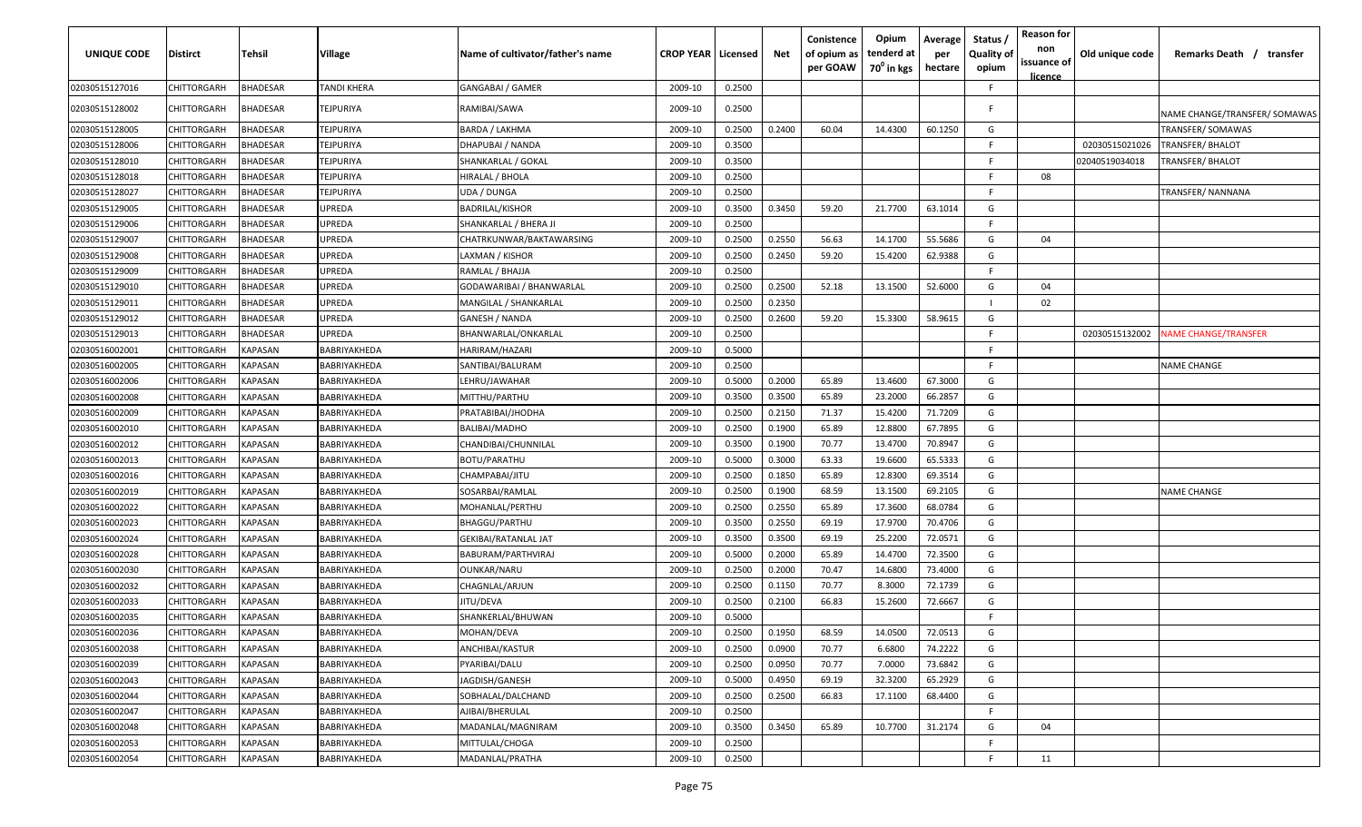| <b>UNIQUE CODE</b> | <b>Distirct</b>    | Tehsil          | <b>Village</b> | Name of cultivator/father's name | <b>CROP YEAR   Licensed</b> |        | Net    | Conistence<br>of opium as<br>per GOAW | Opium<br>tenderd at<br>70 <sup>0</sup> in kgs | Average<br>per<br>hectare | Status /<br><b>Quality of</b><br>opium | <b>Reason for</b><br>non<br>issuance of<br><u>licence</u> | Old unique code | Remarks Death / transfer      |
|--------------------|--------------------|-----------------|----------------|----------------------------------|-----------------------------|--------|--------|---------------------------------------|-----------------------------------------------|---------------------------|----------------------------------------|-----------------------------------------------------------|-----------------|-------------------------------|
| 02030515127016     | CHITTORGARH        | <b>BHADESAR</b> | TANDI KHERA    | GANGABAI / GAMER                 | 2009-10                     | 0.2500 |        |                                       |                                               |                           | F                                      |                                                           |                 |                               |
| 02030515128002     | CHITTORGARH        | <b>BHADESAR</b> | TEJPURIYA      | RAMIBAI/SAWA                     | 2009-10                     | 0.2500 |        |                                       |                                               |                           | F                                      |                                                           |                 | NAME CHANGE/TRANSFER/ SOMAWAS |
| 02030515128005     | <b>CHITTORGARH</b> | <b>BHADESAR</b> | TEJPURIYA      | BARDA / LAKHMA                   | 2009-10                     | 0.2500 | 0.2400 | 60.04                                 | 14.4300                                       | 60.1250                   | G                                      |                                                           |                 | TRANSFER/SOMAWAS              |
| 02030515128006     | CHITTORGARH        | <b>BHADESAR</b> | TEJPURIYA      | DHAPUBAI / NANDA                 | 2009-10                     | 0.3500 |        |                                       |                                               |                           | E                                      |                                                           | 02030515021026  | TRANSFER/ BHALOT              |
| 02030515128010     | CHITTORGARH        | <b>BHADESAR</b> | TEJPURIYA      | SHANKARLAL / GOKAL               | 2009-10                     | 0.3500 |        |                                       |                                               |                           | E                                      |                                                           | 02040519034018  | TRANSFER/ BHALOT              |
| 02030515128018     | CHITTORGARH        | <b>BHADESAR</b> | TEJPURIYA      | HIRALAL / BHOLA                  | 2009-10                     | 0.2500 |        |                                       |                                               |                           | F                                      | 08                                                        |                 |                               |
| 02030515128027     | CHITTORGARH        | <b>BHADESAR</b> | TEJPURIYA      | UDA / DUNGA                      | 2009-10                     | 0.2500 |        |                                       |                                               |                           | F                                      |                                                           |                 | TRANSFER/ NANNANA             |
| 02030515129005     | CHITTORGARH        | <b>BHADESAR</b> | <b>JPREDA</b>  | <b>BADRILAL/KISHOR</b>           | 2009-10                     | 0.3500 | 0.3450 | 59.20                                 | 21.7700                                       | 63.1014                   | G                                      |                                                           |                 |                               |
| 02030515129006     | CHITTORGARH        | <b>BHADESAR</b> | <b>JPREDA</b>  | SHANKARLAL / BHERA JI            | 2009-10                     | 0.2500 |        |                                       |                                               |                           | E                                      |                                                           |                 |                               |
| 02030515129007     | CHITTORGARH        | BHADESAR        | <b>JPREDA</b>  | CHATRKUNWAR/BAKTAWARSING         | 2009-10                     | 0.2500 | 0.2550 | 56.63                                 | 14.1700                                       | 55.5686                   | G                                      | 04                                                        |                 |                               |
| 02030515129008     | CHITTORGARH        | <b>BHADESAR</b> | <b>JPREDA</b>  | LAXMAN / KISHOR                  | 2009-10                     | 0.2500 | 0.2450 | 59.20                                 | 15.4200                                       | 62.9388                   | G                                      |                                                           |                 |                               |
| 02030515129009     | CHITTORGARH        | <b>BHADESAR</b> | JPREDA         | RAMLAL / BHAJJA                  | 2009-10                     | 0.2500 |        |                                       |                                               |                           | F.                                     |                                                           |                 |                               |
| 02030515129010     | CHITTORGARH        | BHADESAR        | JPREDA         | GODAWARIBAI / BHANWARLAL         | 2009-10                     | 0.2500 | 0.2500 | 52.18                                 | 13.1500                                       | 52.6000                   | G                                      | 04                                                        |                 |                               |
| 02030515129011     | CHITTORGARH        | BHADESAR        | JPREDA         | MANGILAL / SHANKARLAL            | 2009-10                     | 0.2500 | 0.2350 |                                       |                                               |                           |                                        | 02                                                        |                 |                               |
| 02030515129012     | CHITTORGARH        | <b>BHADESAR</b> | <b>JPREDA</b>  | GANESH / NANDA                   | 2009-10                     | 0.2500 | 0.2600 | 59.20                                 | 15.3300                                       | 58.9615                   | G                                      |                                                           |                 |                               |
| 02030515129013     | CHITTORGARH        | <b>BHADESAR</b> | JPREDA         | BHANWARLAL/ONKARLAL              | 2009-10                     | 0.2500 |        |                                       |                                               |                           | F                                      |                                                           | 02030515132002  | NAME CHANGE/TRANSFER          |
| 02030516002001     | CHITTORGARH        | KAPASAN         | BABRIYAKHEDA   | HARIRAM/HAZARI                   | 2009-10                     | 0.5000 |        |                                       |                                               |                           | E                                      |                                                           |                 |                               |
| 02030516002005     | CHITTORGARH        | KAPASAN         | BABRIYAKHEDA   | SANTIBAI/BALURAM                 | 2009-10                     | 0.2500 |        |                                       |                                               |                           | E                                      |                                                           |                 | <b>NAME CHANGE</b>            |
| 02030516002006     | CHITTORGARH        | KAPASAN         | BABRIYAKHEDA   | LEHRU/JAWAHAR                    | 2009-10                     | 0.5000 | 0.2000 | 65.89                                 | 13.4600                                       | 67.3000                   | G                                      |                                                           |                 |                               |
| 02030516002008     | CHITTORGARH        | <b>KAPASAN</b>  | BABRIYAKHEDA   | MITTHU/PARTHU                    | 2009-10                     | 0.3500 | 0.3500 | 65.89                                 | 23.2000                                       | 66.2857                   | G                                      |                                                           |                 |                               |
| 02030516002009     | CHITTORGARH        | KAPASAN         | BABRIYAKHEDA   | PRATABIBAI/JHODHA                | 2009-10                     | 0.2500 | 0.2150 | 71.37                                 | 15.4200                                       | 71.7209                   | G                                      |                                                           |                 |                               |
| 02030516002010     | CHITTORGARH        | KAPASAN         | BABRIYAKHEDA   | BALIBAI/MADHO                    | 2009-10                     | 0.2500 | 0.1900 | 65.89                                 | 12.8800                                       | 67.7895                   | G                                      |                                                           |                 |                               |
| 02030516002012     | CHITTORGARH        | KAPASAN         | BABRIYAKHEDA   | CHANDIBAI/CHUNNILAL              | 2009-10                     | 0.3500 | 0.1900 | 70.77                                 | 13.4700                                       | 70.8947                   | G                                      |                                                           |                 |                               |
| 02030516002013     | CHITTORGARH        | KAPASAN         | BABRIYAKHEDA   | <b>BOTU/PARATHU</b>              | 2009-10                     | 0.5000 | 0.3000 | 63.33                                 | 19.6600                                       | 65.5333                   | G                                      |                                                           |                 |                               |
| 02030516002016     | CHITTORGARH        | KAPASAN         | BABRIYAKHEDA   | CHAMPABAI/JITU                   | 2009-10                     | 0.2500 | 0.1850 | 65.89                                 | 12.8300                                       | 69.3514                   | G                                      |                                                           |                 |                               |
| 02030516002019     | CHITTORGARH        | KAPASAN         | BABRIYAKHEDA   | SOSARBAI/RAMLAL                  | 2009-10                     | 0.2500 | 0.1900 | 68.59                                 | 13.1500                                       | 69.2105                   | G                                      |                                                           |                 | <b>NAME CHANGE</b>            |
| 02030516002022     | CHITTORGARH        | KAPASAN         | BABRIYAKHEDA   | MOHANLAL/PERTHU                  | 2009-10                     | 0.2500 | 0.2550 | 65.89                                 | 17.3600                                       | 68.0784                   | G                                      |                                                           |                 |                               |
| 02030516002023     | CHITTORGARH        | KAPASAN         | BABRIYAKHEDA   | <b>BHAGGU/PARTHU</b>             | 2009-10                     | 0.3500 | 0.2550 | 69.19                                 | 17.9700                                       | 70.4706                   | G                                      |                                                           |                 |                               |
| 02030516002024     | CHITTORGARH        | KAPASAN         | BABRIYAKHEDA   | GEKIBAI/RATANLAL JAT             | 2009-10                     | 0.3500 | 0.3500 | 69.19                                 | 25.2200                                       | 72.0571                   | G                                      |                                                           |                 |                               |
| 02030516002028     | CHITTORGARH        | KAPASAN         | BABRIYAKHEDA   | BABURAM/PARTHVIRAJ               | 2009-10                     | 0.5000 | 0.2000 | 65.89                                 | 14.4700                                       | 72.3500                   | G                                      |                                                           |                 |                               |
| 02030516002030     | CHITTORGARH        | KAPASAN         | 3ABRIYAKHEDA   | OUNKAR/NARU                      | 2009-10                     | 0.2500 | 0.2000 | 70.47                                 | 14.6800                                       | 73.4000                   | G                                      |                                                           |                 |                               |
| 02030516002032     | CHITTORGARH        | KAPASAN         | BABRIYAKHEDA   | CHAGNLAL/ARJUN                   | 2009-10                     | 0.2500 | 0.1150 | 70.77                                 | 8.3000                                        | 72.1739                   | G                                      |                                                           |                 |                               |
| 02030516002033     | CHITTORGARH        | <b>KAPASAN</b>  | BABRIYAKHEDA   | IITU/DEVA                        | 2009-10                     | 0.2500 | 0.2100 | 66.83                                 | 15.2600                                       | 72.6667                   | G                                      |                                                           |                 |                               |
| 02030516002035     | CHITTORGARH        | <b>KAPASAN</b>  | BABRIYAKHEDA   | SHANKERLAL/BHUWAN                | 2009-10                     | 0.5000 |        |                                       |                                               |                           | F                                      |                                                           |                 |                               |
| 02030516002036     | CHITTORGARH        | <b>KAPASAN</b>  | BABRIYAKHEDA   | MOHAN/DEVA                       | 2009-10                     | 0.2500 | 0.1950 | 68.59                                 | 14.0500                                       | 72.0513                   | G                                      |                                                           |                 |                               |
| 02030516002038     | CHITTORGARH        | <b>KAPASAN</b>  | BABRIYAKHEDA   | ANCHIBAI/KASTUR                  | 2009-10                     | 0.2500 | 0.0900 | 70.77                                 | 6.6800                                        | 74.2222                   | G                                      |                                                           |                 |                               |
| 02030516002039     | CHITTORGARH        | <b>KAPASAN</b>  | BABRIYAKHEDA   | PYARIBAI/DALU                    | 2009-10                     | 0.2500 | 0.0950 | 70.77                                 | 7.0000                                        | 73.6842                   | G                                      |                                                           |                 |                               |
| 02030516002043     | CHITTORGARH        | <b>KAPASAN</b>  | BABRIYAKHEDA   | JAGDISH/GANESH                   | 2009-10                     | 0.5000 | 0.4950 | 69.19                                 | 32.3200                                       | 65.2929                   | G                                      |                                                           |                 |                               |
| 02030516002044     | CHITTORGARH        | KAPASAN         | BABRIYAKHEDA   | SOBHALAL/DALCHAND                | 2009-10                     | 0.2500 | 0.2500 | 66.83                                 | 17.1100                                       | 68.4400                   | G                                      |                                                           |                 |                               |
| 02030516002047     | CHITTORGARH        | KAPASAN         | BABRIYAKHEDA   | AJIBAI/BHERULAL                  | 2009-10                     | 0.2500 |        |                                       |                                               |                           | E                                      |                                                           |                 |                               |
| 02030516002048     | CHITTORGARH        | <b>KAPASAN</b>  | BABRIYAKHEDA   | MADANLAL/MAGNIRAM                | 2009-10                     | 0.3500 | 0.3450 | 65.89                                 | 10.7700                                       | 31.2174                   | G                                      | 04                                                        |                 |                               |
| 02030516002053     | CHITTORGARH        | <b>KAPASAN</b>  | BABRIYAKHEDA   | MITTULAL/CHOGA                   | 2009-10                     | 0.2500 |        |                                       |                                               |                           | E                                      |                                                           |                 |                               |
| 02030516002054     | CHITTORGARH        | <b>KAPASAN</b>  | BABRIYAKHEDA   | MADANLAL/PRATHA                  | 2009-10                     | 0.2500 |        |                                       |                                               |                           | E                                      | 11                                                        |                 |                               |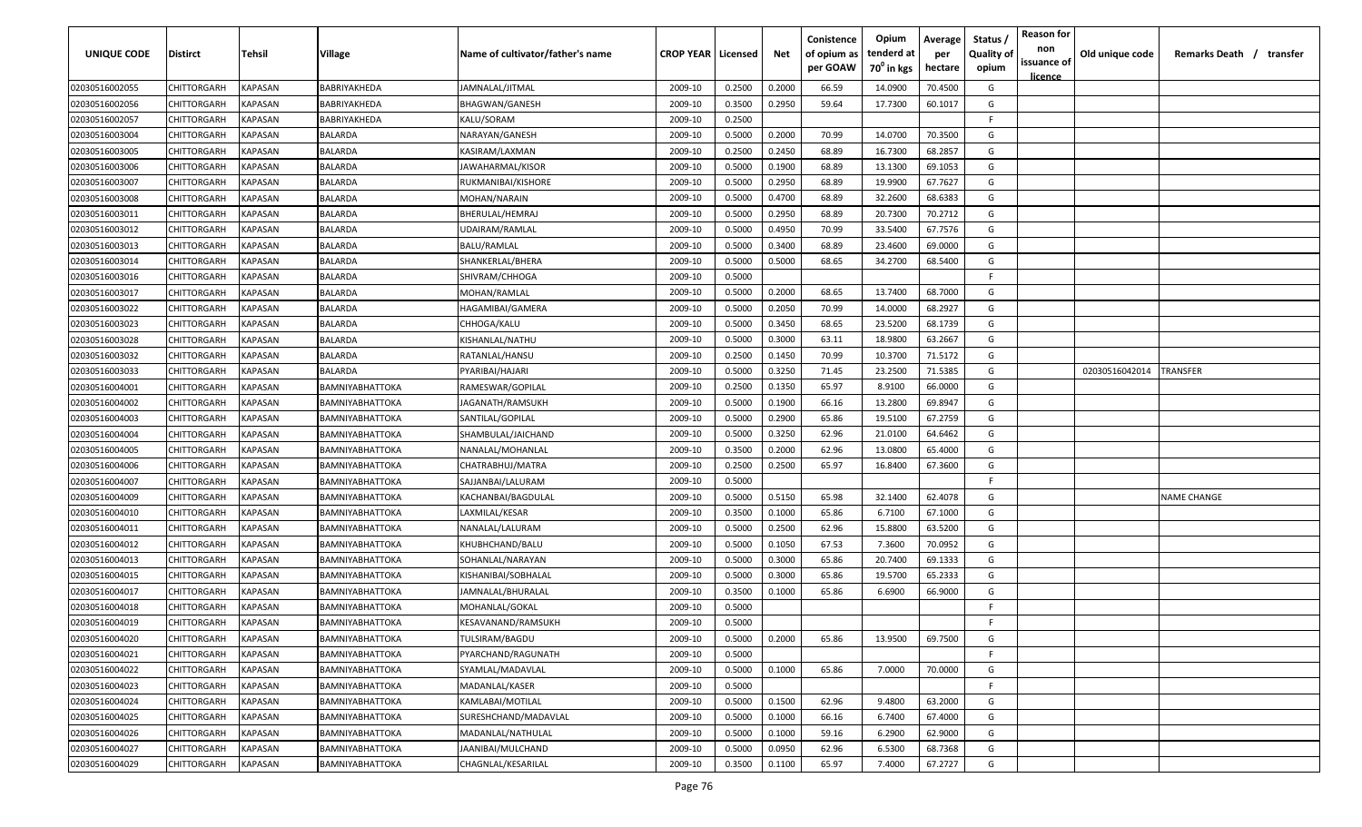| <b>UNIQUE CODE</b> | Distirct           | Tehsil         | Village                | Name of cultivator/father's name | <b>CROP YEAR   Licensed</b> |        | Net    | Conistence<br>of opium as<br>per GOAW | Opium<br>tenderd at<br>70 <sup>0</sup> in kgs | Average<br>per<br>hectare | Status /<br><b>Quality of</b><br>opium | <b>Reason for</b><br>non<br>issuance of<br><u>licence</u> | Old unique code | Remarks Death / transfer |
|--------------------|--------------------|----------------|------------------------|----------------------------------|-----------------------------|--------|--------|---------------------------------------|-----------------------------------------------|---------------------------|----------------------------------------|-----------------------------------------------------------|-----------------|--------------------------|
| 02030516002055     | CHITTORGARH        | <b>KAPASAN</b> | BABRIYAKHEDA           | JAMNALAL/JITMAL                  | 2009-10                     | 0.2500 | 0.2000 | 66.59                                 | 14.0900                                       | 70.4500                   | G                                      |                                                           |                 |                          |
| 02030516002056     | CHITTORGARH        | KAPASAN        | BABRIYAKHEDA           | <b>BHAGWAN/GANESH</b>            | 2009-10                     | 0.3500 | 0.2950 | 59.64                                 | 17.7300                                       | 60.1017                   | G                                      |                                                           |                 |                          |
| 02030516002057     | CHITTORGARH        | KAPASAN        | BABRIYAKHEDA           | KALU/SORAM                       | 2009-10                     | 0.2500 |        |                                       |                                               |                           | -F.                                    |                                                           |                 |                          |
| 02030516003004     | CHITTORGARH        | KAPASAN        | BALARDA                | NARAYAN/GANESH                   | 2009-10                     | 0.5000 | 0.2000 | 70.99                                 | 14.0700                                       | 70.3500                   | G                                      |                                                           |                 |                          |
| 02030516003005     | CHITTORGARH        | KAPASAN        | BALARDA                | KASIRAM/LAXMAN                   | 2009-10                     | 0.2500 | 0.2450 | 68.89                                 | 16.7300                                       | 68.2857                   | G                                      |                                                           |                 |                          |
| 02030516003006     | CHITTORGARH        | KAPASAN        | BALARDA                | JAWAHARMAL/KISOR                 | 2009-10                     | 0.5000 | 0.1900 | 68.89                                 | 13.1300                                       | 69.1053                   | G                                      |                                                           |                 |                          |
| 02030516003007     | CHITTORGARH        | KAPASAN        | BALARDA                | RUKMANIBAI/KISHORE               | 2009-10                     | 0.5000 | 0.2950 | 68.89                                 | 19.9900                                       | 67.7627                   | G                                      |                                                           |                 |                          |
| 02030516003008     | CHITTORGARH        | KAPASAN        | BALARDA                | MOHAN/NARAIN                     | 2009-10                     | 0.5000 | 0.4700 | 68.89                                 | 32.2600                                       | 68.6383                   | G                                      |                                                           |                 |                          |
| 02030516003011     | CHITTORGARH        | KAPASAN        | BALARDA                | BHERULAL/HEMRAJ                  | 2009-10                     | 0.5000 | 0.2950 | 68.89                                 | 20.7300                                       | 70.2712                   | G                                      |                                                           |                 |                          |
| 02030516003012     | CHITTORGARH        | KAPASAN        | BALARDA                | UDAIRAM/RAMLAL                   | 2009-10                     | 0.5000 | 0.4950 | 70.99                                 | 33.5400                                       | 67.7576                   | G                                      |                                                           |                 |                          |
| 02030516003013     | CHITTORGARH        | KAPASAN        | BALARDA                | BALU/RAMLAL                      | 2009-10                     | 0.5000 | 0.3400 | 68.89                                 | 23.4600                                       | 69.0000                   | G                                      |                                                           |                 |                          |
| 02030516003014     | CHITTORGARH        | KAPASAN        | BALARDA                | SHANKERLAL/BHERA                 | 2009-10                     | 0.5000 | 0.5000 | 68.65                                 | 34.2700                                       | 68.5400                   | G                                      |                                                           |                 |                          |
| 02030516003016     | CHITTORGARH        | KAPASAN        | BALARDA                | SHIVRAM/CHHOGA                   | 2009-10                     | 0.5000 |        |                                       |                                               |                           | -F.                                    |                                                           |                 |                          |
| 02030516003017     | CHITTORGARH        | KAPASAN        | BALARDA                | MOHAN/RAMLAL                     | 2009-10                     | 0.5000 | 0.2000 | 68.65                                 | 13.7400                                       | 68.7000                   | G                                      |                                                           |                 |                          |
| 02030516003022     | CHITTORGARH        | KAPASAN        | BALARDA                | HAGAMIBAI/GAMERA                 | 2009-10                     | 0.5000 | 0.2050 | 70.99                                 | 14.0000                                       | 68.2927                   | G                                      |                                                           |                 |                          |
| 02030516003023     | CHITTORGARH        | KAPASAN        | BALARDA                | CHHOGA/KALU                      | 2009-10                     | 0.5000 | 0.3450 | 68.65                                 | 23.5200                                       | 68.1739                   | G                                      |                                                           |                 |                          |
| 02030516003028     | CHITTORGARH        | KAPASAN        | BALARDA                | KISHANLAL/NATHU                  | 2009-10                     | 0.5000 | 0.3000 | 63.11                                 | 18.9800                                       | 63.2667                   | G                                      |                                                           |                 |                          |
| 02030516003032     | CHITTORGARH        | KAPASAN        | BALARDA                | RATANLAL/HANSU                   | 2009-10                     | 0.2500 | 0.1450 | 70.99                                 | 10.3700                                       | 71.5172                   | G                                      |                                                           |                 |                          |
| 02030516003033     | CHITTORGARH        | KAPASAN        | BALARDA                | PYARIBAI/HAJARI                  | 2009-10                     | 0.5000 | 0.3250 | 71.45                                 | 23.2500                                       | 71.5385                   | G                                      |                                                           | 02030516042014  | TRANSFER                 |
| 02030516004001     | CHITTORGARH        | KAPASAN        | BAMNIYABHATTOKA        | RAMESWAR/GOPILAL                 | 2009-10                     | 0.2500 | 0.1350 | 65.97                                 | 8.9100                                        | 66.0000                   | G                                      |                                                           |                 |                          |
| 02030516004002     | CHITTORGARH        | KAPASAN        | BAMNIYABHATTOKA        | JAGANATH/RAMSUKH                 | 2009-10                     | 0.5000 | 0.1900 | 66.16                                 | 13.2800                                       | 69.8947                   | G                                      |                                                           |                 |                          |
| 02030516004003     | CHITTORGARH        | KAPASAN        | BAMNIYABHATTOKA        | SANTILAL/GOPILAL                 | 2009-10                     | 0.5000 | 0.2900 | 65.86                                 | 19.5100                                       | 67.2759                   | G                                      |                                                           |                 |                          |
| 02030516004004     | CHITTORGARH        | KAPASAN        | BAMNIYABHATTOKA        | SHAMBULAL/JAICHAND               | 2009-10                     | 0.5000 | 0.3250 | 62.96                                 | 21.0100                                       | 64.6462                   | G                                      |                                                           |                 |                          |
| 02030516004005     | CHITTORGARH        | KAPASAN        | BAMNIYABHATTOKA        | NANALAL/MOHANLAL                 | 2009-10                     | 0.3500 | 0.2000 | 62.96                                 | 13.0800                                       | 65.4000                   | G                                      |                                                           |                 |                          |
| 02030516004006     | CHITTORGARH        | KAPASAN        | BAMNIYABHATTOKA        | CHATRABHUJ/MATRA                 | 2009-10                     | 0.2500 | 0.2500 | 65.97                                 | 16.8400                                       | 67.3600                   | G                                      |                                                           |                 |                          |
| 02030516004007     | CHITTORGARH        | KAPASAN        | BAMNIYABHATTOKA        | SAJJANBAI/LALURAM                | 2009-10                     | 0.5000 |        |                                       |                                               |                           | -F.                                    |                                                           |                 |                          |
| 02030516004009     | CHITTORGARH        | KAPASAN        | BAMNIYABHATTOKA        | KACHANBAI/BAGDULAL               | 2009-10                     | 0.5000 | 0.5150 | 65.98                                 | 32.1400                                       | 62.4078                   | G                                      |                                                           |                 | NAME CHANGE              |
| 02030516004010     | CHITTORGARH        | KAPASAN        | BAMNIYABHATTOKA        | LAXMILAL/KESAR                   | 2009-10                     | 0.3500 | 0.1000 | 65.86                                 | 6.7100                                        | 67.1000                   | G                                      |                                                           |                 |                          |
| 02030516004011     | CHITTORGARH        | KAPASAN        | BAMNIYABHATTOKA        | NANALAL/LALURAM                  | 2009-10                     | 0.5000 | 0.2500 | 62.96                                 | 15.8800                                       | 63.5200                   | G                                      |                                                           |                 |                          |
| 02030516004012     | CHITTORGARH        | KAPASAN        | BAMNIYABHATTOKA        | KHUBHCHAND/BALU                  | 2009-10                     | 0.5000 | 0.1050 | 67.53                                 | 7.3600                                        | 70.0952                   | G                                      |                                                           |                 |                          |
| 02030516004013     | CHITTORGARH        | KAPASAN        | BAMNIYABHATTOKA        | SOHANLAL/NARAYAN                 | 2009-10                     | 0.5000 | 0.3000 | 65.86                                 | 20.7400                                       | 69.1333                   | G                                      |                                                           |                 |                          |
| 02030516004015     | CHITTORGARH        | KAPASAN        | BAMNIYABHATTOKA        | KISHANIBAI/SOBHALAL              | 2009-10                     | 0.5000 | 0.3000 | 65.86                                 | 19.5700                                       | 65.2333                   | G                                      |                                                           |                 |                          |
| 02030516004017     | CHITTORGARH        | KAPASAN        | BAMNIYABHATTOKA        | JAMNALAL/BHURALAL                | 2009-10                     | 0.3500 | 0.1000 | 65.86                                 | 6.6900                                        | 66.9000                   | G                                      |                                                           |                 |                          |
| 02030516004018     | CHITTORGARH        | KAPASAN        | BAMNIYABHATTOKA        | MOHANLAL/GOKAL                   | 2009-10                     | 0.5000 |        |                                       |                                               |                           | -F.                                    |                                                           |                 |                          |
| 02030516004019     | CHITTORGARH        | KAPASAN        | BAMNIYABHATTOKA        | KESAVANAND/RAMSUKH               | 2009-10                     | 0.5000 |        |                                       |                                               |                           | E                                      |                                                           |                 |                          |
| 02030516004020     | <b>CHITTORGARH</b> | KAPASAN        | BAMNIYABHATTOKA        | <b>TULSIRAM/BAGDU</b>            | 2009-10                     | 0.5000 | 0.2000 | 65.86                                 | 13.9500                                       | 69.7500                   | G                                      |                                                           |                 |                          |
| 02030516004021     | CHITTORGARH        | <b>KAPASAN</b> | <b>BAMNIYABHATTOKA</b> | PYARCHAND/RAGUNATH               | 2009-10                     | 0.5000 |        |                                       |                                               |                           | F.                                     |                                                           |                 |                          |
| 02030516004022     | <b>CHITTORGARH</b> | <b>KAPASAN</b> | BAMNIYABHATTOKA        | SYAMLAL/MADAVLAL                 | 2009-10                     | 0.5000 | 0.1000 | 65.86                                 | 7.0000                                        | 70.0000                   | G                                      |                                                           |                 |                          |
| 02030516004023     | <b>CHITTORGARH</b> | <b>KAPASAN</b> | BAMNIYABHATTOKA        | MADANLAL/KASER                   | 2009-10                     | 0.5000 |        |                                       |                                               |                           | F.                                     |                                                           |                 |                          |
| 02030516004024     | CHITTORGARH        | KAPASAN        | <b>BAMNIYABHATTOKA</b> | KAMLABAI/MOTILAL                 | 2009-10                     | 0.5000 | 0.1500 | 62.96                                 | 9.4800                                        | 63.2000                   | G                                      |                                                           |                 |                          |
| 02030516004025     | <b>CHITTORGARH</b> | KAPASAN        | <b>BAMNIYABHATTOKA</b> | SURESHCHAND/MADAVLAL             | 2009-10                     | 0.5000 | 0.1000 | 66.16                                 | 6.7400                                        | 67.4000                   | G                                      |                                                           |                 |                          |
| 02030516004026     | CHITTORGARH        | KAPASAN        | <b>BAMNIYABHATTOKA</b> | MADANLAL/NATHULAL                | 2009-10                     | 0.5000 | 0.1000 | 59.16                                 | 6.2900                                        | 62.9000                   | G                                      |                                                           |                 |                          |
| 02030516004027     | CHITTORGARH        | KAPASAN        | <b>BAMNIYABHATTOKA</b> | JAANIBAI/MULCHAND                | 2009-10                     | 0.5000 | 0.0950 | 62.96                                 | 6.5300                                        | 68.7368                   | G                                      |                                                           |                 |                          |
| 02030516004029     | <b>CHITTORGARH</b> | KAPASAN        | BAMNIYABHATTOKA        | CHAGNLAL/KESARILAL               | 2009-10                     | 0.3500 | 0.1100 | 65.97                                 | 7.4000                                        | 67.2727                   | G                                      |                                                           |                 |                          |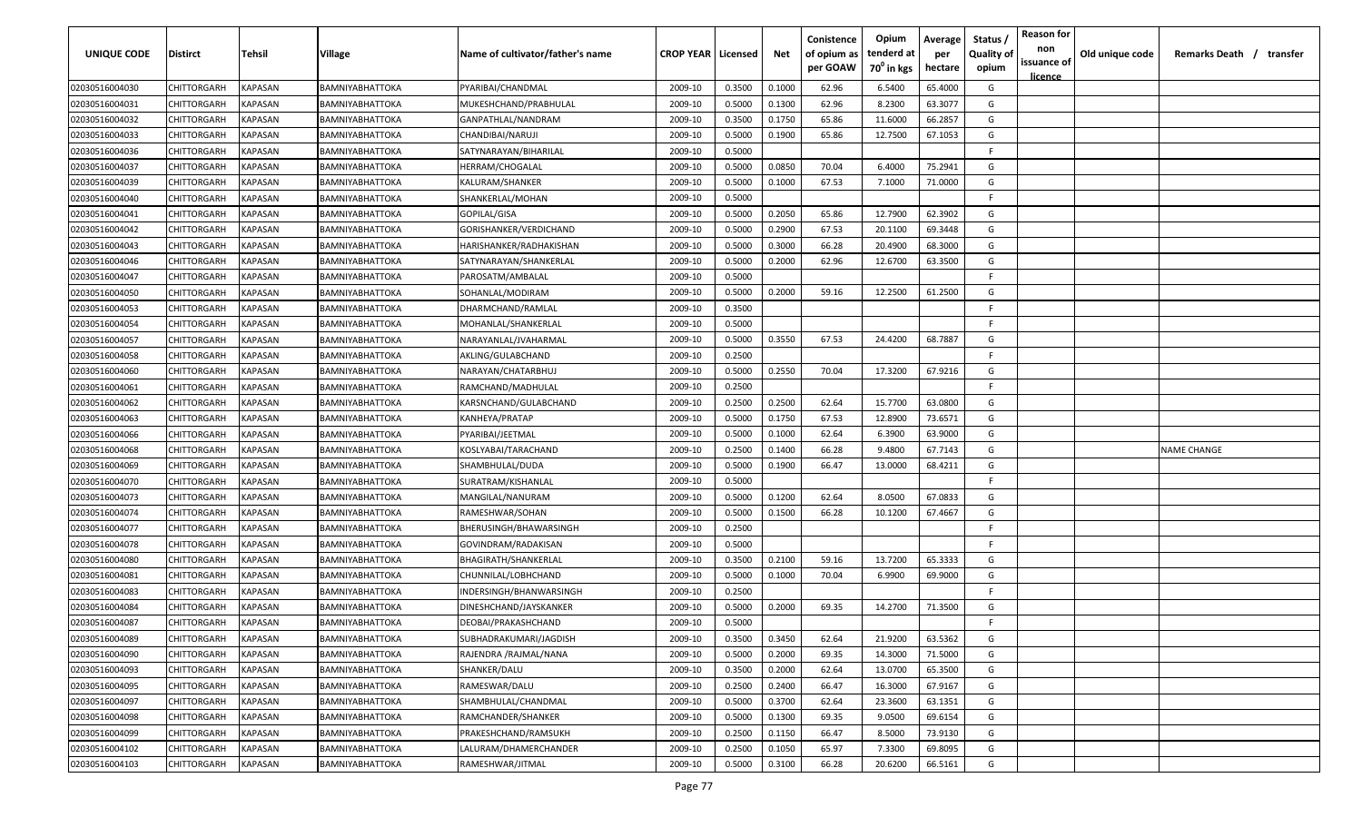| <b>UNIQUE CODE</b> | <b>Distirct</b>    | <b>Tehsil</b>  | Village                | Name of cultivator/father's name | <b>CROP YEAR   Licensed</b> |        | Net    | Conistence<br>of opium as<br>per GOAW | Opium<br>tenderd at<br>70 <sup>0</sup> in kgs | Average<br>per<br>hectare | Status /<br><b>Quality of</b><br>opium | <b>Reason for</b><br>non<br>issuance of<br><u>licence</u> | Old unique code | Remarks Death /<br>transfer |
|--------------------|--------------------|----------------|------------------------|----------------------------------|-----------------------------|--------|--------|---------------------------------------|-----------------------------------------------|---------------------------|----------------------------------------|-----------------------------------------------------------|-----------------|-----------------------------|
| 02030516004030     | CHITTORGARH        | <b>KAPASAN</b> | <b>BAMNIYABHATTOKA</b> | PYARIBAI/CHANDMAL                | 2009-10                     | 0.3500 | 0.1000 | 62.96                                 | 6.5400                                        | 65.4000                   | G                                      |                                                           |                 |                             |
| 02030516004031     | CHITTORGARH        | KAPASAN        | BAMNIYABHATTOKA        | MUKESHCHAND/PRABHULAL            | 2009-10                     | 0.5000 | 0.1300 | 62.96                                 | 8.2300                                        | 63.3077                   | G                                      |                                                           |                 |                             |
| 02030516004032     | CHITTORGARH        | KAPASAN        | BAMNIYABHATTOKA        | GANPATHLAL/NANDRAM               | 2009-10                     | 0.3500 | 0.1750 | 65.86                                 | 11.6000                                       | 66.2857                   | G                                      |                                                           |                 |                             |
| 02030516004033     | CHITTORGARH        | KAPASAN        | BAMNIYABHATTOKA        | CHANDIBAI/NARUJI                 | 2009-10                     | 0.5000 | 0.1900 | 65.86                                 | 12.7500                                       | 67.1053                   | G                                      |                                                           |                 |                             |
| 02030516004036     | CHITTORGARH        | KAPASAN        | BAMNIYABHATTOKA        | SATYNARAYAN/BIHARILAL            | 2009-10                     | 0.5000 |        |                                       |                                               |                           | -F.                                    |                                                           |                 |                             |
| 02030516004037     | CHITTORGARH        | KAPASAN        | BAMNIYABHATTOKA        | <b>HERRAM/CHOGALAL</b>           | 2009-10                     | 0.5000 | 0.0850 | 70.04                                 | 6.4000                                        | 75.2941                   | G                                      |                                                           |                 |                             |
| 02030516004039     | CHITTORGARH        | KAPASAN        | BAMNIYABHATTOKA        | KALURAM/SHANKER                  | 2009-10                     | 0.5000 | 0.1000 | 67.53                                 | 7.1000                                        | 71.0000                   | G                                      |                                                           |                 |                             |
| 02030516004040     | CHITTORGARH        | KAPASAN        | BAMNIYABHATTOKA        | SHANKERLAL/MOHAN                 | 2009-10                     | 0.5000 |        |                                       |                                               |                           | -F.                                    |                                                           |                 |                             |
| 02030516004041     | CHITTORGARH        | KAPASAN        | BAMNIYABHATTOKA        | GOPILAL/GISA                     | 2009-10                     | 0.5000 | 0.2050 | 65.86                                 | 12.7900                                       | 62.3902                   | G                                      |                                                           |                 |                             |
| 02030516004042     | CHITTORGARH        | KAPASAN        | BAMNIYABHATTOKA        | GORISHANKER/VERDICHAND           | 2009-10                     | 0.5000 | 0.2900 | 67.53                                 | 20.1100                                       | 69.3448                   | G                                      |                                                           |                 |                             |
| 02030516004043     | CHITTORGARH        | KAPASAN        | BAMNIYABHATTOKA        | HARISHANKER/RADHAKISHAN          | 2009-10                     | 0.5000 | 0.3000 | 66.28                                 | 20.4900                                       | 68.3000                   | G                                      |                                                           |                 |                             |
| 02030516004046     | CHITTORGARH        | KAPASAN        | BAMNIYABHATTOKA        | SATYNARAYAN/SHANKERLAL           | 2009-10                     | 0.5000 | 0.2000 | 62.96                                 | 12.6700                                       | 63.3500                   | G                                      |                                                           |                 |                             |
| 02030516004047     | CHITTORGARH        | KAPASAN        | BAMNIYABHATTOKA        | PAROSATM/AMBALAL                 | 2009-10                     | 0.5000 |        |                                       |                                               |                           | -F.                                    |                                                           |                 |                             |
| 02030516004050     | CHITTORGARH        | KAPASAN        | BAMNIYABHATTOKA        | SOHANLAL/MODIRAM                 | 2009-10                     | 0.5000 | 0.2000 | 59.16                                 | 12.2500                                       | 61.2500                   | G                                      |                                                           |                 |                             |
| 02030516004053     | CHITTORGARH        | KAPASAN        | BAMNIYABHATTOKA        | DHARMCHAND/RAMLAL                | 2009-10                     | 0.3500 |        |                                       |                                               |                           | F.                                     |                                                           |                 |                             |
| 02030516004054     | CHITTORGARH        | KAPASAN        | BAMNIYABHATTOKA        | MOHANLAL/SHANKERLAL              | 2009-10                     | 0.5000 |        |                                       |                                               |                           | -F.                                    |                                                           |                 |                             |
| 02030516004057     | CHITTORGARH        | KAPASAN        | BAMNIYABHATTOKA        | NARAYANLAL/JVAHARMAL             | 2009-10                     | 0.5000 | 0.3550 | 67.53                                 | 24.4200                                       | 68.7887                   | G                                      |                                                           |                 |                             |
| 02030516004058     | CHITTORGARH        | KAPASAN        | BAMNIYABHATTOKA        | AKLING/GULABCHAND                | 2009-10                     | 0.2500 |        |                                       |                                               |                           | -F.                                    |                                                           |                 |                             |
| 02030516004060     | CHITTORGARH        | KAPASAN        | BAMNIYABHATTOKA        | NARAYAN/CHATARBHUJ               | 2009-10                     | 0.5000 | 0.2550 | 70.04                                 | 17.3200                                       | 67.9216                   | G                                      |                                                           |                 |                             |
| 02030516004061     | CHITTORGARH        | KAPASAN        | BAMNIYABHATTOKA        | RAMCHAND/MADHULAL                | 2009-10                     | 0.2500 |        |                                       |                                               |                           | -F.                                    |                                                           |                 |                             |
| 02030516004062     | CHITTORGARH        | KAPASAN        | BAMNIYABHATTOKA        | KARSNCHAND/GULABCHAND            | 2009-10                     | 0.2500 | 0.2500 | 62.64                                 | 15.7700                                       | 63.0800                   | G                                      |                                                           |                 |                             |
| 02030516004063     | CHITTORGARH        | KAPASAN        | BAMNIYABHATTOKA        | KANHEYA/PRATAP                   | 2009-10                     | 0.5000 | 0.1750 | 67.53                                 | 12.8900                                       | 73.6571                   | G                                      |                                                           |                 |                             |
| 02030516004066     | CHITTORGARH        | KAPASAN        | BAMNIYABHATTOKA        | PYARIBAI/JEETMAL                 | 2009-10                     | 0.5000 | 0.1000 | 62.64                                 | 6.3900                                        | 63.9000                   | G                                      |                                                           |                 |                             |
| 02030516004068     | CHITTORGARH        | KAPASAN        | BAMNIYABHATTOKA        | KOSLYABAI/TARACHAND              | 2009-10                     | 0.2500 | 0.1400 | 66.28                                 | 9.4800                                        | 67.7143                   | G                                      |                                                           |                 | NAME CHANGE                 |
| 02030516004069     | CHITTORGARH        | KAPASAN        | BAMNIYABHATTOKA        | SHAMBHULAL/DUDA                  | 2009-10                     | 0.5000 | 0.1900 | 66.47                                 | 13.0000                                       | 68.4211                   | G                                      |                                                           |                 |                             |
| 02030516004070     | CHITTORGARH        | KAPASAN        | BAMNIYABHATTOKA        | SURATRAM/KISHANLAL               | 2009-10                     | 0.5000 |        |                                       |                                               |                           | -F.                                    |                                                           |                 |                             |
| 02030516004073     | CHITTORGARH        | KAPASAN        | BAMNIYABHATTOKA        | MANGILAL/NANURAM                 | 2009-10                     | 0.5000 | 0.1200 | 62.64                                 | 8.0500                                        | 67.0833                   | G                                      |                                                           |                 |                             |
| 02030516004074     | CHITTORGARH        | KAPASAN        | BAMNIYABHATTOKA        | RAMESHWAR/SOHAN                  | 2009-10                     | 0.5000 | 0.1500 | 66.28                                 | 10.1200                                       | 67.4667                   | G                                      |                                                           |                 |                             |
| 02030516004077     | CHITTORGARH        | KAPASAN        | BAMNIYABHATTOKA        | BHERUSINGH/BHAWARSINGH           | 2009-10                     | 0.2500 |        |                                       |                                               |                           | -F.                                    |                                                           |                 |                             |
| 02030516004078     | CHITTORGARH        | KAPASAN        | BAMNIYABHATTOKA        | GOVINDRAM/RADAKISAN              | 2009-10                     | 0.5000 |        |                                       |                                               |                           | -F.                                    |                                                           |                 |                             |
| 02030516004080     | CHITTORGARH        | KAPASAN        | BAMNIYABHATTOKA        | BHAGIRATH/SHANKERLAL             | 2009-10                     | 0.3500 | 0.2100 | 59.16                                 | 13.7200                                       | 65.3333                   | G                                      |                                                           |                 |                             |
| 02030516004081     | CHITTORGARH        | KAPASAN        | BAMNIYABHATTOKA        | CHUNNILAL/LOBHCHAND              | 2009-10                     | 0.5000 | 0.1000 | 70.04                                 | 6.9900                                        | 69.9000                   | G                                      |                                                           |                 |                             |
| 02030516004083     | CHITTORGARH        | KAPASAN        | BAMNIYABHATTOKA        | INDERSINGH/BHANWARSINGH          | 2009-10                     | 0.2500 |        |                                       |                                               |                           | -F.                                    |                                                           |                 |                             |
| 02030516004084     | CHITTORGARH        | KAPASAN        | BAMNIYABHATTOKA        | DINESHCHAND/JAYSKANKER           | 2009-10                     | 0.5000 | 0.2000 | 69.35                                 | 14.2700                                       | 71.3500                   | G                                      |                                                           |                 |                             |
| 02030516004087     | <b>CHITTORGARH</b> | KAPASAN        | BAMNIYABHATTOKA        | DEOBAI/PRAKASHCHAND              | 2009-10                     | 0.5000 |        |                                       |                                               |                           | E                                      |                                                           |                 |                             |
| 02030516004089     | <b>CHITTORGARH</b> | <b>KAPASAN</b> | BAMNIYABHATTOKA        | SUBHADRAKUMARI/JAGDISH           | 2009-10                     | 0.3500 | 0.3450 | 62.64                                 | 21.9200                                       | 63.5362                   | G                                      |                                                           |                 |                             |
| 02030516004090     | <b>CHITTORGARH</b> | KAPASAN        | BAMNIYABHATTOKA        | RAJENDRA /RAJMAL/NANA            | 2009-10                     | 0.5000 | 0.2000 | 69.35                                 | 14.3000                                       | 71.5000                   | G                                      |                                                           |                 |                             |
| 02030516004093     | <b>CHITTORGARH</b> | KAPASAN        | BAMNIYABHATTOKA        | SHANKER/DALU                     | 2009-10                     | 0.3500 | 0.2000 | 62.64                                 | 13.0700                                       | 65.3500                   | G                                      |                                                           |                 |                             |
| 02030516004095     | <b>CHITTORGARH</b> | KAPASAN        | BAMNIYABHATTOKA        | RAMESWAR/DALU                    | 2009-10                     | 0.2500 | 0.2400 | 66.47                                 | 16.3000                                       | 67.9167                   | G                                      |                                                           |                 |                             |
| 02030516004097     | CHITTORGARH        | KAPASAN        | BAMNIYABHATTOKA        | SHAMBHULAL/CHANDMAL              | 2009-10                     | 0.5000 | 0.3700 | 62.64                                 | 23.3600                                       | 63.1351                   | G                                      |                                                           |                 |                             |
| 02030516004098     | CHITTORGARH        | KAPASAN        | BAMNIYABHATTOKA        | RAMCHANDER/SHANKER               | 2009-10                     | 0.5000 | 0.1300 | 69.35                                 | 9.0500                                        | 69.6154                   | G                                      |                                                           |                 |                             |
| 02030516004099     | <b>CHITTORGARH</b> | KAPASAN        | <b>BAMNIYABHATTOKA</b> | PRAKESHCHAND/RAMSUKH             | 2009-10                     | 0.2500 | 0.1150 | 66.47                                 | 8.5000                                        | 73.9130                   | G                                      |                                                           |                 |                             |
| 02030516004102     | <b>CHITTORGARH</b> | KAPASAN        | BAMNIYABHATTOKA        | LALURAM/DHAMERCHANDER            | 2009-10                     | 0.2500 | 0.1050 | 65.97                                 | 7.3300                                        | 69.8095                   | G                                      |                                                           |                 |                             |
| 02030516004103     | <b>CHITTORGARH</b> | KAPASAN        | BAMNIYABHATTOKA        | RAMESHWAR/JITMAL                 | 2009-10                     | 0.5000 | 0.3100 | 66.28                                 | 20.6200                                       | 66.5161                   | G                                      |                                                           |                 |                             |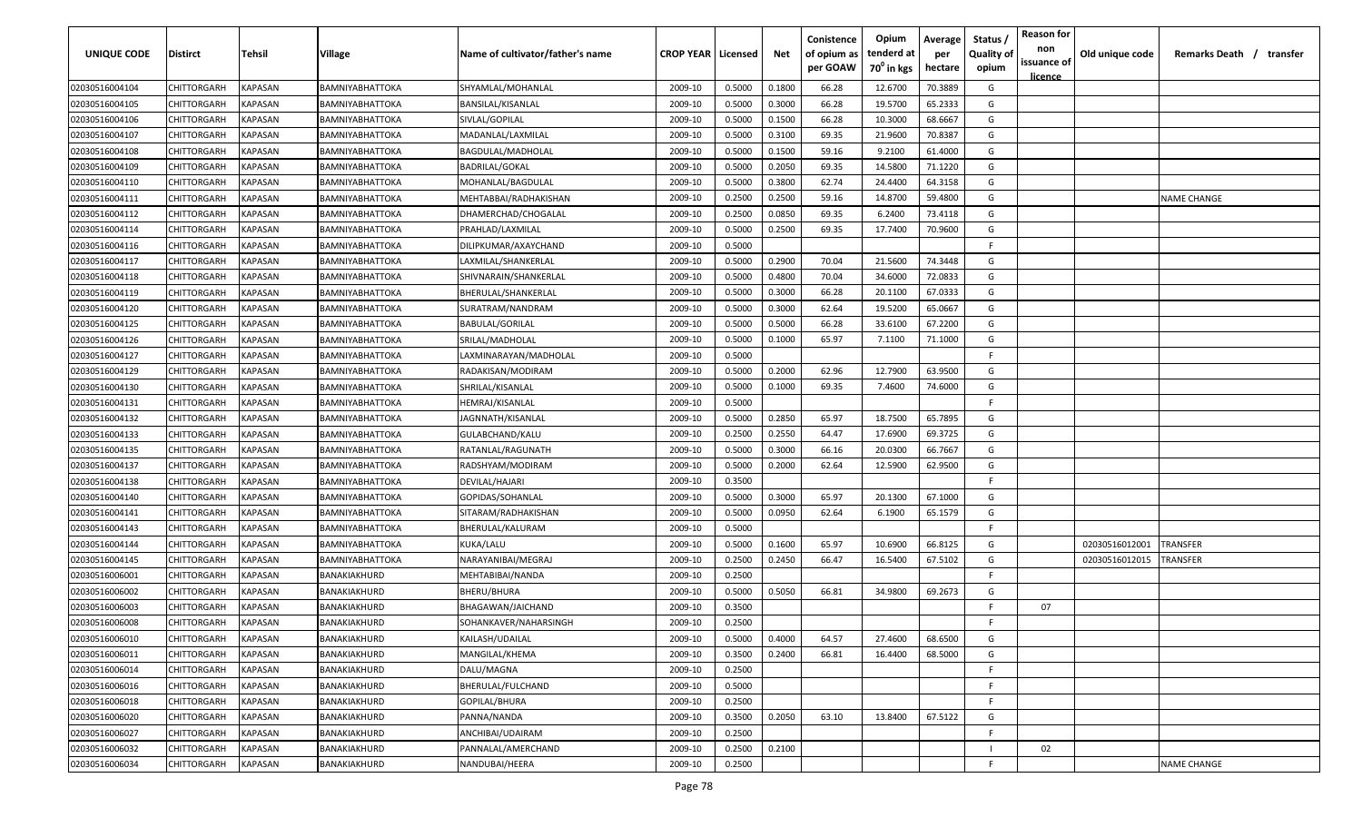| <b>UNIQUE CODE</b> | <b>Distirct</b>    | <b>Tehsil</b>  | Village                | Name of cultivator/father's name | <b>CROP YEAR   Licensed</b> |        | Net    | Conistence<br>of opium as<br>per GOAW | Opium<br>tenderd at<br>70 <sup>0</sup> in kgs | Average<br>per<br>hectare | Status /<br><b>Quality of</b><br>opium | <b>Reason for</b><br>non<br>issuance of<br><u>licence</u> | Old unique code | Remarks Death /<br>transfer |
|--------------------|--------------------|----------------|------------------------|----------------------------------|-----------------------------|--------|--------|---------------------------------------|-----------------------------------------------|---------------------------|----------------------------------------|-----------------------------------------------------------|-----------------|-----------------------------|
| 02030516004104     | CHITTORGARH        | <b>KAPASAN</b> | <b>BAMNIYABHATTOKA</b> | SHYAMLAL/MOHANLAL                | 2009-10                     | 0.5000 | 0.1800 | 66.28                                 | 12.6700                                       | 70.3889                   | G                                      |                                                           |                 |                             |
| 02030516004105     | CHITTORGARH        | KAPASAN        | BAMNIYABHATTOKA        | BANSILAL/KISANLAL                | 2009-10                     | 0.5000 | 0.3000 | 66.28                                 | 19.5700                                       | 65.2333                   | G                                      |                                                           |                 |                             |
| 02030516004106     | CHITTORGARH        | KAPASAN        | BAMNIYABHATTOKA        | SIVLAL/GOPILAL                   | 2009-10                     | 0.5000 | 0.1500 | 66.28                                 | 10.3000                                       | 68.6667                   | G                                      |                                                           |                 |                             |
| 02030516004107     | CHITTORGARH        | KAPASAN        | BAMNIYABHATTOKA        | MADANLAL/LAXMILAL                | 2009-10                     | 0.5000 | 0.3100 | 69.35                                 | 21.9600                                       | 70.8387                   | G                                      |                                                           |                 |                             |
| 02030516004108     | CHITTORGARH        | KAPASAN        | BAMNIYABHATTOKA        | <b>BAGDULAL/MADHOLAL</b>         | 2009-10                     | 0.5000 | 0.1500 | 59.16                                 | 9.2100                                        | 61.4000                   | G                                      |                                                           |                 |                             |
| 02030516004109     | CHITTORGARH        | KAPASAN        | BAMNIYABHATTOKA        | <b>BADRILAL/GOKAL</b>            | 2009-10                     | 0.5000 | 0.2050 | 69.35                                 | 14.5800                                       | 71.1220                   | G                                      |                                                           |                 |                             |
| 02030516004110     | CHITTORGARH        | KAPASAN        | BAMNIYABHATTOKA        | MOHANLAL/BAGDULAL                | 2009-10                     | 0.5000 | 0.3800 | 62.74                                 | 24.4400                                       | 64.3158                   | G                                      |                                                           |                 |                             |
| 02030516004111     | <b>CHITTORGARH</b> | KAPASAN        | BAMNIYABHATTOKA        | MEHTABBAI/RADHAKISHAN            | 2009-10                     | 0.2500 | 0.2500 | 59.16                                 | 14.8700                                       | 59.4800                   | G                                      |                                                           |                 | NAME CHANGE                 |
| 02030516004112     | CHITTORGARH        | KAPASAN        | BAMNIYABHATTOKA        | DHAMERCHAD/CHOGALAL              | 2009-10                     | 0.2500 | 0.0850 | 69.35                                 | 6.2400                                        | 73.4118                   | G                                      |                                                           |                 |                             |
| 02030516004114     | CHITTORGARH        | KAPASAN        | BAMNIYABHATTOKA        | PRAHLAD/LAXMILAL                 | 2009-10                     | 0.5000 | 0.2500 | 69.35                                 | 17.7400                                       | 70.9600                   | G                                      |                                                           |                 |                             |
| 02030516004116     | CHITTORGARH        | KAPASAN        | BAMNIYABHATTOKA        | DILIPKUMAR/AXAYCHAND             | 2009-10                     | 0.5000 |        |                                       |                                               |                           | -F.                                    |                                                           |                 |                             |
| 02030516004117     | CHITTORGARH        | KAPASAN        | BAMNIYABHATTOKA        | LAXMILAL/SHANKERLAL              | 2009-10                     | 0.5000 | 0.2900 | 70.04                                 | 21.5600                                       | 74.3448                   | G                                      |                                                           |                 |                             |
| 02030516004118     | CHITTORGARH        | KAPASAN        | BAMNIYABHATTOKA        | SHIVNARAIN/SHANKERLAL            | 2009-10                     | 0.5000 | 0.4800 | 70.04                                 | 34.6000                                       | 72.0833                   | G                                      |                                                           |                 |                             |
| 02030516004119     | CHITTORGARH        | KAPASAN        | BAMNIYABHATTOKA        | BHERULAL/SHANKERLAL              | 2009-10                     | 0.5000 | 0.3000 | 66.28                                 | 20.1100                                       | 67.0333                   | G                                      |                                                           |                 |                             |
| 02030516004120     | CHITTORGARH        | KAPASAN        | BAMNIYABHATTOKA        | SURATRAM/NANDRAM                 | 2009-10                     | 0.5000 | 0.3000 | 62.64                                 | 19.5200                                       | 65.0667                   | G                                      |                                                           |                 |                             |
| 02030516004125     | CHITTORGARH        | KAPASAN        | BAMNIYABHATTOKA        | <b>BABULAL/GORILAL</b>           | 2009-10                     | 0.5000 | 0.5000 | 66.28                                 | 33.6100                                       | 67.2200                   | G                                      |                                                           |                 |                             |
| 02030516004126     | CHITTORGARH        | KAPASAN        | BAMNIYABHATTOKA        | SRILAL/MADHOLAL                  | 2009-10                     | 0.5000 | 0.1000 | 65.97                                 | 7.1100                                        | 71.1000                   | G                                      |                                                           |                 |                             |
| 02030516004127     | CHITTORGARH        | KAPASAN        | BAMNIYABHATTOKA        | LAXMINARAYAN/MADHOLAL            | 2009-10                     | 0.5000 |        |                                       |                                               |                           | -F.                                    |                                                           |                 |                             |
| 02030516004129     | CHITTORGARH        | KAPASAN        | BAMNIYABHATTOKA        | RADAKISAN/MODIRAM                | 2009-10                     | 0.5000 | 0.2000 | 62.96                                 | 12.7900                                       | 63.9500                   | G                                      |                                                           |                 |                             |
| 02030516004130     | CHITTORGARH        | KAPASAN        | <b>BAMNIYABHATTOKA</b> | SHRILAL/KISANLAL                 | 2009-10                     | 0.5000 | 0.1000 | 69.35                                 | 7.4600                                        | 74.6000                   | G                                      |                                                           |                 |                             |
| 02030516004131     | CHITTORGARH        | KAPASAN        | BAMNIYABHATTOKA        | HEMRAJ/KISANLAL                  | 2009-10                     | 0.5000 |        |                                       |                                               |                           | -F.                                    |                                                           |                 |                             |
| 02030516004132     | CHITTORGARH        | KAPASAN        | BAMNIYABHATTOKA        | JAGNNATH/KISANLAL                | 2009-10                     | 0.5000 | 0.2850 | 65.97                                 | 18.7500                                       | 65.7895                   | G                                      |                                                           |                 |                             |
| 02030516004133     | CHITTORGARH        | KAPASAN        | BAMNIYABHATTOKA        | GULABCHAND/KALU                  | 2009-10                     | 0.2500 | 0.2550 | 64.47                                 | 17.6900                                       | 69.3725                   | G                                      |                                                           |                 |                             |
| 02030516004135     | CHITTORGARH        | KAPASAN        | BAMNIYABHATTOKA        | RATANLAL/RAGUNATH                | 2009-10                     | 0.5000 | 0.3000 | 66.16                                 | 20.0300                                       | 66.7667                   | G                                      |                                                           |                 |                             |
| 02030516004137     | CHITTORGARH        | KAPASAN        | BAMNIYABHATTOKA        | RADSHYAM/MODIRAM                 | 2009-10                     | 0.5000 | 0.2000 | 62.64                                 | 12.5900                                       | 62.9500                   | G                                      |                                                           |                 |                             |
| 02030516004138     | CHITTORGARH        | KAPASAN        | BAMNIYABHATTOKA        | DEVILAL/HAJARI                   | 2009-10                     | 0.3500 |        |                                       |                                               |                           | -F.                                    |                                                           |                 |                             |
| 02030516004140     | CHITTORGARH        | KAPASAN        | BAMNIYABHATTOKA        | GOPIDAS/SOHANLAL                 | 2009-10                     | 0.5000 | 0.3000 | 65.97                                 | 20.1300                                       | 67.1000                   | G                                      |                                                           |                 |                             |
| 02030516004141     | CHITTORGARH        | KAPASAN        | BAMNIYABHATTOKA        | SITARAM/RADHAKISHAN              | 2009-10                     | 0.5000 | 0.0950 | 62.64                                 | 6.1900                                        | 65.1579                   | G                                      |                                                           |                 |                             |
| 02030516004143     | CHITTORGARH        | KAPASAN        | BAMNIYABHATTOKA        | BHERULAL/KALURAM                 | 2009-10                     | 0.5000 |        |                                       |                                               |                           | -F.                                    |                                                           |                 |                             |
| 02030516004144     | CHITTORGARH        | KAPASAN        | BAMNIYABHATTOKA        | KUKA/LALU                        | 2009-10                     | 0.5000 | 0.1600 | 65.97                                 | 10.6900                                       | 66.8125                   | G                                      |                                                           | 02030516012001  | TRANSFER                    |
| 02030516004145     | CHITTORGARH        | KAPASAN        | BAMNIYABHATTOKA        | NARAYANIBAI/MEGRAJ               | 2009-10                     | 0.2500 | 0.2450 | 66.47                                 | 16.5400                                       | 67.5102                   | G                                      |                                                           | 02030516012015  | TRANSFER                    |
| 02030516006001     | CHITTORGARH        | KAPASAN        | BANAKIAKHURD           | MEHTABIBAI/NANDA                 | 2009-10                     | 0.2500 |        |                                       |                                               |                           | F.                                     |                                                           |                 |                             |
| 02030516006002     | CHITTORGARH        | KAPASAN        | BANAKIAKHURD           | BHERU/BHURA                      | 2009-10                     | 0.5000 | 0.5050 | 66.81                                 | 34.9800                                       | 69.2673                   | G                                      |                                                           |                 |                             |
| 02030516006003     | CHITTORGARH        | KAPASAN        | BANAKIAKHURD           | BHAGAWAN/JAICHAND                | 2009-10                     | 0.3500 |        |                                       |                                               |                           | -F                                     | 07                                                        |                 |                             |
| 02030516006008     | <b>CHITTORGARH</b> | KAPASAN        | BANAKIAKHURD           | SOHANKAVER/NAHARSINGH            | 2009-10                     | 0.2500 |        |                                       |                                               |                           | E                                      |                                                           |                 |                             |
| 02030516006010     | CHITTORGARH        | <b>KAPASAN</b> | BANAKIAKHURD           | KAILASH/UDAILAL                  | 2009-10                     | 0.5000 | 0.4000 | 64.57                                 | 27.4600                                       | 68.6500                   | G                                      |                                                           |                 |                             |
| 02030516006011     | <b>CHITTORGARH</b> | KAPASAN        | BANAKIAKHURD           | MANGILAL/KHEMA                   | 2009-10                     | 0.3500 | 0.2400 | 66.81                                 | 16.4400                                       | 68.5000                   | G                                      |                                                           |                 |                             |
| 02030516006014     | CHITTORGARH        | KAPASAN        | BANAKIAKHURD           | DALU/MAGNA                       | 2009-10                     | 0.2500 |        |                                       |                                               |                           | F                                      |                                                           |                 |                             |
| 02030516006016     | <b>CHITTORGARH</b> | <b>KAPASAN</b> | BANAKIAKHURD           | BHERULAL/FULCHAND                | 2009-10                     | 0.5000 |        |                                       |                                               |                           | F.                                     |                                                           |                 |                             |
| 02030516006018     | CHITTORGARH        | <b>KAPASAN</b> | BANAKIAKHURD           | GOPILAL/BHURA                    | 2009-10                     | 0.2500 |        |                                       |                                               |                           | F                                      |                                                           |                 |                             |
| 02030516006020     | CHITTORGARH        | KAPASAN        | BANAKIAKHURD           | PANNA/NANDA                      | 2009-10                     | 0.3500 | 0.2050 | 63.10                                 | 13.8400                                       | 67.5122                   | G                                      |                                                           |                 |                             |
| 02030516006027     | CHITTORGARH        | KAPASAN        | BANAKIAKHURD           | ANCHIBAI/UDAIRAM                 | 2009-10                     | 0.2500 |        |                                       |                                               |                           | F.                                     |                                                           |                 |                             |
| 02030516006032     | CHITTORGARH        | KAPASAN        | BANAKIAKHURD           | PANNALAL/AMERCHAND               | 2009-10                     | 0.2500 | 0.2100 |                                       |                                               |                           | $\mathbf{I}$                           | 02                                                        |                 |                             |
| 02030516006034     | <b>CHITTORGARH</b> | KAPASAN        | BANAKIAKHURD           | NANDUBAI/HEERA                   | 2009-10                     | 0.2500 |        |                                       |                                               |                           | F                                      |                                                           |                 | <b>NAME CHANGE</b>          |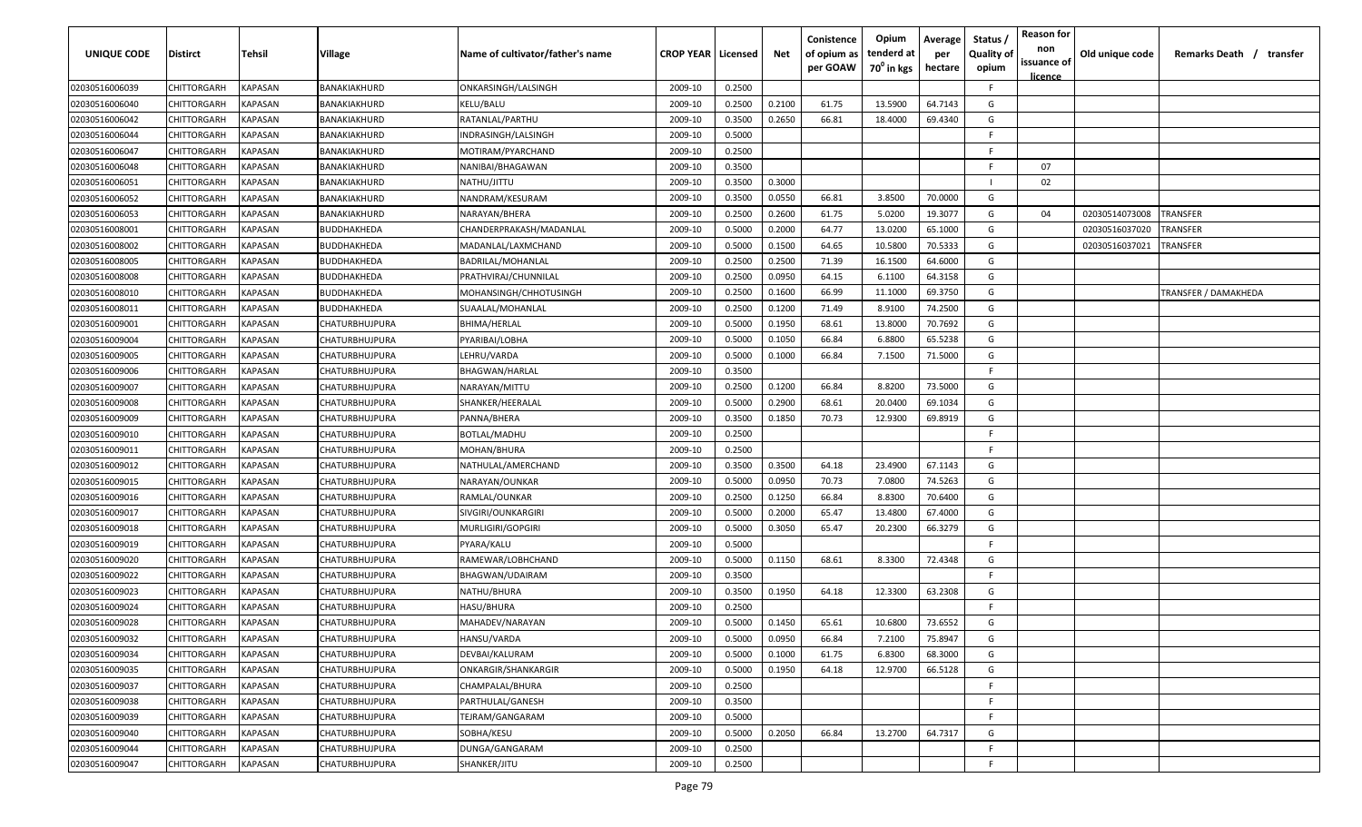| UNIQUE CODE    | Distirct    | Tehsil         | Village               | Name of cultivator/father's name | <b>CROP YEAR   Licensed</b> |        | Net    | Conistence<br>of opium as<br>per GOAW | Opium<br>tenderd at<br>70 <sup>°</sup> in kgs | Average<br>per<br>hectare | Status /<br><b>Quality of</b><br>opium | <b>Reason for</b><br>non<br>issuance of<br><u>licence</u> | Old unique code | Remarks Death /<br>transfer |
|----------------|-------------|----------------|-----------------------|----------------------------------|-----------------------------|--------|--------|---------------------------------------|-----------------------------------------------|---------------------------|----------------------------------------|-----------------------------------------------------------|-----------------|-----------------------------|
| 02030516006039 | CHITTORGARH | KAPASAN        | BANAKIAKHURD          | ONKARSINGH/LALSINGH              | 2009-10                     | 0.2500 |        |                                       |                                               |                           | F.                                     |                                                           |                 |                             |
| 02030516006040 | CHITTORGARH | KAPASAN        | BANAKIAKHURD          | KELU/BALU                        | 2009-10                     | 0.2500 | 0.2100 | 61.75                                 | 13.5900                                       | 64.7143                   | G                                      |                                                           |                 |                             |
| 02030516006042 | CHITTORGARH | KAPASAN        | BANAKIAKHURD          | RATANLAL/PARTHU                  | 2009-10                     | 0.3500 | 0.2650 | 66.81                                 | 18.4000                                       | 69.4340                   | G                                      |                                                           |                 |                             |
| 02030516006044 | CHITTORGARH | KAPASAN        | BANAKIAKHURD          | INDRASINGH/LALSINGH              | 2009-10                     | 0.5000 |        |                                       |                                               |                           | F.                                     |                                                           |                 |                             |
| 02030516006047 | CHITTORGARH | KAPASAN        | BANAKIAKHURD          | MOTIRAM/PYARCHAND                | 2009-10                     | 0.2500 |        |                                       |                                               |                           | -F                                     |                                                           |                 |                             |
| 02030516006048 | CHITTORGARH | KAPASAN        | BANAKIAKHURD          | NANIBAI/BHAGAWAN                 | 2009-10                     | 0.3500 |        |                                       |                                               |                           | -F                                     | 07                                                        |                 |                             |
| 02030516006051 | CHITTORGARH | KAPASAN        | BANAKIAKHURD          | NATHU/JITTU                      | 2009-10                     | 0.3500 | 0.3000 |                                       |                                               |                           |                                        | 02                                                        |                 |                             |
| 02030516006052 | CHITTORGARH | KAPASAN        | BANAKIAKHURD          | NANDRAM/KESURAM                  | 2009-10                     | 0.3500 | 0.0550 | 66.81                                 | 3.8500                                        | 70.0000                   | G                                      |                                                           |                 |                             |
| 02030516006053 | CHITTORGARH | KAPASAN        | BANAKIAKHURD          | NARAYAN/BHERA                    | 2009-10                     | 0.2500 | 0.2600 | 61.75                                 | 5.0200                                        | 19.3077                   | G                                      | 04                                                        | 02030514073008  | <b><i>FRANSFER</i></b>      |
| 02030516008001 | CHITTORGARH | KAPASAN        | BUDDHAKHEDA           | CHANDERPRAKASH/MADANLAL          | 2009-10                     | 0.5000 | 0.2000 | 64.77                                 | 13.0200                                       | 65.1000                   | G                                      |                                                           | 02030516037020  | <b>TRANSFER</b>             |
| 02030516008002 | CHITTORGARH | KAPASAN        | BUDDHAKHEDA           | MADANLAL/LAXMCHAND               | 2009-10                     | 0.5000 | 0.1500 | 64.65                                 | 10.5800                                       | 70.5333                   | G                                      |                                                           | 02030516037021  | <b>RANSFER</b>              |
| 02030516008005 | CHITTORGARH | KAPASAN        | BUDDHAKHEDA           | BADRILAL/MOHANLAL                | 2009-10                     | 0.2500 | 0.2500 | 71.39                                 | 16.1500                                       | 64.6000                   | G                                      |                                                           |                 |                             |
| 02030516008008 | CHITTORGARH | KAPASAN        | BUDDHAKHEDA           | PRATHVIRAJ/CHUNNILAL             | 2009-10                     | 0.2500 | 0.0950 | 64.15                                 | 6.1100                                        | 64.3158                   | G                                      |                                                           |                 |                             |
| 02030516008010 | CHITTORGARH | KAPASAN        | BUDDHAKHEDA           | MOHANSINGH/CHHOTUSINGH           | 2009-10                     | 0.2500 | 0.1600 | 66.99                                 | 11.1000                                       | 69.3750                   | G                                      |                                                           |                 | TRANSFER / DAMAKHEDA        |
| 02030516008011 | CHITTORGARH | KAPASAN        | BUDDHAKHEDA           | SUAALAL/MOHANLAL                 | 2009-10                     | 0.2500 | 0.1200 | 71.49                                 | 8.9100                                        | 74.2500                   | G                                      |                                                           |                 |                             |
| 02030516009001 | CHITTORGARH | KAPASAN        | CHATURBHUJPURA        | BHIMA/HERLAL                     | 2009-10                     | 0.5000 | 0.1950 | 68.61                                 | 13.8000                                       | 70.7692                   | G                                      |                                                           |                 |                             |
| 02030516009004 | CHITTORGARH | <b>KAPASAN</b> | CHATURBHUJPURA        | PYARIBAI/LOBHA                   | 2009-10                     | 0.5000 | 0.1050 | 66.84                                 | 6.8800                                        | 65.5238                   | G                                      |                                                           |                 |                             |
| 02030516009005 | CHITTORGARH | KAPASAN        | CHATURBHUJPURA        | LEHRU/VARDA                      | 2009-10                     | 0.5000 | 0.1000 | 66.84                                 | 7.1500                                        | 71.5000                   | G                                      |                                                           |                 |                             |
| 02030516009006 | CHITTORGARH | KAPASAN        | CHATURBHUJPURA        | <b>BHAGWAN/HARLAL</b>            | 2009-10                     | 0.3500 |        |                                       |                                               |                           | -F                                     |                                                           |                 |                             |
| 02030516009007 | CHITTORGARH | <b>KAPASAN</b> | CHATURBHUJPURA        | NARAYAN/MITTU                    | 2009-10                     | 0.2500 | 0.1200 | 66.84                                 | 8.8200                                        | 73.5000                   | G                                      |                                                           |                 |                             |
| 02030516009008 | CHITTORGARH | <b>KAPASAN</b> | CHATURBHUJPURA        | SHANKER/HEERALAL                 | 2009-10                     | 0.5000 | 0.2900 | 68.61                                 | 20.0400                                       | 69.1034                   | G                                      |                                                           |                 |                             |
| 02030516009009 | CHITTORGARH | KAPASAN        | CHATURBHUJPURA        | PANNA/BHERA                      | 2009-10                     | 0.3500 | 0.1850 | 70.73                                 | 12.9300                                       | 69.8919                   | G                                      |                                                           |                 |                             |
| 02030516009010 | CHITTORGARH | KAPASAN        | CHATURBHUJPURA        | BOTLAL/MADHU                     | 2009-10                     | 0.2500 |        |                                       |                                               |                           | -F                                     |                                                           |                 |                             |
| 02030516009011 | CHITTORGARH | KAPASAN        | CHATURBHUJPURA        | MOHAN/BHURA                      | 2009-10                     | 0.2500 |        |                                       |                                               |                           | E.                                     |                                                           |                 |                             |
| 02030516009012 | CHITTORGARH | KAPASAN        | CHATURBHUJPURA        | NATHULAL/AMERCHAND               | 2009-10                     | 0.3500 | 0.3500 | 64.18                                 | 23.4900                                       | 67.1143                   | G                                      |                                                           |                 |                             |
| 02030516009015 | CHITTORGARH | KAPASAN        | CHATURBHUJPURA        | NARAYAN/OUNKAR                   | 2009-10                     | 0.5000 | 0.0950 | 70.73                                 | 7.0800                                        | 74.5263                   | G                                      |                                                           |                 |                             |
| 02030516009016 | CHITTORGARH | KAPASAN        | CHATURBHUJPURA        | RAMLAL/OUNKAR                    | 2009-10                     | 0.2500 | 0.1250 | 66.84                                 | 8.8300                                        | 70.6400                   | G                                      |                                                           |                 |                             |
| 02030516009017 | CHITTORGARH | KAPASAN        | CHATURBHUJPURA        | SIVGIRI/OUNKARGIRI               | 2009-10                     | 0.5000 | 0.2000 | 65.47                                 | 13.4800                                       | 67.4000                   | G                                      |                                                           |                 |                             |
| 02030516009018 | CHITTORGARH | KAPASAN        | CHATURBHUJPURA        | MURLIGIRI/GOPGIRI                | 2009-10                     | 0.5000 | 0.3050 | 65.47                                 | 20.2300                                       | 66.3279                   | G                                      |                                                           |                 |                             |
| 02030516009019 | CHITTORGARH | KAPASAN        | CHATURBHUJPURA        | PYARA/KALU                       | 2009-10                     | 0.5000 |        |                                       |                                               |                           | F.                                     |                                                           |                 |                             |
| 02030516009020 | CHITTORGARH | KAPASAN        | CHATURBHUJPURA        | RAMEWAR/LOBHCHAND                | 2009-10                     | 0.5000 | 0.1150 | 68.61                                 | 8.3300                                        | 72.4348                   | G                                      |                                                           |                 |                             |
| 02030516009022 | CHITTORGARH | KAPASAN        | CHATURBHUJPURA        | BHAGWAN/UDAIRAM                  | 2009-10                     | 0.3500 |        |                                       |                                               |                           | -F                                     |                                                           |                 |                             |
| 02030516009023 | CHITTORGARH | KAPASAN        | CHATURBHUJPURA        | NATHU/BHURA                      | 2009-10                     | 0.3500 | 0.1950 | 64.18                                 | 12.3300                                       | 63.2308                   | G                                      |                                                           |                 |                             |
| 02030516009024 | CHITTORGARH | KAPASAN        | CHATURBHUJPURA        | HASU/BHURA                       | 2009-10                     | 0.2500 |        |                                       |                                               |                           | F.                                     |                                                           |                 |                             |
| 02030516009028 | CHITTORGARH | <b>KAPASAN</b> | CHATURBHUJPURA        | MAHADEV/NARAYAN                  | 2009-10                     | 0.5000 | 0.1450 | 65.61                                 | 10.6800                                       | 73.6552                   | G                                      |                                                           |                 |                             |
| 02030516009032 | CHITTORGARH | <b>KAPASAN</b> | CHATURBHUJPURA        | HANSU/VARDA                      | 2009-10                     | 0.5000 | 0.0950 | 66.84                                 | 7.2100                                        | 75.8947                   | G                                      |                                                           |                 |                             |
| 02030516009034 | CHITTORGARH | <b>KAPASAN</b> | CHATURBHUJPURA        | DEVBAI/KALURAM                   | 2009-10                     | 0.5000 | 0.1000 | 61.75                                 | 6.8300                                        | 68.3000                   | G                                      |                                                           |                 |                             |
| 02030516009035 | CHITTORGARH | <b>KAPASAN</b> | CHATURBHUJPURA        | ONKARGIR/SHANKARGIR              | 2009-10                     | 0.5000 | 0.1950 | 64.18                                 | 12.9700                                       | 66.5128                   | G                                      |                                                           |                 |                             |
| 02030516009037 | CHITTORGARH | KAPASAN        | CHATURBHUJPURA        | CHAMPALAL/BHURA                  | 2009-10                     | 0.2500 |        |                                       |                                               |                           | F.                                     |                                                           |                 |                             |
| 02030516009038 | CHITTORGARH | KAPASAN        | CHATURBHUJPURA        | PARTHULAL/GANESH                 | 2009-10                     | 0.3500 |        |                                       |                                               |                           | F.                                     |                                                           |                 |                             |
| 02030516009039 | CHITTORGARH | KAPASAN        | CHATURBHUJPURA        | TEJRAM/GANGARAM                  | 2009-10                     | 0.5000 |        |                                       |                                               |                           | F.                                     |                                                           |                 |                             |
| 02030516009040 | CHITTORGARH | KAPASAN        | <b>CHATURBHUJPURA</b> | SOBHA/KESU                       | 2009-10                     | 0.5000 | 0.2050 | 66.84                                 | 13.2700                                       | 64.7317                   | G                                      |                                                           |                 |                             |
| 02030516009044 | CHITTORGARH | KAPASAN        | CHATURBHUJPURA        | DUNGA/GANGARAM                   | 2009-10                     | 0.2500 |        |                                       |                                               |                           | F.                                     |                                                           |                 |                             |
| 02030516009047 | CHITTORGARH | <b>KAPASAN</b> | CHATURBHUJPURA        | SHANKER/JITU                     | 2009-10                     | 0.2500 |        |                                       |                                               |                           | E                                      |                                                           |                 |                             |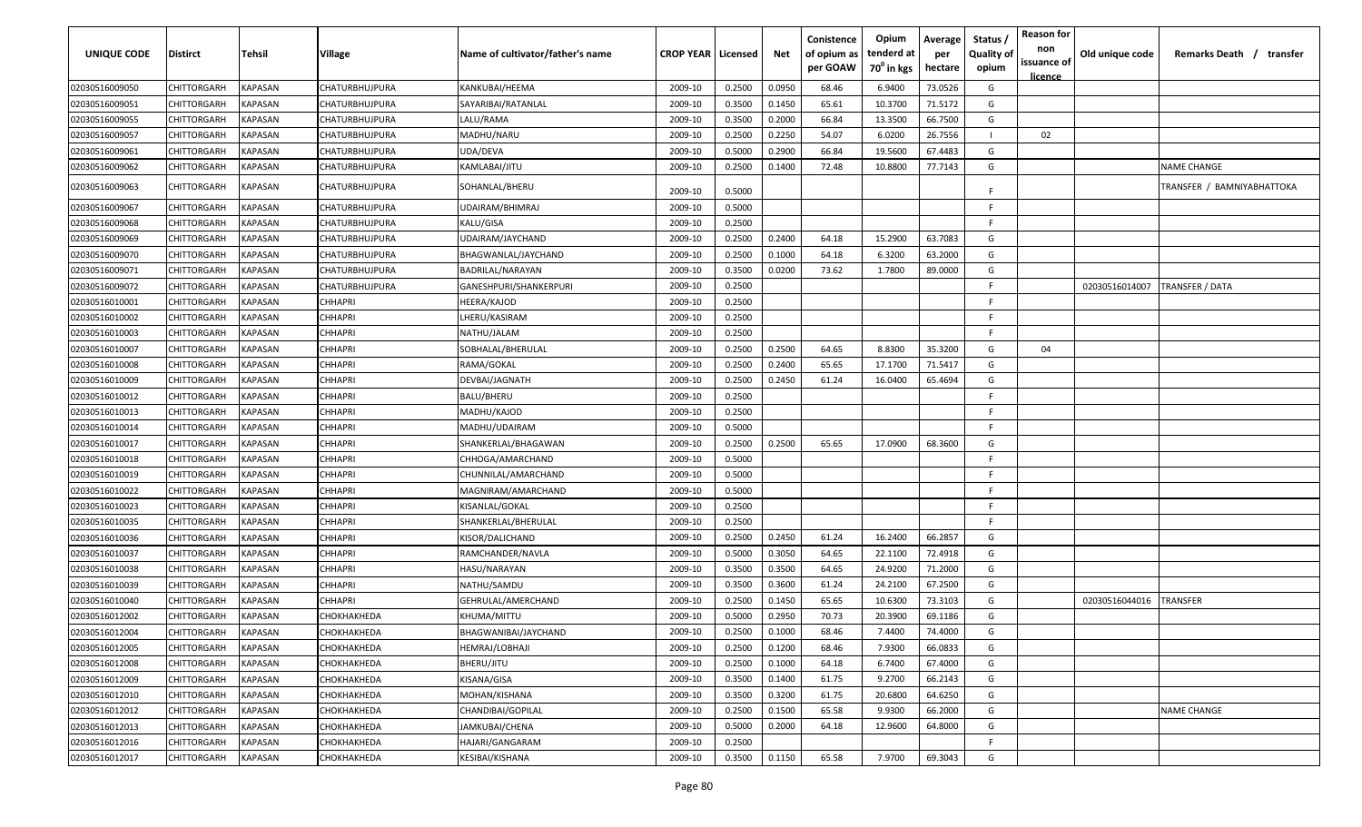| UNIQUE CODE    | <b>Distirct</b>    | Tehsil                | Village               | Name of cultivator/father's name        | <b>CROP YEAR   Licensed</b> |        | Net    | Conistence<br>of opium as<br>per GOAW | Opium<br>tenderd at<br>70 <sup>0</sup> in kgs | Average<br>per<br>hectare | Status,<br><b>Quality of</b><br>opium | <b>Reason for</b><br>non<br>issuance of<br>licence | Old unique code | Remarks Death / transfer   |
|----------------|--------------------|-----------------------|-----------------------|-----------------------------------------|-----------------------------|--------|--------|---------------------------------------|-----------------------------------------------|---------------------------|---------------------------------------|----------------------------------------------------|-----------------|----------------------------|
| 02030516009050 | CHITTORGARH        | KAPASAN               | <b>CHATURBHUJPURA</b> | KANKUBAI/HEEMA                          | 2009-10                     | 0.2500 | 0.0950 | 68.46                                 | 6.9400                                        | 73.0526                   | G                                     |                                                    |                 |                            |
| 02030516009051 | CHITTORGARH        | KAPASAN               | CHATURBHUJPURA        | SAYARIBAI/RATANLAL                      | 2009-10                     | 0.3500 | 0.1450 | 65.61                                 | 10.3700                                       | 71.5172                   | G                                     |                                                    |                 |                            |
| 02030516009055 | CHITTORGARH        | KAPASAN               | CHATURBHUJPURA        | LALU/RAMA                               | 2009-10                     | 0.3500 | 0.2000 | 66.84                                 | 13.3500                                       | 66.7500                   | G                                     |                                                    |                 |                            |
| 02030516009057 | CHITTORGARH        | KAPASAN               | CHATURBHUJPURA        | MADHU/NARU                              | 2009-10                     | 0.2500 | 0.2250 | 54.07                                 | 6.0200                                        | 26.7556                   |                                       | 02                                                 |                 |                            |
| 02030516009061 | CHITTORGARH        | KAPASAN               | CHATURBHUJPURA        | UDA/DEVA                                | 2009-10                     | 0.5000 | 0.2900 | 66.84                                 | 19.5600                                       | 67.4483                   | G                                     |                                                    |                 |                            |
| 02030516009062 | CHITTORGARH        | KAPASAN               | CHATURBHUJPURA        | KAMLABAI/JITU                           | 2009-10                     | 0.2500 | 0.1400 | 72.48                                 | 10.8800                                       | 77.7143                   | G                                     |                                                    |                 | <b>NAME CHANGE</b>         |
| 02030516009063 | CHITTORGARH        | KAPASAN               | CHATURBHUJPURA        | SOHANLAL/BHERU                          | 2009-10                     | 0.5000 |        |                                       |                                               |                           | E                                     |                                                    |                 | TRANSFER / BAMNIYABHATTOKA |
| 02030516009067 | CHITTORGARH        | KAPASAN               | CHATURBHUJPURA        | UDAIRAM/BHIMRAJ                         | 2009-10                     | 0.5000 |        |                                       |                                               |                           | -F                                    |                                                    |                 |                            |
| 02030516009068 | CHITTORGARH        | KAPASAN               | CHATURBHUJPURA        | KALU/GISA                               | 2009-10                     | 0.2500 |        |                                       |                                               |                           | F.                                    |                                                    |                 |                            |
| 02030516009069 | CHITTORGARH        | KAPASAN               | CHATURBHUJPURA        | UDAIRAM/JAYCHAND                        | 2009-10                     | 0.2500 | 0.2400 | 64.18                                 | 15.2900                                       | 63.7083                   | G                                     |                                                    |                 |                            |
| 02030516009070 | CHITTORGARH        | <b><i>KAPASAN</i></b> | CHATURBHUJPURA        | BHAGWANLAL/JAYCHAND                     | 2009-10                     | 0.2500 | 0.1000 | 64.18                                 | 6.3200                                        | 63.2000                   | G                                     |                                                    |                 |                            |
| 02030516009071 | CHITTORGARH        | KAPASAN               | CHATURBHUJPURA        | BADRILAL/NARAYAN                        | 2009-10                     | 0.3500 | 0.0200 | 73.62                                 | 1.7800                                        | 89.0000                   | G                                     |                                                    |                 |                            |
| 02030516009072 | CHITTORGARH        | KAPASAN               | CHATURBHUJPURA        | GANESHPURI/SHANKERPURI                  | 2009-10                     | 0.2500 |        |                                       |                                               |                           | E                                     |                                                    | 02030516014007  | TRANSFER / DATA            |
| 02030516010001 | CHITTORGARH        | KAPASAN               | CHHAPRI               | HEERA/KAJOD                             | 2009-10                     | 0.2500 |        |                                       |                                               |                           | E                                     |                                                    |                 |                            |
| 02030516010002 | CHITTORGARH        | KAPASAN               | CHHAPRI               | .HERU/KASIRAM                           | 2009-10                     | 0.2500 |        |                                       |                                               |                           | F.                                    |                                                    |                 |                            |
| 02030516010003 | <b>CHITTORGARH</b> | KAPASAN               | CHHAPRI               | NATHU/JALAM                             | 2009-10                     | 0.2500 |        |                                       |                                               |                           | F.                                    |                                                    |                 |                            |
| 02030516010007 | CHITTORGARH        | <b><i>KAPASAN</i></b> | CHHAPRI               | SOBHALAL/BHERULAL                       | 2009-10                     | 0.2500 | 0.2500 | 64.65                                 | 8.8300                                        | 35.3200                   | G                                     | 04                                                 |                 |                            |
| 02030516010008 | CHITTORGARH        | <b><i>KAPASAN</i></b> | CHHAPRI               | RAMA/GOKAL                              | 2009-10                     | 0.2500 | 0.2400 | 65.65                                 | 17.1700                                       | 71.5417                   | G                                     |                                                    |                 |                            |
| 02030516010009 | CHITTORGARH        | KAPASAN               | CHHAPRI               | DEVBAI/JAGNATH                          | 2009-10                     | 0.2500 | 0.2450 | 61.24                                 | 16.0400                                       | 65.4694                   | G                                     |                                                    |                 |                            |
| 02030516010012 | CHITTORGARH        | KAPASAN               | <b>CHHAPRI</b>        | BALU/BHERU                              | 2009-10                     | 0.2500 |        |                                       |                                               |                           | E.                                    |                                                    |                 |                            |
| 02030516010013 | CHITTORGARH        | KAPASAN               | <b>CHHAPRI</b>        | MADHU/KAJOD                             | 2009-10                     | 0.2500 |        |                                       |                                               |                           | F.                                    |                                                    |                 |                            |
| 02030516010014 | CHITTORGARH        | KAPASAN               | <b>CHHAPRI</b>        | MADHU/UDAIRAM                           | 2009-10                     | 0.5000 |        |                                       |                                               |                           | F.                                    |                                                    |                 |                            |
| 02030516010017 | CHITTORGARH        | KAPASAN               | <b>CHHAPRI</b>        | SHANKERLAL/BHAGAWAN                     | 2009-10                     | 0.2500 | 0.2500 | 65.65                                 | 17.0900                                       | 68.3600                   | G                                     |                                                    |                 |                            |
| 02030516010018 | CHITTORGARH        | KAPASAN               | <b>CHHAPRI</b>        | CHHOGA/AMARCHAND                        | 2009-10                     | 0.5000 |        |                                       |                                               |                           | E                                     |                                                    |                 |                            |
| 02030516010019 | CHITTORGARH        | KAPASAN               | <b>CHHAPRI</b>        | CHUNNILAL/AMARCHAND                     | 2009-10                     | 0.5000 |        |                                       |                                               |                           | F                                     |                                                    |                 |                            |
| 02030516010022 | CHITTORGARH        | KAPASAN               | CHHAPRI               | MAGNIRAM/AMARCHAND                      | 2009-10                     | 0.5000 |        |                                       |                                               |                           | F                                     |                                                    |                 |                            |
| 02030516010023 | CHITTORGARH        | KAPASAN               | CHHAPRI               | KISANLAL/GOKAL                          | 2009-10                     | 0.2500 |        |                                       |                                               |                           | -F                                    |                                                    |                 |                            |
| 02030516010035 | CHITTORGARH        | KAPASAN               | <b>CHHAPRI</b>        | SHANKERLAL/BHERULAL                     | 2009-10                     | 0.2500 |        |                                       |                                               |                           | F.                                    |                                                    |                 |                            |
| 02030516010036 | CHITTORGARH        | KAPASAN               | <b>CHHAPRI</b>        | <b><isor b="" dalichand<=""></isor></b> | 2009-10                     | 0.2500 | 0.2450 | 61.24                                 | 16.2400                                       | 66.2857                   | G                                     |                                                    |                 |                            |
| 02030516010037 | CHITTORGARH        | KAPASAN               | CHHAPRI               | RAMCHANDER/NAVLA                        | 2009-10                     | 0.5000 | 0.3050 | 64.65                                 | 22.1100                                       | 72.4918                   | G                                     |                                                    |                 |                            |
| 02030516010038 | CHITTORGARH        | KAPASAN               | CHHAPRI               | HASU/NARAYAN                            | 2009-10                     | 0.3500 | 0.3500 | 64.65                                 | 24.9200                                       | 71.2000                   | G                                     |                                                    |                 |                            |
| 02030516010039 | CHITTORGARH        | KAPASAN               | CHHAPRI               | NATHU/SAMDU                             | 2009-10                     | 0.3500 | 0.3600 | 61.24                                 | 24.2100                                       | 67.2500                   | G                                     |                                                    |                 |                            |
| 02030516010040 | <b>CHITTORGARH</b> | KAPASAN               | CHHAPRI               | GEHRULAL/AMERCHAND                      | 2009-10                     | 0.2500 | 0.1450 | 65.65                                 | 10.6300                                       | 73.3103                   | G                                     |                                                    | 02030516044016  | TRANSFER                   |
| 02030516012002 | CHITTORGARH        | KAPASAN               | СНОКНАКНЕDА           | KHUMA/MITTU                             | 2009-10                     | 0.5000 | 0.2950 | 70.73                                 | 20.3900<br>7.4400                             | 69.1186                   | G                                     |                                                    |                 |                            |
| 02030516012004 | CHITTORGARH        | <b>KAPASAN</b>        | СНОКНАКНЕDА           | BHAGWANIBAI/JAYCHAND                    | 2009-10                     | 0.2500 | 0.1000 | 68.46                                 |                                               | 74.4000                   | G                                     |                                                    |                 |                            |
| 02030516012005 | CHITTORGARH        | <b>KAPASAN</b>        | СНОКНАКНЕDА           | HEMRAJ/LOBHAJI                          | 2009-10                     | 0.2500 | 0.1200 | 68.46                                 | 7.9300                                        | 66.0833                   | G                                     |                                                    |                 |                            |
| 02030516012008 | CHITTORGARH        | <b>KAPASAN</b>        | СНОКНАКНЕDА           | BHERU/JITU                              | 2009-10                     | 0.2500 | 0.1000 | 64.18                                 | 6.7400                                        | 67.4000                   | G                                     |                                                    |                 |                            |
| 02030516012009 | CHITTORGARH        | <b>KAPASAN</b>        | СНОКНАКНЕDА           | KISANA/GISA                             | 2009-10                     | 0.3500 | 0.1400 | 61.75                                 | 9.2700                                        | 66.2143                   | G                                     |                                                    |                 |                            |
| 02030516012010 | CHITTORGARH        | KAPASAN               | СНОКНАКНЕDА           | MOHAN/KISHANA                           | 2009-10                     | 0.3500 | 0.3200 | 61.75                                 | 20.6800                                       | 64.6250                   | G                                     |                                                    |                 |                            |
| 02030516012012 | CHITTORGARH        | KAPASAN               | СНОКНАКНЕDА           | CHANDIBAI/GOPILAL                       | 2009-10                     | 0.2500 | 0.1500 | 65.58                                 | 9.9300                                        | 66.2000                   | G                                     |                                                    |                 | <b>NAME CHANGE</b>         |
| 02030516012013 | CHITTORGARH        | <b>KAPASAN</b>        | СНОКНАКНЕDА           | JAMKUBAI/CHENA                          | 2009-10                     | 0.5000 | 0.2000 | 64.18                                 | 12.9600                                       | 64.8000                   | G                                     |                                                    |                 |                            |
| 02030516012016 | CHITTORGARH        | KAPASAN               | СНОКНАКНЕDА           | HAJARI/GANGARAM                         | 2009-10                     | 0.2500 |        |                                       |                                               |                           | F.                                    |                                                    |                 |                            |
| 02030516012017 | CHITTORGARH        | KAPASAN               | СНОКНАКНЕDА           | KESIBAI/KISHANA                         | 2009-10                     | 0.3500 | 0.1150 | 65.58                                 | 7.9700                                        | 69.3043                   | G                                     |                                                    |                 |                            |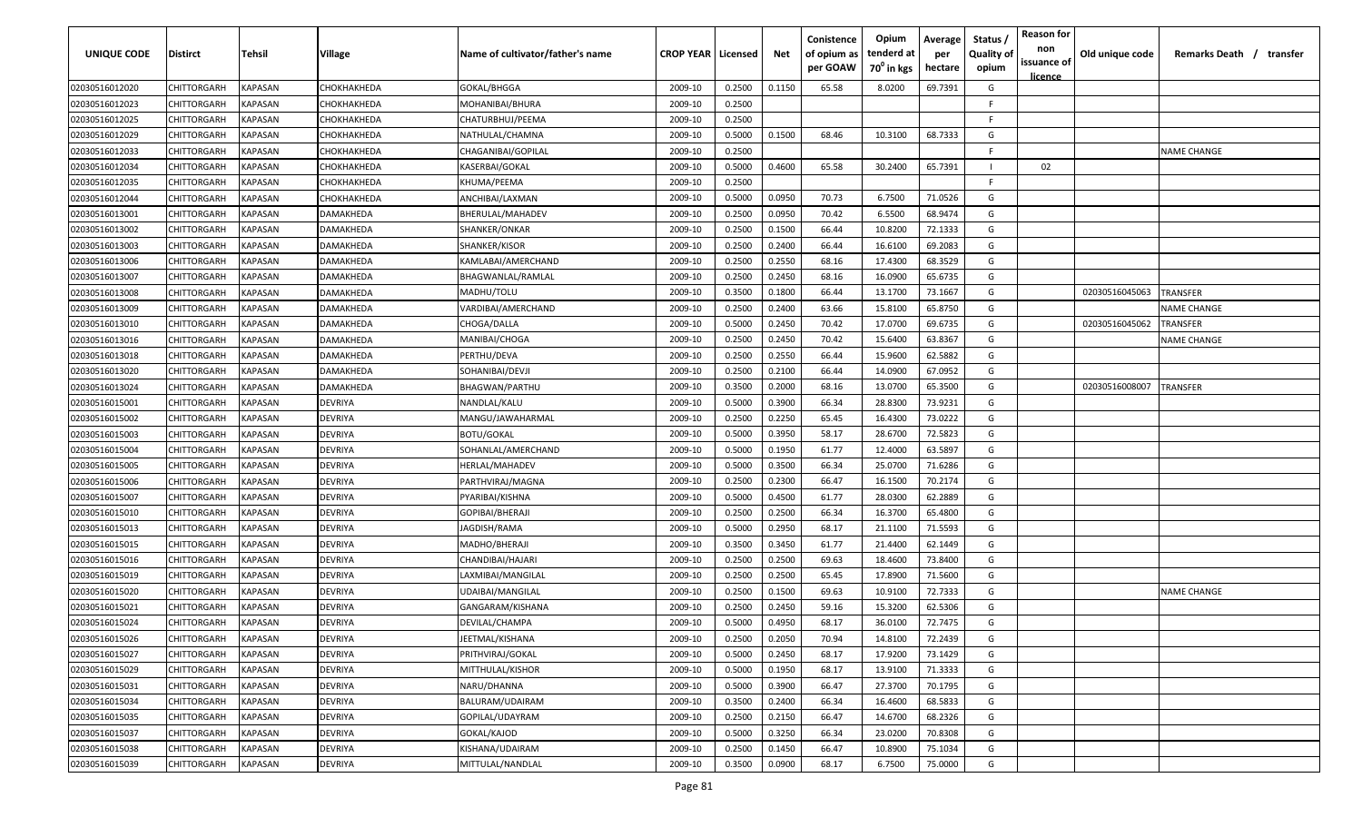| UNIQUE CODE    | Distirct           | Tehsil         | Village     | Name of cultivator/father's name | <b>CROP YEAR   Licensed</b> |        | Net    | Conistence<br>of opium as<br>per GOAW | Opium<br>tenderd at<br>70 <sup>°</sup> in kgs | Average<br>per<br>hectare | Status,<br><b>Quality of</b><br>opium | <b>Reason for</b><br>non<br>issuance of<br><u>licence</u> | Old unique code | Remarks Death / transfer |
|----------------|--------------------|----------------|-------------|----------------------------------|-----------------------------|--------|--------|---------------------------------------|-----------------------------------------------|---------------------------|---------------------------------------|-----------------------------------------------------------|-----------------|--------------------------|
| 02030516012020 | CHITTORGARH        | KAPASAN        | СНОКНАКНЕДА | GOKAL/BHGGA                      | 2009-10                     | 0.2500 | 0.1150 | 65.58                                 | 8.0200                                        | 69.7391                   | G                                     |                                                           |                 |                          |
| 02030516012023 | CHITTORGARH        | <b>KAPASAN</b> | СНОКНАКНЕDА | MOHANIBAI/BHURA                  | 2009-10                     | 0.2500 |        |                                       |                                               |                           | F                                     |                                                           |                 |                          |
| 02030516012025 | CHITTORGARH        | <b>KAPASAN</b> | СНОКНАКНЕРА | CHATURBHUJ/PEEMA                 | 2009-10                     | 0.2500 |        |                                       |                                               |                           | F.                                    |                                                           |                 |                          |
| 02030516012029 | CHITTORGARH        | <b>KAPASAN</b> | СНОКНАКНЕDА | NATHULAL/CHAMNA                  | 2009-10                     | 0.5000 | 0.1500 | 68.46                                 | 10.3100                                       | 68.7333                   | G                                     |                                                           |                 |                          |
| 02030516012033 | CHITTORGARH        | KAPASAN        | СНОКНАКНЕDА | CHAGANIBAI/GOPILAL               | 2009-10                     | 0.2500 |        |                                       |                                               |                           |                                       |                                                           |                 | <b>NAME CHANGE</b>       |
| 02030516012034 | CHITTORGARH        | KAPASAN        | СНОКНАКНЕDА | KASERBAI/GOKAL                   | 2009-10                     | 0.5000 | 0.4600 | 65.58                                 | 30.2400                                       | 65.7391                   |                                       | 02                                                        |                 |                          |
| 02030516012035 | CHITTORGARH        | KAPASAN        | СНОКНАКНЕРА | KHUMA/PEEMA                      | 2009-10                     | 0.2500 |        |                                       |                                               |                           | F                                     |                                                           |                 |                          |
| 02030516012044 | CHITTORGARH        | KAPASAN        | СНОКНАКНЕРА | ANCHIBAI/LAXMAN                  | 2009-10                     | 0.5000 | 0.0950 | 70.73                                 | 6.7500                                        | 71.0526                   | G                                     |                                                           |                 |                          |
| 02030516013001 | CHITTORGARH        | KAPASAN        | DAMAKHEDA   | BHERULAL/MAHADEV                 | 2009-10                     | 0.2500 | 0.0950 | 70.42                                 | 6.5500                                        | 68.9474                   | G                                     |                                                           |                 |                          |
| 02030516013002 | CHITTORGARH        | KAPASAN        | DAMAKHEDA   | SHANKER/ONKAR                    | 2009-10                     | 0.2500 | 0.1500 | 66.44                                 | 10.8200                                       | 72.1333                   | G                                     |                                                           |                 |                          |
| 02030516013003 | CHITTORGARH        | KAPASAN        | )AMAKHEDA   | SHANKER/KISOR                    | 2009-10                     | 0.2500 | 0.2400 | 66.44                                 | 16.6100                                       | 69.2083                   | G                                     |                                                           |                 |                          |
| 02030516013006 | CHITTORGARH        | KAPASAN        | DAMAKHEDA   | KAMLABAI/AMERCHAND               | 2009-10                     | 0.2500 | 0.2550 | 68.16                                 | 17.4300                                       | 68.3529                   | G                                     |                                                           |                 |                          |
| 02030516013007 | CHITTORGARH        | <b>KAPASAN</b> | DAMAKHEDA   | BHAGWANLAL/RAMLAL                | 2009-10                     | 0.2500 | 0.2450 | 68.16                                 | 16.0900                                       | 65.6735                   | G                                     |                                                           |                 |                          |
| 02030516013008 | CHITTORGARH        | KAPASAN        | DAMAKHEDA   | MADHU/TOLU                       | 2009-10                     | 0.3500 | 0.1800 | 66.44                                 | 13.1700                                       | 73.1667                   | G                                     |                                                           | 02030516045063  | <b>TRANSFER</b>          |
| 02030516013009 | CHITTORGARH        | <b>KAPASAN</b> | DAMAKHEDA   | VARDIBAI/AMERCHAND               | 2009-10                     | 0.2500 | 0.2400 | 63.66                                 | 15.8100                                       | 65.8750                   | G                                     |                                                           |                 | <b>NAME CHANGE</b>       |
| 02030516013010 | CHITTORGARH        | <b>KAPASAN</b> | DAMAKHEDA   | CHOGA/DALLA                      | 2009-10                     | 0.5000 | 0.2450 | 70.42                                 | 17.0700                                       | 69.6735                   | G                                     |                                                           | 02030516045062  | <b>TRANSFER</b>          |
| 02030516013016 | CHITTORGARH        | KAPASAN        | DAMAKHEDA   | MANIBAI/CHOGA                    | 2009-10                     | 0.2500 | 0.2450 | 70.42                                 | 15.6400                                       | 63.8367                   | G                                     |                                                           |                 | <b>NAME CHANGE</b>       |
| 02030516013018 | CHITTORGARH        | KAPASAN        | DAMAKHEDA   | PERTHU/DEVA                      | 2009-10                     | 0.2500 | 0.2550 | 66.44                                 | 15.9600                                       | 62.5882                   | G                                     |                                                           |                 |                          |
| 02030516013020 | CHITTORGARH        | KAPASAN        | DAMAKHEDA   | SOHANIBAI/DEVJI                  | 2009-10                     | 0.2500 | 0.2100 | 66.44                                 | 14.0900                                       | 67.0952                   | G                                     |                                                           |                 |                          |
| 02030516013024 | CHITTORGARH        | <b>KAPASAN</b> | DAMAKHEDA   | BHAGWAN/PARTHU                   | 2009-10                     | 0.3500 | 0.2000 | 68.16                                 | 13.0700                                       | 65.3500                   | G                                     |                                                           | 02030516008007  | TRANSFER                 |
| 02030516015001 | CHITTORGARH        | KAPASAN        | DEVRIYA     | NANDLAL/KALU                     | 2009-10                     | 0.5000 | 0.3900 | 66.34                                 | 28.8300                                       | 73.9231                   | G                                     |                                                           |                 |                          |
| 02030516015002 | CHITTORGARH        | KAPASAN        | DEVRIYA     | MANGU/JAWAHARMAL                 | 2009-10                     | 0.2500 | 0.2250 | 65.45                                 | 16.4300                                       | 73.0222                   | G                                     |                                                           |                 |                          |
| 02030516015003 | CHITTORGARH        | KAPASAN        | DEVRIYA     | <b>BOTU/GOKAL</b>                | 2009-10                     | 0.5000 | 0.3950 | 58.17                                 | 28.6700                                       | 72.5823                   | G                                     |                                                           |                 |                          |
| 02030516015004 | CHITTORGARH        | KAPASAN        | DEVRIYA     | SOHANLAL/AMERCHAND               | 2009-10                     | 0.5000 | 0.1950 | 61.77                                 | 12.4000                                       | 63.5897                   | G                                     |                                                           |                 |                          |
| 02030516015005 | CHITTORGARH        | KAPASAN        | DEVRIYA     | HERLAL/MAHADEV                   | 2009-10                     | 0.5000 | 0.3500 | 66.34                                 | 25.0700                                       | 71.6286                   | G                                     |                                                           |                 |                          |
| 02030516015006 | CHITTORGARH        | KAPASAN        | DEVRIYA     | PARTHVIRAJ/MAGNA                 | 2009-10                     | 0.2500 | 0.2300 | 66.47                                 | 16.1500                                       | 70.2174                   | G                                     |                                                           |                 |                          |
| 02030516015007 | CHITTORGARH        | KAPASAN        | DEVRIYA     | PYARIBAI/KISHNA                  | 2009-10                     | 0.5000 | 0.4500 | 61.77                                 | 28.0300                                       | 62.2889                   | G                                     |                                                           |                 |                          |
| 02030516015010 | CHITTORGARH        | KAPASAN        | DEVRIYA     | GOPIBAI/BHERAJI                  | 2009-10                     | 0.2500 | 0.2500 | 66.34                                 | 16.3700                                       | 65.4800                   | G                                     |                                                           |                 |                          |
| 02030516015013 | CHITTORGARH        | KAPASAN        | DEVRIYA     | IAGDISH/RAMA                     | 2009-10                     | 0.5000 | 0.2950 | 68.17                                 | 21.1100                                       | 71.5593                   | G                                     |                                                           |                 |                          |
| 02030516015015 | CHITTORGARH        | <b>KAPASAN</b> | DEVRIYA     | MADHO/BHERAJI                    | 2009-10                     | 0.3500 | 0.3450 | 61.77                                 | 21.4400                                       | 62.1449                   | G                                     |                                                           |                 |                          |
| 02030516015016 | CHITTORGARH        | KAPASAN        | DEVRIYA     | CHANDIBAI/HAJARI                 | 2009-10                     | 0.2500 | 0.2500 | 69.63                                 | 18.4600                                       | 73.8400                   | G                                     |                                                           |                 |                          |
| 02030516015019 | CHITTORGARH        | <b>KAPASAN</b> | DEVRIYA     | LAXMIBAI/MANGILAL                | 2009-10                     | 0.2500 | 0.2500 | 65.45                                 | 17.8900                                       | 71.5600                   | G                                     |                                                           |                 |                          |
| 02030516015020 | CHITTORGARH        | <b>KAPASAN</b> | DEVRIYA     | UDAIBAI/MANGILAL                 | 2009-10                     | 0.2500 | 0.1500 | 69.63                                 | 10.9100                                       | 72.7333                   | G                                     |                                                           |                 | <b>NAME CHANGE</b>       |
| 02030516015021 | CHITTORGARH        | <b>KAPASAN</b> | DEVRIYA     | GANGARAM/KISHANA                 | 2009-10                     | 0.2500 | 0.2450 | 59.16                                 | 15.3200                                       | 62.5306                   | G                                     |                                                           |                 |                          |
| 02030516015024 | <b>CHITTORGARH</b> | KAPASAN        | DEVRIYA     | DEVILAL/CHAMPA                   | 2009-10                     | 0.5000 | 0.4950 | 68.17                                 | 36.0100                                       | 72.7475                   | G                                     |                                                           |                 |                          |
| 02030516015026 | <b>CHITTORGARH</b> | <b>KAPASAN</b> | DEVRIYA     | JEETMAL/KISHANA                  | 2009-10                     | 0.2500 | 0.2050 | 70.94                                 | 14.8100                                       | 72.2439                   | G                                     |                                                           |                 |                          |
| 02030516015027 | CHITTORGARH        | <b>KAPASAN</b> | DEVRIYA     | PRITHVIRAJ/GOKAL                 | 2009-10                     | 0.5000 | 0.2450 | 68.17                                 | 17.9200                                       | 73.1429                   | G                                     |                                                           |                 |                          |
| 02030516015029 | <b>CHITTORGARH</b> | <b>KAPASAN</b> | DEVRIYA     | MITTHULAL/KISHOR                 | 2009-10                     | 0.5000 | 0.1950 | 68.17                                 | 13.9100                                       | 71.3333                   | G                                     |                                                           |                 |                          |
| 02030516015031 | <b>CHITTORGARH</b> | <b>KAPASAN</b> | DEVRIYA     | NARU/DHANNA                      | 2009-10                     | 0.5000 | 0.3900 | 66.47                                 | 27.3700                                       | 70.1795                   | G                                     |                                                           |                 |                          |
| 02030516015034 | CHITTORGARH        | KAPASAN        | DEVRIYA     | BALURAM/UDAIRAM                  | 2009-10                     | 0.3500 | 0.2400 | 66.34                                 | 16.4600                                       | 68.5833                   | G                                     |                                                           |                 |                          |
| 02030516015035 | CHITTORGARH        | KAPASAN        | DEVRIYA     | GOPILAL/UDAYRAM                  | 2009-10                     | 0.2500 | 0.2150 | 66.47                                 | 14.6700                                       | 68.2326                   | G                                     |                                                           |                 |                          |
| 02030516015037 | CHITTORGARH        | KAPASAN        | DEVRIYA     | GOKAL/KAJOD                      | 2009-10                     | 0.5000 | 0.3250 | 66.34                                 | 23.0200                                       | 70.8308                   | G                                     |                                                           |                 |                          |
| 02030516015038 | CHITTORGARH        | <b>KAPASAN</b> | DEVRIYA     | KISHANA/UDAIRAM                  | 2009-10                     | 0.2500 | 0.1450 | 66.47                                 | 10.8900                                       | 75.1034                   | G                                     |                                                           |                 |                          |
| 02030516015039 | <b>CHITTORGARH</b> | <b>KAPASAN</b> | DEVRIYA     | MITTULAL/NANDLAL                 | 2009-10                     | 0.3500 | 0.0900 | 68.17                                 | 6.7500                                        | 75.0000                   | G                                     |                                                           |                 |                          |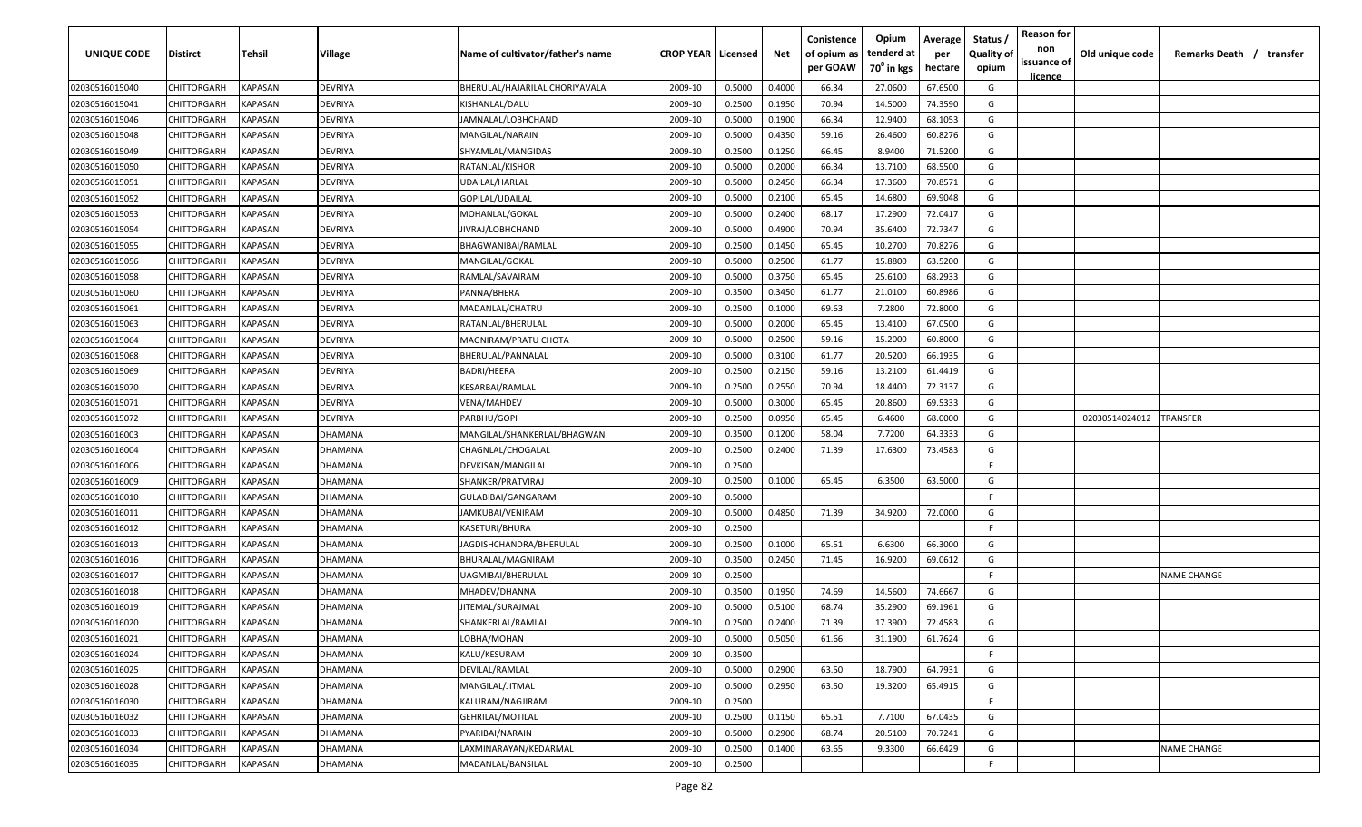| <b>UNIQUE CODE</b> | Distirct           | Tehsil         | Village | Name of cultivator/father's name | <b>CROP YEAR   Licensed</b> |        | Net    | Conistence<br>of opium as | Opium<br>tenderd at    | Average<br>per | Status /<br><b>Quality of</b> | <b>Reason for</b><br>non<br>issuance of | Old unique code | Remarks Death /<br>transfer |
|--------------------|--------------------|----------------|---------|----------------------------------|-----------------------------|--------|--------|---------------------------|------------------------|----------------|-------------------------------|-----------------------------------------|-----------------|-----------------------------|
|                    |                    |                |         |                                  |                             |        |        | per GOAW                  | 70 <sup>0</sup> in kgs | hectare        | opium                         | <u>licence</u>                          |                 |                             |
| 02030516015040     | CHITTORGARH        | <b>KAPASAN</b> | DEVRIYA | BHERULAL/HAJARILAL CHORIYAVALA   | 2009-10                     | 0.5000 | 0.4000 | 66.34                     | 27.0600                | 67.6500        | G                             |                                         |                 |                             |
| 02030516015041     | CHITTORGARH        | KAPASAN        | DEVRIYA | KISHANLAL/DALU                   | 2009-10                     | 0.2500 | 0.1950 | 70.94                     | 14.5000                | 74.3590        | G                             |                                         |                 |                             |
| 02030516015046     | CHITTORGARH        | KAPASAN        | DEVRIYA | JAMNALAL/LOBHCHAND               | 2009-10                     | 0.5000 | 0.1900 | 66.34                     | 12.9400                | 68.1053        | G                             |                                         |                 |                             |
| 02030516015048     | CHITTORGARH        | KAPASAN        | DEVRIYA | MANGILAL/NARAIN                  | 2009-10                     | 0.5000 | 0.4350 | 59.16                     | 26.4600                | 60.8276        | G                             |                                         |                 |                             |
| 02030516015049     | CHITTORGARH        | KAPASAN        | DEVRIYA | SHYAMLAL/MANGIDAS                | 2009-10                     | 0.2500 | 0.1250 | 66.45                     | 8.9400                 | 71.5200        | G                             |                                         |                 |                             |
| 02030516015050     | CHITTORGARH        | KAPASAN        | DEVRIYA | RATANLAL/KISHOR                  | 2009-10                     | 0.5000 | 0.2000 | 66.34                     | 13.7100                | 68.5500        | G                             |                                         |                 |                             |
| 02030516015051     | <b>CHITTORGARH</b> | KAPASAN        | DEVRIYA | UDAILAL/HARLAL                   | 2009-10                     | 0.5000 | 0.2450 | 66.34                     | 17.3600                | 70.8571        | G                             |                                         |                 |                             |
| 02030516015052     | CHITTORGARH        | KAPASAN        | DEVRIYA | GOPILAL/UDAILAL                  | 2009-10                     | 0.5000 | 0.2100 | 65.45                     | 14.6800                | 69.9048        | G                             |                                         |                 |                             |
| 02030516015053     | CHITTORGARH        | KAPASAN        | DEVRIYA | MOHANLAL/GOKAL                   | 2009-10                     | 0.5000 | 0.2400 | 68.17                     | 17.2900                | 72.0417        | G                             |                                         |                 |                             |
| 02030516015054     | CHITTORGARH        | KAPASAN        | DEVRIYA | JIVRAJ/LOBHCHAND                 | 2009-10                     | 0.5000 | 0.4900 | 70.94                     | 35.6400                | 72.7347        | G                             |                                         |                 |                             |
| 02030516015055     | CHITTORGARH        | KAPASAN        | DEVRIYA | BHAGWANIBAI/RAMLAL               | 2009-10                     | 0.2500 | 0.1450 | 65.45                     | 10.2700                | 70.8276        | G                             |                                         |                 |                             |
| 02030516015056     | CHITTORGARH        | KAPASAN        | DEVRIYA | MANGILAL/GOKAL                   | 2009-10                     | 0.5000 | 0.2500 | 61.77                     | 15.8800                | 63.5200        | G                             |                                         |                 |                             |
| 02030516015058     | CHITTORGARH        | KAPASAN        | DEVRIYA | RAMLAL/SAVAIRAM                  | 2009-10                     | 0.5000 | 0.3750 | 65.45                     | 25.6100                | 68.2933        | G                             |                                         |                 |                             |
| 02030516015060     | CHITTORGARH        | KAPASAN        | DEVRIYA | PANNA/BHERA                      | 2009-10                     | 0.3500 | 0.3450 | 61.77                     | 21.0100                | 60.8986        | G                             |                                         |                 |                             |
| 02030516015061     | CHITTORGARH        | KAPASAN        | DEVRIYA | MADANLAL/CHATRU                  | 2009-10                     | 0.2500 | 0.1000 | 69.63                     | 7.2800                 | 72.8000        | G                             |                                         |                 |                             |
| 02030516015063     | CHITTORGARH        | KAPASAN        | DEVRIYA | RATANLAL/BHERULAL                | 2009-10                     | 0.5000 | 0.2000 | 65.45                     | 13.4100                | 67.0500        | G                             |                                         |                 |                             |
| 02030516015064     | CHITTORGARH        | KAPASAN        | DEVRIYA | MAGNIRAM/PRATU CHOTA             | 2009-10                     | 0.5000 | 0.2500 | 59.16                     | 15.2000                | 60.8000        | G                             |                                         |                 |                             |
| 02030516015068     | CHITTORGARH        | KAPASAN        | DEVRIYA | BHERULAL/PANNALAL                | 2009-10                     | 0.5000 | 0.3100 | 61.77                     | 20.5200                | 66.1935        | G                             |                                         |                 |                             |
| 02030516015069     | CHITTORGARH        | KAPASAN        | DEVRIYA | BADRI/HEERA                      | 2009-10                     | 0.2500 | 0.2150 | 59.16                     | 13.2100                | 61.4419        | G                             |                                         |                 |                             |
| 02030516015070     | CHITTORGARH        | KAPASAN        | DEVRIYA | KESARBAI/RAMLAL                  | 2009-10                     | 0.2500 | 0.2550 | 70.94                     | 18.4400                | 72.3137        | G                             |                                         |                 |                             |
| 02030516015071     | CHITTORGARH        | KAPASAN        | DEVRIYA | VENA/MAHDEV                      | 2009-10                     | 0.5000 | 0.3000 | 65.45                     | 20.8600                | 69.5333        | G                             |                                         |                 |                             |
| 02030516015072     | CHITTORGARH        | KAPASAN        | DEVRIYA | PARBHU/GOPI                      | 2009-10                     | 0.2500 | 0.0950 | 65.45                     | 6.4600                 | 68.0000        | G                             |                                         | 02030514024012  | <b>TRANSFER</b>             |
| 02030516016003     | CHITTORGARH        | KAPASAN        | DHAMANA | MANGILAL/SHANKERLAL/BHAGWAN      | 2009-10                     | 0.3500 | 0.1200 | 58.04                     | 7.7200                 | 64.3333        | G                             |                                         |                 |                             |
| 02030516016004     | CHITTORGARH        | KAPASAN        | DHAMANA | CHAGNLAL/CHOGALAL                | 2009-10                     | 0.2500 | 0.2400 | 71.39                     | 17.6300                | 73.4583        | G                             |                                         |                 |                             |
| 02030516016006     | CHITTORGARH        | KAPASAN        | DHAMANA | DEVKISAN/MANGILAL                | 2009-10                     | 0.2500 |        |                           |                        |                | -F                            |                                         |                 |                             |
| 02030516016009     | CHITTORGARH        | KAPASAN        | DHAMANA | SHANKER/PRATVIRAJ                | 2009-10                     | 0.2500 | 0.1000 | 65.45                     | 6.3500                 | 63.5000        | G                             |                                         |                 |                             |
| 02030516016010     | CHITTORGARH        | KAPASAN        | DHAMANA | GULABIBAI/GANGARAM               | 2009-10                     | 0.5000 |        |                           |                        |                | F.                            |                                         |                 |                             |
| 02030516016011     | CHITTORGARH        | KAPASAN        | )HAMANA | IAMKUBAI/VENIRAM                 | 2009-10                     | 0.5000 | 0.4850 | 71.39                     | 34.9200                | 72.0000        | G                             |                                         |                 |                             |
| 02030516016012     | CHITTORGARH        | KAPASAN        | DHAMANA | KASETURI/BHURA                   | 2009-10                     | 0.2500 |        |                           |                        |                | -F.                           |                                         |                 |                             |
| 02030516016013     | CHITTORGARH        | KAPASAN        | DHAMANA | JAGDISHCHANDRA/BHERULAL          | 2009-10                     | 0.2500 | 0.1000 | 65.51                     | 6.6300                 | 66.3000        | G                             |                                         |                 |                             |
| 02030516016016     | CHITTORGARH        | KAPASAN        | DHAMANA | BHURALAL/MAGNIRAM                | 2009-10                     | 0.3500 | 0.2450 | 71.45                     | 16.9200                | 69.0612        | G                             |                                         |                 |                             |
| 02030516016017     | CHITTORGARH        | KAPASAN        | DHAMANA | UAGMIBAI/BHERULAL                | 2009-10                     | 0.2500 |        |                           |                        |                | -F.                           |                                         |                 | NAME CHANGE                 |
| 02030516016018     | CHITTORGARH        | KAPASAN        | DHAMANA | MHADEV/DHANNA                    | 2009-10                     | 0.3500 | 0.1950 | 74.69                     | 14.5600                | 74.6667        | G                             |                                         |                 |                             |
| 02030516016019     | CHITTORGARH        | KAPASAN        | DHAMANA | JITEMAL/SURAJMAL                 | 2009-10                     | 0.5000 | 0.5100 | 68.74                     | 35.2900                | 69.1961        | G                             |                                         |                 |                             |
| 02030516016020     | CHITTORGARH        | KAPASAN        | DHAMANA | SHANKERLAL/RAMLAL                | 2009-10                     | 0.2500 | 0.2400 | 71.39                     | 17.3900                | 72.4583        | G                             |                                         |                 |                             |
| 02030516016021     | CHITTORGARH        | KAPASAN        | DHAMANA | LOBHA/MOHAN                      | 2009-10                     | 0.5000 | 0.5050 | 61.66                     | 31.1900                | 61.7624        | G                             |                                         |                 |                             |
| 02030516016024     | CHITTORGARH        | <b>KAPASAN</b> | DHAMANA | KALU/KESURAM                     | 2009-10                     | 0.3500 |        |                           |                        |                | F.                            |                                         |                 |                             |
| 02030516016025     | CHITTORGARH        | <b>KAPASAN</b> | DHAMANA | DEVILAL/RAMLAL                   | 2009-10                     | 0.5000 | 0.2900 | 63.50                     | 18.7900                | 64.7931        | G                             |                                         |                 |                             |
| 02030516016028     | CHITTORGARH        | KAPASAN        | DHAMANA | MANGILAL/JITMAL                  | 2009-10                     | 0.5000 | 0.2950 | 63.50                     | 19.3200                | 65.4915        | G                             |                                         |                 |                             |
| 02030516016030     | CHITTORGARH        | KAPASAN        | DHAMANA | KALURAM/NAGJIRAM                 | 2009-10                     | 0.2500 |        |                           |                        |                | F.                            |                                         |                 |                             |
| 02030516016032     | CHITTORGARH        | KAPASAN        | DHAMANA | <b>GEHRILAL/MOTILAL</b>          | 2009-10                     | 0.2500 | 0.1150 | 65.51                     | 7.7100                 | 67.0435        | G                             |                                         |                 |                             |
| 02030516016033     | CHITTORGARH        | KAPASAN        | DHAMANA | PYARIBAI/NARAIN                  | 2009-10                     | 0.5000 | 0.2900 | 68.74                     | 20.5100                | 70.7241        | G                             |                                         |                 |                             |
| 02030516016034     | CHITTORGARH        | KAPASAN        | DHAMANA | LAXMINARAYAN/KEDARMAL            | 2009-10                     | 0.2500 | 0.1400 | 63.65                     | 9.3300                 | 66.6429        | G                             |                                         |                 | <b>NAME CHANGE</b>          |
| 02030516016035     | <b>CHITTORGARH</b> | KAPASAN        | DHAMANA | MADANLAL/BANSILAL                | 2009-10                     | 0.2500 |        |                           |                        |                | F.                            |                                         |                 |                             |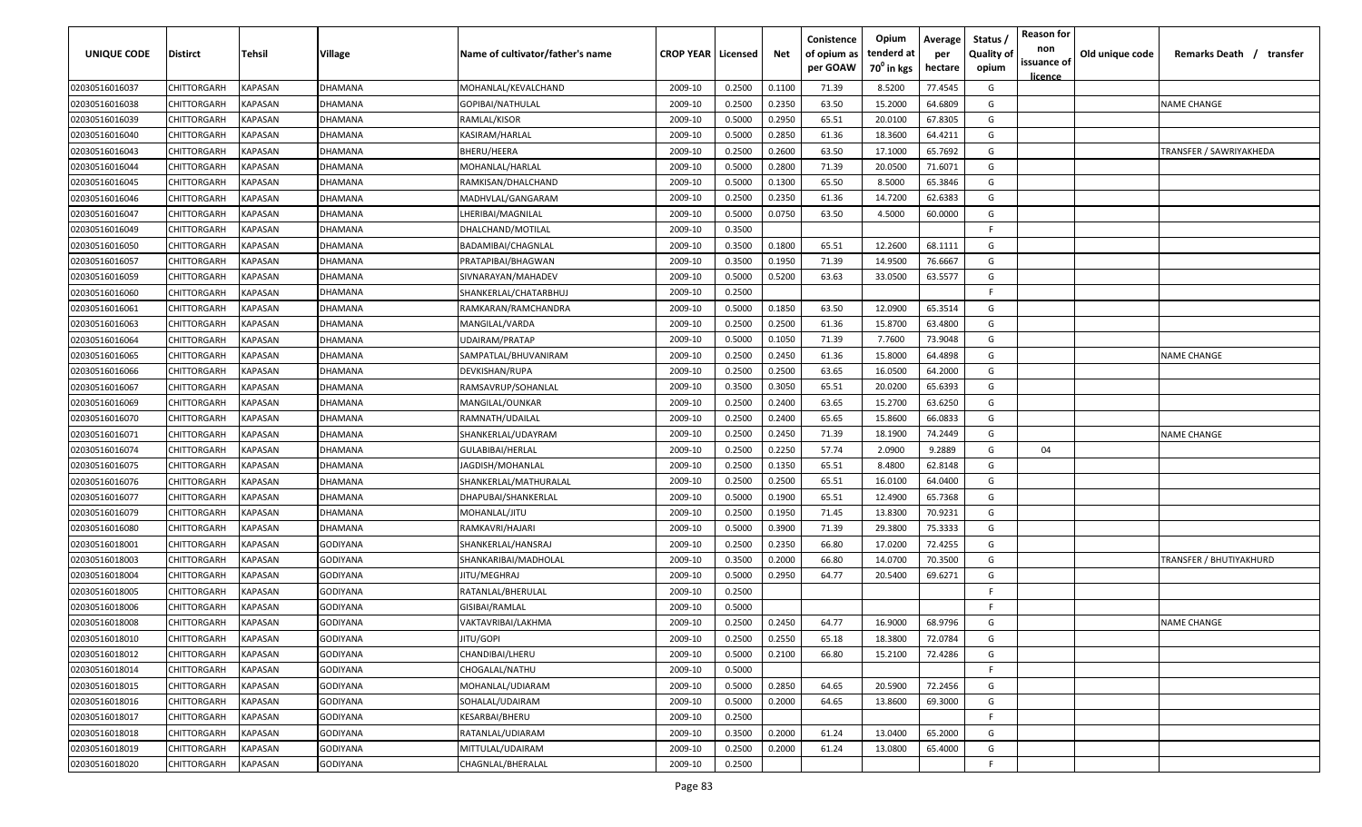| <b>UNIQUE CODE</b> | <b>Distirct</b>    | Tehsil         | <b>Village</b>  | Name of cultivator/father's name | <b>CROP YEAR   Licensed</b> |        | Net    | Conistence<br>of opium as<br>per GOAW | Opium<br>tenderd at<br>$70^0$ in kgs | Average<br>per<br>hectare | Status<br><b>Quality of</b><br>opium | <b>Reason for</b><br>non<br>issuance of<br><u>licence</u> | Old unique code | Remarks Death /<br>transfer |
|--------------------|--------------------|----------------|-----------------|----------------------------------|-----------------------------|--------|--------|---------------------------------------|--------------------------------------|---------------------------|--------------------------------------|-----------------------------------------------------------|-----------------|-----------------------------|
| 02030516016037     | <b>CHITTORGARH</b> | <b>KAPASAN</b> | DHAMANA         | MOHANLAL/KEVALCHAND              | 2009-10                     | 0.2500 | 0.1100 | 71.39                                 | 8.5200                               | 77.4545                   | G                                    |                                                           |                 |                             |
| 02030516016038     | CHITTORGARH        | <b>KAPASAN</b> | DHAMANA         | GOPIBAI/NATHULAL                 | 2009-10                     | 0.2500 | 0.2350 | 63.50                                 | 15.2000                              | 64.6809                   | G                                    |                                                           |                 | <b>NAME CHANGE</b>          |
| 02030516016039     | CHITTORGARH        | <b>KAPASAN</b> | DHAMANA         | RAMLAL/KISOR                     | 2009-10                     | 0.5000 | 0.2950 | 65.51                                 | 20.0100                              | 67.8305                   | G                                    |                                                           |                 |                             |
| 02030516016040     | CHITTORGARH        | <b>KAPASAN</b> | DHAMANA         | KASIRAM/HARLAL                   | 2009-10                     | 0.5000 | 0.2850 | 61.36                                 | 18.3600                              | 64.4211                   | G                                    |                                                           |                 |                             |
| 02030516016043     | CHITTORGARH        | KAPASAN        | DHAMANA         | BHERU/HEERA                      | 2009-10                     | 0.2500 | 0.2600 | 63.50                                 | 17.1000                              | 65.7692                   | G                                    |                                                           |                 | TRANSFER / SAWRIYAKHEDA     |
| 02030516016044     | CHITTORGARH        | KAPASAN        | DHAMANA         | MOHANLAL/HARLAL                  | 2009-10                     | 0.5000 | 0.2800 | 71.39                                 | 20.0500                              | 71.6071                   | G                                    |                                                           |                 |                             |
| 02030516016045     | CHITTORGARH        | KAPASAN        | DHAMANA         | RAMKISAN/DHALCHAND               | 2009-10                     | 0.5000 | 0.1300 | 65.50                                 | 8.5000                               | 65.3846                   | G                                    |                                                           |                 |                             |
| 02030516016046     | CHITTORGARH        | KAPASAN        | DHAMANA         | MADHVLAL/GANGARAM                | 2009-10                     | 0.2500 | 0.2350 | 61.36                                 | 14.7200                              | 62.6383                   | G                                    |                                                           |                 |                             |
| 02030516016047     | CHITTORGARH        | KAPASAN        | DHAMANA         | LHERIBAI/MAGNILAL                | 2009-10                     | 0.5000 | 0.0750 | 63.50                                 | 4.5000                               | 60.0000                   | G                                    |                                                           |                 |                             |
| 02030516016049     | CHITTORGARH        | KAPASAN        | DHAMANA         | DHALCHAND/MOTILAL                | 2009-10                     | 0.3500 |        |                                       |                                      |                           | E                                    |                                                           |                 |                             |
| 02030516016050     | CHITTORGARH        | KAPASAN        | DHAMANA         | BADAMIBAI/CHAGNLAL               | 2009-10                     | 0.3500 | 0.1800 | 65.51                                 | 12.2600                              | 68.1111                   | G                                    |                                                           |                 |                             |
| 02030516016057     | CHITTORGARH        | KAPASAN        | <b>DHAMANA</b>  | PRATAPIBAI/BHAGWAN               | 2009-10                     | 0.3500 | 0.1950 | 71.39                                 | 14.9500                              | 76.6667                   | G                                    |                                                           |                 |                             |
| 02030516016059     | CHITTORGARH        | KAPASAN        | DHAMANA         | SIVNARAYAN/MAHADEV               | 2009-10                     | 0.5000 | 0.5200 | 63.63                                 | 33.0500                              | 63.5577                   | G                                    |                                                           |                 |                             |
| 02030516016060     | CHITTORGARH        | <b>KAPASAN</b> | DHAMANA         | SHANKERLAL/CHATARBHUJ            | 2009-10                     | 0.2500 |        |                                       |                                      |                           | E                                    |                                                           |                 |                             |
| 02030516016061     | CHITTORGARH        | <b>KAPASAN</b> | DHAMANA         | RAMKARAN/RAMCHANDRA              | 2009-10                     | 0.5000 | 0.1850 | 63.50                                 | 12.0900                              | 65.3514                   | G                                    |                                                           |                 |                             |
| 02030516016063     | CHITTORGARH        | <b>KAPASAN</b> | DHAMANA         | MANGILAL/VARDA                   | 2009-10                     | 0.2500 | 0.2500 | 61.36                                 | 15.8700                              | 63.4800                   | G                                    |                                                           |                 |                             |
| 02030516016064     | CHITTORGARH        | KAPASAN        | DHAMANA         | UDAIRAM/PRATAP                   | 2009-10                     | 0.5000 | 0.1050 | 71.39                                 | 7.7600                               | 73.9048                   | G                                    |                                                           |                 |                             |
| 02030516016065     | CHITTORGARH        | <b>KAPASAN</b> | DHAMANA         | SAMPATLAL/BHUVANIRAM             | 2009-10                     | 0.2500 | 0.2450 | 61.36                                 | 15.8000                              | 64.4898                   | G                                    |                                                           |                 | <b>NAME CHANGE</b>          |
| 02030516016066     | CHITTORGARH        | <b>KAPASAN</b> | DHAMANA         | DEVKISHAN/RUPA                   | 2009-10                     | 0.2500 | 0.2500 | 63.65                                 | 16.0500                              | 64.2000                   | G                                    |                                                           |                 |                             |
| 02030516016067     | CHITTORGARH        | <b>KAPASAN</b> | DHAMANA         | RAMSAVRUP/SOHANLAL               | 2009-10                     | 0.3500 | 0.3050 | 65.51                                 | 20.0200                              | 65.6393                   | G                                    |                                                           |                 |                             |
| 02030516016069     | CHITTORGARH        | KAPASAN        | DHAMANA         | MANGILAL/OUNKAR                  | 2009-10                     | 0.2500 | 0.2400 | 63.65                                 | 15.2700                              | 63.6250                   | G                                    |                                                           |                 |                             |
| 02030516016070     | CHITTORGARH        | KAPASAN        | DHAMANA         | RAMNATH/UDAILAL                  | 2009-10                     | 0.2500 | 0.2400 | 65.65                                 | 15.8600                              | 66.0833                   | G                                    |                                                           |                 |                             |
| 02030516016071     | CHITTORGARH        | <b>KAPASAN</b> | DHAMANA         | SHANKERLAL/UDAYRAM               | 2009-10                     | 0.2500 | 0.2450 | 71.39                                 | 18.1900                              | 74.2449                   | G                                    |                                                           |                 | <b>NAME CHANGE</b>          |
| 02030516016074     | CHITTORGARH        | KAPASAN        | DHAMANA         | GULABIBAI/HERLAL                 | 2009-10                     | 0.2500 | 0.2250 | 57.74                                 | 2.0900                               | 9.2889                    | G                                    | 04                                                        |                 |                             |
| 02030516016075     | CHITTORGARH        | KAPASAN        | DHAMANA         | JAGDISH/MOHANLAL                 | 2009-10                     | 0.2500 | 0.1350 | 65.51                                 | 8.4800                               | 62.8148                   | G                                    |                                                           |                 |                             |
| 02030516016076     | CHITTORGARH        | KAPASAN        | DHAMANA         | SHANKERLAL/MATHURALAL            | 2009-10                     | 0.2500 | 0.2500 | 65.51                                 | 16.0100                              | 64.0400                   | G                                    |                                                           |                 |                             |
| 02030516016077     | CHITTORGARH        | KAPASAN        | DHAMANA         | DHAPUBAI/SHANKERLAL              | 2009-10                     | 0.5000 | 0.1900 | 65.51                                 | 12.4900                              | 65.7368                   | G                                    |                                                           |                 |                             |
| 02030516016079     | CHITTORGARH        | KAPASAN        | DHAMANA         | MOHANLAL/JITU                    | 2009-10                     | 0.2500 | 0.1950 | 71.45                                 | 13.8300                              | 70.9231                   | G                                    |                                                           |                 |                             |
| 02030516016080     | CHITTORGARH        | KAPASAN        | <b>DHAMANA</b>  | RAMKAVRI/HAJARI                  | 2009-10                     | 0.5000 | 0.3900 | 71.39                                 | 29.3800                              | 75.3333                   | G                                    |                                                           |                 |                             |
| 02030516018001     | CHITTORGARH        | KAPASAN        | GODIYANA        | SHANKERLAL/HANSRAJ               | 2009-10                     | 0.2500 | 0.2350 | 66.80                                 | 17.0200                              | 72.4255                   | G                                    |                                                           |                 |                             |
| 02030516018003     | CHITTORGARH        | <b>KAPASAN</b> | GODIYANA        | SHANKARIBAI/MADHOLAL             | 2009-10                     | 0.3500 | 0.2000 | 66.80                                 | 14.0700                              | 70.3500                   | G                                    |                                                           |                 | TRANSFER / BHUTIYAKHURD     |
| 02030516018004     | CHITTORGARH        | KAPASAN        | GODIYANA        | IITU/MEGHRAJ                     | 2009-10                     | 0.5000 | 0.2950 | 64.77                                 | 20.5400                              | 69.6271                   | G                                    |                                                           |                 |                             |
| 02030516018005     | CHITTORGARH        | <b>KAPASAN</b> | GODIYANA        | RATANLAL/BHERULAL                | 2009-10                     | 0.2500 |        |                                       |                                      |                           | E                                    |                                                           |                 |                             |
| 02030516018006     | CHITTORGARH        | <b>KAPASAN</b> | GODIYANA        | GISIBAI/RAMLAL                   | 2009-10                     | 0.5000 |        |                                       |                                      |                           | F                                    |                                                           |                 |                             |
| 02030516018008     | CHITTORGARH        | <b>KAPASAN</b> | <b>GODIYANA</b> | VAKTAVRIBAI/LAKHMA               | 2009-10                     | 0.2500 | 0.2450 | 64.77                                 | 16.9000                              | 68.9796                   | G                                    |                                                           |                 | <b>NAME CHANGE</b>          |
| 02030516018010     | CHITTORGARH        | <b>KAPASAN</b> | GODIYANA        | JITU/GOPI                        | 2009-10                     | 0.2500 | 0.2550 | 65.18                                 | 18.3800                              | 72.0784                   | G                                    |                                                           |                 |                             |
| 02030516018012     | <b>CHITTORGARH</b> | <b>KAPASAN</b> | GODIYANA        | CHANDIBAI/LHERU                  | 2009-10                     | 0.5000 | 0.2100 | 66.80                                 | 15.2100                              | 72.4286                   | G                                    |                                                           |                 |                             |
| 02030516018014     | <b>CHITTORGARH</b> | <b>KAPASAN</b> | GODIYANA        | CHOGALAL/NATHU                   | 2009-10                     | 0.5000 |        |                                       |                                      |                           | F                                    |                                                           |                 |                             |
| 02030516018015     | CHITTORGARH        | <b>KAPASAN</b> | GODIYANA        | MOHANLAL/UDIARAM                 | 2009-10                     | 0.5000 | 0.2850 | 64.65                                 | 20.5900                              | 72.2456                   | G                                    |                                                           |                 |                             |
| 02030516018016     | CHITTORGARH        | <b>KAPASAN</b> | GODIYANA        | SOHALAL/UDAIRAM                  | 2009-10                     | 0.5000 | 0.2000 | 64.65                                 | 13.8600                              | 69.3000                   | G                                    |                                                           |                 |                             |
| 02030516018017     | CHITTORGARH        | KAPASAN        | GODIYANA        | KESARBAI/BHERU                   | 2009-10                     | 0.2500 |        |                                       |                                      |                           | E                                    |                                                           |                 |                             |
| 02030516018018     | CHITTORGARH        | KAPASAN        | GODIYANA        | RATANLAL/UDIARAM                 | 2009-10                     | 0.3500 | 0.2000 | 61.24                                 | 13.0400                              | 65.2000                   | G                                    |                                                           |                 |                             |
| 02030516018019     | CHITTORGARH        | KAPASAN        | GODIYANA        | MITTULAL/UDAIRAM                 | 2009-10                     | 0.2500 | 0.2000 | 61.24                                 | 13.0800                              | 65.4000                   | G                                    |                                                           |                 |                             |
| 02030516018020     | CHITTORGARH        | <b>KAPASAN</b> | GODIYANA        | CHAGNLAL/BHERALAL                | 2009-10                     | 0.2500 |        |                                       |                                      |                           | F.                                   |                                                           |                 |                             |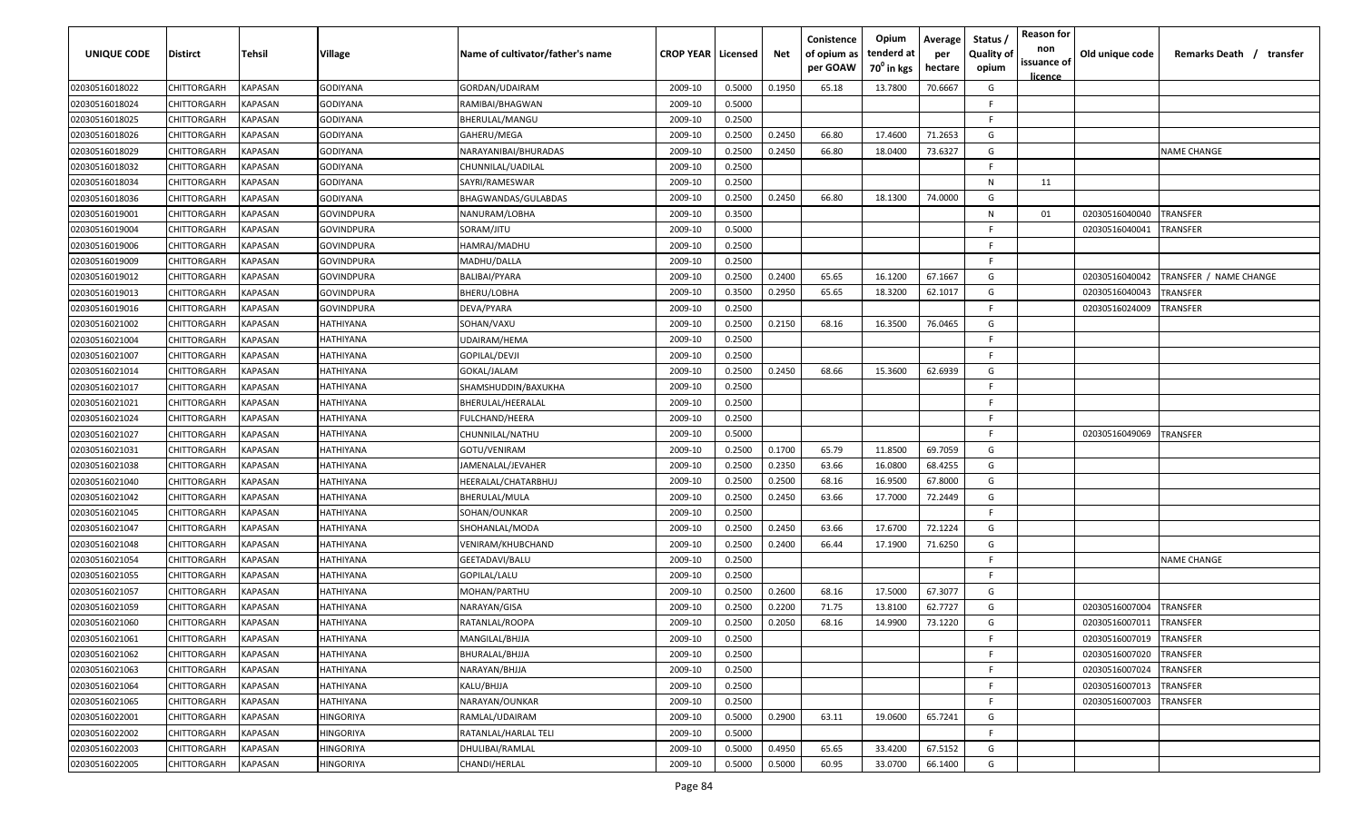| UNIQUE CODE    | Distirct           | Tehsil         | Village         | Name of cultivator/father's name | <b>CROP YEAR   Licensed</b> |        | Net    | Conistence<br>of opium as<br>per GOAW | Opium<br>tenderd at<br>70 <sup>°</sup> in kgs | Average<br>per<br>hectare | Status,<br><b>Quality of</b><br>opium | <b>Reason for</b><br>non<br>issuance of<br>licence | Old unique code | Remarks Death / transfer |
|----------------|--------------------|----------------|-----------------|----------------------------------|-----------------------------|--------|--------|---------------------------------------|-----------------------------------------------|---------------------------|---------------------------------------|----------------------------------------------------|-----------------|--------------------------|
| 02030516018022 | CHITTORGARH        | <b>KAPASAN</b> | <b>GODIYANA</b> | GORDAN/UDAIRAM                   | 2009-10                     | 0.5000 | 0.1950 | 65.18                                 | 13.7800                                       | 70.6667                   | G                                     |                                                    |                 |                          |
| 02030516018024 | CHITTORGARH        | <b>KAPASAN</b> | GODIYANA        | RAMIBAI/BHAGWAN                  | 2009-10                     | 0.5000 |        |                                       |                                               |                           | E                                     |                                                    |                 |                          |
| 02030516018025 | CHITTORGARH        | <b>KAPASAN</b> | GODIYANA        | BHERULAL/MANGU                   | 2009-10                     | 0.2500 |        |                                       |                                               |                           | F.                                    |                                                    |                 |                          |
| 02030516018026 | CHITTORGARH        | <b>KAPASAN</b> | GODIYANA        | GAHERU/MEGA                      | 2009-10                     | 0.2500 | 0.2450 | 66.80                                 | 17.4600                                       | 71.2653                   | G                                     |                                                    |                 |                          |
| 02030516018029 | CHITTORGARH        | KAPASAN        | GODIYANA        | NARAYANIBAI/BHURADAS             | 2009-10                     | 0.2500 | 0.2450 | 66.80                                 | 18.0400                                       | 73.6327                   | G                                     |                                                    |                 | <b>NAME CHANGE</b>       |
| 02030516018032 | CHITTORGARH        | KAPASAN        | GODIYANA        | CHUNNILAL/UADILAL                | 2009-10                     | 0.2500 |        |                                       |                                               |                           | F                                     |                                                    |                 |                          |
| 02030516018034 | CHITTORGARH        | KAPASAN        | GODIYANA        | SAYRI/RAMESWAR                   | 2009-10                     | 0.2500 |        |                                       |                                               |                           | N                                     | 11                                                 |                 |                          |
| 02030516018036 | CHITTORGARH        | KAPASAN        | GODIYANA        | BHAGWANDAS/GULABDAS              | 2009-10                     | 0.2500 | 0.2450 | 66.80                                 | 18.1300                                       | 74.0000                   | G                                     |                                                    |                 |                          |
| 02030516019001 | CHITTORGARH        | KAPASAN        | GOVINDPURA      | NANURAM/LOBHA                    | 2009-10                     | 0.3500 |        |                                       |                                               |                           | N                                     | 01                                                 | 02030516040040  | TRANSFER                 |
| 02030516019004 | CHITTORGARH        | KAPASAN        | GOVINDPURA      | SORAM/JITU                       | 2009-10                     | 0.5000 |        |                                       |                                               |                           | E                                     |                                                    | 02030516040041  | TRANSFER                 |
| 02030516019006 | CHITTORGARH        | KAPASAN        | GOVINDPURA      | HAMRAJ/MADHU                     | 2009-10                     | 0.2500 |        |                                       |                                               |                           | E                                     |                                                    |                 |                          |
| 02030516019009 | CHITTORGARH        | KAPASAN        | GOVINDPURA      | MADHU/DALLA                      | 2009-10                     | 0.2500 |        |                                       |                                               |                           | F                                     |                                                    |                 |                          |
| 02030516019012 | CHITTORGARH        | <b>KAPASAN</b> | GOVINDPURA      | BALIBAI/PYARA                    | 2009-10                     | 0.2500 | 0.2400 | 65.65                                 | 16.1200                                       | 67.1667                   | G                                     |                                                    | 02030516040042  | TRANSFER / NAME CHANGE   |
| 02030516019013 | CHITTORGARH        | KAPASAN        | GOVINDPURA      | BHERU/LOBHA                      | 2009-10                     | 0.3500 | 0.2950 | 65.65                                 | 18.3200                                       | 62.1017                   | G                                     |                                                    | 02030516040043  | TRANSFER                 |
| 02030516019016 | CHITTORGARH        | <b>KAPASAN</b> | GOVINDPURA      | DEVA/PYARA                       | 2009-10                     | 0.2500 |        |                                       |                                               |                           | F                                     |                                                    | 02030516024009  | TRANSFER                 |
| 02030516021002 | CHITTORGARH        | <b>KAPASAN</b> | HATHIYANA       | SOHAN/VAXU                       | 2009-10                     | 0.2500 | 0.2150 | 68.16                                 | 16.3500                                       | 76.0465                   | G                                     |                                                    |                 |                          |
| 02030516021004 | CHITTORGARH        | <b>KAPASAN</b> | HATHIYANA       | UDAIRAM/HEMA                     | 2009-10                     | 0.2500 |        |                                       |                                               |                           | E                                     |                                                    |                 |                          |
| 02030516021007 | CHITTORGARH        | KAPASAN        | HATHIYANA       | GOPILAL/DEVJI                    | 2009-10                     | 0.2500 |        |                                       |                                               |                           | F                                     |                                                    |                 |                          |
| 02030516021014 | CHITTORGARH        | KAPASAN        | HATHIYANA       | GOKAL/JALAM                      | 2009-10                     | 0.2500 | 0.2450 | 68.66                                 | 15.3600                                       | 62.6939                   | G                                     |                                                    |                 |                          |
| 02030516021017 | CHITTORGARH        | <b>KAPASAN</b> | HATHIYANA       | SHAMSHUDDIN/BAXUKHA              | 2009-10                     | 0.2500 |        |                                       |                                               |                           | F                                     |                                                    |                 |                          |
| 02030516021021 | CHITTORGARH        | KAPASAN        | HATHIYANA       | BHERULAL/HEERALAL                | 2009-10                     | 0.2500 |        |                                       |                                               |                           | E                                     |                                                    |                 |                          |
| 02030516021024 | CHITTORGARH        | KAPASAN        | HATHIYANA       | FULCHAND/HEERA                   | 2009-10                     | 0.2500 |        |                                       |                                               |                           |                                       |                                                    |                 |                          |
| 02030516021027 | CHITTORGARH        | KAPASAN        | HATHIYANA       | CHUNNILAL/NATHU                  | 2009-10                     | 0.5000 |        |                                       |                                               |                           | E                                     |                                                    | 02030516049069  | TRANSFER                 |
| 02030516021031 | CHITTORGARH        | KAPASAN        | HATHIYANA       | GOTU/VENIRAM                     | 2009-10                     | 0.2500 | 0.1700 | 65.79                                 | 11.8500                                       | 69.7059                   | G                                     |                                                    |                 |                          |
| 02030516021038 | CHITTORGARH        | <b>KAPASAN</b> | HATHIYANA       | JAMENALAL/JEVAHER                | 2009-10                     | 0.2500 | 0.2350 | 63.66                                 | 16.0800                                       | 68.4255                   | G                                     |                                                    |                 |                          |
| 02030516021040 | CHITTORGARH        | KAPASAN        | HATHIYANA       | HEERALAL/CHATARBHUJ              | 2009-10                     | 0.2500 | 0.2500 | 68.16                                 | 16.9500                                       | 67.8000                   | G                                     |                                                    |                 |                          |
| 02030516021042 | CHITTORGARH        | KAPASAN        | HATHIYANA       | BHERULAL/MULA                    | 2009-10                     | 0.2500 | 0.2450 | 63.66                                 | 17.7000                                       | 72.2449                   | G                                     |                                                    |                 |                          |
| 02030516021045 | CHITTORGARH        | KAPASAN        | HATHIYANA       | SOHAN/OUNKAR                     | 2009-10                     | 0.2500 |        |                                       |                                               |                           | F.                                    |                                                    |                 |                          |
| 02030516021047 | CHITTORGARH        | KAPASAN        | HATHIYANA       | SHOHANLAL/MODA                   | 2009-10                     | 0.2500 | 0.2450 | 63.66                                 | 17.6700                                       | 72.1224                   | G                                     |                                                    |                 |                          |
| 02030516021048 | CHITTORGARH        | <b>KAPASAN</b> | HATHIYANA       | VENIRAM/KHUBCHAND                | 2009-10                     | 0.2500 | 0.2400 | 66.44                                 | 17.1900                                       | 71.6250                   | G                                     |                                                    |                 |                          |
| 02030516021054 | CHITTORGARH        | KAPASAN        | HATHIYANA       | GEETADAVI/BALU                   | 2009-10                     | 0.2500 |        |                                       |                                               |                           | E                                     |                                                    |                 | <b>NAME CHANGE</b>       |
| 02030516021055 | CHITTORGARH        | <b>KAPASAN</b> | HATHIYANA       | GOPILAL/LALU                     | 2009-10                     | 0.2500 |        |                                       |                                               |                           | E                                     |                                                    |                 |                          |
| 02030516021057 | CHITTORGARH        | <b>KAPASAN</b> | HATHIYANA       | MOHAN/PARTHU                     | 2009-10                     | 0.2500 | 0.2600 | 68.16                                 | 17.5000                                       | 67.3077                   | G                                     |                                                    |                 |                          |
| 02030516021059 | CHITTORGARH        | <b>KAPASAN</b> | HATHIYANA       | NARAYAN/GISA                     | 2009-10                     | 0.2500 | 0.2200 | 71.75                                 | 13.8100                                       | 62.7727                   | G                                     |                                                    | 02030516007004  | TRANSFER                 |
| 02030516021060 | <b>CHITTORGARH</b> | <b>KAPASAN</b> | HATHIYANA       | RATANLAL/ROOPA                   | 2009-10                     | 0.2500 | 0.2050 | 68.16                                 | 14.9900                                       | 73.1220                   | G                                     |                                                    | 02030516007011  | TRANSFER                 |
| 02030516021061 | CHITTORGARH        | <b>KAPASAN</b> | HATHIYANA       | MANGILAL/BHJJA                   | 2009-10                     | 0.2500 |        |                                       |                                               |                           | F                                     |                                                    | 02030516007019  | <b>TRANSFER</b>          |
| 02030516021062 | <b>CHITTORGARH</b> | <b>KAPASAN</b> | HATHIYANA       | BHURALAL/BHJJA                   | 2009-10                     | 0.2500 |        |                                       |                                               |                           | F                                     |                                                    | 02030516007020  | <b>TRANSFER</b>          |
| 02030516021063 | <b>CHITTORGARH</b> | <b>KAPASAN</b> | HATHIYANA       | NARAYAN/BHJJA                    | 2009-10                     | 0.2500 |        |                                       |                                               |                           | E                                     |                                                    | 02030516007024  | <b>TRANSFER</b>          |
| 02030516021064 | <b>CHITTORGARH</b> | <b>KAPASAN</b> | HATHIYANA       | KALU/BHJJA                       | 2009-10                     | 0.2500 |        |                                       |                                               |                           | E                                     |                                                    | 02030516007013  | <b>TRANSFER</b>          |
| 02030516021065 | CHITTORGARH        | KAPASAN        | HATHIYANA       | NARAYAN/OUNKAR                   | 2009-10                     | 0.2500 |        |                                       |                                               |                           | F                                     |                                                    | 02030516007003  | TRANSFER                 |
| 02030516022001 | CHITTORGARH        | KAPASAN        | HINGORIYA       | RAMLAL/UDAIRAM                   | 2009-10                     | 0.5000 | 0.2900 | 63.11                                 | 19.0600                                       | 65.7241                   | G                                     |                                                    |                 |                          |
| 02030516022002 | CHITTORGARH        | KAPASAN        | HINGORIYA       | RATANLAL/HARLAL TELI             | 2009-10                     | 0.5000 |        |                                       |                                               |                           | F.                                    |                                                    |                 |                          |
| 02030516022003 | CHITTORGARH        | <b>KAPASAN</b> | HINGORIYA       | DHULIBAI/RAMLAL                  | 2009-10                     | 0.5000 | 0.4950 | 65.65                                 | 33.4200                                       | 67.5152                   | G                                     |                                                    |                 |                          |
| 02030516022005 | <b>CHITTORGARH</b> | <b>KAPASAN</b> | HINGORIYA       | CHANDI/HERLAL                    | 2009-10                     | 0.5000 | 0.5000 | 60.95                                 | 33.0700                                       | 66.1400                   | G                                     |                                                    |                 |                          |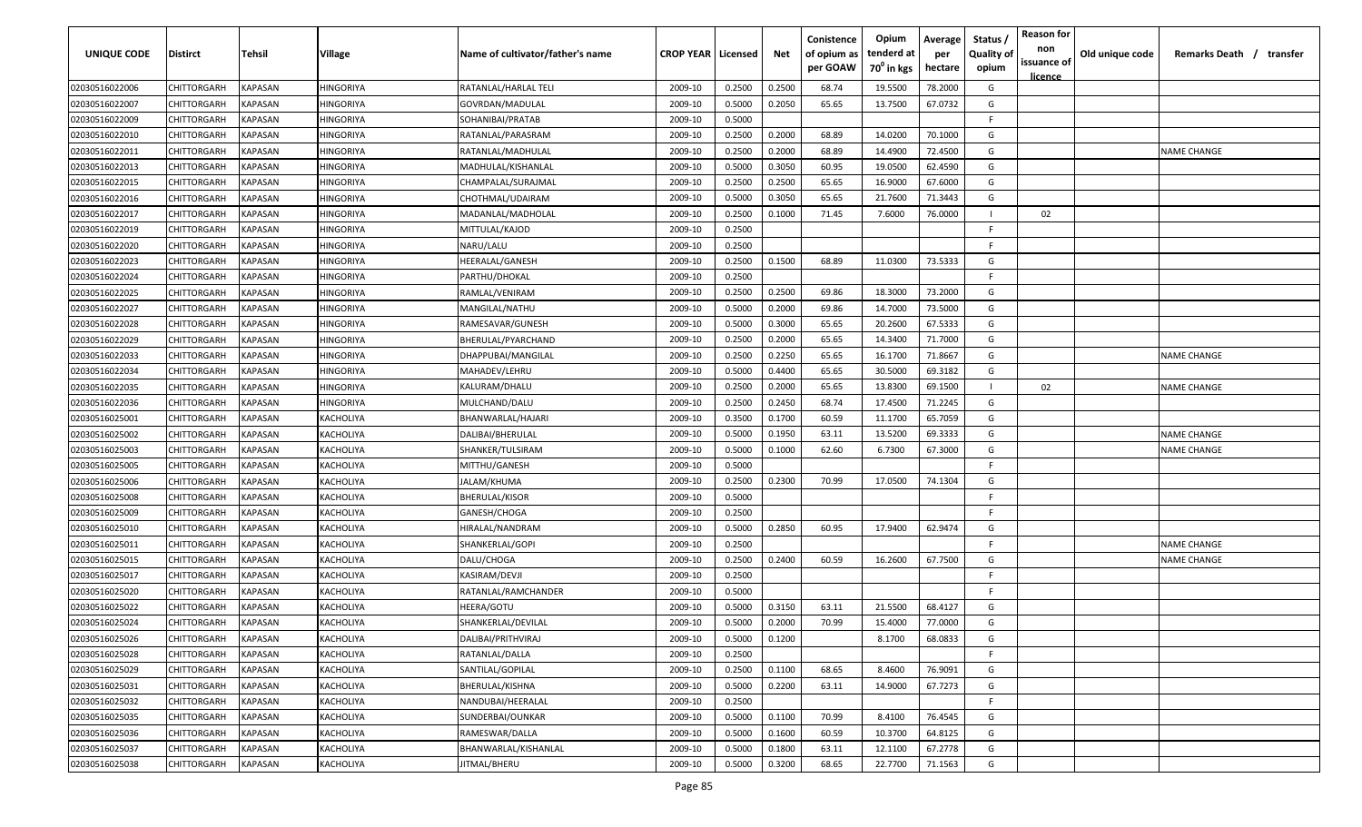| <b>UNIQUE CODE</b> | Distirct           | Tehsil         | Village          | Name of cultivator/father's name | <b>CROP YEAR   Licensed</b> |        | Net    | Conistence<br>of opium as<br>per GOAW | Opium<br>tenderd at<br>70 <sup>°</sup> in kgs | Average<br>per<br>hectare | Status,<br><b>Quality of</b><br>opium | <b>Reason for</b><br>non<br>issuance of<br>licence | Old unique code | Remarks Death / transfer |
|--------------------|--------------------|----------------|------------------|----------------------------------|-----------------------------|--------|--------|---------------------------------------|-----------------------------------------------|---------------------------|---------------------------------------|----------------------------------------------------|-----------------|--------------------------|
| 02030516022006     | CHITTORGARH        | KAPASAN        | HINGORIYA        | RATANLAL/HARLAL TELI             | 2009-10                     | 0.2500 | 0.2500 | 68.74                                 | 19.5500                                       | 78.2000                   | G                                     |                                                    |                 |                          |
| 02030516022007     | CHITTORGARH        | KAPASAN        | HINGORIYA        | GOVRDAN/MADULAL                  | 2009-10                     | 0.5000 | 0.2050 | 65.65                                 | 13.7500                                       | 67.0732                   | G                                     |                                                    |                 |                          |
| 02030516022009     | CHITTORGARH        | <b>KAPASAN</b> | HINGORIYA        | SOHANIBAI/PRATAB                 | 2009-10                     | 0.5000 |        |                                       |                                               |                           | E                                     |                                                    |                 |                          |
| 02030516022010     | CHITTORGARH        | <b>KAPASAN</b> | HINGORIYA        | RATANLAL/PARASRAM                | 2009-10                     | 0.2500 | 0.2000 | 68.89                                 | 14.0200                                       | 70.1000                   | G                                     |                                                    |                 |                          |
| 02030516022011     | CHITTORGARH        | KAPASAN        | HINGORIYA        | RATANLAL/MADHULAL                | 2009-10                     | 0.2500 | 0.2000 | 68.89                                 | 14.4900                                       | 72.4500                   | G                                     |                                                    |                 | <b>NAME CHANGE</b>       |
| 02030516022013     | CHITTORGARH        | KAPASAN        | HINGORIYA        | MADHULAL/KISHANLAL               | 2009-10                     | 0.5000 | 0.3050 | 60.95                                 | 19.0500                                       | 62.4590                   | G                                     |                                                    |                 |                          |
| 02030516022015     | CHITTORGARH        | KAPASAN        | HINGORIYA        | CHAMPALAL/SURAJMAL               | 2009-10                     | 0.2500 | 0.2500 | 65.65                                 | 16.9000                                       | 67.6000                   | G                                     |                                                    |                 |                          |
| 02030516022016     | CHITTORGARH        | KAPASAN        | HINGORIYA        | CHOTHMAL/UDAIRAM                 | 2009-10                     | 0.5000 | 0.3050 | 65.65                                 | 21.7600                                       | 71.3443                   | G                                     |                                                    |                 |                          |
| 02030516022017     | CHITTORGARH        | KAPASAN        | HINGORIYA        | MADANLAL/MADHOLAL                | 2009-10                     | 0.2500 | 0.1000 | 71.45                                 | 7.6000                                        | 76.0000                   |                                       | 02                                                 |                 |                          |
| 02030516022019     | CHITTORGARH        | KAPASAN        | HINGORIYA        | MITTULAL/KAJOD                   | 2009-10                     | 0.2500 |        |                                       |                                               |                           | F                                     |                                                    |                 |                          |
| 02030516022020     | CHITTORGARH        | KAPASAN        | HINGORIYA        | NARU/LALU                        | 2009-10                     | 0.2500 |        |                                       |                                               |                           | E                                     |                                                    |                 |                          |
| 02030516022023     | CHITTORGARH        | KAPASAN        | HINGORIYA        | HEERALAL/GANESH                  | 2009-10                     | 0.2500 | 0.1500 | 68.89                                 | 11.0300                                       | 73.5333                   | G                                     |                                                    |                 |                          |
| 02030516022024     | CHITTORGARH        | <b>KAPASAN</b> | HINGORIYA        | PARTHU/DHOKAL                    | 2009-10                     | 0.2500 |        |                                       |                                               |                           | E                                     |                                                    |                 |                          |
| 02030516022025     | CHITTORGARH        | KAPASAN        | HINGORIYA        | RAMLAL/VENIRAM                   | 2009-10                     | 0.2500 | 0.2500 | 69.86                                 | 18.3000                                       | 73.2000                   | G                                     |                                                    |                 |                          |
| 02030516022027     | CHITTORGARH        | KAPASAN        | <b>IINGORIYA</b> | MANGILAL/NATHU                   | 2009-10                     | 0.5000 | 0.2000 | 69.86                                 | 14.7000                                       | 73.5000                   | G                                     |                                                    |                 |                          |
| 02030516022028     | CHITTORGARH        | <b>KAPASAN</b> | HINGORIYA        | RAMESAVAR/GUNESH                 | 2009-10                     | 0.5000 | 0.3000 | 65.65                                 | 20.2600                                       | 67.5333                   | G                                     |                                                    |                 |                          |
| 02030516022029     | CHITTORGARH        | KAPASAN        | HINGORIYA        | BHERULAL/PYARCHAND               | 2009-10                     | 0.2500 | 0.2000 | 65.65                                 | 14.3400                                       | 71.7000                   | G                                     |                                                    |                 |                          |
| 02030516022033     | CHITTORGARH        | KAPASAN        | HINGORIYA        | DHAPPUBAI/MANGILAL               | 2009-10                     | 0.2500 | 0.2250 | 65.65                                 | 16.1700                                       | 71.8667                   | G                                     |                                                    |                 | <b>NAME CHANGE</b>       |
| 02030516022034     | CHITTORGARH        | KAPASAN        | HINGORIYA        | MAHADEV/LEHRU                    | 2009-10                     | 0.5000 | 0.4400 | 65.65                                 | 30.5000                                       | 69.3182                   | G                                     |                                                    |                 |                          |
| 02030516022035     | CHITTORGARH        | KAPASAN        | HINGORIYA        | KALURAM/DHALU                    | 2009-10                     | 0.2500 | 0.2000 | 65.65                                 | 13.8300                                       | 69.1500                   |                                       | 02                                                 |                 | <b>NAME CHANGE</b>       |
| 02030516022036     | CHITTORGARH        | KAPASAN        | HINGORIYA        | MULCHAND/DALU                    | 2009-10                     | 0.2500 | 0.2450 | 68.74                                 | 17.4500                                       | 71.2245                   | G                                     |                                                    |                 |                          |
| 02030516025001     | CHITTORGARH        | KAPASAN        | KACHOLIYA        | BHANWARLAL/HAJARI                | 2009-10                     | 0.3500 | 0.1700 | 60.59                                 | 11.1700                                       | 65.7059                   | G                                     |                                                    |                 |                          |
| 02030516025002     | CHITTORGARH        | KAPASAN        | KACHOLIYA        | DALIBAI/BHERULAL                 | 2009-10                     | 0.5000 | 0.1950 | 63.11                                 | 13.5200                                       | 69.3333                   | G                                     |                                                    |                 | <b>NAME CHANGE</b>       |
| 02030516025003     | CHITTORGARH        | KAPASAN        | KACHOLIYA        | SHANKER/TULSIRAM                 | 2009-10                     | 0.5000 | 0.1000 | 62.60                                 | 6.7300                                        | 67.3000                   | G                                     |                                                    |                 | <b>NAME CHANGE</b>       |
| 02030516025005     | CHITTORGARH        | KAPASAN        | KACHOLIYA        | MITTHU/GANESH                    | 2009-10                     | 0.5000 |        |                                       |                                               |                           | E                                     |                                                    |                 |                          |
| 02030516025006     | CHITTORGARH        | KAPASAN        | KACHOLIYA        | JALAM/KHUMA                      | 2009-10                     | 0.2500 | 0.2300 | 70.99                                 | 17.0500                                       | 74.1304                   | G                                     |                                                    |                 |                          |
| 02030516025008     | CHITTORGARH        | KAPASAN        | KACHOLIYA        | BHERULAL/KISOR                   | 2009-10                     | 0.5000 |        |                                       |                                               |                           | E                                     |                                                    |                 |                          |
| 02030516025009     | CHITTORGARH        | KAPASAN        | <b>(ACHOLIYA</b> | GANESH/CHOGA                     | 2009-10                     | 0.2500 |        |                                       |                                               |                           | F.                                    |                                                    |                 |                          |
| 02030516025010     | CHITTORGARH        | KAPASAN        | KACHOLIYA        | HIRALAL/NANDRAM                  | 2009-10                     | 0.5000 | 0.2850 | 60.95                                 | 17.9400                                       | 62.9474                   | G                                     |                                                    |                 |                          |
| 02030516025011     | CHITTORGARH        | KAPASAN        | KACHOLIYA        | SHANKERLAL/GOPI                  | 2009-10                     | 0.2500 |        |                                       |                                               |                           | E                                     |                                                    |                 | <b>NAME CHANGE</b>       |
| 02030516025015     | CHITTORGARH        | KAPASAN        | KACHOLIYA        | DALU/CHOGA                       | 2009-10                     | 0.2500 | 0.2400 | 60.59                                 | 16.2600                                       | 67.7500                   | G                                     |                                                    |                 | <b>NAME CHANGE</b>       |
| 02030516025017     | CHITTORGARH        | KAPASAN        | KACHOLIYA        | KASIRAM/DEVJI                    | 2009-10                     | 0.2500 |        |                                       |                                               |                           | E                                     |                                                    |                 |                          |
| 02030516025020     | CHITTORGARH        | KAPASAN        | KACHOLIYA        | RATANLAL/RAMCHANDER              | 2009-10                     | 0.5000 |        |                                       |                                               |                           | E                                     |                                                    |                 |                          |
| 02030516025022     | CHITTORGARH        | KAPASAN        | KACHOLIYA        | HEERA/GOTU                       | 2009-10                     | 0.5000 | 0.3150 | 63.11                                 | 21.5500                                       | 68.4127                   | G                                     |                                                    |                 |                          |
| 02030516025024     | <b>CHITTORGARH</b> | KAPASAN        | KACHOLIYA        | SHANKERLAL/DEVILAL               | 2009-10                     | 0.5000 | 0.2000 | 70.99                                 | 15.4000                                       | 77.0000                   | G                                     |                                                    |                 |                          |
| 02030516025026     | CHITTORGARH        | <b>KAPASAN</b> | KACHOLIYA        | DALIBAI/PRITHVIRAJ               | 2009-10                     | 0.5000 | 0.1200 |                                       | 8.1700                                        | 68.0833                   | G                                     |                                                    |                 |                          |
| 02030516025028     | <b>CHITTORGARH</b> | <b>KAPASAN</b> | KACHOLIYA        | RATANLAL/DALLA                   | 2009-10                     | 0.2500 |        |                                       |                                               |                           | F.                                    |                                                    |                 |                          |
| 02030516025029     | CHITTORGARH        | <b>KAPASAN</b> | KACHOLIYA        | SANTILAL/GOPILAL                 | 2009-10                     | 0.2500 | 0.1100 | 68.65                                 | 8.4600                                        | 76.9091                   | G                                     |                                                    |                 |                          |
| 02030516025031     | <b>CHITTORGARH</b> | <b>KAPASAN</b> | KACHOLIYA        | BHERULAL/KISHNA                  | 2009-10                     | 0.5000 | 0.2200 | 63.11                                 | 14.9000                                       | 67.7273                   | G                                     |                                                    |                 |                          |
| 02030516025032     | CHITTORGARH        | KAPASAN        | KACHOLIYA        | NANDUBAI/HEERALAL                | 2009-10                     | 0.2500 |        |                                       |                                               |                           | F.                                    |                                                    |                 |                          |
| 02030516025035     | CHITTORGARH        | KAPASAN        | KACHOLIYA        | SUNDERBAI/OUNKAR                 | 2009-10                     | 0.5000 | 0.1100 | 70.99                                 | 8.4100                                        | 76.4545                   | G                                     |                                                    |                 |                          |
| 02030516025036     | CHITTORGARH        | KAPASAN        | KACHOLIYA        | RAMESWAR/DALLA                   | 2009-10                     | 0.5000 | 0.1600 | 60.59                                 | 10.3700                                       | 64.8125                   | G                                     |                                                    |                 |                          |
| 02030516025037     | CHITTORGARH        | <b>KAPASAN</b> | KACHOLIYA        | BHANWARLAL/KISHANLAL             | 2009-10                     | 0.5000 | 0.1800 | 63.11                                 | 12.1100                                       | 67.2778                   | G                                     |                                                    |                 |                          |
| 02030516025038     | <b>CHITTORGARH</b> | <b>KAPASAN</b> | KACHOLIYA        | JITMAL/BHERU                     | 2009-10                     | 0.5000 | 0.3200 | 68.65                                 | 22.7700                                       | 71.1563                   | G                                     |                                                    |                 |                          |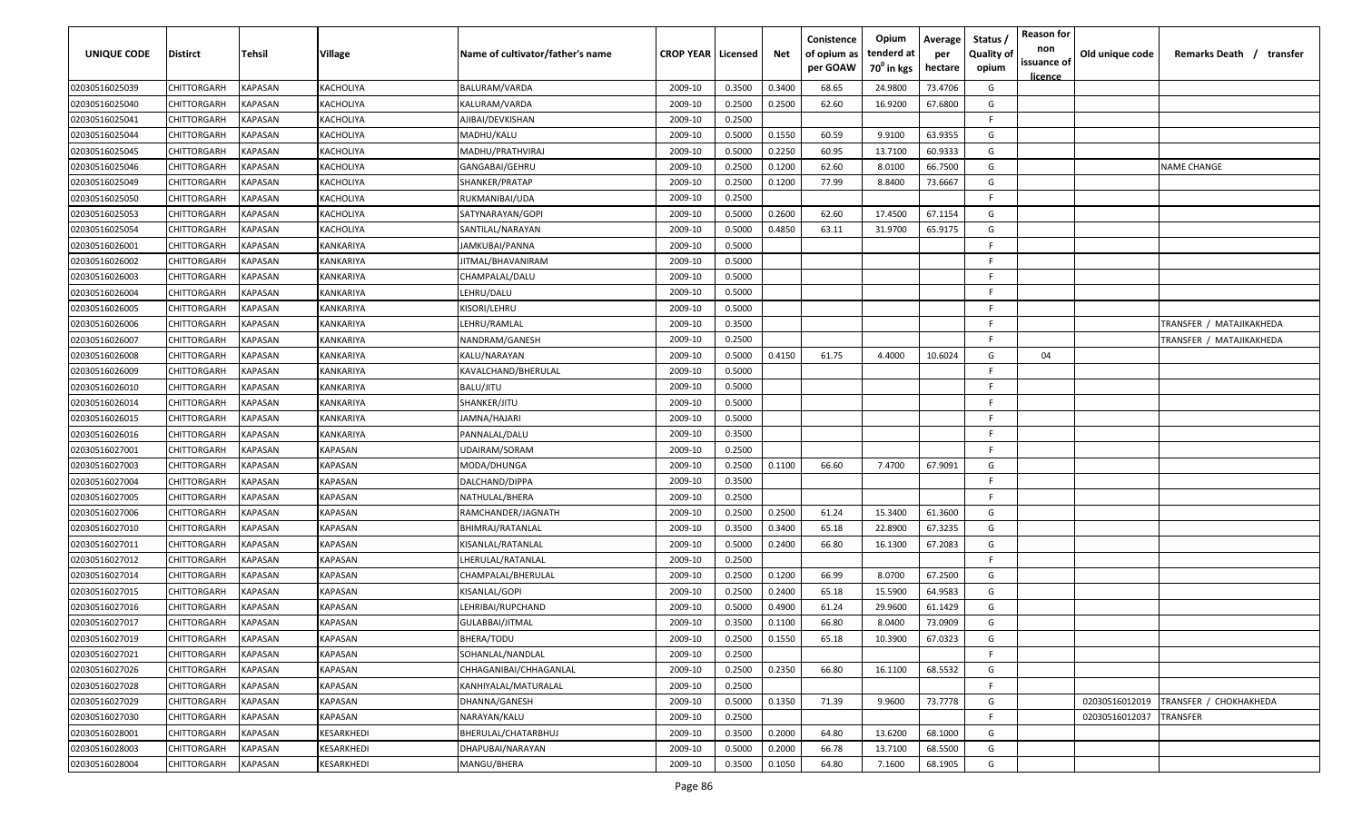| <b>UNIQUE CODE</b> | Distirct           | Tehsil         | Village               | Name of cultivator/father's name      | <b>CROP YEAR   Licensed</b> |        | Net    | Conistence<br>of opium as<br>per GOAW | Opium<br>tenderd at<br>70 <sup>°</sup> in kgs | Average<br>per<br>hectare | Status,<br><b>Quality of</b><br>opium | <b>Reason for</b><br>non<br>issuance of<br>licence | Old unique code | Remarks Death / transfer |
|--------------------|--------------------|----------------|-----------------------|---------------------------------------|-----------------------------|--------|--------|---------------------------------------|-----------------------------------------------|---------------------------|---------------------------------------|----------------------------------------------------|-----------------|--------------------------|
| 02030516025039     | CHITTORGARH        | KAPASAN        | KACHOLIYA             | BALURAM/VARDA                         | 2009-10                     | 0.3500 | 0.3400 | 68.65                                 | 24.9800                                       | 73.4706                   | G                                     |                                                    |                 |                          |
| 02030516025040     | CHITTORGARH        | KAPASAN        | KACHOLIYA             | KALURAM/VARDA                         | 2009-10                     | 0.2500 | 0.2500 | 62.60                                 | 16.9200                                       | 67.6800                   | G                                     |                                                    |                 |                          |
| 02030516025041     | CHITTORGARH        | KAPASAN        | KACHOLIYA             | AJIBAI/DEVKISHAN                      | 2009-10                     | 0.2500 |        |                                       |                                               |                           | F                                     |                                                    |                 |                          |
| 02030516025044     | CHITTORGARH        | KAPASAN        | KACHOLIYA             | MADHU/KALU                            | 2009-10                     | 0.5000 | 0.1550 | 60.59                                 | 9.9100                                        | 63.9355                   | G                                     |                                                    |                 |                          |
| 02030516025045     | CHITTORGARH        | KAPASAN        | KACHOLIYA             | MADHU/PRATHVIRAJ                      | 2009-10                     | 0.5000 | 0.2250 | 60.95                                 | 13.7100                                       | 60.9333                   | G                                     |                                                    |                 |                          |
| 02030516025046     | CHITTORGARH        | KAPASAN        | KACHOLIYA             | GANGABAI/GEHRU                        | 2009-10                     | 0.2500 | 0.1200 | 62.60                                 | 8.0100                                        | 66.7500                   | G                                     |                                                    |                 | <b>NAME CHANGE</b>       |
| 02030516025049     | CHITTORGARH        | KAPASAN        | KACHOLIYA             | SHANKER/PRATAP                        | 2009-10                     | 0.2500 | 0.1200 | 77.99                                 | 8.8400                                        | 73.6667                   | G                                     |                                                    |                 |                          |
| 02030516025050     | CHITTORGARH        | KAPASAN        | KACHOLIYA             | RUKMANIBAI/UDA                        | 2009-10                     | 0.2500 |        |                                       |                                               |                           | F.                                    |                                                    |                 |                          |
| 02030516025053     | CHITTORGARH        | KAPASAN        | KACHOLIYA             | SATYNARAYAN/GOPI                      | 2009-10                     | 0.5000 | 0.2600 | 62.60                                 | 17.4500                                       | 67.1154                   | G                                     |                                                    |                 |                          |
| 02030516025054     | CHITTORGARH        | KAPASAN        | KACHOLIYA             | SANTILAL/NARAYAN                      | 2009-10                     | 0.5000 | 0.4850 | 63.11                                 | 31.9700                                       | 65.9175                   | G                                     |                                                    |                 |                          |
| 02030516026001     | CHITTORGARH        | KAPASAN        | KANKARIYA             | IAMKUBAI/PANNA                        | 2009-10                     | 0.5000 |        |                                       |                                               |                           | F                                     |                                                    |                 |                          |
| 02030516026002     | CHITTORGARH        | KAPASAN        | KANKARIYA             | ITMAL/BHAVANIRAM                      | 2009-10                     | 0.5000 |        |                                       |                                               |                           | F                                     |                                                    |                 |                          |
| 02030516026003     | CHITTORGARH        | KAPASAN        | KANKARIYA             | CHAMPALAL/DALU                        | 2009-10                     | 0.5000 |        |                                       |                                               |                           | F                                     |                                                    |                 |                          |
| 02030516026004     | CHITTORGARH        | KAPASAN        | KANKARIYA             | LEHRU/DALU                            | 2009-10                     | 0.5000 |        |                                       |                                               |                           | E                                     |                                                    |                 |                          |
| 02030516026005     | CHITTORGARH        | KAPASAN        | KANKARIYA             | <b><isori b="" lehru<=""></isori></b> | 2009-10                     | 0.5000 |        |                                       |                                               |                           | E                                     |                                                    |                 |                          |
| 02030516026006     | CHITTORGARH        | KAPASAN        | KANKARIYA             | LEHRU/RAMLAL                          | 2009-10                     | 0.3500 |        |                                       |                                               |                           | F                                     |                                                    |                 | TRANSFER / MATAJIKAKHEDA |
| 02030516026007     | CHITTORGARH        | <b>KAPASAN</b> | KANKARIYA             | NANDRAM/GANESH                        | 2009-10                     | 0.2500 |        |                                       |                                               |                           | E                                     |                                                    |                 | TRANSFER / MATAJIKAKHEDA |
| 02030516026008     | CHITTORGARH        | KAPASAN        | KANKARIYA             | KALU/NARAYAN                          | 2009-10                     | 0.5000 | 0.4150 | 61.75                                 | 4.4000                                        | 10.6024                   | G                                     | 04                                                 |                 |                          |
| 02030516026009     | CHITTORGARH        | KAPASAN        | KANKARIYA             | KAVALCHAND/BHERULAL                   | 2009-10                     | 0.5000 |        |                                       |                                               |                           | E                                     |                                                    |                 |                          |
| 02030516026010     | CHITTORGARH        | <b>KAPASAN</b> | KANKARIYA             | BALU/JITU                             | 2009-10                     | 0.5000 |        |                                       |                                               |                           |                                       |                                                    |                 |                          |
| 02030516026014     | CHITTORGARH        | KAPASAN        | KANKARIYA             | SHANKER/JITU                          | 2009-10                     | 0.5000 |        |                                       |                                               |                           |                                       |                                                    |                 |                          |
| 02030516026015     | CHITTORGARH        | KAPASAN        | KANKARIYA             | JAMNA/HAJARI                          | 2009-10                     | 0.5000 |        |                                       |                                               |                           |                                       |                                                    |                 |                          |
| 02030516026016     | CHITTORGARH        | KAPASAN        | KANKARIYA             | PANNALAL/DALU                         | 2009-10                     | 0.3500 |        |                                       |                                               |                           | E                                     |                                                    |                 |                          |
| 02030516027001     | CHITTORGARH        | KAPASAN        | KAPASAN               | UDAIRAM/SORAM                         | 2009-10                     | 0.2500 |        |                                       |                                               |                           | F                                     |                                                    |                 |                          |
| 02030516027003     | CHITTORGARH        | KAPASAN        | KAPASAN               | MODA/DHUNGA                           | 2009-10                     | 0.2500 | 0.1100 | 66.60                                 | 7.4700                                        | 67.9091                   | G                                     |                                                    |                 |                          |
| 02030516027004     | CHITTORGARH        | KAPASAN        | KAPASAN               | DALCHAND/DIPPA                        | 2009-10                     | 0.3500 |        |                                       |                                               |                           | E                                     |                                                    |                 |                          |
| 02030516027005     | CHITTORGARH        | KAPASAN        | KAPASAN               | NATHULAL/BHERA                        | 2009-10                     | 0.2500 |        |                                       |                                               |                           | E                                     |                                                    |                 |                          |
| 02030516027006     | CHITTORGARH        | KAPASAN        | <b><i>SAPASAN</i></b> | RAMCHANDER/JAGNATH                    | 2009-10                     | 0.2500 | 0.2500 | 61.24                                 | 15.3400                                       | 61.3600                   | G                                     |                                                    |                 |                          |
| 02030516027010     | CHITTORGARH        | KAPASAN        | <b><i>SAPASAN</i></b> | BHIMRAJ/RATANLAL                      | 2009-10                     | 0.3500 | 0.3400 | 65.18                                 | 22.8900                                       | 67.3235                   | G                                     |                                                    |                 |                          |
| 02030516027011     | CHITTORGARH        | <b>KAPASAN</b> | KAPASAN               | KISANLAL/RATANLAL                     | 2009-10                     | 0.5000 | 0.2400 | 66.80                                 | 16.1300                                       | 67.2083                   | G                                     |                                                    |                 |                          |
| 02030516027012     | CHITTORGARH        | KAPASAN        | KAPASAN               | LHERULAL/RATANLAL                     | 2009-10                     | 0.2500 |        |                                       |                                               |                           | E                                     |                                                    |                 |                          |
| 02030516027014     | CHITTORGARH        | KAPASAN        | KAPASAN               | CHAMPALAL/BHERULAL                    | 2009-10                     | 0.2500 | 0.1200 | 66.99                                 | 8.0700                                        | 67.2500                   | G                                     |                                                    |                 |                          |
| 02030516027015     | CHITTORGARH        | <b>KAPASAN</b> | KAPASAN               | KISANLAL/GOPI                         | 2009-10                     | 0.2500 | 0.2400 | 65.18                                 | 15.5900                                       | 64.9583                   | G                                     |                                                    |                 |                          |
| 02030516027016     | CHITTORGARH        | <b>KAPASAN</b> | KAPASAN               | LEHRIBAI/RUPCHAND                     | 2009-10                     | 0.5000 | 0.4900 | 61.24                                 | 29.9600                                       | 61.1429                   | G                                     |                                                    |                 |                          |
| 02030516027017     | <b>CHITTORGARH</b> | <b>KAPASAN</b> | KAPASAN               | GULABBAI/JITMAL                       | 2009-10                     | 0.3500 | 0.1100 | 66.80                                 | 8.0400                                        | 73.0909                   | G                                     |                                                    |                 |                          |
| 02030516027019     | CHITTORGARH        | <b>KAPASAN</b> | <b>KAPASAN</b>        | BHERA/TODU                            | 2009-10                     | 0.2500 | 0.1550 | 65.18                                 | 10.3900                                       | 67.0323                   | G                                     |                                                    |                 |                          |
| 02030516027021     | <b>CHITTORGARH</b> | <b>KAPASAN</b> | KAPASAN               | SOHANLAL/NANDLAL                      | 2009-10                     | 0.2500 |        |                                       |                                               |                           | F.                                    |                                                    |                 |                          |
| 02030516027026     | <b>CHITTORGARH</b> | <b>KAPASAN</b> | KAPASAN               | CHHAGANIBAI/CHHAGANLAL                | 2009-10                     | 0.2500 | 0.2350 | 66.80                                 | 16.1100                                       | 68.5532                   | G                                     |                                                    |                 |                          |
| 02030516027028     | <b>CHITTORGARH</b> | <b>KAPASAN</b> | KAPASAN               | KANHIYALAL/MATURALAL                  | 2009-10                     | 0.2500 |        |                                       |                                               |                           | F                                     |                                                    |                 |                          |
| 02030516027029     | CHITTORGARH        | KAPASAN        | KAPASAN               | DHANNA/GANESH                         | 2009-10                     | 0.5000 | 0.1350 | 71.39                                 | 9.9600                                        | 73.7778                   | G                                     |                                                    | 02030516012019  | TRANSFER / CHOKHAKHEDA   |
| 02030516027030     | CHITTORGARH        | KAPASAN        | KAPASAN               | NARAYAN/KALU                          | 2009-10                     | 0.2500 |        |                                       |                                               |                           | F.                                    |                                                    | 02030516012037  | TRANSFER                 |
| 02030516028001     | CHITTORGARH        | KAPASAN        | KESARKHEDI            | BHERULAL/CHATARBHUJ                   | 2009-10                     | 0.3500 | 0.2000 | 64.80                                 | 13.6200                                       | 68.1000                   | G                                     |                                                    |                 |                          |
| 02030516028003     | CHITTORGARH        | KAPASAN        | KESARKHEDI            | DHAPUBAI/NARAYAN                      | 2009-10                     | 0.5000 | 0.2000 | 66.78                                 | 13.7100                                       | 68.5500                   | G                                     |                                                    |                 |                          |
| 02030516028004     | <b>CHITTORGARH</b> | <b>KAPASAN</b> | KESARKHEDI            | MANGU/BHERA                           | 2009-10                     | 0.3500 | 0.1050 | 64.80                                 | 7.1600                                        | 68.1905                   | G                                     |                                                    |                 |                          |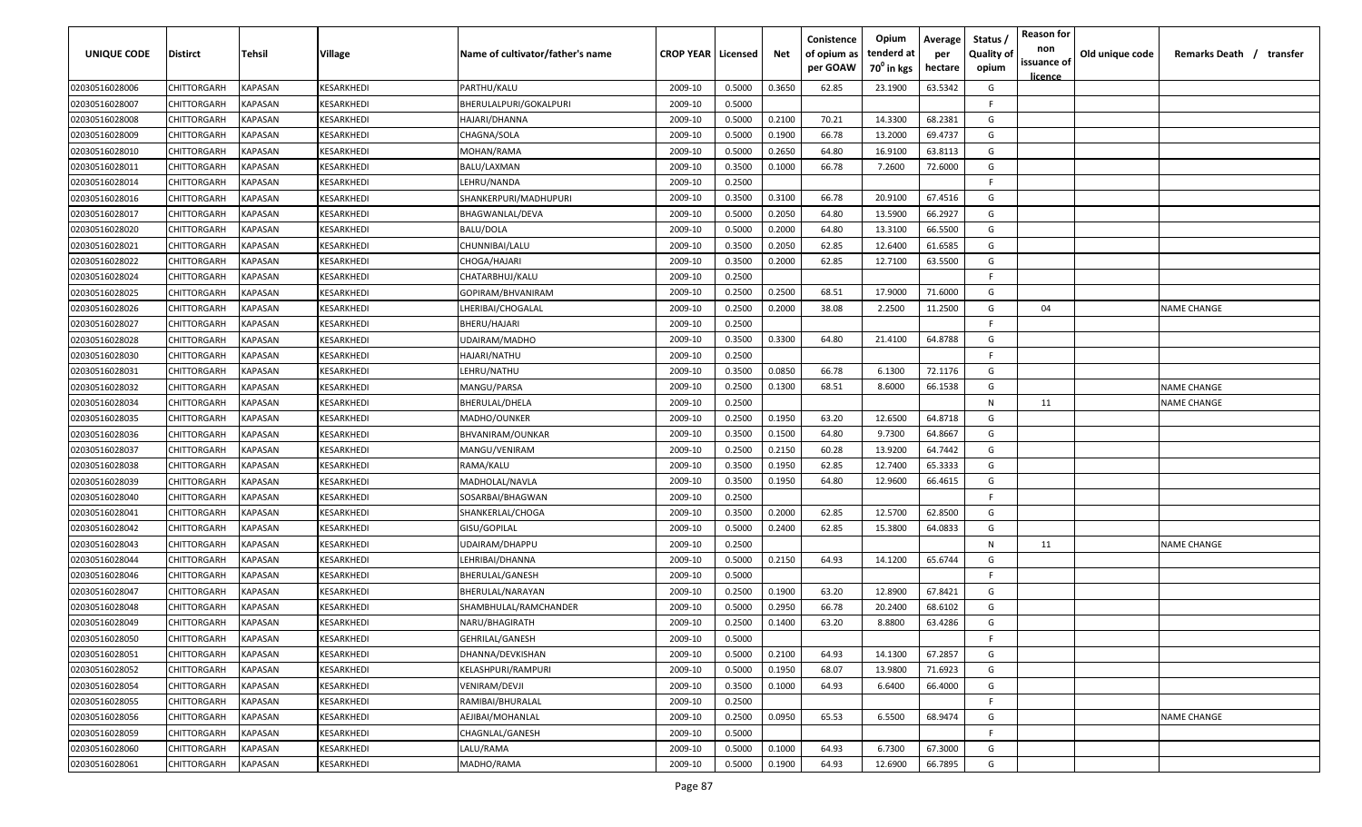| UNIQUE CODE    | Distirct           | Tehsil         | Village          | Name of cultivator/father's name | <b>CROP YEAR   Licensed</b> |        | Net    | Conistence<br>of opium as<br>per GOAW | Opium<br>tenderd at<br>70 <sup>0</sup> in kgs | Average<br>per<br>hectare | Status /<br><b>Quality of</b><br>opium | <b>Reason for</b><br>non<br>issuance of | Old unique code | Remarks Death / transfer |
|----------------|--------------------|----------------|------------------|----------------------------------|-----------------------------|--------|--------|---------------------------------------|-----------------------------------------------|---------------------------|----------------------------------------|-----------------------------------------|-----------------|--------------------------|
|                |                    |                |                  |                                  |                             |        |        |                                       |                                               |                           |                                        | <u>licence</u>                          |                 |                          |
| 02030516028006 | CHITTORGARH        | <b>KAPASAN</b> | KESARKHEDI       | PARTHU/KALU                      | 2009-10                     | 0.5000 | 0.3650 | 62.85                                 | 23.1900                                       | 63.5342                   | G                                      |                                         |                 |                          |
| 02030516028007 | CHITTORGARH        | KAPASAN        | KESARKHEDI       | BHERULALPURI/GOKALPURI           | 2009-10                     | 0.5000 |        |                                       |                                               |                           | -F.                                    |                                         |                 |                          |
| 02030516028008 | CHITTORGARH        | KAPASAN        | KESARKHEDI       | HAJARI/DHANNA                    | 2009-10                     | 0.5000 | 0.2100 | 70.21                                 | 14.3300                                       | 68.2381                   | G                                      |                                         |                 |                          |
| 02030516028009 | CHITTORGARH        | KAPASAN        | KESARKHEDI       | CHAGNA/SOLA                      | 2009-10                     | 0.5000 | 0.1900 | 66.78                                 | 13.2000                                       | 69.4737                   | G                                      |                                         |                 |                          |
| 02030516028010 | CHITTORGARH        | KAPASAN        | KESARKHEDI       | MOHAN/RAMA                       | 2009-10                     | 0.5000 | 0.2650 | 64.80                                 | 16.9100                                       | 63.8113                   | G                                      |                                         |                 |                          |
| 02030516028011 | CHITTORGARH        | KAPASAN        | KESARKHEDI       | BALU/LAXMAN                      | 2009-10                     | 0.3500 | 0.1000 | 66.78                                 | 7.2600                                        | 72.6000                   | G                                      |                                         |                 |                          |
| 02030516028014 | CHITTORGARH        | KAPASAN        | KESARKHEDI       | LEHRU/NANDA                      | 2009-10                     | 0.2500 |        |                                       |                                               |                           | -F.                                    |                                         |                 |                          |
| 02030516028016 | CHITTORGARH        | KAPASAN        | KESARKHEDI       | SHANKERPURI/MADHUPURI            | 2009-10                     | 0.3500 | 0.3100 | 66.78                                 | 20.9100                                       | 67.4516                   | G                                      |                                         |                 |                          |
| 02030516028017 | CHITTORGARH        | KAPASAN        | KESARKHEDI       | BHAGWANLAL/DEVA                  | 2009-10                     | 0.5000 | 0.2050 | 64.80                                 | 13.5900                                       | 66.2927                   | G                                      |                                         |                 |                          |
| 02030516028020 | CHITTORGARH        | KAPASAN        | KESARKHEDI       | BALU/DOLA                        | 2009-10                     | 0.5000 | 0.2000 | 64.80                                 | 13.3100                                       | 66.5500                   | G                                      |                                         |                 |                          |
| 02030516028021 | CHITTORGARH        | KAPASAN        | <b>ESARKHEDI</b> | CHUNNIBAI/LALU                   | 2009-10                     | 0.3500 | 0.2050 | 62.85                                 | 12.6400                                       | 61.6585                   | G                                      |                                         |                 |                          |
| 02030516028022 | CHITTORGARH        | KAPASAN        | KESARKHEDI       | CHOGA/HAJARI                     | 2009-10                     | 0.3500 | 0.2000 | 62.85                                 | 12.7100                                       | 63.5500                   | G                                      |                                         |                 |                          |
| 02030516028024 | CHITTORGARH        | KAPASAN        | KESARKHEDI       | CHATARBHUJ/KALU                  | 2009-10                     | 0.2500 |        |                                       |                                               |                           | -F.                                    |                                         |                 |                          |
| 02030516028025 | CHITTORGARH        | KAPASAN        | KESARKHEDI       | GOPIRAM/BHVANIRAM                | 2009-10                     | 0.2500 | 0.2500 | 68.51                                 | 17.9000                                       | 71.6000                   | G                                      |                                         |                 |                          |
| 02030516028026 | CHITTORGARH        | KAPASAN        | KESARKHEDI       | LHERIBAI/CHOGALAL                | 2009-10                     | 0.2500 | 0.2000 | 38.08                                 | 2.2500                                        | 11.2500                   | G                                      | 04                                      |                 | NAME CHANGE              |
| 02030516028027 | CHITTORGARH        | KAPASAN        | KESARKHEDI       | BHERU/HAJARI                     | 2009-10                     | 0.2500 |        |                                       |                                               |                           | F                                      |                                         |                 |                          |
| 02030516028028 | CHITTORGARH        | KAPASAN        | KESARKHEDI       | UDAIRAM/MADHO                    | 2009-10                     | 0.3500 | 0.3300 | 64.80                                 | 21.4100                                       | 64.8788                   | G                                      |                                         |                 |                          |
| 02030516028030 | CHITTORGARH        | KAPASAN        | KESARKHEDI       | HAJARI/NATHU                     | 2009-10                     | 0.2500 |        |                                       |                                               |                           | -F.                                    |                                         |                 |                          |
| 02030516028031 | CHITTORGARH        | KAPASAN        | KESARKHEDI       | LEHRU/NATHU                      | 2009-10                     | 0.3500 | 0.0850 | 66.78                                 | 6.1300                                        | 72.1176                   | G                                      |                                         |                 |                          |
| 02030516028032 | CHITTORGARH        | KAPASAN        | KESARKHEDI       | MANGU/PARSA                      | 2009-10                     | 0.2500 | 0.1300 | 68.51                                 | 8.6000                                        | 66.1538                   | G                                      |                                         |                 | <b>NAME CHANGE</b>       |
| 02030516028034 | CHITTORGARH        | KAPASAN        | KESARKHEDI       | BHERULAL/DHELA                   | 2009-10                     | 0.2500 |        |                                       |                                               |                           | N                                      | 11                                      |                 | <b>NAME CHANGE</b>       |
| 02030516028035 | CHITTORGARH        | KAPASAN        | KESARKHEDI       | MADHO/OUNKER                     | 2009-10                     | 0.2500 | 0.1950 | 63.20                                 | 12.6500                                       | 64.8718                   | G                                      |                                         |                 |                          |
| 02030516028036 | CHITTORGARH        | KAPASAN        | KESARKHEDI       | BHVANIRAM/OUNKAR                 | 2009-10                     | 0.3500 | 0.1500 | 64.80                                 | 9.7300                                        | 64.8667                   | G                                      |                                         |                 |                          |
| 02030516028037 | CHITTORGARH        | KAPASAN        | KESARKHEDI       | MANGU/VENIRAM                    | 2009-10                     | 0.2500 | 0.2150 | 60.28                                 | 13.9200                                       | 64.7442                   | G                                      |                                         |                 |                          |
| 02030516028038 | CHITTORGARH        | KAPASAN        | KESARKHEDI       | RAMA/KALU                        | 2009-10                     | 0.3500 | 0.1950 | 62.85                                 | 12.7400                                       | 65.3333                   | G                                      |                                         |                 |                          |
| 02030516028039 | CHITTORGARH        | KAPASAN        | KESARKHEDI       | MADHOLAL/NAVLA                   | 2009-10                     | 0.3500 | 0.1950 | 64.80                                 | 12.9600                                       | 66.4615                   | G                                      |                                         |                 |                          |
| 02030516028040 | CHITTORGARH        | KAPASAN        | KESARKHEDI       | SOSARBAI/BHAGWAN                 | 2009-10                     | 0.2500 |        |                                       |                                               |                           | -F.                                    |                                         |                 |                          |
| 02030516028041 | CHITTORGARH        | KAPASAN        | <b>ESARKHEDI</b> | SHANKERLAL/CHOGA                 | 2009-10                     | 0.3500 | 0.2000 | 62.85                                 | 12.5700                                       | 62.8500                   | G                                      |                                         |                 |                          |
| 02030516028042 | CHITTORGARH        | KAPASAN        | KESARKHEDI       | GISU/GOPILAL                     | 2009-10                     | 0.5000 | 0.2400 | 62.85                                 | 15.3800                                       | 64.0833                   | G                                      |                                         |                 |                          |
| 02030516028043 | CHITTORGARH        | KAPASAN        | KESARKHEDI       | UDAIRAM/DHAPPU                   | 2009-10                     | 0.2500 |        |                                       |                                               |                           | N                                      | 11                                      |                 | <b>NAME CHANGE</b>       |
| 02030516028044 | CHITTORGARH        | KAPASAN        | KESARKHEDI       | LEHRIBAI/DHANNA                  | 2009-10                     | 0.5000 | 0.2150 | 64.93                                 | 14.1200                                       | 65.6744                   | G                                      |                                         |                 |                          |
| 02030516028046 | CHITTORGARH        | KAPASAN        | KESARKHEDI       | BHERULAL/GANESH                  | 2009-10                     | 0.5000 |        |                                       |                                               |                           | -F.                                    |                                         |                 |                          |
| 02030516028047 | CHITTORGARH        | KAPASAN        | KESARKHEDI       | BHERULAL/NARAYAN                 | 2009-10                     | 0.2500 | 0.1900 | 63.20                                 | 12.8900                                       | 67.8421                   | G                                      |                                         |                 |                          |
| 02030516028048 | CHITTORGARH        | KAPASAN        | KESARKHEDI       | SHAMBHULAL/RAMCHANDER            | 2009-10                     | 0.5000 | 0.2950 | 66.78                                 | 20.2400                                       | 68.6102                   | G                                      |                                         |                 |                          |
| 02030516028049 | CHITTORGARH        | KAPASAN        | KESARKHEDI       | NARU/BHAGIRATH                   | 2009-10                     | 0.2500 | 0.1400 | 63.20                                 | 8.8800                                        | 63.4286                   | G                                      |                                         |                 |                          |
| 02030516028050 | CHITTORGARH        | KAPASAN        | KESARKHEDI       | GEHRILAL/GANESH                  | 2009-10                     | 0.5000 |        |                                       |                                               |                           | F.                                     |                                         |                 |                          |
| 02030516028051 | <b>CHITTORGARH</b> | <b>KAPASAN</b> | KESARKHEDI       | DHANNA/DEVKISHAN                 | 2009-10                     | 0.5000 | 0.2100 | 64.93                                 | 14.1300                                       | 67.2857                   | G                                      |                                         |                 |                          |
| 02030516028052 | CHITTORGARH        | <b>KAPASAN</b> | KESARKHEDI       | <b>KELASHPURI/RAMPURI</b>        | 2009-10                     | 0.5000 | 0.1950 | 68.07                                 | 13.9800                                       | 71.6923                   | G                                      |                                         |                 |                          |
| 02030516028054 | CHITTORGARH        | <b>KAPASAN</b> | KESARKHEDI       | VENIRAM/DEVJI                    | 2009-10                     | 0.3500 | 0.1000 | 64.93                                 | 6.6400                                        | 66.4000                   | G                                      |                                         |                 |                          |
| 02030516028055 | CHITTORGARH        | KAPASAN        | KESARKHEDI       | RAMIBAI/BHURALAL                 | 2009-10                     | 0.2500 |        |                                       |                                               |                           | F.                                     |                                         |                 |                          |
| 02030516028056 | CHITTORGARH        | KAPASAN        | KESARKHEDI       | AEJIBAI/MOHANLAL                 | 2009-10                     | 0.2500 | 0.0950 | 65.53                                 | 6.5500                                        | 68.9474                   | G                                      |                                         |                 | <b>NAME CHANGE</b>       |
| 02030516028059 | CHITTORGARH        | KAPASAN        | KESARKHEDI       | CHAGNLAL/GANESH                  | 2009-10                     | 0.5000 |        |                                       |                                               |                           | F.                                     |                                         |                 |                          |
| 02030516028060 | CHITTORGARH        | KAPASAN        | KESARKHEDI       | LALU/RAMA                        | 2009-10                     | 0.5000 | 0.1000 | 64.93                                 | 6.7300                                        | 67.3000                   | G                                      |                                         |                 |                          |
| 02030516028061 | <b>CHITTORGARH</b> | KAPASAN        | KESARKHEDI       | MADHO/RAMA                       | 2009-10                     | 0.5000 | 0.1900 | 64.93                                 | 12.6900                                       | 66.7895                   | G                                      |                                         |                 |                          |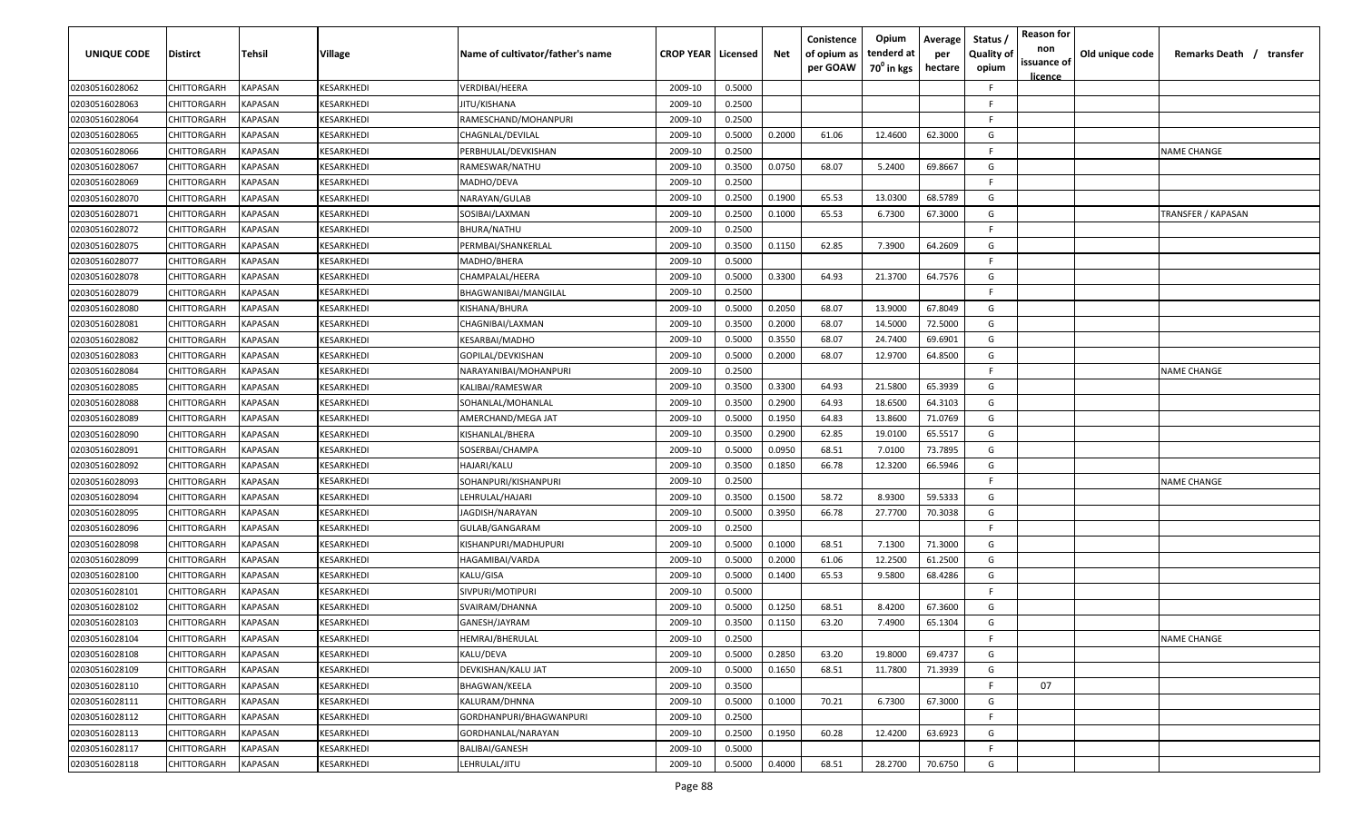| <b>UNIQUE CODE</b> | Distirct           | Tehsil         | Village                  | Name of cultivator/father's name | <b>CROP YEAR   Licensed</b> |        | Net    | Conistence<br>of opium as<br>per GOAW | Opium<br>tenderd at<br>70 <sup>0</sup> in kgs | Average<br>per<br>hectare | Status,<br><b>Quality of</b><br>opium | <b>Reason for</b><br>non<br>issuance of<br><u>licence</u> | Old unique code | Remarks Death / transfer |
|--------------------|--------------------|----------------|--------------------------|----------------------------------|-----------------------------|--------|--------|---------------------------------------|-----------------------------------------------|---------------------------|---------------------------------------|-----------------------------------------------------------|-----------------|--------------------------|
| 02030516028062     | CHITTORGARH        | <b>KAPASAN</b> | KESARKHEDI               | VERDIBAI/HEERA                   | 2009-10                     | 0.5000 |        |                                       |                                               |                           | F                                     |                                                           |                 |                          |
| 02030516028063     | CHITTORGARH        | KAPASAN        | KESARKHEDI               | JITU/KISHANA                     | 2009-10                     | 0.2500 |        |                                       |                                               |                           | E                                     |                                                           |                 |                          |
| 02030516028064     | CHITTORGARH        | <b>KAPASAN</b> | KESARKHEDI               | RAMESCHAND/MOHANPURI             | 2009-10                     | 0.2500 |        |                                       |                                               |                           | F.                                    |                                                           |                 |                          |
| 02030516028065     | CHITTORGARH        | <b>KAPASAN</b> | KESARKHEDI               | CHAGNLAL/DEVILAL                 | 2009-10                     | 0.5000 | 0.2000 | 61.06                                 | 12.4600                                       | 62.3000                   | G                                     |                                                           |                 |                          |
| 02030516028066     | CHITTORGARH        | KAPASAN        | KESARKHEDI               | PERBHULAL/DEVKISHAN              | 2009-10                     | 0.2500 |        |                                       |                                               |                           | F                                     |                                                           |                 | <b>NAME CHANGE</b>       |
| 02030516028067     | CHITTORGARH        | KAPASAN        | KESARKHEDI               | RAMESWAR/NATHU                   | 2009-10                     | 0.3500 | 0.0750 | 68.07                                 | 5.2400                                        | 69.8667                   | G                                     |                                                           |                 |                          |
| 02030516028069     | CHITTORGARH        | KAPASAN        | <b><i>CESARKHEDI</i></b> | MADHO/DEVA                       | 2009-10                     | 0.2500 |        |                                       |                                               |                           | E                                     |                                                           |                 |                          |
| 02030516028070     | CHITTORGARH        | KAPASAN        | KESARKHEDI               | NARAYAN/GULAB                    | 2009-10                     | 0.2500 | 0.1900 | 65.53                                 | 13.0300                                       | 68.5789                   | G                                     |                                                           |                 |                          |
| 02030516028071     | CHITTORGARH        | KAPASAN        | KESARKHEDI               | SOSIBAI/LAXMAN                   | 2009-10                     | 0.2500 | 0.1000 | 65.53                                 | 6.7300                                        | 67.3000                   | G                                     |                                                           |                 | TRANSFER / KAPASAN       |
| 02030516028072     | CHITTORGARH        | KAPASAN        | KESARKHEDI               | BHURA/NATHU                      | 2009-10                     | 0.2500 |        |                                       |                                               |                           | F                                     |                                                           |                 |                          |
| 02030516028075     | CHITTORGARH        | KAPASAN        | <b>CESARKHEDI</b>        | PERMBAI/SHANKERLAL               | 2009-10                     | 0.3500 | 0.1150 | 62.85                                 | 7.3900                                        | 64.2609                   | G                                     |                                                           |                 |                          |
| 02030516028077     | CHITTORGARH        | KAPASAN        | <b><i>CESARKHEDI</i></b> | MADHO/BHERA                      | 2009-10                     | 0.5000 |        |                                       |                                               |                           | F                                     |                                                           |                 |                          |
| 02030516028078     | CHITTORGARH        | <b>KAPASAN</b> | <b><i>CESARKHEDI</i></b> | CHAMPALAL/HEERA                  | 2009-10                     | 0.5000 | 0.3300 | 64.93                                 | 21.3700                                       | 64.7576                   | G                                     |                                                           |                 |                          |
| 02030516028079     | CHITTORGARH        | KAPASAN        | <b><i>CESARKHEDI</i></b> | BHAGWANIBAI/MANGILAL             | 2009-10                     | 0.2500 |        |                                       |                                               |                           | F                                     |                                                           |                 |                          |
| 02030516028080     | CHITTORGARH        | KAPASAN        | <b><i>CESARKHEDI</i></b> | KISHANA/BHURA                    | 2009-10                     | 0.5000 | 0.2050 | 68.07                                 | 13.9000                                       | 67.8049                   | G                                     |                                                           |                 |                          |
| 02030516028081     | CHITTORGARH        | <b>KAPASAN</b> | KESARKHEDI               | CHAGNIBAI/LAXMAN                 | 2009-10                     | 0.3500 | 0.2000 | 68.07                                 | 14.5000                                       | 72.5000                   | G                                     |                                                           |                 |                          |
| 02030516028082     | CHITTORGARH        | <b>KAPASAN</b> | KESARKHEDI               | KESARBAI/MADHO                   | 2009-10                     | 0.5000 | 0.3550 | 68.07                                 | 24.7400                                       | 69.6901                   | G                                     |                                                           |                 |                          |
| 02030516028083     | CHITTORGARH        | KAPASAN        | KESARKHEDI               | GOPILAL/DEVKISHAN                | 2009-10                     | 0.5000 | 0.2000 | 68.07                                 | 12.9700                                       | 64.8500                   | G                                     |                                                           |                 |                          |
| 02030516028084     | CHITTORGARH        | KAPASAN        | KESARKHEDI               | NARAYANIBAI/MOHANPURI            | 2009-10                     | 0.2500 |        |                                       |                                               |                           | E                                     |                                                           |                 | <b>NAME CHANGE</b>       |
| 02030516028085     | CHITTORGARH        | <b>KAPASAN</b> | KESARKHEDI               | KALIBAI/RAMESWAR                 | 2009-10                     | 0.3500 | 0.3300 | 64.93                                 | 21.5800                                       | 65.3939                   | G                                     |                                                           |                 |                          |
| 02030516028088     | CHITTORGARH        | KAPASAN        | KESARKHEDI               | SOHANLAL/MOHANLAL                | 2009-10                     | 0.3500 | 0.2900 | 64.93                                 | 18.6500                                       | 64.3103                   | G                                     |                                                           |                 |                          |
| 02030516028089     | CHITTORGARH        | KAPASAN        | KESARKHEDI               | AMERCHAND/MEGA JAT               | 2009-10                     | 0.5000 | 0.1950 | 64.83                                 | 13.8600                                       | 71.0769                   | G                                     |                                                           |                 |                          |
| 02030516028090     | CHITTORGARH        | KAPASAN        | <b><i>CESARKHEDI</i></b> | KISHANLAL/BHERA                  | 2009-10                     | 0.3500 | 0.2900 | 62.85                                 | 19.0100                                       | 65.5517                   | G                                     |                                                           |                 |                          |
| 02030516028091     | CHITTORGARH        | KAPASAN        | <b><i>CESARKHEDI</i></b> | SOSERBAI/CHAMPA                  | 2009-10                     | 0.5000 | 0.0950 | 68.51                                 | 7.0100                                        | 73.7895                   | G                                     |                                                           |                 |                          |
| 02030516028092     | CHITTORGARH        | <b>KAPASAN</b> | KESARKHEDI               | HAJARI/KALU                      | 2009-10                     | 0.3500 | 0.1850 | 66.78                                 | 12.3200                                       | 66.5946                   | G                                     |                                                           |                 |                          |
| 02030516028093     | CHITTORGARH        | KAPASAN        | KESARKHEDI               | SOHANPURI/KISHANPURI             | 2009-10                     | 0.2500 |        |                                       |                                               |                           | F.                                    |                                                           |                 | <b>NAME CHANGE</b>       |
| 02030516028094     | CHITTORGARH        | KAPASAN        | <b>ESARKHEDI</b>         | LEHRULAL/HAJARI                  | 2009-10                     | 0.3500 | 0.1500 | 58.72                                 | 8.9300                                        | 59.5333                   | G                                     |                                                           |                 |                          |
| 02030516028095     | CHITTORGARH        | KAPASAN        | <b>(ESARKHEDI</b>        | AGDISH/NARAYAN                   | 2009-10                     | 0.5000 | 0.3950 | 66.78                                 | 27.7700                                       | 70.3038                   | G                                     |                                                           |                 |                          |
| 02030516028096     | CHITTORGARH        | KAPASAN        | <b>(ESARKHEDI</b>        | GULAB/GANGARAM                   | 2009-10                     | 0.2500 |        |                                       |                                               |                           | E                                     |                                                           |                 |                          |
| 02030516028098     | CHITTORGARH        | <b>KAPASAN</b> | KESARKHEDI               | KISHANPURI/MADHUPURI             | 2009-10                     | 0.5000 | 0.1000 | 68.51                                 | 7.1300                                        | 71.3000                   | G                                     |                                                           |                 |                          |
| 02030516028099     | CHITTORGARH        | KAPASAN        | KESARKHEDI               | HAGAMIBAI/VARDA                  | 2009-10                     | 0.5000 | 0.2000 | 61.06                                 | 12.2500                                       | 61.2500                   | G                                     |                                                           |                 |                          |
| 02030516028100     | CHITTORGARH        | KAPASAN        | KESARKHEDI               | KALU/GISA                        | 2009-10                     | 0.5000 | 0.1400 | 65.53                                 | 9.5800                                        | 68.4286                   | G                                     |                                                           |                 |                          |
| 02030516028101     | CHITTORGARH        | <b>KAPASAN</b> | KESARKHEDI               | SIVPURI/MOTIPURI                 | 2009-10                     | 0.5000 |        |                                       |                                               |                           | E                                     |                                                           |                 |                          |
| 02030516028102     | CHITTORGARH        | <b>KAPASAN</b> | KESARKHEDI               | SVAIRAM/DHANNA                   | 2009-10                     | 0.5000 | 0.1250 | 68.51                                 | 8.4200                                        | 67.3600                   | G                                     |                                                           |                 |                          |
| 02030516028103     | <b>CHITTORGARH</b> | <b>KAPASAN</b> | KESARKHEDI               | GANESH/JAYRAM                    | 2009-10                     | 0.3500 | 0.1150 | 63.20                                 | 7.4900                                        | 65.1304                   | G                                     |                                                           |                 |                          |
| 02030516028104     | CHITTORGARH        | <b>KAPASAN</b> | KESARKHEDI               | HEMRAJ/BHERULAL                  | 2009-10                     | 0.2500 |        |                                       |                                               |                           | F.                                    |                                                           |                 | <b>NAME CHANGE</b>       |
| 02030516028108     | <b>CHITTORGARH</b> | <b>KAPASAN</b> | KESARKHEDI               | KALU/DEVA                        | 2009-10                     | 0.5000 | 0.2850 | 63.20                                 | 19.8000                                       | 69.4737                   | G                                     |                                                           |                 |                          |
| 02030516028109     | CHITTORGARH        | <b>KAPASAN</b> | KESARKHEDI               | DEVKISHAN/KALU JAT               | 2009-10                     | 0.5000 | 0.1650 | 68.51                                 | 11.7800                                       | 71.3939                   | G                                     |                                                           |                 |                          |
| 02030516028110     | CHITTORGARH        | <b>KAPASAN</b> | KESARKHEDI               | BHAGWAN/KEELA                    | 2009-10                     | 0.3500 |        |                                       |                                               |                           | F                                     | 07                                                        |                 |                          |
| 02030516028111     | CHITTORGARH        | KAPASAN        | KESARKHEDI               | KALURAM/DHNNA                    | 2009-10                     | 0.5000 | 0.1000 | 70.21                                 | 6.7300                                        | 67.3000                   | G                                     |                                                           |                 |                          |
| 02030516028112     | CHITTORGARH        | KAPASAN        | KESARKHEDI               | GORDHANPURI/BHAGWANPURI          | 2009-10                     | 0.2500 |        |                                       |                                               |                           | F.                                    |                                                           |                 |                          |
| 02030516028113     | CHITTORGARH        | KAPASAN        | KESARKHEDI               | GORDHANLAL/NARAYAN               | 2009-10                     | 0.2500 | 0.1950 | 60.28                                 | 12.4200                                       | 63.6923                   | G                                     |                                                           |                 |                          |
| 02030516028117     | CHITTORGARH        | <b>KAPASAN</b> | KESARKHEDI               | BALIBAI/GANESH                   | 2009-10                     | 0.5000 |        |                                       |                                               |                           | F.                                    |                                                           |                 |                          |
| 02030516028118     | <b>CHITTORGARH</b> | <b>KAPASAN</b> | KESARKHEDI               | LEHRULAL/JITU                    | 2009-10                     | 0.5000 | 0.4000 | 68.51                                 | 28.2700                                       | 70.6750                   | G                                     |                                                           |                 |                          |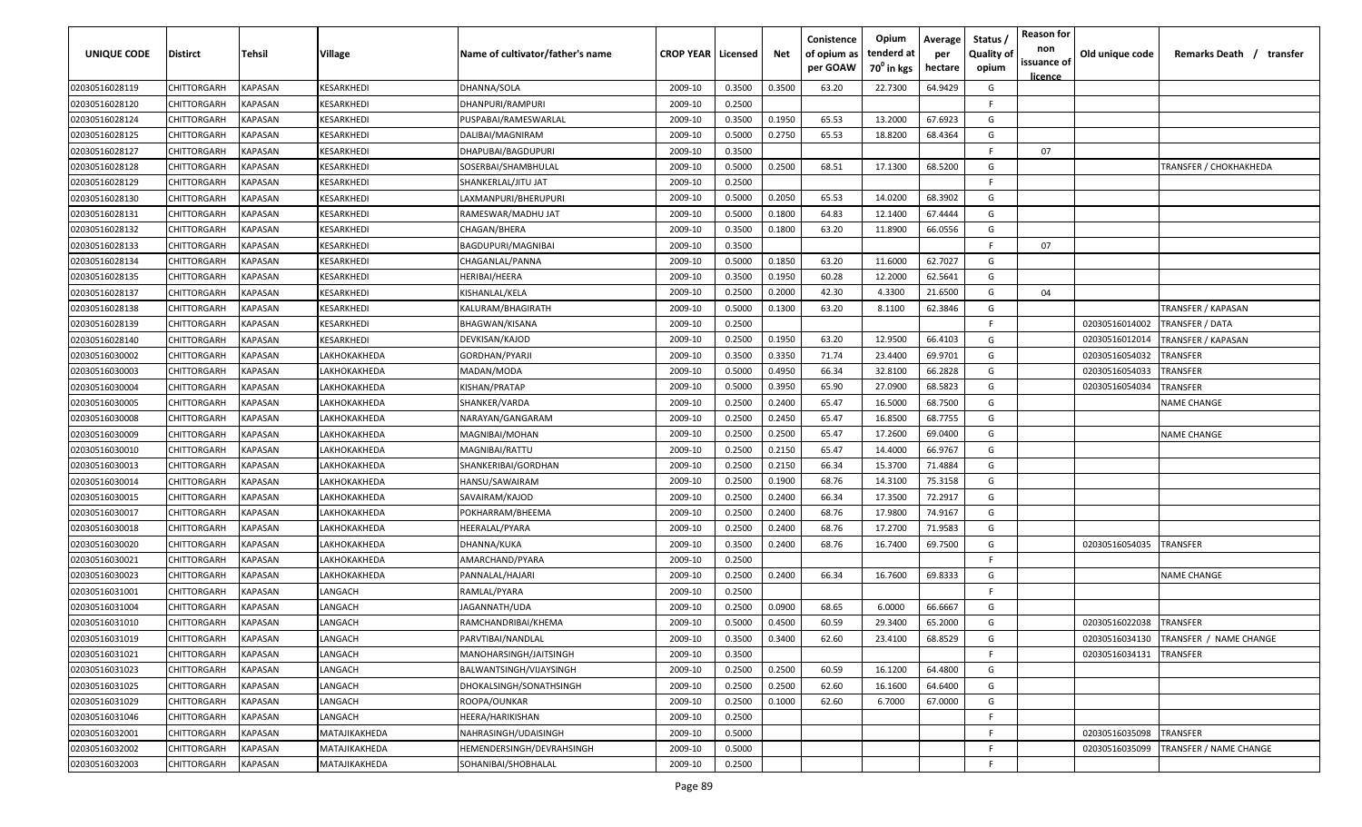| UNIQUE CODE    | Distirct           | Tehsil         | Village          | Name of cultivator/father's name | <b>CROP YEAR   Licensed</b> |        | Net    | Conistence<br>of opium as<br>per GOAW | Opium<br>tenderd at<br>70 <sup>0</sup> in kgs | Average<br>per<br>hectare | Status /<br><b>Quality of</b><br>opium | <b>Reason for</b><br>non<br>issuance of<br><u>licence</u> | Old unique code | Remarks Death / transfer |
|----------------|--------------------|----------------|------------------|----------------------------------|-----------------------------|--------|--------|---------------------------------------|-----------------------------------------------|---------------------------|----------------------------------------|-----------------------------------------------------------|-----------------|--------------------------|
| 02030516028119 | CHITTORGARH        | <b>KAPASAN</b> | KESARKHEDI       | DHANNA/SOLA                      | 2009-10                     | 0.3500 | 0.3500 | 63.20                                 | 22.7300                                       | 64.9429                   | G                                      |                                                           |                 |                          |
| 02030516028120 | CHITTORGARH        | KAPASAN        | KESARKHEDI       | DHANPURI/RAMPURI                 | 2009-10                     | 0.2500 |        |                                       |                                               |                           | -F.                                    |                                                           |                 |                          |
| 02030516028124 | CHITTORGARH        | KAPASAN        | KESARKHEDI       | PUSPABAI/RAMESWARLAL             | 2009-10                     | 0.3500 | 0.1950 | 65.53                                 | 13.2000                                       | 67.6923                   | G                                      |                                                           |                 |                          |
| 02030516028125 | CHITTORGARH        | KAPASAN        | KESARKHEDI       | DALIBAI/MAGNIRAM                 | 2009-10                     | 0.5000 | 0.2750 | 65.53                                 | 18.8200                                       | 68.4364                   | G                                      |                                                           |                 |                          |
| 02030516028127 | CHITTORGARH        | KAPASAN        | KESARKHEDI       | DHAPUBAI/BAGDUPURI               | 2009-10                     | 0.3500 |        |                                       |                                               |                           | -F.                                    | 07                                                        |                 |                          |
| 02030516028128 | CHITTORGARH        | KAPASAN        | KESARKHEDI       | SOSERBAI/SHAMBHULAL              | 2009-10                     | 0.5000 | 0.2500 | 68.51                                 | 17.1300                                       | 68.5200                   | G                                      |                                                           |                 | TRANSFER / CHOKHAKHEDA   |
| 02030516028129 | CHITTORGARH        | KAPASAN        | KESARKHEDI       | SHANKERLAL/JITU JAT              | 2009-10                     | 0.2500 |        |                                       |                                               |                           | -F.                                    |                                                           |                 |                          |
| 02030516028130 | CHITTORGARH        | KAPASAN        | KESARKHEDI       | LAXMANPURI/BHERUPURI             | 2009-10                     | 0.5000 | 0.2050 | 65.53                                 | 14.0200                                       | 68.3902                   | G                                      |                                                           |                 |                          |
| 02030516028131 | CHITTORGARH        | KAPASAN        | KESARKHEDI       | RAMESWAR/MADHU JAT               | 2009-10                     | 0.5000 | 0.1800 | 64.83                                 | 12.1400                                       | 67.4444                   | G                                      |                                                           |                 |                          |
| 02030516028132 | CHITTORGARH        | KAPASAN        | KESARKHEDI       | CHAGAN/BHERA                     | 2009-10                     | 0.3500 | 0.1800 | 63.20                                 | 11.8900                                       | 66.0556                   | G                                      |                                                           |                 |                          |
| 02030516028133 | CHITTORGARH        | KAPASAN        | <b>ESARKHEDI</b> | BAGDUPURI/MAGNIBAI               | 2009-10                     | 0.3500 |        |                                       |                                               |                           | F.                                     | 07                                                        |                 |                          |
| 02030516028134 | CHITTORGARH        | KAPASAN        | KESARKHEDI       | CHAGANLAL/PANNA                  | 2009-10                     | 0.5000 | 0.1850 | 63.20                                 | 11.6000                                       | 62.7027                   | G                                      |                                                           |                 |                          |
| 02030516028135 | CHITTORGARH        | KAPASAN        | KESARKHEDI       | HERIBAI/HEERA                    | 2009-10                     | 0.3500 | 0.1950 | 60.28                                 | 12.2000                                       | 62.5641                   | G                                      |                                                           |                 |                          |
| 02030516028137 | CHITTORGARH        | KAPASAN        | KESARKHEDI       | KISHANLAL/KELA                   | 2009-10                     | 0.2500 | 0.2000 | 42.30                                 | 4.3300                                        | 21.6500                   | G                                      | 04                                                        |                 |                          |
| 02030516028138 | CHITTORGARH        | KAPASAN        | KESARKHEDI       | KALURAM/BHAGIRATH                | 2009-10                     | 0.5000 | 0.1300 | 63.20                                 | 8.1100                                        | 62.3846                   | G                                      |                                                           |                 | TRANSFER / KAPASAN       |
| 02030516028139 | CHITTORGARH        | KAPASAN        | KESARKHEDI       | <b>BHAGWAN/KISANA</b>            | 2009-10                     | 0.2500 |        |                                       |                                               |                           | F                                      |                                                           | 02030516014002  | TRANSFER / DATA          |
| 02030516028140 | CHITTORGARH        | KAPASAN        | KESARKHEDI       | DEVKISAN/KAJOD                   | 2009-10                     | 0.2500 | 0.1950 | 63.20                                 | 12.9500                                       | 66.4103                   | G                                      |                                                           | 02030516012014  | TRANSFER / KAPASAN       |
| 02030516030002 | CHITTORGARH        | KAPASAN        | LAKHOKAKHEDA     | GORDHAN/PYARJI                   | 2009-10                     | 0.3500 | 0.3350 | 71.74                                 | 23.4400                                       | 69.9701                   | G                                      |                                                           | 02030516054032  | TRANSFER                 |
| 02030516030003 | CHITTORGARH        | KAPASAN        | LAKHOKAKHEDA     | MADAN/MODA                       | 2009-10                     | 0.5000 | 0.4950 | 66.34                                 | 32.8100                                       | 66.2828                   | G                                      |                                                           | 02030516054033  | TRANSFER                 |
| 02030516030004 | CHITTORGARH        | KAPASAN        | LAKHOKAKHEDA     | KISHAN/PRATAP                    | 2009-10                     | 0.5000 | 0.3950 | 65.90                                 | 27.0900                                       | 68.5823                   | G                                      |                                                           | 02030516054034  | TRANSFER                 |
| 02030516030005 | CHITTORGARH        | KAPASAN        | LAKHOKAKHEDA     | SHANKER/VARDA                    | 2009-10                     | 0.2500 | 0.2400 | 65.47                                 | 16.5000                                       | 68.7500                   | G                                      |                                                           |                 | <b>NAME CHANGE</b>       |
| 02030516030008 | CHITTORGARH        | KAPASAN        | LAKHOKAKHEDA     | NARAYAN/GANGARAM                 | 2009-10                     | 0.2500 | 0.2450 | 65.47                                 | 16.8500                                       | 68.7755                   | G                                      |                                                           |                 |                          |
| 02030516030009 | CHITTORGARH        | KAPASAN        | LAKHOKAKHEDA     | MAGNIBAI/MOHAN                   | 2009-10                     | 0.2500 | 0.2500 | 65.47                                 | 17.2600                                       | 69.0400                   | G                                      |                                                           |                 | <b>NAME CHANGE</b>       |
| 02030516030010 | CHITTORGARH        | KAPASAN        | LAKHOKAKHEDA     | MAGNIBAI/RATTU                   | 2009-10                     | 0.2500 | 0.2150 | 65.47                                 | 14.4000                                       | 66.9767                   | G                                      |                                                           |                 |                          |
| 02030516030013 | CHITTORGARH        | KAPASAN        | LAKHOKAKHEDA     | SHANKERIBAI/GORDHAN              | 2009-10                     | 0.2500 | 0.2150 | 66.34                                 | 15.3700                                       | 71.4884                   | G                                      |                                                           |                 |                          |
| 02030516030014 | CHITTORGARH        | KAPASAN        | LAKHOKAKHEDA     | HANSU/SAWAIRAM                   | 2009-10                     | 0.2500 | 0.1900 | 68.76                                 | 14.3100                                       | 75.3158                   | G                                      |                                                           |                 |                          |
| 02030516030015 | CHITTORGARH        | KAPASAN        | LAKHOKAKHEDA     | SAVAIRAM/KAJOD                   | 2009-10                     | 0.2500 | 0.2400 | 66.34                                 | 17.3500                                       | 72.2917                   | G                                      |                                                           |                 |                          |
| 02030516030017 | CHITTORGARH        | KAPASAN        | AKHOKAKHEDA      | POKHARRAM/BHEEMA                 | 2009-10                     | 0.2500 | 0.2400 | 68.76                                 | 17.9800                                       | 74.9167                   | G                                      |                                                           |                 |                          |
| 02030516030018 | CHITTORGARH        | KAPASAN        | LAKHOKAKHEDA     | HEERALAL/PYARA                   | 2009-10                     | 0.2500 | 0.2400 | 68.76                                 | 17.2700                                       | 71.9583                   | G                                      |                                                           |                 |                          |
| 02030516030020 | CHITTORGARH        | KAPASAN        | LAKHOKAKHEDA     | DHANNA/KUKA                      | 2009-10                     | 0.3500 | 0.2400 | 68.76                                 | 16.7400                                       | 69.7500                   | G                                      |                                                           | 02030516054035  | TRANSFER                 |
| 02030516030021 | CHITTORGARH        | KAPASAN        | LAKHOKAKHEDA     | AMARCHAND/PYARA                  | 2009-10                     | 0.2500 |        |                                       |                                               |                           | -F.                                    |                                                           |                 |                          |
| 02030516030023 | CHITTORGARH        | KAPASAN        | LAKHOKAKHEDA     | PANNALAL/HAJARI                  | 2009-10                     | 0.2500 | 0.2400 | 66.34                                 | 16.7600                                       | 69.8333                   | G                                      |                                                           |                 | NAME CHANGE              |
| 02030516031001 | CHITTORGARH        | KAPASAN        | LANGACH          | RAMLAL/PYARA                     | 2009-10                     | 0.2500 |        |                                       |                                               |                           | -F                                     |                                                           |                 |                          |
| 02030516031004 | CHITTORGARH        | KAPASAN        | LANGACH          | JAGANNATH/UDA                    | 2009-10                     | 0.2500 | 0.0900 | 68.65                                 | 6.0000                                        | 66.6667                   | G                                      |                                                           |                 |                          |
| 02030516031010 | CHITTORGARH        | KAPASAN        | LANGACH          | RAMCHANDRIBAI/KHEMA              | 2009-10                     | 0.5000 | 0.4500 | 60.59                                 | 29.3400                                       | 65.2000                   | G                                      |                                                           | 02030516022038  | <b>TRANSFER</b>          |
| 02030516031019 | CHITTORGARH        | <b>KAPASAN</b> | LANGACH          | PARVTIBAI/NANDLAL                | 2009-10                     | 0.3500 | 0.3400 | 62.60                                 | 23.4100                                       | 68.8529                   | G                                      |                                                           | 02030516034130  | TRANSFER / NAME CHANGE   |
| 02030516031021 | CHITTORGARH        | KAPASAN        | LANGACH          | MANOHARSINGH/JAITSINGH           | 2009-10                     | 0.3500 |        |                                       |                                               |                           | F.                                     |                                                           | 02030516034131  | <b>TRANSFER</b>          |
| 02030516031023 | CHITTORGARH        | <b>KAPASAN</b> | LANGACH          | BALWANTSINGH/VIJAYSINGH          | 2009-10                     | 0.2500 | 0.2500 | 60.59                                 | 16.1200                                       | 64.4800                   | G                                      |                                                           |                 |                          |
| 02030516031025 | <b>CHITTORGARH</b> | KAPASAN        | LANGACH          | DHOKALSINGH/SONATHSINGH          | 2009-10                     | 0.2500 | 0.2500 | 62.60                                 | 16.1600                                       | 64.6400                   | G                                      |                                                           |                 |                          |
| 02030516031029 | CHITTORGARH        | KAPASAN        | LANGACH          | ROOPA/OUNKAR                     | 2009-10                     | 0.2500 | 0.1000 | 62.60                                 | 6.7000                                        | 67.0000                   | G                                      |                                                           |                 |                          |
| 02030516031046 | CHITTORGARH        | KAPASAN        | LANGACH          | HEERA/HARIKISHAN                 | 2009-10                     | 0.2500 |        |                                       |                                               |                           | F.                                     |                                                           |                 |                          |
| 02030516032001 | CHITTORGARH        | KAPASAN        | MATAJIKAKHEDA    | NAHRASINGH/UDAISINGH             | 2009-10                     | 0.5000 |        |                                       |                                               |                           | F.                                     |                                                           | 02030516035098  | TRANSFER                 |
| 02030516032002 | CHITTORGARH        | KAPASAN        | MATAJIKAKHEDA    | HEMENDERSINGH/DEVRAHSINGH        | 2009-10                     | 0.5000 |        |                                       |                                               |                           | $\mathsf{F}$                           |                                                           | 02030516035099  | TRANSFER / NAME CHANGE   |
| 02030516032003 | <b>CHITTORGARH</b> | KAPASAN        | MATAJIKAKHEDA    | SOHANIBAI/SHOBHALAL              | 2009-10                     | 0.2500 |        |                                       |                                               |                           | F                                      |                                                           |                 |                          |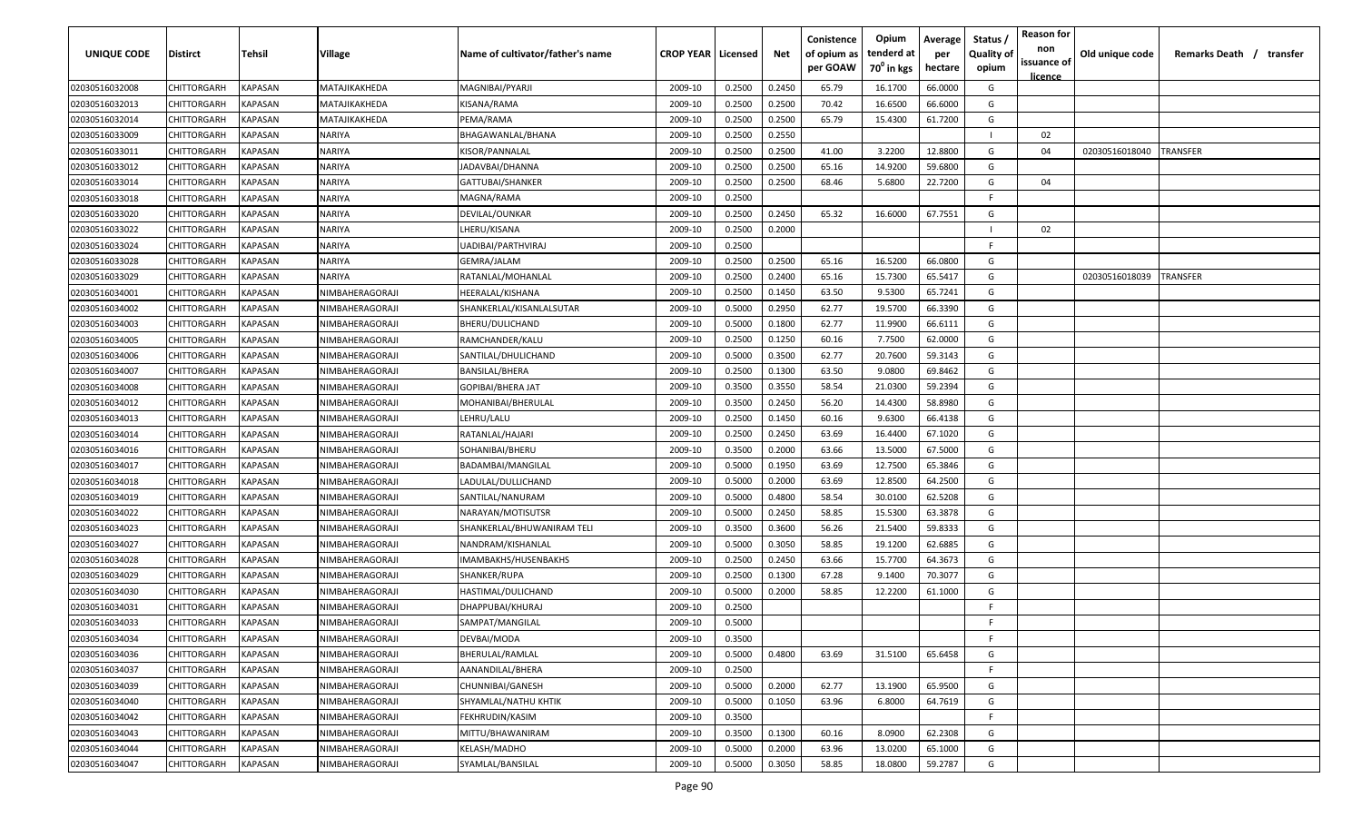| UNIQUE CODE    | Distirct           | Tehsil         | Village         | Name of cultivator/father's name | <b>CROP YEAR   Licensed</b> |        | Net    | Conistence<br>of opium as<br>per GOAW | Opium<br>tenderd at<br>70 <sup>°</sup> in kgs | Average<br>per<br>hectare | Status,<br><b>Quality of</b><br>opium | <b>Reason for</b><br>non<br>issuance of | Old unique code | Remarks Death / transfer |
|----------------|--------------------|----------------|-----------------|----------------------------------|-----------------------------|--------|--------|---------------------------------------|-----------------------------------------------|---------------------------|---------------------------------------|-----------------------------------------|-----------------|--------------------------|
| 02030516032008 | CHITTORGARH        | KAPASAN        | MATAJIKAKHEDA   | MAGNIBAI/PYARJI                  | 2009-10                     | 0.2500 | 0.2450 | 65.79                                 | 16.1700                                       | 66.0000                   | G                                     | <u>licence</u>                          |                 |                          |
| 02030516032013 | CHITTORGARH        | <b>KAPASAN</b> | MATAJIKAKHEDA   | KISANA/RAMA                      | 2009-10                     | 0.2500 | 0.2500 | 70.42                                 | 16.6500                                       | 66.6000                   | G                                     |                                         |                 |                          |
| 02030516032014 | CHITTORGARH        | <b>KAPASAN</b> | MATAJIKAKHEDA   | PEMA/RAMA                        | 2009-10                     | 0.2500 | 0.2500 | 65.79                                 | 15.4300                                       | 61.7200                   | G                                     |                                         |                 |                          |
| 02030516033009 | CHITTORGARH        | <b>KAPASAN</b> | NARIYA          | BHAGAWANLAL/BHANA                | 2009-10                     | 0.2500 | 0.2550 |                                       |                                               |                           |                                       | 02                                      |                 |                          |
| 02030516033011 | CHITTORGARH        | KAPASAN        | NARIYA          | KISOR/PANNALAL                   | 2009-10                     | 0.2500 | 0.2500 | 41.00                                 | 3.2200                                        | 12.8800                   | G                                     | 04                                      | 02030516018040  | <b>TRANSFER</b>          |
| 02030516033012 | CHITTORGARH        | KAPASAN        | NARIYA          | JADAVBAI/DHANNA                  | 2009-10                     | 0.2500 | 0.2500 | 65.16                                 | 14.9200                                       | 59.6800                   | G                                     |                                         |                 |                          |
| 02030516033014 | CHITTORGARH        | KAPASAN        | NARIYA          | GATTUBAI/SHANKER                 | 2009-10                     | 0.2500 | 0.2500 | 68.46                                 | 5.6800                                        | 22.7200                   | G                                     | 04                                      |                 |                          |
| 02030516033018 | CHITTORGARH        | KAPASAN        | NARIYA          | MAGNA/RAMA                       | 2009-10                     | 0.2500 |        |                                       |                                               |                           | E                                     |                                         |                 |                          |
| 02030516033020 | CHITTORGARH        | KAPASAN        | NARIYA          | DEVILAL/OUNKAR                   | 2009-10                     | 0.2500 | 0.2450 | 65.32                                 | 16.6000                                       | 67.7551                   | G                                     |                                         |                 |                          |
| 02030516033022 | CHITTORGARH        | KAPASAN        | NARIYA          | LHERU/KISANA                     | 2009-10                     | 0.2500 | 0.2000 |                                       |                                               |                           |                                       | 02                                      |                 |                          |
| 02030516033024 | CHITTORGARH        | KAPASAN        | VARIYA          | JADIBAI/PARTHVIRAJ               | 2009-10                     | 0.2500 |        |                                       |                                               |                           | E                                     |                                         |                 |                          |
| 02030516033028 | CHITTORGARH        | KAPASAN        | NARIYA          | GEMRA/JALAM                      | 2009-10                     | 0.2500 | 0.2500 | 65.16                                 | 16.5200                                       | 66.0800                   | G                                     |                                         |                 |                          |
| 02030516033029 | CHITTORGARH        | <b>KAPASAN</b> | NARIYA          | RATANLAL/MOHANLAL                | 2009-10                     | 0.2500 | 0.2400 | 65.16                                 | 15.7300                                       | 65.5417                   | G                                     |                                         | 02030516018039  | TRANSFER                 |
| 02030516034001 | CHITTORGARH        | KAPASAN        | NIMBAHERAGORAJI | HEERALAL/KISHANA                 | 2009-10                     | 0.2500 | 0.1450 | 63.50                                 | 9.5300                                        | 65.7241                   | G                                     |                                         |                 |                          |
| 02030516034002 | CHITTORGARH        | <b>KAPASAN</b> | NIMBAHERAGORAJI | SHANKERLAL/KISANLALSUTAR         | 2009-10                     | 0.5000 | 0.2950 | 62.77                                 | 19.5700                                       | 66.3390                   | G                                     |                                         |                 |                          |
| 02030516034003 | CHITTORGARH        | <b>KAPASAN</b> | NIMBAHERAGORAJI | BHERU/DULICHAND                  | 2009-10                     | 0.5000 | 0.1800 | 62.77                                 | 11.9900                                       | 66.6111                   | G                                     |                                         |                 |                          |
| 02030516034005 | CHITTORGARH        | <b>KAPASAN</b> | NIMBAHERAGORAJI | RAMCHANDER/KALU                  | 2009-10                     | 0.2500 | 0.1250 | 60.16                                 | 7.7500                                        | 62.0000                   | G                                     |                                         |                 |                          |
| 02030516034006 | CHITTORGARH        | <b>KAPASAN</b> | NIMBAHERAGORAJI | SANTILAL/DHULICHAND              | 2009-10                     | 0.5000 | 0.3500 | 62.77                                 | 20.7600                                       | 59.3143                   | G                                     |                                         |                 |                          |
| 02030516034007 | CHITTORGARH        | KAPASAN        | NIMBAHERAGORAJI | <b>BANSILAL/BHERA</b>            | 2009-10                     | 0.2500 | 0.1300 | 63.50                                 | 9.0800                                        | 69.8462                   | G                                     |                                         |                 |                          |
| 02030516034008 | CHITTORGARH        | <b>KAPASAN</b> | NIMBAHERAGORAJI | GOPIBAI/BHERA JAT                | 2009-10                     | 0.3500 | 0.3550 | 58.54                                 | 21.0300                                       | 59.2394                   | G                                     |                                         |                 |                          |
| 02030516034012 | CHITTORGARH        | <b>KAPASAN</b> | NIMBAHERAGORAJI | MOHANIBAI/BHERULAL               | 2009-10                     | 0.3500 | 0.2450 | 56.20                                 | 14.4300                                       | 58.8980                   | G                                     |                                         |                 |                          |
| 02030516034013 | CHITTORGARH        | KAPASAN        | NIMBAHERAGORAJI | LEHRU/LALU                       | 2009-10                     | 0.2500 | 0.1450 | 60.16                                 | 9.6300                                        | 66.4138                   | G                                     |                                         |                 |                          |
| 02030516034014 | CHITTORGARH        | KAPASAN        | NIMBAHERAGORAJI | RATANLAL/HAJARI                  | 2009-10                     | 0.2500 | 0.2450 | 63.69                                 | 16.4400                                       | 67.1020                   | G                                     |                                         |                 |                          |
| 02030516034016 | CHITTORGARH        | KAPASAN        | NIMBAHERAGORAJI | SOHANIBAI/BHERU                  | 2009-10                     | 0.3500 | 0.2000 | 63.66                                 | 13.5000                                       | 67.5000                   | G                                     |                                         |                 |                          |
| 02030516034017 | CHITTORGARH        | <b>KAPASAN</b> | NIMBAHERAGORAJI | BADAMBAI/MANGILAL                | 2009-10                     | 0.5000 | 0.1950 | 63.69                                 | 12.7500                                       | 65.3846                   | G                                     |                                         |                 |                          |
| 02030516034018 | CHITTORGARH        | KAPASAN        | NIMBAHERAGORAJI | LADULAL/DULLICHAND               | 2009-10                     | 0.5000 | 0.2000 | 63.69                                 | 12.8500                                       | 64.2500                   | G                                     |                                         |                 |                          |
| 02030516034019 | CHITTORGARH        | KAPASAN        | NIMBAHERAGORAJI | SANTILAL/NANURAM                 | 2009-10                     | 0.5000 | 0.4800 | 58.54                                 | 30.0100                                       | 62.5208                   | G                                     |                                         |                 |                          |
| 02030516034022 | CHITTORGARH        | KAPASAN        | NIMBAHERAGORAJI | NARAYAN/MOTISUTSR                | 2009-10                     | 0.5000 | 0.2450 | 58.85                                 | 15.5300                                       | 63.3878                   | G                                     |                                         |                 |                          |
| 02030516034023 | CHITTORGARH        | KAPASAN        | NIMBAHERAGORAJI | SHANKERLAL/BHUWANIRAM TELI       | 2009-10                     | 0.3500 | 0.3600 | 56.26                                 | 21.5400                                       | 59.8333                   | G                                     |                                         |                 |                          |
| 02030516034027 | CHITTORGARH        | <b>KAPASAN</b> | NIMBAHERAGORAJI | NANDRAM/KISHANLAL                | 2009-10                     | 0.5000 | 0.3050 | 58.85                                 | 19.1200                                       | 62.6885                   | G                                     |                                         |                 |                          |
| 02030516034028 | CHITTORGARH        | <b>KAPASAN</b> | NIMBAHERAGORAJI | IMAMBAKHS/HUSENBAKHS             | 2009-10                     | 0.2500 | 0.2450 | 63.66                                 | 15.7700                                       | 64.3673                   | G                                     |                                         |                 |                          |
| 02030516034029 | CHITTORGARH        | <b>KAPASAN</b> | NIMBAHERAGORAJI | SHANKER/RUPA                     | 2009-10                     | 0.2500 | 0.1300 | 67.28                                 | 9.1400                                        | 70.3077                   | G                                     |                                         |                 |                          |
| 02030516034030 | CHITTORGARH        | <b>KAPASAN</b> | NIMBAHERAGORAJI | HASTIMAL/DULICHAND               | 2009-10                     | 0.5000 | 0.2000 | 58.85                                 | 12.2200                                       | 61.1000                   | G                                     |                                         |                 |                          |
| 02030516034031 | CHITTORGARH        | <b>KAPASAN</b> | NIMBAHERAGORAJI | DHAPPUBAI/KHURAJ                 | 2009-10                     | 0.2500 |        |                                       |                                               |                           | E                                     |                                         |                 |                          |
| 02030516034033 | <b>CHITTORGARH</b> | KAPASAN        | NIMBAHERAGORAJI | SAMPAT/MANGILAL                  | 2009-10                     | 0.5000 |        |                                       |                                               |                           | F                                     |                                         |                 |                          |
| 02030516034034 | <b>CHITTORGARH</b> | <b>KAPASAN</b> | NIMBAHERAGORAJI | DEVBAI/MODA                      | 2009-10                     | 0.3500 |        |                                       |                                               |                           | F.                                    |                                         |                 |                          |
| 02030516034036 | <b>CHITTORGARH</b> | <b>KAPASAN</b> | NIMBAHERAGORAJI | BHERULAL/RAMLAL                  | 2009-10                     | 0.5000 | 0.4800 | 63.69                                 | 31.5100                                       | 65.6458                   | G                                     |                                         |                 |                          |
| 02030516034037 | CHITTORGARH        | <b>KAPASAN</b> | NIMBAHERAGORAJI | AANANDILAL/BHERA                 | 2009-10                     | 0.2500 |        |                                       |                                               |                           | E                                     |                                         |                 |                          |
| 02030516034039 | <b>CHITTORGARH</b> | <b>KAPASAN</b> | NIMBAHERAGORAJI | CHUNNIBAI/GANESH                 | 2009-10                     | 0.5000 | 0.2000 | 62.77                                 | 13.1900                                       | 65.9500                   | G                                     |                                         |                 |                          |
| 02030516034040 | CHITTORGARH        | KAPASAN        | NIMBAHERAGORAJI | SHYAMLAL/NATHU KHTIK             | 2009-10                     | 0.5000 | 0.1050 | 63.96                                 | 6.8000                                        | 64.7619                   | G                                     |                                         |                 |                          |
| 02030516034042 | CHITTORGARH        | KAPASAN        | NIMBAHERAGORAJI | FEKHRUDIN/KASIM                  | 2009-10                     | 0.3500 |        |                                       |                                               |                           | F.                                    |                                         |                 |                          |
| 02030516034043 | CHITTORGARH        | KAPASAN        | NIMBAHERAGORAJI | MITTU/BHAWANIRAM                 | 2009-10                     | 0.3500 | 0.1300 | 60.16                                 | 8.0900                                        | 62.2308                   | G                                     |                                         |                 |                          |
| 02030516034044 | CHITTORGARH        | KAPASAN        | NIMBAHERAGORAJI | KELASH/MADHO                     | 2009-10                     | 0.5000 | 0.2000 | 63.96                                 | 13.0200                                       | 65.1000                   | G                                     |                                         |                 |                          |
| 02030516034047 | <b>CHITTORGARH</b> | <b>KAPASAN</b> | NIMBAHERAGORAJI | SYAMLAL/BANSILAL                 | 2009-10                     | 0.5000 | 0.3050 | 58.85                                 | 18.0800                                       | 59.2787                   | G                                     |                                         |                 |                          |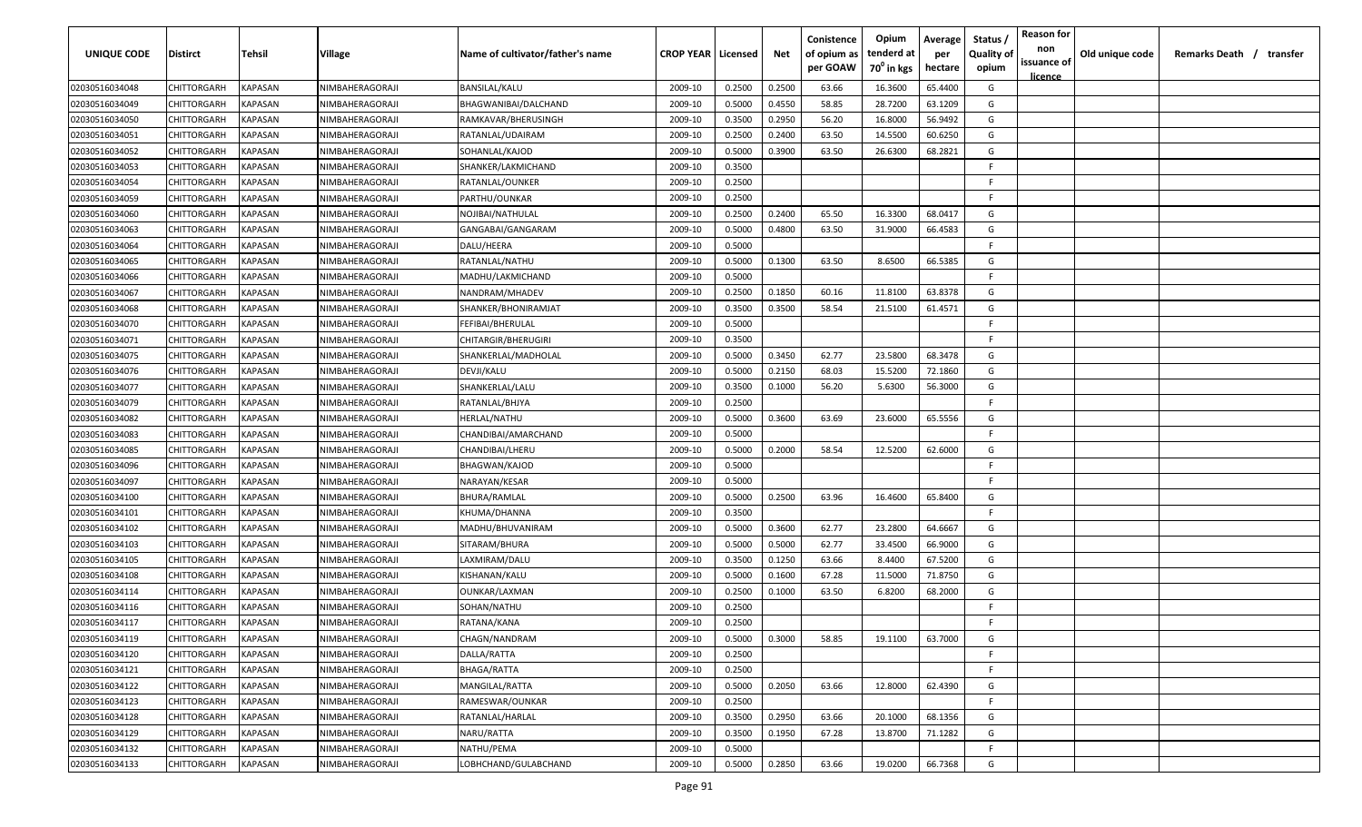| UNIQUE CODE    | Distirct           | Tehsil         | Village                | Name of cultivator/father's name | <b>CROP YEAR   Licensed</b> |        | Net    | Conistence<br>of opium as<br>per GOAW | Opium<br>tenderd at<br>70 <sup>0</sup> in kgs | Average<br>per<br>hectare | Status /<br><b>Quality of</b><br>opium | <b>Reason for</b><br>non<br>issuance of<br><u>licence</u> | Old unique code | Remarks Death / transfer |
|----------------|--------------------|----------------|------------------------|----------------------------------|-----------------------------|--------|--------|---------------------------------------|-----------------------------------------------|---------------------------|----------------------------------------|-----------------------------------------------------------|-----------------|--------------------------|
| 02030516034048 | CHITTORGARH        | KAPASAN        | NIMBAHERAGORAJI        | BANSILAL/KALU                    | 2009-10                     | 0.2500 | 0.2500 | 63.66                                 | 16.3600                                       | 65.4400                   | G                                      |                                                           |                 |                          |
| 02030516034049 | CHITTORGARH        | KAPASAN        | NIMBAHERAGORAJI        | BHAGWANIBAI/DALCHAND             | 2009-10                     | 0.5000 | 0.4550 | 58.85                                 | 28.7200                                       | 63.1209                   | G                                      |                                                           |                 |                          |
| 02030516034050 | CHITTORGARH        | KAPASAN        | NIMBAHERAGORAJI        | RAMKAVAR/BHERUSINGH              | 2009-10                     | 0.3500 | 0.2950 | 56.20                                 | 16.8000                                       | 56.9492                   | G                                      |                                                           |                 |                          |
| 02030516034051 | CHITTORGARH        | KAPASAN        | NIMBAHERAGORAJI        | RATANLAL/UDAIRAM                 | 2009-10                     | 0.2500 | 0.2400 | 63.50                                 | 14.5500                                       | 60.6250                   | G                                      |                                                           |                 |                          |
| 02030516034052 | CHITTORGARH        | KAPASAN        | NIMBAHERAGORAJI        | SOHANLAL/KAJOD                   | 2009-10                     | 0.5000 | 0.3900 | 63.50                                 | 26.6300                                       | 68.2821                   | G                                      |                                                           |                 |                          |
| 02030516034053 | CHITTORGARH        | KAPASAN        | NIMBAHERAGORAJI        | SHANKER/LAKMICHAND               | 2009-10                     | 0.3500 |        |                                       |                                               |                           | -F.                                    |                                                           |                 |                          |
| 02030516034054 | CHITTORGARH        | KAPASAN        | NIMBAHERAGORAJI        | RATANLAL/OUNKER                  | 2009-10                     | 0.2500 |        |                                       |                                               |                           | -F.                                    |                                                           |                 |                          |
| 02030516034059 | CHITTORGARH        | KAPASAN        | NIMBAHERAGORAJI        | PARTHU/OUNKAR                    | 2009-10                     | 0.2500 |        |                                       |                                               |                           | -F.                                    |                                                           |                 |                          |
| 02030516034060 | CHITTORGARH        | KAPASAN        | NIMBAHERAGORAJI        | NOJIBAI/NATHULAL                 | 2009-10                     | 0.2500 | 0.2400 | 65.50                                 | 16.3300                                       | 68.0417                   | G                                      |                                                           |                 |                          |
| 02030516034063 | CHITTORGARH        | KAPASAN        | NIMBAHERAGORAJI        | GANGABAI/GANGARAM                | 2009-10                     | 0.5000 | 0.4800 | 63.50                                 | 31.9000                                       | 66.4583                   | G                                      |                                                           |                 |                          |
| 02030516034064 | CHITTORGARH        | KAPASAN        | <b>NIMBAHERAGORAJI</b> | DALU/HEERA                       | 2009-10                     | 0.5000 |        |                                       |                                               |                           | -F.                                    |                                                           |                 |                          |
| 02030516034065 | CHITTORGARH        | KAPASAN        | NIMBAHERAGORAJI        | RATANLAL/NATHU                   | 2009-10                     | 0.5000 | 0.1300 | 63.50                                 | 8.6500                                        | 66.5385                   | G                                      |                                                           |                 |                          |
| 02030516034066 | CHITTORGARH        | KAPASAN        | NIMBAHERAGORAJI        | MADHU/LAKMICHAND                 | 2009-10                     | 0.5000 |        |                                       |                                               |                           | F.                                     |                                                           |                 |                          |
| 02030516034067 | CHITTORGARH        | KAPASAN        | NIMBAHERAGORAJI        | NANDRAM/MHADEV                   | 2009-10                     | 0.2500 | 0.1850 | 60.16                                 | 11.8100                                       | 63.8378                   | G                                      |                                                           |                 |                          |
| 02030516034068 | CHITTORGARH        | KAPASAN        | NIMBAHERAGORAJI        | SHANKER/BHONIRAMJAT              | 2009-10                     | 0.3500 | 0.3500 | 58.54                                 | 21.5100                                       | 61.4571                   | G                                      |                                                           |                 |                          |
| 02030516034070 | CHITTORGARH        | KAPASAN        | NIMBAHERAGORAJI        | FEFIBAI/BHERULAL                 | 2009-10                     | 0.5000 |        |                                       |                                               |                           | -F                                     |                                                           |                 |                          |
| 02030516034071 | CHITTORGARH        | KAPASAN        | NIMBAHERAGORAJI        | CHITARGIR/BHERUGIRI              | 2009-10                     | 0.3500 |        |                                       |                                               |                           | -F.                                    |                                                           |                 |                          |
| 02030516034075 | CHITTORGARH        | KAPASAN        | NIMBAHERAGORAJI        | SHANKERLAL/MADHOLAL              | 2009-10                     | 0.5000 | 0.3450 | 62.77                                 | 23.5800                                       | 68.3478                   | G                                      |                                                           |                 |                          |
| 02030516034076 | CHITTORGARH        | KAPASAN        | NIMBAHERAGORAJI        | DEVJI/KALU                       | 2009-10                     | 0.5000 | 0.2150 | 68.03                                 | 15.5200                                       | 72.1860                   | G                                      |                                                           |                 |                          |
| 02030516034077 | CHITTORGARH        | KAPASAN        | NIMBAHERAGORAJI        | SHANKERLAL/LALU                  | 2009-10                     | 0.3500 | 0.1000 | 56.20                                 | 5.6300                                        | 56.3000                   | G                                      |                                                           |                 |                          |
| 02030516034079 | CHITTORGARH        | KAPASAN        | NIMBAHERAGORAJI        | RATANLAL/BHJYA                   | 2009-10                     | 0.2500 |        |                                       |                                               |                           | -F.                                    |                                                           |                 |                          |
| 02030516034082 | CHITTORGARH        | KAPASAN        | NIMBAHERAGORAJI        | HERLAL/NATHU                     | 2009-10                     | 0.5000 | 0.3600 | 63.69                                 | 23.6000                                       | 65.5556                   | G                                      |                                                           |                 |                          |
| 02030516034083 | CHITTORGARH        | KAPASAN        | NIMBAHERAGORAJI        | CHANDIBAI/AMARCHAND              | 2009-10                     | 0.5000 |        |                                       |                                               |                           | -F.                                    |                                                           |                 |                          |
| 02030516034085 | CHITTORGARH        | KAPASAN        | NIMBAHERAGORAJI        | CHANDIBAI/LHERU                  | 2009-10                     | 0.5000 | 0.2000 | 58.54                                 | 12.5200                                       | 62.6000                   | G                                      |                                                           |                 |                          |
| 02030516034096 | CHITTORGARH        | KAPASAN        | NIMBAHERAGORAJI        | <b>BHAGWAN/KAJOD</b>             | 2009-10                     | 0.5000 |        |                                       |                                               |                           | -F                                     |                                                           |                 |                          |
| 02030516034097 | CHITTORGARH        | KAPASAN        | NIMBAHERAGORAJI        | NARAYAN/KESAR                    | 2009-10                     | 0.5000 |        |                                       |                                               |                           | -F.                                    |                                                           |                 |                          |
| 02030516034100 | CHITTORGARH        | KAPASAN        | NIMBAHERAGORAJI        | BHURA/RAMLAL                     | 2009-10                     | 0.5000 | 0.2500 | 63.96                                 | 16.4600                                       | 65.8400                   | G                                      |                                                           |                 |                          |
| 02030516034101 | CHITTORGARH        | KAPASAN        | NIMBAHERAGORAJI        | KHUMA/DHANNA                     | 2009-10                     | 0.3500 |        |                                       |                                               |                           | -F.                                    |                                                           |                 |                          |
| 02030516034102 | CHITTORGARH        | KAPASAN        | NIMBAHERAGORAJI        | MADHU/BHUVANIRAM                 | 2009-10                     | 0.5000 | 0.3600 | 62.77                                 | 23.2800                                       | 64.6667                   | G                                      |                                                           |                 |                          |
| 02030516034103 | CHITTORGARH        | KAPASAN        | NIMBAHERAGORAJI        | SITARAM/BHURA                    | 2009-10                     | 0.5000 | 0.5000 | 62.77                                 | 33.4500                                       | 66.9000                   | G                                      |                                                           |                 |                          |
| 02030516034105 | CHITTORGARH        | KAPASAN        | NIMBAHERAGORAJI        | LAXMIRAM/DALU                    | 2009-10                     | 0.3500 | 0.1250 | 63.66                                 | 8.4400                                        | 67.5200                   | G                                      |                                                           |                 |                          |
| 02030516034108 | CHITTORGARH        | KAPASAN        | NIMBAHERAGORAJI        | KISHANAN/KALU                    | 2009-10                     | 0.5000 | 0.1600 | 67.28                                 | 11.5000                                       | 71.8750                   | G                                      |                                                           |                 |                          |
| 02030516034114 | CHITTORGARH        | KAPASAN        | NIMBAHERAGORAJI        | OUNKAR/LAXMAN                    | 2009-10                     | 0.2500 | 0.1000 | 63.50                                 | 6.8200                                        | 68.2000                   | G                                      |                                                           |                 |                          |
| 02030516034116 | CHITTORGARH        | KAPASAN        | NIMBAHERAGORAJI        | SOHAN/NATHU                      | 2009-10                     | 0.2500 |        |                                       |                                               |                           | -F.                                    |                                                           |                 |                          |
| 02030516034117 | <b>CHITTORGARH</b> | KAPASAN        | NIMBAHERAGORAJI        | RATANA/KANA                      | 2009-10                     | 0.2500 |        |                                       |                                               |                           | E                                      |                                                           |                 |                          |
| 02030516034119 | <b>CHITTORGARH</b> | KAPASAN        | NIMBAHERAGORAJI        | CHAGN/NANDRAM                    | 2009-10                     | 0.5000 | 0.3000 | 58.85                                 | 19.1100                                       | 63.7000                   | G                                      |                                                           |                 |                          |
| 02030516034120 | CHITTORGARH        | KAPASAN        | NIMBAHERAGORAJI        | DALLA/RATTA                      | 2009-10                     | 0.2500 |        |                                       |                                               |                           | F.                                     |                                                           |                 |                          |
| 02030516034121 | <b>CHITTORGARH</b> | <b>KAPASAN</b> | NIMBAHERAGORAJI        | <b>BHAGA/RATTA</b>               | 2009-10                     | 0.2500 |        |                                       |                                               |                           | -F                                     |                                                           |                 |                          |
| 02030516034122 | CHITTORGARH        | KAPASAN        | NIMBAHERAGORAJI        | MANGILAL/RATTA                   | 2009-10                     | 0.5000 | 0.2050 | 63.66                                 | 12.8000                                       | 62.4390                   | G                                      |                                                           |                 |                          |
| 02030516034123 | CHITTORGARH        | KAPASAN        | NIMBAHERAGORAJI        | RAMESWAR/OUNKAR                  | 2009-10                     | 0.2500 |        |                                       |                                               |                           | F.                                     |                                                           |                 |                          |
| 02030516034128 | CHITTORGARH        | KAPASAN        | NIMBAHERAGORAJI        | RATANLAL/HARLAL                  | 2009-10                     | 0.3500 | 0.2950 | 63.66                                 | 20.1000                                       | 68.1356                   | G                                      |                                                           |                 |                          |
| 02030516034129 | <b>CHITTORGARH</b> | KAPASAN        | NIMBAHERAGORAJI        | NARU/RATTA                       | 2009-10                     | 0.3500 | 0.1950 | 67.28                                 | 13.8700                                       | 71.1282                   | G                                      |                                                           |                 |                          |
| 02030516034132 | CHITTORGARH        | KAPASAN        | NIMBAHERAGORAJI        | NATHU/PEMA                       | 2009-10                     | 0.5000 |        |                                       |                                               |                           | F.                                     |                                                           |                 |                          |
| 02030516034133 | CHITTORGARH        | KAPASAN        | NIMBAHERAGORAJI        | LOBHCHAND/GULABCHAND             | 2009-10                     | 0.5000 | 0.2850 | 63.66                                 | 19.0200                                       | 66.7368                   | G                                      |                                                           |                 |                          |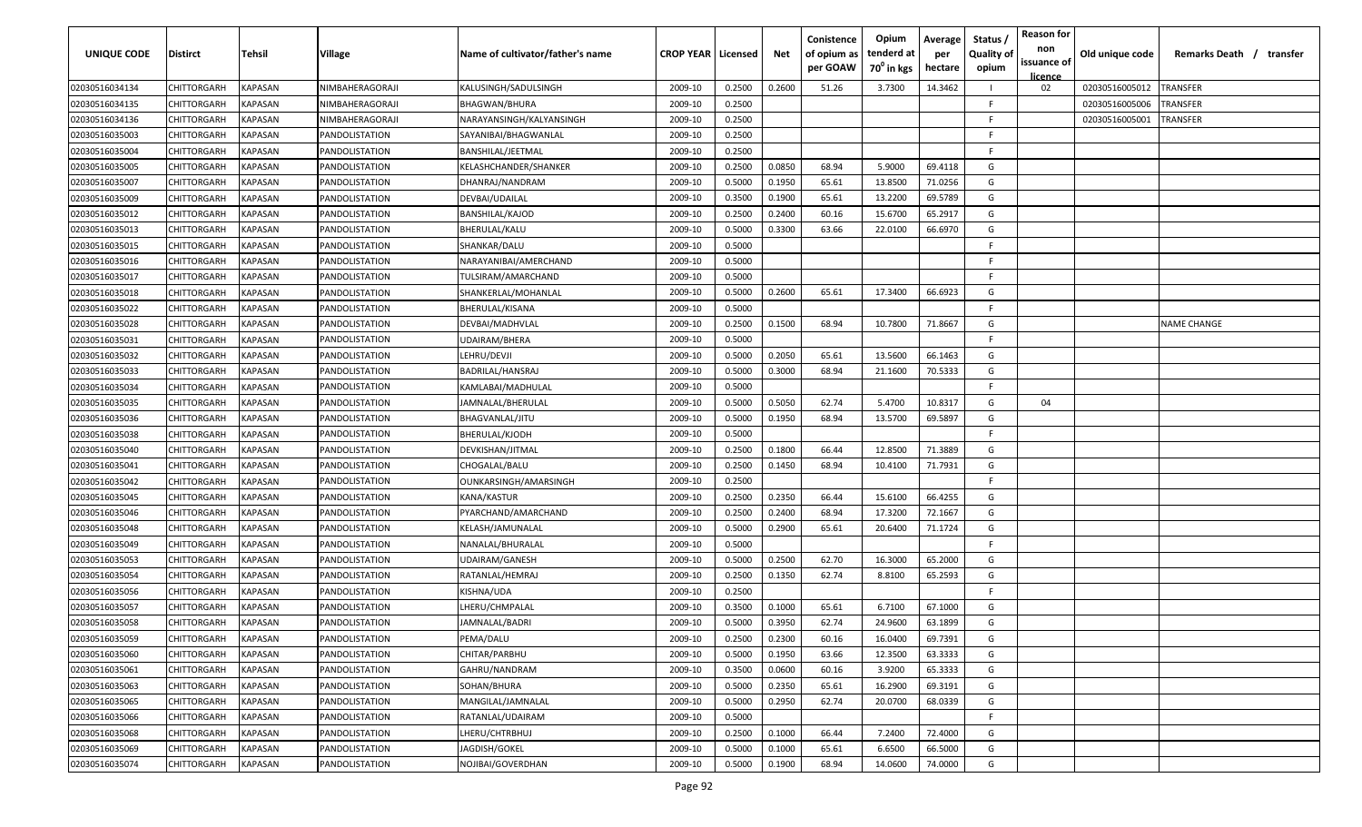| UNIQUE CODE    | <b>Distirct</b>    | Tehsil                | <b>Village</b>        | Name of cultivator/father's name | <b>CROP YEAR   Licensed</b> |        | Net    | Conistence<br>of opium as<br>per GOAW | Opium<br>tenderd at<br>70 <sup>°</sup> in kgs | Average<br>per<br>hectare | Status<br><b>Quality of</b><br>opium | <b>Reason for</b><br>non<br>issuance of<br><u>licence</u> | Old unique code | Remarks Death / transfer |
|----------------|--------------------|-----------------------|-----------------------|----------------------------------|-----------------------------|--------|--------|---------------------------------------|-----------------------------------------------|---------------------------|--------------------------------------|-----------------------------------------------------------|-----------------|--------------------------|
| 02030516034134 | CHITTORGARH        | KAPASAN               | NIMBAHERAGORAJI       | KALUSINGH/SADULSINGH             | 2009-10                     | 0.2500 | 0.2600 | 51.26                                 | 3.7300                                        | 14.3462                   |                                      | 02                                                        | 02030516005012  | TRANSFER                 |
| 02030516034135 | CHITTORGARH        | KAPASAN               | NIMBAHERAGORAJI       | BHAGWAN/BHURA                    | 2009-10                     | 0.2500 |        |                                       |                                               |                           | F.                                   |                                                           | 02030516005006  | <b>RANSFER</b>           |
| 02030516034136 | CHITTORGARH        | KAPASAN               | NIMBAHERAGORAJI       | NARAYANSINGH/KALYANSINGH         | 2009-10                     | 0.2500 |        |                                       |                                               |                           | F.                                   |                                                           | 02030516005001  | TRANSFER                 |
| 02030516035003 | CHITTORGARH        | KAPASAN               | PANDOLISTATION        | SAYANIBAI/BHAGWANLAL             | 2009-10                     | 0.2500 |        |                                       |                                               |                           | -F                                   |                                                           |                 |                          |
| 02030516035004 | CHITTORGARH        | KAPASAN               | PANDOLISTATION        | BANSHILAL/JEETMAL                | 2009-10                     | 0.2500 |        |                                       |                                               |                           | -F                                   |                                                           |                 |                          |
| 02030516035005 | CHITTORGARH        | KAPASAN               | <b>PANDOLISTATION</b> | KELASHCHANDER/SHANKER            | 2009-10                     | 0.2500 | 0.0850 | 68.94                                 | 5.9000                                        | 69.4118                   | G                                    |                                                           |                 |                          |
| 02030516035007 | CHITTORGARH        | KAPASAN               | PANDOLISTATION        | DHANRAJ/NANDRAM                  | 2009-10                     | 0.5000 | 0.1950 | 65.61                                 | 13.8500                                       | 71.0256                   | G                                    |                                                           |                 |                          |
| 02030516035009 | CHITTORGARH        | <b><i>KAPASAN</i></b> | PANDOLISTATION        | DEVBAI/UDAILAL                   | 2009-10                     | 0.3500 | 0.1900 | 65.61                                 | 13.2200                                       | 69.5789                   | G                                    |                                                           |                 |                          |
| 02030516035012 | CHITTORGARH        | KAPASAN               | PANDOLISTATION        | BANSHILAL/KAJOD                  | 2009-10                     | 0.2500 | 0.2400 | 60.16                                 | 15.6700                                       | 65.2917                   | G                                    |                                                           |                 |                          |
| 02030516035013 | CHITTORGARH        | KAPASAN               | PANDOLISTATION        | BHERULAL/KALU                    | 2009-10                     | 0.5000 | 0.3300 | 63.66                                 | 22.0100                                       | 66.6970                   | G                                    |                                                           |                 |                          |
| 02030516035015 | CHITTORGARH        | KAPASAN               | PANDOLISTATION        | SHANKAR/DALU                     | 2009-10                     | 0.5000 |        |                                       |                                               |                           | E                                    |                                                           |                 |                          |
| 02030516035016 | CHITTORGARH        | <b>KAPASAN</b>        | PANDOLISTATION        | NARAYANIBAI/AMERCHAND            | 2009-10                     | 0.5000 |        |                                       |                                               |                           | -F                                   |                                                           |                 |                          |
| 02030516035017 | <b>CHITTORGARH</b> | <b><i>KAPASAN</i></b> | PANDOLISTATION        | TULSIRAM/AMARCHAND               | 2009-10                     | 0.5000 |        |                                       |                                               |                           | -F                                   |                                                           |                 |                          |
| 02030516035018 | CHITTORGARH        | KAPASAN               | PANDOLISTATION        | SHANKERLAL/MOHANLAL              | 2009-10                     | 0.5000 | 0.2600 | 65.61                                 | 17.3400                                       | 66.6923                   | G                                    |                                                           |                 |                          |
| 02030516035022 | CHITTORGARH        | KAPASAN               | PANDOLISTATION        | BHERULAL/KISANA                  | 2009-10                     | 0.5000 |        |                                       |                                               |                           | F.                                   |                                                           |                 |                          |
| 02030516035028 | CHITTORGARH        | <b><i>KAPASAN</i></b> | PANDOLISTATION        | DEVBAI/MADHVLAL                  | 2009-10                     | 0.2500 | 0.1500 | 68.94                                 | 10.7800                                       | 71.8667                   | G                                    |                                                           |                 | <b>NAME CHANGE</b>       |
| 02030516035031 | CHITTORGARH        | KAPASAN               | PANDOLISTATION        | UDAIRAM/BHERA                    | 2009-10                     | 0.5000 |        |                                       |                                               |                           | F.                                   |                                                           |                 |                          |
| 02030516035032 | CHITTORGARH        | KAPASAN               | PANDOLISTATION        | LEHRU/DEVJI                      | 2009-10                     | 0.5000 | 0.2050 | 65.61                                 | 13.5600                                       | 66.1463                   | G                                    |                                                           |                 |                          |
| 02030516035033 | CHITTORGARH        | KAPASAN               | PANDOLISTATION        | BADRILAL/HANSRAJ                 | 2009-10                     | 0.5000 | 0.3000 | 68.94                                 | 21.1600                                       | 70.5333                   | G                                    |                                                           |                 |                          |
| 02030516035034 | CHITTORGARH        | KAPASAN               | PANDOLISTATION        | KAMLABAI/MADHULAL                | 2009-10                     | 0.5000 |        |                                       |                                               |                           | E                                    |                                                           |                 |                          |
| 02030516035035 | CHITTORGARH        | KAPASAN               | PANDOLISTATION        | JAMNALAL/BHERULAL                | 2009-10                     | 0.5000 | 0.5050 | 62.74                                 | 5.4700                                        | 10.8317                   | G                                    | 04                                                        |                 |                          |
| 02030516035036 | CHITTORGARH        | KAPASAN               | PANDOLISTATION        | BHAGVANLAL/JITU                  | 2009-10                     | 0.5000 | 0.1950 | 68.94                                 | 13.5700                                       | 69.5897                   | G                                    |                                                           |                 |                          |
| 02030516035038 | CHITTORGARH        | KAPASAN               | PANDOLISTATION        | BHERULAL/KJODH                   | 2009-10                     | 0.5000 |        |                                       |                                               |                           | F                                    |                                                           |                 |                          |
| 02030516035040 | CHITTORGARH        | KAPASAN               | PANDOLISTATION        | DEVKISHAN/JITMAL                 | 2009-10                     | 0.2500 | 0.1800 | 66.44                                 | 12.8500                                       | 71.3889                   | G                                    |                                                           |                 |                          |
| 02030516035041 | CHITTORGARH        | KAPASAN               | PANDOLISTATION        | CHOGALAL/BALU                    | 2009-10                     | 0.2500 | 0.1450 | 68.94                                 | 10.4100                                       | 71.7931                   | G                                    |                                                           |                 |                          |
| 02030516035042 | CHITTORGARH        | KAPASAN               | PANDOLISTATION        | OUNKARSINGH/AMARSINGH            | 2009-10                     | 0.2500 |        |                                       |                                               |                           | F.                                   |                                                           |                 |                          |
| 02030516035045 | CHITTORGARH        | KAPASAN               | PANDOLISTATION        | KANA/KASTUR                      | 2009-10                     | 0.2500 | 0.2350 | 66.44                                 | 15.6100                                       | 66.4255                   | G                                    |                                                           |                 |                          |
| 02030516035046 | CHITTORGARH        | KAPASAN               | PANDOLISTATION        | PYARCHAND/AMARCHAND              | 2009-10                     | 0.2500 | 0.2400 | 68.94                                 | 17.3200                                       | 72.1667                   | G                                    |                                                           |                 |                          |
| 02030516035048 | CHITTORGARH        | KAPASAN               | PANDOLISTATION        | KELASH/JAMUNALAL                 | 2009-10                     | 0.5000 | 0.2900 | 65.61                                 | 20.6400                                       | 71.1724                   | G                                    |                                                           |                 |                          |
| 02030516035049 | <b>CHITTORGARH</b> | KAPASAN               | PANDOLISTATION        | NANALAL/BHURALAL                 | 2009-10                     | 0.5000 |        |                                       |                                               |                           | F.                                   |                                                           |                 |                          |
| 02030516035053 | CHITTORGARH        | KAPASAN               | PANDOLISTATION        | UDAIRAM/GANESH                   | 2009-10                     | 0.5000 | 0.2500 | 62.70                                 | 16.3000                                       | 65.2000                   | G                                    |                                                           |                 |                          |
| 02030516035054 | CHITTORGARH        | <b><i>KAPASAN</i></b> | PANDOLISTATION        | RATANLAL/HEMRAJ                  | 2009-10                     | 0.2500 | 0.1350 | 62.74                                 | 8.8100                                        | 65.2593                   | G                                    |                                                           |                 |                          |
| 02030516035056 | CHITTORGARH        | KAPASAN               | PANDOLISTATION        | KISHNA/UDA                       | 2009-10                     | 0.2500 |        |                                       |                                               |                           | F.                                   |                                                           |                 |                          |
| 02030516035057 | CHITTORGARH        | KAPASAN               | PANDOLISTATION        | <b>LHERU/CHMPALAL</b>            | 2009-10                     | 0.3500 | 0.1000 | 65.61                                 | 6.7100                                        | 67.1000                   | G                                    |                                                           |                 |                          |
| 02030516035058 | CHITTORGARH        | KAPASAN               | PANDOLISTATION        | JAMNALAL/BADRI                   | 2009-10                     | 0.5000 | 0.3950 | 62.74                                 | 24.9600                                       | 63.1899                   | G                                    |                                                           |                 |                          |
| 02030516035059 | CHITTORGARH        | <b>KAPASAN</b>        | PANDOLISTATION        | PEMA/DALU                        | 2009-10                     | 0.2500 | 0.2300 | 60.16                                 | 16.0400                                       | 69.7391                   | G                                    |                                                           |                 |                          |
| 02030516035060 | CHITTORGARH        | KAPASAN               | PANDOLISTATION        | CHITAR/PARBHU                    | 2009-10                     | 0.5000 | 0.1950 | 63.66                                 | 12.3500                                       | 63.3333                   | G                                    |                                                           |                 |                          |
| 02030516035061 | CHITTORGARH        | KAPASAN               | PANDOLISTATION        | GAHRU/NANDRAM                    | 2009-10                     | 0.3500 | 0.0600 | 60.16                                 | 3.9200                                        | 65.3333                   | G                                    |                                                           |                 |                          |
| 02030516035063 | CHITTORGARH        | KAPASAN               | PANDOLISTATION        | SOHAN/BHURA                      | 2009-10                     | 0.5000 | 0.2350 | 65.61                                 | 16.2900                                       | 69.3191                   | G                                    |                                                           |                 |                          |
| 02030516035065 | CHITTORGARH        | KAPASAN               | PANDOLISTATION        | MANGILAL/JAMNALAL                | 2009-10                     | 0.5000 | 0.2950 | 62.74                                 | 20.0700                                       | 68.0339                   | G                                    |                                                           |                 |                          |
| 02030516035066 | CHITTORGARH        | KAPASAN               | PANDOLISTATION        | RATANLAL/UDAIRAM                 | 2009-10                     | 0.5000 |        |                                       |                                               |                           | -F.                                  |                                                           |                 |                          |
| 02030516035068 | CHITTORGARH        | KAPASAN               | PANDOLISTATION        | LHERU/CHTRBHUJ                   | 2009-10                     | 0.2500 | 0.1000 | 66.44                                 | 7.2400                                        | 72.4000                   | G                                    |                                                           |                 |                          |
| 02030516035069 | CHITTORGARH        | KAPASAN               | PANDOLISTATION        | <b>IAGDISH/GOKEL</b>             | 2009-10                     | 0.5000 | 0.1000 | 65.61                                 | 6.6500                                        | 66.5000                   | G                                    |                                                           |                 |                          |
| 02030516035074 | CHITTORGARH        | KAPASAN               | PANDOLISTATION        | NOJIBAI/GOVERDHAN                | 2009-10                     | 0.5000 | 0.1900 | 68.94                                 | 14.0600                                       | 74.0000                   | G                                    |                                                           |                 |                          |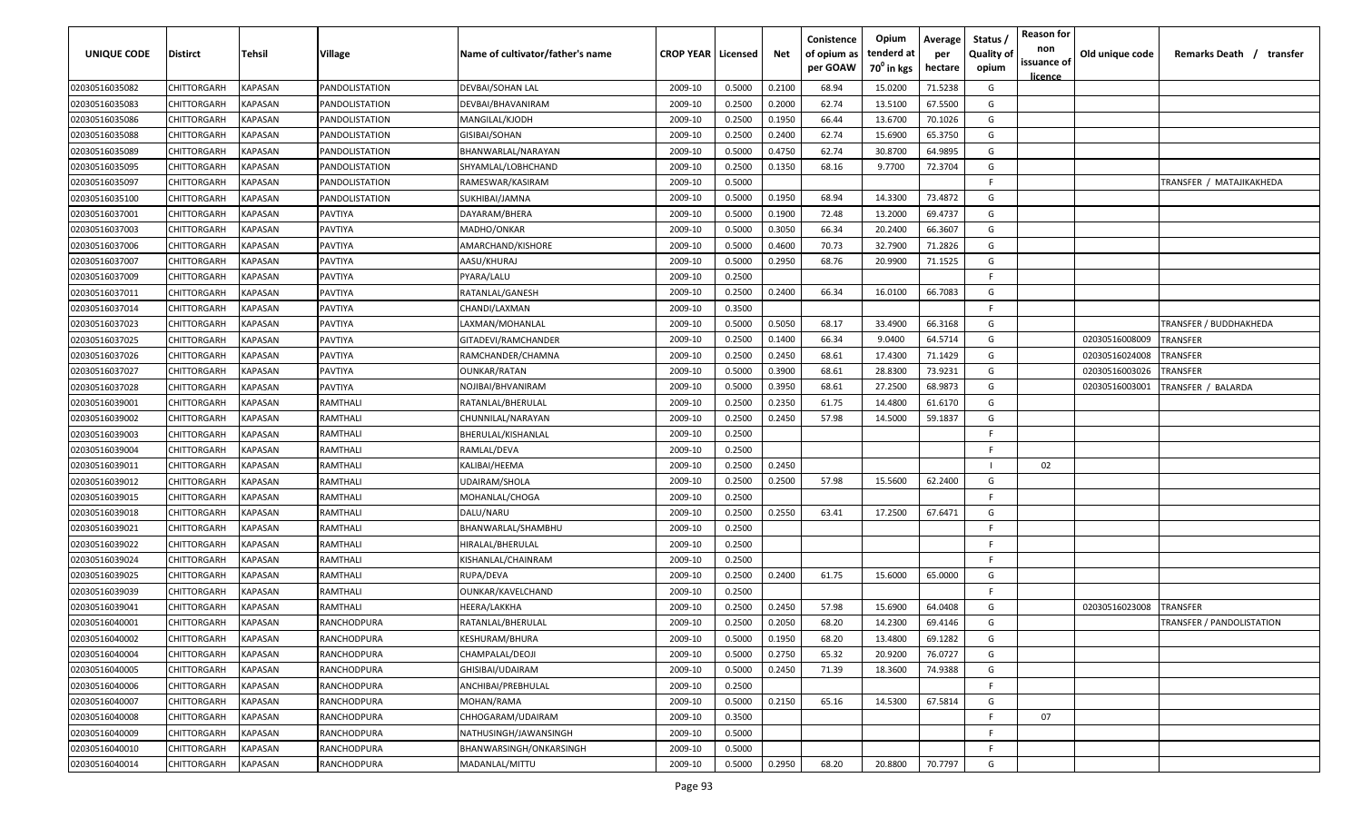| <b>UNIQUE CODE</b> | <b>Distirct</b>    | <b>Tehsil</b>  | Village        | Name of cultivator/father's name | <b>CROP YEAR   Licensed</b> |        | Net    | Conistence<br>of opium as<br>per GOAW | Opium<br>tenderd at<br>$70^0$ in kgs | Average<br>per<br>hectare | Status /<br><b>Quality of</b><br>opium | <b>Reason for</b><br>non<br>issuance of<br>licence | Old unique code | Remarks Death /<br>transfer |
|--------------------|--------------------|----------------|----------------|----------------------------------|-----------------------------|--------|--------|---------------------------------------|--------------------------------------|---------------------------|----------------------------------------|----------------------------------------------------|-----------------|-----------------------------|
| 02030516035082     | CHITTORGARH        | KAPASAN        | PANDOLISTATION | DEVBAI/SOHAN LAL                 | 2009-10                     | 0.5000 | 0.2100 | 68.94                                 | 15.0200                              | 71.5238                   | G                                      |                                                    |                 |                             |
| 02030516035083     | CHITTORGARH        | KAPASAN        | PANDOLISTATION | DEVBAI/BHAVANIRAM                | 2009-10                     | 0.2500 | 0.2000 | 62.74                                 | 13.5100                              | 67.5500                   | G                                      |                                                    |                 |                             |
| 02030516035086     | CHITTORGARH        | KAPASAN        | PANDOLISTATION | MANGILAL/KJODH                   | 2009-10                     | 0.2500 | 0.1950 | 66.44                                 | 13.6700                              | 70.1026                   | G                                      |                                                    |                 |                             |
| 02030516035088     | CHITTORGARH        | KAPASAN        | PANDOLISTATION | GISIBAI/SOHAN                    | 2009-10                     | 0.2500 | 0.2400 | 62.74                                 | 15.6900                              | 65.3750                   | G                                      |                                                    |                 |                             |
| 02030516035089     | CHITTORGARH        | KAPASAN        | PANDOLISTATION | BHANWARLAL/NARAYAN               | 2009-10                     | 0.5000 | 0.4750 | 62.74                                 | 30.8700                              | 64.9895                   | G                                      |                                                    |                 |                             |
| 02030516035095     | CHITTORGARH        | KAPASAN        | PANDOLISTATION | SHYAMLAL/LOBHCHAND               | 2009-10                     | 0.2500 | 0.1350 | 68.16                                 | 9.7700                               | 72.3704                   | G                                      |                                                    |                 |                             |
| 02030516035097     | CHITTORGARH        | KAPASAN        | PANDOLISTATION | RAMESWAR/KASIRAM                 | 2009-10                     | 0.5000 |        |                                       |                                      |                           | -F                                     |                                                    |                 | TRANSFER / MATAJIKAKHEDA    |
| 02030516035100     | CHITTORGARH        | KAPASAN        | PANDOLISTATION | SUKHIBAI/JAMNA                   | 2009-10                     | 0.5000 | 0.1950 | 68.94                                 | 14.3300                              | 73.4872                   | G                                      |                                                    |                 |                             |
| 02030516037001     | CHITTORGARH        | KAPASAN        | PAVTIYA        | DAYARAM/BHERA                    | 2009-10                     | 0.5000 | 0.1900 | 72.48                                 | 13.2000                              | 69.4737                   | G                                      |                                                    |                 |                             |
| 02030516037003     | CHITTORGARH        | KAPASAN        | PAVTIYA        | MADHO/ONKAR                      | 2009-10                     | 0.5000 | 0.3050 | 66.34                                 | 20.2400                              | 66.3607                   | G                                      |                                                    |                 |                             |
| 02030516037006     | CHITTORGARH        | KAPASAN        | PAVTIYA        | AMARCHAND/KISHORE                | 2009-10                     | 0.5000 | 0.4600 | 70.73                                 | 32.7900                              | 71.2826                   | G                                      |                                                    |                 |                             |
| 02030516037007     | CHITTORGARH        | KAPASAN        | PAVTIYA        | AASU/KHURAJ                      | 2009-10                     | 0.5000 | 0.2950 | 68.76                                 | 20.9900                              | 71.1525                   | G                                      |                                                    |                 |                             |
| 02030516037009     | CHITTORGARH        | KAPASAN        | PAVTIYA        | PYARA/LALU                       | 2009-10                     | 0.2500 |        |                                       |                                      |                           | F.                                     |                                                    |                 |                             |
| 02030516037011     | CHITTORGARH        | KAPASAN        | PAVTIYA        | RATANLAL/GANESH                  | 2009-10                     | 0.2500 | 0.2400 | 66.34                                 | 16.0100                              | 66.7083                   | G                                      |                                                    |                 |                             |
| 02030516037014     | CHITTORGARH        | KAPASAN        | PAVTIYA        | CHANDI/LAXMAN                    | 2009-10                     | 0.3500 |        |                                       |                                      |                           | F.                                     |                                                    |                 |                             |
| 02030516037023     | CHITTORGARH        | KAPASAN        | PAVTIYA        | LAXMAN/MOHANLAL                  | 2009-10                     | 0.5000 | 0.5050 | 68.17                                 | 33.4900                              | 66.3168                   | G                                      |                                                    |                 | TRANSFER / BUDDHAKHEDA      |
| 02030516037025     | CHITTORGARH        | KAPASAN        | PAVTIYA        | GITADEVI/RAMCHANDER              | 2009-10                     | 0.2500 | 0.1400 | 66.34                                 | 9.0400                               | 64.5714                   | G                                      |                                                    | 02030516008009  | TRANSFER                    |
| 02030516037026     | CHITTORGARH        | KAPASAN        | PAVTIYA        | RAMCHANDER/CHAMNA                | 2009-10                     | 0.2500 | 0.2450 | 68.61                                 | 17.4300                              | 71.1429                   | G                                      |                                                    | 02030516024008  | TRANSFER                    |
| 02030516037027     | CHITTORGARH        | KAPASAN        | PAVTIYA        | <b>OUNKAR/RATAN</b>              | 2009-10                     | 0.5000 | 0.3900 | 68.61                                 | 28.8300                              | 73.9231                   | G                                      |                                                    | 02030516003026  | TRANSFER                    |
| 02030516037028     | CHITTORGARH        | KAPASAN        | PAVTIYA        | NOJIBAI/BHVANIRAM                | 2009-10                     | 0.5000 | 0.3950 | 68.61                                 | 27.2500                              | 68.9873                   | G                                      |                                                    | 02030516003001  | TRANSFER / BALARDA          |
| 02030516039001     | CHITTORGARH        | KAPASAN        | RAMTHALI       | RATANLAL/BHERULAL                | 2009-10                     | 0.2500 | 0.2350 | 61.75                                 | 14.4800                              | 61.6170                   | G                                      |                                                    |                 |                             |
| 02030516039002     | CHITTORGARH        | KAPASAN        | RAMTHALI       | CHUNNILAL/NARAYAN                | 2009-10                     | 0.2500 | 0.2450 | 57.98                                 | 14.5000                              | 59.1837                   | G                                      |                                                    |                 |                             |
| 02030516039003     | CHITTORGARH        | KAPASAN        | RAMTHALI       | BHERULAL/KISHANLAL               | 2009-10                     | 0.2500 |        |                                       |                                      |                           | E                                      |                                                    |                 |                             |
| 02030516039004     | CHITTORGARH        | KAPASAN        | RAMTHALI       | RAMLAL/DEVA                      | 2009-10                     | 0.2500 |        |                                       |                                      |                           | -F.                                    |                                                    |                 |                             |
| 02030516039011     | CHITTORGARH        | KAPASAN        | RAMTHALI       | KALIBAI/HEEMA                    | 2009-10                     | 0.2500 | 0.2450 |                                       |                                      |                           |                                        | 02                                                 |                 |                             |
| 02030516039012     | CHITTORGARH        | KAPASAN        | RAMTHALI       | UDAIRAM/SHOLA                    | 2009-10                     | 0.2500 | 0.2500 | 57.98                                 | 15.5600                              | 62.2400                   | G                                      |                                                    |                 |                             |
| 02030516039015     | CHITTORGARH        | KAPASAN        | RAMTHALI       | MOHANLAL/CHOGA                   | 2009-10                     | 0.2500 |        |                                       |                                      |                           | -F.                                    |                                                    |                 |                             |
| 02030516039018     | CHITTORGARH        | KAPASAN        | RAMTHALI       | DALU/NARU                        | 2009-10                     | 0.2500 | 0.2550 | 63.41                                 | 17.2500                              | 67.6471                   | G                                      |                                                    |                 |                             |
| 02030516039021     | CHITTORGARH        | KAPASAN        | RAMTHALI       | BHANWARLAL/SHAMBHU               | 2009-10                     | 0.2500 |        |                                       |                                      |                           | -F.                                    |                                                    |                 |                             |
| 02030516039022     | CHITTORGARH        | KAPASAN        | RAMTHALI       | HIRALAL/BHERULAL                 | 2009-10                     | 0.2500 |        |                                       |                                      |                           | -F.                                    |                                                    |                 |                             |
| 02030516039024     | CHITTORGARH        | KAPASAN        | RAMTHALI       | KISHANLAL/CHAINRAM               | 2009-10                     | 0.2500 |        |                                       |                                      |                           | -F.                                    |                                                    |                 |                             |
| 02030516039025     | CHITTORGARH        | KAPASAN        | RAMTHALI       | RUPA/DEVA                        | 2009-10                     | 0.2500 | 0.2400 | 61.75                                 | 15.6000                              | 65.0000                   | G                                      |                                                    |                 |                             |
| 02030516039039     | CHITTORGARH        | KAPASAN        | RAMTHALI       | OUNKAR/KAVELCHAND                | 2009-10                     | 0.2500 |        |                                       |                                      |                           | -F.                                    |                                                    |                 |                             |
| 02030516039041     | CHITTORGARH        | KAPASAN        | RAMTHALI       | HEERA/LAKKHA                     | 2009-10                     | 0.2500 | 0.2450 | 57.98                                 | 15.6900                              | 64.0408                   | G                                      |                                                    | 02030516023008  | TRANSFER                    |
| 02030516040001     | <b>CHITTORGARH</b> | KAPASAN        | RANCHODPURA    | RATANLAL/BHERULAL                | 2009-10                     | 0.2500 | 0.2050 | 68.20                                 | 14.2300                              | 69.4146                   | G                                      |                                                    |                 | TRANSFER / PANDOLISTATION   |
| 02030516040002     | CHITTORGARH        | <b>KAPASAN</b> | RANCHODPURA    | KESHURAM/BHURA                   | 2009-10                     | 0.5000 | 0.1950 | 68.20                                 | 13.4800                              | 69.1282                   | G                                      |                                                    |                 |                             |
| 02030516040004     | <b>CHITTORGARH</b> | KAPASAN        | RANCHODPURA    | CHAMPALAL/DEOJI                  | 2009-10                     | 0.5000 | 0.2750 | 65.32                                 | 20.9200                              | 76.0727                   | G                                      |                                                    |                 |                             |
| 02030516040005     | <b>CHITTORGARH</b> | KAPASAN        | RANCHODPURA    | GHISIBAI/UDAIRAM                 | 2009-10                     | 0.5000 | 0.2450 | 71.39                                 | 18.3600                              | 74.9388                   | G                                      |                                                    |                 |                             |
| 02030516040006     | CHITTORGARH        | KAPASAN        | RANCHODPURA    | ANCHIBAI/PREBHULAL               | 2009-10                     | 0.2500 |        |                                       |                                      |                           | F.                                     |                                                    |                 |                             |
| 02030516040007     | CHITTORGARH        | <b>KAPASAN</b> | RANCHODPURA    | MOHAN/RAMA                       | 2009-10                     | 0.5000 | 0.2150 | 65.16                                 | 14.5300                              | 67.5814                   | G                                      |                                                    |                 |                             |
| 02030516040008     | CHITTORGARH        | KAPASAN        | RANCHODPURA    | CHHOGARAM/UDAIRAM                | 2009-10                     | 0.3500 |        |                                       |                                      |                           | F.                                     | 07                                                 |                 |                             |
| 02030516040009     | CHITTORGARH        | KAPASAN        | RANCHODPURA    | NATHUSINGH/JAWANSINGH            | 2009-10                     | 0.5000 |        |                                       |                                      |                           | F.                                     |                                                    |                 |                             |
| 02030516040010     | CHITTORGARH        | KAPASAN        | RANCHODPURA    | BHANWARSINGH/ONKARSINGH          | 2009-10                     | 0.5000 |        |                                       |                                      |                           | F.                                     |                                                    |                 |                             |
| 02030516040014     | <b>CHITTORGARH</b> | KAPASAN        | RANCHODPURA    | MADANLAL/MITTU                   | 2009-10                     | 0.5000 | 0.2950 | 68.20                                 | 20.8800                              | 70.7797                   | G                                      |                                                    |                 |                             |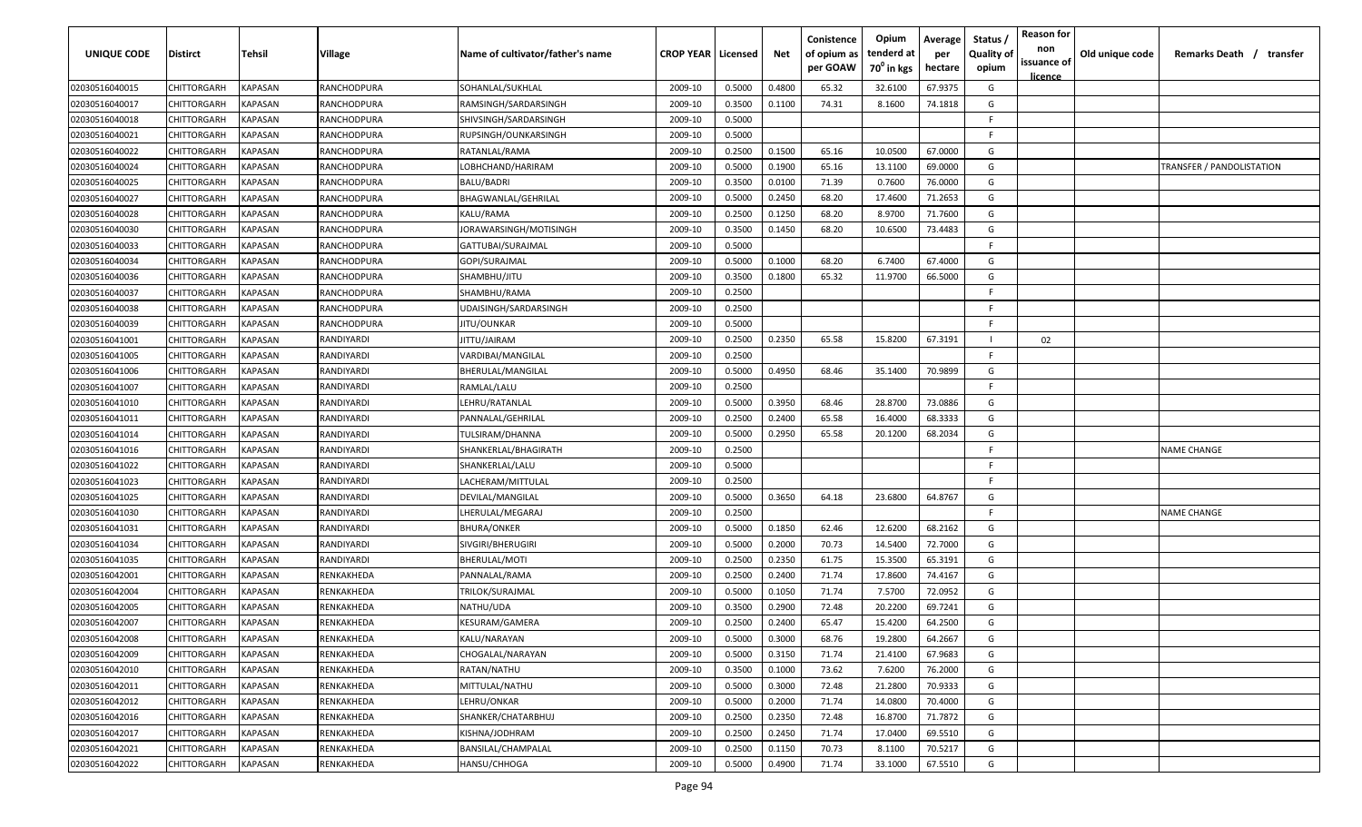| UNIQUE CODE    | <b>Distirct</b> | Tehsil                | Village           | Name of cultivator/father's name | <b>CROP YEAR   Licensed</b> |        | Net    | Conistence<br>of opium as<br>per GOAW | Opium<br>tenderd at<br>70 <sup>°</sup> in kgs | Average<br>per<br>hectare | Status<br><b>Quality of</b><br>opium | <b>Reason for</b><br>non<br>issuance of<br><u>licence</u> | Old unique code | Remarks Death / transfer  |
|----------------|-----------------|-----------------------|-------------------|----------------------------------|-----------------------------|--------|--------|---------------------------------------|-----------------------------------------------|---------------------------|--------------------------------------|-----------------------------------------------------------|-----------------|---------------------------|
| 02030516040015 | CHITTORGARH     | KAPASAN               | RANCHODPURA       | SOHANLAL/SUKHLAL                 | 2009-10                     | 0.5000 | 0.4800 | 65.32                                 | 32.6100                                       | 67.9375                   | G                                    |                                                           |                 |                           |
| 02030516040017 | CHITTORGARH     | KAPASAN               | RANCHODPURA       | RAMSINGH/SARDARSINGH             | 2009-10                     | 0.3500 | 0.1100 | 74.31                                 | 8.1600                                        | 74.1818                   | G                                    |                                                           |                 |                           |
| 02030516040018 | CHITTORGARH     | KAPASAN               | RANCHODPURA       | SHIVSINGH/SARDARSINGH            | 2009-10                     | 0.5000 |        |                                       |                                               |                           | -F                                   |                                                           |                 |                           |
| 02030516040021 | CHITTORGARH     | KAPASAN               | RANCHODPURA       | RUPSINGH/OUNKARSINGH             | 2009-10                     | 0.5000 |        |                                       |                                               |                           | F.                                   |                                                           |                 |                           |
| 02030516040022 | CHITTORGARH     | KAPASAN               | RANCHODPURA       | RATANLAL/RAMA                    | 2009-10                     | 0.2500 | 0.1500 | 65.16                                 | 10.0500                                       | 67.0000                   | G                                    |                                                           |                 |                           |
| 02030516040024 | CHITTORGARH     | KAPASAN               | RANCHODPURA       | LOBHCHAND/HARIRAM                | 2009-10                     | 0.5000 | 0.1900 | 65.16                                 | 13.1100                                       | 69.0000                   | G                                    |                                                           |                 | TRANSFER / PANDOLISTATION |
| 02030516040025 | CHITTORGARH     | KAPASAN               | RANCHODPURA       | BALU/BADRI                       | 2009-10                     | 0.3500 | 0.0100 | 71.39                                 | 0.7600                                        | 76.0000                   | G                                    |                                                           |                 |                           |
| 02030516040027 | CHITTORGARH     | KAPASAN               | RANCHODPURA       | BHAGWANLAL/GEHRILAL              | 2009-10                     | 0.5000 | 0.2450 | 68.20                                 | 17.4600                                       | 71.2653                   | G                                    |                                                           |                 |                           |
| 02030516040028 | CHITTORGARH     | KAPASAN               | RANCHODPURA       | KALU/RAMA                        | 2009-10                     | 0.2500 | 0.1250 | 68.20                                 | 8.9700                                        | 71.7600                   | G                                    |                                                           |                 |                           |
| 02030516040030 | CHITTORGARH     | KAPASAN               | RANCHODPURA       | JORAWARSINGH/MOTISINGH           | 2009-10                     | 0.3500 | 0.1450 | 68.20                                 | 10.6500                                       | 73.4483                   | G                                    |                                                           |                 |                           |
| 02030516040033 | CHITTORGARH     | KAPASAN               | RANCHODPURA       | GATTUBAI/SURAJMAL                | 2009-10                     | 0.5000 |        |                                       |                                               |                           | F.                                   |                                                           |                 |                           |
| 02030516040034 | CHITTORGARH     | KAPASAN               | RANCHODPURA       | GOPI/SURAJMAL                    | 2009-10                     | 0.5000 | 0.1000 | 68.20                                 | 6.7400                                        | 67.4000                   | G                                    |                                                           |                 |                           |
| 02030516040036 | CHITTORGARH     | KAPASAN               | RANCHODPURA       | SHAMBHU/JITU                     | 2009-10                     | 0.3500 | 0.1800 | 65.32                                 | 11.9700                                       | 66.5000                   | G                                    |                                                           |                 |                           |
| 02030516040037 | CHITTORGARH     | KAPASAN               | RANCHODPURA       | SHAMBHU/RAMA                     | 2009-10                     | 0.2500 |        |                                       |                                               |                           | F                                    |                                                           |                 |                           |
| 02030516040038 | CHITTORGARH     | KAPASAN               | RANCHODPURA       | UDAISINGH/SARDARSINGH            | 2009-10                     | 0.2500 |        |                                       |                                               |                           | -F                                   |                                                           |                 |                           |
| 02030516040039 | CHITTORGARH     | KAPASAN               | RANCHODPURA       | <b>IITU/OUNKAR</b>               | 2009-10                     | 0.5000 |        |                                       |                                               |                           | F.                                   |                                                           |                 |                           |
| 02030516041001 | CHITTORGARH     | KAPASAN               | RANDIYARDI        | ITTU/JAIRAM                      | 2009-10                     | 0.2500 | 0.2350 | 65.58                                 | 15.8200                                       | 67.3191                   | - 1                                  | 02                                                        |                 |                           |
| 02030516041005 | CHITTORGARH     | KAPASAN               | RANDIYARDI        | VARDIBAI/MANGILAL                | 2009-10                     | 0.2500 |        |                                       |                                               |                           | E                                    |                                                           |                 |                           |
| 02030516041006 | CHITTORGARH     | KAPASAN               | RANDIYARDI        | BHERULAL/MANGILAL                | 2009-10                     | 0.5000 | 0.4950 | 68.46                                 | 35.1400                                       | 70.9899                   | G                                    |                                                           |                 |                           |
| 02030516041007 | CHITTORGARH     | KAPASAN               | RANDIYARDI        | RAMLAL/LALU                      | 2009-10                     | 0.2500 |        |                                       |                                               |                           | -F                                   |                                                           |                 |                           |
| 02030516041010 | CHITTORGARH     | KAPASAN               | <b>RANDIYARDI</b> | LEHRU/RATANLAL                   | 2009-10                     | 0.5000 | 0.3950 | 68.46                                 | 28.8700                                       | 73.0886                   | G                                    |                                                           |                 |                           |
| 02030516041011 | CHITTORGARH     | KAPASAN               | RANDIYARDI        | PANNALAL/GEHRILAL                | 2009-10                     | 0.2500 | 0.2400 | 65.58                                 | 16.4000                                       | 68.3333                   | G                                    |                                                           |                 |                           |
| 02030516041014 | CHITTORGARH     | KAPASAN               | RANDIYARDI        | TULSIRAM/DHANNA                  | 2009-10                     | 0.5000 | 0.2950 | 65.58                                 | 20.1200                                       | 68.2034                   | G                                    |                                                           |                 |                           |
| 02030516041016 | CHITTORGARH     | KAPASAN               | RANDIYARDI        | SHANKERLAL/BHAGIRATH             | 2009-10                     | 0.2500 |        |                                       |                                               |                           | F                                    |                                                           |                 | NAME CHANGE               |
| 02030516041022 | CHITTORGARH     | KAPASAN               | RANDIYARDI        | SHANKERLAL/LALU                  | 2009-10                     | 0.5000 |        |                                       |                                               |                           | F.                                   |                                                           |                 |                           |
| 02030516041023 | CHITTORGARH     | KAPASAN               | RANDIYARDI        | LACHERAM/MITTULAL                | 2009-10                     | 0.2500 |        |                                       |                                               |                           | F.                                   |                                                           |                 |                           |
| 02030516041025 | CHITTORGARH     | KAPASAN               | RANDIYARDI        | DEVILAL/MANGILAL                 | 2009-10                     | 0.5000 | 0.3650 | 64.18                                 | 23.6800                                       | 64.8767                   | G                                    |                                                           |                 |                           |
| 02030516041030 | CHITTORGARH     | KAPASAN               | RANDIYARDI        | .HERULAL/MEGARAJ                 | 2009-10                     | 0.2500 |        |                                       |                                               |                           | -F.                                  |                                                           |                 | <b>NAME CHANGE</b>        |
| 02030516041031 | CHITTORGARH     | KAPASAN               | RANDIYARDI        | BHURA/ONKER                      | 2009-10                     | 0.5000 | 0.1850 | 62.46                                 | 12.6200                                       | 68.2162                   | G                                    |                                                           |                 |                           |
| 02030516041034 | CHITTORGARH     | KAPASAN               | RANDIYARDI        | SIVGIRI/BHERUGIRI                | 2009-10                     | 0.5000 | 0.2000 | 70.73                                 | 14.5400                                       | 72.7000                   | G                                    |                                                           |                 |                           |
| 02030516041035 | CHITTORGARH     | <b><i>KAPASAN</i></b> | RANDIYARDI        | BHERULAL/MOTI                    | 2009-10                     | 0.2500 | 0.2350 | 61.75                                 | 15.3500                                       | 65.3191                   | G                                    |                                                           |                 |                           |
| 02030516042001 | CHITTORGARH     | <b><i>KAPASAN</i></b> | RENKAKHEDA        | PANNALAL/RAMA                    | 2009-10                     | 0.2500 | 0.2400 | 71.74                                 | 17.8600                                       | 74.4167                   | G                                    |                                                           |                 |                           |
| 02030516042004 | CHITTORGARH     | KAPASAN               | RENKAKHEDA        | TRILOK/SURAJMAL                  | 2009-10                     | 0.5000 | 0.1050 | 71.74                                 | 7.5700                                        | 72.0952                   | G                                    |                                                           |                 |                           |
| 02030516042005 | CHITTORGARH     | KAPASAN               | RENKAKHEDA        | NATHU/UDA                        | 2009-10                     | 0.3500 | 0.2900 | 72.48                                 | 20.2200                                       | 69.7241                   | G                                    |                                                           |                 |                           |
| 02030516042007 | CHITTORGARH     | KAPASAN               | RENKAKHEDA        | KESURAM/GAMERA                   | 2009-10                     | 0.2500 | 0.2400 | 65.47                                 | 15.4200                                       | 64.2500                   | G                                    |                                                           |                 |                           |
| 02030516042008 | CHITTORGARH     | <b>KAPASAN</b>        | RENKAKHEDA        | KALU/NARAYAN                     | 2009-10                     | 0.5000 | 0.3000 | 68.76                                 | 19.2800                                       | 64.2667                   | G                                    |                                                           |                 |                           |
| 02030516042009 | CHITTORGARH     | KAPASAN               | RENKAKHEDA        | CHOGALAL/NARAYAN                 | 2009-10                     | 0.5000 | 0.3150 | 71.74                                 | 21.4100                                       | 67.9683                   | G                                    |                                                           |                 |                           |
| 02030516042010 | CHITTORGARH     | <b>KAPASAN</b>        | RENKAKHEDA        | RATAN/NATHU                      | 2009-10                     | 0.3500 | 0.1000 | 73.62                                 | 7.6200                                        | 76.2000                   | G                                    |                                                           |                 |                           |
| 02030516042011 | CHITTORGARH     | KAPASAN               | RENKAKHEDA        | MITTULAL/NATHU                   | 2009-10                     | 0.5000 | 0.3000 | 72.48                                 | 21.2800                                       | 70.9333                   | G                                    |                                                           |                 |                           |
| 02030516042012 | CHITTORGARH     | KAPASAN               | RENKAKHEDA        | LEHRU/ONKAR                      | 2009-10                     | 0.5000 | 0.2000 | 71.74                                 | 14.0800                                       | 70.4000                   | G                                    |                                                           |                 |                           |
| 02030516042016 | CHITTORGARH     | KAPASAN               | RENKAKHEDA        | SHANKER/CHATARBHUJ               | 2009-10                     | 0.2500 | 0.2350 | 72.48                                 | 16.8700                                       | 71.7872                   | G                                    |                                                           |                 |                           |
| 02030516042017 | CHITTORGARH     | KAPASAN               | RENKAKHEDA        | KISHNA/JODHRAM                   | 2009-10                     | 0.2500 | 0.2450 | 71.74                                 | 17.0400                                       | 69.5510                   | G                                    |                                                           |                 |                           |
| 02030516042021 | CHITTORGARH     | KAPASAN               | RENKAKHEDA        | BANSILAL/CHAMPALAL               | 2009-10                     | 0.2500 | 0.1150 | 70.73                                 | 8.1100                                        | 70.5217                   | G                                    |                                                           |                 |                           |
| 02030516042022 | CHITTORGARH     | KAPASAN               | RENKAKHEDA        | HANSU/CHHOGA                     | 2009-10                     | 0.5000 | 0.4900 | 71.74                                 | 33.1000                                       | 67.5510                   | G                                    |                                                           |                 |                           |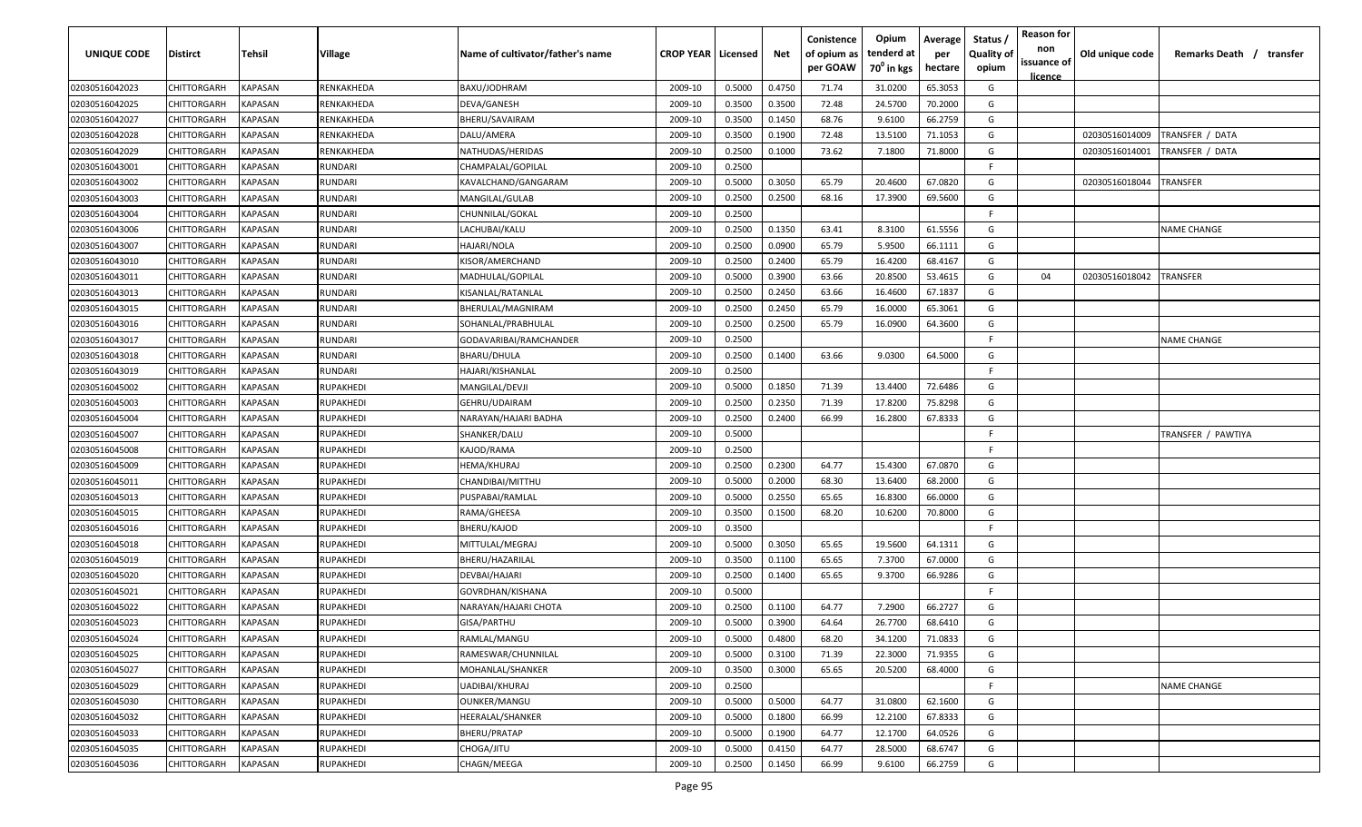| UNIQUE CODE    | Distirct           | Tehsil         | Village        | Name of cultivator/father's name | <b>CROP YEAR   Licensed</b> |        | Net    | Conistence<br>of opium as<br>per GOAW | Opium<br>tenderd at<br>70 <sup>°</sup> in kgs | Average<br>per<br>hectare | Status,<br><b>Quality of</b><br>opium | <b>Reason for</b><br>non<br>issuance of | Old unique code | Remarks Death / transfer |
|----------------|--------------------|----------------|----------------|----------------------------------|-----------------------------|--------|--------|---------------------------------------|-----------------------------------------------|---------------------------|---------------------------------------|-----------------------------------------|-----------------|--------------------------|
| 02030516042023 | CHITTORGARH        | KAPASAN        | RENKAKHEDA     | BAXU/JODHRAM                     | 2009-10                     | 0.5000 | 0.4750 | 71.74                                 | 31.0200                                       | 65.3053                   | G                                     | licence                                 |                 |                          |
| 02030516042025 | CHITTORGARH        | KAPASAN        | RENKAKHEDA     | DEVA/GANESH                      | 2009-10                     | 0.3500 | 0.3500 | 72.48                                 | 24.5700                                       | 70.2000                   | G                                     |                                         |                 |                          |
| 02030516042027 | CHITTORGARH        | <b>KAPASAN</b> | RENKAKHEDA     | BHERU/SAVAIRAM                   | 2009-10                     | 0.3500 | 0.1450 | 68.76                                 | 9.6100                                        | 66.2759                   | G                                     |                                         |                 |                          |
| 02030516042028 | CHITTORGARH        | <b>KAPASAN</b> | RENKAKHEDA     | DALU/AMERA                       | 2009-10                     | 0.3500 | 0.1900 | 72.48                                 | 13.5100                                       | 71.1053                   | G                                     |                                         | 02030516014009  | TRANSFER / DATA          |
| 02030516042029 | CHITTORGARH        | KAPASAN        | RENKAKHEDA     | NATHUDAS/HERIDAS                 | 2009-10                     | 0.2500 | 0.1000 | 73.62                                 | 7.1800                                        | 71.8000                   | G                                     |                                         | 02030516014001  | TRANSFER / DATA          |
| 02030516043001 | CHITTORGARH        | KAPASAN        | RUNDARI        | CHAMPALAL/GOPILAL                | 2009-10                     | 0.2500 |        |                                       |                                               |                           | F                                     |                                         |                 |                          |
| 02030516043002 | CHITTORGARH        | KAPASAN        | RUNDARI        | KAVALCHAND/GANGARAM              | 2009-10                     | 0.5000 | 0.3050 | 65.79                                 | 20.4600                                       | 67.0820                   | G                                     |                                         | 02030516018044  | TRANSFER                 |
| 02030516043003 | CHITTORGARH        | KAPASAN        | RUNDARI        | MANGILAL/GULAB                   | 2009-10                     | 0.2500 | 0.2500 | 68.16                                 | 17.3900                                       | 69.5600                   | G                                     |                                         |                 |                          |
| 02030516043004 | CHITTORGARH        | KAPASAN        | RUNDARI        | CHUNNILAL/GOKAL                  | 2009-10                     | 0.2500 |        |                                       |                                               |                           | E                                     |                                         |                 |                          |
| 02030516043006 | CHITTORGARH        | KAPASAN        | <b>RUNDARI</b> | LACHUBAI/KALU                    | 2009-10                     | 0.2500 | 0.1350 | 63.41                                 | 8.3100                                        | 61.5556                   | G                                     |                                         |                 | <b>NAME CHANGE</b>       |
| 02030516043007 | CHITTORGARH        | KAPASAN        | <b>RUNDARI</b> | HAJARI/NOLA                      | 2009-10                     | 0.2500 | 0.0900 | 65.79                                 | 5.9500                                        | 66.1111                   | G                                     |                                         |                 |                          |
| 02030516043010 | CHITTORGARH        | KAPASAN        | <b>UNDARI</b>  | KISOR/AMERCHAND                  | 2009-10                     | 0.2500 | 0.2400 | 65.79                                 | 16.4200                                       | 68.4167                   | G                                     |                                         |                 |                          |
| 02030516043011 | CHITTORGARH        | <b>KAPASAN</b> | RUNDARI        | MADHULAL/GOPILAL                 | 2009-10                     | 0.5000 | 0.3900 | 63.66                                 | 20.8500                                       | 53.4615                   | G                                     | 04                                      | 02030516018042  | TRANSFER                 |
| 02030516043013 | CHITTORGARH        | KAPASAN        | RUNDARI        | KISANLAL/RATANLAL                | 2009-10                     | 0.2500 | 0.2450 | 63.66                                 | 16.4600                                       | 67.1837                   | G                                     |                                         |                 |                          |
| 02030516043015 | CHITTORGARH        | KAPASAN        | RUNDARI        | BHERULAL/MAGNIRAM                | 2009-10                     | 0.2500 | 0.2450 | 65.79                                 | 16.0000                                       | 65.3061                   | G                                     |                                         |                 |                          |
| 02030516043016 | CHITTORGARH        | <b>KAPASAN</b> | RUNDARI        | SOHANLAL/PRABHULAL               | 2009-10                     | 0.2500 | 0.2500 | 65.79                                 | 16.0900                                       | 64.3600                   | G                                     |                                         |                 |                          |
| 02030516043017 | CHITTORGARH        | <b>KAPASAN</b> | RUNDARI        | GODAVARIBAI/RAMCHANDER           | 2009-10                     | 0.2500 |        |                                       |                                               |                           | E                                     |                                         |                 | <b>NAME CHANGE</b>       |
| 02030516043018 | CHITTORGARH        | KAPASAN        | RUNDARI        | BHARU/DHULA                      | 2009-10                     | 0.2500 | 0.1400 | 63.66                                 | 9.0300                                        | 64.5000                   | G                                     |                                         |                 |                          |
| 02030516043019 | CHITTORGARH        | KAPASAN        | RUNDARI        | HAJARI/KISHANLAL                 | 2009-10                     | 0.2500 |        |                                       |                                               |                           | E                                     |                                         |                 |                          |
| 02030516045002 | CHITTORGARH        | <b>KAPASAN</b> | RUPAKHEDI      | MANGILAL/DEVJI                   | 2009-10                     | 0.5000 | 0.1850 | 71.39                                 | 13.4400                                       | 72.6486                   | G                                     |                                         |                 |                          |
| 02030516045003 | CHITTORGARH        | KAPASAN        | RUPAKHEDI      | GEHRU/UDAIRAM                    | 2009-10                     | 0.2500 | 0.2350 | 71.39                                 | 17.8200                                       | 75.8298                   | G                                     |                                         |                 |                          |
| 02030516045004 | CHITTORGARH        | KAPASAN        | RUPAKHEDI      | NARAYAN/HAJARI BADHA             | 2009-10                     | 0.2500 | 0.2400 | 66.99                                 | 16.2800                                       | 67.8333                   | G                                     |                                         |                 |                          |
| 02030516045007 | CHITTORGARH        | KAPASAN        | RUPAKHEDI      | SHANKER/DALU                     | 2009-10                     | 0.5000 |        |                                       |                                               |                           | F                                     |                                         |                 | TRANSFER / PAWTIYA       |
| 02030516045008 | CHITTORGARH        | KAPASAN        | RUPAKHEDI      | KAJOD/RAMA                       | 2009-10                     | 0.2500 |        |                                       |                                               |                           | F                                     |                                         |                 |                          |
| 02030516045009 | CHITTORGARH        | KAPASAN        | RUPAKHEDI      | HEMA/KHURAJ                      | 2009-10                     | 0.2500 | 0.2300 | 64.77                                 | 15.4300                                       | 67.0870                   | G                                     |                                         |                 |                          |
| 02030516045011 | CHITTORGARH        | KAPASAN        | RUPAKHEDI      | CHANDIBAI/MITTHU                 | 2009-10                     | 0.5000 | 0.2000 | 68.30                                 | 13.6400                                       | 68.2000                   | G                                     |                                         |                 |                          |
| 02030516045013 | CHITTORGARH        | KAPASAN        | RUPAKHEDI      | PUSPABAI/RAMLAL                  | 2009-10                     | 0.5000 | 0.2550 | 65.65                                 | 16.8300                                       | 66.0000                   | G                                     |                                         |                 |                          |
| 02030516045015 | CHITTORGARH        | KAPASAN        | RUPAKHEDI      | RAMA/GHEESA                      | 2009-10                     | 0.3500 | 0.1500 | 68.20                                 | 10.6200                                       | 70.8000                   | G                                     |                                         |                 |                          |
| 02030516045016 | CHITTORGARH        | KAPASAN        | RUPAKHEDI      | BHERU/KAJOD                      | 2009-10                     | 0.3500 |        |                                       |                                               |                           | E                                     |                                         |                 |                          |
| 02030516045018 | CHITTORGARH        | <b>KAPASAN</b> | RUPAKHEDI      | MITTULAL/MEGRAJ                  | 2009-10                     | 0.5000 | 0.3050 | 65.65                                 | 19.5600                                       | 64.1311                   | G                                     |                                         |                 |                          |
| 02030516045019 | CHITTORGARH        | KAPASAN        | RUPAKHEDI      | BHERU/HAZARILAL                  | 2009-10                     | 0.3500 | 0.1100 | 65.65                                 | 7.3700                                        | 67.0000                   | G                                     |                                         |                 |                          |
| 02030516045020 | CHITTORGARH        | KAPASAN        | RUPAKHEDI      | DEVBAI/HAJARI                    | 2009-10                     | 0.2500 | 0.1400 | 65.65                                 | 9.3700                                        | 66.9286                   | G                                     |                                         |                 |                          |
| 02030516045021 | CHITTORGARH        | <b>KAPASAN</b> | RUPAKHEDI      | GOVRDHAN/KISHANA                 | 2009-10                     | 0.5000 |        |                                       |                                               |                           | E                                     |                                         |                 |                          |
| 02030516045022 | CHITTORGARH        | <b>KAPASAN</b> | RUPAKHEDI      | NARAYAN/HAJARI CHOTA             | 2009-10                     | 0.2500 | 0.1100 | 64.77                                 | 7.2900                                        | 66.2727                   | G                                     |                                         |                 |                          |
| 02030516045023 | <b>CHITTORGARH</b> | <b>KAPASAN</b> | RUPAKHEDI      | GISA/PARTHU                      | 2009-10                     | 0.5000 | 0.3900 | 64.64                                 | 26.7700                                       | 68.6410                   | G                                     |                                         |                 |                          |
| 02030516045024 | CHITTORGARH        | <b>KAPASAN</b> | RUPAKHEDI      | RAMLAL/MANGU                     | 2009-10                     | 0.5000 | 0.4800 | 68.20                                 | 34.1200                                       | 71.0833                   | G                                     |                                         |                 |                          |
| 02030516045025 | <b>CHITTORGARH</b> | <b>KAPASAN</b> | RUPAKHEDI      | RAMESWAR/CHUNNILAL               | 2009-10                     | 0.5000 | 0.3100 | 71.39                                 | 22.3000                                       | 71.9355                   | G                                     |                                         |                 |                          |
| 02030516045027 | <b>CHITTORGARH</b> | <b>KAPASAN</b> | RUPAKHEDI      | MOHANLAL/SHANKER                 | 2009-10                     | 0.3500 | 0.3000 | 65.65                                 | 20.5200                                       | 68.4000                   | G                                     |                                         |                 |                          |
| 02030516045029 | <b>CHITTORGARH</b> | <b>KAPASAN</b> | RUPAKHEDI      | UADIBAI/KHURAJ                   | 2009-10                     | 0.2500 |        |                                       |                                               |                           | F                                     |                                         |                 | <b>NAME CHANGE</b>       |
| 02030516045030 | CHITTORGARH        | KAPASAN        | RUPAKHEDI      | OUNKER/MANGU                     | 2009-10                     | 0.5000 | 0.5000 | 64.77                                 | 31.0800                                       | 62.1600                   | G                                     |                                         |                 |                          |
| 02030516045032 | CHITTORGARH        | KAPASAN        | RUPAKHEDI      | HEERALAL/SHANKER                 | 2009-10                     | 0.5000 | 0.1800 | 66.99                                 | 12.2100                                       | 67.8333                   | G                                     |                                         |                 |                          |
| 02030516045033 | CHITTORGARH        | KAPASAN        | RUPAKHEDI      | BHERU/PRATAP                     | 2009-10                     | 0.5000 | 0.1900 | 64.77                                 | 12.1700                                       | 64.0526                   | G                                     |                                         |                 |                          |
| 02030516045035 | CHITTORGARH        | <b>KAPASAN</b> | RUPAKHEDI      | CHOGA/JITU                       | 2009-10                     | 0.5000 | 0.4150 | 64.77                                 | 28.5000                                       | 68.6747                   | G                                     |                                         |                 |                          |
| 02030516045036 | <b>CHITTORGARH</b> | <b>KAPASAN</b> | RUPAKHEDI      | CHAGN/MEEGA                      | 2009-10                     | 0.2500 | 0.1450 | 66.99                                 | 9.6100                                        | 66.2759                   | G                                     |                                         |                 |                          |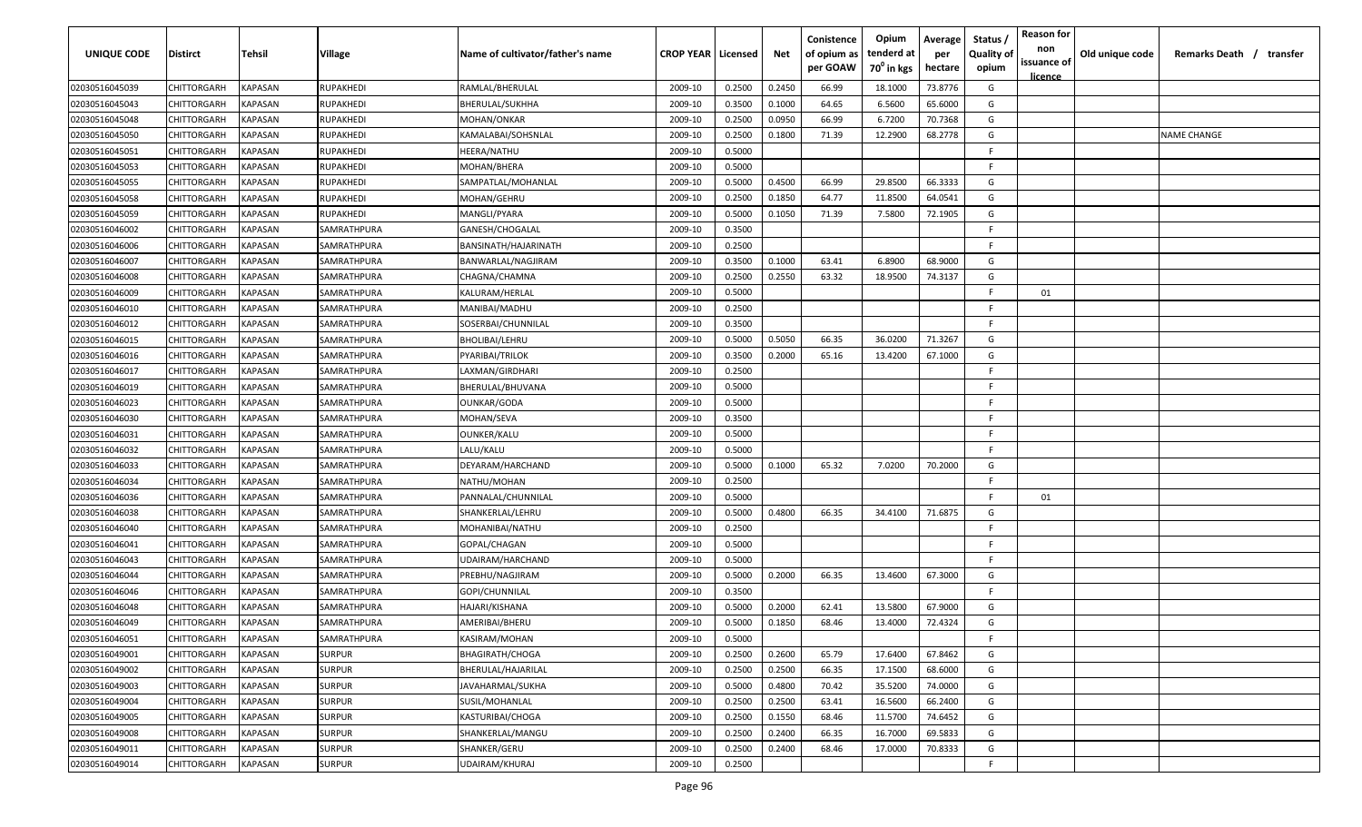| UNIQUE CODE    | <b>Distirct</b>    | Tehsil                | Village            | Name of cultivator/father's name | <b>CROP YEAR   Licensed</b> |        | Net    | Conistence<br>of opium as<br>per GOAW | Opium<br>tenderd at<br>70 <sup>0</sup> in kgs | Average<br>per<br>hectare | Status<br><b>Quality of</b><br>opium | <b>Reason for</b><br>non<br>issuance of<br><u>licence</u> | Old unique code | Remarks Death / transfer |
|----------------|--------------------|-----------------------|--------------------|----------------------------------|-----------------------------|--------|--------|---------------------------------------|-----------------------------------------------|---------------------------|--------------------------------------|-----------------------------------------------------------|-----------------|--------------------------|
| 02030516045039 | CHITTORGARH        | KAPASAN               | <b>RUPAKHEDI</b>   | RAMLAL/BHERULAL                  | 2009-10                     | 0.2500 | 0.2450 | 66.99                                 | 18.1000                                       | 73.8776                   | G                                    |                                                           |                 |                          |
| 02030516045043 | CHITTORGARH        | KAPASAN               | <b>RUPAKHEDI</b>   | BHERULAL/SUKHHA                  | 2009-10                     | 0.3500 | 0.1000 | 64.65                                 | 6.5600                                        | 65.6000                   | G                                    |                                                           |                 |                          |
| 02030516045048 | CHITTORGARH        | KAPASAN               | <b>RUPAKHEDI</b>   | MOHAN/ONKAR                      | 2009-10                     | 0.2500 | 0.0950 | 66.99                                 | 6.7200                                        | 70.7368                   | G                                    |                                                           |                 |                          |
| 02030516045050 | CHITTORGARH        | KAPASAN               | <b>RUPAKHEDI</b>   | KAMALABAI/SOHSNLAL               | 2009-10                     | 0.2500 | 0.1800 | 71.39                                 | 12.2900                                       | 68.2778                   | G                                    |                                                           |                 | <b>NAME CHANGE</b>       |
| 02030516045051 | CHITTORGARH        | KAPASAN               | <b>RUPAKHEDI</b>   | HEERA/NATHU                      | 2009-10                     | 0.5000 |        |                                       |                                               |                           | -F                                   |                                                           |                 |                          |
| 02030516045053 | CHITTORGARH        | KAPASAN               | <b>RUPAKHEDI</b>   | MOHAN/BHERA                      | 2009-10                     | 0.5000 |        |                                       |                                               |                           | -F                                   |                                                           |                 |                          |
| 02030516045055 | CHITTORGARH        | KAPASAN               | <b>RUPAKHEDI</b>   | SAMPATLAL/MOHANLAL               | 2009-10                     | 0.5000 | 0.4500 | 66.99                                 | 29.8500                                       | 66.3333                   | G                                    |                                                           |                 |                          |
| 02030516045058 | CHITTORGARH        | KAPASAN               | <b>RUPAKHEDI</b>   | MOHAN/GEHRU                      | 2009-10                     | 0.2500 | 0.1850 | 64.77                                 | 11.8500                                       | 64.0541                   | G                                    |                                                           |                 |                          |
| 02030516045059 | CHITTORGARH        | KAPASAN               | <b>RUPAKHEDI</b>   | MANGLI/PYARA                     | 2009-10                     | 0.5000 | 0.1050 | 71.39                                 | 7.5800                                        | 72.1905                   | G                                    |                                                           |                 |                          |
| 02030516046002 | CHITTORGARH        | KAPASAN               | SAMRATHPURA        | GANESH/CHOGALAL                  | 2009-10                     | 0.3500 |        |                                       |                                               |                           | E                                    |                                                           |                 |                          |
| 02030516046006 | CHITTORGARH        | KAPASAN               | SAMRATHPURA        | BANSINATH/HAJARINATH             | 2009-10                     | 0.2500 |        |                                       |                                               |                           | -F                                   |                                                           |                 |                          |
| 02030516046007 | <b>CHITTORGARH</b> | KAPASAN               | SAMRATHPURA        | BANWARLAL/NAGJIRAM               | 2009-10                     | 0.3500 | 0.1000 | 63.41                                 | 6.8900                                        | 68.9000                   | G                                    |                                                           |                 |                          |
| 02030516046008 | CHITTORGARH        | KAPASAN               | SAMRATHPURA        | CHAGNA/CHAMNA                    | 2009-10                     | 0.2500 | 0.2550 | 63.32                                 | 18.9500                                       | 74.3137                   | G                                    |                                                           |                 |                          |
| 02030516046009 | CHITTORGARH        | KAPASAN               | SAMRATHPURA        | KALURAM/HERLAL                   | 2009-10                     | 0.5000 |        |                                       |                                               |                           | F                                    | 01                                                        |                 |                          |
| 02030516046010 | CHITTORGARH        | KAPASAN               | SAMRATHPURA        | MANIBAI/MADHU                    | 2009-10                     | 0.2500 |        |                                       |                                               |                           | -F                                   |                                                           |                 |                          |
| 02030516046012 | CHITTORGARH        | KAPASAN               | SAMRATHPURA        | SOSERBAI/CHUNNILAL               | 2009-10                     | 0.3500 |        |                                       |                                               |                           | F.                                   |                                                           |                 |                          |
| 02030516046015 | CHITTORGARH        | KAPASAN               | SAMRATHPURA        | BHOLIBAI/LEHRU                   | 2009-10                     | 0.5000 | 0.5050 | 66.35                                 | 36.0200                                       | 71.3267                   | G                                    |                                                           |                 |                          |
| 02030516046016 | CHITTORGARH        | KAPASAN               | SAMRATHPURA        | PYARIBAI/TRILOK                  | 2009-10                     | 0.3500 | 0.2000 | 65.16                                 | 13.4200                                       | 67.1000                   | G                                    |                                                           |                 |                          |
| 02030516046017 | CHITTORGARH        | KAPASAN               | SAMRATHPURA        | LAXMAN/GIRDHARI                  | 2009-10                     | 0.2500 |        |                                       |                                               |                           | -F                                   |                                                           |                 |                          |
| 02030516046019 | CHITTORGARH        | KAPASAN               | SAMRATHPURA        | BHERULAL/BHUVANA                 | 2009-10                     | 0.5000 |        |                                       |                                               |                           | F.                                   |                                                           |                 |                          |
| 02030516046023 | CHITTORGARH        | KAPASAN               | SAMRATHPURA        | OUNKAR/GODA                      | 2009-10                     | 0.5000 |        |                                       |                                               |                           | -F                                   |                                                           |                 |                          |
| 02030516046030 | CHITTORGARH        | KAPASAN               | SAMRATHPURA        | MOHAN/SEVA                       | 2009-10                     | 0.3500 |        |                                       |                                               |                           | -F                                   |                                                           |                 |                          |
| 02030516046031 | CHITTORGARH        | KAPASAN               | SAMRATHPURA        | OUNKER/KALU                      | 2009-10                     | 0.5000 |        |                                       |                                               |                           | -F                                   |                                                           |                 |                          |
| 02030516046032 | CHITTORGARH        | KAPASAN               | SAMRATHPURA        | LALU/KALU                        | 2009-10                     | 0.5000 |        |                                       |                                               |                           | -F                                   |                                                           |                 |                          |
| 02030516046033 | CHITTORGARH        | KAPASAN               | SAMRATHPURA        | DEYARAM/HARCHAND                 | 2009-10                     | 0.5000 | 0.1000 | 65.32                                 | 7.0200                                        | 70.2000                   | G                                    |                                                           |                 |                          |
| 02030516046034 | CHITTORGARH        | KAPASAN               | SAMRATHPURA        | NATHU/MOHAN                      | 2009-10                     | 0.2500 |        |                                       |                                               |                           | F.                                   |                                                           |                 |                          |
| 02030516046036 | CHITTORGARH        | KAPASAN               | SAMRATHPURA        | PANNALAL/CHUNNILAL               | 2009-10                     | 0.5000 |        |                                       |                                               |                           | E                                    | 01                                                        |                 |                          |
| 02030516046038 | CHITTORGARH        | KAPASAN               | SAMRATHPURA        | SHANKERLAL/LEHRU                 | 2009-10                     | 0.5000 | 0.4800 | 66.35                                 | 34.4100                                       | 71.6875                   | G                                    |                                                           |                 |                          |
| 02030516046040 | <b>CHITTORGARH</b> | KAPASAN               | SAMRATHPURA        | MOHANIBAI/NATHU                  | 2009-10                     | 0.2500 |        |                                       |                                               |                           | -F                                   |                                                           |                 |                          |
| 02030516046041 | CHITTORGARH        | KAPASAN               | SAMRATHPURA        | GOPAL/CHAGAN                     | 2009-10                     | 0.5000 |        |                                       |                                               |                           | -F                                   |                                                           |                 |                          |
| 02030516046043 | CHITTORGARH        | KAPASAN               | SAMRATHPURA        | UDAIRAM/HARCHAND                 | 2009-10                     | 0.5000 |        |                                       |                                               |                           | -F                                   |                                                           |                 |                          |
| 02030516046044 | CHITTORGARH        | <b><i>KAPASAN</i></b> | SAMRATHPURA        | PREBHU/NAGJIRAM                  | 2009-10                     | 0.5000 | 0.2000 | 66.35                                 | 13.4600                                       | 67.3000                   | G                                    |                                                           |                 |                          |
| 02030516046046 | CHITTORGARH        | KAPASAN               | SAMRATHPURA        | GOPI/CHUNNILAL                   | 2009-10                     | 0.3500 |        |                                       |                                               |                           | F.                                   |                                                           |                 |                          |
| 02030516046048 | CHITTORGARH        | KAPASAN               | SAMRATHPURA        | HAJARI/KISHANA                   | 2009-10                     | 0.5000 | 0.2000 | 62.41                                 | 13.5800                                       | 67.9000                   | G                                    |                                                           |                 |                          |
| 02030516046049 | CHITTORGARH        | KAPASAN               | SAMRATHPURA        | AMERIBAI/BHERU                   | 2009-10                     | 0.5000 | 0.1850 | 68.46                                 | 13.4000                                       | 72.4324                   | G                                    |                                                           |                 |                          |
| 02030516046051 | CHITTORGARH        | <b>KAPASAN</b>        | <b>SAMRATHPURA</b> | KASIRAM/MOHAN                    | 2009-10                     | 0.5000 |        |                                       |                                               |                           | -F                                   |                                                           |                 |                          |
| 02030516049001 | CHITTORGARH        | <b>KAPASAN</b>        | <b>SURPUR</b>      | BHAGIRATH/CHOGA                  | 2009-10                     | 0.2500 | 0.2600 | 65.79                                 | 17.6400                                       | 67.8462                   | G                                    |                                                           |                 |                          |
| 02030516049002 | CHITTORGARH        | <b>KAPASAN</b>        | <b>SURPUR</b>      | BHERULAL/HAJARILAL               | 2009-10                     | 0.2500 | 0.2500 | 66.35                                 | 17.1500                                       | 68.6000                   | G                                    |                                                           |                 |                          |
| 02030516049003 | CHITTORGARH        | KAPASAN               | <b>SURPUR</b>      | JAVAHARMAL/SUKHA                 | 2009-10                     | 0.5000 | 0.4800 | 70.42                                 | 35.5200                                       | 74.0000                   | G                                    |                                                           |                 |                          |
| 02030516049004 | CHITTORGARH        | KAPASAN               | <b>SURPUR</b>      | SUSIL/MOHANLAL                   | 2009-10                     | 0.2500 | 0.2500 | 63.41                                 | 16.5600                                       | 66.2400                   | G                                    |                                                           |                 |                          |
| 02030516049005 | CHITTORGARH        | KAPASAN               | <b>SURPUR</b>      | KASTURIBAI/CHOGA                 | 2009-10                     | 0.2500 | 0.1550 | 68.46                                 | 11.5700                                       | 74.6452                   | G                                    |                                                           |                 |                          |
| 02030516049008 | CHITTORGARH        | KAPASAN               | <b>SURPUR</b>      | SHANKERLAL/MANGU                 | 2009-10                     | 0.2500 | 0.2400 | 66.35                                 | 16.7000                                       | 69.5833                   | G                                    |                                                           |                 |                          |
| 02030516049011 | CHITTORGARH        | KAPASAN               | <b>SURPUR</b>      | SHANKER/GERU                     | 2009-10                     | 0.2500 | 0.2400 | 68.46                                 | 17.0000                                       | 70.8333                   | G                                    |                                                           |                 |                          |
| 02030516049014 | CHITTORGARH        | KAPASAN               | <b>SURPUR</b>      | UDAIRAM/KHURAJ                   | 2009-10                     | 0.2500 |        |                                       |                                               |                           | F.                                   |                                                           |                 |                          |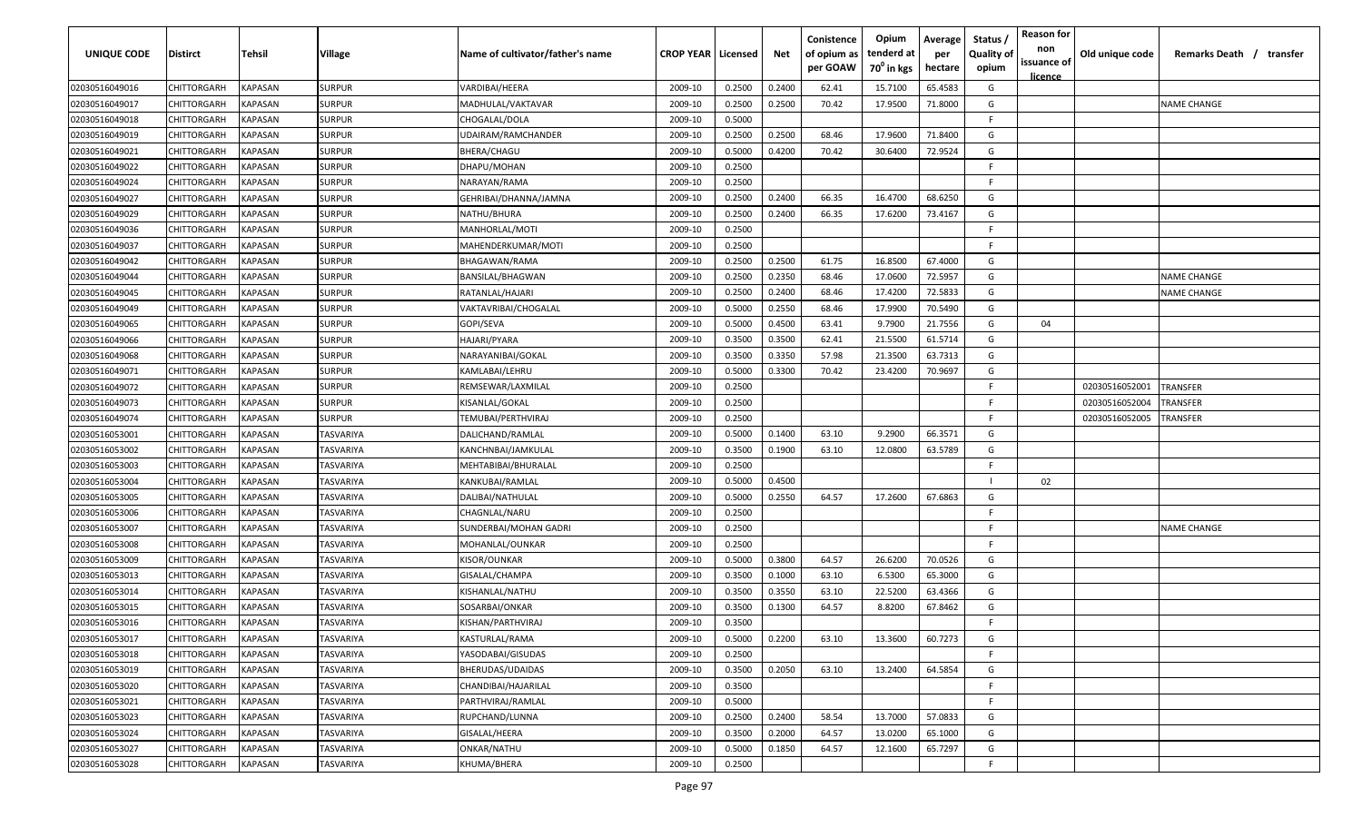| <b>UNIQUE CODE</b> | Distirct           | Tehsil         | Village       | Name of cultivator/father's name | <b>CROP YEAR   Licensed</b> |        | Net    | Conistence<br>of opium as<br>per GOAW | Opium<br>tenderd at<br>70 <sup>0</sup> in kgs | Average<br>per<br>hectare | Status /<br><b>Quality of</b><br>opium | <b>Reason for</b><br>non<br>issuance of<br><u>licence</u> | Old unique code | Remarks Death / transfer |
|--------------------|--------------------|----------------|---------------|----------------------------------|-----------------------------|--------|--------|---------------------------------------|-----------------------------------------------|---------------------------|----------------------------------------|-----------------------------------------------------------|-----------------|--------------------------|
| 02030516049016     | CHITTORGARH        | <b>KAPASAN</b> | <b>SURPUR</b> | VARDIBAI/HEERA                   | 2009-10                     | 0.2500 | 0.2400 | 62.41                                 | 15.7100                                       | 65.4583                   | G                                      |                                                           |                 |                          |
| 02030516049017     | CHITTORGARH        | KAPASAN        | <b>SURPUR</b> | MADHULAL/VAKTAVAR                | 2009-10                     | 0.2500 | 0.2500 | 70.42                                 | 17.9500                                       | 71.8000                   | G                                      |                                                           |                 | NAME CHANGE              |
| 02030516049018     | CHITTORGARH        | KAPASAN        | <b>SURPUR</b> | CHOGALAL/DOLA                    | 2009-10                     | 0.5000 |        |                                       |                                               |                           | -F.                                    |                                                           |                 |                          |
| 02030516049019     | CHITTORGARH        | KAPASAN        | <b>SURPUR</b> | UDAIRAM/RAMCHANDER               | 2009-10                     | 0.2500 | 0.2500 | 68.46                                 | 17.9600                                       | 71.8400                   | G                                      |                                                           |                 |                          |
| 02030516049021     | CHITTORGARH        | KAPASAN        | <b>SURPUR</b> | BHERA/CHAGU                      | 2009-10                     | 0.5000 | 0.4200 | 70.42                                 | 30.6400                                       | 72.9524                   | G                                      |                                                           |                 |                          |
| 02030516049022     | CHITTORGARH        | KAPASAN        | <b>SURPUR</b> | DHAPU/MOHAN                      | 2009-10                     | 0.2500 |        |                                       |                                               |                           | -F.                                    |                                                           |                 |                          |
| 02030516049024     | <b>CHITTORGARH</b> | KAPASAN        | <b>SURPUR</b> | NARAYAN/RAMA                     | 2009-10                     | 0.2500 |        |                                       |                                               |                           | -F.                                    |                                                           |                 |                          |
| 02030516049027     | CHITTORGARH        | KAPASAN        | <b>SURPUR</b> | GEHRIBAI/DHANNA/JAMNA            | 2009-10                     | 0.2500 | 0.2400 | 66.35                                 | 16.4700                                       | 68.6250                   | G                                      |                                                           |                 |                          |
| 02030516049029     | CHITTORGARH        | KAPASAN        | <b>SURPUR</b> | NATHU/BHURA                      | 2009-10                     | 0.2500 | 0.2400 | 66.35                                 | 17.6200                                       | 73.4167                   | G                                      |                                                           |                 |                          |
| 02030516049036     | CHITTORGARH        | KAPASAN        | <b>SURPUR</b> | MANHORLAL/MOTI                   | 2009-10                     | 0.2500 |        |                                       |                                               |                           | F                                      |                                                           |                 |                          |
| 02030516049037     | CHITTORGARH        | KAPASAN        | SURPUR        | MAHENDERKUMAR/MOTI               | 2009-10                     | 0.2500 |        |                                       |                                               |                           | -F.                                    |                                                           |                 |                          |
| 02030516049042     | CHITTORGARH        | KAPASAN        | <b>SURPUR</b> | BHAGAWAN/RAMA                    | 2009-10                     | 0.2500 | 0.2500 | 61.75                                 | 16.8500                                       | 67.4000                   | G                                      |                                                           |                 |                          |
| 02030516049044     | CHITTORGARH        | KAPASAN        | <b>SURPUR</b> | BANSILAL/BHAGWAN                 | 2009-10                     | 0.2500 | 0.2350 | 68.46                                 | 17.0600                                       | 72.5957                   | G                                      |                                                           |                 | <b>NAME CHANGE</b>       |
| 02030516049045     | CHITTORGARH        | KAPASAN        | <b>SURPUR</b> | RATANLAL/HAJARI                  | 2009-10                     | 0.2500 | 0.2400 | 68.46                                 | 17.4200                                       | 72.5833                   | G                                      |                                                           |                 | NAME CHANGE              |
| 02030516049049     | CHITTORGARH        | KAPASAN        | <b>SURPUR</b> | VAKTAVRIBAI/CHOGALAL             | 2009-10                     | 0.5000 | 0.2550 | 68.46                                 | 17.9900                                       | 70.5490                   | G                                      |                                                           |                 |                          |
| 02030516049065     | CHITTORGARH        | KAPASAN        | <b>SURPUR</b> | GOPI/SEVA                        | 2009-10                     | 0.5000 | 0.4500 | 63.41                                 | 9.7900                                        | 21.7556                   | G                                      | 04                                                        |                 |                          |
| 02030516049066     | CHITTORGARH        | KAPASAN        | <b>SURPUR</b> | HAJARI/PYARA                     | 2009-10                     | 0.3500 | 0.3500 | 62.41                                 | 21.5500                                       | 61.5714                   | G                                      |                                                           |                 |                          |
| 02030516049068     | CHITTORGARH        | KAPASAN        | <b>SURPUR</b> | NARAYANIBAI/GOKAL                | 2009-10                     | 0.3500 | 0.3350 | 57.98                                 | 21.3500                                       | 63.7313                   | G                                      |                                                           |                 |                          |
| 02030516049071     | CHITTORGARH        | KAPASAN        | <b>SURPUR</b> | KAMLABAI/LEHRU                   | 2009-10                     | 0.5000 | 0.3300 | 70.42                                 | 23.4200                                       | 70.9697                   | G                                      |                                                           |                 |                          |
| 02030516049072     | CHITTORGARH        | KAPASAN        | <b>SURPUR</b> | REMSEWAR/LAXMILAL                | 2009-10                     | 0.2500 |        |                                       |                                               |                           | -F.                                    |                                                           | 02030516052001  | TRANSFER                 |
| 02030516049073     | CHITTORGARH        | KAPASAN        | <b>SURPUR</b> | KISANLAL/GOKAL                   | 2009-10                     | 0.2500 |        |                                       |                                               |                           | -F.                                    |                                                           | 02030516052004  | TRANSFER                 |
| 02030516049074     | CHITTORGARH        | KAPASAN        | <b>SURPUR</b> | TEMUBAI/PERTHVIRAJ               | 2009-10                     | 0.2500 |        |                                       |                                               |                           | -F                                     |                                                           | 02030516052005  | TRANSFER                 |
| 02030516053001     | CHITTORGARH        | KAPASAN        | TASVARIYA     | DALICHAND/RAMLAL                 | 2009-10                     | 0.5000 | 0.1400 | 63.10                                 | 9.2900                                        | 66.3571                   | G                                      |                                                           |                 |                          |
| 02030516053002     | CHITTORGARH        | KAPASAN        | TASVARIYA     | KANCHNBAI/JAMKULAL               | 2009-10                     | 0.3500 | 0.1900 | 63.10                                 | 12.0800                                       | 63.5789                   | G                                      |                                                           |                 |                          |
| 02030516053003     | CHITTORGARH        | KAPASAN        | TASVARIYA     | MEHTABIBAI/BHURALAL              | 2009-10                     | 0.2500 |        |                                       |                                               |                           | -F.                                    |                                                           |                 |                          |
| 02030516053004     | CHITTORGARH        | KAPASAN        | TASVARIYA     | KANKUBAI/RAMLAL                  | 2009-10                     | 0.5000 | 0.4500 |                                       |                                               |                           |                                        | 02                                                        |                 |                          |
| 02030516053005     | CHITTORGARH        | KAPASAN        | TASVARIYA     | DALIBAI/NATHULAL                 | 2009-10                     | 0.5000 | 0.2550 | 64.57                                 | 17.2600                                       | 67.6863                   | G                                      |                                                           |                 |                          |
| 02030516053006     | CHITTORGARH        | KAPASAN        | TASVARIYA     | CHAGNLAL/NARU                    | 2009-10                     | 0.2500 |        |                                       |                                               |                           | -F.                                    |                                                           |                 |                          |
| 02030516053007     | CHITTORGARH        | KAPASAN        | TASVARIYA     | SUNDERBAI/MOHAN GADRI            | 2009-10                     | 0.2500 |        |                                       |                                               |                           | -F.                                    |                                                           |                 | NAME CHANGE              |
| 02030516053008     | CHITTORGARH        | KAPASAN        | TASVARIYA     | MOHANLAL/OUNKAR                  | 2009-10                     | 0.2500 |        |                                       |                                               |                           | -F.                                    |                                                           |                 |                          |
| 02030516053009     | CHITTORGARH        | KAPASAN        | TASVARIYA     | KISOR/OUNKAR                     | 2009-10                     | 0.5000 | 0.3800 | 64.57                                 | 26.6200                                       | 70.0526                   | G                                      |                                                           |                 |                          |
| 02030516053013     | CHITTORGARH        | KAPASAN        | TASVARIYA     | GISALAL/CHAMPA                   | 2009-10                     | 0.3500 | 0.1000 | 63.10                                 | 6.5300                                        | 65.3000                   | G                                      |                                                           |                 |                          |
| 02030516053014     | CHITTORGARH        | KAPASAN        | TASVARIYA     | KISHANLAL/NATHU                  | 2009-10                     | 0.3500 | 0.3550 | 63.10                                 | 22.5200                                       | 63.4366                   | G                                      |                                                           |                 |                          |
| 02030516053015     | CHITTORGARH        | KAPASAN        | TASVARIYA     | SOSARBAI/ONKAR                   | 2009-10                     | 0.3500 | 0.1300 | 64.57                                 | 8.8200                                        | 67.8462                   | G                                      |                                                           |                 |                          |
| 02030516053016     | CHITTORGARH        | KAPASAN        | TASVARIYA     | KISHAN/PARTHVIRAJ                | 2009-10                     | 0.3500 |        |                                       |                                               |                           | F                                      |                                                           |                 |                          |
| 02030516053017     | CHITTORGARH        | KAPASAN        | TASVARIYA     | KASTURLAL/RAMA                   | 2009-10                     | 0.5000 | 0.2200 | 63.10                                 | 13.3600                                       | 60.7273                   | G                                      |                                                           |                 |                          |
| 02030516053018     | CHITTORGARH        | <b>KAPASAN</b> | TASVARIYA     | YASODABAI/GISUDAS                | 2009-10                     | 0.2500 |        |                                       |                                               |                           | F.                                     |                                                           |                 |                          |
| 02030516053019     | <b>CHITTORGARH</b> | <b>KAPASAN</b> | TASVARIYA     | BHERUDAS/UDAIDAS                 | 2009-10                     | 0.3500 | 0.2050 | 63.10                                 | 13.2400                                       | 64.5854                   | G                                      |                                                           |                 |                          |
| 02030516053020     | <b>CHITTORGARH</b> | <b>KAPASAN</b> | TASVARIYA     | CHANDIBAI/HAJARILAL              | 2009-10                     | 0.3500 |        |                                       |                                               |                           | F.                                     |                                                           |                 |                          |
| 02030516053021     | CHITTORGARH        | KAPASAN        | TASVARIYA     | PARTHVIRAJ/RAMLAL                | 2009-10                     | 0.5000 |        |                                       |                                               |                           | F.                                     |                                                           |                 |                          |
| 02030516053023     | CHITTORGARH        | KAPASAN        | TASVARIYA     | RUPCHAND/LUNNA                   | 2009-10                     | 0.2500 | 0.2400 | 58.54                                 | 13.7000                                       | 57.0833                   | G                                      |                                                           |                 |                          |
| 02030516053024     | CHITTORGARH        | KAPASAN        | TASVARIYA     | GISALAL/HEERA                    | 2009-10                     | 0.3500 | 0.2000 | 64.57                                 | 13.0200                                       | 65.1000                   | G                                      |                                                           |                 |                          |
| 02030516053027     | CHITTORGARH        | KAPASAN        | TASVARIYA     | ONKAR/NATHU                      | 2009-10                     | 0.5000 | 0.1850 | 64.57                                 | 12.1600                                       | 65.7297                   | G                                      |                                                           |                 |                          |
| 02030516053028     | <b>CHITTORGARH</b> | KAPASAN        | TASVARIYA     | KHUMA/BHERA                      | 2009-10                     | 0.2500 |        |                                       |                                               |                           | F.                                     |                                                           |                 |                          |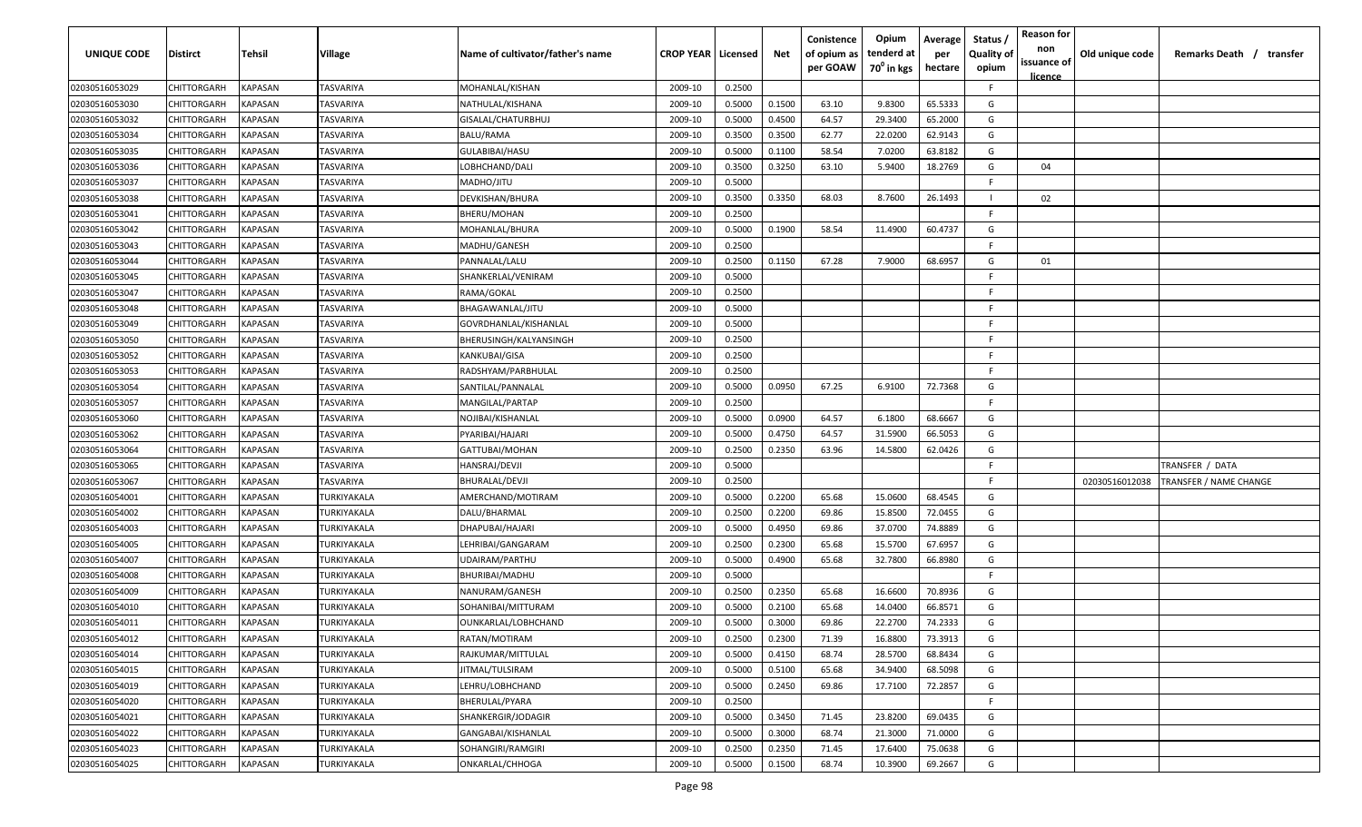| <b>UNIQUE CODE</b>               | Distirct                   | Tehsil             | Village                | Name of cultivator/father's name | <b>CROP YEAR   Licensed</b> |                  | Net    | Conistence<br>of opium as<br>per GOAW | Opium<br>tenderd at<br>70 <sup>0</sup> in kgs | Average<br>per<br>hectare | Status /<br><b>Quality of</b><br>opium | <b>Reason for</b><br>non<br>issuance of | Old unique code | Remarks Death / transfer |
|----------------------------------|----------------------------|--------------------|------------------------|----------------------------------|-----------------------------|------------------|--------|---------------------------------------|-----------------------------------------------|---------------------------|----------------------------------------|-----------------------------------------|-----------------|--------------------------|
|                                  |                            |                    |                        |                                  |                             |                  |        |                                       |                                               |                           |                                        | <u>licence</u>                          |                 |                          |
| 02030516053029                   | CHITTORGARH                | <b>KAPASAN</b>     | TASVARIYA              | MOHANLAL/KISHAN                  | 2009-10                     | 0.2500           |        |                                       |                                               |                           | F.                                     |                                         |                 |                          |
| 02030516053030                   | CHITTORGARH                | KAPASAN            | TASVARIYA              | NATHULAL/KISHANA                 | 2009-10                     | 0.5000           | 0.1500 | 63.10                                 | 9.8300                                        | 65.5333                   | G                                      |                                         |                 |                          |
| 02030516053032                   | CHITTORGARH                | KAPASAN            | TASVARIYA              | GISALAL/CHATURBHUJ               | 2009-10                     | 0.5000           | 0.4500 | 64.57                                 | 29.3400                                       | 65.2000                   | G                                      |                                         |                 |                          |
| 02030516053034                   | CHITTORGARH                | KAPASAN            | TASVARIYA              | BALU/RAMA                        | 2009-10                     | 0.3500           | 0.3500 | 62.77                                 | 22.0200                                       | 62.9143                   | G                                      |                                         |                 |                          |
| 02030516053035                   | CHITTORGARH                | KAPASAN            | TASVARIYA              | GULABIBAI/HASU                   | 2009-10                     | 0.5000           | 0.1100 | 58.54                                 | 7.0200<br>5.9400                              | 63.8182                   | G<br>G                                 |                                         |                 |                          |
| 02030516053036<br>02030516053037 | CHITTORGARH<br>CHITTORGARH | KAPASAN<br>KAPASAN | TASVARIYA<br>TASVARIYA | LOBHCHAND/DALI<br>MADHO/JITU     | 2009-10<br>2009-10          | 0.3500<br>0.5000 | 0.3250 | 63.10                                 |                                               | 18.2769                   | -F                                     | 04                                      |                 |                          |
| 02030516053038                   | CHITTORGARH                | KAPASAN            | TASVARIYA              | DEVKISHAN/BHURA                  | 2009-10                     | 0.3500           | 0.3350 | 68.03                                 | 8.7600                                        | 26.1493                   |                                        | 02                                      |                 |                          |
| 02030516053041                   | CHITTORGARH                | KAPASAN            | TASVARIYA              | BHERU/MOHAN                      | 2009-10                     | 0.2500           |        |                                       |                                               |                           | -F.                                    |                                         |                 |                          |
| 02030516053042                   | CHITTORGARH                | KAPASAN            | TASVARIYA              | MOHANLAL/BHURA                   | 2009-10                     | 0.5000           | 0.1900 | 58.54                                 | 11.4900                                       | 60.4737                   | G                                      |                                         |                 |                          |
| 02030516053043                   | CHITTORGARH                | KAPASAN            | TASVARIYA              | MADHU/GANESH                     | 2009-10                     | 0.2500           |        |                                       |                                               |                           | -F.                                    |                                         |                 |                          |
| 02030516053044                   | CHITTORGARH                | KAPASAN            | TASVARIYA              | PANNALAL/LALU                    | 2009-10                     | 0.2500           | 0.1150 | 67.28                                 | 7.9000                                        | 68.6957                   | G                                      | 01                                      |                 |                          |
| 02030516053045                   | CHITTORGARH                | KAPASAN            | TASVARIYA              | SHANKERLAL/VENIRAM               | 2009-10                     | 0.5000           |        |                                       |                                               |                           | -F.                                    |                                         |                 |                          |
| 02030516053047                   | CHITTORGARH                | KAPASAN            | TASVARIYA              | RAMA/GOKAL                       | 2009-10                     | 0.2500           |        |                                       |                                               |                           | F.                                     |                                         |                 |                          |
| 02030516053048                   | CHITTORGARH                | KAPASAN            | TASVARIYA              | BHAGAWANLAL/JITU                 | 2009-10                     | 0.5000           |        |                                       |                                               |                           | -F.                                    |                                         |                 |                          |
| 02030516053049                   | CHITTORGARH                | KAPASAN            | TASVARIYA              | GOVRDHANLAL/KISHANLAL            | 2009-10                     | 0.5000           |        |                                       |                                               |                           | -F                                     |                                         |                 |                          |
| 02030516053050                   | CHITTORGARH                | KAPASAN            | TASVARIYA              | BHERUSINGH/KALYANSINGH           | 2009-10                     | 0.2500           |        |                                       |                                               |                           | -F.                                    |                                         |                 |                          |
| 02030516053052                   | CHITTORGARH                | KAPASAN            | TASVARIYA              | <b>KANKUBAI/GISA</b>             | 2009-10                     | 0.2500           |        |                                       |                                               |                           | -F.                                    |                                         |                 |                          |
| 02030516053053                   | CHITTORGARH                | KAPASAN            | TASVARIYA              | RADSHYAM/PARBHULAL               | 2009-10                     | 0.2500           |        |                                       |                                               |                           | -F.                                    |                                         |                 |                          |
| 02030516053054                   | CHITTORGARH                | KAPASAN            | TASVARIYA              | SANTILAL/PANNALAL                | 2009-10                     | 0.5000           | 0.0950 | 67.25                                 | 6.9100                                        | 72.7368                   | G                                      |                                         |                 |                          |
| 02030516053057                   | CHITTORGARH                | KAPASAN            | TASVARIYA              | MANGILAL/PARTAP                  | 2009-10                     | 0.2500           |        |                                       |                                               |                           | -F                                     |                                         |                 |                          |
| 02030516053060                   | CHITTORGARH                | KAPASAN            | TASVARIYA              | NOJIBAI/KISHANLAL                | 2009-10                     | 0.5000           | 0.0900 | 64.57                                 | 6.1800                                        | 68.6667                   | G                                      |                                         |                 |                          |
| 02030516053062                   | CHITTORGARH                | KAPASAN            | TASVARIYA              | PYARIBAI/HAJARI                  | 2009-10                     | 0.5000           | 0.4750 | 64.57                                 | 31.5900                                       | 66.5053                   | G                                      |                                         |                 |                          |
| 02030516053064                   | CHITTORGARH                | KAPASAN            | TASVARIYA              | GATTUBAI/MOHAN                   | 2009-10                     | 0.2500           | 0.2350 | 63.96                                 | 14.5800                                       | 62.0426                   | G                                      |                                         |                 |                          |
| 02030516053065                   | CHITTORGARH                | KAPASAN            | TASVARIYA              | HANSRAJ/DEVJI                    | 2009-10                     | 0.5000           |        |                                       |                                               |                           | -F                                     |                                         |                 | TRANSFER / DATA          |
| 02030516053067                   | CHITTORGARH                | KAPASAN            | TASVARIYA              | BHURALAL/DEVJI                   | 2009-10                     | 0.2500           |        |                                       |                                               |                           | -F.                                    |                                         | 02030516012038  | TRANSFER / NAME CHANGE   |
| 02030516054001                   | CHITTORGARH                | KAPASAN            | TURKIYAKALA            | AMERCHAND/MOTIRAM                | 2009-10                     | 0.5000           | 0.2200 | 65.68                                 | 15.0600                                       | 68.4545                   | G                                      |                                         |                 |                          |
| 02030516054002                   | CHITTORGARH                | KAPASAN            | TURKIYAKALA            | DALU/BHARMAL                     | 2009-10                     | 0.2500           | 0.2200 | 69.86                                 | 15.8500                                       | 72.0455                   | G                                      |                                         |                 |                          |
| 02030516054003                   | CHITTORGARH                | KAPASAN            | TURKIYAKALA            | DHAPUBAI/HAJARI                  | 2009-10                     | 0.5000           | 0.4950 | 69.86                                 | 37.0700                                       | 74.8889                   | G                                      |                                         |                 |                          |
| 02030516054005                   | CHITTORGARH                | KAPASAN            | TURKIYAKALA            | LEHRIBAI/GANGARAM                | 2009-10                     | 0.2500           | 0.2300 | 65.68                                 | 15.5700                                       | 67.6957                   | G                                      |                                         |                 |                          |
| 02030516054007                   | CHITTORGARH                | KAPASAN            | TURKIYAKALA            | UDAIRAM/PARTHU                   | 2009-10                     | 0.5000           | 0.4900 | 65.68                                 | 32.7800                                       | 66.8980                   | G                                      |                                         |                 |                          |
| 02030516054008                   | CHITTORGARH                | KAPASAN            | TURKIYAKALA            | BHURIBAI/MADHU                   | 2009-10                     | 0.5000           |        |                                       |                                               |                           | -F.                                    |                                         |                 |                          |
| 02030516054009                   | CHITTORGARH                | KAPASAN            | TURKIYAKALA            | NANURAM/GANESH                   | 2009-10                     | 0.2500           | 0.2350 | 65.68                                 | 16.6600                                       | 70.8936                   | G                                      |                                         |                 |                          |
| 02030516054010                   | CHITTORGARH                | KAPASAN            | TURKIYAKALA            | SOHANIBAI/MITTURAM               | 2009-10                     | 0.5000           | 0.2100 | 65.68                                 | 14.0400                                       | 66.8571                   | G                                      |                                         |                 |                          |
| 02030516054011                   | CHITTORGARH                | KAPASAN            | TURKIYAKALA            | OUNKARLAL/LOBHCHAND              | 2009-10                     | 0.5000           | 0.3000 | 69.86                                 | 22.2700                                       | 74.2333                   | G                                      |                                         |                 |                          |
| 02030516054012                   | <b>CHITTORGARH</b>         | KAPASAN            | TURKIYAKALA            | RATAN/MOTIRAM                    | 2009-10                     | 0.2500           | 0.2300 | 71.39                                 | 16.8800                                       | 73.3913                   | G                                      |                                         |                 |                          |
| 02030516054014                   | CHITTORGARH                | <b>KAPASAN</b>     | TURKIYAKALA            | RAJKUMAR/MITTULAL                | 2009-10                     | 0.5000           | 0.4150 | 68.74                                 | 28.5700                                       | 68.8434                   | G                                      |                                         |                 |                          |
| 02030516054015                   | <b>CHITTORGARH</b>         | <b>KAPASAN</b>     | TURKIYAKALA            | JITMAL/TULSIRAM                  | 2009-10                     | 0.5000           | 0.5100 | 65.68                                 | 34.9400                                       | 68.5098                   | G                                      |                                         |                 |                          |
| 02030516054019                   | <b>CHITTORGARH</b>         | <b>KAPASAN</b>     | TURKIYAKALA            | LEHRU/LOBHCHAND                  | 2009-10                     | 0.5000           | 0.2450 | 69.86                                 | 17.7100                                       | 72.2857                   | G                                      |                                         |                 |                          |
| 02030516054020                   | CHITTORGARH                | KAPASAN            | TURKIYAKALA            | BHERULAL/PYARA                   | 2009-10                     | 0.2500           |        |                                       |                                               |                           | F.                                     |                                         |                 |                          |
| 02030516054021                   | <b>CHITTORGARH</b>         | KAPASAN            | <b>TURKIYAKALA</b>     | SHANKERGIR/JODAGIR               | 2009-10                     | 0.5000           | 0.3450 | 71.45                                 | 23.8200                                       | 69.0435                   | G                                      |                                         |                 |                          |
| 02030516054022                   | CHITTORGARH                | KAPASAN            | TURKIYAKALA            | GANGABAI/KISHANLAL               | 2009-10                     | 0.5000           | 0.3000 | 68.74                                 | 21.3000                                       | 71.0000                   | G                                      |                                         |                 |                          |
| 02030516054023                   | CHITTORGARH                | KAPASAN            | TURKIYAKALA            | SOHANGIRI/RAMGIRI                | 2009-10                     | 0.2500           | 0.2350 | 71.45                                 | 17.6400                                       | 75.0638                   | G                                      |                                         |                 |                          |
| 02030516054025                   | <b>CHITTORGARH</b>         | KAPASAN            | TURKIYAKALA            | ONKARLAL/CHHOGA                  | 2009-10                     | 0.5000           | 0.1500 | 68.74                                 | 10.3900                                       | 69.2667                   | G                                      |                                         |                 |                          |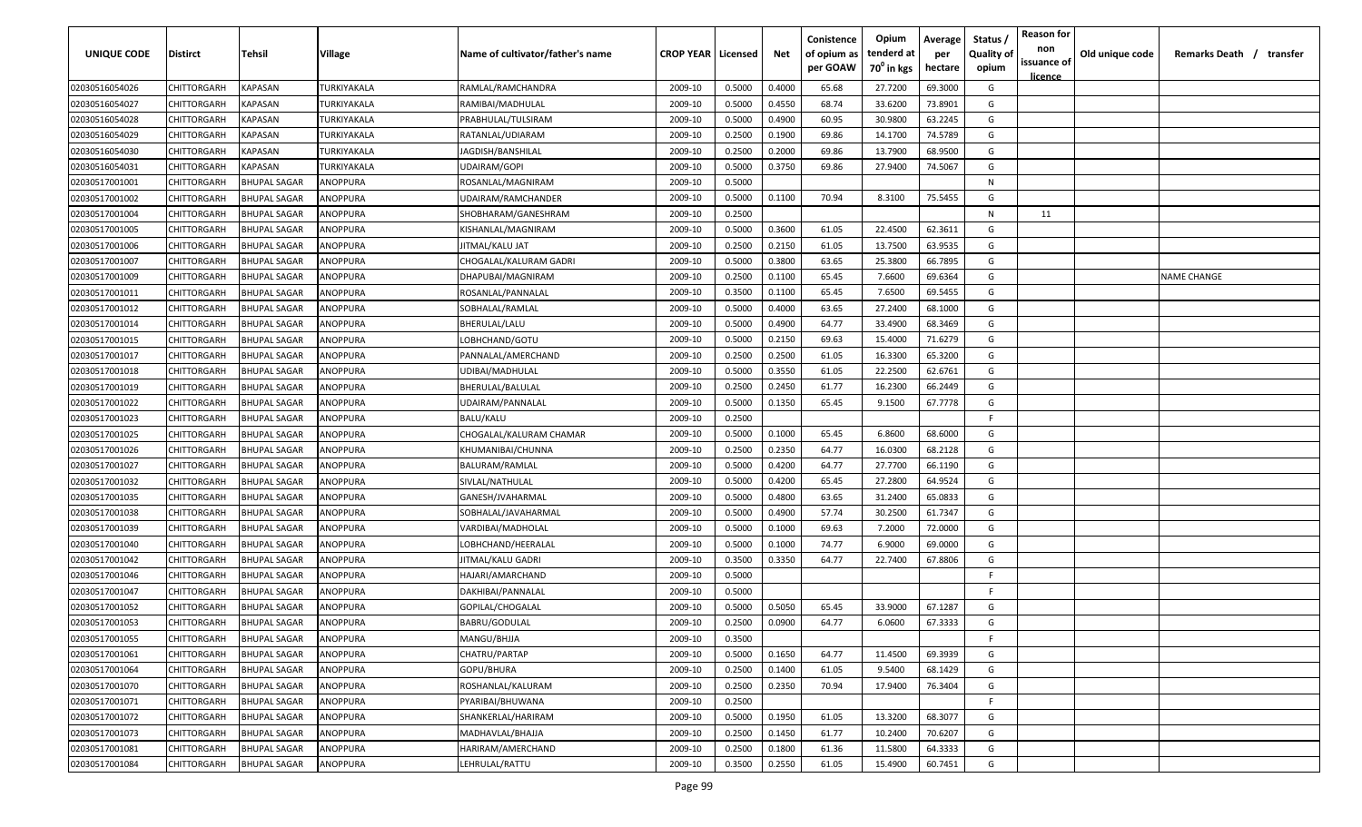| <b>UNIQUE CODE</b> | Distirct           | Tehsil              | Village     | Name of cultivator/father's name | <b>CROP YEAR   Licensed</b> |        | Net    | Conistence<br>of opium as<br>per GOAW | Opium<br>tenderd at<br>70 <sup>0</sup> in kgs | Average<br>per<br>hectare | Status /<br><b>Quality of</b><br>opium | <b>Reason for</b><br>non<br>issuance of<br><u>licence</u> | Old unique code | Remarks Death / transfer |
|--------------------|--------------------|---------------------|-------------|----------------------------------|-----------------------------|--------|--------|---------------------------------------|-----------------------------------------------|---------------------------|----------------------------------------|-----------------------------------------------------------|-----------------|--------------------------|
| 02030516054026     | CHITTORGARH        | <b>KAPASAN</b>      | TURKIYAKALA | RAMLAL/RAMCHANDRA                | 2009-10                     | 0.5000 | 0.4000 | 65.68                                 | 27.7200                                       | 69.3000                   | G                                      |                                                           |                 |                          |
| 02030516054027     | CHITTORGARH        | KAPASAN             | TURKIYAKALA | RAMIBAI/MADHULAL                 | 2009-10                     | 0.5000 | 0.4550 | 68.74                                 | 33.6200                                       | 73.8901                   | G                                      |                                                           |                 |                          |
| 02030516054028     | CHITTORGARH        | KAPASAN             | TURKIYAKALA | PRABHULAL/TULSIRAM               | 2009-10                     | 0.5000 | 0.4900 | 60.95                                 | 30.9800                                       | 63.2245                   | G                                      |                                                           |                 |                          |
| 02030516054029     | CHITTORGARH        | KAPASAN             | TURKIYAKALA | RATANLAL/UDIARAM                 | 2009-10                     | 0.2500 | 0.1900 | 69.86                                 | 14.1700                                       | 74.5789                   | G                                      |                                                           |                 |                          |
| 02030516054030     | CHITTORGARH        | KAPASAN             | TURKIYAKALA | JAGDISH/BANSHILAL                | 2009-10                     | 0.2500 | 0.2000 | 69.86                                 | 13.7900                                       | 68.9500                   | G                                      |                                                           |                 |                          |
| 02030516054031     | CHITTORGARH        | KAPASAN             | TURKIYAKALA | UDAIRAM/GOPI                     | 2009-10                     | 0.5000 | 0.3750 | 69.86                                 | 27.9400                                       | 74.5067                   | G                                      |                                                           |                 |                          |
| 02030517001001     | CHITTORGARH        | <b>BHUPAL SAGAR</b> | ANOPPURA    | ROSANLAL/MAGNIRAM                | 2009-10                     | 0.5000 |        |                                       |                                               |                           | N                                      |                                                           |                 |                          |
| 02030517001002     | CHITTORGARH        | BHUPAL SAGAR        | ANOPPURA    | UDAIRAM/RAMCHANDER               | 2009-10                     | 0.5000 | 0.1100 | 70.94                                 | 8.3100                                        | 75.5455                   | G                                      |                                                           |                 |                          |
| 02030517001004     | CHITTORGARH        | <b>BHUPAL SAGAR</b> | ANOPPURA    | SHOBHARAM/GANESHRAM              | 2009-10                     | 0.2500 |        |                                       |                                               |                           | N                                      | 11                                                        |                 |                          |
| 02030517001005     | CHITTORGARH        | <b>BHUPAL SAGAR</b> | ANOPPURA    | KISHANLAL/MAGNIRAM               | 2009-10                     | 0.5000 | 0.3600 | 61.05                                 | 22.4500                                       | 62.3611                   | G                                      |                                                           |                 |                          |
| 02030517001006     | CHITTORGARH        | <b>BHUPAL SAGAR</b> | ANOPPURA    | IITMAL/KALU JAT                  | 2009-10                     | 0.2500 | 0.2150 | 61.05                                 | 13.7500                                       | 63.9535                   | G                                      |                                                           |                 |                          |
| 02030517001007     | CHITTORGARH        | <b>BHUPAL SAGAR</b> | ANOPPURA    | CHOGALAL/KALURAM GADRI           | 2009-10                     | 0.5000 | 0.3800 | 63.65                                 | 25.3800                                       | 66.7895                   | G                                      |                                                           |                 |                          |
| 02030517001009     | CHITTORGARH        | <b>BHUPAL SAGAR</b> | ANOPPURA    | DHAPUBAI/MAGNIRAM                | 2009-10                     | 0.2500 | 0.1100 | 65.45                                 | 7.6600                                        | 69.6364                   | G                                      |                                                           |                 | NAME CHANGE              |
| 02030517001011     | CHITTORGARH        | <b>BHUPAL SAGAR</b> | ANOPPURA    | ROSANLAL/PANNALAL                | 2009-10                     | 0.3500 | 0.1100 | 65.45                                 | 7.6500                                        | 69.5455                   | G                                      |                                                           |                 |                          |
| 02030517001012     | CHITTORGARH        | <b>BHUPAL SAGAR</b> | ANOPPURA    | SOBHALAL/RAMLAL                  | 2009-10                     | 0.5000 | 0.4000 | 63.65                                 | 27.2400                                       | 68.1000                   | G                                      |                                                           |                 |                          |
| 02030517001014     | CHITTORGARH        | <b>BHUPAL SAGAR</b> | ANOPPURA    | BHERULAL/LALU                    | 2009-10                     | 0.5000 | 0.4900 | 64.77                                 | 33.4900                                       | 68.3469                   | G                                      |                                                           |                 |                          |
| 02030517001015     | CHITTORGARH        | <b>BHUPAL SAGAR</b> | ANOPPURA    | LOBHCHAND/GOTU                   | 2009-10                     | 0.5000 | 0.2150 | 69.63                                 | 15.4000                                       | 71.6279                   | G                                      |                                                           |                 |                          |
| 02030517001017     | CHITTORGARH        | <b>BHUPAL SAGAR</b> | ANOPPURA    | PANNALAL/AMERCHAND               | 2009-10                     | 0.2500 | 0.2500 | 61.05                                 | 16.3300                                       | 65.3200                   | G                                      |                                                           |                 |                          |
| 02030517001018     | CHITTORGARH        | <b>BHUPAL SAGAR</b> | ANOPPURA    | UDIBAI/MADHULAL                  | 2009-10                     | 0.5000 | 0.3550 | 61.05                                 | 22.2500                                       | 62.6761                   | G                                      |                                                           |                 |                          |
| 02030517001019     | CHITTORGARH        | <b>BHUPAL SAGAR</b> | ANOPPURA    | BHERULAL/BALULAL                 | 2009-10                     | 0.2500 | 0.2450 | 61.77                                 | 16.2300                                       | 66.2449                   | G                                      |                                                           |                 |                          |
| 02030517001022     | CHITTORGARH        | <b>BHUPAL SAGAR</b> | ANOPPURA    | UDAIRAM/PANNALAL                 | 2009-10                     | 0.5000 | 0.1350 | 65.45                                 | 9.1500                                        | 67.7778                   | G                                      |                                                           |                 |                          |
| 02030517001023     | CHITTORGARH        | <b>BHUPAL SAGAR</b> | ANOPPURA    | BALU/KALU                        | 2009-10                     | 0.2500 |        |                                       |                                               |                           | -F                                     |                                                           |                 |                          |
| 02030517001025     | CHITTORGARH        | <b>BHUPAL SAGAR</b> | ANOPPURA    | CHOGALAL/KALURAM CHAMAR          | 2009-10                     | 0.5000 | 0.1000 | 65.45                                 | 6.8600                                        | 68.6000                   | G                                      |                                                           |                 |                          |
| 02030517001026     | CHITTORGARH        | <b>BHUPAL SAGAR</b> | ANOPPURA    | KHUMANIBAI/CHUNNA                | 2009-10                     | 0.2500 | 0.2350 | 64.77                                 | 16.0300                                       | 68.2128                   | G                                      |                                                           |                 |                          |
| 02030517001027     | CHITTORGARH        | <b>BHUPAL SAGAR</b> | ANOPPURA    | BALURAM/RAMLAL                   | 2009-10                     | 0.5000 | 0.4200 | 64.77                                 | 27.7700                                       | 66.1190                   | G                                      |                                                           |                 |                          |
| 02030517001032     | CHITTORGARH        | <b>BHUPAL SAGAR</b> | ANOPPURA    | SIVLAL/NATHULAL                  | 2009-10                     | 0.5000 | 0.4200 | 65.45                                 | 27.2800                                       | 64.9524                   | G                                      |                                                           |                 |                          |
| 02030517001035     | CHITTORGARH        | BHUPAL SAGAR        | ANOPPURA    | GANESH/JVAHARMAL                 | 2009-10                     | 0.5000 | 0.4800 | 63.65                                 | 31.2400                                       | 65.0833                   | G                                      |                                                           |                 |                          |
| 02030517001038     | CHITTORGARH        | BHUPAL SAGAR        | ANOPPURA    | SOBHALAL/JAVAHARMAL              | 2009-10                     | 0.5000 | 0.4900 | 57.74                                 | 30.2500                                       | 61.7347                   | G                                      |                                                           |                 |                          |
| 02030517001039     | CHITTORGARH        | <b>BHUPAL SAGAR</b> | ANOPPURA    | VARDIBAI/MADHOLAL                | 2009-10                     | 0.5000 | 0.1000 | 69.63                                 | 7.2000                                        | 72.0000                   | G                                      |                                                           |                 |                          |
| 02030517001040     | CHITTORGARH        | <b>BHUPAL SAGAR</b> | ANOPPURA    | LOBHCHAND/HEERALAL               | 2009-10                     | 0.5000 | 0.1000 | 74.77                                 | 6.9000                                        | 69.0000                   | G                                      |                                                           |                 |                          |
| 02030517001042     | CHITTORGARH        | <b>BHUPAL SAGAR</b> | ANOPPURA    | JITMAL/KALU GADRI                | 2009-10                     | 0.3500 | 0.3350 | 64.77                                 | 22.7400                                       | 67.8806                   | G                                      |                                                           |                 |                          |
| 02030517001046     | CHITTORGARH        | <b>BHUPAL SAGAR</b> | ANOPPURA    | HAJARI/AMARCHAND                 | 2009-10                     | 0.5000 |        |                                       |                                               |                           | -F.                                    |                                                           |                 |                          |
| 02030517001047     | CHITTORGARH        | <b>BHUPAL SAGAR</b> | ANOPPURA    | DAKHIBAI/PANNALAL                | 2009-10                     | 0.5000 |        |                                       |                                               |                           | -F                                     |                                                           |                 |                          |
| 02030517001052     | CHITTORGARH        | <b>BHUPAL SAGAR</b> | ANOPPURA    | GOPILAL/CHOGALAL                 | 2009-10                     | 0.5000 | 0.5050 | 65.45                                 | 33.9000                                       | 67.1287                   | G                                      |                                                           |                 |                          |
| 02030517001053     | CHITTORGARH        | BHUPAL SAGAR        | ANOPPURA    | BABRU/GODULAL                    | 2009-10                     | 0.2500 | 0.0900 | 64.77                                 | 6.0600                                        | 67.3333                   | G                                      |                                                           |                 |                          |
| 02030517001055     | <b>CHITTORGARH</b> | <b>BHUPAL SAGAR</b> | ANOPPURA    | MANGU/BHJJA                      | 2009-10                     | 0.3500 |        |                                       |                                               |                           | F.                                     |                                                           |                 |                          |
| 02030517001061     | CHITTORGARH        | <b>BHUPAL SAGAR</b> | ANOPPURA    | CHATRU/PARTAP                    | 2009-10                     | 0.5000 | 0.1650 | 64.77                                 | 11.4500                                       | 69.3939                   | G                                      |                                                           |                 |                          |
| 02030517001064     | CHITTORGARH        | <b>BHUPAL SAGAR</b> | ANOPPURA    | GOPU/BHURA                       | 2009-10                     | 0.2500 | 0.1400 | 61.05                                 | 9.5400                                        | 68.1429                   | G                                      |                                                           |                 |                          |
| 02030517001070     | <b>CHITTORGARH</b> | <b>BHUPAL SAGAR</b> | ANOPPURA    | ROSHANLAL/KALURAM                | 2009-10                     | 0.2500 | 0.2350 | 70.94                                 | 17.9400                                       | 76.3404                   | G                                      |                                                           |                 |                          |
| 02030517001071     | CHITTORGARH        | <b>BHUPAL SAGAR</b> | ANOPPURA    | PYARIBAI/BHUWANA                 | 2009-10                     | 0.2500 |        |                                       |                                               |                           | F.                                     |                                                           |                 |                          |
| 02030517001072     | CHITTORGARH        | <b>BHUPAL SAGAR</b> | ANOPPURA    | SHANKERLAL/HARIRAM               | 2009-10                     | 0.5000 | 0.1950 | 61.05                                 | 13.3200                                       | 68.3077                   | G                                      |                                                           |                 |                          |
| 02030517001073     | CHITTORGARH        | <b>BHUPAL SAGAR</b> | ANOPPURA    | MADHAVLAL/BHAJJA                 | 2009-10                     | 0.2500 | 0.1450 | 61.77                                 | 10.2400                                       | 70.6207                   | G                                      |                                                           |                 |                          |
| 02030517001081     | CHITTORGARH        | <b>BHUPAL SAGAR</b> | ANOPPURA    | HARIRAM/AMERCHAND                | 2009-10                     | 0.2500 | 0.1800 | 61.36                                 | 11.5800                                       | 64.3333                   | G                                      |                                                           |                 |                          |
| 02030517001084     | CHITTORGARH        | <b>BHUPAL SAGAR</b> | ANOPPURA    | LEHRULAL/RATTU                   | 2009-10                     | 0.3500 | 0.2550 | 61.05                                 | 15.4900                                       | 60.7451                   | G                                      |                                                           |                 |                          |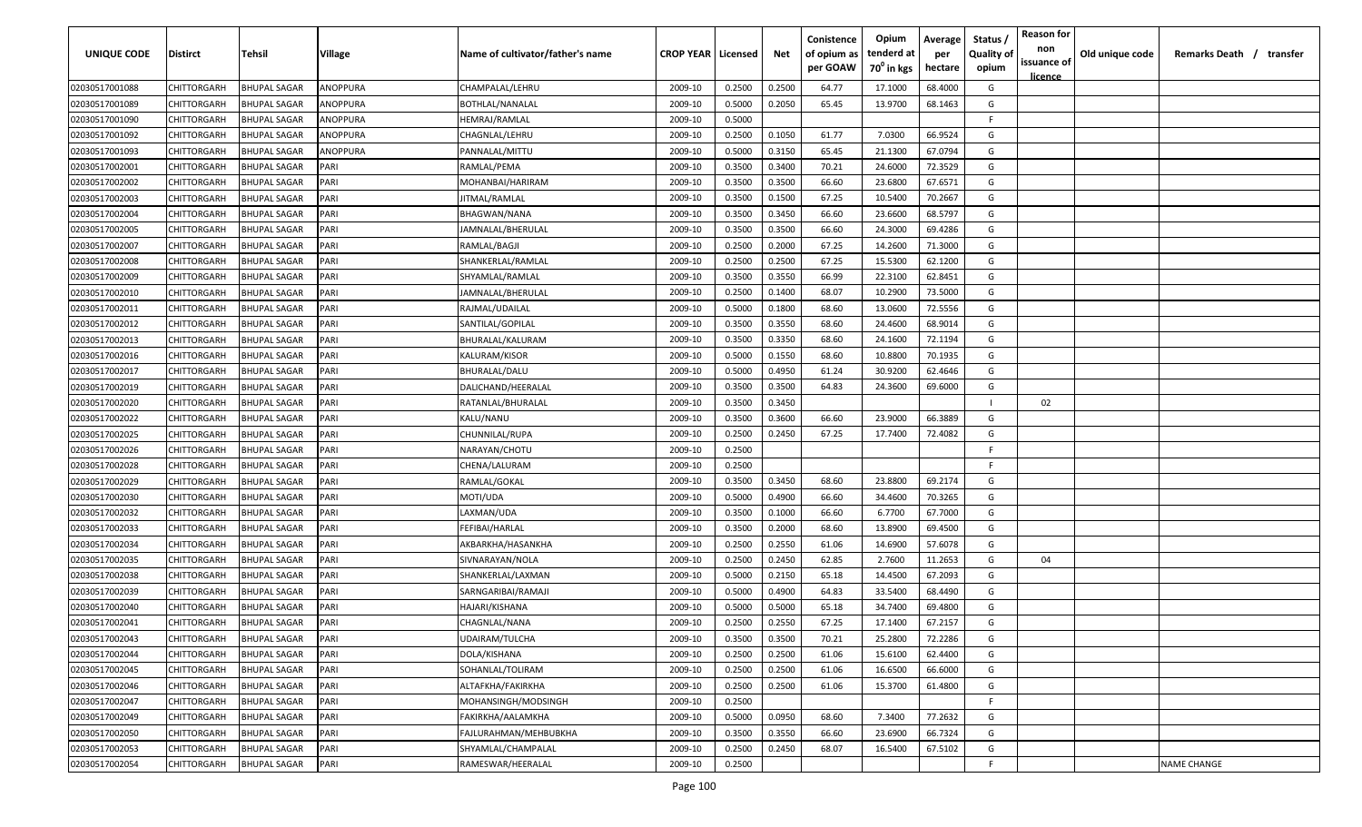| <b>UNIQUE CODE</b> | Distirct           | Tehsil              | Village  | Name of cultivator/father's name | <b>CROP YEAR   Licensed</b> |        | Net    | Conistence<br>of opium as<br>per GOAW | Opium<br>tenderd at<br>70 <sup>0</sup> in kgs | Average<br>per<br>hectare | Status /<br><b>Quality of</b><br>opium | <b>Reason for</b><br>non<br>issuance of<br><u>licence</u> | Old unique code | Remarks Death / transfer |
|--------------------|--------------------|---------------------|----------|----------------------------------|-----------------------------|--------|--------|---------------------------------------|-----------------------------------------------|---------------------------|----------------------------------------|-----------------------------------------------------------|-----------------|--------------------------|
| 02030517001088     | CHITTORGARH        | <b>BHUPAL SAGAR</b> | ANOPPURA | CHAMPALAL/LEHRU                  | 2009-10                     | 0.2500 | 0.2500 | 64.77                                 | 17.1000                                       | 68.4000                   | G                                      |                                                           |                 |                          |
| 02030517001089     | CHITTORGARH        | <b>BHUPAL SAGAR</b> | ANOPPURA | <b>BOTHLAL/NANALAL</b>           | 2009-10                     | 0.5000 | 0.2050 | 65.45                                 | 13.9700                                       | 68.1463                   | G                                      |                                                           |                 |                          |
| 02030517001090     | CHITTORGARH        | <b>BHUPAL SAGAR</b> | ANOPPURA | HEMRAJ/RAMLAL                    | 2009-10                     | 0.5000 |        |                                       |                                               |                           | -F.                                    |                                                           |                 |                          |
| 02030517001092     | CHITTORGARH        | <b>BHUPAL SAGAR</b> | ANOPPURA | CHAGNLAL/LEHRU                   | 2009-10                     | 0.2500 | 0.1050 | 61.77                                 | 7.0300                                        | 66.9524                   | G                                      |                                                           |                 |                          |
| 02030517001093     | CHITTORGARH        | <b>BHUPAL SAGAR</b> | ANOPPURA | PANNALAL/MITTU                   | 2009-10                     | 0.5000 | 0.3150 | 65.45                                 | 21.1300                                       | 67.0794                   | G                                      |                                                           |                 |                          |
| 02030517002001     | CHITTORGARH        | <b>BHUPAL SAGAR</b> | PARI     | RAMLAL/PEMA                      | 2009-10                     | 0.3500 | 0.3400 | 70.21                                 | 24.6000                                       | 72.3529                   | G                                      |                                                           |                 |                          |
| 02030517002002     | CHITTORGARH        | <b>BHUPAL SAGAR</b> | PARI     | MOHANBAI/HARIRAM                 | 2009-10                     | 0.3500 | 0.3500 | 66.60                                 | 23.6800                                       | 67.6571                   | G                                      |                                                           |                 |                          |
| 02030517002003     | CHITTORGARH        | <b>BHUPAL SAGAR</b> | PARI     | JITMAL/RAMLAL                    | 2009-10                     | 0.3500 | 0.1500 | 67.25                                 | 10.5400                                       | 70.2667                   | G                                      |                                                           |                 |                          |
| 02030517002004     | CHITTORGARH        | <b>BHUPAL SAGAR</b> | PARI     | BHAGWAN/NANA                     | 2009-10                     | 0.3500 | 0.3450 | 66.60                                 | 23.6600                                       | 68.5797                   | G                                      |                                                           |                 |                          |
| 02030517002005     | CHITTORGARH        | BHUPAL SAGAR        | PARI     | JAMNALAL/BHERULAL                | 2009-10                     | 0.3500 | 0.3500 | 66.60                                 | 24.3000                                       | 69.4286                   | G                                      |                                                           |                 |                          |
| 02030517002007     | CHITTORGARH        | BHUPAL SAGAR        | PARI     | RAMLAL/BAGJI                     | 2009-10                     | 0.2500 | 0.2000 | 67.25                                 | 14.2600                                       | 71.3000                   | G                                      |                                                           |                 |                          |
| 02030517002008     | CHITTORGARH        | <b>BHUPAL SAGAR</b> | PARI     | SHANKERLAL/RAMLAL                | 2009-10                     | 0.2500 | 0.2500 | 67.25                                 | 15.5300                                       | 62.1200                   | G                                      |                                                           |                 |                          |
| 02030517002009     | CHITTORGARH        | <b>BHUPAL SAGAR</b> | PARI     | SHYAMLAL/RAMLAL                  | 2009-10                     | 0.3500 | 0.3550 | 66.99                                 | 22.3100                                       | 62.8451                   | G                                      |                                                           |                 |                          |
| 02030517002010     | CHITTORGARH        | <b>BHUPAL SAGAR</b> | PARI     | JAMNALAL/BHERULAL                | 2009-10                     | 0.2500 | 0.1400 | 68.07                                 | 10.2900                                       | 73.5000                   | G                                      |                                                           |                 |                          |
| 02030517002011     | CHITTORGARH        | <b>BHUPAL SAGAR</b> | PARI     | RAJMAL/UDAILAL                   | 2009-10                     | 0.5000 | 0.1800 | 68.60                                 | 13.0600                                       | 72.5556                   | G                                      |                                                           |                 |                          |
| 02030517002012     | CHITTORGARH        | <b>BHUPAL SAGAR</b> | PARI     | SANTILAL/GOPILAL                 | 2009-10                     | 0.3500 | 0.3550 | 68.60                                 | 24.4600                                       | 68.9014                   | G                                      |                                                           |                 |                          |
| 02030517002013     | CHITTORGARH        | <b>BHUPAL SAGAR</b> | PARI     | BHURALAL/KALURAM                 | 2009-10                     | 0.3500 | 0.3350 | 68.60                                 | 24.1600                                       | 72.1194                   | G                                      |                                                           |                 |                          |
| 02030517002016     | CHITTORGARH        | <b>BHUPAL SAGAR</b> | PARI     | KALURAM/KISOR                    | 2009-10                     | 0.5000 | 0.1550 | 68.60                                 | 10.8800                                       | 70.1935                   | G                                      |                                                           |                 |                          |
| 02030517002017     | CHITTORGARH        | BHUPAL SAGAR        | PARI     | BHURALAL/DALU                    | 2009-10                     | 0.5000 | 0.4950 | 61.24                                 | 30.9200                                       | 62.4646                   | G                                      |                                                           |                 |                          |
| 02030517002019     | CHITTORGARH        | <b>BHUPAL SAGAR</b> | PARI     | DALICHAND/HEERALAL               | 2009-10                     | 0.3500 | 0.3500 | 64.83                                 | 24.3600                                       | 69.6000                   | G                                      |                                                           |                 |                          |
| 02030517002020     | CHITTORGARH        | <b>BHUPAL SAGAR</b> | PARI     | RATANLAL/BHURALAL                | 2009-10                     | 0.3500 | 0.3450 |                                       |                                               |                           |                                        | 02                                                        |                 |                          |
| 02030517002022     | CHITTORGARH        | <b>BHUPAL SAGAR</b> | PARI     | KALU/NANU                        | 2009-10                     | 0.3500 | 0.3600 | 66.60                                 | 23.9000                                       | 66.3889                   | G                                      |                                                           |                 |                          |
| 02030517002025     | CHITTORGARH        | <b>BHUPAL SAGAR</b> | PARI     | CHUNNILAL/RUPA                   | 2009-10                     | 0.2500 | 0.2450 | 67.25                                 | 17.7400                                       | 72.4082                   | G                                      |                                                           |                 |                          |
| 02030517002026     | CHITTORGARH        | <b>BHUPAL SAGAR</b> | PARI     | NARAYAN/CHOTU                    | 2009-10                     | 0.2500 |        |                                       |                                               |                           | -F.                                    |                                                           |                 |                          |
| 02030517002028     | CHITTORGARH        | <b>BHUPAL SAGAR</b> | PARI     | CHENA/LALURAM                    | 2009-10                     | 0.2500 |        |                                       |                                               |                           | -F                                     |                                                           |                 |                          |
| 02030517002029     | CHITTORGARH        | BHUPAL SAGAR        | PARI     | RAMLAL/GOKAL                     | 2009-10                     | 0.3500 | 0.3450 | 68.60                                 | 23.8800                                       | 69.2174                   | G                                      |                                                           |                 |                          |
| 02030517002030     | CHITTORGARH        | BHUPAL SAGAR        | PARI     | MOTI/UDA                         | 2009-10                     | 0.5000 | 0.4900 | 66.60                                 | 34.4600                                       | 70.3265                   | G                                      |                                                           |                 |                          |
| 02030517002032     | CHITTORGARH        | BHUPAL SAGAR        | PARI     | LAXMAN/UDA                       | 2009-10                     | 0.3500 | 0.1000 | 66.60                                 | 6.7700                                        | 67.7000                   | G                                      |                                                           |                 |                          |
| 02030517002033     | CHITTORGARH        | <b>BHUPAL SAGAR</b> | PARI     | FEFIBAI/HARLAL                   | 2009-10                     | 0.3500 | 0.2000 | 68.60                                 | 13.8900                                       | 69.4500                   | G                                      |                                                           |                 |                          |
| 02030517002034     | CHITTORGARH        | <b>BHUPAL SAGAR</b> | PARI     | AKBARKHA/HASANKHA                | 2009-10                     | 0.2500 | 0.2550 | 61.06                                 | 14.6900                                       | 57.6078                   | G                                      |                                                           |                 |                          |
| 02030517002035     | CHITTORGARH        | <b>BHUPAL SAGAR</b> | PARI     | SIVNARAYAN/NOLA                  | 2009-10                     | 0.2500 | 0.2450 | 62.85                                 | 2.7600                                        | 11.2653                   | G                                      | 04                                                        |                 |                          |
| 02030517002038     | CHITTORGARH        | <b>BHUPAL SAGAR</b> | PARI     | SHANKERLAL/LAXMAN                | 2009-10                     | 0.5000 | 0.2150 | 65.18                                 | 14.4500                                       | 67.2093                   | G                                      |                                                           |                 |                          |
| 02030517002039     | CHITTORGARH        | <b>BHUPAL SAGAR</b> | PARI     | SARNGARIBAI/RAMAJI               | 2009-10                     | 0.5000 | 0.4900 | 64.83                                 | 33.5400                                       | 68.4490                   | G                                      |                                                           |                 |                          |
| 02030517002040     | CHITTORGARH        | <b>BHUPAL SAGAR</b> | PARI     | HAJARI/KISHANA                   | 2009-10                     | 0.5000 | 0.5000 | 65.18                                 | 34.7400                                       | 69.4800                   | G                                      |                                                           |                 |                          |
| 02030517002041     | CHITTORGARH        | <b>BHUPAL SAGAR</b> | PARI     | CHAGNLAL/NANA                    | 2009-10                     | 0.2500 | 0.2550 | 67.25                                 | 17.1400                                       | 67.2157                   | G                                      |                                                           |                 |                          |
| 02030517002043     | <b>CHITTORGARH</b> | <b>BHUPAL SAGAR</b> | PARI     | UDAIRAM/TULCHA                   | 2009-10                     | 0.3500 | 0.3500 | 70.21                                 | 25.2800                                       | 72.2286                   | G                                      |                                                           |                 |                          |
| 02030517002044     | CHITTORGARH        | <b>BHUPAL SAGAR</b> | PARI     | DOLA/KISHANA                     | 2009-10                     | 0.2500 | 0.2500 | 61.06                                 | 15.6100                                       | 62.4400                   | G                                      |                                                           |                 |                          |
| 02030517002045     | CHITTORGARH        | <b>BHUPAL SAGAR</b> | PARI     | SOHANLAL/TOLIRAM                 | 2009-10                     | 0.2500 | 0.2500 | 61.06                                 | 16.6500                                       | 66.6000                   | G                                      |                                                           |                 |                          |
| 02030517002046     | <b>CHITTORGARH</b> | <b>BHUPAL SAGAR</b> | PARI     | ALTAFKHA/FAKIRKHA                | 2009-10                     | 0.2500 | 0.2500 | 61.06                                 | 15.3700                                       | 61.4800                   | G                                      |                                                           |                 |                          |
| 02030517002047     | <b>CHITTORGARH</b> | <b>BHUPAL SAGAR</b> | PARI     | MOHANSINGH/MODSINGH              | 2009-10                     | 0.2500 |        |                                       |                                               |                           | F.                                     |                                                           |                 |                          |
| 02030517002049     | CHITTORGARH        | <b>BHUPAL SAGAR</b> | PARI     | FAKIRKHA/AALAMKHA                | 2009-10                     | 0.5000 | 0.0950 | 68.60                                 | 7.3400                                        | 77.2632                   | G                                      |                                                           |                 |                          |
| 02030517002050     | CHITTORGARH        | BHUPAL SAGAR        | PARI     | FAJLURAHMAN/MEHBUBKHA            | 2009-10                     | 0.3500 | 0.3550 | 66.60                                 | 23.6900                                       | 66.7324                   | G                                      |                                                           |                 |                          |
| 02030517002053     | CHITTORGARH        | BHUPAL SAGAR        | PARI     | SHYAMLAL/CHAMPALAL               | 2009-10                     | 0.2500 | 0.2450 | 68.07                                 | 16.5400                                       | 67.5102                   | G                                      |                                                           |                 |                          |
| 02030517002054     | CHITTORGARH        | BHUPAL SAGAR        | PARI     | RAMESWAR/HEERALAL                | 2009-10                     | 0.2500 |        |                                       |                                               |                           | F.                                     |                                                           |                 | <b>NAME CHANGE</b>       |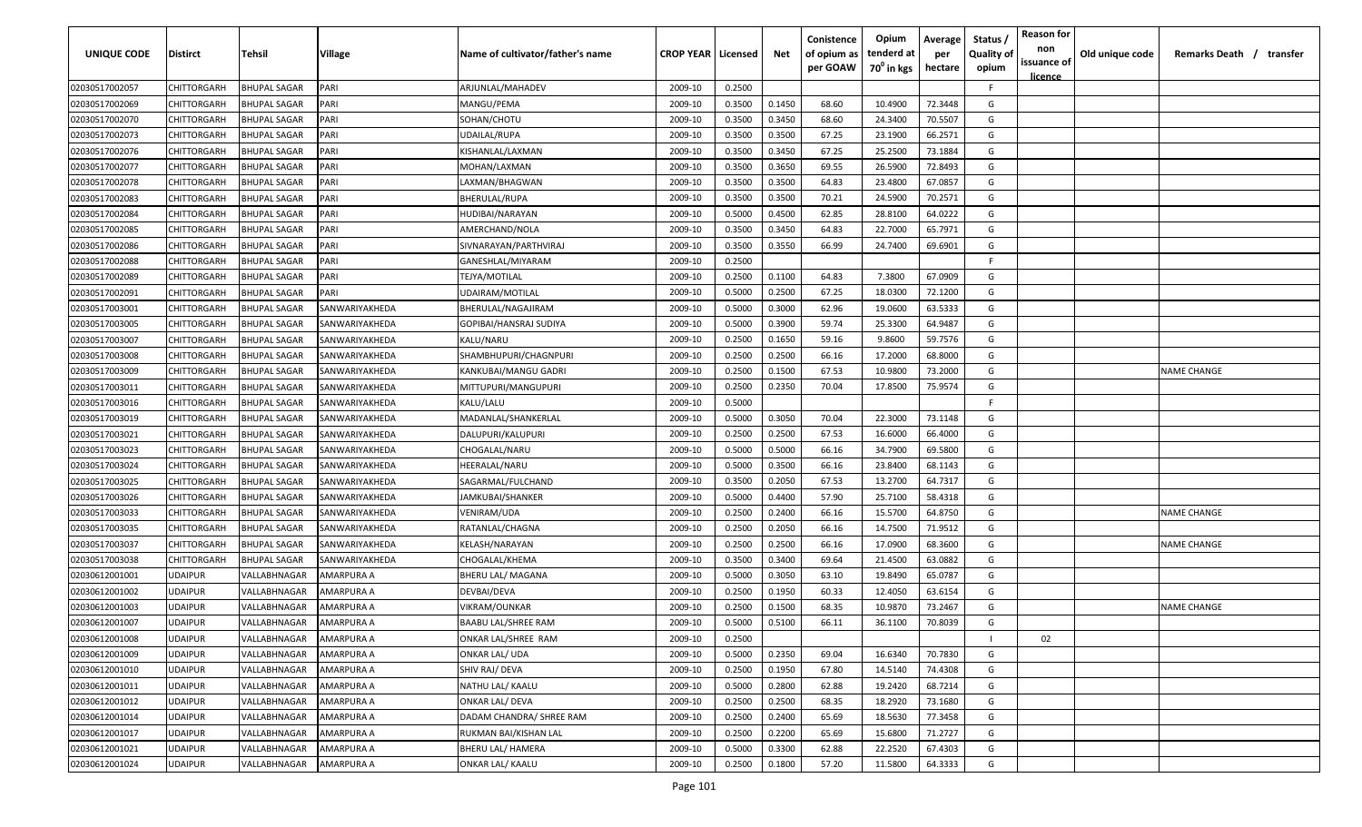| UNIQUE CODE    | <b>Distirct</b>    | Tehsil              | Village           | Name of cultivator/father's name | <b>CROP YEAR   Licensed</b> |        | Net    | Conistence<br>of opium as | Opium<br>tenderd at    | Average<br>per | Status<br><b>Quality of</b> | <b>Reason for</b><br>non      | Old unique code | Remarks Death / transfer |
|----------------|--------------------|---------------------|-------------------|----------------------------------|-----------------------------|--------|--------|---------------------------|------------------------|----------------|-----------------------------|-------------------------------|-----------------|--------------------------|
|                |                    |                     |                   |                                  |                             |        |        | per GOAW                  | 70 <sup>0</sup> in kgs | hectare        | opium                       | issuance of<br><u>licence</u> |                 |                          |
| 02030517002057 | CHITTORGARH        | <b>BHUPAL SAGAR</b> | PARI              | ARJUNLAL/MAHADEV                 | 2009-10                     | 0.2500 |        |                           |                        |                | F.                          |                               |                 |                          |
| 02030517002069 | <b>CHITTORGARH</b> | <b>BHUPAL SAGAR</b> | PARI              | MANGU/PEMA                       | 2009-10                     | 0.3500 | 0.1450 | 68.60                     | 10.4900                | 72.3448        | G                           |                               |                 |                          |
| 02030517002070 | <b>CHITTORGARH</b> | <b>BHUPAL SAGAR</b> | PARI              | SOHAN/CHOTU                      | 2009-10                     | 0.3500 | 0.3450 | 68.60                     | 24.3400                | 70.5507        | G                           |                               |                 |                          |
| 02030517002073 | <b>CHITTORGARH</b> | <b>BHUPAL SAGAR</b> | PARI              | UDAILAL/RUPA                     | 2009-10                     | 0.3500 | 0.3500 | 67.25                     | 23.1900                | 66.2571        | G                           |                               |                 |                          |
| 02030517002076 | <b>CHITTORGARH</b> | <b>BHUPAL SAGAR</b> | PARI              | KISHANLAL/LAXMAN                 | 2009-10                     | 0.3500 | 0.3450 | 67.25                     | 25.2500                | 73.1884        | G                           |                               |                 |                          |
| 02030517002077 | <b>CHITTORGARH</b> | <b>BHUPAL SAGAR</b> | PARI              | MOHAN/LAXMAN                     | 2009-10                     | 0.3500 | 0.3650 | 69.55                     | 26.5900                | 72.8493        | G                           |                               |                 |                          |
| 02030517002078 | <b>CHITTORGARH</b> | <b>BHUPAL SAGAR</b> | PARI              | LAXMAN/BHAGWAN                   | 2009-10                     | 0.3500 | 0.3500 | 64.83                     | 23.4800                | 67.0857        | G                           |                               |                 |                          |
| 02030517002083 | <b>CHITTORGARH</b> | <b>BHUPAL SAGAR</b> | PARI              | BHERULAL/RUPA                    | 2009-10                     | 0.3500 | 0.3500 | 70.21                     | 24.5900                | 70.2571        | G                           |                               |                 |                          |
| 02030517002084 | <b>CHITTORGARH</b> | <b>BHUPAL SAGAR</b> | PARI              | HUDIBAI/NARAYAN                  | 2009-10                     | 0.5000 | 0.4500 | 62.85                     | 28.8100                | 64.0222        | G                           |                               |                 |                          |
| 02030517002085 | <b>CHITTORGARH</b> | BHUPAL SAGAR        | PARI              | AMERCHAND/NOLA                   | 2009-10                     | 0.3500 | 0.3450 | 64.83                     | 22.7000                | 65.7971        | G                           |                               |                 |                          |
| 02030517002086 | CHITTORGARH        | <b>BHUPAL SAGAR</b> | PARI              | SIVNARAYAN/PARTHVIRAJ            | 2009-10                     | 0.3500 | 0.3550 | 66.99                     | 24.7400                | 69.6901        | G                           |                               |                 |                          |
| 02030517002088 | CHITTORGARH        | <b>BHUPAL SAGAR</b> | PARI              | GANESHLAL/MIYARAM                | 2009-10                     | 0.2500 |        |                           |                        |                | F.                          |                               |                 |                          |
| 02030517002089 | <b>CHITTORGARH</b> | <b>BHUPAL SAGAR</b> | PARI              | TEJYA/MOTILAL                    | 2009-10                     | 0.2500 | 0.1100 | 64.83                     | 7.3800                 | 67.0909        | G                           |                               |                 |                          |
| 02030517002091 | CHITTORGARH        | <b>BHUPAL SAGAR</b> | PARI              | UDAIRAM/MOTILAL                  | 2009-10                     | 0.5000 | 0.2500 | 67.25                     | 18.0300                | 72.1200        | G                           |                               |                 |                          |
| 02030517003001 | <b>CHITTORGARH</b> | <b>BHUPAL SAGAR</b> | SANWARIYAKHEDA    | BHERULAL/NAGAJIRAM               | 2009-10                     | 0.5000 | 0.3000 | 62.96                     | 19.0600                | 63.5333        | G                           |                               |                 |                          |
| 02030517003005 | <b>CHITTORGARH</b> | <b>BHUPAL SAGAR</b> | SANWARIYAKHEDA    | GOPIBAI/HANSRAJ SUDIYA           | 2009-10                     | 0.5000 | 0.3900 | 59.74                     | 25.3300                | 64.9487        | G                           |                               |                 |                          |
| 02030517003007 | <b>CHITTORGARH</b> | <b>BHUPAL SAGAR</b> | SANWARIYAKHEDA    | KALU/NARU                        | 2009-10                     | 0.2500 | 0.1650 | 59.16                     | 9.8600                 | 59.7576        | G                           |                               |                 |                          |
| 02030517003008 | <b>CHITTORGARH</b> | <b>BHUPAL SAGAR</b> | SANWARIYAKHEDA    | SHAMBHUPURI/CHAGNPURI            | 2009-10                     | 0.2500 | 0.2500 | 66.16                     | 17.2000                | 68.8000        | G                           |                               |                 |                          |
| 02030517003009 | <b>CHITTORGARH</b> | <b>BHUPAL SAGAR</b> | SANWARIYAKHEDA    | KANKUBAI/MANGU GADRI             | 2009-10                     | 0.2500 | 0.1500 | 67.53                     | 10.9800                | 73.2000        | G                           |                               |                 | <b>NAME CHANGE</b>       |
| 02030517003011 | <b>CHITTORGARH</b> | <b>BHUPAL SAGAR</b> | SANWARIYAKHEDA    | MITTUPURI/MANGUPURI              | 2009-10                     | 0.2500 | 0.2350 | 70.04                     | 17.8500                | 75.9574        | G                           |                               |                 |                          |
| 02030517003016 | CHITTORGARH        | <b>BHUPAL SAGAR</b> | SANWARIYAKHEDA    | KALU/LALU                        | 2009-10                     | 0.5000 |        |                           |                        |                | -F                          |                               |                 |                          |
| 02030517003019 | CHITTORGARH        | <b>BHUPAL SAGAR</b> | SANWARIYAKHEDA    | MADANLAL/SHANKERLAL              | 2009-10                     | 0.5000 | 0.3050 | 70.04                     | 22.3000                | 73.1148        | G                           |                               |                 |                          |
| 02030517003021 | CHITTORGARH        | <b>BHUPAL SAGAR</b> | SANWARIYAKHEDA    | DALUPURI/KALUPURI                | 2009-10                     | 0.2500 | 0.2500 | 67.53                     | 16.6000                | 66.4000        | G                           |                               |                 |                          |
| 02030517003023 | CHITTORGARH        | <b>BHUPAL SAGAR</b> | SANWARIYAKHEDA    | CHOGALAL/NARU                    | 2009-10                     | 0.5000 | 0.5000 | 66.16                     | 34.7900                | 69.5800        | G                           |                               |                 |                          |
| 02030517003024 | <b>CHITTORGARH</b> | <b>BHUPAL SAGAR</b> | SANWARIYAKHEDA    | HEERALAL/NARU                    | 2009-10                     | 0.5000 | 0.3500 | 66.16                     | 23.8400                | 68.1143        | G                           |                               |                 |                          |
| 02030517003025 | <b>CHITTORGARH</b> | <b>BHUPAL SAGAR</b> | SANWARIYAKHEDA    | SAGARMAL/FULCHAND                | 2009-10                     | 0.3500 | 0.2050 | 67.53                     | 13.2700                | 64.7317        | G                           |                               |                 |                          |
| 02030517003026 | <b>CHITTORGARH</b> | BHUPAL SAGAR        | SANWARIYAKHEDA    | IAMKUBAI/SHANKER                 | 2009-10                     | 0.5000 | 0.4400 | 57.90                     | 25.7100                | 58.4318        | G                           |                               |                 |                          |
| 02030517003033 | CHITTORGARH        | BHUPAL SAGAR        | SANWARIYAKHEDA    | VENIRAM/UDA                      | 2009-10                     | 0.2500 | 0.2400 | 66.16                     | 15.5700                | 64.8750        | G                           |                               |                 | NAME CHANGE              |
| 02030517003035 | CHITTORGARH        | <b>BHUPAL SAGAR</b> | SANWARIYAKHEDA    | RATANLAL/CHAGNA                  | 2009-10                     | 0.2500 | 0.2050 | 66.16                     | 14.7500                | 71.9512        | G                           |                               |                 |                          |
| 02030517003037 | <b>CHITTORGARH</b> | <b>BHUPAL SAGAR</b> | SANWARIYAKHEDA    | KELASH/NARAYAN                   | 2009-10                     | 0.2500 | 0.2500 | 66.16                     | 17.0900                | 68.3600        | G                           |                               |                 | <b>NAME CHANGE</b>       |
| 02030517003038 | <b>CHITTORGARH</b> | <b>BHUPAL SAGAR</b> | SANWARIYAKHEDA    | CHOGALAL/KHEMA                   | 2009-10                     | 0.3500 | 0.3400 | 69.64                     | 21.4500                | 63.0882        | G                           |                               |                 |                          |
| 02030612001001 | <b>UDAIPUR</b>     | VALLABHNAGAR        | AMARPURA A        | BHERU LAL/ MAGANA                | 2009-10                     | 0.5000 | 0.3050 | 63.10                     | 19.8490                | 65.0787        | G                           |                               |                 |                          |
| 02030612001002 | <b>UDAIPUR</b>     | VALLABHNAGAR        | AMARPURA A        | DEVBAI/DEVA                      | 2009-10                     | 0.2500 | 0.1950 | 60.33                     | 12.4050                | 63.6154        | G                           |                               |                 |                          |
| 02030612001003 | <b>UDAIPUR</b>     | VALLABHNAGAR        | AMARPURA A        | VIKRAM/OUNKAR                    | 2009-10                     | 0.2500 | 0.1500 | 68.35                     | 10.9870                | 73.2467        | G                           |                               |                 | <b>NAME CHANGE</b>       |
| 02030612001007 | <b>UDAIPUR</b>     | VALLABHNAGAR        | AMARPURA A        | BAABU LAL/SHREE RAM              | 2009-10                     | 0.5000 | 0.5100 | 66.11                     | 36.1100                | 70.8039        | G                           |                               |                 |                          |
| 02030612001008 | <b>UDAIPUR</b>     | VALLABHNAGAR        | AMARPURA A        | ONKAR LAL/SHREE RAM              | 2009-10                     | 0.2500 |        |                           |                        |                | $\mathbf{L}$                | 02                            |                 |                          |
| 02030612001009 | <b>UDAIPUR</b>     | VALLABHNAGAR        | AMARPURA A        | <b>ONKAR LAL/ UDA</b>            | 2009-10                     | 0.5000 | 0.2350 | 69.04                     | 16.6340                | 70.7830        | G                           |                               |                 |                          |
| 02030612001010 | <b>UDAIPUR</b>     | VALLABHNAGAR        | <b>AMARPURA A</b> | SHIV RAJ/ DEVA                   | 2009-10                     | 0.2500 | 0.1950 | 67.80                     | 14.5140                | 74.4308        | G                           |                               |                 |                          |
| 02030612001011 | <b>UDAIPUR</b>     | VALLABHNAGAR        | AMARPURA A        | NATHU LAL/ KAALU                 | 2009-10                     | 0.5000 | 0.2800 | 62.88                     | 19.2420                | 68.7214        | G                           |                               |                 |                          |
| 02030612001012 | <b>UDAIPUR</b>     | VALLABHNAGAR        | AMARPURA A        | <b>ONKAR LAL/ DEVA</b>           | 2009-10                     | 0.2500 | 0.2500 | 68.35                     | 18.2920                | 73.1680        | G                           |                               |                 |                          |
| 02030612001014 | <b>UDAIPUR</b>     | VALLABHNAGAR        | AMARPURA A        | DADAM CHANDRA/ SHREE RAM         | 2009-10                     | 0.2500 | 0.2400 | 65.69                     | 18.5630                | 77.3458        | G                           |                               |                 |                          |
| 02030612001017 | <b>UDAIPUR</b>     | VALLABHNAGAR        | AMARPURA A        | RUKMAN BAI/KISHAN LAL            | 2009-10                     | 0.2500 | 0.2200 | 65.69                     | 15.6800                | 71.2727        | G                           |                               |                 |                          |
| 02030612001021 | <b>UDAIPUR</b>     | VALLABHNAGAR        | AMARPURA A        | BHERU LAL/ HAMERA                | 2009-10                     | 0.5000 | 0.3300 | 62.88                     | 22.2520                | 67.4303        | G                           |                               |                 |                          |
| 02030612001024 | <b>UDAIPUR</b>     | VALLABHNAGAR        | AMARPURA A        | ONKAR LAL/ KAALU                 | 2009-10                     | 0.2500 | 0.1800 | 57.20                     | 11.5800                | 64.3333        | G                           |                               |                 |                          |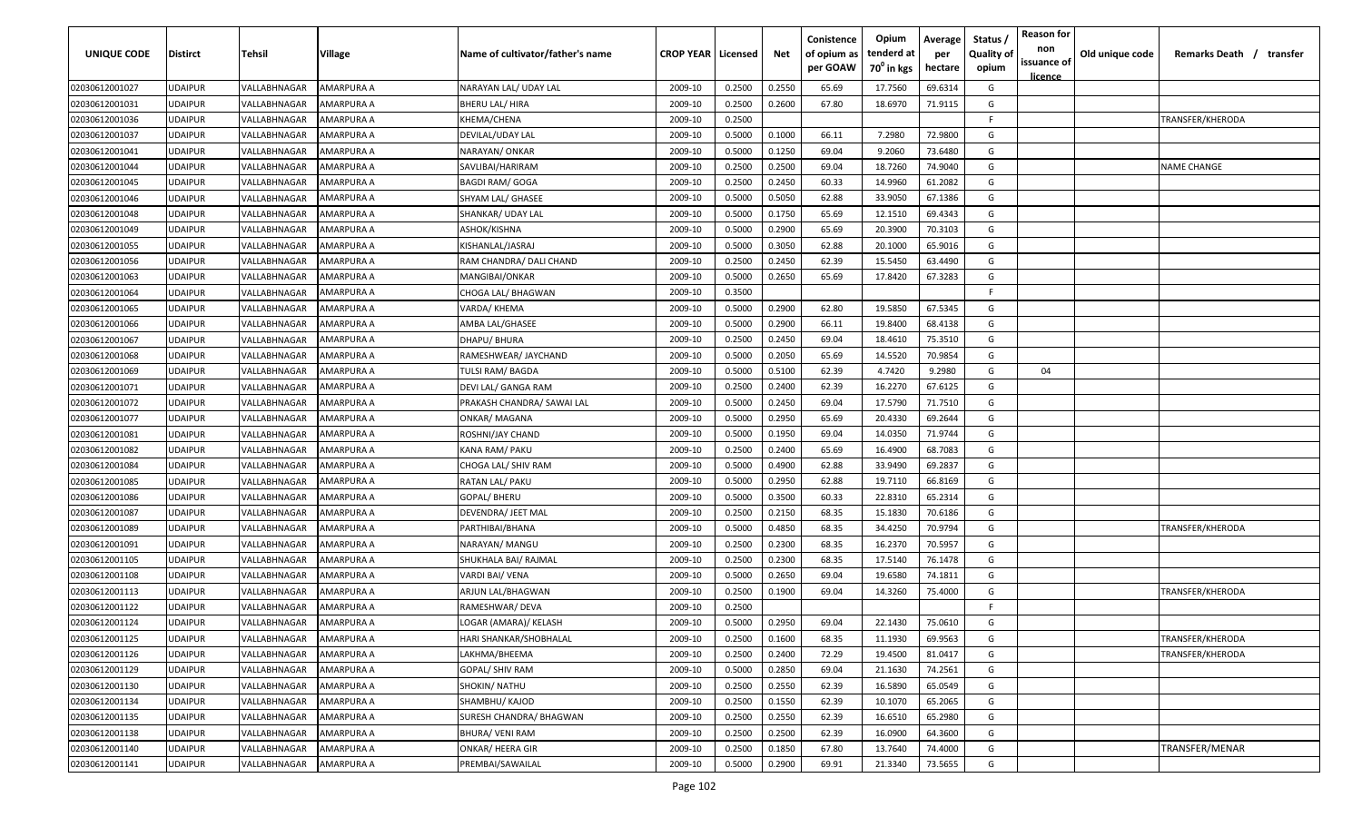| UNIQUE CODE    | <b>Distirct</b> | Tehsil                     | <b>Village</b>    | Name of cultivator/father's name | <b>CROP YEAR   Licensed</b> |        | Net    | Conistence<br>of opium as<br>per GOAW | Opium<br>tenderd at<br>70 <sup>°</sup> in kgs | Average<br>per<br>hectare | Status<br><b>Quality of</b><br>opium | <b>Reason for</b><br>non<br>issuance of<br><u>licence</u> | Old unique code | Remarks Death / transfer |
|----------------|-----------------|----------------------------|-------------------|----------------------------------|-----------------------------|--------|--------|---------------------------------------|-----------------------------------------------|---------------------------|--------------------------------------|-----------------------------------------------------------|-----------------|--------------------------|
| 02030612001027 | <b>JDAIPUR</b>  | VALLABHNAGAR               | AMARPURA A        | NARAYAN LAL/ UDAY LAL            | 2009-10                     | 0.2500 | 0.2550 | 65.69                                 | 17.7560                                       | 69.6314                   | G                                    |                                                           |                 |                          |
| 02030612001031 | JDAIPUR         | VALLABHNAGAR               | AMARPURA A        | BHERU LAL/ HIRA                  | 2009-10                     | 0.2500 | 0.2600 | 67.80                                 | 18.6970                                       | 71.9115                   | G                                    |                                                           |                 |                          |
| 02030612001036 | <b>JDAIPUR</b>  | VALLABHNAGAR               | AMARPURA A        | KHEMA/CHENA                      | 2009-10                     | 0.2500 |        |                                       |                                               |                           | -F                                   |                                                           |                 | TRANSFER/KHERODA         |
| 02030612001037 | <b>JDAIPUR</b>  | VALLABHNAGAR               | AMARPURA A        | DEVILAL/UDAY LAL                 | 2009-10                     | 0.5000 | 0.1000 | 66.11                                 | 7.2980                                        | 72.9800                   | G                                    |                                                           |                 |                          |
| 02030612001041 | <b>JDAIPUR</b>  | VALLABHNAGAR               | AMARPURA A        | NARAYAN/ ONKAR                   | 2009-10                     | 0.5000 | 0.1250 | 69.04                                 | 9.2060                                        | 73.6480                   | G                                    |                                                           |                 |                          |
| 02030612001044 | <b>JDAIPUR</b>  | VALLABHNAGAR               | AMARPURA A        | SAVLIBAI/HARIRAM                 | 2009-10                     | 0.2500 | 0.2500 | 69.04                                 | 18.7260                                       | 74.9040                   | G                                    |                                                           |                 | NAME CHANGE              |
| 02030612001045 | JDAIPUR         | VALLABHNAGAR               | AMARPURA A        | <b>BAGDI RAM/ GOGA</b>           | 2009-10                     | 0.2500 | 0.2450 | 60.33                                 | 14.9960                                       | 61.2082                   | G                                    |                                                           |                 |                          |
| 02030612001046 | JDAIPUR         | <b><i>VALLABHNAGAR</i></b> | AMARPURA A        | SHYAM LAL/ GHASEE                | 2009-10                     | 0.5000 | 0.5050 | 62.88                                 | 33.9050                                       | 67.1386                   | G                                    |                                                           |                 |                          |
| 02030612001048 | JDAIPUR         | VALLABHNAGAR               | AMARPURA A        | SHANKAR/ UDAY LAL                | 2009-10                     | 0.5000 | 0.1750 | 65.69                                 | 12.1510                                       | 69.4343                   | G                                    |                                                           |                 |                          |
| 02030612001049 | JDAIPUR         | VALLABHNAGAR               | AMARPURA A        | ASHOK/KISHNA                     | 2009-10                     | 0.5000 | 0.2900 | 65.69                                 | 20.3900                                       | 70.3103                   | G                                    |                                                           |                 |                          |
| 02030612001055 | JDAIPUR         | VALLABHNAGAR               | AMARPURA A        | KISHANLAL/JASRAJ                 | 2009-10                     | 0.5000 | 0.3050 | 62.88                                 | 20.1000                                       | 65.9016                   | G                                    |                                                           |                 |                          |
| 02030612001056 | <b>JDAIPUR</b>  | <b><i>VALLABHNAGAR</i></b> | AMARPURA A        | RAM CHANDRA/ DALI CHAND          | 2009-10                     | 0.2500 | 0.2450 | 62.39                                 | 15.5450                                       | 63.4490                   | G                                    |                                                           |                 |                          |
| 02030612001063 | <b>JDAIPUR</b>  | VALLABHNAGAR               | AMARPURA A        | MANGIBAI/ONKAR                   | 2009-10                     | 0.5000 | 0.2650 | 65.69                                 | 17.8420                                       | 67.3283                   | G                                    |                                                           |                 |                          |
| 02030612001064 | <b>JDAIPUR</b>  | <b><i>VALLABHNAGAR</i></b> | AMARPURA A        | CHOGA LAL/ BHAGWAN               | 2009-10                     | 0.3500 |        |                                       |                                               |                           | E                                    |                                                           |                 |                          |
| 02030612001065 | <b>JDAIPUR</b>  | <b>VALLABHNAGAR</b>        | AMARPURA A        | VARDA/ KHEMA                     | 2009-10                     | 0.5000 | 0.2900 | 62.80                                 | 19.5850                                       | 67.5345                   | G                                    |                                                           |                 |                          |
| 02030612001066 | <b>JDAIPUR</b>  | <b><i>VALLABHNAGAR</i></b> | AMARPURA A        | AMBA LAL/GHASEE                  | 2009-10                     | 0.5000 | 0.2900 | 66.11                                 | 19.8400                                       | 68.4138                   | G                                    |                                                           |                 |                          |
| 02030612001067 | <b>JDAIPUR</b>  | <b><i>VALLABHNAGAR</i></b> | AMARPURA A        | DHAPU/BHURA                      | 2009-10                     | 0.2500 | 0.2450 | 69.04                                 | 18.4610                                       | 75.3510                   | G                                    |                                                           |                 |                          |
| 02030612001068 | <b>JDAIPUR</b>  | VALLABHNAGAR               | AMARPURA A        | RAMESHWEAR/ JAYCHAND             | 2009-10                     | 0.5000 | 0.2050 | 65.69                                 | 14.5520                                       | 70.9854                   | G                                    |                                                           |                 |                          |
| 02030612001069 | JDAIPUR         | VALLABHNAGAR               | AMARPURA A        | TULSI RAM/BAGDA                  | 2009-10                     | 0.5000 | 0.5100 | 62.39                                 | 4.7420                                        | 9.2980                    | G                                    | 04                                                        |                 |                          |
| 02030612001071 | <b>JDAIPUR</b>  | VALLABHNAGAR               | AMARPURA A        | DEVI LAL/ GANGA RAM              | 2009-10                     | 0.2500 | 0.2400 | 62.39                                 | 16.2270                                       | 67.6125                   | G                                    |                                                           |                 |                          |
| 02030612001072 | <b>JDAIPUR</b>  | VALLABHNAGAR               | AMARPURA A        | PRAKASH CHANDRA/ SAWAI LAL       | 2009-10                     | 0.5000 | 0.2450 | 69.04                                 | 17.5790                                       | 71.7510                   | G                                    |                                                           |                 |                          |
| 02030612001077 | <b>JDAIPUR</b>  | VALLABHNAGAR               | AMARPURA A        | ONKAR/ MAGANA                    | 2009-10                     | 0.5000 | 0.2950 | 65.69                                 | 20.4330                                       | 69.2644                   | G                                    |                                                           |                 |                          |
| 02030612001081 | <b>JDAIPUR</b>  | VALLABHNAGAR               | AMARPURA A        | ROSHNI/JAY CHAND                 | 2009-10                     | 0.5000 | 0.1950 | 69.04                                 | 14.0350                                       | 71.9744                   | G                                    |                                                           |                 |                          |
| 02030612001082 | JDAIPUR         | VALLABHNAGAR               | AMARPURA A        | KANA RAM/ PAKU                   | 2009-10                     | 0.2500 | 0.2400 | 65.69                                 | 16.4900                                       | 68.7083                   | G                                    |                                                           |                 |                          |
| 02030612001084 | <b>JDAIPUR</b>  | <b><i>VALLABHNAGAR</i></b> | AMARPURA A        | CHOGA LAL/ SHIV RAM              | 2009-10                     | 0.5000 | 0.4900 | 62.88                                 | 33.9490                                       | 69.2837                   | G                                    |                                                           |                 |                          |
| 02030612001085 | <b>JDAIPUR</b>  | VALLABHNAGAR               | AMARPURA A        | RATAN LAL/ PAKU                  | 2009-10                     | 0.5000 | 0.2950 | 62.88                                 | 19.7110                                       | 66.8169                   | G                                    |                                                           |                 |                          |
| 02030612001086 | JDAIPUR         | VALLABHNAGAR               | AMARPURA A        | GOPAL/ BHERU                     | 2009-10                     | 0.5000 | 0.3500 | 60.33                                 | 22.8310                                       | 65.2314                   | G                                    |                                                           |                 |                          |
| 02030612001087 | JDAIPUR         | VALLABHNAGAR               | AMARPURA A        | DEVENDRA/ JEET MAL               | 2009-10                     | 0.2500 | 0.2150 | 68.35                                 | 15.1830                                       | 70.6186                   | G                                    |                                                           |                 |                          |
| 02030612001089 | <b>JDAIPUR</b>  | VALLABHNAGAR               | AMARPURA A        | PARTHIBAI/BHANA                  | 2009-10                     | 0.5000 | 0.4850 | 68.35                                 | 34.4250                                       | 70.9794                   | G                                    |                                                           |                 | TRANSFER/KHERODA         |
| 02030612001091 | JDAIPUR         | VALLABHNAGAR               | AMARPURA A        | NARAYAN/ MANGU                   | 2009-10                     | 0.2500 | 0.2300 | 68.35                                 | 16.2370                                       | 70.5957                   | G                                    |                                                           |                 |                          |
| 02030612001105 | <b>JDAIPUR</b>  | <b>VALLABHNAGAR</b>        | AMARPURA A        | SHUKHALA BAI/ RAJMAL             | 2009-10                     | 0.2500 | 0.2300 | 68.35                                 | 17.5140                                       | 76.1478                   | G                                    |                                                           |                 |                          |
| 02030612001108 | <b>JDAIPUR</b>  | <b><i>VALLABHNAGAR</i></b> | AMARPURA A        | VARDI BAI/ VENA                  | 2009-10                     | 0.5000 | 0.2650 | 69.04                                 | 19.6580                                       | 74.1811                   | G                                    |                                                           |                 |                          |
| 02030612001113 | <b>JDAIPUR</b>  | <b><i>VALLABHNAGAR</i></b> | AMARPURA A        | ARJUN LAL/BHAGWAN                | 2009-10                     | 0.2500 | 0.1900 | 69.04                                 | 14.3260                                       | 75.4000                   | G                                    |                                                           |                 | TRANSFER/KHERODA         |
| 02030612001122 | <b>JDAIPUR</b>  | VALLABHNAGAR               | AMARPURA A        | RAMESHWAR/DEVA                   | 2009-10                     | 0.2500 |        |                                       |                                               |                           | -F                                   |                                                           |                 |                          |
| 02030612001124 | UDAIPUR         | VALLABHNAGAR               | AMARPURA A        | LOGAR (AMARA)/ KELASH            | 2009-10                     | 0.5000 | 0.2950 | 69.04                                 | 22.1430                                       | 75.0610                   | G                                    |                                                           |                 |                          |
| 02030612001125 | UDAIPUR         | VALLABHNAGAR               | <b>AMARPURA A</b> | HARI SHANKAR/SHOBHALAL           | 2009-10                     | 0.2500 | 0.1600 | 68.35                                 | 11.1930                                       | 69.9563                   | G                                    |                                                           |                 | TRANSFER/KHERODA         |
| 02030612001126 | <b>JDAIPUR</b>  | VALLABHNAGAR               | AMARPURA A        | LAKHMA/BHEEMA                    | 2009-10                     | 0.2500 | 0.2400 | 72.29                                 | 19.4500                                       | 81.0417                   | G                                    |                                                           |                 | TRANSFER/KHERODA         |
| 02030612001129 | <b>UDAIPUR</b>  | VALLABHNAGAR               | AMARPURA A        | GOPAL/ SHIV RAM                  | 2009-10                     | 0.5000 | 0.2850 | 69.04                                 | 21.1630                                       | 74.2561                   | G                                    |                                                           |                 |                          |
| 02030612001130 | <b>JDAIPUR</b>  | VALLABHNAGAR               | AMARPURA A        | SHOKIN/ NATHU                    | 2009-10                     | 0.2500 | 0.2550 | 62.39                                 | 16.5890                                       | 65.0549                   | G                                    |                                                           |                 |                          |
| 02030612001134 | <b>JDAIPUR</b>  | VALLABHNAGAR               | AMARPURA A        | SHAMBHU/ KAJOD                   | 2009-10                     | 0.2500 | 0.1550 | 62.39                                 | 10.1070                                       | 65.2065                   | G                                    |                                                           |                 |                          |
| 02030612001135 | <b>JDAIPUR</b>  | <b><i>VALLABHNAGAR</i></b> | AMARPURA A        | SURESH CHANDRA/ BHAGWAN          | 2009-10                     | 0.2500 | 0.2550 | 62.39                                 | 16.6510                                       | 65.2980                   | G                                    |                                                           |                 |                          |
| 02030612001138 | <b>JDAIPUR</b>  | <b><i>VALLABHNAGAR</i></b> | AMARPURA A        | BHURA/ VENI RAM                  | 2009-10                     | 0.2500 | 0.2500 | 62.39                                 | 16.0900                                       | 64.3600                   | G                                    |                                                           |                 |                          |
| 02030612001140 | <b>JDAIPUR</b>  | VALLABHNAGAR               | AMARPURA A        | ONKAR/ HEERA GIR                 | 2009-10                     | 0.2500 | 0.1850 | 67.80                                 | 13.7640                                       | 74.4000                   | G                                    |                                                           |                 | TRANSFER/MENAR           |
| 02030612001141 | UDAIPUR         | VALLABHNAGAR               | AMARPURA A        | PREMBAI/SAWAILAL                 | 2009-10                     | 0.5000 | 0.2900 | 69.91                                 | 21.3340                                       | 73.5655                   | G                                    |                                                           |                 |                          |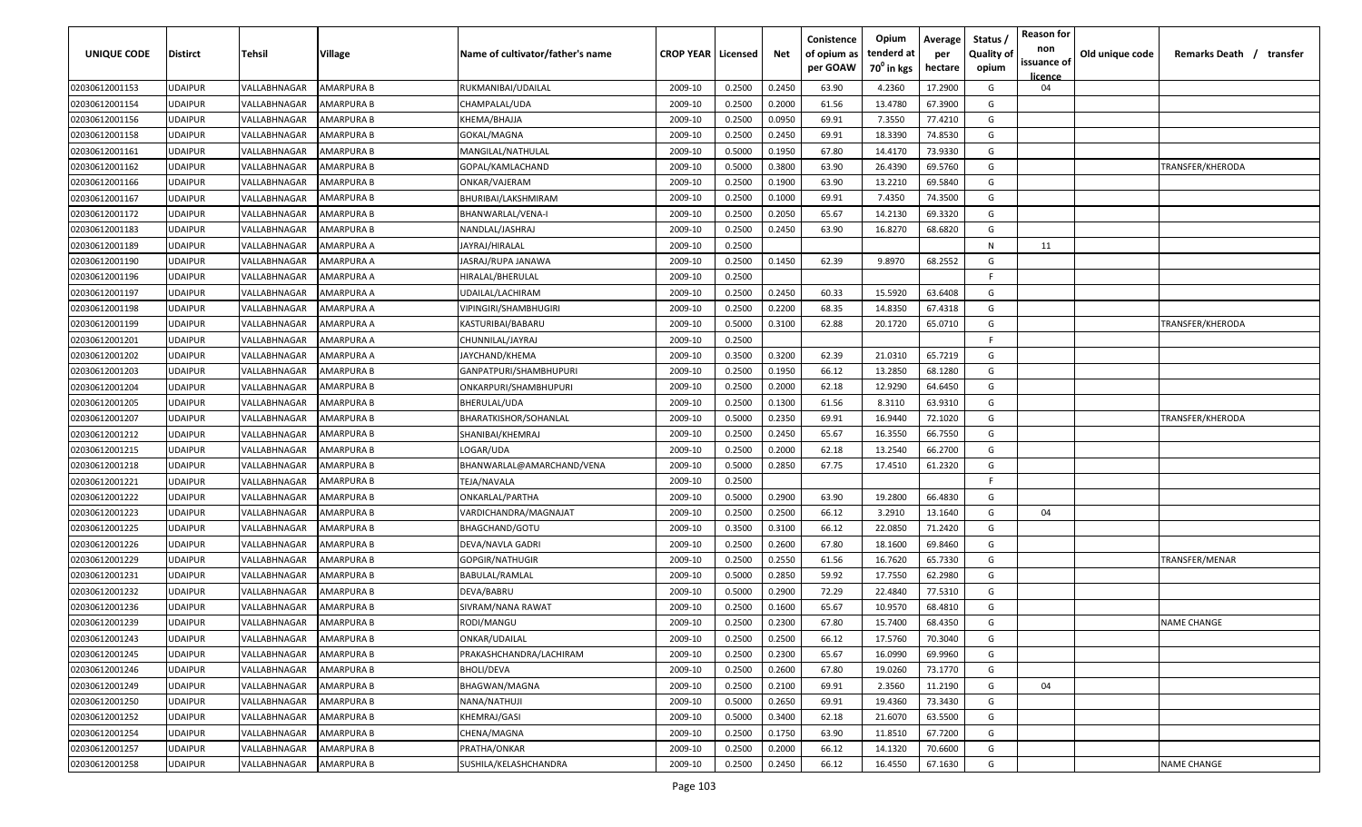| UNIQUE CODE    | <b>Distirct</b> | Tehsil       | Village           | Name of cultivator/father's name | <b>CROP YEAR   Licensed</b> |        | Net    | Conistence<br>of opium as<br>per GOAW | Opium<br>tenderd at<br>70 <sup>°</sup> in kgs | Average<br>per<br>hectare | Status<br><b>Quality of</b><br>opium | <b>Reason for</b><br>non<br>issuance of | Old unique code | Remarks Death / transfer |
|----------------|-----------------|--------------|-------------------|----------------------------------|-----------------------------|--------|--------|---------------------------------------|-----------------------------------------------|---------------------------|--------------------------------------|-----------------------------------------|-----------------|--------------------------|
|                |                 |              |                   |                                  |                             |        |        |                                       |                                               |                           |                                      | licence                                 |                 |                          |
| 02030612001153 | <b>UDAIPUR</b>  | VALLABHNAGAR | AMARPURA B        | RUKMANIBAI/UDAILAL               | 2009-10                     | 0.2500 | 0.2450 | 63.90                                 | 4.2360                                        | 17.2900                   | G                                    | 04                                      |                 |                          |
| 02030612001154 | <b>UDAIPUR</b>  | VALLABHNAGAR | AMARPURA B        | CHAMPALAL/UDA                    | 2009-10                     | 0.2500 | 0.2000 | 61.56                                 | 13.4780                                       | 67.3900                   | G                                    |                                         |                 |                          |
| 02030612001156 | <b>UDAIPUR</b>  | VALLABHNAGAR | AMARPURA B        | KHEMA/BHAJJA                     | 2009-10                     | 0.2500 | 0.0950 | 69.91                                 | 7.3550                                        | 77.4210                   | G                                    |                                         |                 |                          |
| 02030612001158 | <b>UDAIPUR</b>  | VALLABHNAGAR | AMARPURA B        | GOKAL/MAGNA                      | 2009-10                     | 0.2500 | 0.2450 | 69.91                                 | 18.3390                                       | 74.8530                   | G                                    |                                         |                 |                          |
| 02030612001161 | <b>UDAIPUR</b>  | VALLABHNAGAR | AMARPURA B        | MANGILAL/NATHULAL                | 2009-10                     | 0.5000 | 0.1950 | 67.80                                 | 14.4170                                       | 73.9330                   | G                                    |                                         |                 |                          |
| 02030612001162 | <b>UDAIPUR</b>  | VALLABHNAGAR | AMARPURA B        | GOPAL/KAMLACHAND                 | 2009-10                     | 0.5000 | 0.3800 | 63.90                                 | 26.4390                                       | 69.5760                   | G                                    |                                         |                 | TRANSFER/KHERODA         |
| 02030612001166 | <b>UDAIPUR</b>  | VALLABHNAGAR | AMARPURA B        | ONKAR/VAJERAM                    | 2009-10                     | 0.2500 | 0.1900 | 63.90                                 | 13.2210                                       | 69.5840                   | G                                    |                                         |                 |                          |
| 02030612001167 | <b>UDAIPUR</b>  | VALLABHNAGAR | AMARPURA B        | BHURIBAI/LAKSHMIRAM              | 2009-10                     | 0.2500 | 0.1000 | 69.91                                 | 7.4350                                        | 74.3500                   | G                                    |                                         |                 |                          |
| 02030612001172 | <b>UDAIPUR</b>  | VALLABHNAGAR | AMARPURA B        | BHANWARLAL/VENA-I                | 2009-10                     | 0.2500 | 0.2050 | 65.67                                 | 14.2130                                       | 69.3320                   | G                                    |                                         |                 |                          |
| 02030612001183 | <b>UDAIPUR</b>  | VALLABHNAGAR | AMARPURA B        | NANDLAL/JASHRAJ                  | 2009-10                     | 0.2500 | 0.2450 | 63.90                                 | 16.8270                                       | 68.6820                   | G                                    |                                         |                 |                          |
| 02030612001189 | <b>UDAIPUR</b>  | VALLABHNAGAR | AMARPURA A        | IAYRAJ/HIRALAL                   | 2009-10                     | 0.2500 |        |                                       |                                               |                           | N                                    | 11                                      |                 |                          |
| 02030612001190 | <b>UDAIPUR</b>  | VALLABHNAGAR | AMARPURA A        | IASRAJ/RUPA JANAWA               | 2009-10                     | 0.2500 | 0.1450 | 62.39                                 | 9.8970                                        | 68.2552                   | G                                    |                                         |                 |                          |
| 02030612001196 | <b>UDAIPUR</b>  | VALLABHNAGAR | AMARPURA A        | HIRALAL/BHERULAL                 | 2009-10                     | 0.2500 |        |                                       |                                               |                           | F.                                   |                                         |                 |                          |
| 02030612001197 | <b>UDAIPUR</b>  | VALLABHNAGAR | AMARPURA A        | UDAILAL/LACHIRAM                 | 2009-10                     | 0.2500 | 0.2450 | 60.33                                 | 15.5920                                       | 63.6408                   | G                                    |                                         |                 |                          |
| 02030612001198 | <b>UDAIPUR</b>  | VALLABHNAGAR | AMARPURA A        | VIPINGIRI/SHAMBHUGIRI            | 2009-10                     | 0.2500 | 0.2200 | 68.35                                 | 14.8350                                       | 67.4318                   | G                                    |                                         |                 |                          |
| 02030612001199 | <b>UDAIPUR</b>  | VALLABHNAGAR | AMARPURA A        | KASTURIBAI/BABARU                | 2009-10                     | 0.5000 | 0.3100 | 62.88                                 | 20.1720                                       | 65.0710                   | G                                    |                                         |                 | TRANSFER/KHERODA         |
| 02030612001201 | <b>UDAIPUR</b>  | VALLABHNAGAR | AMARPURA A        | CHUNNILAL/JAYRAJ                 | 2009-10                     | 0.2500 |        |                                       |                                               |                           | F.                                   |                                         |                 |                          |
| 02030612001202 | <b>UDAIPUR</b>  | VALLABHNAGAR | AMARPURA A        | JAYCHAND/KHEMA                   | 2009-10                     | 0.3500 | 0.3200 | 62.39                                 | 21.0310                                       | 65.7219                   | G                                    |                                         |                 |                          |
| 02030612001203 | <b>UDAIPUR</b>  | VALLABHNAGAR | AMARPURA B        | GANPATPURI/SHAMBHUPURI           | 2009-10                     | 0.2500 | 0.1950 | 66.12                                 | 13.2850                                       | 68.1280                   | G                                    |                                         |                 |                          |
| 02030612001204 | <b>UDAIPUR</b>  | VALLABHNAGAR | AMARPURA B        | ONKARPURI/SHAMBHUPURI            | 2009-10                     | 0.2500 | 0.2000 | 62.18                                 | 12.9290                                       | 64.6450                   | G                                    |                                         |                 |                          |
| 02030612001205 | <b>UDAIPUR</b>  | VALLABHNAGAR | AMARPURA B        | BHERULAL/UDA                     | 2009-10                     | 0.2500 | 0.1300 | 61.56                                 | 8.3110                                        | 63.9310                   | G                                    |                                         |                 |                          |
| 02030612001207 | <b>UDAIPUR</b>  | VALLABHNAGAR | AMARPURA B        | BHARATKISHOR/SOHANLAL            | 2009-10                     | 0.5000 | 0.2350 | 69.91                                 | 16.9440                                       | 72.1020                   | G                                    |                                         |                 | TRANSFER/KHERODA         |
| 02030612001212 | <b>UDAIPUR</b>  | VALLABHNAGAR | AMARPURA B        | SHANIBAI/KHEMRAJ                 | 2009-10                     | 0.2500 | 0.2450 | 65.67                                 | 16.3550                                       | 66.7550                   | G                                    |                                         |                 |                          |
| 02030612001215 | <b>UDAIPUR</b>  | VALLABHNAGAR | AMARPURA B        | LOGAR/UDA                        | 2009-10                     | 0.2500 | 0.2000 | 62.18                                 | 13.2540                                       | 66.2700                   | G                                    |                                         |                 |                          |
| 02030612001218 | <b>UDAIPUR</b>  | VALLABHNAGAR | AMARPURA B        | BHANWARLAL@AMARCHAND/VENA        | 2009-10                     | 0.5000 | 0.2850 | 67.75                                 | 17.4510                                       | 61.2320                   | G                                    |                                         |                 |                          |
| 02030612001221 | <b>UDAIPUR</b>  | VALLABHNAGAR | AMARPURA B        | TEJA/NAVALA                      | 2009-10                     | 0.2500 |        |                                       |                                               |                           | F.                                   |                                         |                 |                          |
| 02030612001222 | <b>UDAIPUR</b>  | VALLABHNAGAR | AMARPURA B        | ONKARLAL/PARTHA                  | 2009-10                     | 0.5000 | 0.2900 | 63.90                                 | 19.2800                                       | 66.4830                   | G                                    |                                         |                 |                          |
| 02030612001223 | <b>UDAIPUR</b>  | VALLABHNAGAR | AMARPURA B        | VARDICHANDRA/MAGNAJAT            | 2009-10                     | 0.2500 | 0.2500 | 66.12                                 | 3.2910                                        | 13.1640                   | G                                    | 04                                      |                 |                          |
| 02030612001225 | <b>UDAIPUR</b>  | VALLABHNAGAR | AMARPURA B        | BHAGCHAND/GOTU                   | 2009-10                     | 0.3500 | 0.3100 | 66.12                                 | 22.0850                                       | 71.2420                   | G                                    |                                         |                 |                          |
| 02030612001226 | <b>UDAIPUR</b>  | VALLABHNAGAR | AMARPURA B        | DEVA/NAVLA GADRI                 | 2009-10                     | 0.2500 | 0.2600 | 67.80                                 | 18.1600                                       | 69.8460                   | G                                    |                                         |                 |                          |
| 02030612001229 | <b>UDAIPUR</b>  | VALLABHNAGAR | AMARPURA B        | GOPGIR/NATHUGIR                  | 2009-10                     | 0.2500 | 0.2550 | 61.56                                 | 16.7620                                       | 65.7330                   | G                                    |                                         |                 | TRANSFER/MENAR           |
| 02030612001231 | <b>UDAIPUR</b>  | VALLABHNAGAR | AMARPURA B        | BABULAL/RAMLAL                   | 2009-10                     | 0.5000 | 0.2850 | 59.92                                 | 17.7550                                       | 62.2980                   | G                                    |                                         |                 |                          |
| 02030612001232 | <b>UDAIPUR</b>  | VALLABHNAGAR | AMARPURA B        | DEVA/BABRU                       | 2009-10                     | 0.5000 | 0.2900 | 72.29                                 | 22.4840                                       | 77.5310                   | G                                    |                                         |                 |                          |
| 02030612001236 | <b>UDAIPUR</b>  | VALLABHNAGAR | AMARPURA B        | SIVRAM/NANA RAWAT                | 2009-10                     | 0.2500 | 0.1600 | 65.67                                 | 10.9570                                       | 68.4810                   | G                                    |                                         |                 |                          |
| 02030612001239 | <b>UDAIPUR</b>  | VALLABHNAGAR | AMARPURA B        | RODI/MANGU                       | 2009-10                     | 0.2500 | 0.2300 | 67.80                                 | 15.7400                                       | 68.4350                   | G                                    |                                         |                 | <b>NAME CHANGE</b>       |
| 02030612001243 | <b>UDAIPUR</b>  | VALLABHNAGAR | <b>AMARPURA B</b> | ONKAR/UDAILAL                    | 2009-10                     | 0.2500 | 0.2500 | 66.12                                 | 17.5760                                       | 70.3040                   | G                                    |                                         |                 |                          |
| 02030612001245 | <b>UDAIPUR</b>  | VALLABHNAGAR | AMARPURA B        | PRAKASHCHANDRA/LACHIRAM          | 2009-10                     | 0.2500 | 0.2300 | 65.67                                 | 16.0990                                       | 69.9960                   | G                                    |                                         |                 |                          |
| 02030612001246 | <b>UDAIPUR</b>  | VALLABHNAGAR | AMARPURA B        | <b>BHOLI/DEVA</b>                | 2009-10                     | 0.2500 | 0.2600 | 67.80                                 | 19.0260                                       | 73.1770                   | G                                    |                                         |                 |                          |
| 02030612001249 | <b>UDAIPUR</b>  | VALLABHNAGAR | AMARPURA B        | BHAGWAN/MAGNA                    | 2009-10                     | 0.2500 | 0.2100 | 69.91                                 | 2.3560                                        | 11.2190                   | G                                    | 04                                      |                 |                          |
| 02030612001250 | <b>UDAIPUR</b>  | VALLABHNAGAR | AMARPURA B        | NANA/NATHUJI                     | 2009-10                     | 0.5000 | 0.2650 | 69.91                                 | 19.4360                                       | 73.3430                   | G                                    |                                         |                 |                          |
| 02030612001252 | <b>UDAIPUR</b>  | VALLABHNAGAR | AMARPURA B        | KHEMRAJ/GASI                     | 2009-10                     | 0.5000 | 0.3400 | 62.18                                 | 21.6070                                       | 63.5500                   | G                                    |                                         |                 |                          |
| 02030612001254 | <b>UDAIPUR</b>  | VALLABHNAGAR | AMARPURA B        | CHENA/MAGNA                      | 2009-10                     | 0.2500 | 0.1750 | 63.90                                 | 11.8510                                       | 67.7200                   | G                                    |                                         |                 |                          |
| 02030612001257 | <b>UDAIPUR</b>  | VALLABHNAGAR | AMARPURA B        | PRATHA/ONKAR                     | 2009-10                     | 0.2500 | 0.2000 | 66.12                                 | 14.1320                                       | 70.6600                   | G                                    |                                         |                 |                          |
| 02030612001258 | <b>UDAIPUR</b>  | VALLABHNAGAR | AMARPURA B        | SUSHILA/KELASHCHANDRA            | 2009-10                     | 0.2500 | 0.2450 | 66.12                                 | 16.4550                                       | 67.1630                   | G                                    |                                         |                 | <b>NAME CHANGE</b>       |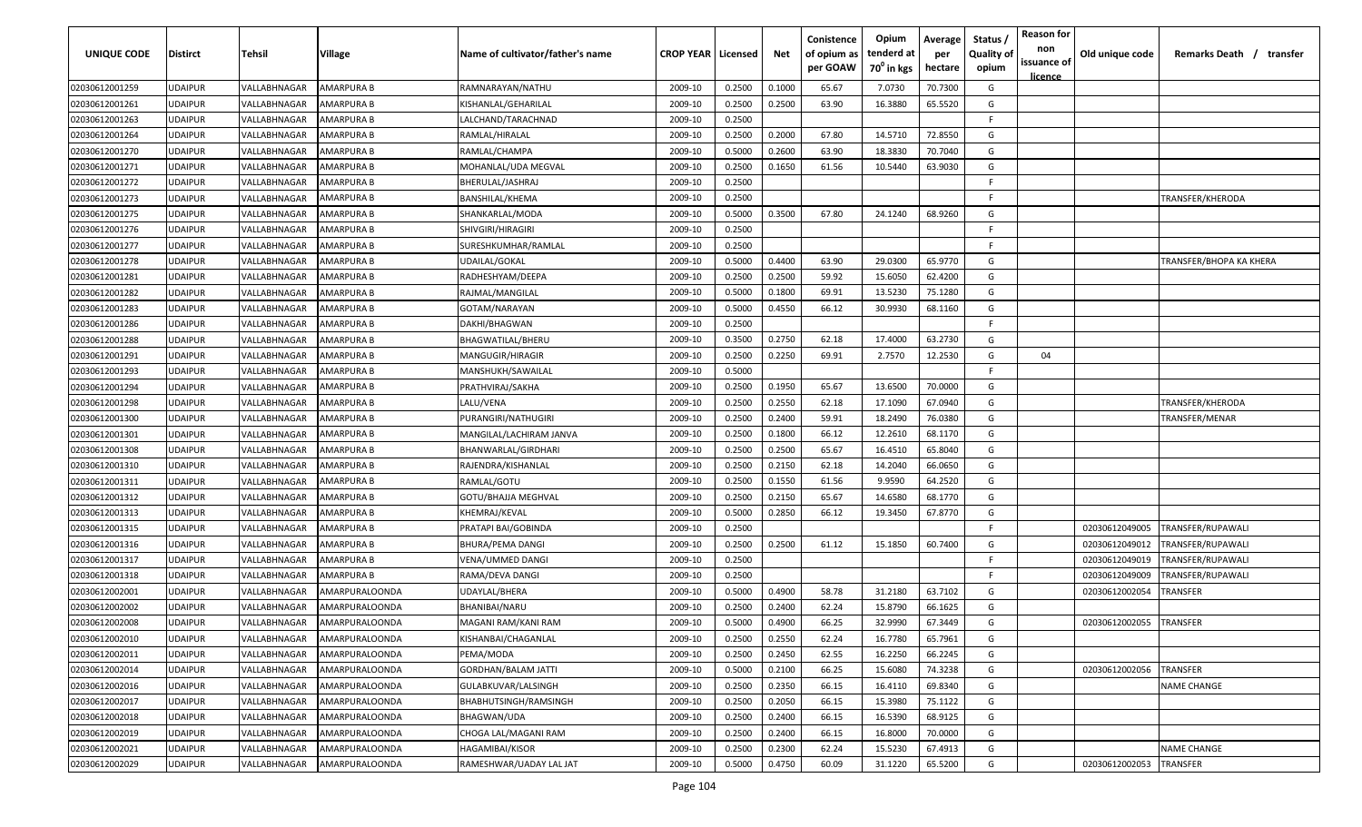| UNIQUE CODE    | <b>Distirct</b> | <b>Tehsil</b>              | <b>Village</b>        | Name of cultivator/father's name | <b>CROP YEAR   Licensed</b> |        | Net    | Conistence<br>of opium as<br>per GOAW | Opium<br>tenderd at<br>70 <sup>0</sup> in kgs | Average<br>per<br>hectare | Status /<br><b>Quality of</b><br>opium | <b>Reason for</b><br>non<br>issuance of<br><u>licence</u> | Old unique code | Remarks Death /<br>transfer |
|----------------|-----------------|----------------------------|-----------------------|----------------------------------|-----------------------------|--------|--------|---------------------------------------|-----------------------------------------------|---------------------------|----------------------------------------|-----------------------------------------------------------|-----------------|-----------------------------|
| 02030612001259 | <b>UDAIPUR</b>  | VALLABHNAGAR               | AMARPURA B            | RAMNARAYAN/NATHU                 | 2009-10                     | 0.2500 | 0.1000 | 65.67                                 | 7.0730                                        | 70.7300                   | G                                      |                                                           |                 |                             |
| 02030612001261 | <b>UDAIPUR</b>  | VALLABHNAGAR               | AMARPURA B            | KISHANLAL/GEHARILAL              | 2009-10                     | 0.2500 | 0.2500 | 63.90                                 | 16.3880                                       | 65.5520                   | G                                      |                                                           |                 |                             |
| 02030612001263 | <b>UDAIPUR</b>  | VALLABHNAGAR               | AMARPURA B            | LALCHAND/TARACHNAD               | 2009-10                     | 0.2500 |        |                                       |                                               |                           | F.                                     |                                                           |                 |                             |
| 02030612001264 | <b>UDAIPUR</b>  | VALLABHNAGAR               | AMARPURA B            | RAMLAL/HIRALAL                   | 2009-10                     | 0.2500 | 0.2000 | 67.80                                 | 14.5710                                       | 72.8550                   | G                                      |                                                           |                 |                             |
| 02030612001270 | <b>UDAIPUR</b>  | VALLABHNAGAR               | AMARPURA B            | RAMLAL/CHAMPA                    | 2009-10                     | 0.5000 | 0.2600 | 63.90                                 | 18.3830                                       | 70.7040                   | G                                      |                                                           |                 |                             |
| 02030612001271 | <b>UDAIPUR</b>  | VALLABHNAGAR               | AMARPURA B            | MOHANLAL/UDA MEGVAL              | 2009-10                     | 0.2500 | 0.1650 | 61.56                                 | 10.5440                                       | 63.9030                   | G                                      |                                                           |                 |                             |
| 02030612001272 | <b>UDAIPUR</b>  | VALLABHNAGAR               | AMARPURA B            | BHERULAL/JASHRAJ                 | 2009-10                     | 0.2500 |        |                                       |                                               |                           | F.                                     |                                                           |                 |                             |
| 02030612001273 | <b>UDAIPUR</b>  | VALLABHNAGAR               | AMARPURA B            | BANSHILAL/KHEMA                  | 2009-10                     | 0.2500 |        |                                       |                                               |                           | F.                                     |                                                           |                 | TRANSFER/KHERODA            |
| 02030612001275 | <b>UDAIPUR</b>  | VALLABHNAGAR               | AMARPURA B            | SHANKARLAL/MODA                  | 2009-10                     | 0.5000 | 0.3500 | 67.80                                 | 24.1240                                       | 68.9260                   | G                                      |                                                           |                 |                             |
| 02030612001276 | UDAIPUR         | VALLABHNAGAR               | AMARPURA B            | SHIVGIRI/HIRAGIRI                | 2009-10                     | 0.2500 |        |                                       |                                               |                           | F.                                     |                                                           |                 |                             |
| 02030612001277 | UDAIPUR         | VALLABHNAGAR               | AMARPURA B            | SURESHKUMHAR/RAMLAL              | 2009-10                     | 0.2500 |        |                                       |                                               |                           | F.                                     |                                                           |                 |                             |
| 02030612001278 | <b>UDAIPUR</b>  | VALLABHNAGAR               | AMARPURA B            | JDAILAL/GOKAL                    | 2009-10                     | 0.5000 | 0.4400 | 63.90                                 | 29.0300                                       | 65.9770                   | G                                      |                                                           |                 | TRANSFER/BHOPA KA KHERA     |
| 02030612001281 | UDAIPUR         | VALLABHNAGAR               | AMARPURA B            | RADHESHYAM/DEEPA                 | 2009-10                     | 0.2500 | 0.2500 | 59.92                                 | 15.6050                                       | 62.4200                   | G                                      |                                                           |                 |                             |
| 02030612001282 | <b>UDAIPUR</b>  | /ALLABHNAGAR               | AMARPURA B            | RAJMAL/MANGILAL                  | 2009-10                     | 0.5000 | 0.1800 | 69.91                                 | 13.5230                                       | 75.1280                   | G                                      |                                                           |                 |                             |
| 02030612001283 | <b>UDAIPUR</b>  | <b><i>VALLABHNAGAR</i></b> | AMARPURA B            | GOTAM/NARAYAN                    | 2009-10                     | 0.5000 | 0.4550 | 66.12                                 | 30.9930                                       | 68.1160                   | G                                      |                                                           |                 |                             |
| 02030612001286 | <b>UDAIPUR</b>  | <b><i>VALLABHNAGAR</i></b> | AMARPURA B            | DAKHI/BHAGWAN                    | 2009-10                     | 0.2500 |        |                                       |                                               |                           | E                                      |                                                           |                 |                             |
| 02030612001288 | <b>UDAIPUR</b>  | VALLABHNAGAR               | AMARPURA B            | BHAGWATILAL/BHERU                | 2009-10                     | 0.3500 | 0.2750 | 62.18                                 | 17.4000                                       | 63.2730                   | G                                      |                                                           |                 |                             |
| 02030612001291 | <b>UDAIPUR</b>  | VALLABHNAGAR               | AMARPURA B            | MANGUGIR/HIRAGIR                 | 2009-10                     | 0.2500 | 0.2250 | 69.91                                 | 2.7570                                        | 12.2530                   | G                                      | 04                                                        |                 |                             |
| 02030612001293 | <b>UDAIPUR</b>  | VALLABHNAGAR               | AMARPURA B            | MANSHUKH/SAWAILAL                | 2009-10                     | 0.5000 |        |                                       |                                               |                           | F.                                     |                                                           |                 |                             |
| 02030612001294 | <b>UDAIPUR</b>  | VALLABHNAGAR               | AMARPURA B            | PRATHVIRAJ/SAKHA                 | 2009-10                     | 0.2500 | 0.1950 | 65.67                                 | 13.6500                                       | 70.0000                   | G                                      |                                                           |                 |                             |
| 02030612001298 | <b>UDAIPUR</b>  | VALLABHNAGAR               | AMARPURA B            | LALU/VENA                        | 2009-10                     | 0.2500 | 0.2550 | 62.18                                 | 17.1090                                       | 67.0940                   | G                                      |                                                           |                 | TRANSFER/KHERODA            |
| 02030612001300 | <b>UDAIPUR</b>  | VALLABHNAGAR               | AMARPURA B            | PURANGIRI/NATHUGIRI              | 2009-10                     | 0.2500 | 0.2400 | 59.91                                 | 18.2490                                       | 76.0380                   | G                                      |                                                           |                 | TRANSFER/MENAR              |
| 02030612001301 | <b>UDAIPUR</b>  | VALLABHNAGAR               | AMARPURA B            | MANGILAL/LACHIRAM JANVA          | 2009-10                     | 0.2500 | 0.1800 | 66.12                                 | 12.2610                                       | 68.1170                   | G                                      |                                                           |                 |                             |
| 02030612001308 | <b>UDAIPUR</b>  | VALLABHNAGAR               | AMARPURA B            | BHANWARLAL/GIRDHARI              | 2009-10                     | 0.2500 | 0.2500 | 65.67                                 | 16.4510                                       | 65.8040                   | G                                      |                                                           |                 |                             |
| 02030612001310 | <b>UDAIPUR</b>  | <b><i>VALLABHNAGAR</i></b> | AMARPURA B            | RAJENDRA/KISHANLAL               | 2009-10                     | 0.2500 | 0.2150 | 62.18                                 | 14.2040                                       | 66.0650                   | G                                      |                                                           |                 |                             |
| 02030612001311 | <b>UDAIPUR</b>  | VALLABHNAGAR               | AMARPURA B            | RAMLAL/GOTU                      | 2009-10                     | 0.2500 | 0.1550 | 61.56                                 | 9.9590                                        | 64.2520                   | G                                      |                                                           |                 |                             |
| 02030612001312 | UDAIPUR         | VALLABHNAGAR               | AMARPURA B            | GOTU/BHAJJA MEGHVAL              | 2009-10                     | 0.2500 | 0.2150 | 65.67                                 | 14.6580                                       | 68.1770                   | G                                      |                                                           |                 |                             |
| 02030612001313 | UDAIPUR         | VALLABHNAGAR               | AMARPURA B            | KHEMRAJ/KEVAL                    | 2009-10                     | 0.5000 | 0.2850 | 66.12                                 | 19.3450                                       | 67.8770                   | G                                      |                                                           |                 |                             |
| 02030612001315 | <b>UDAIPUR</b>  | VALLABHNAGAR               | AMARPURA B            | PRATAPI BAI/GOBINDA              | 2009-10                     | 0.2500 |        |                                       |                                               |                           | F.                                     |                                                           | 02030612049005  | TRANSFER/RUPAWALI           |
| 02030612001316 | <b>UDAIPUR</b>  | VALLABHNAGAR               | AMARPURA B            | <b>BHURA/PEMA DANGI</b>          | 2009-10                     | 0.2500 | 0.2500 | 61.12                                 | 15.1850                                       | 60.7400                   | G                                      |                                                           | 02030612049012  | TRANSFER/RUPAWALI           |
| 02030612001317 | <b>UDAIPUR</b>  | <b>/ALLABHNAGAR</b>        | AMARPURA B            | VENA/UMMED DANGI                 | 2009-10                     | 0.2500 |        |                                       |                                               |                           | F.                                     |                                                           | 02030612049019  | TRANSFER/RUPAWALI           |
| 02030612001318 | <b>UDAIPUR</b>  | <b><i>VALLABHNAGAR</i></b> | AMARPURA B            | RAMA/DEVA DANGI                  | 2009-10                     | 0.2500 |        |                                       |                                               |                           | -F.                                    |                                                           | 02030612049009  | TRANSFER/RUPAWALI           |
| 02030612002001 | <b>UDAIPUR</b>  | VALLABHNAGAR               | AMARPURALOONDA        | UDAYLAL/BHERA                    | 2009-10                     | 0.5000 | 0.4900 | 58.78                                 | 31.2180                                       | 63.7102                   | G                                      |                                                           | 02030612002054  | TRANSFER                    |
| 02030612002002 | <b>UDAIPUR</b>  | VALLABHNAGAR               | AMARPURALOONDA        | BHANIBAI/NARU                    | 2009-10                     | 0.2500 | 0.2400 | 62.24                                 | 15.8790                                       | 66.1625                   | G                                      |                                                           |                 |                             |
| 02030612002008 | <b>UDAIPUR</b>  | VALLABHNAGAR               | AMARPURALOONDA        | MAGANI RAM/KANI RAM              | 2009-10                     | 0.5000 | 0.4900 | 66.25                                 | 32.9990                                       | 67.3449                   | G                                      |                                                           | 02030612002055  | <b>TRANSFER</b>             |
| 02030612002010 | <b>UDAIPUR</b>  | VALLABHNAGAR               | AMARPURALOONDA        | KISHANBAI/CHAGANLAL              | 2009-10                     | 0.2500 | 0.2550 | 62.24                                 | 16.7780                                       | 65.7961                   | G                                      |                                                           |                 |                             |
| 02030612002011 | <b>UDAIPUR</b>  | VALLABHNAGAR               | AMARPURALOONDA        | PEMA/MODA                        | 2009-10                     | 0.2500 | 0.2450 | 62.55                                 | 16.2250                                       | 66.2245                   | G                                      |                                                           |                 |                             |
| 02030612002014 | <b>UDAIPUR</b>  | VALLABHNAGAR               | AMARPURALOONDA        | <b>GORDHAN/BALAM JATTI</b>       | 2009-10                     | 0.5000 | 0.2100 | 66.25                                 | 15.6080                                       | 74.3238                   | G                                      |                                                           | 02030612002056  | <b>TRANSFER</b>             |
| 02030612002016 | <b>UDAIPUR</b>  | VALLABHNAGAR               | AMARPURALOONDA        | GULABKUVAR/LALSINGH              | 2009-10                     | 0.2500 | 0.2350 | 66.15                                 | 16.4110                                       | 69.8340                   | G                                      |                                                           |                 | <b>NAME CHANGE</b>          |
| 02030612002017 | <b>UDAIPUR</b>  | VALLABHNAGAR               | AMARPURALOONDA        | BHABHUTSINGH/RAMSINGH            | 2009-10                     | 0.2500 | 0.2050 | 66.15                                 | 15.3980                                       | 75.1122                   | G                                      |                                                           |                 |                             |
| 02030612002018 | <b>UDAIPUR</b>  | <b><i>VALLABHNAGAR</i></b> | <b>AMARPURALOONDA</b> | BHAGWAN/UDA                      | 2009-10                     | 0.2500 | 0.2400 | 66.15                                 | 16.5390                                       | 68.9125                   | G                                      |                                                           |                 |                             |
| 02030612002019 | <b>UDAIPUR</b>  | <b><i>VALLABHNAGAR</i></b> | <b>AMARPURALOONDA</b> | CHOGA LAL/MAGANI RAM             | 2009-10                     | 0.2500 | 0.2400 | 66.15                                 | 16.8000                                       | 70.0000                   | G                                      |                                                           |                 |                             |
| 02030612002021 | <b>UDAIPUR</b>  | VALLABHNAGAR               | AMARPURALOONDA        | HAGAMIBAI/KISOR                  | 2009-10                     | 0.2500 | 0.2300 | 62.24                                 | 15.5230                                       | 67.4913                   | G                                      |                                                           |                 | <b>NAME CHANGE</b>          |
| 02030612002029 | <b>UDAIPUR</b>  | VALLABHNAGAR               | AMARPURALOONDA        | RAMESHWAR/UADAY LAL JAT          | 2009-10                     | 0.5000 | 0.4750 | 60.09                                 | 31.1220                                       | 65.5200                   | G                                      |                                                           | 02030612002053  | <b>TRANSFER</b>             |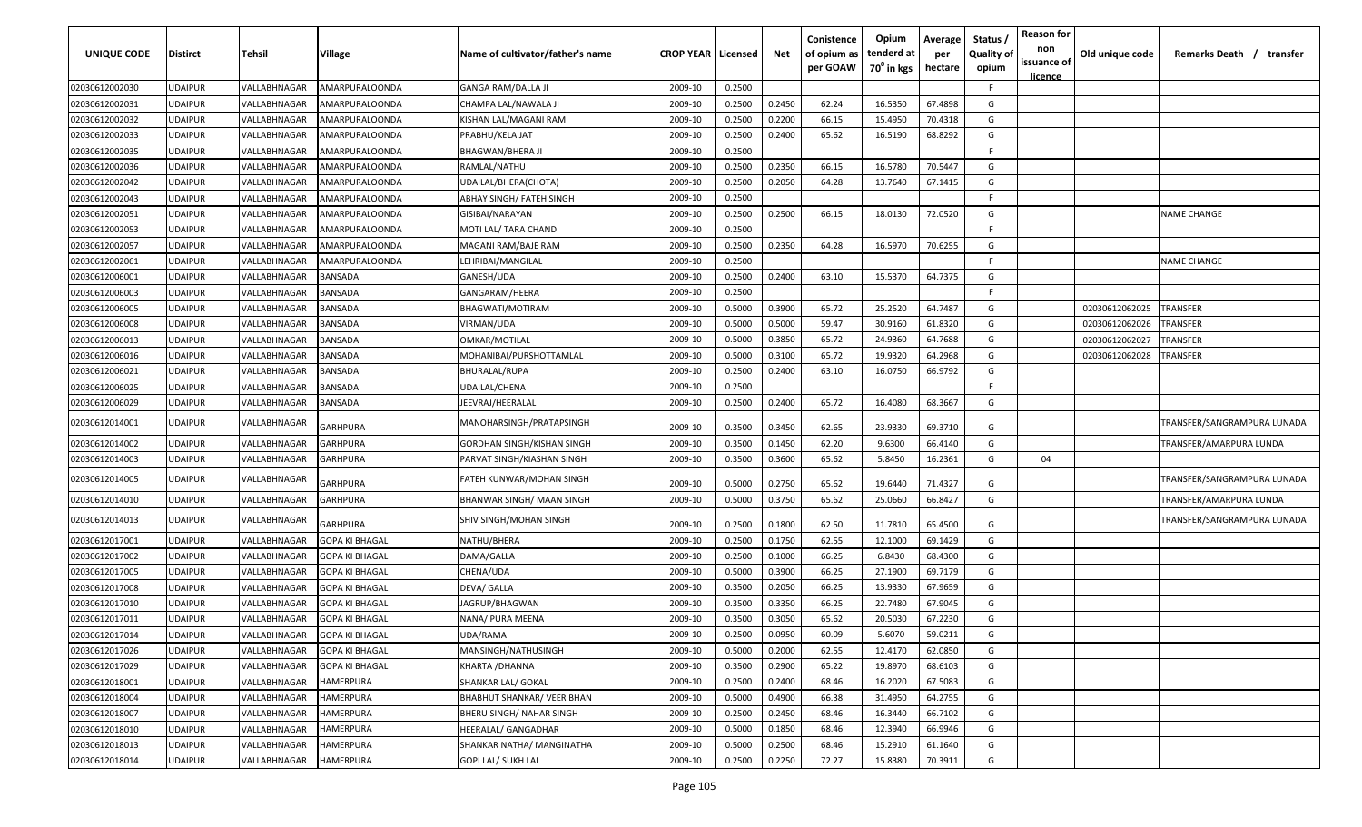| UNIQUE CODE    | <b>Distirct</b> | Tehsil                     | <b>Village</b>        | Name of cultivator/father's name  | <b>CROP YEAR   Licensed</b> |        | Net    | Conistence<br>of opium as<br>per GOAW | Opium<br>tenderd at<br>$70^0$ in kgs | Average<br>per<br>hectare | Status /<br><b>Quality of</b><br>opium | <b>Reason for</b><br>non<br>issuance of<br><u>licence</u> | Old unique code | Remarks Death /<br>transfer |
|----------------|-----------------|----------------------------|-----------------------|-----------------------------------|-----------------------------|--------|--------|---------------------------------------|--------------------------------------|---------------------------|----------------------------------------|-----------------------------------------------------------|-----------------|-----------------------------|
| 02030612002030 | <b>UDAIPUR</b>  | VALLABHNAGAR               | AMARPURALOONDA        | <b>GANGA RAM/DALLA JI</b>         | 2009-10                     | 0.2500 |        |                                       |                                      |                           | F.                                     |                                                           |                 |                             |
| 02030612002031 | <b>UDAIPUR</b>  | VALLABHNAGAR               | AMARPURALOONDA        | CHAMPA LAL/NAWALA JI              | 2009-10                     | 0.2500 | 0.2450 | 62.24                                 | 16.5350                              | 67.4898                   | G                                      |                                                           |                 |                             |
| 02030612002032 | <b>UDAIPUR</b>  | VALLABHNAGAR               | AMARPURALOONDA        | KISHAN LAL/MAGANI RAM             | 2009-10                     | 0.2500 | 0.2200 | 66.15                                 | 15.4950                              | 70.4318                   | G                                      |                                                           |                 |                             |
| 02030612002033 | <b>UDAIPUR</b>  | VALLABHNAGAR               | AMARPURALOONDA        | PRABHU/KELA JAT                   | 2009-10                     | 0.2500 | 0.2400 | 65.62                                 | 16.5190                              | 68.8292                   | G                                      |                                                           |                 |                             |
| 02030612002035 | <b>UDAIPUR</b>  | VALLABHNAGAR               | AMARPURALOONDA        | BHAGWAN/BHERA JI                  | 2009-10                     | 0.2500 |        |                                       |                                      |                           | F.                                     |                                                           |                 |                             |
| 02030612002036 | <b>UDAIPUR</b>  | VALLABHNAGAR               | AMARPURALOONDA        | RAMLAL/NATHU                      | 2009-10                     | 0.2500 | 0.2350 | 66.15                                 | 16.5780                              | 70.5447                   | G                                      |                                                           |                 |                             |
| 02030612002042 | <b>UDAIPUR</b>  | VALLABHNAGAR               | AMARPURALOONDA        | UDAILAL/BHERA(CHOTA)              | 2009-10                     | 0.2500 | 0.2050 | 64.28                                 | 13.7640                              | 67.1415                   | G                                      |                                                           |                 |                             |
| 02030612002043 | <b>UDAIPUR</b>  | VALLABHNAGAR               | AMARPURALOONDA        | ABHAY SINGH/ FATEH SINGH          | 2009-10                     | 0.2500 |        |                                       |                                      |                           | F.                                     |                                                           |                 |                             |
| 02030612002051 | <b>UDAIPUR</b>  | <b><i>VALLABHNAGAF</i></b> | AMARPURALOONDA        | GISIBAI/NARAYAN                   | 2009-10                     | 0.2500 | 0.2500 | 66.15                                 | 18.0130                              | 72.0520                   | G                                      |                                                           |                 | <b>NAME CHANGE</b>          |
| 02030612002053 | <b>UDAIPUR</b>  | VALLABHNAGAR               | AMARPURALOONDA        | MOTI LAL/ TARA CHAND              | 2009-10                     | 0.2500 |        |                                       |                                      |                           | F.                                     |                                                           |                 |                             |
| 02030612002057 | UDAIPUR         | VALLABHNAGAR               | AMARPURALOONDA        | MAGANI RAM/BAJE RAM               | 2009-10                     | 0.2500 | 0.2350 | 64.28                                 | 16.5970                              | 70.6255                   | G                                      |                                                           |                 |                             |
| 02030612002061 | UDAIPUR         | VALLABHNAGAR               | AMARPURALOONDA        | LEHRIBAI/MANGILAL                 | 2009-10                     | 0.2500 |        |                                       |                                      |                           | F.                                     |                                                           |                 | NAME CHANGE                 |
| 02030612006001 | <b>UDAIPUR</b>  | VALLABHNAGAR               | <b>BANSADA</b>        | GANESH/UDA                        | 2009-10                     | 0.2500 | 0.2400 | 63.10                                 | 15.5370                              | 64.7375                   | G                                      |                                                           |                 |                             |
| 02030612006003 | <b>UDAIPUR</b>  | VALLABHNAGAR               | <b>BANSADA</b>        | GANGARAM/HEERA                    | 2009-10                     | 0.2500 |        |                                       |                                      |                           | E                                      |                                                           |                 |                             |
| 02030612006005 | <b>UDAIPUR</b>  | VALLABHNAGAR               | <b>BANSADA</b>        | BHAGWATI/MOTIRAM                  | 2009-10                     | 0.5000 | 0.3900 | 65.72                                 | 25.2520                              | 64.7487                   | G                                      |                                                           | 02030612062025  | TRANSFER                    |
| 02030612006008 | UDAIPUR         | VALLABHNAGAR               | BANSADA               | VIRMAN/UDA                        | 2009-10                     | 0.5000 | 0.5000 | 59.47                                 | 30.9160                              | 61.8320                   | G                                      |                                                           | 02030612062026  | TRANSFER                    |
| 02030612006013 | <b>UDAIPUR</b>  | VALLABHNAGAR               | <b>BANSADA</b>        | OMKAR/MOTILAL                     | 2009-10                     | 0.5000 | 0.3850 | 65.72                                 | 24.9360                              | 64.7688                   | G                                      |                                                           | 02030612062027  | TRANSFER                    |
| 02030612006016 | <b>UDAIPUR</b>  | VALLABHNAGAR               | <b>BANSADA</b>        | MOHANIBAI/PURSHOTTAMLAL           | 2009-10                     | 0.5000 | 0.3100 | 65.72                                 | 19.9320                              | 64.2968                   | G                                      |                                                           | 02030612062028  | <b>TRANSFER</b>             |
| 02030612006021 | <b>UDAIPUR</b>  | VALLABHNAGAR               | <b>BANSADA</b>        | BHURALAL/RUPA                     | 2009-10                     | 0.2500 | 0.2400 | 63.10                                 | 16.0750                              | 66.9792                   | G                                      |                                                           |                 |                             |
| 02030612006025 | <b>UDAIPUR</b>  | VALLABHNAGAR               | BANSADA               | UDAILAL/CHENA                     | 2009-10                     | 0.2500 |        |                                       |                                      |                           | F.                                     |                                                           |                 |                             |
| 02030612006029 | <b>UDAIPUR</b>  | VALLABHNAGAR               | <b>BANSADA</b>        | JEEVRAJ/HEERALAL                  | 2009-10                     | 0.2500 | 0.2400 | 65.72                                 | 16.4080                              | 68.3667                   | G                                      |                                                           |                 |                             |
| 02030612014001 | UDAIPUR         | VALLABHNAGAR               | GARHPURA              | MANOHARSINGH/PRATAPSINGH          | 2009-10                     | 0.3500 | 0.3450 | 62.65                                 | 23.9330                              | 69.3710                   | G                                      |                                                           |                 | TRANSFER/SANGRAMPURA LUNADA |
| 02030612014002 | <b>UDAIPUR</b>  | VALLABHNAGAR               | GARHPURA              | GORDHAN SINGH/KISHAN SINGH        | 2009-10                     | 0.3500 | 0.1450 | 62.20                                 | 9.6300                               | 66.4140                   | G                                      |                                                           |                 | TRANSFER/AMARPURA LUNDA     |
| 02030612014003 | <b>UDAIPUR</b>  | VALLABHNAGAR               | GARHPURA              | PARVAT SINGH/KIASHAN SINGH        | 2009-10                     | 0.3500 | 0.3600 | 65.62                                 | 5.8450                               | 16.2361                   | G                                      | 04                                                        |                 |                             |
| 02030612014005 | UDAIPUR         | VALLABHNAGAF               | GARHPURA              | FATEH KUNWAR/MOHAN SINGH          | 2009-10                     | 0.5000 | 0.2750 | 65.62                                 | 19.6440                              | 71.4327                   | G                                      |                                                           |                 | TRANSFER/SANGRAMPURA LUNADA |
| 02030612014010 | <b>UDAIPUR</b>  | VALLABHNAGAR               | <b>GARHPURA</b>       | BHANWAR SINGH/ MAAN SINGH         | 2009-10                     | 0.5000 | 0.3750 | 65.62                                 | 25.0660                              | 66.8427                   | G                                      |                                                           |                 | TRANSFER/AMARPURA LUNDA     |
| 02030612014013 | <b>UDAIPUR</b>  | VALLABHNAGAR               | GARHPURA              | SHIV SINGH/MOHAN SINGH            | 2009-10                     | 0.2500 | 0.1800 | 62.50                                 | 11.7810                              | 65.4500                   | G                                      |                                                           |                 | TRANSFER/SANGRAMPURA LUNADA |
| 02030612017001 | <b>UDAIPUR</b>  | VALLABHNAGAR               | GOPA KI BHAGAL        | NATHU/BHERA                       | 2009-10                     | 0.2500 | 0.1750 | 62.55                                 | 12.1000                              | 69.1429                   | G                                      |                                                           |                 |                             |
| 02030612017002 | <b>UDAIPUR</b>  | VALLABHNAGAR               | <b>GOPA KI BHAGAL</b> | DAMA/GALLA                        | 2009-10                     | 0.2500 | 0.1000 | 66.25                                 | 6.8430                               | 68.4300                   | G                                      |                                                           |                 |                             |
| 02030612017005 | <b>UDAIPUR</b>  | VALLABHNAGAR               | <b>GOPA KI BHAGAL</b> | CHENA/UDA                         | 2009-10                     | 0.5000 | 0.3900 | 66.25                                 | 27.1900                              | 69.7179                   | G                                      |                                                           |                 |                             |
| 02030612017008 | <b>UDAIPUR</b>  | VALLABHNAGAR               | <b>GOPA KI BHAGAL</b> | <b>DEVA/ GALLA</b>                | 2009-10                     | 0.3500 | 0.2050 | 66.25                                 | 13.9330                              | 67.9659                   | G                                      |                                                           |                 |                             |
| 02030612017010 | <b>UDAIPUR</b>  | <b><i>VALLABHNAGAF</i></b> | GOPA KI BHAGAL        | JAGRUP/BHAGWAN                    | 2009-10                     | 0.3500 | 0.3350 | 66.25                                 | 22.7480                              | 67.9045                   | G                                      |                                                           |                 |                             |
| 02030612017011 | <b>UDAIPUR</b>  | /ALLABHNAGAR               | <b>GOPA KI BHAGAL</b> | NANA/ PURA MEENA                  | 2009-10                     | 0.3500 | 0.3050 | 65.62                                 | 20.5030                              | 67.2230                   | G                                      |                                                           |                 |                             |
| 02030612017014 | <b>UDAIPUR</b>  | VALLABHNAGAR               | <b>GOPA KI BHAGAL</b> | UDA/RAMA                          | 2009-10                     | 0.2500 | 0.0950 | 60.09                                 | 5.6070                               | 59.0211                   | G                                      |                                                           |                 |                             |
| 02030612017026 | <b>UDAIPUR</b>  | VALLABHNAGAR               | <b>GOPA KI BHAGAL</b> | MANSINGH/NATHUSINGH               | 2009-10                     | 0.5000 | 0.2000 | 62.55                                 | 12.4170                              | 62.0850                   | G                                      |                                                           |                 |                             |
| 02030612017029 | <b>UDAIPUR</b>  | VALLABHNAGAR               | <b>GOPA KI BHAGAL</b> | KHARTA / DHANNA                   | 2009-10                     | 0.3500 | 0.2900 | 65.22                                 | 19.8970                              | 68.6103                   | G                                      |                                                           |                 |                             |
| 02030612018001 | <b>UDAIPUR</b>  | VALLABHNAGAR               | <b>HAMERPURA</b>      | SHANKAR LAL/ GOKAL                | 2009-10                     | 0.2500 | 0.2400 | 68.46                                 | 16.2020                              | 67.5083                   | G                                      |                                                           |                 |                             |
| 02030612018004 | <b>UDAIPUR</b>  | VALLABHNAGAR               | <b>HAMERPURA</b>      | <b>BHABHUT SHANKAR/ VEER BHAN</b> | 2009-10                     | 0.5000 | 0.4900 | 66.38                                 | 31.4950                              | 64.2755                   | G                                      |                                                           |                 |                             |
| 02030612018007 | <b>UDAIPUR</b>  | VALLABHNAGAR               | <b>HAMERPURA</b>      | BHERU SINGH/ NAHAR SINGH          | 2009-10                     | 0.2500 | 0.2450 | 68.46                                 | 16.3440                              | 66.7102                   | G                                      |                                                           |                 |                             |
| 02030612018010 | <b>UDAIPUR</b>  | VALLABHNAGAR               | <b>HAMERPURA</b>      | HEERALAL/ GANGADHAR               | 2009-10                     | 0.5000 | 0.1850 | 68.46                                 | 12.3940                              | 66.9946                   | G                                      |                                                           |                 |                             |
| 02030612018013 | <b>UDAIPUR</b>  | VALLABHNAGAR               | <b>HAMERPURA</b>      | SHANKAR NATHA/ MANGINATHA         | 2009-10                     | 0.5000 | 0.2500 | 68.46                                 | 15.2910                              | 61.1640                   | G                                      |                                                           |                 |                             |
| 02030612018014 | <b>UDAIPUR</b>  | VALLABHNAGAR               | HAMERPURA             | GOPI LAL/ SUKH LAL                | 2009-10                     | 0.2500 | 0.2250 | 72.27                                 | 15.8380                              | 70.3911                   | G                                      |                                                           |                 |                             |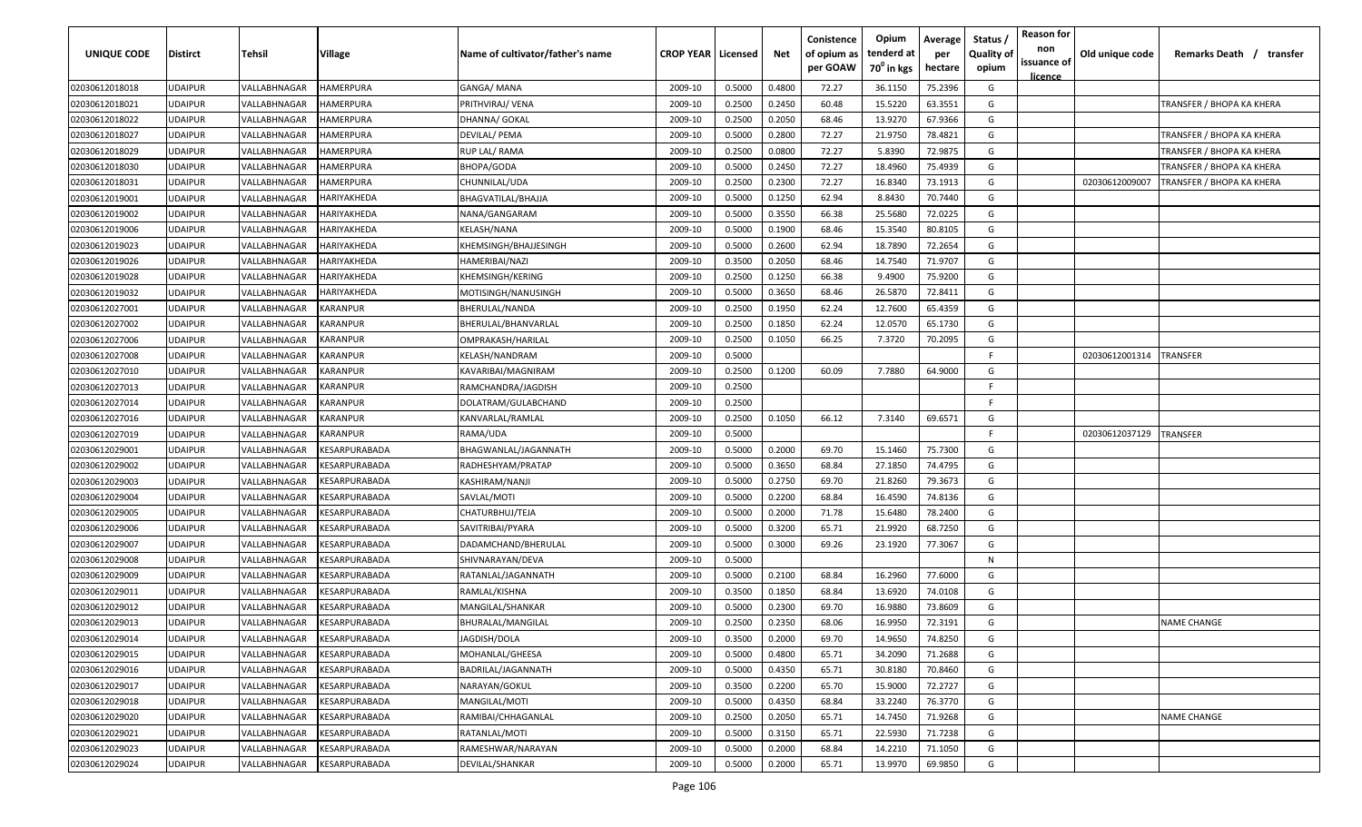| UNIQUE CODE    | <b>Distirct</b> | <b>Tehsil</b> | Village                                     | Name of cultivator/father's name | <b>CROP YEAR   Licensed</b> |        | Net    | Conistence<br>of opium as<br>per GOAW | Opium<br>tenderd at<br>70 <sup>°</sup> in kgs | Average<br>per<br>hectare | Status<br><b>Quality of</b><br>opium | <b>Reason for</b><br>non<br>issuance of<br>licence | Old unique code | Remarks Death /<br>transfer |
|----------------|-----------------|---------------|---------------------------------------------|----------------------------------|-----------------------------|--------|--------|---------------------------------------|-----------------------------------------------|---------------------------|--------------------------------------|----------------------------------------------------|-----------------|-----------------------------|
| 02030612018018 | <b>UDAIPUR</b>  | VALLABHNAGAR  | HAMERPURA                                   | GANGA/MANA                       | 2009-10                     | 0.5000 | 0.4800 | 72.27                                 | 36.1150                                       | 75.2396                   | G                                    |                                                    |                 |                             |
| 02030612018021 | <b>UDAIPUR</b>  | VALLABHNAGAR  | HAMERPURA                                   | PRITHVIRAJ/ VENA                 | 2009-10                     | 0.2500 | 0.2450 | 60.48                                 | 15.5220                                       | 63.3551                   | G                                    |                                                    |                 | TRANSFER / BHOPA KA KHERA   |
| 02030612018022 | <b>UDAIPUR</b>  | VALLABHNAGAR  | HAMERPURA                                   | DHANNA/ GOKAL                    | 2009-10                     | 0.2500 | 0.2050 | 68.46                                 | 13.9270                                       | 67.9366                   | G                                    |                                                    |                 |                             |
| 02030612018027 | <b>UDAIPUR</b>  | VALLABHNAGAR  | <b>HAMERPURA</b>                            | DEVILAL/ PEMA                    | 2009-10                     | 0.5000 | 0.2800 | 72.27                                 | 21.9750                                       | 78.4821                   | G                                    |                                                    |                 | TRANSFER / BHOPA KA KHERA   |
| 02030612018029 | <b>UDAIPUR</b>  | VALLABHNAGAR  | HAMERPURA                                   | RUP LAL/ RAMA                    | 2009-10                     | 0.2500 | 0.0800 | 72.27                                 | 5.8390                                        | 72.9875                   | G                                    |                                                    |                 | TRANSFER / BHOPA KA KHERA   |
| 02030612018030 | <b>UDAIPUR</b>  | VALLABHNAGAR  | HAMERPURA                                   | BHOPA/GODA                       | 2009-10                     | 0.5000 | 0.2450 | 72.27                                 | 18.4960                                       | 75.4939                   | G                                    |                                                    |                 | TRANSFER / BHOPA KA KHERA   |
| 02030612018031 | <b>UDAIPUR</b>  | VALLABHNAGAR  | HAMERPURA                                   | CHUNNILAL/UDA                    | 2009-10                     | 0.2500 | 0.2300 | 72.27                                 | 16.8340                                       | 73.1913                   | G                                    |                                                    | 02030612009007  | TRANSFER / BHOPA KA KHERA   |
| 02030612019001 | <b>UDAIPUR</b>  | VALLABHNAGAR  | HARIYAKHEDA                                 | BHAGVATILAL/BHAJJA               | 2009-10                     | 0.5000 | 0.1250 | 62.94                                 | 8.8430                                        | 70.7440                   | G                                    |                                                    |                 |                             |
| 02030612019002 | <b>UDAIPUR</b>  | VALLABHNAGAR  | HARIYAKHEDA                                 | NANA/GANGARAM                    | 2009-10                     | 0.5000 | 0.3550 | 66.38                                 | 25.5680                                       | 72.0225                   | G                                    |                                                    |                 |                             |
| 02030612019006 | <b>UDAIPUR</b>  | VALLABHNAGAR  | HARIYAKHEDA                                 | KELASH/NANA                      | 2009-10                     | 0.5000 | 0.1900 | 68.46                                 | 15.3540                                       | 80.8105                   | G                                    |                                                    |                 |                             |
| 02030612019023 | <b>UDAIPUR</b>  | VALLABHNAGAR  | HARIYAKHEDA                                 | KHEMSINGH/BHAJJESINGH            | 2009-10                     | 0.5000 | 0.2600 | 62.94                                 | 18.7890                                       | 72.2654                   | G                                    |                                                    |                 |                             |
| 02030612019026 | <b>UDAIPUR</b>  | VALLABHNAGAR  | HARIYAKHEDA                                 | HAMERIBAI/NAZI                   | 2009-10                     | 0.3500 | 0.2050 | 68.46                                 | 14.7540                                       | 71.9707                   | G                                    |                                                    |                 |                             |
| 02030612019028 | <b>UDAIPUR</b>  | VALLABHNAGAR  | HARIYAKHEDA                                 | KHEMSINGH/KERING                 | 2009-10                     | 0.2500 | 0.1250 | 66.38                                 | 9.4900                                        | 75.9200                   | G                                    |                                                    |                 |                             |
| 02030612019032 | <b>UDAIPUR</b>  | VALLABHNAGAR  | HARIYAKHEDA                                 | MOTISINGH/NANUSINGH              | 2009-10                     | 0.5000 | 0.3650 | 68.46                                 | 26.5870                                       | 72.8411                   | G                                    |                                                    |                 |                             |
| 02030612027001 | <b>UDAIPUR</b>  | VALLABHNAGAR  | KARANPUR                                    | BHERULAL/NANDA                   | 2009-10                     | 0.2500 | 0.1950 | 62.24                                 | 12.7600                                       | 65.4359                   | G                                    |                                                    |                 |                             |
| 02030612027002 | <b>UDAIPUR</b>  | VALLABHNAGAR  | KARANPUR                                    | BHERULAL/BHANVARLAL              | 2009-10                     | 0.2500 | 0.1850 | 62.24                                 | 12.0570                                       | 65.1730                   | G                                    |                                                    |                 |                             |
| 02030612027006 | <b>UDAIPUR</b>  | VALLABHNAGAR  | KARANPUR                                    | OMPRAKASH/HARILAL                | 2009-10                     | 0.2500 | 0.1050 | 66.25                                 | 7.3720                                        | 70.2095                   | G                                    |                                                    |                 |                             |
| 02030612027008 | <b>UDAIPUR</b>  | VALLABHNAGAR  | KARANPUR                                    | KELASH/NANDRAM                   | 2009-10                     | 0.5000 |        |                                       |                                               |                           | -F.                                  |                                                    | 02030612001314  | TRANSFER                    |
| 02030612027010 | <b>UDAIPUR</b>  | VALLABHNAGAR  | KARANPUR                                    | KAVARIBAI/MAGNIRAM               | 2009-10                     | 0.2500 | 0.1200 | 60.09                                 | 7.7880                                        | 64.9000                   | G                                    |                                                    |                 |                             |
| 02030612027013 | <b>UDAIPUR</b>  | VALLABHNAGAR  | <b><i>KARANPUR</i></b>                      | RAMCHANDRA/JAGDISH               | 2009-10                     | 0.2500 |        |                                       |                                               |                           | -F.                                  |                                                    |                 |                             |
| 02030612027014 | <b>UDAIPUR</b>  | VALLABHNAGAR  | <b><i>KARANPUR</i></b>                      | DOLATRAM/GULABCHAND              | 2009-10                     | 0.2500 |        |                                       |                                               |                           | F.                                   |                                                    |                 |                             |
| 02030612027016 | <b>UDAIPUR</b>  | VALLABHNAGAR  | KARANPUR                                    | KANVARLAL/RAMLAL                 | 2009-10                     | 0.2500 | 0.1050 | 66.12                                 | 7.3140                                        | 69.6571                   | G                                    |                                                    |                 |                             |
| 02030612027019 | <b>UDAIPUR</b>  | VALLABHNAGAR  | <b><i>KARANPUR</i></b>                      | RAMA/UDA                         | 2009-10                     | 0.5000 |        |                                       |                                               |                           | F.                                   |                                                    | 02030612037129  | TRANSFER                    |
| 02030612029001 | <b>UDAIPUR</b>  | VALLABHNAGAR  | <b><i>CESARPURABADA</i></b>                 | BHAGWANLAL/JAGANNATH             | 2009-10                     | 0.5000 | 0.2000 | 69.70                                 | 15.1460                                       | 75.7300                   | G                                    |                                                    |                 |                             |
| 02030612029002 | <b>UDAIPUR</b>  | VALLABHNAGAR  | <b>ESARPURABADA</b>                         | RADHESHYAM/PRATAP                | 2009-10                     | 0.5000 | 0.3650 | 68.84                                 | 27.1850                                       | 74.4795                   | G                                    |                                                    |                 |                             |
| 02030612029003 | <b>UDAIPUR</b>  | VALLABHNAGAR  | <b>ESARPURABADA</b>                         | KASHIRAM/NANJI                   | 2009-10                     | 0.5000 | 0.2750 | 69.70                                 | 21.8260                                       | 79.3673                   | G                                    |                                                    |                 |                             |
| 02030612029004 | <b>UDAIPUR</b>  | VALLABHNAGAR  | <b><i>CESARPURABADA</i></b>                 | SAVLAL/MOTI                      | 2009-10                     | 0.5000 | 0.2200 | 68.84                                 | 16.4590                                       | 74.8136                   | G                                    |                                                    |                 |                             |
| 02030612029005 | <b>UDAIPUR</b>  | VALLABHNAGAR  | <b><i>CESARPURABADA</i></b>                 | CHATURBHUJ/TEJA                  | 2009-10                     | 0.5000 | 0.2000 | 71.78                                 | 15.6480                                       | 78.2400                   | G                                    |                                                    |                 |                             |
| 02030612029006 | <b>UDAIPUR</b>  | VALLABHNAGAR  | <b><esarpurabada< b=""></esarpurabada<></b> | SAVITRIBAI/PYARA                 | 2009-10                     | 0.5000 | 0.3200 | 65.71                                 | 21.9920                                       | 68.7250                   | G                                    |                                                    |                 |                             |
| 02030612029007 | <b>UDAIPUR</b>  | VALLABHNAGAR  | <b><i>CESARPURABADA</i></b>                 | DADAMCHAND/BHERULAL              | 2009-10                     | 0.5000 | 0.3000 | 69.26                                 | 23.1920                                       | 77.3067                   | G                                    |                                                    |                 |                             |
| 02030612029008 | <b>UDAIPUR</b>  | VALLABHNAGAR  | KESARPURABADA                               | SHIVNARAYAN/DEVA                 | 2009-10                     | 0.5000 |        |                                       |                                               |                           | N                                    |                                                    |                 |                             |
| 02030612029009 | <b>UDAIPUR</b>  | VALLABHNAGAR  | KESARPURABADA                               | RATANLAL/JAGANNATH               | 2009-10                     | 0.5000 | 0.2100 | 68.84                                 | 16.2960                                       | 77.6000                   | G                                    |                                                    |                 |                             |
| 02030612029011 | <b>UDAIPUR</b>  | VALLABHNAGAR  | <b><i>CESARPURABADA</i></b>                 | RAMLAL/KISHNA                    | 2009-10                     | 0.3500 | 0.1850 | 68.84                                 | 13.6920                                       | 74.0108                   | G                                    |                                                    |                 |                             |
| 02030612029012 | <b>UDAIPUR</b>  | VALLABHNAGAR  | <b>ESARPURABADA</b>                         | MANGILAL/SHANKAR                 | 2009-10                     | 0.5000 | 0.2300 | 69.70                                 | 16.9880                                       | 73.8609                   | G                                    |                                                    |                 |                             |
| 02030612029013 | <b>UDAIPUR</b>  | VALLABHNAGAR  | <b><i>CESARPURABADA</i></b>                 | BHURALAL/MANGILAL                | 2009-10                     | 0.2500 | 0.2350 | 68.06                                 | 16.9950                                       | 72.3191                   | G                                    |                                                    |                 | <b>NAME CHANGE</b>          |
| 02030612029014 | <b>UDAIPUR</b>  | VALLABHNAGAR  | <b>KESARPURABADA</b>                        | JAGDISH/DOLA                     | 2009-10                     | 0.3500 | 0.2000 | 69.70                                 | 14.9650                                       | 74.8250                   | G                                    |                                                    |                 |                             |
| 02030612029015 | <b>UDAIPUR</b>  | VALLABHNAGAR  | KESARPURABADA                               | MOHANLAL/GHEESA                  | 2009-10                     | 0.5000 | 0.4800 | 65.71                                 | 34.2090                                       | 71.2688                   | G                                    |                                                    |                 |                             |
| 02030612029016 | <b>UDAIPUR</b>  | VALLABHNAGAR  | KESARPURABADA                               | BADRILAL/JAGANNATH               | 2009-10                     | 0.5000 | 0.4350 | 65.71                                 | 30.8180                                       | 70.8460                   | G                                    |                                                    |                 |                             |
| 02030612029017 | <b>UDAIPUR</b>  | VALLABHNAGAR  | KESARPURABADA                               | NARAYAN/GOKUL                    | 2009-10                     | 0.3500 | 0.2200 | 65.70                                 | 15.9000                                       | 72.2727                   | G                                    |                                                    |                 |                             |
| 02030612029018 | <b>UDAIPUR</b>  | VALLABHNAGAR  | KESARPURABADA                               | MANGILAL/MOTI                    | 2009-10                     | 0.5000 | 0.4350 | 68.84                                 | 33.2240                                       | 76.3770                   | G                                    |                                                    |                 |                             |
| 02030612029020 | <b>UDAIPUR</b>  | VALLABHNAGAR  | KESARPURABADA                               | RAMIBAI/CHHAGANLAL               | 2009-10                     | 0.2500 | 0.2050 | 65.71                                 | 14.7450                                       | 71.9268                   | G                                    |                                                    |                 | <b>NAME CHANGE</b>          |
| 02030612029021 | <b>UDAIPUR</b>  | VALLABHNAGAR  | KESARPURABADA                               | RATANLAL/MOTI                    | 2009-10                     | 0.5000 | 0.3150 | 65.71                                 | 22.5930                                       | 71.7238                   | G                                    |                                                    |                 |                             |
| 02030612029023 | <b>UDAIPUR</b>  | VALLABHNAGAR  | KESARPURABADA                               | RAMESHWAR/NARAYAN                | 2009-10                     | 0.5000 | 0.2000 | 68.84                                 | 14.2210                                       | 71.1050                   | G                                    |                                                    |                 |                             |
| 02030612029024 | <b>UDAIPUR</b>  | VALLABHNAGAR  | KESARPURABADA                               | DEVILAL/SHANKAR                  | 2009-10                     | 0.5000 | 0.2000 | 65.71                                 | 13.9970                                       | 69.9850                   | G                                    |                                                    |                 |                             |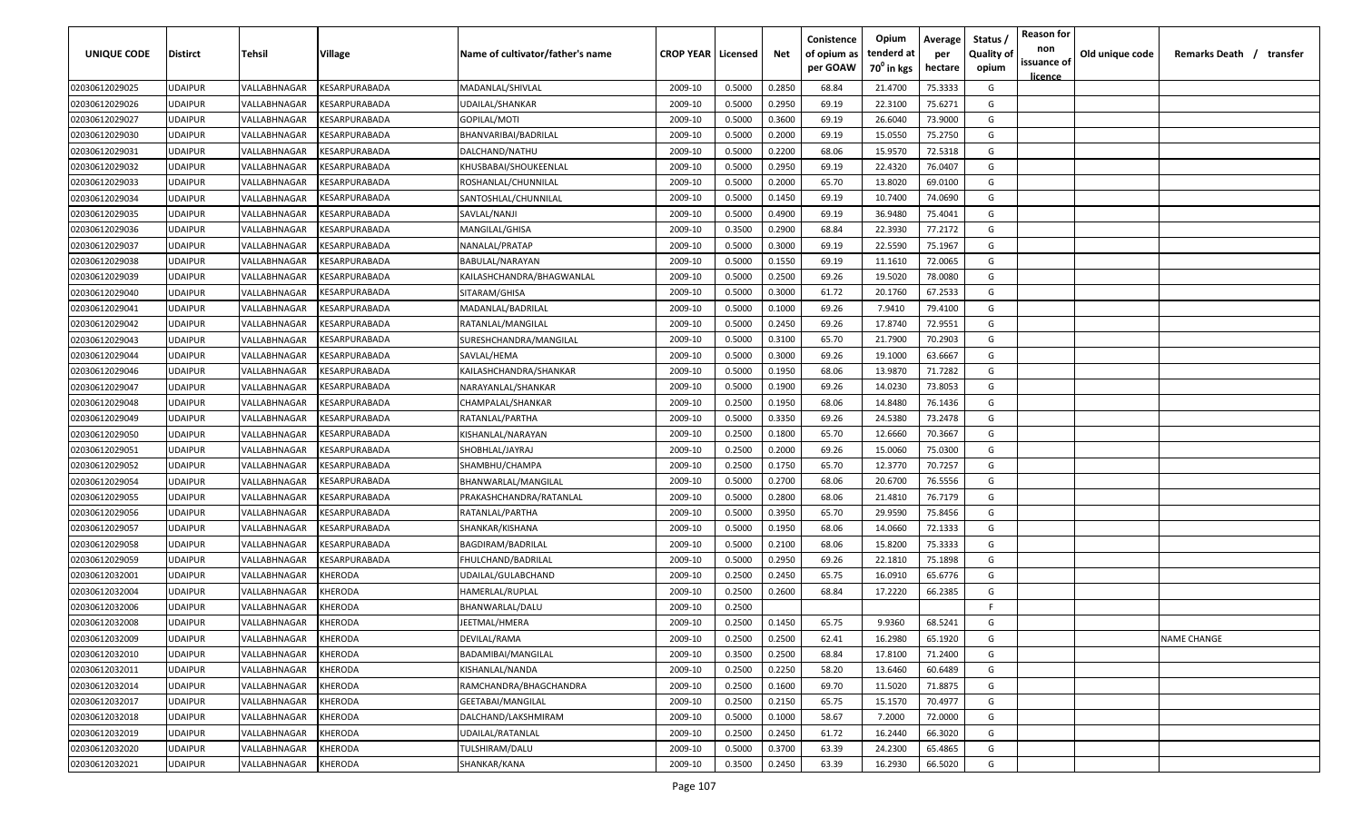| UNIQUE CODE    | <b>Distirct</b> | Tehsil       | Village                                     | Name of cultivator/father's name | <b>CROP YEAR   Licensed</b> |        | Net    | Conistence<br>of opium as | Opium<br>tenderd at    | Average<br>per | Status<br><b>Quality of</b> | <b>Reason for</b><br>non<br>issuance of | Old unique code | Remarks Death / transfer |
|----------------|-----------------|--------------|---------------------------------------------|----------------------------------|-----------------------------|--------|--------|---------------------------|------------------------|----------------|-----------------------------|-----------------------------------------|-----------------|--------------------------|
|                |                 |              |                                             |                                  |                             |        |        | per GOAW                  | 70 <sup>0</sup> in kgs | hectare        | opium                       | <u>licence</u>                          |                 |                          |
| 02030612029025 | <b>UDAIPUR</b>  | VALLABHNAGAR | KESARPURABADA                               | MADANLAL/SHIVLAL                 | 2009-10                     | 0.5000 | 0.2850 | 68.84                     | 21.4700                | 75.3333        | G                           |                                         |                 |                          |
| 02030612029026 | <b>UDAIPUR</b>  | VALLABHNAGAR | <b><esarpurabada< b=""></esarpurabada<></b> | UDAILAL/SHANKAR                  | 2009-10                     | 0.5000 | 0.2950 | 69.19                     | 22.3100                | 75.6271        | G                           |                                         |                 |                          |
| 02030612029027 | <b>UDAIPUR</b>  | VALLABHNAGAR | <b><i>CESARPURABADA</i></b>                 | GOPILAL/MOTI                     | 2009-10                     | 0.5000 | 0.3600 | 69.19                     | 26.6040                | 73.9000        | G                           |                                         |                 |                          |
| 02030612029030 | <b>UDAIPUR</b>  | VALLABHNAGAR | <b><i>CESARPURABADA</i></b>                 | BHANVARIBAI/BADRILAL             | 2009-10                     | 0.5000 | 0.2000 | 69.19                     | 15.0550                | 75.2750        | G                           |                                         |                 |                          |
| 02030612029031 | <b>UDAIPUR</b>  | VALLABHNAGAR | <b><i>CESARPURABADA</i></b>                 | DALCHAND/NATHU                   | 2009-10                     | 0.5000 | 0.2200 | 68.06                     | 15.9570                | 72.5318        | G                           |                                         |                 |                          |
| 02030612029032 | <b>UDAIPUR</b>  | VALLABHNAGAR | <b><i>CESARPURABADA</i></b>                 | KHUSBABAI/SHOUKEENLAL            | 2009-10                     | 0.5000 | 0.2950 | 69.19                     | 22.4320                | 76.0407        | G                           |                                         |                 |                          |
| 02030612029033 | <b>UDAIPUR</b>  | VALLABHNAGAR | <b><i>CESARPURABADA</i></b>                 | ROSHANLAL/CHUNNILAL              | 2009-10                     | 0.5000 | 0.2000 | 65.70                     | 13.8020                | 69.0100        | G                           |                                         |                 |                          |
| 02030612029034 | <b>UDAIPUR</b>  | VALLABHNAGAR | <b><i>CESARPURABADA</i></b>                 | SANTOSHLAL/CHUNNILAL             | 2009-10                     | 0.5000 | 0.1450 | 69.19                     | 10.7400                | 74.0690        | G                           |                                         |                 |                          |
| 02030612029035 | <b>UDAIPUR</b>  | VALLABHNAGAR | <b><i>CESARPURABADA</i></b>                 | SAVLAL/NANJI                     | 2009-10                     | 0.5000 | 0.4900 | 69.19                     | 36.9480                | 75.4041        | G                           |                                         |                 |                          |
| 02030612029036 | <b>UDAIPUR</b>  | VALLABHNAGAR | <b><i>CESARPURABADA</i></b>                 | MANGILAL/GHISA                   | 2009-10                     | 0.3500 | 0.2900 | 68.84                     | 22.3930                | 77.2172        | G                           |                                         |                 |                          |
| 02030612029037 | <b>UDAIPUR</b>  | VALLABHNAGAR | <b><esarpurabada< b=""></esarpurabada<></b> | NANALAL/PRATAP                   | 2009-10                     | 0.5000 | 0.3000 | 69.19                     | 22.5590                | 75.1967        | G                           |                                         |                 |                          |
| 02030612029038 | <b>UDAIPUR</b>  | VALLABHNAGAR | KESARPURABADA                               | BABULAL/NARAYAN                  | 2009-10                     | 0.5000 | 0.1550 | 69.19                     | 11.1610                | 72.0065        | G                           |                                         |                 |                          |
| 02030612029039 | <b>UDAIPUR</b>  | VALLABHNAGAR | KESARPURABADA                               | KAILASHCHANDRA/BHAGWANLAL        | 2009-10                     | 0.5000 | 0.2500 | 69.26                     | 19.5020                | 78.0080        | G                           |                                         |                 |                          |
| 02030612029040 | <b>UDAIPUR</b>  | VALLABHNAGAR | KESARPURABADA                               | SITARAM/GHISA                    | 2009-10                     | 0.5000 | 0.3000 | 61.72                     | 20.1760                | 67.2533        | G                           |                                         |                 |                          |
| 02030612029041 | <b>UDAIPUR</b>  | VALLABHNAGAR | KESARPURABADA                               | MADANLAL/BADRILAL                | 2009-10                     | 0.5000 | 0.1000 | 69.26                     | 7.9410                 | 79.4100        | G                           |                                         |                 |                          |
| 02030612029042 | <b>UDAIPUR</b>  | VALLABHNAGAR | KESARPURABADA                               | RATANLAL/MANGILAL                | 2009-10                     | 0.5000 | 0.2450 | 69.26                     | 17.8740                | 72.9551        | G                           |                                         |                 |                          |
| 02030612029043 | <b>UDAIPUR</b>  | VALLABHNAGAR | KESARPURABADA                               | SURESHCHANDRA/MANGILAL           | 2009-10                     | 0.5000 | 0.3100 | 65.70                     | 21.7900                | 70.2903        | G                           |                                         |                 |                          |
| 02030612029044 | <b>UDAIPUR</b>  | VALLABHNAGAR | KESARPURABADA                               | SAVLAL/HEMA                      | 2009-10                     | 0.5000 | 0.3000 | 69.26                     | 19.1000                | 63.6667        | G                           |                                         |                 |                          |
| 02030612029046 | <b>UDAIPUR</b>  | VALLABHNAGAR | <b>ESARPURABADA</b>                         | KAILASHCHANDRA/SHANKAR           | 2009-10                     | 0.5000 | 0.1950 | 68.06                     | 13.9870                | 71.7282        | G                           |                                         |                 |                          |
| 02030612029047 | <b>UDAIPUR</b>  | VALLABHNAGAR | <b><i>CESARPURABADA</i></b>                 | NARAYANLAL/SHANKAR               | 2009-10                     | 0.5000 | 0.1900 | 69.26                     | 14.0230                | 73.8053        | G                           |                                         |                 |                          |
| 02030612029048 | <b>UDAIPUR</b>  | VALLABHNAGAR | <b><i>CESARPURABADA</i></b>                 | CHAMPALAL/SHANKAR                | 2009-10                     | 0.2500 | 0.1950 | 68.06                     | 14.8480                | 76.1436        | G                           |                                         |                 |                          |
| 02030612029049 | <b>UDAIPUR</b>  | VALLABHNAGAR | <b><esarpurabada< b=""></esarpurabada<></b> | RATANLAL/PARTHA                  | 2009-10                     | 0.5000 | 0.3350 | 69.26                     | 24.5380                | 73.2478        | G                           |                                         |                 |                          |
| 02030612029050 | <b>UDAIPUR</b>  | VALLABHNAGAR | <b>ESARPURABADA</b>                         | KISHANLAL/NARAYAN                | 2009-10                     | 0.2500 | 0.1800 | 65.70                     | 12.6660                | 70.3667        | G                           |                                         |                 |                          |
| 02030612029051 | <b>UDAIPUR</b>  | VALLABHNAGAR | <b>ESARPURABADA</b>                         | SHOBHLAL/JAYRAJ                  | 2009-10                     | 0.2500 | 0.2000 | 69.26                     | 15.0060                | 75.0300        | G                           |                                         |                 |                          |
| 02030612029052 | <b>UDAIPUR</b>  | VALLABHNAGAR | <b>ESARPURABADA</b>                         | SHAMBHU/CHAMPA                   | 2009-10                     | 0.2500 | 0.1750 | 65.70                     | 12.3770                | 70.7257        | G                           |                                         |                 |                          |
| 02030612029054 | <b>UDAIPUR</b>  | VALLABHNAGAR | <b><i>CESARPURABADA</i></b>                 | BHANWARLAL/MANGILAL              | 2009-10                     | 0.5000 | 0.2700 | 68.06                     | 20.6700                | 76.5556        | G                           |                                         |                 |                          |
| 02030612029055 | <b>UDAIPUR</b>  | VALLABHNAGAR | <b><esarpurabada< b=""></esarpurabada<></b> | PRAKASHCHANDRA/RATANLAL          | 2009-10                     | 0.5000 | 0.2800 | 68.06                     | 21.4810                | 76.7179        | G                           |                                         |                 |                          |
| 02030612029056 | <b>UDAIPUR</b>  | VALLABHNAGAR | <b><esarpurabada< b=""></esarpurabada<></b> | RATANLAL/PARTHA                  | 2009-10                     | 0.5000 | 0.3950 | 65.70                     | 29.9590                | 75.8456        | G                           |                                         |                 |                          |
| 02030612029057 | <b>UDAIPUR</b>  | VALLABHNAGAR | <b><esarpurabada< b=""></esarpurabada<></b> | SHANKAR/KISHANA                  | 2009-10                     | 0.5000 | 0.1950 | 68.06                     | 14.0660                | 72.1333        | G                           |                                         |                 |                          |
| 02030612029058 | <b>UDAIPUR</b>  | VALLABHNAGAR | KESARPURABADA                               | BAGDIRAM/BADRILAL                | 2009-10                     | 0.5000 | 0.2100 | 68.06                     | 15.8200                | 75.3333        | G                           |                                         |                 |                          |
| 02030612029059 | <b>UDAIPUR</b>  | VALLABHNAGAR | KESARPURABADA                               | FHULCHAND/BADRILAL               | 2009-10                     | 0.5000 | 0.2950 | 69.26                     | 22.1810                | 75.1898        | G                           |                                         |                 |                          |
| 02030612032001 | <b>UDAIPUR</b>  | VALLABHNAGAR | KHERODA                                     | UDAILAL/GULABCHAND               | 2009-10                     | 0.2500 | 0.2450 | 65.75                     | 16.0910                | 65.6776        | G                           |                                         |                 |                          |
| 02030612032004 | <b>UDAIPUR</b>  | VALLABHNAGAR | <b>CHERODA</b>                              | HAMERLAL/RUPLAL                  | 2009-10                     | 0.2500 | 0.2600 | 68.84                     | 17.2220                | 66.2385        | G                           |                                         |                 |                          |
| 02030612032006 | <b>UDAIPUR</b>  | VALLABHNAGAR | <b>CHERODA</b>                              | BHANWARLAL/DALU                  | 2009-10                     | 0.2500 |        |                           |                        |                | -F.                         |                                         |                 |                          |
| 02030612032008 | <b>UDAIPUR</b>  | VALLABHNAGAR | KHERODA                                     | JEETMAL/HMERA                    | 2009-10                     | 0.2500 | 0.1450 | 65.75                     | 9.9360                 | 68.5241        | G                           |                                         |                 |                          |
| 02030612032009 | <b>UDAIPUR</b>  | VALLABHNAGAR | <b>KHERODA</b>                              | DEVILAL/RAMA                     | 2009-10                     | 0.2500 | 0.2500 | 62.41                     | 16.2980                | 65.1920        | G                           |                                         |                 | <b>NAME CHANGE</b>       |
| 02030612032010 | <b>UDAIPUR</b>  | VALLABHNAGAR | KHERODA                                     | BADAMIBAI/MANGILAL               | 2009-10                     | 0.3500 | 0.2500 | 68.84                     | 17.8100                | 71.2400        | G                           |                                         |                 |                          |
| 02030612032011 | <b>UDAIPUR</b>  | VALLABHNAGAR | KHERODA                                     | KISHANLAL/NANDA                  | 2009-10                     | 0.2500 | 0.2250 | 58.20                     | 13.6460                | 60.6489        | G                           |                                         |                 |                          |
| 02030612032014 | <b>UDAIPUR</b>  | VALLABHNAGAR | KHERODA                                     | RAMCHANDRA/BHAGCHANDRA           | 2009-10                     | 0.2500 | 0.1600 | 69.70                     | 11.5020                | 71.8875        | G                           |                                         |                 |                          |
| 02030612032017 | <b>UDAIPUR</b>  | VALLABHNAGAR | KHERODA                                     | GEETABAI/MANGILAL                | 2009-10                     | 0.2500 | 0.2150 | 65.75                     | 15.1570                | 70.4977        | G                           |                                         |                 |                          |
| 02030612032018 | <b>UDAIPUR</b>  | VALLABHNAGAR | KHERODA                                     | DALCHAND/LAKSHMIRAM              | 2009-10                     | 0.5000 | 0.1000 | 58.67                     | 7.2000                 | 72.0000        | G                           |                                         |                 |                          |
| 02030612032019 | <b>UDAIPUR</b>  | VALLABHNAGAR | KHERODA                                     | UDAILAL/RATANLAL                 | 2009-10                     | 0.2500 | 0.2450 | 61.72                     | 16.2440                | 66.3020        | G                           |                                         |                 |                          |
| 02030612032020 | <b>UDAIPUR</b>  | VALLABHNAGAR | KHERODA                                     | TULSHIRAM/DALU                   | 2009-10                     | 0.5000 | 0.3700 | 63.39                     | 24.2300                | 65.4865        | G                           |                                         |                 |                          |
| 02030612032021 | <b>UDAIPUR</b>  | VALLABHNAGAR | KHERODA                                     | SHANKAR/KANA                     | 2009-10                     | 0.3500 | 0.2450 | 63.39                     | 16.2930                | 66.5020        | G                           |                                         |                 |                          |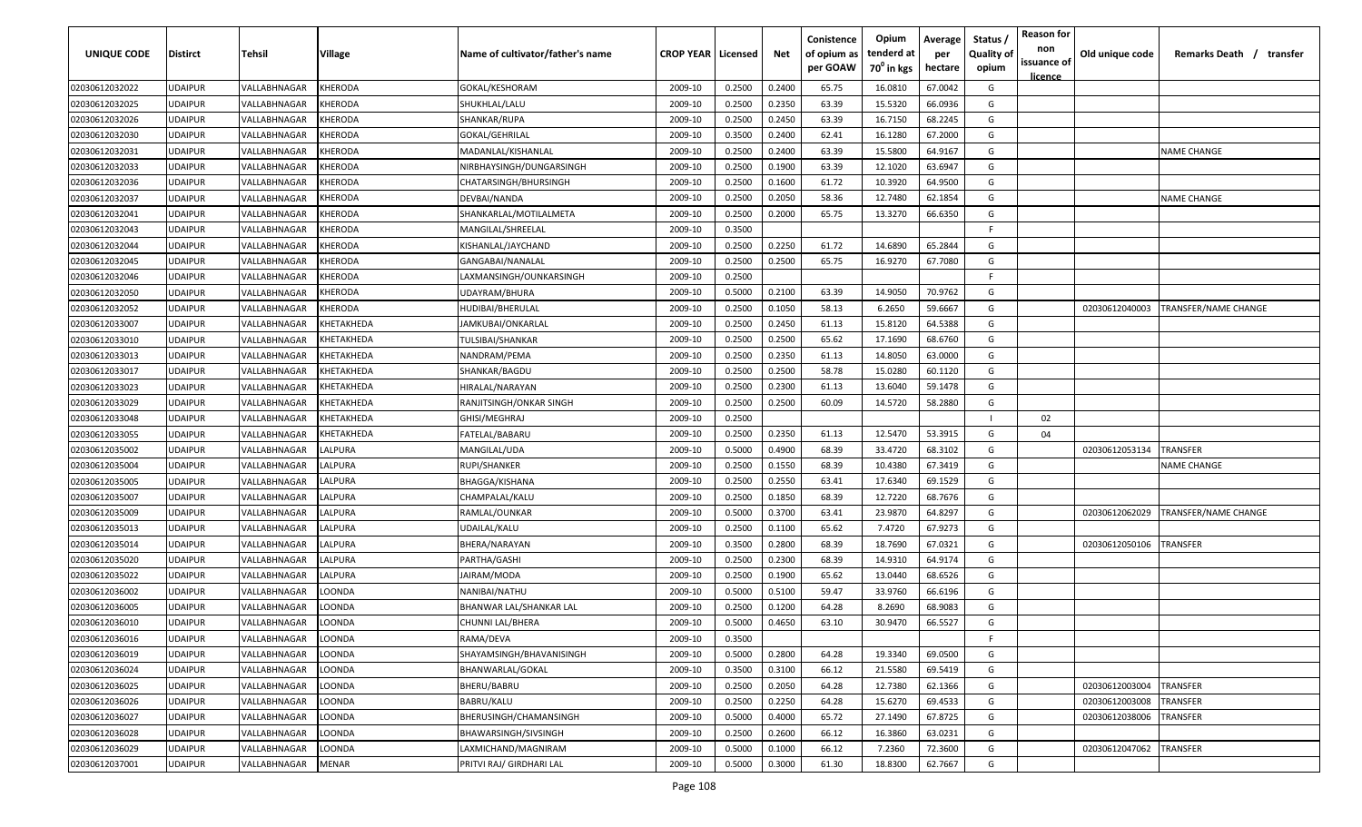| UNIQUE CODE    | <b>Distirct</b> | Tehsil                     | Village           | Name of cultivator/father's name | <b>CROP YEAR   Licensed</b> |        | Net    | Conistence<br>of opium as<br>per GOAW | Opium<br>tenderd at<br>70 <sup>°</sup> in kgs | Average<br>per<br>hectare | Status<br><b>Quality of</b><br>opium | <b>Reason for</b><br>non<br>issuance of<br><u>licence</u> | Old unique code | Remarks Death / transfer |
|----------------|-----------------|----------------------------|-------------------|----------------------------------|-----------------------------|--------|--------|---------------------------------------|-----------------------------------------------|---------------------------|--------------------------------------|-----------------------------------------------------------|-----------------|--------------------------|
| 02030612032022 | <b>JDAIPUR</b>  | VALLABHNAGAR               | <b>KHERODA</b>    | GOKAL/KESHORAM                   | 2009-10                     | 0.2500 | 0.2400 | 65.75                                 | 16.0810                                       | 67.0042                   | G                                    |                                                           |                 |                          |
| 02030612032025 | JDAIPUR         | VALLABHNAGAR               | KHERODA           | SHUKHLAL/LALU                    | 2009-10                     | 0.2500 | 0.2350 | 63.39                                 | 15.5320                                       | 66.0936                   | G                                    |                                                           |                 |                          |
| 02030612032026 | <b>JDAIPUR</b>  | VALLABHNAGAR               | KHERODA           | SHANKAR/RUPA                     | 2009-10                     | 0.2500 | 0.2450 | 63.39                                 | 16.7150                                       | 68.2245                   | G                                    |                                                           |                 |                          |
| 02030612032030 | <b>JDAIPUR</b>  | VALLABHNAGAR               | KHERODA           | GOKAL/GEHRILAL                   | 2009-10                     | 0.3500 | 0.2400 | 62.41                                 | 16.1280                                       | 67.2000                   | G                                    |                                                           |                 |                          |
| 02030612032031 | <b>JDAIPUR</b>  | VALLABHNAGAR               | KHERODA           | MADANLAL/KISHANLAL               | 2009-10                     | 0.2500 | 0.2400 | 63.39                                 | 15.5800                                       | 64.9167                   | G                                    |                                                           |                 | <b>NAME CHANGE</b>       |
| 02030612032033 | <b>JDAIPUR</b>  | VALLABHNAGAR               | KHERODA           | NIRBHAYSINGH/DUNGARSINGH         | 2009-10                     | 0.2500 | 0.1900 | 63.39                                 | 12.1020                                       | 63.6947                   | G                                    |                                                           |                 |                          |
| 02030612032036 | <b>JDAIPUR</b>  | <b><i>VALLABHNAGAR</i></b> | KHERODA           | CHATARSINGH/BHURSINGH            | 2009-10                     | 0.2500 | 0.1600 | 61.72                                 | 10.3920                                       | 64.9500                   | G                                    |                                                           |                 |                          |
| 02030612032037 | <b>JDAIPUR</b>  | <b><i>VALLABHNAGAR</i></b> | KHERODA           | DEVBAI/NANDA                     | 2009-10                     | 0.2500 | 0.2050 | 58.36                                 | 12.7480                                       | 62.1854                   | G                                    |                                                           |                 | <b>NAME CHANGE</b>       |
| 02030612032041 | <b>JDAIPUR</b>  | VALLABHNAGAR               | KHERODA           | SHANKARLAL/MOTILALMETA           | 2009-10                     | 0.2500 | 0.2000 | 65.75                                 | 13.3270                                       | 66.6350                   | G                                    |                                                           |                 |                          |
| 02030612032043 | JDAIPUR         | VALLABHNAGAR               | KHERODA           | MANGILAL/SHREELAL                | 2009-10                     | 0.3500 |        |                                       |                                               |                           | E                                    |                                                           |                 |                          |
| 02030612032044 | JDAIPUR         | VALLABHNAGAR               | KHERODA           | KISHANLAL/JAYCHAND               | 2009-10                     | 0.2500 | 0.2250 | 61.72                                 | 14.6890                                       | 65.2844                   | G                                    |                                                           |                 |                          |
| 02030612032045 | <b>JDAIPUR</b>  | <b><i>VALLABHNAGAR</i></b> | KHERODA           | GANGABAI/NANALAL                 | 2009-10                     | 0.2500 | 0.2500 | 65.75                                 | 16.9270                                       | 67.7080                   | G                                    |                                                           |                 |                          |
| 02030612032046 | <b>JDAIPUR</b>  | <b><i>VALLABHNAGAR</i></b> | KHERODA           | LAXMANSINGH/OUNKARSINGH          | 2009-10                     | 0.2500 |        |                                       |                                               |                           | F.                                   |                                                           |                 |                          |
| 02030612032050 | <b>JDAIPUR</b>  | <b><i>VALLABHNAGAR</i></b> | KHERODA           | UDAYRAM/BHURA                    | 2009-10                     | 0.5000 | 0.2100 | 63.39                                 | 14.9050                                       | 70.9762                   | G                                    |                                                           |                 |                          |
| 02030612032052 | <b>JDAIPUR</b>  | <b><i>VALLABHNAGAR</i></b> | KHERODA           | HUDIBAI/BHERULAL                 | 2009-10                     | 0.2500 | 0.1050 | 58.13                                 | 6.2650                                        | 59.6667                   | G                                    |                                                           | 02030612040003  | TRANSFER/NAME CHANGE     |
| 02030612033007 | <b>JDAIPUR</b>  | <b><i>VALLABHNAGAR</i></b> | KHETAKHEDA        | IAMKUBAI/ONKARLAL                | 2009-10                     | 0.2500 | 0.2450 | 61.13                                 | 15.8120                                       | 64.5388                   | G                                    |                                                           |                 |                          |
| 02030612033010 | <b>JDAIPUR</b>  | <b><i>VALLABHNAGAR</i></b> | KHETAKHEDA        | TULSIBAI/SHANKAR                 | 2009-10                     | 0.2500 | 0.2500 | 65.62                                 | 17.1690                                       | 68.6760                   | G                                    |                                                           |                 |                          |
| 02030612033013 | <b>JDAIPUR</b>  | VALLABHNAGAR               | <b>KHETAKHEDA</b> | NANDRAM/PEMA                     | 2009-10                     | 0.2500 | 0.2350 | 61.13                                 | 14.8050                                       | 63.0000                   | G                                    |                                                           |                 |                          |
| 02030612033017 | JDAIPUR         | VALLABHNAGAR               | KHETAKHEDA        | SHANKAR/BAGDU                    | 2009-10                     | 0.2500 | 0.2500 | 58.78                                 | 15.0280                                       | 60.1120                   | G                                    |                                                           |                 |                          |
| 02030612033023 | <b>JDAIPUR</b>  | VALLABHNAGAR               | KHETAKHEDA        | HIRALAL/NARAYAN                  | 2009-10                     | 0.2500 | 0.2300 | 61.13                                 | 13.6040                                       | 59.1478                   | G                                    |                                                           |                 |                          |
| 02030612033029 | <b>JDAIPUR</b>  | VALLABHNAGAR               | KHETAKHEDA        | RANJITSINGH/ONKAR SINGH          | 2009-10                     | 0.2500 | 0.2500 | 60.09                                 | 14.5720                                       | 58.2880                   | G                                    |                                                           |                 |                          |
| 02030612033048 | <b>JDAIPUR</b>  | VALLABHNAGAR               | KHETAKHEDA        | GHISI/MEGHRAJ                    | 2009-10                     | 0.2500 |        |                                       |                                               |                           |                                      | 02                                                        |                 |                          |
| 02030612033055 | <b>JDAIPUR</b>  | VALLABHNAGAR               | <b>CHETAKHEDA</b> | FATELAL/BABARU                   | 2009-10                     | 0.2500 | 0.2350 | 61.13                                 | 12.5470                                       | 53.3915                   | G                                    | 04                                                        |                 |                          |
| 02030612035002 | <b>JDAIPUR</b>  | VALLABHNAGAR               | <b>ALPURA</b>     | MANGILAL/UDA                     | 2009-10                     | 0.5000 | 0.4900 | 68.39                                 | 33.4720                                       | 68.3102                   | G                                    |                                                           | 02030612053134  | <b>RANSFER</b>           |
| 02030612035004 | <b>JDAIPUR</b>  | <b><i>VALLABHNAGAR</i></b> | LALPURA           | RUPI/SHANKER                     | 2009-10                     | 0.2500 | 0.1550 | 68.39                                 | 10.4380                                       | 67.3419                   | G                                    |                                                           |                 | NAME CHANGE              |
| 02030612035005 | <b>JDAIPUR</b>  | VALLABHNAGAR               | LALPURA           | BHAGGA/KISHANA                   | 2009-10                     | 0.2500 | 0.2550 | 63.41                                 | 17.6340                                       | 69.1529                   | G                                    |                                                           |                 |                          |
| 02030612035007 | JDAIPUR         | VALLABHNAGAR               | <b>ALPURA</b>     | CHAMPALAL/KALU                   | 2009-10                     | 0.2500 | 0.1850 | 68.39                                 | 12.7220                                       | 68.7676                   | G                                    |                                                           |                 |                          |
| 02030612035009 | JDAIPUR         | /ALLABHNAGAR               | ALPURA            | RAMLAL/OUNKAR                    | 2009-10                     | 0.5000 | 0.3700 | 63.41                                 | 23.9870                                       | 64.8297                   | G                                    |                                                           | 02030612062029  | TRANSFER/NAME CHANGE     |
| 02030612035013 | <b>JDAIPUR</b>  | VALLABHNAGAR               | <b>ALPURA</b>     | JDAILAL/KALU                     | 2009-10                     | 0.2500 | 0.1100 | 65.62                                 | 7.4720                                        | 67.9273                   | G                                    |                                                           |                 |                          |
| 02030612035014 | <b>JDAIPUR</b>  | /ALLABHNAGAR               | LALPURA           | BHERA/NARAYAN                    | 2009-10                     | 0.3500 | 0.2800 | 68.39                                 | 18.7690                                       | 67.0321                   | G                                    |                                                           | 02030612050106  | TRANSFER                 |
| 02030612035020 | <b>JDAIPUR</b>  | <b>/ALLABHNAGAR</b>        | LALPURA           | PARTHA/GASHI                     | 2009-10                     | 0.2500 | 0.2300 | 68.39                                 | 14.9310                                       | 64.9174                   | G                                    |                                                           |                 |                          |
| 02030612035022 | <b>JDAIPUR</b>  | /ALLABHNAGAR               | <b>ALPURA</b>     | <b>IAIRAM/MODA</b>               | 2009-10                     | 0.2500 | 0.1900 | 65.62                                 | 13.0440                                       | 68.6526                   | G                                    |                                                           |                 |                          |
| 02030612036002 | <b>JDAIPUR</b>  | <b><i>VALLABHNAGAR</i></b> | LOONDA            | NANIBAI/NATHU                    | 2009-10                     | 0.5000 | 0.5100 | 59.47                                 | 33.9760                                       | 66.6196                   | G                                    |                                                           |                 |                          |
| 02030612036005 | <b>JDAIPUR</b>  | VALLABHNAGAF               | LOONDA            | BHANWAR LAL/SHANKAR LAL          | 2009-10                     | 0.2500 | 0.1200 | 64.28                                 | 8.2690                                        | 68.9083                   | G                                    |                                                           |                 |                          |
| 02030612036010 | UDAIPUR         | VALLABHNAGAR               | LOONDA            | CHUNNI LAL/BHERA                 | 2009-10                     | 0.5000 | 0.4650 | 63.10                                 | 30.9470                                       | 66.5527                   | G                                    |                                                           |                 |                          |
| 02030612036016 | UDAIPUR         | VALLABHNAGAR               | LOONDA            | RAMA/DEVA                        | 2009-10                     | 0.3500 |        |                                       |                                               |                           | -F                                   |                                                           |                 |                          |
| 02030612036019 | <b>JDAIPUR</b>  | VALLABHNAGAR               | LOONDA            | SHAYAMSINGH/BHAVANISINGH         | 2009-10                     | 0.5000 | 0.2800 | 64.28                                 | 19.3340                                       | 69.0500                   | G                                    |                                                           |                 |                          |
| 02030612036024 | <b>UDAIPUR</b>  | VALLABHNAGAR               | LOONDA            | BHANWARLAL/GOKAL                 | 2009-10                     | 0.3500 | 0.3100 | 66.12                                 | 21.5580                                       | 69.5419                   | G                                    |                                                           |                 |                          |
| 02030612036025 | <b>JDAIPUR</b>  | VALLABHNAGAR               | LOONDA            | BHERU/BABRU                      | 2009-10                     | 0.2500 | 0.2050 | 64.28                                 | 12.7380                                       | 62.1366                   | G                                    |                                                           | 02030612003004  | TRANSFER                 |
| 02030612036026 | <b>JDAIPUR</b>  | VALLABHNAGAR               | LOONDA            | BABRU/KALU                       | 2009-10                     | 0.2500 | 0.2250 | 64.28                                 | 15.6270                                       | 69.4533                   | G                                    |                                                           | 02030612003008  | TRANSFER                 |
| 02030612036027 | <b>JDAIPUR</b>  | <b><i>VALLABHNAGAR</i></b> | LOONDA            | BHERUSINGH/CHAMANSINGH           | 2009-10                     | 0.5000 | 0.4000 | 65.72                                 | 27.1490                                       | 67.8725                   | G                                    |                                                           | 02030612038006  | TRANSFER                 |
| 02030612036028 | <b>JDAIPUR</b>  | <b><i>VALLABHNAGAR</i></b> | LOONDA            | BHAWARSINGH/SIVSINGH             | 2009-10                     | 0.2500 | 0.2600 | 66.12                                 | 16.3860                                       | 63.0231                   | G                                    |                                                           |                 |                          |
| 02030612036029 | <b>JDAIPUR</b>  | <b>VALLABHNAGAR</b>        | LOONDA            | LAXMICHAND/MAGNIRAM              | 2009-10                     | 0.5000 | 0.1000 | 66.12                                 | 7.2360                                        | 72.3600                   | G                                    |                                                           | 02030612047062  | TRANSFER                 |
| 02030612037001 | UDAIPUR         | VALLABHNAGAR               | <b>MENAR</b>      | PRITVI RAJ/ GIRDHARI LAL         | 2009-10                     | 0.5000 | 0.3000 | 61.30                                 | 18.8300                                       | 62.7667                   | G                                    |                                                           |                 |                          |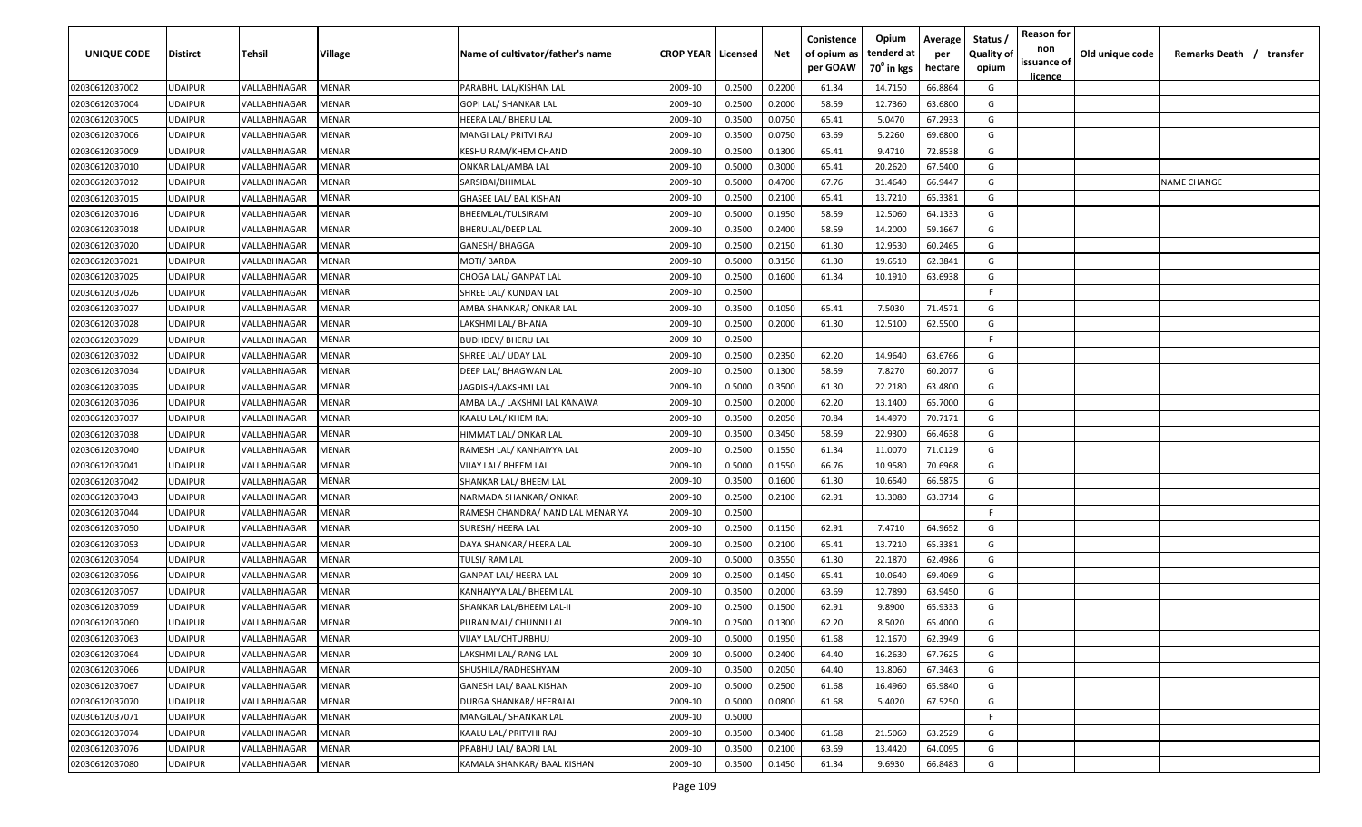| UNIQUE CODE    | <b>Distirct</b> | Tehsil       | Village      | Name of cultivator/father's name  | <b>CROP YEAR   Licensed</b> |        | Net    | Conistence<br>of opium as<br>per GOAW | Opium<br>tenderd at<br>70 <sup>0</sup> in kgs | Average<br>per<br>hectare | Status<br><b>Quality of</b><br>opium | <b>Reason for</b><br>non<br>issuance of | Old unique code | Remarks Death / transfer |
|----------------|-----------------|--------------|--------------|-----------------------------------|-----------------------------|--------|--------|---------------------------------------|-----------------------------------------------|---------------------------|--------------------------------------|-----------------------------------------|-----------------|--------------------------|
| 02030612037002 | <b>UDAIPUR</b>  | VALLABHNAGAR | MENAR        | PARABHU LAL/KISHAN LAL            | 2009-10                     | 0.2500 | 0.2200 | 61.34                                 | 14.7150                                       | 66.8864                   | G                                    | <u>licence</u>                          |                 |                          |
| 02030612037004 | <b>UDAIPUR</b>  | VALLABHNAGAR | MENAR        | <b>GOPI LAL/ SHANKAR LAL</b>      | 2009-10                     | 0.2500 | 0.2000 | 58.59                                 | 12.7360                                       | 63.6800                   | G                                    |                                         |                 |                          |
| 02030612037005 | <b>UDAIPUR</b>  | VALLABHNAGAR | MENAR        | HEERA LAL/ BHERU LAL              | 2009-10                     | 0.3500 | 0.0750 | 65.41                                 | 5.0470                                        | 67.2933                   | G                                    |                                         |                 |                          |
| 02030612037006 | <b>UDAIPUR</b>  | VALLABHNAGAR | MENAR        | MANGI LAL/ PRITVI RAJ             | 2009-10                     | 0.3500 | 0.0750 | 63.69                                 | 5.2260                                        | 69.6800                   | G                                    |                                         |                 |                          |
| 02030612037009 | <b>UDAIPUR</b>  | VALLABHNAGAR | MENAR        | KESHU RAM/KHEM CHAND              | 2009-10                     | 0.2500 | 0.1300 | 65.41                                 | 9.4710                                        | 72.8538                   | G                                    |                                         |                 |                          |
| 02030612037010 | <b>UDAIPUR</b>  | VALLABHNAGAR | MENAR        | ONKAR LAL/AMBA LAL                | 2009-10                     | 0.5000 | 0.3000 | 65.41                                 | 20.2620                                       | 67.5400                   | G                                    |                                         |                 |                          |
| 02030612037012 | <b>UDAIPUR</b>  | VALLABHNAGAR | MENAR        | SARSIBAI/BHIMLAL                  | 2009-10                     | 0.5000 | 0.4700 | 67.76                                 | 31.4640                                       | 66.9447                   | G                                    |                                         |                 | <b>NAME CHANGE</b>       |
| 02030612037015 | <b>UDAIPUR</b>  | VALLABHNAGAR | MENAR        | GHASEE LAL/ BAL KISHAN            | 2009-10                     | 0.2500 | 0.2100 | 65.41                                 | 13.7210                                       | 65.3381                   | G                                    |                                         |                 |                          |
| 02030612037016 | <b>UDAIPUR</b>  | VALLABHNAGAR | MENAR        | BHEEMLAL/TULSIRAM                 | 2009-10                     | 0.5000 | 0.1950 | 58.59                                 | 12.5060                                       | 64.1333                   | G                                    |                                         |                 |                          |
| 02030612037018 | <b>UDAIPUR</b>  | VALLABHNAGAR | MENAR        | BHERULAL/DEEP LAL                 | 2009-10                     | 0.3500 | 0.2400 | 58.59                                 | 14.2000                                       | 59.1667                   | G                                    |                                         |                 |                          |
| 02030612037020 | UDAIPUR         | VALLABHNAGAR | MENAR        | GANESH/ BHAGGA                    | 2009-10                     | 0.2500 | 0.2150 | 61.30                                 | 12.9530                                       | 60.2465                   | G                                    |                                         |                 |                          |
| 02030612037021 | <b>UDAIPUR</b>  | VALLABHNAGAR | MENAR        | MOTI/ BARDA                       | 2009-10                     | 0.5000 | 0.3150 | 61.30                                 | 19.6510                                       | 62.3841                   | G                                    |                                         |                 |                          |
| 02030612037025 | <b>UDAIPUR</b>  | VALLABHNAGAR | MENAR        | CHOGA LAL/ GANPAT LAL             | 2009-10                     | 0.2500 | 0.1600 | 61.34                                 | 10.1910                                       | 63.6938                   | G                                    |                                         |                 |                          |
| 02030612037026 | <b>UDAIPUR</b>  | VALLABHNAGAR | MENAR        | SHREE LAL/ KUNDAN LAL             | 2009-10                     | 0.2500 |        |                                       |                                               |                           | F.                                   |                                         |                 |                          |
| 02030612037027 | <b>UDAIPUR</b>  | VALLABHNAGAR | MENAR        | AMBA SHANKAR/ ONKAR LAL           | 2009-10                     | 0.3500 | 0.1050 | 65.41                                 | 7.5030                                        | 71.4571                   | G                                    |                                         |                 |                          |
| 02030612037028 | <b>UDAIPUR</b>  | VALLABHNAGAR | MENAR        | LAKSHMI LAL/ BHANA                | 2009-10                     | 0.2500 | 0.2000 | 61.30                                 | 12.5100                                       | 62.5500                   | G                                    |                                         |                 |                          |
| 02030612037029 | <b>UDAIPUR</b>  | VALLABHNAGAR | MENAR        | <b>BUDHDEV/ BHERU LAL</b>         | 2009-10                     | 0.2500 |        |                                       |                                               |                           | F.                                   |                                         |                 |                          |
| 02030612037032 | <b>UDAIPUR</b>  | VALLABHNAGAR | MENAR        | SHREE LAL/ UDAY LAL               | 2009-10                     | 0.2500 | 0.2350 | 62.20                                 | 14.9640                                       | 63.6766                   | G                                    |                                         |                 |                          |
| 02030612037034 | <b>UDAIPUR</b>  | VALLABHNAGAR | MENAR        | DEEP LAL/ BHAGWAN LAL             | 2009-10                     | 0.2500 | 0.1300 | 58.59                                 | 7.8270                                        | 60.2077                   | G                                    |                                         |                 |                          |
| 02030612037035 | <b>UDAIPUR</b>  | VALLABHNAGAR | MENAR        | JAGDISH/LAKSHMI LAL               | 2009-10                     | 0.5000 | 0.3500 | 61.30                                 | 22.2180                                       | 63.4800                   | G                                    |                                         |                 |                          |
| 02030612037036 | <b>UDAIPUR</b>  | VALLABHNAGAR | MENAR        | AMBA LAL/ LAKSHMI LAL KANAWA      | 2009-10                     | 0.2500 | 0.2000 | 62.20                                 | 13.1400                                       | 65.7000                   | G                                    |                                         |                 |                          |
| 02030612037037 | <b>UDAIPUR</b>  | VALLABHNAGAR | MENAR        | KAALU LAL/ KHEM RAJ               | 2009-10                     | 0.3500 | 0.2050 | 70.84                                 | 14.4970                                       | 70.7171                   | G                                    |                                         |                 |                          |
| 02030612037038 | <b>UDAIPUR</b>  | VALLABHNAGAR | MENAR        | HIMMAT LAL/ ONKAR LAL             | 2009-10                     | 0.3500 | 0.3450 | 58.59                                 | 22.9300                                       | 66.4638                   | G                                    |                                         |                 |                          |
| 02030612037040 | <b>UDAIPUR</b>  | VALLABHNAGAR | MENAR        | RAMESH LAL/ KANHAIYYA LAL         | 2009-10                     | 0.2500 | 0.1550 | 61.34                                 | 11.0070                                       | 71.0129                   | G                                    |                                         |                 |                          |
| 02030612037041 | <b>UDAIPUR</b>  | VALLABHNAGAR | MENAR        | VIJAY LAL/ BHEEM LAL              | 2009-10                     | 0.5000 | 0.1550 | 66.76                                 | 10.9580                                       | 70.6968                   | G                                    |                                         |                 |                          |
| 02030612037042 | <b>UDAIPUR</b>  | VALLABHNAGAR | MENAR        | SHANKAR LAL/ BHEEM LAL            | 2009-10                     | 0.3500 | 0.1600 | 61.30                                 | 10.6540                                       | 66.5875                   | G                                    |                                         |                 |                          |
| 02030612037043 | <b>UDAIPUR</b>  | VALLABHNAGAR | MENAR        | NARMADA SHANKAR/ ONKAR            | 2009-10                     | 0.2500 | 0.2100 | 62.91                                 | 13.3080                                       | 63.3714                   | G                                    |                                         |                 |                          |
| 02030612037044 | <b>UDAIPUR</b>  | VALLABHNAGAR | MENAR        | RAMESH CHANDRA/ NAND LAL MENARIYA | 2009-10                     | 0.2500 |        |                                       |                                               |                           | F.                                   |                                         |                 |                          |
| 02030612037050 | <b>UDAIPUR</b>  | VALLABHNAGAR | MENAR        | SURESH/ HEERA LAL                 | 2009-10                     | 0.2500 | 0.1150 | 62.91                                 | 7.4710                                        | 64.9652                   | G                                    |                                         |                 |                          |
| 02030612037053 | <b>UDAIPUR</b>  | VALLABHNAGAR | MENAR        | DAYA SHANKAR/ HEERA LAL           | 2009-10                     | 0.2500 | 0.2100 | 65.41                                 | 13.7210                                       | 65.3381                   | G                                    |                                         |                 |                          |
| 02030612037054 | <b>UDAIPUR</b>  | VALLABHNAGAR | MENAR        | TULSI/ RAM LAL                    | 2009-10                     | 0.5000 | 0.3550 | 61.30                                 | 22.1870                                       | 62.4986                   | G                                    |                                         |                 |                          |
| 02030612037056 | <b>UDAIPUR</b>  | VALLABHNAGAR | MENAR        | <b>GANPAT LAL/ HEERA LAL</b>      | 2009-10                     | 0.2500 | 0.1450 | 65.41                                 | 10.0640                                       | 69.4069                   | G                                    |                                         |                 |                          |
| 02030612037057 | <b>UDAIPUR</b>  | VALLABHNAGAR | MENAR        | KANHAIYYA LAL/ BHEEM LAL          | 2009-10                     | 0.3500 | 0.2000 | 63.69                                 | 12.7890                                       | 63.9450                   | G                                    |                                         |                 |                          |
| 02030612037059 | <b>UDAIPUR</b>  | VALLABHNAGAR | MENAR        | SHANKAR LAL/BHEEM LAL-II          | 2009-10                     | 0.2500 | 0.1500 | 62.91                                 | 9.8900                                        | 65.9333                   | G                                    |                                         |                 |                          |
| 02030612037060 | <b>UDAIPUR</b>  | VALLABHNAGAR | MENAR        | PURAN MAL/ CHUNNI LAL             | 2009-10                     | 0.2500 | 0.1300 | 62.20                                 | 8.5020                                        | 65.4000                   | G                                    |                                         |                 |                          |
| 02030612037063 | <b>UDAIPUR</b>  | VALLABHNAGAR | <b>MENAR</b> | <b>VIJAY LAL/CHTURBHUJ</b>        | 2009-10                     | 0.5000 | 0.1950 | 61.68                                 | 12.1670                                       | 62.3949                   | G                                    |                                         |                 |                          |
| 02030612037064 | <b>UDAIPUR</b>  | VALLABHNAGAR | MENAR        | LAKSHMI LAL/ RANG LAL             | 2009-10                     | 0.5000 | 0.2400 | 64.40                                 | 16.2630                                       | 67.7625                   | G                                    |                                         |                 |                          |
| 02030612037066 | <b>UDAIPUR</b>  | VALLABHNAGAR | MENAR        | SHUSHILA/RADHESHYAM               | 2009-10                     | 0.3500 | 0.2050 | 64.40                                 | 13.8060                                       | 67.3463                   | G                                    |                                         |                 |                          |
| 02030612037067 | <b>UDAIPUR</b>  | VALLABHNAGAR | MENAR        | GANESH LAL/ BAAL KISHAN           | 2009-10                     | 0.5000 | 0.2500 | 61.68                                 | 16.4960                                       | 65.9840                   | G                                    |                                         |                 |                          |
| 02030612037070 | <b>UDAIPUR</b>  | VALLABHNAGAR | MENAR        | DURGA SHANKAR/ HEERALAL           | 2009-10                     | 0.5000 | 0.0800 | 61.68                                 | 5.4020                                        | 67.5250                   | G                                    |                                         |                 |                          |
| 02030612037071 | <b>UDAIPUR</b>  | VALLABHNAGAR | MENAR        | MANGILAL/ SHANKAR LAL             | 2009-10                     | 0.5000 |        |                                       |                                               |                           | F.                                   |                                         |                 |                          |
| 02030612037074 | <b>UDAIPUR</b>  | VALLABHNAGAR | <b>MENAR</b> | KAALU LAL/ PRITVHI RAJ            | 2009-10                     | 0.3500 | 0.3400 | 61.68                                 | 21.5060                                       | 63.2529                   | G                                    |                                         |                 |                          |
| 02030612037076 | <b>UDAIPUR</b>  | VALLABHNAGAR | MENAR        | PRABHU LAL/ BADRI LAL             | 2009-10                     | 0.3500 | 0.2100 | 63.69                                 | 13.4420                                       | 64.0095                   | G                                    |                                         |                 |                          |
| 02030612037080 | <b>UDAIPUR</b>  | VALLABHNAGAR | <b>MENAR</b> | KAMALA SHANKAR/ BAAL KISHAN       | 2009-10                     | 0.3500 | 0.1450 | 61.34                                 | 9.6930                                        | 66.8483                   | G                                    |                                         |                 |                          |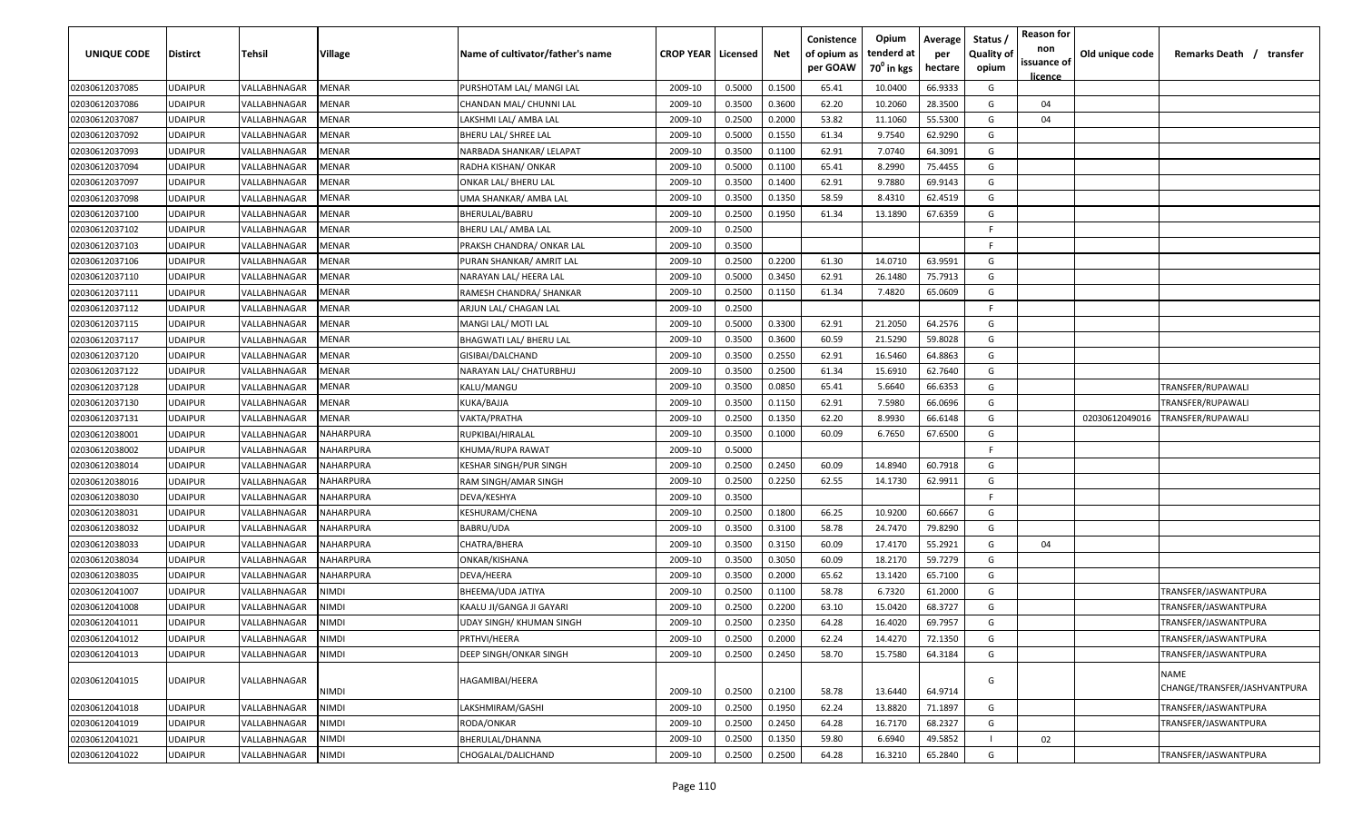| UNIQUE CODE    | Distirct       | Tehsil       | Village          | Name of cultivator/father's name | <b>CROP YEAR   Licensed</b> |        | Net    | Conistence<br>of opium as<br>per GOAW | Opium<br>tenderd at<br>70 <sup>°</sup> in kgs | Average<br>per<br>hectare | Status<br><b>Quality of</b><br>opium | <b>Reason for</b><br>non<br>issuance of<br>licence | Old unique code | Remarks Death /<br>transfer          |
|----------------|----------------|--------------|------------------|----------------------------------|-----------------------------|--------|--------|---------------------------------------|-----------------------------------------------|---------------------------|--------------------------------------|----------------------------------------------------|-----------------|--------------------------------------|
| 02030612037085 | UDAIPUR        | VALLABHNAGAR | MENAR            | PURSHOTAM LAL/ MANGI LAL         | 2009-10                     | 0.5000 | 0.1500 | 65.41                                 | 10.0400                                       | 66.9333                   | G                                    |                                                    |                 |                                      |
| 02030612037086 | UDAIPUR        | VALLABHNAGAR | MENAR            | CHANDAN MAL/ CHUNNI LAL          | 2009-10                     | 0.3500 | 0.3600 | 62.20                                 | 10.2060                                       | 28.3500                   | G                                    | 04                                                 |                 |                                      |
| 02030612037087 | UDAIPUR        | VALLABHNAGAR | MENAR            | LAKSHMI LAL/ AMBA LAL            | 2009-10                     | 0.2500 | 0.2000 | 53.82                                 | 11.1060                                       | 55.5300                   | G                                    | 04                                                 |                 |                                      |
| 02030612037092 | UDAIPUR        | VALLABHNAGAR | <b>AENAR</b>     | BHERU LAL/ SHREE LAL             | 2009-10                     | 0.5000 | 0.1550 | 61.34                                 | 9.7540                                        | 62.9290                   | G                                    |                                                    |                 |                                      |
| 02030612037093 | UDAIPUR        | VALLABHNAGAR | MENAR            | NARBADA SHANKAR/ LELAPAT         | 2009-10                     | 0.3500 | 0.1100 | 62.91                                 | 7.0740                                        | 64.3091                   | G                                    |                                                    |                 |                                      |
| 02030612037094 | UDAIPUR        | VALLABHNAGAR | MENAR            | RADHA KISHAN/ ONKAR              | 2009-10                     | 0.5000 | 0.1100 | 65.41                                 | 8.2990                                        | 75.4455                   | G                                    |                                                    |                 |                                      |
| 02030612037097 | UDAIPUR        | VALLABHNAGAR | MENAR            | ONKAR LAL/ BHERU LAL             | 2009-10                     | 0.3500 | 0.1400 | 62.91                                 | 9.7880                                        | 69.9143                   | G                                    |                                                    |                 |                                      |
| 02030612037098 | UDAIPUR        | VALLABHNAGAR | MENAR            | UMA SHANKAR/ AMBA LAL            | 2009-10                     | 0.3500 | 0.1350 | 58.59                                 | 8.4310                                        | 62.4519                   | G                                    |                                                    |                 |                                      |
| 02030612037100 | UDAIPUR        | VALLABHNAGAR | MENAR            | BHERULAL/BABRU                   | 2009-10                     | 0.2500 | 0.1950 | 61.34                                 | 13.1890                                       | 67.6359                   | G                                    |                                                    |                 |                                      |
| 02030612037102 | UDAIPUR        | VALLABHNAGAR | MENAR            | BHERU LAL/ AMBA LAL              | 2009-10                     | 0.2500 |        |                                       |                                               |                           | F.                                   |                                                    |                 |                                      |
| 02030612037103 | UDAIPUR        | VALLABHNAGAR | MENAR            | PRAKSH CHANDRA/ ONKAR LAL        | 2009-10                     | 0.3500 |        |                                       |                                               |                           | F.                                   |                                                    |                 |                                      |
| 02030612037106 | UDAIPUR        | VALLABHNAGAR | MENAR            | PURAN SHANKAR/ AMRIT LAL         | 2009-10                     | 0.2500 | 0.2200 | 61.30                                 | 14.0710                                       | 63.9591                   | G                                    |                                                    |                 |                                      |
| 02030612037110 | UDAIPUR        | VALLABHNAGAR | MENAR            | NARAYAN LAL/ HEERA LAL           | 2009-10                     | 0.5000 | 0.3450 | 62.91                                 | 26.1480                                       | 75.7913                   | G                                    |                                                    |                 |                                      |
| 02030612037111 | UDAIPUR        | VALLABHNAGAR | MENAR            | RAMESH CHANDRA/ SHANKAR          | 2009-10                     | 0.2500 | 0.1150 | 61.34                                 | 7.4820                                        | 65.0609                   | G                                    |                                                    |                 |                                      |
| 02030612037112 | UDAIPUR        | VALLABHNAGAR | MENAR            | ARJUN LAL/ CHAGAN LAL            | 2009-10                     | 0.2500 |        |                                       |                                               |                           | F                                    |                                                    |                 |                                      |
| 02030612037115 | UDAIPUR        | VALLABHNAGAR | MENAR            | MANGI LAL/ MOTI LAL              | 2009-10                     | 0.5000 | 0.3300 | 62.91                                 | 21.2050                                       | 64.2576                   | G                                    |                                                    |                 |                                      |
| 02030612037117 | UDAIPUR        | VALLABHNAGAR | MENAR            | <b>BHAGWATI LAL/ BHERU LAL</b>   | 2009-10                     | 0.3500 | 0.3600 | 60.59                                 | 21.5290                                       | 59.8028                   | G                                    |                                                    |                 |                                      |
| 02030612037120 | UDAIPUR        | VALLABHNAGAR | MENAR            | GISIBAI/DALCHAND                 | 2009-10                     | 0.3500 | 0.2550 | 62.91                                 | 16.5460                                       | 64.8863                   | G                                    |                                                    |                 |                                      |
| 02030612037122 | UDAIPUR        | VALLABHNAGAR | MENAR            | NARAYAN LAL/ CHATURBHUJ          | 2009-10                     | 0.3500 | 0.2500 | 61.34                                 | 15.6910                                       | 62.7640                   | G                                    |                                                    |                 |                                      |
| 02030612037128 | UDAIPUR        | VALLABHNAGAR | <b>AENAR</b>     | KALU/MANGU                       | 2009-10                     | 0.3500 | 0.0850 | 65.41                                 | 5.6640                                        | 66.6353                   | G                                    |                                                    |                 | TRANSFER/RUPAWALI                    |
| 02030612037130 | UDAIPUR        | VALLABHNAGAR | <b>AENAR</b>     | KUKA/BAJJA                       | 2009-10                     | 0.3500 | 0.1150 | 62.91                                 | 7.5980                                        | 66.0696                   | G                                    |                                                    |                 | <b>FRANSFER/RUPAWALI</b>             |
| 02030612037131 | UDAIPUR        | VALLABHNAGAR | MENAR            | VAKTA/PRATHA                     | 2009-10                     | 0.2500 | 0.1350 | 62.20                                 | 8.9930                                        | 66.6148                   | G                                    |                                                    | 02030612049016  | TRANSFER/RUPAWALI                    |
| 02030612038001 | UDAIPUR        | VALLABHNAGAR | NAHARPURA        | RUPKIBAI/HIRALAL                 | 2009-10                     | 0.3500 | 0.1000 | 60.09                                 | 6.7650                                        | 67.6500                   | G                                    |                                                    |                 |                                      |
| 02030612038002 | UDAIPUR        | VALLABHNAGAR | NAHARPURA        | KHUMA/RUPA RAWAT                 | 2009-10                     | 0.5000 |        |                                       |                                               |                           | -F.                                  |                                                    |                 |                                      |
| 02030612038014 | UDAIPUR        | VALLABHNAGAR | NAHARPURA        | KESHAR SINGH/PUR SINGH           | 2009-10                     | 0.2500 | 0.2450 | 60.09                                 | 14.8940                                       | 60.7918                   | G                                    |                                                    |                 |                                      |
| 02030612038016 | UDAIPUR        | VALLABHNAGAR | <b>VAHARPURA</b> | RAM SINGH/AMAR SINGH             | 2009-10                     | 0.2500 | 0.2250 | 62.55                                 | 14.1730                                       | 62.9911                   | G                                    |                                                    |                 |                                      |
| 02030612038030 | UDAIPUR        | VALLABHNAGAR | NAHARPURA        | DEVA/KESHYA                      | 2009-10                     | 0.3500 |        |                                       |                                               |                           | F.                                   |                                                    |                 |                                      |
| 02030612038031 | UDAIPUR        | VALLABHNAGAR | NAHARPURA        | KESHURAM/CHENA                   | 2009-10                     | 0.2500 | 0.1800 | 66.25                                 | 10.9200                                       | 60.6667                   | G                                    |                                                    |                 |                                      |
| 02030612038032 | UDAIPUR        | VALLABHNAGAR | NAHARPURA        | BABRU/UDA                        | 2009-10                     | 0.3500 | 0.3100 | 58.78                                 | 24.7470                                       | 79.8290                   | G                                    |                                                    |                 |                                      |
| 02030612038033 | UDAIPUR        | VALLABHNAGAR | NAHARPURA        | CHATRA/BHERA                     | 2009-10                     | 0.3500 | 0.3150 | 60.09                                 | 17.4170                                       | 55.2921                   | G                                    | 04                                                 |                 |                                      |
| 02030612038034 | UDAIPUR        | VALLABHNAGAR | NAHARPURA        | ONKAR/KISHANA                    | 2009-10                     | 0.3500 | 0.3050 | 60.09                                 | 18.2170                                       | 59.7279                   | G                                    |                                                    |                 |                                      |
| 02030612038035 | <b>JDAIPUR</b> | VALLABHNAGAR | NAHARPURA        | DEVA/HEERA                       | 2009-10                     | 0.3500 | 0.2000 | 65.62                                 | 13.1420                                       | 65.7100                   | G                                    |                                                    |                 |                                      |
| 02030612041007 | UDAIPUR        | VALLABHNAGAR | IOMIV            | BHEEMA/UDA JATIYA                | 2009-10                     | 0.2500 | 0.1100 | 58.78                                 | 6.7320                                        | 61.2000                   | G                                    |                                                    |                 | <b>TRANSFER/JASWANTPURA</b>          |
| 02030612041008 | UDAIPUR        | VALLABHNAGAR | IOMIV            | KAALU JI/GANGA JI GAYARI         | 2009-10                     | 0.2500 | 0.2200 | 63.10                                 | 15.0420                                       | 68.3727                   | G                                    |                                                    |                 | TRANSFER/JASWANTPURA                 |
| 02030612041011 | UDAIPUR        | VALLABHNAGAR | NIMDI            | <b>UDAY SINGH/ KHUMAN SINGH</b>  | 2009-10                     | 0.2500 | 0.2350 | 64.28                                 | 16.4020                                       | 69.7957                   | G                                    |                                                    |                 | TRANSFER/JASWANTPURA                 |
| 02030612041012 | <b>UDAIPUR</b> | VALLABHNAGAR | NIMDI            | PRTHVI/HEERA                     | 2009-10                     | 0.2500 | 0.2000 | 62.24                                 | 14.4270                                       | 72.1350                   | G                                    |                                                    |                 | TRANSFER/JASWANTPURA                 |
| 02030612041013 | UDAIPUR        | VALLABHNAGAR | NIMDI            | DEEP SINGH/ONKAR SINGH           | 2009-10                     | 0.2500 | 0.2450 | 58.70                                 | 15.7580                                       | 64.3184                   | G                                    |                                                    |                 | TRANSFER/JASWANTPURA                 |
| 02030612041015 | UDAIPUR        | VALLABHNAGAR | NIMDI            | HAGAMIBAI/HEERA                  | 2009-10                     | 0.2500 | 0.2100 | 58.78                                 | 13.6440                                       | 64.9714                   | G                                    |                                                    |                 | NAME<br>CHANGE/TRANSFER/JASHVANTPURA |
| 02030612041018 | UDAIPUR        | VALLABHNAGAR | NIMDI            | LAKSHMIRAM/GASHI                 | 2009-10                     | 0.2500 | 0.1950 | 62.24                                 | 13.8820                                       | 71.1897                   | G                                    |                                                    |                 | TRANSFER/JASWANTPURA                 |
| 02030612041019 | UDAIPUR        | VALLABHNAGAR | NIMDI            | RODA/ONKAR                       | 2009-10                     | 0.2500 | 0.2450 | 64.28                                 | 16.7170                                       | 68.2327                   | G                                    |                                                    |                 | TRANSFER/JASWANTPURA                 |
| 02030612041021 | <b>JDAIPUR</b> | VALLABHNAGAR | NIMDI            | BHERULAL/DHANNA                  | 2009-10                     | 0.2500 | 0.1350 | 59.80                                 | 6.6940                                        | 49.5852                   |                                      | 02                                                 |                 |                                      |
| 02030612041022 | UDAIPUR        | VALLABHNAGAR | NIMDI            | CHOGALAL/DALICHAND               | 2009-10                     | 0.2500 | 0.2500 | 64.28                                 | 16.3210                                       | 65.2840                   | G                                    |                                                    |                 | TRANSFER/JASWANTPURA                 |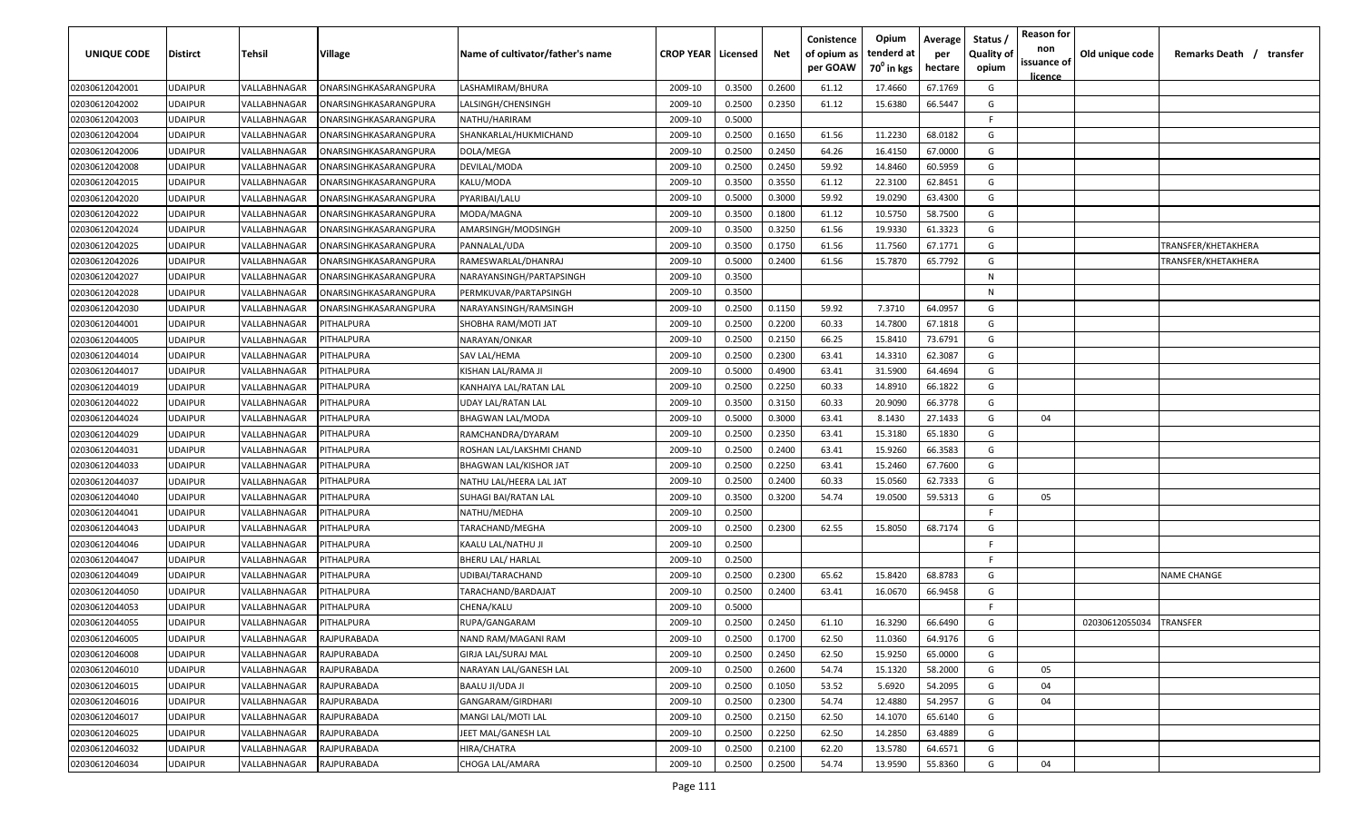| UNIQUE CODE    | Distirct       | Tehsil       | Village               | Name of cultivator/father's name | <b>CROP YEAR   Licensed</b> |        | Net    | Conistence<br>of opium as<br>per GOAW | Opium<br>tenderd at<br>70 <sup>0</sup> in kgs | Average<br>per<br>hectare | Status<br><b>Quality of</b><br>opium | <b>Reason for</b><br>non<br>issuance of | Old unique code | Remarks Death /<br>transfer |
|----------------|----------------|--------------|-----------------------|----------------------------------|-----------------------------|--------|--------|---------------------------------------|-----------------------------------------------|---------------------------|--------------------------------------|-----------------------------------------|-----------------|-----------------------------|
| 02030612042001 | UDAIPUR        | VALLABHNAGAR | ONARSINGHKASARANGPURA | LASHAMIRAM/BHURA                 | 2009-10                     | 0.3500 | 0.2600 | 61.12                                 | 17.4660                                       | 67.1769                   | G                                    | <u>licence</u>                          |                 |                             |
| 02030612042002 | UDAIPUR        | VALLABHNAGAR | ONARSINGHKASARANGPURA | LALSINGH/CHENSINGH               | 2009-10                     | 0.2500 | 0.2350 | 61.12                                 | 15.6380                                       | 66.5447                   | G                                    |                                         |                 |                             |
| 02030612042003 | UDAIPUR        | VALLABHNAGAR | ONARSINGHKASARANGPURA | NATHU/HARIRAM                    | 2009-10                     | 0.5000 |        |                                       |                                               |                           | E                                    |                                         |                 |                             |
| 02030612042004 | UDAIPUR        | VALLABHNAGAR | ONARSINGHKASARANGPURA | SHANKARLAL/HUKMICHAND            | 2009-10                     | 0.2500 | 0.1650 | 61.56                                 | 11.2230                                       | 68.0182                   | G                                    |                                         |                 |                             |
| 02030612042006 | UDAIPUR        | VALLABHNAGAR | ONARSINGHKASARANGPURA | DOLA/MEGA                        | 2009-10                     | 0.2500 | 0.2450 | 64.26                                 | 16.4150                                       | 67.0000                   | G                                    |                                         |                 |                             |
| 02030612042008 | UDAIPUR        | VALLABHNAGAR | ONARSINGHKASARANGPURA | DEVILAL/MODA                     | 2009-10                     | 0.2500 | 0.2450 | 59.92                                 | 14.8460                                       | 60.5959                   | G                                    |                                         |                 |                             |
| 02030612042015 | UDAIPUR        | VALLABHNAGAR | ONARSINGHKASARANGPURA | KALU/MODA                        | 2009-10                     | 0.3500 | 0.3550 | 61.12                                 | 22.3100                                       | 62.8451                   | G                                    |                                         |                 |                             |
| 02030612042020 | UDAIPUR        | VALLABHNAGAR | ONARSINGHKASARANGPURA | PYARIBAI/LALU                    | 2009-10                     | 0.5000 | 0.3000 | 59.92                                 | 19.0290                                       | 63.4300                   | G                                    |                                         |                 |                             |
| 02030612042022 | UDAIPUR        | VALLABHNAGAR | ONARSINGHKASARANGPURA | MODA/MAGNA                       | 2009-10                     | 0.3500 | 0.1800 | 61.12                                 | 10.5750                                       | 58.7500                   | G                                    |                                         |                 |                             |
| 02030612042024 | UDAIPUR        | VALLABHNAGAR | ONARSINGHKASARANGPURA | AMARSINGH/MODSINGH               | 2009-10                     | 0.3500 | 0.3250 | 61.56                                 | 19.9330                                       | 61.3323                   | G                                    |                                         |                 |                             |
| 02030612042025 | UDAIPUR        | VALLABHNAGAR | ONARSINGHKASARANGPURA | PANNALAL/UDA                     | 2009-10                     | 0.3500 | 0.1750 | 61.56                                 | 11.7560                                       | 67.1771                   | G                                    |                                         |                 | TRANSFER/KHETAKHERA         |
| 02030612042026 | UDAIPUR        | VALLABHNAGAR | ONARSINGHKASARANGPURA | RAMESWARLAL/DHANRAJ              | 2009-10                     | 0.5000 | 0.2400 | 61.56                                 | 15.7870                                       | 65.7792                   | G                                    |                                         |                 | TRANSFER/KHETAKHERA         |
| 02030612042027 | UDAIPUR        | VALLABHNAGAR | ONARSINGHKASARANGPURA | NARAYANSINGH/PARTAPSINGH         | 2009-10                     | 0.3500 |        |                                       |                                               |                           | N                                    |                                         |                 |                             |
| 02030612042028 | UDAIPUR        | VALLABHNAGAR | ONARSINGHKASARANGPURA | PERMKUVAR/PARTAPSINGH            | 2009-10                     | 0.3500 |        |                                       |                                               |                           | N                                    |                                         |                 |                             |
| 02030612042030 | UDAIPUR        | VALLABHNAGAR | ONARSINGHKASARANGPURA | NARAYANSINGH/RAMSINGH            | 2009-10                     | 0.2500 | 0.1150 | 59.92                                 | 7.3710                                        | 64.0957                   | G                                    |                                         |                 |                             |
| 02030612044001 | UDAIPUR        | VALLABHNAGAR | PITHALPURA            | SHOBHA RAM/MOTI JAT              | 2009-10                     | 0.2500 | 0.2200 | 60.33                                 | 14.7800                                       | 67.1818                   | G                                    |                                         |                 |                             |
| 02030612044005 | UDAIPUR        | VALLABHNAGAR | PITHALPURA            | NARAYAN/ONKAR                    | 2009-10                     | 0.2500 | 0.2150 | 66.25                                 | 15.8410                                       | 73.6791                   | G                                    |                                         |                 |                             |
| 02030612044014 | UDAIPUR        | VALLABHNAGAR | PITHALPURA            | SAV LAL/HEMA                     | 2009-10                     | 0.2500 | 0.2300 | 63.41                                 | 14.3310                                       | 62.3087                   | G                                    |                                         |                 |                             |
| 02030612044017 | UDAIPUR        | VALLABHNAGAR | PITHALPURA            | KISHAN LAL/RAMA JI               | 2009-10                     | 0.5000 | 0.4900 | 63.41                                 | 31.5900                                       | 64.4694                   | G                                    |                                         |                 |                             |
| 02030612044019 | UDAIPUR        | VALLABHNAGAR | <b>PITHALPURA</b>     | KANHAIYA LAL/RATAN LAL           | 2009-10                     | 0.2500 | 0.2250 | 60.33                                 | 14.8910                                       | 66.1822                   | G                                    |                                         |                 |                             |
| 02030612044022 | UDAIPUR        | VALLABHNAGAR | PITHALPURA            | UDAY LAL/RATAN LAL               | 2009-10                     | 0.3500 | 0.3150 | 60.33                                 | 20.9090                                       | 66.3778                   | G                                    |                                         |                 |                             |
| 02030612044024 | UDAIPUR        | VALLABHNAGAR | PITHALPURA            | <b>BHAGWAN LAL/MODA</b>          | 2009-10                     | 0.5000 | 0.3000 | 63.41                                 | 8.1430                                        | 27.1433                   | G                                    | 04                                      |                 |                             |
| 02030612044029 | UDAIPUR        | VALLABHNAGAR | PITHALPURA            | RAMCHANDRA/DYARAM                | 2009-10                     | 0.2500 | 0.2350 | 63.41                                 | 15.3180                                       | 65.1830                   | G                                    |                                         |                 |                             |
| 02030612044031 | UDAIPUR        | VALLABHNAGAR | PITHALPURA            | ROSHAN LAL/LAKSHMI CHAND         | 2009-10                     | 0.2500 | 0.2400 | 63.41                                 | 15.9260                                       | 66.3583                   | G                                    |                                         |                 |                             |
| 02030612044033 | UDAIPUR        | VALLABHNAGAR | <b>ITHALPURA</b>      | <b>BHAGWAN LAL/KISHOR JAT</b>    | 2009-10                     | 0.2500 | 0.2250 | 63.41                                 | 15.2460                                       | 67.7600                   | G                                    |                                         |                 |                             |
| 02030612044037 | UDAIPUR        | VALLABHNAGAR | <b>PITHALPURA</b>     | NATHU LAL/HEERA LAL JAT          | 2009-10                     | 0.2500 | 0.2400 | 60.33                                 | 15.0560                                       | 62.7333                   | G                                    |                                         |                 |                             |
| 02030612044040 | UDAIPUR        | VALLABHNAGAR | PITHALPURA            | SUHAGI BAI/RATAN LAL             | 2009-10                     | 0.3500 | 0.3200 | 54.74                                 | 19.0500                                       | 59.5313                   | G                                    | 05                                      |                 |                             |
| 02030612044041 | UDAIPUR        | VALLABHNAGAR | PITHALPURA            | NATHU/MEDHA                      | 2009-10                     | 0.2500 |        |                                       |                                               |                           | F.                                   |                                         |                 |                             |
| 02030612044043 | UDAIPUR        | VALLABHNAGAR | <b>PITHALPURA</b>     | TARACHAND/MEGHA                  | 2009-10                     | 0.2500 | 0.2300 | 62.55                                 | 15.8050                                       | 68.7174                   | G                                    |                                         |                 |                             |
| 02030612044046 | <b>JDAIPUR</b> | VALLABHNAGAR | PITHALPURA            | KAALU LAL/NATHU JI               | 2009-10                     | 0.2500 |        |                                       |                                               |                           | -F.                                  |                                         |                 |                             |
| 02030612044047 | UDAIPUR        | VALLABHNAGAR | PITHALPURA            | <b>BHERU LAL/ HARLAL</b>         | 2009-10                     | 0.2500 |        |                                       |                                               |                           | F.                                   |                                         |                 |                             |
| 02030612044049 | UDAIPUR        | VALLABHNAGAR | PITHALPURA            | UDIBAI/TARACHAND                 | 2009-10                     | 0.2500 | 0.2300 | 65.62                                 | 15.8420                                       | 68.8783                   | G                                    |                                         |                 | <b>NAME CHANGE</b>          |
| 02030612044050 | UDAIPUR        | VALLABHNAGAR | <b>ITHALPURA</b>      | TARACHAND/BARDAJAT               | 2009-10                     | 0.2500 | 0.2400 | 63.41                                 | 16.0670                                       | 66.9458                   | G                                    |                                         |                 |                             |
| 02030612044053 | UDAIPUR        | VALLABHNAGAR | PITHALPURA            | CHENA/KALU                       | 2009-10                     | 0.5000 |        |                                       |                                               |                           | E                                    |                                         |                 |                             |
| 02030612044055 | UDAIPUR        | VALLABHNAGAR | PITHALPURA            | RUPA/GANGARAM                    | 2009-10                     | 0.2500 | 0.2450 | 61.10                                 | 16.3290                                       | 66.6490                   | G                                    |                                         | 02030612055034  | TRANSFER                    |
| 02030612046005 | <b>UDAIPUR</b> | VALLABHNAGAR | RAJPURABADA           | NAND RAM/MAGANI RAM              | 2009-10                     | 0.2500 | 0.1700 | 62.50                                 | 11.0360                                       | 64.9176                   | G                                    |                                         |                 |                             |
| 02030612046008 | <b>UDAIPUR</b> | VALLABHNAGAR | RAJPURABADA           | <b>GIRJA LAL/SURAJ MAL</b>       | 2009-10                     | 0.2500 | 0.2450 | 62.50                                 | 15.9250                                       | 65.0000                   | G                                    |                                         |                 |                             |
| 02030612046010 | UDAIPUR        | VALLABHNAGAR | RAJPURABADA           | NARAYAN LAL/GANESH LAL           | 2009-10                     | 0.2500 | 0.2600 | 54.74                                 | 15.1320                                       | 58.2000                   | G                                    | 05                                      |                 |                             |
| 02030612046015 | <b>UDAIPUR</b> | VALLABHNAGAR | RAJPURABADA           | BAALU JI/UDA JI                  | 2009-10                     | 0.2500 | 0.1050 | 53.52                                 | 5.6920                                        | 54.2095                   | G                                    | 04                                      |                 |                             |
| 02030612046016 | UDAIPUR        | VALLABHNAGAR | RAJPURABADA           | GANGARAM/GIRDHARI                | 2009-10                     | 0.2500 | 0.2300 | 54.74                                 | 12.4880                                       | 54.2957                   | G                                    | 04                                      |                 |                             |
| 02030612046017 | UDAIPUR        | VALLABHNAGAR | RAJPURABADA           | MANGI LAL/MOTI LAL               | 2009-10                     | 0.2500 | 0.2150 | 62.50                                 | 14.1070                                       | 65.6140                   | G                                    |                                         |                 |                             |
| 02030612046025 | UDAIPUR        | VALLABHNAGAR | RAJPURABADA           | JEET MAL/GANESH LAL              | 2009-10                     | 0.2500 | 0.2250 | 62.50                                 | 14.2850                                       | 63.4889                   | G                                    |                                         |                 |                             |
| 02030612046032 | UDAIPUR        | VALLABHNAGAR | RAJPURABADA           | HIRA/CHATRA                      | 2009-10                     | 0.2500 | 0.2100 | 62.20                                 | 13.5780                                       | 64.6571                   | G                                    |                                         |                 |                             |
| 02030612046034 | UDAIPUR        | VALLABHNAGAR | RAJPURABADA           | CHOGA LAL/AMARA                  | 2009-10                     | 0.2500 | 0.2500 | 54.74                                 | 13.9590                                       | 55.8360                   | G                                    | 04                                      |                 |                             |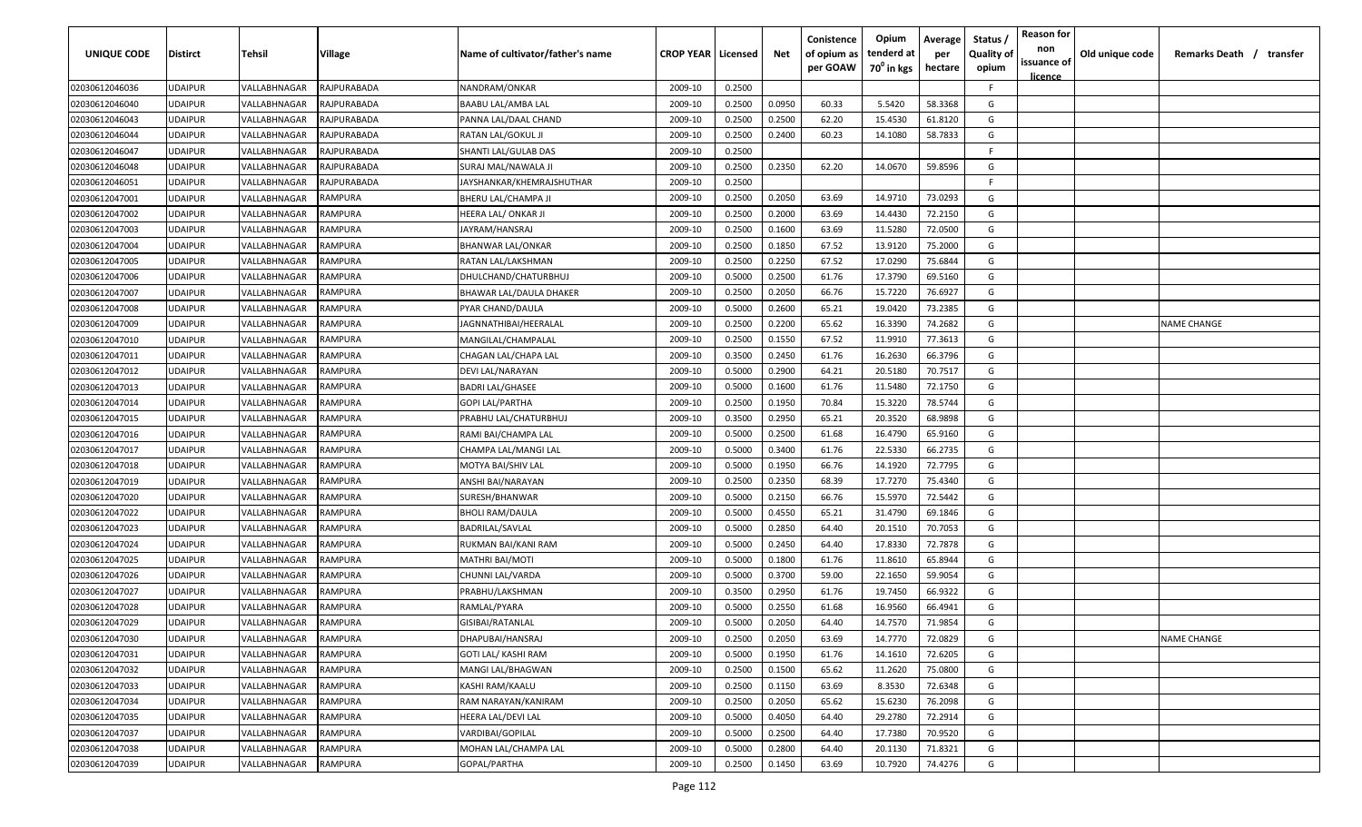| UNIQUE CODE    | <b>Distirct</b> | Tehsil       | Village        | Name of cultivator/father's name | <b>CROP YEAR   Licensed</b> |        | Net    | Conistence<br>of opium as | Opium<br>tenderd at    | Average<br>per | Status<br><b>Quality of</b> | <b>Reason for</b><br>non<br>issuance of | Old unique code | Remarks Death / transfer |
|----------------|-----------------|--------------|----------------|----------------------------------|-----------------------------|--------|--------|---------------------------|------------------------|----------------|-----------------------------|-----------------------------------------|-----------------|--------------------------|
|                |                 |              |                |                                  |                             |        |        | per GOAW                  | 70 <sup>°</sup> in kgs | hectare        | opium                       | <u>licence</u>                          |                 |                          |
| 02030612046036 | <b>UDAIPUR</b>  | VALLABHNAGAR | RAJPURABADA    | NANDRAM/ONKAR                    | 2009-10                     | 0.2500 |        |                           |                        |                | F.                          |                                         |                 |                          |
| 02030612046040 | <b>UDAIPUR</b>  | VALLABHNAGAR | RAJPURABADA    | BAABU LAL/AMBA LAL               | 2009-10                     | 0.2500 | 0.0950 | 60.33                     | 5.5420                 | 58.3368        | G                           |                                         |                 |                          |
| 02030612046043 | <b>UDAIPUR</b>  | VALLABHNAGAR | RAJPURABADA    | PANNA LAL/DAAL CHAND             | 2009-10                     | 0.2500 | 0.2500 | 62.20                     | 15.4530                | 61.8120        | G                           |                                         |                 |                          |
| 02030612046044 | <b>UDAIPUR</b>  | VALLABHNAGAR | RAJPURABADA    | RATAN LAL/GOKUL JI               | 2009-10                     | 0.2500 | 0.2400 | 60.23                     | 14.1080                | 58.7833        | G                           |                                         |                 |                          |
| 02030612046047 | <b>UDAIPUR</b>  | VALLABHNAGAR | RAJPURABADA    | SHANTI LAL/GULAB DAS             | 2009-10                     | 0.2500 |        |                           |                        |                | -F                          |                                         |                 |                          |
| 02030612046048 | <b>UDAIPUR</b>  | VALLABHNAGAR | RAJPURABADA    | SURAJ MAL/NAWALA JI              | 2009-10                     | 0.2500 | 0.2350 | 62.20                     | 14.0670                | 59.8596        | G                           |                                         |                 |                          |
| 02030612046051 | <b>UDAIPUR</b>  | VALLABHNAGAR | RAJPURABADA    | JAYSHANKAR/KHEMRAJSHUTHAR        | 2009-10                     | 0.2500 |        |                           |                        |                | -F                          |                                         |                 |                          |
| 02030612047001 | <b>UDAIPUR</b>  | VALLABHNAGAR | RAMPURA        | BHERU LAL/CHAMPA JI              | 2009-10                     | 0.2500 | 0.2050 | 63.69                     | 14.9710                | 73.0293        | G                           |                                         |                 |                          |
| 02030612047002 | <b>UDAIPUR</b>  | VALLABHNAGAR | RAMPURA        | HEERA LAL/ ONKAR JI              | 2009-10                     | 0.2500 | 0.2000 | 63.69                     | 14.4430                | 72.2150        | G                           |                                         |                 |                          |
| 02030612047003 | <b>UDAIPUR</b>  | VALLABHNAGAR | RAMPURA        | JAYRAM/HANSRAJ                   | 2009-10                     | 0.2500 | 0.1600 | 63.69                     | 11.5280                | 72.0500        | G                           |                                         |                 |                          |
| 02030612047004 | <b>UDAIPUR</b>  | VALLABHNAGAR | RAMPURA        | BHANWAR LAL/ONKAR                | 2009-10                     | 0.2500 | 0.1850 | 67.52                     | 13.9120                | 75.2000        | G                           |                                         |                 |                          |
| 02030612047005 | <b>UDAIPUR</b>  | VALLABHNAGAR | RAMPURA        | RATAN LAL/LAKSHMAN               | 2009-10                     | 0.2500 | 0.2250 | 67.52                     | 17.0290                | 75.6844        | G                           |                                         |                 |                          |
| 02030612047006 | <b>UDAIPUR</b>  | VALLABHNAGAR | RAMPURA        | DHULCHAND/CHATURBHUJ             | 2009-10                     | 0.5000 | 0.2500 | 61.76                     | 17.3790                | 69.5160        | G                           |                                         |                 |                          |
| 02030612047007 | <b>UDAIPUR</b>  | VALLABHNAGAR | RAMPURA        | BHAWAR LAL/DAULA DHAKER          | 2009-10                     | 0.2500 | 0.2050 | 66.76                     | 15.7220                | 76.6927        | G                           |                                         |                 |                          |
| 02030612047008 | <b>UDAIPUR</b>  | VALLABHNAGAR | <b>RAMPURA</b> | PYAR CHAND/DAULA                 | 2009-10                     | 0.5000 | 0.2600 | 65.21                     | 19.0420                | 73.2385        | G                           |                                         |                 |                          |
| 02030612047009 | <b>UDAIPUR</b>  | VALLABHNAGAR | <b>RAMPURA</b> | JAGNNATHIBAI/HEERALAL            | 2009-10                     | 0.2500 | 0.2200 | 65.62                     | 16.3390                | 74.2682        | G                           |                                         |                 | <b>NAME CHANGE</b>       |
| 02030612047010 | <b>UDAIPUR</b>  | VALLABHNAGAR | RAMPURA        | MANGILAL/CHAMPALAL               | 2009-10                     | 0.2500 | 0.1550 | 67.52                     | 11.9910                | 77.3613        | G                           |                                         |                 |                          |
| 02030612047011 | <b>UDAIPUR</b>  | VALLABHNAGAR | RAMPURA        | CHAGAN LAL/CHAPA LAL             | 2009-10                     | 0.3500 | 0.2450 | 61.76                     | 16.2630                | 66.3796        | G                           |                                         |                 |                          |
| 02030612047012 | <b>UDAIPUR</b>  | VALLABHNAGAR | RAMPURA        | DEVI LAL/NARAYAN                 | 2009-10                     | 0.5000 | 0.2900 | 64.21                     | 20.5180                | 70.7517        | G                           |                                         |                 |                          |
| 02030612047013 | <b>UDAIPUR</b>  | VALLABHNAGAR | RAMPURA        | <b>BADRI LAL/GHASEE</b>          | 2009-10                     | 0.5000 | 0.1600 | 61.76                     | 11.5480                | 72.1750        | G                           |                                         |                 |                          |
| 02030612047014 | <b>UDAIPUR</b>  | VALLABHNAGAR | RAMPURA        | <b>GOPI LAL/PARTHA</b>           | 2009-10                     | 0.2500 | 0.1950 | 70.84                     | 15.3220                | 78.5744        | G                           |                                         |                 |                          |
| 02030612047015 | <b>UDAIPUR</b>  | VALLABHNAGAR | RAMPURA        | PRABHU LAL/CHATURBHUJ            | 2009-10                     | 0.3500 | 0.2950 | 65.21                     | 20.3520                | 68.9898        | G                           |                                         |                 |                          |
| 02030612047016 | <b>UDAIPUR</b>  | VALLABHNAGAR | RAMPURA        | RAMI BAI/CHAMPA LAL              | 2009-10                     | 0.5000 | 0.2500 | 61.68                     | 16.4790                | 65.9160        | G                           |                                         |                 |                          |
| 02030612047017 | <b>UDAIPUR</b>  | VALLABHNAGAR | RAMPURA        | CHAMPA LAL/MANGI LAL             | 2009-10                     | 0.5000 | 0.3400 | 61.76                     | 22.5330                | 66.2735        | G                           |                                         |                 |                          |
| 02030612047018 | <b>UDAIPUR</b>  | VALLABHNAGAR | RAMPURA        | MOTYA BAI/SHIV LAL               | 2009-10                     | 0.5000 | 0.1950 | 66.76                     | 14.1920                | 72.7795        | G                           |                                         |                 |                          |
| 02030612047019 | <b>UDAIPUR</b>  | VALLABHNAGAR | RAMPURA        | ANSHI BAI/NARAYAN                | 2009-10                     | 0.2500 | 0.2350 | 68.39                     | 17.7270                | 75.4340        | G                           |                                         |                 |                          |
| 02030612047020 | <b>UDAIPUR</b>  | VALLABHNAGAR | RAMPURA        | SURESH/BHANWAR                   | 2009-10                     | 0.5000 | 0.2150 | 66.76                     | 15.5970                | 72.5442        | G                           |                                         |                 |                          |
| 02030612047022 | <b>UDAIPUR</b>  | VALLABHNAGAR | RAMPURA        | BHOLI RAM/DAULA                  | 2009-10                     | 0.5000 | 0.4550 | 65.21                     | 31.4790                | 69.1846        | G                           |                                         |                 |                          |
| 02030612047023 | <b>UDAIPUR</b>  | VALLABHNAGAR | RAMPURA        | BADRILAL/SAVLAL                  | 2009-10                     | 0.5000 | 0.2850 | 64.40                     | 20.1510                | 70.7053        | G                           |                                         |                 |                          |
| 02030612047024 | <b>UDAIPUR</b>  | VALLABHNAGAR | RAMPURA        | RUKMAN BAI/KANI RAM              | 2009-10                     | 0.5000 | 0.2450 | 64.40                     | 17.8330                | 72.7878        | G                           |                                         |                 |                          |
| 02030612047025 | <b>UDAIPUR</b>  | VALLABHNAGAR | RAMPURA        | MATHRI BAI/MOTI                  | 2009-10                     | 0.5000 | 0.1800 | 61.76                     | 11.8610                | 65.8944        | G                           |                                         |                 |                          |
| 02030612047026 | <b>UDAIPUR</b>  | VALLABHNAGAR | RAMPURA        | CHUNNI LAL/VARDA                 | 2009-10                     | 0.5000 | 0.3700 | 59.00                     | 22.1650                | 59.9054        | G                           |                                         |                 |                          |
| 02030612047027 | <b>UDAIPUR</b>  | VALLABHNAGAR | RAMPURA        | PRABHU/LAKSHMAN                  | 2009-10                     | 0.3500 | 0.2950 | 61.76                     | 19.7450                | 66.9322        | G                           |                                         |                 |                          |
| 02030612047028 | <b>UDAIPUR</b>  | VALLABHNAGAR | RAMPURA        | RAMLAL/PYARA                     | 2009-10                     | 0.5000 | 0.2550 | 61.68                     | 16.9560                | 66.4941        | G                           |                                         |                 |                          |
| 02030612047029 | <b>UDAIPUR</b>  | VALLABHNAGAR | RAMPURA        | GISIBAI/RATANLAL                 | 2009-10                     | 0.5000 | 0.2050 | 64.40                     | 14.7570                | 71.9854        | G                           |                                         |                 |                          |
| 02030612047030 | <b>UDAIPUR</b>  | VALLABHNAGAR | RAMPURA        | DHAPUBAI/HANSRAJ                 | 2009-10                     | 0.2500 | 0.2050 | 63.69                     | 14.7770                | 72.0829        | G                           |                                         |                 | <b>NAME CHANGE</b>       |
| 02030612047031 | <b>UDAIPUR</b>  | VALLABHNAGAR | RAMPURA        | GOTI LAL/ KASHI RAM              | 2009-10                     | 0.5000 | 0.1950 | 61.76                     | 14.1610                | 72.6205        | G                           |                                         |                 |                          |
| 02030612047032 | <b>UDAIPUR</b>  | VALLABHNAGAR | RAMPURA        | MANGI LAL/BHAGWAN                | 2009-10                     | 0.2500 | 0.1500 | 65.62                     | 11.2620                | 75.0800        | G                           |                                         |                 |                          |
| 02030612047033 | <b>UDAIPUR</b>  | VALLABHNAGAR | RAMPURA        | KASHI RAM/KAALU                  | 2009-10                     | 0.2500 | 0.1150 | 63.69                     | 8.3530                 | 72.6348        | G                           |                                         |                 |                          |
| 02030612047034 | <b>UDAIPUR</b>  | VALLABHNAGAR | RAMPURA        | RAM NARAYAN/KANIRAM              | 2009-10                     | 0.2500 | 0.2050 | 65.62                     | 15.6230                | 76.2098        | G                           |                                         |                 |                          |
| 02030612047035 | <b>UDAIPUR</b>  | VALLABHNAGAR | RAMPURA        | HEERA LAL/DEVI LAL               | 2009-10                     | 0.5000 | 0.4050 | 64.40                     | 29.2780                | 72.2914        | G                           |                                         |                 |                          |
| 02030612047037 | <b>UDAIPUR</b>  | VALLABHNAGAR | RAMPURA        | VARDIBAI/GOPILAL                 | 2009-10                     | 0.5000 | 0.2500 | 64.40                     | 17.7380                | 70.9520        | G                           |                                         |                 |                          |
| 02030612047038 | <b>UDAIPUR</b>  | VALLABHNAGAR | RAMPURA        | MOHAN LAL/CHAMPA LAL             | 2009-10                     | 0.5000 | 0.2800 | 64.40                     | 20.1130                | 71.8321        | G                           |                                         |                 |                          |
| 02030612047039 | <b>UDAIPUR</b>  | VALLABHNAGAR | RAMPURA        | GOPAL/PARTHA                     | 2009-10                     | 0.2500 | 0.1450 | 63.69                     | 10.7920                | 74.4276        | G                           |                                         |                 |                          |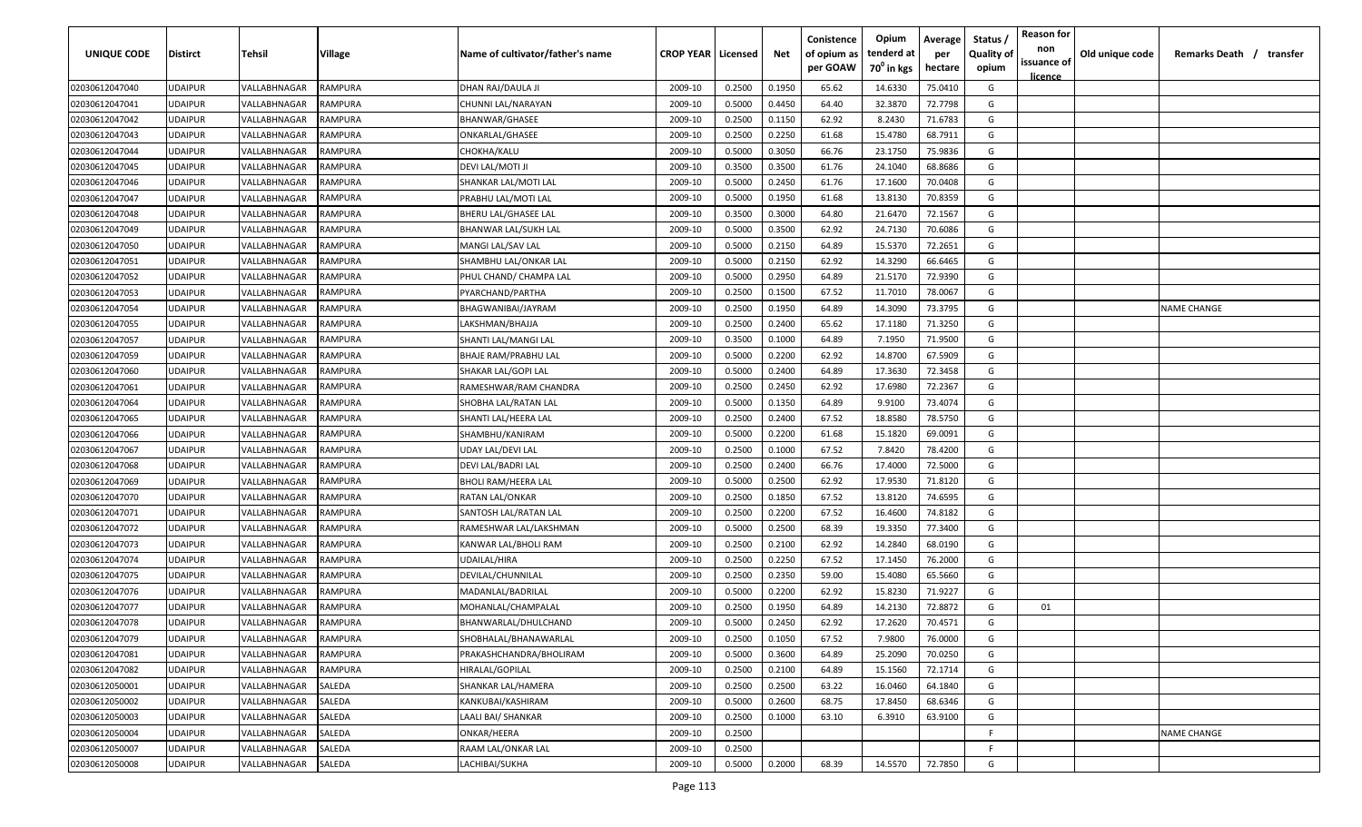| UNIQUE CODE    | <b>Distirct</b> | Tehsil       | Village        | Name of cultivator/father's name | <b>CROP YEAR   Licensed</b> |        | Net    | Conistence<br>of opium as | Opium<br>tenderd at    | Average<br>per | Status<br><b>Quality of</b> | <b>Reason for</b><br>non<br>issuance of | Old unique code | Remarks Death / transfer |
|----------------|-----------------|--------------|----------------|----------------------------------|-----------------------------|--------|--------|---------------------------|------------------------|----------------|-----------------------------|-----------------------------------------|-----------------|--------------------------|
|                |                 |              |                |                                  |                             |        |        | per GOAW                  | 70 <sup>0</sup> in kgs | hectare        | opium                       | <u>licence</u>                          |                 |                          |
| 02030612047040 | <b>UDAIPUR</b>  | VALLABHNAGAR | RAMPURA        | DHAN RAJ/DAULA JI                | 2009-10                     | 0.2500 | 0.1950 | 65.62                     | 14.6330                | 75.0410        | G                           |                                         |                 |                          |
| 02030612047041 | <b>UDAIPUR</b>  | VALLABHNAGAR | RAMPURA        | CHUNNI LAL/NARAYAN               | 2009-10                     | 0.5000 | 0.4450 | 64.40                     | 32.3870                | 72.7798        | G                           |                                         |                 |                          |
| 02030612047042 | <b>UDAIPUR</b>  | VALLABHNAGAR | RAMPURA        | BHANWAR/GHASEE                   | 2009-10                     | 0.2500 | 0.1150 | 62.92                     | 8.2430                 | 71.6783        | G                           |                                         |                 |                          |
| 02030612047043 | <b>UDAIPUR</b>  | VALLABHNAGAR | RAMPURA        | ONKARLAL/GHASEE                  | 2009-10                     | 0.2500 | 0.2250 | 61.68                     | 15.4780                | 68.7911        | G                           |                                         |                 |                          |
| 02030612047044 | <b>UDAIPUR</b>  | VALLABHNAGAR | RAMPURA        | CHOKHA/KALU                      | 2009-10                     | 0.5000 | 0.3050 | 66.76                     | 23.1750                | 75.9836        | G                           |                                         |                 |                          |
| 02030612047045 | <b>UDAIPUR</b>  | VALLABHNAGAR | RAMPURA        | DEVI LAL/MOTI JI                 | 2009-10                     | 0.3500 | 0.3500 | 61.76                     | 24.1040                | 68.8686        | G                           |                                         |                 |                          |
| 02030612047046 | <b>UDAIPUR</b>  | VALLABHNAGAR | RAMPURA        | SHANKAR LAL/MOTI LAL             | 2009-10                     | 0.5000 | 0.2450 | 61.76                     | 17.1600                | 70.0408        | G                           |                                         |                 |                          |
| 02030612047047 | <b>UDAIPUR</b>  | VALLABHNAGAR | RAMPURA        | PRABHU LAL/MOTI LAL              | 2009-10                     | 0.5000 | 0.1950 | 61.68                     | 13.8130                | 70.8359        | G                           |                                         |                 |                          |
| 02030612047048 | <b>UDAIPUR</b>  | VALLABHNAGAR | RAMPURA        | BHERU LAL/GHASEE LAL             | 2009-10                     | 0.3500 | 0.3000 | 64.80                     | 21.6470                | 72.1567        | G                           |                                         |                 |                          |
| 02030612047049 | <b>UDAIPUR</b>  | VALLABHNAGAR | RAMPURA        | BHANWAR LAL/SUKH LAL             | 2009-10                     | 0.5000 | 0.3500 | 62.92                     | 24.7130                | 70.6086        | G                           |                                         |                 |                          |
| 02030612047050 | <b>UDAIPUR</b>  | VALLABHNAGAR | RAMPURA        | MANGI LAL/SAV LAL                | 2009-10                     | 0.5000 | 0.2150 | 64.89                     | 15.5370                | 72.2651        | G                           |                                         |                 |                          |
| 02030612047051 | <b>UDAIPUR</b>  | VALLABHNAGAR | RAMPURA        | SHAMBHU LAL/ONKAR LAL            | 2009-10                     | 0.5000 | 0.2150 | 62.92                     | 14.3290                | 66.6465        | G                           |                                         |                 |                          |
| 02030612047052 | <b>UDAIPUR</b>  | VALLABHNAGAR | RAMPURA        | PHUL CHAND/ CHAMPA LAL           | 2009-10                     | 0.5000 | 0.2950 | 64.89                     | 21.5170                | 72.9390        | G                           |                                         |                 |                          |
| 02030612047053 | <b>UDAIPUR</b>  | VALLABHNAGAR | RAMPURA        | PYARCHAND/PARTHA                 | 2009-10                     | 0.2500 | 0.1500 | 67.52                     | 11.7010                | 78.0067        | G                           |                                         |                 |                          |
| 02030612047054 | <b>UDAIPUR</b>  | VALLABHNAGAR | <b>RAMPURA</b> | BHAGWANIBAI/JAYRAM               | 2009-10                     | 0.2500 | 0.1950 | 64.89                     | 14.3090                | 73.3795        | G                           |                                         |                 | <b>NAME CHANGE</b>       |
| 02030612047055 | <b>UDAIPUR</b>  | VALLABHNAGAR | <b>RAMPURA</b> | LAKSHMAN/BHAJJA                  | 2009-10                     | 0.2500 | 0.2400 | 65.62                     | 17.1180                | 71.3250        | G                           |                                         |                 |                          |
| 02030612047057 | <b>UDAIPUR</b>  | VALLABHNAGAR | RAMPURA        | SHANTI LAL/MANGI LAL             | 2009-10                     | 0.3500 | 0.1000 | 64.89                     | 7.1950                 | 71.9500        | G                           |                                         |                 |                          |
| 02030612047059 | <b>UDAIPUR</b>  | VALLABHNAGAR | RAMPURA        | BHAJE RAM/PRABHU LAL             | 2009-10                     | 0.5000 | 0.2200 | 62.92                     | 14.8700                | 67.5909        | G                           |                                         |                 |                          |
| 02030612047060 | <b>UDAIPUR</b>  | VALLABHNAGAR | RAMPURA        | SHAKAR LAL/GOPI LAL              | 2009-10                     | 0.5000 | 0.2400 | 64.89                     | 17.3630                | 72.3458        | G                           |                                         |                 |                          |
| 02030612047061 | <b>UDAIPUR</b>  | VALLABHNAGAR | RAMPURA        | RAMESHWAR/RAM CHANDRA            | 2009-10                     | 0.2500 | 0.2450 | 62.92                     | 17.6980                | 72.2367        | G                           |                                         |                 |                          |
| 02030612047064 | <b>UDAIPUR</b>  | VALLABHNAGAR | RAMPURA        | SHOBHA LAL/RATAN LAL             | 2009-10                     | 0.5000 | 0.1350 | 64.89                     | 9.9100                 | 73.4074        | G                           |                                         |                 |                          |
| 02030612047065 | <b>UDAIPUR</b>  | VALLABHNAGAR | RAMPURA        | SHANTI LAL/HEERA LAL             | 2009-10                     | 0.2500 | 0.2400 | 67.52                     | 18.8580                | 78.5750        | G                           |                                         |                 |                          |
| 02030612047066 | <b>UDAIPUR</b>  | VALLABHNAGAR | RAMPURA        | SHAMBHU/KANIRAM                  | 2009-10                     | 0.5000 | 0.2200 | 61.68                     | 15.1820                | 69.0091        | G                           |                                         |                 |                          |
| 02030612047067 | <b>UDAIPUR</b>  | VALLABHNAGAR | RAMPURA        | UDAY LAL/DEVI LAL                | 2009-10                     | 0.2500 | 0.1000 | 67.52                     | 7.8420                 | 78.4200        | G                           |                                         |                 |                          |
| 02030612047068 | <b>UDAIPUR</b>  | VALLABHNAGAR | RAMPURA        | DEVI LAL/BADRI LAL               | 2009-10                     | 0.2500 | 0.2400 | 66.76                     | 17.4000                | 72.5000        | G                           |                                         |                 |                          |
| 02030612047069 | <b>UDAIPUR</b>  | VALLABHNAGAR | RAMPURA        | BHOLI RAM/HEERA LAL              | 2009-10                     | 0.5000 | 0.2500 | 62.92                     | 17.9530                | 71.8120        | G                           |                                         |                 |                          |
| 02030612047070 | <b>UDAIPUR</b>  | VALLABHNAGAR | RAMPURA        | RATAN LAL/ONKAR                  | 2009-10                     | 0.2500 | 0.1850 | 67.52                     | 13.8120                | 74.6595        | G                           |                                         |                 |                          |
| 02030612047071 | <b>UDAIPUR</b>  | VALLABHNAGAR | RAMPURA        | SANTOSH LAL/RATAN LAL            | 2009-10                     | 0.2500 | 0.2200 | 67.52                     | 16.4600                | 74.8182        | G                           |                                         |                 |                          |
| 02030612047072 | <b>UDAIPUR</b>  | VALLABHNAGAR | RAMPURA        | RAMESHWAR LAL/LAKSHMAN           | 2009-10                     | 0.5000 | 0.2500 | 68.39                     | 19.3350                | 77.3400        | G                           |                                         |                 |                          |
| 02030612047073 | <b>UDAIPUR</b>  | VALLABHNAGAR | RAMPURA        | KANWAR LAL/BHOLI RAM             | 2009-10                     | 0.2500 | 0.2100 | 62.92                     | 14.2840                | 68.0190        | G                           |                                         |                 |                          |
| 02030612047074 | <b>UDAIPUR</b>  | VALLABHNAGAR | RAMPURA        | UDAILAL/HIRA                     | 2009-10                     | 0.2500 | 0.2250 | 67.52                     | 17.1450                | 76.2000        | G                           |                                         |                 |                          |
| 02030612047075 | <b>UDAIPUR</b>  | VALLABHNAGAR | RAMPURA        | DEVILAL/CHUNNILAL                | 2009-10                     | 0.2500 | 0.2350 | 59.00                     | 15.4080                | 65.5660        | G                           |                                         |                 |                          |
| 02030612047076 | <b>UDAIPUR</b>  | VALLABHNAGAR | RAMPURA        | MADANLAL/BADRILAL                | 2009-10                     | 0.5000 | 0.2200 | 62.92                     | 15.8230                | 71.9227        | G                           |                                         |                 |                          |
| 02030612047077 | <b>UDAIPUR</b>  | VALLABHNAGAR | RAMPURA        | MOHANLAL/CHAMPALAL               | 2009-10                     | 0.2500 | 0.1950 | 64.89                     | 14.2130                | 72.8872        | G                           | 01                                      |                 |                          |
| 02030612047078 | <b>UDAIPUR</b>  | VALLABHNAGAR | RAMPURA        | BHANWARLAL/DHULCHAND             | 2009-10                     | 0.5000 | 0.2450 | 62.92                     | 17.2620                | 70.4571        | G                           |                                         |                 |                          |
| 02030612047079 | <b>UDAIPUR</b>  | VALLABHNAGAR | RAMPURA        | SHOBHALAL/BHANAWARLAL            | 2009-10                     | 0.2500 | 0.1050 | 67.52                     | 7.9800                 | 76.0000        | G                           |                                         |                 |                          |
| 02030612047081 | <b>UDAIPUR</b>  | VALLABHNAGAR | RAMPURA        | PRAKASHCHANDRA/BHOLIRAM          | 2009-10                     | 0.5000 | 0.3600 | 64.89                     | 25.2090                | 70.0250        | G                           |                                         |                 |                          |
| 02030612047082 | <b>UDAIPUR</b>  | VALLABHNAGAR | RAMPURA        | HIRALAL/GOPILAL                  | 2009-10                     | 0.2500 | 0.2100 | 64.89                     | 15.1560                | 72.1714        | G                           |                                         |                 |                          |
| 02030612050001 | <b>UDAIPUR</b>  | VALLABHNAGAR | SALEDA         | SHANKAR LAL/HAMERA               | 2009-10                     | 0.2500 | 0.2500 | 63.22                     | 16.0460                | 64.1840        | G                           |                                         |                 |                          |
| 02030612050002 | <b>UDAIPUR</b>  | VALLABHNAGAR | SALEDA         | KANKUBAI/KASHIRAM                | 2009-10                     | 0.5000 | 0.2600 | 68.75                     | 17.8450                | 68.6346        | G                           |                                         |                 |                          |
| 02030612050003 | <b>UDAIPUR</b>  | VALLABHNAGAR | SALEDA         | LAALI BAI/ SHANKAR               | 2009-10                     | 0.2500 | 0.1000 | 63.10                     | 6.3910                 | 63.9100        | G                           |                                         |                 |                          |
| 02030612050004 | <b>UDAIPUR</b>  | VALLABHNAGAR | SALEDA         | ONKAR/HEERA                      | 2009-10                     | 0.2500 |        |                           |                        |                | F.                          |                                         |                 | <b>NAME CHANGE</b>       |
| 02030612050007 | <b>UDAIPUR</b>  | VALLABHNAGAR | SALEDA         | RAAM LAL/ONKAR LAL               | 2009-10                     | 0.2500 |        |                           |                        |                | F                           |                                         |                 |                          |
| 02030612050008 | <b>UDAIPUR</b>  | VALLABHNAGAR | SALEDA         | LACHIBAI/SUKHA                   | 2009-10                     | 0.5000 | 0.2000 | 68.39                     | 14.5570                | 72.7850        | G                           |                                         |                 |                          |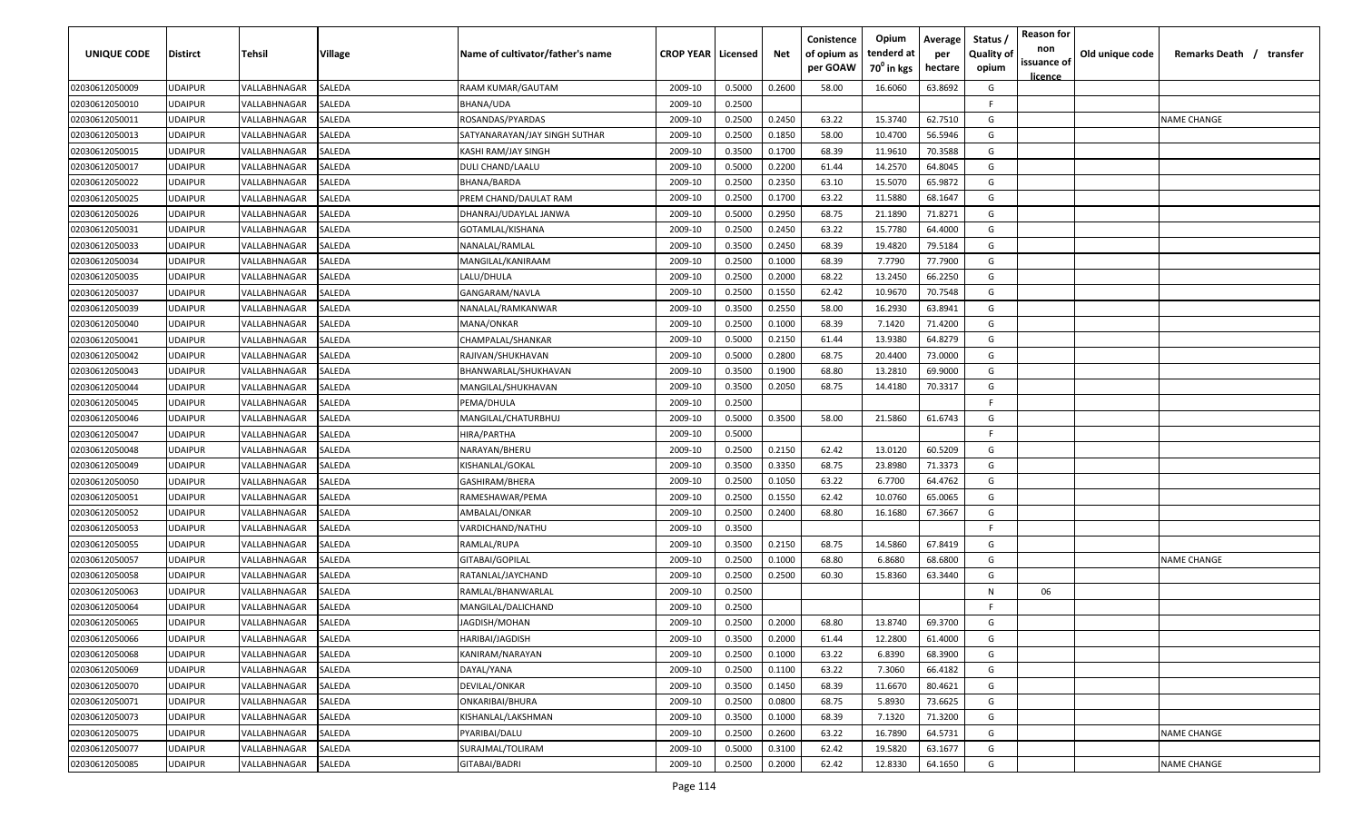| UNIQUE CODE                      | <b>Distirct</b>                  | Tehsil                                     | Village          | Name of cultivator/father's name       | <b>CROP YEAR   Licensed</b> |                  | Net    | Conistence<br>of opium as<br>per GOAW | Opium<br>tenderd at<br>70 <sup>0</sup> in kgs | Average<br>per<br>hectare | Status<br><b>Quality of</b><br>opium | <b>Reason for</b><br>non<br>issuance of | Old unique code | Remarks Death / transfer |
|----------------------------------|----------------------------------|--------------------------------------------|------------------|----------------------------------------|-----------------------------|------------------|--------|---------------------------------------|-----------------------------------------------|---------------------------|--------------------------------------|-----------------------------------------|-----------------|--------------------------|
| 02030612050009                   | JDAIPUR                          | VALLABHNAGAR                               | SALEDA           | RAAM KUMAR/GAUTAM                      | 2009-10                     | 0.5000           | 0.2600 | 58.00                                 | 16.6060                                       | 63.8692                   | G                                    | <u>licence</u>                          |                 |                          |
| 02030612050010                   | <b>JDAIPUR</b>                   | VALLABHNAGAR                               | SALEDA           | BHANA/UDA                              | 2009-10                     | 0.2500           |        |                                       |                                               |                           | F.                                   |                                         |                 |                          |
| 02030612050011                   | <b>JDAIPUR</b>                   | VALLABHNAGAR                               | SALEDA           | ROSANDAS/PYARDAS                       | 2009-10                     | 0.2500           | 0.2450 | 63.22                                 | 15.3740                                       | 62.7510                   | G                                    |                                         |                 | NAME CHANGE              |
| 02030612050013                   | <b>JDAIPUR</b>                   | VALLABHNAGAR                               | SALEDA           | SATYANARAYAN/JAY SINGH SUTHAR          | 2009-10                     | 0.2500           | 0.1850 | 58.00                                 | 10.4700                                       | 56.5946                   | G                                    |                                         |                 |                          |
| 02030612050015                   | <b>UDAIPUR</b>                   | VALLABHNAGAR                               | SALEDA           | KASHI RAM/JAY SINGH                    | 2009-10                     | 0.3500           | 0.1700 | 68.39                                 | 11.9610                                       | 70.3588                   | G                                    |                                         |                 |                          |
| 02030612050017                   | <b>JDAIPUR</b>                   | VALLABHNAGAR                               | SALEDA           | DULI CHAND/LAALU                       | 2009-10                     | 0.5000           | 0.2200 | 61.44                                 | 14.2570                                       | 64.8045                   | G                                    |                                         |                 |                          |
| 02030612050022                   | <b>JDAIPUR</b>                   | VALLABHNAGAR                               | SALEDA           | BHANA/BARDA                            | 2009-10                     | 0.2500           | 0.2350 | 63.10                                 | 15.5070                                       | 65.9872                   | G                                    |                                         |                 |                          |
| 02030612050025                   | UDAIPUR                          | VALLABHNAGAR                               | SALEDA           | PREM CHAND/DAULAT RAM                  | 2009-10                     | 0.2500           | 0.1700 | 63.22                                 | 11.5880                                       | 68.1647                   | G                                    |                                         |                 |                          |
| 02030612050026                   | JDAIPUR                          | VALLABHNAGAR                               | SALEDA           | DHANRAJ/UDAYLAL JANWA                  | 2009-10                     | 0.5000           | 0.2950 | 68.75                                 | 21.1890                                       | 71.8271                   | G                                    |                                         |                 |                          |
| 02030612050031                   | JDAIPUR                          | VALLABHNAGAR                               | SALEDA           | GOTAMLAL/KISHANA                       | 2009-10                     | 0.2500           | 0.2450 | 63.22                                 | 15.7780                                       | 64.4000                   | G                                    |                                         |                 |                          |
| 02030612050033                   | <b>JDAIPUR</b>                   | VALLABHNAGAR                               | SALEDA           | VANALAL/RAMLAL                         | 2009-10                     | 0.3500           | 0.2450 | 68.39                                 | 19.4820                                       | 79.5184                   | G                                    |                                         |                 |                          |
| 02030612050034                   | <b>JDAIPUR</b>                   | VALLABHNAGAR                               | SALEDA           | MANGILAL/KANIRAAM                      | 2009-10                     | 0.2500           | 0.1000 | 68.39                                 | 7.7790                                        | 77.7900                   | G                                    |                                         |                 |                          |
| 02030612050035                   | <b>JDAIPUR</b>                   | VALLABHNAGAR                               | SALEDA           | LALU/DHULA                             | 2009-10                     | 0.2500           | 0.2000 | 68.22                                 | 13.2450                                       | 66.2250                   | G                                    |                                         |                 |                          |
| 02030612050037                   | <b>JDAIPUR</b>                   | <b><i>VALLABHNAGAR</i></b>                 | SALEDA           | GANGARAM/NAVLA                         | 2009-10                     | 0.2500           | 0.1550 | 62.42                                 | 10.9670                                       | 70.7548                   | G                                    |                                         |                 |                          |
| 02030612050039                   | <b>JDAIPUR</b>                   | <b><i>VALLABHNAGAR</i></b>                 | SALEDA           | NANALAL/RAMKANWAR                      | 2009-10                     | 0.3500           | 0.2550 | 58.00                                 | 16.2930                                       | 63.8941                   | G                                    |                                         |                 |                          |
| 02030612050040                   | <b>JDAIPUR</b>                   | VALLABHNAGAR                               | SALEDA           | MANA/ONKAR                             | 2009-10                     | 0.2500           | 0.1000 | 68.39                                 | 7.1420                                        | 71.4200                   | G                                    |                                         |                 |                          |
| 02030612050041                   | <b>JDAIPUR</b>                   | VALLABHNAGAR                               | SALEDA           | CHAMPALAL/SHANKAR                      | 2009-10                     | 0.5000           | 0.2150 | 61.44                                 | 13.9380                                       | 64.8279                   | G                                    |                                         |                 |                          |
| 02030612050042                   | UDAIPUR                          | VALLABHNAGAR                               | SALEDA           | RAJIVAN/SHUKHAVAN                      | 2009-10                     | 0.5000           | 0.2800 | 68.75                                 | 20.4400                                       | 73.0000                   | G                                    |                                         |                 |                          |
| 02030612050043                   | <b>JDAIPUR</b>                   | VALLABHNAGAR                               | SALEDA           | BHANWARLAL/SHUKHAVAN                   | 2009-10                     | 0.3500           | 0.1900 | 68.80                                 | 13.2810                                       | 69.9000                   | G                                    |                                         |                 |                          |
| 02030612050044                   | <b>JDAIPUR</b>                   | VALLABHNAGAR                               | SALEDA           | MANGILAL/SHUKHAVAN                     | 2009-10                     | 0.3500           | 0.2050 | 68.75                                 | 14.4180                                       | 70.3317                   | G                                    |                                         |                 |                          |
| 02030612050045                   | <b>JDAIPUR</b>                   | VALLABHNAGAR                               | SALEDA           | PEMA/DHULA                             | 2009-10                     | 0.2500           |        |                                       |                                               |                           | F                                    |                                         |                 |                          |
| 02030612050046                   | <b>JDAIPUR</b>                   | VALLABHNAGAR                               | SALEDA           | MANGILAL/CHATURBHUJ                    | 2009-10                     | 0.5000           | 0.3500 | 58.00                                 | 21.5860                                       | 61.6743                   | G                                    |                                         |                 |                          |
| 02030612050047                   | JDAIPUR                          | <b><i>VALLABHNAGAR</i></b>                 | SALEDA           | HIRA/PARTHA                            | 2009-10                     | 0.5000           |        |                                       |                                               |                           | F.                                   |                                         |                 |                          |
| 02030612050048                   | <b>JDAIPUR</b>                   | <b><i>VALLABHNAGAR</i></b>                 | SALEDA           | VARAYAN/BHERU                          | 2009-10                     | 0.2500           | 0.2150 | 62.42                                 | 13.0120                                       | 60.5209                   | G                                    |                                         |                 |                          |
| 02030612050049                   | JDAIPUR                          | VALLABHNAGAR                               | SALEDA           | KISHANLAL/GOKAL                        | 2009-10                     | 0.3500           | 0.3350 | 68.75                                 | 23.8980                                       | 71.3373                   | G                                    |                                         |                 |                          |
| 02030612050050                   | JDAIPUR                          | VALLABHNAGAR                               | SALEDA           | GASHIRAM/BHERA                         | 2009-10                     | 0.2500           | 0.1050 | 63.22                                 | 6.7700                                        | 64.4762                   | G                                    |                                         |                 |                          |
| 02030612050051                   | JDAIPUR                          | VALLABHNAGAR                               | SALEDA           | RAMESHAWAR/PEMA                        | 2009-10                     | 0.2500           | 0.1550 | 62.42                                 | 10.0760                                       | 65.0065                   | G                                    |                                         |                 |                          |
| 02030612050052                   | <b>JDAIPUR</b>                   | VALLABHNAGAR                               | SALEDA           | AMBALAL/ONKAR                          | 2009-10                     | 0.2500           | 0.2400 | 68.80                                 | 16.1680                                       | 67.3667                   | G                                    |                                         |                 |                          |
| 02030612050053                   | <b>JDAIPUR</b>                   | VALLABHNAGAR                               | SALEDA           | VARDICHAND/NATHU                       | 2009-10                     | 0.3500           |        |                                       |                                               |                           | F.                                   |                                         |                 |                          |
| 02030612050055                   | <b>JDAIPUR</b>                   | VALLABHNAGAR                               | SALEDA           | RAMLAL/RUPA                            | 2009-10                     | 0.3500           | 0.2150 | 68.75                                 | 14.5860                                       | 67.8419                   | G                                    |                                         |                 |                          |
| 02030612050057                   | <b>JDAIPUR</b>                   | <b><i>VALLABHNAGAR</i></b>                 | SALEDA           | GITABAI/GOPILAL                        | 2009-10                     | 0.2500           | 0.1000 | 68.80                                 | 6.8680                                        | 68.6800                   | G                                    |                                         |                 | NAME CHANGE              |
| 02030612050058<br>02030612050063 | <b>JDAIPUR</b><br><b>JDAIPUR</b> | <b><i>VALLABHNAGAR</i></b><br>VALLABHNAGAR | SALEDA<br>SALEDA | RATANLAL/JAYCHAND<br>RAMLAL/BHANWARLAL | 2009-10<br>2009-10          | 0.2500<br>0.2500 | 0.2500 | 60.30                                 | 15.8360                                       | 63.3440                   | G<br>N                               | 06                                      |                 |                          |
| 02030612050064                   | JDAIPUR                          | VALLABHNAGAR                               | SALEDA           | MANGILAL/DALICHAND                     | 2009-10                     | 0.2500           |        |                                       |                                               |                           | F.                                   |                                         |                 |                          |
| 02030612050065                   | JDAIPUR                          | VALLABHNAGAR                               | SALEDA           | IAGDISH/MOHAN                          | 2009-10                     | 0.2500           | 0.2000 | 68.80                                 | 13.8740                                       | 69.3700                   | G                                    |                                         |                 |                          |
| 02030612050066                   | <b>UDAIPUR</b>                   | VALLABHNAGAR                               | <b>SALEDA</b>    | HARIBAI/JAGDISH                        | 2009-10                     | 0.3500           | 0.2000 | 61.44                                 | 12.2800                                       | 61.4000                   | G                                    |                                         |                 |                          |
| 02030612050068                   | <b>JDAIPUR</b>                   | VALLABHNAGAR                               | SALEDA           | KANIRAM/NARAYAN                        | 2009-10                     | 0.2500           | 0.1000 | 63.22                                 | 6.8390                                        | 68.3900                   | G                                    |                                         |                 |                          |
| 02030612050069                   | <b>JDAIPUR</b>                   | VALLABHNAGAR                               | SALEDA           | DAYAL/YANA                             | 2009-10                     | 0.2500           | 0.1100 | 63.22                                 | 7.3060                                        | 66.4182                   | G                                    |                                         |                 |                          |
| 02030612050070                   | <b>JDAIPUR</b>                   | VALLABHNAGAR                               | SALEDA           | DEVILAL/ONKAR                          | 2009-10                     | 0.3500           | 0.1450 | 68.39                                 | 11.6670                                       | 80.4621                   | G                                    |                                         |                 |                          |
| 02030612050071                   | <b>JDAIPUR</b>                   | VALLABHNAGAR                               | SALEDA           | ONKARIBAI/BHURA                        | 2009-10                     | 0.2500           | 0.0800 | 68.75                                 | 5.8930                                        | 73.6625                   | G                                    |                                         |                 |                          |
| 02030612050073                   | <b>JDAIPUR</b>                   | VALLABHNAGAR                               | SALEDA           | KISHANLAL/LAKSHMAN                     | 2009-10                     | 0.3500           | 0.1000 | 68.39                                 | 7.1320                                        | 71.3200                   | G                                    |                                         |                 |                          |
| 02030612050075                   | UDAIPUR                          | VALLABHNAGAR                               | SALEDA           | PYARIBAI/DALU                          | 2009-10                     | 0.2500           | 0.2600 | 63.22                                 | 16.7890                                       | 64.5731                   | G                                    |                                         |                 | <b>NAME CHANGE</b>       |
| 02030612050077                   | JDAIPUR                          | VALLABHNAGAR                               | SALEDA           | SURAJMAL/TOLIRAM                       | 2009-10                     | 0.5000           | 0.3100 | 62.42                                 | 19.5820                                       | 63.1677                   | G                                    |                                         |                 |                          |
| 02030612050085                   | UDAIPUR                          | VALLABHNAGAR                               | SALEDA           | GITABAI/BADRI                          | 2009-10                     | 0.2500           | 0.2000 | 62.42                                 | 12.8330                                       | 64.1650                   | G                                    |                                         |                 | <b>NAME CHANGE</b>       |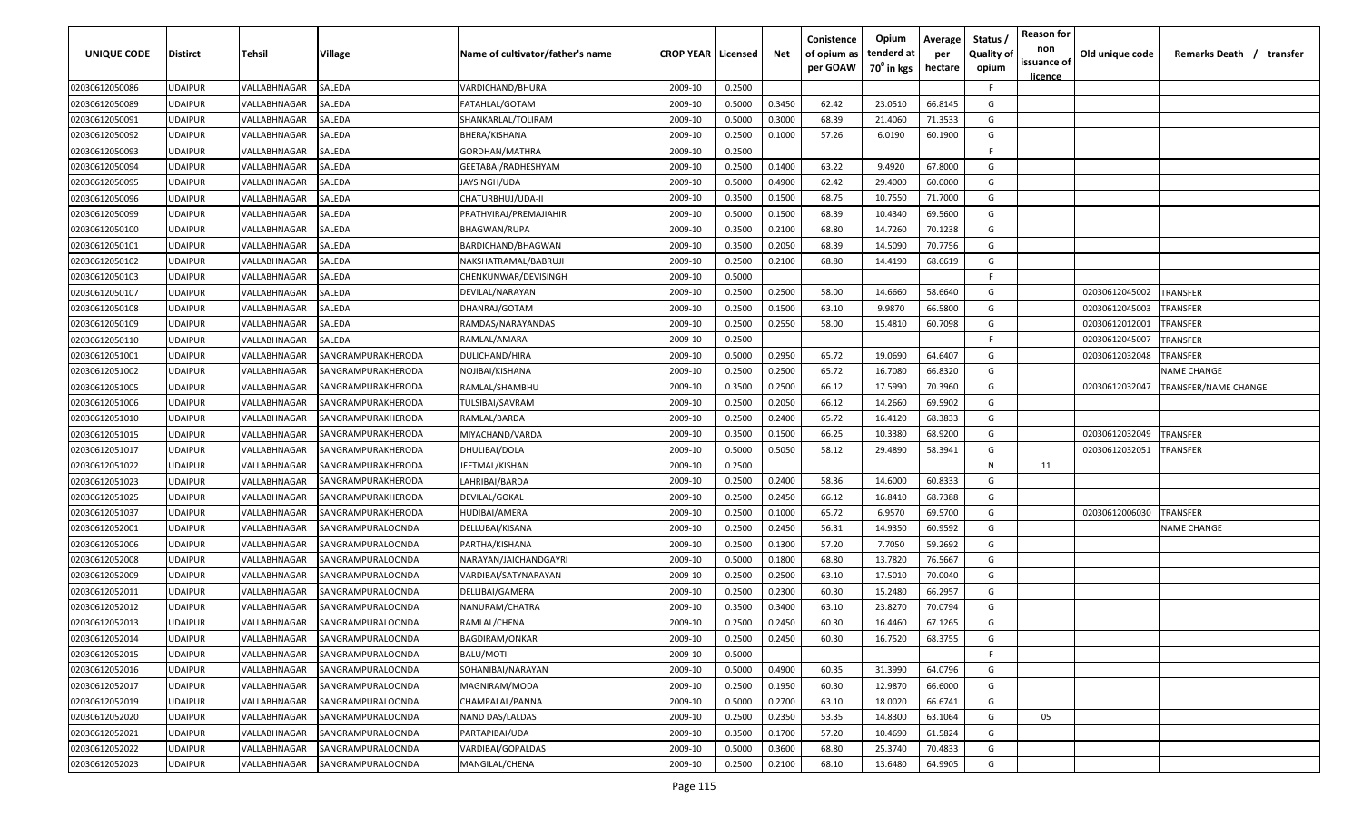| UNIQUE CODE    | <b>Distirct</b> | Tehsil       | Village            | Name of cultivator/father's name | <b>CROP YEAR   Licensed</b> |        | Net    | Conistence<br>of opium as | Opium<br>tenderd at    | Average<br>per | Status<br><b>Quality of</b> | <b>Reason for</b><br>non      | Old unique code | Remarks Death / transfer |
|----------------|-----------------|--------------|--------------------|----------------------------------|-----------------------------|--------|--------|---------------------------|------------------------|----------------|-----------------------------|-------------------------------|-----------------|--------------------------|
|                |                 |              |                    |                                  |                             |        |        | per GOAW                  | 70 <sup>°</sup> in kgs | hectare        | opium                       | issuance of<br><u>licence</u> |                 |                          |
| 02030612050086 | <b>UDAIPUR</b>  | VALLABHNAGAR | SALEDA             | VARDICHAND/BHURA                 | 2009-10                     | 0.2500 |        |                           |                        |                | F.                          |                               |                 |                          |
| 02030612050089 | <b>UDAIPUR</b>  | VALLABHNAGAR | SALEDA             | FATAHLAL/GOTAM                   | 2009-10                     | 0.5000 | 0.3450 | 62.42                     | 23.0510                | 66.8145        | G                           |                               |                 |                          |
| 02030612050091 | <b>UDAIPUR</b>  | VALLABHNAGAR | SALEDA             | SHANKARLAL/TOLIRAM               | 2009-10                     | 0.5000 | 0.3000 | 68.39                     | 21.4060                | 71.3533        | G                           |                               |                 |                          |
| 02030612050092 | <b>UDAIPUR</b>  | VALLABHNAGAR | SALEDA             | BHERA/KISHANA                    | 2009-10                     | 0.2500 | 0.1000 | 57.26                     | 6.0190                 | 60.1900        | G                           |                               |                 |                          |
| 02030612050093 | <b>UDAIPUR</b>  | VALLABHNAGAR | SALEDA             | GORDHAN/MATHRA                   | 2009-10                     | 0.2500 |        |                           |                        |                | -F.                         |                               |                 |                          |
| 02030612050094 | <b>UDAIPUR</b>  | VALLABHNAGAR | SALEDA             | GEETABAI/RADHESHYAM              | 2009-10                     | 0.2500 | 0.1400 | 63.22                     | 9.4920                 | 67.8000        | G                           |                               |                 |                          |
| 02030612050095 | <b>UDAIPUR</b>  | VALLABHNAGAR | SALEDA             | JAYSINGH/UDA                     | 2009-10                     | 0.5000 | 0.4900 | 62.42                     | 29.4000                | 60.0000        | G                           |                               |                 |                          |
| 02030612050096 | <b>UDAIPUR</b>  | VALLABHNAGAR | SALEDA             | CHATURBHUJ/UDA-II                | 2009-10                     | 0.3500 | 0.1500 | 68.75                     | 10.7550                | 71.7000        | G                           |                               |                 |                          |
| 02030612050099 | <b>UDAIPUR</b>  | VALLABHNAGAR | SALEDA             | PRATHVIRAJ/PREMAJIAHIR           | 2009-10                     | 0.5000 | 0.1500 | 68.39                     | 10.4340                | 69.5600        | G                           |                               |                 |                          |
| 02030612050100 | <b>UDAIPUR</b>  | VALLABHNAGAR | SALEDA             | <b>BHAGWAN/RUPA</b>              | 2009-10                     | 0.3500 | 0.2100 | 68.80                     | 14.7260                | 70.1238        | G                           |                               |                 |                          |
| 02030612050101 | <b>UDAIPUR</b>  | VALLABHNAGAR | SALEDA             | BARDICHAND/BHAGWAN               | 2009-10                     | 0.3500 | 0.2050 | 68.39                     | 14.5090                | 70.7756        | G                           |                               |                 |                          |
| 02030612050102 | <b>UDAIPUR</b>  | VALLABHNAGAR | SALEDA             | NAKSHATRAMAL/BABRUJI             | 2009-10                     | 0.2500 | 0.2100 | 68.80                     | 14.4190                | 68.6619        | G                           |                               |                 |                          |
| 02030612050103 | <b>UDAIPUR</b>  | VALLABHNAGAR | SALEDA             | CHENKUNWAR/DEVISINGH             | 2009-10                     | 0.5000 |        |                           |                        |                | F.                          |                               |                 |                          |
| 02030612050107 | <b>UDAIPUR</b>  | VALLABHNAGAR | SALEDA             | DEVILAL/NARAYAN                  | 2009-10                     | 0.2500 | 0.2500 | 58.00                     | 14.6660                | 58.6640        | G                           |                               | 02030612045002  | TRANSFER                 |
| 02030612050108 | <b>UDAIPUR</b>  | VALLABHNAGAR | SALEDA             | DHANRAJ/GOTAM                    | 2009-10                     | 0.2500 | 0.1500 | 63.10                     | 9.9870                 | 66.5800        | G                           |                               | 02030612045003  | <b><i>FRANSFER</i></b>   |
| 02030612050109 | <b>UDAIPUR</b>  | VALLABHNAGAR | SALEDA             | RAMDAS/NARAYANDAS                | 2009-10                     | 0.2500 | 0.2550 | 58.00                     | 15.4810                | 60.7098        | G                           |                               | 02030612012001  | <b><i>FRANSFER</i></b>   |
| 02030612050110 | <b>UDAIPUR</b>  | VALLABHNAGAR | SALEDA             | RAMLAL/AMARA                     | 2009-10                     | 0.2500 |        |                           |                        |                | F.                          |                               | 02030612045007  | <b><i>FRANSFER</i></b>   |
| 02030612051001 | <b>UDAIPUR</b>  | VALLABHNAGAR | SANGRAMPURAKHERODA | DULICHAND/HIRA                   | 2009-10                     | 0.5000 | 0.2950 | 65.72                     | 19.0690                | 64.6407        | G                           |                               | 02030612032048  | TRANSFER                 |
| 02030612051002 | <b>UDAIPUR</b>  | VALLABHNAGAR | SANGRAMPURAKHERODA | NOJIBAI/KISHANA                  | 2009-10                     | 0.2500 | 0.2500 | 65.72                     | 16.7080                | 66.8320        | G                           |                               |                 | <b>NAME CHANGE</b>       |
| 02030612051005 | <b>UDAIPUR</b>  | VALLABHNAGAR | SANGRAMPURAKHERODA | RAMLAL/SHAMBHU                   | 2009-10                     | 0.3500 | 0.2500 | 66.12                     | 17.5990                | 70.3960        | G                           |                               | 02030612032047  | TRANSFER/NAME CHANGE     |
| 02030612051006 | <b>UDAIPUR</b>  | VALLABHNAGAR | SANGRAMPURAKHERODA | TULSIBAI/SAVRAM                  | 2009-10                     | 0.2500 | 0.2050 | 66.12                     | 14.2660                | 69.5902        | G                           |                               |                 |                          |
| 02030612051010 | <b>UDAIPUR</b>  | VALLABHNAGAR | SANGRAMPURAKHERODA | RAMLAL/BARDA                     | 2009-10                     | 0.2500 | 0.2400 | 65.72                     | 16.4120                | 68.3833        | G                           |                               |                 |                          |
| 02030612051015 | <b>UDAIPUR</b>  | VALLABHNAGAR | SANGRAMPURAKHERODA | MIYACHAND/VARDA                  | 2009-10                     | 0.3500 | 0.1500 | 66.25                     | 10.3380                | 68.9200        | G                           |                               | 02030612032049  | <b>RANSFER</b>           |
| 02030612051017 | <b>UDAIPUR</b>  | VALLABHNAGAR | SANGRAMPURAKHERODA | DHULIBAI/DOLA                    | 2009-10                     | 0.5000 | 0.5050 | 58.12                     | 29.4890                | 58.3941        | G                           |                               | 02030612032051  | <b>RANSFER</b>           |
| 02030612051022 | <b>UDAIPUR</b>  | VALLABHNAGAR | SANGRAMPURAKHERODA | JEETMAL/KISHAN                   | 2009-10                     | 0.2500 |        |                           |                        |                | N                           | 11                            |                 |                          |
| 02030612051023 | <b>UDAIPUR</b>  | VALLABHNAGAR | SANGRAMPURAKHERODA | LAHRIBAI/BARDA                   | 2009-10                     | 0.2500 | 0.2400 | 58.36                     | 14.6000                | 60.8333        | G                           |                               |                 |                          |
| 02030612051025 | <b>UDAIPUR</b>  | VALLABHNAGAR | SANGRAMPURAKHERODA | DEVILAL/GOKAL                    | 2009-10                     | 0.2500 | 0.2450 | 66.12                     | 16.8410                | 68.7388        | G                           |                               |                 |                          |
| 02030612051037 | <b>UDAIPUR</b>  | VALLABHNAGAR | SANGRAMPURAKHERODA | HUDIBAI/AMERA                    | 2009-10                     | 0.2500 | 0.1000 | 65.72                     | 6.9570                 | 69.5700        | G                           |                               | 02030612006030  | TRANSFER                 |
| 02030612052001 | <b>UDAIPUR</b>  | VALLABHNAGAR | SANGRAMPURALOONDA  | DELLUBAI/KISANA                  | 2009-10                     | 0.2500 | 0.2450 | 56.31                     | 14.9350                | 60.9592        | G                           |                               |                 | <b>NAME CHANGE</b>       |
| 02030612052006 | <b>UDAIPUR</b>  | VALLABHNAGAR | SANGRAMPURALOONDA  | PARTHA/KISHANA                   | 2009-10                     | 0.2500 | 0.1300 | 57.20                     | 7.7050                 | 59.2692        | G                           |                               |                 |                          |
| 02030612052008 | <b>UDAIPUR</b>  | VALLABHNAGAR | SANGRAMPURALOONDA  | NARAYAN/JAICHANDGAYRI            | 2009-10                     | 0.5000 | 0.1800 | 68.80                     | 13.7820                | 76.5667        | G                           |                               |                 |                          |
| 02030612052009 | <b>UDAIPUR</b>  | VALLABHNAGAR | SANGRAMPURALOONDA  | VARDIBAI/SATYNARAYAN             | 2009-10                     | 0.2500 | 0.2500 | 63.10                     | 17.5010                | 70.0040        | G                           |                               |                 |                          |
| 02030612052011 | <b>UDAIPUR</b>  | VALLABHNAGAR | SANGRAMPURALOONDA  | <b>DELLIBAI/GAMERA</b>           | 2009-10                     | 0.2500 | 0.2300 | 60.30                     | 15.2480                | 66.2957        | G                           |                               |                 |                          |
| 02030612052012 | <b>UDAIPUR</b>  | VALLABHNAGAR | SANGRAMPURALOONDA  | NANURAM/CHATRA                   | 2009-10                     | 0.3500 | 0.3400 | 63.10                     | 23.8270                | 70.0794        | G                           |                               |                 |                          |
| 02030612052013 | <b>UDAIPUR</b>  | VALLABHNAGAR | SANGRAMPURALOONDA  | RAMLAL/CHENA                     | 2009-10                     | 0.2500 | 0.2450 | 60.30                     | 16.4460                | 67.1265        | G                           |                               |                 |                          |
| 02030612052014 | <b>UDAIPUR</b>  | VALLABHNAGAR | SANGRAMPURALOONDA  | <b>BAGDIRAM/ONKAR</b>            | 2009-10                     | 0.2500 | 0.2450 | 60.30                     | 16.7520                | 68.3755        | G                           |                               |                 |                          |
| 02030612052015 | <b>UDAIPUR</b>  | VALLABHNAGAR | SANGRAMPURALOONDA  | BALU/MOTI                        | 2009-10                     | 0.5000 |        |                           |                        |                | F.                          |                               |                 |                          |
| 02030612052016 | <b>UDAIPUR</b>  | VALLABHNAGAR | SANGRAMPURALOONDA  | SOHANIBAI/NARAYAN                | 2009-10                     | 0.5000 | 0.4900 | 60.35                     | 31.3990                | 64.0796        | G                           |                               |                 |                          |
| 02030612052017 | <b>UDAIPUR</b>  | VALLABHNAGAR | SANGRAMPURALOONDA  | MAGNIRAM/MODA                    | 2009-10                     | 0.2500 | 0.1950 | 60.30                     | 12.9870                | 66.6000        | G                           |                               |                 |                          |
| 02030612052019 | <b>UDAIPUR</b>  | VALLABHNAGAR | SANGRAMPURALOONDA  | CHAMPALAL/PANNA                  | 2009-10                     | 0.5000 | 0.2700 | 63.10                     | 18.0020                | 66.6741        | G                           |                               |                 |                          |
| 02030612052020 | <b>UDAIPUR</b>  | VALLABHNAGAR | SANGRAMPURALOONDA  | NAND DAS/LALDAS                  | 2009-10                     | 0.2500 | 0.2350 | 53.35                     | 14.8300                | 63.1064        | G                           | 05                            |                 |                          |
| 02030612052021 | <b>UDAIPUR</b>  | VALLABHNAGAR | SANGRAMPURALOONDA  | PARTAPIBAI/UDA                   | 2009-10                     | 0.3500 | 0.1700 | 57.20                     | 10.4690                | 61.5824        | G                           |                               |                 |                          |
| 02030612052022 | <b>UDAIPUR</b>  | VALLABHNAGAR | SANGRAMPURALOONDA  | VARDIBAI/GOPALDAS                | 2009-10                     | 0.5000 | 0.3600 | 68.80                     | 25.3740                | 70.4833        | G                           |                               |                 |                          |
| 02030612052023 | <b>UDAIPUR</b>  | VALLABHNAGAR | SANGRAMPURALOONDA  | MANGILAL/CHENA                   | 2009-10                     | 0.2500 | 0.2100 | 68.10                     | 13.6480                | 64.9905        | G                           |                               |                 |                          |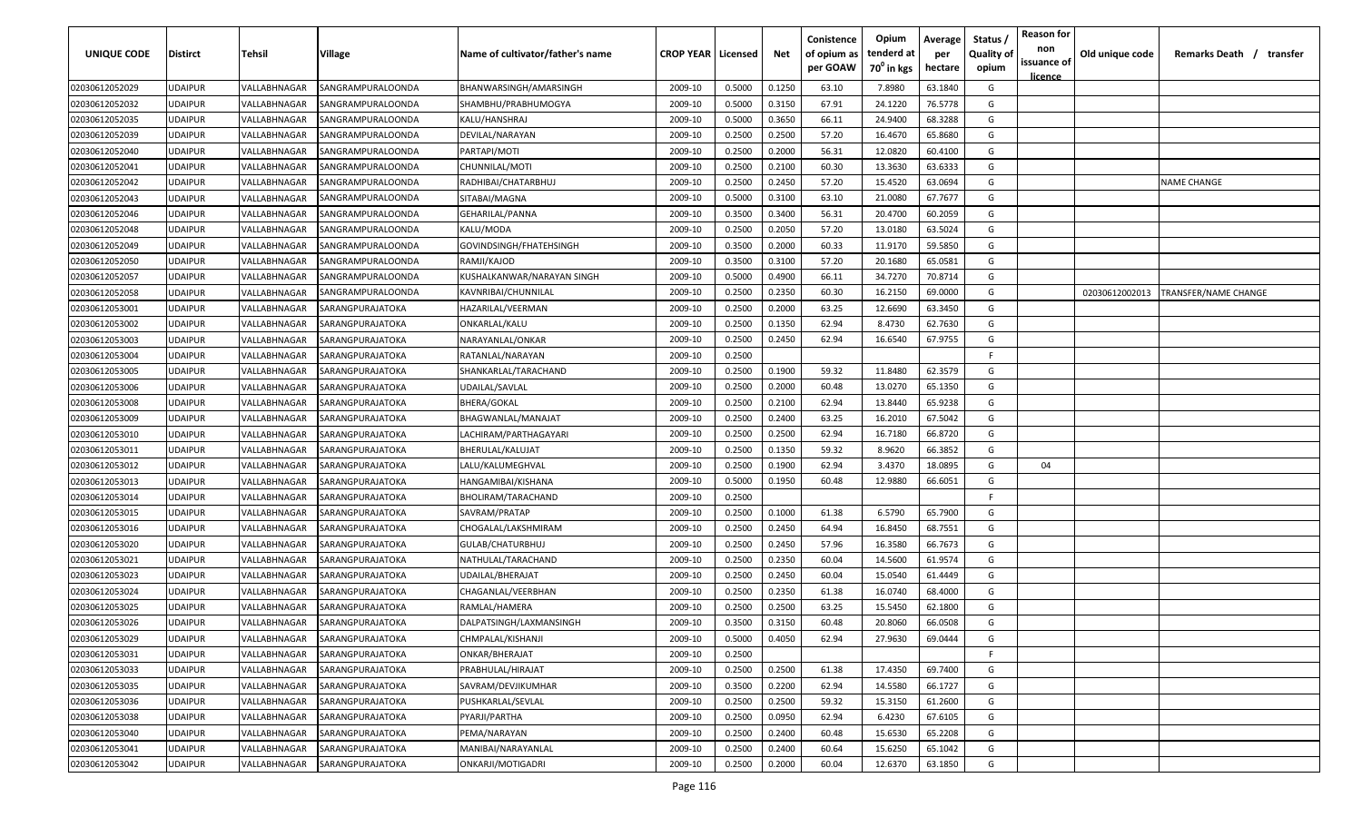| UNIQUE CODE    | <b>Distirct</b> | <b>Tehsil</b> | Village           | Name of cultivator/father's name | <b>CROP YEAR   Licensed</b> |        | Net    | Conistence<br>of opium as<br>per GOAW | Opium<br>tenderd at<br>70 <sup>0</sup> in kgs | Average<br>per<br>hectare | Status /<br><b>Quality of</b><br>opium | <b>Reason for</b><br>non<br>issuance of<br><u>licence</u> | Old unique code | Remarks Death / transfer |
|----------------|-----------------|---------------|-------------------|----------------------------------|-----------------------------|--------|--------|---------------------------------------|-----------------------------------------------|---------------------------|----------------------------------------|-----------------------------------------------------------|-----------------|--------------------------|
| 02030612052029 | <b>UDAIPUR</b>  | VALLABHNAGAR  | SANGRAMPURALOONDA | BHANWARSINGH/AMARSINGH           | 2009-10                     | 0.5000 | 0.1250 | 63.10                                 | 7.8980                                        | 63.1840                   | G                                      |                                                           |                 |                          |
| 02030612052032 | <b>UDAIPUR</b>  | VALLABHNAGAR  | SANGRAMPURALOONDA | SHAMBHU/PRABHUMOGYA              | 2009-10                     | 0.5000 | 0.3150 | 67.91                                 | 24.1220                                       | 76.5778                   | G                                      |                                                           |                 |                          |
| 02030612052035 | <b>UDAIPUR</b>  | VALLABHNAGAR  | SANGRAMPURALOONDA | KALU/HANSHRAJ                    | 2009-10                     | 0.5000 | 0.3650 | 66.11                                 | 24.9400                                       | 68.3288                   | G                                      |                                                           |                 |                          |
| 02030612052039 | <b>UDAIPUR</b>  | VALLABHNAGAR  | SANGRAMPURALOONDA | DEVILAL/NARAYAN                  | 2009-10                     | 0.2500 | 0.2500 | 57.20                                 | 16.4670                                       | 65.8680                   | G                                      |                                                           |                 |                          |
| 02030612052040 | <b>UDAIPUR</b>  | VALLABHNAGAR  | SANGRAMPURALOONDA | PARTAPI/MOTI                     | 2009-10                     | 0.2500 | 0.2000 | 56.31                                 | 12.0820                                       | 60.4100                   | G                                      |                                                           |                 |                          |
| 02030612052041 | <b>UDAIPUR</b>  | VALLABHNAGAR  | SANGRAMPURALOONDA | CHUNNILAL/MOTI                   | 2009-10                     | 0.2500 | 0.2100 | 60.30                                 | 13.3630                                       | 63.6333                   | G                                      |                                                           |                 |                          |
| 02030612052042 | <b>UDAIPUR</b>  | VALLABHNAGAR  | SANGRAMPURALOONDA | RADHIBAI/CHATARBHUJ              | 2009-10                     | 0.2500 | 0.2450 | 57.20                                 | 15.4520                                       | 63.0694                   | G                                      |                                                           |                 | <b>NAME CHANGE</b>       |
| 02030612052043 | <b>UDAIPUR</b>  | VALLABHNAGAR  | SANGRAMPURALOONDA | SITABAI/MAGNA                    | 2009-10                     | 0.5000 | 0.3100 | 63.10                                 | 21.0080                                       | 67.7677                   | G                                      |                                                           |                 |                          |
| 02030612052046 | <b>UDAIPUR</b>  | VALLABHNAGAR  | SANGRAMPURALOONDA | GEHARILAL/PANNA                  | 2009-10                     | 0.3500 | 0.3400 | 56.31                                 | 20.4700                                       | 60.2059                   | G                                      |                                                           |                 |                          |
| 02030612052048 | <b>UDAIPUR</b>  | VALLABHNAGAR  | SANGRAMPURALOONDA | KALU/MODA                        | 2009-10                     | 0.2500 | 0.2050 | 57.20                                 | 13.0180                                       | 63.5024                   | G                                      |                                                           |                 |                          |
| 02030612052049 | <b>UDAIPUR</b>  | VALLABHNAGAR  | SANGRAMPURALOONDA | GOVINDSINGH/FHATEHSINGH          | 2009-10                     | 0.3500 | 0.2000 | 60.33                                 | 11.9170                                       | 59.5850                   | G                                      |                                                           |                 |                          |
| 02030612052050 | <b>UDAIPUR</b>  | VALLABHNAGAR  | SANGRAMPURALOONDA | RAMJI/KAJOD                      | 2009-10                     | 0.3500 | 0.3100 | 57.20                                 | 20.1680                                       | 65.0581                   | G                                      |                                                           |                 |                          |
| 02030612052057 | <b>UDAIPUR</b>  | VALLABHNAGAR  | SANGRAMPURALOONDA | KUSHALKANWAR/NARAYAN SINGH       | 2009-10                     | 0.5000 | 0.4900 | 66.11                                 | 34.7270                                       | 70.8714                   | G                                      |                                                           |                 |                          |
| 02030612052058 | UDAIPUR         | VALLABHNAGAR  | SANGRAMPURALOONDA | KAVNRIBAI/CHUNNILAL              | 2009-10                     | 0.2500 | 0.2350 | 60.30                                 | 16.2150                                       | 69.0000                   | G                                      |                                                           | 02030612002013  | TRANSFER/NAME CHANGE     |
| 02030612053001 | UDAIPUR         | VALLABHNAGAR  | SARANGPURAJATOKA  | HAZARILAL/VEERMAN                | 2009-10                     | 0.2500 | 0.2000 | 63.25                                 | 12.6690                                       | 63.3450                   | G                                      |                                                           |                 |                          |
| 02030612053002 | UDAIPUR         | VALLABHNAGAR  | SARANGPURAJATOKA  | ONKARLAL/KALU                    | 2009-10                     | 0.2500 | 0.1350 | 62.94                                 | 8.4730                                        | 62.7630                   | G                                      |                                                           |                 |                          |
| 02030612053003 | <b>UDAIPUR</b>  | VALLABHNAGAR  | SARANGPURAJATOKA  | NARAYANLAL/ONKAR                 | 2009-10                     | 0.2500 | 0.2450 | 62.94                                 | 16.6540                                       | 67.9755                   | G                                      |                                                           |                 |                          |
| 02030612053004 | <b>UDAIPUR</b>  | VALLABHNAGAR  | SARANGPURAJATOKA  | RATANLAL/NARAYAN                 | 2009-10                     | 0.2500 |        |                                       |                                               |                           | F.                                     |                                                           |                 |                          |
| 02030612053005 | <b>UDAIPUR</b>  | VALLABHNAGAR  | SARANGPURAJATOKA  | SHANKARLAL/TARACHAND             | 2009-10                     | 0.2500 | 0.1900 | 59.32                                 | 11.8480                                       | 62.3579                   | G                                      |                                                           |                 |                          |
| 02030612053006 | <b>UDAIPUR</b>  | VALLABHNAGAR  | SARANGPURAJATOKA  | UDAILAL/SAVLAL                   | 2009-10                     | 0.2500 | 0.2000 | 60.48                                 | 13.0270                                       | 65.1350                   | G                                      |                                                           |                 |                          |
| 02030612053008 | <b>UDAIPUR</b>  | VALLABHNAGAR  | SARANGPURAJATOKA  | <b>BHERA/GOKAL</b>               | 2009-10                     | 0.2500 | 0.2100 | 62.94                                 | 13.8440                                       | 65.9238                   | G                                      |                                                           |                 |                          |
| 02030612053009 | <b>UDAIPUR</b>  | VALLABHNAGAR  | SARANGPURAJATOKA  | BHAGWANLAL/MANAJAT               | 2009-10                     | 0.2500 | 0.2400 | 63.25                                 | 16.2010                                       | 67.5042                   | G                                      |                                                           |                 |                          |
| 02030612053010 | <b>UDAIPUR</b>  | VALLABHNAGAR  | SARANGPURAJATOKA  | LACHIRAM/PARTHAGAYARI            | 2009-10                     | 0.2500 | 0.2500 | 62.94                                 | 16.7180                                       | 66.8720                   | G                                      |                                                           |                 |                          |
| 02030612053011 | <b>UDAIPUR</b>  | VALLABHNAGAR  | SARANGPURAJATOKA  | BHERULAL/KALUJAT                 | 2009-10                     | 0.2500 | 0.1350 | 59.32                                 | 8.9620                                        | 66.3852                   | G                                      |                                                           |                 |                          |
| 02030612053012 | <b>UDAIPUR</b>  | VALLABHNAGAR  | SARANGPURAJATOKA  | LALU/KALUMEGHVAL                 | 2009-10                     | 0.2500 | 0.1900 | 62.94                                 | 3.4370                                        | 18.0895                   | G                                      | 04                                                        |                 |                          |
| 02030612053013 | <b>UDAIPUR</b>  | VALLABHNAGAR  | SARANGPURAJATOKA  | HANGAMIBAI/KISHANA               | 2009-10                     | 0.5000 | 0.1950 | 60.48                                 | 12.9880                                       | 66.6051                   | G                                      |                                                           |                 |                          |
| 02030612053014 | <b>UDAIPUR</b>  | VALLABHNAGAR  | SARANGPURAJATOKA  | BHOLIRAM/TARACHAND               | 2009-10                     | 0.2500 |        |                                       |                                               |                           | F.                                     |                                                           |                 |                          |
| 02030612053015 | <b>UDAIPUR</b>  | VALLABHNAGAR  | SARANGPURAJATOKA  | SAVRAM/PRATAP                    | 2009-10                     | 0.2500 | 0.1000 | 61.38                                 | 6.5790                                        | 65.7900                   | G                                      |                                                           |                 |                          |
| 02030612053016 | UDAIPUR         | VALLABHNAGAR  | SARANGPURAJATOKA  | CHOGALAL/LAKSHMIRAM              | 2009-10                     | 0.2500 | 0.2450 | 64.94                                 | 16.8450                                       | 68.7551                   | G                                      |                                                           |                 |                          |
| 02030612053020 | <b>UDAIPUR</b>  | VALLABHNAGAR  | SARANGPURAJATOKA  | GULAB/CHATURBHUJ                 | 2009-10                     | 0.2500 | 0.2450 | 57.96                                 | 16.3580                                       | 66.7673                   | G                                      |                                                           |                 |                          |
| 02030612053021 | <b>UDAIPUR</b>  | VALLABHNAGAR  | SARANGPURAJATOKA  | NATHULAL/TARACHAND               | 2009-10                     | 0.2500 | 0.2350 | 60.04                                 | 14.5600                                       | 61.9574                   | G                                      |                                                           |                 |                          |
| 02030612053023 | <b>UDAIPUR</b>  | VALLABHNAGAR  | SARANGPURAJATOKA  | UDAILAL/BHERAJAT                 | 2009-10                     | 0.2500 | 0.2450 | 60.04                                 | 15.0540                                       | 61.4449                   | G                                      |                                                           |                 |                          |
| 02030612053024 | <b>UDAIPUR</b>  | VALLABHNAGAR  | SARANGPURAJATOKA  | CHAGANLAL/VEERBHAN               | 2009-10                     | 0.2500 | 0.2350 | 61.38                                 | 16.0740                                       | 68.4000                   | G                                      |                                                           |                 |                          |
| 02030612053025 | <b>UDAIPUR</b>  | VALLABHNAGAR  | SARANGPURAJATOKA  | RAMLAL/HAMERA                    | 2009-10                     | 0.2500 | 0.2500 | 63.25                                 | 15.5450                                       | 62.1800                   | G                                      |                                                           |                 |                          |
| 02030612053026 | <b>UDAIPUR</b>  | VALLABHNAGAR  | SARANGPURAJATOKA  | DALPATSINGH/LAXMANSINGH          | 2009-10                     | 0.3500 | 0.3150 | 60.48                                 | 20.8060                                       | 66.0508                   | G                                      |                                                           |                 |                          |
| 02030612053029 | <b>UDAIPUR</b>  | VALLABHNAGAR  | SARANGPURAJATOKA  | CHMPALAL/KISHANJI                | 2009-10                     | 0.5000 | 0.4050 | 62.94                                 | 27.9630                                       | 69.0444                   | G                                      |                                                           |                 |                          |
| 02030612053031 | <b>UDAIPUR</b>  | VALLABHNAGAR  | SARANGPURAJATOKA  | ONKAR/BHERAJAT                   | 2009-10                     | 0.2500 |        |                                       |                                               |                           | F.                                     |                                                           |                 |                          |
| 02030612053033 | <b>UDAIPUR</b>  | VALLABHNAGAR  | SARANGPURAJATOKA  | PRABHULAL/HIRAJAT                | 2009-10                     | 0.2500 | 0.2500 | 61.38                                 | 17.4350                                       | 69.7400                   | G                                      |                                                           |                 |                          |
| 02030612053035 | <b>UDAIPUR</b>  | VALLABHNAGAR  | SARANGPURAJATOKA  | SAVRAM/DEVJIKUMHAR               | 2009-10                     | 0.3500 | 0.2200 | 62.94                                 | 14.5580                                       | 66.1727                   | G                                      |                                                           |                 |                          |
| 02030612053036 | <b>UDAIPUR</b>  | VALLABHNAGAR  | SARANGPURAJATOKA  | PUSHKARLAL/SEVLAL                | 2009-10                     | 0.2500 | 0.2500 | 59.32                                 | 15.3150                                       | 61.2600                   | G                                      |                                                           |                 |                          |
| 02030612053038 | <b>UDAIPUR</b>  | VALLABHNAGAR  | SARANGPURAJATOKA  | PYARJI/PARTHA                    | 2009-10                     | 0.2500 | 0.0950 | 62.94                                 | 6.4230                                        | 67.6105                   | G                                      |                                                           |                 |                          |
| 02030612053040 | <b>UDAIPUR</b>  | VALLABHNAGAR  | SARANGPURAJATOKA  | PEMA/NARAYAN                     | 2009-10                     | 0.2500 | 0.2400 | 60.48                                 | 15.6530                                       | 65.2208                   | G                                      |                                                           |                 |                          |
| 02030612053041 | <b>UDAIPUR</b>  | VALLABHNAGAR  | SARANGPURAJATOKA  | MANIBAI/NARAYANLAL               | 2009-10                     | 0.2500 | 0.2400 | 60.64                                 | 15.6250                                       | 65.1042                   | G                                      |                                                           |                 |                          |
| 02030612053042 | <b>UDAIPUR</b>  | VALLABHNAGAR  | SARANGPURAJATOKA  | ONKARJI/MOTIGADRI                | 2009-10                     | 0.2500 | 0.2000 | 60.04                                 | 12.6370                                       | 63.1850                   | G                                      |                                                           |                 |                          |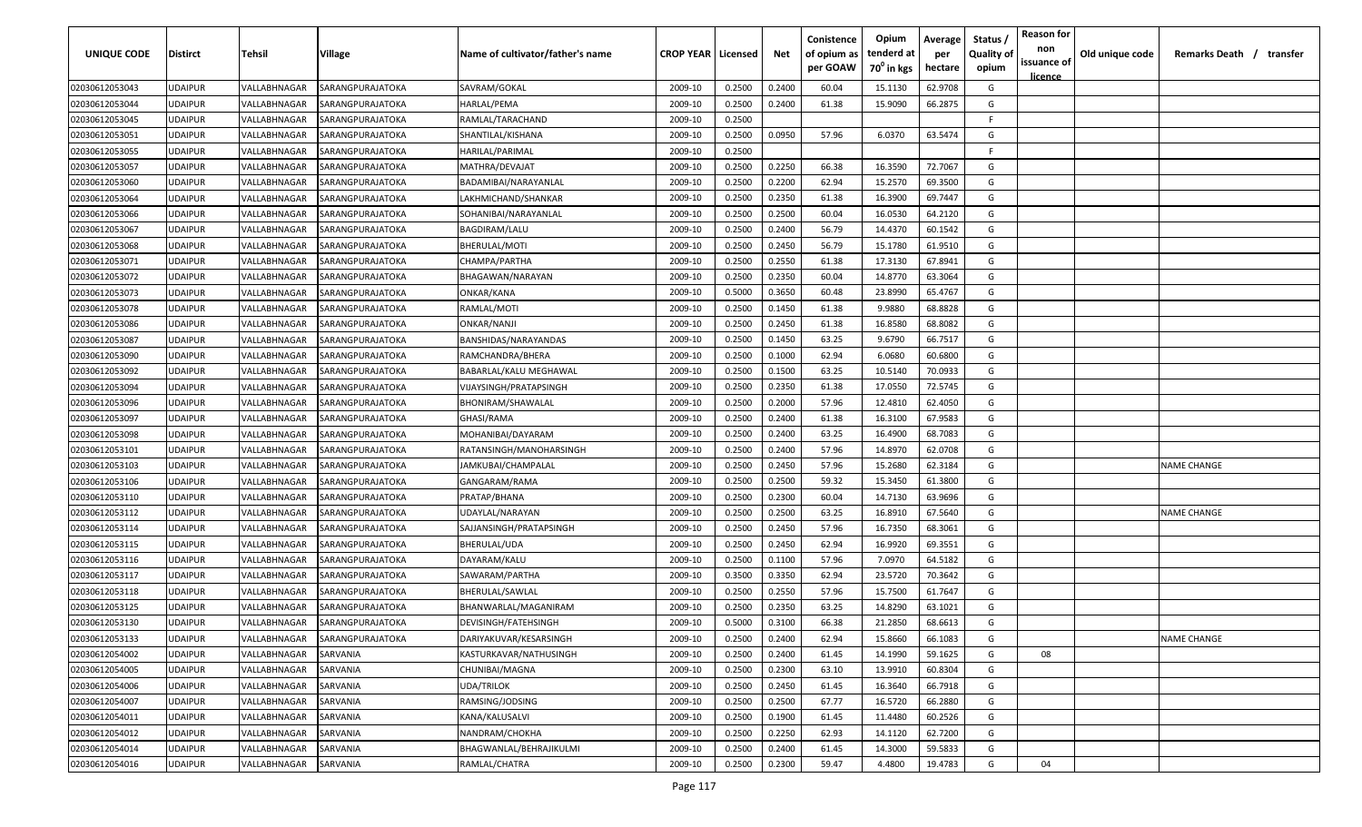| UNIQUE CODE    | <b>Distirct</b> | <b>Tehsil</b> | Village          | Name of cultivator/father's name | <b>CROP YEAR   Licensed</b> |        | Net    | Conistence<br>of opium as<br>per GOAW | Opium<br>tenderd at<br>70 <sup>0</sup> in kgs | Average<br>per<br>hectare | Status /<br><b>Quality of</b><br>opium | <b>Reason for</b><br>non<br>issuance of<br>licence | Old unique code | Remarks Death /    | transfer |
|----------------|-----------------|---------------|------------------|----------------------------------|-----------------------------|--------|--------|---------------------------------------|-----------------------------------------------|---------------------------|----------------------------------------|----------------------------------------------------|-----------------|--------------------|----------|
| 02030612053043 | <b>UDAIPUR</b>  | VALLABHNAGAR  | SARANGPURAJATOKA | SAVRAM/GOKAL                     | 2009-10                     | 0.2500 | 0.2400 | 60.04                                 | 15.1130                                       | 62.9708                   | G                                      |                                                    |                 |                    |          |
| 02030612053044 | <b>UDAIPUR</b>  | VALLABHNAGAR  | SARANGPURAJATOKA | HARLAL/PEMA                      | 2009-10                     | 0.2500 | 0.2400 | 61.38                                 | 15.9090                                       | 66.2875                   | G                                      |                                                    |                 |                    |          |
| 02030612053045 | <b>UDAIPUR</b>  | VALLABHNAGAR  | SARANGPURAJATOKA | RAMLAL/TARACHAND                 | 2009-10                     | 0.2500 |        |                                       |                                               |                           | -F.                                    |                                                    |                 |                    |          |
| 02030612053051 | <b>UDAIPUR</b>  | VALLABHNAGAR  | SARANGPURAJATOKA | SHANTILAL/KISHANA                | 2009-10                     | 0.2500 | 0.0950 | 57.96                                 | 6.0370                                        | 63.5474                   | G                                      |                                                    |                 |                    |          |
| 02030612053055 | <b>UDAIPUR</b>  | VALLABHNAGAR  | SARANGPURAJATOKA | HARILAL/PARIMAL                  | 2009-10                     | 0.2500 |        |                                       |                                               |                           | -F                                     |                                                    |                 |                    |          |
| 02030612053057 | <b>UDAIPUR</b>  | VALLABHNAGAR  | SARANGPURAJATOKA | MATHRA/DEVAJAT                   | 2009-10                     | 0.2500 | 0.2250 | 66.38                                 | 16.3590                                       | 72.7067                   | G                                      |                                                    |                 |                    |          |
| 02030612053060 | <b>UDAIPUR</b>  | VALLABHNAGAR  | SARANGPURAJATOKA | BADAMIBAI/NARAYANLAL             | 2009-10                     | 0.2500 | 0.2200 | 62.94                                 | 15.2570                                       | 69.3500                   | G                                      |                                                    |                 |                    |          |
| 02030612053064 | <b>UDAIPUR</b>  | VALLABHNAGAR  | SARANGPURAJATOKA | LAKHMICHAND/SHANKAR              | 2009-10                     | 0.2500 | 0.2350 | 61.38                                 | 16.3900                                       | 69.7447                   | G                                      |                                                    |                 |                    |          |
| 02030612053066 | <b>UDAIPUR</b>  | VALLABHNAGAR  | SARANGPURAJATOKA | SOHANIBAI/NARAYANLAL             | 2009-10                     | 0.2500 | 0.2500 | 60.04                                 | 16.0530                                       | 64.2120                   | G                                      |                                                    |                 |                    |          |
| 02030612053067 | <b>UDAIPUR</b>  | VALLABHNAGAR  | SARANGPURAJATOKA | BAGDIRAM/LALU                    | 2009-10                     | 0.2500 | 0.2400 | 56.79                                 | 14.4370                                       | 60.1542                   | G                                      |                                                    |                 |                    |          |
| 02030612053068 | <b>UDAIPUR</b>  | VALLABHNAGAR  | SARANGPURAJATOKA | BHERULAL/MOTI                    | 2009-10                     | 0.2500 | 0.2450 | 56.79                                 | 15.1780                                       | 61.9510                   | G                                      |                                                    |                 |                    |          |
| 02030612053071 | <b>UDAIPUR</b>  | VALLABHNAGAR  | SARANGPURAJATOKA | CHAMPA/PARTHA                    | 2009-10                     | 0.2500 | 0.2550 | 61.38                                 | 17.3130                                       | 67.8941                   | G                                      |                                                    |                 |                    |          |
| 02030612053072 | <b>UDAIPUR</b>  | VALLABHNAGAR  | SARANGPURAJATOKA | BHAGAWAN/NARAYAN                 | 2009-10                     | 0.2500 | 0.2350 | 60.04                                 | 14.8770                                       | 63.3064                   | G                                      |                                                    |                 |                    |          |
| 02030612053073 | UDAIPUR         | VALLABHNAGAR  | SARANGPURAJATOKA | ONKAR/KANA                       | 2009-10                     | 0.5000 | 0.3650 | 60.48                                 | 23.8990                                       | 65.4767                   | G                                      |                                                    |                 |                    |          |
| 02030612053078 | UDAIPUR         | VALLABHNAGAR  | SARANGPURAJATOKA | RAMLAL/MOTI                      | 2009-10                     | 0.2500 | 0.1450 | 61.38                                 | 9.9880                                        | 68.8828                   | G                                      |                                                    |                 |                    |          |
| 02030612053086 | UDAIPUR         | VALLABHNAGAR  | SARANGPURAJATOKA | ONKAR/NANJI                      | 2009-10                     | 0.2500 | 0.2450 | 61.38                                 | 16.8580                                       | 68.8082                   | G                                      |                                                    |                 |                    |          |
| 02030612053087 | <b>UDAIPUR</b>  | VALLABHNAGAR  | SARANGPURAJATOKA | BANSHIDAS/NARAYANDAS             | 2009-10                     | 0.2500 | 0.1450 | 63.25                                 | 9.6790                                        | 66.7517                   | G                                      |                                                    |                 |                    |          |
| 02030612053090 | <b>UDAIPUR</b>  | VALLABHNAGAR  | SARANGPURAJATOKA | RAMCHANDRA/BHERA                 | 2009-10                     | 0.2500 | 0.1000 | 62.94                                 | 6.0680                                        | 60.6800                   | G                                      |                                                    |                 |                    |          |
| 02030612053092 | <b>UDAIPUR</b>  | VALLABHNAGAR  | SARANGPURAJATOKA | BABARLAL/KALU MEGHAWAL           | 2009-10                     | 0.2500 | 0.1500 | 63.25                                 | 10.5140                                       | 70.0933                   | G                                      |                                                    |                 |                    |          |
| 02030612053094 | <b>UDAIPUR</b>  | VALLABHNAGAR  | SARANGPURAJATOKA | VIJAYSINGH/PRATAPSINGH           | 2009-10                     | 0.2500 | 0.2350 | 61.38                                 | 17.0550                                       | 72.5745                   | G                                      |                                                    |                 |                    |          |
| 02030612053096 | <b>UDAIPUR</b>  | VALLABHNAGAR  | SARANGPURAJATOKA | BHONIRAM/SHAWALAL                | 2009-10                     | 0.2500 | 0.2000 | 57.96                                 | 12.4810                                       | 62.4050                   | G                                      |                                                    |                 |                    |          |
| 02030612053097 | <b>UDAIPUR</b>  | VALLABHNAGAR  | SARANGPURAJATOKA | GHASI/RAMA                       | 2009-10                     | 0.2500 | 0.2400 | 61.38                                 | 16.3100                                       | 67.9583                   | G                                      |                                                    |                 |                    |          |
| 02030612053098 | <b>UDAIPUR</b>  | VALLABHNAGAR  | SARANGPURAJATOKA | MOHANIBAI/DAYARAM                | 2009-10                     | 0.2500 | 0.2400 | 63.25                                 | 16.4900                                       | 68.7083                   | G                                      |                                                    |                 |                    |          |
| 02030612053101 | <b>UDAIPUR</b>  | VALLABHNAGAR  | SARANGPURAJATOKA | RATANSINGH/MANOHARSINGH          | 2009-10                     | 0.2500 | 0.2400 | 57.96                                 | 14.8970                                       | 62.0708                   | G                                      |                                                    |                 |                    |          |
| 02030612053103 | <b>UDAIPUR</b>  | VALLABHNAGAR  | SARANGPURAJATOKA | IAMKUBAI/CHAMPALAL               | 2009-10                     | 0.2500 | 0.2450 | 57.96                                 | 15.2680                                       | 62.3184                   | G                                      |                                                    |                 | <b>NAME CHANGE</b> |          |
| 02030612053106 | <b>UDAIPUR</b>  | VALLABHNAGAR  | SARANGPURAJATOKA | GANGARAM/RAMA                    | 2009-10                     | 0.2500 | 0.2500 | 59.32                                 | 15.3450                                       | 61.3800                   | G                                      |                                                    |                 |                    |          |
| 02030612053110 | <b>UDAIPUR</b>  | VALLABHNAGAR  | SARANGPURAJATOKA | PRATAP/BHANA                     | 2009-10                     | 0.2500 | 0.2300 | 60.04                                 | 14.7130                                       | 63.9696                   | G                                      |                                                    |                 |                    |          |
| 02030612053112 | <b>UDAIPUR</b>  | VALLABHNAGAR  | SARANGPURAJATOKA | UDAYLAL/NARAYAN                  | 2009-10                     | 0.2500 | 0.2500 | 63.25                                 | 16.8910                                       | 67.5640                   | G                                      |                                                    |                 | <b>NAME CHANGE</b> |          |
| 02030612053114 | <b>UDAIPUR</b>  | VALLABHNAGAR  | SARANGPURAJATOKA | SAJJANSINGH/PRATAPSINGH          | 2009-10                     | 0.2500 | 0.2450 | 57.96                                 | 16.7350                                       | 68.3061                   | G                                      |                                                    |                 |                    |          |
| 02030612053115 | <b>UDAIPUR</b>  | VALLABHNAGAR  | SARANGPURAJATOKA | BHERULAL/UDA                     | 2009-10                     | 0.2500 | 0.2450 | 62.94                                 | 16.9920                                       | 69.3551                   | G                                      |                                                    |                 |                    |          |
| 02030612053116 | <b>UDAIPUR</b>  | VALLABHNAGAR  | SARANGPURAJATOKA | DAYARAM/KALU                     | 2009-10                     | 0.2500 | 0.1100 | 57.96                                 | 7.0970                                        | 64.5182                   | G                                      |                                                    |                 |                    |          |
| 02030612053117 | <b>UDAIPUR</b>  | VALLABHNAGAR  | SARANGPURAJATOKA | SAWARAM/PARTHA                   | 2009-10                     | 0.3500 | 0.3350 | 62.94                                 | 23.5720                                       | 70.3642                   | G                                      |                                                    |                 |                    |          |
| 02030612053118 | <b>UDAIPUR</b>  | VALLABHNAGAR  | SARANGPURAJATOKA | BHERULAL/SAWLAL                  | 2009-10                     | 0.2500 | 0.2550 | 57.96                                 | 15.7500                                       | 61.7647                   | G                                      |                                                    |                 |                    |          |
| 02030612053125 | <b>UDAIPUR</b>  | VALLABHNAGAR  | SARANGPURAJATOKA | BHANWARLAL/MAGANIRAM             | 2009-10                     | 0.2500 | 0.2350 | 63.25                                 | 14.8290                                       | 63.1021                   | G                                      |                                                    |                 |                    |          |
| 02030612053130 | <b>UDAIPUR</b>  | VALLABHNAGAR  | SARANGPURAJATOKA | DEVISINGH/FATEHSINGH             | 2009-10                     | 0.5000 | 0.3100 | 66.38                                 | 21.2850                                       | 68.6613                   | G                                      |                                                    |                 |                    |          |
| 02030612053133 | <b>UDAIPUR</b>  | VALLABHNAGAR  | SARANGPURAJATOKA | DARIYAKUVAR/KESARSINGH           | 2009-10                     | 0.2500 | 0.2400 | 62.94                                 | 15.8660                                       | 66.1083                   | G                                      |                                                    |                 | <b>NAME CHANGE</b> |          |
| 02030612054002 | <b>UDAIPUR</b>  | VALLABHNAGAR  | SARVANIA         | KASTURKAVAR/NATHUSINGH           | 2009-10                     | 0.2500 | 0.2400 | 61.45                                 | 14.1990                                       | 59.1625                   | G                                      | 08                                                 |                 |                    |          |
| 02030612054005 | <b>UDAIPUR</b>  | VALLABHNAGAR  | SARVANIA         | CHUNIBAI/MAGNA                   | 2009-10                     | 0.2500 | 0.2300 | 63.10                                 | 13.9910                                       | 60.8304                   | G                                      |                                                    |                 |                    |          |
| 02030612054006 | <b>UDAIPUR</b>  | VALLABHNAGAR  | SARVANIA         | UDA/TRILOK                       | 2009-10                     | 0.2500 | 0.2450 | 61.45                                 | 16.3640                                       | 66.7918                   | G                                      |                                                    |                 |                    |          |
| 02030612054007 | <b>UDAIPUR</b>  | VALLABHNAGAR  | SARVANIA         | RAMSING/JODSING                  | 2009-10                     | 0.2500 | 0.2500 | 67.77                                 | 16.5720                                       | 66.2880                   | G                                      |                                                    |                 |                    |          |
| 02030612054011 | <b>UDAIPUR</b>  | VALLABHNAGAR  | SARVANIA         | KANA/KALUSALVI                   | 2009-10                     | 0.2500 | 0.1900 | 61.45                                 | 11.4480                                       | 60.2526                   | G                                      |                                                    |                 |                    |          |
| 02030612054012 | <b>UDAIPUR</b>  | VALLABHNAGAR  | SARVANIA         | NANDRAM/CHOKHA                   | 2009-10                     | 0.2500 | 0.2250 | 62.93                                 | 14.1120                                       | 62.7200                   | G                                      |                                                    |                 |                    |          |
| 02030612054014 | <b>UDAIPUR</b>  | VALLABHNAGAR  | SARVANIA         | BHAGWANLAL/BEHRAJIKULMI          | 2009-10                     | 0.2500 | 0.2400 | 61.45                                 | 14.3000                                       | 59.5833                   | G                                      |                                                    |                 |                    |          |
| 02030612054016 | <b>UDAIPUR</b>  | VALLABHNAGAR  | SARVANIA         | RAMLAL/CHATRA                    | 2009-10                     | 0.2500 | 0.2300 | 59.47                                 | 4.4800                                        | 19.4783                   | G                                      | 04                                                 |                 |                    |          |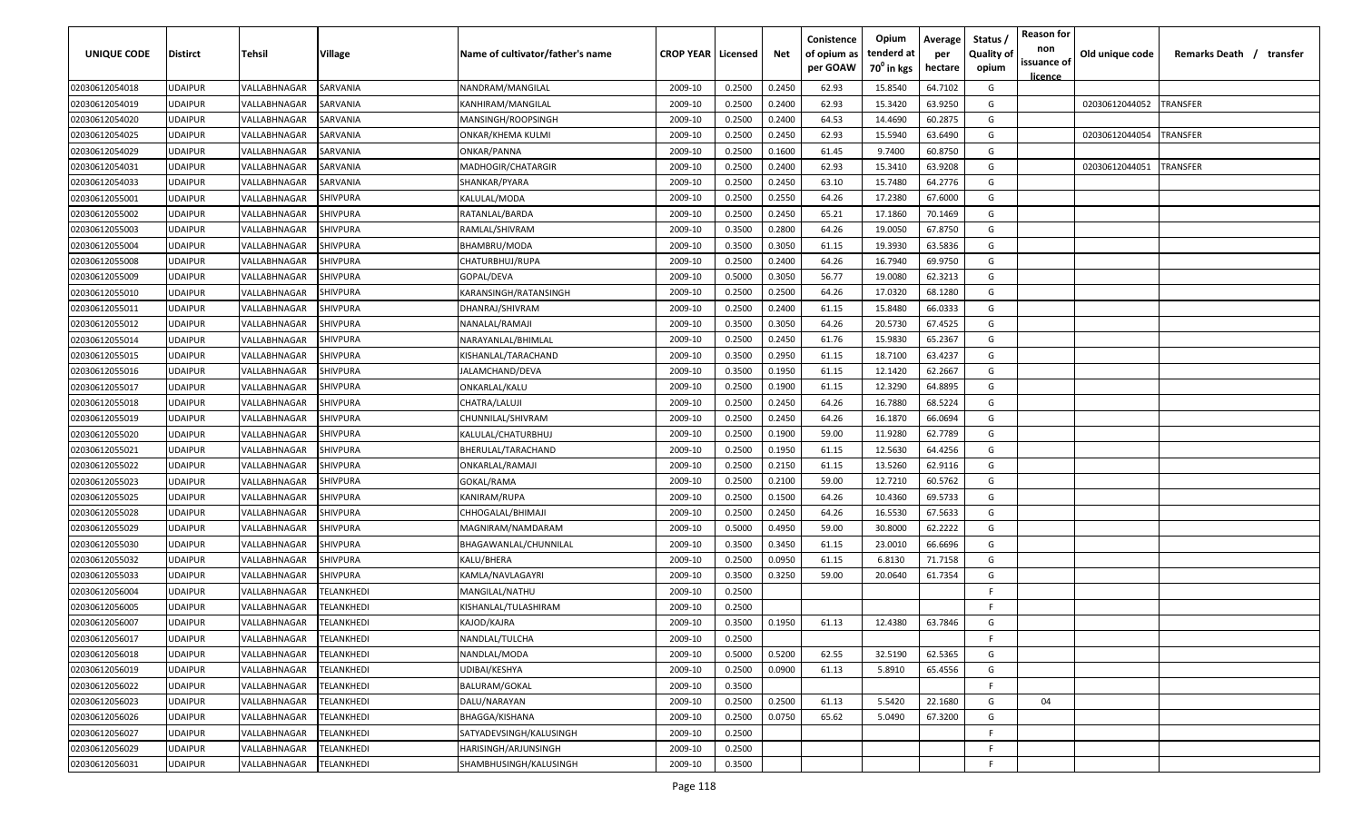| UNIQUE CODE    | Distirct       | Tehsil       | Village           | Name of cultivator/father's name | <b>CROP YEAR   Licensed</b> |        | Net    | Conistence<br>of opium as<br>per GOAW | Opium<br>tenderd at<br>70 <sup>°</sup> in kgs | Average<br>per<br>hectare | <b>Reason for</b><br>Status<br>non<br><b>Quality of</b><br>issuance of<br>opium<br><u>licence</u> | Old unique code | Remarks Death /<br>transfer |
|----------------|----------------|--------------|-------------------|----------------------------------|-----------------------------|--------|--------|---------------------------------------|-----------------------------------------------|---------------------------|---------------------------------------------------------------------------------------------------|-----------------|-----------------------------|
| 02030612054018 | UDAIPUR        | VALLABHNAGAR | SARVANIA          | NANDRAM/MANGILAL                 | 2009-10                     | 0.2500 | 0.2450 | 62.93                                 | 15.8540                                       | 64.7102                   | G                                                                                                 |                 |                             |
| 02030612054019 | UDAIPUR        | VALLABHNAGAR | SARVANIA          | KANHIRAM/MANGILAL                | 2009-10                     | 0.2500 | 0.2400 | 62.93                                 | 15.3420                                       | 63.9250                   | G                                                                                                 | 02030612044052  | <b>TRANSFER</b>             |
| 02030612054020 | UDAIPUR        | VALLABHNAGAR | SARVANIA          | MANSINGH/ROOPSINGH               | 2009-10                     | 0.2500 | 0.2400 | 64.53                                 | 14.4690                                       | 60.2875                   | G                                                                                                 |                 |                             |
| 02030612054025 | <b>JDAIPUR</b> | VALLABHNAGAR | SARVANIA          | ONKAR/KHEMA KULMI                | 2009-10                     | 0.2500 | 0.2450 | 62.93                                 | 15.5940                                       | 63.6490                   | G                                                                                                 | 02030612044054  | <b>TRANSFER</b>             |
| 02030612054029 | UDAIPUR        | VALLABHNAGAR | SARVANIA          | ONKAR/PANNA                      | 2009-10                     | 0.2500 | 0.1600 | 61.45                                 | 9.7400                                        | 60.8750                   | G                                                                                                 |                 |                             |
| 02030612054031 | UDAIPUR        | VALLABHNAGAR | SARVANIA          | MADHOGIR/CHATARGIR               | 2009-10                     | 0.2500 | 0.2400 | 62.93                                 | 15.3410                                       | 63.9208                   | G                                                                                                 | 02030612044051  | <b>TRANSFER</b>             |
| 02030612054033 | UDAIPUR        | VALLABHNAGAR | SARVANIA          | SHANKAR/PYARA                    | 2009-10                     | 0.2500 | 0.2450 | 63.10                                 | 15.7480                                       | 64.2776                   | G                                                                                                 |                 |                             |
| 02030612055001 | UDAIPUR        | VALLABHNAGAR | SHIVPURA          | KALULAL/MODA                     | 2009-10                     | 0.2500 | 0.2550 | 64.26                                 | 17.2380                                       | 67.6000                   | G                                                                                                 |                 |                             |
| 02030612055002 | UDAIPUR        | VALLABHNAGAR | SHIVPURA          | RATANLAL/BARDA                   | 2009-10                     | 0.2500 | 0.2450 | 65.21                                 | 17.1860                                       | 70.1469                   | G                                                                                                 |                 |                             |
| 02030612055003 | UDAIPUR        | VALLABHNAGAR | SHIVPURA          | RAMLAL/SHIVRAM                   | 2009-10                     | 0.3500 | 0.2800 | 64.26                                 | 19.0050                                       | 67.8750                   | G                                                                                                 |                 |                             |
| 02030612055004 | UDAIPUR        | VALLABHNAGAR | SHIVPURA          | BHAMBRU/MODA                     | 2009-10                     | 0.3500 | 0.3050 | 61.15                                 | 19.3930                                       | 63.5836                   | G                                                                                                 |                 |                             |
| 02030612055008 | UDAIPUR        | VALLABHNAGAR | SHIVPURA          | CHATURBHUJ/RUPA                  | 2009-10                     | 0.2500 | 0.2400 | 64.26                                 | 16.7940                                       | 69.9750                   | G                                                                                                 |                 |                             |
| 02030612055009 | <b>JDAIPUR</b> | VALLABHNAGAR | SHIVPURA          | GOPAL/DEVA                       | 2009-10                     | 0.5000 | 0.3050 | 56.77                                 | 19.0080                                       | 62.3213                   | G                                                                                                 |                 |                             |
| 02030612055010 | UDAIPUR        | VALLABHNAGAR | SHIVPURA          | KARANSINGH/RATANSINGH            | 2009-10                     | 0.2500 | 0.2500 | 64.26                                 | 17.0320                                       | 68.1280                   | G                                                                                                 |                 |                             |
| 02030612055011 | UDAIPUR        | VALLABHNAGAR | SHIVPURA          | DHANRAJ/SHIVRAM                  | 2009-10                     | 0.2500 | 0.2400 | 61.15                                 | 15.8480                                       | 66.0333                   | G                                                                                                 |                 |                             |
| 02030612055012 | UDAIPUR        | VALLABHNAGAR | SHIVPURA          | NANALAL/RAMAJI                   | 2009-10                     | 0.3500 | 0.3050 | 64.26                                 | 20.5730                                       | 67.4525                   | G                                                                                                 |                 |                             |
| 02030612055014 | UDAIPUR        | VALLABHNAGAR | SHIVPURA          | NARAYANLAL/BHIMLAL               | 2009-10                     | 0.2500 | 0.2450 | 61.76                                 | 15.9830                                       | 65.2367                   | G                                                                                                 |                 |                             |
| 02030612055015 | UDAIPUR        | VALLABHNAGAR | SHIVPURA          | KISHANLAL/TARACHAND              | 2009-10                     | 0.3500 | 0.2950 | 61.15                                 | 18.7100                                       | 63.4237                   | G                                                                                                 |                 |                             |
| 02030612055016 | UDAIPUR        | VALLABHNAGAR | SHIVPURA          | JALAMCHAND/DEVA                  | 2009-10                     | 0.3500 | 0.1950 | 61.15                                 | 12.1420                                       | 62.2667                   | G                                                                                                 |                 |                             |
| 02030612055017 | UDAIPUR        | VALLABHNAGAR | SHIVPURA          | ONKARLAL/KALU                    | 2009-10                     | 0.2500 | 0.1900 | 61.15                                 | 12.3290                                       | 64.8895                   | G                                                                                                 |                 |                             |
| 02030612055018 | UDAIPUR        | VALLABHNAGAR | SHIVPURA          | CHATRA/LALUJI                    | 2009-10                     | 0.2500 | 0.2450 | 64.26                                 | 16.7880                                       | 68.5224                   | G                                                                                                 |                 |                             |
| 02030612055019 | UDAIPUR        | VALLABHNAGAR | SHIVPURA          | CHUNNILAL/SHIVRAM                | 2009-10                     | 0.2500 | 0.2450 | 64.26                                 | 16.1870                                       | 66.0694                   | G                                                                                                 |                 |                             |
| 02030612055020 | UDAIPUR        | VALLABHNAGAR | SHIVPURA          | KALULAL/CHATURBHUJ               | 2009-10                     | 0.2500 | 0.1900 | 59.00                                 | 11.9280                                       | 62.7789                   | G                                                                                                 |                 |                             |
| 02030612055021 | UDAIPUR        | VALLABHNAGAR | SHIVPURA          | BHERULAL/TARACHAND               | 2009-10                     | 0.2500 | 0.1950 | 61.15                                 | 12.5630                                       | 64.4256                   | G                                                                                                 |                 |                             |
| 02030612055022 | UDAIPUR        | VALLABHNAGAR | SHIVPURA          | ONKARLAL/RAMAJI                  | 2009-10                     | 0.2500 | 0.2150 | 61.15                                 | 13.5260                                       | 62.9116                   | G                                                                                                 |                 |                             |
| 02030612055023 | UDAIPUR        | VALLABHNAGAR | SHIVPURA          | GOKAL/RAMA                       | 2009-10                     | 0.2500 | 0.2100 | 59.00                                 | 12.7210                                       | 60.5762                   | G                                                                                                 |                 |                             |
| 02030612055025 | UDAIPUR        | VALLABHNAGAR | SHIVPURA          | KANIRAM/RUPA                     | 2009-10                     | 0.2500 | 0.1500 | 64.26                                 | 10.4360                                       | 69.5733                   | G                                                                                                 |                 |                             |
| 02030612055028 | UDAIPUR        | VALLABHNAGAR | SHIVPURA          | CHHOGALAL/BHIMAJI                | 2009-10                     | 0.2500 | 0.2450 | 64.26                                 | 16.5530                                       | 67.5633                   | G                                                                                                 |                 |                             |
| 02030612055029 | UDAIPUR        | VALLABHNAGAR | SHIVPURA          | MAGNIRAM/NAMDARAM                | 2009-10                     | 0.5000 | 0.4950 | 59.00                                 | 30.8000                                       | 62.2222                   | G                                                                                                 |                 |                             |
| 02030612055030 | <b>JDAIPUR</b> | VALLABHNAGAR | SHIVPURA          | BHAGAWANLAL/CHUNNILAL            | 2009-10                     | 0.3500 | 0.3450 | 61.15                                 | 23.0010                                       | 66.6696                   | G                                                                                                 |                 |                             |
| 02030612055032 | UDAIPUR        | VALLABHNAGAR | SHIVPURA          | KALU/BHERA                       | 2009-10                     | 0.2500 | 0.0950 | 61.15                                 | 6.8130                                        | 71.7158                   | G                                                                                                 |                 |                             |
| 02030612055033 | <b>JDAIPUR</b> | VALLABHNAGAR | SHIVPURA          | KAMLA/NAVLAGAYRI                 | 2009-10                     | 0.3500 | 0.3250 | 59.00                                 | 20.0640                                       | 61.7354                   | G                                                                                                 |                 |                             |
| 02030612056004 | <b>JDAIPUR</b> | VALLABHNAGAR | <b>FELANKHEDI</b> | MANGILAL/NATHU                   | 2009-10                     | 0.2500 |        |                                       |                                               |                           | -F.                                                                                               |                 |                             |
| 02030612056005 | UDAIPUR        | VALLABHNAGAR | <b>FELANKHEDI</b> | KISHANLAL/TULASHIRAM             | 2009-10                     | 0.2500 |        |                                       |                                               |                           | F.                                                                                                |                 |                             |
| 02030612056007 | UDAIPUR        | VALLABHNAGAR | TELANKHEDI        | KAJOD/KAJRA                      | 2009-10                     | 0.3500 | 0.1950 | 61.13                                 | 12.4380                                       | 63.7846                   | G                                                                                                 |                 |                             |
| 02030612056017 | UDAIPUR        | VALLABHNAGAR | TELANKHEDI        | NANDLAL/TULCHA                   | 2009-10                     | 0.2500 |        |                                       |                                               |                           | -F                                                                                                |                 |                             |
| 02030612056018 | UDAIPUR        | VALLABHNAGAR | TELANKHEDI        | NANDLAL/MODA                     | 2009-10                     | 0.5000 | 0.5200 | 62.55                                 | 32.5190                                       | 62.5365                   | G                                                                                                 |                 |                             |
| 02030612056019 | <b>UDAIPUR</b> | VALLABHNAGAR | TELANKHEDI        | UDIBAI/KESHYA                    | 2009-10                     | 0.2500 | 0.0900 | 61.13                                 | 5.8910                                        | 65.4556                   | G                                                                                                 |                 |                             |
| 02030612056022 | <b>UDAIPUR</b> | VALLABHNAGAR | TELANKHEDI        | <b>BALURAM/GOKAL</b>             | 2009-10                     | 0.3500 |        |                                       |                                               |                           | F.                                                                                                |                 |                             |
| 02030612056023 | UDAIPUR        | VALLABHNAGAR | TELANKHEDI        | DALU/NARAYAN                     | 2009-10                     | 0.2500 | 0.2500 | 61.13                                 | 5.5420                                        | 22.1680                   | G<br>04                                                                                           |                 |                             |
| 02030612056026 | UDAIPUR        | VALLABHNAGAR | TELANKHEDI        | BHAGGA/KISHANA                   | 2009-10                     | 0.2500 | 0.0750 | 65.62                                 | 5.0490                                        | 67.3200                   | G                                                                                                 |                 |                             |
| 02030612056027 | UDAIPUR        | VALLABHNAGAR | TELANKHEDI        | SATYADEVSINGH/KALUSINGH          | 2009-10                     | 0.2500 |        |                                       |                                               |                           | F.                                                                                                |                 |                             |
| 02030612056029 | UDAIPUR        | VALLABHNAGAR | TELANKHEDI        | HARISINGH/ARJUNSINGH             | 2009-10                     | 0.2500 |        |                                       |                                               |                           | F.                                                                                                |                 |                             |
| 02030612056031 | UDAIPUR        | VALLABHNAGAR | TELANKHEDI        | SHAMBHUSINGH/KALUSINGH           | 2009-10                     | 0.3500 |        |                                       |                                               |                           | F.                                                                                                |                 |                             |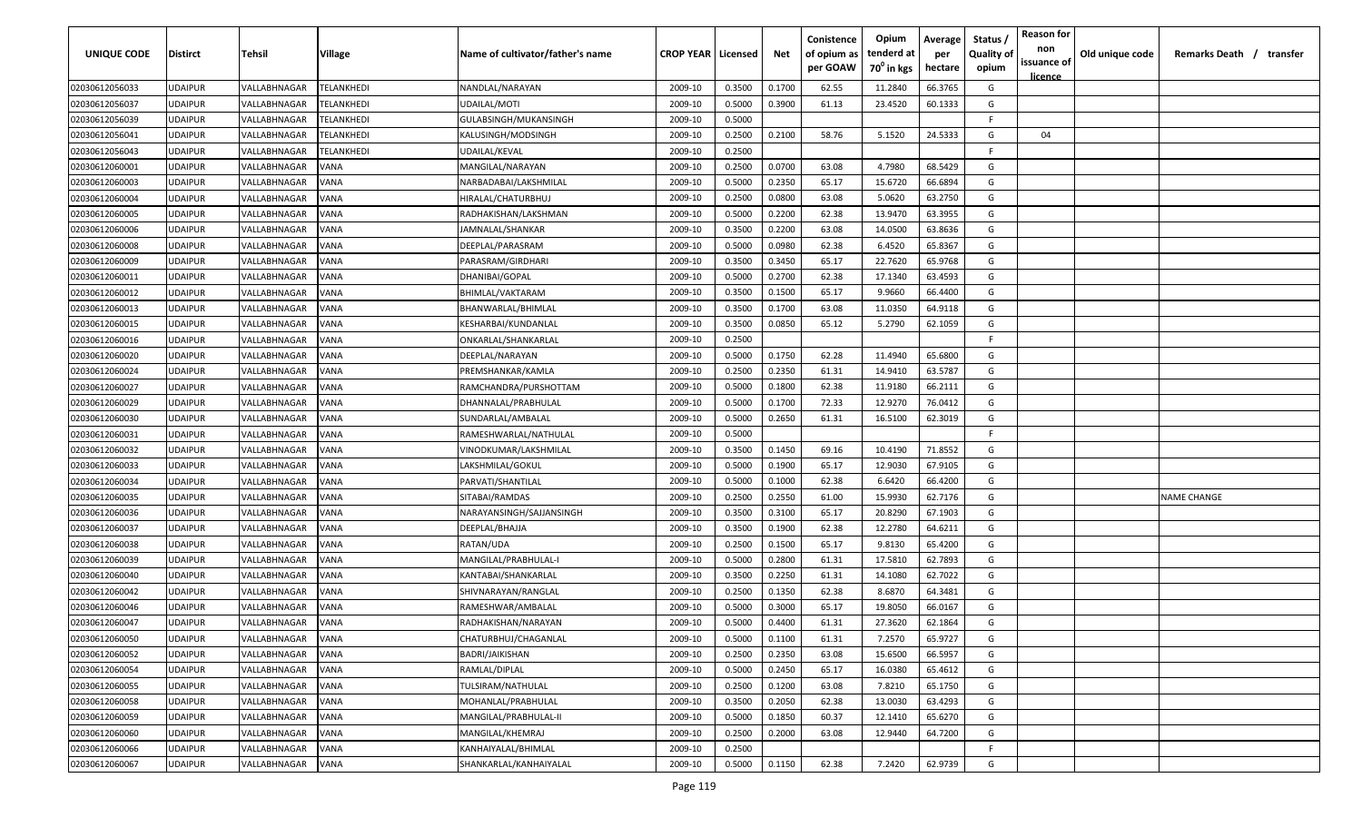| UNIQUE CODE    | <b>Distirct</b> | Tehsil       | Village                  | Name of cultivator/father's name | <b>CROP YEAR   Licensed</b> |        | Net    | Conistence<br>of opium as<br>per GOAW | Opium<br>tenderd at<br>70 <sup>0</sup> in kgs | Average<br>per<br>hectare | Status<br><b>Quality of</b><br>opium | <b>Reason for</b><br>non<br>issuance of<br><u>licence</u> | Old unique code | Remarks Death / transfer |
|----------------|-----------------|--------------|--------------------------|----------------------------------|-----------------------------|--------|--------|---------------------------------------|-----------------------------------------------|---------------------------|--------------------------------------|-----------------------------------------------------------|-----------------|--------------------------|
| 02030612056033 | <b>UDAIPUR</b>  | VALLABHNAGAR | TELANKHEDI               | NANDLAL/NARAYAN                  | 2009-10                     | 0.3500 | 0.1700 | 62.55                                 | 11.2840                                       | 66.3765                   | G                                    |                                                           |                 |                          |
| 02030612056037 | <b>UDAIPUR</b>  | VALLABHNAGAR | <b>FELANKHEDI</b>        | UDAILAL/MOTI                     | 2009-10                     | 0.5000 | 0.3900 | 61.13                                 | 23.4520                                       | 60.1333                   | G                                    |                                                           |                 |                          |
| 02030612056039 | <b>UDAIPUR</b>  | VALLABHNAGAR | <b>ELANKHEDI</b>         | GULABSINGH/MUKANSINGH            | 2009-10                     | 0.5000 |        |                                       |                                               |                           | -F                                   |                                                           |                 |                          |
| 02030612056041 | <b>UDAIPUR</b>  | VALLABHNAGAR | <b><i>FELANKHEDI</i></b> | KALUSINGH/MODSINGH               | 2009-10                     | 0.2500 | 0.2100 | 58.76                                 | 5.1520                                        | 24.5333                   | G                                    | 04                                                        |                 |                          |
| 02030612056043 | <b>UDAIPUR</b>  | VALLABHNAGAR | <b><i>FELANKHEDI</i></b> | UDAILAL/KEVAL                    | 2009-10                     | 0.2500 |        |                                       |                                               |                           | -F.                                  |                                                           |                 |                          |
| 02030612060001 | <b>UDAIPUR</b>  | VALLABHNAGAR | VANA                     | MANGILAL/NARAYAN                 | 2009-10                     | 0.2500 | 0.0700 | 63.08                                 | 4.7980                                        | 68.5429                   | G                                    |                                                           |                 |                          |
| 02030612060003 | <b>UDAIPUR</b>  | VALLABHNAGAR | VANA                     | NARBADABAI/LAKSHMILAL            | 2009-10                     | 0.5000 | 0.2350 | 65.17                                 | 15.6720                                       | 66.6894                   | G                                    |                                                           |                 |                          |
| 02030612060004 | <b>UDAIPUR</b>  | VALLABHNAGAR | VANA                     | HIRALAL/CHATURBHUJ               | 2009-10                     | 0.2500 | 0.0800 | 63.08                                 | 5.0620                                        | 63.2750                   | G                                    |                                                           |                 |                          |
| 02030612060005 | <b>UDAIPUR</b>  | VALLABHNAGAR | VANA                     | RADHAKISHAN/LAKSHMAN             | 2009-10                     | 0.5000 | 0.2200 | 62.38                                 | 13.9470                                       | 63.3955                   | G                                    |                                                           |                 |                          |
| 02030612060006 | <b>UDAIPUR</b>  | VALLABHNAGAR | VANA                     | IAMNALAL/SHANKAR                 | 2009-10                     | 0.3500 | 0.2200 | 63.08                                 | 14.0500                                       | 63.8636                   | G                                    |                                                           |                 |                          |
| 02030612060008 | UDAIPUR         | VALLABHNAGAR | VANA                     | DEEPLAL/PARASRAM                 | 2009-10                     | 0.5000 | 0.0980 | 62.38                                 | 6.4520                                        | 65.8367                   | G                                    |                                                           |                 |                          |
| 02030612060009 | <b>UDAIPUR</b>  | VALLABHNAGAR | VANA                     | PARASRAM/GIRDHARI                | 2009-10                     | 0.3500 | 0.3450 | 65.17                                 | 22.7620                                       | 65.9768                   | G                                    |                                                           |                 |                          |
| 02030612060011 | <b>UDAIPUR</b>  | VALLABHNAGAR | VANA                     | DHANIBAI/GOPAL                   | 2009-10                     | 0.5000 | 0.2700 | 62.38                                 | 17.1340                                       | 63.4593                   | G                                    |                                                           |                 |                          |
| 02030612060012 | <b>UDAIPUR</b>  | VALLABHNAGAR | VANA                     | BHIMLAL/VAKTARAM                 | 2009-10                     | 0.3500 | 0.1500 | 65.17                                 | 9.9660                                        | 66.4400                   | G                                    |                                                           |                 |                          |
| 02030612060013 | <b>UDAIPUR</b>  | VALLABHNAGAR | VANA                     | BHANWARLAL/BHIMLAL               | 2009-10                     | 0.3500 | 0.1700 | 63.08                                 | 11.0350                                       | 64.9118                   | G                                    |                                                           |                 |                          |
| 02030612060015 | <b>UDAIPUR</b>  | VALLABHNAGAR | VANA                     | KESHARBAI/KUNDANLAL              | 2009-10                     | 0.3500 | 0.0850 | 65.12                                 | 5.2790                                        | 62.1059                   | G                                    |                                                           |                 |                          |
| 02030612060016 | <b>UDAIPUR</b>  | VALLABHNAGAR | VANA                     | ONKARLAL/SHANKARLAL              | 2009-10                     | 0.2500 |        |                                       |                                               |                           | F.                                   |                                                           |                 |                          |
| 02030612060020 | <b>UDAIPUR</b>  | VALLABHNAGAR | VANA                     | DEEPLAL/NARAYAN                  | 2009-10                     | 0.5000 | 0.1750 | 62.28                                 | 11.4940                                       | 65.6800                   | G                                    |                                                           |                 |                          |
| 02030612060024 | <b>UDAIPUR</b>  | VALLABHNAGAR | VANA                     | PREMSHANKAR/KAMLA                | 2009-10                     | 0.2500 | 0.2350 | 61.31                                 | 14.9410                                       | 63.5787                   | G                                    |                                                           |                 |                          |
| 02030612060027 | <b>UDAIPUR</b>  | VALLABHNAGAR | VANA                     | RAMCHANDRA/PURSHOTTAM            | 2009-10                     | 0.5000 | 0.1800 | 62.38                                 | 11.9180                                       | 66.2111                   | G                                    |                                                           |                 |                          |
| 02030612060029 | <b>UDAIPUR</b>  | VALLABHNAGAR | VANA                     | DHANNALAL/PRABHULAL              | 2009-10                     | 0.5000 | 0.1700 | 72.33                                 | 12.9270                                       | 76.0412                   | G                                    |                                                           |                 |                          |
| 02030612060030 | <b>UDAIPUR</b>  | VALLABHNAGAR | VANA                     | SUNDARLAL/AMBALAL                | 2009-10                     | 0.5000 | 0.2650 | 61.31                                 | 16.5100                                       | 62.3019                   | G                                    |                                                           |                 |                          |
| 02030612060031 | <b>UDAIPUR</b>  | VALLABHNAGAR | <b>JANA</b>              | RAMESHWARLAL/NATHULAL            | 2009-10                     | 0.5000 |        |                                       |                                               |                           | -F                                   |                                                           |                 |                          |
| 02030612060032 | <b>UDAIPUR</b>  | VALLABHNAGAR | <b>JANA</b>              | VINODKUMAR/LAKSHMILAL            | 2009-10                     | 0.3500 | 0.1450 | 69.16                                 | 10.4190                                       | 71.8552                   | G                                    |                                                           |                 |                          |
| 02030612060033 | <b>UDAIPUR</b>  | VALLABHNAGAR | VANA                     | LAKSHMILAL/GOKUL                 | 2009-10                     | 0.5000 | 0.1900 | 65.17                                 | 12.9030                                       | 67.9105                   | G                                    |                                                           |                 |                          |
| 02030612060034 | <b>UDAIPUR</b>  | VALLABHNAGAR | VANA                     | PARVATI/SHANTILAL                | 2009-10                     | 0.5000 | 0.1000 | 62.38                                 | 6.6420                                        | 66.4200                   | G                                    |                                                           |                 |                          |
| 02030612060035 | <b>UDAIPUR</b>  | VALLABHNAGAR | VANA                     | SITABAI/RAMDAS                   | 2009-10                     | 0.2500 | 0.2550 | 61.00                                 | 15.9930                                       | 62.7176                   | G                                    |                                                           |                 | <b>NAME CHANGE</b>       |
| 02030612060036 | <b>UDAIPUR</b>  | VALLABHNAGAR | /ANA                     | NARAYANSINGH/SAJJANSINGH         | 2009-10                     | 0.3500 | 0.3100 | 65.17                                 | 20.8290                                       | 67.1903                   | G                                    |                                                           |                 |                          |
| 02030612060037 | <b>UDAIPUR</b>  | VALLABHNAGAR | /ANA                     | DEEPLAL/BHAJJA                   | 2009-10                     | 0.3500 | 0.1900 | 62.38                                 | 12.2780                                       | 64.6211                   | G                                    |                                                           |                 |                          |
| 02030612060038 | <b>UDAIPUR</b>  | VALLABHNAGAR | VANA                     | RATAN/UDA                        | 2009-10                     | 0.2500 | 0.1500 | 65.17                                 | 9.8130                                        | 65.4200                   | G                                    |                                                           |                 |                          |
| 02030612060039 | <b>UDAIPUR</b>  | VALLABHNAGAR | VANA                     | MANGILAL/PRABHULAL-I             | 2009-10                     | 0.5000 | 0.2800 | 61.31                                 | 17.5810                                       | 62.7893                   | G                                    |                                                           |                 |                          |
| 02030612060040 | <b>UDAIPUR</b>  | VALLABHNAGAR | VANA                     | KANTABAI/SHANKARLAL              | 2009-10                     | 0.3500 | 0.2250 | 61.31                                 | 14.1080                                       | 62.7022                   | G                                    |                                                           |                 |                          |
| 02030612060042 | <b>UDAIPUR</b>  | VALLABHNAGAR | VANA                     | SHIVNARAYAN/RANGLAL              | 2009-10                     | 0.2500 | 0.1350 | 62.38                                 | 8.6870                                        | 64.3481                   | G                                    |                                                           |                 |                          |
| 02030612060046 | <b>UDAIPUR</b>  | VALLABHNAGAR | VANA                     | RAMESHWAR/AMBALAL                | 2009-10                     | 0.5000 | 0.3000 | 65.17                                 | 19.8050                                       | 66.0167                   | G                                    |                                                           |                 |                          |
| 02030612060047 | <b>UDAIPUR</b>  | VALLABHNAGAR | VANA                     | RADHAKISHAN/NARAYAN              | 2009-10                     | 0.5000 | 0.4400 | 61.31                                 | 27.3620                                       | 62.1864                   | G                                    |                                                           |                 |                          |
| 02030612060050 | <b>UDAIPUR</b>  | VALLABHNAGAR | <b>VANA</b>              | CHATURBHUJ/CHAGANLAL             | 2009-10                     | 0.5000 | 0.1100 | 61.31                                 | 7.2570                                        | 65.9727                   | G                                    |                                                           |                 |                          |
| 02030612060052 | <b>UDAIPUR</b>  | VALLABHNAGAR | <b>VANA</b>              | BADRI/JAIKISHAN                  | 2009-10                     | 0.2500 | 0.2350 | 63.08                                 | 15.6500                                       | 66.5957                   | G                                    |                                                           |                 |                          |
| 02030612060054 | <b>UDAIPUR</b>  | VALLABHNAGAR | VANA                     | RAMLAL/DIPLAL                    | 2009-10                     | 0.5000 | 0.2450 | 65.17                                 | 16.0380                                       | 65.4612                   | G                                    |                                                           |                 |                          |
| 02030612060055 | <b>UDAIPUR</b>  | VALLABHNAGAR | VANA                     | TULSIRAM/NATHULAL                | 2009-10                     | 0.2500 | 0.1200 | 63.08                                 | 7.8210                                        | 65.1750                   | G                                    |                                                           |                 |                          |
| 02030612060058 | <b>UDAIPUR</b>  | VALLABHNAGAR | VANA                     | MOHANLAL/PRABHULAL               | 2009-10                     | 0.3500 | 0.2050 | 62.38                                 | 13.0030                                       | 63.4293                   | G                                    |                                                           |                 |                          |
| 02030612060059 | <b>UDAIPUR</b>  | VALLABHNAGAR | VANA                     | MANGILAL/PRABHULAL-II            | 2009-10                     | 0.5000 | 0.1850 | 60.37                                 | 12.1410                                       | 65.6270                   | G                                    |                                                           |                 |                          |
| 02030612060060 | <b>UDAIPUR</b>  | VALLABHNAGAR | VANA                     | MANGILAL/KHEMRAJ                 | 2009-10                     | 0.2500 | 0.2000 | 63.08                                 | 12.9440                                       | 64.7200                   | G                                    |                                                           |                 |                          |
| 02030612060066 | <b>UDAIPUR</b>  | VALLABHNAGAR | VANA                     | KANHAIYALAL/BHIMLAL              | 2009-10                     | 0.2500 |        |                                       |                                               |                           | F                                    |                                                           |                 |                          |
| 02030612060067 | <b>UDAIPUR</b>  | VALLABHNAGAR | <b>VANA</b>              | SHANKARLAL/KANHAIYALAL           | 2009-10                     | 0.5000 | 0.1150 | 62.38                                 | 7.2420                                        | 62.9739                   | G                                    |                                                           |                 |                          |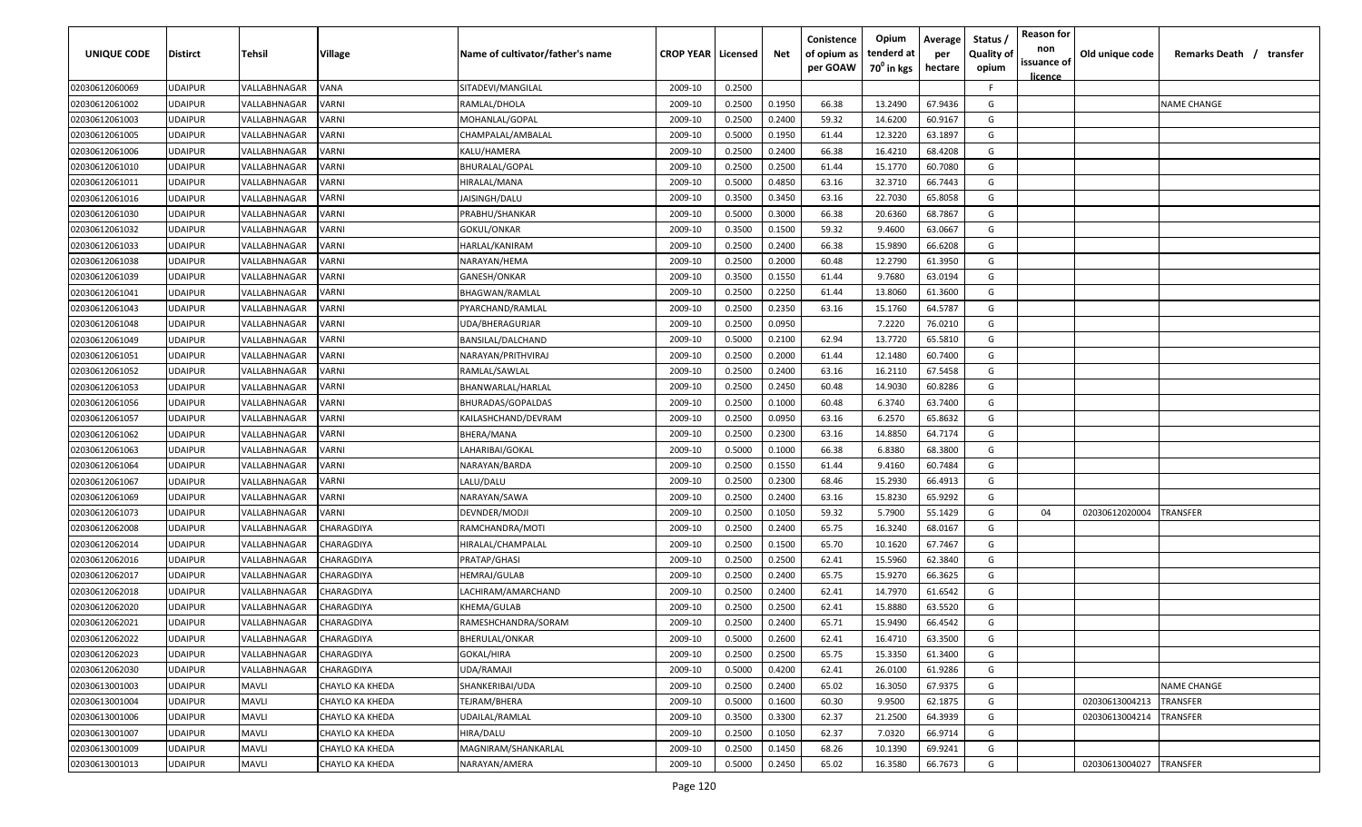| UNIQUE CODE    | <b>Distirct</b> | Tehsil       | Village                | Name of cultivator/father's name | <b>CROP YEAR   Licensed</b> |        | Net    | Conistence<br>of opium as<br>per GOAW | Opium<br>tenderd at<br>70 <sup>0</sup> in kgs | Average<br>per<br>hectare | Status<br><b>Quality of</b><br>opium | <b>Reason for</b><br>non<br>issuance of | Old unique code | Remarks Death / transfer |
|----------------|-----------------|--------------|------------------------|----------------------------------|-----------------------------|--------|--------|---------------------------------------|-----------------------------------------------|---------------------------|--------------------------------------|-----------------------------------------|-----------------|--------------------------|
| 02030612060069 | <b>UDAIPUR</b>  | VALLABHNAGAR | VANA                   | SITADEVI/MANGILAL                | 2009-10                     | 0.2500 |        |                                       |                                               |                           | F.                                   | <u>licence</u>                          |                 |                          |
| 02030612061002 | <b>UDAIPUR</b>  | VALLABHNAGAR | VARNI                  | RAMLAL/DHOLA                     | 2009-10                     | 0.2500 | 0.1950 | 66.38                                 | 13.2490                                       | 67.9436                   | G                                    |                                         |                 | <b>NAME CHANGE</b>       |
| 02030612061003 | <b>UDAIPUR</b>  | VALLABHNAGAR | VARNI                  | MOHANLAL/GOPAL                   | 2009-10                     | 0.2500 | 0.2400 | 59.32                                 | 14.6200                                       | 60.9167                   | G                                    |                                         |                 |                          |
| 02030612061005 | <b>UDAIPUR</b>  | VALLABHNAGAR | VARNI                  | CHAMPALAL/AMBALAL                | 2009-10                     | 0.5000 | 0.1950 | 61.44                                 | 12.3220                                       | 63.1897                   | G                                    |                                         |                 |                          |
| 02030612061006 | <b>UDAIPUR</b>  | VALLABHNAGAR | VARNI                  | KALU/HAMERA                      | 2009-10                     | 0.2500 | 0.2400 | 66.38                                 | 16.4210                                       | 68.4208                   | G                                    |                                         |                 |                          |
| 02030612061010 | <b>UDAIPUR</b>  | VALLABHNAGAR | <b>/ARNI</b>           | BHURALAL/GOPAL                   | 2009-10                     | 0.2500 | 0.2500 | 61.44                                 | 15.1770                                       | 60.7080                   | G                                    |                                         |                 |                          |
| 02030612061011 | <b>UDAIPUR</b>  | VALLABHNAGAR | VARNI                  | HIRALAL/MANA                     | 2009-10                     | 0.5000 | 0.4850 | 63.16                                 | 32.3710                                       | 66.7443                   | G                                    |                                         |                 |                          |
| 02030612061016 | <b>UDAIPUR</b>  | VALLABHNAGAR | <b>/ARNI</b>           | <b>JAISINGH/DALU</b>             | 2009-10                     | 0.3500 | 0.3450 | 63.16                                 | 22.7030                                       | 65.8058                   | G                                    |                                         |                 |                          |
| 02030612061030 | <b>UDAIPUR</b>  | VALLABHNAGAR | VARNI                  | PRABHU/SHANKAR                   | 2009-10                     | 0.5000 | 0.3000 | 66.38                                 | 20.6360                                       | 68.7867                   | G                                    |                                         |                 |                          |
| 02030612061032 | <b>UDAIPUR</b>  | VALLABHNAGAR | <b>/ARNI</b>           | GOKUL/ONKAR                      | 2009-10                     | 0.3500 | 0.1500 | 59.32                                 | 9.4600                                        | 63.0667                   | G                                    |                                         |                 |                          |
| 02030612061033 | <b>UDAIPUR</b>  | VALLABHNAGAR | /ARNI                  | HARLAL/KANIRAM                   | 2009-10                     | 0.2500 | 0.2400 | 66.38                                 | 15.9890                                       | 66.6208                   | G                                    |                                         |                 |                          |
| 02030612061038 | <b>UDAIPUR</b>  | VALLABHNAGAR | <b>/ARNI</b>           | NARAYAN/HEMA                     | 2009-10                     | 0.2500 | 0.2000 | 60.48                                 | 12.2790                                       | 61.3950                   | G                                    |                                         |                 |                          |
| 02030612061039 | <b>UDAIPUR</b>  | VALLABHNAGAR | VARNI                  | GANESH/ONKAR                     | 2009-10                     | 0.3500 | 0.1550 | 61.44                                 | 9.7680                                        | 63.0194                   | G                                    |                                         |                 |                          |
| 02030612061041 | <b>UDAIPUR</b>  | VALLABHNAGAR | <b>/ARNI</b>           | BHAGWAN/RAMLAL                   | 2009-10                     | 0.2500 | 0.2250 | 61.44                                 | 13.8060                                       | 61.3600                   | G                                    |                                         |                 |                          |
| 02030612061043 | <b>UDAIPUR</b>  | VALLABHNAGAR | VARNI                  | PYARCHAND/RAMLAL                 | 2009-10                     | 0.2500 | 0.2350 | 63.16                                 | 15.1760                                       | 64.5787                   | G                                    |                                         |                 |                          |
| 02030612061048 | <b>UDAIPUR</b>  | VALLABHNAGAR | VARNI                  | UDA/BHERAGURJAR                  | 2009-10                     | 0.2500 | 0.0950 |                                       | 7.2220                                        | 76.0210                   | G                                    |                                         |                 |                          |
| 02030612061049 | <b>UDAIPUR</b>  | VALLABHNAGAR | VARNI                  | BANSILAL/DALCHAND                | 2009-10                     | 0.5000 | 0.2100 | 62.94                                 | 13.7720                                       | 65.5810                   | G                                    |                                         |                 |                          |
| 02030612061051 | <b>UDAIPUR</b>  | VALLABHNAGAR | VARNI                  | NARAYAN/PRITHVIRAJ               | 2009-10                     | 0.2500 | 0.2000 | 61.44                                 | 12.1480                                       | 60.7400                   | G                                    |                                         |                 |                          |
| 02030612061052 | <b>UDAIPUR</b>  | VALLABHNAGAR | /ARNI                  | RAMLAL/SAWLAL                    | 2009-10                     | 0.2500 | 0.2400 | 63.16                                 | 16.2110                                       | 67.5458                   | G                                    |                                         |                 |                          |
| 02030612061053 | <b>UDAIPUR</b>  | VALLABHNAGAR | VARNI                  | BHANWARLAL/HARLAL                | 2009-10                     | 0.2500 | 0.2450 | 60.48                                 | 14.9030                                       | 60.8286                   | G                                    |                                         |                 |                          |
| 02030612061056 | <b>UDAIPUR</b>  | VALLABHNAGAR | <b>/ARNI</b>           | BHURADAS/GOPALDAS                | 2009-10                     | 0.2500 | 0.1000 | 60.48                                 | 6.3740                                        | 63.7400                   | G                                    |                                         |                 |                          |
| 02030612061057 | <b>UDAIPUR</b>  | VALLABHNAGAR | <b>/ARNI</b>           | KAILASHCHAND/DEVRAM              | 2009-10                     | 0.2500 | 0.0950 | 63.16                                 | 6.2570                                        | 65.8632                   | G                                    |                                         |                 |                          |
| 02030612061062 | <b>UDAIPUR</b>  | VALLABHNAGAR | <b>/ARNI</b>           | BHERA/MANA                       | 2009-10                     | 0.2500 | 0.2300 | 63.16                                 | 14.8850                                       | 64.7174                   | G                                    |                                         |                 |                          |
| 02030612061063 | <b>UDAIPUR</b>  | VALLABHNAGAR | <b>/ARNI</b>           | LAHARIBAI/GOKAL                  | 2009-10                     | 0.5000 | 0.1000 | 66.38                                 | 6.8380                                        | 68.3800                   | G                                    |                                         |                 |                          |
| 02030612061064 | <b>UDAIPUR</b>  | VALLABHNAGAR | <b>/ARNI</b>           | NARAYAN/BARDA                    | 2009-10                     | 0.2500 | 0.1550 | 61.44                                 | 9.4160                                        | 60.7484                   | G                                    |                                         |                 |                          |
| 02030612061067 | <b>UDAIPUR</b>  | VALLABHNAGAR | VARNI                  | LALU/DALU                        | 2009-10                     | 0.2500 | 0.2300 | 68.46                                 | 15.2930                                       | 66.4913                   | G                                    |                                         |                 |                          |
| 02030612061069 | <b>UDAIPUR</b>  | VALLABHNAGAR | /ARNI                  | NARAYAN/SAWA                     | 2009-10                     | 0.2500 | 0.2400 | 63.16                                 | 15.8230                                       | 65.9292                   | G                                    |                                         |                 |                          |
| 02030612061073 | <b>UDAIPUR</b>  | VALLABHNAGAR | /ARNI                  | DEVNDER/MODJI                    | 2009-10                     | 0.2500 | 0.1050 | 59.32                                 | 5.7900                                        | 55.1429                   | G                                    | 04                                      | 02030612020004  | <b>RANSFER</b>           |
| 02030612062008 | <b>UDAIPUR</b>  | VALLABHNAGAR | CHARAGDIYA             | RAMCHANDRA/MOTI                  | 2009-10                     | 0.2500 | 0.2400 | 65.75                                 | 16.3240                                       | 68.0167                   | G                                    |                                         |                 |                          |
| 02030612062014 | <b>UDAIPUR</b>  | VALLABHNAGAR | CHARAGDIYA             | HIRALAL/CHAMPALAL                | 2009-10                     | 0.2500 | 0.1500 | 65.70                                 | 10.1620                                       | 67.7467                   | G                                    |                                         |                 |                          |
| 02030612062016 | <b>UDAIPUR</b>  | VALLABHNAGAR | CHARAGDIYA             | PRATAP/GHASI                     | 2009-10                     | 0.2500 | 0.2500 | 62.41                                 | 15.5960                                       | 62.3840                   | G                                    |                                         |                 |                          |
| 02030612062017 | <b>UDAIPUR</b>  | VALLABHNAGAR | CHARAGDIYA             | HEMRAJ/GULAB                     | 2009-10                     | 0.2500 | 0.2400 | 65.75                                 | 15.9270                                       | 66.3625                   | G                                    |                                         |                 |                          |
| 02030612062018 | <b>UDAIPUR</b>  | VALLABHNAGAR | CHARAGDIYA             | LACHIRAM/AMARCHAND               | 2009-10                     | 0.2500 | 0.2400 | 62.41                                 | 14.7970                                       | 61.6542                   | G                                    |                                         |                 |                          |
| 02030612062020 | <b>UDAIPUR</b>  | VALLABHNAGAR | CHARAGDIYA             | KHEMA/GULAB                      | 2009-10                     | 0.2500 | 0.2500 | 62.41                                 | 15.8880                                       | 63.5520                   | G                                    |                                         |                 |                          |
| 02030612062021 | <b>UDAIPUR</b>  | VALLABHNAGAR | CHARAGDIYA             | RAMESHCHANDRA/SORAM              | 2009-10                     | 0.2500 | 0.2400 | 65.71                                 | 15.9490                                       | 66.4542                   | G                                    |                                         |                 |                          |
| 02030612062022 | <b>UDAIPUR</b>  | VALLABHNAGAR | <b>CHARAGDIYA</b>      | <b>BHERULAL/ONKAR</b>            | 2009-10                     | 0.5000 | 0.2600 | 62.41                                 | 16.4710                                       | 63.3500                   | G                                    |                                         |                 |                          |
| 02030612062023 | <b>UDAIPUR</b>  | VALLABHNAGAR | CHARAGDIYA             | GOKAL/HIRA                       | 2009-10                     | 0.2500 | 0.2500 | 65.75                                 | 15.3350                                       | 61.3400                   | G                                    |                                         |                 |                          |
| 02030612062030 | <b>UDAIPUR</b>  | VALLABHNAGAR | CHARAGDIYA             | UDA/RAMAJI                       | 2009-10                     | 0.5000 | 0.4200 | 62.41                                 | 26.0100                                       | 61.9286                   | G                                    |                                         |                 |                          |
| 02030613001003 | <b>UDAIPUR</b>  | <b>MAVLI</b> | CHAYLO KA KHEDA        | SHANKERIBAI/UDA                  | 2009-10                     | 0.2500 | 0.2400 | 65.02                                 | 16.3050                                       | 67.9375                   | G                                    |                                         |                 | <b>NAME CHANGE</b>       |
| 02030613001004 | <b>UDAIPUR</b>  | <b>MAVLI</b> | <b>CHAYLO KA KHEDA</b> | TEJRAM/BHERA                     | 2009-10                     | 0.5000 | 0.1600 | 60.30                                 | 9.9500                                        | 62.1875                   | G                                    |                                         | 02030613004213  | TRANSFER                 |
| 02030613001006 | <b>UDAIPUR</b>  | <b>MAVLI</b> | <b>CHAYLO KA KHEDA</b> | UDAILAL/RAMLAL                   | 2009-10                     | 0.3500 | 0.3300 | 62.37                                 | 21.2500                                       | 64.3939                   | G                                    |                                         | 02030613004214  | TRANSFER                 |
| 02030613001007 | <b>UDAIPUR</b>  | <b>MAVLI</b> | <b>CHAYLO KA KHEDA</b> | HIRA/DALU                        | 2009-10                     | 0.2500 | 0.1050 | 62.37                                 | 7.0320                                        | 66.9714                   | G                                    |                                         |                 |                          |
| 02030613001009 | <b>UDAIPUR</b>  | <b>MAVLI</b> | CHAYLO KA KHEDA        | MAGNIRAM/SHANKARLAL              | 2009-10                     | 0.2500 | 0.1450 | 68.26                                 | 10.1390                                       | 69.9241                   | G                                    |                                         |                 |                          |
| 02030613001013 | <b>UDAIPUR</b>  | <b>MAVLI</b> | CHAYLO KA KHEDA        | NARAYAN/AMERA                    | 2009-10                     | 0.5000 | 0.2450 | 65.02                                 | 16.3580                                       | 66.7673                   | G                                    |                                         | 02030613004027  | <b>TRANSFER</b>          |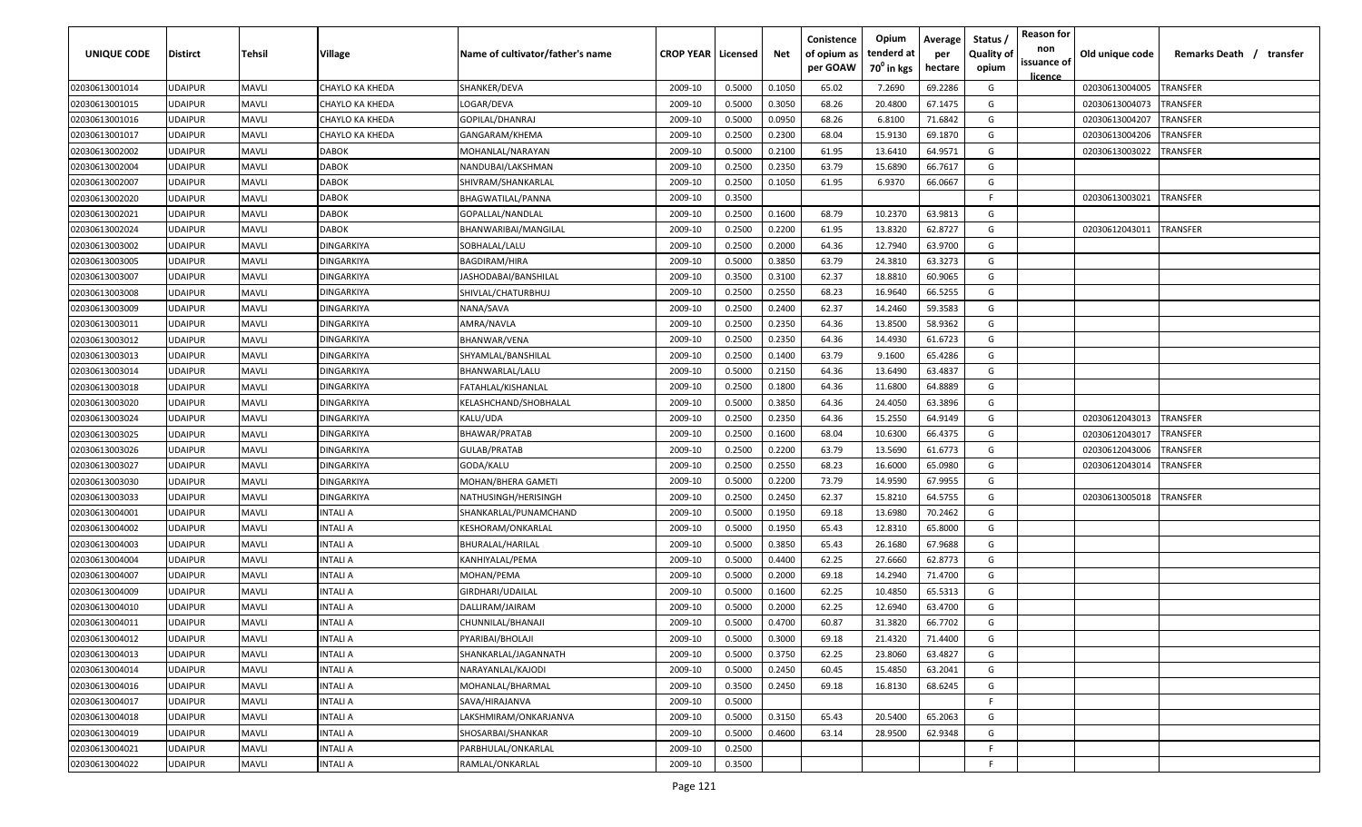| UNIQUE CODE    | Distirct       | Tehsil       | Village           | Name of cultivator/father's name | <b>CROP YEAR   Licensed</b> |        | Net    | Conistence<br>of opium as<br>per GOAW | Opium<br>tenderd at<br>70 <sup>0</sup> in kgs | Average<br>per<br>hectare | <b>Reason for</b><br>Status,<br>non<br><b>Quality of</b><br>issuance of<br>opium<br>licence | Old unique code | Remarks Death /<br>transfer |
|----------------|----------------|--------------|-------------------|----------------------------------|-----------------------------|--------|--------|---------------------------------------|-----------------------------------------------|---------------------------|---------------------------------------------------------------------------------------------|-----------------|-----------------------------|
| 02030613001014 | UDAIPUR        | <b>MAVLI</b> | CHAYLO KA KHEDA   | SHANKER/DEVA                     | 2009-10                     | 0.5000 | 0.1050 | 65.02                                 | 7.2690                                        | 69.2286                   | G                                                                                           | 02030613004005  | <b>TRANSFER</b>             |
| 02030613001015 | UDAIPUR        | <b>MAVLI</b> | CHAYLO KA KHEDA   | LOGAR/DEVA                       | 2009-10                     | 0.5000 | 0.3050 | 68.26                                 | 20.4800                                       | 67.1475                   | G                                                                                           | 02030613004073  | TRANSFER                    |
| 02030613001016 | UDAIPUR        | <b>MAVLI</b> | CHAYLO KA KHEDA   | GOPILAL/DHANRAJ                  | 2009-10                     | 0.5000 | 0.0950 | 68.26                                 | 6.8100                                        | 71.6842                   | G                                                                                           | 02030613004207  | TRANSFER                    |
| 02030613001017 | UDAIPUR        | <b>MAVLI</b> | CHAYLO KA KHEDA   | GANGARAM/KHEMA                   | 2009-10                     | 0.2500 | 0.2300 | 68.04                                 | 15.9130                                       | 69.1870                   | G                                                                                           | 02030613004206  | TRANSFER                    |
| 02030613002002 | UDAIPUR        | <b>MAVLI</b> | DABOK             | MOHANLAL/NARAYAN                 | 2009-10                     | 0.5000 | 0.2100 | 61.95                                 | 13.6410                                       | 64.9571                   | G                                                                                           | 02030613003022  | TRANSFER                    |
| 02030613002004 | UDAIPUR        | <b>MAVLI</b> | <b>DABOK</b>      | NANDUBAI/LAKSHMAN                | 2009-10                     | 0.2500 | 0.2350 | 63.79                                 | 15.6890                                       | 66.7617                   | G                                                                                           |                 |                             |
| 02030613002007 | UDAIPUR        | <b>MAVLI</b> | <b>DABOK</b>      | SHIVRAM/SHANKARLAL               | 2009-10                     | 0.2500 | 0.1050 | 61.95                                 | 6.9370                                        | 66.0667                   | G                                                                                           |                 |                             |
| 02030613002020 | UDAIPUR        | <b>MAVLI</b> | <b>DABOK</b>      | BHAGWATILAL/PANNA                | 2009-10                     | 0.3500 |        |                                       |                                               |                           | F                                                                                           | 02030613003021  | <b>TRANSFER</b>             |
| 02030613002021 | UDAIPUR        | <b>MAVLI</b> | <b>DABOK</b>      | GOPALLAL/NANDLAL                 | 2009-10                     | 0.2500 | 0.1600 | 68.79                                 | 10.2370                                       | 63.9813                   | G                                                                                           |                 |                             |
| 02030613002024 | UDAIPUR        | <b>MAVLI</b> | <b>DABOK</b>      | BHANWARIBAI/MANGILAL             | 2009-10                     | 0.2500 | 0.2200 | 61.95                                 | 13.8320                                       | 62.8727                   | G                                                                                           | 02030612043011  | <b>TRANSFER</b>             |
| 02030613003002 | UDAIPUR        | <b>MAVLI</b> | DINGARKIYA        | SOBHALAL/LALU                    | 2009-10                     | 0.2500 | 0.2000 | 64.36                                 | 12.7940                                       | 63.9700                   | G                                                                                           |                 |                             |
| 02030613003005 | JDAIPUR        | <b>MAVLI</b> | DINGARKIYA        | BAGDIRAM/HIRA                    | 2009-10                     | 0.5000 | 0.3850 | 63.79                                 | 24.3810                                       | 63.3273                   | G                                                                                           |                 |                             |
| 02030613003007 | JDAIPUR        | MAVLI        | DINGARKIYA        | JASHODABAI/BANSHILAL             | 2009-10                     | 0.3500 | 0.3100 | 62.37                                 | 18.8810                                       | 60.9065                   | G                                                                                           |                 |                             |
| 02030613003008 | <b>JDAIPUR</b> | <b>MAVLI</b> | DINGARKIYA        | SHIVLAL/CHATURBHUJ               | 2009-10                     | 0.2500 | 0.2550 | 68.23                                 | 16.9640                                       | 66.5255                   | G                                                                                           |                 |                             |
| 02030613003009 | UDAIPUR        | <b>MAVLI</b> | DINGARKIYA        | NANA/SAVA                        | 2009-10                     | 0.2500 | 0.2400 | 62.37                                 | 14.2460                                       | 59.3583                   | G                                                                                           |                 |                             |
| 02030613003011 | <b>JDAIPUR</b> | <b>MAVLI</b> | DINGARKIYA        | AMRA/NAVLA                       | 2009-10                     | 0.2500 | 0.2350 | 64.36                                 | 13.8500                                       | 58.9362                   | G                                                                                           |                 |                             |
| 02030613003012 | <b>JDAIPUR</b> | <b>MAVLI</b> | DINGARKIYA        | BHANWAR/VENA                     | 2009-10                     | 0.2500 | 0.2350 | 64.36                                 | 14.4930                                       | 61.6723                   | G                                                                                           |                 |                             |
| 02030613003013 | UDAIPUR        | <b>MAVLI</b> | <b>DINGARKIYA</b> | SHYAMLAL/BANSHILAL               | 2009-10                     | 0.2500 | 0.1400 | 63.79                                 | 9.1600                                        | 65.4286                   | G                                                                                           |                 |                             |
| 02030613003014 | UDAIPUR        | <b>MAVLI</b> | <b>DINGARKIYA</b> | BHANWARLAL/LALU                  | 2009-10                     | 0.5000 | 0.2150 | 64.36                                 | 13.6490                                       | 63.4837                   | G                                                                                           |                 |                             |
| 02030613003018 | UDAIPUR        | <b>MAVLI</b> | DINGARKIYA        | FATAHLAL/KISHANLAL               | 2009-10                     | 0.2500 | 0.1800 | 64.36                                 | 11.6800                                       | 64.8889                   | G                                                                                           |                 |                             |
| 02030613003020 | UDAIPUR        | <b>MAVLI</b> | DINGARKIYA        | KELASHCHAND/SHOBHALAL            | 2009-10                     | 0.5000 | 0.3850 | 64.36                                 | 24.4050                                       | 63.3896                   | G                                                                                           |                 |                             |
| 02030613003024 | UDAIPUR        | <b>MAVLI</b> | DINGARKIYA        | KALU/UDA                         | 2009-10                     | 0.2500 | 0.2350 | 64.36                                 | 15.2550                                       | 64.9149                   | G                                                                                           | 02030612043013  | <b>TRANSFER</b>             |
| 02030613003025 | UDAIPUR        | <b>MAVLI</b> | DINGARKIYA        | BHAWAR/PRATAB                    | 2009-10                     | 0.2500 | 0.1600 | 68.04                                 | 10.6300                                       | 66.4375                   | G                                                                                           | 02030612043017  | <b>TRANSFER</b>             |
| 02030613003026 | UDAIPUR        | <b>MAVLI</b> | DINGARKIYA        | GULAB/PRATAB                     | 2009-10                     | 0.2500 | 0.2200 | 63.79                                 | 13.5690                                       | 61.6773                   | G                                                                                           | 02030612043006  | TRANSFER                    |
| 02030613003027 | UDAIPUR        | <b>MAVLI</b> | DINGARKIYA        | GODA/KALU                        | 2009-10                     | 0.2500 | 0.2550 | 68.23                                 | 16.6000                                       | 65.0980                   | G                                                                                           | 02030612043014  | TRANSFER                    |
| 02030613003030 | UDAIPUR        | <b>MAVLI</b> | DINGARKIYA        | MOHAN/BHERA GAMETI               | 2009-10                     | 0.5000 | 0.2200 | 73.79                                 | 14.9590                                       | 67.9955                   | G                                                                                           |                 |                             |
| 02030613003033 | UDAIPUR        | <b>MAVLI</b> | DINGARKIYA        | NATHUSINGH/HERISINGH             | 2009-10                     | 0.2500 | 0.2450 | 62.37                                 | 15.8210                                       | 64.5755                   | G                                                                                           | 02030613005018  | <b>TRANSFER</b>             |
| 02030613004001 | UDAIPUR        | <b>MAVLI</b> | INTALI A          | SHANKARLAL/PUNAMCHAND            | 2009-10                     | 0.5000 | 0.1950 | 69.18                                 | 13.6980                                       | 70.2462                   | G                                                                                           |                 |                             |
| 02030613004002 | UDAIPUR        | <b>MAVLI</b> | INTALI A          | KESHORAM/ONKARLAL                | 2009-10                     | 0.5000 | 0.1950 | 65.43                                 | 12.8310                                       | 65.8000                   | G                                                                                           |                 |                             |
| 02030613004003 | UDAIPUR        | MAVLI        | NTALI A           | BHURALAL/HARILAL                 | 2009-10                     | 0.5000 | 0.3850 | 65.43                                 | 26.1680                                       | 67.9688                   | G                                                                                           |                 |                             |
| 02030613004004 | <b>JDAIPUR</b> | <b>MAVLI</b> | INTALI A          | KANHIYALAL/PEMA                  | 2009-10                     | 0.5000 | 0.4400 | 62.25                                 | 27.6660                                       | 62.8773                   | G                                                                                           |                 |                             |
| 02030613004007 | <b>JDAIPUR</b> | <b>MAVLI</b> | INTALI A          | MOHAN/PEMA                       | 2009-10                     | 0.5000 | 0.2000 | 69.18                                 | 14.2940                                       | 71.4700                   | G                                                                                           |                 |                             |
| 02030613004009 | UDAIPUR        | MAVLI        | INTALI A          | GIRDHARI/UDAILAL                 | 2009-10                     | 0.5000 | 0.1600 | 62.25                                 | 10.4850                                       | 65.5313                   | G                                                                                           |                 |                             |
| 02030613004010 | UDAIPUR        | MAVLI        | INTALI A          | DALLIRAM/JAIRAM                  | 2009-10                     | 0.5000 | 0.2000 | 62.25                                 | 12.6940                                       | 63.4700                   | G                                                                                           |                 |                             |
| 02030613004011 | UDAIPUR        | <b>MAVLI</b> | INTALI A          | CHUNNILAL/BHANAJI                | 2009-10                     | 0.5000 | 0.4700 | 60.87                                 | 31.3820                                       | 66.7702                   | G                                                                                           |                 |                             |
| 02030613004012 | <b>UDAIPUR</b> | <b>MAVLI</b> | INTALI A          | PYARIBAI/BHOLAJI                 | 2009-10                     | 0.5000 | 0.3000 | 69.18                                 | 21.4320                                       | 71.4400                   | G                                                                                           |                 |                             |
| 02030613004013 | <b>UDAIPUR</b> | <b>MAVLI</b> | INTALI A          | SHANKARLAL/JAGANNATH             | 2009-10                     | 0.5000 | 0.3750 | 62.25                                 | 23.8060                                       | 63.4827                   | G                                                                                           |                 |                             |
| 02030613004014 | UDAIPUR        | <b>MAVLI</b> | INTALI A          | NARAYANLAL/KAJODI                | 2009-10                     | 0.5000 | 0.2450 | 60.45                                 | 15.4850                                       | 63.2041                   | G                                                                                           |                 |                             |
| 02030613004016 | <b>UDAIPUR</b> | <b>MAVLI</b> | <b>INTALI A</b>   | MOHANLAL/BHARMAL                 | 2009-10                     | 0.3500 | 0.2450 | 69.18                                 | 16.8130                                       | 68.6245                   | G                                                                                           |                 |                             |
| 02030613004017 | UDAIPUR        | <b>MAVLI</b> | INTALI A          | SAVA/HIRAJANVA                   | 2009-10                     | 0.5000 |        |                                       |                                               |                           | F                                                                                           |                 |                             |
| 02030613004018 | UDAIPUR        | <b>MAVLI</b> | <b>INTALI A</b>   | LAKSHMIRAM/ONKARJANVA            | 2009-10                     | 0.5000 | 0.3150 | 65.43                                 | 20.5400                                       | 65.2063                   | G                                                                                           |                 |                             |
| 02030613004019 | UDAIPUR        | <b>MAVLI</b> | <b>INTALI A</b>   | SHOSARBAI/SHANKAR                | 2009-10                     | 0.5000 | 0.4600 | 63.14                                 | 28.9500                                       | 62.9348                   | G                                                                                           |                 |                             |
| 02030613004021 | UDAIPUR        | <b>MAVLI</b> | INTALI A          | PARBHULAL/ONKARLAL               | 2009-10                     | 0.2500 |        |                                       |                                               |                           | F.                                                                                          |                 |                             |
| 02030613004022 | UDAIPUR        | <b>MAVLI</b> | INTALI A          | RAMLAL/ONKARLAL                  | 2009-10                     | 0.3500 |        |                                       |                                               |                           | F.                                                                                          |                 |                             |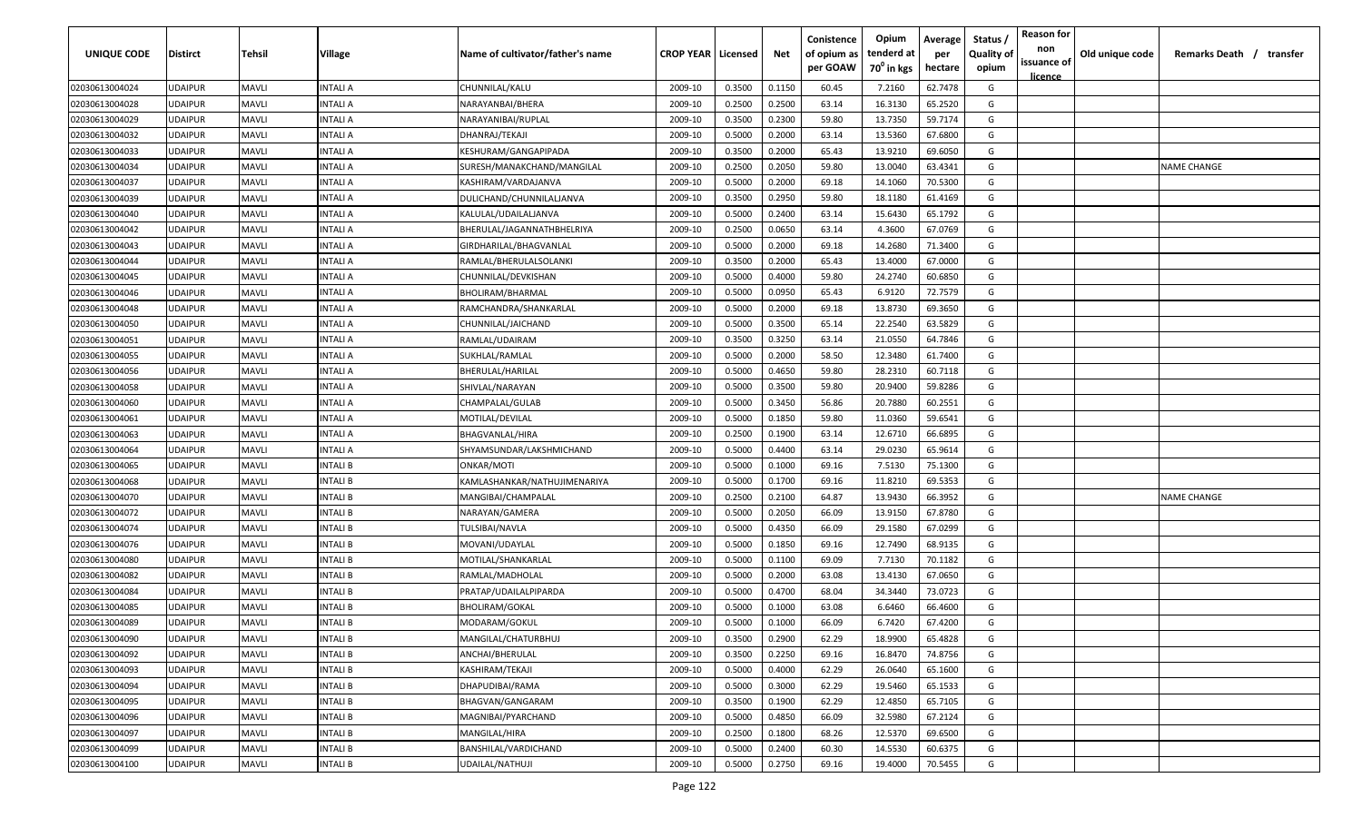| UNIQUE CODE    | <b>Distirct</b> | Tehsil       | Village         | Name of cultivator/father's name | <b>CROP YEAR   Licensed</b> |        | Net    | Conistence<br>of opium as | Opium<br>tenderd at    | Average<br>per | Status<br><b>Quality of</b> | <b>Reason for</b><br>non      | Old unique code | Remarks Death / transfer |
|----------------|-----------------|--------------|-----------------|----------------------------------|-----------------------------|--------|--------|---------------------------|------------------------|----------------|-----------------------------|-------------------------------|-----------------|--------------------------|
|                |                 |              |                 |                                  |                             |        |        | per GOAW                  | 70 <sup>0</sup> in kgs | hectare        | opium                       | issuance of<br><u>licence</u> |                 |                          |
| 02030613004024 | <b>UDAIPUR</b>  | <b>MAVLI</b> | INTALI A        | CHUNNILAL/KALU                   | 2009-10                     | 0.3500 | 0.1150 | 60.45                     | 7.2160                 | 62.7478        | G                           |                               |                 |                          |
| 02030613004028 | <b>UDAIPUR</b>  | <b>MAVLI</b> | INTALI A        | NARAYANBAI/BHERA                 | 2009-10                     | 0.2500 | 0.2500 | 63.14                     | 16.3130                | 65.2520        | G                           |                               |                 |                          |
| 02030613004029 | <b>UDAIPUR</b>  | <b>MAVLI</b> | INTALI A        | NARAYANIBAI/RUPLAL               | 2009-10                     | 0.3500 | 0.2300 | 59.80                     | 13.7350                | 59.7174        | G                           |                               |                 |                          |
| 02030613004032 | <b>UDAIPUR</b>  | <b>MAVLI</b> | INTALI A        | DHANRAJ/TEKAJI                   | 2009-10                     | 0.5000 | 0.2000 | 63.14                     | 13.5360                | 67.6800        | G                           |                               |                 |                          |
| 02030613004033 | <b>UDAIPUR</b>  | <b>MAVLI</b> | INTALI A        | KESHURAM/GANGAPIPADA             | 2009-10                     | 0.3500 | 0.2000 | 65.43                     | 13.9210                | 69.6050        | G                           |                               |                 |                          |
| 02030613004034 | <b>UDAIPUR</b>  | <b>MAVLI</b> | INTALI A        | SURESH/MANAKCHAND/MANGILAL       | 2009-10                     | 0.2500 | 0.2050 | 59.80                     | 13.0040                | 63.4341        | G                           |                               |                 | <b>NAME CHANGE</b>       |
| 02030613004037 | <b>UDAIPUR</b>  | <b>MAVLI</b> | INTALI A        | KASHIRAM/VARDAJANVA              | 2009-10                     | 0.5000 | 0.2000 | 69.18                     | 14.1060                | 70.5300        | G                           |                               |                 |                          |
| 02030613004039 | <b>UDAIPUR</b>  | <b>MAVLI</b> | INTALI A        | DULICHAND/CHUNNILALJANVA         | 2009-10                     | 0.3500 | 0.2950 | 59.80                     | 18.1180                | 61.4169        | G                           |                               |                 |                          |
| 02030613004040 | <b>UDAIPUR</b>  | MAVLI        | INTALI A        | KALULAL/UDAILALJANVA             | 2009-10                     | 0.5000 | 0.2400 | 63.14                     | 15.6430                | 65.1792        | G                           |                               |                 |                          |
| 02030613004042 | <b>UDAIPUR</b>  | MAVLI        | INTALI A        | BHERULAL/JAGANNATHBHELRIYA       | 2009-10                     | 0.2500 | 0.0650 | 63.14                     | 4.3600                 | 67.0769        | G                           |                               |                 |                          |
| 02030613004043 | <b>UDAIPUR</b>  | <b>MAVLI</b> | INTALI A        | GIRDHARILAL/BHAGVANLAL           | 2009-10                     | 0.5000 | 0.2000 | 69.18                     | 14.2680                | 71.3400        | G                           |                               |                 |                          |
| 02030613004044 | <b>UDAIPUR</b>  | <b>MAVLI</b> | INTALI A        | RAMLAL/BHERULALSOLANKI           | 2009-10                     | 0.3500 | 0.2000 | 65.43                     | 13.4000                | 67.0000        | G                           |                               |                 |                          |
| 02030613004045 | <b>UDAIPUR</b>  | <b>MAVLI</b> | INTALI A        | CHUNNILAL/DEVKISHAN              | 2009-10                     | 0.5000 | 0.4000 | 59.80                     | 24.2740                | 60.6850        | G                           |                               |                 |                          |
| 02030613004046 | <b>UDAIPUR</b>  | <b>MAVLI</b> | INTALI A        | BHOLIRAM/BHARMAL                 | 2009-10                     | 0.5000 | 0.0950 | 65.43                     | 6.9120                 | 72.7579        | G                           |                               |                 |                          |
| 02030613004048 | <b>UDAIPUR</b>  | <b>MAVLI</b> | INTALI A        | RAMCHANDRA/SHANKARLAL            | 2009-10                     | 0.5000 | 0.2000 | 69.18                     | 13.8730                | 69.3650        | G                           |                               |                 |                          |
| 02030613004050 | <b>UDAIPUR</b>  | <b>MAVLI</b> | INTALI A        | CHUNNILAL/JAICHAND               | 2009-10                     | 0.5000 | 0.3500 | 65.14                     | 22.2540                | 63.5829        | G                           |                               |                 |                          |
| 02030613004051 | <b>UDAIPUR</b>  | <b>MAVLI</b> | INTALI A        | RAMLAL/UDAIRAM                   | 2009-10                     | 0.3500 | 0.3250 | 63.14                     | 21.0550                | 64.7846        | G                           |                               |                 |                          |
| 02030613004055 | <b>UDAIPUR</b>  | <b>MAVLI</b> | INTALI A        | SUKHLAL/RAMLAL                   | 2009-10                     | 0.5000 | 0.2000 | 58.50                     | 12.3480                | 61.7400        | G                           |                               |                 |                          |
| 02030613004056 | <b>UDAIPUR</b>  | <b>MAVLI</b> | INTALI A        | BHERULAL/HARILAL                 | 2009-10                     | 0.5000 | 0.4650 | 59.80                     | 28.2310                | 60.7118        | G                           |                               |                 |                          |
| 02030613004058 | <b>UDAIPUR</b>  | <b>MAVLI</b> | INTALI A        | SHIVLAL/NARAYAN                  | 2009-10                     | 0.5000 | 0.3500 | 59.80                     | 20.9400                | 59.8286        | G                           |                               |                 |                          |
| 02030613004060 | <b>UDAIPUR</b>  | <b>MAVLI</b> | INTALI A        | CHAMPALAL/GULAB                  | 2009-10                     | 0.5000 | 0.3450 | 56.86                     | 20.7880                | 60.2551        | G                           |                               |                 |                          |
| 02030613004061 | <b>UDAIPUR</b>  | <b>MAVLI</b> | INTALI A        | MOTILAL/DEVILAL                  | 2009-10                     | 0.5000 | 0.1850 | 59.80                     | 11.0360                | 59.6541        | G                           |                               |                 |                          |
| 02030613004063 | <b>UDAIPUR</b>  | <b>MAVLI</b> | INTALI A        | BHAGVANLAL/HIRA                  | 2009-10                     | 0.2500 | 0.1900 | 63.14                     | 12.6710                | 66.6895        | G                           |                               |                 |                          |
| 02030613004064 | <b>UDAIPUR</b>  | <b>MAVLI</b> | INTALI A        | SHYAMSUNDAR/LAKSHMICHAND         | 2009-10                     | 0.5000 | 0.4400 | 63.14                     | 29.0230                | 65.9614        | G                           |                               |                 |                          |
| 02030613004065 | <b>UDAIPUR</b>  | <b>MAVLI</b> | INTALI B        | ONKAR/MOTI                       | 2009-10                     | 0.5000 | 0.1000 | 69.16                     | 7.5130                 | 75.1300        | G                           |                               |                 |                          |
| 02030613004068 | <b>UDAIPUR</b>  | <b>MAVLI</b> | INTALI B        | KAMLASHANKAR/NATHUJIMENARIYA     | 2009-10                     | 0.5000 | 0.1700 | 69.16                     | 11.8210                | 69.5353        | G                           |                               |                 |                          |
| 02030613004070 | <b>UDAIPUR</b>  | <b>MAVLI</b> | INTALI B        | MANGIBAI/CHAMPALAL               | 2009-10                     | 0.2500 | 0.2100 | 64.87                     | 13.9430                | 66.3952        | G                           |                               |                 | <b>NAME CHANGE</b>       |
| 02030613004072 | <b>UDAIPUR</b>  | <b>MAVLI</b> | INTALI B        | NARAYAN/GAMERA                   | 2009-10                     | 0.5000 | 0.2050 | 66.09                     | 13.9150                | 67.8780        | G                           |                               |                 |                          |
| 02030613004074 | <b>UDAIPUR</b>  | <b>MAVLI</b> | INTALI B        | TULSIBAI/NAVLA                   | 2009-10                     | 0.5000 | 0.4350 | 66.09                     | 29.1580                | 67.0299        | G                           |                               |                 |                          |
| 02030613004076 | <b>UDAIPUR</b>  | MAVLI        | INTALI B        | MOVANI/UDAYLAL                   | 2009-10                     | 0.5000 | 0.1850 | 69.16                     | 12.7490                | 68.9135        | G                           |                               |                 |                          |
| 02030613004080 | <b>UDAIPUR</b>  | <b>MAVLI</b> | INTALI B        | MOTILAL/SHANKARLAL               | 2009-10                     | 0.5000 | 0.1100 | 69.09                     | 7.7130                 | 70.1182        | G                           |                               |                 |                          |
| 02030613004082 | <b>UDAIPUR</b>  | <b>MAVLI</b> | INTALI B        | RAMLAL/MADHOLAL                  | 2009-10                     | 0.5000 | 0.2000 | 63.08                     | 13.4130                | 67.0650        | G                           |                               |                 |                          |
| 02030613004084 | <b>UDAIPUR</b>  | <b>MAVLI</b> | INTALI B        | PRATAP/UDAILALPIPARDA            | 2009-10                     | 0.5000 | 0.4700 | 68.04                     | 34.3440                | 73.0723        | G                           |                               |                 |                          |
| 02030613004085 | <b>UDAIPUR</b>  | <b>MAVLI</b> | INTALI B        | BHOLIRAM/GOKAL                   | 2009-10                     | 0.5000 | 0.1000 | 63.08                     | 6.6460                 | 66.4600        | G                           |                               |                 |                          |
| 02030613004089 | <b>UDAIPUR</b>  | <b>MAVLI</b> | INTALI B        | MODARAM/GOKUL                    | 2009-10                     | 0.5000 | 0.1000 | 66.09                     | 6.7420                 | 67.4200        | G                           |                               |                 |                          |
| 02030613004090 | <b>UDAIPUR</b>  | <b>MAVLI</b> | <b>INTALIB</b>  | MANGILAL/CHATURBHUJ              | 2009-10                     | 0.3500 | 0.2900 | 62.29                     | 18.9900                | 65.4828        | G                           |                               |                 |                          |
| 02030613004092 | <b>UDAIPUR</b>  | <b>MAVLI</b> | <b>INTALIB</b>  | ANCHAI/BHERULAL                  | 2009-10                     | 0.3500 | 0.2250 | 69.16                     | 16.8470                | 74.8756        | G                           |                               |                 |                          |
| 02030613004093 | <b>UDAIPUR</b>  | <b>MAVLI</b> | <b>INTALI B</b> | KASHIRAM/TEKAJI                  | 2009-10                     | 0.5000 | 0.4000 | 62.29                     | 26.0640                | 65.1600        | G                           |                               |                 |                          |
| 02030613004094 | <b>UDAIPUR</b>  | <b>MAVLI</b> | INTALI B        | DHAPUDIBAI/RAMA                  | 2009-10                     | 0.5000 | 0.3000 | 62.29                     | 19.5460                | 65.1533        | G                           |                               |                 |                          |
| 02030613004095 | <b>UDAIPUR</b>  | <b>MAVLI</b> | <b>INTALIB</b>  | BHAGVAN/GANGARAM                 | 2009-10                     | 0.3500 | 0.1900 | 62.29                     | 12.4850                | 65.7105        | G                           |                               |                 |                          |
| 02030613004096 | <b>UDAIPUR</b>  | <b>MAVLI</b> | <b>INTALIB</b>  | MAGNIBAI/PYARCHAND               | 2009-10                     | 0.5000 | 0.4850 | 66.09                     | 32.5980                | 67.2124        | G                           |                               |                 |                          |
| 02030613004097 | <b>UDAIPUR</b>  | <b>MAVLI</b> | <b>INTALI B</b> | MANGILAL/HIRA                    | 2009-10                     | 0.2500 | 0.1800 | 68.26                     | 12.5370                | 69.6500        | G                           |                               |                 |                          |
| 02030613004099 | <b>UDAIPUR</b>  | <b>MAVLI</b> | INTALI B        | BANSHILAL/VARDICHAND             | 2009-10                     | 0.5000 | 0.2400 | 60.30                     | 14.5530                | 60.6375        | G                           |                               |                 |                          |
| 02030613004100 | <b>UDAIPUR</b>  | <b>MAVLI</b> | <b>INTALIB</b>  | UDAILAL/NATHUJI                  | 2009-10                     | 0.5000 | 0.2750 | 69.16                     | 19.4000                | 70.5455        | G                           |                               |                 |                          |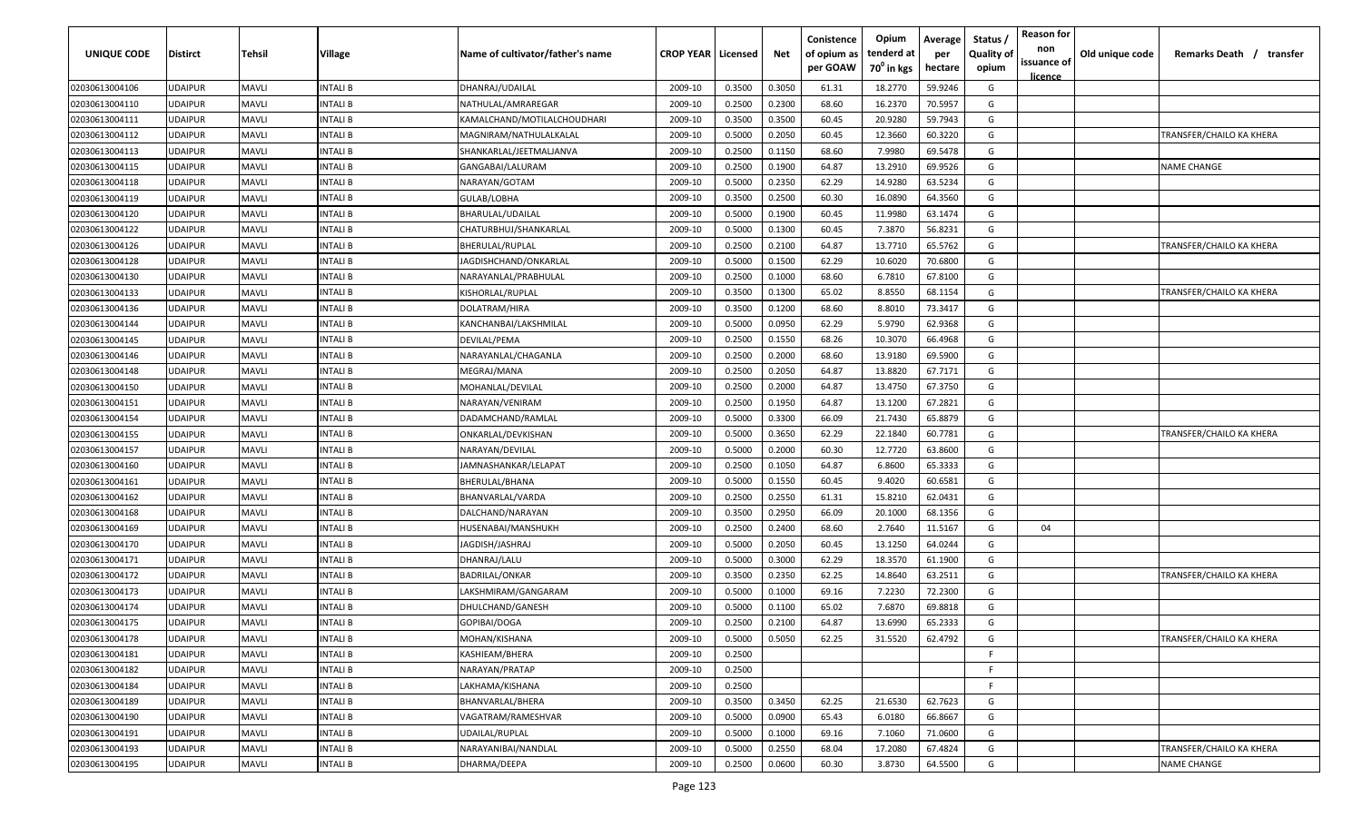| UNIQUE CODE    | <b>Distirct</b> | Tehsil       | Village         | Name of cultivator/father's name | <b>CROP YEAR   Licensed</b> |        | Net    | Conistence<br>of opium as<br>per GOAW | Opium<br>tenderd at<br>70 <sup>°</sup> in kgs | Average<br>per<br>hectare | Status<br><b>Quality of</b><br>opium | <b>Reason for</b><br>non<br>issuance of | Old unique code | Remarks Death / transfer |
|----------------|-----------------|--------------|-----------------|----------------------------------|-----------------------------|--------|--------|---------------------------------------|-----------------------------------------------|---------------------------|--------------------------------------|-----------------------------------------|-----------------|--------------------------|
| 02030613004106 | <b>UDAIPUR</b>  | <b>MAVLI</b> | INTALI B        | DHANRAJ/UDAILAL                  | 2009-10                     | 0.3500 | 0.3050 | 61.31                                 | 18.2770                                       | 59.9246                   | G                                    | <u>licence</u>                          |                 |                          |
| 02030613004110 | <b>UDAIPUR</b>  | <b>MAVLI</b> | INTALI B        | NATHULAL/AMRAREGAR               | 2009-10                     | 0.2500 | 0.2300 | 68.60                                 | 16.2370                                       | 70.5957                   | G                                    |                                         |                 |                          |
| 02030613004111 | <b>UDAIPUR</b>  | <b>MAVLI</b> | INTALI B        | KAMALCHAND/MOTILALCHOUDHARI      | 2009-10                     | 0.3500 | 0.3500 | 60.45                                 | 20.9280                                       | 59.7943                   | G                                    |                                         |                 |                          |
| 02030613004112 | <b>UDAIPUR</b>  | <b>MAVLI</b> | INTALI B        | MAGNIRAM/NATHULALKALAL           | 2009-10                     | 0.5000 | 0.2050 | 60.45                                 | 12.3660                                       | 60.3220                   | G                                    |                                         |                 | TRANSFER/CHAILO KA KHERA |
| 02030613004113 | <b>UDAIPUR</b>  | <b>MAVLI</b> | INTALI B        | SHANKARLAL/JEETMALJANVA          | 2009-10                     | 0.2500 | 0.1150 | 68.60                                 | 7.9980                                        | 69.5478                   | G                                    |                                         |                 |                          |
| 02030613004115 | <b>UDAIPUR</b>  | <b>MAVLI</b> | INTALI B        | GANGABAI/LALURAM                 | 2009-10                     | 0.2500 | 0.1900 | 64.87                                 | 13.2910                                       | 69.9526                   | G                                    |                                         |                 | <b>NAME CHANGE</b>       |
| 02030613004118 | <b>UDAIPUR</b>  | <b>MAVLI</b> | INTALI B        | NARAYAN/GOTAM                    | 2009-10                     | 0.5000 | 0.2350 | 62.29                                 | 14.9280                                       | 63.5234                   | G                                    |                                         |                 |                          |
| 02030613004119 | <b>UDAIPUR</b>  | <b>MAVLI</b> | INTALI B        | GULAB/LOBHA                      | 2009-10                     | 0.3500 | 0.2500 | 60.30                                 | 16.0890                                       | 64.3560                   | G                                    |                                         |                 |                          |
| 02030613004120 | <b>UDAIPUR</b>  | MAVLI        | INTALI B        | BHARULAL/UDAILAL                 | 2009-10                     | 0.5000 | 0.1900 | 60.45                                 | 11.9980                                       | 63.1474                   | G                                    |                                         |                 |                          |
| 02030613004122 | <b>UDAIPUR</b>  | MAVLI        | INTALI B        | CHATURBHUJ/SHANKARLAL            | 2009-10                     | 0.5000 | 0.1300 | 60.45                                 | 7.3870                                        | 56.8231                   | G                                    |                                         |                 |                          |
| 02030613004126 | <b>UDAIPUR</b>  | <b>MAVLI</b> | INTALI B        | BHERULAL/RUPLAL                  | 2009-10                     | 0.2500 | 0.2100 | 64.87                                 | 13.7710                                       | 65.5762                   | G                                    |                                         |                 | TRANSFER/CHAILO KA KHERA |
| 02030613004128 | <b>UDAIPUR</b>  | <b>MAVLI</b> | INTALI B        | IAGDISHCHAND/ONKARLAL            | 2009-10                     | 0.5000 | 0.1500 | 62.29                                 | 10.6020                                       | 70.6800                   | G                                    |                                         |                 |                          |
| 02030613004130 | <b>UDAIPUR</b>  | <b>MAVLI</b> | INTALI B        | NARAYANLAL/PRABHULAL             | 2009-10                     | 0.2500 | 0.1000 | 68.60                                 | 6.7810                                        | 67.8100                   | G                                    |                                         |                 |                          |
| 02030613004133 | <b>UDAIPUR</b>  | <b>MAVLI</b> | INTALI B        | KISHORLAL/RUPLAL                 | 2009-10                     | 0.3500 | 0.1300 | 65.02                                 | 8.8550                                        | 68.1154                   | G                                    |                                         |                 | TRANSFER/CHAILO KA KHERA |
| 02030613004136 | <b>UDAIPUR</b>  | <b>MAVLI</b> | INTALI B        | DOLATRAM/HIRA                    | 2009-10                     | 0.3500 | 0.1200 | 68.60                                 | 8.8010                                        | 73.3417                   | G                                    |                                         |                 |                          |
| 02030613004144 | <b>UDAIPUR</b>  | <b>MAVLI</b> | INTALI B        | KANCHANBAI/LAKSHMILAL            | 2009-10                     | 0.5000 | 0.0950 | 62.29                                 | 5.9790                                        | 62.9368                   | G                                    |                                         |                 |                          |
| 02030613004145 | <b>UDAIPUR</b>  | <b>MAVLI</b> | INTALI B        | DEVILAL/PEMA                     | 2009-10                     | 0.2500 | 0.1550 | 68.26                                 | 10.3070                                       | 66.4968                   | G                                    |                                         |                 |                          |
| 02030613004146 | <b>UDAIPUR</b>  | <b>MAVLI</b> | INTALI B        | NARAYANLAL/CHAGANLA              | 2009-10                     | 0.2500 | 0.2000 | 68.60                                 | 13.9180                                       | 69.5900                   | G                                    |                                         |                 |                          |
| 02030613004148 | <b>UDAIPUR</b>  | <b>MAVLI</b> | INTALI B        | MEGRAJ/MANA                      | 2009-10                     | 0.2500 | 0.2050 | 64.87                                 | 13.8820                                       | 67.7171                   | G                                    |                                         |                 |                          |
| 02030613004150 | <b>UDAIPUR</b>  | <b>MAVLI</b> | INTALI B        | MOHANLAL/DEVILAI                 | 2009-10                     | 0.2500 | 0.2000 | 64.87                                 | 13.4750                                       | 67.3750                   | G                                    |                                         |                 |                          |
| 02030613004151 | <b>UDAIPUR</b>  | <b>MAVLI</b> | INTALI B        | NARAYAN/VENIRAM                  | 2009-10                     | 0.2500 | 0.1950 | 64.87                                 | 13.1200                                       | 67.2821                   | G                                    |                                         |                 |                          |
| 02030613004154 | <b>UDAIPUR</b>  | <b>MAVLI</b> | INTALI B        | DADAMCHAND/RAMLAL                | 2009-10                     | 0.5000 | 0.3300 | 66.09                                 | 21.7430                                       | 65.8879                   | G                                    |                                         |                 |                          |
| 02030613004155 | <b>UDAIPUR</b>  | <b>MAVLI</b> | INTALI B        | ONKARLAL/DEVKISHAN               | 2009-10                     | 0.5000 | 0.3650 | 62.29                                 | 22.1840                                       | 60.7781                   | G                                    |                                         |                 | TRANSFER/CHAILO KA KHERA |
| 02030613004157 | <b>UDAIPUR</b>  | <b>MAVLI</b> | INTALI B        | NARAYAN/DEVILAL                  | 2009-10                     | 0.5000 | 0.2000 | 60.30                                 | 12.7720                                       | 63.8600                   | G                                    |                                         |                 |                          |
| 02030613004160 | <b>UDAIPUR</b>  | <b>MAVLI</b> | INTALI B        | IAMNASHANKAR/LELAPAT             | 2009-10                     | 0.2500 | 0.1050 | 64.87                                 | 6.8600                                        | 65.3333                   | G                                    |                                         |                 |                          |
| 02030613004161 | <b>UDAIPUR</b>  | <b>MAVLI</b> | INTALI B        | BHERULAL/BHANA                   | 2009-10                     | 0.5000 | 0.1550 | 60.45                                 | 9.4020                                        | 60.6581                   | G                                    |                                         |                 |                          |
| 02030613004162 | <b>UDAIPUR</b>  | MAVLI        | INTALI B        | BHANVARLAL/VARDA                 | 2009-10                     | 0.2500 | 0.2550 | 61.31                                 | 15.8210                                       | 62.0431                   | G                                    |                                         |                 |                          |
| 02030613004168 | <b>UDAIPUR</b>  | <b>MAVLI</b> | INTALI B        | DALCHAND/NARAYAN                 | 2009-10                     | 0.3500 | 0.2950 | 66.09                                 | 20.1000                                       | 68.1356                   | G                                    |                                         |                 |                          |
| 02030613004169 | <b>UDAIPUR</b>  | <b>MAVLI</b> | INTALI B        | HUSENABAI/MANSHUKH               | 2009-10                     | 0.2500 | 0.2400 | 68.60                                 | 2.7640                                        | 11.5167                   | G                                    | 04                                      |                 |                          |
| 02030613004170 | <b>UDAIPUR</b>  | <b>MAVLI</b> | INTALI B        | IAGDISH/JASHRAJ                  | 2009-10                     | 0.5000 | 0.2050 | 60.45                                 | 13.1250                                       | 64.0244                   | G                                    |                                         |                 |                          |
| 02030613004171 | <b>UDAIPUR</b>  | <b>MAVLI</b> | INTALI B        | DHANRAJ/LALU                     | 2009-10                     | 0.5000 | 0.3000 | 62.29                                 | 18.3570                                       | 61.1900                   | G                                    |                                         |                 |                          |
| 02030613004172 | <b>UDAIPUR</b>  | <b>MAVLI</b> | INTALI B        | BADRILAL/ONKAR                   | 2009-10                     | 0.3500 | 0.2350 | 62.25                                 | 14.8640                                       | 63.2511                   | G                                    |                                         |                 | TRANSFER/CHAILO KA KHERA |
| 02030613004173 | <b>UDAIPUR</b>  | <b>MAVLI</b> | INTALI B        | LAKSHMIRAM/GANGARAM              | 2009-10                     | 0.5000 | 0.1000 | 69.16                                 | 7.2230                                        | 72.2300                   | G                                    |                                         |                 |                          |
| 02030613004174 | <b>UDAIPUR</b>  | <b>MAVLI</b> | INTALI B        | DHULCHAND/GANESH                 | 2009-10                     | 0.5000 | 0.1100 | 65.02                                 | 7.6870                                        | 69.8818                   | G                                    |                                         |                 |                          |
| 02030613004175 | <b>UDAIPUR</b>  | <b>MAVLI</b> | INTALI B        | GOPIBAI/DOGA                     | 2009-10                     | 0.2500 | 0.2100 | 64.87                                 | 13.6990                                       | 65.2333                   | G                                    |                                         |                 |                          |
| 02030613004178 | <b>UDAIPUR</b>  | <b>MAVLI</b> | <b>INTALIB</b>  | MOHAN/KISHANA                    | 2009-10                     | 0.5000 | 0.5050 | 62.25                                 | 31.5520                                       | 62.4792                   | G                                    |                                         |                 | TRANSFER/CHAILO KA KHERA |
| 02030613004181 | <b>UDAIPUR</b>  | <b>MAVLI</b> | <b>INTALIB</b>  | KASHIEAM/BHERA                   | 2009-10                     | 0.2500 |        |                                       |                                               |                           | F.                                   |                                         |                 |                          |
| 02030613004182 | <b>UDAIPUR</b>  | <b>MAVLI</b> | <b>INTALI B</b> | NARAYAN/PRATAP                   | 2009-10                     | 0.2500 |        |                                       |                                               |                           | F.                                   |                                         |                 |                          |
| 02030613004184 | <b>UDAIPUR</b>  | <b>MAVLI</b> | INTALI B        | LAKHAMA/KISHANA                  | 2009-10                     | 0.2500 |        |                                       |                                               |                           | F.                                   |                                         |                 |                          |
| 02030613004189 | <b>UDAIPUR</b>  | <b>MAVLI</b> | INTALI B        | BHANVARLAL/BHERA                 | 2009-10                     | 0.3500 | 0.3450 | 62.25                                 | 21.6530                                       | 62.7623                   | G                                    |                                         |                 |                          |
| 02030613004190 | <b>UDAIPUR</b>  | <b>MAVLI</b> | INTALI B        | VAGATRAM/RAMESHVAR               | 2009-10                     | 0.5000 | 0.0900 | 65.43                                 | 6.0180                                        | 66.8667                   | G                                    |                                         |                 |                          |
| 02030613004191 | <b>UDAIPUR</b>  | <b>MAVLI</b> | <b>INTALI B</b> | UDAILAL/RUPLAL                   | 2009-10                     | 0.5000 | 0.1000 | 69.16                                 | 7.1060                                        | 71.0600                   | G                                    |                                         |                 |                          |
| 02030613004193 | <b>UDAIPUR</b>  | <b>MAVLI</b> | INTALI B        | NARAYANIBAI/NANDLAL              | 2009-10                     | 0.5000 | 0.2550 | 68.04                                 | 17.2080                                       | 67.4824                   | G                                    |                                         |                 | TRANSFER/CHAILO KA KHERA |
| 02030613004195 | <b>UDAIPUR</b>  | <b>MAVLI</b> | <b>INTALI B</b> | DHARMA/DEEPA                     | 2009-10                     | 0.2500 | 0.0600 | 60.30                                 | 3.8730                                        | 64.5500                   | G                                    |                                         |                 | <b>NAME CHANGE</b>       |